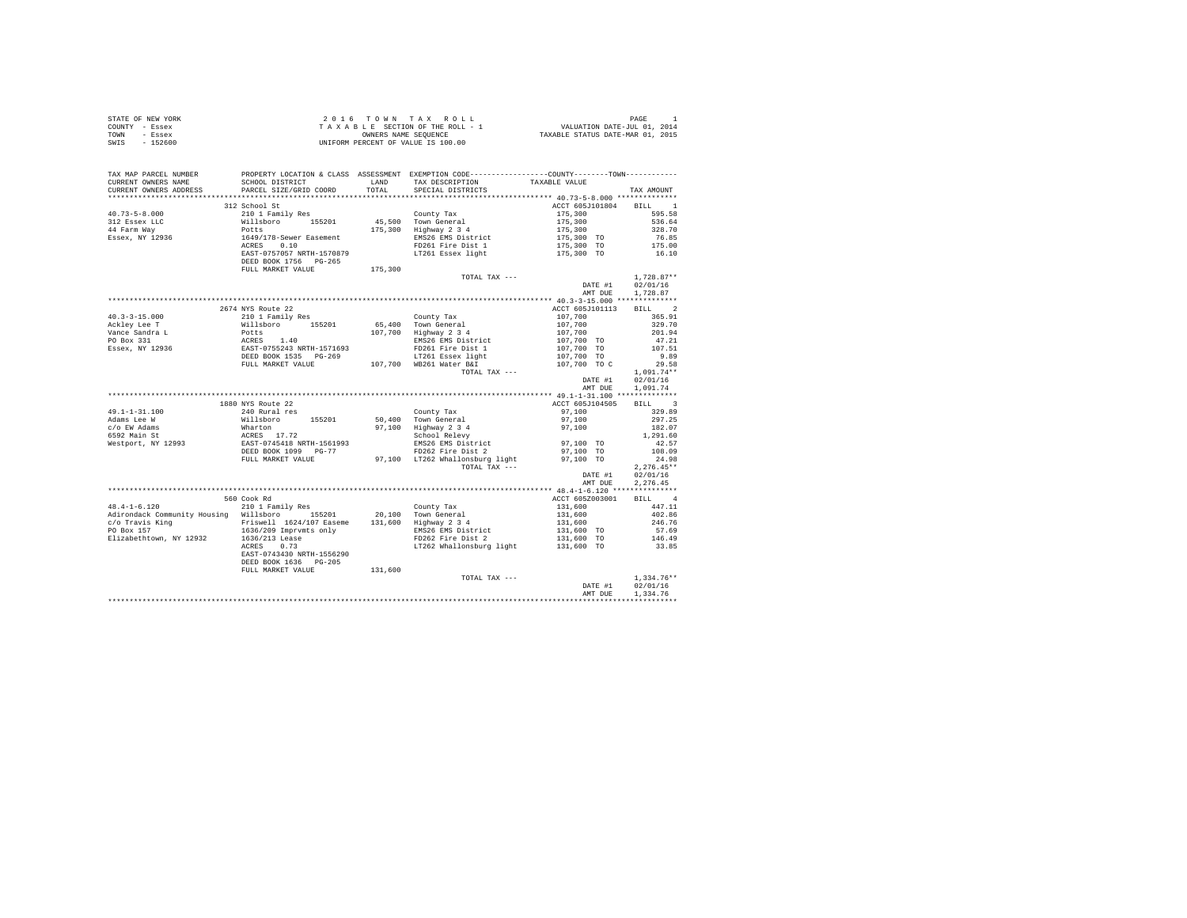| STATE OF NEW YORK | 2016 TOWN TAX ROLL                 | PAGE                             |
|-------------------|------------------------------------|----------------------------------|
| COUNTY - Essex    | TAXABLE SECTION OF THE ROLL - 1    | VALUATION DATE-JUL 01, 2014      |
| TOWN<br>- Essex   | OWNERS NAME SEOUENCE               | TAXABLE STATUS DATE-MAR 01, 2015 |
| $-152600$<br>SWIS | UNIFORM PERCENT OF VALUE IS 100.00 |                                  |

| TAX MAP PARCEL NUMBER<br>CURRENT OWNERS NAME<br>CURRENT OWNERS ADDRESS                                                                               | PROPERTY LOCATION & CLASS ASSESSMENT EXEMPTION CODE----------------COUNTY-------TOWN----------<br>SCHOOL DISTRICT<br>PARCEL SIZE/GRID COORD              | LAND<br>TOTAL | TAX DESCRIPTION<br>SPECIAL DISTRICTS                            | TAXABLE VALUE                                                       | TAX AMOUNT           |
|------------------------------------------------------------------------------------------------------------------------------------------------------|----------------------------------------------------------------------------------------------------------------------------------------------------------|---------------|-----------------------------------------------------------------|---------------------------------------------------------------------|----------------------|
|                                                                                                                                                      |                                                                                                                                                          |               |                                                                 |                                                                     |                      |
|                                                                                                                                                      | 312 School St                                                                                                                                            |               |                                                                 | ACCT 605J101804 BILL 1                                              |                      |
| $40.73 - 5 - 8.000$                                                                                                                                  | 210 1 Family Res                                                                                                                                         |               | County Tax                                                      | 175,300                                                             | 595.58               |
| 312 Essex LLC                                                                                                                                        |                                                                                                                                                          |               |                                                                 |                                                                     | 536.64               |
|                                                                                                                                                      |                                                                                                                                                          |               | 45,500 Town General<br>175,300 Highway 2 3 4                    |                                                                     | 328.70               |
| 44 Farm Way<br>Essex, NY 12936                                                                                                                       | Nillsboro 155201<br>Potts<br>1649/178-Sewer Easement                                                                                                     |               | EMS26 EMS District                                              | $175,300$<br>$175,300$<br>$175,300$<br>$175,300$ TO<br>$175,300$ TO | 76.85                |
|                                                                                                                                                      | ACRES 0.10                                                                                                                                               |               | FD261 Fire Dist 1                                               | 175,300 TO                                                          | 175.00               |
|                                                                                                                                                      | EAST-0757057 NRTH-1570879                                                                                                                                |               |                                                                 |                                                                     | 16.10                |
|                                                                                                                                                      | DEED BOOK 1756 PG-265                                                                                                                                    |               | LT261 Essex light                                               | 175,300 TO                                                          |                      |
|                                                                                                                                                      | FULL MARKET VALUE 175,300                                                                                                                                |               |                                                                 |                                                                     |                      |
|                                                                                                                                                      |                                                                                                                                                          |               | TOTAL TAX ---                                                   |                                                                     | 1,728.87**           |
|                                                                                                                                                      |                                                                                                                                                          |               |                                                                 | DATE #1                                                             | 02/01/16             |
|                                                                                                                                                      |                                                                                                                                                          |               |                                                                 | AMT DUE                                                             | 1,728.87             |
|                                                                                                                                                      |                                                                                                                                                          |               |                                                                 |                                                                     |                      |
|                                                                                                                                                      | 2674 NYS Route 22                                                                                                                                        |               |                                                                 |                                                                     |                      |
| $40.3 - 3 - 15.000$                                                                                                                                  |                                                                                                                                                          |               |                                                                 | ACCT 605J101113                                                     | BILL 2               |
|                                                                                                                                                      |                                                                                                                                                          |               | County Tax                                                      | 107,700                                                             | 365.91               |
| Ackley Lee T                                                                                                                                         | 2001 Deamily Res<br>210 1 Pamily Res<br>Willaboro<br>Potte 1.40<br>ACRES 1.40<br>EAST-0755243 NRTH-1571693<br>DEED BOOK 1535 PG-269<br>FULL MARKET VALUE |               | 65,400 Town General<br>107,700 Highway 2 3 4                    | 107,700                                                             | 329.70               |
| Nonce Sandra L<br>PO Box 331<br>Essex, NY 12936                                                                                                      |                                                                                                                                                          |               |                                                                 | 107,700<br>107,700 TO                                               | 201.94               |
|                                                                                                                                                      |                                                                                                                                                          |               | EMS26 EMS District                                              |                                                                     | 47.21                |
|                                                                                                                                                      |                                                                                                                                                          |               | FD261 Fire Dist 1                                               | 107,700 TO                                                          | 107.51               |
|                                                                                                                                                      |                                                                                                                                                          |               | LT261 Essex light<br>WR261 Water B&T<br>107.700 WB261 Water B&I | 107,700 TO<br>107,700 TOC                                           | 9.89                 |
|                                                                                                                                                      |                                                                                                                                                          |               |                                                                 |                                                                     | 29.58                |
|                                                                                                                                                      |                                                                                                                                                          |               | TOTAL TAX ---                                                   |                                                                     | $1,091.74**$         |
|                                                                                                                                                      |                                                                                                                                                          |               |                                                                 | DATE #1                                                             | 02/01/16             |
|                                                                                                                                                      |                                                                                                                                                          |               |                                                                 | AMT DUE                                                             | 1,091.74             |
|                                                                                                                                                      |                                                                                                                                                          |               |                                                                 |                                                                     |                      |
|                                                                                                                                                      | 1880 NYS Route 22                                                                                                                                        |               |                                                                 | ACCT 605J104505                                                     | BILL 3               |
| $49.1 - 1 - 31.100$                                                                                                                                  | 240 Rural res                                                                                                                                            |               | County Tax                                                      | 97,100                                                              | 329.89               |
| Adams Lee W                                                                                                                                          |                                                                                                                                                          |               | 50,400 Town General<br>97,100 Highway 2 3 4                     | 97,100                                                              | 297.25               |
| c/o EW Adams                                                                                                                                         | Willsboro 155201<br>Whilsboro 155201<br>ACRES 17.72<br>EAST-0745418 NRTH-1561993<br>DEED BOOK 1099 PG-77                                                 |               |                                                                 | 97,100                                                              | 182.07               |
| 6592 Main St                                                                                                                                         |                                                                                                                                                          |               | School Relevy                                                   | 97,100 TO                                                           | 1,291.60             |
| Westport, NY 12993                                                                                                                                   |                                                                                                                                                          |               | EMS26 EMS District<br>FD262 Fire Dist 2                         |                                                                     | 42.57                |
|                                                                                                                                                      |                                                                                                                                                          |               |                                                                 | 97,100 TO                                                           | 108.09               |
|                                                                                                                                                      | FULL MARKET VALUE                                                                                                                                        |               | 97,100 LT262 Whallonsburg light                                 | 97,100 TO                                                           | 24.98                |
|                                                                                                                                                      |                                                                                                                                                          |               | TOTAL TAX ---                                                   |                                                                     | $2,276.45**$         |
|                                                                                                                                                      |                                                                                                                                                          |               |                                                                 | DATE #1                                                             | 02/01/16             |
|                                                                                                                                                      |                                                                                                                                                          |               |                                                                 | AMT DUE                                                             | 2.276.45             |
|                                                                                                                                                      |                                                                                                                                                          |               |                                                                 |                                                                     | BILL 4               |
|                                                                                                                                                      | 560 Cook Rd                                                                                                                                              |               |                                                                 | ACCT 605Z003001                                                     |                      |
| $48.4 - 1 - 6.120$                                                                                                                                   | 210 1 Family Res                                                                                                                                         |               | County Tax                                                      | 131,600                                                             | 447.11               |
| Adirondack Community Housing Willsboro 155201                                                                                                        |                                                                                                                                                          |               | 20,100 Town General<br>131,600 Highway 2 3 4                    | 131,600                                                             | 402.86               |
| Automation Community According Friswell 1624/107 Easeme<br>PO Box 157 1636/209 Imprymts only<br>Elizabethtown, NY 12932 1636/213 Lease<br>ACRES 0.73 |                                                                                                                                                          |               |                                                                 | 131,600                                                             | 246.76               |
|                                                                                                                                                      |                                                                                                                                                          |               | EMS26 EMS District<br>FD262 Fire Dist 2                         | 131,600 TO                                                          | 57.69                |
|                                                                                                                                                      |                                                                                                                                                          |               |                                                                 | 131,600 TO                                                          | 146.49               |
|                                                                                                                                                      | ACRES 0.73                                                                                                                                               |               | LT262 Whallonsburg light                                        | 131,600 TO                                                          | 33.85                |
|                                                                                                                                                      | EAST-0743430 NRTH-1556290                                                                                                                                |               |                                                                 |                                                                     |                      |
|                                                                                                                                                      | DEED BOOK 1636 PG-205                                                                                                                                    |               |                                                                 |                                                                     |                      |
|                                                                                                                                                      | FULL MARKET VALUE                                                                                                                                        | 131,600       |                                                                 |                                                                     |                      |
|                                                                                                                                                      |                                                                                                                                                          |               | TOTAL TAX ---                                                   | DATE #1                                                             | $1,334.76**$         |
|                                                                                                                                                      |                                                                                                                                                          |               |                                                                 | AMT DUE                                                             | 02/01/16<br>1.334.76 |
|                                                                                                                                                      |                                                                                                                                                          |               |                                                                 |                                                                     |                      |
|                                                                                                                                                      |                                                                                                                                                          |               |                                                                 |                                                                     |                      |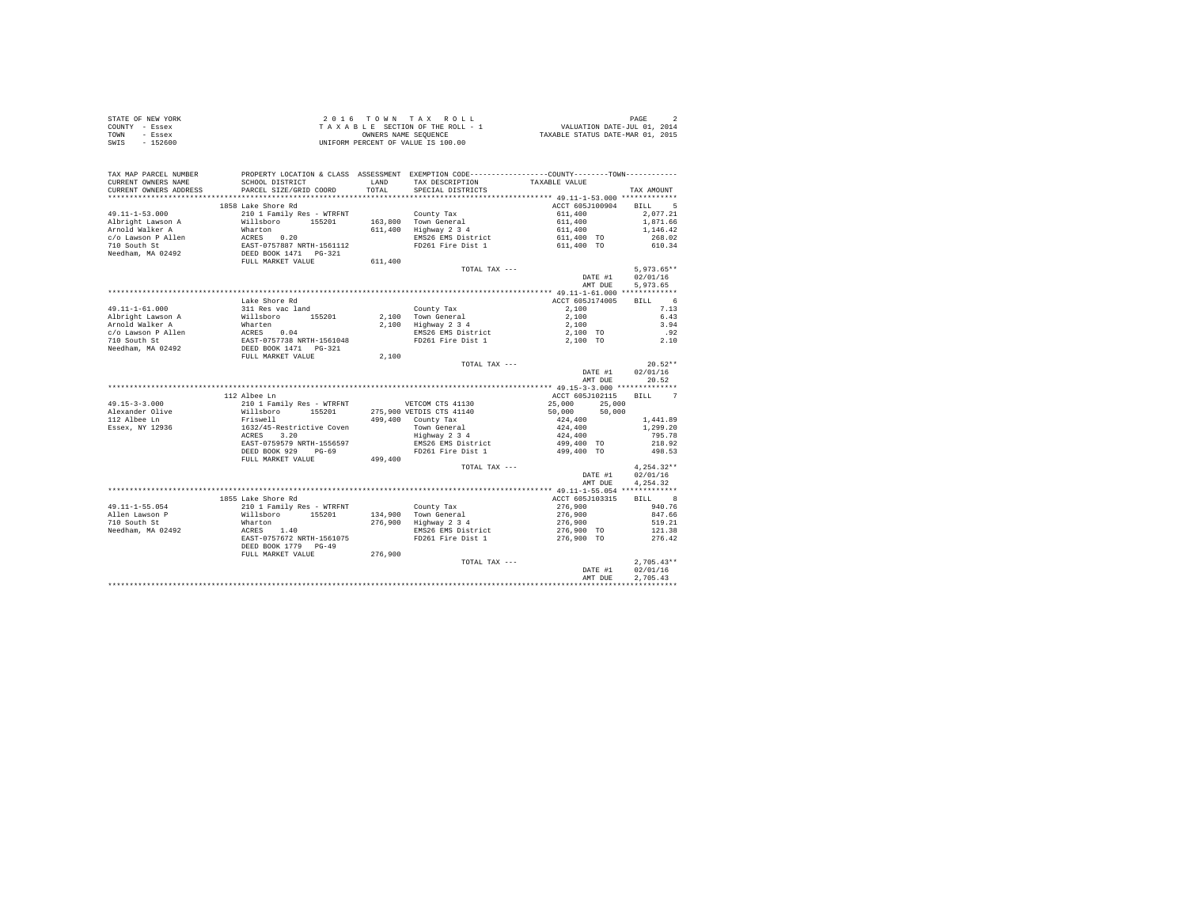| STATE OF NEW YORK | 2016 TOWN TAX ROLL                 | PAGE                             |
|-------------------|------------------------------------|----------------------------------|
| COUNTY - Essex    | TAXABLE SECTION OF THE ROLL - 1    | VALUATION DATE-JUL 01, 2014      |
| TOWN<br>- Essex   | OWNERS NAME SEOUENCE               | TAXABLE STATUS DATE-MAR 01, 2015 |
| SWIS<br>$-152600$ | UNIFORM PERCENT OF VALUE IS 100.00 |                                  |

| TAX MAP PARCEL NUMBER<br>CURRENT OWNERS NAME<br>CURRENT OWNERS ADDRESS                                                                                                               | SCHOOL DISTRICT<br>PARCEL SIZE/GRID COORD                                                                                                                 | LAND<br>TOTAL. | PROPERTY LOCATION & CLASS ASSESSMENT EXEMPTION CODE----------------COUNTY-------TOWN----------<br>TAX DESCRIPTION<br>SPECIAL DISTRICTS | TAXABLE VALUE                                                                | TAX AMOUNT                                                     |
|--------------------------------------------------------------------------------------------------------------------------------------------------------------------------------------|-----------------------------------------------------------------------------------------------------------------------------------------------------------|----------------|----------------------------------------------------------------------------------------------------------------------------------------|------------------------------------------------------------------------------|----------------------------------------------------------------|
| ************************                                                                                                                                                             |                                                                                                                                                           |                |                                                                                                                                        |                                                                              |                                                                |
| $49.11 - 1 - 53.000$<br>Albright Lawson A<br>Arnold Walker A<br>ATHOUR WALLET AT MINITURE 20.20<br>The South St EAST-0757887 NRTH-1561112<br>Needham, MA 02492 DEED BOOK 1471 PG-321 | 1858 Lake Shore Rd<br>210 1 Family Res - WTRFNT<br>Willsboro 155201<br>Wharton                                                                            |                | County Tax<br>163,800 Town General<br>611,400 Highway 2 3 4<br>EMS26 EMS District<br>FD261 Fire Dist 1                                 | ACCT 605J100904<br>611,400<br>611,400<br>611,400<br>611,400 TO<br>611,400 TO | BILL 5<br>2.077.21<br>1,871.66<br>1,146.42<br>268.02<br>610.34 |
|                                                                                                                                                                                      |                                                                                                                                                           |                |                                                                                                                                        |                                                                              |                                                                |
|                                                                                                                                                                                      | FULL MARKET VALUE                                                                                                                                         | 611,400        |                                                                                                                                        |                                                                              |                                                                |
|                                                                                                                                                                                      |                                                                                                                                                           |                | TOTAL TAX ---                                                                                                                          | DATE #1<br>AMT DUE                                                           | $5.973.65**$<br>02/01/16<br>5,973.65                           |
|                                                                                                                                                                                      |                                                                                                                                                           |                |                                                                                                                                        |                                                                              |                                                                |
| $49.11 - 1 - 61.000$<br>Albright Lawson A<br>Arnold Walker A<br>c/o Lawson P Allen<br>710 South St                                                                                   | Lake Shore Rd<br>311 Res vac land<br>Willsboro 155201<br>Wharten<br>ACRES 0.04<br>EAST-0757738 NRTH-1561048<br>DEED BOOK 1471 PG-321<br>FULL MARKET VALUE |                | County Tax<br>2,100 Town General<br>2,100 Highway 2 3 4<br>EMS26 EMS District<br>FD261 Fire Dist 1                                     | ACCT 605J174005<br>2,100<br>2,100<br>2,100<br>2,100 TO<br>2.100 TO           | $6^{\circ}$<br>BILL.<br>7.13<br>6.43<br>3.94<br>.92<br>2.10    |
| Needham, MA 02492                                                                                                                                                                    |                                                                                                                                                           |                |                                                                                                                                        |                                                                              |                                                                |
|                                                                                                                                                                                      |                                                                                                                                                           | 2,100          |                                                                                                                                        |                                                                              |                                                                |
|                                                                                                                                                                                      |                                                                                                                                                           |                | TOTAL TAX ---                                                                                                                          |                                                                              | $20.52**$                                                      |
|                                                                                                                                                                                      |                                                                                                                                                           |                |                                                                                                                                        | DATE #1                                                                      | 02/01/16                                                       |
|                                                                                                                                                                                      |                                                                                                                                                           |                |                                                                                                                                        | AMT DUE                                                                      | 20.52                                                          |
|                                                                                                                                                                                      | 112 Albee Ln                                                                                                                                              |                |                                                                                                                                        | ACCT 605J102115                                                              | BTLL.<br>7                                                     |
| $49.15 - 3 - 3.000$                                                                                                                                                                  | 210 1 Family Res - WTRFNT                                                                                                                                 |                | VETCOM CTS 41130                                                                                                                       | 25,000<br>25,000                                                             |                                                                |
| Alexander Olive                                                                                                                                                                      | Willsboro 155201                                                                                                                                          |                | 275,900 VETDIS CTS 41140                                                                                                               | 50,000 50,000                                                                |                                                                |
| 112 Albee Ln                                                                                                                                                                         | Friswell                                                                                                                                                  |                | 499,400 County Tax                                                                                                                     | 424,400                                                                      | 1,441.89                                                       |
| Essex, NY 12936                                                                                                                                                                      | 1632/45-Restrictive Coven                                                                                                                                 |                |                                                                                                                                        | 424,400                                                                      | 1,299.20                                                       |
|                                                                                                                                                                                      | ACRES 3.20                                                                                                                                                |                | Town General<br>Highway 2 3 4                                                                                                          | 424,400                                                                      | 795.78                                                         |
|                                                                                                                                                                                      | EAST-0759579 NRTH-1556597                                                                                                                                 |                | EMS26 EMS District                                                                                                                     | 499,400 TO                                                                   | 218.92                                                         |
|                                                                                                                                                                                      | DEED BOOK 929 PG-69                                                                                                                                       |                | FD261 Fire Dist 1                                                                                                                      | 499,400 TO                                                                   | 498.53                                                         |
|                                                                                                                                                                                      | FULL MARKET VALUE                                                                                                                                         | 499,400        |                                                                                                                                        |                                                                              |                                                                |
|                                                                                                                                                                                      |                                                                                                                                                           |                | TOTAL TAX ---                                                                                                                          | DATE #1<br>AMT DUE                                                           | $4.254.32**$<br>02/01/16<br>4.254.32                           |
|                                                                                                                                                                                      | 1855 Lake Shore Rd                                                                                                                                        |                |                                                                                                                                        | ACCT 605J103315                                                              | BILL 8                                                         |
| $49.11 - 1 - 55.054$                                                                                                                                                                 | 210 1 Family Res - WTRFNT                                                                                                                                 |                |                                                                                                                                        |                                                                              | 940.76                                                         |
| Allen Lawson P                                                                                                                                                                       |                                                                                                                                                           |                | County Tax<br>134,900 Town General                                                                                                     | 276,900<br>276,900                                                           | 847.66                                                         |
| 710 South St                                                                                                                                                                         | willsboro 155201<br>Wharton 155201                                                                                                                        |                | 276,900 Highway 2 3 4                                                                                                                  | 276,900                                                                      | 519.21                                                         |
| Needham, MA 02492                                                                                                                                                                    | ACRES 1.40                                                                                                                                                |                | EMS26 EMS District                                                                                                                     | 276,900 TO                                                                   | 121.38                                                         |
|                                                                                                                                                                                      | EAST-0757672 NRTH-1561075                                                                                                                                 |                | FD261 Fire Dist 1                                                                                                                      | 276,900 TO                                                                   | 276.42                                                         |
|                                                                                                                                                                                      | DEED BOOK 1779 PG-49                                                                                                                                      |                |                                                                                                                                        |                                                                              |                                                                |
|                                                                                                                                                                                      | FULL MARKET VALUE                                                                                                                                         | 276,900        |                                                                                                                                        |                                                                              |                                                                |
|                                                                                                                                                                                      |                                                                                                                                                           |                | TOTAL TAX ---                                                                                                                          | DATE #1                                                                      | $2,705.43**$<br>02/01/16                                       |
|                                                                                                                                                                                      |                                                                                                                                                           |                |                                                                                                                                        | AMT DUE                                                                      | 2.705.43                                                       |
|                                                                                                                                                                                      |                                                                                                                                                           |                |                                                                                                                                        |                                                                              |                                                                |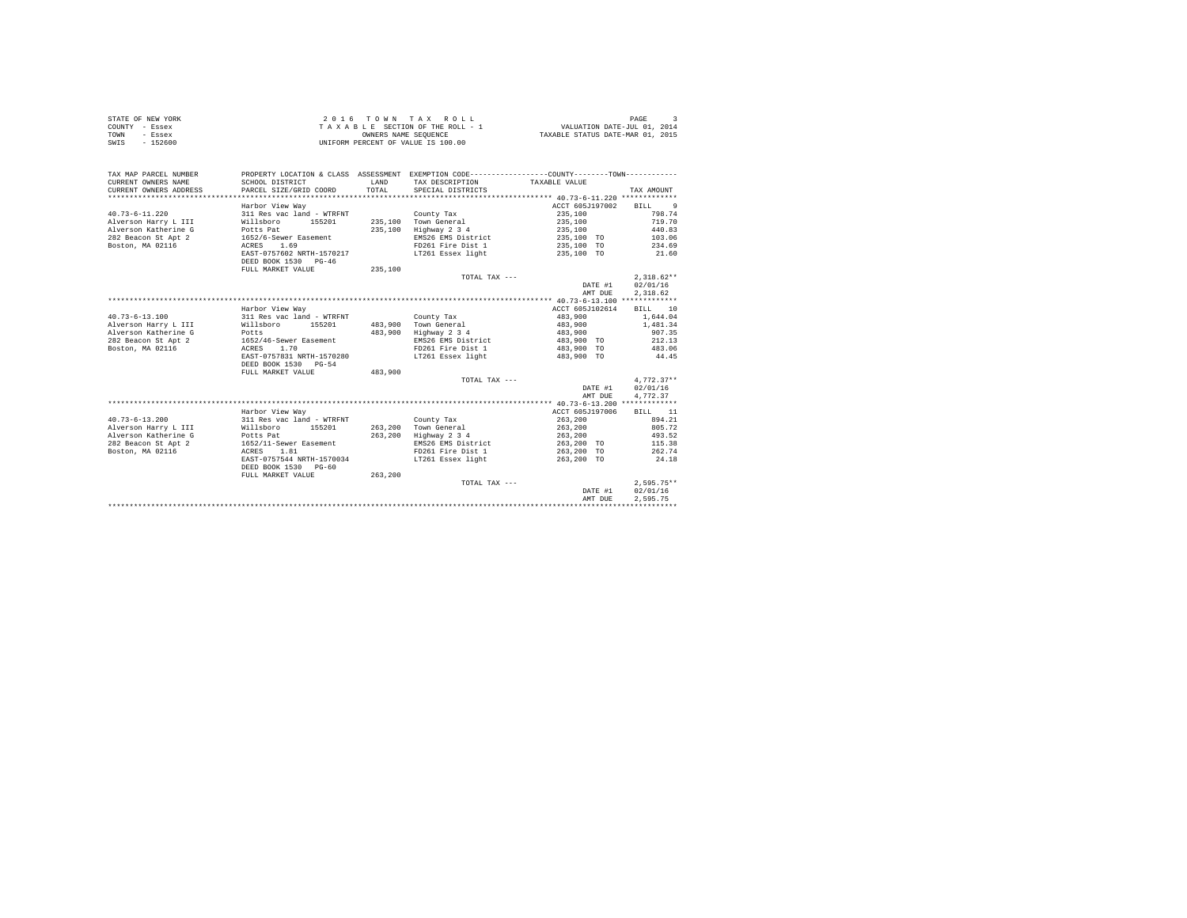|                | STATE OF NEW YORK | 2016 TOWN TAX ROLL                 | PAGE                             |
|----------------|-------------------|------------------------------------|----------------------------------|
| COUNTY - Essex |                   | TAXABLE SECTION OF THE ROLL - 1    | VALUATION DATE-JUL 01, 2014      |
| TOWN           | - Essex           | OWNERS NAME SEOUENCE               | TAXABLE STATUS DATE-MAR 01, 2015 |
| SWIS           | - 152600          | UNIFORM PERCENT OF VALUE IS 100.00 |                                  |

| TAX MAP PARCEL NUMBER<br>CURRENT OWNERS NAME<br>CURRENT OWNERS ADDRESS | SCHOOL DISTRICT<br>PARCEL SIZE/GRID COORD         | LAND<br>TOTAL. | PROPERTY LOCATION & CLASS ASSESSMENT EXEMPTION CODE----------------COUNTY--------TOWN----------<br>TAX DESCRIPTION<br>SPECIAL DISTRICTS | TAXABLE VALUE   | TAX AMOUNT         |
|------------------------------------------------------------------------|---------------------------------------------------|----------------|-----------------------------------------------------------------------------------------------------------------------------------------|-----------------|--------------------|
|                                                                        | Harbor View Way                                   |                |                                                                                                                                         | ACCT 605J197002 | <b>BILL</b><br>- 9 |
| $40.73 - 6 - 11.220$                                                   | 311 Res vac land - WTRFNT                         |                | County Tax                                                                                                                              | 235,100         | 798.74             |
| Alverson Harry L III                                                   | Willsboro<br>155201                               |                | 235,100 Town General                                                                                                                    | 235,100         | 719.70             |
| Alverson Katherine G                                                   | Potts Pat                                         | 235,100        | Highway 2 3 4                                                                                                                           | 235,100         | 440.83             |
| 282 Beacon St Apt 2                                                    | 1652/6-Sewer Easement                             |                | EMS26 EMS District                                                                                                                      | 235,100 TO      | 103.06             |
| Boston, MA 02116                                                       | 1.69<br>ACRES                                     |                | FD261 Fire Dist 1                                                                                                                       | 235,100 TO      | 234.69             |
|                                                                        | EAST-0757602 NRTH-1570217                         |                | LT261 Essex light                                                                                                                       | 235,100 TO      | 21.60              |
|                                                                        | DEED BOOK 1530 PG-46                              |                |                                                                                                                                         |                 |                    |
|                                                                        | FULL MARKET VALUE                                 | 235,100        |                                                                                                                                         |                 |                    |
|                                                                        |                                                   |                |                                                                                                                                         |                 | $2,318.62**$       |
|                                                                        |                                                   |                | TOTAL TAX ---                                                                                                                           |                 | 02/01/16           |
|                                                                        |                                                   |                |                                                                                                                                         | DATE #1         |                    |
|                                                                        |                                                   |                |                                                                                                                                         | AMT DUE         | 2,318.62           |
|                                                                        |                                                   |                |                                                                                                                                         | ACCT 605J102614 |                    |
|                                                                        | Harbor View Way                                   |                |                                                                                                                                         |                 | BILL 10            |
| $40.73 - 6 - 13.100$                                                   | 311 Res vac land - WTRFNT                         |                | County Tax                                                                                                                              | 483,900         | 1,644.04           |
| Alverson Harry L III                                                   | Willsboro<br>155201                               | 483,900        | Town General                                                                                                                            | 483,900         | 1,481.34           |
| Alverson Katherine G                                                   | Potts                                             | 483,900        | Highway 2 3 4                                                                                                                           | 483,900         | 907.35             |
| 282 Beacon St Apt 2                                                    | 1652/46-Sewer Easement                            |                | EMS26 EMS District                                                                                                                      | 483,900 TO      | 212.13             |
| Boston, MA 02116                                                       | 1.70<br>ACRES                                     |                | FD261 Fire Dist 1                                                                                                                       | 483,900 TO      | 483.06             |
|                                                                        | EAST-0757831 NRTH-1570280<br>DEED BOOK 1530 PG-54 |                | LT261 Essex light                                                                                                                       | 483,900 TO      | 44.45              |
|                                                                        | FULL MARKET VALUE                                 | 483,900        |                                                                                                                                         |                 |                    |
|                                                                        |                                                   |                | TOTAL TAX ---                                                                                                                           |                 | $4.772.37**$       |
|                                                                        |                                                   |                |                                                                                                                                         | DATE #1         | 02/01/16           |
|                                                                        |                                                   |                |                                                                                                                                         | AMT DUE         | 4.772.37           |
|                                                                        |                                                   |                |                                                                                                                                         |                 |                    |
|                                                                        | Harbor View Way                                   |                |                                                                                                                                         | ACCT 605J197006 | BTLL.<br>11        |
| $40.73 - 6 - 13.200$                                                   | 311 Res vac land - WTRFNT                         |                | County Tax                                                                                                                              | 263,200         | 894.21             |
| Alverson Harry L III                                                   | Willsboro<br>155201                               | 263.200        | Town General                                                                                                                            | 263,200         | 805.72             |
| Alverson Katherine G                                                   | Potts Pat                                         | 263,200        | Highway 2 3 4                                                                                                                           | 263,200         | 493.52             |
| 282 Beacon St Apt 2                                                    | 1652/11-Sewer Easement                            |                | EMS26 EMS District                                                                                                                      | 263,200 TO      | 115.38             |
| Boston, MA 02116                                                       | ACRES 1.81                                        |                | FD261 Fire Dist 1                                                                                                                       | 263,200 TO      | 262.74             |
|                                                                        | EAST-0757544 NRTH-1570034                         |                | LT261 Essex light                                                                                                                       | 263,200 TO      | 24.18              |
|                                                                        | DEED BOOK 1530<br>$PG-60$                         |                |                                                                                                                                         |                 |                    |
|                                                                        | FULL MARKET VALUE                                 | 263,200        |                                                                                                                                         |                 |                    |
|                                                                        |                                                   |                | TOTAL TAX ---                                                                                                                           |                 | $2.595.75**$       |
|                                                                        |                                                   |                |                                                                                                                                         | DATE #1         | 02/01/16           |
|                                                                        |                                                   |                |                                                                                                                                         | AMT DUE         | 2.595.75           |
|                                                                        |                                                   |                |                                                                                                                                         |                 |                    |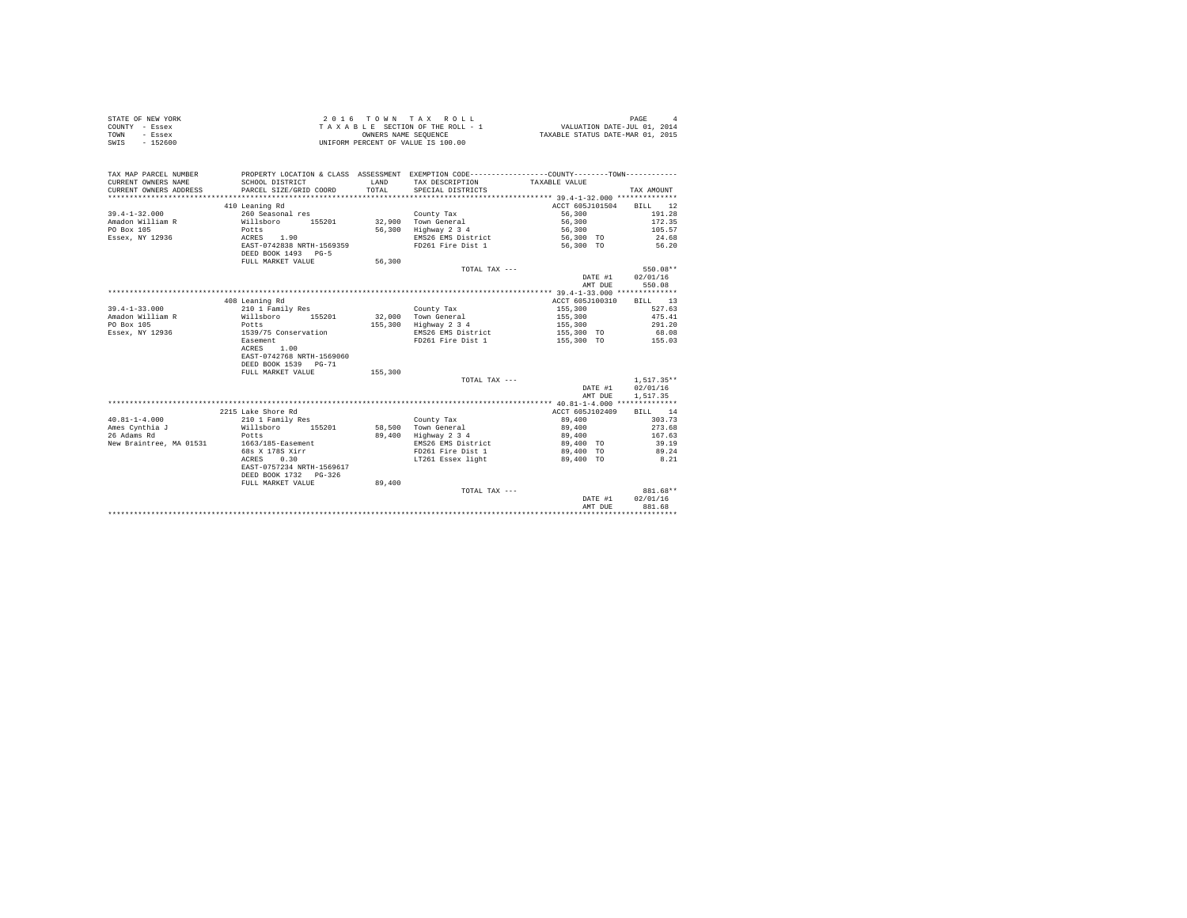| STATE OF NEW YORK | $2.0.16$ TOWN TAX ROLL             | PAGE                             |
|-------------------|------------------------------------|----------------------------------|
| COUNTY - Essex    | TAXABLE SECTION OF THE ROLL - 1    | VALUATION DATE-JUL 01, 2014      |
| TOWN<br>- Essex   | OWNERS NAME SEOUENCE               | TAXABLE STATUS DATE-MAR 01, 2015 |
| $-152600$<br>SWIS | UNIFORM PERCENT OF VALUE IS 100.00 |                                  |

| TAX MAP PARCEL NUMBER<br>CURRENT OWNERS NAME<br>CURRENT OWNERS ADDRESS | SCHOOL DISTRICT<br>PARCEL SIZE/GRID COORD        | LAND<br>TOTAL. | PROPERTY LOCATION & CLASS ASSESSMENT EXEMPTION CODE----------------COUNTY--------TOWN----------<br>TAX DESCRIPTION<br>SPECIAL DISTRICTS | TAXABLE VALUE   | TAX AMOUNT   |
|------------------------------------------------------------------------|--------------------------------------------------|----------------|-----------------------------------------------------------------------------------------------------------------------------------------|-----------------|--------------|
|                                                                        |                                                  |                |                                                                                                                                         |                 |              |
|                                                                        | 410 Leaning Rd                                   |                |                                                                                                                                         | ACCT 605J101504 | BILL 12      |
| $39.4 - 1 - 32.000$                                                    | 260 Seasonal res                                 |                | County Tax                                                                                                                              | 56,300          | 191.28       |
| Amadon William R<br>Willsboro                                          | 155201                                           |                | 32,900 Town General                                                                                                                     | 56,300          | 172.35       |
| PO Box 105                                                             | Potts                                            |                | 56,300 Highway 2 3 4                                                                                                                    | 56,300          | 105.57       |
| Essex, NY 12936                                                        | ACRES 1.90                                       |                | EMS26 EMS District                                                                                                                      | 56,300 TO       | 24.68        |
|                                                                        | EAST-0742838 NRTH-1569359<br>DEED BOOK 1493 PG-5 |                | FD261 Fire Dist 1                                                                                                                       | 56,300 TO       | 56.20        |
|                                                                        | FULL MARKET VALUE                                | 56,300         |                                                                                                                                         |                 |              |
|                                                                        |                                                  |                | TOTAL TAX ---                                                                                                                           |                 | 550.08**     |
|                                                                        |                                                  |                |                                                                                                                                         | DATE #1         | 02/01/16     |
|                                                                        |                                                  |                |                                                                                                                                         | AMT DUE         | 550.08       |
|                                                                        |                                                  |                |                                                                                                                                         |                 |              |
|                                                                        | 408 Leaning Rd                                   |                |                                                                                                                                         | ACCT 605J100310 | BILL 13      |
| $39.4 - 1 - 33.000$                                                    | 210 1 Family Res                                 |                | County Tax                                                                                                                              | 155,300         | 527.63       |
| Amadon William R                                                       | Willsboro 155201                                 |                | 32.000 Town General                                                                                                                     | 155,300         | 475.41       |
| PO Box 105                                                             | Potts                                            | 155,300        | Highway 2 3 4                                                                                                                           | 155,300         | 291.20       |
| Essex, NY 12936                                                        | 1539/75 Conservation                             |                | EMS26 EMS District                                                                                                                      | 155,300 TO      | 68.08        |
|                                                                        | <b>Easement</b>                                  |                | FD261 Fire Dist 1                                                                                                                       | 155,300 TO      | 155.03       |
|                                                                        | 1.00<br>ACRES                                    |                |                                                                                                                                         |                 |              |
|                                                                        | EAST-0742768 NRTH-1569060                        |                |                                                                                                                                         |                 |              |
|                                                                        | DEED BOOK 1539 PG-71                             |                |                                                                                                                                         |                 |              |
|                                                                        | FULL MARKET VALUE                                | 155,300        |                                                                                                                                         |                 |              |
|                                                                        |                                                  |                | TOTAL TAX ---                                                                                                                           |                 | $1.517.35**$ |
|                                                                        |                                                  |                |                                                                                                                                         | DATE #1         | 02/01/16     |
|                                                                        |                                                  |                |                                                                                                                                         | AMT DUE         | 1,517.35     |
|                                                                        |                                                  |                |                                                                                                                                         |                 |              |
|                                                                        | 2215 Lake Shore Rd                               |                |                                                                                                                                         | ACCT 605J102409 | BILL 14      |
| $40.81 - 1 - 4.000$                                                    | 210 1 Family Res                                 |                | County Tax                                                                                                                              | 89,400          | 303.73       |
| Ames Cynthia J                                                         | Willsboro 155201                                 |                | 58.500 Town General                                                                                                                     | 89,400          | 273.68       |
| 26 Adams Rd                                                            | Potts                                            |                | 89,400 Highway 2 3 4                                                                                                                    | 89,400          | 167.63       |
| New Braintree, MA 01531                                                | 1663/185-Easement                                |                | EMS26 EMS District                                                                                                                      | 89,400 TO       | 39.19        |
|                                                                        | 68s X 178S Xirr                                  |                | FD261 Fire Dist 1                                                                                                                       | 89,400 TO       | 89.24        |
|                                                                        | ACRES<br>0.30                                    |                | LT261 Essex light                                                                                                                       | 89,400 TO       | 8.21         |
|                                                                        | EAST-0757234 NRTH-1569617                        |                |                                                                                                                                         |                 |              |
|                                                                        | DEED BOOK 1732 PG-326                            |                |                                                                                                                                         |                 |              |
|                                                                        | FULL MARKET VALUE                                | 89,400         |                                                                                                                                         |                 |              |
|                                                                        |                                                  |                | TOTAL TAX ---                                                                                                                           |                 | 881.68**     |
|                                                                        |                                                  |                |                                                                                                                                         | DATE #1         | 02/01/16     |
|                                                                        |                                                  |                |                                                                                                                                         | AMT DUE         | 881.68       |
|                                                                        |                                                  |                |                                                                                                                                         |                 |              |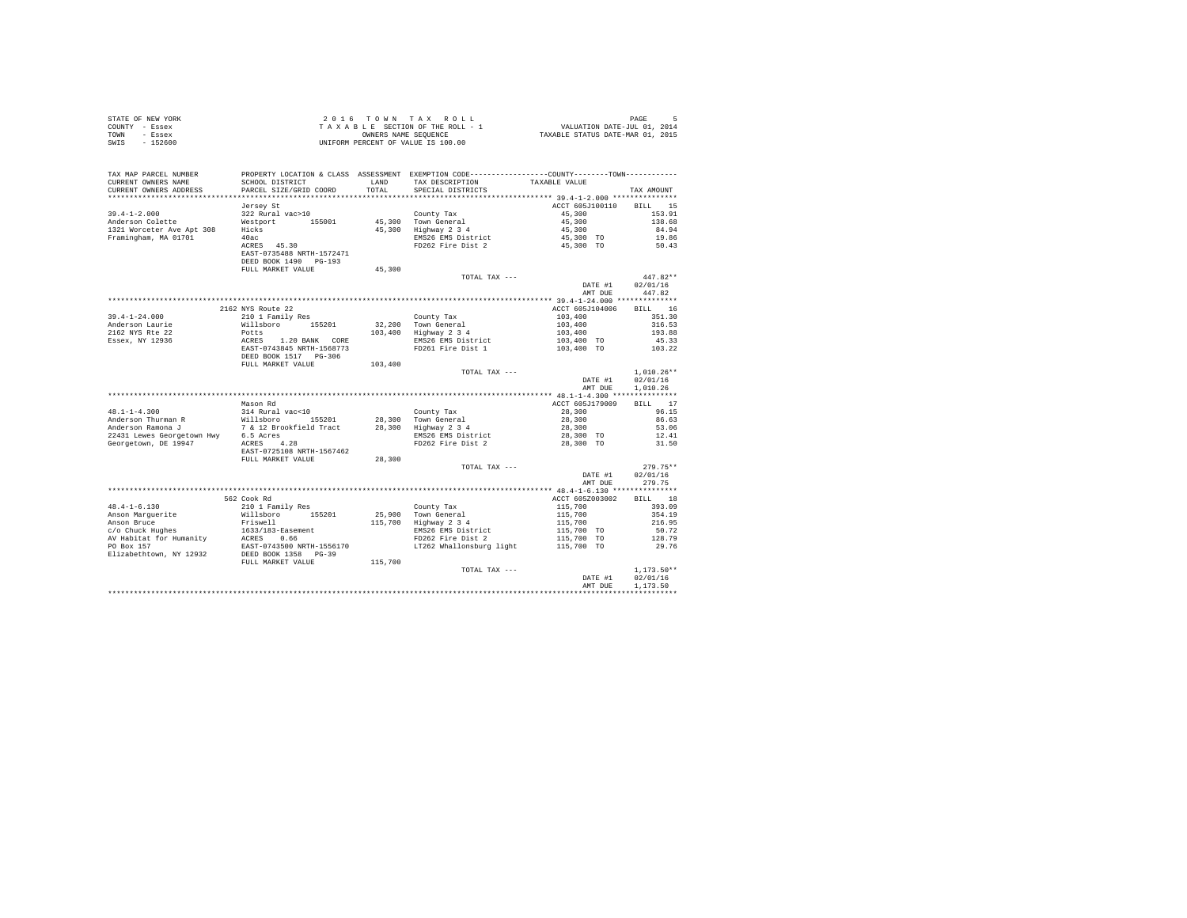| STATE OF NEW YORK | 2016 TOWN TAX ROLL                 | PAGE                             |
|-------------------|------------------------------------|----------------------------------|
| COUNTY - Essex    | TAXABLE SECTION OF THE ROLL - 1    | VALUATION DATE-JUL 01, 2014      |
| TOWN<br>- Essex   | OWNERS NAME SEOUENCE               | TAXABLE STATUS DATE-MAR 01, 2015 |
| SWIS<br>- 152600  | UNIFORM PERCENT OF VALUE IS 100.00 |                                  |

| TAX MAP PARCEL NUMBER<br>CURRENT OWNERS NAME                            | SCHOOL DISTRICT                                                                                                  | <b>T.AND</b> | PROPERTY LOCATION & CLASS ASSESSMENT EXEMPTION CODE---------------COUNTY-------TOWN---------<br>TAX DESCRIPTION | TAXABLE VALUE                                                                                                                                                                                |                    |
|-------------------------------------------------------------------------|------------------------------------------------------------------------------------------------------------------|--------------|-----------------------------------------------------------------------------------------------------------------|----------------------------------------------------------------------------------------------------------------------------------------------------------------------------------------------|--------------------|
| CURRENT OWNERS ADDRESS                                                  | PARCEL SIZE/GRID COORD                                                                                           | TOTAL        | SPECIAL DISTRICTS                                                                                               |                                                                                                                                                                                              | TAX AMOUNT         |
|                                                                         |                                                                                                                  |              |                                                                                                                 |                                                                                                                                                                                              |                    |
|                                                                         | Jersey St                                                                                                        |              |                                                                                                                 | ACCT 605J100110                                                                                                                                                                              | BILL 15            |
| $39.4 - 1 - 2.000$                                                      | 322 Rural vac>10                                                                                                 |              | County Tax                                                                                                      | 45,300                                                                                                                                                                                       | 153.91             |
| Anderson Colette                                                        | Westport 155001                                                                                                  |              | $45,300$ Town General<br>$45,300$ Highway 2 3 4                                                                 | 45,300                                                                                                                                                                                       | 138.68             |
| 1321 Worceter Ave Apt 308                                               | Hicks                                                                                                            |              |                                                                                                                 | 45,300                                                                                                                                                                                       | 84.94              |
| Framingham, MA 01701                                                    | 40ac                                                                                                             |              |                                                                                                                 |                                                                                                                                                                                              |                    |
|                                                                         | ACRES 45.30                                                                                                      |              | EMS26 EMS District 45,300 TO<br>FD262 Fire Dist 2 45,300 TO                                                     |                                                                                                                                                                                              | 19.86<br>50.43     |
|                                                                         | EAST-0735488 NRTH-1572471                                                                                        |              |                                                                                                                 |                                                                                                                                                                                              |                    |
|                                                                         | DEED BOOK 1490 PG-193                                                                                            |              |                                                                                                                 |                                                                                                                                                                                              |                    |
|                                                                         | FULL MARKET VALUE                                                                                                | 45,300       |                                                                                                                 |                                                                                                                                                                                              |                    |
|                                                                         |                                                                                                                  |              | TOTAL TAX ---                                                                                                   |                                                                                                                                                                                              | $447.82**$         |
|                                                                         |                                                                                                                  |              |                                                                                                                 | DATE #1                                                                                                                                                                                      | 02/01/16           |
|                                                                         |                                                                                                                  |              |                                                                                                                 | AMT DUE                                                                                                                                                                                      | 447.82             |
|                                                                         |                                                                                                                  |              |                                                                                                                 |                                                                                                                                                                                              |                    |
|                                                                         | 2162 NYS Route 22                                                                                                |              |                                                                                                                 | ACCT 605J104006                                                                                                                                                                              | BILL 16            |
| $39.4 - 1 - 24.000$                                                     | 210 1 Family Res                                                                                                 |              | County Tax                                                                                                      | $\begin{array}{ccc} 103,400 & 351\, .30 \\ 103,400 & 316\, .53 \\ 103,400 & 193.88 \\ 103,400 & 193.88 \\ 103,400 & {\text{T0}} & 45\, .33 \\ 103,400 & {\text{T0}} & 103\, .22 \end{array}$ |                    |
|                                                                         |                                                                                                                  |              | 32,200 Town General<br>103,400 Highway 2 3 4                                                                    |                                                                                                                                                                                              |                    |
|                                                                         |                                                                                                                  |              |                                                                                                                 |                                                                                                                                                                                              |                    |
|                                                                         |                                                                                                                  |              | EMS26 EMS District                                                                                              |                                                                                                                                                                                              |                    |
|                                                                         |                                                                                                                  |              | FD261 Fire Dist 1                                                                                               |                                                                                                                                                                                              |                    |
|                                                                         |                                                                                                                  |              |                                                                                                                 |                                                                                                                                                                                              |                    |
|                                                                         | FULL MARKET VALUE                                                                                                | 103,400      |                                                                                                                 |                                                                                                                                                                                              |                    |
|                                                                         |                                                                                                                  |              | TOTAL TAX ---                                                                                                   |                                                                                                                                                                                              | $1,010.26**$       |
|                                                                         |                                                                                                                  |              |                                                                                                                 | DATE #1                                                                                                                                                                                      | 02/01/16           |
|                                                                         |                                                                                                                  |              |                                                                                                                 | AMT DUE                                                                                                                                                                                      | 1.010.26           |
|                                                                         |                                                                                                                  |              |                                                                                                                 |                                                                                                                                                                                              |                    |
|                                                                         | Mason Rd                                                                                                         |              |                                                                                                                 | ACCT 605J179009                                                                                                                                                                              | BILL 17            |
| $48.1 - 1 - 4.300$                                                      | 314 Rural vac<10                                                                                                 |              | County Tax                                                                                                      | 28,300                                                                                                                                                                                       | 96.15              |
| Anderson Thurman R                                                      |                                                                                                                  |              |                                                                                                                 | 28,300                                                                                                                                                                                       | 86.63              |
| Anderson Ramona J                                                       |                                                                                                                  |              |                                                                                                                 | $28,300$<br>$28,300$ TO                                                                                                                                                                      | 53.06              |
| 22431 Lewes Georgetown Hwy 6.5 Acres                                    |                                                                                                                  |              |                                                                                                                 |                                                                                                                                                                                              | $33.00$<br>$12.41$ |
| 22431 Lewes Georgetown Hwy 6.5 Acres<br>Georgetown, DE 19947 ACRES 4.28 |                                                                                                                  |              | FD262 Fire Dist 2                                                                                               | 28,300 TO                                                                                                                                                                                    | 31.50              |
|                                                                         | EAST-0725108 NRTH-1567462                                                                                        |              |                                                                                                                 |                                                                                                                                                                                              |                    |
|                                                                         | FULL MARKET VALUE                                                                                                | 28,300       |                                                                                                                 |                                                                                                                                                                                              |                    |
|                                                                         |                                                                                                                  |              | TOTAL TAX ---                                                                                                   |                                                                                                                                                                                              | $279.75**$         |
|                                                                         |                                                                                                                  |              |                                                                                                                 | DATE #1                                                                                                                                                                                      | 02/01/16           |
|                                                                         |                                                                                                                  |              |                                                                                                                 | AMT DUE                                                                                                                                                                                      | 279.75             |
|                                                                         |                                                                                                                  |              |                                                                                                                 |                                                                                                                                                                                              |                    |
|                                                                         | 562 Cook Rd                                                                                                      |              |                                                                                                                 | ACCT 605Z003002                                                                                                                                                                              | BILL 18            |
| $48.4 - 1 - 6.130$                                                      | 210 1 Family Res                                                                                                 |              |                                                                                                                 |                                                                                                                                                                                              | 393.09             |
| Anson Marquerite                                                        |                                                                                                                  |              | County Tax<br>25,900 Town General                                                                               |                                                                                                                                                                                              | 354.19             |
| Anson Bruce                                                             | %10 1 Family Res<br>Willsboro 155201<br>Friswell<br>1633/183-Easement<br>ACRES 0.66<br>EAST-0743500 NRTH-1556170 |              | 115,700 Highway 2 3 4                                                                                           | $\begin{array}{lll} \textbf{115}, 700 \\ \textbf{115}, 700 \\ \textbf{115}, 700 \\ \textbf{115}, 700 \\ \textbf{115}, 700 \text{ TO} \\ \textbf{115}, 700 \text{ TO} \end{array}$            | 216.95             |
| c/o Chuck Hughes<br>AV Habitat for Humanity                             |                                                                                                                  |              | EMS26 EMS District<br>FD262 Fire Dist 2                                                                         |                                                                                                                                                                                              | 50.72              |
|                                                                         |                                                                                                                  |              |                                                                                                                 |                                                                                                                                                                                              | 128.79             |
| PO Box 157                                                              |                                                                                                                  |              | LT262 Whallonsburg light                                                                                        | 115,700 TO                                                                                                                                                                                   | 29.76              |
| Elizabethtown, NY 12932                                                 | DEED BOOK 1358 PG-39                                                                                             |              |                                                                                                                 |                                                                                                                                                                                              |                    |
|                                                                         | FULL MARKET VALUE                                                                                                | 115,700      |                                                                                                                 |                                                                                                                                                                                              |                    |
|                                                                         |                                                                                                                  |              | TOTAL TAX ---                                                                                                   |                                                                                                                                                                                              | $1,173.50**$       |
|                                                                         |                                                                                                                  |              |                                                                                                                 | DATE #1                                                                                                                                                                                      | 02/01/16           |
|                                                                         |                                                                                                                  |              |                                                                                                                 | AMT DUE                                                                                                                                                                                      | 1,173.50           |
|                                                                         |                                                                                                                  |              |                                                                                                                 |                                                                                                                                                                                              |                    |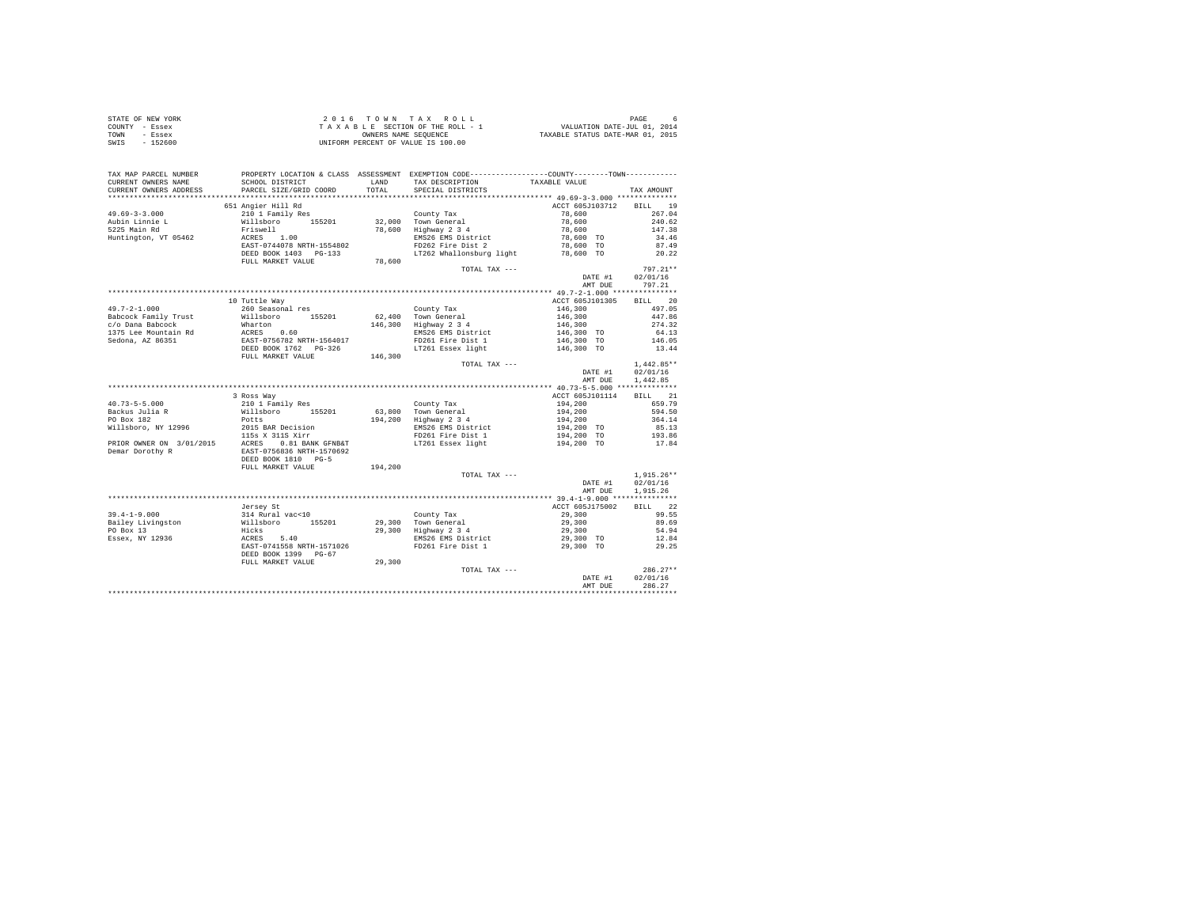| COUNTY - Essex<br>TOWN - Essex<br>SWIS - 152600 | OWNERS NAME SEQUENCE<br>UNIFORM PERCENT OF VALUE IS 100.00                                                                                                                                                                                                                                                                                                                                              |                 |                                      |                    |
|-------------------------------------------------|---------------------------------------------------------------------------------------------------------------------------------------------------------------------------------------------------------------------------------------------------------------------------------------------------------------------------------------------------------------------------------------------------------|-----------------|--------------------------------------|--------------------|
|                                                 |                                                                                                                                                                                                                                                                                                                                                                                                         |                 |                                      |                    |
|                                                 | TAX MAP PARCEL NUMBER PROPERTY LOCATION & CLASS ASSESSMENT EXEMPTION CODE---------------COUNTY--------TOWN----------                                                                                                                                                                                                                                                                                    |                 |                                      |                    |
| CURRENT OWNERS NAME                             |                                                                                                                                                                                                                                                                                                                                                                                                         |                 |                                      |                    |
| CURRENT OWNERS ADDRESS                          | PARCEL SIZE/GRID COORD                                                                                                                                                                                                                                                                                                                                                                                  |                 |                                      | TAX AMOUNT         |
|                                                 |                                                                                                                                                                                                                                                                                                                                                                                                         |                 |                                      |                    |
|                                                 | 651 Angier Hill Rd                                                                                                                                                                                                                                                                                                                                                                                      |                 | ACCT 605J103712 BILL 19              |                    |
|                                                 |                                                                                                                                                                                                                                                                                                                                                                                                         |                 |                                      |                    |
|                                                 |                                                                                                                                                                                                                                                                                                                                                                                                         |                 |                                      |                    |
|                                                 |                                                                                                                                                                                                                                                                                                                                                                                                         |                 |                                      |                    |
|                                                 |                                                                                                                                                                                                                                                                                                                                                                                                         |                 |                                      |                    |
|                                                 |                                                                                                                                                                                                                                                                                                                                                                                                         |                 |                                      |                    |
|                                                 |                                                                                                                                                                                                                                                                                                                                                                                                         |                 |                                      |                    |
|                                                 |                                                                                                                                                                                                                                                                                                                                                                                                         | TOTAL TAX ---   |                                      | $797.21**$         |
|                                                 |                                                                                                                                                                                                                                                                                                                                                                                                         |                 | DATE #1 02/01/16                     |                    |
|                                                 |                                                                                                                                                                                                                                                                                                                                                                                                         |                 |                                      | AMT DUE 797.21     |
|                                                 |                                                                                                                                                                                                                                                                                                                                                                                                         |                 |                                      |                    |
|                                                 | 10 Tuttle Way                                                                                                                                                                                                                                                                                                                                                                                           |                 | ACCT 605J101305 BILL 20              |                    |
|                                                 |                                                                                                                                                                                                                                                                                                                                                                                                         |                 |                                      |                    |
|                                                 |                                                                                                                                                                                                                                                                                                                                                                                                         |                 |                                      |                    |
|                                                 |                                                                                                                                                                                                                                                                                                                                                                                                         |                 |                                      |                    |
|                                                 |                                                                                                                                                                                                                                                                                                                                                                                                         |                 |                                      |                    |
|                                                 |                                                                                                                                                                                                                                                                                                                                                                                                         |                 |                                      |                    |
|                                                 | $\begin{tabular}{l c c c c c} \multicolumn{1}{c c c c} \multicolumn{1}{c c c} \multicolumn{1}{c c c} \multicolumn{1}{c c c} \multicolumn{1}{c c c} \multicolumn{1}{c c c} \multicolumn{1}{c c c} \multicolumn{1}{c c c} \multicolumn{1}{c c c} \multicolumn{1}{c c c} \multicolumn{1}{c c c} \multicolumn{1}{c c c} \multicolumn{1}{c c c} \multicolumn{1}{c c c} \multicolumn{1}{c c c} \multicolumn{$ |                 |                                      |                    |
|                                                 |                                                                                                                                                                                                                                                                                                                                                                                                         | TOTAL TAX $---$ |                                      | $1,442.85**$       |
|                                                 |                                                                                                                                                                                                                                                                                                                                                                                                         |                 | DATE #1 02/01/16<br>AMT DUE 1,442.85 |                    |
|                                                 | $\begin{tabular}{l c c c c c} \multicolumn{4}{c c c c} \multicolumn{4}{c c c} \multicolumn{4}{c c c} \multicolumn{4}{c c c} \multicolumn{4}{c c c} \multicolumn{4}{c c c} \multicolumn{4}{c c c} \multicolumn{4}{c c c} \multicolumn{4}{c c c} \multicolumn{4}{c c c} \multicolumn{4}{c c c} \multicolumn{4}{c c c} \multicolumn{4}{c c c} \multicolumn{4}{c c c} \multicolumn{4}{c c c} \multicolumn{$ |                 |                                      |                    |
|                                                 |                                                                                                                                                                                                                                                                                                                                                                                                         |                 |                                      |                    |
|                                                 |                                                                                                                                                                                                                                                                                                                                                                                                         |                 |                                      |                    |
|                                                 |                                                                                                                                                                                                                                                                                                                                                                                                         |                 |                                      |                    |
|                                                 |                                                                                                                                                                                                                                                                                                                                                                                                         |                 |                                      |                    |
|                                                 |                                                                                                                                                                                                                                                                                                                                                                                                         |                 |                                      |                    |
|                                                 |                                                                                                                                                                                                                                                                                                                                                                                                         |                 |                                      |                    |
|                                                 |                                                                                                                                                                                                                                                                                                                                                                                                         |                 |                                      |                    |
|                                                 |                                                                                                                                                                                                                                                                                                                                                                                                         |                 |                                      |                    |
|                                                 |                                                                                                                                                                                                                                                                                                                                                                                                         |                 |                                      |                    |
|                                                 |                                                                                                                                                                                                                                                                                                                                                                                                         |                 |                                      |                    |
|                                                 |                                                                                                                                                                                                                                                                                                                                                                                                         | TOTAL TAX ---   |                                      | $1,915.26**$       |
|                                                 |                                                                                                                                                                                                                                                                                                                                                                                                         |                 | DATE #1 02/01/16                     |                    |
|                                                 |                                                                                                                                                                                                                                                                                                                                                                                                         |                 |                                      | AMT DUE 1,915.26   |
|                                                 |                                                                                                                                                                                                                                                                                                                                                                                                         |                 |                                      |                    |
|                                                 |                                                                                                                                                                                                                                                                                                                                                                                                         |                 |                                      | BILL 22            |
|                                                 |                                                                                                                                                                                                                                                                                                                                                                                                         |                 |                                      | 99.55              |
|                                                 |                                                                                                                                                                                                                                                                                                                                                                                                         |                 |                                      | 89.69              |
|                                                 |                                                                                                                                                                                                                                                                                                                                                                                                         |                 |                                      | 54.94              |
|                                                 |                                                                                                                                                                                                                                                                                                                                                                                                         |                 |                                      | $12.84$<br>$29.25$ |
|                                                 | 39.4-1-9.000 Jersey St<br>39.4-1-9.000 Jersey St<br>39.4-1-9.000 William Vac-10<br>39.400 William Vac-10<br>39.300 Town General 29,300<br>PO Box 13<br>29,300 Highway 2 34<br>29,300 Highway 2 34<br>29,300 Highway 23 4<br>29,300 Highway 23 4<br>                                                                                                                                                     |                 |                                      |                    |
|                                                 |                                                                                                                                                                                                                                                                                                                                                                                                         |                 |                                      |                    |
|                                                 |                                                                                                                                                                                                                                                                                                                                                                                                         | TOTAL TAX ---   |                                      | $286.27**$         |
|                                                 |                                                                                                                                                                                                                                                                                                                                                                                                         |                 |                                      | DATE #1 02/01/16   |
|                                                 |                                                                                                                                                                                                                                                                                                                                                                                                         |                 | AMT DUE                              | 286.27             |
|                                                 |                                                                                                                                                                                                                                                                                                                                                                                                         |                 |                                      |                    |

STATE OF NEW YORK 2 0 1 6 T O W N T A X R O L L PAGE 6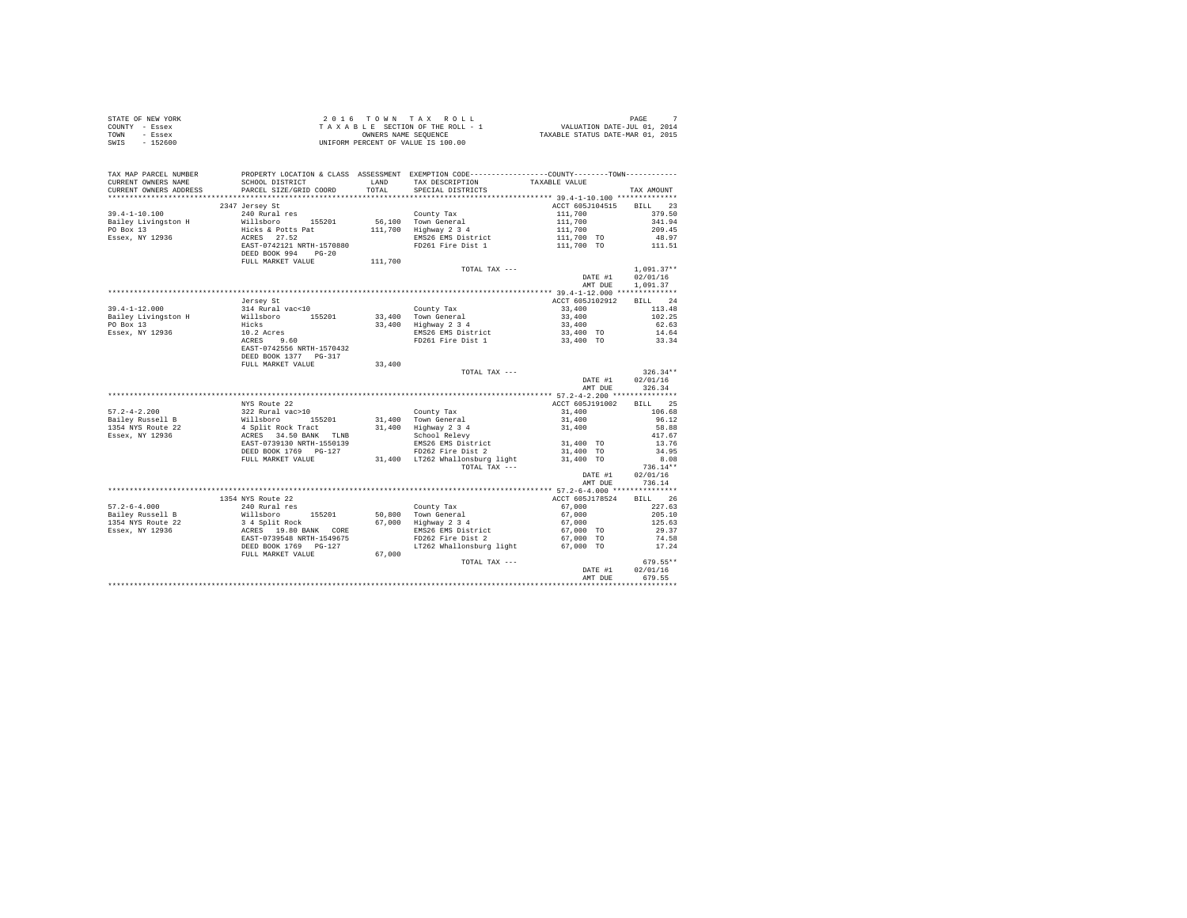|                | STATE OF NEW YORK | 2016 TOWN TAX ROLL                 | PAGE                             |
|----------------|-------------------|------------------------------------|----------------------------------|
| COUNTY - Essex |                   | TAXABLE SECTION OF THE ROLL - 1    | VALUATION DATE-JUL 01, 2014      |
| TOWN           | - Essex           | OWNERS NAME SEOUENCE               | TAXABLE STATUS DATE-MAR 01, 2015 |
| SWIS           | $-152600$         | UNIFORM PERCENT OF VALUE IS 100.00 |                                  |

| TAX MAP PARCEL NUMBER<br>CURRENT OWNERS NAME<br>CURRENT OWNERS ADDRESS                                            | SCHOOL DISTRICT<br>PARCEL SIZE/GRID COORD                                               | LAND<br>TOTAL. | PROPERTY LOCATION & CLASS ASSESSMENT EXEMPTION CODE----------------COUNTY--------TOWN----------<br>TAX DESCRIPTION<br>SPECIAL DISTRICTS | TAXABLE VALUE                                                                                  | TAX AMOUNT       |
|-------------------------------------------------------------------------------------------------------------------|-----------------------------------------------------------------------------------------|----------------|-----------------------------------------------------------------------------------------------------------------------------------------|------------------------------------------------------------------------------------------------|------------------|
| *************************                                                                                         |                                                                                         |                |                                                                                                                                         |                                                                                                |                  |
| $39.4 - 1 - 10.100$                                                                                               | 2347 Jersey St<br>240 Rural res<br>Willsboro 155201<br>Hicks & Potts Pat<br>ACRES 27.52 |                |                                                                                                                                         | ACCT 605J104515 BILL 23<br>$111,700$<br>$111,700$<br>$111,700$<br>$111,700$ TO<br>$111,700$ TO | 379.50           |
| Bailey Livingston H                                                                                               |                                                                                         |                | County Tax<br>56,100 Town General                                                                                                       |                                                                                                | 341.94           |
| PO Box 13                                                                                                         |                                                                                         |                | 111,700 Highway 2 3 4                                                                                                                   |                                                                                                | 209.45           |
| Essex, NY 12936                                                                                                   |                                                                                         |                | EMS26 EMS District                                                                                                                      |                                                                                                | 48.97            |
|                                                                                                                   | EAST-0742121 NRTH-1570880                                                               |                | FD261 Fire Dist 1                                                                                                                       |                                                                                                | 111.51           |
|                                                                                                                   | DEED BOOK 994 PG-20                                                                     |                |                                                                                                                                         |                                                                                                |                  |
|                                                                                                                   | FULL MARKET VALUE                                                                       | 111,700        |                                                                                                                                         |                                                                                                |                  |
|                                                                                                                   |                                                                                         |                | TOTAL TAX ---                                                                                                                           |                                                                                                | $1.091.37**$     |
|                                                                                                                   |                                                                                         |                |                                                                                                                                         | DATE #1                                                                                        | 02/01/16         |
|                                                                                                                   |                                                                                         |                |                                                                                                                                         | AMT DUE                                                                                        | 1,091.37         |
|                                                                                                                   |                                                                                         |                |                                                                                                                                         |                                                                                                |                  |
|                                                                                                                   | Jersey St                                                                               |                |                                                                                                                                         | ACCT 605J102912                                                                                | BILL 24          |
| $39.4 - 1 - 12.000$                                                                                               | 314 Rural vac<10                                                                        |                | County Tax                                                                                                                              | 33,400                                                                                         | 113.48           |
| 33.4-1-12.000<br>Bailey Livingston H Millsboro 155201 33,400 Town General<br>PO Box 13 Hicks 33,400 Highway 2 3 4 |                                                                                         |                |                                                                                                                                         | 33,400                                                                                         | 102.25           |
|                                                                                                                   |                                                                                         |                | 33,400 Highway 2 3 4                                                                                                                    | 33,400                                                                                         | 62.63            |
| Essex, NY 12936                                                                                                   |                                                                                         |                |                                                                                                                                         | 33,400 TO                                                                                      | 14.64<br>33.34   |
|                                                                                                                   | 10.2 Acres<br>ACRES 9.60                                                                |                | EMS26 EMS District<br>FD261 Fire Dist 1                                                                                                 | 33,400 TO                                                                                      |                  |
|                                                                                                                   | EAST-0742556 NRTH-1570432                                                               |                |                                                                                                                                         |                                                                                                |                  |
|                                                                                                                   | DEED BOOK 1377 PG-317                                                                   |                |                                                                                                                                         |                                                                                                |                  |
|                                                                                                                   | FULL MARKET VALUE                                                                       | 33,400         |                                                                                                                                         |                                                                                                |                  |
|                                                                                                                   |                                                                                         |                | TOTAL TAX ---                                                                                                                           |                                                                                                | $326.34**$       |
|                                                                                                                   |                                                                                         |                |                                                                                                                                         |                                                                                                | DATE #1 02/01/16 |
|                                                                                                                   |                                                                                         |                |                                                                                                                                         | AMT DUE                                                                                        | 326.34           |
|                                                                                                                   |                                                                                         |                |                                                                                                                                         |                                                                                                |                  |
|                                                                                                                   | NYS Route 22                                                                            |                |                                                                                                                                         | ACCT 605J191002                                                                                | BILL 25          |
| $57.2 - 4 - 2.200$                                                                                                |                                                                                         |                |                                                                                                                                         | 31,400                                                                                         | 106.68           |
| Bailey Russell B                                                                                                  |                                                                                         |                |                                                                                                                                         |                                                                                                | 96.12            |
| 1354 NYS Route 22                                                                                                 |                                                                                         |                |                                                                                                                                         | $31,400$<br>$31,400$                                                                           | 58.88            |
| Essex, NY 12936                                                                                                   |                                                                                         |                |                                                                                                                                         |                                                                                                | 417.67           |
|                                                                                                                   | EAST-0739130 NRTH-1550139                                                               |                | EMS26 EMS District<br>FD262 Fire Dist 2                                                                                                 | 31,400 TO                                                                                      | 13.76            |
|                                                                                                                   | DEED BOOK 1769 PG-127                                                                   |                |                                                                                                                                         | 31,400 TO<br>31,400 TO                                                                         | 34.95            |
|                                                                                                                   | FULL MARKET VALUE                                                                       |                | 31,400 LT262 Whallonsburg light                                                                                                         |                                                                                                | 8.08             |
|                                                                                                                   |                                                                                         |                | TOTAL TAX $---$                                                                                                                         |                                                                                                | $736.14**$       |
|                                                                                                                   |                                                                                         |                |                                                                                                                                         | DATE #1                                                                                        | 02/01/16         |
|                                                                                                                   |                                                                                         |                |                                                                                                                                         | AMT DUE                                                                                        | 736.14           |
|                                                                                                                   |                                                                                         |                |                                                                                                                                         |                                                                                                |                  |
|                                                                                                                   | 1354 NYS Route 22                                                                       |                |                                                                                                                                         | ACCT 605J178524                                                                                | BILL 26          |
| $57.2 - 6 - 4.000$                                                                                                |                                                                                         |                |                                                                                                                                         | 67,000                                                                                         | 227.63           |
| $Bailey Russell B$<br>$1254 \cdot \cdots$                                                                         |                                                                                         |                |                                                                                                                                         | 67,000                                                                                         | 205.10           |
| 1354 NYS Route 22                                                                                                 |                                                                                         |                |                                                                                                                                         | 67,000                                                                                         | 125.63           |
| Essex, NY 12936                                                                                                   |                                                                                         |                | EMS26 EMS District                                                                                                                      | 67,000 TO                                                                                      | 29.37            |
|                                                                                                                   |                                                                                         |                | FD262 Fire Dist 2                                                                                                                       | 67,000 TO                                                                                      | 74.58            |
|                                                                                                                   | DEED BOOK 1769 PG-127                                                                   |                | LT262 Whallonsburg light 67,000 TO                                                                                                      |                                                                                                | 17.24            |
|                                                                                                                   | FULL MARKET VALUE                                                                       | 67,000         |                                                                                                                                         |                                                                                                |                  |
|                                                                                                                   |                                                                                         |                | TOTAL TAX ---                                                                                                                           |                                                                                                | $679.55**$       |
|                                                                                                                   |                                                                                         |                |                                                                                                                                         | DATE #1                                                                                        | 02/01/16         |
|                                                                                                                   |                                                                                         |                |                                                                                                                                         | AMT DUE                                                                                        | 679.55           |
|                                                                                                                   |                                                                                         |                |                                                                                                                                         | ******************************                                                                 |                  |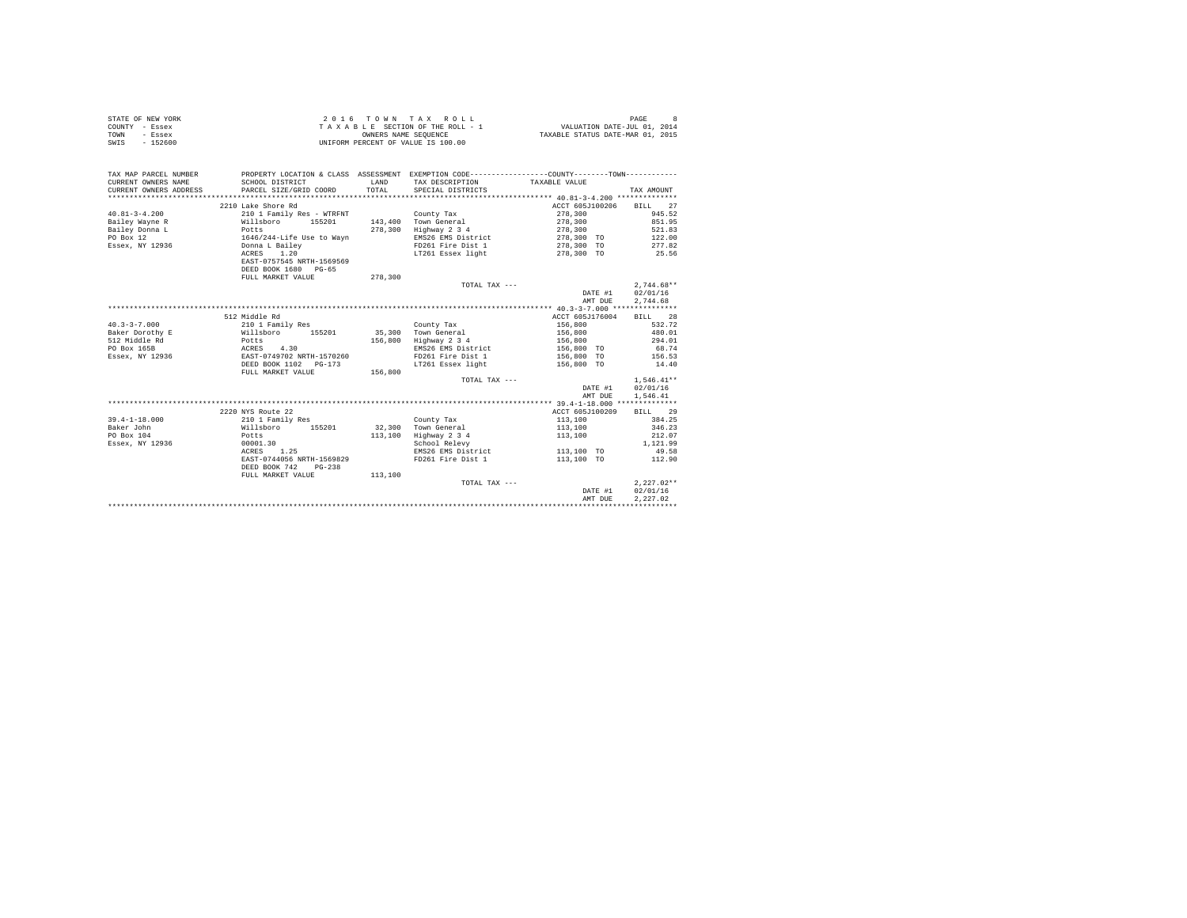| STATE OF NEW YORK | 2016 TOWN TAX ROLL                 | PAGE                             |
|-------------------|------------------------------------|----------------------------------|
| COUNTY - Essex    | TAXABLE SECTION OF THE ROLL - 1    | VALUATION DATE-JUL 01, 2014      |
| TOWN<br>- Essex   | OWNERS NAME SEOUENCE               | TAXABLE STATUS DATE-MAR 01, 2015 |
| $-152600$<br>SWIS | UNIFORM PERCENT OF VALUE IS 100.00 |                                  |

| TAX MAP PARCEL NUMBER  |                                                                             |         | PROPERTY LOCATION & CLASS ASSESSMENT EXEMPTION CODE----------------COUNTY-------TOWN---------- |                         |                  |
|------------------------|-----------------------------------------------------------------------------|---------|------------------------------------------------------------------------------------------------|-------------------------|------------------|
| CURRENT OWNERS NAME    | SCHOOL DISTRICT                                                             | LAND    | TAX DESCRIPTION                                                                                | TAXABLE VALUE           |                  |
| CURRENT OWNERS ADDRESS | PARCEL SIZE/GRID COORD                                                      | TOTAL   | SPECIAL DISTRICTS                                                                              |                         | TAX AMOUNT       |
|                        |                                                                             |         |                                                                                                |                         |                  |
|                        | 2210 Lake Shore Rd                                                          |         |                                                                                                | ACCT 605J100206 BILL 27 |                  |
| $40.81 - 3 - 4.200$    | 210 1 Family Res - WTRFNT                                                   |         | County Tax                                                                                     | 278,300                 | 945.52           |
| Bailey Wayne R         | Willsboro 155201                                                            |         | 143,400 Town General                                                                           | 278,300                 | 851.95           |
| Bailey Donna L         | Potts<br>1646/244-Life Use to Wayn<br>Donna L Bailey                        | 278,300 | Highway 2 3 4                                                                                  | 278,300                 | 521.83           |
| PO Box 12              |                                                                             |         | EMS26 EMS District                                                                             | 278,300 TO              | 122.00           |
| Essex, NY 12936        |                                                                             |         | FD261 Fire Dist 1                                                                              | 278,300 TO              | 277.82           |
|                        | ACRES 1.20                                                                  |         | LT261 Essex light 278,300 TO                                                                   |                         | 25.56            |
|                        | EAST-0757545 NRTH-1569569                                                   |         |                                                                                                |                         |                  |
|                        | DEED BOOK 1680 PG-65                                                        |         |                                                                                                |                         |                  |
|                        | FULL MARKET VALUE                                                           | 278,300 |                                                                                                |                         |                  |
|                        |                                                                             |         | TOTAL TAX ---                                                                                  |                         | $2.744.68**$     |
|                        |                                                                             |         |                                                                                                | DATE #1 02/01/16        |                  |
|                        |                                                                             |         |                                                                                                | AMT DUE                 | 2,744.68         |
|                        |                                                                             |         |                                                                                                |                         |                  |
|                        | 512 Middle Rd                                                               |         |                                                                                                | ACCT 605J176004         | BILL 28          |
| $40.3 - 3 - 7.000$     | 210 1 Family Res                                                            |         | County Tax                                                                                     | 156,800                 | 532.72           |
| Baker Dorothy E        | Willsboro 155201                                                            |         | 35,300 Town General                                                                            | 156,800                 | 480.01           |
| Potts<br>512 Middle Rd |                                                                             |         | 156,800 Highway 2 3 4                                                                          | 156,800                 | 294.01           |
| PO Box 165B            |                                                                             |         | EMS26 EMS District                                                                             | 156,800 TO              | 68.74            |
| Essex, NY 12936        | ACRES 4.30<br>EAST-0749702 NRTH-1570260                                     |         | FD261 Fire Dist 1                                                                              | 156,800 TO              | 156.53           |
|                        |                                                                             |         | LT261 Essex light                                                                              | 156,800 TO              | 14.40            |
|                        | FULL MARKET VALUE                                                           | 156,800 |                                                                                                |                         |                  |
|                        |                                                                             |         | TOTAL TAX ---                                                                                  |                         | $1,546.41**$     |
|                        |                                                                             |         |                                                                                                |                         | DATE #1 02/01/16 |
|                        |                                                                             |         |                                                                                                | AMT DUE                 | 1,546.41         |
|                        |                                                                             |         |                                                                                                |                         |                  |
|                        | 2220 NYS Route 22                                                           |         |                                                                                                |                         |                  |
|                        |                                                                             |         |                                                                                                | ACCT 605J100209         | BILL 29          |
| $39.4 - 1 - 18.000$    | 210 1 Family Res<br>Willsboro 155201 - 32,300 Town General<br>מחומות החיידי |         |                                                                                                | 113,100                 | 384.25           |
| Baker John             |                                                                             |         |                                                                                                | 113,100                 | 346.23           |
| PO Box 104             |                                                                             |         | Highway 2 3 4                                                                                  | 113,100                 | 212.07           |
| Essex, NY 12936        | 00001.30                                                                    |         | School Relevy                                                                                  |                         | 1,121.99         |
|                        | ACRES 1.25                                                                  |         | EMS26 EMS District                                                                             | 113,100 TO              | 49.58            |
|                        | EAST-0744056 NRTH-1569829                                                   |         | FD261 Fire Dist 1                                                                              | 113,100 TO              | 112.90           |
|                        | DEED BOOK 742<br>$PG-238$                                                   |         |                                                                                                |                         |                  |
|                        | FULL MARKET VALUE                                                           | 113,100 |                                                                                                |                         |                  |
|                        |                                                                             |         | TOTAL TAX ---                                                                                  |                         | $2.227.02**$     |
|                        |                                                                             |         |                                                                                                | DATE #1                 | 02/01/16         |
|                        |                                                                             |         |                                                                                                | AMT DUE                 | 2.227.02         |
|                        |                                                                             |         |                                                                                                |                         |                  |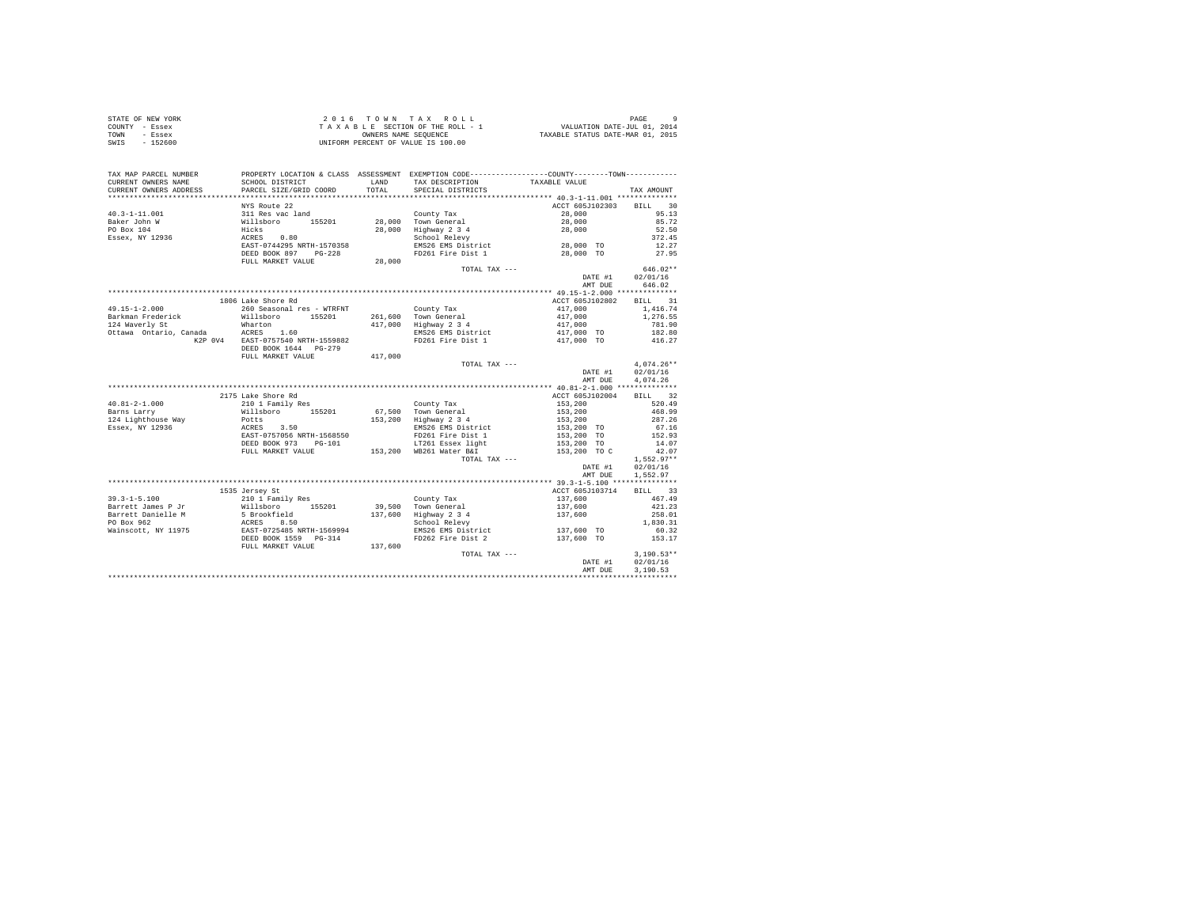| STATE OF NEW YORK | 2016 TOWN TAX ROLL                 | PAGE                             |
|-------------------|------------------------------------|----------------------------------|
| COUNTY - Essex    | TAXABLE SECTION OF THE ROLL - 1    | VALUATION DATE-JUL 01, 2014      |
| TOWN<br>- Essex   | OWNERS NAME SEOUENCE               | TAXABLE STATUS DATE-MAR 01, 2015 |
| SWIS<br>$-152600$ | UNIFORM PERCENT OF VALUE IS 100.00 |                                  |

| CURRENT OWNERS NAME<br>SCHOOL DISTRICT<br>LAND<br>TAX DESCRIPTION<br>TAXABLE VALUE<br>TOTAL<br>CURRENT OWNERS ADDRESS<br>PARCEL SIZE/GRID COORD<br>SPECIAL DISTRICTS<br>TAX AMOUNT<br>ACCT 605J102303 BILL 30<br>NYS Route 22<br>$40.3 - 1 - 11.001$<br>311 Res vac land<br>Willsboro 155201<br>Hicks<br>ACRES 0.80<br>EAST-0744295 NRTH-1570358<br>95.13<br>County Tax<br>28,000<br>28,000 Town General<br>28,000<br>85.72<br>Baker John W<br>PO Box 104<br>28,000 Highway 2 3 4<br>52.50<br>28,000<br>School Relevy<br>Essex, NY 12936<br>372.45<br>28,000 TO<br>EMS26 EMS District<br>12.27<br>FD261 Fire Dist 1 28,000 TO<br>DEED BOOK 897 PG-228<br>27.95<br>28,000<br>FULL MARKET VALUE<br>$646.02**$<br>TOTAL TAX ---<br>DATE #1 02/01/16<br>646.02<br>AMT DUE<br>1806 Lake Shore Rd<br>ACCT 605J102802<br>BILL 31<br>260 Seasonal res - WTRFNT<br>1,416.74<br>County Tax<br>417,000<br>417,000<br>Willsboro 155201<br>261.600 Town General<br>1,276.55<br>417,000 Highway 2 3 4<br>417,000<br>Wharton<br>ACRES 1.60<br>781.90<br>417,000 TO<br>Ottawa Ontario, Canada<br>EMS26 EMS District<br>182.80<br>K2P 0V4 EAST-0757540 NRTH-1559882<br>FD261 Fire Dist 1<br>417,000 TO<br>416.27<br>DEED BOOK 1644 PG-279<br>FULL MARKET VALUE<br>417,000<br>$4.074.26**$<br>TOTAL TAX ---<br>02/01/16<br>DATE #1<br>AMT DUE<br>4,074.26<br>2175 Lake Shore Rd<br>ACCT 605J102004<br>BILL 32<br>210 1 Family Res<br>Willsboro 155201<br>Potts<br>153,200<br>520.49<br>$40.81 - 2 - 1.000$<br>County Tax<br>67.500 Town General<br>Barns Larry<br>153,200<br>153,200<br>468.99<br>$153,200$ Highway $2\overline{3}4$<br>124 Lighthouse Way<br>287.26<br>Potts<br>ACRES 3.50<br>EAST-0757056 NRTH-1568550<br>153,200 TO<br>153,200 TO<br>Essex, NY 12936<br>67.16<br>EMS26 EMS District<br>FD261 Fire Dist 1<br>152.93<br>DEED BOOK 973 PG-101<br>LT261 Essex light<br>153,200 TO<br>14.07<br>153,200 WB261 Water B&I<br>FULL MARKET VALUE<br>153,200 TO C<br>42.07<br>$1,552.97**$<br>TOTAL TAX ---<br>DATE #1<br>02/01/16<br>1,552.97<br>AMT DUE<br>ACCT 605J103714<br>1535 Jersey St<br>BILL 33<br>467.49<br>$39.3 - 1 - 5.100$<br>210 1 Family Res<br>137,600<br>County Tax<br>% = 1. 0.0001<br>% = 11118boro 155201<br>5 Brookfield<br>ACRES 8.50<br>EAST-0725485 NRTH-1569994<br>DEED BOOK 1559 PG-314<br>39.500 Town General<br>Barrett James P Jr<br>137,600<br>421.23<br>137,600 Highway 2 3 4<br>137,600<br>258.01<br>PO Box 962<br>School Relevy<br>1,830.31<br>137,600 TO<br>EMS26 EMS District<br>60.32<br>FD262 Fire Dist 2<br>137,600 TO<br>153.17<br>137,600<br>FULL MARKET VALUE<br>$3.190.53**$<br>TOTAL TAX ---<br>02/01/16<br>DATE #1<br>AMT DUE<br>3,190.53 | TAX MAP PARCEL NUMBER | PROPERTY LOCATION & CLASS ASSESSMENT EXEMPTION CODE---------------COUNTY-------TOWN--------- |  |  |
|-------------------------------------------------------------------------------------------------------------------------------------------------------------------------------------------------------------------------------------------------------------------------------------------------------------------------------------------------------------------------------------------------------------------------------------------------------------------------------------------------------------------------------------------------------------------------------------------------------------------------------------------------------------------------------------------------------------------------------------------------------------------------------------------------------------------------------------------------------------------------------------------------------------------------------------------------------------------------------------------------------------------------------------------------------------------------------------------------------------------------------------------------------------------------------------------------------------------------------------------------------------------------------------------------------------------------------------------------------------------------------------------------------------------------------------------------------------------------------------------------------------------------------------------------------------------------------------------------------------------------------------------------------------------------------------------------------------------------------------------------------------------------------------------------------------------------------------------------------------------------------------------------------------------------------------------------------------------------------------------------------------------------------------------------------------------------------------------------------------------------------------------------------------------------------------------------------------------------------------------------------------------------------------------------------------------------------------------------------------------------------------------------------------------------------------------------------------------------------------------------------------------------------------------------------------------------------------------------------------------------------------------------------------------------------|-----------------------|----------------------------------------------------------------------------------------------|--|--|
|                                                                                                                                                                                                                                                                                                                                                                                                                                                                                                                                                                                                                                                                                                                                                                                                                                                                                                                                                                                                                                                                                                                                                                                                                                                                                                                                                                                                                                                                                                                                                                                                                                                                                                                                                                                                                                                                                                                                                                                                                                                                                                                                                                                                                                                                                                                                                                                                                                                                                                                                                                                                                                                                               |                       |                                                                                              |  |  |
|                                                                                                                                                                                                                                                                                                                                                                                                                                                                                                                                                                                                                                                                                                                                                                                                                                                                                                                                                                                                                                                                                                                                                                                                                                                                                                                                                                                                                                                                                                                                                                                                                                                                                                                                                                                                                                                                                                                                                                                                                                                                                                                                                                                                                                                                                                                                                                                                                                                                                                                                                                                                                                                                               |                       |                                                                                              |  |  |
|                                                                                                                                                                                                                                                                                                                                                                                                                                                                                                                                                                                                                                                                                                                                                                                                                                                                                                                                                                                                                                                                                                                                                                                                                                                                                                                                                                                                                                                                                                                                                                                                                                                                                                                                                                                                                                                                                                                                                                                                                                                                                                                                                                                                                                                                                                                                                                                                                                                                                                                                                                                                                                                                               |                       |                                                                                              |  |  |
|                                                                                                                                                                                                                                                                                                                                                                                                                                                                                                                                                                                                                                                                                                                                                                                                                                                                                                                                                                                                                                                                                                                                                                                                                                                                                                                                                                                                                                                                                                                                                                                                                                                                                                                                                                                                                                                                                                                                                                                                                                                                                                                                                                                                                                                                                                                                                                                                                                                                                                                                                                                                                                                                               |                       |                                                                                              |  |  |
|                                                                                                                                                                                                                                                                                                                                                                                                                                                                                                                                                                                                                                                                                                                                                                                                                                                                                                                                                                                                                                                                                                                                                                                                                                                                                                                                                                                                                                                                                                                                                                                                                                                                                                                                                                                                                                                                                                                                                                                                                                                                                                                                                                                                                                                                                                                                                                                                                                                                                                                                                                                                                                                                               |                       |                                                                                              |  |  |
|                                                                                                                                                                                                                                                                                                                                                                                                                                                                                                                                                                                                                                                                                                                                                                                                                                                                                                                                                                                                                                                                                                                                                                                                                                                                                                                                                                                                                                                                                                                                                                                                                                                                                                                                                                                                                                                                                                                                                                                                                                                                                                                                                                                                                                                                                                                                                                                                                                                                                                                                                                                                                                                                               |                       |                                                                                              |  |  |
|                                                                                                                                                                                                                                                                                                                                                                                                                                                                                                                                                                                                                                                                                                                                                                                                                                                                                                                                                                                                                                                                                                                                                                                                                                                                                                                                                                                                                                                                                                                                                                                                                                                                                                                                                                                                                                                                                                                                                                                                                                                                                                                                                                                                                                                                                                                                                                                                                                                                                                                                                                                                                                                                               |                       |                                                                                              |  |  |
|                                                                                                                                                                                                                                                                                                                                                                                                                                                                                                                                                                                                                                                                                                                                                                                                                                                                                                                                                                                                                                                                                                                                                                                                                                                                                                                                                                                                                                                                                                                                                                                                                                                                                                                                                                                                                                                                                                                                                                                                                                                                                                                                                                                                                                                                                                                                                                                                                                                                                                                                                                                                                                                                               |                       |                                                                                              |  |  |
|                                                                                                                                                                                                                                                                                                                                                                                                                                                                                                                                                                                                                                                                                                                                                                                                                                                                                                                                                                                                                                                                                                                                                                                                                                                                                                                                                                                                                                                                                                                                                                                                                                                                                                                                                                                                                                                                                                                                                                                                                                                                                                                                                                                                                                                                                                                                                                                                                                                                                                                                                                                                                                                                               |                       |                                                                                              |  |  |
|                                                                                                                                                                                                                                                                                                                                                                                                                                                                                                                                                                                                                                                                                                                                                                                                                                                                                                                                                                                                                                                                                                                                                                                                                                                                                                                                                                                                                                                                                                                                                                                                                                                                                                                                                                                                                                                                                                                                                                                                                                                                                                                                                                                                                                                                                                                                                                                                                                                                                                                                                                                                                                                                               |                       |                                                                                              |  |  |
|                                                                                                                                                                                                                                                                                                                                                                                                                                                                                                                                                                                                                                                                                                                                                                                                                                                                                                                                                                                                                                                                                                                                                                                                                                                                                                                                                                                                                                                                                                                                                                                                                                                                                                                                                                                                                                                                                                                                                                                                                                                                                                                                                                                                                                                                                                                                                                                                                                                                                                                                                                                                                                                                               |                       |                                                                                              |  |  |
|                                                                                                                                                                                                                                                                                                                                                                                                                                                                                                                                                                                                                                                                                                                                                                                                                                                                                                                                                                                                                                                                                                                                                                                                                                                                                                                                                                                                                                                                                                                                                                                                                                                                                                                                                                                                                                                                                                                                                                                                                                                                                                                                                                                                                                                                                                                                                                                                                                                                                                                                                                                                                                                                               |                       |                                                                                              |  |  |
|                                                                                                                                                                                                                                                                                                                                                                                                                                                                                                                                                                                                                                                                                                                                                                                                                                                                                                                                                                                                                                                                                                                                                                                                                                                                                                                                                                                                                                                                                                                                                                                                                                                                                                                                                                                                                                                                                                                                                                                                                                                                                                                                                                                                                                                                                                                                                                                                                                                                                                                                                                                                                                                                               |                       |                                                                                              |  |  |
|                                                                                                                                                                                                                                                                                                                                                                                                                                                                                                                                                                                                                                                                                                                                                                                                                                                                                                                                                                                                                                                                                                                                                                                                                                                                                                                                                                                                                                                                                                                                                                                                                                                                                                                                                                                                                                                                                                                                                                                                                                                                                                                                                                                                                                                                                                                                                                                                                                                                                                                                                                                                                                                                               |                       |                                                                                              |  |  |
|                                                                                                                                                                                                                                                                                                                                                                                                                                                                                                                                                                                                                                                                                                                                                                                                                                                                                                                                                                                                                                                                                                                                                                                                                                                                                                                                                                                                                                                                                                                                                                                                                                                                                                                                                                                                                                                                                                                                                                                                                                                                                                                                                                                                                                                                                                                                                                                                                                                                                                                                                                                                                                                                               |                       |                                                                                              |  |  |
|                                                                                                                                                                                                                                                                                                                                                                                                                                                                                                                                                                                                                                                                                                                                                                                                                                                                                                                                                                                                                                                                                                                                                                                                                                                                                                                                                                                                                                                                                                                                                                                                                                                                                                                                                                                                                                                                                                                                                                                                                                                                                                                                                                                                                                                                                                                                                                                                                                                                                                                                                                                                                                                                               |                       |                                                                                              |  |  |
|                                                                                                                                                                                                                                                                                                                                                                                                                                                                                                                                                                                                                                                                                                                                                                                                                                                                                                                                                                                                                                                                                                                                                                                                                                                                                                                                                                                                                                                                                                                                                                                                                                                                                                                                                                                                                                                                                                                                                                                                                                                                                                                                                                                                                                                                                                                                                                                                                                                                                                                                                                                                                                                                               | $49.15 - 1 - 2.000$   |                                                                                              |  |  |
|                                                                                                                                                                                                                                                                                                                                                                                                                                                                                                                                                                                                                                                                                                                                                                                                                                                                                                                                                                                                                                                                                                                                                                                                                                                                                                                                                                                                                                                                                                                                                                                                                                                                                                                                                                                                                                                                                                                                                                                                                                                                                                                                                                                                                                                                                                                                                                                                                                                                                                                                                                                                                                                                               | Barkman Frederick     |                                                                                              |  |  |
|                                                                                                                                                                                                                                                                                                                                                                                                                                                                                                                                                                                                                                                                                                                                                                                                                                                                                                                                                                                                                                                                                                                                                                                                                                                                                                                                                                                                                                                                                                                                                                                                                                                                                                                                                                                                                                                                                                                                                                                                                                                                                                                                                                                                                                                                                                                                                                                                                                                                                                                                                                                                                                                                               | 124 Waverly St        |                                                                                              |  |  |
|                                                                                                                                                                                                                                                                                                                                                                                                                                                                                                                                                                                                                                                                                                                                                                                                                                                                                                                                                                                                                                                                                                                                                                                                                                                                                                                                                                                                                                                                                                                                                                                                                                                                                                                                                                                                                                                                                                                                                                                                                                                                                                                                                                                                                                                                                                                                                                                                                                                                                                                                                                                                                                                                               |                       |                                                                                              |  |  |
|                                                                                                                                                                                                                                                                                                                                                                                                                                                                                                                                                                                                                                                                                                                                                                                                                                                                                                                                                                                                                                                                                                                                                                                                                                                                                                                                                                                                                                                                                                                                                                                                                                                                                                                                                                                                                                                                                                                                                                                                                                                                                                                                                                                                                                                                                                                                                                                                                                                                                                                                                                                                                                                                               |                       |                                                                                              |  |  |
|                                                                                                                                                                                                                                                                                                                                                                                                                                                                                                                                                                                                                                                                                                                                                                                                                                                                                                                                                                                                                                                                                                                                                                                                                                                                                                                                                                                                                                                                                                                                                                                                                                                                                                                                                                                                                                                                                                                                                                                                                                                                                                                                                                                                                                                                                                                                                                                                                                                                                                                                                                                                                                                                               |                       |                                                                                              |  |  |
|                                                                                                                                                                                                                                                                                                                                                                                                                                                                                                                                                                                                                                                                                                                                                                                                                                                                                                                                                                                                                                                                                                                                                                                                                                                                                                                                                                                                                                                                                                                                                                                                                                                                                                                                                                                                                                                                                                                                                                                                                                                                                                                                                                                                                                                                                                                                                                                                                                                                                                                                                                                                                                                                               |                       |                                                                                              |  |  |
|                                                                                                                                                                                                                                                                                                                                                                                                                                                                                                                                                                                                                                                                                                                                                                                                                                                                                                                                                                                                                                                                                                                                                                                                                                                                                                                                                                                                                                                                                                                                                                                                                                                                                                                                                                                                                                                                                                                                                                                                                                                                                                                                                                                                                                                                                                                                                                                                                                                                                                                                                                                                                                                                               |                       |                                                                                              |  |  |
|                                                                                                                                                                                                                                                                                                                                                                                                                                                                                                                                                                                                                                                                                                                                                                                                                                                                                                                                                                                                                                                                                                                                                                                                                                                                                                                                                                                                                                                                                                                                                                                                                                                                                                                                                                                                                                                                                                                                                                                                                                                                                                                                                                                                                                                                                                                                                                                                                                                                                                                                                                                                                                                                               |                       |                                                                                              |  |  |
|                                                                                                                                                                                                                                                                                                                                                                                                                                                                                                                                                                                                                                                                                                                                                                                                                                                                                                                                                                                                                                                                                                                                                                                                                                                                                                                                                                                                                                                                                                                                                                                                                                                                                                                                                                                                                                                                                                                                                                                                                                                                                                                                                                                                                                                                                                                                                                                                                                                                                                                                                                                                                                                                               |                       |                                                                                              |  |  |
|                                                                                                                                                                                                                                                                                                                                                                                                                                                                                                                                                                                                                                                                                                                                                                                                                                                                                                                                                                                                                                                                                                                                                                                                                                                                                                                                                                                                                                                                                                                                                                                                                                                                                                                                                                                                                                                                                                                                                                                                                                                                                                                                                                                                                                                                                                                                                                                                                                                                                                                                                                                                                                                                               |                       |                                                                                              |  |  |
|                                                                                                                                                                                                                                                                                                                                                                                                                                                                                                                                                                                                                                                                                                                                                                                                                                                                                                                                                                                                                                                                                                                                                                                                                                                                                                                                                                                                                                                                                                                                                                                                                                                                                                                                                                                                                                                                                                                                                                                                                                                                                                                                                                                                                                                                                                                                                                                                                                                                                                                                                                                                                                                                               |                       |                                                                                              |  |  |
|                                                                                                                                                                                                                                                                                                                                                                                                                                                                                                                                                                                                                                                                                                                                                                                                                                                                                                                                                                                                                                                                                                                                                                                                                                                                                                                                                                                                                                                                                                                                                                                                                                                                                                                                                                                                                                                                                                                                                                                                                                                                                                                                                                                                                                                                                                                                                                                                                                                                                                                                                                                                                                                                               |                       |                                                                                              |  |  |
|                                                                                                                                                                                                                                                                                                                                                                                                                                                                                                                                                                                                                                                                                                                                                                                                                                                                                                                                                                                                                                                                                                                                                                                                                                                                                                                                                                                                                                                                                                                                                                                                                                                                                                                                                                                                                                                                                                                                                                                                                                                                                                                                                                                                                                                                                                                                                                                                                                                                                                                                                                                                                                                                               |                       |                                                                                              |  |  |
|                                                                                                                                                                                                                                                                                                                                                                                                                                                                                                                                                                                                                                                                                                                                                                                                                                                                                                                                                                                                                                                                                                                                                                                                                                                                                                                                                                                                                                                                                                                                                                                                                                                                                                                                                                                                                                                                                                                                                                                                                                                                                                                                                                                                                                                                                                                                                                                                                                                                                                                                                                                                                                                                               |                       |                                                                                              |  |  |
|                                                                                                                                                                                                                                                                                                                                                                                                                                                                                                                                                                                                                                                                                                                                                                                                                                                                                                                                                                                                                                                                                                                                                                                                                                                                                                                                                                                                                                                                                                                                                                                                                                                                                                                                                                                                                                                                                                                                                                                                                                                                                                                                                                                                                                                                                                                                                                                                                                                                                                                                                                                                                                                                               |                       |                                                                                              |  |  |
|                                                                                                                                                                                                                                                                                                                                                                                                                                                                                                                                                                                                                                                                                                                                                                                                                                                                                                                                                                                                                                                                                                                                                                                                                                                                                                                                                                                                                                                                                                                                                                                                                                                                                                                                                                                                                                                                                                                                                                                                                                                                                                                                                                                                                                                                                                                                                                                                                                                                                                                                                                                                                                                                               |                       |                                                                                              |  |  |
|                                                                                                                                                                                                                                                                                                                                                                                                                                                                                                                                                                                                                                                                                                                                                                                                                                                                                                                                                                                                                                                                                                                                                                                                                                                                                                                                                                                                                                                                                                                                                                                                                                                                                                                                                                                                                                                                                                                                                                                                                                                                                                                                                                                                                                                                                                                                                                                                                                                                                                                                                                                                                                                                               |                       |                                                                                              |  |  |
|                                                                                                                                                                                                                                                                                                                                                                                                                                                                                                                                                                                                                                                                                                                                                                                                                                                                                                                                                                                                                                                                                                                                                                                                                                                                                                                                                                                                                                                                                                                                                                                                                                                                                                                                                                                                                                                                                                                                                                                                                                                                                                                                                                                                                                                                                                                                                                                                                                                                                                                                                                                                                                                                               |                       |                                                                                              |  |  |
|                                                                                                                                                                                                                                                                                                                                                                                                                                                                                                                                                                                                                                                                                                                                                                                                                                                                                                                                                                                                                                                                                                                                                                                                                                                                                                                                                                                                                                                                                                                                                                                                                                                                                                                                                                                                                                                                                                                                                                                                                                                                                                                                                                                                                                                                                                                                                                                                                                                                                                                                                                                                                                                                               |                       |                                                                                              |  |  |
|                                                                                                                                                                                                                                                                                                                                                                                                                                                                                                                                                                                                                                                                                                                                                                                                                                                                                                                                                                                                                                                                                                                                                                                                                                                                                                                                                                                                                                                                                                                                                                                                                                                                                                                                                                                                                                                                                                                                                                                                                                                                                                                                                                                                                                                                                                                                                                                                                                                                                                                                                                                                                                                                               |                       |                                                                                              |  |  |
|                                                                                                                                                                                                                                                                                                                                                                                                                                                                                                                                                                                                                                                                                                                                                                                                                                                                                                                                                                                                                                                                                                                                                                                                                                                                                                                                                                                                                                                                                                                                                                                                                                                                                                                                                                                                                                                                                                                                                                                                                                                                                                                                                                                                                                                                                                                                                                                                                                                                                                                                                                                                                                                                               |                       |                                                                                              |  |  |
|                                                                                                                                                                                                                                                                                                                                                                                                                                                                                                                                                                                                                                                                                                                                                                                                                                                                                                                                                                                                                                                                                                                                                                                                                                                                                                                                                                                                                                                                                                                                                                                                                                                                                                                                                                                                                                                                                                                                                                                                                                                                                                                                                                                                                                                                                                                                                                                                                                                                                                                                                                                                                                                                               |                       |                                                                                              |  |  |
|                                                                                                                                                                                                                                                                                                                                                                                                                                                                                                                                                                                                                                                                                                                                                                                                                                                                                                                                                                                                                                                                                                                                                                                                                                                                                                                                                                                                                                                                                                                                                                                                                                                                                                                                                                                                                                                                                                                                                                                                                                                                                                                                                                                                                                                                                                                                                                                                                                                                                                                                                                                                                                                                               |                       |                                                                                              |  |  |
|                                                                                                                                                                                                                                                                                                                                                                                                                                                                                                                                                                                                                                                                                                                                                                                                                                                                                                                                                                                                                                                                                                                                                                                                                                                                                                                                                                                                                                                                                                                                                                                                                                                                                                                                                                                                                                                                                                                                                                                                                                                                                                                                                                                                                                                                                                                                                                                                                                                                                                                                                                                                                                                                               |                       |                                                                                              |  |  |
|                                                                                                                                                                                                                                                                                                                                                                                                                                                                                                                                                                                                                                                                                                                                                                                                                                                                                                                                                                                                                                                                                                                                                                                                                                                                                                                                                                                                                                                                                                                                                                                                                                                                                                                                                                                                                                                                                                                                                                                                                                                                                                                                                                                                                                                                                                                                                                                                                                                                                                                                                                                                                                                                               |                       |                                                                                              |  |  |
|                                                                                                                                                                                                                                                                                                                                                                                                                                                                                                                                                                                                                                                                                                                                                                                                                                                                                                                                                                                                                                                                                                                                                                                                                                                                                                                                                                                                                                                                                                                                                                                                                                                                                                                                                                                                                                                                                                                                                                                                                                                                                                                                                                                                                                                                                                                                                                                                                                                                                                                                                                                                                                                                               |                       |                                                                                              |  |  |
|                                                                                                                                                                                                                                                                                                                                                                                                                                                                                                                                                                                                                                                                                                                                                                                                                                                                                                                                                                                                                                                                                                                                                                                                                                                                                                                                                                                                                                                                                                                                                                                                                                                                                                                                                                                                                                                                                                                                                                                                                                                                                                                                                                                                                                                                                                                                                                                                                                                                                                                                                                                                                                                                               | Barrett Danielle M    |                                                                                              |  |  |
|                                                                                                                                                                                                                                                                                                                                                                                                                                                                                                                                                                                                                                                                                                                                                                                                                                                                                                                                                                                                                                                                                                                                                                                                                                                                                                                                                                                                                                                                                                                                                                                                                                                                                                                                                                                                                                                                                                                                                                                                                                                                                                                                                                                                                                                                                                                                                                                                                                                                                                                                                                                                                                                                               |                       |                                                                                              |  |  |
|                                                                                                                                                                                                                                                                                                                                                                                                                                                                                                                                                                                                                                                                                                                                                                                                                                                                                                                                                                                                                                                                                                                                                                                                                                                                                                                                                                                                                                                                                                                                                                                                                                                                                                                                                                                                                                                                                                                                                                                                                                                                                                                                                                                                                                                                                                                                                                                                                                                                                                                                                                                                                                                                               | Wainscott, NY 11975   |                                                                                              |  |  |
|                                                                                                                                                                                                                                                                                                                                                                                                                                                                                                                                                                                                                                                                                                                                                                                                                                                                                                                                                                                                                                                                                                                                                                                                                                                                                                                                                                                                                                                                                                                                                                                                                                                                                                                                                                                                                                                                                                                                                                                                                                                                                                                                                                                                                                                                                                                                                                                                                                                                                                                                                                                                                                                                               |                       |                                                                                              |  |  |
|                                                                                                                                                                                                                                                                                                                                                                                                                                                                                                                                                                                                                                                                                                                                                                                                                                                                                                                                                                                                                                                                                                                                                                                                                                                                                                                                                                                                                                                                                                                                                                                                                                                                                                                                                                                                                                                                                                                                                                                                                                                                                                                                                                                                                                                                                                                                                                                                                                                                                                                                                                                                                                                                               |                       |                                                                                              |  |  |
|                                                                                                                                                                                                                                                                                                                                                                                                                                                                                                                                                                                                                                                                                                                                                                                                                                                                                                                                                                                                                                                                                                                                                                                                                                                                                                                                                                                                                                                                                                                                                                                                                                                                                                                                                                                                                                                                                                                                                                                                                                                                                                                                                                                                                                                                                                                                                                                                                                                                                                                                                                                                                                                                               |                       |                                                                                              |  |  |
|                                                                                                                                                                                                                                                                                                                                                                                                                                                                                                                                                                                                                                                                                                                                                                                                                                                                                                                                                                                                                                                                                                                                                                                                                                                                                                                                                                                                                                                                                                                                                                                                                                                                                                                                                                                                                                                                                                                                                                                                                                                                                                                                                                                                                                                                                                                                                                                                                                                                                                                                                                                                                                                                               |                       |                                                                                              |  |  |
|                                                                                                                                                                                                                                                                                                                                                                                                                                                                                                                                                                                                                                                                                                                                                                                                                                                                                                                                                                                                                                                                                                                                                                                                                                                                                                                                                                                                                                                                                                                                                                                                                                                                                                                                                                                                                                                                                                                                                                                                                                                                                                                                                                                                                                                                                                                                                                                                                                                                                                                                                                                                                                                                               |                       |                                                                                              |  |  |
|                                                                                                                                                                                                                                                                                                                                                                                                                                                                                                                                                                                                                                                                                                                                                                                                                                                                                                                                                                                                                                                                                                                                                                                                                                                                                                                                                                                                                                                                                                                                                                                                                                                                                                                                                                                                                                                                                                                                                                                                                                                                                                                                                                                                                                                                                                                                                                                                                                                                                                                                                                                                                                                                               |                       |                                                                                              |  |  |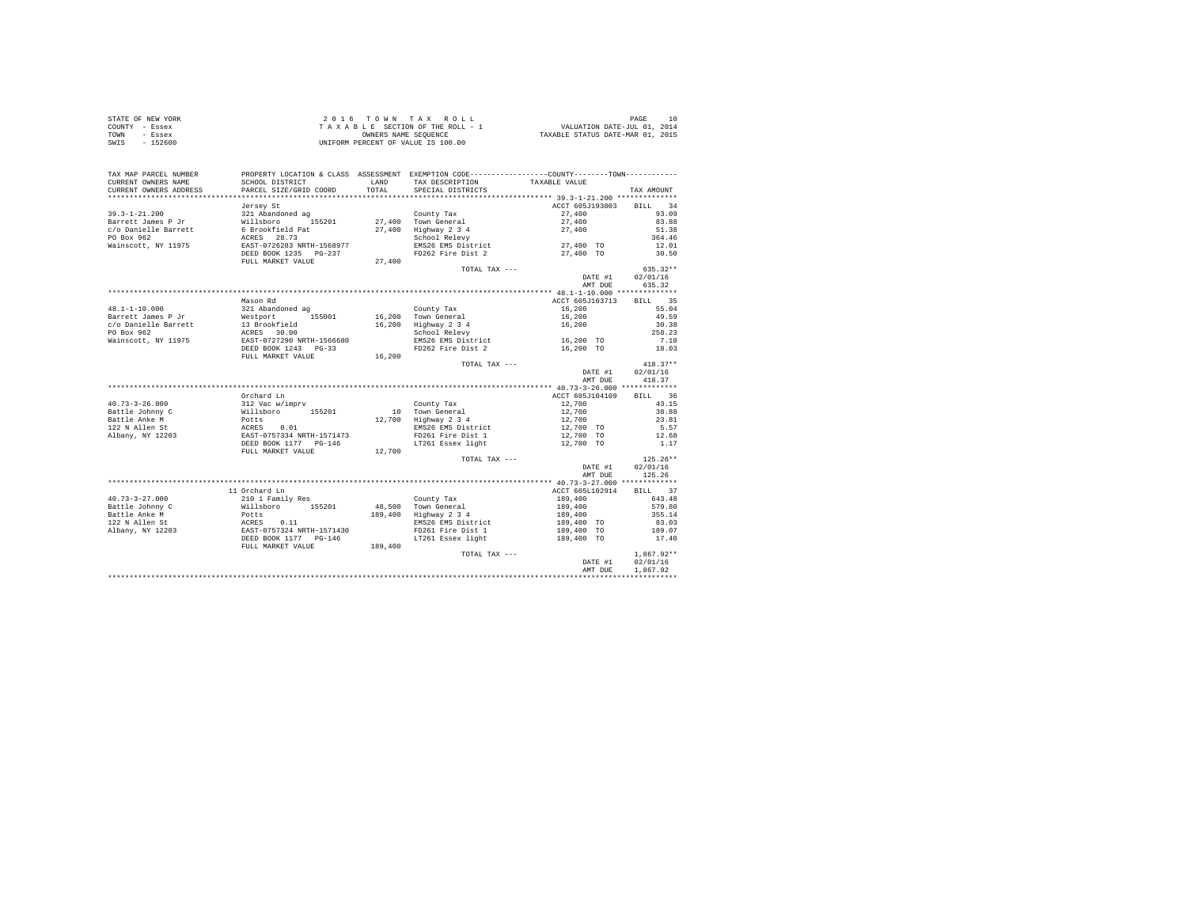| STATE OF NEW YORK | 2016 TOWN TAX ROLL                 | 10<br>PAGE                       |
|-------------------|------------------------------------|----------------------------------|
| COUNTY - Essex    | TAXABLE SECTION OF THE ROLL - 1    | VALUATION DATE-JUL 01, 2014      |
| TOWN<br>- Essex   | OWNERS NAME SEOUENCE               | TAXABLE STATUS DATE-MAR 01, 2015 |
| SWIS<br>$-152600$ | UNIFORM PERCENT OF VALUE IS 100.00 |                                  |

| TAX MAP PARCEL NUMBER                         |                                                                                                                      |               | PROPERTY LOCATION & CLASS ASSESSMENT EXEMPTION CODE---------------COUNTY-------TOWN--------- |                         |                  |
|-----------------------------------------------|----------------------------------------------------------------------------------------------------------------------|---------------|----------------------------------------------------------------------------------------------|-------------------------|------------------|
| CURRENT OWNERS NAME<br>CURRENT OWNERS ADDRESS | SCHOOL DISTRICT<br>PARCEL SIZE/GRID COORD                                                                            | LAND<br>TOTAL | TAX DESCRIPTION<br>SPECIAL DISTRICTS                                                         | TAXABLE VALUE           |                  |
| **********************                        | *******************************                                                                                      |               |                                                                                              |                         | TAX AMOUNT       |
|                                               |                                                                                                                      |               |                                                                                              |                         |                  |
|                                               | Jersey St                                                                                                            |               |                                                                                              | ACCT 605J193003 BILL 34 |                  |
| 39.3-1-21.200                                 | 321 Abandoned ag<br>Willsboro 1!                                                                                     |               | County Tax<br>27.400 Town General                                                            | 27,400<br>27,400        | 93.09            |
| Barrett James P Jr                            | 155201                                                                                                               |               |                                                                                              |                         | 83.88            |
| c/o Danielle Barrett                          | 6 Brookfield Pat<br>ACRES 28.73<br>EAST-0726283 NRTH-1568977                                                         |               | 27,400 Highway 2 3 4<br>School Relevy                                                        | 27,400                  | 51.38            |
| PO Box 962                                    |                                                                                                                      |               |                                                                                              |                         | 364.46           |
| Wainscott, NY 11975                           |                                                                                                                      |               | EMS26 EMS District                                                                           | $27,400$ TO             | 12.01            |
|                                               | DEED BOOK 1235 PG-237                                                                                                |               | FD262 Fire Dist 2                                                                            | 27,400 TO               | 30.50            |
|                                               | FULL MARKET VALUE                                                                                                    | 27,400        |                                                                                              |                         |                  |
|                                               |                                                                                                                      |               | TOTAL TAX ---                                                                                |                         | $635.32**$       |
|                                               |                                                                                                                      |               |                                                                                              | DATE #1 02/01/16        |                  |
|                                               |                                                                                                                      |               |                                                                                              | AMT DUE                 | 635.32           |
|                                               |                                                                                                                      |               |                                                                                              |                         |                  |
|                                               | Mason Rd                                                                                                             |               |                                                                                              | ACCT 605J103713         | BILL 35          |
| 48.1-1-10.000                                 |                                                                                                                      |               | County Tax                                                                                   | 16,200                  | 55.04            |
| Barrett James P Jr                            |                                                                                                                      |               | 16,200 Town General                                                                          | 16,200                  | 49.59            |
| c/o Danielle Barrett                          |                                                                                                                      |               | 16,200 Highway 2 3 4                                                                         | 16,200                  | 30.38            |
| PO Box 962                                    |                                                                                                                      |               | School Relevy                                                                                |                         | 258.23           |
| Wainscott, NY 11975                           |                                                                                                                      |               |                                                                                              | 16,200 TO               | 7.10             |
|                                               |                                                                                                                      |               | EMS26 EMS District<br>FD262 Fire Dist 2                                                      | 16,200 TO               | 18.03            |
|                                               | FULL MARKET VALUE                                                                                                    | 16,200        |                                                                                              |                         |                  |
|                                               |                                                                                                                      |               | TOTAL TAX ---                                                                                |                         | $418.37**$       |
|                                               |                                                                                                                      |               |                                                                                              | DATE #1                 | 02/01/16         |
|                                               |                                                                                                                      |               |                                                                                              | AMT DUE                 | 418.37           |
|                                               |                                                                                                                      |               |                                                                                              |                         |                  |
|                                               | Orchard Ln                                                                                                           |               |                                                                                              | ACCT 605J104109 BILL 36 |                  |
| 40.73-3-26.000                                | 312 Vac w/imprv                                                                                                      |               | County Tax                                                                                   | 12,700                  | 43.15            |
| Battle Johnny C                               | %12 Value (* 1882)<br>Willsboro – 155201<br>Potts (* 155201)<br>ERST-0757334 NRTH-1571473<br>DEED BOOK 1177 – PG-146 |               |                                                                                              |                         | 38.88            |
| Battle Anke M                                 |                                                                                                                      |               | 10 Town General<br>12,700 Highway 2 3 4                                                      | 12,700<br>12,700        | 23.81            |
| 122 N Allen St                                |                                                                                                                      |               | EMS26 EMS District                                                                           | 12,700 TO               | 5.57             |
| Albany, NY 12203                              |                                                                                                                      |               | FD261 Fire Dist 1                                                                            | 12,700 TO               | 12.68            |
|                                               |                                                                                                                      |               | LT261 Essex light                                                                            | 12,700 TO               | 1.17             |
|                                               | FULL MARKET VALUE 12,700                                                                                             |               |                                                                                              |                         |                  |
|                                               |                                                                                                                      |               | TOTAL TAX ---                                                                                |                         | $125.26**$       |
|                                               |                                                                                                                      |               |                                                                                              |                         | DATE #1 02/01/16 |
|                                               |                                                                                                                      |               |                                                                                              | AMT DUE                 | 125.26           |
|                                               |                                                                                                                      |               |                                                                                              |                         |                  |
|                                               | 11 Orchard Ln                                                                                                        |               |                                                                                              | ACCT 605L102914         | BILL 37          |
| $40.73 - 3 - 27.000$                          | 210 1 Family Res                                                                                                     |               | County Tax                                                                                   | 189,400                 | 643.48           |
| Battle Johnny C                               |                                                                                                                      |               | $48,500$ Town General                                                                        |                         | 579.80           |
|                                               | %111sboro 155201<br>Potts<br>ACRES 0.11<br>EAST-0757324 NRTH-1571430<br>DEED BOOK 1177 PG-146                        |               |                                                                                              | 189,400                 |                  |
| Battle Anke M                                 |                                                                                                                      |               | 189,400 Highway 2 3 4                                                                        | 189,400                 | 355.14           |
| 122 N Allen St                                |                                                                                                                      |               | EMS26 EMS District                                                                           | 189,400 TO              | 83.03            |
| Albany, NY 12203                              |                                                                                                                      |               | FD261 Fire Dist 1                                                                            | 189,400 TO              | 189.07           |
|                                               |                                                                                                                      |               | LT261 Essex light                                                                            | 189,400 TO              | 17.40            |
|                                               | FULL MARKET VALUE                                                                                                    | 189,400       |                                                                                              |                         |                  |
|                                               |                                                                                                                      |               | TOTAL TAX ---                                                                                |                         | $1,867.92**$     |
|                                               |                                                                                                                      |               |                                                                                              | DATE #1                 | 02/01/16         |
|                                               |                                                                                                                      |               |                                                                                              | AMT DUE                 | 1,867.92         |
|                                               |                                                                                                                      |               |                                                                                              |                         |                  |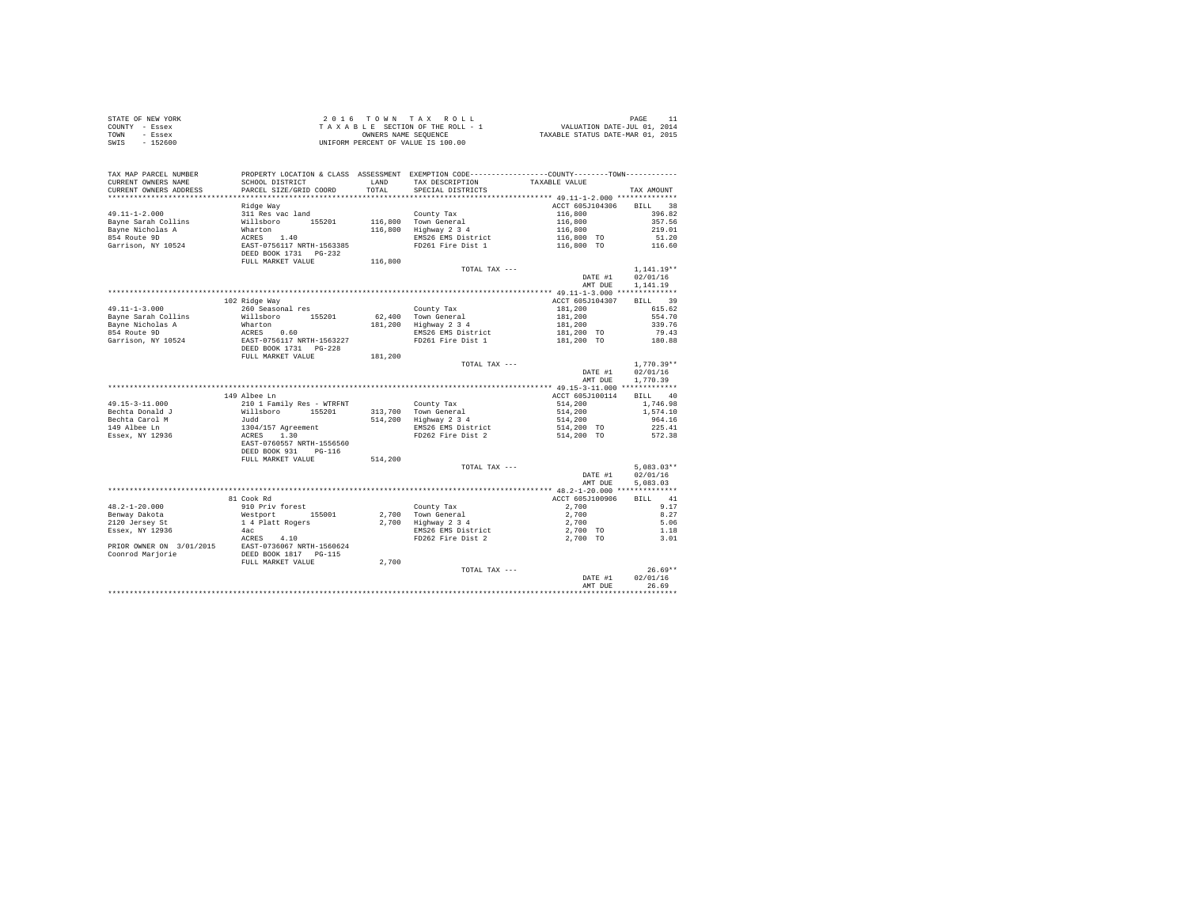| STATE OF NEW YORK      |                           |         | 2016 TOWN TAX ROLL                                                                              |                                  | PAGE<br>11        |
|------------------------|---------------------------|---------|-------------------------------------------------------------------------------------------------|----------------------------------|-------------------|
| COUNTY - Essex         |                           |         | TAXABLE SECTION OF THE ROLL - 1                                                                 | VALUATION DATE-JUL 01, 2014      |                   |
| TOWN<br>- Essex        |                           |         | OWNERS NAME SEQUENCE                                                                            | TAXABLE STATUS DATE-MAR 01, 2015 |                   |
| SWIS<br>$-152600$      |                           |         | UNIFORM PERCENT OF VALUE IS 100.00                                                              |                                  |                   |
|                        |                           |         |                                                                                                 |                                  |                   |
|                        |                           |         |                                                                                                 |                                  |                   |
|                        |                           |         |                                                                                                 |                                  |                   |
| TAX MAP PARCEL NUMBER  |                           |         | PROPERTY LOCATION & CLASS ASSESSMENT EXEMPTION CODE----------------COUNTY--------TOWN---------- |                                  |                   |
| CURRENT OWNERS NAME    | SCHOOL DISTRICT           | LAND    | TAX DESCRIPTION                                                                                 | TAXABLE VALUE                    |                   |
| CURRENT OWNERS ADDRESS | PARCEL SIZE/GRID COORD    | TOTAL.  | SPECIAL DISTRICTS                                                                               |                                  | TAX AMOUNT        |
|                        |                           |         |                                                                                                 |                                  |                   |
|                        | Ridge Way                 |         |                                                                                                 | ACCT 605J104306                  | <b>BILL</b><br>38 |
| $49.11 - 1 - 2.000$    | 311 Res vac land          |         | County Tax                                                                                      | 116,800                          | 396.82            |
| Bayne Sarah Collins    | Willsboro<br>155201       |         | 116,800 Town General                                                                            | 116,800                          | 357.56            |
| Bayne Nicholas A       | Wharton                   | 116,800 | Highway 2 3 4                                                                                   | 116,800                          | 219.01            |
| 854 Route 9D           | ACRES<br>1.40             |         | EMS26 EMS District                                                                              | 116,800 TO                       | 51.20             |
| Garrison, NY 10524     | EAST-0756117 NRTH-1563385 |         | FD261 Fire Dist 1                                                                               | 116,800 TO                       | 116.60            |
|                        | DEED BOOK 1731 PG-232     |         |                                                                                                 |                                  |                   |
|                        | FULL MARKET VALUE         | 116,800 |                                                                                                 |                                  |                   |
|                        |                           |         | TOTAL TAX ---                                                                                   |                                  | $1,141.19**$      |
|                        |                           |         |                                                                                                 | DATE #1                          | 02/01/16          |
|                        |                           |         |                                                                                                 | AMT DUE                          | 1,141,19          |
|                        |                           |         |                                                                                                 |                                  |                   |
|                        | 102 Ridge Way             |         |                                                                                                 | ACCT 605J104307                  | 39<br><b>BILL</b> |
| $49.11 - 1 - 3.000$    | 260 Seasonal res          |         | County Tax                                                                                      | 181,200                          | 615.62            |
| Bayne Sarah Collins    | Willsboro<br>155201       |         | 62.400 Town General                                                                             | 181,200                          | 554.70            |
| Bayne Nicholas A       | Wharton                   | 181,200 | Highway 2 3 4                                                                                   | 181,200                          | 339.76            |
| 854 Route 9D           | ACRES<br>0.60             |         | EMS26 EMS District                                                                              | 181,200 TO                       | 79.43             |
| Garrison, NY 10524     | EAST-0756117 NRTH-1563227 |         | FD261 Fire Dist 1                                                                               | 181,200 TO                       | 180.88            |
|                        | DEED BOOK 1731 PG-228     |         |                                                                                                 |                                  |                   |
|                        | FULL MARKET VALUE         | 181,200 |                                                                                                 |                                  |                   |
|                        |                           |         | TOTAL TAX $---$                                                                                 |                                  | $1,770.39**$      |
|                        |                           |         |                                                                                                 | DATE #1                          | 02/01/16          |
|                        |                           |         |                                                                                                 | AMT DUE                          | 1,770.39          |
|                        |                           |         |                                                                                                 |                                  |                   |
|                        | 149 Albee Ln              |         |                                                                                                 | ACCT 605J100114                  | <b>BILL</b><br>40 |
| $49.15 - 3 - 11.000$   | 210 1 Family Res - WTRFNT |         | County Tax                                                                                      | 514,200                          | 1,746.98          |
| Bechta Donald J        | Willsboro<br>155201       |         | 313,700 Town General                                                                            | 514,200                          | 1,574.10          |
| Bechta Carol M         | bbut.                     | 514,200 | Highway 2 3 4                                                                                   | 514,200                          | 964.16            |
| 149 Albee Ln           | 1304/157 Agreement        |         | EMS26 EMS District                                                                              | 514,200 TO                       | 225.41            |
| Essex, NY 12936        | ACRES<br>1.30             |         | FD262 Fire Dist 2                                                                               | 514,200 TO                       | 572.38            |
|                        | EAST-0760557 NRTH-1556560 |         |                                                                                                 |                                  |                   |
|                        | DEED BOOK 931<br>$PG-116$ |         |                                                                                                 |                                  |                   |
|                        | FULL MARKET VALUE         | 514,200 |                                                                                                 |                                  |                   |
|                        |                           |         |                                                                                                 |                                  |                   |

|                          |                           | ------- |                    |                 |                       |
|--------------------------|---------------------------|---------|--------------------|-----------------|-----------------------|
|                          |                           |         | TOTAL TAX ---      |                 | $5.083.03**$          |
|                          |                           |         |                    | DATE #1         | 02/01/16              |
|                          |                           |         |                    | AMT DUE         | 5,083,03              |
|                          |                           |         |                    |                 | **************        |
|                          | 81 Cook Rd                |         |                    | ACCT 605J100906 | 41<br><b>BILL</b>     |
| $48.2 - 1 - 20.000$      | 910 Priv forest           |         | County Tax         | 2,700           | 9.17                  |
| Benway Dakota            | 155001<br>Westport        | 2,700   | Town General       | 2,700           | 8.27                  |
| 2120 Jersey St           | 1 4 Platt Rogers          | 2,700   | Highway 2 3 4      | 2,700           | 5.06                  |
| Essex, NY 12936          | 4ac                       |         | EMS26 EMS District | 2,700 TO        | 1.18                  |
|                          | 4.10<br>ACRES             |         | FD262 Fire Dist 2  | 2,700 TO        | 3.01                  |
| PRIOR OWNER ON 3/01/2015 | EAST-0736067 NRTH-1560624 |         |                    |                 |                       |
| Coonrod Marjorie         | DEED BOOK 1817<br>PG-115  |         |                    |                 |                       |
|                          | FULL MARKET VALUE         | 2,700   |                    |                 |                       |
|                          |                           |         | TOTAL TAX ---      |                 | $26.69**$             |
|                          |                           |         |                    | DATE #1         | 02/01/16              |
|                          |                           |         |                    | AMT DUE         | 26.69                 |
|                          |                           |         |                    |                 | ********************* |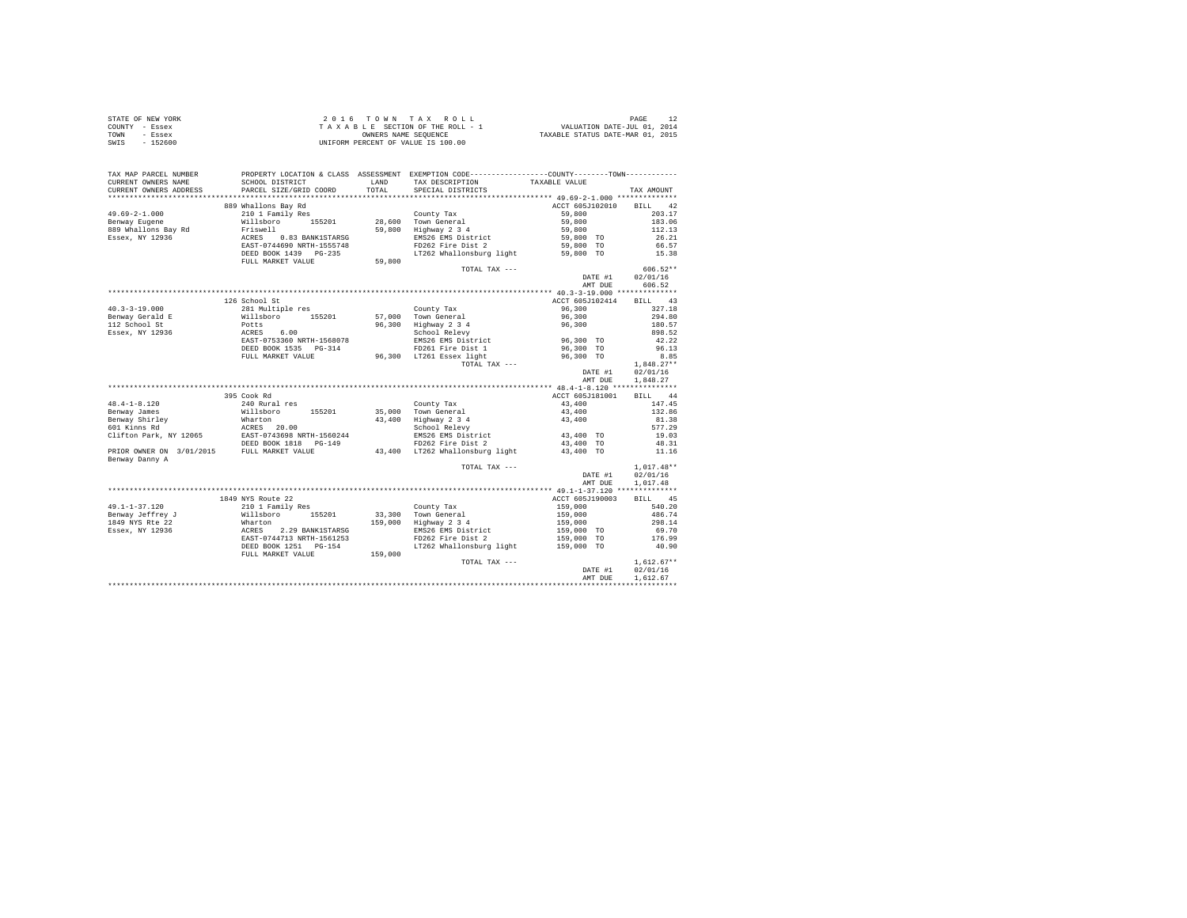|                | STATE OF NEW YORK | 2016 TOWN TAX ROLL                 | PAGE                             |
|----------------|-------------------|------------------------------------|----------------------------------|
| COUNTY - Essex |                   | TAXABLE SECTION OF THE ROLL - 1    | VALUATION DATE-JUL 01, 2014      |
| TOWN           | - Essex           | OWNERS NAME SEOUENCE               | TAXABLE STATUS DATE-MAR 01, 2015 |
| SWIS           | - 152600          | UNIFORM PERCENT OF VALUE IS 100.00 |                                  |

| TAX MAP PARCEL NUMBER<br>CURRENT OWNERS NAME<br>CURRENT OWNERS ADDRESS | SCHOOL DISTRICT<br>PARCEL SIZE/GRID COORD                                                                                                                                                                                      | <b>T.AND</b><br>TOTAL | PROPERTY LOCATION & CLASS ASSESSMENT EXEMPTION CODE----------------COUNTY--------TOWN----------<br>TAX DESCRIPTION<br>SPECIAL DISTRICTS | TAXABLE VALUE                                                              | TAX AMOUNT           |
|------------------------------------------------------------------------|--------------------------------------------------------------------------------------------------------------------------------------------------------------------------------------------------------------------------------|-----------------------|-----------------------------------------------------------------------------------------------------------------------------------------|----------------------------------------------------------------------------|----------------------|
|                                                                        |                                                                                                                                                                                                                                |                       |                                                                                                                                         |                                                                            |                      |
|                                                                        | 889 Whallons Bay Rd                                                                                                                                                                                                            |                       |                                                                                                                                         | ACCT 605J102010 BILL 42                                                    |                      |
| $49.69 - 2 - 1.000$                                                    |                                                                                                                                                                                                                                |                       |                                                                                                                                         |                                                                            | 203.17               |
|                                                                        |                                                                                                                                                                                                                                |                       |                                                                                                                                         |                                                                            | 183.06               |
| Benway Eugene                                                          | CONTRACT CONTRACT CONTRACT CONTRACT CONTRACT CONTRACT CONTRACT CONTRACT CONTRACT CONTRACT CONTRACT CONTRACT CONTRACT CONTRACT CONTRACT CONTRACT CONTRACT CONTRACT CONTRACT CONTRACT CONTRACT CONTRACT CONTRACT CONTRACT CONTRA |                       |                                                                                                                                         | $59,800$<br>$59,800$<br>$59,800$<br>$59,800$<br>$59,800$ TO<br>$59,800$ TO |                      |
| 889 Whallons Bay Rd<br>Essex, NY 12936                                 |                                                                                                                                                                                                                                |                       |                                                                                                                                         |                                                                            | 112.13               |
|                                                                        |                                                                                                                                                                                                                                |                       | EMS26 EMS District                                                                                                                      |                                                                            | 26.21<br>66.57       |
|                                                                        |                                                                                                                                                                                                                                |                       |                                                                                                                                         |                                                                            |                      |
|                                                                        | DEED BOOK 1439 PG-235<br>FULL MARKET VALUE                                                                                                                                                                                     | 59,800                | LT262 Whallonsburg light 59,800 TO 15.38                                                                                                |                                                                            |                      |
|                                                                        |                                                                                                                                                                                                                                |                       | TOTAL TAX ---                                                                                                                           |                                                                            | $606.52**$           |
|                                                                        |                                                                                                                                                                                                                                |                       |                                                                                                                                         |                                                                            | DATE #1 02/01/16     |
|                                                                        |                                                                                                                                                                                                                                |                       |                                                                                                                                         |                                                                            | AMT DUE 606.52       |
|                                                                        |                                                                                                                                                                                                                                |                       |                                                                                                                                         |                                                                            |                      |
|                                                                        | 126 School St                                                                                                                                                                                                                  |                       |                                                                                                                                         | ACCT 605J102414                                                            |                      |
|                                                                        |                                                                                                                                                                                                                                |                       |                                                                                                                                         |                                                                            | BILL 43              |
|                                                                        |                                                                                                                                                                                                                                |                       |                                                                                                                                         | 96,300                                                                     | 327.18               |
|                                                                        |                                                                                                                                                                                                                                |                       |                                                                                                                                         | $96,300$<br>$96,300$                                                       | 294.80               |
| 112 School St<br>Essex, NY 12936                                       |                                                                                                                                                                                                                                |                       | 96,300 Highway 2 3 4<br>School Relevy                                                                                                   |                                                                            | 180.57               |
|                                                                        | ----------<br>ACRES 6.00<br>EAST-0753360 NRTH-1568078<br>EAST-0753360 NRTH-1568078<br>DEED BOOK 1535 PG-314                                                                                                                    |                       | EMS26 EMS District 96,300 TO                                                                                                            |                                                                            | 898.52<br>42.22      |
|                                                                        |                                                                                                                                                                                                                                |                       |                                                                                                                                         |                                                                            | 96.13                |
|                                                                        |                                                                                                                                                                                                                                |                       |                                                                                                                                         |                                                                            |                      |
|                                                                        |                                                                                                                                                                                                                                |                       |                                                                                                                                         |                                                                            | 8.85                 |
|                                                                        |                                                                                                                                                                                                                                |                       |                                                                                                                                         |                                                                            | $1.848.27**$         |
|                                                                        |                                                                                                                                                                                                                                |                       |                                                                                                                                         | DATE #1                                                                    | 02/01/16<br>1,848.27 |
|                                                                        |                                                                                                                                                                                                                                |                       |                                                                                                                                         | AMT DUE                                                                    |                      |
|                                                                        | 395 Cook Rd                                                                                                                                                                                                                    |                       |                                                                                                                                         | ACCT 605J181001                                                            | BILL 44              |
|                                                                        |                                                                                                                                                                                                                                |                       |                                                                                                                                         |                                                                            | 147.45               |
|                                                                        |                                                                                                                                                                                                                                |                       |                                                                                                                                         |                                                                            |                      |
|                                                                        |                                                                                                                                                                                                                                |                       |                                                                                                                                         |                                                                            | 132.86               |
|                                                                        |                                                                                                                                                                                                                                |                       |                                                                                                                                         |                                                                            | 81.38                |
|                                                                        |                                                                                                                                                                                                                                |                       |                                                                                                                                         |                                                                            | 577.29               |
|                                                                        |                                                                                                                                                                                                                                |                       |                                                                                                                                         |                                                                            | 19.03                |
|                                                                        |                                                                                                                                                                                                                                |                       |                                                                                                                                         |                                                                            | 48.31                |
| Benway Danny A                                                         |                                                                                                                                                                                                                                |                       |                                                                                                                                         |                                                                            | 11.16                |
|                                                                        |                                                                                                                                                                                                                                |                       | TOTAL TAX ---                                                                                                                           |                                                                            | $1.017.48**$         |
|                                                                        |                                                                                                                                                                                                                                |                       |                                                                                                                                         | DATE #1                                                                    | 02/01/16             |
|                                                                        |                                                                                                                                                                                                                                |                       |                                                                                                                                         | AMT DUE                                                                    | 1,017.48             |
|                                                                        |                                                                                                                                                                                                                                |                       |                                                                                                                                         |                                                                            |                      |
|                                                                        | 1849 NYS Route 22                                                                                                                                                                                                              |                       |                                                                                                                                         | ACCT 605J190003                                                            | BILL 45              |
|                                                                        |                                                                                                                                                                                                                                |                       |                                                                                                                                         |                                                                            | 540.20               |
|                                                                        |                                                                                                                                                                                                                                |                       |                                                                                                                                         |                                                                            | 486.74               |
|                                                                        |                                                                                                                                                                                                                                |                       |                                                                                                                                         |                                                                            | 298.14               |
|                                                                        |                                                                                                                                                                                                                                |                       |                                                                                                                                         |                                                                            | 69.70                |
|                                                                        |                                                                                                                                                                                                                                |                       |                                                                                                                                         |                                                                            | 176.99               |
|                                                                        | DEED BOOK 1251 PG-154                                                                                                                                                                                                          |                       | LT262 Whallonsburg light 159,000 TO                                                                                                     |                                                                            | 40.90                |
|                                                                        | FULL MARKET VALUE                                                                                                                                                                                                              | $PG-154$ 159,000      |                                                                                                                                         |                                                                            |                      |
|                                                                        |                                                                                                                                                                                                                                |                       | TOTAL TAX ---                                                                                                                           |                                                                            | $1,612.67**$         |
|                                                                        |                                                                                                                                                                                                                                |                       |                                                                                                                                         | DATE #1                                                                    | 02/01/16             |
|                                                                        |                                                                                                                                                                                                                                |                       |                                                                                                                                         | AMT DUE                                                                    | 1,612.67             |
|                                                                        |                                                                                                                                                                                                                                |                       |                                                                                                                                         |                                                                            |                      |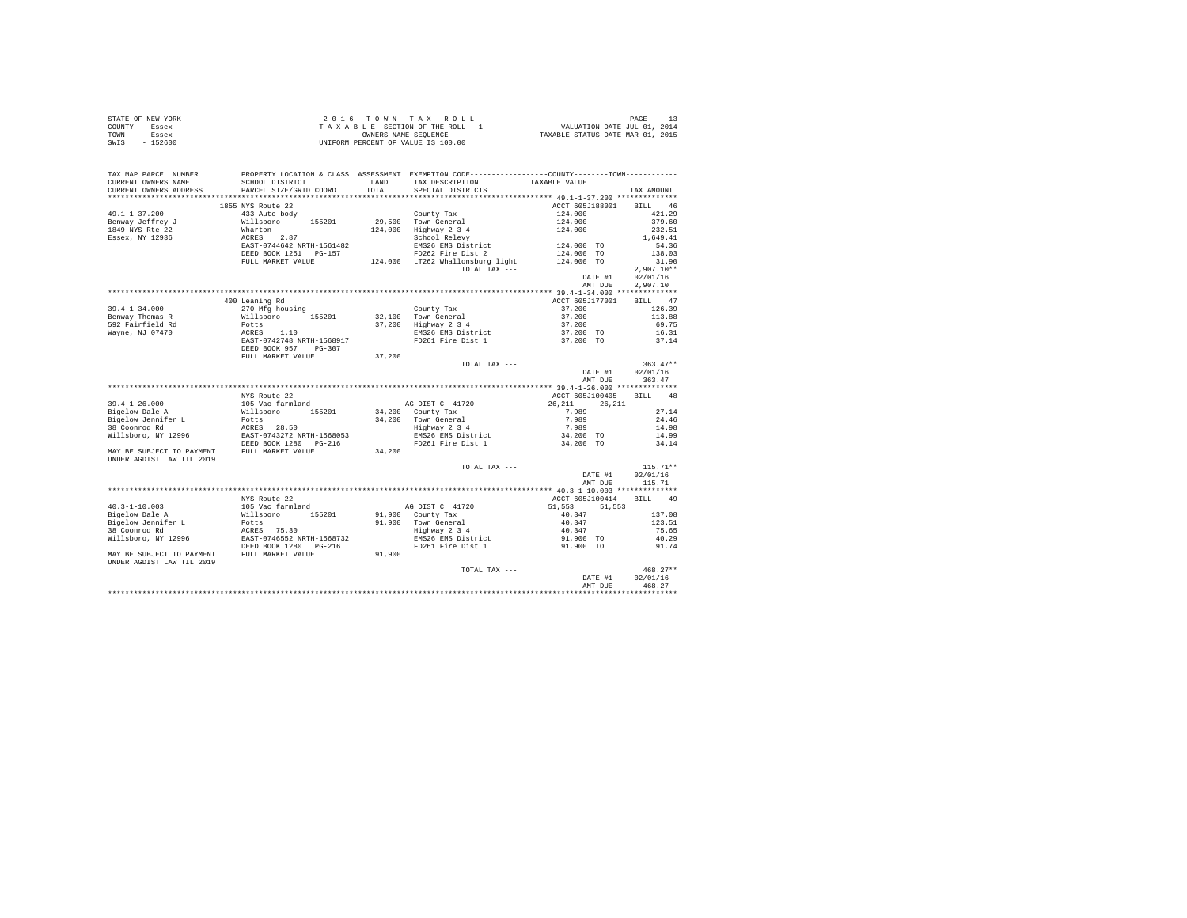| STATE OF NEW YORK<br>COUNTY - Essex<br>TOWN - Essex<br>SWIS<br>$-152600$ |                                                                            |         | 2016 TOWN TAX ROLL<br>$\begin{array}{ccccccccc} 2&0&1&6&\texttt{T} &0&\texttt{W} &\texttt{N} &\texttt{R} &\texttt{N} &\texttt{R} &\texttt{N} &\texttt{R} &\texttt{N} &\texttt{R} &\texttt{N} &\texttt{N} &\texttt{N} &\texttt{N} &\texttt{N} &\texttt{N} &\texttt{N} &\texttt{N} &\texttt{N} &\texttt{N} &\texttt{N} &\texttt{N} &\texttt{N} &\texttt{N} &\texttt{N} &\texttt{N} &\texttt{N} &\texttt{N} &\texttt{N$<br>UNIFORM PERCENT OF VALUE IS 100.00 |                               | PAGE<br>13         |
|--------------------------------------------------------------------------|----------------------------------------------------------------------------|---------|------------------------------------------------------------------------------------------------------------------------------------------------------------------------------------------------------------------------------------------------------------------------------------------------------------------------------------------------------------------------------------------------------------------------------------------------------------|-------------------------------|--------------------|
| TAX MAP PARCEL NUMBER<br>CURRENT OWNERS NAME                             | SCHOOL DISTRICT                                                            | LAND    | PROPERTY LOCATION & CLASS ASSESSMENT EXEMPTION CODE---------------COUNTY-------TOWN---------<br>TAX DESCRIPTION                                                                                                                                                                                                                                                                                                                                            | TAXABLE VALUE                 |                    |
| CURRENT OWNERS ADDRESS                                                   | PARCEL SIZE/GRID COORD                                                     | TOTAL   | SPECIAL DISTRICTS                                                                                                                                                                                                                                                                                                                                                                                                                                          |                               | TAX AMOUNT         |
|                                                                          |                                                                            |         |                                                                                                                                                                                                                                                                                                                                                                                                                                                            |                               |                    |
|                                                                          | 1855 NYS Route 22                                                          |         |                                                                                                                                                                                                                                                                                                                                                                                                                                                            | ACCT 605J188001 BILL 46       |                    |
| $49.1 - 1 - 37.200$                                                      | 433 Auto body                                                              |         | County Tax                                                                                                                                                                                                                                                                                                                                                                                                                                                 |                               | 421.29             |
| Benway Jeffrey J                                                         | Willsboro<br>155201                                                        | 29,500  | Town General                                                                                                                                                                                                                                                                                                                                                                                                                                               | 124,000<br>124,000<br>124,000 | 379.60             |
| 1849 NYS Rte 22                                                          | Wharton                                                                    | 124,000 | Highway 2 3 4<br>School Relevy                                                                                                                                                                                                                                                                                                                                                                                                                             |                               | 232.51             |
| Essex, NY 12936                                                          | ACRES 2.87                                                                 |         |                                                                                                                                                                                                                                                                                                                                                                                                                                                            |                               | 1,649.41           |
|                                                                          | EAST-0744642 NRTH-1561482                                                  |         | EMS26 EMS District<br>FD262 Fire Dist 2                                                                                                                                                                                                                                                                                                                                                                                                                    | $124,000$ TO                  | 54.36              |
|                                                                          | DEED BOOK 1251 PG-157                                                      |         |                                                                                                                                                                                                                                                                                                                                                                                                                                                            | 124,000 TO                    | 138.03             |
|                                                                          |                                                                            |         | FULL MARKET VALUE $124,000$ LT262 Whallonsburg light $124,000$ TO TOTAL TAX ---                                                                                                                                                                                                                                                                                                                                                                            |                               | 31.90              |
|                                                                          |                                                                            |         |                                                                                                                                                                                                                                                                                                                                                                                                                                                            |                               | $2.907.10**$       |
|                                                                          |                                                                            |         |                                                                                                                                                                                                                                                                                                                                                                                                                                                            | DATE #1                       | 02/01/16           |
|                                                                          |                                                                            |         |                                                                                                                                                                                                                                                                                                                                                                                                                                                            | AMT DUE                       | 2.907.10           |
|                                                                          |                                                                            |         |                                                                                                                                                                                                                                                                                                                                                                                                                                                            |                               |                    |
|                                                                          | 400 Leaning Rd                                                             |         |                                                                                                                                                                                                                                                                                                                                                                                                                                                            | ACCT 605J177001               | BILL 47            |
| $39.4 - 1 - 34.000$                                                      | 270 Mfg housing                                                            |         | County Tax                                                                                                                                                                                                                                                                                                                                                                                                                                                 | 37,200                        | 126.39             |
| Benway Thomas R                                                          | Willsboro 155201                                                           |         | 32,100 Town General<br>37,200 Highway 2 3 4                                                                                                                                                                                                                                                                                                                                                                                                                | 37,200                        | 113.88             |
| 592 Fairfield Rd                                                         | Potts<br>ACRES 1.10                                                        |         |                                                                                                                                                                                                                                                                                                                                                                                                                                                            | 37,200                        | 69.75              |
| Wayne, NJ 07470                                                          |                                                                            |         | EMS26 EMS District 37,200 TO<br>FD261 Fire Dist 1 37,200 TO                                                                                                                                                                                                                                                                                                                                                                                                |                               | 16.31              |
|                                                                          | EAST-0742748 NRTH-1568917                                                  |         |                                                                                                                                                                                                                                                                                                                                                                                                                                                            |                               | 37.14              |
|                                                                          | DEED BOOK 957 PG-307<br>FULL MARKET VALUE                                  | 37,200  |                                                                                                                                                                                                                                                                                                                                                                                                                                                            |                               |                    |
|                                                                          |                                                                            |         | TOTAL TAX ---                                                                                                                                                                                                                                                                                                                                                                                                                                              |                               | $363.47**$         |
|                                                                          |                                                                            |         |                                                                                                                                                                                                                                                                                                                                                                                                                                                            | DATE #1                       | 02/01/16           |
|                                                                          |                                                                            |         |                                                                                                                                                                                                                                                                                                                                                                                                                                                            | AMT DUE                       | 363.47             |
|                                                                          |                                                                            |         |                                                                                                                                                                                                                                                                                                                                                                                                                                                            |                               |                    |
|                                                                          | NYS Route 22                                                               |         |                                                                                                                                                                                                                                                                                                                                                                                                                                                            | ACCT 605J100405               | BILL 48            |
| $39.4 - 1 - 26.000$                                                      | 105 Vac farmland                                                           |         | AG DIST C 41720                                                                                                                                                                                                                                                                                                                                                                                                                                            | 26, 211 26, 211               |                    |
| Bigelow Dale A                                                           | Willsboro 155201                                                           |         |                                                                                                                                                                                                                                                                                                                                                                                                                                                            | 7,989                         | 27.14              |
| Bigelow Jennifer L                                                       |                                                                            |         |                                                                                                                                                                                                                                                                                                                                                                                                                                                            | 7,989                         | 24.46              |
| 38 Coonrod Rd                                                            | $ACRES$ 28.50<br>$EACRES$ 28.50                                            |         | 34,200 County Tax<br>34,200 Town General<br>Highway 2 3 4                                                                                                                                                                                                                                                                                                                                                                                                  | 7,989                         | 14.98              |
| Willsboro, NY 12996                                                      | EAST-0743272 NRTH-1568053                                                  |         |                                                                                                                                                                                                                                                                                                                                                                                                                                                            |                               | 14.99              |
|                                                                          | DEED BOOK 1280 PG-216                                                      |         | EMS26 EMS District 34,200 TO<br>FD261 Fire Dist 1 34,200 TO                                                                                                                                                                                                                                                                                                                                                                                                |                               | 34.14              |
| MAY BE SUBJECT TO PAYMENT FULL MARKET VALUE                              |                                                                            | 34,200  |                                                                                                                                                                                                                                                                                                                                                                                                                                                            |                               |                    |
| UNDER AGDIST LAW TIL 2019                                                |                                                                            |         |                                                                                                                                                                                                                                                                                                                                                                                                                                                            |                               |                    |
|                                                                          |                                                                            |         | TOTAL TAX ---                                                                                                                                                                                                                                                                                                                                                                                                                                              |                               | $115.71**$         |
|                                                                          |                                                                            |         |                                                                                                                                                                                                                                                                                                                                                                                                                                                            | DATE #1                       | 02/01/16           |
|                                                                          |                                                                            |         |                                                                                                                                                                                                                                                                                                                                                                                                                                                            | AMT DUE                       | 115.71             |
|                                                                          |                                                                            |         |                                                                                                                                                                                                                                                                                                                                                                                                                                                            |                               |                    |
|                                                                          | NYS Route 22                                                               |         |                                                                                                                                                                                                                                                                                                                                                                                                                                                            | ACCT 605J100414               | BILL 49            |
| $40.3 - 1 - 10.003$                                                      | 105 Vac farmland                                                           |         | AG DIST C 41720                                                                                                                                                                                                                                                                                                                                                                                                                                            | 51,553 51,553                 |                    |
| Bigelow Dale A                                                           | Willsboro 155201                                                           |         |                                                                                                                                                                                                                                                                                                                                                                                                                                                            |                               | 137.08             |
| Bigelow Jennifer L                                                       |                                                                            |         | 91,900 County Tax<br>91,900 Town General<br>Highway 2 3 4                                                                                                                                                                                                                                                                                                                                                                                                  | $40,347$<br>$40,347$          | 123.51             |
| 38 Coonrod Rd                                                            |                                                                            |         |                                                                                                                                                                                                                                                                                                                                                                                                                                                            | 40,347                        | 75.65              |
| Willsboro, NY 12996                                                      |                                                                            |         | EMS26 EMS District<br>FD261 Fire Dist 1                                                                                                                                                                                                                                                                                                                                                                                                                    |                               | 40.29              |
|                                                                          | Potts<br>ACRES 75.30<br>EAST-0746552 NRTH-1568732<br>DEED BOOK 1280 PG-216 |         |                                                                                                                                                                                                                                                                                                                                                                                                                                                            | 91,900 TO<br>91,900 TO        | 91.74              |
| MAY BE SUBJECT TO PAYMENT FULL MARKET VALUE                              |                                                                            | 91,900  |                                                                                                                                                                                                                                                                                                                                                                                                                                                            |                               |                    |
| UNDER AGDIST LAW TIL 2019                                                |                                                                            |         |                                                                                                                                                                                                                                                                                                                                                                                                                                                            |                               |                    |
|                                                                          |                                                                            |         | TOTAL TAX ---                                                                                                                                                                                                                                                                                                                                                                                                                                              |                               | $468.27**$         |
|                                                                          |                                                                            |         |                                                                                                                                                                                                                                                                                                                                                                                                                                                            | DATE #1                       | 02/01/16<br>468.27 |
|                                                                          |                                                                            |         |                                                                                                                                                                                                                                                                                                                                                                                                                                                            | AMT DUE                       |                    |
|                                                                          |                                                                            |         |                                                                                                                                                                                                                                                                                                                                                                                                                                                            |                               |                    |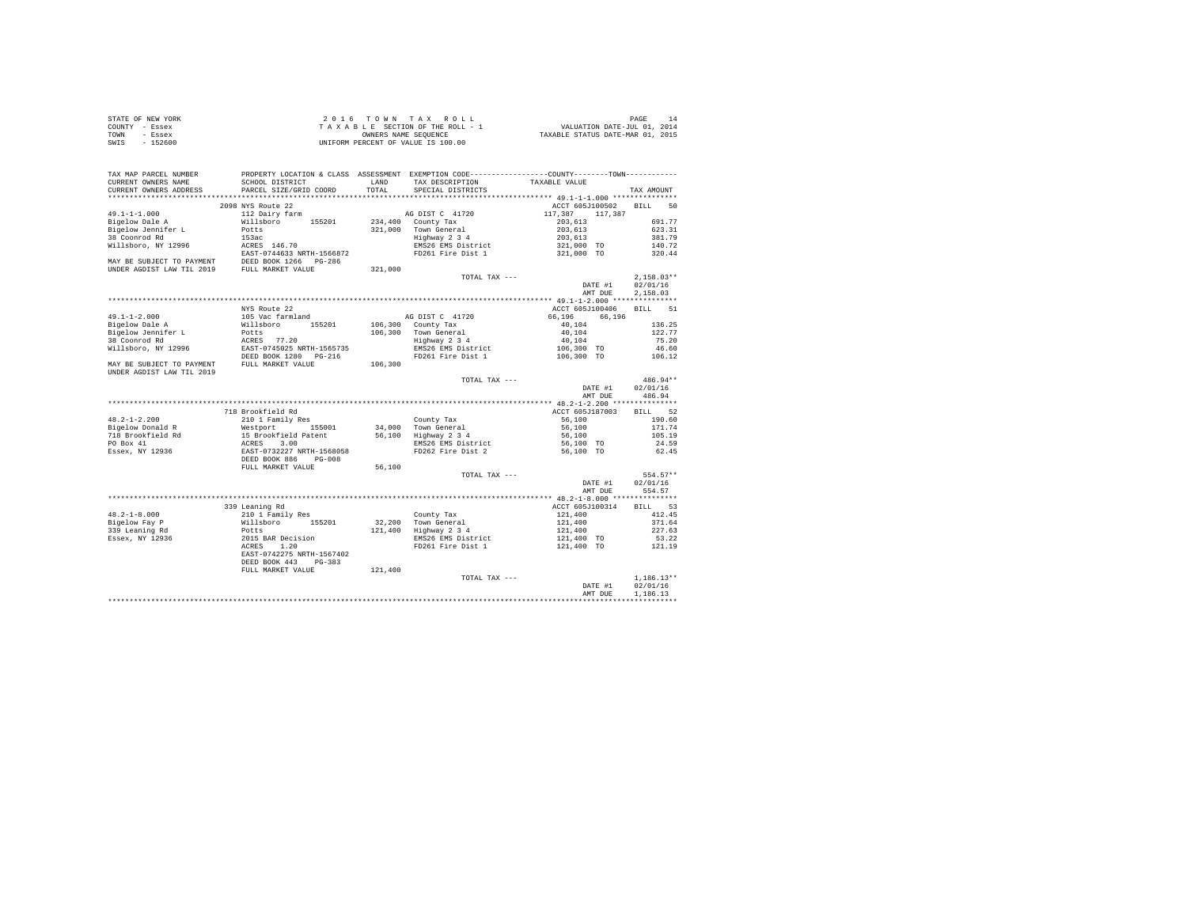| STATE OF NEW YORK | 2016 TOWN TAX ROLL                 | PAGE                             |
|-------------------|------------------------------------|----------------------------------|
| COUNTY - Essex    | TAXABLE SECTION OF THE ROLL - 1    | VALUATION DATE-JUL 01, 2014      |
| TOWN<br>- Essex   | OWNERS NAME SEOUENCE               | TAXABLE STATUS DATE-MAR 01, 2015 |
| - 152600<br>SWIS  | UNIFORM PERCENT OF VALUE IS 100.00 |                                  |

| TAX MAP PARCEL NUMBER                                  |                                            |                    | PROPERTY LOCATION & CLASS ASSESSMENT EXEMPTION CODE---------------COUNTY-------TOWN--------- |                                            |                   |
|--------------------------------------------------------|--------------------------------------------|--------------------|----------------------------------------------------------------------------------------------|--------------------------------------------|-------------------|
| CURRENT OWNERS NAME                                    | SCHOOL DISTRICT                            | LAND               | TAX DESCRIPTION                                                                              | TAXABLE VALUE                              |                   |
| CURRENT OWNERS ADDRESS<br>.                            | PARCEL SIZE/GRID COORD                     | TOTAL.<br>******** | SPECIAL DISTRICTS                                                                            |                                            | TAX AMOUNT        |
|                                                        |                                            |                    |                                                                                              | ******* 49.1-1-1.000 ***************       |                   |
|                                                        | 2098 NYS Route 22                          |                    |                                                                                              | ACCT 605J100502                            | <b>BILL</b><br>50 |
| $49.1 - 1 - 1.000$                                     | 112 Dairy farm                             |                    | AG DIST C 41720                                                                              | 117,387<br>117,387                         |                   |
| Bigelow Dale A                                         | Willsboro<br>155201<br>Potts               | 234,400<br>321,000 | County Tax                                                                                   | 203,613                                    | 691.77<br>623.31  |
| Bigelow Jennifer L<br>38 Coonrod Rd                    | 153ac                                      |                    | Town General                                                                                 | 203,613                                    | 381.79            |
| Willsboro, NY 12996                                    | ACRES 146.70                               |                    | Highway 2 3 4<br>EMS26 EMS District                                                          | 203,613<br>321,000 TO                      | 140.72            |
|                                                        | EAST-0744633 NRTH-1566872                  |                    | FD261 Fire Dist 1                                                                            | 321,000 TO                                 | 320.44            |
| MAY BE SUBJECT TO PAYMENT                              |                                            |                    |                                                                                              |                                            |                   |
| UNDER AGDIST LAW TIL 2019                              | DEED BOOK 1266 PG-286<br>FULL MARKET VALUE | 321,000            |                                                                                              |                                            |                   |
|                                                        |                                            |                    | TOTAL TAX ---                                                                                |                                            | $2,158.03**$      |
|                                                        |                                            |                    |                                                                                              | DATE #1                                    | 02/01/16          |
|                                                        |                                            |                    |                                                                                              | AMT DUE                                    | 2.158.03          |
|                                                        |                                            |                    |                                                                                              |                                            |                   |
|                                                        | NYS Route 22                               |                    |                                                                                              | ACCT 605J100406                            | 51<br><b>BILL</b> |
| $49.1 - 1 - 2.000$                                     | 105 Vac farmland                           |                    | AG DIST C 41720                                                                              | 66,196<br>66,196                           |                   |
| Bigelow Dale A                                         | Willsboro<br>155201                        |                    | 106,300 County Tax                                                                           | 40.104                                     | 136.25            |
| Bigelow Jennifer L                                     | Potts                                      | 106,300            | Town General                                                                                 | 40.104                                     | 122.77            |
| 38 Coonrod Rd                                          | ACRES 77.20                                |                    | Highway 2 3 4                                                                                | 40,104                                     | 75.20             |
| Willsboro, NY 12996                                    | EAST-0745025 NRTH-1565735                  |                    | EMS26 EMS District                                                                           | 106,300 TO                                 | 46.60             |
|                                                        | DEED BOOK 1280 PG-216                      |                    | FD261 Fire Dist 1                                                                            | 106,300 TO                                 | 106.12            |
| MAY BE SUBJECT TO PAYMENT<br>UNDER AGDIST LAW TIL 2019 | FULL MARKET VALUE                          | 106,300            |                                                                                              |                                            |                   |
|                                                        |                                            |                    | TOTAL TAX $---$                                                                              |                                            | 486.94**          |
|                                                        |                                            |                    |                                                                                              | DATE #1                                    | 02/01/16          |
|                                                        |                                            |                    |                                                                                              | AMT DUE                                    | 486.94            |
|                                                        |                                            |                    |                                                                                              | ************ 48.2-1-2.200 ***************  |                   |
|                                                        | 718 Brookfield Rd                          |                    |                                                                                              | ACCT 605J187003                            | 52<br>BTLL.       |
| $48.2 - 1 - 2.200$                                     | 210 1 Family Res                           |                    | County Tax                                                                                   | 56,100                                     | 190.60            |
| Bigelow Donald R                                       | 155001<br>Westport                         | 34,000             | Town General                                                                                 | 56,100                                     | 171.74            |
| 718 Brookfield Rd                                      | 15 Brookfield Patent                       | 56,100             | Highway 2 3 4                                                                                | 56,100                                     | 105.19            |
| PO Box 41                                              | 3.00<br>ACRES                              |                    | EMS26 EMS District                                                                           | 56,100 TO                                  | 24.59             |
| Essex, NY 12936                                        | EAST-0732227 NRTH-1568058                  |                    | FD262 Fire Dist 2                                                                            | 56,100 TO                                  | 62.45             |
|                                                        | DEED BOOK 886<br>$PG-0.08$                 |                    |                                                                                              |                                            |                   |
|                                                        | FULL MARKET VALUE                          | 56,100             |                                                                                              |                                            |                   |
|                                                        |                                            |                    | TOTAL TAX ---                                                                                |                                            | 554.57**          |
|                                                        |                                            |                    |                                                                                              | DATE #1                                    | 02/01/16          |
|                                                        |                                            |                    |                                                                                              | AMT DUE                                    | 554.57            |
|                                                        |                                            |                    |                                                                                              | ************* 48.2-1-8.000 *************** |                   |
|                                                        | 339 Leaning Rd                             |                    |                                                                                              | ACCT 605J100314                            | 53<br><b>BILL</b> |
| $48.2 - 1 - 8.000$                                     | 210 1 Family Res                           |                    | County Tax                                                                                   | 121,400                                    | 412.45            |
| Bigelow Fay P                                          | Willsboro<br>155201                        | 32,200             | Town General                                                                                 | 121,400                                    | 371.64            |
| 339 Leaning Rd                                         | Potts                                      | 121,400            | Highway 2 3 4                                                                                | 121,400                                    | 227.63            |
| Essex, NY 12936                                        | 2015 BAR Decision                          |                    | EMS26 EMS District                                                                           | 121,400 TO                                 | 53.22             |
|                                                        | 1.20<br>ACRES                              |                    | FD261 Fire Dist 1                                                                            | 121,400 TO                                 | 121.19            |
|                                                        | EAST-0742275 NRTH-1567402                  |                    |                                                                                              |                                            |                   |
|                                                        | DEED BOOK 443<br>$PG-383$                  |                    |                                                                                              |                                            |                   |
|                                                        | FULL MARKET VALUE                          | 121,400            |                                                                                              |                                            |                   |
|                                                        |                                            |                    | TOTAL TAX ---                                                                                |                                            | $1,186.13**$      |
|                                                        |                                            |                    |                                                                                              | DATE #1                                    | 02/01/16          |
|                                                        |                                            |                    |                                                                                              | AMT DUE                                    | 1,186.13          |
|                                                        |                                            |                    |                                                                                              |                                            |                   |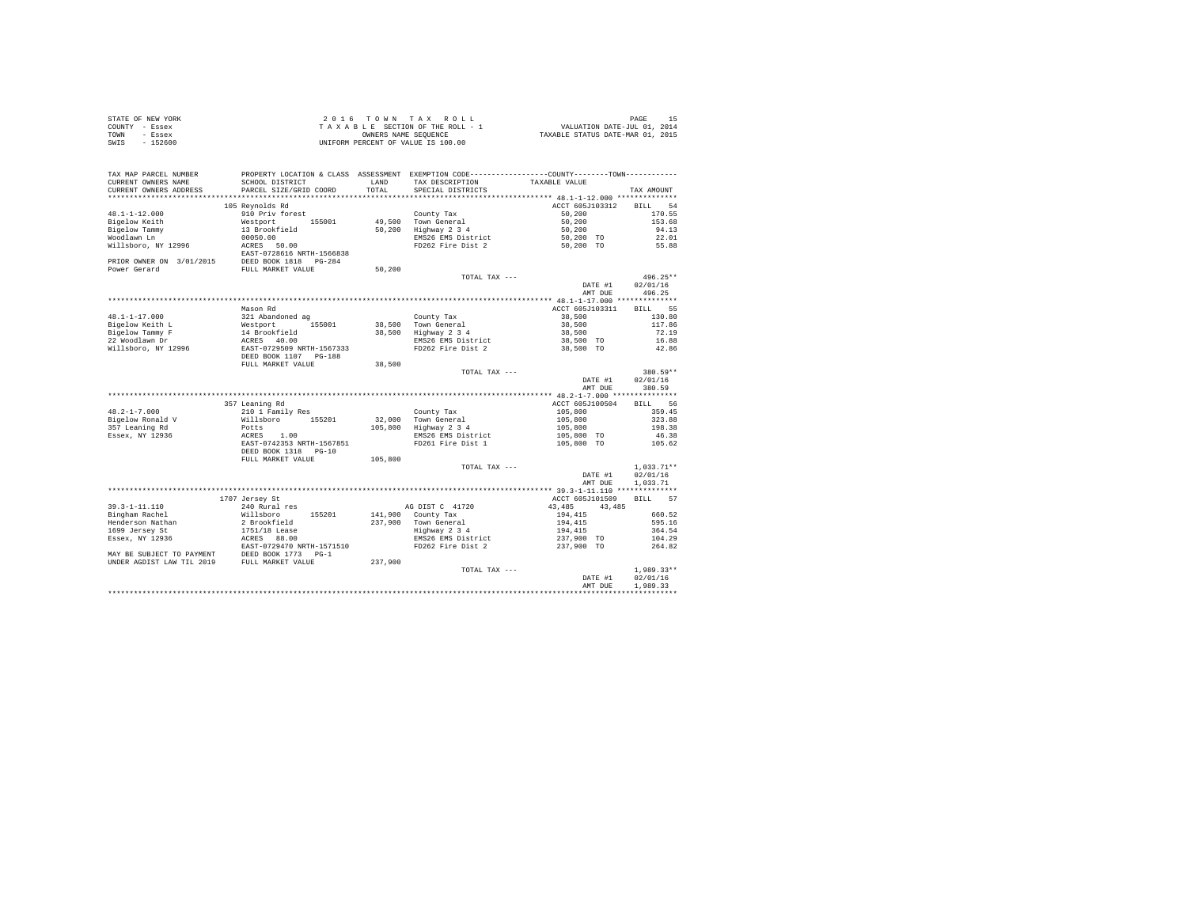| STATE OF NEW YORK | 2016 TOWN TAX ROLL                 | PAGE                             |
|-------------------|------------------------------------|----------------------------------|
| COUNTY - Essex    | TAXABLE SECTION OF THE ROLL - 1    | VALUATION DATE-JUL 01, 2014      |
| TOWN<br>- Essex   | OWNERS NAME SEOUENCE               | TAXABLE STATUS DATE-MAR 01, 2015 |
| $-152600$<br>SWIS | UNIFORM PERCENT OF VALUE IS 100.00 |                                  |

| TAX MAP PARCEL NUMBER<br>CURRENT OWNERS NAME | PROPERTY LOCATION & CLASS ASSESSMENT EXEMPTION CODE---------------COUNTY-------TOWN---------<br>SCHOOL DISTRICT | <b>T.AND</b> | TAX DESCRIPTION    | TAXABLE VALUE      |                    |
|----------------------------------------------|-----------------------------------------------------------------------------------------------------------------|--------------|--------------------|--------------------|--------------------|
| CURRENT OWNERS ADDRESS                       | PARCEL SIZE/GRID COORD                                                                                          | TOTAL        | SPECIAL DISTRICTS  |                    | TAX AMOUNT         |
| ***********************                      |                                                                                                                 |              |                    |                    |                    |
|                                              | 105 Reynolds Rd                                                                                                 |              |                    | ACCT 605J103312    | <b>BILL</b><br>54  |
| $48.1 - 1 - 12.000$                          | 910 Priv forest                                                                                                 |              | County Tax         | 50,200             | 170.55             |
| Bigelow Keith                                | Westport<br>155001                                                                                              | 49,500       | Town General       | 50,200             | 153.68             |
| Bigelow Tammy                                | 13 Brookfield                                                                                                   | 50,200       | Highway 2 3 4      | 50,200             | 94.13              |
| Woodlawn Ln                                  | 00050.00                                                                                                        |              | EMS26 EMS District | 50,200 TO          | 22.01              |
| Willsboro, NY 12996                          | ACRES<br>50.00                                                                                                  |              | FD262 Fire Dist 2  | 50,200 TO          | 55.88              |
|                                              | EAST-0728616 NRTH-1566838                                                                                       |              |                    |                    |                    |
| PRIOR OWNER ON 3/01/2015                     | DEED BOOK 1818<br>$PG-284$                                                                                      |              |                    |                    |                    |
| Power Gerard                                 | FULL MARKET VALUE                                                                                               | 50,200       |                    |                    |                    |
|                                              |                                                                                                                 |              | TOTAL TAX ---      |                    | $496.25**$         |
|                                              |                                                                                                                 |              |                    |                    |                    |
|                                              |                                                                                                                 |              |                    | DATE #1<br>AMT DUE | 02/01/16<br>496.25 |
|                                              |                                                                                                                 |              |                    |                    |                    |
|                                              |                                                                                                                 |              |                    |                    |                    |
|                                              | Mason Rd                                                                                                        |              |                    | ACCT 605J103311    | 55<br><b>BILL</b>  |
| $48.1 - 1 - 17.000$                          | 321 Abandoned ag                                                                                                |              | County Tax         | 38,500             | 130.80             |
| Bigelow Keith L                              | 155001<br>Westport                                                                                              | 38,500       | Town General       | 38,500             | 117.86             |
| Bigelow Tammy F                              | 14 Brookfield                                                                                                   | 38,500       | Highway 2 3 4      | 38,500             | 72.19              |
| 22 Woodlawn Dr                               | ACRES<br>40.00                                                                                                  |              | EMS26 EMS District | 38,500 TO          | 16.88              |
| Willsboro, NY 12996                          | EAST-0729509 NRTH-1567333                                                                                       |              | FD262 Fire Dist 2  | 38,500 TO          | 42.86              |
|                                              | DEED BOOK 1107 PG-188                                                                                           |              |                    |                    |                    |
|                                              | FULL MARKET VALUE                                                                                               | 38,500       |                    |                    |                    |
|                                              |                                                                                                                 |              | TOTAL TAX ---      |                    | 380.59**           |
|                                              |                                                                                                                 |              |                    | DATE #1            | 02/01/16           |
|                                              |                                                                                                                 |              |                    | AMT DUE            | 380.59             |
|                                              |                                                                                                                 |              |                    |                    |                    |
|                                              | 357 Leaning Rd                                                                                                  |              |                    | ACCT 605J100504    | 56<br><b>BILL</b>  |
| $48.2 - 1 - 7.000$                           | 210 1 Family Res                                                                                                |              | County Tax         | 105,800            | 359.45             |
| Bigelow Ronald V                             | 155201<br>Willsboro                                                                                             | 32,000       | Town General       | 105,800            | 323.88             |
| 357 Leaning Rd                               | Potts                                                                                                           | 105,800      | Highway 2 3 4      | 105,800            | 198.38             |
| Essex, NY 12936                              | 1.00<br>ACRES                                                                                                   |              | EMS26 EMS District | 105,800 TO         | 46.38              |
|                                              | EAST-0742353 NRTH-1567851                                                                                       |              | FD261 Fire Dist 1  | 105,800 TO         | 105.62             |
|                                              | DEED BOOK 1318 PG-10                                                                                            |              |                    |                    |                    |
|                                              | FULL MARKET VALUE                                                                                               | 105,800      |                    |                    |                    |
|                                              |                                                                                                                 |              | TOTAL TAX ---      |                    | $1,033.71**$       |
|                                              |                                                                                                                 |              |                    | DATE #1            | 02/01/16           |
|                                              |                                                                                                                 |              |                    | AMT DUE            | 1,033.71           |
|                                              |                                                                                                                 |              |                    |                    |                    |
|                                              | 1707 Jersey St                                                                                                  |              |                    | ACCT 605J101509    | <b>BILL</b><br>57  |
| $39.3 - 1 - 11.110$                          | 240 Rural res                                                                                                   |              | AG DIST C 41720    | 43,485<br>43,485   |                    |
| Bingham Rachel                               | Willsboro<br>155201                                                                                             | 141,900      | County Tax         | 194,415            | 660.52             |
| Henderson Nathan                             | 2 Brookfield                                                                                                    | 237,900      | Town General       | 194,415            | 595.16             |
| 1699 Jersey St                               | 1751/18 Lease                                                                                                   |              | Highway 2 3 4      | 194,415            | 364.54             |
| Essex, NY 12936                              | ACRES 88.00                                                                                                     |              | EMS26 EMS District | 237,900 TO         | 104.29             |
|                                              | EAST-0729470 NRTH-1571510                                                                                       |              | FD262 Fire Dist 2  | 237,900 TO         | 264.82             |
| MAY BE SUBJECT TO PAYMENT                    | DEED BOOK 1773<br>$PG-1$                                                                                        |              |                    |                    |                    |
| UNDER AGDIST LAW TIL 2019                    | FULL MARKET VALUE                                                                                               | 237,900      |                    |                    |                    |
|                                              |                                                                                                                 |              | TOTAL TAX ---      |                    | $1.989.33**$       |
|                                              |                                                                                                                 |              |                    | DATE #1            | 02/01/16           |
|                                              |                                                                                                                 |              |                    | AMT DUE            | 1,989.33           |
|                                              |                                                                                                                 |              |                    |                    |                    |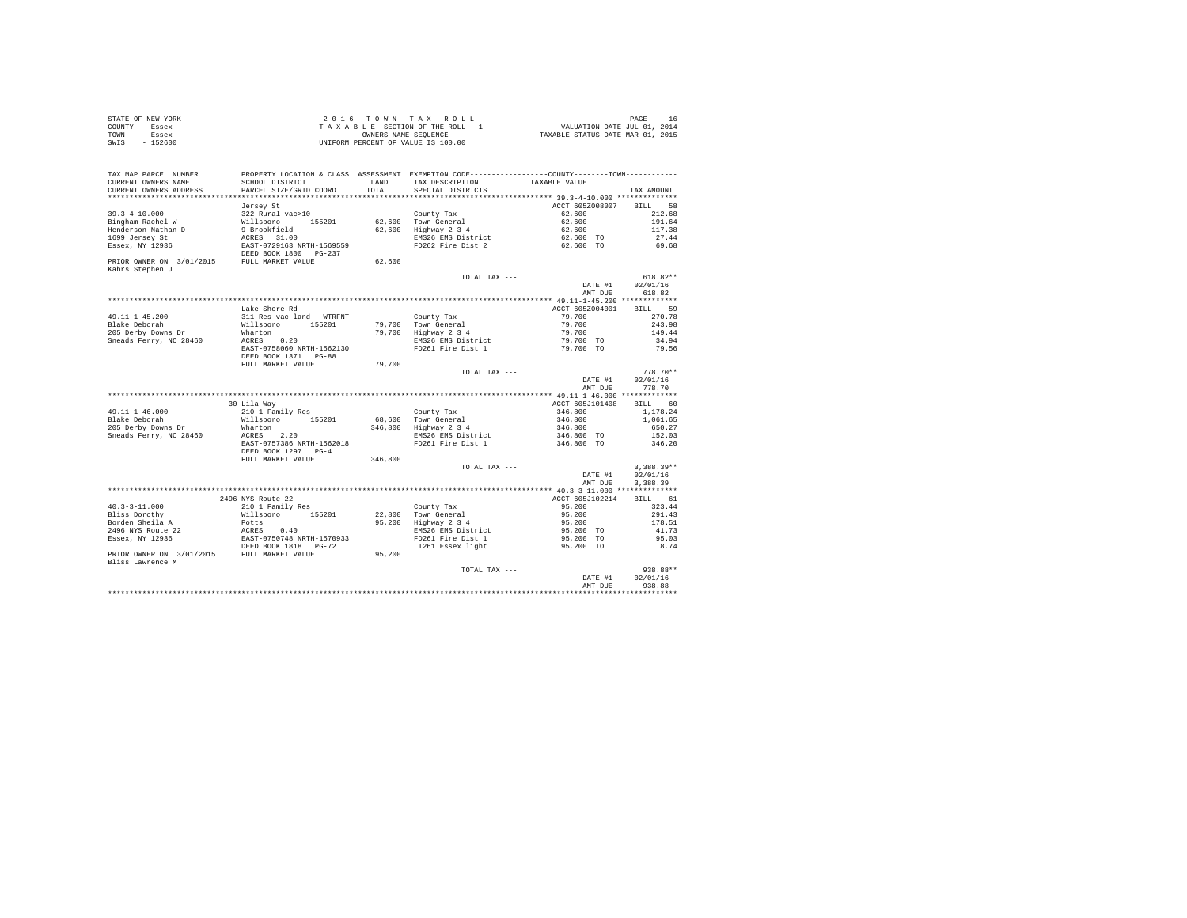|                | STATE OF NEW YORK | 2016 TOWN TAX ROLL                 | PAGE<br>16                       |
|----------------|-------------------|------------------------------------|----------------------------------|
| COUNTY - Essex |                   | TAXABLE SECTION OF THE ROLL - 1    | VALUATION DATE-JUL 01, 2014      |
| TOWN           | - Essex           | OWNERS NAME SEOUENCE               | TAXABLE STATUS DATE-MAR 01, 2015 |
| SWIS           | $-152600$         | UNIFORM PERCENT OF VALUE IS 100.00 |                                  |

| TAX MAP PARCEL NUMBER                         |                                                    |                       | PROPERTY LOCATION & CLASS ASSESSMENT EXEMPTION CODE---------------COUNTY-------TOWN---------- |                                           |                   |
|-----------------------------------------------|----------------------------------------------------|-----------------------|-----------------------------------------------------------------------------------------------|-------------------------------------------|-------------------|
| CURRENT OWNERS NAME<br>CURRENT OWNERS ADDRESS | SCHOOL DISTRICT<br>PARCEL SIZE/GRID COORD          | <b>T.AND</b><br>TOTAL | TAX DESCRIPTION<br>SPECIAL DISTRICTS                                                          | TAXABLE VALUE                             | TAX AMOUNT        |
|                                               |                                                    |                       |                                                                                               |                                           |                   |
|                                               | Jersey St                                          |                       |                                                                                               | ACCT 605Z008007                           | <b>BILL</b><br>58 |
| $39.3 - 4 - 10.000$                           | 322 Rural vac>10                                   |                       | County Tax                                                                                    | 62,600                                    | 212.68            |
| Bingham Rachel W                              | Willsboro<br>155201                                | 62,600                | Town General                                                                                  | 62,600                                    | 191.64            |
| Henderson Nathan D                            |                                                    | 62,600                | Highway 2 3 4                                                                                 | 62,600                                    | 117.38            |
| 1699 Jersey St                                | 9 Brookfield<br>ACRES 31.00                        |                       | EMS26 EMS District                                                                            |                                           | 27.44             |
|                                               |                                                    |                       |                                                                                               | 62,600 TO                                 |                   |
| Essex, NY 12936                               | EAST-0729163 NRTH-1569559<br>DEED BOOK 1800 PG-237 |                       | FD262 Fire Dist 2                                                                             | 62,600 TO                                 | 69.68             |
| PRIOR OWNER ON 3/01/2015<br>Kahrs Stephen J   | FULL MARKET VALUE                                  | 62,600                |                                                                                               |                                           |                   |
|                                               |                                                    |                       | TOTAL TAX ---                                                                                 |                                           | $618.82**$        |
|                                               |                                                    |                       |                                                                                               | DATE #1                                   | 02/01/16          |
|                                               |                                                    |                       |                                                                                               | AMT DUE                                   | 618.82            |
|                                               |                                                    |                       |                                                                                               | ************ 49.11-1-45.200 ************* |                   |
|                                               | Lake Shore Rd                                      |                       |                                                                                               | ACCT 605Z004001                           | BILL 59           |
| 49.11-1-45.200                                | 311 Res vac land - WTRFNT                          |                       | County Tax                                                                                    | 79,700                                    | 270.78            |
| Blake Deborah                                 | Willsboro<br>155201                                |                       | 79,700 Town General<br>79,700 Highway 2 3 4                                                   | 79,700                                    | 243.98            |
| 205 Derby Downs Dr                            | Wharton                                            |                       |                                                                                               | 79,700                                    | 149.44            |
| Sneads Ferry, NC 28460                        | ACRES 0.20                                         |                       | EMS26 EMS District                                                                            | 79,700 TO                                 | 34.94             |
|                                               | EAST-0758060 NRTH-1562130                          |                       | FD261 Fire Dist 1                                                                             | 79,700 TO                                 | 79.56             |
|                                               | DEED BOOK 1371 PG-88                               |                       |                                                                                               |                                           |                   |
|                                               | FULL MARKET VALUE                                  | 79,700                |                                                                                               |                                           |                   |
|                                               |                                                    |                       | TOTAL TAX ---                                                                                 |                                           | $778.70**$        |
|                                               |                                                    |                       |                                                                                               | DATE #1                                   | 02/01/16          |
|                                               |                                                    |                       |                                                                                               | AMT DUE                                   | 778.70            |
|                                               |                                                    |                       |                                                                                               |                                           |                   |
|                                               | 30 Lila Way                                        |                       |                                                                                               | ACCT 605J101408                           | <b>BILL</b><br>60 |
| 49.11-1-46.000                                | 210 1 Family Res                                   |                       | County Tax                                                                                    | 346,800                                   | 1,178.24          |
| Blake Deborah                                 | Willsboro 155201                                   | 68,600                | Town General                                                                                  | 346,800                                   | 1,061.65          |
| 205 Derby Downs Dr                            | Wharton                                            | 346,800               | Highway 2 3 4                                                                                 | 346,800                                   | 650.27            |
| Sneads Ferry, NC 28460                        | ACRES 2.20                                         |                       | EMS26 EMS District                                                                            | 346,800 TO                                | 152.03            |
|                                               | EAST-0757386 NRTH-1562018                          |                       | FD261 Fire Dist 1                                                                             | 346,800 TO                                | 346.20            |
|                                               | DEED BOOK 1297 PG-4                                |                       |                                                                                               |                                           |                   |
|                                               | FULL MARKET VALUE                                  | 346,800               |                                                                                               |                                           |                   |
|                                               |                                                    |                       | TOTAL TAX ---                                                                                 |                                           | $3,388.39**$      |
|                                               |                                                    |                       |                                                                                               | DATE #1                                   | 02/01/16          |
|                                               |                                                    |                       |                                                                                               | AMT DUE                                   | 3,388.39          |
|                                               |                                                    |                       |                                                                                               |                                           |                   |
|                                               | 2496 NYS Route 22                                  |                       |                                                                                               | ACCT 605J102214                           | BILL 61           |
| $40.3 - 3 - 11.000$                           | 210 1 Family Res                                   |                       | County Tax                                                                                    | 95,200                                    | 323.44            |
| Bliss Dorothy                                 | Willsboro<br>155201                                | 22,800                | Town General                                                                                  | 95,200                                    | 291.43            |
| Borden Sheila A                               | Potts                                              | 95,200                | Highway 2 3 4                                                                                 | 95,200                                    | 178.51            |
| 2496 NYS Route 22                             |                                                    |                       | EMS26 EMS District                                                                            | 95,200 TO                                 | 41.73             |
| Essex, NY 12936                               | ACRES 0.40<br>EAST-0750748 NRTH-1570933            |                       | FD261 Fire Dist 1                                                                             | 95,200 TO                                 | 95.03             |
|                                               | DEED BOOK 1818 PG-72                               |                       | LT261 Essex light                                                                             | 95,200 TO                                 | 8.74              |
| PRIOR OWNER ON 3/01/2015 FULL MARKET VALUE    |                                                    | 95,200                |                                                                                               |                                           |                   |
| Bliss Lawrence M                              |                                                    |                       |                                                                                               |                                           |                   |
|                                               |                                                    |                       | TOTAL TAX ---                                                                                 |                                           | 938.88**          |
|                                               |                                                    |                       |                                                                                               | DATE #1                                   | 02/01/16          |
|                                               |                                                    |                       |                                                                                               | AMT DUE                                   | 938.88            |
|                                               |                                                    |                       |                                                                                               |                                           | .                 |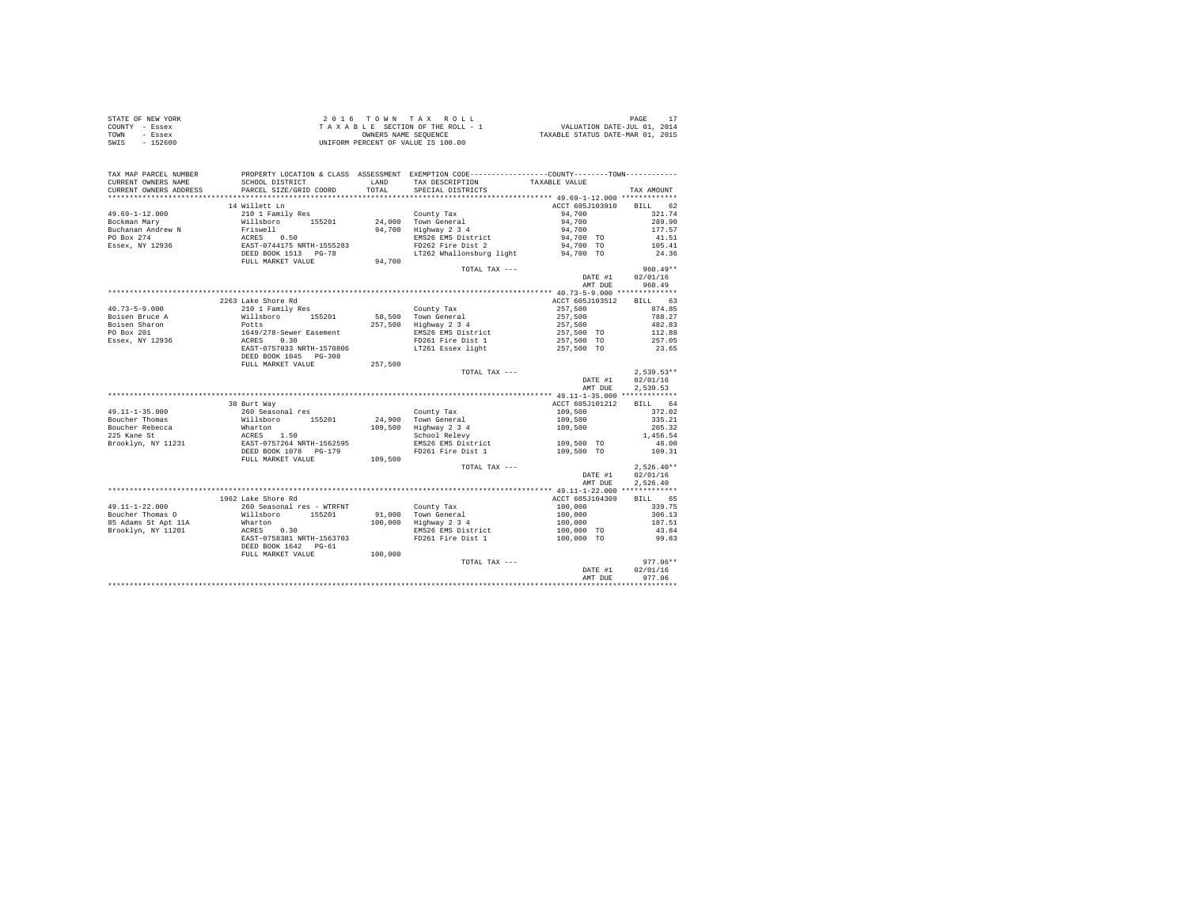|                | STATE OF NEW YORK | 2016 TOWN TAX ROLL                 | PAGE                             |
|----------------|-------------------|------------------------------------|----------------------------------|
| COUNTY - Essex |                   | TAXABLE SECTION OF THE ROLL - 1    | VALUATION DATE-JUL 01, 2014      |
| TOWN           | - Essex           | OWNERS NAME SEOUENCE               | TAXABLE STATUS DATE-MAR 01, 2015 |
| SWIS           | $-152600$         | UNIFORM PERCENT OF VALUE IS 100.00 |                                  |

| TAX MAP PARCEL NUMBER<br>CURRENT OWNERS NAME<br>CURRENT OWNERS ADDRESS | SCHOOL DISTRICT<br>PARCEL SIZE/GRID COORD                                   | LAND<br>TOTAL. | PROPERTY LOCATION & CLASS ASSESSMENT EXEMPTION CODE----------------COUNTY-------TOWN----------<br>TAX DESCRIPTION<br>SPECIAL DISTRICTS | TAXABLE VALUE           | TAX AMOUNT       |
|------------------------------------------------------------------------|-----------------------------------------------------------------------------|----------------|----------------------------------------------------------------------------------------------------------------------------------------|-------------------------|------------------|
| ************************                                               |                                                                             |                |                                                                                                                                        |                         |                  |
|                                                                        | 14 Willett Ln                                                               |                |                                                                                                                                        | ACCT 605J103910 BILL 62 |                  |
| 49.69-1-12.000                                                         | 210 1 Family Res                                                            |                | County Tax<br>county Tax<br>24,000 Town General                                                                                        | 94,700<br>94,700        | 321.74<br>289.90 |
| Bockman Mary<br>Buchanan Andrew N                                      | Willsboro 155201                                                            |                | 94,700 Highway 2 3 4                                                                                                                   | 94,700                  | 177.57           |
| PO Box 274                                                             | Friswell<br>ACRES 0.50<br>EAST-0744175 NRTH-1555283                         |                | EMS26 EMS District                                                                                                                     | 94,700 TO               | 41.51            |
| Essex, NY 12936                                                        |                                                                             |                | FD262 Fire Dist 2                                                                                                                      | 94.700 TO               | 105.41           |
|                                                                        | DEED BOOK 1513 PG-78                                                        |                | LT262 Whallonsburg light 94,700 TO                                                                                                     |                         | 24.36            |
|                                                                        | FULL MARKET VALUE                                                           | 94,700         |                                                                                                                                        |                         |                  |
|                                                                        |                                                                             |                | TOTAL TAX ---                                                                                                                          |                         | $960.49**$       |
|                                                                        |                                                                             |                |                                                                                                                                        | DATE #1                 | 02/01/16         |
|                                                                        |                                                                             |                |                                                                                                                                        | AMT DUE                 | 960.49           |
|                                                                        |                                                                             |                |                                                                                                                                        |                         |                  |
|                                                                        | 2263 Lake Shore Rd                                                          |                |                                                                                                                                        | ACCT 605J103512         | BILL 63          |
| $40.73 - 5 - 9.000$                                                    | 210 1 Family Res                                                            |                | County Tax                                                                                                                             | 257,500                 | 874.85           |
| Boisen Bruce A                                                         | Willsboro<br>155201                                                         |                | 58,500 Town General                                                                                                                    | 257,500                 | 788.27           |
| Boisen Sharon                                                          |                                                                             |                | 257,500 Highway 2 3 4                                                                                                                  | 257.500                 | 482.83           |
| PO Box 201                                                             |                                                                             |                | EMS26 EMS District                                                                                                                     | 257,500 TO              | 112.88           |
| Essex, NY 12936                                                        |                                                                             |                | FD261 Fire Dist 1                                                                                                                      | 257,500 TO              | 257.05           |
|                                                                        | Potts<br>1649/278-Sewer Easement<br>ACRES 0.30<br>EAST-0757033 NRTH-1570806 |                | LT261 Essex light                                                                                                                      | 257,500 TO              | 23.65            |
|                                                                        | DEED BOOK 1045 PG-308                                                       |                |                                                                                                                                        |                         |                  |
|                                                                        | FULL MARKET VALUE                                                           | 257,500        |                                                                                                                                        |                         |                  |
|                                                                        |                                                                             |                | TOTAL TAX ---                                                                                                                          |                         | $2,539.53**$     |
|                                                                        |                                                                             |                |                                                                                                                                        | DATE #1                 | 02/01/16         |
|                                                                        |                                                                             |                |                                                                                                                                        | AMT DUE                 | 2.539.53         |
|                                                                        |                                                                             |                |                                                                                                                                        |                         |                  |
|                                                                        | 38 Burt Way                                                                 |                |                                                                                                                                        | ACCT 605J101212         | BILL 64          |
| $49.11 - 1 - 35.000$                                                   | 260 Seasonal res                                                            |                | County Tax                                                                                                                             | 109,500                 | 372.02           |
| Boucher Thomas                                                         | Willsboro 155201                                                            |                | 24.900 Town General                                                                                                                    | 109,500                 | 335.21           |
| Boucher Rebecca                                                        |                                                                             |                | 109,500 Highway 2 3 4                                                                                                                  | 109,500                 | 205.32           |
| 225 Kane St                                                            |                                                                             |                | School Relevy                                                                                                                          | 109,500 TO              | 1,456.54         |
| Brooklyn, NY 11231                                                     | Wharton<br>ACRES 1.50<br>EAST-0757264 NRTH-1562595<br>DEED BOOK 1078 PG-179 |                | EMS26 EMS District<br>FD261 Fire Dist 1                                                                                                | 109,500 TO              | 48.00            |
|                                                                        | FULL MARKET VALUE                                                           | 109,500        |                                                                                                                                        |                         | 109.31           |
|                                                                        |                                                                             |                | TOTAL TAX ---                                                                                                                          |                         | $2.526.40**$     |
|                                                                        |                                                                             |                |                                                                                                                                        | DATE #1                 | 02/01/16         |
|                                                                        |                                                                             |                |                                                                                                                                        | AMT DUE                 | 2.526.40         |
|                                                                        |                                                                             |                |                                                                                                                                        |                         |                  |
|                                                                        | 1962 Lake Shore Rd                                                          |                |                                                                                                                                        | ACCT 605J104309         | BILL 65          |
| 49.11-1-22.000                                                         | 260 Seasonal res - WTRFNT                                                   |                |                                                                                                                                        |                         | 339.75           |
| Boucher Thomas O                                                       | Willsboro 155201                                                            |                | County Tax<br>91,000 Town General                                                                                                      | 100,000<br>100,000      | 306.13           |
| 85 Adams St Apt 11A                                                    |                                                                             |                | 100,000 Highway 2 3 4                                                                                                                  | 100,000                 | 187.51           |
| Brooklyn, NY 11201                                                     | Wharton<br>ACRES 0.30                                                       |                | EMS26 EMS District                                                                                                                     | 100,000 TO              | 43.84            |
|                                                                        | EAST-0758381 NRTH-1563703                                                   |                | FD261 Fire Dist 1                                                                                                                      | 100,000 TO              | 99.83            |
|                                                                        | DEED BOOK 1642 PG-61                                                        |                |                                                                                                                                        |                         |                  |
|                                                                        | FULL MARKET VALUE                                                           | 100,000        |                                                                                                                                        |                         |                  |
|                                                                        |                                                                             |                | TOTAL TAX ---                                                                                                                          |                         | $977.06**$       |
|                                                                        |                                                                             |                |                                                                                                                                        | DATE #1                 | 02/01/16         |
|                                                                        |                                                                             |                |                                                                                                                                        | AMT DUE                 | 977.06           |
|                                                                        |                                                                             |                |                                                                                                                                        |                         |                  |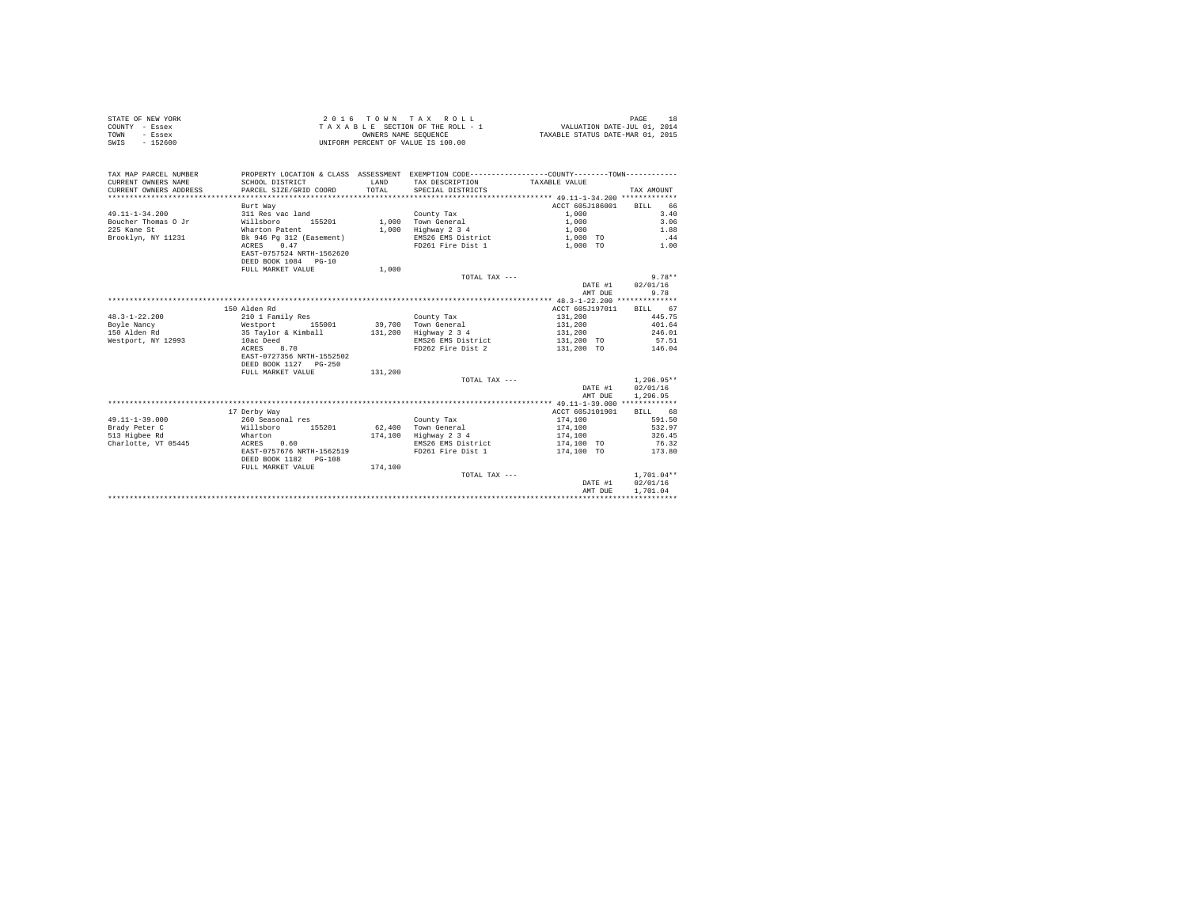| STATE OF NEW YORK     | 2016 TOWN TAX ROLL                                                                             | 18<br>PAGE                       |
|-----------------------|------------------------------------------------------------------------------------------------|----------------------------------|
| COUNTY - Essex        | TAXABLE SECTION OF THE ROLL - 1                                                                | VALUATION DATE-JUL 01, 2014      |
| TOWN<br>- Essex       | OWNERS NAME SEOUENCE                                                                           | TAXABLE STATUS DATE-MAR 01, 2015 |
| $-152600$<br>SWIS     | UNIFORM PERCENT OF VALUE IS 100.00                                                             |                                  |
|                       |                                                                                                |                                  |
|                       |                                                                                                |                                  |
|                       |                                                                                                |                                  |
| TAX MAP PARCEL NUMBER | PROPERTY LOCATION & CLASS ASSESSMENT EXEMPTION CODE----------------COUNTY-------TOWN---------- |                                  |

| CURRENT OWNERS NAME    | SCHOOL DISTRICT           | LAND    | TAX DESCRIPTION    | TAXABLE VALUE   |              |
|------------------------|---------------------------|---------|--------------------|-----------------|--------------|
| CURRENT OWNERS ADDRESS | PARCEL SIZE/GRID COORD    | TOTAL   | SPECIAL DISTRICTS  |                 | TAX AMOUNT   |
|                        |                           |         |                    |                 |              |
|                        | Burt Way                  |         |                    | ACCT 605J186001 | RTLL<br>66   |
| $49.11 - 1 - 34.200$   | 311 Res vac land          |         | County Tax         | 1,000           | 3.40         |
| Boucher Thomas O Jr    | Willsboro<br>155201       | 1,000   | Town General       | 1,000           | 3.06         |
| 225 Kane St            | Wharton Patent            | 1,000   | Highway 2 3 4      | 1,000           | 1.88         |
| Brooklyn, NY 11231     | Bk 946 Pg 312 (Easement)  |         | EMS26 EMS District | 1,000 TO        | .44          |
|                        | 0.47<br>ACRES             |         | FD261 Fire Dist 1  | 1,000 TO        | 1.00         |
|                        | EAST-0757524 NRTH-1562620 |         |                    |                 |              |
|                        | DEED BOOK 1084 PG-10      |         |                    |                 |              |
|                        | FULL MARKET VALUE         | 1,000   |                    |                 |              |
|                        |                           |         | TOTAL TAX ---      |                 | $9.78**$     |
|                        |                           |         |                    | DATE #1         | 02/01/16     |
|                        |                           |         |                    | AMT DUE         | 9.78         |
|                        |                           |         |                    |                 |              |
|                        | 150 Alden Rd              |         |                    | ACCT 605J197011 | RTLL 67      |
| $48.3 - 1 - 22.200$    | 210 1 Family Res          |         | County Tax         | 131,200         | 445.75       |
| Boyle Nancy            | Westport<br>155001        | 39,700  | Town General       | 131,200         | 401.64       |
| 150 Alden Rd           | 35 Taylor & Kimball       | 131,200 | Highway 2 3 4      | 131,200         | 246.01       |
| Westport, NY 12993     | 10ac Deed                 |         | EMS26 EMS District | 131,200 TO      | 57.51        |
|                        | ACRES<br>8.70             |         | FD262 Fire Dist 2  | 131,200 TO      | 146.04       |
|                        | EAST-0727356 NRTH-1552502 |         |                    |                 |              |
|                        | DEED BOOK 1127 PG-250     |         |                    |                 |              |
|                        | FULL MARKET VALUE         | 131,200 |                    |                 |              |
|                        |                           |         | TOTAL TAX ---      |                 | $1.296.95**$ |
|                        |                           |         |                    | DATE #1         | 02/01/16     |
|                        |                           |         |                    | AMT DUE         | 1,296.95     |
|                        |                           |         |                    |                 |              |
|                        | 17 Derby Way              |         |                    | ACCT 605J101901 | RTLL 68      |
| $49.11 - 1 - 39.000$   | 260 Seasonal res          |         | County Tax         | 174,100         | 591.50       |
| Brady Peter C          | 155201<br>Willsboro       | 62,400  | Town General       | 174,100         | 532.97       |
| 513 Higbee Rd          | Wharton                   | 174,100 | Highway 2 3 4      | 174,100         | 326.45       |
| Charlotte, VT 05445    | ACRES<br>0.60             |         | EMS26 EMS District | 174,100 TO      | 76.32        |
|                        | EAST-0757676 NRTH-1562519 |         | FD261 Fire Dist 1  | 174,100 TO      | 173.80       |
|                        | DEED BOOK 1182 PG-108     |         |                    |                 |              |
|                        | FULL MARKET VALUE         | 174,100 |                    |                 |              |
|                        |                           |         | TOTAL TAX ---      |                 | $1.701.04**$ |
|                        |                           |         |                    | DATE #1         | 02/01/16     |
|                        |                           |         |                    | AMT DUE         | 1,701.04     |
|                        |                           |         |                    |                 |              |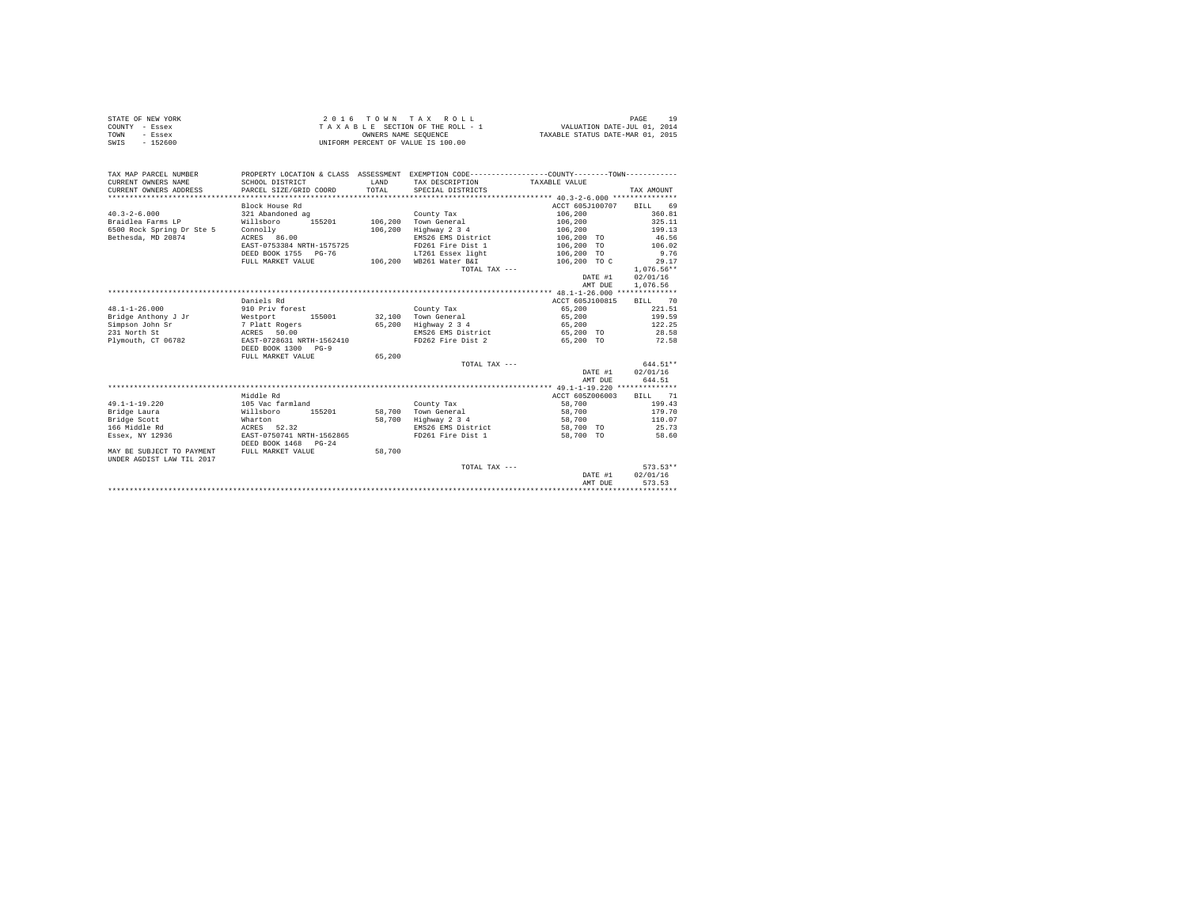|                | STATE OF NEW YORK |  |  |  | 2016 TOWN TAX ROLL                 |  |  |  |  |                                  | PAGE |  |
|----------------|-------------------|--|--|--|------------------------------------|--|--|--|--|----------------------------------|------|--|
| COUNTY - Essex |                   |  |  |  | TAXABLE SECTION OF THE ROLL - 1    |  |  |  |  | VALUATION DATE-JUL 01, 2014      |      |  |
| TOWN           | - Essex           |  |  |  | OWNERS NAME SEOUENCE               |  |  |  |  | TAXABLE STATUS DATE-MAR 01, 2015 |      |  |
| SWIS           | - 152600          |  |  |  | UNIFORM PERCENT OF VALUE IS 100.00 |  |  |  |  |                                  |      |  |

| TAX MAP PARCEL NUMBER<br>CURRENT OWNERS NAME<br>CURRENT OWNERS ADDRESS | SCHOOL DISTRICT<br>PARCEL SIZE/GRID COORD | <b>T.AND</b><br>TOTAL. | PROPERTY LOCATION & CLASS ASSESSMENT EXEMPTION CODE----------------COUNTY--------TOWN----------<br>TAX DESCRIPTION TAXABLE VALUE<br>SPECIAL DISTRICTS |                         | TAX AMOUNT         |
|------------------------------------------------------------------------|-------------------------------------------|------------------------|-------------------------------------------------------------------------------------------------------------------------------------------------------|-------------------------|--------------------|
|                                                                        | Block House Rd                            |                        |                                                                                                                                                       | ACCT 605J100707 BILL 69 |                    |
| $40.3 - 2 - 6.000$                                                     | 321 Abandoned ag                          |                        | County Tax                                                                                                                                            | 106,200                 | 360.81             |
| Braidlea Farms LP                                                      | 155201<br>Willsboro                       | 106,200                | Town General                                                                                                                                          | 106,200                 | 325.11             |
| 6500 Rock Spring Dr Ste 5                                              | Connolly                                  | 106,200                | Highway 2 3 4                                                                                                                                         | 106,200                 | 199.13             |
| Bethesda, MD 20874                                                     | ACRES 86.00                               |                        | EMS26 EMS District                                                                                                                                    | 106,200 TO              | 46.56              |
|                                                                        | EAST-0753384 NRTH-1575725                 |                        | FD261 Fire Dist 1                                                                                                                                     | 106,200 TO              | 106.02             |
|                                                                        | DEED BOOK 1755 PG-76                      |                        | LT261 Essex light                                                                                                                                     | 106,200 TO              | 9.76               |
|                                                                        | FULL MARKET VALUE                         |                        | 106,200 WB261 Water B&I                                                                                                                               | 106,200 TO C            | 29.17              |
|                                                                        |                                           |                        | TOTAL TAX ---                                                                                                                                         |                         | $1.076.56**$       |
|                                                                        |                                           |                        |                                                                                                                                                       | DATE #1                 | 02/01/16           |
|                                                                        |                                           |                        |                                                                                                                                                       | AMT DUE                 | 1,076.56           |
|                                                                        |                                           |                        |                                                                                                                                                       |                         |                    |
|                                                                        | Daniels Rd                                |                        |                                                                                                                                                       | ACCT 605J100815         | BILL 70            |
| $48.1 - 1 - 26.000$                                                    | 910 Priv forest                           |                        | County Tax                                                                                                                                            | 65,200                  | 221.51             |
| Bridge Anthony J Jr                                                    | Westport 155001                           |                        | 32.100 Town General                                                                                                                                   | 65,200                  | 199.59             |
| Simpson John Sr                                                        | 7 Platt Rogers                            | 65,200                 | Highway 2 3 4                                                                                                                                         | 65,200                  | 122.25             |
| 231 North St                                                           | ACRES 50.00                               |                        | EMS26 EMS District 65,200 TO                                                                                                                          |                         | 28.58              |
| Plymouth, CT 06782                                                     | EAST-0728631 NRTH-1562410                 |                        | FD262 Fire Dist 2 65.200 TO                                                                                                                           |                         | 72.58              |
|                                                                        | DEED BOOK 1300 PG-9                       |                        |                                                                                                                                                       |                         |                    |
|                                                                        | FULL MARKET VALUE                         | 65,200                 |                                                                                                                                                       |                         |                    |
|                                                                        |                                           |                        | TOTAL TAX ---                                                                                                                                         |                         | $644.51**$         |
|                                                                        |                                           |                        |                                                                                                                                                       | DATE #1                 | 02/01/16           |
|                                                                        |                                           |                        |                                                                                                                                                       | AMT DUE                 | 644.51             |
|                                                                        |                                           |                        |                                                                                                                                                       |                         |                    |
|                                                                        | Middle Rd                                 |                        |                                                                                                                                                       | ACCT 605Z006003         | BILL 71            |
| $49.1 - 1 - 19.220$                                                    | 105 Vac farmland                          |                        | County Tax                                                                                                                                            | 58,700                  | 199.43             |
| Bridge Laura                                                           | 155201<br>Willsboro                       |                        | 58.700 Town General                                                                                                                                   | 58,700                  | 179.70             |
| Bridge Scott                                                           | Wharton                                   | 58,700                 | Highway 2 3 4                                                                                                                                         | 58,700                  | 110.07             |
| 166 Middle Rd                                                          | ACRES 52.32                               |                        | EMS26 EMS District                                                                                                                                    | 58,700 TO               | 25.73              |
| Essex, NY 12936                                                        | EAST-0750741 NRTH-1562865                 |                        | FD261 Fire Dist 1                                                                                                                                     | 58,700 TO               | 58.60              |
|                                                                        | DEED BOOK 1468 PG-24                      |                        |                                                                                                                                                       |                         |                    |
| MAY BE SUBJECT TO PAYMENT                                              | FULL MARKET VALUE                         | 58,700                 |                                                                                                                                                       |                         |                    |
| UNDER AGDIST LAW TIL 2017                                              |                                           |                        |                                                                                                                                                       |                         |                    |
|                                                                        |                                           |                        | TOTAL TAX ---                                                                                                                                         |                         | $573.53**$         |
|                                                                        |                                           |                        |                                                                                                                                                       | DATE #1                 | 02/01/16<br>573.53 |
|                                                                        |                                           |                        |                                                                                                                                                       | AMT DUE                 |                    |
|                                                                        |                                           |                        |                                                                                                                                                       |                         |                    |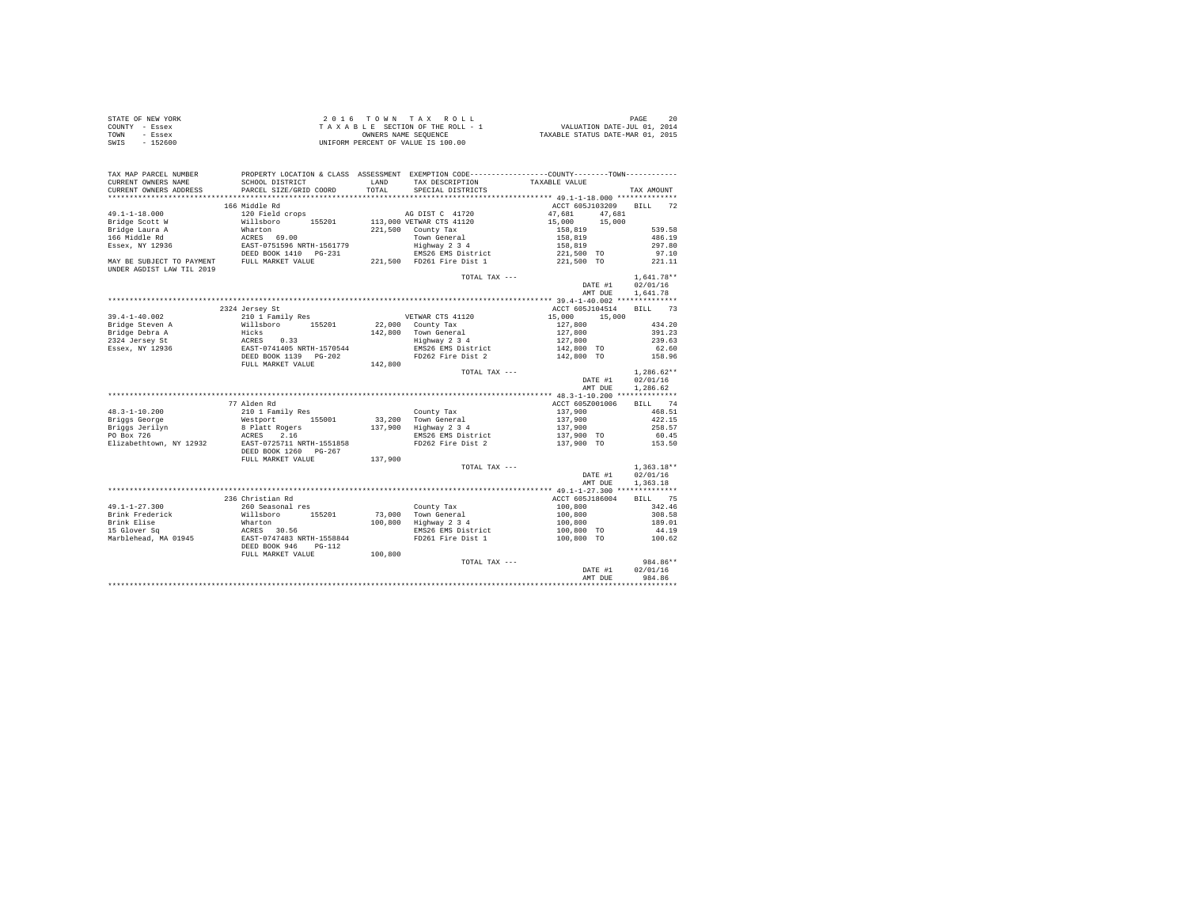|                | STATE OF NEW YORK | 2016 TOWN TAX ROLL                 | 20<br>PAGE                       |
|----------------|-------------------|------------------------------------|----------------------------------|
| COUNTY - Essex |                   | TAXABLE SECTION OF THE ROLL - 1    | VALUATION DATE-JUL 01, 2014      |
| TOWN           | - Essex           | OWNERS NAME SEOUENCE               | TAXABLE STATUS DATE-MAR 01, 2015 |
| SWIS           | $-152600$         | UNIFORM PERCENT OF VALUE IS 100.00 |                                  |

| TAX MAP PARCEL NUMBER            | PROPERTY LOCATION & CLASS ASSESSMENT EXEMPTION CODE-----------------COUNTY-------TOWN--------- |         |                                         |                  |                   |
|----------------------------------|------------------------------------------------------------------------------------------------|---------|-----------------------------------------|------------------|-------------------|
| CURRENT OWNERS NAME              | SCHOOL DISTRICT                                                                                | LAND    | TAX DESCRIPTION                         | TAXABLE VALUE    |                   |
| CURRENT OWNERS ADDRESS           | PARCEL SIZE/GRID COORD                                                                         | TOTAL   | SPECIAL DISTRICTS                       |                  | TAX AMOUNT        |
| ************************         |                                                                                                |         |                                         |                  |                   |
|                                  | 166 Middle Rd                                                                                  |         |                                         | ACCT 605J103209  | <b>BILL</b><br>72 |
| $49.1 - 1 - 18.000$              | 120 Field crops                                                                                |         | AG DIST C 41720                         | 47,681<br>47.681 |                   |
| Bridge Scott W                   | Willsboro 155201                                                                               |         | 113,000 VETWAR CTS 41120                | 15,000<br>15,000 |                   |
| Bridge Laura A                   | Wharton                                                                                        |         | 221,500 County Tax                      | 158,819          | 539.58            |
| 166 Middle Rd                    | ACRES 69.00                                                                                    |         | Town General                            | 158,819          | 486.19            |
| Essex, NY 12936                  | EAST-0751596 NRTH-1561779                                                                      |         | Highway 2 3 4                           | 158,819          | 297.80            |
|                                  | DEED BOOK 1410 PG-231<br>FULL MARKET VALUE                                                     |         | EMS26 EMS District                      | 221,500 TO       | 97.10             |
| MAY BE SUBJECT TO PAYMENT        |                                                                                                |         | 221.500 FD261 Fire Dist 1               | 221,500 TO       | 221.11            |
| <b>INDER AGDIST LAW TIL 2019</b> |                                                                                                |         |                                         |                  |                   |
|                                  |                                                                                                |         | TOTAL TAX ---                           |                  | $1,641.78**$      |
|                                  |                                                                                                |         |                                         | DATE #1          | 02/01/16          |
|                                  |                                                                                                |         |                                         | AMT DUE          | 1.641.78          |
|                                  |                                                                                                |         |                                         |                  |                   |
|                                  | 2324 Jersey St                                                                                 |         |                                         | ACCT 605J104514  | <b>BILL</b><br>73 |
| $39.4 - 1 - 40.002$              | 210 1 Family Res                                                                               |         | VETWAR CTS 41120                        | 15,000<br>15,000 |                   |
| Bridge Steven A                  | Willsboro 155201                                                                               |         | 22,000 County Tax                       | 127,800          | 434.20            |
| Bridge Debra A                   | Hicks                                                                                          |         | 142,800 Town General<br>Highway 2 3 4   | 127,800          | 391.23            |
| 2324 Jersey St                   |                                                                                                |         |                                         | 127,800          | 239.63            |
| Essex, NY 12936                  | ACRES 0.33<br>EAST-0741405 NRTH-1570544<br>DEED BOOK 1139 PG-202                               |         | EMS26 EMS District<br>FD262 Fire Dist 2 | $142,800$ TO     | 62.60             |
|                                  |                                                                                                |         |                                         | 142,800 TO       | 158.96            |
|                                  | FULL MARKET VALUE                                                                              | 142,800 |                                         |                  |                   |
|                                  |                                                                                                |         | TOTAL TAX ---                           |                  | $1.286.62**$      |
|                                  |                                                                                                |         |                                         | DATE #1          | 02/01/16          |
|                                  |                                                                                                |         |                                         | AMT DUE          | 1,286.62          |
|                                  |                                                                                                |         |                                         |                  |                   |
|                                  | 77 Alden Rd                                                                                    |         |                                         | ACCT 605Z001006  | BILL 74           |
| $48.3 - 1 - 10.200$              | 210 1 Family Res                                                                               |         | County Tax                              | 137,900          | 468.51            |
| Briggs George                    | Westport 155001                                                                                |         | 33,200 Town General                     | 137,900          | 422.15            |
| Briggs weorye<br>Briggs Jerilyn  | 8 Platt Rogers                                                                                 |         | 137,900 Highway 2 3 4                   | 137,900          | 258.57            |
| PO Box 726                       | 2.16<br>ACRES                                                                                  |         | EMS26 EMS District                      | 137,900 TO       | 60.45             |
| Elizabethtown, NY 12932          | EAST-0725711 NRTH-1551858                                                                      |         | FD262 Fire Dist 2                       | 137,900 TO       | 153.50            |
|                                  | DEED BOOK 1260 PG-267                                                                          |         |                                         |                  |                   |
|                                  | FULL MARKET VALUE                                                                              | 137,900 |                                         |                  |                   |
|                                  |                                                                                                |         | TOTAL TAX ---                           |                  | $1,363.18**$      |
|                                  |                                                                                                |         |                                         | DATE #1          | 02/01/16          |
|                                  |                                                                                                |         |                                         | AMT DUE          | 1,363.18          |
|                                  |                                                                                                |         |                                         |                  |                   |
|                                  | 236 Christian Rd                                                                               |         |                                         | ACCT 605J186004  | BILL 75           |
| $49.1 - 1 - 27.300$              | 260 Seasonal res                                                                               |         |                                         | 100,800          | 342.46            |
| Brink Frederick                  | Willsboro 155201                                                                               |         | County Tax<br>73,000 Town General       | 100,800          | 308.58            |
| Brink Elise                      | Wharton                                                                                        | 100,800 | Highway 2 3 4                           | 100,800          | 189.01            |
| 15 Glover Sq                     |                                                                                                |         | EMS26 EMS District                      | 100,800 TO       | 44.19             |
| Marblehead, MA 01945             | ACRES 30.56<br>EAST-0747483 NRTH-1558844                                                       |         | FD261 Fire Dist 1                       | 100,800 TO       | 100.62            |
|                                  | DEED BOOK 946<br>$PG-112$                                                                      |         |                                         |                  |                   |
|                                  | FULL MARKET VALUE                                                                              | 100,800 |                                         |                  |                   |
|                                  |                                                                                                |         | TOTAL TAX ---                           |                  | 984.86**          |
|                                  |                                                                                                |         |                                         | DATE #1          | 02/01/16          |
|                                  |                                                                                                |         |                                         | AMT DUE          | 984.86            |
|                                  |                                                                                                |         |                                         |                  |                   |
|                                  |                                                                                                |         |                                         |                  |                   |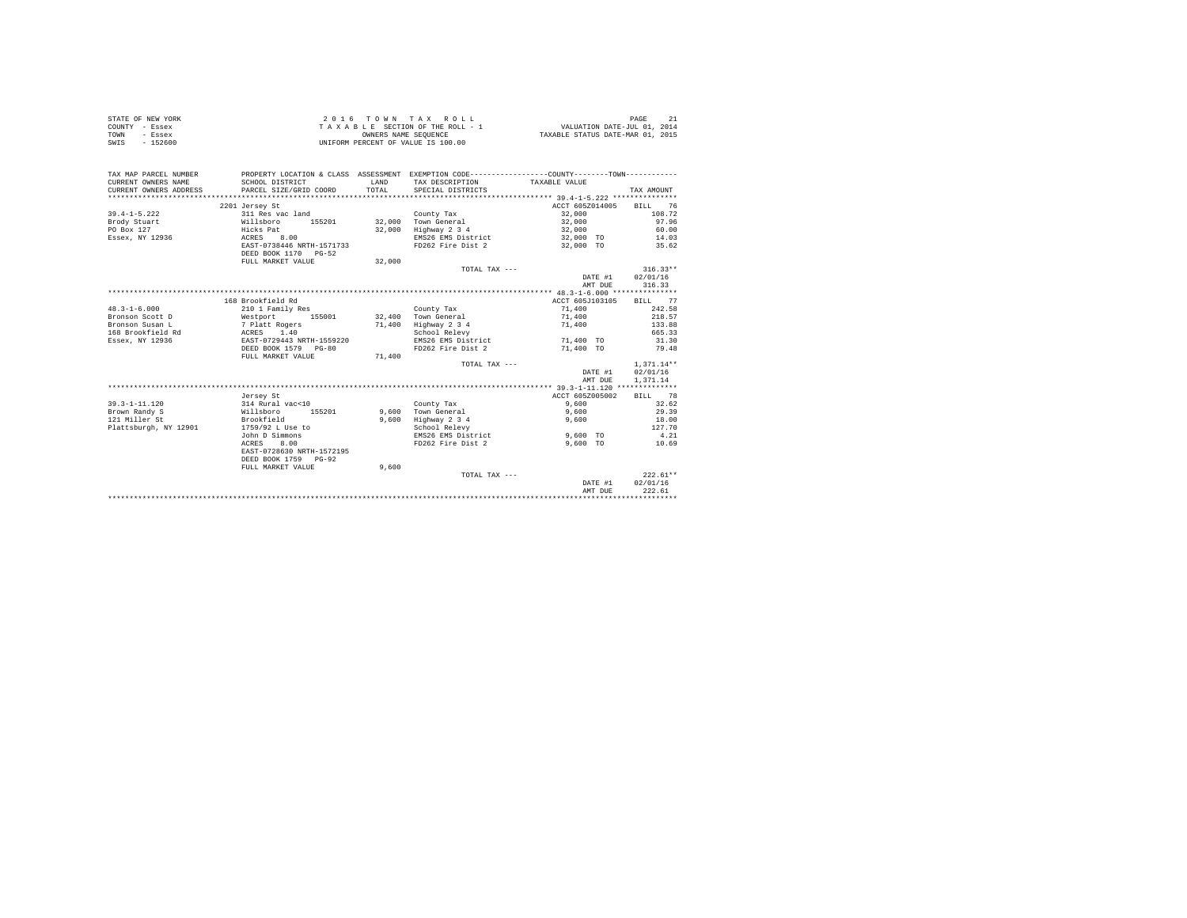| STATE OF NEW YORK | 2016 TOWN TAX ROLL                 | PAGE                             |
|-------------------|------------------------------------|----------------------------------|
| COUNTY - Essex    | TAXABLE SECTION OF THE ROLL - 1    | VALUATION DATE-JUL 01, 2014      |
| TOWN<br>- Essex   | OWNERS NAME SEOUENCE               | TAXABLE STATUS DATE-MAR 01, 2015 |
| $-152600$<br>SWIS | UNIFORM PERCENT OF VALUE IS 100.00 |                                  |

| TAX MAP PARCEL NUMBER<br>CURRENT OWNERS NAME<br>CURRENT OWNERS ADDRESS | SCHOOL DISTRICT<br>PARCEL SIZE/GRID COORD         | LAND<br>TOTAL | PROPERTY LOCATION & CLASS ASSESSMENT EXEMPTION CODE---------------COUNTY-------TOWN----------<br>TAX DESCRIPTION TAXABLE VALUE<br>SPECIAL DISTRICTS |                         | TAX AMOUNT   |
|------------------------------------------------------------------------|---------------------------------------------------|---------------|-----------------------------------------------------------------------------------------------------------------------------------------------------|-------------------------|--------------|
|                                                                        |                                                   |               |                                                                                                                                                     |                         |              |
|                                                                        | 2201 Jersey St                                    |               |                                                                                                                                                     | ACCT 605Z014005         | BILL 76      |
| $39.4 - 1 - 5.222$                                                     | 311 Res vac land                                  |               | County Tax                                                                                                                                          | 32,000                  | 108.72       |
| Brody Stuart                                                           | Willsboro<br>155201                               |               | 32,000 Town General                                                                                                                                 | 32,000                  | 97.96        |
| PO Box 127                                                             | Hicks Pat                                         | 32,000        | Highway 2 3 4                                                                                                                                       | 32,000                  | 60.00        |
| Essex. NY 12936 ACRES                                                  | 8.00                                              |               | EMS26 EMS District 32,000 TO 14.03                                                                                                                  |                         |              |
|                                                                        | EAST-0738446 NRTH-1571733<br>DEED BOOK 1170 PG-52 |               | FD262 Fire Dist 2 32,000 TO 35.62                                                                                                                   |                         |              |
|                                                                        | FULL MARKET VALUE                                 | 32,000        |                                                                                                                                                     |                         |              |
|                                                                        |                                                   |               | TOTAL TAX ---                                                                                                                                       |                         | $316.33**$   |
|                                                                        |                                                   |               |                                                                                                                                                     | DATE #1                 | 02/01/16     |
|                                                                        |                                                   |               |                                                                                                                                                     | AMT DUR                 | 316.33       |
|                                                                        |                                                   |               |                                                                                                                                                     |                         |              |
|                                                                        | 168 Brookfield Rd                                 |               |                                                                                                                                                     | ACCT 605J103105 BILL 77 |              |
| $48.3 - 1 - 6.000$                                                     | 210 1 Family Res                                  |               | County Tax                                                                                                                                          | 71,400                  | 242.58       |
| Bronson Scott D                                                        | Westport 155001 32,400 Town General               |               |                                                                                                                                                     | 71,400                  | 218.57       |
| Bronson Susan L                                                        |                                                   | 71,400        | Highway 2 3 4                                                                                                                                       | 71,400                  | 133.88       |
| 168 Brookfield Rd                                                      | 7 Platt Rogers<br>ACRES 1.40                      |               |                                                                                                                                                     |                         | 665.33       |
| Essex, NY 12936                                                        | EAST-0729443 NRTH-1559220                         |               | School Relevy                                                                                                                                       |                         | 31.30        |
|                                                                        |                                                   |               | EMS26 EMS District 71,400 TO                                                                                                                        |                         |              |
|                                                                        | DEED BOOK 1579 PG-80                              |               | FD262 Fire Dist 2                                                                                                                                   | 71,400 TO               | 79.48        |
|                                                                        | FULL MARKET VALUE                                 | 71,400        |                                                                                                                                                     |                         |              |
|                                                                        |                                                   |               | TOTAL TAX ---                                                                                                                                       |                         | $1.371.14**$ |
|                                                                        |                                                   |               |                                                                                                                                                     | DATE #1                 | 02/01/16     |
|                                                                        |                                                   |               |                                                                                                                                                     | AMT DUE                 | 1,371.14     |
|                                                                        |                                                   |               |                                                                                                                                                     |                         |              |
|                                                                        | Jersey St                                         |               |                                                                                                                                                     | ACCT 605Z005002         | BILL 78      |
| $39.3 - 1 - 11.120$                                                    | 314 Rural vac<10                                  |               | County Tax                                                                                                                                          | 9,600                   | 32.62        |
| Brown Randy S                                                          | Willsboro<br>155201                               |               | 9.600 Town General                                                                                                                                  | 9,600                   | 29.39        |
| 121 Miller St                                                          | Brookfield                                        | 9,600         | Highway 2 3 4                                                                                                                                       | 9,600                   | 18.00        |
| Plattsburgh, NY 12901                                                  | 1759/92 L Use to                                  |               | School Relevy                                                                                                                                       |                         | 127.70       |
|                                                                        | John D Simmons                                    |               | EMS26 EMS District                                                                                                                                  | 9,600 TO                | 4.21         |
|                                                                        | ACRES<br>8.00                                     |               | FD262 Fire Dist 2                                                                                                                                   | 9,600 TO                | 10.69        |
|                                                                        | EAST-0728630 NRTH-1572195                         |               |                                                                                                                                                     |                         |              |
|                                                                        | DEED BOOK 1759 PG-92                              |               |                                                                                                                                                     |                         |              |
|                                                                        | FULL MARKET VALUE                                 | 9,600         |                                                                                                                                                     |                         |              |
|                                                                        |                                                   |               | TOTAL TAX ---                                                                                                                                       |                         | $222.61**$   |
|                                                                        |                                                   |               |                                                                                                                                                     | DATE #1                 | 02/01/16     |
|                                                                        |                                                   |               |                                                                                                                                                     | AMT DUE                 | 222.61       |
|                                                                        |                                                   |               |                                                                                                                                                     |                         |              |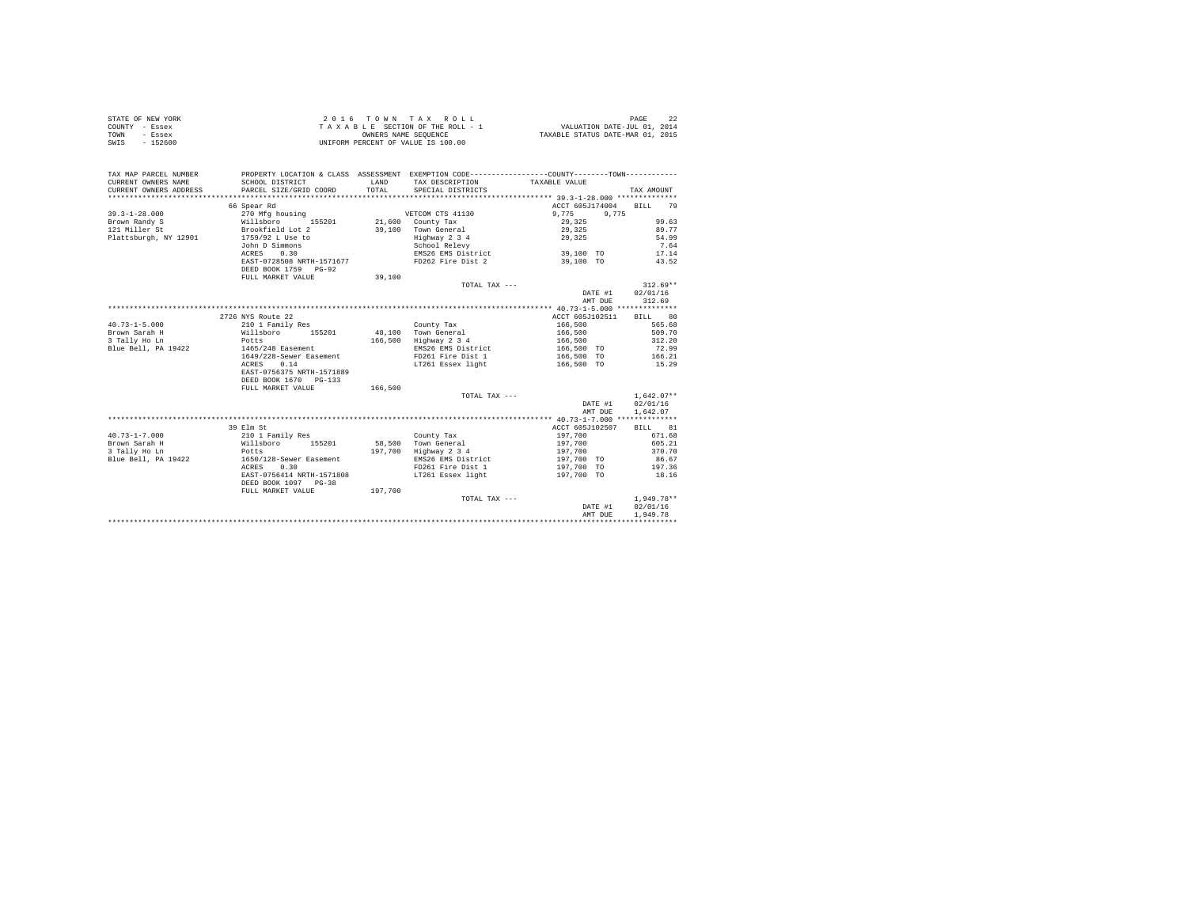| STATE OF NEW YORK      |                                           |         |                                                                                              |                    |              |
|------------------------|-------------------------------------------|---------|----------------------------------------------------------------------------------------------|--------------------|--------------|
| COUNTY - Essex         |                                           |         |                                                                                              |                    |              |
| TOWN<br>- Essex        |                                           |         |                                                                                              |                    |              |
| SWIS - 152600          |                                           |         | UNIFORM PERCENT OF VALUE IS 100.00                                                           |                    |              |
|                        |                                           |         |                                                                                              |                    |              |
|                        |                                           |         |                                                                                              |                    |              |
| TAX MAP PARCEL NUMBER  |                                           |         | PROPERTY LOCATION & CLASS ASSESSMENT EXEMPTION CODE---------------COUNTY-------TOWN--------- |                    |              |
| CURRENT OWNERS NAME    | SCHOOL DISTRICT                           | LAND    | TAX DESCRIPTION                                                                              | TAXABLE VALUE      |              |
| CURRENT OWNERS ADDRESS | PARCEL SIZE/GRID COORD                    | TOTAL   | SPECIAL DISTRICTS                                                                            |                    | TAX AMOUNT   |
|                        |                                           |         |                                                                                              |                    |              |
|                        |                                           |         |                                                                                              |                    | 79           |
|                        | 66 Spear Rd                               |         |                                                                                              | ACCT 605J174004    | BILL         |
| $39.3 - 1 - 28.000$    | 270 Mfg housing<br>270 Mrg<br>Willsboro   |         | VETCOM CTS 41130                                                                             | 9,775<br>9,775     |              |
| Brown Randy S          | 155201                                    |         | 21,600 County Tax                                                                            | 29,325             | 99.63        |
| 121 Miller St          | Brookfield Lot 2                          |         | 39.100 Town General                                                                          | 29,325             | 89.77        |
| Plattsburgh, NY 12901  | 1759/92 L Use to                          |         | Highway 2 3 4<br>School Relevy                                                               | 29,325             | 54.99        |
|                        | John D Simmons                            |         |                                                                                              |                    | 7.64         |
|                        | 0.30<br>ACRES                             |         | EMS26 EMS District                                                                           | 39,100 TO          | 17.14        |
|                        | EAST-0728508 NRTH-1571677                 |         | FD262 Fire Dist 2                                                                            | 39,100 TO          | 43.52        |
|                        | DEED BOOK 1759 PG-92                      |         |                                                                                              |                    |              |
|                        | FULL MARKET VALUE                         | 39,100  |                                                                                              |                    |              |
|                        |                                           |         | TOTAL TAX ---                                                                                |                    | $312.69**$   |
|                        |                                           |         |                                                                                              | DATE #1            | 02/01/16     |
|                        |                                           |         |                                                                                              | AMT DUE            | 312.69       |
|                        |                                           |         |                                                                                              |                    |              |
|                        | 2726 NYS Route 22                         |         |                                                                                              | ACCT 605J102511    | BILL 80      |
| $40.73 - 1 - 5.000$    | 210 1 Family Res                          |         | County Tax                                                                                   |                    | 565.68       |
| Brown Sarah H          | Willsboro 155201                          |         | 48.100 Town General                                                                          | 166,500<br>166,500 | 509.70       |
| 3 Tally Ho Ln          | Potts                                     |         | 166,500 Highway 2 3 4                                                                        | 166,500            | 312.20       |
| Blue Bell, PA 19422    |                                           |         | EMS26 EMS District                                                                           |                    | 72.99        |
|                        | 1465/248 Easement                         |         |                                                                                              | 166,500 TO         |              |
|                        | 1649/228-Sewer Easement                   |         | FD261 Fire Dist 1                                                                            | 166,500 TO         | 166.21       |
|                        | ACRES<br>0.14                             |         | LT261 Essex light                                                                            | 166,500 TO         | 15.29        |
|                        | EAST-0756375 NRTH-1571889                 |         |                                                                                              |                    |              |
|                        | DEED BOOK 1670 PG-133                     |         |                                                                                              |                    |              |
|                        | FULL MARKET VALUE                         | 166,500 |                                                                                              |                    |              |
|                        |                                           |         | TOTAL TAX ---                                                                                |                    | $1.642.07**$ |
|                        |                                           |         |                                                                                              | DATE #1            | 02/01/16     |
|                        |                                           |         |                                                                                              | AMT DUE            | 1,642.07     |
|                        |                                           |         |                                                                                              |                    |              |
|                        | 39 Elm St                                 |         |                                                                                              | ACCT 605J102507    | BILL 81      |
| $40.73 - 1 - 7.000$    | 210 1 Family Res                          |         | County Tax                                                                                   | 197,700            | 671.68       |
| Brown Sarah H          | 210 1 Family Res<br>Willsboro 155201      |         | 58.500 Town General                                                                          | 197,700            | 605.21       |
| 3 Tally Ho Ln          |                                           |         | 197,700 Highway 2 3 4                                                                        | 197,700            | 370.70       |
| Blue Bell, PA 19422    | Potts<br>1650/<br>1650/128-Sewer Easement |         | EMS26 EMS District                                                                           | 197,700 TO         | 86.67        |
|                        | 0.30<br>ACRES                             |         | FD261 Fire Dist 1                                                                            | 197,700 TO         | 197.36       |
|                        | EAST-0756414 NRTH-1571808                 |         | LT261 Essex light                                                                            | 197,700 TO         | 18.16        |
|                        |                                           |         |                                                                                              |                    |              |

|                      |         |               | the contract of the contract of the contract of the contract of the contract of the contract of the contract of | _______      |
|----------------------|---------|---------------|-----------------------------------------------------------------------------------------------------------------|--------------|
| DEED BOOK 1097 PG-38 |         |               |                                                                                                                 |              |
| FULL MARKET VALUE    | 197,700 |               |                                                                                                                 |              |
|                      |         | TOTAL TAX --- |                                                                                                                 | $1.949.78**$ |
|                      |         |               | DATE #1                                                                                                         | 02/01/16     |
|                      |         |               | AMT DUE                                                                                                         | 1,949.78     |
|                      |         |               |                                                                                                                 |              |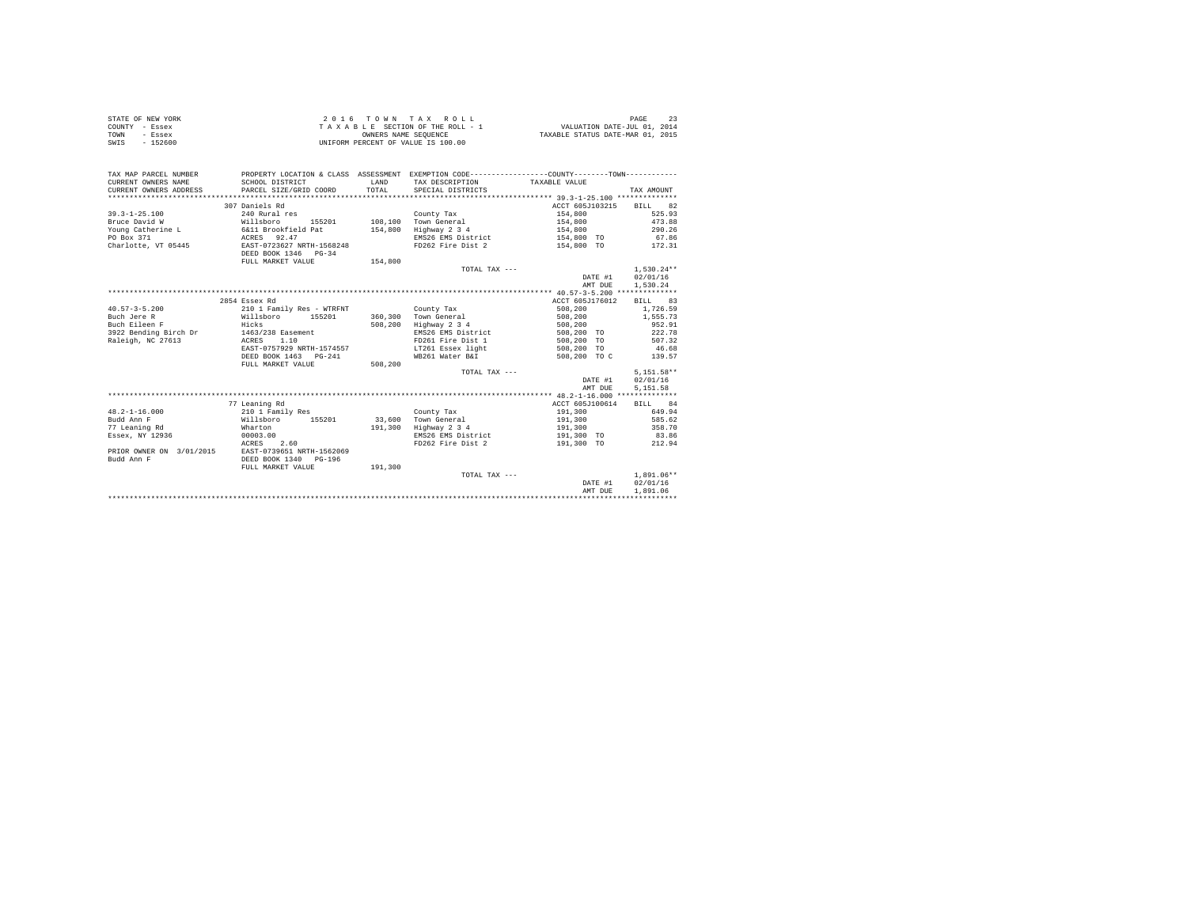| STATE OF NEW YORK | 2016 TOWN TAX ROLL                 | PAGE                             |
|-------------------|------------------------------------|----------------------------------|
| COUNTY - Essex    | TAXABLE SECTION OF THE ROLL - 1    | VALUATION DATE-JUL 01, 2014      |
| TOWN<br>- Essex   | OWNERS NAME SEOUENCE               | TAXABLE STATUS DATE-MAR 01, 2015 |
| SWIS<br>$-152600$ | UNIFORM PERCENT OF VALUE IS 100.00 |                                  |

| TAX DESCRIPTION TAXABLE VALUE<br>TOTAL<br>CURRENT OWNERS ADDRESS<br>PARCEL SIZE/GRID COORD<br>SPECIAL DISTRICTS    | TAX AMOUNT       |
|--------------------------------------------------------------------------------------------------------------------|------------------|
| 307 Daniels Rd<br>ACCT 605J103215                                                                                  | BILL 82          |
| $39.3 - 1 - 25.100$<br>240 Rural res<br>County Tax<br>154,800                                                      | 525.93           |
| 108.100 Town General<br>Bruce David W<br>155201<br>154,800                                                         | 473.88           |
| Willsboro 1552<br>6&11 Brookfield Pat<br>154,800                                                                   | 290.26           |
| Young Catherine L<br>Highway 2 3 4<br>154,800<br>ACRES 92.47<br>PO Box 371                                         | 67.86            |
| EMS26 EMS District<br>154,800 TO                                                                                   |                  |
| Charlotte, VT 05445<br>EAST-0723627 NRTH-1568248<br>FD262 Fire Dist 2<br>154,800 TO 172.31<br>DEED BOOK 1346 PG-34 |                  |
| 154,800<br>FULL MARKET VALUE                                                                                       |                  |
| TOTAL TAX $---$                                                                                                    | $1.530.24**$     |
| DATE #1                                                                                                            | 02/01/16         |
| AMT DUE                                                                                                            | 1,530.24         |
|                                                                                                                    |                  |
| 2854 Essex Rd<br>ACCT 605J176012                                                                                   | BILL 83          |
| 508,200<br>$40.57 - 3 - 5.200$<br>210 1 Family Res - WTRFNT<br>County Tax                                          | 1,726.59         |
| Buch Jere R<br>Town General<br>Willsboro<br>155201<br>360,300<br>508,200                                           | 1,555.73         |
| Buch Eileen F<br>Hicks<br>508,200<br>Highway 2 3 4<br>508,200                                                      | 952.91           |
| 1463/238 Easement<br>3922 Bending Birch Dr<br>EMS26 EMS District<br>508,200 TO                                     | 222.78           |
| 1.10<br>Raleigh, NC 27613<br>ACRES<br>FD261 Fire Dist 1<br>508,200 TO                                              | 507.32           |
| EAST-0757929 NRTH-1574557<br>LT261 Essex light<br>508,200 TO                                                       | 46.68            |
| DEED BOOK 1463 PG-241<br>WB261 Water B&I<br>508,200 TO C                                                           | 139.57           |
| 508,200<br>FULL MARKET VALUE                                                                                       |                  |
| TOTAL TAX ---                                                                                                      | $5.151.58**$     |
| DATE #1                                                                                                            | 02/01/16         |
| AMT DUE                                                                                                            | 5,151.58         |
|                                                                                                                    |                  |
| 77 Leaning Rd<br>ACCT 605J100614                                                                                   | <b>BTT.T.</b> 84 |
| $48.2 - 1 - 16.000$<br>210 1 Family Res<br>191,300<br>County Tax                                                   | 649.94           |
| Budd Ann F<br>155201<br>33,600<br>Willsboro<br>Town General<br>191,300                                             | 585.62           |
| 77 Leaning Rd<br>191,300<br>Highway 2 3 4<br>191,300<br>Wharton                                                    | 358.70           |
| Essex, NY 12936<br>00003.00<br>EMS26 EMS District<br>191,300 TO                                                    | 83.86            |
| 2.60<br>FD262 Fire Dist 2<br>191,300 TO<br>ACRES                                                                   | 212.94           |
| EAST-0739651 NRTH-1562069<br>PRIOR OWNER ON 3/01/2015                                                              |                  |
| Budd Ann F<br>DEED BOOK 1340<br>PG-196                                                                             |                  |
| 191,300<br>FULL MARKET VALUE                                                                                       |                  |
| TOTAL TAX ---                                                                                                      | $1.891.06**$     |
| DATE #1                                                                                                            | 02/01/16         |
| AMT DUE                                                                                                            | 1,891.06         |
|                                                                                                                    |                  |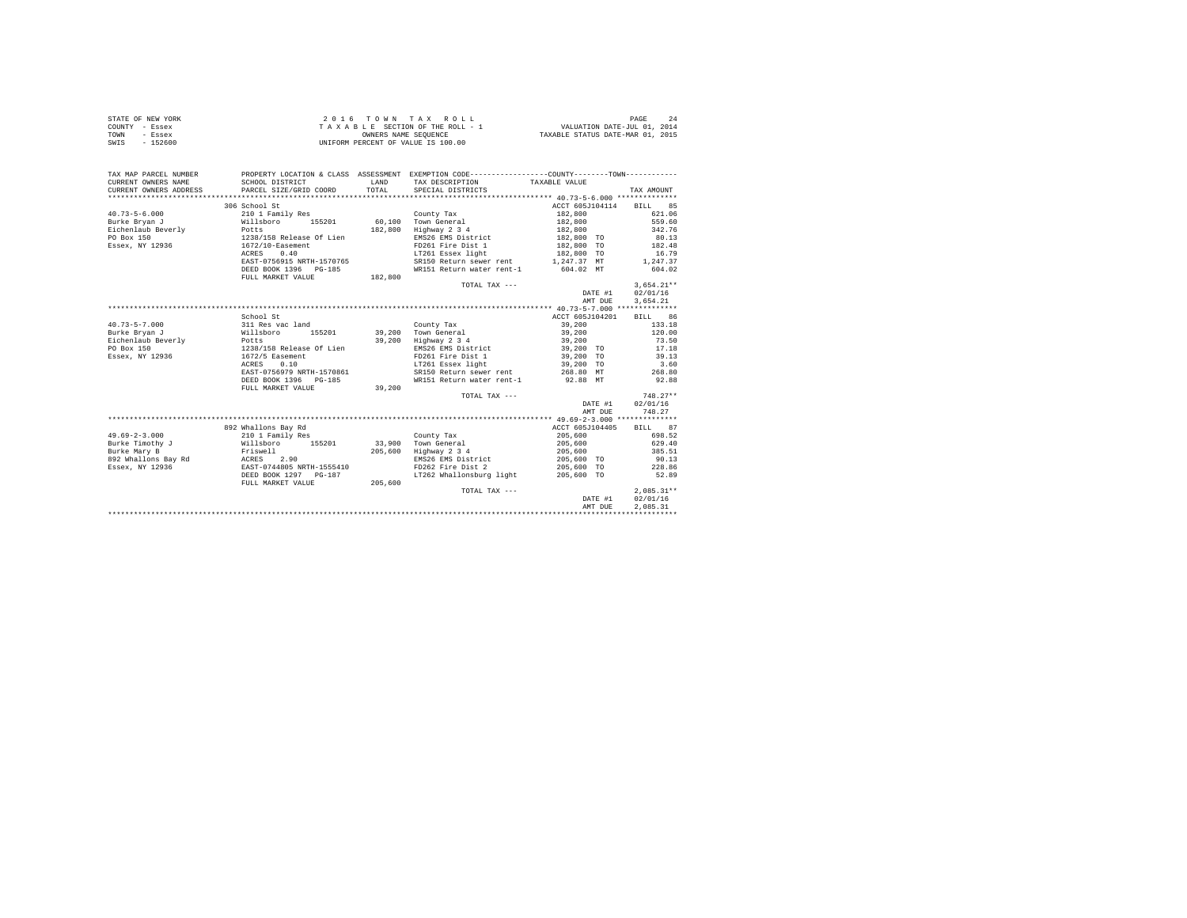| STATE OF NEW YORK | 2016 TOWN TAX ROLL                 | PAGE                             |
|-------------------|------------------------------------|----------------------------------|
| COUNTY - Essex    | TAXABLE SECTION OF THE ROLL - 1    | VALUATION DATE-JUL 01, 2014      |
| TOWN<br>- Essex   | OWNERS NAME SEOUENCE               | TAXABLE STATUS DATE-MAR 01, 2015 |
| $-152600$<br>SWIS | UNIFORM PERCENT OF VALUE IS 100.00 |                                  |

| TAX MAP PARCEL NUMBER               |                                                               |                                                                                                                       | PROPERTY LOCATION & CLASS ASSESSMENT EXEMPTION CODE----------------COUNTY-------TOWN----------                                                                                                                                    |                         |                 |
|-------------------------------------|---------------------------------------------------------------|-----------------------------------------------------------------------------------------------------------------------|-----------------------------------------------------------------------------------------------------------------------------------------------------------------------------------------------------------------------------------|-------------------------|-----------------|
| CURRENT OWNERS NAME                 | SCHOOL DISTRICT                                               | <b>EXAMPLE AND STATE OF A STATE OF A STATE OF A STATE OF A STATE OF A STATE OF A STATE OF A STATE OF A STATE OF A</b> | TAX DESCRIPTION                                                                                                                                                                                                                   | TAXABLE VALUE           |                 |
| CURRENT OWNERS ADDRESS              | PARCEL SIZE/GRID COORD                                        | TOTAL.                                                                                                                | SPECIAL DISTRICTS                                                                                                                                                                                                                 |                         | TAX AMOUNT      |
|                                     |                                                               |                                                                                                                       |                                                                                                                                                                                                                                   |                         |                 |
|                                     | 306 School St                                                 |                                                                                                                       |                                                                                                                                                                                                                                   | ACCT 605J104114 BILL 85 |                 |
| $40.73 - 5 - 6.000$                 | 210 1 Family Res                                              |                                                                                                                       | County Tax                                                                                                                                                                                                                        | 182,800                 | 621.06          |
| Burke Bryan J<br>Willsboro          |                                                               |                                                                                                                       | 155201 60,100 Town General                                                                                                                                                                                                        | 182,800                 | 559.60          |
| Eichenlaub Beverly                  | Potts<br>1238/158 Release Of Lien                             |                                                                                                                       | 182.800 Highway 2 3 4                                                                                                                                                                                                             | 182,800                 | 342.76          |
| PO Box 150                          |                                                               |                                                                                                                       | EMS26 EMS District                                                                                                                                                                                                                | $182,800$ TO            | 80.13           |
| Essex, NY 12936 1672/10-Easement    |                                                               |                                                                                                                       | FD261 Fire Dist 1 0 182,800 TO 182.48                                                                                                                                                                                             |                         |                 |
|                                     | 0.40<br>ACRES                                                 |                                                                                                                       | ${\tt LT261 \; \;Essex \; light} \qquad \qquad {\tt 182,800 \; \; TO} \qquad \qquad {\tt 16.79} \label{eq:27.17}$ ${\tt SRI50 \; \; Return \; sewer \; rent} \qquad \qquad {\tt 1,247.37 \; \; MT} \qquad \qquad {\tt 1,247.37}}$ |                         |                 |
|                                     | EAST-0756915 NRTH-1570765                                     |                                                                                                                       |                                                                                                                                                                                                                                   |                         |                 |
|                                     | DEED BOOK 1396 PG-185                                         |                                                                                                                       | WR151 Return water rent-1 604.02 MT                                                                                                                                                                                               |                         | 604.02          |
|                                     | FULL MARKET VALUE 182,800                                     |                                                                                                                       |                                                                                                                                                                                                                                   |                         |                 |
|                                     |                                                               |                                                                                                                       | TOTAL TAX ---                                                                                                                                                                                                                     |                         | $3,654.21**$    |
|                                     |                                                               |                                                                                                                       |                                                                                                                                                                                                                                   | DATE #1                 | 02/01/16        |
|                                     |                                                               |                                                                                                                       |                                                                                                                                                                                                                                   | AMT DUE                 | 3.654.21        |
|                                     |                                                               |                                                                                                                       |                                                                                                                                                                                                                                   |                         |                 |
|                                     | School St                                                     |                                                                                                                       |                                                                                                                                                                                                                                   | ACCT 605J104201         | BILL 86         |
| $40.73 - 5 - 7.000$                 | 311 Res vac land                                              |                                                                                                                       | County Tax                                                                                                                                                                                                                        | 39,200                  | 133.18          |
| Burke Brvan J                       | Willsboro<br>Potts<br>155201                                  |                                                                                                                       | 39,200 Town General<br>39,200 Highway 2 3 4                                                                                                                                                                                       | 39,200<br>39,200        | 120.00          |
| Burke Bryan J<br>Eichenlaub Beverly |                                                               |                                                                                                                       |                                                                                                                                                                                                                                   |                         | 73.50           |
| PO Box 150                          | 1238/158 Release Of Lien                                      |                                                                                                                       | EMS26 EMS District 39,200 TO 17.18                                                                                                                                                                                                |                         |                 |
| Essex, NY 12936                     | 1672/5 Easement                                               |                                                                                                                       | FD261 Fire Dist 1                                                                                                                                                                                                                 | 39,200 TO<br>39,200 TO  | 39.13           |
|                                     | ACRES<br>0.10                                                 |                                                                                                                       | LT261 Essex light                                                                                                                                                                                                                 |                         | 3.60            |
|                                     | EAST-0756979 NRTH-1570861                                     |                                                                                                                       | SR150 Return sewer rent 268.80 MT 268.80                                                                                                                                                                                          |                         |                 |
|                                     | DEED BOOK 1396 PG-185                                         |                                                                                                                       | WR151 Return water rent-1 92.88 MT                                                                                                                                                                                                |                         | 92.88           |
|                                     | FULL MARKET VALUE                                             | 39,200                                                                                                                |                                                                                                                                                                                                                                   |                         |                 |
|                                     |                                                               |                                                                                                                       | TOTAL TAX ---                                                                                                                                                                                                                     |                         | $748.27**$      |
|                                     |                                                               |                                                                                                                       |                                                                                                                                                                                                                                   | DATE #1                 | 02/01/16        |
|                                     |                                                               |                                                                                                                       |                                                                                                                                                                                                                                   | AMT DUE                 | 748.27          |
|                                     |                                                               |                                                                                                                       |                                                                                                                                                                                                                                   |                         |                 |
|                                     | 892 Whallons Bay Rd                                           |                                                                                                                       |                                                                                                                                                                                                                                   | ACCT 605J104405         | BILL 87         |
| $49.69 - 2 - 3.000$                 | 210 1 Family Res<br>210 1 Family Res<br>Willsboro      155201 |                                                                                                                       | County Tax                                                                                                                                                                                                                        | 205,600<br>205,600      | 698.52          |
| Burke Timothy J<br>Burke Mary B     |                                                               |                                                                                                                       | 33,900 Town General                                                                                                                                                                                                               |                         | 629.40          |
|                                     | Friswell                                                      |                                                                                                                       | 205.600 Highway 2 3 4 205.600                                                                                                                                                                                                     |                         | 385.51          |
|                                     |                                                               |                                                                                                                       | EMS26 EMS District 205,600 TO<br>FD262 Fire Dist 2 205,600 TO                                                                                                                                                                     |                         | 90.13<br>228.86 |
|                                     |                                                               |                                                                                                                       |                                                                                                                                                                                                                                   |                         |                 |
|                                     | DEED BOOK 1297 PG-187                                         |                                                                                                                       | LT262 Whallonsburg light 205,600 TO                                                                                                                                                                                               |                         | 52.89           |
|                                     | FULL MARKET VALUE                                             | 205,600                                                                                                               |                                                                                                                                                                                                                                   |                         |                 |
|                                     |                                                               |                                                                                                                       | TOTAL TAX ---                                                                                                                                                                                                                     |                         | $2,085.31**$    |
|                                     |                                                               |                                                                                                                       |                                                                                                                                                                                                                                   | DATE #1                 | 02/01/16        |
|                                     |                                                               |                                                                                                                       |                                                                                                                                                                                                                                   | AMT DUE                 | 2.085.31        |
|                                     |                                                               |                                                                                                                       |                                                                                                                                                                                                                                   |                         |                 |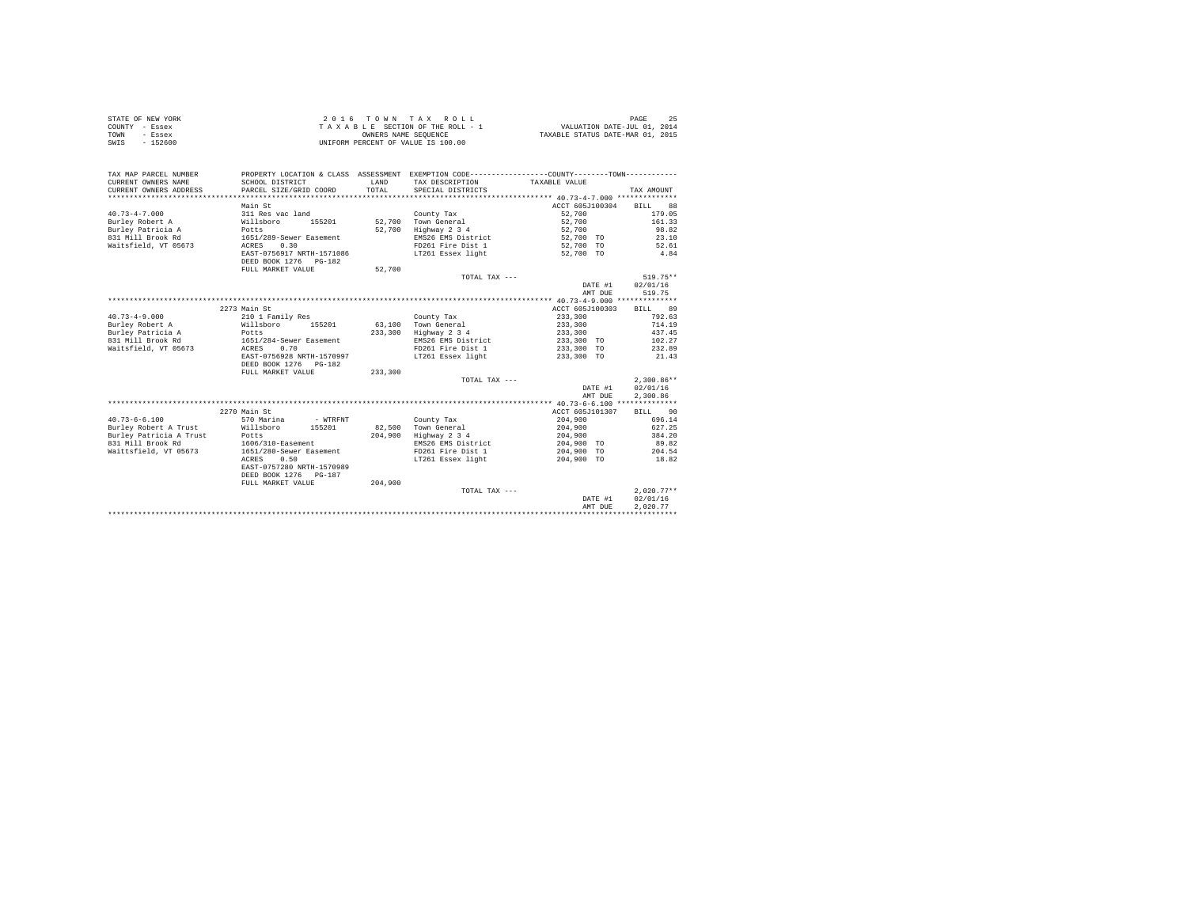| STATE OF NEW YORK | 2016 TOWN TAX ROLL                 | 25<br>PAGE                       |
|-------------------|------------------------------------|----------------------------------|
| COUNTY - Essex    | TAXABLE SECTION OF THE ROLL - 1    | VALUATION DATE-JUL 01, 2014      |
| TOWN<br>- Essex   | OWNERS NAME SEOUENCE               | TAXABLE STATUS DATE-MAR 01, 2015 |
| SWIS<br>$-152600$ | UNIFORM PERCENT OF VALUE IS 100.00 |                                  |

| TAX MAP PARCEL NUMBER<br>CURRENT OWNERS NAME<br>CURRENT OWNERS ADDRESS | SCHOOL DISTRICT<br>PARCEL SIZE/GRID COORD | <b>T.AND</b><br>TOTAL | PROPERTY LOCATION & CLASS ASSESSMENT EXEMPTION CODE---------------COUNTY-------TOWN----------<br>TAX DESCRIPTION<br>SPECIAL DISTRICTS | TAXABLE VALUE   | TAX AMOUNT   |
|------------------------------------------------------------------------|-------------------------------------------|-----------------------|---------------------------------------------------------------------------------------------------------------------------------------|-----------------|--------------|
|                                                                        |                                           |                       |                                                                                                                                       |                 |              |
|                                                                        | Main St                                   |                       |                                                                                                                                       | ACCT 605J100304 | BTLL.<br>88  |
| $40.73 - 4 - 7.000$                                                    | 311 Res vac land                          |                       | County Tax                                                                                                                            | 52,700          | 179.05       |
| Burley Robert A                                                        | Willsboro<br>155201                       | 52,700                | Town General                                                                                                                          | 52,700          | 161.33       |
| Burley Patricia A                                                      | Potts                                     | 52,700                | Highway 2 3 4                                                                                                                         | 52,700          | 98.82        |
| 831 Mill Brook Rd                                                      | 1651/289-Sewer Easement                   |                       | EMS26 EMS District                                                                                                                    | 52,700 TO       | 23.10        |
| Waitsfield, VT 05673                                                   | 0.30<br>ACRES                             |                       | FD261 Fire Dist 1                                                                                                                     | 52,700 TO       | 52.61        |
|                                                                        | EAST-0756917 NRTH-1571086                 |                       | LT261 Essex light                                                                                                                     | 52,700 TO       | 4.84         |
|                                                                        | DEED BOOK 1276 PG-182                     |                       |                                                                                                                                       |                 |              |
|                                                                        | FULL MARKET VALUE                         | 52,700                |                                                                                                                                       |                 |              |
|                                                                        |                                           |                       | TOTAL TAX $---$                                                                                                                       |                 | $519.75**$   |
|                                                                        |                                           |                       |                                                                                                                                       | DATE #1         | 02/01/16     |
|                                                                        |                                           |                       |                                                                                                                                       | AMT DUE         | 519.75       |
|                                                                        |                                           |                       |                                                                                                                                       |                 |              |
|                                                                        | 2273 Main St                              |                       |                                                                                                                                       | ACCT 605J100303 | 89<br>BILL   |
| $40.73 - 4 - 9.000$                                                    | 210 1 Family Res                          |                       | County Tax                                                                                                                            | 233,300         | 792.63       |
| Burley Robert A                                                        | Willsboro<br>155201                       |                       | 63.100 Town General                                                                                                                   | 233,300         | 714.19       |
| Burley Patricia A                                                      | Potts                                     | 233,300               | Highway 2 3 4                                                                                                                         | 233,300         | 437.45       |
| 831 Mill Brook Rd                                                      | 1651/284-Sewer Easement                   |                       | EMS26 EMS District                                                                                                                    | 233,300 TO      | 102.27       |
| Waitsfield, VT 05673                                                   | 0.70<br>ACRES                             |                       | FD261 Fire Dist 1                                                                                                                     | 233,300 TO      | 232.89       |
|                                                                        | EAST-0756928 NRTH-1570997                 |                       | LT261 Essex light                                                                                                                     | 233,300 TO      | 21.43        |
|                                                                        | DEED BOOK 1276 PG-182                     |                       |                                                                                                                                       |                 |              |
|                                                                        | FULL MARKET VALUE                         | 233,300               |                                                                                                                                       |                 |              |
|                                                                        |                                           |                       | TOTAL TAX ---                                                                                                                         |                 | $2.300.86**$ |
|                                                                        |                                           |                       |                                                                                                                                       | DATE #1         | 02/01/16     |
|                                                                        |                                           |                       |                                                                                                                                       | AMT DUE         | 2,300.86     |
|                                                                        |                                           |                       |                                                                                                                                       |                 |              |
|                                                                        | 2270 Main St                              |                       |                                                                                                                                       | ACCT 605J101307 | 90<br>BILL   |
| $40.73 - 6 - 6.100$                                                    | 570 Marina<br>- WTRFNT                    |                       | County Tax                                                                                                                            | 204,900         | 696.14       |
| Burley Robert A Trust                                                  | Willsboro<br>155201                       | 82,500                | Town General                                                                                                                          | 204,900         | 627.25       |
| Burley Patricia A Trust                                                | Potts                                     | 204,900               | Highway 2 3 4                                                                                                                         | 204,900         | 384.20       |
| 831 Mill Brook Rd                                                      | 1606/310-Easement                         |                       | EMS26 EMS District                                                                                                                    | 204,900 TO      | 89.82        |
| Waittsfield, VT 05673                                                  | 1651/280-Sewer Easement                   |                       | FD261 Fire Dist 1                                                                                                                     | 204,900 TO      | 204.54       |
|                                                                        | 0.50<br>ACRES                             |                       | LT261 Essex light                                                                                                                     | 204,900 TO      | 18.82        |
|                                                                        | EAST-0757280 NRTH-1570989                 |                       |                                                                                                                                       |                 |              |
|                                                                        | DEED BOOK 1276 PG-187                     |                       |                                                                                                                                       |                 |              |
|                                                                        | FULL MARKET VALUE                         | 204,900               |                                                                                                                                       |                 |              |
|                                                                        |                                           |                       | TOTAL TAX ---                                                                                                                         |                 | $2.020.77**$ |
|                                                                        |                                           |                       |                                                                                                                                       | DATE #1         | 02/01/16     |
|                                                                        |                                           |                       |                                                                                                                                       | AMT DUE         | 2.020.77     |
|                                                                        |                                           |                       |                                                                                                                                       |                 |              |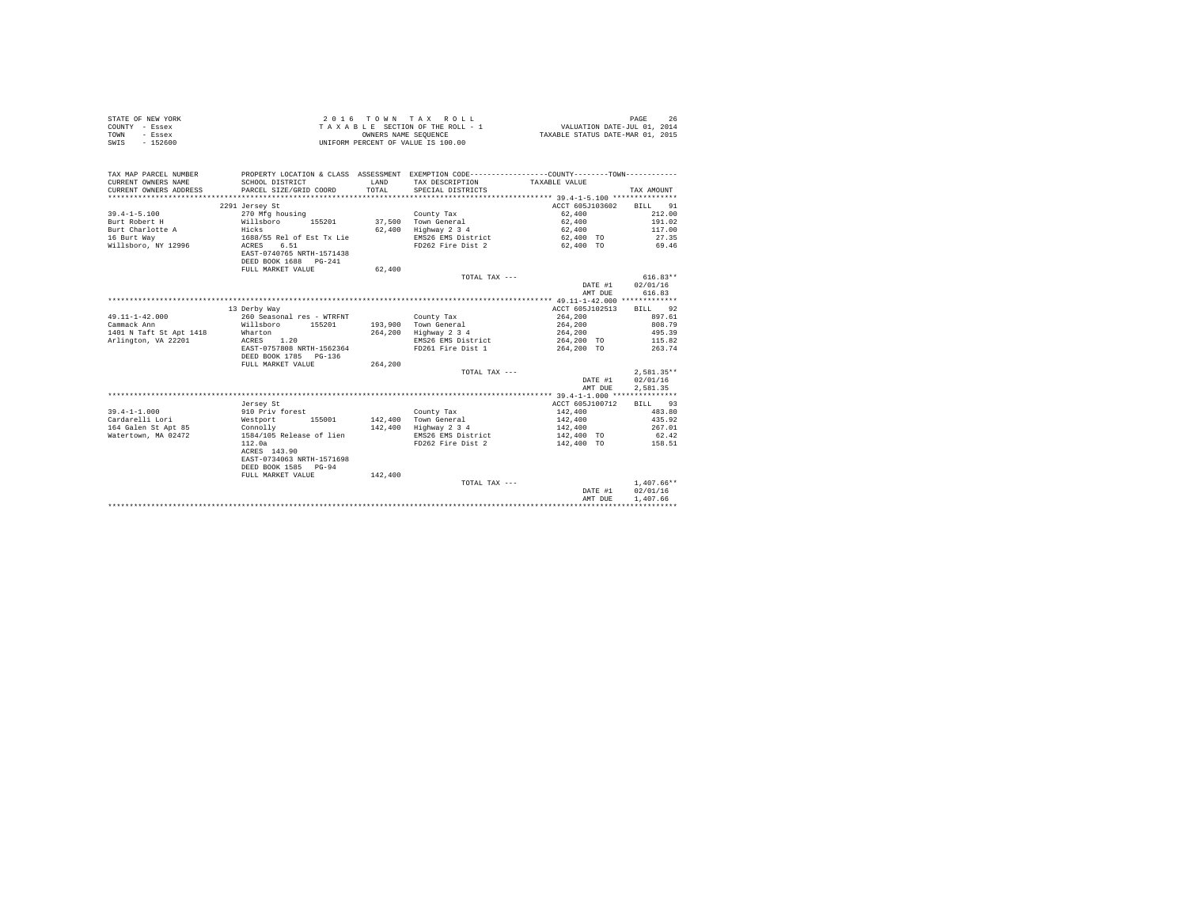| STATE OF NEW YORK | 2016 TOWN TAX ROLL                 | PAGE                             |
|-------------------|------------------------------------|----------------------------------|
| COUNTY - Essex    | TAXABLE SECTION OF THE ROLL - 1    | VALUATION DATE-JUL 01, 2014      |
| TOWN<br>- Essex   | OWNERS NAME SEOUENCE               | TAXABLE STATUS DATE-MAR 01, 2015 |
| SWIS<br>$-152600$ | UNIFORM PERCENT OF VALUE IS 100.00 |                                  |

| TAX MAP PARCEL NUMBER<br>CURRENT OWNERS NAME<br>CURRENT OWNERS ADDRESS<br>************************* | SCHOOL DISTRICT<br>PARCEL SIZE/GRID COORD             | LAND<br>TOTAL | PROPERTY LOCATION & CLASS ASSESSMENT EXEMPTION CODE----------------COUNTY--------TOWN----------<br>TAX DESCRIPTION<br>SPECIAL DISTRICTS | TAXABLE VALUE   | TAX AMOUNT   |
|-----------------------------------------------------------------------------------------------------|-------------------------------------------------------|---------------|-----------------------------------------------------------------------------------------------------------------------------------------|-----------------|--------------|
|                                                                                                     | 2291 Jersey St                                        |               |                                                                                                                                         | ACCT 605J103602 | BTLL<br>91   |
| $39.4 - 1 - 5.100$                                                                                  | 270 Mfg housing                                       |               | County Tax                                                                                                                              | 62,400          | 212.00       |
| Burt Robert H                                                                                       | 155201<br>Willsboro                                   |               | 37,500 Town General                                                                                                                     | 62,400          | 191.02       |
| Burt Charlotte A                                                                                    | Hicks                                                 | 62,400        | Highway 2 3 4                                                                                                                           | 62,400          | 117.00       |
| 16 Burt Way                                                                                         | 1688/55 Rel of Est Tx Lie                             |               | EMS26 EMS District                                                                                                                      | 62,400 TO       | 27.35        |
| Willsboro, NY 12996                                                                                 | ACRES<br>6.51                                         |               | FD262 Fire Dist 2                                                                                                                       | 62,400 TO       | 69.46        |
|                                                                                                     | EAST-0740765 NRTH-1571438                             |               |                                                                                                                                         |                 |              |
|                                                                                                     | DEED BOOK 1688 PG-241                                 |               |                                                                                                                                         |                 |              |
|                                                                                                     | FULL MARKET VALUE                                     | 62,400        |                                                                                                                                         |                 |              |
|                                                                                                     |                                                       |               | TOTAL TAX ---                                                                                                                           |                 | $616.83**$   |
|                                                                                                     |                                                       |               |                                                                                                                                         | DATE #1         | 02/01/16     |
|                                                                                                     |                                                       |               |                                                                                                                                         | AMT DUE         | 616.83       |
|                                                                                                     |                                                       |               |                                                                                                                                         |                 |              |
|                                                                                                     | 13 Derby Way                                          |               |                                                                                                                                         | ACCT 605J102513 | BILL 92      |
| $49.11 - 1 - 42.000$                                                                                | 260 Seasonal res - WTRFNT                             |               | County Tax                                                                                                                              | 264,200         | 897.61       |
| Cammack Ann                                                                                         | Willsboro<br>155201                                   | 193,900       | Town General                                                                                                                            | 264,200         | 808.79       |
| 1401 N Taft St Apt 1418                                                                             | Wharton                                               | 264,200       | Highway 2 3 4                                                                                                                           | 264,200         | 495.39       |
| Arlington, VA 22201                                                                                 | ACRES 1.20                                            |               | EMS26 EMS District                                                                                                                      | 264,200 TO      | 115.82       |
|                                                                                                     | EAST-0757808 NRTH-1562364<br>DEED BOOK 1785<br>PG-136 |               | FD261 Fire Dist 1                                                                                                                       | 264,200 TO      | 263.74       |
|                                                                                                     | FULL MARKET VALUE                                     | 264,200       |                                                                                                                                         |                 |              |
|                                                                                                     |                                                       |               | TOTAL TAX ---                                                                                                                           |                 | $2.581.35**$ |
|                                                                                                     |                                                       |               |                                                                                                                                         | DATE #1         | 02/01/16     |
|                                                                                                     |                                                       |               |                                                                                                                                         | AMT DUE         | 2,581.35     |
|                                                                                                     |                                                       |               |                                                                                                                                         |                 |              |
|                                                                                                     | Jersey St                                             |               |                                                                                                                                         | ACCT 605J100712 | BILL 93      |
| $39.4 - 1 - 1.000$                                                                                  | 910 Priv forest                                       |               | County Tax                                                                                                                              | 142,400         | 483.80       |
| Cardarelli Lori                                                                                     | 155001<br>Westport                                    |               | 142,400 Town General                                                                                                                    | 142,400         | 435.92       |
| 164 Galen St Apt 85                                                                                 | Connolly                                              | 142,400       | Highway 2 3 4                                                                                                                           | 142,400         | 267.01       |
| Watertown, MA 02472                                                                                 | 1584/105 Release of lien                              |               | EMS26 EMS District                                                                                                                      | 142,400 TO      | 62.42        |
|                                                                                                     | 112.0a                                                |               | FD262 Fire Dist 2                                                                                                                       | 142,400 TO      | 158.51       |
|                                                                                                     | ACRES 143.90                                          |               |                                                                                                                                         |                 |              |
|                                                                                                     | EAST-0734063 NRTH-1571698                             |               |                                                                                                                                         |                 |              |
|                                                                                                     | DEED BOOK 1585<br>$PG-94$                             |               |                                                                                                                                         |                 |              |
|                                                                                                     | FULL MARKET VALUE                                     | 142,400       | TOTAL TAX ---                                                                                                                           |                 | $1.407.66**$ |
|                                                                                                     |                                                       |               |                                                                                                                                         | DATE #1         | 02/01/16     |
|                                                                                                     |                                                       |               |                                                                                                                                         | AMT DUE         | 1,407.66     |
|                                                                                                     |                                                       |               |                                                                                                                                         |                 |              |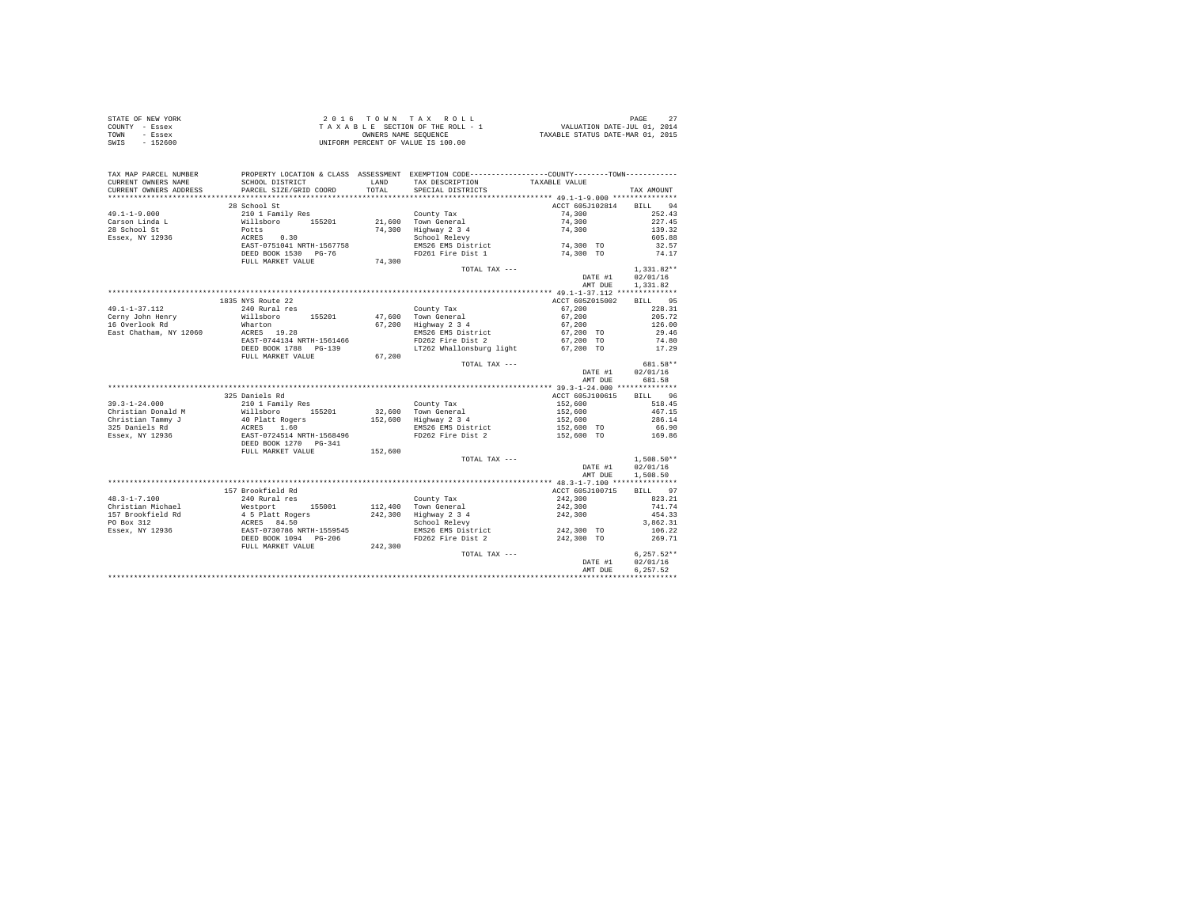|      | STATE OF NEW YORK | 2016 TOWN TAX ROLL                 | PAGE                             |
|------|-------------------|------------------------------------|----------------------------------|
|      | COUNTY - Essex    | TAXABLE SECTION OF THE ROLL - 1    | VALUATION DATE-JUL 01, 2014      |
| TOWN | - Essex           | OWNERS NAME SEOUENCE               | TAXABLE STATUS DATE-MAR 01, 2015 |
| SWIS | - 152600          | UNIFORM PERCENT OF VALUE IS 100.00 |                                  |

| TAX MAP PARCEL NUMBER                         | PROPERTY LOCATION & CLASS ASSESSMENT EXEMPTION CODE----------------COUNTY--------TOWN----------                          |               |                                                                    |                             |                 |
|-----------------------------------------------|--------------------------------------------------------------------------------------------------------------------------|---------------|--------------------------------------------------------------------|-----------------------------|-----------------|
| CURRENT OWNERS NAME<br>CURRENT OWNERS ADDRESS | SCHOOL DISTRICT<br>PARCEL SIZE/GRID COORD                                                                                | LAND<br>TOTAL | TAX DESCRIPTION<br>SPECIAL DISTRICTS                               | TAXABLE VALUE               | TAX AMOUNT      |
| *******************                           | *************************                                                                                                |               |                                                                    |                             |                 |
|                                               | 28 School St                                                                                                             |               |                                                                    | ACCT 605J102814 BILL 94     |                 |
| $49.1 - 1 - 9.000$                            | 20001 Damily Res<br>210 1 Family Res<br>Potts<br>ACRES 0.30<br>EAST-0751041 NRTH-1567758                                 |               | County Tax                                                         | 74,300                      | 252.43          |
| Carson Linda L                                |                                                                                                                          |               | 21.600 Town General                                                | 74,300                      | 227.45          |
| 28 School St                                  |                                                                                                                          |               | 74,300 Highway 2 3 4<br>School Relevy                              | 74,300                      | 139.32          |
| Essex, NY 12936                               |                                                                                                                          |               |                                                                    |                             | 605.88          |
|                                               |                                                                                                                          |               | EMS26 EMS District                                                 | $74,300$ TO                 | 32.57           |
|                                               | DEED BOOK 1530 PG-76                                                                                                     |               |                                                                    | FD261 Fire Dist 1 74,300 TO | 74.17           |
|                                               | FULL MARKET VALUE                                                                                                        | 74,300        |                                                                    |                             |                 |
|                                               |                                                                                                                          |               | TOTAL TAX ---                                                      |                             | $1,331.82**$    |
|                                               |                                                                                                                          |               |                                                                    | DATE #1                     | 02/01/16        |
|                                               |                                                                                                                          |               |                                                                    | AMT DUE                     | 1,331.82        |
|                                               |                                                                                                                          |               |                                                                    |                             |                 |
|                                               | 1835 NYS Route 22                                                                                                        |               |                                                                    | ACCT 605Z015002             | BILL 95         |
| $49.1 - 1 - 37.112$                           | 240 Rural res                                                                                                            |               | County Tax                                                         | 67,200<br>67,200            | 228.31          |
| Cerny John Henry                              | Willsboro 155201                                                                                                         |               | 47,600 Town General<br>a,,ooo iown General<br>67,200 Highway 2 3 4 |                             | 205.72          |
| 16 Overlook Rd                                | Wharton<br>ACRES 19.28                                                                                                   |               |                                                                    | 67,200<br>67,200 TO         | 126.00          |
| East Chatham, NY 12060                        |                                                                                                                          |               | EMS26 EMS District                                                 |                             | 29.46           |
|                                               | EAST-0744134 NRTH-1561466                                                                                                |               | FD262 Fire Dist 2                                                  | 67,200 TO                   | 74.80           |
|                                               | DEED BOOK 1788 PG-139                                                                                                    |               | LT262 Whallonsburg light                                           | 67,200 TO                   | 17.29           |
|                                               | FULL MARKET VALUE                                                                                                        | 67,200        |                                                                    |                             |                 |
|                                               |                                                                                                                          |               | TOTAL TAX ---                                                      |                             | 681.58**        |
|                                               |                                                                                                                          |               |                                                                    | DATE #1                     | 02/01/16        |
|                                               |                                                                                                                          |               |                                                                    | AMT DUE                     | 681.58          |
|                                               |                                                                                                                          |               |                                                                    |                             |                 |
|                                               | 325 Daniels Rd                                                                                                           |               |                                                                    | ACCT 605J100615             | BILL 96         |
|                                               |                                                                                                                          |               | County Tax                                                         | 152,600 518.45              |                 |
|                                               |                                                                                                                          |               | 32,600 Town General<br>152,600 Highway 2 3 4                       | 152,600<br>152,600          | 467.15          |
|                                               |                                                                                                                          |               |                                                                    |                             | 286.14          |
|                                               |                                                                                                                          |               | EMS26 EMS District                                                 | 152,600 TO                  | 66.90<br>169.86 |
|                                               |                                                                                                                          |               | FD262 Fire Dist 2                                                  | 152,600 TO                  |                 |
|                                               |                                                                                                                          |               |                                                                    |                             |                 |
|                                               | FULL MARKET VALUE 152,600                                                                                                |               |                                                                    |                             |                 |
|                                               |                                                                                                                          |               | TOTAL TAX ---                                                      |                             | $1.508.50**$    |
|                                               |                                                                                                                          |               |                                                                    | DATE #1                     | 02/01/16        |
|                                               |                                                                                                                          |               |                                                                    | AMT DUE                     | 1,508.50        |
|                                               | 157 Brookfield Rd                                                                                                        |               |                                                                    | ACCT 605J100715             | BILL 97         |
| $48.3 - 1 - 7.100$                            | 240 Rural res                                                                                                            |               |                                                                    | 242,300                     | 823.21          |
| Christian Michael                             |                                                                                                                          |               | County Tax<br>112,400 Town General                                 | 242,300                     | 741.74          |
| 157 Brookfield Rd                             | % Automate 1<br>Mestport 155001<br>4 5 Platt Rogers<br>ACRES 84.50<br>EAST-0730786 NRTH-1559545<br>DEED BOOK 1094 PG-206 |               | 242,300 Highway 2 3 4                                              |                             | 454.33          |
| PO Box 312                                    |                                                                                                                          |               | School Relevy                                                      | 242,300                     | 3,862.31        |
| Essex, NY 12936                               |                                                                                                                          |               | EMS26 EMS District 242,300 TO                                      |                             | 106.22          |
|                                               |                                                                                                                          |               | FD262 Fire Dist 2 242,300 TO                                       |                             | 269.71          |
|                                               | FULL MARKET VALUE                                                                                                        | 242,300       |                                                                    |                             |                 |
|                                               |                                                                                                                          |               | TOTAL TAX ---                                                      |                             | $6,257.52**$    |
|                                               |                                                                                                                          |               |                                                                    | DATE #1                     | 02/01/16        |
|                                               |                                                                                                                          |               |                                                                    | AMT DUE                     | 6,257.52        |
|                                               |                                                                                                                          |               |                                                                    |                             |                 |
|                                               |                                                                                                                          |               |                                                                    |                             |                 |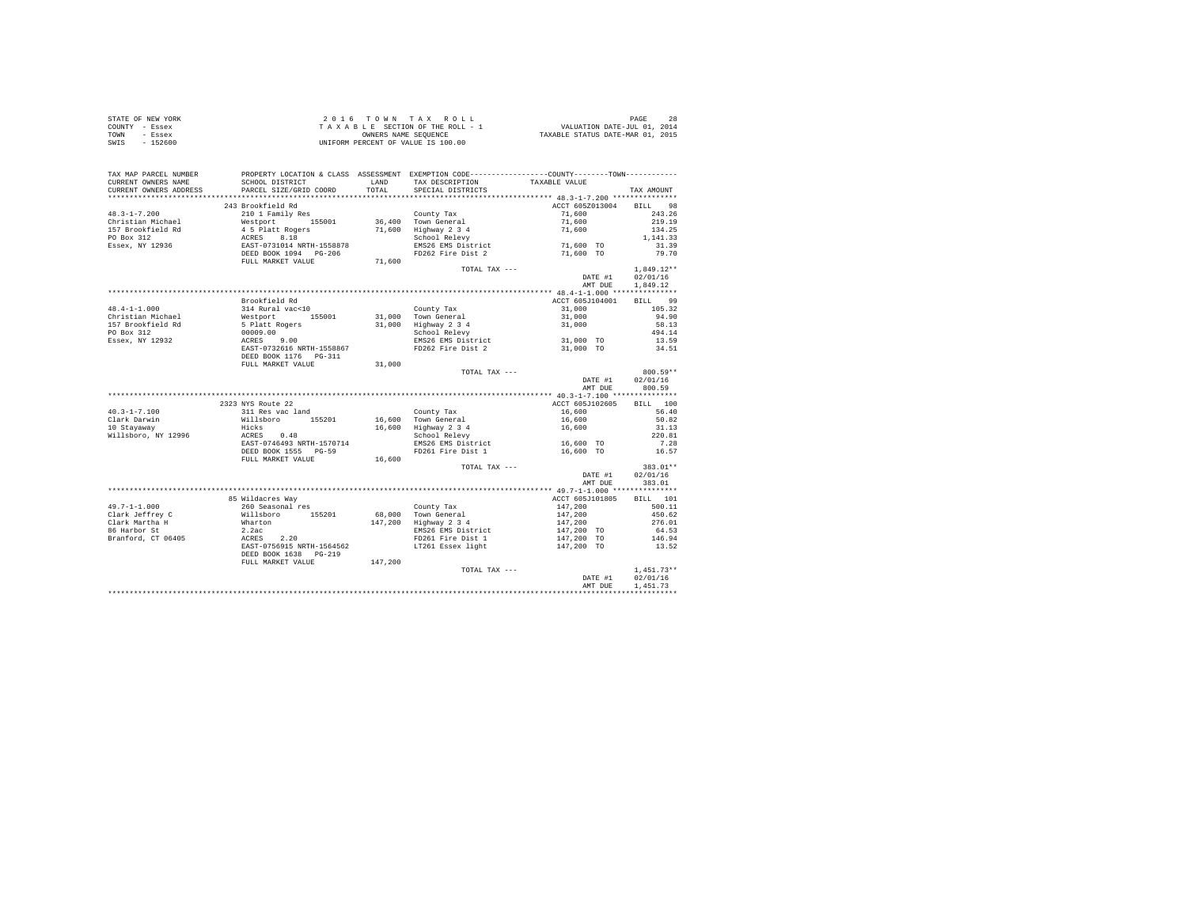| STATE OF NEW YORK | 2016 TOWN TAX ROLL                 | PAGE                             |
|-------------------|------------------------------------|----------------------------------|
| COUNTY - Essex    | TAXABLE SECTION OF THE ROLL - 1    | VALUATION DATE-JUL 01, 2014      |
| TOWN<br>- Essex   | OWNERS NAME SEOUENCE               | TAXABLE STATUS DATE-MAR 01, 2015 |
| - 152600<br>SWIS  | UNIFORM PERCENT OF VALUE IS 100.00 |                                  |

| TAXABLE VALUE<br>LAND TAX DESCRIPTION<br>SCHOOL DISTRICT<br>PARCEL SIZE/GRID COORD<br>TOTAL SPECIAL DISTRICTS<br>CURRENT OWNERS ADDRESS<br>TAX AMOUNT<br>243 Brookfield Rd<br>ACCT 605Z013004<br>BILL 98<br>$48.3 - 1 - 7.200$<br>210 1 Family Res<br>County Tax<br>71,600<br>243.26<br>County Tax (2011)<br>Christian Michael Methort 155001 36,400 Town General<br>157 Brookfield Rd 4 5 Platt Rogers 71,600 Highway 2 3 4<br>PO Box 312 ACRES 8.18<br>RESER, NY 12936 26857 15014<br>ERSER, NY 12936 12857 POSE 2014 PCTH-155<br>219.19<br>134.25<br>1,141,33<br>31.39<br>79.70<br>FULL MARKET VALUE<br>71,600<br>$1,849.12**$<br>TOTAL TAX ---<br>DATE #1<br>02/01/16<br>AMT DUE<br>1,849.12<br>$\begin{tabular}{l c c c c} \hline \texttt{m} \texttt{covor} \texttt{field} & \texttt{Kd} & \texttt{Courly Tax} & \texttt{ACT 605J104001} & \texttt{BILL} & 99 \\ 31 & 81 & 81 & 81 & 81 & 81 & 81 & 81 & 81 & 81 \\ \hline \texttt{M} & \texttt{M} & \texttt{M} & \texttt{M} & \texttt{M} & \texttt{M} & \texttt{M} & \texttt{M} & \texttt{M} & \texttt{M} & \texttt{M} \\ \texttt{M} & \texttt{M$<br>$48.4 - 1 - 1.000$<br>Christian Michael<br>157 Brookfield Rd<br>PO Box 312<br>Essex, NY 12932<br>31,000<br>FULL MARKET VALUE<br>800.59**<br>TOTAL TAX ---<br>02/01/16<br>DATE #1<br>AMT DUE<br>800.59<br>2323 NYS Route 22<br>ACCT 605J102605<br>BILL 100<br>2323 NYS ROUTE 22<br>311 Res vac land<br>Willsboro 155201<br>Hicks<br>ACRES 0.48<br>EAST-0746493 NRTH-1570714<br>County Tax<br>56.40<br>16,600<br>16,600 Town General 16,600<br>16,600 Hghway 2 3 4 16,600<br>School Relevy 3 4 16,600<br>50.82<br>10 Stayaway<br>31.13<br>220.81<br>Willsboro, NY 12996<br>$16,600$ TO<br>EMS26 EMS District 16,600 TO 7.28<br>FD261 Fire Dist 1 16,600 TO 16.57<br>DEED BOOK 1555 PG-59<br>16,600<br>FULL MARKET VALUE<br>TOTAL TAX ---<br>383.01**<br>DATE #1<br>02/01/16<br>383.01<br>AMT DUE<br>85 Wildacres Way<br>ACCT 605J101805<br>BILL 101<br>147,200<br>147,200<br>147,200<br>500.11<br>450.62<br>276.01<br>147,200 TO<br>64.53<br>$\begin{array}{r} 04.33 \\ 146.94 \end{array}$<br>147,200 TO<br>147,200 TO<br>13.52<br>DEED BOOK 1638 PG-219<br>147,200<br>FULL MARKET VALUE<br>$1,451.73**$<br>TOTAL TAX ---<br>DATE #1 02/01/16<br>1,451.73<br>AMT DUE | TAX MAP PARCEL NUMBER | PROPERTY LOCATION & CLASS ASSESSMENT EXEMPTION CODE---------------COUNTY-------TOWN--------- |  |  |
|--------------------------------------------------------------------------------------------------------------------------------------------------------------------------------------------------------------------------------------------------------------------------------------------------------------------------------------------------------------------------------------------------------------------------------------------------------------------------------------------------------------------------------------------------------------------------------------------------------------------------------------------------------------------------------------------------------------------------------------------------------------------------------------------------------------------------------------------------------------------------------------------------------------------------------------------------------------------------------------------------------------------------------------------------------------------------------------------------------------------------------------------------------------------------------------------------------------------------------------------------------------------------------------------------------------------------------------------------------------------------------------------------------------------------------------------------------------------------------------------------------------------------------------------------------------------------------------------------------------------------------------------------------------------------------------------------------------------------------------------------------------------------------------------------------------------------------------------------------------------------------------------------------------------------------------------------------------------------------------------------------------------------------------------------------------------------------------------------------------------------------------------------------------------------------------------------------------------------------------------------------------------------------|-----------------------|----------------------------------------------------------------------------------------------|--|--|
|                                                                                                                                                                                                                                                                                                                                                                                                                                                                                                                                                                                                                                                                                                                                                                                                                                                                                                                                                                                                                                                                                                                                                                                                                                                                                                                                                                                                                                                                                                                                                                                                                                                                                                                                                                                                                                                                                                                                                                                                                                                                                                                                                                                                                                                                                | CURRENT OWNERS NAME   | SCHOOL DISTRICT                                                                              |  |  |
|                                                                                                                                                                                                                                                                                                                                                                                                                                                                                                                                                                                                                                                                                                                                                                                                                                                                                                                                                                                                                                                                                                                                                                                                                                                                                                                                                                                                                                                                                                                                                                                                                                                                                                                                                                                                                                                                                                                                                                                                                                                                                                                                                                                                                                                                                |                       |                                                                                              |  |  |
|                                                                                                                                                                                                                                                                                                                                                                                                                                                                                                                                                                                                                                                                                                                                                                                                                                                                                                                                                                                                                                                                                                                                                                                                                                                                                                                                                                                                                                                                                                                                                                                                                                                                                                                                                                                                                                                                                                                                                                                                                                                                                                                                                                                                                                                                                |                       |                                                                                              |  |  |
|                                                                                                                                                                                                                                                                                                                                                                                                                                                                                                                                                                                                                                                                                                                                                                                                                                                                                                                                                                                                                                                                                                                                                                                                                                                                                                                                                                                                                                                                                                                                                                                                                                                                                                                                                                                                                                                                                                                                                                                                                                                                                                                                                                                                                                                                                |                       |                                                                                              |  |  |
|                                                                                                                                                                                                                                                                                                                                                                                                                                                                                                                                                                                                                                                                                                                                                                                                                                                                                                                                                                                                                                                                                                                                                                                                                                                                                                                                                                                                                                                                                                                                                                                                                                                                                                                                                                                                                                                                                                                                                                                                                                                                                                                                                                                                                                                                                |                       |                                                                                              |  |  |
|                                                                                                                                                                                                                                                                                                                                                                                                                                                                                                                                                                                                                                                                                                                                                                                                                                                                                                                                                                                                                                                                                                                                                                                                                                                                                                                                                                                                                                                                                                                                                                                                                                                                                                                                                                                                                                                                                                                                                                                                                                                                                                                                                                                                                                                                                |                       |                                                                                              |  |  |
|                                                                                                                                                                                                                                                                                                                                                                                                                                                                                                                                                                                                                                                                                                                                                                                                                                                                                                                                                                                                                                                                                                                                                                                                                                                                                                                                                                                                                                                                                                                                                                                                                                                                                                                                                                                                                                                                                                                                                                                                                                                                                                                                                                                                                                                                                |                       |                                                                                              |  |  |
|                                                                                                                                                                                                                                                                                                                                                                                                                                                                                                                                                                                                                                                                                                                                                                                                                                                                                                                                                                                                                                                                                                                                                                                                                                                                                                                                                                                                                                                                                                                                                                                                                                                                                                                                                                                                                                                                                                                                                                                                                                                                                                                                                                                                                                                                                |                       |                                                                                              |  |  |
|                                                                                                                                                                                                                                                                                                                                                                                                                                                                                                                                                                                                                                                                                                                                                                                                                                                                                                                                                                                                                                                                                                                                                                                                                                                                                                                                                                                                                                                                                                                                                                                                                                                                                                                                                                                                                                                                                                                                                                                                                                                                                                                                                                                                                                                                                |                       |                                                                                              |  |  |
|                                                                                                                                                                                                                                                                                                                                                                                                                                                                                                                                                                                                                                                                                                                                                                                                                                                                                                                                                                                                                                                                                                                                                                                                                                                                                                                                                                                                                                                                                                                                                                                                                                                                                                                                                                                                                                                                                                                                                                                                                                                                                                                                                                                                                                                                                |                       |                                                                                              |  |  |
|                                                                                                                                                                                                                                                                                                                                                                                                                                                                                                                                                                                                                                                                                                                                                                                                                                                                                                                                                                                                                                                                                                                                                                                                                                                                                                                                                                                                                                                                                                                                                                                                                                                                                                                                                                                                                                                                                                                                                                                                                                                                                                                                                                                                                                                                                |                       |                                                                                              |  |  |
|                                                                                                                                                                                                                                                                                                                                                                                                                                                                                                                                                                                                                                                                                                                                                                                                                                                                                                                                                                                                                                                                                                                                                                                                                                                                                                                                                                                                                                                                                                                                                                                                                                                                                                                                                                                                                                                                                                                                                                                                                                                                                                                                                                                                                                                                                |                       |                                                                                              |  |  |
|                                                                                                                                                                                                                                                                                                                                                                                                                                                                                                                                                                                                                                                                                                                                                                                                                                                                                                                                                                                                                                                                                                                                                                                                                                                                                                                                                                                                                                                                                                                                                                                                                                                                                                                                                                                                                                                                                                                                                                                                                                                                                                                                                                                                                                                                                |                       |                                                                                              |  |  |
|                                                                                                                                                                                                                                                                                                                                                                                                                                                                                                                                                                                                                                                                                                                                                                                                                                                                                                                                                                                                                                                                                                                                                                                                                                                                                                                                                                                                                                                                                                                                                                                                                                                                                                                                                                                                                                                                                                                                                                                                                                                                                                                                                                                                                                                                                |                       |                                                                                              |  |  |
|                                                                                                                                                                                                                                                                                                                                                                                                                                                                                                                                                                                                                                                                                                                                                                                                                                                                                                                                                                                                                                                                                                                                                                                                                                                                                                                                                                                                                                                                                                                                                                                                                                                                                                                                                                                                                                                                                                                                                                                                                                                                                                                                                                                                                                                                                |                       |                                                                                              |  |  |
|                                                                                                                                                                                                                                                                                                                                                                                                                                                                                                                                                                                                                                                                                                                                                                                                                                                                                                                                                                                                                                                                                                                                                                                                                                                                                                                                                                                                                                                                                                                                                                                                                                                                                                                                                                                                                                                                                                                                                                                                                                                                                                                                                                                                                                                                                |                       |                                                                                              |  |  |
|                                                                                                                                                                                                                                                                                                                                                                                                                                                                                                                                                                                                                                                                                                                                                                                                                                                                                                                                                                                                                                                                                                                                                                                                                                                                                                                                                                                                                                                                                                                                                                                                                                                                                                                                                                                                                                                                                                                                                                                                                                                                                                                                                                                                                                                                                |                       |                                                                                              |  |  |
|                                                                                                                                                                                                                                                                                                                                                                                                                                                                                                                                                                                                                                                                                                                                                                                                                                                                                                                                                                                                                                                                                                                                                                                                                                                                                                                                                                                                                                                                                                                                                                                                                                                                                                                                                                                                                                                                                                                                                                                                                                                                                                                                                                                                                                                                                |                       |                                                                                              |  |  |
|                                                                                                                                                                                                                                                                                                                                                                                                                                                                                                                                                                                                                                                                                                                                                                                                                                                                                                                                                                                                                                                                                                                                                                                                                                                                                                                                                                                                                                                                                                                                                                                                                                                                                                                                                                                                                                                                                                                                                                                                                                                                                                                                                                                                                                                                                |                       |                                                                                              |  |  |
|                                                                                                                                                                                                                                                                                                                                                                                                                                                                                                                                                                                                                                                                                                                                                                                                                                                                                                                                                                                                                                                                                                                                                                                                                                                                                                                                                                                                                                                                                                                                                                                                                                                                                                                                                                                                                                                                                                                                                                                                                                                                                                                                                                                                                                                                                |                       |                                                                                              |  |  |
|                                                                                                                                                                                                                                                                                                                                                                                                                                                                                                                                                                                                                                                                                                                                                                                                                                                                                                                                                                                                                                                                                                                                                                                                                                                                                                                                                                                                                                                                                                                                                                                                                                                                                                                                                                                                                                                                                                                                                                                                                                                                                                                                                                                                                                                                                |                       |                                                                                              |  |  |
|                                                                                                                                                                                                                                                                                                                                                                                                                                                                                                                                                                                                                                                                                                                                                                                                                                                                                                                                                                                                                                                                                                                                                                                                                                                                                                                                                                                                                                                                                                                                                                                                                                                                                                                                                                                                                                                                                                                                                                                                                                                                                                                                                                                                                                                                                |                       |                                                                                              |  |  |
|                                                                                                                                                                                                                                                                                                                                                                                                                                                                                                                                                                                                                                                                                                                                                                                                                                                                                                                                                                                                                                                                                                                                                                                                                                                                                                                                                                                                                                                                                                                                                                                                                                                                                                                                                                                                                                                                                                                                                                                                                                                                                                                                                                                                                                                                                |                       |                                                                                              |  |  |
|                                                                                                                                                                                                                                                                                                                                                                                                                                                                                                                                                                                                                                                                                                                                                                                                                                                                                                                                                                                                                                                                                                                                                                                                                                                                                                                                                                                                                                                                                                                                                                                                                                                                                                                                                                                                                                                                                                                                                                                                                                                                                                                                                                                                                                                                                |                       |                                                                                              |  |  |
|                                                                                                                                                                                                                                                                                                                                                                                                                                                                                                                                                                                                                                                                                                                                                                                                                                                                                                                                                                                                                                                                                                                                                                                                                                                                                                                                                                                                                                                                                                                                                                                                                                                                                                                                                                                                                                                                                                                                                                                                                                                                                                                                                                                                                                                                                |                       |                                                                                              |  |  |
|                                                                                                                                                                                                                                                                                                                                                                                                                                                                                                                                                                                                                                                                                                                                                                                                                                                                                                                                                                                                                                                                                                                                                                                                                                                                                                                                                                                                                                                                                                                                                                                                                                                                                                                                                                                                                                                                                                                                                                                                                                                                                                                                                                                                                                                                                |                       |                                                                                              |  |  |
|                                                                                                                                                                                                                                                                                                                                                                                                                                                                                                                                                                                                                                                                                                                                                                                                                                                                                                                                                                                                                                                                                                                                                                                                                                                                                                                                                                                                                                                                                                                                                                                                                                                                                                                                                                                                                                                                                                                                                                                                                                                                                                                                                                                                                                                                                |                       |                                                                                              |  |  |
|                                                                                                                                                                                                                                                                                                                                                                                                                                                                                                                                                                                                                                                                                                                                                                                                                                                                                                                                                                                                                                                                                                                                                                                                                                                                                                                                                                                                                                                                                                                                                                                                                                                                                                                                                                                                                                                                                                                                                                                                                                                                                                                                                                                                                                                                                |                       |                                                                                              |  |  |
|                                                                                                                                                                                                                                                                                                                                                                                                                                                                                                                                                                                                                                                                                                                                                                                                                                                                                                                                                                                                                                                                                                                                                                                                                                                                                                                                                                                                                                                                                                                                                                                                                                                                                                                                                                                                                                                                                                                                                                                                                                                                                                                                                                                                                                                                                | $40.3 - 1 - 7.100$    |                                                                                              |  |  |
|                                                                                                                                                                                                                                                                                                                                                                                                                                                                                                                                                                                                                                                                                                                                                                                                                                                                                                                                                                                                                                                                                                                                                                                                                                                                                                                                                                                                                                                                                                                                                                                                                                                                                                                                                                                                                                                                                                                                                                                                                                                                                                                                                                                                                                                                                | Clark Darwin          |                                                                                              |  |  |
|                                                                                                                                                                                                                                                                                                                                                                                                                                                                                                                                                                                                                                                                                                                                                                                                                                                                                                                                                                                                                                                                                                                                                                                                                                                                                                                                                                                                                                                                                                                                                                                                                                                                                                                                                                                                                                                                                                                                                                                                                                                                                                                                                                                                                                                                                |                       |                                                                                              |  |  |
|                                                                                                                                                                                                                                                                                                                                                                                                                                                                                                                                                                                                                                                                                                                                                                                                                                                                                                                                                                                                                                                                                                                                                                                                                                                                                                                                                                                                                                                                                                                                                                                                                                                                                                                                                                                                                                                                                                                                                                                                                                                                                                                                                                                                                                                                                |                       |                                                                                              |  |  |
|                                                                                                                                                                                                                                                                                                                                                                                                                                                                                                                                                                                                                                                                                                                                                                                                                                                                                                                                                                                                                                                                                                                                                                                                                                                                                                                                                                                                                                                                                                                                                                                                                                                                                                                                                                                                                                                                                                                                                                                                                                                                                                                                                                                                                                                                                |                       |                                                                                              |  |  |
|                                                                                                                                                                                                                                                                                                                                                                                                                                                                                                                                                                                                                                                                                                                                                                                                                                                                                                                                                                                                                                                                                                                                                                                                                                                                                                                                                                                                                                                                                                                                                                                                                                                                                                                                                                                                                                                                                                                                                                                                                                                                                                                                                                                                                                                                                |                       |                                                                                              |  |  |
|                                                                                                                                                                                                                                                                                                                                                                                                                                                                                                                                                                                                                                                                                                                                                                                                                                                                                                                                                                                                                                                                                                                                                                                                                                                                                                                                                                                                                                                                                                                                                                                                                                                                                                                                                                                                                                                                                                                                                                                                                                                                                                                                                                                                                                                                                |                       |                                                                                              |  |  |
|                                                                                                                                                                                                                                                                                                                                                                                                                                                                                                                                                                                                                                                                                                                                                                                                                                                                                                                                                                                                                                                                                                                                                                                                                                                                                                                                                                                                                                                                                                                                                                                                                                                                                                                                                                                                                                                                                                                                                                                                                                                                                                                                                                                                                                                                                |                       |                                                                                              |  |  |
|                                                                                                                                                                                                                                                                                                                                                                                                                                                                                                                                                                                                                                                                                                                                                                                                                                                                                                                                                                                                                                                                                                                                                                                                                                                                                                                                                                                                                                                                                                                                                                                                                                                                                                                                                                                                                                                                                                                                                                                                                                                                                                                                                                                                                                                                                |                       |                                                                                              |  |  |
|                                                                                                                                                                                                                                                                                                                                                                                                                                                                                                                                                                                                                                                                                                                                                                                                                                                                                                                                                                                                                                                                                                                                                                                                                                                                                                                                                                                                                                                                                                                                                                                                                                                                                                                                                                                                                                                                                                                                                                                                                                                                                                                                                                                                                                                                                |                       |                                                                                              |  |  |
|                                                                                                                                                                                                                                                                                                                                                                                                                                                                                                                                                                                                                                                                                                                                                                                                                                                                                                                                                                                                                                                                                                                                                                                                                                                                                                                                                                                                                                                                                                                                                                                                                                                                                                                                                                                                                                                                                                                                                                                                                                                                                                                                                                                                                                                                                |                       |                                                                                              |  |  |
|                                                                                                                                                                                                                                                                                                                                                                                                                                                                                                                                                                                                                                                                                                                                                                                                                                                                                                                                                                                                                                                                                                                                                                                                                                                                                                                                                                                                                                                                                                                                                                                                                                                                                                                                                                                                                                                                                                                                                                                                                                                                                                                                                                                                                                                                                |                       |                                                                                              |  |  |
|                                                                                                                                                                                                                                                                                                                                                                                                                                                                                                                                                                                                                                                                                                                                                                                                                                                                                                                                                                                                                                                                                                                                                                                                                                                                                                                                                                                                                                                                                                                                                                                                                                                                                                                                                                                                                                                                                                                                                                                                                                                                                                                                                                                                                                                                                |                       |                                                                                              |  |  |
|                                                                                                                                                                                                                                                                                                                                                                                                                                                                                                                                                                                                                                                                                                                                                                                                                                                                                                                                                                                                                                                                                                                                                                                                                                                                                                                                                                                                                                                                                                                                                                                                                                                                                                                                                                                                                                                                                                                                                                                                                                                                                                                                                                                                                                                                                |                       |                                                                                              |  |  |
|                                                                                                                                                                                                                                                                                                                                                                                                                                                                                                                                                                                                                                                                                                                                                                                                                                                                                                                                                                                                                                                                                                                                                                                                                                                                                                                                                                                                                                                                                                                                                                                                                                                                                                                                                                                                                                                                                                                                                                                                                                                                                                                                                                                                                                                                                |                       |                                                                                              |  |  |
|                                                                                                                                                                                                                                                                                                                                                                                                                                                                                                                                                                                                                                                                                                                                                                                                                                                                                                                                                                                                                                                                                                                                                                                                                                                                                                                                                                                                                                                                                                                                                                                                                                                                                                                                                                                                                                                                                                                                                                                                                                                                                                                                                                                                                                                                                |                       |                                                                                              |  |  |
|                                                                                                                                                                                                                                                                                                                                                                                                                                                                                                                                                                                                                                                                                                                                                                                                                                                                                                                                                                                                                                                                                                                                                                                                                                                                                                                                                                                                                                                                                                                                                                                                                                                                                                                                                                                                                                                                                                                                                                                                                                                                                                                                                                                                                                                                                |                       |                                                                                              |  |  |
|                                                                                                                                                                                                                                                                                                                                                                                                                                                                                                                                                                                                                                                                                                                                                                                                                                                                                                                                                                                                                                                                                                                                                                                                                                                                                                                                                                                                                                                                                                                                                                                                                                                                                                                                                                                                                                                                                                                                                                                                                                                                                                                                                                                                                                                                                |                       |                                                                                              |  |  |
|                                                                                                                                                                                                                                                                                                                                                                                                                                                                                                                                                                                                                                                                                                                                                                                                                                                                                                                                                                                                                                                                                                                                                                                                                                                                                                                                                                                                                                                                                                                                                                                                                                                                                                                                                                                                                                                                                                                                                                                                                                                                                                                                                                                                                                                                                |                       |                                                                                              |  |  |
|                                                                                                                                                                                                                                                                                                                                                                                                                                                                                                                                                                                                                                                                                                                                                                                                                                                                                                                                                                                                                                                                                                                                                                                                                                                                                                                                                                                                                                                                                                                                                                                                                                                                                                                                                                                                                                                                                                                                                                                                                                                                                                                                                                                                                                                                                |                       |                                                                                              |  |  |
|                                                                                                                                                                                                                                                                                                                                                                                                                                                                                                                                                                                                                                                                                                                                                                                                                                                                                                                                                                                                                                                                                                                                                                                                                                                                                                                                                                                                                                                                                                                                                                                                                                                                                                                                                                                                                                                                                                                                                                                                                                                                                                                                                                                                                                                                                |                       |                                                                                              |  |  |
|                                                                                                                                                                                                                                                                                                                                                                                                                                                                                                                                                                                                                                                                                                                                                                                                                                                                                                                                                                                                                                                                                                                                                                                                                                                                                                                                                                                                                                                                                                                                                                                                                                                                                                                                                                                                                                                                                                                                                                                                                                                                                                                                                                                                                                                                                |                       |                                                                                              |  |  |
|                                                                                                                                                                                                                                                                                                                                                                                                                                                                                                                                                                                                                                                                                                                                                                                                                                                                                                                                                                                                                                                                                                                                                                                                                                                                                                                                                                                                                                                                                                                                                                                                                                                                                                                                                                                                                                                                                                                                                                                                                                                                                                                                                                                                                                                                                |                       |                                                                                              |  |  |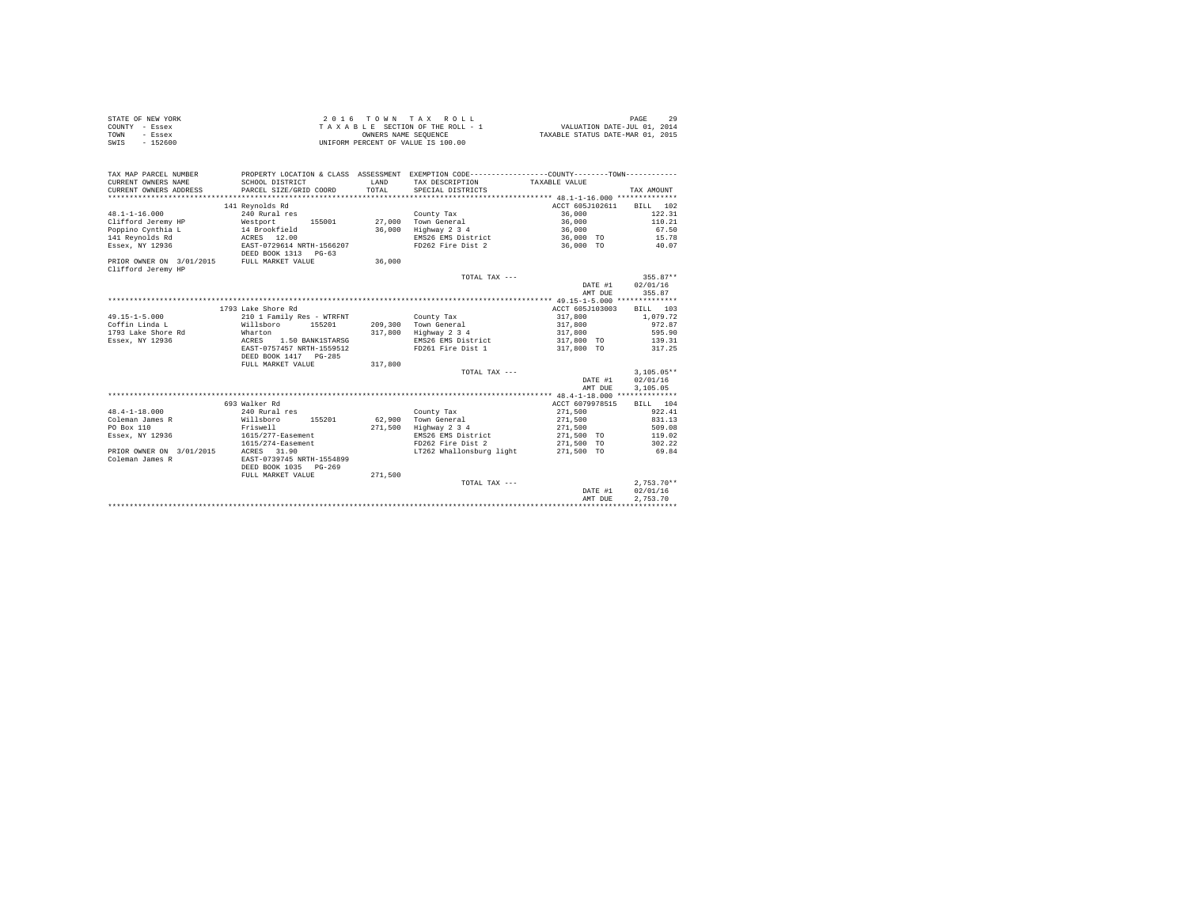| STATE OF NEW YORK | 2016 TOWN TAX ROLL                 | PAGE                             |
|-------------------|------------------------------------|----------------------------------|
| COUNTY - Essex    | TAXABLE SECTION OF THE ROLL - 1    | VALUATION DATE-JUL 01, 2014      |
| TOWN<br>- Essex   | OWNERS NAME SEOUENCE               | TAXABLE STATUS DATE-MAR 01, 2015 |
| $-152600$<br>SWIS | UNIFORM PERCENT OF VALUE IS 100.00 |                                  |

| TAX MAP PARCEL NUMBER                       |                           |              | PROPERTY LOCATION & CLASS ASSESSMENT EXEMPTION CODE----------------COUNTY--------TOWN---------- |                          |              |
|---------------------------------------------|---------------------------|--------------|-------------------------------------------------------------------------------------------------|--------------------------|--------------|
| CURRENT OWNERS NAME                         | SCHOOL DISTRICT           | <b>T.AND</b> | TAX DESCRIPTION                                                                                 | TAXABLE VALUE            |              |
| CURRENT OWNERS ADDRESS                      | PARCEL SIZE/GRID COORD    | TOTAL        | SPECIAL DISTRICTS                                                                               |                          | TAX AMOUNT   |
|                                             |                           |              |                                                                                                 |                          |              |
|                                             | 141 Revnolds Rd           |              |                                                                                                 | ACCT 605J102611 BILL 102 |              |
| $48.1 - 1 - 16.000$                         | 240 Rural res             |              | County Tax                                                                                      | 36,000                   | 122.31       |
| Clifford Jeremy HP Westport                 |                           |              | 155001 27,000 Town General                                                                      | 36,000                   | 110.21       |
|                                             |                           |              | 36,000 Highway 2 3 4                                                                            | 36,000                   | 67.50        |
|                                             |                           |              | EMS26 EMS District                                                                              | 36,000 TO                | 15.78        |
| Essex, NY 12936                             | EAST-0729614 NRTH-1566207 |              | FD262 Fire Dist 2                                                                               | 36,000 TO                | 40.07        |
|                                             | DEED BOOK 1313 PG-63      |              |                                                                                                 |                          |              |
| PRIOR OWNER ON 3/01/2015 FULL MARKET VALUE  |                           | 36,000       |                                                                                                 |                          |              |
| Clifford Jeremy HP                          |                           |              |                                                                                                 |                          |              |
|                                             |                           |              | TOTAL TAX ---                                                                                   |                          | $355.87**$   |
|                                             |                           |              |                                                                                                 | DATE #1                  | 02/01/16     |
|                                             |                           |              |                                                                                                 | AMT DUE                  | 355.87       |
|                                             |                           |              |                                                                                                 |                          |              |
|                                             | 1793 Lake Shore Rd        |              |                                                                                                 | ACCT 605J103003          | BILL 103     |
| $49.15 - 1 - 5.000$                         | 210 1 Family Res - WTRFNT |              | County Tax                                                                                      | 317,800                  | 1,079.72     |
| Coffin Linda L                              | Willsboro 155201          |              | 209,300 Town General                                                                            | 317,800                  | 972.87       |
| 1793 Lake Shore Rd                          | Wharton                   |              | 317,800 Highway 2 3 4                                                                           | 317,800                  | 595.90       |
| Essex, NY 12936                             | ACRES<br>1.50 BANK1STARSG |              | EMS26 EMS District                                                                              | 317,800 TO               | 139.31       |
|                                             | EAST-0757457 NRTH-1559512 |              | FD261 Fire Dist 1                                                                               | 317,800 TO               | 317.25       |
|                                             | DEED BOOK 1417 PG-285     |              |                                                                                                 |                          |              |
|                                             | FULL MARKET VALUE         | 317,800      |                                                                                                 |                          |              |
|                                             |                           |              | TOTAL TAX ---                                                                                   |                          | $3.105.05**$ |
|                                             |                           |              |                                                                                                 | DATE #1                  | 02/01/16     |
|                                             |                           |              |                                                                                                 | AMT DUE                  | 3,105.05     |
|                                             |                           |              |                                                                                                 |                          |              |
|                                             | 693 Walker Rd             |              |                                                                                                 | ACCT 6079978515          | BILL 104     |
| $48.4 - 1 - 18.000$                         | 240 Rural res             |              | County Tax                                                                                      | 271,500                  | 922.41       |
| Coleman James R                             | Willsboro 155201          |              | 62.900 Town General                                                                             | 271,500                  | 831.13       |
| PO Box 110                                  | Friswell                  | 271,500      | Highway 2 3 4                                                                                   | 271,500                  | 509.08       |
| Essex, NY 12936                             | 1615/277-Easement         |              | EMS26 EMS District                                                                              | 271,500 TO               | 119.02       |
|                                             | 1615/274-Easement         |              | FD262 Fire Dist 2                                                                               | 271,500 TO               | 302.22       |
| PRIOR OWNER ON 3/01/2015<br>Coleman James R | ACRES 31.90               |              | LT262 Whallonsburg light                                                                        | 271,500 TO               | 69.84        |
|                                             | EAST-0739745 NRTH-1554899 |              |                                                                                                 |                          |              |
|                                             | DEED BOOK 1035 PG-269     |              |                                                                                                 |                          |              |
|                                             | FULL MARKET VALUE         | 271,500      | TOTAL TAX ---                                                                                   |                          | $2.753.70**$ |
|                                             |                           |              |                                                                                                 |                          | 02/01/16     |
|                                             |                           |              |                                                                                                 | DATE #1                  |              |
|                                             |                           |              |                                                                                                 | AMT DUE                  | 2.753.70     |
|                                             |                           |              |                                                                                                 |                          |              |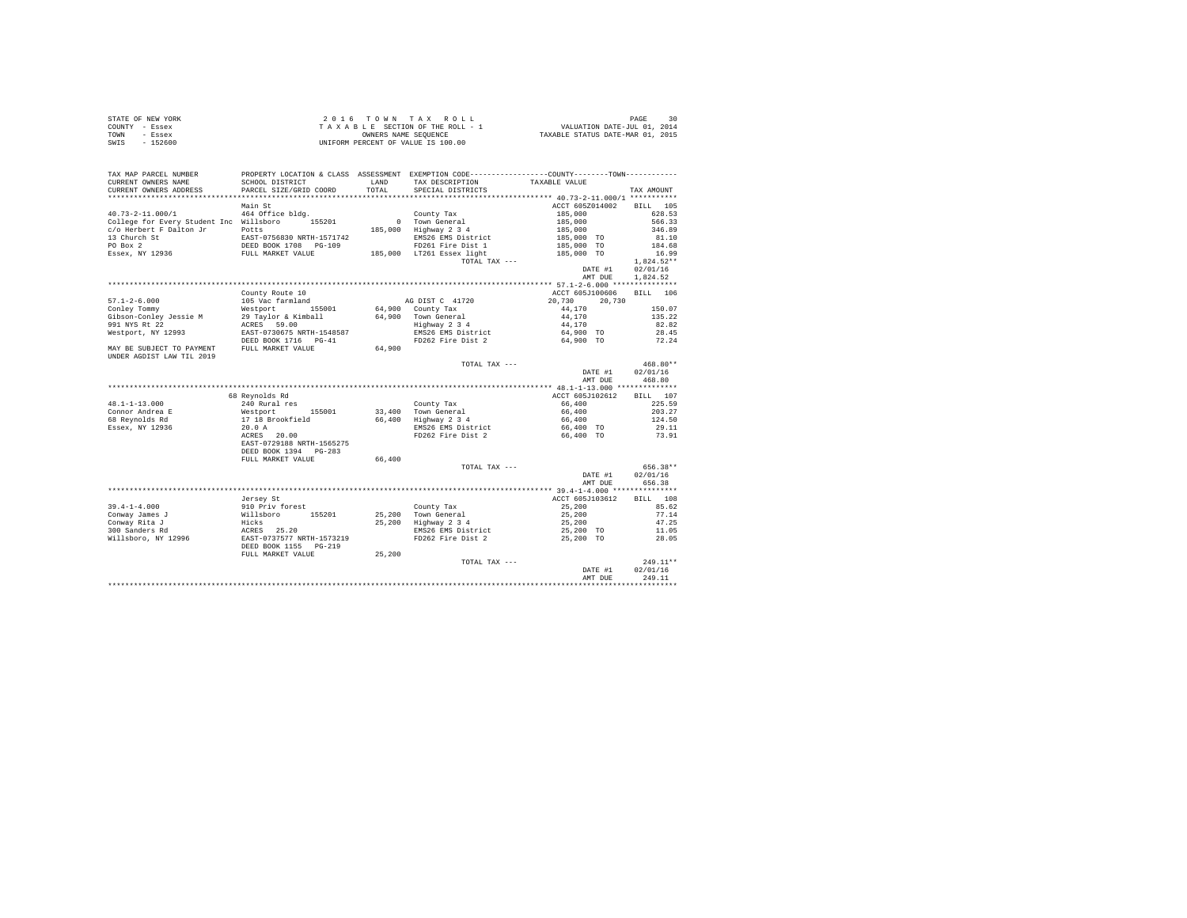|                | STATE OF NEW YORK | $2.0.16$ TOWN TAX ROLL             | PAGE                             |
|----------------|-------------------|------------------------------------|----------------------------------|
| COUNTY - Essex |                   | TAXABLE SECTION OF THE ROLL - 1    | VALUATION DATE-JUL 01, 2014      |
| TOWN           | - Essex           | OWNERS NAME SEOUENCE               | TAXABLE STATUS DATE-MAR 01, 2015 |
| SWIS           | $-152600$         | UNIFORM PERCENT OF VALUE IS 100.00 |                                  |

| TAX MAP PARCEL NUMBER<br>CURRENT OWNERS NAME                             | PROPERTY LOCATION & CLASS ASSESSMENT EXEMPTION CODE----------------COUNTY--------TOWN----------<br>SCHOOL DISTRICT | LAND   | TAX DESCRIPTION                             | TAXABLE VALUE                 |              |
|--------------------------------------------------------------------------|--------------------------------------------------------------------------------------------------------------------|--------|---------------------------------------------|-------------------------------|--------------|
| CURRENT OWNERS ADDRESS                                                   | PARCEL SIZE/GRID COORD                                                                                             | TOTAL  | SPECIAL DISTRICTS                           |                               | TAX AMOUNT   |
| *********************                                                    |                                                                                                                    |        |                                             |                               |              |
|                                                                          | Main St                                                                                                            |        |                                             | ACCT 605Z014002               | BILL 105     |
| $40.73 - 2 - 11.000 / 1$                                                 | 464 Office bldg.                                                                                                   |        | County Tax                                  | 185,000<br>185,000<br>185,000 | 628.53       |
| College for Every Student Inc Willsboro 155201                           |                                                                                                                    |        | 0 Town General                              |                               | 566.33       |
| c/o Herbert F Dalton Jr                                                  | Potts                                                                                                              |        | 185,000 Highway 2 3 4                       |                               | 346.89       |
| 13 Church St                                                             | EAST-0756830 NRTH-1571742<br>DEED BOOK 1708 PG-109<br>FULL MARKET VALUE                                            |        | EMS26 EMS District                          | 185,000 TO                    | 81.10        |
| PO Box 2                                                                 |                                                                                                                    |        | FD261 Fire Dist 1                           | 185,000 TO                    | 184.68       |
| Essex, NY 12936                                                          |                                                                                                                    |        | 185,000 LT261 Essex light                   | 185,000 TO                    | 16.99        |
|                                                                          |                                                                                                                    |        | TOTAL TAX ---                               |                               | $1,824.52**$ |
|                                                                          |                                                                                                                    |        |                                             | DATE #1                       | 02/01/16     |
|                                                                          |                                                                                                                    |        |                                             | AMT DUE                       | 1,824.52     |
|                                                                          |                                                                                                                    |        |                                             |                               |              |
|                                                                          | County Route 10                                                                                                    |        |                                             | ACCT 605J100606               | BILL 106     |
| $57.1 - 2 - 6.000$                                                       | 105 Vac farmland                                                                                                   |        | AG DIST C 41720                             | 20.730<br>20.730              |              |
| Conley Tommy                                                             | Westport 155001                                                                                                    |        | 64,900 County Tax                           | 44,170                        | 150.07       |
| Gibson-Conley Jessie M                                                   | 29 Taylor & Kimball                                                                                                |        | 64,900 Town General                         | 44,170                        | 135.22       |
| 991 NYS Rt 22                                                            | ACRES 59.00                                                                                                        |        | Highway 2 3 4                               | 44,170                        | 82.82        |
| Westport, NY 12993                                                       | EAST-0730675 NRTH-1548587<br>DEED BOOK 1716 PG-41                                                                  |        | EMS26 EMS District                          | 64,900 TO                     | 28.45        |
|                                                                          |                                                                                                                    |        | FD262 Fire Dist 2                           | 64,900 TO                     | 72.24        |
| MAY BE SUBJECT TO PAYMENT FULL MARKET VALUE<br>UNDER AGDIST LAW TIL 2019 |                                                                                                                    | 64,900 |                                             |                               |              |
|                                                                          |                                                                                                                    |        | TOTAL TAX ---                               |                               | 468.80**     |
|                                                                          |                                                                                                                    |        |                                             | DATE #1                       | 02/01/16     |
|                                                                          |                                                                                                                    |        |                                             | AMT DUE                       | 468.80       |
|                                                                          |                                                                                                                    |        |                                             |                               |              |
|                                                                          | 68 Reynolds Rd                                                                                                     |        |                                             | ACCT 605J102612               | BILL 107     |
| $48.1 - 1 - 13.000$                                                      | 240 Rural res                                                                                                      |        | County Tax                                  | 66,400                        | 225.59       |
| Connor Andrea E                                                          | Westport 155001<br>17 18 Brookfield                                                                                |        | 33,400 Town General<br>66,400 Highway 2 3 4 | 66,400                        | 203.27       |
| 68 Reynolds Rd                                                           |                                                                                                                    |        |                                             | 66,400                        | 124.50       |
| Essex, NY 12936                                                          | 20.0 A                                                                                                             |        | EMS26 EMS District<br>FD262 Fire Dist 2     | 66,400 TO<br>66,400 TO        | 29.11        |
|                                                                          | ACRES 20.00<br>EAST-0729188 NRTH-1565275                                                                           |        |                                             |                               | 73.91        |
|                                                                          | DEED BOOK 1394 PG-283                                                                                              |        |                                             |                               |              |
|                                                                          | FULL MARKET VALUE                                                                                                  | 66,400 |                                             |                               |              |
|                                                                          |                                                                                                                    |        | TOTAL TAX ---                               |                               | 656.38**     |
|                                                                          |                                                                                                                    |        |                                             | DATE #1                       | 02/01/16     |
|                                                                          |                                                                                                                    |        |                                             | AMT DUE                       | 656.38       |
|                                                                          |                                                                                                                    |        |                                             |                               |              |
|                                                                          | Jersey St                                                                                                          |        |                                             | ACCT 605J103612               | BILL 108     |
| $39.4 - 1 - 4.000$                                                       |                                                                                                                    |        | County Tax<br>25,200 Town General           | 25,200                        | 85.62        |
| Conway James J                                                           |                                                                                                                    |        |                                             | 25,200                        | 77.14        |
| Conway Rita J                                                            |                                                                                                                    |        | 25,200 Highway 2 3 4                        | 25,200                        | 47.25        |
| 300 Sanders Rd                                                           |                                                                                                                    |        | EMS26 EMS District                          | 25,200 TO                     | 11.05        |
| Willsboro, NY 12996                                                      | ------, --<br>910 Priv forest<br>Willsboro 155201<br>Hicks 25.20<br>RACRES 25.20<br>RACRES 25.20                   |        | FD262 Fire Dist 2                           | 25,200 TO                     | 28.05        |
|                                                                          | DEED BOOK 1155 PG-219                                                                                              |        |                                             |                               |              |
|                                                                          | FULL MARKET VALUE                                                                                                  | 25,200 |                                             |                               |              |
|                                                                          |                                                                                                                    |        | TOTAL TAX ---                               |                               | 249.11**     |
|                                                                          |                                                                                                                    |        |                                             | DATE #1                       | 02/01/16     |
|                                                                          |                                                                                                                    |        |                                             | AMT DUE                       | 249.11       |
|                                                                          |                                                                                                                    |        |                                             |                               |              |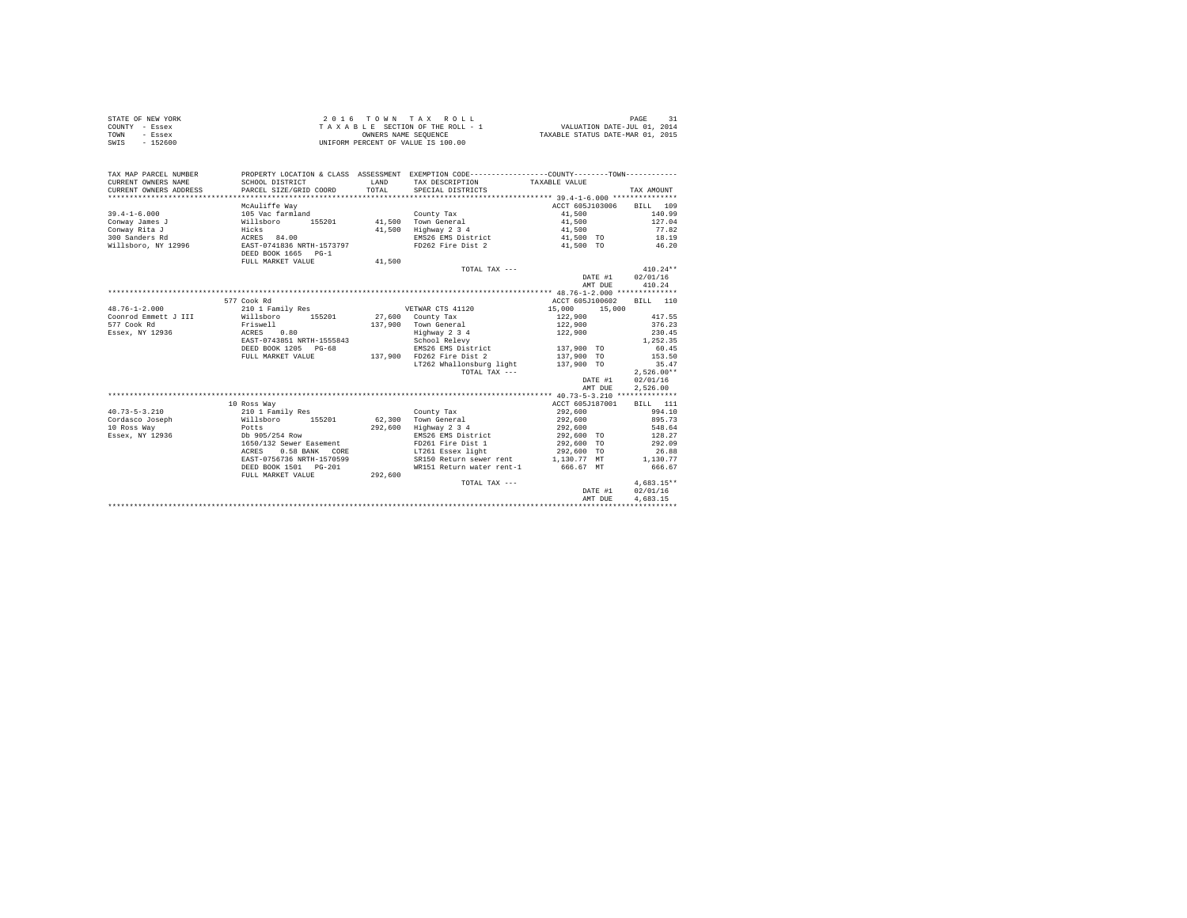| STATE OF NEW YORK | 2016 TOWN TAX ROLL                 | PAGE                             |
|-------------------|------------------------------------|----------------------------------|
| COUNTY - Essex    | TAXABLE SECTION OF THE ROLL - 1    | VALUATION DATE-JUL 01, 2014      |
| TOWN<br>- Essex   | OWNERS NAME SEOUENCE               | TAXABLE STATUS DATE-MAR 01, 2015 |
| SWIS<br>- 152600  | UNIFORM PERCENT OF VALUE IS 100.00 |                                  |

| TAX MAP PARCEL NUMBER<br>CURRENT OWNERS NAME<br>CURRENT OWNERS ADDRESS | SCHOOL DISTRICT<br>PARCEL SIZE/GRID COORD                | <b>T.AND</b><br>TOTAL | PROPERTY LOCATION & CLASS ASSESSMENT EXEMPTION CODE---------------COUNTY-------TOWN----------<br>TAX DESCRIPTION TAXABLE VALUE<br>SPECIAL DISTRICTS |                  | TAX AMOUNT   |
|------------------------------------------------------------------------|----------------------------------------------------------|-----------------------|-----------------------------------------------------------------------------------------------------------------------------------------------------|------------------|--------------|
|                                                                        |                                                          |                       |                                                                                                                                                     |                  |              |
|                                                                        | McAuliffe Way                                            |                       |                                                                                                                                                     | ACCT 605J103006  | BILL 109     |
| $39.4 - 1 - 6.000$                                                     | 105 Vac farmland<br>Willsboro 155201 41.500 Town General |                       | County Tax                                                                                                                                          | 41,500           | 140.99       |
| Conway James J                                                         |                                                          |                       |                                                                                                                                                     | 41,500           | 127.04       |
| Conway Rita J                                                          | Hicks                                                    | 41,500                | Highway 2 3 4                                                                                                                                       | 41,500           | 77.82        |
| 300 Sanders Rd                                                         | ACRES 84.00                                              |                       | EMS26 EMS District                                                                                                                                  | 41,500 TO        | 18.19        |
| Willsboro, NY 12996                                                    | EAST-0741836 NRTH-1573797                                |                       | FD262 Fire Dist 2                                                                                                                                   | 41,500 TO        | 46.20        |
|                                                                        | DEED BOOK 1665 PG-1                                      |                       |                                                                                                                                                     |                  |              |
|                                                                        | FULL MARKET VALUE                                        | 41,500                |                                                                                                                                                     |                  |              |
|                                                                        |                                                          |                       | TOTAL TAX ---                                                                                                                                       |                  | $410.24**$   |
|                                                                        |                                                          |                       |                                                                                                                                                     | DATE #1          | 02/01/16     |
|                                                                        |                                                          |                       |                                                                                                                                                     | AMT DUE          | 410.24       |
|                                                                        |                                                          |                       |                                                                                                                                                     |                  |              |
|                                                                        | 577 Cook Rd                                              |                       |                                                                                                                                                     | ACCT 605J100602  | BILL 110     |
| $48.76 - 1 - 2.000$                                                    | 210 1 Family Res                                         |                       | VETWAR CTS 41120                                                                                                                                    | 15,000<br>15,000 |              |
| Coonrod Emmett J III                                                   | Willsboro<br>155201                                      |                       | $27.600$ County Tax                                                                                                                                 | 122,900          | 417.55       |
| 577 Cook Rd                                                            | Friswell                                                 |                       | 137.900 Town General                                                                                                                                | 122,900          | 376.23       |
| Essex, NY 12936                                                        | ACRES 0.80                                               |                       | Highway 2 3 4                                                                                                                                       | 122,900          | 230.45       |
|                                                                        | EAST-0743851 NRTH-1555843                                |                       | School Relevy                                                                                                                                       |                  | 1.252.35     |
|                                                                        | DEED BOOK 1205 PG-68                                     |                       | EMS26 EMS District 137,900 TO                                                                                                                       |                  | 60.45        |
|                                                                        | FULL MARKET VALUE                                        | 137,900               | FD262 Fire Dist 2                                                                                                                                   | 137,900 TO       | 153.50       |
|                                                                        |                                                          |                       | LT262 Whallonsburg light                                                                                                                            | 137,900 TO       | 35.47        |
|                                                                        |                                                          |                       | TOTAL TAX ---                                                                                                                                       |                  | $2.526.00**$ |
|                                                                        |                                                          |                       |                                                                                                                                                     | DATE #1          | 02/01/16     |
|                                                                        |                                                          |                       |                                                                                                                                                     | AMT DUE          | 2.526.00     |
|                                                                        |                                                          |                       |                                                                                                                                                     |                  |              |
|                                                                        | 10 Ross Way                                              |                       |                                                                                                                                                     | ACCT 605J187001  | BILL 111     |
| $40.73 - 5 - 3.210$                                                    | 210 1 Family Res                                         |                       | County Tax                                                                                                                                          | 292,600          | 994.10       |
| Cordasco Joseph                                                        | Willsboro 155201                                         |                       | 62,300 Town General                                                                                                                                 | 292,600          | 895.73       |
| 10 Ross Way                                                            | Potts                                                    | 292,600               | Highway 2 3 4                                                                                                                                       | 292,600          | 548.64       |
| Essex, NY 12936                                                        | Db 905/254 Row                                           |                       | EMS26 EMS District                                                                                                                                  | 292,600 TO       | 128.27       |
|                                                                        | 1650/132 Sewer Easement                                  |                       | FD261 Fire Dist 1                                                                                                                                   | 292,600 TO       | 292.09       |
|                                                                        | 0.58 BANK CORE<br>ACRES                                  |                       | LT261 Essex light                                                                                                                                   | 292,600 TO       | 26.88        |
|                                                                        | EAST-0756736 NRTH-1570599                                |                       | SR150 Return sewer rent 1,130.77 MT                                                                                                                 |                  | 1,130.77     |
|                                                                        | DEED BOOK 1501 PG-201                                    |                       | WR151 Return water rent-1 666.67 MT                                                                                                                 |                  | 666.67       |
|                                                                        | FULL MARKET VALUE                                        | 292,600               |                                                                                                                                                     |                  |              |
|                                                                        |                                                          |                       | TOTAL TAX ---                                                                                                                                       |                  | $4.683.15**$ |
|                                                                        |                                                          |                       |                                                                                                                                                     | DATE #1          | 02/01/16     |
|                                                                        |                                                          |                       |                                                                                                                                                     | AMT DUE          | 4.683.15     |
|                                                                        |                                                          |                       |                                                                                                                                                     |                  |              |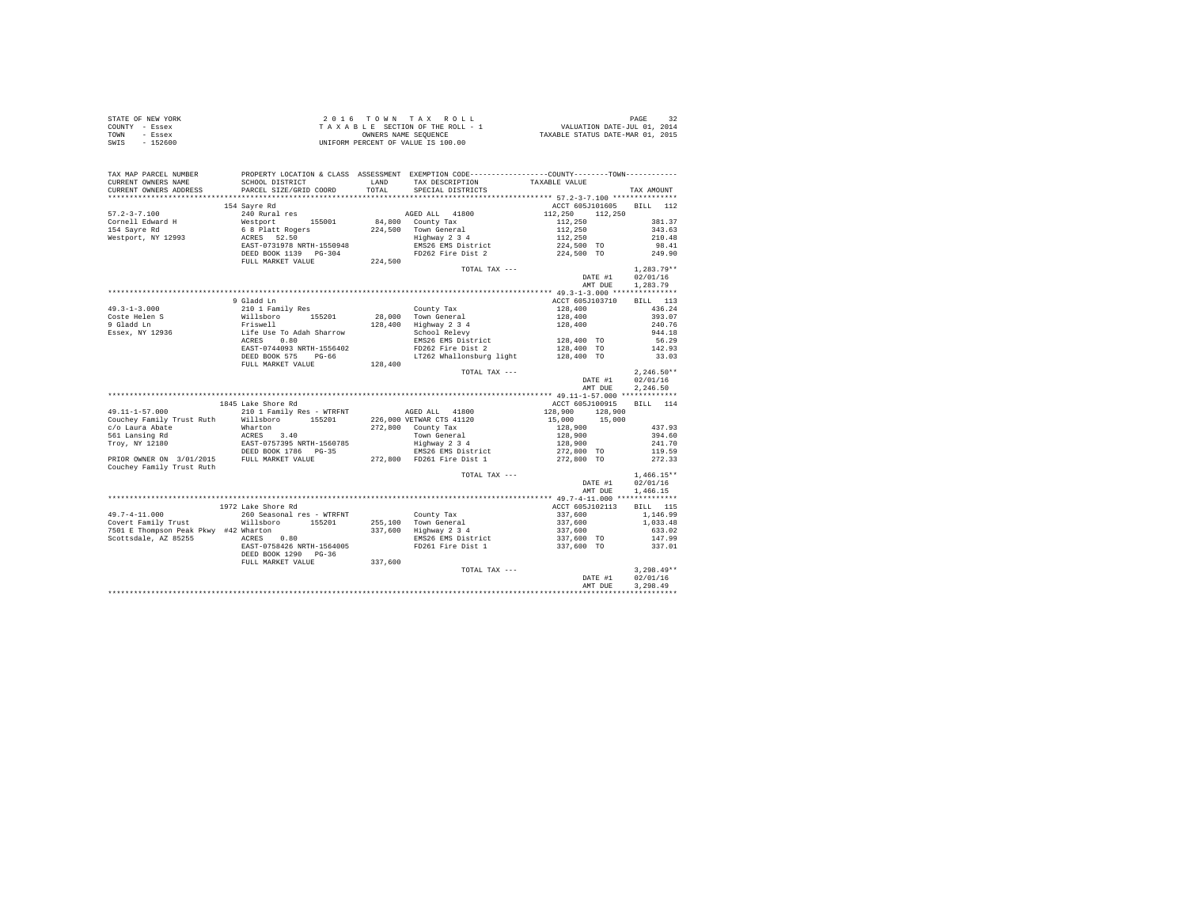| STATE OF NEW YORK                |                                                                                                                                                                                                                                                                                                                                                                                                                                                            |       |                                                                                  |                          |              |
|----------------------------------|------------------------------------------------------------------------------------------------------------------------------------------------------------------------------------------------------------------------------------------------------------------------------------------------------------------------------------------------------------------------------------------------------------------------------------------------------------|-------|----------------------------------------------------------------------------------|--------------------------|--------------|
| COUNTY - Essex                   |                                                                                                                                                                                                                                                                                                                                                                                                                                                            |       |                                                                                  |                          |              |
| TOWN - Essex                     |                                                                                                                                                                                                                                                                                                                                                                                                                                                            |       |                                                                                  |                          |              |
| SWIS - 152600                    |                                                                                                                                                                                                                                                                                                                                                                                                                                                            |       |                                                                                  |                          |              |
|                                  |                                                                                                                                                                                                                                                                                                                                                                                                                                                            |       |                                                                                  |                          |              |
|                                  |                                                                                                                                                                                                                                                                                                                                                                                                                                                            |       |                                                                                  |                          |              |
|                                  |                                                                                                                                                                                                                                                                                                                                                                                                                                                            |       |                                                                                  |                          |              |
|                                  | TAX MAP PARCEL NUMBER PROPERTY LOCATION & CLASS ASSESSMENT EXEMPTION CODE--------------COUNTY--------TOWN----------                                                                                                                                                                                                                                                                                                                                        |       |                                                                                  |                          |              |
| CURRENT OWNERS NAME              |                                                                                                                                                                                                                                                                                                                                                                                                                                                            |       | SCHOOL DISTRICT               LAND     TAX DESCRIPTION             TAXABLE VALUE |                          |              |
| CURRENT OWNERS ADDRESS           | PARCEL SIZE/GRID COORD                                                                                                                                                                                                                                                                                                                                                                                                                                     | TOTAL | SPECIAL DISTRICTS                                                                |                          | TAX AMOUNT   |
|                                  |                                                                                                                                                                                                                                                                                                                                                                                                                                                            |       |                                                                                  |                          |              |
|                                  | 154 Sayre Rd                                                                                                                                                                                                                                                                                                                                                                                                                                               |       |                                                                                  | ACCT 605J101605 BILL 112 |              |
| $57.2 - 3 - 7.100$               | $\begin{tabular}{l c c c c} \multicolumn{3}{c}{\textbf{13.40\textwidth}} & \multicolumn{3}{c}{\textbf{14.41\textwidth}} & \multicolumn{3}{c}{\textbf{14.42\textwidth}} & \multicolumn{3}{c}{\textbf{14.43\textwidth}} & \multicolumn{3}{c}{\textbf{14.44\textwidth}} & \multicolumn{3}{c}{\textbf{14.45\textwidth}} & \multicolumn{3}{c}{\textbf{14.46\textwidth}} & \multicolumn{3}{c}{\textbf{14.47\textwidth}} & \multicolumn{3}{c}{\textbf{14.48\text$ |       |                                                                                  |                          |              |
|                                  |                                                                                                                                                                                                                                                                                                                                                                                                                                                            |       |                                                                                  |                          |              |
| Cornell Edward H<br>154 Sayre Rd |                                                                                                                                                                                                                                                                                                                                                                                                                                                            |       |                                                                                  |                          |              |
|                                  |                                                                                                                                                                                                                                                                                                                                                                                                                                                            |       |                                                                                  |                          |              |
| Westport, NY 12993               |                                                                                                                                                                                                                                                                                                                                                                                                                                                            |       |                                                                                  |                          |              |
|                                  |                                                                                                                                                                                                                                                                                                                                                                                                                                                            |       |                                                                                  |                          |              |
|                                  |                                                                                                                                                                                                                                                                                                                                                                                                                                                            |       |                                                                                  |                          |              |
|                                  |                                                                                                                                                                                                                                                                                                                                                                                                                                                            |       |                                                                                  |                          |              |
|                                  |                                                                                                                                                                                                                                                                                                                                                                                                                                                            |       | TOTAL TAX ---                                                                    |                          | $1,283.79**$ |
|                                  |                                                                                                                                                                                                                                                                                                                                                                                                                                                            |       |                                                                                  | DATE #1 02/01/16         |              |
|                                  |                                                                                                                                                                                                                                                                                                                                                                                                                                                            |       |                                                                                  | AMT DUE 1.283.79         |              |
|                                  |                                                                                                                                                                                                                                                                                                                                                                                                                                                            |       |                                                                                  |                          |              |
|                                  | 9 Gladd Ln                                                                                                                                                                                                                                                                                                                                                                                                                                                 |       |                                                                                  | ACCT 605J103710 BILL 113 |              |
|                                  |                                                                                                                                                                                                                                                                                                                                                                                                                                                            |       |                                                                                  |                          |              |
|                                  |                                                                                                                                                                                                                                                                                                                                                                                                                                                            |       |                                                                                  |                          |              |
|                                  |                                                                                                                                                                                                                                                                                                                                                                                                                                                            |       |                                                                                  |                          |              |
|                                  |                                                                                                                                                                                                                                                                                                                                                                                                                                                            |       |                                                                                  |                          |              |
|                                  |                                                                                                                                                                                                                                                                                                                                                                                                                                                            |       |                                                                                  |                          |              |
|                                  |                                                                                                                                                                                                                                                                                                                                                                                                                                                            |       |                                                                                  |                          |              |
|                                  |                                                                                                                                                                                                                                                                                                                                                                                                                                                            |       |                                                                                  |                          |              |
|                                  |                                                                                                                                                                                                                                                                                                                                                                                                                                                            |       |                                                                                  |                          |              |
|                                  |                                                                                                                                                                                                                                                                                                                                                                                                                                                            |       |                                                                                  |                          |              |
|                                  |                                                                                                                                                                                                                                                                                                                                                                                                                                                            |       | TOTAL TAX ---                                                                    |                          | $2.246.50**$ |
|                                  |                                                                                                                                                                                                                                                                                                                                                                                                                                                            |       |                                                                                  | DATE #1 02/01/16         |              |
|                                  |                                                                                                                                                                                                                                                                                                                                                                                                                                                            |       |                                                                                  | AMT DUE                  | 2,246.50     |
|                                  |                                                                                                                                                                                                                                                                                                                                                                                                                                                            |       |                                                                                  |                          |              |
|                                  | 1845 Lake Shore Rd                                                                                                                                                                                                                                                                                                                                                                                                                                         |       |                                                                                  | ACCT 605J100915 BILL 114 |              |
|                                  |                                                                                                                                                                                                                                                                                                                                                                                                                                                            |       |                                                                                  |                          |              |
|                                  |                                                                                                                                                                                                                                                                                                                                                                                                                                                            |       |                                                                                  |                          |              |
|                                  |                                                                                                                                                                                                                                                                                                                                                                                                                                                            |       |                                                                                  |                          |              |
|                                  |                                                                                                                                                                                                                                                                                                                                                                                                                                                            |       |                                                                                  |                          |              |
|                                  |                                                                                                                                                                                                                                                                                                                                                                                                                                                            |       |                                                                                  |                          |              |
|                                  |                                                                                                                                                                                                                                                                                                                                                                                                                                                            |       |                                                                                  |                          |              |
|                                  |                                                                                                                                                                                                                                                                                                                                                                                                                                                            |       |                                                                                  |                          |              |
|                                  |                                                                                                                                                                                                                                                                                                                                                                                                                                                            |       |                                                                                  |                          |              |
| Couchey Family Trust Ruth        |                                                                                                                                                                                                                                                                                                                                                                                                                                                            |       |                                                                                  |                          |              |
|                                  |                                                                                                                                                                                                                                                                                                                                                                                                                                                            |       | TOTAL TAX $---$                                                                  |                          | $1,466.15**$ |
|                                  |                                                                                                                                                                                                                                                                                                                                                                                                                                                            |       |                                                                                  | DATE #1 02/01/16         |              |
|                                  |                                                                                                                                                                                                                                                                                                                                                                                                                                                            |       |                                                                                  | AMT DUE                  | 1,466.15     |
|                                  |                                                                                                                                                                                                                                                                                                                                                                                                                                                            |       |                                                                                  |                          |              |
|                                  |                                                                                                                                                                                                                                                                                                                                                                                                                                                            |       |                                                                                  | ACCT 605J102113 BILL 115 |              |
|                                  |                                                                                                                                                                                                                                                                                                                                                                                                                                                            |       |                                                                                  |                          | 1,146.99     |
|                                  |                                                                                                                                                                                                                                                                                                                                                                                                                                                            |       |                                                                                  |                          | 1,033.48     |
|                                  |                                                                                                                                                                                                                                                                                                                                                                                                                                                            |       |                                                                                  |                          | 633.02       |
|                                  |                                                                                                                                                                                                                                                                                                                                                                                                                                                            |       |                                                                                  |                          | 147.99       |
|                                  |                                                                                                                                                                                                                                                                                                                                                                                                                                                            |       |                                                                                  |                          | 337.01       |
|                                  |                                                                                                                                                                                                                                                                                                                                                                                                                                                            |       |                                                                                  |                          |              |
|                                  |                                                                                                                                                                                                                                                                                                                                                                                                                                                            |       |                                                                                  |                          |              |
|                                  |                                                                                                                                                                                                                                                                                                                                                                                                                                                            |       |                                                                                  |                          |              |
|                                  |                                                                                                                                                                                                                                                                                                                                                                                                                                                            |       |                                                                                  |                          | $3.298.49**$ |
|                                  |                                                                                                                                                                                                                                                                                                                                                                                                                                                            |       |                                                                                  | DATE #1                  | 02/01/16     |
|                                  |                                                                                                                                                                                                                                                                                                                                                                                                                                                            |       |                                                                                  | AMT DUE                  | 3.298.49     |
|                                  |                                                                                                                                                                                                                                                                                                                                                                                                                                                            |       |                                                                                  |                          | ************ |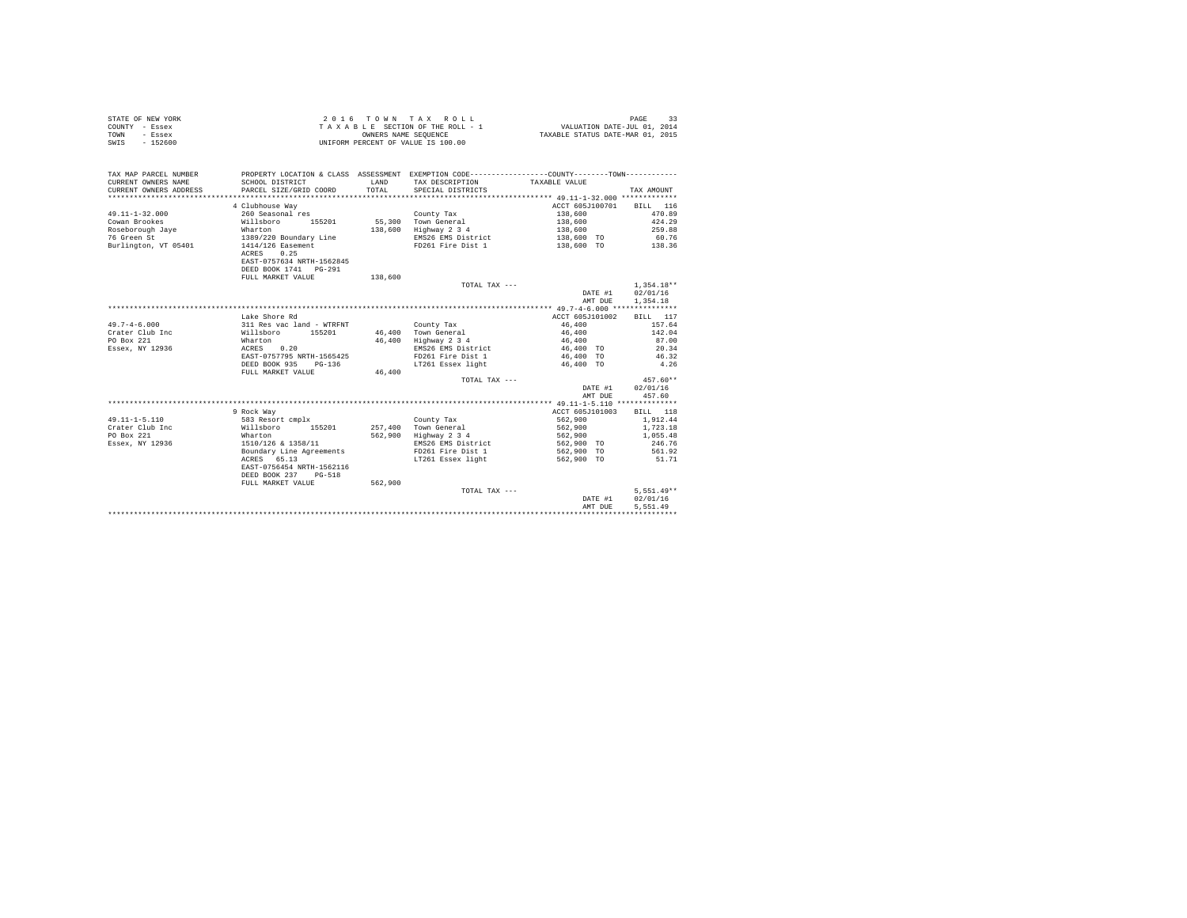| STATE OF NEW YORK | 2016 TOWN TAX ROLL                 | PAGE                             |
|-------------------|------------------------------------|----------------------------------|
| COUNTY - Essex    | TAXABLE SECTION OF THE ROLL - 1    | VALUATION DATE-JUL 01, 2014      |
| TOWN<br>- Essex   | OWNERS NAME SEOUENCE               | TAXABLE STATUS DATE-MAR 01, 2015 |
| SWIS<br>$-152600$ | UNIFORM PERCENT OF VALUE IS 100.00 |                                  |

| TAX MAP PARCEL NUMBER<br>CURRENT OWNERS NAME<br>CURRENT OWNERS ADDRESS | SCHOOL DISTRICT<br>PARCEL SIZE/GRID COORD | LAND<br>TOTAL. | PROPERTY LOCATION & CLASS ASSESSMENT EXEMPTION CODE----------------COUNTY--------TOWN----------<br>TAX DESCRIPTION<br>SPECIAL DISTRICTS | TAXABLE VALUE            | TAX AMOUNT      |
|------------------------------------------------------------------------|-------------------------------------------|----------------|-----------------------------------------------------------------------------------------------------------------------------------------|--------------------------|-----------------|
|                                                                        |                                           |                |                                                                                                                                         |                          |                 |
|                                                                        | 4 Clubhouse Way                           |                |                                                                                                                                         | ACCT 605J100701 BILL 116 |                 |
| $49.11 - 1 - 32.000$                                                   | 260 Seasonal res                          |                | County Tax                                                                                                                              | 138,600                  | 470.89          |
| Cowan Brookes                                                          | Willsboro<br>155201                       |                | 55,300 Town General                                                                                                                     | 138,600                  | 424.29          |
| Roseborough Jaye                                                       | Wharton                                   | 138,600        | Highway 2 3 4                                                                                                                           | 138,600                  | 259.88          |
| 76 Green St                                                            | 1389/220 Boundary Line                    |                | EMS26 EMS District                                                                                                                      | 138,600 TO               | 60.76           |
| Burlington, VT 05401                                                   | 1414/126 Easement<br>0.25<br>ACRES        |                | FD261 Fire Dist 1                                                                                                                       | 138,600 TO 138.36        |                 |
|                                                                        | EAST-0757634 NRTH-1562845                 |                |                                                                                                                                         |                          |                 |
|                                                                        | DEED BOOK 1741 PG-291                     |                |                                                                                                                                         |                          |                 |
|                                                                        | FULL MARKET VALUE                         | 138,600        |                                                                                                                                         |                          |                 |
|                                                                        |                                           |                | TOTAL TAX ---                                                                                                                           |                          | $1.354.18**$    |
|                                                                        |                                           |                |                                                                                                                                         | DATE #1                  | 02/01/16        |
|                                                                        |                                           |                |                                                                                                                                         | AMT DUE                  | 1,354.18        |
|                                                                        |                                           |                |                                                                                                                                         |                          |                 |
|                                                                        | Lake Shore Rd                             |                |                                                                                                                                         | ACCT 605J101002          | BILL 117        |
| $49.7 - 4 - 6.000$                                                     | 311 Res vac land - WTRFNT                 |                | County Tax                                                                                                                              | 46,400                   | 157.64          |
| Crater Club Inc                                                        | 155201<br>Willsboro                       |                | 46,400 Town General                                                                                                                     | 46,400                   | 142.04          |
| PO Box 221                                                             | Wharton                                   | 46,400         | Highway 2 3 4                                                                                                                           | 46,400                   | 87.00           |
| Essex, NY 12936                                                        | 0.20<br>ACRES                             |                | EMS26 EMS District                                                                                                                      | 46,400 TO                | 20.34           |
|                                                                        | EAST-0757795 NRTH-1565425                 |                | FD261 Fire Dist 1                                                                                                                       | 46,400 TO                | 46.32           |
|                                                                        | DEED BOOK 935 PG-136                      |                | LT261 Essex light                                                                                                                       | 46,400 TO                | 4.26            |
|                                                                        | FULL MARKET VALUE                         | 46,400         |                                                                                                                                         |                          |                 |
|                                                                        |                                           |                | TOTAL TAX ---                                                                                                                           |                          | $457.60**$      |
|                                                                        |                                           |                |                                                                                                                                         | DATE #1                  | 02/01/16        |
|                                                                        |                                           |                |                                                                                                                                         | AMT DUE                  | 457.60          |
|                                                                        |                                           |                |                                                                                                                                         |                          |                 |
|                                                                        | 9 Rock Way                                |                |                                                                                                                                         | ACCT 605J101003          | <b>BILL</b> 118 |
| $49.11 - 1 - 5.110$                                                    | 583 Resort cmplx                          |                | County Tax                                                                                                                              | 562,900                  | 1,912.44        |
| Crater Club Inc                                                        | Willsboro 155201                          |                | 257.400 Town General                                                                                                                    | 562,900                  | 1,723.18        |
| PO Box 221                                                             | Wharton                                   | 562,900        | Highway 2 3 4                                                                                                                           | 562,900                  | 1,055.48        |
| Essex, NY 12936                                                        | 1510/126 & 1358/11                        |                | EMS26 EMS District                                                                                                                      | 562,900 TO               | 246.76          |
|                                                                        | Boundary Line Agreements                  |                | FD261 Fire Dist 1                                                                                                                       | 562,900 TO               | 561.92          |
|                                                                        | ACRES 65.13                               |                | LT261 Essex light                                                                                                                       | 562,900 TO               | 51.71           |
|                                                                        | EAST-0756454 NRTH-1562116                 |                |                                                                                                                                         |                          |                 |
|                                                                        | DEED BOOK 237 PG-518                      |                |                                                                                                                                         |                          |                 |
|                                                                        |                                           |                |                                                                                                                                         |                          |                 |
|                                                                        | FULL MARKET VALUE                         | 562,900        |                                                                                                                                         |                          |                 |
|                                                                        |                                           |                | TOTAL TAX ---                                                                                                                           |                          | $5.551.49**$    |
|                                                                        |                                           |                |                                                                                                                                         | DATE #1                  | 02/01/16        |
|                                                                        |                                           |                |                                                                                                                                         | AMT DUE                  | 5.551.49        |
|                                                                        |                                           |                |                                                                                                                                         |                          |                 |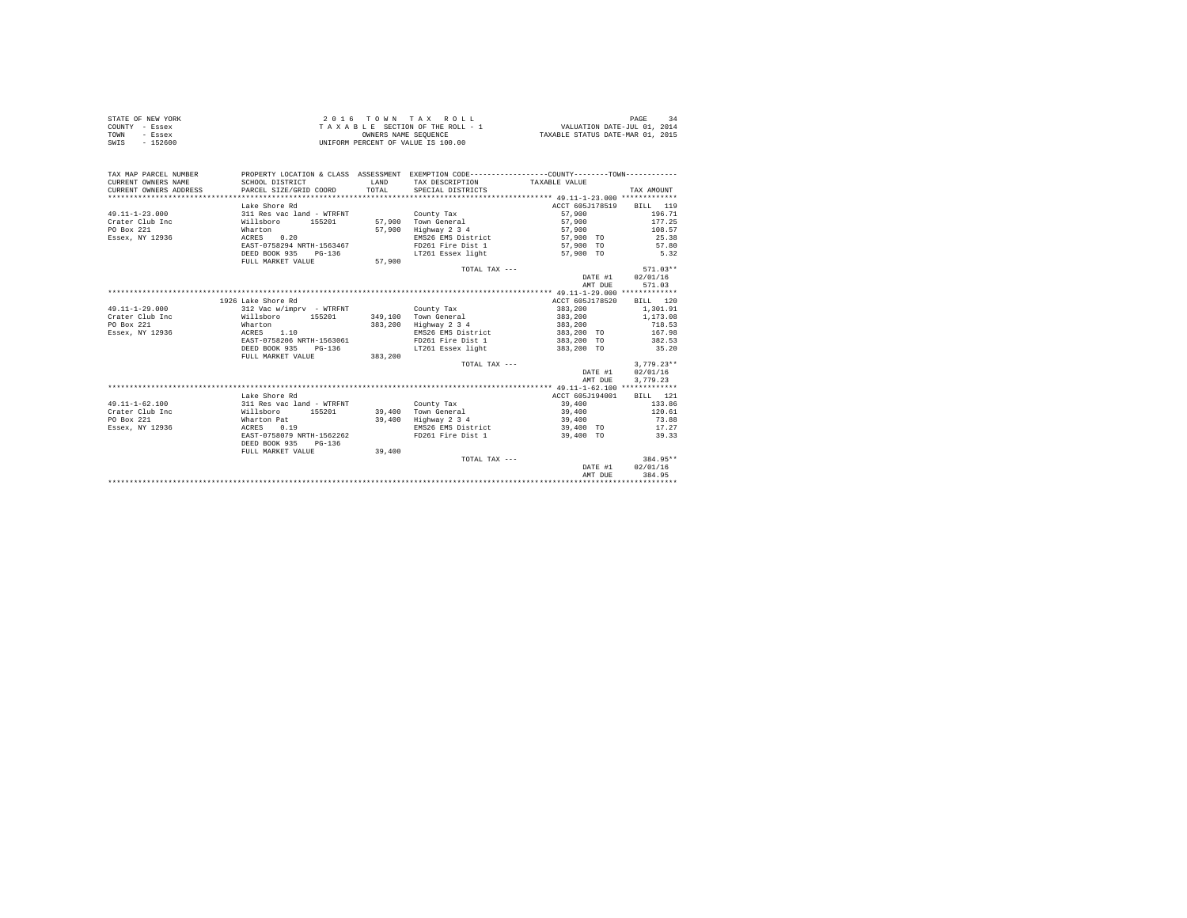|                | STATE OF NEW YORK | 2016 TOWN TAX ROLL                 | PAGE                             |
|----------------|-------------------|------------------------------------|----------------------------------|
| COUNTY - Essex |                   | TAXABLE SECTION OF THE ROLL - 1    | VALUATION DATE-JUL 01, 2014      |
| TOWN           | - Essex           | OWNERS NAME SEOUENCE               | TAXABLE STATUS DATE-MAR 01, 2015 |
| SWIS           | - 152600          | UNIFORM PERCENT OF VALUE IS 100.00 |                                  |

| TAX MAP PARCEL NUMBER<br>CURRENT OWNERS NAME | PROPERTY LOCATION & CLASS ASSESSMENT EXEMPTION CODE----------------COUNTY--------TOWN----------<br>SCHOOL DISTRICT<br>PARCEL SIZE/GRID COORD | <b>T.AND</b> | TAX DESCRIPTION TAXABLE VALUE |                          |                  |
|----------------------------------------------|----------------------------------------------------------------------------------------------------------------------------------------------|--------------|-------------------------------|--------------------------|------------------|
| CURRENT OWNERS ADDRESS                       |                                                                                                                                              | TOTAL.       | SPECIAL DISTRICTS             |                          | TAX AMOUNT       |
|                                              |                                                                                                                                              |              |                               |                          |                  |
|                                              | Lake Shore Rd                                                                                                                                |              |                               | ACCT 605J178519 BILL 119 |                  |
| $49.11 - 1 - 23.000$                         | 311 Res vac land - WTRFNT                                                                                                                    |              | County Tax                    | 57,900                   | 196.71           |
| Crater Club Inc.                             | Willsboro 155201                                                                                                                             |              | 57.900 Town General           | 57,900                   | 177.25           |
| PO Box 221                                   | Wharton                                                                                                                                      | 57,900       | Highway 2 3 4                 | 57,900                   | 108.57           |
| Essex, NY 12936                              | ACRES 0.20                                                                                                                                   |              | EMS26 EMS District            | 57,900 TO                | 25.38            |
|                                              | EAST-0758294 NRTH-1563467                                                                                                                    |              | FD261 Fire Dist 1             | 57,900 TO                | 57.80            |
|                                              | DEED BOOK 935 PG-136                                                                                                                         |              | LT261 Essex light             | 57,900 TO                | 5.32             |
|                                              | FULL MARKET VALUE                                                                                                                            | 57,900       |                               |                          |                  |
|                                              |                                                                                                                                              |              | TOTAL TAX ---                 |                          | $571.03**$       |
|                                              |                                                                                                                                              |              |                               |                          | DATE #1 02/01/16 |
|                                              |                                                                                                                                              |              |                               | AMT DUE                  | 571.03           |
|                                              |                                                                                                                                              |              |                               |                          |                  |
|                                              | 1926 Lake Shore Rd                                                                                                                           |              |                               | ACCT 605J178520          | BILL 120         |
| $49.11 - 1 - 29.000$                         | 312 Vac w/impry - WTRFNT                                                                                                                     |              | County Tax                    | 383,200                  | 1,301.91         |
| Crater Club Inc                              | Willsboro 155201                                                                                                                             |              | 349.100 Town General          | 383,200                  | 1,173.08         |
| PO Box 221                                   | Wharton                                                                                                                                      |              | 383,200 Highway 2 3 4         | 383,200                  | 718.53           |
| Essex, NY 12936                              | ACRES 1.10                                                                                                                                   |              | EMS26 EMS District            | 383,200 TO 167.98        |                  |
|                                              | EAST-0758206 NRTH-1563061                                                                                                                    |              | FD261 Fire Dist 1 383,200 TO  |                          | 382.53           |
|                                              | DEED BOOK 935<br>PG-136                                                                                                                      |              | LT261 Essex light 383.200 TO  |                          | 35.20            |
|                                              | FULL MARKET VALUE 383,200                                                                                                                    |              |                               |                          |                  |
|                                              |                                                                                                                                              |              | TOTAL TAX ---                 |                          | $3.779.23**$     |
|                                              |                                                                                                                                              |              |                               |                          | DATE #1 02/01/16 |
|                                              |                                                                                                                                              |              |                               | AMT DUE                  | 3,779.23         |
|                                              |                                                                                                                                              |              |                               |                          |                  |
|                                              | Lake Shore Rd                                                                                                                                |              |                               | ACCT 605J194001          | <b>BILL</b> 121  |
| $49.11 - 1 - 62.100$                         |                                                                                                                                              |              |                               |                          |                  |
|                                              | 311 Res vac land - WTRFNT                                                                                                                    |              | County Tax                    | 39,400                   | 133.86           |
| Crater Club Inc.<br>Willsboro                | 155201                                                                                                                                       |              | 39,400 Town General           | 39,400                   | 120.61           |
| PO Box 221                                   | Wharton Pat                                                                                                                                  | 39,400       | Highway 2 3 4                 | 39,400                   | 73.88            |
| Essex, NY 12936                              | ACRES<br>0.19                                                                                                                                |              | EMS26 EMS District            | 39,400 TO                | 17.27            |
|                                              | EAST-0758079 NRTH-1562262                                                                                                                    |              | FD261 Fire Dist 1             | 39,400 TO                | 39.33            |
|                                              | DEED BOOK 935<br>$PG-136$                                                                                                                    |              |                               |                          |                  |
|                                              | FULL MARKET VALUE                                                                                                                            | 39,400       |                               |                          |                  |
|                                              |                                                                                                                                              |              | TOTAL TAX ---                 |                          | 384.95**         |
|                                              |                                                                                                                                              |              |                               | DATE #1                  | 02/01/16         |
|                                              |                                                                                                                                              |              |                               | AMT DUE                  | 384.95           |
|                                              |                                                                                                                                              |              |                               |                          |                  |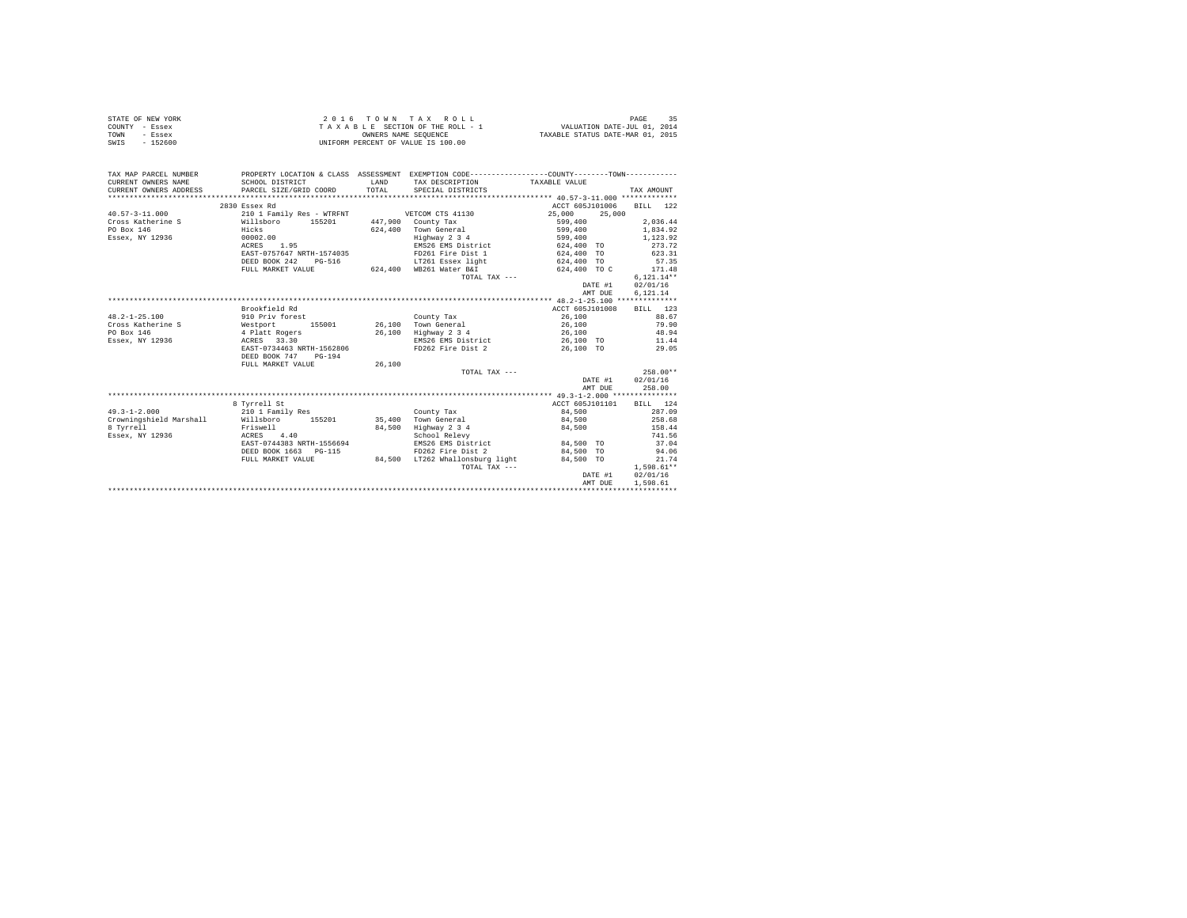| STATE OF NEW YORK | 2016 TOWN TAX ROLL                 | २६<br>PAGE                       |
|-------------------|------------------------------------|----------------------------------|
| COUNTY - Essex    | TAXABLE SECTION OF THE ROLL - 1    | VALUATION DATE-JUL 01, 2014      |
| TOWN<br>- Essex   | OWNERS NAME SEOUENCE               | TAXABLE STATUS DATE-MAR 01, 2015 |
| SWIS<br>- 152600  | UNIFORM PERCENT OF VALUE IS 100.00 |                                  |

| TAX MAP PARCEL NUMBER                                        |                                                                                                                   |        | PROPERTY LOCATION & CLASS ASSESSMENT EXEMPTION CODE----------------COUNTY--------TOWN----------                                                                                                                                                                                                                                                                                              |                               |                  |
|--------------------------------------------------------------|-------------------------------------------------------------------------------------------------------------------|--------|----------------------------------------------------------------------------------------------------------------------------------------------------------------------------------------------------------------------------------------------------------------------------------------------------------------------------------------------------------------------------------------------|-------------------------------|------------------|
|                                                              |                                                                                                                   |        |                                                                                                                                                                                                                                                                                                                                                                                              |                               |                  |
|                                                              |                                                                                                                   |        |                                                                                                                                                                                                                                                                                                                                                                                              |                               |                  |
|                                                              |                                                                                                                   |        |                                                                                                                                                                                                                                                                                                                                                                                              |                               |                  |
|                                                              | 2830 Essex Rd                                                                                                     |        |                                                                                                                                                                                                                                                                                                                                                                                              | ACCT 605J101006               | BILL 122         |
| $40.57 - 3 - 11.000$                                         |                                                                                                                   |        | 210 1 Family Res - WTRFNT VETCOM CTS 41130 25,000 25,000                                                                                                                                                                                                                                                                                                                                     |                               |                  |
|                                                              |                                                                                                                   |        |                                                                                                                                                                                                                                                                                                                                                                                              |                               | 2,036.44         |
|                                                              |                                                                                                                   |        | 624.400 Town General                                                                                                                                                                                                                                                                                                                                                                         |                               | 1.834.92         |
|                                                              |                                                                                                                   |        | Highway 2 3 4                                                                                                                                                                                                                                                                                                                                                                                | 599,400<br>599,400<br>599,400 | 1,123.92         |
|                                                              | ACRES 1.95                                                                                                        |        | EMS26 EMS District 624,400 TO 273.72                                                                                                                                                                                                                                                                                                                                                         |                               |                  |
|                                                              |                                                                                                                   |        | EAST-0757647 NRTH-1574035 FD261 Fire Dist 1 624,400 TO 623.31                                                                                                                                                                                                                                                                                                                                |                               |                  |
|                                                              |                                                                                                                   |        | ${\tt DEED\ BOOK\ 242}\quad {\tt PG-516}\quad {\tt LT261\ Esex\ 1ight}\quad {\tt 624,400}\quad {\tt TO}\nonumber\\ {\tt FUL\ MARKET\  VALUE}\quad {\tt 624,400}\quad {\tt 624,400}\quad {\tt WE261\ 75,400}\quad {\tt 624,400}\quad {\tt 624,400}\quad {\tt 624,400}\quad {\tt 624,400}\quad {\tt 624,400}\quad {\tt 624,400}\quad {\tt 624,400}\quad {\tt 624,400}\quad {\tt 624,400}\quad$ |                               | 57.35            |
|                                                              |                                                                                                                   |        |                                                                                                                                                                                                                                                                                                                                                                                              | 624,400 TO C                  | 171.48           |
|                                                              |                                                                                                                   |        | TOTAL TAX ---                                                                                                                                                                                                                                                                                                                                                                                |                               | $6.121.14**$     |
|                                                              |                                                                                                                   |        |                                                                                                                                                                                                                                                                                                                                                                                              | DATE #1 02/01/16              |                  |
|                                                              |                                                                                                                   |        |                                                                                                                                                                                                                                                                                                                                                                                              | AMT DUE                       | 6.121.14         |
|                                                              |                                                                                                                   |        |                                                                                                                                                                                                                                                                                                                                                                                              |                               |                  |
|                                                              | Brookfield Rd                                                                                                     |        |                                                                                                                                                                                                                                                                                                                                                                                              | ACCT 605J101008 BILL 123      |                  |
| $48.2 - 1 - 25.100$                                          |                                                                                                                   |        |                                                                                                                                                                                                                                                                                                                                                                                              |                               | 88.67            |
| Cross Katherine S<br>PO Box 146                              | 910 Priv forest 155001 120 County Tax<br>Westport 155001 26,100 Town General<br>4 Platt Rogers 26,100 Highway 234 |        |                                                                                                                                                                                                                                                                                                                                                                                              | 26,100<br>26,100              | 79.90            |
| PO Box 146                                                   |                                                                                                                   |        | 26,100 Highway 2 3 4                                                                                                                                                                                                                                                                                                                                                                         | 26,100                        | 48.94            |
| Essex. NY 12936 6 20 ACRES 33.30                             |                                                                                                                   |        | EMS26 EMS District 26,100 TO 11.44                                                                                                                                                                                                                                                                                                                                                           |                               |                  |
|                                                              | EAST-0734463 NRTH-1562806                                                                                         |        | FD262 Fire Dist 2 26,100 TO 29.05                                                                                                                                                                                                                                                                                                                                                            |                               |                  |
|                                                              | DEED BOOK 747 PG-194                                                                                              |        |                                                                                                                                                                                                                                                                                                                                                                                              |                               |                  |
|                                                              | FULL MARKET VALUE                                                                                                 | 26,100 |                                                                                                                                                                                                                                                                                                                                                                                              |                               |                  |
|                                                              |                                                                                                                   |        | TOTAL TAX ---                                                                                                                                                                                                                                                                                                                                                                                |                               | $258.00**$       |
|                                                              |                                                                                                                   |        |                                                                                                                                                                                                                                                                                                                                                                                              |                               | DATE #1 02/01/16 |
|                                                              |                                                                                                                   |        |                                                                                                                                                                                                                                                                                                                                                                                              | AMT DUE                       | 258.00           |
|                                                              |                                                                                                                   |        |                                                                                                                                                                                                                                                                                                                                                                                              |                               |                  |
|                                                              | 8 Tyrrell St                                                                                                      |        |                                                                                                                                                                                                                                                                                                                                                                                              | ACCT 605J101101 BILL 124      |                  |
| $49.3 - 1 - 2.000$                                           | 210 1 Family Res                                                                                                  |        | County Tax                                                                                                                                                                                                                                                                                                                                                                                   | 84.500                        | 287.09           |
| Crowningshield Marshall Millsboro 155201 35,400 Town General |                                                                                                                   |        |                                                                                                                                                                                                                                                                                                                                                                                              | 84,500 258.68                 |                  |
| 8 Tyrrell                                                    | Friswell                                                                                                          | 84,500 | Highway 2 3 4 84,500 158.44                                                                                                                                                                                                                                                                                                                                                                  |                               |                  |
| Essex, NY 12936<br>ACRES 4.40                                |                                                                                                                   |        | School Relevy                                                                                                                                                                                                                                                                                                                                                                                |                               | 741.56           |
|                                                              | EAST-0744383 NRTH-1556694                                                                                         |        | EMS26 EMS District                                                                                                                                                                                                                                                                                                                                                                           | 84,500 TO                     | 37.04            |
|                                                              | DEED BOOK 1663 PG-115                                                                                             |        | FD262 Fire Dist 2                                                                                                                                                                                                                                                                                                                                                                            | 84.500 TO                     | 94.06            |
|                                                              | FULL MARKET VALUE                                                                                                 |        | $84,500$ LT262 Whallonsburg light $84,500$ TO                                                                                                                                                                                                                                                                                                                                                |                               | 21.74            |
|                                                              |                                                                                                                   |        | TOTAL TAX ---                                                                                                                                                                                                                                                                                                                                                                                |                               | $1,598.61**$     |
|                                                              |                                                                                                                   |        |                                                                                                                                                                                                                                                                                                                                                                                              | DATE #1                       | 02/01/16         |
|                                                              |                                                                                                                   |        |                                                                                                                                                                                                                                                                                                                                                                                              | AMT DUE                       | 1,598.61         |
|                                                              |                                                                                                                   |        |                                                                                                                                                                                                                                                                                                                                                                                              |                               |                  |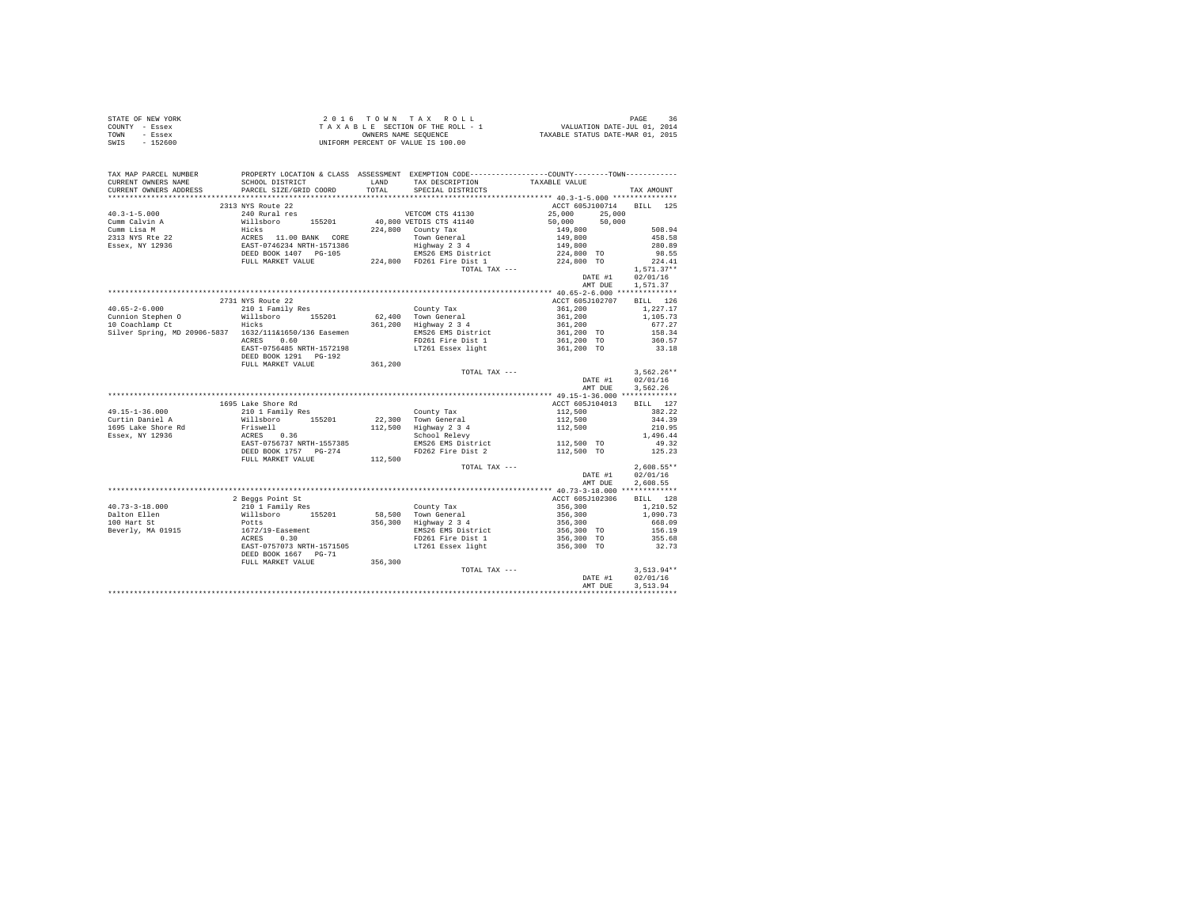| STATE OF NEW YORK                                                                                                                                                                                                                                                                                                                                                                                       |                                                                                                                                                           |               |         |                                      |
|---------------------------------------------------------------------------------------------------------------------------------------------------------------------------------------------------------------------------------------------------------------------------------------------------------------------------------------------------------------------------------------------------------|-----------------------------------------------------------------------------------------------------------------------------------------------------------|---------------|---------|--------------------------------------|
| COUNTY - Essex                                                                                                                                                                                                                                                                                                                                                                                          | 2016 TOWN TAX ROLL 1 PAGE 36<br>TAXABLE SECTION OF THE ROLL - 1 VALUATION DATE-JUL 01, 2014<br>ONNERS NAME SEQUENCE<br>UNIFORM PERCENT OF VALUE IS 100.00 |               |         |                                      |
| TOWN - Essex                                                                                                                                                                                                                                                                                                                                                                                            |                                                                                                                                                           |               |         |                                      |
| SWIS - 152600                                                                                                                                                                                                                                                                                                                                                                                           |                                                                                                                                                           |               |         |                                      |
|                                                                                                                                                                                                                                                                                                                                                                                                         |                                                                                                                                                           |               |         |                                      |
|                                                                                                                                                                                                                                                                                                                                                                                                         |                                                                                                                                                           |               |         |                                      |
|                                                                                                                                                                                                                                                                                                                                                                                                         |                                                                                                                                                           |               |         |                                      |
|                                                                                                                                                                                                                                                                                                                                                                                                         |                                                                                                                                                           |               |         |                                      |
|                                                                                                                                                                                                                                                                                                                                                                                                         |                                                                                                                                                           |               |         |                                      |
|                                                                                                                                                                                                                                                                                                                                                                                                         |                                                                                                                                                           |               |         |                                      |
|                                                                                                                                                                                                                                                                                                                                                                                                         |                                                                                                                                                           |               |         |                                      |
| $\begin{tabular}{l c c c c c} \multicolumn{1}{c c c c} \multicolumn{1}{c c c} \multicolumn{1}{c c c} \multicolumn{1}{c c c} \multicolumn{1}{c c c} \multicolumn{1}{c c c} \multicolumn{1}{c c c} \multicolumn{1}{c c c} \multicolumn{1}{c c c} \multicolumn{1}{c c c} \multicolumn{1}{c c c} \multicolumn{1}{c c c} \multicolumn{1}{c c c} \multicolumn{1}{c c c} \multicolumn{1}{c c c} \multicolumn{$ | 2313 NYS Route 22                                                                                                                                         |               |         | ACCT 605J100714 BILL 125             |
|                                                                                                                                                                                                                                                                                                                                                                                                         |                                                                                                                                                           |               |         |                                      |
|                                                                                                                                                                                                                                                                                                                                                                                                         |                                                                                                                                                           |               |         |                                      |
|                                                                                                                                                                                                                                                                                                                                                                                                         |                                                                                                                                                           |               |         |                                      |
|                                                                                                                                                                                                                                                                                                                                                                                                         |                                                                                                                                                           |               |         |                                      |
|                                                                                                                                                                                                                                                                                                                                                                                                         |                                                                                                                                                           |               |         |                                      |
|                                                                                                                                                                                                                                                                                                                                                                                                         |                                                                                                                                                           |               |         |                                      |
|                                                                                                                                                                                                                                                                                                                                                                                                         |                                                                                                                                                           |               |         |                                      |
|                                                                                                                                                                                                                                                                                                                                                                                                         |                                                                                                                                                           |               |         |                                      |
|                                                                                                                                                                                                                                                                                                                                                                                                         |                                                                                                                                                           |               |         |                                      |
|                                                                                                                                                                                                                                                                                                                                                                                                         |                                                                                                                                                           |               |         | DATE #1 02/01/16<br>AMT DUE 1,571.37 |
|                                                                                                                                                                                                                                                                                                                                                                                                         |                                                                                                                                                           |               |         |                                      |
|                                                                                                                                                                                                                                                                                                                                                                                                         | 2731 NYS Route 22                                                                                                                                         |               |         |                                      |
|                                                                                                                                                                                                                                                                                                                                                                                                         |                                                                                                                                                           |               |         | ACCT 605J102707 BILL 126             |
|                                                                                                                                                                                                                                                                                                                                                                                                         |                                                                                                                                                           |               |         |                                      |
|                                                                                                                                                                                                                                                                                                                                                                                                         |                                                                                                                                                           |               |         |                                      |
|                                                                                                                                                                                                                                                                                                                                                                                                         |                                                                                                                                                           |               |         |                                      |
|                                                                                                                                                                                                                                                                                                                                                                                                         |                                                                                                                                                           |               |         |                                      |
|                                                                                                                                                                                                                                                                                                                                                                                                         |                                                                                                                                                           |               |         |                                      |
|                                                                                                                                                                                                                                                                                                                                                                                                         |                                                                                                                                                           |               |         |                                      |
|                                                                                                                                                                                                                                                                                                                                                                                                         |                                                                                                                                                           |               |         |                                      |
|                                                                                                                                                                                                                                                                                                                                                                                                         |                                                                                                                                                           | TOTAL TAX --- |         |                                      |
|                                                                                                                                                                                                                                                                                                                                                                                                         |                                                                                                                                                           |               |         | $3,562.26**$                         |
|                                                                                                                                                                                                                                                                                                                                                                                                         |                                                                                                                                                           |               |         | DATE #1 02/01/16                     |
|                                                                                                                                                                                                                                                                                                                                                                                                         |                                                                                                                                                           |               |         | AMT DUE 3,562.26                     |
|                                                                                                                                                                                                                                                                                                                                                                                                         |                                                                                                                                                           |               |         |                                      |
|                                                                                                                                                                                                                                                                                                                                                                                                         |                                                                                                                                                           |               |         |                                      |
|                                                                                                                                                                                                                                                                                                                                                                                                         |                                                                                                                                                           |               |         |                                      |
|                                                                                                                                                                                                                                                                                                                                                                                                         |                                                                                                                                                           |               |         |                                      |
|                                                                                                                                                                                                                                                                                                                                                                                                         |                                                                                                                                                           |               |         |                                      |
|                                                                                                                                                                                                                                                                                                                                                                                                         |                                                                                                                                                           |               |         |                                      |
|                                                                                                                                                                                                                                                                                                                                                                                                         |                                                                                                                                                           |               |         |                                      |
|                                                                                                                                                                                                                                                                                                                                                                                                         |                                                                                                                                                           |               |         |                                      |
|                                                                                                                                                                                                                                                                                                                                                                                                         |                                                                                                                                                           |               |         |                                      |
|                                                                                                                                                                                                                                                                                                                                                                                                         |                                                                                                                                                           |               |         |                                      |
|                                                                                                                                                                                                                                                                                                                                                                                                         |                                                                                                                                                           |               |         |                                      |
|                                                                                                                                                                                                                                                                                                                                                                                                         |                                                                                                                                                           |               |         |                                      |
|                                                                                                                                                                                                                                                                                                                                                                                                         |                                                                                                                                                           |               |         | AMT DUE<br>2.608.55                  |
|                                                                                                                                                                                                                                                                                                                                                                                                         |                                                                                                                                                           |               |         |                                      |
|                                                                                                                                                                                                                                                                                                                                                                                                         |                                                                                                                                                           |               |         |                                      |
|                                                                                                                                                                                                                                                                                                                                                                                                         |                                                                                                                                                           |               |         |                                      |
|                                                                                                                                                                                                                                                                                                                                                                                                         |                                                                                                                                                           |               |         |                                      |
|                                                                                                                                                                                                                                                                                                                                                                                                         |                                                                                                                                                           |               |         |                                      |
|                                                                                                                                                                                                                                                                                                                                                                                                         |                                                                                                                                                           |               |         |                                      |
|                                                                                                                                                                                                                                                                                                                                                                                                         |                                                                                                                                                           |               |         |                                      |
|                                                                                                                                                                                                                                                                                                                                                                                                         |                                                                                                                                                           |               |         |                                      |
|                                                                                                                                                                                                                                                                                                                                                                                                         |                                                                                                                                                           |               |         |                                      |
|                                                                                                                                                                                                                                                                                                                                                                                                         |                                                                                                                                                           |               |         |                                      |
| 40.73-3-18.000<br>40.73-3-18.000 - 20000 - 20000 - 20000 - 20000 - 20000 - 20000 - 20000 - 20000 - 20000 - 20000<br>2011 Pamily Res County Tax - 20000 - 20000 - 20000 - 20000 - 20000 - 20000 - 20000 - 20000 - 20000 - 20000 - 2                                                                                                                                                                      |                                                                                                                                                           | TOTAL TAX --- |         | $3.513.94**$                         |
|                                                                                                                                                                                                                                                                                                                                                                                                         |                                                                                                                                                           |               |         | DATE #1 02/01/16                     |
|                                                                                                                                                                                                                                                                                                                                                                                                         |                                                                                                                                                           |               | AMT DUE | 3.513.94                             |
|                                                                                                                                                                                                                                                                                                                                                                                                         |                                                                                                                                                           |               |         | ************                         |
|                                                                                                                                                                                                                                                                                                                                                                                                         |                                                                                                                                                           |               |         |                                      |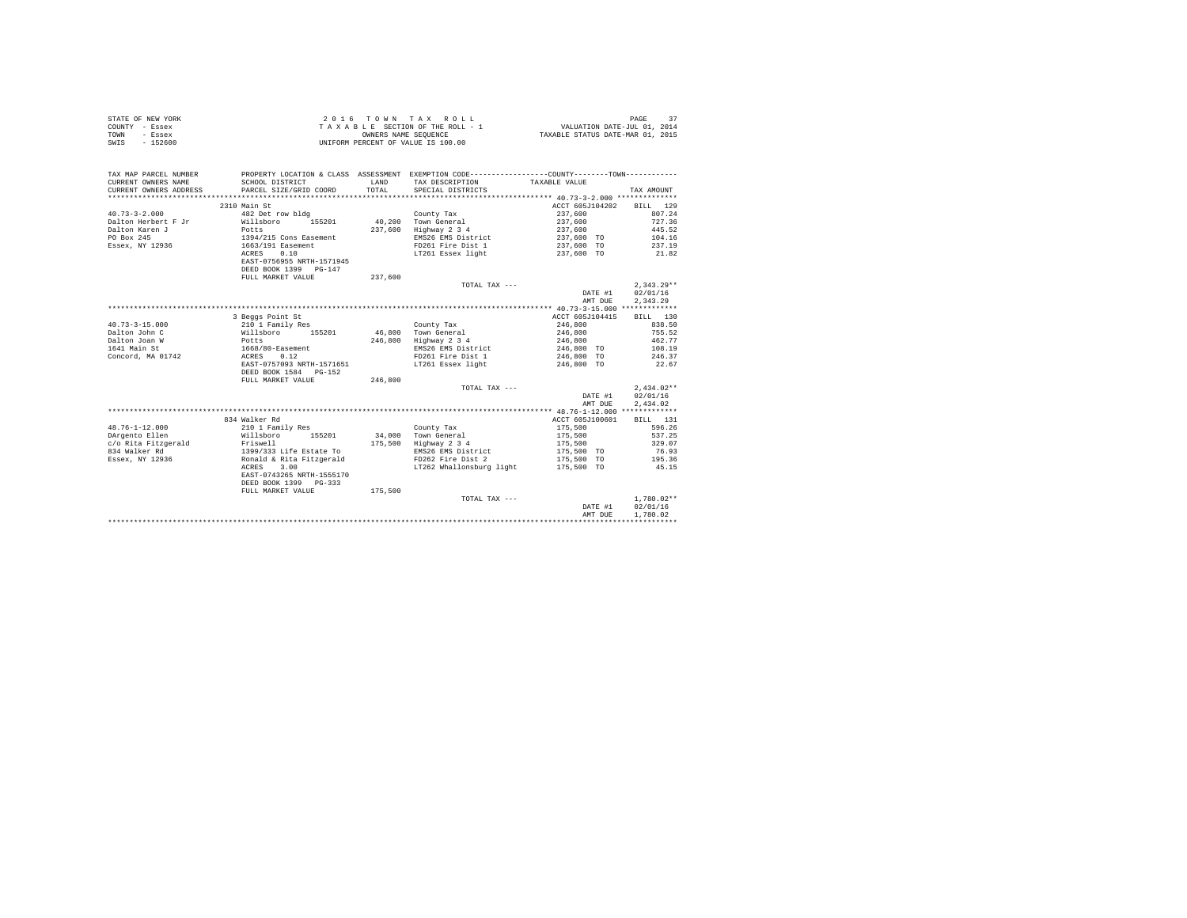| STATE OF NEW YORK | 2016 TOWN TAX ROLL                 | PAGE                             |
|-------------------|------------------------------------|----------------------------------|
| COUNTY - Essex    | TAXABLE SECTION OF THE ROLL - 1    | VALUATION DATE-JUL 01, 2014      |
| TOWN<br>- Essex   | OWNERS NAME SEOUENCE               | TAXABLE STATUS DATE-MAR 01, 2015 |
| $-152600$<br>SWIS | UNIFORM PERCENT OF VALUE IS 100.00 |                                  |

| TAX MAP PARCEL NUMBER<br>CURRENT OWNERS NAME | SCHOOL DISTRICT                                     | LAND    | PROPERTY LOCATION & CLASS ASSESSMENT EXEMPTION CODE----------------COUNTY-------TOWN----------<br>TAX DESCRIPTION | TAXABLE VALUE            |                  |
|----------------------------------------------|-----------------------------------------------------|---------|-------------------------------------------------------------------------------------------------------------------|--------------------------|------------------|
| CURRENT OWNERS ADDRESS                       | PARCEL SIZE/GRID COORD                              | TOTAL.  | SPECIAL DISTRICTS                                                                                                 |                          | TAX AMOUNT       |
|                                              |                                                     |         |                                                                                                                   |                          |                  |
|                                              | 2310 Main St                                        |         |                                                                                                                   | ACCT 605J104202 BILL 129 |                  |
| $40.73 - 3 - 2.000$                          | 482 Det row bldg                                    |         | County Tax                                                                                                        | 237,600                  | 807.24           |
| Dalton Herbert F Jr                          | Willsboro 155201                                    |         | 40.200 Town General                                                                                               | 237,600                  | 727.36           |
| Dalton Karen J                               | Potts                                               | 237,600 | Highway 2 3 4                                                                                                     | 237,600                  | 445.52           |
| PO Box 245                                   | 1394/215 Cons Easement                              |         | EMS26 EMS District                                                                                                | 237,600 TO               | 104.16           |
| Essex, NY 12936                              | 1663/191 Easement                                   |         | FD261 Fire Dist 1                                                                                                 | 237,600 TO               | 237.19           |
|                                              | 0.10<br>ACRES<br>EAST-0756955 NRTH-1571945          |         | LT261 Essex light                                                                                                 | 237,600 TO               | 21.82            |
|                                              | DEED BOOK 1399 PG-147                               |         |                                                                                                                   |                          |                  |
|                                              | FULL MARKET VALUE                                   | 237,600 |                                                                                                                   |                          |                  |
|                                              |                                                     |         | TOTAL TAX ---                                                                                                     |                          | $2.343.29**$     |
|                                              |                                                     |         |                                                                                                                   | DATE #1                  | 02/01/16         |
|                                              |                                                     |         |                                                                                                                   | AMT DUE                  | 2.343.29         |
|                                              |                                                     |         |                                                                                                                   |                          |                  |
|                                              | 3 Beggs Point St                                    |         |                                                                                                                   | ACCT 605J104415          | BILL 130         |
| $40.73 - 3 - 15.000$                         | 210 1 Family Res                                    |         | County Tax                                                                                                        | 246,800                  | 838.50           |
| Dalton John C                                | Willsboro<br>155201                                 | 46,800  | Town General                                                                                                      | 246,800                  | 755.52           |
| Dalton Joan W                                | Potts                                               |         | 246,800 Highway 2 3 4                                                                                             | 246,800                  | 462.77           |
| 1641 Main St                                 | 1668/80-Easement                                    |         | EMS26 EMS District                                                                                                | 246,800 TO               | 108.19           |
| Concord, MA 01742                            | 0.12<br>ACRES                                       |         | FD261 Fire Dist 1                                                                                                 | 246,800 TO               | 246.37           |
|                                              | EAST-0757093 NRTH-1571651<br>DEED BOOK 1584 PG-152  |         | LT261 Essex light                                                                                                 | 246,800 TO               | 22.67            |
|                                              | FULL MARKET VALUE                                   | 246,800 |                                                                                                                   |                          |                  |
|                                              |                                                     |         | TOTAL TAX ---                                                                                                     |                          | $2.434.02**$     |
|                                              |                                                     |         |                                                                                                                   | DATE #1                  | 02/01/16         |
|                                              |                                                     |         |                                                                                                                   | AMT DUE                  | 2,434.02         |
|                                              |                                                     |         |                                                                                                                   |                          |                  |
|                                              | 834 Walker Rd                                       |         |                                                                                                                   | ACCT 605J100601          | BILL 131         |
| $48.76 - 1 - 12.000$<br>DArgento Ellen       | 210 1 Family Res                                    |         | County Tax<br>34.000 Town General                                                                                 | 175,500<br>175,500       | 596.26<br>537.25 |
| c/o Rita Fitzgerald Friswell                 | Willsboro<br>155201                                 |         |                                                                                                                   |                          |                  |
|                                              |                                                     | 175,500 | Highway 2 3 4                                                                                                     | 175,500                  | 329.07           |
| 834 Walker Rd                                | 1399/333 Life Estate To<br>Ronald & Rita Fitzgerald |         | EMS26 EMS District<br>FD262 Fire Dist 2                                                                           | 175,500 TO<br>175,500 TO | 76.93<br>195.36  |
| Essex, NY 12936                              | ACRES<br>3.00                                       |         | LT262 Whallonsburg light 175,500 TO                                                                               |                          | 45.15            |
|                                              | EAST-0743265 NRTH-1555170                           |         |                                                                                                                   |                          |                  |
|                                              | DEED BOOK 1399 PG-333                               |         |                                                                                                                   |                          |                  |
|                                              | FULL MARKET VALUE                                   | 175,500 |                                                                                                                   |                          |                  |
|                                              |                                                     |         | TOTAL TAX ---                                                                                                     |                          | $1.780.02**$     |
|                                              |                                                     |         |                                                                                                                   | DATE #1                  | 02/01/16         |
|                                              |                                                     |         |                                                                                                                   | AMT DUE                  | 1,780.02         |
|                                              |                                                     |         |                                                                                                                   |                          |                  |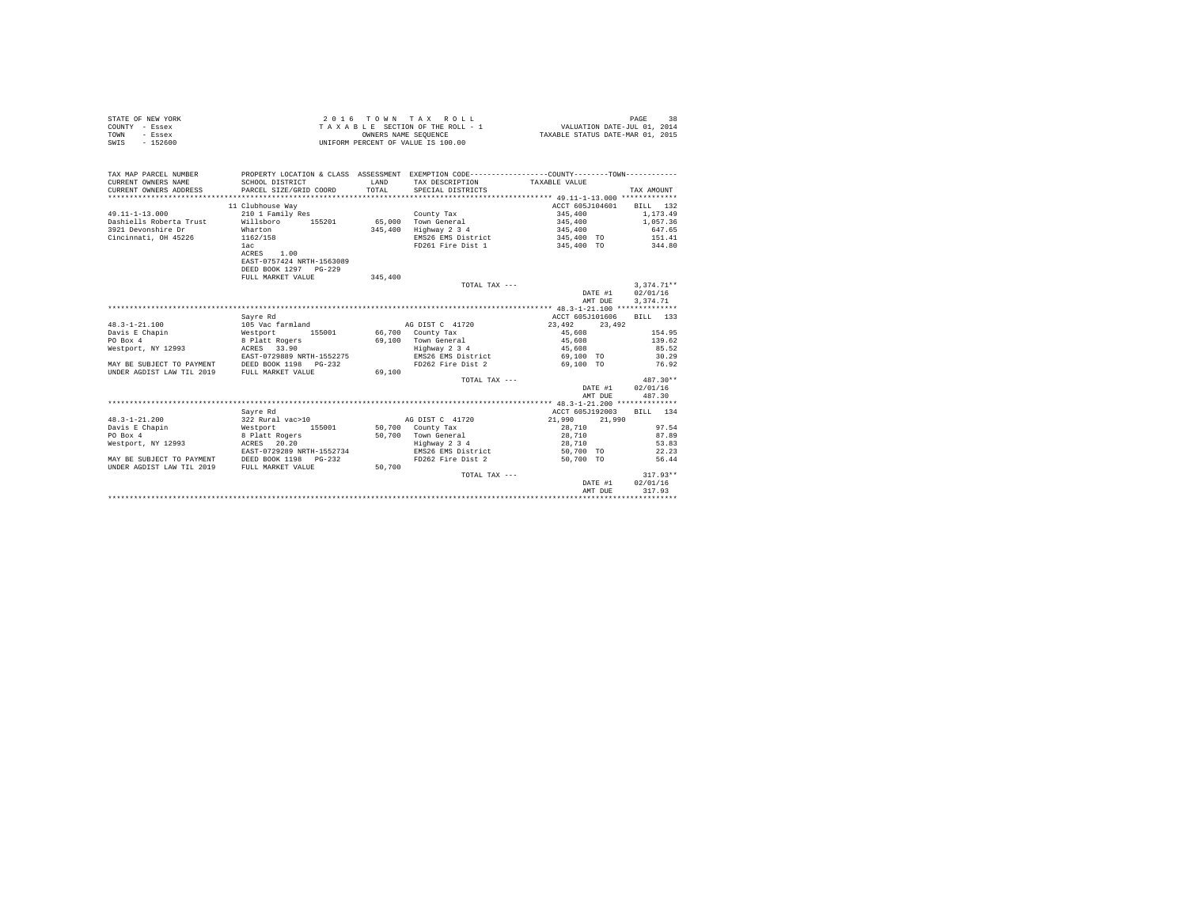| STATE OF NEW YORK | 2016 TOWN TAX ROLL                 | 38<br>PAGE                       |
|-------------------|------------------------------------|----------------------------------|
| COUNTY - Essex    | TAXABLE SECTION OF THE ROLL - 1    | VALUATION DATE-JUL 01, 2014      |
| TOWN<br>- Essex   | OWNERS NAME SEOUENCE               | TAXABLE STATUS DATE-MAR 01, 2015 |
| SWIS<br>$-152600$ | UNIFORM PERCENT OF VALUE IS 100.00 |                                  |

| TAX MAP PARCEL NUMBER<br>CURRENT OWNERS NAME<br>CURRENT OWNERS ADDRESS               | SCHOOL DISTRICT<br>PARCEL SIZE/GRID COORD               | LAND<br>TOTAL | PROPERTY LOCATION & CLASS ASSESSMENT EXEMPTION CODE----------------COUNTY--------TOWN----------<br>TAX DESCRIPTION<br>SPECIAL DISTRICTS | TAXABLE VALUE          | TAX AMOUNT     |
|--------------------------------------------------------------------------------------|---------------------------------------------------------|---------------|-----------------------------------------------------------------------------------------------------------------------------------------|------------------------|----------------|
|                                                                                      | 11 Clubhouse Way                                        |               |                                                                                                                                         | ACCT 605J104601        | BILL 132       |
| $49.11 - 1 - 13.000$                                                                 | 210 1 Family Res                                        |               | County Tax                                                                                                                              | 345,400                | 1,173.49       |
| Dashiells Roberta Trust                                                              | Willsboro<br>155201                                     |               | 65,000 Town General                                                                                                                     | 345,400                | 1,057.36       |
| 3921 Devonshire Dr                                                                   | Wharton                                                 | 345,400       | Highway 2 3 4                                                                                                                           | 345,400                | 647.65         |
| Cincinnati, OH 45226                                                                 | 1162/158                                                |               | EMS26 EMS District                                                                                                                      | 345,400 TO             | 151.41         |
|                                                                                      | 1ac                                                     |               | FD261 Fire Dist 1                                                                                                                       | 345,400 TO 344.80      |                |
|                                                                                      | ACRES 1.00                                              |               |                                                                                                                                         |                        |                |
|                                                                                      | EAST-0757424 NRTH-1563089                               |               |                                                                                                                                         |                        |                |
|                                                                                      | DEED BOOK 1297 PG-229                                   |               |                                                                                                                                         |                        |                |
|                                                                                      | FULL MARKET VALUE                                       | 345,400       |                                                                                                                                         |                        |                |
|                                                                                      |                                                         |               | TOTAL TAX ---                                                                                                                           |                        | $3.374.71**$   |
|                                                                                      |                                                         |               |                                                                                                                                         | DATE #1                | 02/01/16       |
|                                                                                      |                                                         |               |                                                                                                                                         | AMT DUE                | 3.374.71       |
|                                                                                      |                                                         |               |                                                                                                                                         |                        |                |
|                                                                                      | Savre Rd                                                |               |                                                                                                                                         | ACCT 605J101606        | BILL 133       |
| $48.3 - 1 - 21.100$                                                                  | 105 Vac farmland                                        |               | AG DIST C 41720                                                                                                                         | 23,492<br>23,492       |                |
| Davis E Chapin                                                                       | 155001<br>Westport 155001<br>8 Platt Rogers             |               | 66,700 County Tax                                                                                                                       | 45,608                 | 154.95         |
| PO Box 4                                                                             |                                                         | 69,100        | Town General                                                                                                                            | 45,608                 | 139.62         |
| Westport, NY 12993                                                                   | ACRES 33.90                                             |               | Highway 2 3 4                                                                                                                           | 45,608                 | 85.52          |
|                                                                                      | EAST-0729889 NRTH-1552275                               |               | EMS26 EMS District                                                                                                                      | 69,100 TO              | 30.29          |
| MAY BE SUBJECT TO PAYMENT DEED BOOK 1198 INDER AGDIST LAW TIL 2019 FULL MARKET VALUE | $PG-232$                                                |               | FD262 Fire Dist 2                                                                                                                       | 69,100 TO              | 76.92          |
|                                                                                      |                                                         | 69,100        |                                                                                                                                         |                        |                |
|                                                                                      |                                                         |               | TOTAL TAX ---                                                                                                                           |                        | $487.30**$     |
|                                                                                      |                                                         |               |                                                                                                                                         | DATE #1                | 02/01/16       |
|                                                                                      |                                                         |               |                                                                                                                                         | AMT DUE                | 487.30         |
|                                                                                      |                                                         |               |                                                                                                                                         |                        |                |
|                                                                                      | Sayre Rd                                                |               |                                                                                                                                         | ACCT 605J192003        | BILL 134       |
| $48.3 - 1 - 21.200$                                                                  | 322 Rural vac>10                                        |               | AG DIST C 41720                                                                                                                         | 21,990<br>21,990       |                |
| Davis E Chapin                                                                       | Westport 155001                                         |               | 50,700 County Tax                                                                                                                       | 28,710                 | 97.54          |
| PO Box 4                                                                             | 8 Platt Rogers                                          |               | 50.700 Town General                                                                                                                     | 28,710                 | 87.89          |
| Westport, NY 12993                                                                   | ACRES 20.20                                             |               | Highway 2 3 4                                                                                                                           | 28,710                 | 53.83          |
| MAY BE SUBJECT TO PAYMENT                                                            | EAST-0729289 NRTH-1552734<br>DEED BOOK 1198<br>$PG-232$ |               | EMS26 EMS District<br>FD262 Fire Dist 2                                                                                                 | 50.700 TO<br>50,700 TO | 22.23<br>56.44 |
| UNDER AGDIST LAW TIL 2019                                                            | FULL MARKET VALUE                                       | 50,700        |                                                                                                                                         |                        |                |
|                                                                                      |                                                         |               | TOTAL TAX ---                                                                                                                           |                        | $317.93**$     |
|                                                                                      |                                                         |               |                                                                                                                                         | DATE #1                | 02/01/16       |
|                                                                                      |                                                         |               |                                                                                                                                         | AMT DUE                | 317.93         |
|                                                                                      |                                                         |               |                                                                                                                                         |                        |                |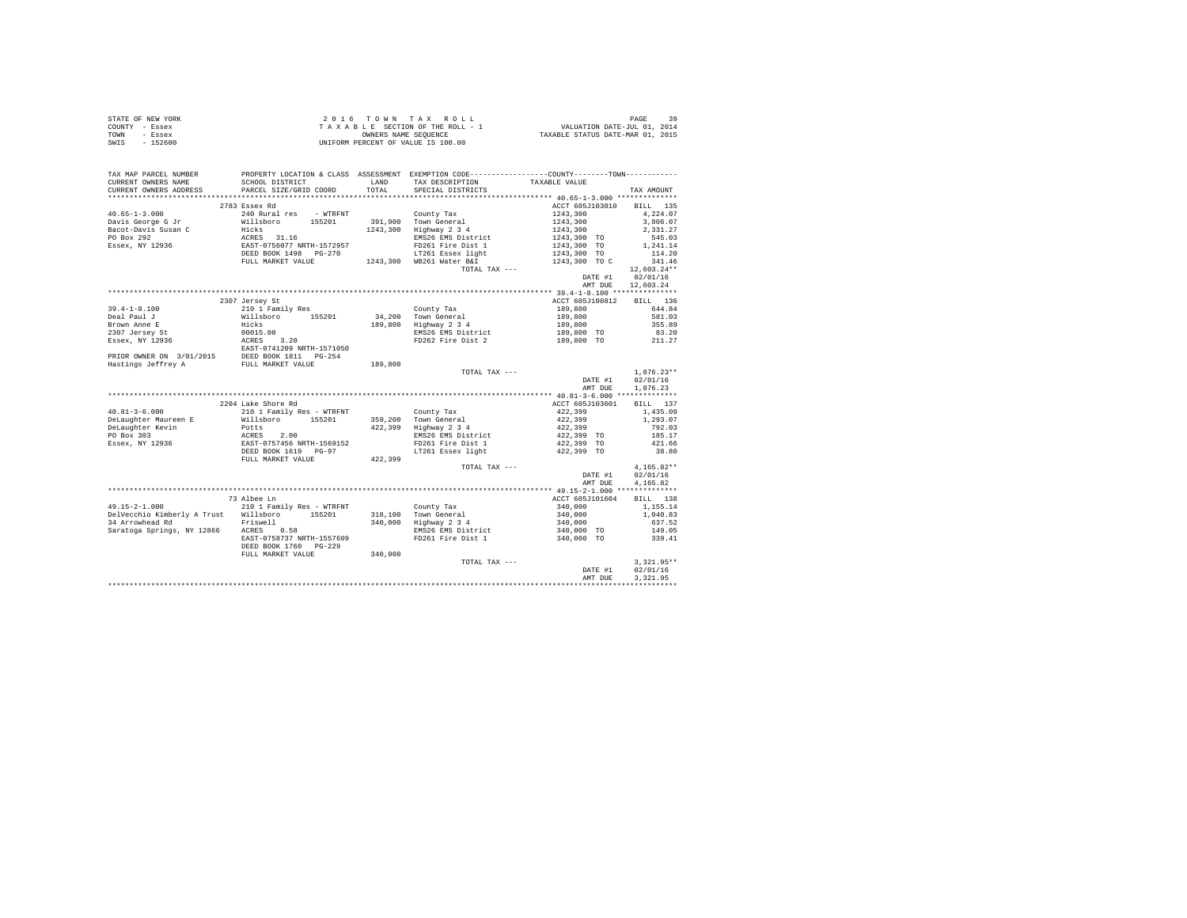|                | STATE OF NEW YORK | 2016 TOWN TAX ROLL                 | 39<br>PAGE                       |
|----------------|-------------------|------------------------------------|----------------------------------|
| COUNTY - Essex |                   | TAXABLE SECTION OF THE ROLL - 1    | VALUATION DATE-JUL 01, 2014      |
| TOWN           | - Essex           | OWNERS NAME SEOUENCE               | TAXABLE STATUS DATE-MAR 01, 2015 |
| SWIS           | $-152600$         | UNIFORM PERCENT OF VALUE IS 100.00 |                                  |

| TAX MAP PARCEL NUMBER<br>CURRENT OWNERS NAME                     | SCHOOL DISTRICT                                                            | LAND    | PROPERTY LOCATION & CLASS ASSESSMENT EXEMPTION CODE---------------COUNTY-------TOWN---------<br>TAX DESCRIPTION | TAXABLE VALUE                       |               |
|------------------------------------------------------------------|----------------------------------------------------------------------------|---------|-----------------------------------------------------------------------------------------------------------------|-------------------------------------|---------------|
| CURRENT OWNERS ADDRESS                                           | PARCEL SIZE/GRID COORD                                                     | TOTAL   | SPECIAL DISTRICTS                                                                                               |                                     | TAX AMOUNT    |
|                                                                  |                                                                            |         |                                                                                                                 |                                     |               |
|                                                                  | 2783 Essex Rd                                                              |         |                                                                                                                 | ACCT 605J103010 BILL 135            |               |
| $40.65 - 1 - 3.000$                                              | 240 Rural res - WTRFNT                                                     |         | County Tax                                                                                                      | 1243,300<br>1243,300                | 4,224.07      |
| Davis George G Jr                                                | willsboro 155201 391,900 Town General                                      |         |                                                                                                                 |                                     | 3,806.07      |
| Bacot-Davis Susan C                                              | Hicks<br>ACRES 31.16<br>EAST-0756077 NRTH-1572957<br>DEED BOOK 1498 PG-270 |         | 1243,300 Highway 2 3 4                                                                                          | 1243,300                            | 2.331.27      |
| PO Box 292                                                       |                                                                            |         | EMS26 EMS District                                                                                              | 1243,300 TO<br>1243,300 TO          | 545.03        |
| Essex, NY 12936                                                  |                                                                            |         | FD261 Fire Dist 1                                                                                               |                                     | 1,241.14      |
|                                                                  |                                                                            |         | LT261 Essex light                                                                                               | $1243,300$ TO<br>$1243,300$ TO      | 114.20        |
|                                                                  | FULL MARKET VALUE                                                          |         | 1243,300 WB261 Water B&I                                                                                        |                                     | 341.46        |
|                                                                  |                                                                            |         | TOTAL TAX ---                                                                                                   |                                     | $12,603.24**$ |
|                                                                  |                                                                            |         |                                                                                                                 | DATE #1                             | 02/01/16      |
|                                                                  |                                                                            |         |                                                                                                                 | AMT DUE                             | 12,603.24     |
|                                                                  |                                                                            |         |                                                                                                                 |                                     |               |
|                                                                  | 2307 Jersey St                                                             |         |                                                                                                                 | ACCT 605J100812                     | BILL 136      |
| $39.4 - 1 - 8.100$                                               | 210 1 Family Res                                                           |         | County Tax                                                                                                      | $189,800$<br>$189,800$<br>$189,800$ | 644.84        |
| Deal Paul J                                                      | Willsboro 155201<br>Hicks                                                  |         | $34,200$ Town General                                                                                           |                                     | 581.03        |
| Brown Anne E                                                     |                                                                            |         | 189,800 Highway 2 3 4                                                                                           |                                     | 355.89        |
|                                                                  |                                                                            |         | EMS26 EMS District<br>FD262 Fire Dist 2                                                                         | 189,800 TO<br>189,800 TO            | 83.20         |
| 2307 Jersey St<br>Essex, NY 12936                                |                                                                            |         |                                                                                                                 |                                     | 211.27        |
|                                                                  | <br>00015.00<br>ACRES 3.20<br>EAST-0741209 NRTH-1571050                    |         |                                                                                                                 |                                     |               |
|                                                                  |                                                                            |         |                                                                                                                 |                                     |               |
| PRIOR OWNER ON 3/01/2015<br>Hastings Jeffrey A FULL MARKET VALUE |                                                                            | 189,800 |                                                                                                                 |                                     |               |
|                                                                  |                                                                            |         | TOTAL TAX ---                                                                                                   |                                     | $1,876.23**$  |
|                                                                  |                                                                            |         |                                                                                                                 | DATE #1                             | 02/01/16      |
|                                                                  |                                                                            |         |                                                                                                                 | AMT DUE                             | 1,876.23      |
|                                                                  |                                                                            |         |                                                                                                                 |                                     |               |
|                                                                  | 2204 Lake Shore Rd                                                         |         |                                                                                                                 | ACCT 605J103601                     | BILL 137      |
| $40.81 - 3 - 6.000$                                              | 210 1 Family Res - WTRFNT                                                  |         | County Tax                                                                                                      | 422,399<br>422,399                  | 1,435.09      |
| DeLaughter Maureen E                                             | Willsboro 155201                                                           |         | 359.200 Town General                                                                                            |                                     | 1,293.07      |
| DeLaughter Kevin                                                 | Potts                                                                      |         | 422,399 Highway 2 3 4                                                                                           | 422,399                             | 792.03        |
| PO Box 303                                                       |                                                                            |         | EMS26 EMS District                                                                                              | 422,399 TO                          | 185.17        |
| Essex, NY 12936                                                  |                                                                            |         | FD261 Fire Dist 1                                                                                               | 422,399 TO                          | 421.66        |
|                                                                  | POLLS<br>ACRES 2.00<br>EAST-0757456 NRTH-1569152<br>DEED BOOK 1619 PG-97   |         | LT261 Essex light 422,399 TO                                                                                    |                                     | 38.80         |
|                                                                  | FULL MARKET VALUE                                                          | 422,399 |                                                                                                                 |                                     |               |
|                                                                  |                                                                            |         | TOTAL TAX ---                                                                                                   |                                     | $4,165.82**$  |
|                                                                  |                                                                            |         |                                                                                                                 | DATE #1                             | 02/01/16      |
|                                                                  |                                                                            |         |                                                                                                                 | AMT DUE                             | 4.165.82      |
|                                                                  |                                                                            |         |                                                                                                                 |                                     |               |
|                                                                  | 73 Albee Ln                                                                |         |                                                                                                                 | ACCT 605J101604 BILL 138            |               |
| $49.15 - 2 - 1.000$                                              | 210 1 Family Res - WTRFNT                                                  |         |                                                                                                                 |                                     | 1,155.14      |
| DelVecchio Kimberly A Trust Willsboro 155201                     |                                                                            |         | County Tax<br>318,100 Town General<br>340,000 Highway 2 3 4                                                     | 340,000<br>340,000<br>340,000       | 1,040.83      |
| Friswell                                                         |                                                                            |         |                                                                                                                 |                                     | 637.52        |
|                                                                  |                                                                            |         | EMS26 EMS District                                                                                              | 340,000 TO                          | 149.05        |
| riswell Saratoga Springs, NY 12866 ACRES 0.58                    |                                                                            |         |                                                                                                                 |                                     |               |
|                                                                  | EAST-0758737 NRTH-1557609                                                  |         | FD261 Fire Dist 1                                                                                               | 340,000 TO                          | 339.41        |
|                                                                  | DEED BOOK 1760 PG-229                                                      | 340,000 |                                                                                                                 |                                     |               |
|                                                                  | FULL MARKET VALUE                                                          |         |                                                                                                                 |                                     |               |
|                                                                  |                                                                            |         | TOTAL TAX ---                                                                                                   |                                     | $3,321.95**$  |
|                                                                  |                                                                            |         |                                                                                                                 | DATE #1                             | 02/01/16      |
|                                                                  |                                                                            |         |                                                                                                                 | AMT DUE                             | 3.321.95      |
|                                                                  |                                                                            |         |                                                                                                                 |                                     |               |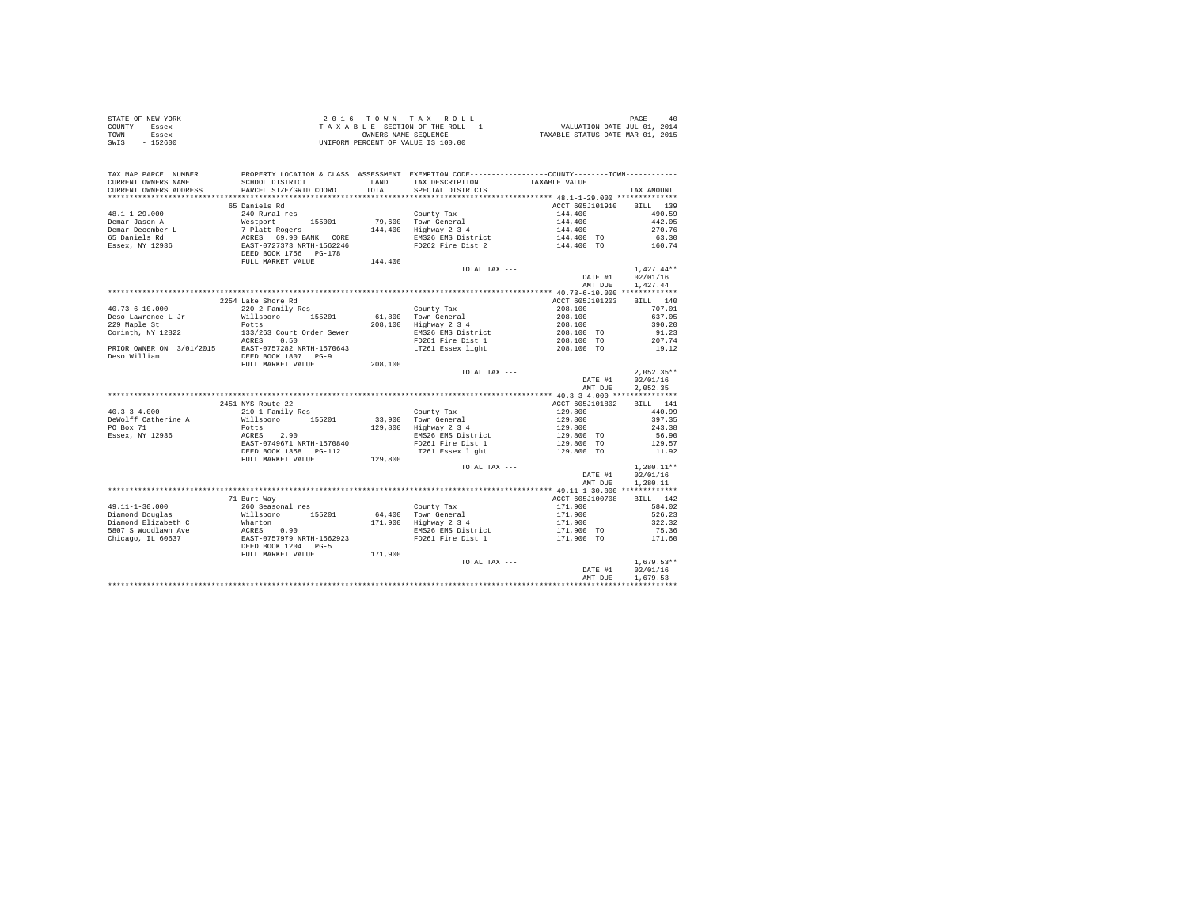| STATE OF NEW YORK | 2016 TOWN TAX ROLL                 | PAGE<br>40                       |
|-------------------|------------------------------------|----------------------------------|
| COUNTY - Essex    | TAXABLE SECTION OF THE ROLL - 1    | VALUATION DATE-JUL 01, 2014      |
| TOWN<br>- Essex   | OWNERS NAME SEOUENCE               | TAXABLE STATUS DATE-MAR 01, 2015 |
| SWIS<br>- 152600  | UNIFORM PERCENT OF VALUE IS 100.00 |                                  |

| TAX MAP PARCEL NUMBER<br>CURRENT OWNERS NAME<br>CURRENT OWNERS ADDRESS | PROPERTY LOCATION & CLASS ASSESSMENT EXEMPTION CODE----------------COUNTY-------TOWN----------<br>SCHOOL DISTRICT<br>PARCEL SIZE/GRID COORD                                                                                                                                                                                                                                              | LAND<br>TOTAL. | TAX DESCRIPTION<br>SPECIAL DISTRICTS                       | TAXABLE VALUE                                                                                   | TAX AMOUNT                           |
|------------------------------------------------------------------------|------------------------------------------------------------------------------------------------------------------------------------------------------------------------------------------------------------------------------------------------------------------------------------------------------------------------------------------------------------------------------------------|----------------|------------------------------------------------------------|-------------------------------------------------------------------------------------------------|--------------------------------------|
| *************************                                              |                                                                                                                                                                                                                                                                                                                                                                                          |                |                                                            |                                                                                                 |                                      |
| $48.1 - 1 - 29.000$<br>Demar Jason A                                   | 65 Daniels Rd<br>240 Rural res                                                                                                                                                                                                                                                                                                                                                           |                | County Tax<br>79,600 Town General<br>144,400 Highway 2 3 4 | ACCT 605J101910 BILL 139<br>$144,400$<br>$144,400$<br>$144,400$<br>$144,400$ TO<br>$144,400$ TO | 490.59<br>442.05                     |
| Demar December L                                                       |                                                                                                                                                                                                                                                                                                                                                                                          |                |                                                            |                                                                                                 | 270.76                               |
| 65 Daniels Rd                                                          |                                                                                                                                                                                                                                                                                                                                                                                          |                | EMS26 EMS District                                         |                                                                                                 | 63.30                                |
| Essex, NY 12936                                                        | % Mestport 155001 79,600<br>7 Platt Rogers 144,400<br>2 ACRES 69.90 BANK CORE<br>2 EAST-0727373 NRTH-1562246                                                                                                                                                                                                                                                                             |                | FD262 Fire Dist 2                                          |                                                                                                 | 160.74                               |
|                                                                        | DEED BOOK 1756 PG-178<br>FULL MARKET VALUE                                                                                                                                                                                                                                                                                                                                               | 144,400        |                                                            |                                                                                                 |                                      |
|                                                                        |                                                                                                                                                                                                                                                                                                                                                                                          |                | TOTAL TAX ---                                              |                                                                                                 | $1.427.44**$                         |
|                                                                        |                                                                                                                                                                                                                                                                                                                                                                                          |                |                                                            | DATE #1                                                                                         | 02/01/16                             |
|                                                                        |                                                                                                                                                                                                                                                                                                                                                                                          |                |                                                            | AMT DUE                                                                                         | 1,427.44                             |
|                                                                        |                                                                                                                                                                                                                                                                                                                                                                                          |                |                                                            |                                                                                                 |                                      |
|                                                                        | 2254 Lake Shore Rd                                                                                                                                                                                                                                                                                                                                                                       |                |                                                            | ACCT 605J101203                                                                                 | BILL 140                             |
| $40.73 - 6 - 10.000$                                                   | 220 2 Family Res                                                                                                                                                                                                                                                                                                                                                                         |                | County Tax                                                 | 208,100                                                                                         | 707.01                               |
| Deso Lawrence L Jr                                                     | Willsboro 155201                                                                                                                                                                                                                                                                                                                                                                         |                | $61,800$ Town General                                      |                                                                                                 | 637.05                               |
| 229 Maple St                                                           | Potts                                                                                                                                                                                                                                                                                                                                                                                    |                | 208,100 Highway 2 3 4                                      |                                                                                                 | 390.20                               |
|                                                                        |                                                                                                                                                                                                                                                                                                                                                                                          |                | EMS26 EMS District<br>FD261 Fire Dist 1                    |                                                                                                 | 91.23                                |
|                                                                        |                                                                                                                                                                                                                                                                                                                                                                                          |                |                                                            | $208,100$<br>$208,100$<br>$208,100$ TO<br>$208,100$ TO                                          | 207.74                               |
|                                                                        | $\begin{tabular}{lllllllll} \textbf{2.4} & \textbf{2.5} & \textbf{2.6} & \textbf{2.6} & \textbf{2.6} \\ \textbf{7.6} & \textbf{13.7} & \textbf{2.6} & \textbf{2.6} & \textbf{2.6} & \textbf{2.6} \\ \textbf{7.6} & \textbf{13.7} & \textbf{2.8} & \textbf{2.7} & \textbf{2.7} & \textbf{2.8} & \textbf{2.7} \\ \textbf{8.7} & \textbf{13.7} & \textbf{2.7} & \textbf{2.8} & \textbf{2.8$ |                | LT261 Essex light                                          | 208,100 TO                                                                                      | 19.12                                |
|                                                                        | FULL MARKET VALUE                                                                                                                                                                                                                                                                                                                                                                        | 208,100        |                                                            |                                                                                                 |                                      |
|                                                                        |                                                                                                                                                                                                                                                                                                                                                                                          |                | TOTAL TAX ---                                              |                                                                                                 | $2,052.35**$                         |
|                                                                        |                                                                                                                                                                                                                                                                                                                                                                                          |                |                                                            | DATE #1                                                                                         | 02/01/16                             |
|                                                                        |                                                                                                                                                                                                                                                                                                                                                                                          |                |                                                            | AMT DUE                                                                                         | 2.052.35                             |
|                                                                        | 2451 NYS Route 22                                                                                                                                                                                                                                                                                                                                                                        |                |                                                            | ACCT 605J101802                                                                                 | BILL 141                             |
| $40.3 - 3 - 4.000$                                                     | 210 1 Family Res                                                                                                                                                                                                                                                                                                                                                                         |                | County Tax                                                 |                                                                                                 | 440.99                               |
| DeWolff Catherine A                                                    | Willsboro 155201                                                                                                                                                                                                                                                                                                                                                                         |                | 33,900 Town General                                        | 129,800<br>129,800                                                                              | 397.35                               |
| PO Box 71                                                              | Potts                                                                                                                                                                                                                                                                                                                                                                                    |                | 129,800 Highway 2 3 4                                      |                                                                                                 | 243.38                               |
| Essex, NY 12936                                                        |                                                                                                                                                                                                                                                                                                                                                                                          |                | EMS26 EMS District                                         | 129,800<br>129,800 TO                                                                           | 56.90                                |
|                                                                        | -----<br>ACRES 2.90<br>EAST-0749671 NRTH-1570840                                                                                                                                                                                                                                                                                                                                         |                | FD261 Fire Dist 1                                          | 129,800 TO                                                                                      | 129.57                               |
|                                                                        |                                                                                                                                                                                                                                                                                                                                                                                          |                | LT261 Essex light 129,800 TO                               |                                                                                                 | 11.92                                |
|                                                                        | FULL MARKET VALUE                                                                                                                                                                                                                                                                                                                                                                        | 129,800        |                                                            |                                                                                                 |                                      |
|                                                                        |                                                                                                                                                                                                                                                                                                                                                                                          |                | TOTAL TAX ---                                              | DATE #1<br>AMT DUE                                                                              | $1,280.11**$<br>02/01/16<br>1,280.11 |
|                                                                        |                                                                                                                                                                                                                                                                                                                                                                                          |                |                                                            |                                                                                                 |                                      |
|                                                                        | 71 Burt Way                                                                                                                                                                                                                                                                                                                                                                              |                |                                                            | ACCT 605J100708                                                                                 | BILL 142                             |
| $49.11 - 1 - 30.000$                                                   |                                                                                                                                                                                                                                                                                                                                                                                          |                | County Tax<br>64,400 Town General                          |                                                                                                 | 584.02                               |
| Diamond Douglas<br>Diamond Elizabeth C                                 |                                                                                                                                                                                                                                                                                                                                                                                          |                | 171,900 Highway 2 3 4                                      |                                                                                                 | 526.23<br>322.32                     |
| 5807 S Woodlawn Ave                                                    |                                                                                                                                                                                                                                                                                                                                                                                          |                | EMS26 EMS District                                         | $171,900$<br>$171,900$<br>$171,900$<br>$171,900$<br>$171,900$ TO<br>$171,900$                   | 75.36                                |
| Chicago, IL 60637                                                      |                                                                                                                                                                                                                                                                                                                                                                                          |                | FD261 Fire Dist 1                                          | 171,900 TO                                                                                      | 171.60                               |
|                                                                        | % and Cassonal res<br>Willsboro 155201<br>Wharton 155201<br>Maarton 2019<br>EAST-0757979 NRTH-1562923<br>DEED BOOK 1204 PG-5                                                                                                                                                                                                                                                             | 171,900        |                                                            |                                                                                                 |                                      |
|                                                                        | FULL MARKET VALUE                                                                                                                                                                                                                                                                                                                                                                        |                | TOTAL TAX ---                                              |                                                                                                 |                                      |
|                                                                        |                                                                                                                                                                                                                                                                                                                                                                                          |                |                                                            | DATE #1                                                                                         | $1,679.53**$<br>02/01/16             |
|                                                                        |                                                                                                                                                                                                                                                                                                                                                                                          |                |                                                            | AMT DUE                                                                                         | 1,679.53                             |
|                                                                        |                                                                                                                                                                                                                                                                                                                                                                                          |                |                                                            |                                                                                                 |                                      |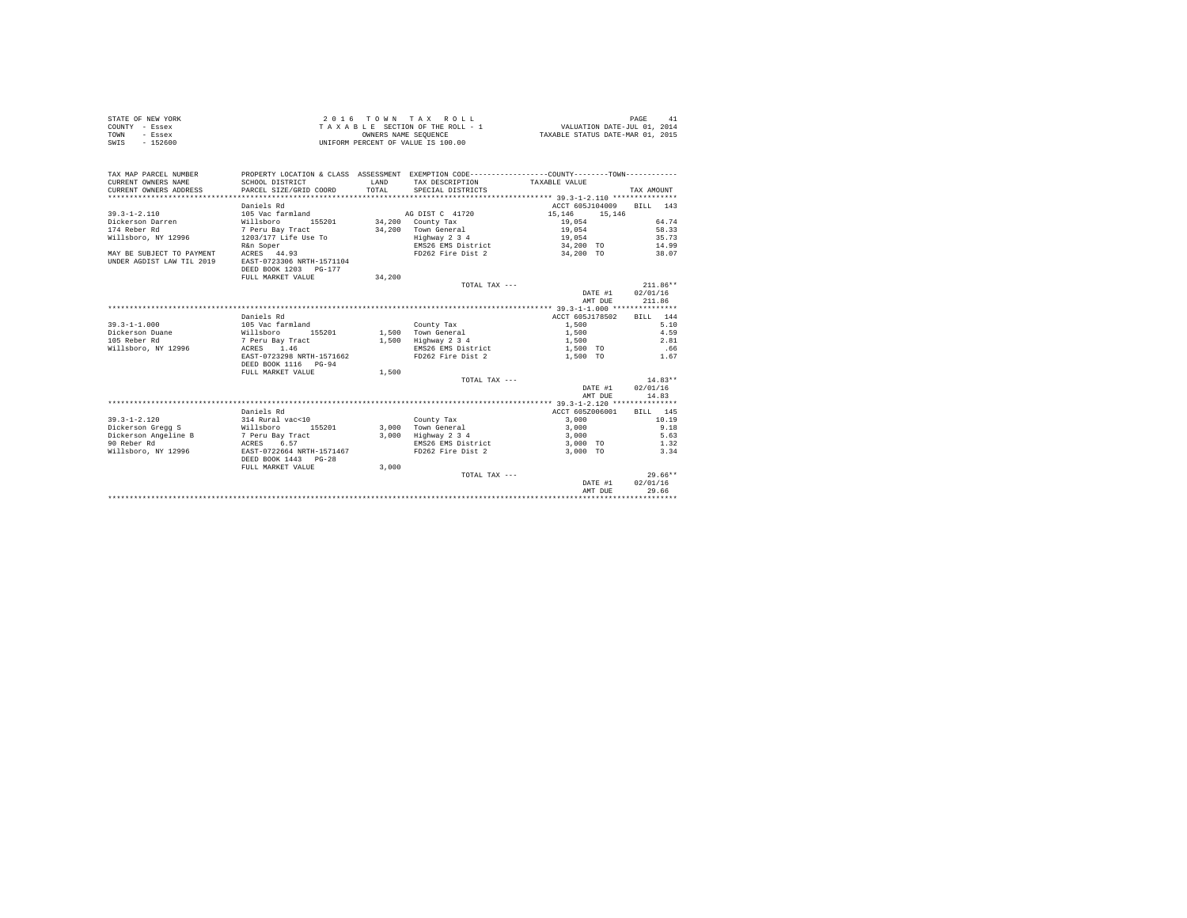|                | STATE OF NEW YORK | 2016 TOWN TAX ROLL                 | PAGE                             |
|----------------|-------------------|------------------------------------|----------------------------------|
| COUNTY - Essex |                   | TAXABLE SECTION OF THE ROLL - 1    | VALUATION DATE-JUL 01, 2014      |
| TOWN           | - Essex           | OWNERS NAME SEOUENCE               | TAXABLE STATUS DATE-MAR 01, 2015 |
| SWIS           | - 152600          | UNIFORM PERCENT OF VALUE IS 100.00 |                                  |

| TAX MAP PARCEL NUMBER<br>CURRENT OWNERS NAME<br>CURRENT OWNERS ADDRESS | SCHOOL DISTRICT<br>PARCEL SIZE/GRID COORD | LAND<br>TOTAL | PROPERTY LOCATION & CLASS ASSESSMENT EXEMPTION CODE----------------COUNTY--------TOWN----------<br>TAX DESCRIPTION<br>SPECIAL DISTRICTS | TAXABLE VALUE    | TAX AMOUNT  |
|------------------------------------------------------------------------|-------------------------------------------|---------------|-----------------------------------------------------------------------------------------------------------------------------------------|------------------|-------------|
|                                                                        | Daniels Rd                                |               |                                                                                                                                         | ACCT 605J104009  | BILL<br>143 |
| $39.3 - 1 - 2.110$                                                     | 105 Vac farmland                          |               | AG DIST C 41720                                                                                                                         | 15,146<br>15,146 |             |
| Dickerson Darren                                                       | Willsboro<br>155201                       |               | $34,200$ County Tax                                                                                                                     | 19.054           | 64.74       |
| 174 Reber Rd                                                           | 7 Peru Bay Tract                          |               | 34.200 Town General                                                                                                                     | 19,054           | 58.33       |
| Willsboro, NY 12996                                                    | 1203/177 Life Use To                      |               | Highway 2 3 4                                                                                                                           | 19,054           | 35.73       |
|                                                                        | R&n Soper                                 |               | EMS26 EMS District 34,200 TO                                                                                                            |                  | 14.99       |
| MAY BE SUBJECT TO PAYMENT                                              | ACRES 44.93                               |               | FD262 Fire Dist 2 34,200 TO                                                                                                             |                  | 38.07       |
| UNDER AGDIST LAW TIL 2019                                              | EAST-0723306 NRTH-1571104                 |               |                                                                                                                                         |                  |             |
|                                                                        | DEED BOOK 1203 PG-177                     |               |                                                                                                                                         |                  |             |
|                                                                        | FULL MARKET VALUE                         | 34,200        |                                                                                                                                         |                  |             |
|                                                                        |                                           |               | TOTAL TAX ---                                                                                                                           |                  | $211.86**$  |
|                                                                        |                                           |               |                                                                                                                                         | DATE #1          | 02/01/16    |
|                                                                        |                                           |               |                                                                                                                                         | AMT DUR          | 211.86      |
|                                                                        |                                           |               |                                                                                                                                         |                  |             |
|                                                                        | Daniels Rd                                |               |                                                                                                                                         | ACCT 605J178502  | BILL 144    |
| $39.3 - 1 - 1.000$                                                     | 105 Vac farmland                          |               | County Tax                                                                                                                              | 1,500            | 5.10        |
| Dickerson Duane                                                        | Willsboro<br>155201                       |               | 1,500 Town General                                                                                                                      | 1,500            | 4.59        |
| 105 Reber Rd                                                           |                                           |               |                                                                                                                                         |                  | 2.81        |
|                                                                        | 7 Peru Bay Tract                          |               | 1,500 Highway 2 3 4                                                                                                                     | 1,500            |             |
| Willsboro, NY 12996                                                    | ACRES 1.46                                |               | EMS26 EMS District                                                                                                                      | 1,500 TO         | .66         |
|                                                                        | EAST-0723298 NRTH-1571662                 |               | FD262 Fire Dist 2                                                                                                                       | 1,500 TO         | 1.67        |
|                                                                        | DEED BOOK 1116 PG-94                      |               |                                                                                                                                         |                  |             |
|                                                                        | FULL MARKET VALUE                         | 1,500         |                                                                                                                                         |                  |             |
|                                                                        |                                           |               | TOTAL TAX ---                                                                                                                           |                  | $14.83**$   |
|                                                                        |                                           |               |                                                                                                                                         | DATE #1          | 02/01/16    |
|                                                                        |                                           |               |                                                                                                                                         | AMT DUE          | 14.83       |
|                                                                        |                                           |               |                                                                                                                                         |                  |             |
|                                                                        | Daniels Rd                                |               |                                                                                                                                         | ACCT 605Z006001  | BILL 145    |
| $39.3 - 1 - 2.120$                                                     | 314 Rural vac<10                          |               | County Tax                                                                                                                              | 3,000            | 10.19       |
| Dickerson Gregg S Willsboro                                            | 155201                                    |               | 3,000 Town General                                                                                                                      | 3,000            | 9.18        |
| Dickerson Angeline B                                                   | 7 Peru Bay Tract<br>ACRES 6.57            |               | 3,000 Highway 2 3 4                                                                                                                     | 3,000            | 5.63        |
| 90 Reber Rd                                                            |                                           |               | EMS26 EMS District                                                                                                                      | 3,000 TO         | 1.32        |
| Willsboro, NY 12996                                                    | EAST-0722664 NRTH-1571467                 |               | FD262 Fire Dist 2                                                                                                                       | 3,000 TO         | 3.34        |
|                                                                        | DEED BOOK 1443 PG-28                      |               |                                                                                                                                         |                  |             |
|                                                                        | FULL MARKET VALUE                         | 3,000         |                                                                                                                                         |                  |             |
|                                                                        |                                           |               | TOTAL TAX ---                                                                                                                           |                  | $29.66**$   |
|                                                                        |                                           |               |                                                                                                                                         | DATE #1          | 02/01/16    |
|                                                                        |                                           |               |                                                                                                                                         | AMT DUE          | 29.66       |
|                                                                        |                                           |               |                                                                                                                                         |                  |             |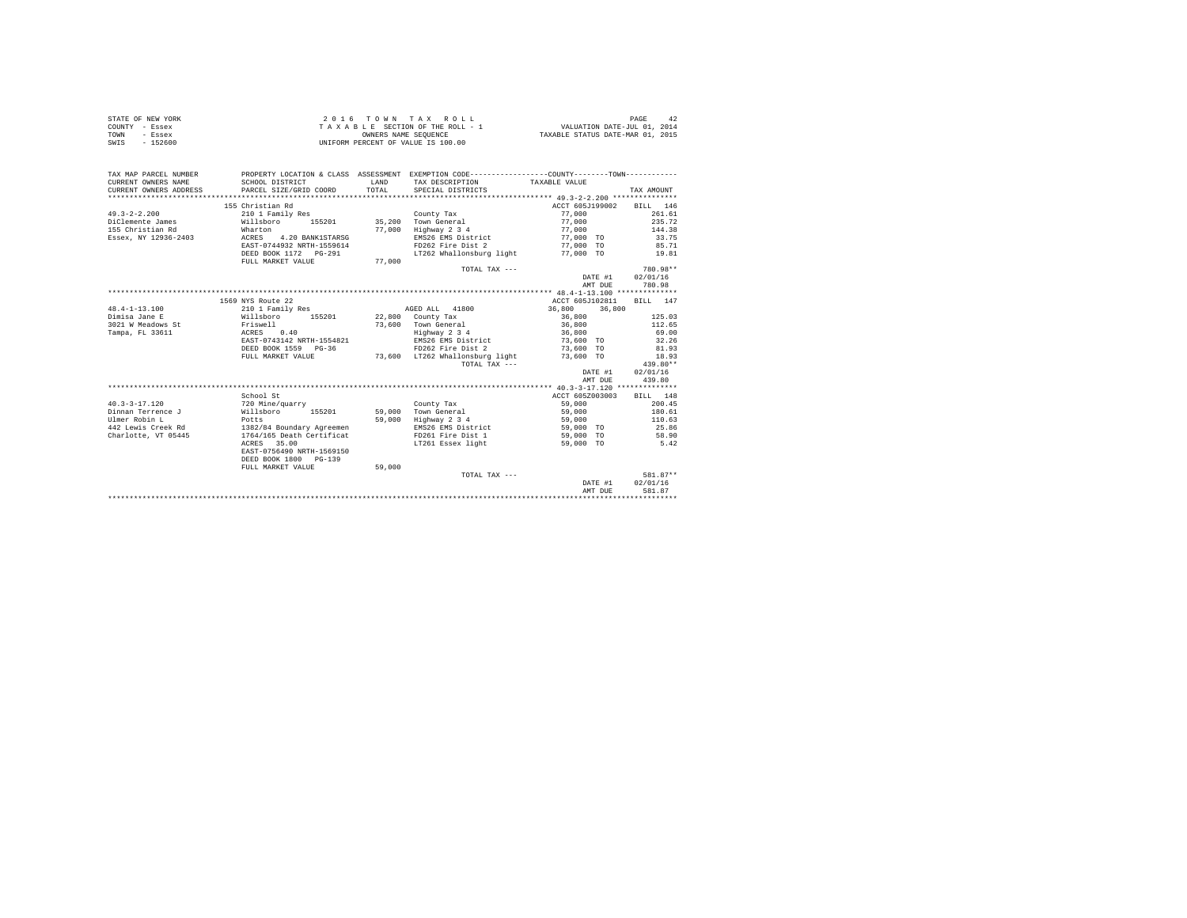| STATE OF NEW YORK | 2016 TOWN TAX ROLL                 | PAGE<br>42                       |
|-------------------|------------------------------------|----------------------------------|
| COUNTY - Essex    | TAXABLE SECTION OF THE ROLL - 1    | VALUATION DATE-JUL 01, 2014      |
| TOWN<br>- Essex   | OWNERS NAME SEOUENCE               | TAXABLE STATUS DATE-MAR 01, 2015 |
| SWIS<br>$-152600$ | UNIFORM PERCENT OF VALUE IS 100.00 |                                  |

| TAX MAP PARCEL NUMBER<br>CURRENT OWNERS NAME | PROPERTY LOCATION & CLASS ASSESSMENT EXEMPTION CODE---------------COUNTY-------TOWN---------<br>SCHOOL DISTRICT | LAND   | TAX DESCRIPTION TAXABLE VALUE |                                     |            |
|----------------------------------------------|-----------------------------------------------------------------------------------------------------------------|--------|-------------------------------|-------------------------------------|------------|
| CURRENT OWNERS ADDRESS                       | PARCEL SIZE/GRID COORD                                                                                          | TOTAL  | SPECIAL DISTRICTS             |                                     | TAX AMOUNT |
|                                              |                                                                                                                 |        |                               |                                     |            |
|                                              | 155 Christian Rd                                                                                                |        |                               | ACCT 605J199002                     | BILL 146   |
| $49.3 - 2 - 2.200$                           | 210 1 Family Res                                                                                                |        | County Tax                    | 77,000                              | 261.61     |
| DiClemente James                             | Willsboro 155201<br>Wharton                                                                                     |        | 35,200 Town General           | 77,000                              | 235.72     |
| 155 Christian Rd                             |                                                                                                                 |        | 77,000 Highway 2 3 4          | 77,000                              | 144.38     |
| Essex, NY 12936-2403                         | ACRES 4.20 BANK1STARSG                                                                                          |        |                               | EMS26 EMS District 577,000 TO 33.75 |            |
|                                              | EAST-0744932 NRTH-1559614                                                                                       |        | FD262 Fire Dist 2             | 77,000 TO                           | 85.71      |
|                                              |                                                                                                                 |        | LT262 Whallonsburg light      | 77,000 TO                           | 19.81      |
|                                              | FULL MARKET VALUE                                                                                               | 77,000 |                               |                                     |            |
|                                              |                                                                                                                 |        | TOTAL TAX ---                 |                                     | 780.98**   |
|                                              |                                                                                                                 |        |                               | DATE #1                             | 02/01/16   |
|                                              |                                                                                                                 |        |                               | AMT DUE                             | 780.98     |
|                                              |                                                                                                                 |        |                               |                                     |            |
|                                              | 1569 NYS Route 22                                                                                               |        |                               | ACCT 605J102811                     | BILL 147   |
| $48.4 - 1 - 13.100$                          | 210 1 Family Res                                                                                                |        | AGED ALL 41800                | 36,800 36,800                       |            |
| Dimisa Jane E                                | Willsboro 155201 22,800 County Tax                                                                              |        |                               | 36,800                              | 125.03     |
| 3021 W Meadows St                            |                                                                                                                 |        | 73.600 Town General           |                                     | 112.65     |
| Tampa, FL 33611                              | Friswell<br>ACRES 0.40                                                                                          |        | Highway 2 3 4                 | 36,800<br>36,800                    | 69.00      |
|                                              | EAST-0743142 NRTH-1554821                                                                                       |        |                               | EMS26 EMS District 73,600 TO 32.26  |            |
|                                              | DEED BOOK 1559 PG-36                                                                                            |        |                               | FD262 Fire Dist 2 73,600 TO         | 81.93      |
|                                              | FULL MARKET VALUE 73,600 LT262 Whallonsburg light                                                               |        |                               | 73,600 TO                           | 18.93      |
|                                              |                                                                                                                 |        | TOTAL TAX ---                 |                                     | 439.80**   |
|                                              |                                                                                                                 |        |                               | DATE #1                             | 02/01/16   |
|                                              |                                                                                                                 |        |                               | AMT DUE                             | 439.80     |
|                                              |                                                                                                                 |        |                               |                                     |            |
|                                              | School St                                                                                                       |        |                               | ACCT 605Z003003                     | BILL 148   |
| $40.3 - 3 - 17.120$                          | 720 Mine/quarry                                                                                                 |        | County Tax                    | 59,000                              | 200.45     |
| Dinnan Terrence J                            | Willsboro                                                                                                       |        | 155201 59,000 Town General    | 59,000                              | 180.61     |
| Ulmer Robin L<br>Potts                       |                                                                                                                 |        | 59,000 Highway 2 3 4          | 59,000                              | 110.63     |
|                                              | 442 Lewis Creek Rd 1382/84 Boundary Agreemen                                                                    |        | EMS26 EMS District            | 59,000 TO                           | 25.86      |
| Charlotte, VT 05445                          | 1764/165 Death Certificat                                                                                       |        | FD261 Fire Dist 1             | 59,000 TO                           | 58.90      |
|                                              | ACRES 35.00                                                                                                     |        | LT261 Essex light             | 59,000 TO                           | 5.42       |
|                                              | EAST-0756490 NRTH-1569150                                                                                       |        |                               |                                     |            |
|                                              | DEED BOOK 1800 PG-139                                                                                           |        |                               |                                     |            |
|                                              | FULL MARKET VALUE                                                                                               | 59,000 |                               |                                     |            |
|                                              |                                                                                                                 |        | TOTAL TAX ---                 |                                     | 581.87**   |
|                                              |                                                                                                                 |        |                               | DATE #1                             | 02/01/16   |
|                                              |                                                                                                                 |        |                               | AMT DUE                             | 581.87     |
|                                              |                                                                                                                 |        |                               |                                     |            |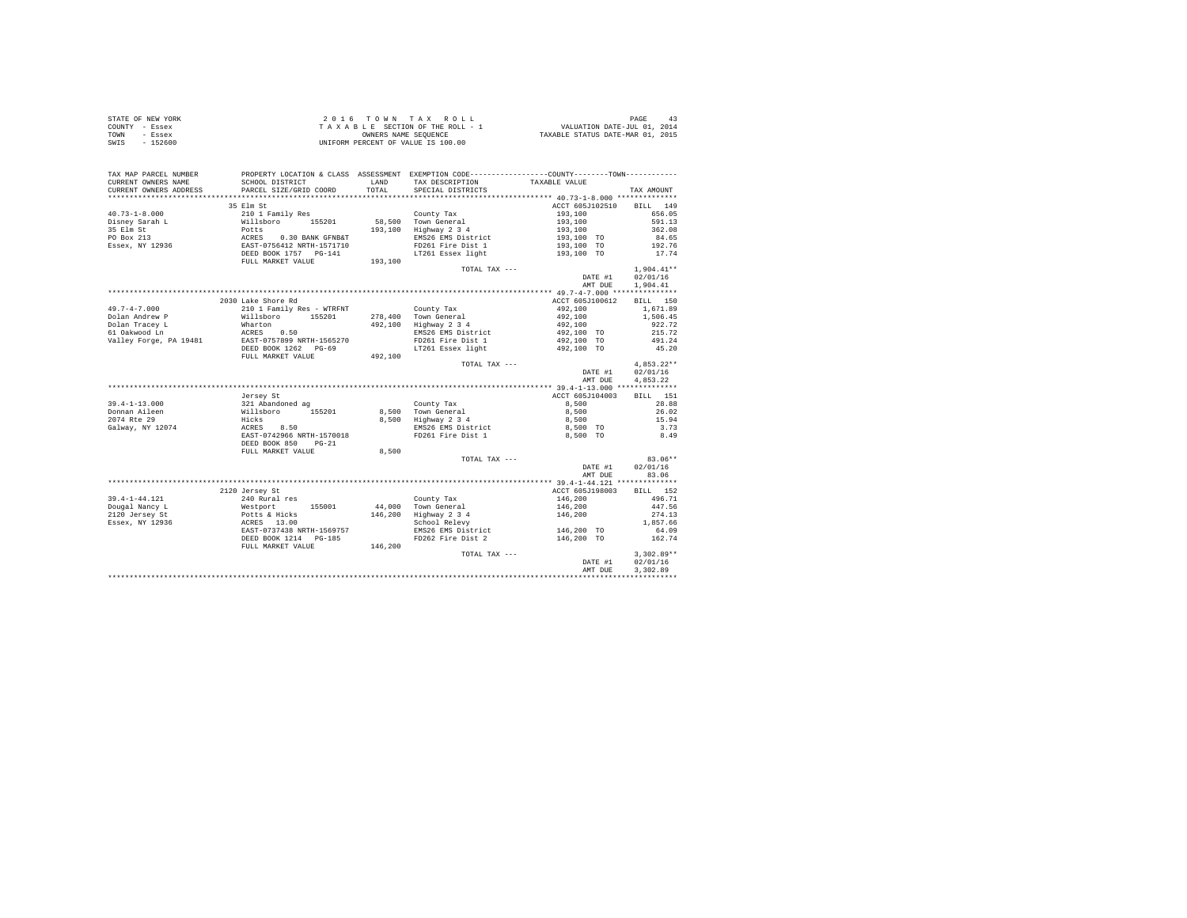|                | STATE OF NEW YORK |  |  |  | $2.0.16$ TOWN TAX ROLL             |  |                                 |                                  | PAGE |  |
|----------------|-------------------|--|--|--|------------------------------------|--|---------------------------------|----------------------------------|------|--|
| COUNTY - Essex |                   |  |  |  |                                    |  | TAXABLE SECTION OF THE ROLL - 1 | VALUATION DATE-JUL 01, 2014      |      |  |
| TOWN           | - Essex           |  |  |  | OWNERS NAME SEOUENCE               |  |                                 | TAXABLE STATUS DATE-MAR 01, 2015 |      |  |
| SWIS           | $-152600$         |  |  |  | UNIFORM PERCENT OF VALUE IS 100.00 |  |                                 |                                  |      |  |

| TAX MAP PARCEL NUMBER<br>CURRENT OWNERS NAME | PROPERTY LOCATION & CLASS ASSESSMENT EXEMPTION CODE----------------COUNTY--------TOWN----------<br>SCHOOL DISTRICT             | LAND    | TAX DESCRIPTION                           | TAXABLE VALUE                                                                                                                                                                                                                                                                                                                                                                                                                                                                     |                  |
|----------------------------------------------|--------------------------------------------------------------------------------------------------------------------------------|---------|-------------------------------------------|-----------------------------------------------------------------------------------------------------------------------------------------------------------------------------------------------------------------------------------------------------------------------------------------------------------------------------------------------------------------------------------------------------------------------------------------------------------------------------------|------------------|
| CURRENT OWNERS ADDRESS                       | PARCEL SIZE/GRID COORD                                                                                                         | TOTAL   | SPECIAL DISTRICTS                         |                                                                                                                                                                                                                                                                                                                                                                                                                                                                                   | TAX AMOUNT       |
|                                              | ***************************                                                                                                    |         |                                           |                                                                                                                                                                                                                                                                                                                                                                                                                                                                                   |                  |
|                                              | 35 Elm St                                                                                                                      |         |                                           | ACCT 605J102510 BILL 149                                                                                                                                                                                                                                                                                                                                                                                                                                                          |                  |
| $40.73 - 1 - 8.000$                          | 210 1 Family Res<br>Willshoro 155201<br>Potts<br>ACRES 0.30 BANK GFNB&T<br>EAST-0756412 NRTH-1571710<br>DEED BOOK 1757 PG-141  |         |                                           | $\begin{array}{lll} \multicolumn{1}{l}{} & \multicolumn{1}{l}{} & \multicolumn{1}{l}{} & \multicolumn{1}{l}{} & \multicolumn{1}{l}{} & \multicolumn{1}{l}{} & \multicolumn{1}{l}{} & \multicolumn{1}{l}{} & \multicolumn{1}{l}{} & \multicolumn{1}{l}{} & \multicolumn{1}{l}{} & \multicolumn{1}{l}{} & \multicolumn{1}{l}{} & \multicolumn{1}{l}{} & \multicolumn{1}{l}{} & \multicolumn{1}{l}{} & \multicolumn{1}{l}{} & \multicolumn{1}{l}{} & \multicolumn{1}{l}{} & \multic$ | 656.05           |
| Disney Sarah L                               |                                                                                                                                |         | County Tax<br>58,500 Town General         |                                                                                                                                                                                                                                                                                                                                                                                                                                                                                   | 591.13           |
| 35 Elm St                                    |                                                                                                                                |         | 193,100 Highway 2 3 4                     |                                                                                                                                                                                                                                                                                                                                                                                                                                                                                   | 362.08           |
| PO Box 213                                   |                                                                                                                                |         | EMS26 EMS District                        |                                                                                                                                                                                                                                                                                                                                                                                                                                                                                   | 84.65            |
| Essex, NY 12936                              |                                                                                                                                |         | FD261 Fire Dist 1                         | 193,100 TO                                                                                                                                                                                                                                                                                                                                                                                                                                                                        | 192.76           |
|                                              |                                                                                                                                |         |                                           | LT261 Essex light 193,100 TO 17.74                                                                                                                                                                                                                                                                                                                                                                                                                                                |                  |
|                                              | DEED BOOK 1757 PG-141<br>FULL MARKET VALUE 193,100                                                                             |         |                                           |                                                                                                                                                                                                                                                                                                                                                                                                                                                                                   |                  |
|                                              |                                                                                                                                |         | TOTAL TAX ---                             |                                                                                                                                                                                                                                                                                                                                                                                                                                                                                   | $1,904.41**$     |
|                                              |                                                                                                                                |         |                                           |                                                                                                                                                                                                                                                                                                                                                                                                                                                                                   | DATE #1 02/01/16 |
|                                              |                                                                                                                                |         |                                           | AMT DUE                                                                                                                                                                                                                                                                                                                                                                                                                                                                           | 1,904.41         |
|                                              |                                                                                                                                |         |                                           |                                                                                                                                                                                                                                                                                                                                                                                                                                                                                   |                  |
|                                              | 2030 Lake Shore Rd                                                                                                             |         |                                           | ACCT 605J100612                                                                                                                                                                                                                                                                                                                                                                                                                                                                   | BILL 150         |
| $49.7 - 4 - 7.000$                           | 210 1 Family Res - WTRFNT                                                                                                      |         | County Tax                                | $492,100$<br>$492,100$<br>$492,100$<br>$492,100$ TO                                                                                                                                                                                                                                                                                                                                                                                                                               | 1,671.89         |
|                                              |                                                                                                                                |         |                                           |                                                                                                                                                                                                                                                                                                                                                                                                                                                                                   | 1,506.45         |
|                                              |                                                                                                                                |         | 492,100 Highway 2 3 4                     |                                                                                                                                                                                                                                                                                                                                                                                                                                                                                   | 922.72           |
|                                              |                                                                                                                                |         | EMS26 EMS District                        |                                                                                                                                                                                                                                                                                                                                                                                                                                                                                   | 215.72           |
|                                              |                                                                                                                                |         | FD261 Fire Dist 1                         | 492,100 TO                                                                                                                                                                                                                                                                                                                                                                                                                                                                        | 491.24           |
|                                              |                                                                                                                                |         | LT261 Essex light                         | 492,100 TO                                                                                                                                                                                                                                                                                                                                                                                                                                                                        | 45.20            |
|                                              | FULL MARKET VALUE                                                                                                              | 492,100 |                                           |                                                                                                                                                                                                                                                                                                                                                                                                                                                                                   |                  |
|                                              |                                                                                                                                |         | TOTAL TAX ---                             |                                                                                                                                                                                                                                                                                                                                                                                                                                                                                   | $4.853.22**$     |
|                                              |                                                                                                                                |         |                                           | DATE #1                                                                                                                                                                                                                                                                                                                                                                                                                                                                           | 02/01/16         |
|                                              |                                                                                                                                |         |                                           | AMT DUE                                                                                                                                                                                                                                                                                                                                                                                                                                                                           | 4.853.22         |
|                                              |                                                                                                                                |         |                                           |                                                                                                                                                                                                                                                                                                                                                                                                                                                                                   |                  |
|                                              | Jersey St                                                                                                                      |         |                                           | ACCT 605J104003                                                                                                                                                                                                                                                                                                                                                                                                                                                                   | BILL 151         |
| $39.4 - 1 - 13.000$                          |                                                                                                                                |         | County Tax                                | 8,500                                                                                                                                                                                                                                                                                                                                                                                                                                                                             | 28.88            |
| Donnan Aileen                                | 921 Abandoned ag<br>Willshoro 155201 8,500<br>Willshoro 155201 8,500<br>Hicks 8,50<br>ACRES 8,500<br>EAST-0742966 NRTH-1570018 |         | 8,500 Town General<br>8,500 Highway 2 3 4 | 8,500                                                                                                                                                                                                                                                                                                                                                                                                                                                                             | 26.02            |
| 2074 Rte 29                                  |                                                                                                                                |         |                                           | 8,500                                                                                                                                                                                                                                                                                                                                                                                                                                                                             | 15.94            |
| Galway, NY 12074                             |                                                                                                                                |         | EMS26 EMS District                        | 8,500 TO                                                                                                                                                                                                                                                                                                                                                                                                                                                                          | 3.73             |
|                                              |                                                                                                                                |         | FD261 Fire Dist 1                         | 8,500 TO                                                                                                                                                                                                                                                                                                                                                                                                                                                                          | 8.49             |
|                                              | DEED BOOK 850 PG-21                                                                                                            |         |                                           |                                                                                                                                                                                                                                                                                                                                                                                                                                                                                   |                  |
|                                              | FULL MARKET VALUE                                                                                                              | 8,500   |                                           |                                                                                                                                                                                                                                                                                                                                                                                                                                                                                   |                  |
|                                              |                                                                                                                                |         | TOTAL TAX ---                             |                                                                                                                                                                                                                                                                                                                                                                                                                                                                                   | 83.06**          |
|                                              |                                                                                                                                |         |                                           |                                                                                                                                                                                                                                                                                                                                                                                                                                                                                   | DATE #1 02/01/16 |
|                                              |                                                                                                                                |         |                                           | AMT DUE                                                                                                                                                                                                                                                                                                                                                                                                                                                                           | 83.06            |
|                                              |                                                                                                                                |         |                                           |                                                                                                                                                                                                                                                                                                                                                                                                                                                                                   |                  |
|                                              | 2120 Jersey St                                                                                                                 |         |                                           | ACCT 605J198003                                                                                                                                                                                                                                                                                                                                                                                                                                                                   | BILL 152         |
| 39.4-1-44.121                                | 240 Rural res                                                                                                                  |         | County Tax                                | 146,200                                                                                                                                                                                                                                                                                                                                                                                                                                                                           | 496.71           |
| Dougal Nancy L                               | Nestport<br>Potts & Hicks<br>ACRES 13.00<br>EAST-0737438 NRTH-1569757                                                          |         | 44,000 Town General                       | 146,200<br>146,200                                                                                                                                                                                                                                                                                                                                                                                                                                                                | 447.56           |
| 2120 Jersey St                               |                                                                                                                                |         | 146,200 Highway 2 3 4                     |                                                                                                                                                                                                                                                                                                                                                                                                                                                                                   | 274.13           |
| Essex, NY 12936                              |                                                                                                                                |         | School Relevy                             |                                                                                                                                                                                                                                                                                                                                                                                                                                                                                   | 1,857.66         |
|                                              |                                                                                                                                |         |                                           | EMS26 EMS District 146,200 TO                                                                                                                                                                                                                                                                                                                                                                                                                                                     | 64.09            |
|                                              | DEED BOOK 1214 PG-185                                                                                                          |         | FD262 Fire Dist 2                         | 146,200 TO                                                                                                                                                                                                                                                                                                                                                                                                                                                                        | 162.74           |
|                                              | FULL MARKET VALUE                                                                                                              | 146,200 |                                           |                                                                                                                                                                                                                                                                                                                                                                                                                                                                                   |                  |
|                                              |                                                                                                                                |         | TOTAL TAX ---                             |                                                                                                                                                                                                                                                                                                                                                                                                                                                                                   | $3,302.89**$     |
|                                              |                                                                                                                                |         |                                           | DATE #1                                                                                                                                                                                                                                                                                                                                                                                                                                                                           | 02/01/16         |
|                                              |                                                                                                                                |         |                                           | AMT DUE                                                                                                                                                                                                                                                                                                                                                                                                                                                                           | 3,302.89         |
|                                              |                                                                                                                                |         |                                           |                                                                                                                                                                                                                                                                                                                                                                                                                                                                                   |                  |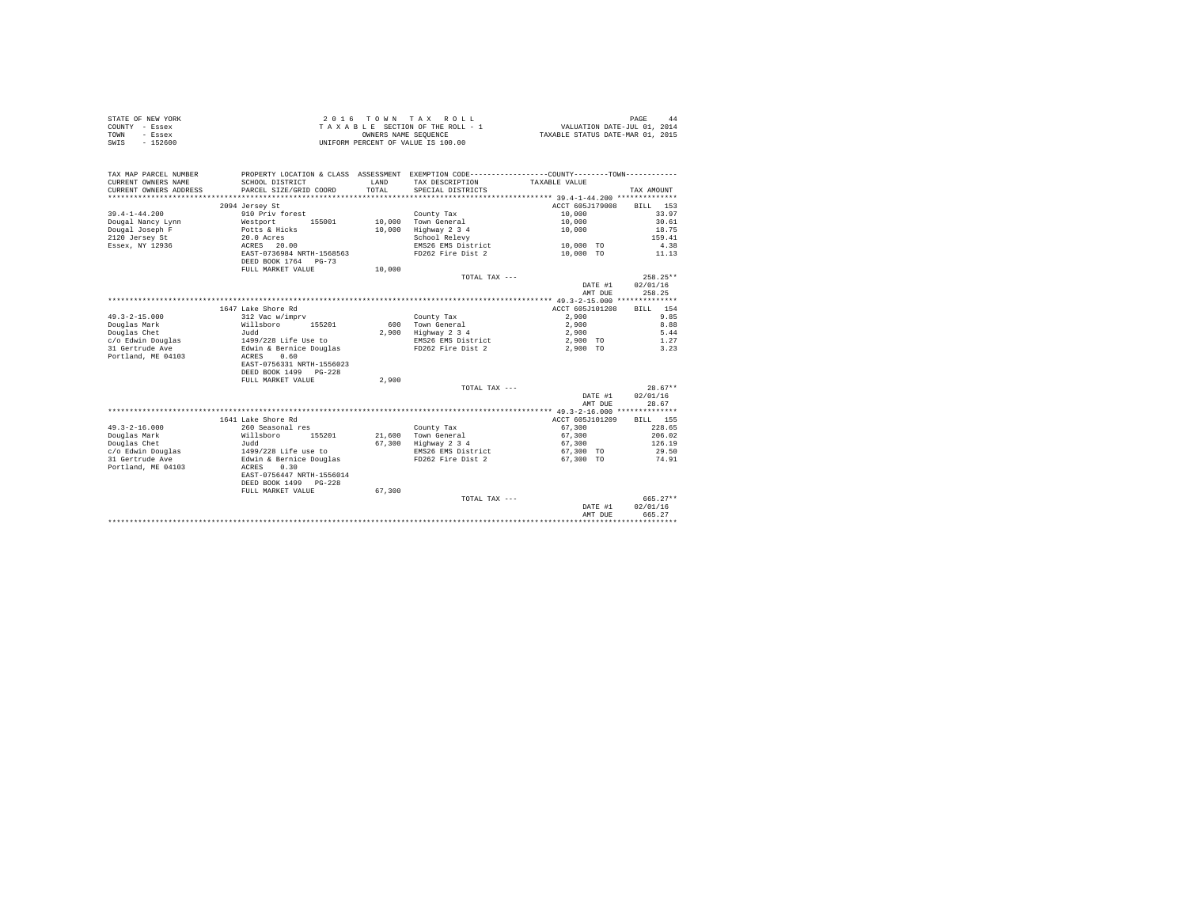| STATE OF NEW YORK |          | 2016 TOWN TAX ROLL                 | PAGE                             |
|-------------------|----------|------------------------------------|----------------------------------|
| COUNTY - Essex    |          | TAXABLE SECTION OF THE ROLL - 1    | VALUATION DATE-JUL 01, 2014      |
| TOWN              | - Essex  | OWNERS NAME SEOUENCE               | TAXABLE STATUS DATE-MAR 01, 2015 |
| SWIS              | - 152600 | UNIFORM PERCENT OF VALUE IS 100.00 |                                  |

| TAX MAP PARCEL NUMBER<br>CURRENT OWNERS NAME<br>CURRENT OWNERS ADDRESS | PROPERTY LOCATION & CLASS ASSESSMENT EXEMPTION CODE---------------COUNTY-------TOWN---------<br>SCHOOL DISTRICT<br>PARCEL SIZE/GRID COORD | <b>T.AND</b><br>TOTAL | TAX DESCRIPTION<br>SPECIAL DISTRICTS | TAXABLE VALUE   | TAX AMOUNT         |
|------------------------------------------------------------------------|-------------------------------------------------------------------------------------------------------------------------------------------|-----------------------|--------------------------------------|-----------------|--------------------|
|                                                                        |                                                                                                                                           |                       |                                      |                 |                    |
|                                                                        | 2094 Jersey St                                                                                                                            |                       |                                      | ACCT 605J179008 | <b>BILL</b><br>153 |
| $39.4 - 1 - 44.200$                                                    | 910 Priv forest                                                                                                                           |                       | County Tax                           | 10,000          | 33.97              |
| Dougal Nancy Lynn                                                      | Westport<br>155001                                                                                                                        | 10,000                | Town General                         | 10,000          | 30.61              |
| Dougal Joseph F                                                        | Potts & Hicks                                                                                                                             | 10,000                | Highway 2 3 4                        | 10,000          | 18.75              |
| 2120 Jersey St                                                         | 20.0 Acres                                                                                                                                |                       | School Relevy                        |                 | 159.41             |
| Essex, NY 12936                                                        | ACRES<br>20.00                                                                                                                            |                       | EMS26 EMS District                   | 10,000 TO       | 4.38               |
|                                                                        | EAST-0736984 NRTH-1568563                                                                                                                 |                       | FD262 Fire Dist 2                    | 10,000 TO       | 11.13              |
|                                                                        | DEED BOOK 1764 PG-73                                                                                                                      |                       |                                      |                 |                    |
|                                                                        | FULL MARKET VALUE                                                                                                                         | 10,000                |                                      |                 |                    |
|                                                                        |                                                                                                                                           |                       | TOTAL TAX ---                        |                 | $258.25**$         |
|                                                                        |                                                                                                                                           |                       |                                      | DATE #1         | 02/01/16           |
|                                                                        |                                                                                                                                           |                       |                                      | AMT DUE         | 258.25             |
|                                                                        |                                                                                                                                           |                       |                                      |                 |                    |
|                                                                        | 1647 Lake Shore Rd                                                                                                                        |                       |                                      | ACCT 605J101208 | BILL 154           |
| $49.3 - 2 - 15.000$                                                    | 312 Vac w/imprv                                                                                                                           |                       | County Tax                           | 2,900           | 9.85               |
| Douglas Mark                                                           | Willsboro<br>155201                                                                                                                       |                       | 600 Town General                     | 2,900           | 8.88               |
|                                                                        |                                                                                                                                           | 2.900                 | Highway 2 3 4                        | 2,900           | 5.44               |
| Douglas Chet                                                           | Judd                                                                                                                                      |                       |                                      |                 |                    |
| c/o Edwin Douglas                                                      | 1499/228 Life Use to                                                                                                                      |                       | EMS26 EMS District                   | 2,900 TO        | 1.27               |
| 31 Gertrude Ave                                                        | Edwin & Bernice Douglas                                                                                                                   |                       | FD262 Fire Dist 2                    | 2,900 TO        | 3.23               |
| Portland, ME 04103                                                     | 0.60<br>ACRES                                                                                                                             |                       |                                      |                 |                    |
|                                                                        | EAST-0756331 NRTH-1556023                                                                                                                 |                       |                                      |                 |                    |
|                                                                        | DEED BOOK 1499 PG-228                                                                                                                     |                       |                                      |                 |                    |
|                                                                        | FULL MARKET VALUE                                                                                                                         | 2,900                 |                                      |                 |                    |
|                                                                        |                                                                                                                                           |                       | TOTAL TAX ---                        |                 | $28.67**$          |
|                                                                        |                                                                                                                                           |                       |                                      | DATE #1         | 02/01/16           |
|                                                                        |                                                                                                                                           |                       |                                      | AMT DUE         | 28.67              |
|                                                                        |                                                                                                                                           |                       |                                      |                 |                    |
|                                                                        | 1641 Lake Shore Rd                                                                                                                        |                       |                                      | ACCT 605J101209 | BILL 155           |
| $49.3 - 2 - 16.000$                                                    | 260 Seasonal res                                                                                                                          |                       | County Tax                           | 67,300          | 228.65             |
| Douglas Mark                                                           | Willsboro<br>155201                                                                                                                       |                       | 21,600 Town General                  | 67,300          | 206.02             |
| Douglas Chet                                                           | Judd                                                                                                                                      | 67.300                | Highway 2 3 4                        | 67,300          | 126.19             |
| c/o Edwin Douglas                                                      | 1499/228 Life use to                                                                                                                      |                       | EMS26 EMS District                   | 67,300 TO       | 29.50              |
| 31 Gertrude Ave                                                        | Edwin & Bernice Douglas                                                                                                                   |                       | FD262 Fire Dist 2                    | 67,300 TO       | 74.91              |
| Portland, ME 04103                                                     | 0.30<br>ACRES                                                                                                                             |                       |                                      |                 |                    |
|                                                                        | EAST-0756447 NRTH-1556014                                                                                                                 |                       |                                      |                 |                    |
|                                                                        | DEED BOOK 1499 PG-228                                                                                                                     |                       |                                      |                 |                    |
|                                                                        |                                                                                                                                           |                       |                                      |                 |                    |
|                                                                        | FULL MARKET VALUE                                                                                                                         | 67,300                |                                      |                 |                    |
|                                                                        |                                                                                                                                           |                       | TOTAL TAX ---                        |                 | $665.27**$         |
|                                                                        |                                                                                                                                           |                       |                                      | DATE #1         | 02/01/16           |
|                                                                        |                                                                                                                                           |                       |                                      | AMT DUE         | 665.27             |
|                                                                        |                                                                                                                                           |                       |                                      |                 |                    |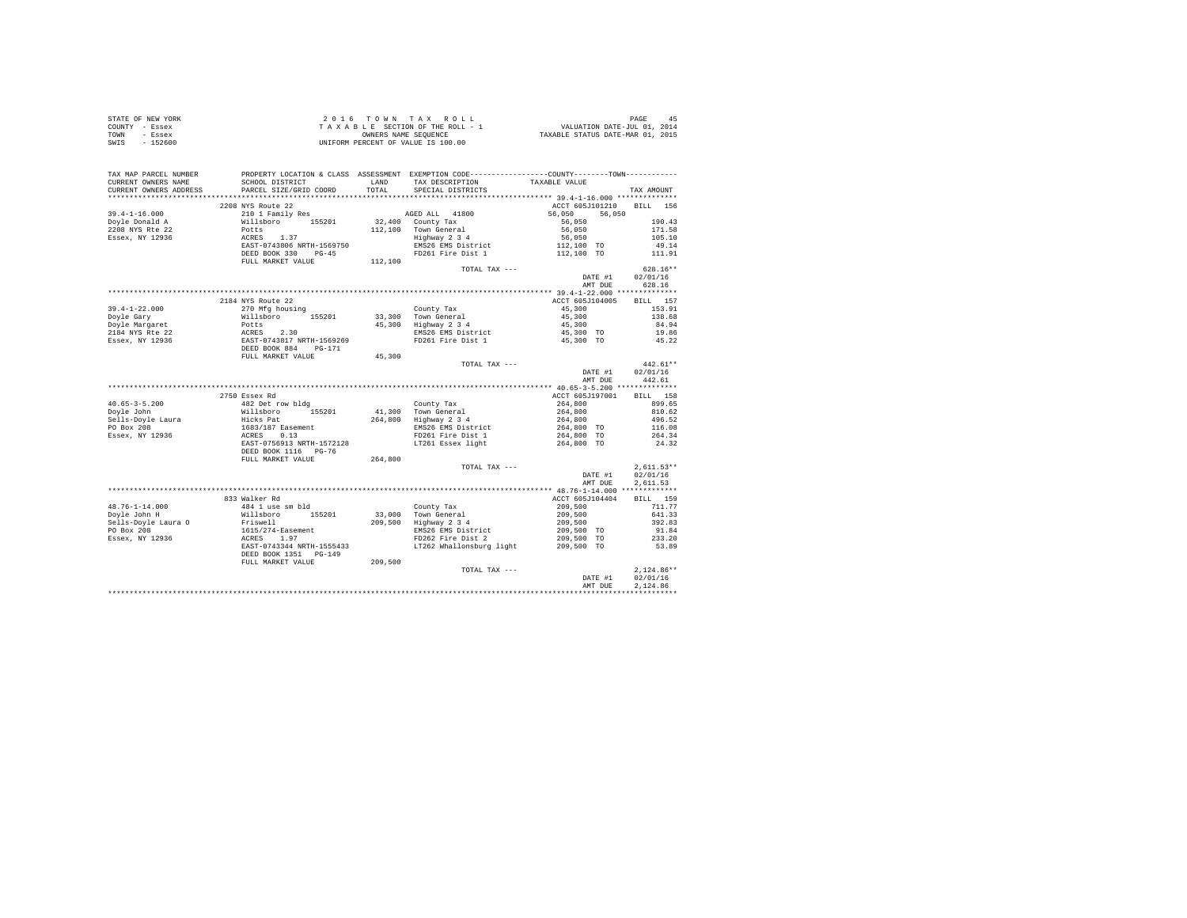| STATE OF NEW YORK                                                                                                                                                                                                                                                                                                                                                                                        |                   |       |               |           |                                    |
|----------------------------------------------------------------------------------------------------------------------------------------------------------------------------------------------------------------------------------------------------------------------------------------------------------------------------------------------------------------------------------------------------------|-------------------|-------|---------------|-----------|------------------------------------|
| COUNTY - Essex                                                                                                                                                                                                                                                                                                                                                                                           |                   |       |               |           |                                    |
| TOWN - Essex                                                                                                                                                                                                                                                                                                                                                                                             |                   |       |               |           |                                    |
| SWIS - 152600                                                                                                                                                                                                                                                                                                                                                                                            |                   |       |               |           |                                    |
|                                                                                                                                                                                                                                                                                                                                                                                                          |                   |       |               |           |                                    |
|                                                                                                                                                                                                                                                                                                                                                                                                          |                   |       |               |           |                                    |
|                                                                                                                                                                                                                                                                                                                                                                                                          |                   |       |               |           |                                    |
|                                                                                                                                                                                                                                                                                                                                                                                                          |                   |       |               |           |                                    |
|                                                                                                                                                                                                                                                                                                                                                                                                          |                   |       |               |           |                                    |
|                                                                                                                                                                                                                                                                                                                                                                                                          |                   | TOTAL |               |           |                                    |
|                                                                                                                                                                                                                                                                                                                                                                                                          |                   |       |               |           |                                    |
|                                                                                                                                                                                                                                                                                                                                                                                                          | 2208 NYS Route 22 |       |               |           | ACCT 605J101210 BILL 156           |
| $\begin{tabular}{l c c c c c} \multicolumn{1}{c c c} \multicolumn{1}{c c c} \multicolumn{1}{c c c} \multicolumn{1}{c c c} \multicolumn{1}{c c c} \multicolumn{1}{c c c} \multicolumn{1}{c c c} \multicolumn{1}{c c c} \multicolumn{1}{c c c} \multicolumn{1}{c c c} \multicolumn{1}{c c c} \multicolumn{1}{c c c} \multicolumn{1}{c c c} \multicolumn{1}{c c c} \multicolumn{1}{c c c} \multicolumn{1}{$ |                   |       |               |           |                                    |
|                                                                                                                                                                                                                                                                                                                                                                                                          |                   |       |               |           |                                    |
|                                                                                                                                                                                                                                                                                                                                                                                                          |                   |       |               |           |                                    |
|                                                                                                                                                                                                                                                                                                                                                                                                          |                   |       |               |           |                                    |
|                                                                                                                                                                                                                                                                                                                                                                                                          |                   |       |               |           |                                    |
|                                                                                                                                                                                                                                                                                                                                                                                                          |                   |       |               |           |                                    |
|                                                                                                                                                                                                                                                                                                                                                                                                          |                   |       |               |           |                                    |
|                                                                                                                                                                                                                                                                                                                                                                                                          |                   |       |               |           |                                    |
|                                                                                                                                                                                                                                                                                                                                                                                                          |                   |       | TOTAL TAX --- |           | $628.16**$                         |
|                                                                                                                                                                                                                                                                                                                                                                                                          |                   |       |               |           | DATE #1 02/01/16                   |
|                                                                                                                                                                                                                                                                                                                                                                                                          |                   |       |               |           | AMT DUE 628.16                     |
|                                                                                                                                                                                                                                                                                                                                                                                                          |                   |       |               |           |                                    |
|                                                                                                                                                                                                                                                                                                                                                                                                          | 2184 NYS Route 22 |       |               |           | ACCT 605J104005 BILL 157           |
|                                                                                                                                                                                                                                                                                                                                                                                                          |                   |       |               |           | 153.91                             |
|                                                                                                                                                                                                                                                                                                                                                                                                          |                   |       |               |           | 138.68                             |
|                                                                                                                                                                                                                                                                                                                                                                                                          |                   |       |               |           |                                    |
|                                                                                                                                                                                                                                                                                                                                                                                                          |                   |       |               |           | 84.94                              |
|                                                                                                                                                                                                                                                                                                                                                                                                          |                   |       |               |           | 19.86                              |
|                                                                                                                                                                                                                                                                                                                                                                                                          |                   |       |               | 45,300 TO | 45.22                              |
|                                                                                                                                                                                                                                                                                                                                                                                                          |                   |       |               |           |                                    |
|                                                                                                                                                                                                                                                                                                                                                                                                          |                   |       |               |           |                                    |
|                                                                                                                                                                                                                                                                                                                                                                                                          |                   |       |               |           |                                    |
| $19.4-1-22.000$ 2184 NYS Route 22<br>Doyle Gary<br>Willaboro 155201<br>200 Millaboro 155201<br>2184 NYS Recall Potta 20<br>2184 NYS Recall Potta 23<br>2184 NYS Recall ACRES<br>2.30<br>2184 NYS Recall ACRES<br>2.30<br>2184 NYS Recall ACRES<br>2                                                                                                                                                      |                   |       | TOTAL TAX --- |           | $442.61**$                         |
|                                                                                                                                                                                                                                                                                                                                                                                                          |                   |       |               |           |                                    |
|                                                                                                                                                                                                                                                                                                                                                                                                          |                   |       |               |           |                                    |
|                                                                                                                                                                                                                                                                                                                                                                                                          |                   |       |               |           | DATE #1 02/01/16<br>AMT DUE 442.61 |
|                                                                                                                                                                                                                                                                                                                                                                                                          |                   |       |               |           |                                    |
|                                                                                                                                                                                                                                                                                                                                                                                                          | 2750 Essex Rd     |       |               |           | ACCT 605J197001 BILL 158           |
|                                                                                                                                                                                                                                                                                                                                                                                                          |                   |       |               |           |                                    |
|                                                                                                                                                                                                                                                                                                                                                                                                          |                   |       |               |           |                                    |
|                                                                                                                                                                                                                                                                                                                                                                                                          |                   |       |               |           |                                    |
|                                                                                                                                                                                                                                                                                                                                                                                                          |                   |       |               |           |                                    |
|                                                                                                                                                                                                                                                                                                                                                                                                          |                   |       |               |           |                                    |
|                                                                                                                                                                                                                                                                                                                                                                                                          |                   |       |               |           |                                    |
|                                                                                                                                                                                                                                                                                                                                                                                                          |                   |       |               |           |                                    |
|                                                                                                                                                                                                                                                                                                                                                                                                          |                   |       |               |           |                                    |
| $\begin{tabular}{l c c c c c} \multicolumn{3}{c c c c} \multicolumn{3}{c c c c} \multicolumn{3}{c c c} \multicolumn{3}{c c c} \multicolumn{3}{c c c} \multicolumn{3}{c c c} \multicolumn{3}{c c c} \multicolumn{3}{c c c} \multicolumn{3}{c c c} \multicolumn{3}{c c c} \multicolumn{3}{c c c} \multicolumn{3}{c c c} \multicolumn{3}{c c c} \multicolumn{3}{c c c} \multicolumn{3}{c c c} \multic$      |                   |       | TOTAL TAX --- |           | $2.611.53**$                       |
|                                                                                                                                                                                                                                                                                                                                                                                                          |                   |       |               |           | DATE #1 02/01/16                   |
|                                                                                                                                                                                                                                                                                                                                                                                                          |                   |       |               |           | AMT DUE<br>2.611.53                |
|                                                                                                                                                                                                                                                                                                                                                                                                          |                   |       |               |           |                                    |
|                                                                                                                                                                                                                                                                                                                                                                                                          |                   |       |               |           |                                    |
|                                                                                                                                                                                                                                                                                                                                                                                                          |                   |       |               |           |                                    |
|                                                                                                                                                                                                                                                                                                                                                                                                          |                   |       |               |           |                                    |
|                                                                                                                                                                                                                                                                                                                                                                                                          |                   |       |               |           |                                    |
|                                                                                                                                                                                                                                                                                                                                                                                                          |                   |       |               |           |                                    |
|                                                                                                                                                                                                                                                                                                                                                                                                          |                   |       |               |           |                                    |
|                                                                                                                                                                                                                                                                                                                                                                                                          |                   |       |               |           |                                    |
|                                                                                                                                                                                                                                                                                                                                                                                                          |                   |       |               |           |                                    |
|                                                                                                                                                                                                                                                                                                                                                                                                          |                   |       |               |           |                                    |
|                                                                                                                                                                                                                                                                                                                                                                                                          |                   |       |               |           |                                    |
|                                                                                                                                                                                                                                                                                                                                                                                                          |                   |       |               |           |                                    |
|                                                                                                                                                                                                                                                                                                                                                                                                          |                   |       |               |           | DATE #1 02/01/16                   |
|                                                                                                                                                                                                                                                                                                                                                                                                          |                   |       |               | AMT DUE   | 2.124.86<br>************           |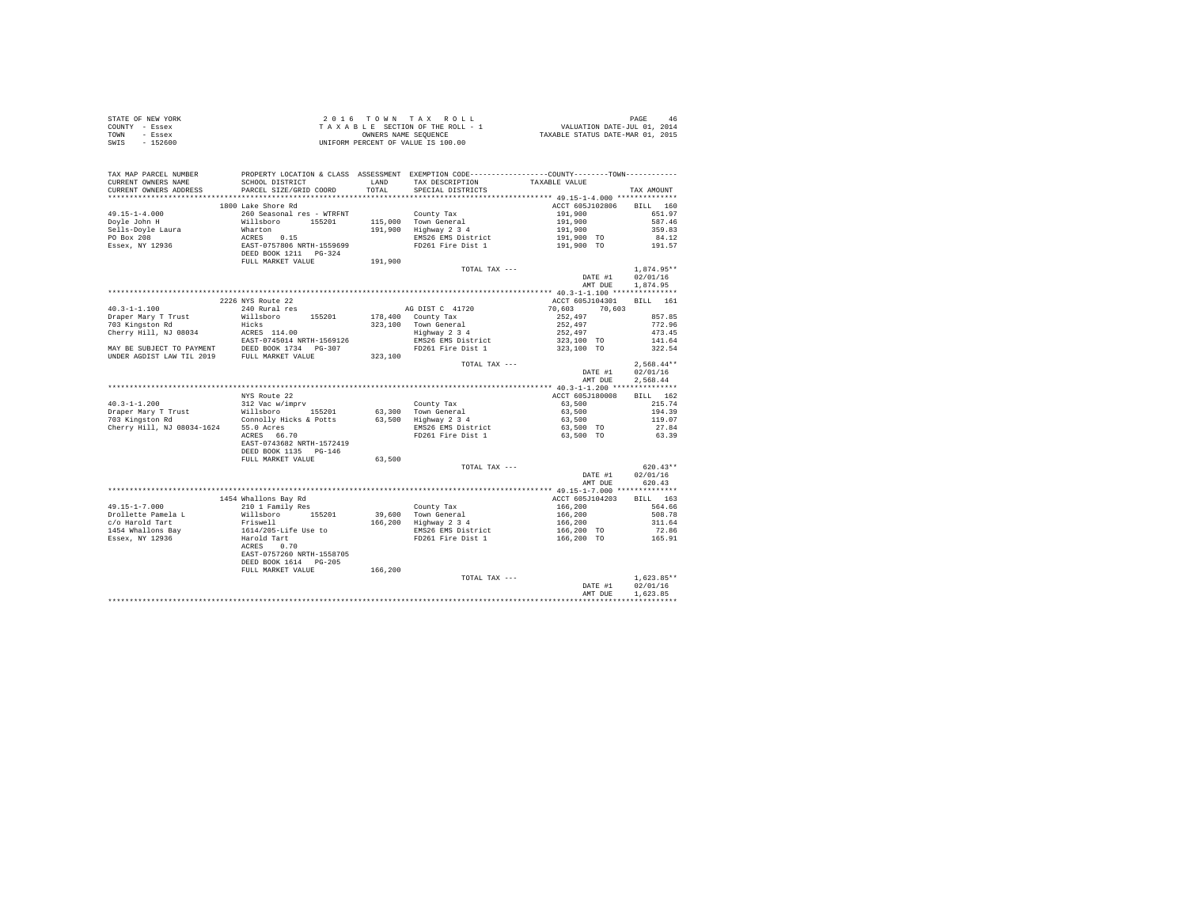|                | STATE OF NEW YORK |  |  |  | 2016 TOWN TAX ROLL                 |  |  |  |  | 46<br>PAGE                       |
|----------------|-------------------|--|--|--|------------------------------------|--|--|--|--|----------------------------------|
| COUNTY - Essex |                   |  |  |  | TAXABLE SECTION OF THE ROLL - 1    |  |  |  |  | VALUATION DATE-JUL 01, 2014      |
| TOWN           | - Essex           |  |  |  | OWNERS NAME SEOUENCE               |  |  |  |  | TAXABLE STATUS DATE-MAR 01, 2015 |
| SWIS           | - 152600          |  |  |  | UNIFORM PERCENT OF VALUE IS 100.00 |  |  |  |  |                                  |

| TAX MAP PARCEL NUMBER<br>CURRENT OWNERS NAME | SCHOOL DISTRICT<br>PARCEL SIZE/GRID COORD                                                                                                                                                                                |         | LAND TAX DESCRIPTION                                        | PROPERTY LOCATION & CLASS ASSESSMENT EXEMPTION CODE----------------COUNTY--------TOWN----------<br>TAXABLE VALUE                                                                                  |              |
|----------------------------------------------|--------------------------------------------------------------------------------------------------------------------------------------------------------------------------------------------------------------------------|---------|-------------------------------------------------------------|---------------------------------------------------------------------------------------------------------------------------------------------------------------------------------------------------|--------------|
| CURRENT OWNERS ADDRESS                       |                                                                                                                                                                                                                          |         | TOTAL SPECIAL DISTRICTS                                     |                                                                                                                                                                                                   | TAX AMOUNT   |
|                                              |                                                                                                                                                                                                                          |         |                                                             |                                                                                                                                                                                                   |              |
|                                              | 1800 Lake Shore Rd                                                                                                                                                                                                       |         |                                                             | ACCT 605J102806                                                                                                                                                                                   | BILL 160     |
|                                              |                                                                                                                                                                                                                          |         |                                                             |                                                                                                                                                                                                   |              |
|                                              |                                                                                                                                                                                                                          |         |                                                             |                                                                                                                                                                                                   |              |
|                                              |                                                                                                                                                                                                                          |         |                                                             |                                                                                                                                                                                                   |              |
|                                              |                                                                                                                                                                                                                          |         |                                                             |                                                                                                                                                                                                   |              |
|                                              |                                                                                                                                                                                                                          |         |                                                             |                                                                                                                                                                                                   |              |
|                                              |                                                                                                                                                                                                                          |         |                                                             |                                                                                                                                                                                                   |              |
|                                              |                                                                                                                                                                                                                          |         | TOTAL TAX ---                                               |                                                                                                                                                                                                   | $1.874.95**$ |
|                                              |                                                                                                                                                                                                                          |         |                                                             | DATE #1 02/01/16                                                                                                                                                                                  |              |
|                                              |                                                                                                                                                                                                                          |         |                                                             | AMT DUE                                                                                                                                                                                           | 1,874.95     |
|                                              |                                                                                                                                                                                                                          |         |                                                             |                                                                                                                                                                                                   |              |
|                                              | 2226 NYS Route 22                                                                                                                                                                                                        |         |                                                             | ACCT 605J104301 BILL 161                                                                                                                                                                          |              |
|                                              |                                                                                                                                                                                                                          |         |                                                             | $70,603$ $70,603$                                                                                                                                                                                 |              |
|                                              |                                                                                                                                                                                                                          |         |                                                             | $252,497$<br>$252,497$<br>$252,497$<br>$252,497$<br>$323,100$ TO<br>$323,100$ TO                                                                                                                  | 857.85       |
|                                              |                                                                                                                                                                                                                          |         | 323,100 Town General<br>Highway 2 3 4<br>EMS26 EMS District |                                                                                                                                                                                                   | 772.96       |
|                                              |                                                                                                                                                                                                                          |         |                                                             |                                                                                                                                                                                                   | 473.45       |
|                                              |                                                                                                                                                                                                                          |         |                                                             |                                                                                                                                                                                                   | 141.64       |
|                                              |                                                                                                                                                                                                                          |         | FD261 Fire Dist 1                                           |                                                                                                                                                                                                   | 322.54       |
|                                              |                                                                                                                                                                                                                          |         |                                                             |                                                                                                                                                                                                   |              |
|                                              |                                                                                                                                                                                                                          |         | TOTAL TAX ---                                               |                                                                                                                                                                                                   | $2,568.44**$ |
|                                              |                                                                                                                                                                                                                          |         |                                                             | DATE #1                                                                                                                                                                                           | 02/01/16     |
|                                              |                                                                                                                                                                                                                          |         |                                                             | AMT DUE                                                                                                                                                                                           | 2,568.44     |
|                                              |                                                                                                                                                                                                                          |         |                                                             |                                                                                                                                                                                                   |              |
|                                              | NYS Route 22                                                                                                                                                                                                             |         |                                                             | ACCT 605J180008                                                                                                                                                                                   | BILL 162     |
| $40.3 - 1 - 1.200$                           |                                                                                                                                                                                                                          |         |                                                             | 63,500                                                                                                                                                                                            | 215.74       |
| Draper Mary T Trust                          | NYS Route 22<br>312 Vac Wimpry<br>Willsboro 155201 63,300 Town General<br>Connolly Hicks & Potts 63,500 Highway 234<br>55.0 Acres 66.70 ENS26 EMS District<br>RCRES 66.70 FD261 Fire Dist 1                              |         |                                                             | 63,500                                                                                                                                                                                            | 194.39       |
| 703 Kingston Rd                              |                                                                                                                                                                                                                          |         |                                                             | 63,500<br>63,500<br>63,500 TO<br>60,500 TO                                                                                                                                                        | 119.07       |
|                                              | The charge of the contract of the charge of the charge of the charge of the charge of the same charge $ACRES$ 66.70                                                                                                      |         |                                                             |                                                                                                                                                                                                   | 27.84        |
|                                              |                                                                                                                                                                                                                          |         |                                                             | 63,500 TO                                                                                                                                                                                         | 63.39        |
|                                              | EAST-0743682 NRTH-1572419                                                                                                                                                                                                |         |                                                             |                                                                                                                                                                                                   |              |
|                                              | DEED BOOK 1135 PG-146                                                                                                                                                                                                    |         |                                                             |                                                                                                                                                                                                   |              |
|                                              | FULL MARKET VALUE                                                                                                                                                                                                        | 63,500  |                                                             |                                                                                                                                                                                                   |              |
|                                              |                                                                                                                                                                                                                          |         | TOTAL TAX ---                                               |                                                                                                                                                                                                   | $620.43**$   |
|                                              |                                                                                                                                                                                                                          |         |                                                             | DATE #1                                                                                                                                                                                           | 02/01/16     |
|                                              |                                                                                                                                                                                                                          |         |                                                             | AMT DUE                                                                                                                                                                                           | 620.43       |
|                                              |                                                                                                                                                                                                                          |         |                                                             |                                                                                                                                                                                                   |              |
|                                              | 1454 Whallons Bay Rd                                                                                                                                                                                                     |         |                                                             | ACCT 605J104203                                                                                                                                                                                   | BILL 163     |
| 49.15-1-7.000                                | 210 1 Family Res                                                                                                                                                                                                         |         |                                                             |                                                                                                                                                                                                   |              |
|                                              |                                                                                                                                                                                                                          |         |                                                             |                                                                                                                                                                                                   |              |
|                                              |                                                                                                                                                                                                                          |         |                                                             | County Tax 166,200<br>39,600 Town General 166,200 504.78<br>166,200 509.78<br>166,200 1142 2 3 4<br>166,200 11.64<br>166,200 70 72.86<br>166,200 70 72.86<br>166,200 70 72.86<br>166,200 70 72.86 |              |
|                                              |                                                                                                                                                                                                                          |         |                                                             |                                                                                                                                                                                                   |              |
|                                              |                                                                                                                                                                                                                          |         |                                                             |                                                                                                                                                                                                   |              |
|                                              | 49.19-1-7.000<br>The Distribute Pamela Land Millaboro 155201<br>1454 Whallons Priswell<br>1454 Whallons Bay 1614/205-Life Use to<br>1454 Whallons Bay 1614/205-Life Use to<br>188ex, NY 12936 Harold Tart<br>RackES 0.70 |         |                                                             |                                                                                                                                                                                                   |              |
|                                              | EAST-0757260 NRTH-1558705                                                                                                                                                                                                |         |                                                             |                                                                                                                                                                                                   |              |
|                                              | DEED BOOK 1614 PG-205                                                                                                                                                                                                    |         |                                                             |                                                                                                                                                                                                   |              |
|                                              | FULL MARKET VALUE                                                                                                                                                                                                        | 166,200 |                                                             |                                                                                                                                                                                                   |              |
|                                              |                                                                                                                                                                                                                          |         | TOTAL TAX ---                                               |                                                                                                                                                                                                   | $1.623.85**$ |
|                                              |                                                                                                                                                                                                                          |         |                                                             | DATE #1<br>DATE #1                                                                                                                                                                                | 02/01/16     |
|                                              |                                                                                                                                                                                                                          |         |                                                             | AMT DUE                                                                                                                                                                                           | 1.623.85     |
|                                              |                                                                                                                                                                                                                          |         |                                                             |                                                                                                                                                                                                   |              |
|                                              |                                                                                                                                                                                                                          |         |                                                             |                                                                                                                                                                                                   |              |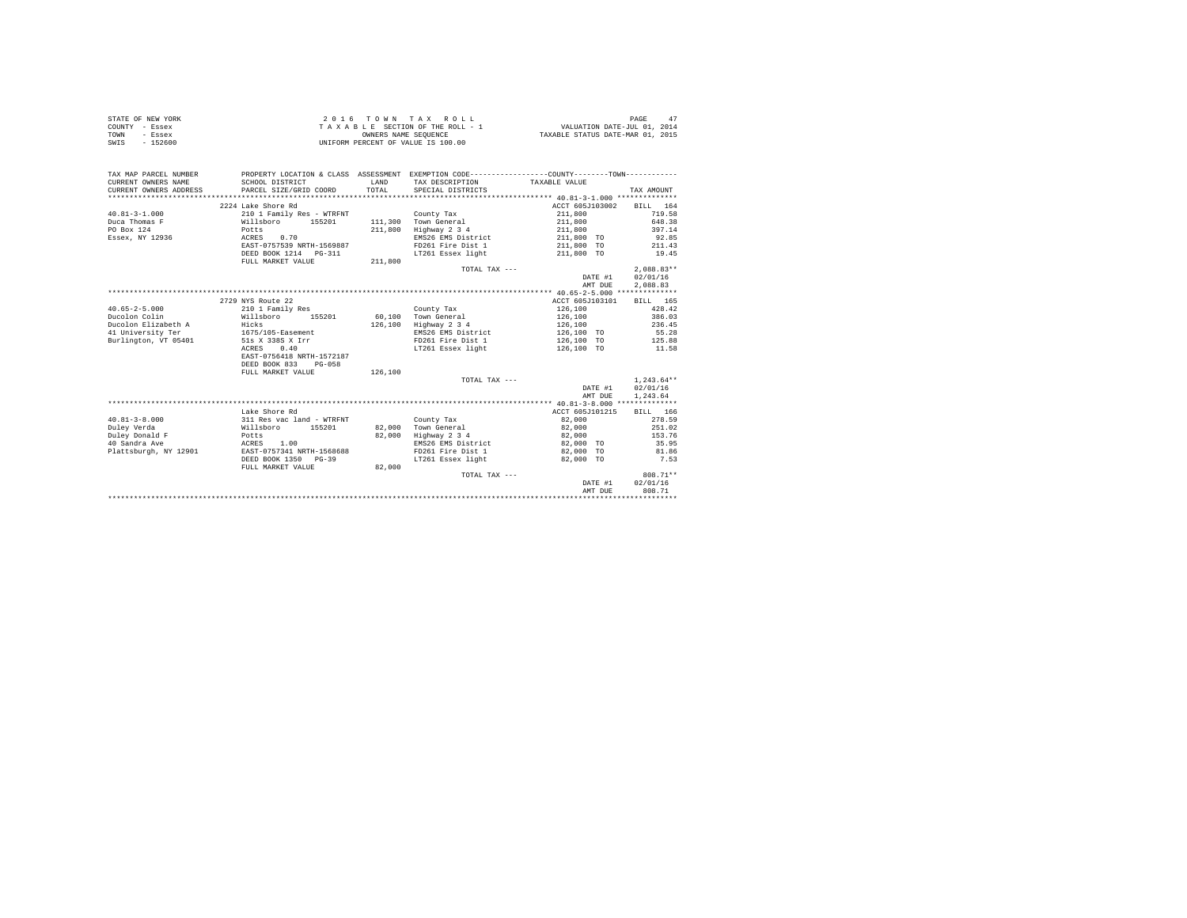| STATE OF NEW YORK | 2016 TOWN TAX ROLL                 | 47<br>PAGE                       |
|-------------------|------------------------------------|----------------------------------|
| COUNTY - Essex    | TAXABLE SECTION OF THE ROLL - 1    | VALUATION DATE-JUL 01, 2014      |
| TOWN<br>- Essex   | OWNERS NAME SEOUENCE               | TAXABLE STATUS DATE-MAR 01, 2015 |
| SWIS<br>$-152600$ | UNIFORM PERCENT OF VALUE IS 100.00 |                                  |

| TAX MAP PARCEL NUMBER<br>CURRENT OWNERS NAME  | SCHOOL DISTRICT                               | LAND    | PROPERTY LOCATION & CLASS ASSESSMENT EXEMPTION CODE----------------COUNTY-------TOWN----------<br>TAX DESCRIPTION | TAXABLE VALUE     |              |
|-----------------------------------------------|-----------------------------------------------|---------|-------------------------------------------------------------------------------------------------------------------|-------------------|--------------|
| CURRENT OWNERS ADDRESS PARCEL SIZE/GRID COORD |                                               | TOTAL   | SPECIAL DISTRICTS                                                                                                 |                   | TAX AMOUNT   |
|                                               |                                               |         |                                                                                                                   |                   |              |
|                                               | 2224 Lake Shore Rd                            |         |                                                                                                                   | ACCT 605J103002   | BILL 164     |
| $40.81 - 3 - 1.000$                           | 210 1 Family Res - WTRFNT                     |         | County Tax                                                                                                        | 211,800           | 719.58       |
| Duca Thomas F                                 | 210 1 Family Res - WIKENI<br>Willsboro 155201 |         | 111.300 Town General                                                                                              | 211,800           | 648.38       |
| PO Box 124                                    | Potts                                         | 211,800 | Highway 2 3 4                                                                                                     | 211,800           | 397.14       |
| Essex, NY 12936                               | ACRES 0.70                                    |         | EMS26 EMS District                                                                                                | 211,800 TO        | 92.85        |
|                                               | EAST-0757539 NRTH-1569887                     |         | FD261 Fire Dist 1                                                                                                 | 211,800 TO        | 211.43       |
|                                               | DEED BOOK 1214    PG-311                      |         | LT261 Essex light                                                                                                 | 211,800 TO        | 19.45        |
|                                               | FULL MARKET VALUE                             | 211,800 |                                                                                                                   |                   |              |
|                                               |                                               |         | TOTAL TAX ---                                                                                                     |                   | $2.088.83**$ |
|                                               |                                               |         |                                                                                                                   | DATE #1           | 02/01/16     |
|                                               |                                               |         |                                                                                                                   | AMT DUE           | 2,088.83     |
|                                               |                                               |         |                                                                                                                   |                   |              |
|                                               | 2729 NYS Route 22                             |         |                                                                                                                   | ACCT 605J103101   | BILL 165     |
| $40.65 - 2 - 5.000$                           | 210 1 Family Res                              |         | County Tax                                                                                                        | 126,100           | 428.42       |
| Ducolon Colin                                 | Willsboro<br>155201                           |         | 60,100 Town General                                                                                               | 126,100           | 386.03       |
| Ducolon Elizabeth A                           | Hicks<br>1675/105-Easement                    |         | 126,100 Highway 2 3 4                                                                                             | 126,100           | 236.45       |
| 41 University Ter                             |                                               |         | EMS26 EMS District                                                                                                | 126,100 TO        | 55.28        |
| Burlington, VT 05401 51s X 338S X Irr         |                                               |         | FD261 Fire Dist 1                                                                                                 | 126,100 TO 125.88 |              |
|                                               | 0.40<br>ACRES                                 |         | LT261 Essex light                                                                                                 | 126,100 TO 11.58  |              |
|                                               | EAST-0756418 NRTH-1572187                     |         |                                                                                                                   |                   |              |
|                                               | DEED BOOK 833 PG-058                          |         |                                                                                                                   |                   |              |
|                                               | FULL MARKET VALUE                             | 126,100 |                                                                                                                   |                   |              |
|                                               |                                               |         | TOTAL TAX ---                                                                                                     |                   | $1,243.64**$ |
|                                               |                                               |         |                                                                                                                   | DATE #1           | 02/01/16     |
|                                               |                                               |         |                                                                                                                   | AMT DUE           | 1,243.64     |
|                                               |                                               |         |                                                                                                                   |                   |              |
|                                               | Lake Shore Rd                                 |         |                                                                                                                   | ACCT 605J101215   | BILL 166     |
| $40.81 - 3 - 8.000$                           | 311 Res vac land - WTRFNT                     |         | County Tax                                                                                                        | 82,000            | 278.59       |
| Duley Verda                                   | Willsboro 155201                              |         | 82,000 Town General                                                                                               | 82,000            | 251.02       |
| Duley Donald F                                | Potts                                         |         | 82,000 Highway 2 3 4                                                                                              | 82,000            | 153.76       |
| 40 Sandra Ave                                 | ACRES 1.00                                    |         | EMS26 EMS District 82,000 TO                                                                                      |                   | 35.95        |
| Plattsburgh, NY 12901                         | EAST-0757341 NRTH-1568688                     |         | FD261 Fire Dist 1 82,000 TO                                                                                       |                   | 81.86        |
|                                               | DEED BOOK 1350 PG-39                          |         | LT261 Essex light                                                                                                 | 82,000 TO         | 7.53         |
|                                               | FULL MARKET VALUE                             | 82,000  |                                                                                                                   |                   |              |
|                                               |                                               |         | TOTAL TAX ---                                                                                                     |                   | 808.71**     |
|                                               |                                               |         |                                                                                                                   | DATE #1           | 02/01/16     |
|                                               |                                               |         |                                                                                                                   | AMT DUE           | 808.71       |
|                                               |                                               |         |                                                                                                                   |                   |              |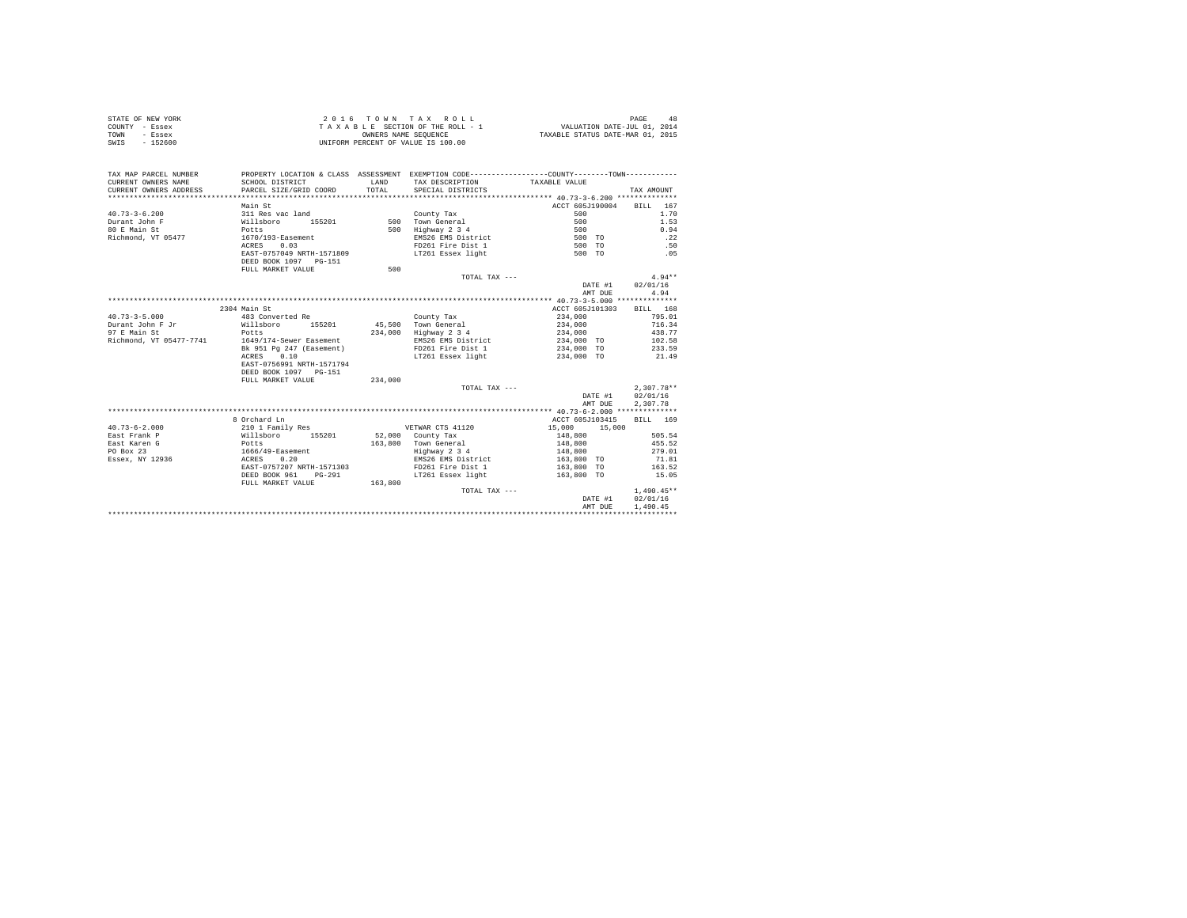| STATE OF NEW YORK | 2016 TOWN TAX ROLL                 | 48<br>PAGE                       |
|-------------------|------------------------------------|----------------------------------|
| COUNTY - Essex    | TAXABLE SECTION OF THE ROLL - 1    | VALUATION DATE-JUL 01, 2014      |
| TOWN<br>- Essex   | OWNERS NAME SEOUENCE               | TAXABLE STATUS DATE-MAR 01, 2015 |
| SWIS<br>- 152600  | UNIFORM PERCENT OF VALUE IS 100.00 |                                  |

| TAX MAP PARCEL NUMBER<br>CURRENT OWNERS NAME<br>CURRENT OWNERS ADDRESS | SCHOOL DISTRICT<br>PARCEL SIZE/GRID COORD | <b>T.AND</b><br>TOTAL. | PROPERTY LOCATION & CLASS ASSESSMENT EXEMPTION CODE----------------COUNTY--------TOWN----------<br>TAX DESCRIPTION TAXABLE VALUE<br>SPECIAL DISTRICTS |                  | TAX AMOUNT   |
|------------------------------------------------------------------------|-------------------------------------------|------------------------|-------------------------------------------------------------------------------------------------------------------------------------------------------|------------------|--------------|
|                                                                        | Main St                                   |                        |                                                                                                                                                       | ACCT 605J190004  | BILL<br>167  |
| $40.73 - 3 - 6.200$                                                    | 311 Res vac land                          |                        | County Tax                                                                                                                                            | 500              | 1.70         |
| Durant John F                                                          | Willsboro<br>155201                       |                        | 500 Town General                                                                                                                                      | 500              | 1.53         |
| 80 E Main St                                                           | Potts                                     | 500                    | Highway 2 3 4                                                                                                                                         | 500              | 0.94         |
| Richmond, VT 05477                                                     | 1670/193-Easement                         |                        | EMS26 EMS District                                                                                                                                    | 500 TO           | .22          |
|                                                                        | ACRES<br>0.03                             |                        | FD261 Fire Dist 1                                                                                                                                     | 500 TO           | .50          |
|                                                                        | EAST-0757049 NRTH-1571809                 |                        | LT261 Essex light                                                                                                                                     | 500 TO           | .05          |
|                                                                        | DEED BOOK 1097 PG-151                     |                        |                                                                                                                                                       |                  |              |
|                                                                        | FULL MARKET VALUE                         | 500                    |                                                                                                                                                       |                  |              |
|                                                                        |                                           |                        | TOTAL TAX ---                                                                                                                                         |                  | $4.94**$     |
|                                                                        |                                           |                        |                                                                                                                                                       | DATE #1          | 02/01/16     |
|                                                                        |                                           |                        |                                                                                                                                                       | AMT DUE          | 4.94         |
|                                                                        |                                           |                        |                                                                                                                                                       |                  |              |
|                                                                        | 2304 Main St                              |                        |                                                                                                                                                       | ACCT 605J101303  | BILL 168     |
| $40.73 - 3 - 5.000$                                                    | 483 Converted Re                          |                        | County Tax                                                                                                                                            | 234,000          | 795.01       |
| Durant John F Jr                                                       | Willsboro<br>155201                       |                        | 45.500 Town General                                                                                                                                   | 234,000          | 716.34       |
| 97 E Main St                                                           | Potts                                     | 234,000                | Highway 2 3 4                                                                                                                                         | 234,000          | 438.77       |
| Richmond, VT 05477-7741                                                | 1649/174-Sewer Easement                   |                        | EMS26 EMS District                                                                                                                                    | 234,000 TO       | 102.58       |
|                                                                        | Bk 951 Pg 247 (Easement)                  |                        | FD261 Fire Dist 1                                                                                                                                     | 234,000 TO       | 233.59       |
|                                                                        | ACRES<br>0.10                             |                        | LT261 Essex light                                                                                                                                     | 234,000 TO       | 21.49        |
|                                                                        | EAST-0756991 NRTH-1571794                 |                        |                                                                                                                                                       |                  |              |
|                                                                        | DEED BOOK 1097 PG-151                     |                        |                                                                                                                                                       |                  |              |
|                                                                        | FULL MARKET VALUE                         | 234,000                |                                                                                                                                                       |                  |              |
|                                                                        |                                           |                        | TOTAL TAX ---                                                                                                                                         |                  | $2,307.78**$ |
|                                                                        |                                           |                        |                                                                                                                                                       | DATE #1          | 02/01/16     |
|                                                                        |                                           |                        |                                                                                                                                                       | AMT DUE          | 2.307.78     |
|                                                                        |                                           |                        |                                                                                                                                                       |                  |              |
|                                                                        | 8 Orchard Ln                              |                        |                                                                                                                                                       | ACCT 605J103415  | RTT.T. 169   |
| $40.73 - 6 - 2.000$                                                    | 210 1 Family Res                          |                        | VETWAR CTS 41120                                                                                                                                      | 15,000<br>15,000 |              |
| East Frank P                                                           | Willsboro<br>155201                       | 52,000                 | County Tax                                                                                                                                            | 148,800          | 505.54       |
| East Karen G                                                           | Potts                                     | 163,800                | Town General                                                                                                                                          | 148,800          | 455.52       |
| PO Box 23                                                              | 1666/49-Easement                          |                        | Highway 2 3 4                                                                                                                                         | 148,800          | 279.01       |
| Essex, NY 12936                                                        | ACRES 0.20                                |                        | EMS26 EMS District                                                                                                                                    | 163,800 TO       | 71.81        |
|                                                                        | EAST-0757207 NRTH-1571303                 |                        | FD261 Fire Dist 1                                                                                                                                     | 163,800 TO       | 163.52       |
|                                                                        | DEED BOOK 961<br>$PG - 291$               |                        | LT261 Essex light                                                                                                                                     | 163,800 TO       | 15.05        |
|                                                                        | FULL MARKET VALUE                         | 163,800                |                                                                                                                                                       |                  |              |
|                                                                        |                                           |                        | TOTAL TAX ---                                                                                                                                         |                  | $1,490.45**$ |
|                                                                        |                                           |                        |                                                                                                                                                       | DATE #1          | 02/01/16     |
|                                                                        |                                           |                        |                                                                                                                                                       | AMT DUE          | 1,490.45     |
|                                                                        |                                           |                        |                                                                                                                                                       |                  |              |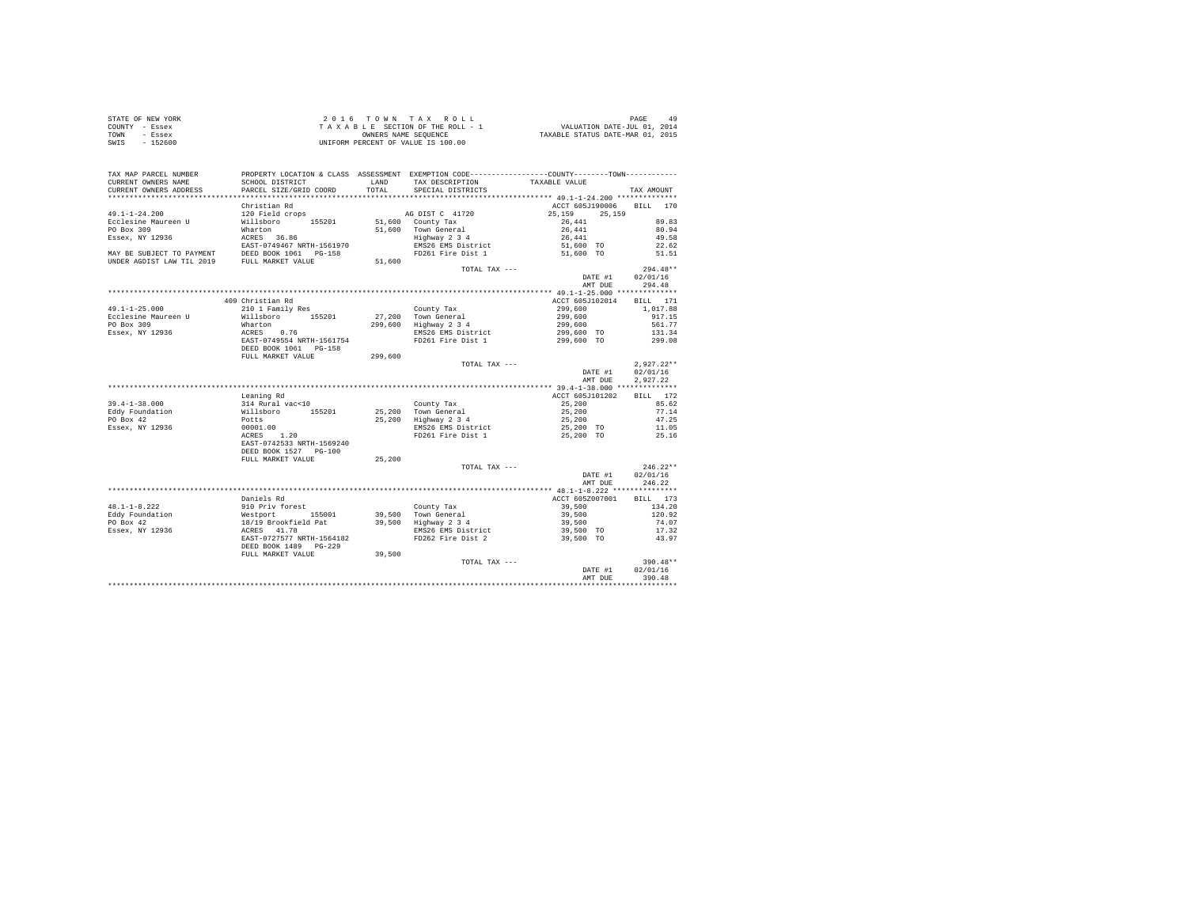| STATE OF NEW YORK |  | 2016 TOWN TAX ROLL                 |  |                                  | PAGE                        |  |
|-------------------|--|------------------------------------|--|----------------------------------|-----------------------------|--|
| COUNTY - Essex    |  | TAXABLE SECTION OF THE ROLL - 1    |  |                                  | VALUATION DATE-JUL 01, 2014 |  |
| TOWN<br>- Essex   |  | OWNERS NAME SEOUENCE               |  | TAXABLE STATUS DATE-MAR 01, 2015 |                             |  |
| SWIS<br>- 152600  |  | UNIFORM PERCENT OF VALUE IS 100.00 |  |                                  |                             |  |

| TAX MAP PARCEL NUMBER<br>CURRENT OWNERS NAME | PROPERTY LOCATION & CLASS ASSESSMENT EXEMPTION CODE---------------COUNTY-------TOWN---------<br>SCHOOL DISTRICT                                                                                                                           | LAND    | TAX DESCRIPTION                         | TAXABLE VALUE                                                                                                                                                                                                |                  |
|----------------------------------------------|-------------------------------------------------------------------------------------------------------------------------------------------------------------------------------------------------------------------------------------------|---------|-----------------------------------------|--------------------------------------------------------------------------------------------------------------------------------------------------------------------------------------------------------------|------------------|
| CURRENT OWNERS ADDRESS                       | PARCEL SIZE/GRID COORD                                                                                                                                                                                                                    | TOTAL   | SPECIAL DISTRICTS                       |                                                                                                                                                                                                              | TAX AMOUNT       |
|                                              |                                                                                                                                                                                                                                           |         |                                         |                                                                                                                                                                                                              |                  |
|                                              | Christian Rd                                                                                                                                                                                                                              |         |                                         | ACCT 605J190006 BILL 170                                                                                                                                                                                     |                  |
| $49.1 - 1 - 24.200$                          |                                                                                                                                                                                                                                           |         |                                         |                                                                                                                                                                                                              |                  |
| Ecclesine Maureen U                          | 120 Field crops<br>Willsboro 155201                                                                                                                                                                                                       |         |                                         | AG DIST C 41720 25,159 25,159<br>51,600 County Tax 26,441<br>26,441                                                                                                                                          | 89.83            |
| PO Box 309                                   | Wharton                                                                                                                                                                                                                                   |         |                                         | 91,600 County Tax = 20,441 = 20,441 = 91.94<br>51,600 Town General = 26,441 = 80.94<br>EMS26 EMS District = 51,600 TO 22.62<br>EMS26 EMS Pistrict = 51,600 TO 21.51<br>= FD261 Fire Dist 1 = 51,600 TO 51.51 |                  |
| Essex, NY 12936                              | what con<br>ACRES 36.86<br>EAST-0749467 NRTH-1561970                                                                                                                                                                                      |         |                                         |                                                                                                                                                                                                              |                  |
|                                              |                                                                                                                                                                                                                                           |         |                                         |                                                                                                                                                                                                              |                  |
|                                              |                                                                                                                                                                                                                                           |         |                                         |                                                                                                                                                                                                              |                  |
|                                              | MAY BE SUBJECT TO PAYMENT DEED BOOK 1061 PG-158<br>UNDER AGDIST LAW TIL 2019 FULL MARKET VALUE                                                                                                                                            | 51,600  |                                         |                                                                                                                                                                                                              |                  |
|                                              |                                                                                                                                                                                                                                           |         | $TOTAI. TAX - - -$                      |                                                                                                                                                                                                              | $294.48**$       |
|                                              |                                                                                                                                                                                                                                           |         |                                         | DATE #1 02/01/16                                                                                                                                                                                             |                  |
|                                              |                                                                                                                                                                                                                                           |         |                                         | AMT DUE                                                                                                                                                                                                      | 294.48           |
|                                              |                                                                                                                                                                                                                                           |         |                                         |                                                                                                                                                                                                              |                  |
|                                              | 409 Christian Rd                                                                                                                                                                                                                          |         |                                         | ACCT 605J102014 BILL 171                                                                                                                                                                                     |                  |
| $49.1 - 1 - 25.000$                          | 210 1 Family Res                                                                                                                                                                                                                          |         |                                         | 299,600                                                                                                                                                                                                      | 1,017.88         |
| Ecclesine Maureen U                          | Willsboro 155201                                                                                                                                                                                                                          |         | County Tax<br>27,200 Town General       | 299,600                                                                                                                                                                                                      | 917.15           |
| PO Box 309                                   | Wharton                                                                                                                                                                                                                                   |         | 299,600 Highway 2 3 4                   | 299,600                                                                                                                                                                                                      | 561.77           |
| Essex, NY 12936                              |                                                                                                                                                                                                                                           |         | EMS26 EMS District                      | 299,600 TO                                                                                                                                                                                                   | 131.34           |
|                                              | ACRES 0.76<br>EAST-0749554 NRTH-1561754                                                                                                                                                                                                   |         | FD261 Fire Dist 1                       | 299,600 TO                                                                                                                                                                                                   | 299.08           |
|                                              | DEED BOOK 1061 PG-158                                                                                                                                                                                                                     |         |                                         |                                                                                                                                                                                                              |                  |
|                                              | FULL MARKET VALUE                                                                                                                                                                                                                         | 299,600 |                                         |                                                                                                                                                                                                              |                  |
|                                              |                                                                                                                                                                                                                                           |         | TOTAL TAX ---                           |                                                                                                                                                                                                              | $2,927.22**$     |
|                                              |                                                                                                                                                                                                                                           |         |                                         | DATE #1                                                                                                                                                                                                      | 02/01/16         |
|                                              |                                                                                                                                                                                                                                           |         |                                         | AMT DUE                                                                                                                                                                                                      | 2,927.22         |
|                                              |                                                                                                                                                                                                                                           |         |                                         |                                                                                                                                                                                                              |                  |
|                                              | Leaning Rd                                                                                                                                                                                                                                |         |                                         | ACCT 605J101202                                                                                                                                                                                              | BILL 172         |
| $39.4 - 1 - 38.000$                          |                                                                                                                                                                                                                                           |         |                                         | 25,200                                                                                                                                                                                                       | 85.62            |
| Eddy Foundation                              |                                                                                                                                                                                                                                           |         |                                         | 25,200                                                                                                                                                                                                       | 77.14            |
| PO Box 42                                    |                                                                                                                                                                                                                                           |         |                                         | 25,200                                                                                                                                                                                                       | 47.25            |
| Essex, NY 12936                              |                                                                                                                                                                                                                                           |         |                                         |                                                                                                                                                                                                              | 11.05            |
|                                              | 314 Rural vac<10<br>Wilaboro 155201<br>25,200 Town General<br>Potts 25,200 Highway 234<br>25,200 Highway 234<br>25,200 Highway 234<br>25,200 Highway 234<br>REST-0742533 NRTH-1569240<br>RER PORT 15021 Fire Dist 1<br>RER PORT 1502 PORT |         | EMS26 EMS District<br>FD261 Fire Dist 1 | 25,200 TO<br>25,200 TO                                                                                                                                                                                       | 25.16            |
|                                              |                                                                                                                                                                                                                                           |         |                                         |                                                                                                                                                                                                              |                  |
|                                              | DEED BOOK 1527 PG-100                                                                                                                                                                                                                     |         |                                         |                                                                                                                                                                                                              |                  |
|                                              | FULL MARKET VALUE                                                                                                                                                                                                                         | 25,200  |                                         |                                                                                                                                                                                                              |                  |
|                                              |                                                                                                                                                                                                                                           |         | TOTAL TAX ---                           |                                                                                                                                                                                                              | $246.22**$       |
|                                              |                                                                                                                                                                                                                                           |         |                                         |                                                                                                                                                                                                              | DATE #1 02/01/16 |
|                                              |                                                                                                                                                                                                                                           |         |                                         | AMT DUE                                                                                                                                                                                                      | 246.22           |
|                                              |                                                                                                                                                                                                                                           |         |                                         |                                                                                                                                                                                                              |                  |
|                                              | Daniels Rd                                                                                                                                                                                                                                |         |                                         | ACCT 605Z007001 BILL 173                                                                                                                                                                                     |                  |
|                                              |                                                                                                                                                                                                                                           |         |                                         |                                                                                                                                                                                                              | 134.20           |
|                                              | 48.1-1-8.222 and an example and private control of the control of the state of the state of the production of<br>Eddy Foundation (1990) and the state of the state of the state of the state of the state of the state of the sta         |         |                                         | 39,500<br>39,500                                                                                                                                                                                             | 120.92           |
|                                              |                                                                                                                                                                                                                                           |         |                                         | 39,500                                                                                                                                                                                                       | 74.07            |
|                                              |                                                                                                                                                                                                                                           |         | EMS26 EMS District                      | 39,500 TO                                                                                                                                                                                                    | 17.32            |
|                                              |                                                                                                                                                                                                                                           |         | FD262 Fire Dist 2                       | 39,500 TO                                                                                                                                                                                                    | 43.97            |
|                                              | DEED BOOK 1489    PG-229                                                                                                                                                                                                                  |         |                                         |                                                                                                                                                                                                              |                  |
|                                              | FULL MARKET VALUE                                                                                                                                                                                                                         | 39,500  |                                         |                                                                                                                                                                                                              |                  |
|                                              |                                                                                                                                                                                                                                           |         | TOTAL TAX ---                           |                                                                                                                                                                                                              | 390.48**         |
|                                              |                                                                                                                                                                                                                                           |         |                                         | DATE #1                                                                                                                                                                                                      | 02/01/16         |
|                                              |                                                                                                                                                                                                                                           |         |                                         | AMT DUE                                                                                                                                                                                                      | 390.48           |
|                                              |                                                                                                                                                                                                                                           |         |                                         |                                                                                                                                                                                                              |                  |
|                                              |                                                                                                                                                                                                                                           |         |                                         |                                                                                                                                                                                                              |                  |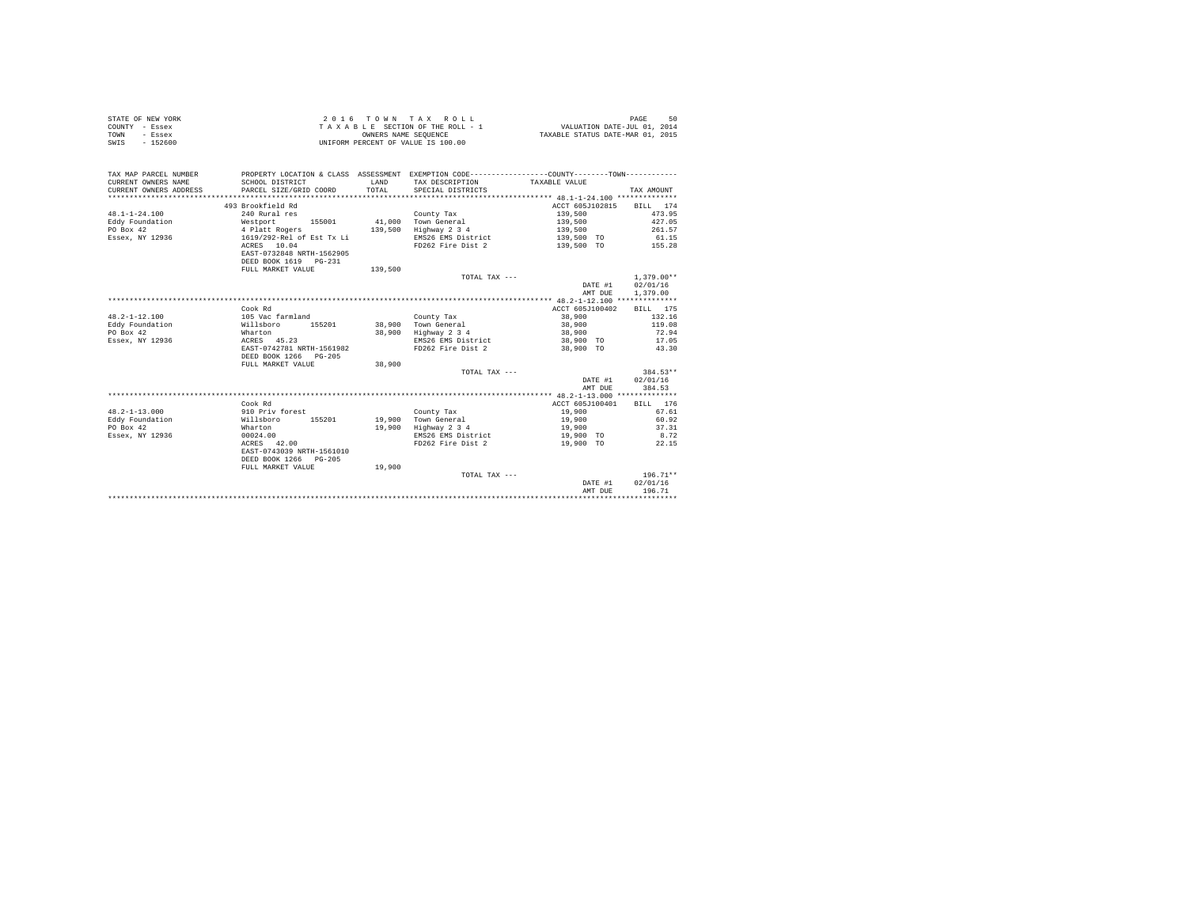|      | STATE OF NEW YORK | 2016 TOWN TAX ROLL                 | 50<br>PAGE                       |
|------|-------------------|------------------------------------|----------------------------------|
|      | COUNTY - Essex    | TAXABLE SECTION OF THE ROLL - 1    | VALUATION DATE-JUL 01, 2014      |
| TOWN | - Essex           | OWNERS NAME SEOUENCE               | TAXABLE STATUS DATE-MAR 01, 2015 |
| SWIS | $-152600$         | UNIFORM PERCENT OF VALUE IS 100.00 |                                  |

| TAX MAP PARCEL NUMBER<br>CURRENT OWNERS NAME<br>CURRENT OWNERS ADDRESS<br>************************* | SCHOOL DISTRICT<br>PARCEL SIZE/GRID COORD   | LAND<br>TOTAL. | PROPERTY LOCATION & CLASS ASSESSMENT EXEMPTION CODE---------------COUNTY-------TOWN----------<br>TAX DESCRIPTION<br>SPECIAL DISTRICTS | TAXABLE VALUE     | TAX AMOUNT       |
|-----------------------------------------------------------------------------------------------------|---------------------------------------------|----------------|---------------------------------------------------------------------------------------------------------------------------------------|-------------------|------------------|
|                                                                                                     | 493 Brookfield Rd                           |                |                                                                                                                                       | ACCT 605J102815   | BILL 174         |
| $48.1 - 1 - 24.100$                                                                                 | 240 Rural res                               |                |                                                                                                                                       |                   | 473.95           |
|                                                                                                     |                                             |                | County Tax                                                                                                                            | 139,500           |                  |
| Eddy Foundation                                                                                     | 155001<br>Westport                          | 41,000         | Town General                                                                                                                          | 139,500           | 427.05           |
| PO Box 42                                                                                           | 4 Platt Rogers<br>1619/292-Rel of Est Tx Li |                | 139,500 Highway 2 3 4                                                                                                                 | 139,500           | 261.57           |
| Essex, NY 12936                                                                                     |                                             |                | EMS26 EMS District                                                                                                                    | 139,500 TO        | 61.15            |
|                                                                                                     | ACRES 10.04                                 |                | FD262 Fire Dist 2                                                                                                                     | 139,500 TO 155.28 |                  |
|                                                                                                     | EAST-0732848 NRTH-1562905                   |                |                                                                                                                                       |                   |                  |
|                                                                                                     | DEED BOOK 1619 PG-231                       |                |                                                                                                                                       |                   |                  |
|                                                                                                     | FULL MARKET VALUE                           | 139,500        |                                                                                                                                       |                   |                  |
|                                                                                                     |                                             |                | TOTAL TAX ---                                                                                                                         |                   | $1.379.00**$     |
|                                                                                                     |                                             |                |                                                                                                                                       | DATE #1           | 02/01/16         |
|                                                                                                     |                                             |                |                                                                                                                                       | AMT DUE           | 1,379.00         |
|                                                                                                     |                                             |                |                                                                                                                                       |                   |                  |
|                                                                                                     | Cook Rd                                     |                |                                                                                                                                       | ACCT 605J100402   | BILL 175         |
| $48.2 - 1 - 12.100$                                                                                 | 105 Vac farmland                            |                | County Tax                                                                                                                            | 38,900            | 132.16           |
| Eddy Foundation<br>Willsboro                                                                        | 155201                                      | 38,900         | Town General                                                                                                                          | 38,900            | 119.08           |
| PO Box 42                                                                                           | Wharton                                     | 38,900         | Highway 2 3 4                                                                                                                         | 38,900            | 72.94            |
| Essex, NY 12936                                                                                     | ACRES 45.23                                 |                | EMS26 EMS District                                                                                                                    | 38,900 TO         | 17.05            |
|                                                                                                     | EAST-0742781 NRTH-1561982                   |                | FD262 Fire Dist 2                                                                                                                     | 38,900 TO         | 43.30            |
|                                                                                                     | DEED BOOK 1266 PG-205                       |                |                                                                                                                                       |                   |                  |
|                                                                                                     | FULL MARKET VALUE                           | 38,900         |                                                                                                                                       |                   |                  |
|                                                                                                     |                                             |                | TOTAL TAX ---                                                                                                                         |                   | $384.53**$       |
|                                                                                                     |                                             |                |                                                                                                                                       |                   | DATE #1 02/01/16 |
|                                                                                                     |                                             |                |                                                                                                                                       | AMT DUE           | 384.53           |
|                                                                                                     |                                             |                |                                                                                                                                       |                   |                  |
|                                                                                                     | Cook Rd                                     |                |                                                                                                                                       | ACCT 605J100401   | BILL 176         |
| $48.2 - 1 - 13.000$                                                                                 | 910 Priv forest                             |                | County Tax                                                                                                                            | 19,900            | 67.61            |
| Eddy Foundation<br>Willsboro                                                                        | 155201                                      |                | 19,900 Town General                                                                                                                   | 19,900            | 60.92            |
| PO Box 42                                                                                           | Wharton                                     | 19,900         | Highway 2 3 4                                                                                                                         | 19,900            | 37.31            |
| Essex, NY 12936                                                                                     | 00024.00                                    |                | EMS26 EMS District                                                                                                                    | 19,900 TO         | 8.72             |
|                                                                                                     | ACRES 42.00                                 |                | FD262 Fire Dist 2                                                                                                                     | 19,900 TO         | 22.15            |
|                                                                                                     | EAST-0743039 NRTH-1561010                   |                |                                                                                                                                       |                   |                  |
|                                                                                                     | DEED BOOK 1266 PG-205                       |                |                                                                                                                                       |                   |                  |
|                                                                                                     | FULL MARKET VALUE                           | 19,900         |                                                                                                                                       |                   |                  |
|                                                                                                     |                                             |                | TOTAL TAX ---                                                                                                                         |                   | $196.71**$       |
|                                                                                                     |                                             |                |                                                                                                                                       | DATE #1           | 02/01/16         |
|                                                                                                     |                                             |                |                                                                                                                                       | AMT DUE           | 196.71           |
|                                                                                                     |                                             |                |                                                                                                                                       |                   |                  |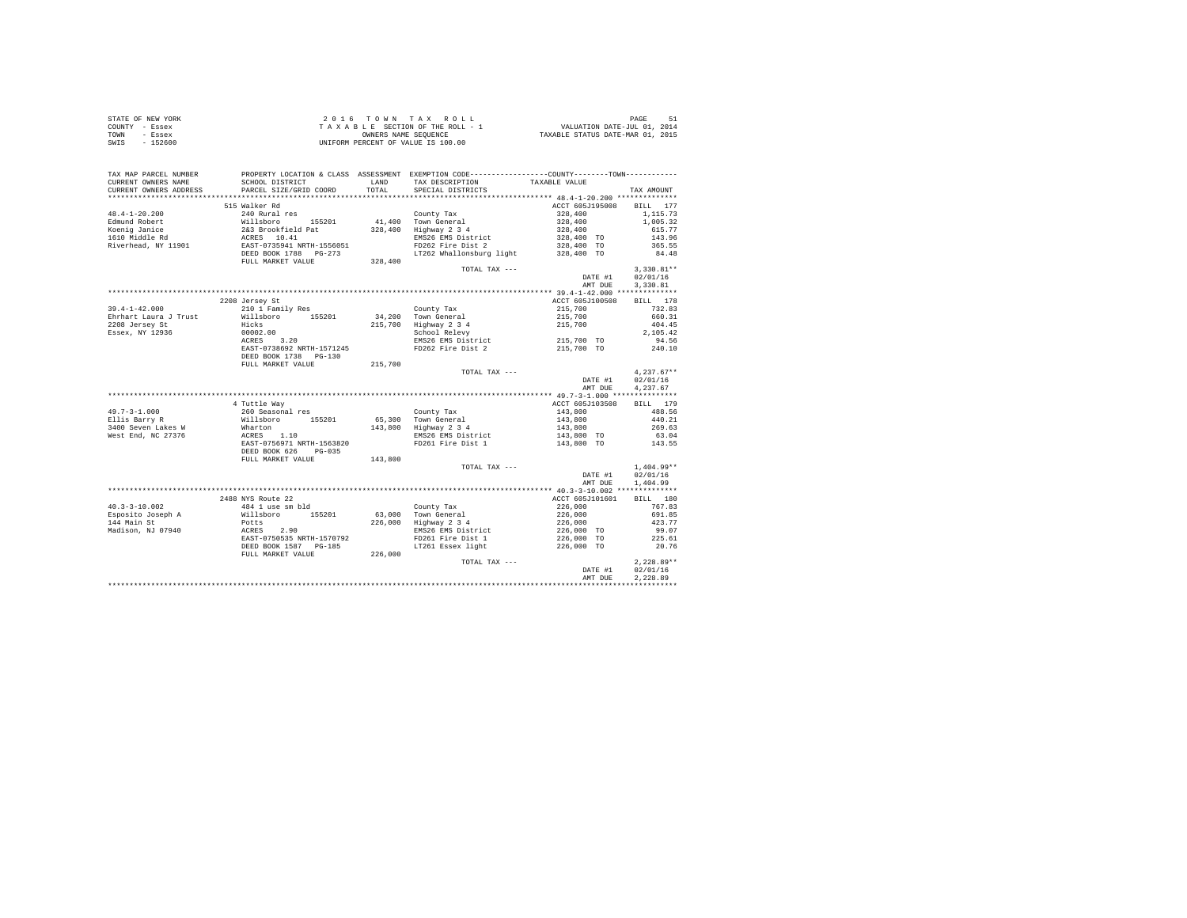| STATE OF NEW YORK | 2016 TOWN TAX ROLL                 | PAGE<br>-51                      |
|-------------------|------------------------------------|----------------------------------|
| COUNTY - Essex    | TAXABLE SECTION OF THE ROLL - 1    | VALUATION DATE-JUL 01, 2014      |
| TOWN<br>- Essex   | OWNERS NAME SEOUENCE               | TAXABLE STATUS DATE-MAR 01, 2015 |
| SWIS<br>- 152600  | UNIFORM PERCENT OF VALUE IS 100.00 |                                  |

| TAX MAP PARCEL NUMBER<br>CURRENT OWNERS NAME | SCHOOL DISTRICT                                                                                                                                      | LAND    | PROPERTY LOCATION & CLASS ASSESSMENT EXEMPTION CODE---------------COUNTY-------TOWN---------<br>TAX DESCRIPTION | TAXABLE VALUE                                                     |                    |
|----------------------------------------------|------------------------------------------------------------------------------------------------------------------------------------------------------|---------|-----------------------------------------------------------------------------------------------------------------|-------------------------------------------------------------------|--------------------|
| CURRENT OWNERS ADDRESS<br>                   | PARCEL SIZE/GRID COORD<br>*****************************                                                                                              | TOTAL   | SPECIAL DISTRICTS                                                                                               |                                                                   | TAX AMOUNT         |
|                                              | 515 Walker Rd                                                                                                                                        |         |                                                                                                                 |                                                                   | BILL 177           |
| $48.4 - 1 - 20.200$                          | 240 Rural res                                                                                                                                        |         |                                                                                                                 | ACCT 605J195008                                                   | 1,115,73           |
|                                              | 41,40<br>240 Nurai res 155201 141,40<br>263 Brookfield Pat 328,40<br>263 Brookfield Pat 328,40<br>ERET-0735941 NRTH-1556051<br>ERED BOOK 1788 PG-273 |         | County Tax<br>County Tax<br>41,400 Town General                                                                 | $328,400$<br>$328,400$<br>$328,400$<br>$328,400$<br>$328,400$ TO  |                    |
| Edmund Robert                                |                                                                                                                                                      |         | 328,400 Highway 2 3 4                                                                                           |                                                                   | 1,005.32<br>615.77 |
| Koenig Janice<br>1610 Middle Rd              |                                                                                                                                                      |         | EMS26 EMS District                                                                                              |                                                                   | 143.96             |
|                                              |                                                                                                                                                      |         |                                                                                                                 |                                                                   |                    |
| Riverhead, NY 11901                          |                                                                                                                                                      |         | FD262 Fire Dist 2                                                                                               | 328,400 TO                                                        | 365.55             |
|                                              | FULL MARKET VALUE                                                                                                                                    | 328,400 | LT262 Whallonsburg light 328,400 TO                                                                             |                                                                   | 84.48              |
|                                              |                                                                                                                                                      |         |                                                                                                                 |                                                                   | $3.330.81**$       |
|                                              |                                                                                                                                                      |         | TOTAL TAX ---                                                                                                   | DATE #1                                                           | 02/01/16           |
|                                              |                                                                                                                                                      |         |                                                                                                                 |                                                                   |                    |
|                                              |                                                                                                                                                      |         |                                                                                                                 | AMT DUE                                                           | 3,330.81           |
|                                              |                                                                                                                                                      |         |                                                                                                                 |                                                                   |                    |
|                                              | 2208 Jersey St                                                                                                                                       |         |                                                                                                                 | ACCT 605J100508<br>--- ∘v∍J1005t<br>215,700<br>215,700<br>215,700 | BILL 178           |
| $39.4 - 1 - 42.000$                          | 210 1 Family Res                                                                                                                                     |         | County Tax                                                                                                      |                                                                   | 732.83             |
|                                              | Ehrhart Laura J Trust Willsboro 155201 34,200 Town General                                                                                           |         |                                                                                                                 |                                                                   | 660.31             |
| 2208 Jersey St                               | Hicks                                                                                                                                                |         | 215,700 Highway 2 3 4<br>School Relevy                                                                          |                                                                   | 404.45             |
| Essex, NY 12936                              | 00002.00<br>ACRES 3.20                                                                                                                               |         | EMS26 EMS District 215,700 TO                                                                                   |                                                                   | 2,105.42           |
|                                              |                                                                                                                                                      |         |                                                                                                                 |                                                                   | 94.56              |
|                                              | EAST-0738692 NRTH-1571245<br>DEED BOOK 1738 PG-130                                                                                                   |         | FD262 Fire Dist 2                                                                                               | 215,700 TO                                                        | 240.10             |
|                                              | FULL MARKET VALUE                                                                                                                                    | 215,700 |                                                                                                                 |                                                                   |                    |
|                                              |                                                                                                                                                      |         | TOTAL TAX ---                                                                                                   |                                                                   | $4,237.67**$       |
|                                              |                                                                                                                                                      |         |                                                                                                                 | DATE #1                                                           | 02/01/16           |
|                                              |                                                                                                                                                      |         |                                                                                                                 | AMT DUE                                                           | 4,237.67           |
|                                              |                                                                                                                                                      |         |                                                                                                                 |                                                                   |                    |
|                                              | 4 Tuttle Way                                                                                                                                         |         |                                                                                                                 | ACCT 605J103508                                                   | BILL 179           |
| 49.7-3-1.000<br>Ellis Barry R                |                                                                                                                                                      |         | County Tax                                                                                                      |                                                                   | 488.56             |
|                                              | 260 Seasonal res<br>Willsboro 155201<br>Wharton<br>ACRES 1.10<br>EAST-0756971 NRTH-1563820                                                           |         | 65,300 Town General                                                                                             | $143,800$<br>$143,800$<br>$143,800$<br>$143,800$ TO               | 440.21             |
| 3400 Seven Lakes W                           |                                                                                                                                                      |         | 143,800 Highway 2 3 4                                                                                           |                                                                   | 269.63             |
| West End, NC 27376                           |                                                                                                                                                      |         | EMS26 EMS District                                                                                              |                                                                   | 63.04              |
|                                              | EAST-0756971 NRTH-1563820                                                                                                                            |         | FD261 Fire Dist 1                                                                                               | 143,800 TO                                                        | 143.55             |
|                                              | DEED BOOK 626<br>$PG-0.35$                                                                                                                           |         |                                                                                                                 |                                                                   |                    |
|                                              | FULL MARKET VALUE                                                                                                                                    | 143,800 |                                                                                                                 |                                                                   |                    |
|                                              |                                                                                                                                                      |         | TOTAL TAX ---                                                                                                   |                                                                   | $1.404.99**$       |
|                                              |                                                                                                                                                      |         |                                                                                                                 | DATE #1                                                           | 02/01/16           |
|                                              |                                                                                                                                                      |         |                                                                                                                 | AMT DUE                                                           | 1,404.99           |
|                                              |                                                                                                                                                      |         |                                                                                                                 |                                                                   |                    |
|                                              | 2488 NYS Route 22                                                                                                                                    |         |                                                                                                                 | ACCT 605J101601                                                   | BILL 180           |
|                                              |                                                                                                                                                      |         | County Tax<br>63,000 Town General                                                                               | 226,000<br>226,000<br>226,000                                     | 767.83             |
|                                              |                                                                                                                                                      |         |                                                                                                                 |                                                                   | 691.85             |
|                                              |                                                                                                                                                      |         |                                                                                                                 |                                                                   | 423.77             |
|                                              |                                                                                                                                                      |         | 226,000 $\frac{1}{\text{min}}$ will be a 23 4<br>EMS26 EMS District                                             | 226,000 TO                                                        | 99.07              |
|                                              |                                                                                                                                                      |         | FD261 Fire Dist 1                                                                                               | 226.000 TO                                                        | 225.61             |
|                                              | DEED BOOK 1587 PG-185                                                                                                                                |         | LT261 Essex light 226,000 TO                                                                                    |                                                                   | 20.76              |
|                                              | FULL MARKET VALUE                                                                                                                                    | 226,000 |                                                                                                                 |                                                                   |                    |
|                                              |                                                                                                                                                      |         | TOTAL TAX ---                                                                                                   |                                                                   | $2,228.89**$       |
|                                              |                                                                                                                                                      |         |                                                                                                                 | DATE #1                                                           | 02/01/16           |
|                                              |                                                                                                                                                      |         |                                                                                                                 | AMT DUE                                                           | 2.228.89           |
|                                              |                                                                                                                                                      |         |                                                                                                                 |                                                                   |                    |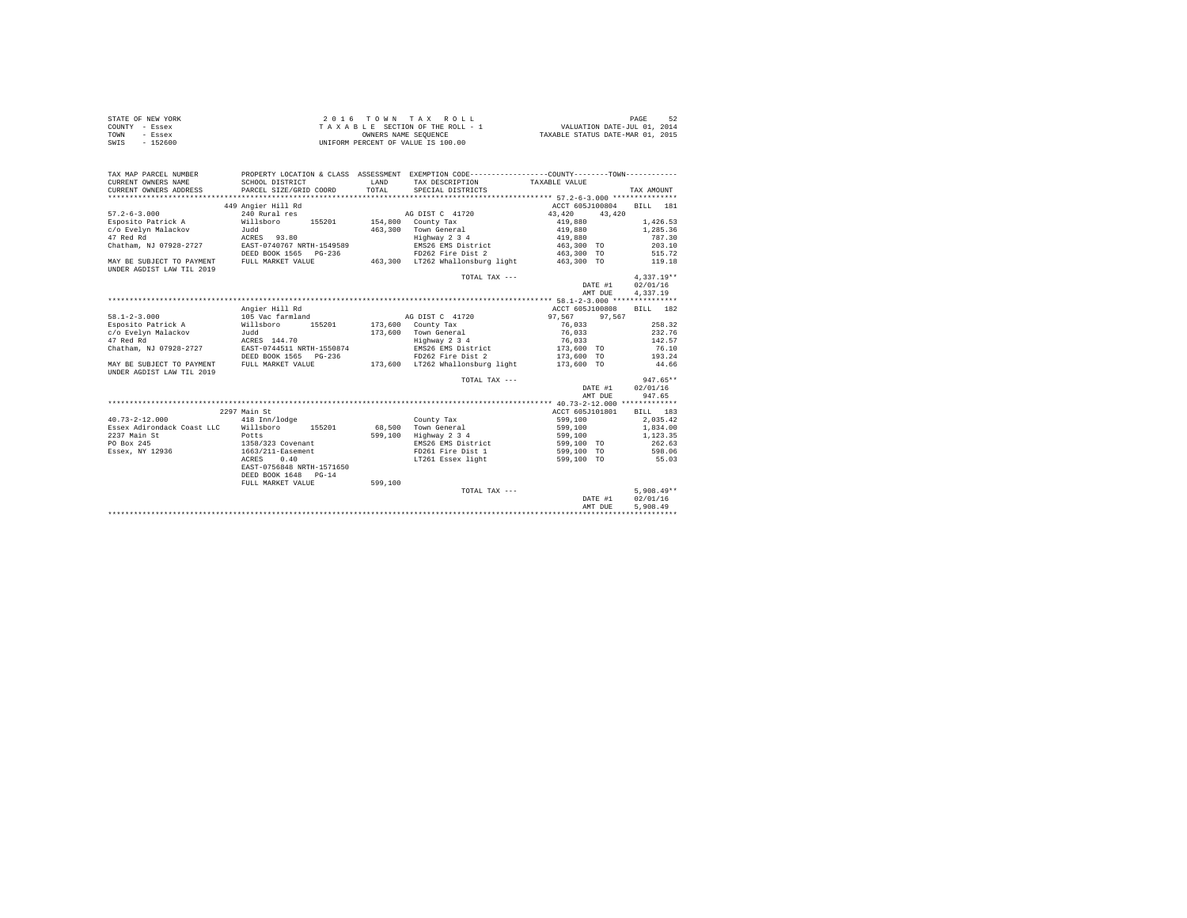| STATE OF NEW YORK | 2016 TOWN TAX ROLL                 | 52<br>PAGE                       |
|-------------------|------------------------------------|----------------------------------|
| COUNTY - Essex    | TAXABLE SECTION OF THE ROLL - 1    | VALUATION DATE-JUL 01, 2014      |
| TOWN<br>- Essex   | OWNERS NAME SEOUENCE               | TAXABLE STATUS DATE-MAR 01, 2015 |
| SWIS<br>$-152600$ | UNIFORM PERCENT OF VALUE IS 100.00 |                                  |

| TAX MAP PARCEL NUMBER                                                                   | PROPERTY LOCATION & CLASS ASSESSMENT EXEMPTION CODE----------------COUNTY-------TOWN--------- |         |                                  |                                    |              |
|-----------------------------------------------------------------------------------------|-----------------------------------------------------------------------------------------------|---------|----------------------------------|------------------------------------|--------------|
| CURRENT OWNERS NAME                                                                     | SCHOOL DISTRICT                                                                               | LAND    | TAX DESCRIPTION TAXABLE VALUE    |                                    |              |
| CURRENT OWNERS ADDRESS                                                                  | PARCEL SIZE/GRID COORD                                                                        | TOTAL   | SPECIAL DISTRICTS                |                                    | TAX AMOUNT   |
|                                                                                         |                                                                                               |         |                                  |                                    |              |
|                                                                                         | 449 Angier Hill Rd                                                                            |         |                                  | ACCT 605J100804                    | BILL 181     |
| $57.2 - 6 - 3.000$                                                                      | 240 Rural res                                                                                 |         | AG DIST C 41720                  | 43,420 43,420                      |              |
| Esposito Patrick A Millsboro                                                            | 155201 154,800 County Tax                                                                     |         |                                  | 419,880                            | 1,426.53     |
|                                                                                         |                                                                                               |         | 463,300 Town General             | 419,880<br>419,880                 | 1,285.36     |
|                                                                                         |                                                                                               |         | Highway 2 3 4                    |                                    | 787.30       |
|                                                                                         | Chatham, NJ 07928-2727 EAST-0740767 NRTH-1549589                                              |         | EMS26 EMS District               | 463,300 TO                         | 203.10       |
|                                                                                         | DEED BOOK 1565 PG-236                                                                         |         |                                  | FD262 Fire Dist 2 463,300 TO       | 515.72       |
| MAY BE SUBJECT TO PAYMENT FULL MARKET VALUE                                             |                                                                                               |         | 463,300 LT262 Whallonsburg light | 463,300 TO                         | 119.18       |
| UNDER AGDIST LAW TIL 2019                                                               |                                                                                               |         |                                  |                                    |              |
|                                                                                         |                                                                                               |         | TOTAL TAX ---                    |                                    | $4.337.19**$ |
|                                                                                         |                                                                                               |         |                                  | DATE #1                            | 02/01/16     |
|                                                                                         |                                                                                               |         |                                  | AMT DUE                            | 4,337.19     |
|                                                                                         |                                                                                               |         |                                  |                                    |              |
|                                                                                         | Angier Hill Rd                                                                                |         |                                  | ACCT 605J100808                    | BILL 182     |
| $58.1 - 2 - 3.000$                                                                      | 105 Vac farmland                                                                              |         | AG DIST C 41720                  | 97.567 97.567                      |              |
| Esposito Patrick A Millsboro                                                            | 155201                                                                                        |         | $173.600$ County Tax             | 76.033                             | 258.32       |
|                                                                                         |                                                                                               |         | 173,600 Town General             | $76\,, 033$                        | 232.76       |
| c/o Evelyn Malackov         Judd<br>47 Red Rd                             ACRES  144.70 |                                                                                               |         | Highway 2 3 4                    | 76,033                             | 142.57       |
|                                                                                         | Chatham, NJ 07928-2727 EAST-0744511 NRTH-1550874                                              |         |                                  | EMS26 EMS District 173,600 TO      | 76.10        |
|                                                                                         | DEED BOOK 1565 PG-236                                                                         |         | FD262 Fire Dist 2                | 173,600 TO                         | 193.24       |
| MAY BE SUBJECT TO PAYMENT                                                               | FULL MARKET VALUE                                                                             |         | 173,600 LT262 Whallonsburg light | 173,600 TO                         | 44.66        |
| UNDER AGDIST LAW TIL 2019                                                               |                                                                                               |         |                                  |                                    |              |
|                                                                                         |                                                                                               |         | TOTAL TAX ---                    |                                    | $947.65**$   |
|                                                                                         |                                                                                               |         |                                  | DATE #1                            | 02/01/16     |
|                                                                                         |                                                                                               |         |                                  | AMT DUE                            | 947.65       |
|                                                                                         |                                                                                               |         |                                  |                                    |              |
|                                                                                         | 2297 Main St                                                                                  |         |                                  | ACCT 605J101801                    | BILL 183     |
| $40.73 - 2 - 12.000$                                                                    | 418 Inn/lodge                                                                                 |         | County Tax                       | 599,100                            | 2.035.42     |
|                                                                                         | Essex Adirondack Coast LLC Willsboro 155201 68.500 Town General                               |         |                                  | 599,100                            | 1,834.00     |
| 2237 Main St                                                                            | Potts                                                                                         |         | 599,100 Highway 2 3 4            | 599,100                            | 1,123.35     |
| PO Box 245                                                                              | rotts<br>1358/323 Covenant<br>1663/211-Easement                                               |         | EMS26 EMS District               | 599,100 TO                         | 262.63       |
| Essex, NY 12936                                                                         |                                                                                               |         | FD261 Fire Dist 1                | 599,100 TO                         | 598.06       |
|                                                                                         | ACRES<br>0.40                                                                                 |         |                                  | LT261 Essex light 699,100 TO 55.03 |              |
|                                                                                         | EAST-0756848 NRTH-1571650                                                                     |         |                                  |                                    |              |
|                                                                                         | DEED BOOK 1648 PG-14                                                                          |         |                                  |                                    |              |
|                                                                                         | FULL MARKET VALUE                                                                             | 599.100 |                                  |                                    |              |
|                                                                                         |                                                                                               |         | TOTAL TAX ---                    |                                    | $5.908.49**$ |
|                                                                                         |                                                                                               |         |                                  | DATE #1                            | 02/01/16     |
|                                                                                         |                                                                                               |         |                                  | AMT DUE                            | 5,908.49     |
|                                                                                         |                                                                                               |         |                                  |                                    |              |
|                                                                                         |                                                                                               |         |                                  |                                    |              |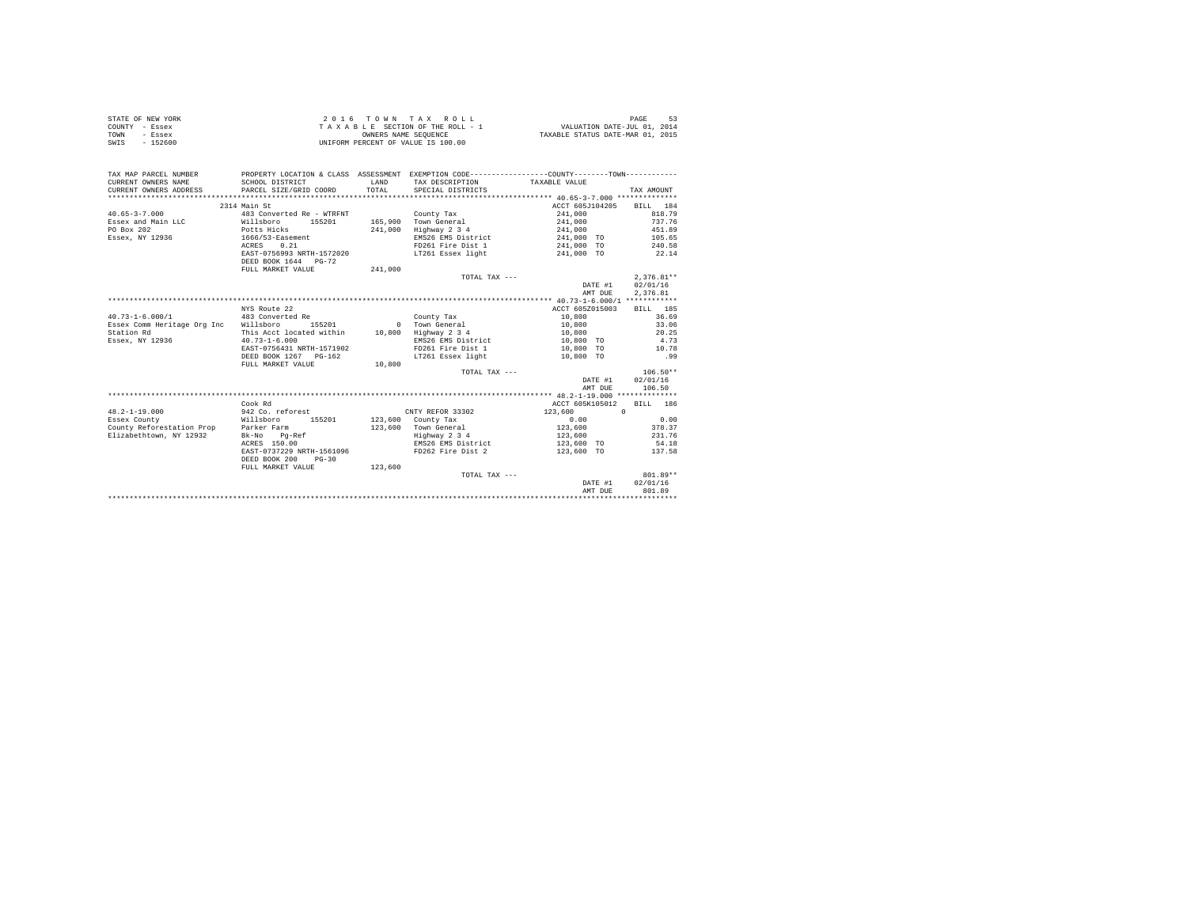|                | STATE OF NEW YORK | 2016 TOWN TAX ROLL                 | -53<br>PAGE                      |
|----------------|-------------------|------------------------------------|----------------------------------|
| COUNTY - Essex |                   | TAXABLE SECTION OF THE ROLL - 1    | VALUATION DATE-JUL 01, 2014      |
| TOWN           | - Essex           | OWNERS NAME SEOUENCE               | TAXABLE STATUS DATE-MAR 01, 2015 |
| SWIS           | $-152600$         | UNIFORM PERCENT OF VALUE IS 100.00 |                                  |

| TAX MAP PARCEL NUMBER<br>CURRENT OWNERS NAME<br>CURRENT OWNERS ADDRESS | SCHOOL DISTRICT<br>PARCEL SIZE/GRID COORD         | LAND<br>TOTAL | PROPERTY LOCATION & CLASS ASSESSMENT EXEMPTION CODE----------------COUNTY-------TOWN----------<br>TAX DESCRIPTION TAXABLE VALUE<br>SPECIAL DISTRICTS |                   | TAX AMOUNT   |
|------------------------------------------------------------------------|---------------------------------------------------|---------------|------------------------------------------------------------------------------------------------------------------------------------------------------|-------------------|--------------|
|                                                                        | 2314 Main St                                      |               |                                                                                                                                                      | ACCT 605J104205   | BILL 184     |
| $40.65 - 3 - 7.000$                                                    | 483 Converted Re - WTRFNT                         |               | County Tax                                                                                                                                           | 241,000           | 818.79       |
|                                                                        | 155201                                            |               | 165,900 Town General                                                                                                                                 | 241,000           | 737.76       |
| Essex and Main LLC Willsboro<br>PO Box 202                             | Potts Hicks                                       |               | 241,000 Highway 2 3 4                                                                                                                                | 241,000           | 451.89       |
|                                                                        | $1666/53$ -Easement                               |               | EMS26 EMS District                                                                                                                                   |                   | 105.65       |
| Essex, NY 12936                                                        |                                                   |               |                                                                                                                                                      | 241,000 TO        |              |
|                                                                        | 0.21<br>ACRES                                     |               | FD261 Fire Dist 1 241,000 TO                                                                                                                         |                   | 240.58       |
|                                                                        | EAST-0756993 NRTH-1572020<br>DEED BOOK 1644 PG-72 |               | LT261 Essex light 6 241,000 TO 22.14                                                                                                                 |                   |              |
|                                                                        | FULL MARKET VALUE                                 | 241,000       |                                                                                                                                                      |                   |              |
|                                                                        |                                                   |               | TOTAL TAX ---                                                                                                                                        |                   | $2.376.81**$ |
|                                                                        |                                                   |               |                                                                                                                                                      | DATE #1           | 02/01/16     |
|                                                                        |                                                   |               |                                                                                                                                                      | AMT DUE           | 2.376.81     |
|                                                                        |                                                   |               |                                                                                                                                                      |                   |              |
|                                                                        | NYS Route 22                                      |               |                                                                                                                                                      | ACCT 605Z015003   | BILL 185     |
| $40.73 - 1 - 6.000 / 1$                                                | 483 Converted Re                                  |               | County Tax                                                                                                                                           | 10,800            | 36.69        |
| Essex Comm Heritage Org Inc Willsboro                                  | 155201                                            |               | 0 Town General                                                                                                                                       | 10,800            | 33.06        |
| Station Rd                                                             | This Acct located within 10,800 Highway 2 3 4     |               |                                                                                                                                                      | 10,800            | 20.25        |
| Essex, NY 12936                                                        | $40.73 - 1 - 6.000$                               |               | EMS26 EMS District                                                                                                                                   | 10,800 TO         | 4.73         |
|                                                                        | EAST-0756431 NRTH-1571902                         |               | FD261 Fire Dist 1 10,800 TO                                                                                                                          |                   | 10.78        |
|                                                                        | DEED BOOK 1267 PG-162                             |               | LT261 Essex light                                                                                                                                    | 10,800 TO         | .99          |
|                                                                        | FULL MARKET VALUE                                 | 10,800        |                                                                                                                                                      |                   |              |
|                                                                        |                                                   |               | TOTAL TAX ---                                                                                                                                        |                   | $106.50**$   |
|                                                                        |                                                   |               |                                                                                                                                                      | DATE #1           | 02/01/16     |
|                                                                        |                                                   |               |                                                                                                                                                      | AMT DUE           | 106.50       |
|                                                                        |                                                   |               |                                                                                                                                                      |                   |              |
|                                                                        | Cook Rd                                           |               |                                                                                                                                                      | ACCT 605K105012   | BILL 186     |
| $48.2 - 1 - 19.000$                                                    | 942 Co. reforest                                  |               | CNTY REFOR 33302                                                                                                                                     | 123,600 0         |              |
| Essex County                                                           | Willsboro 155201                                  |               | 123,600 County Tax                                                                                                                                   | 0.00              | 0.00         |
| County Reforestation Prop Parker Farm                                  |                                                   |               | 123,600 Town General                                                                                                                                 | 123,600           | 378.37       |
| Elizabethtown, NY 12932                                                | Bk-No Pq-Ref                                      |               | Highway 2 3 4                                                                                                                                        | 123,600           | 231.76       |
|                                                                        | ACRES 150.00                                      |               | $\begin{array}{ll}\n\text{HMS26 EMS} & \text{if } 3 = 4 \\ \text{EMS26 EMS} & \text{District}\n\end{array}$                                          | 123,600 TO        | 54.18        |
|                                                                        | EAST-0737229 NRTH-1561096                         |               | FD262 Fire Dist 2                                                                                                                                    | 123,600 TO 137.58 |              |
|                                                                        | DEED BOOK 200<br>$PG - 30$                        |               |                                                                                                                                                      |                   |              |
|                                                                        | FULL MARKET VALUE                                 | 123,600       |                                                                                                                                                      |                   |              |
|                                                                        |                                                   |               | TOTAL TAX ---                                                                                                                                        |                   | $801.89**$   |
|                                                                        |                                                   |               |                                                                                                                                                      | DATE #1           | 02/01/16     |
|                                                                        |                                                   |               |                                                                                                                                                      | AMT DUE           | 801.89       |
|                                                                        |                                                   |               |                                                                                                                                                      |                   |              |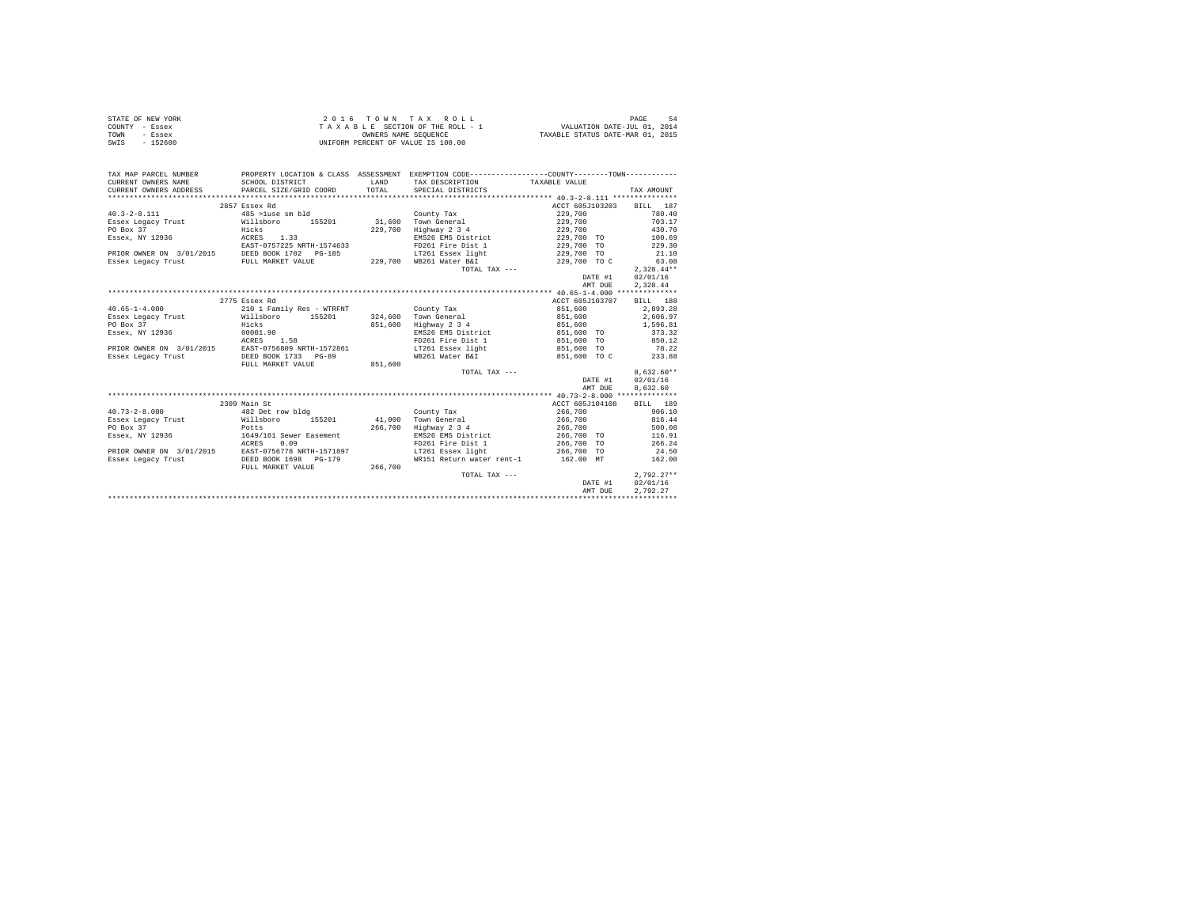|                | STATE OF NEW YORK | $2.0.16$ TOWN TAX ROLL             | PAGE<br>- 54                     |
|----------------|-------------------|------------------------------------|----------------------------------|
| COUNTY - Essex |                   | TAXABLE SECTION OF THE ROLL - 1    | VALUATION DATE-JUL 01, 2014      |
| TOWN           | - Essex           | OWNERS NAME SEOUENCE               | TAXABLE STATUS DATE-MAR 01, 2015 |
| SWIS           | $-152600$         | UNIFORM PERCENT OF VALUE IS 100.00 |                                  |

| TAX MAP PARCEL NUMBER<br>CURRENT OWNERS NAME | PROPERTY LOCATION & CLASS ASSESSMENT EXEMPTION CODE---------------COUNTY-------TOWN----------<br>SCHOOL DISTRICT                                                                                                                                                                                                                                                                                        | LAND    | TAX DESCRIPTION                                           | TAXABLE VALUE            |                  |
|----------------------------------------------|---------------------------------------------------------------------------------------------------------------------------------------------------------------------------------------------------------------------------------------------------------------------------------------------------------------------------------------------------------------------------------------------------------|---------|-----------------------------------------------------------|--------------------------|------------------|
|                                              | CURRENT OWNERS ADDRESS PARCEL SIZE/GRID COORD TOTAL SPECIAL DISTRICTS                                                                                                                                                                                                                                                                                                                                   |         |                                                           |                          | TAX AMOUNT       |
|                                              |                                                                                                                                                                                                                                                                                                                                                                                                         |         |                                                           |                          |                  |
|                                              | 2857 Essex Rd                                                                                                                                                                                                                                                                                                                                                                                           |         |                                                           | ACCT 605J103203 BILL 187 |                  |
| $40.3 - 2 - 8.111$                           | 485 >luse sm bld                                                                                                                                                                                                                                                                                                                                                                                        |         | County Tax                                                | 229,700                  | 780.40           |
|                                              |                                                                                                                                                                                                                                                                                                                                                                                                         |         |                                                           | 229,700                  | 703.17           |
| PO Box 37                                    | Hicks                                                                                                                                                                                                                                                                                                                                                                                                   |         | Highway 2 3 4                                             | 229,700                  | 430.70           |
|                                              |                                                                                                                                                                                                                                                                                                                                                                                                         | 229,700 |                                                           |                          |                  |
| Essex, NY 12936<br>RCRES 1.33                |                                                                                                                                                                                                                                                                                                                                                                                                         |         | EMS26 EMS District 229,700 TO 100.69<br>FD261 Fire Dist 1 | 229,700 TO               | 229.30           |
|                                              | EAST-0757225 NRTH-1574633<br>PRIOR OWNER ON 3/01/2015 DEED BOOK 1702 PG-185<br>Essex Legacy Trust                                                                                                                                                                                                                                                                                                       |         |                                                           |                          | 21.10            |
|                                              |                                                                                                                                                                                                                                                                                                                                                                                                         |         | LT261 Essex light<br>229,700 WB261 Water B&I              | 229,700 TO               |                  |
|                                              |                                                                                                                                                                                                                                                                                                                                                                                                         |         |                                                           | 229,700 то с             | 63.08            |
|                                              |                                                                                                                                                                                                                                                                                                                                                                                                         |         | TOTAL TAX ---                                             |                          | $2.328.44**$     |
|                                              |                                                                                                                                                                                                                                                                                                                                                                                                         |         |                                                           | DATE #1                  | 02/01/16         |
|                                              | $\begin{minipage}{.4\linewidth} \begin{tabular}{l} \hline \textbf{0.1} & \textbf{0.1} & \textbf{0.1} & \textbf{0.1} \\ \textbf{0.1} & \textbf{0.1} & \textbf{0.1} & \textbf{0.1} \\ \textbf{0.1} & \textbf{0.1} & \textbf{0.1} & \textbf{0.1} \\ \textbf{0.1} & \textbf{0.1} & \textbf{0.1} & \textbf{0.1} \\ \textbf{0.1} & \textbf{0.1} & \textbf{0.1} & \textbf{0.1} \\ \textbf{0.1} & \textbf{0.1}$ |         |                                                           | AMT DUE                  | 2,328.44         |
|                                              |                                                                                                                                                                                                                                                                                                                                                                                                         |         |                                                           |                          |                  |
|                                              | 2775 Essex Rd                                                                                                                                                                                                                                                                                                                                                                                           |         |                                                           | ACCT 605J103707 BILL 188 |                  |
| $40.65 - 1 - 4.000$                          | 210 1 Family Res - WTRFNT                                                                                                                                                                                                                                                                                                                                                                               |         | County Tax                                                | 851,600                  | 2,893.28         |
|                                              |                                                                                                                                                                                                                                                                                                                                                                                                         |         |                                                           | 851,600                  | 2,606.97         |
| PO Box 37                                    | Hicks                                                                                                                                                                                                                                                                                                                                                                                                   |         | 851,600 Highway 2 3 4                                     | 851,600                  | 1,596.81         |
| $E$ ssex, NY 12936 $00001.90$                |                                                                                                                                                                                                                                                                                                                                                                                                         |         | EMS26 EMS District                                        | 851,600 TO               | 373.32           |
|                                              | ACRES 1.58                                                                                                                                                                                                                                                                                                                                                                                              |         | FD261 Fire Dist 1 851,600 TO 850.12                       |                          |                  |
|                                              | PRIOR OWNER ON 3/01/2015 EAST-0756809 NRTH-1572861                                                                                                                                                                                                                                                                                                                                                      |         | LT261 Essex light 651,600 TO                              |                          | 78.22            |
| Essex Legacy Trust                           | DEED BOOK 1733 PG-89                                                                                                                                                                                                                                                                                                                                                                                    |         | WB261 Water B&I                                           | 851,600 TO C             | 233.88           |
|                                              | FULL MARKET VALUE                                                                                                                                                                                                                                                                                                                                                                                       | 851,600 |                                                           |                          |                  |
|                                              |                                                                                                                                                                                                                                                                                                                                                                                                         |         | TOTAL TAX ---                                             |                          | $8.632.60**$     |
|                                              |                                                                                                                                                                                                                                                                                                                                                                                                         |         |                                                           |                          | DATE #1 02/01/16 |
|                                              |                                                                                                                                                                                                                                                                                                                                                                                                         |         |                                                           | AMT DUE                  | 8,632.60         |
|                                              |                                                                                                                                                                                                                                                                                                                                                                                                         |         |                                                           |                          |                  |
|                                              | 2309 Main St                                                                                                                                                                                                                                                                                                                                                                                            |         |                                                           | ACCT 605J104108 BILL 189 |                  |
| $40.73 - 2 - 8.000$                          | 482 Det row bldg                                                                                                                                                                                                                                                                                                                                                                                        |         | County Tax                                                | 266,700 906.10           |                  |
|                                              |                                                                                                                                                                                                                                                                                                                                                                                                         |         | Town General                                              | 266,700 816.44           |                  |
| PO Box 37                                    |                                                                                                                                                                                                                                                                                                                                                                                                         | 266,700 | Highway 2 3 4                                             |                          | 500.08           |
| Essex, NY 12936                              | Potts<br>1649/161 Sewer Easement                                                                                                                                                                                                                                                                                                                                                                        |         | EMS26 EMS District                                        | 266,700<br>266,700 TO    | 116.91           |
|                                              | ACRES<br>0.09                                                                                                                                                                                                                                                                                                                                                                                           |         | FD261 Fire Dist 1 266,700 TO                              |                          | 266.24           |
|                                              | PRIOR OWNER ON 3/01/2015 EAST-0756778 NRTH-1571897                                                                                                                                                                                                                                                                                                                                                      |         | LT261 Essex light 266,700 TO                              |                          | 24.50            |
| Essex Legacy Trust                           | DEED BOOK 1698 PG-179                                                                                                                                                                                                                                                                                                                                                                                   |         | WR151 Return water rent-1 162.00 MT                       |                          | 162.00           |
|                                              | FULL MARKET VALUE 266,700                                                                                                                                                                                                                                                                                                                                                                               |         |                                                           |                          |                  |
|                                              |                                                                                                                                                                                                                                                                                                                                                                                                         |         | TOTAL TAX ---                                             |                          | $2,792.27**$     |
|                                              |                                                                                                                                                                                                                                                                                                                                                                                                         |         |                                                           |                          | DATE #1 02/01/16 |
|                                              |                                                                                                                                                                                                                                                                                                                                                                                                         |         |                                                           | AMT DUE                  | 2.792.27         |
|                                              |                                                                                                                                                                                                                                                                                                                                                                                                         |         |                                                           |                          |                  |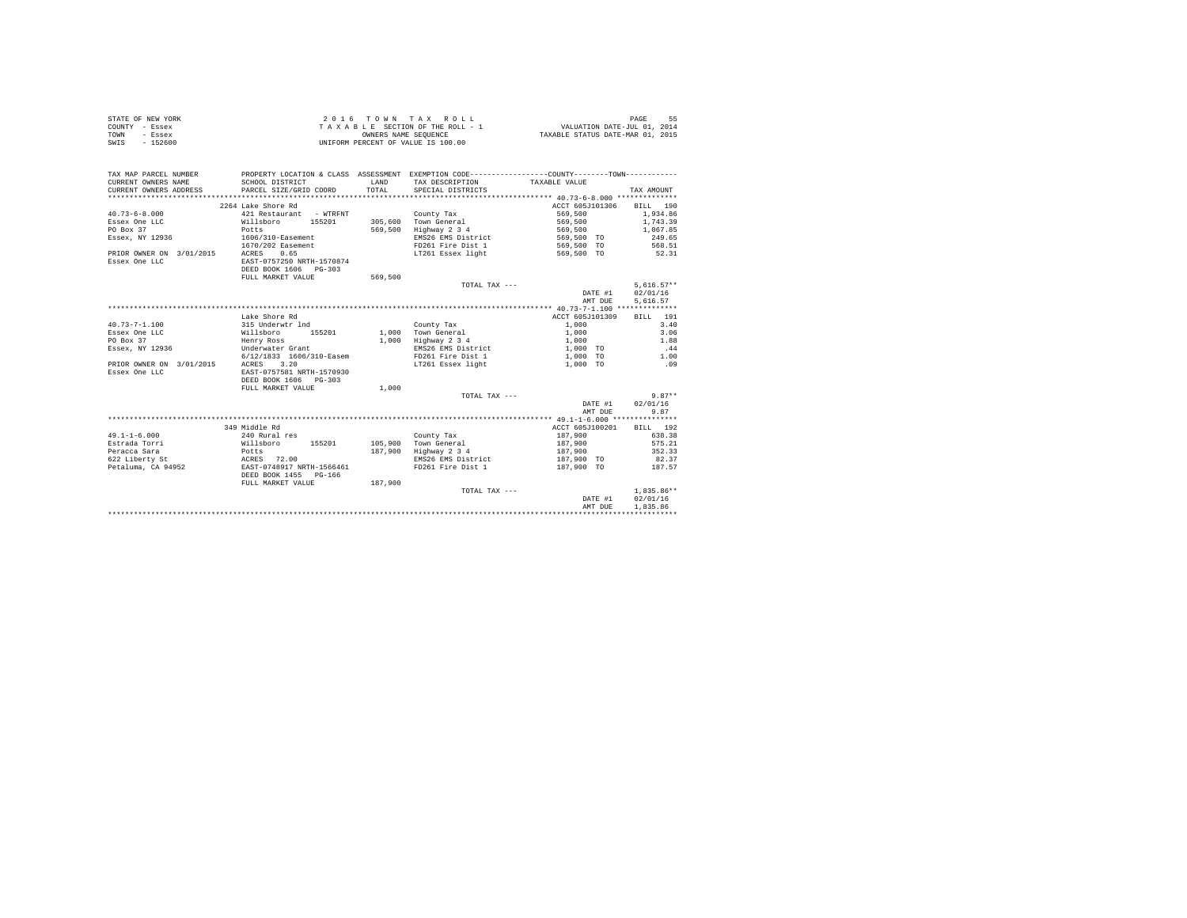| STATE OF NEW YORK | $2.0.16$ TOWN TAX ROLL             | PAGE<br>-55                      |
|-------------------|------------------------------------|----------------------------------|
| COUNTY - Essex    | TAXABLE SECTION OF THE ROLL - 1    | VALUATION DATE-JUL 01, 2014      |
| TOWN<br>- Essex   | OWNERS NAME SEOUENCE               | TAXABLE STATUS DATE-MAR 01, 2015 |
| $-152600$<br>SWIS | UNIFORM PERCENT OF VALUE IS 100.00 |                                  |

| TAX MAP PARCEL NUMBER<br>CURRENT OWNERS NAME<br>CURRENT OWNERS ADDRESS | SCHOOL DISTRICT<br>PARCEL SIZE/GRID COORD | LAND<br>TOTAL. | PROPERTY LOCATION & CLASS ASSESSMENT EXEMPTION CODE---------------COUNTY-------TOWN---------<br>TAX DESCRIPTION TAXABLE VALUE<br>SPECIAL DISTRICTS |                          | TAX AMOUNT   |
|------------------------------------------------------------------------|-------------------------------------------|----------------|----------------------------------------------------------------------------------------------------------------------------------------------------|--------------------------|--------------|
|                                                                        | 2264 Lake Shore Rd                        |                |                                                                                                                                                    | ACCT 605J101306 BILL 190 |              |
| $40.73 - 6 - 8.000$                                                    | 421 Restaurant - WTRFNT                   |                | County Tax                                                                                                                                         | 569,500                  | 1,934.86     |
| Essex One LLC                                                          | Willsboro 155201                          |                | 305,600 Town General                                                                                                                               | 569,500                  | 1,743.39     |
| PO Box 37                                                              | Potts                                     | 569,500        | Highway 2 3 4                                                                                                                                      | 569,500                  | 1,067.85     |
|                                                                        | 1606/310-Easement                         |                | EMS26 EMS District                                                                                                                                 | 569,500 TO               | 249.65       |
| Essex, NY 12936                                                        |                                           |                | FD261 Fire Dist 1                                                                                                                                  |                          |              |
|                                                                        | 1670/202 Easement                         |                |                                                                                                                                                    | 569,500 TO 568.51        |              |
| PRIOR OWNER ON 3/01/2015                                               | 0.65<br>ACRES                             |                | LT261 Essex light 6569,500 TO 52.31                                                                                                                |                          |              |
| Essex One LLC                                                          | EAST-0757250 NRTH-1570874                 |                |                                                                                                                                                    |                          |              |
|                                                                        | DEED BOOK 1606 PG-303                     |                |                                                                                                                                                    |                          |              |
|                                                                        | FULL MARKET VALUE                         | 569.500        |                                                                                                                                                    |                          |              |
|                                                                        |                                           |                | TOTAL TAX ---                                                                                                                                      |                          | $5.616.57**$ |
|                                                                        |                                           |                |                                                                                                                                                    | DATE #1                  | 02/01/16     |
|                                                                        |                                           |                |                                                                                                                                                    | AMT DUE                  | 5.616.57     |
|                                                                        |                                           |                |                                                                                                                                                    |                          |              |
|                                                                        | Lake Shore Rd                             |                |                                                                                                                                                    | ACCT 605J101309 BILL 191 |              |
| $40.73 - 7 - 1.100$                                                    | 315 Underwtr lnd                          |                | County Tax                                                                                                                                         | 1,000                    | 3.40         |
| Essex One LLC                                                          | Willsboro                                 |                | 155201 1,000 Town General                                                                                                                          | $1$ , $000\,$            | 3.06         |
| PO Box 37                                                              | Henry Ross                                |                | 1,000 Highway 2 3 4                                                                                                                                | 1,000                    | 1.88         |
| Essex, NY 12936                                                        | Underwater Grant                          |                | EMS26 EMS District 1,000 TO                                                                                                                        |                          | .44          |
|                                                                        | 6/12/1833 1606/310-Easem                  |                | FD261 Fire Dist 1 1,000 TO                                                                                                                         |                          | 1.00         |
| PRIOR OWNER ON 3/01/2015                                               | ACRES 3.20                                |                | LT261 Essex light                                                                                                                                  | 1,000 TO                 | .09          |
| Essex One LLC                                                          | EAST-0757581 NRTH-1570930                 |                |                                                                                                                                                    |                          |              |
|                                                                        | DEED BOOK 1606 PG-303                     |                |                                                                                                                                                    |                          |              |
|                                                                        | FULL MARKET VALUE                         | 1,000          |                                                                                                                                                    |                          |              |
|                                                                        |                                           |                | TOTAL TAX ---                                                                                                                                      |                          | $9.87**$     |
|                                                                        |                                           |                |                                                                                                                                                    | DATE #1                  | 02/01/16     |
|                                                                        |                                           |                |                                                                                                                                                    | AMT DUE                  | 9.87         |
|                                                                        |                                           |                |                                                                                                                                                    |                          |              |
|                                                                        | 349 Middle Rd                             |                |                                                                                                                                                    | ACCT 605J100201          | BILL 192     |
| $49.1 - 1 - 6.000$                                                     | 240 Rural res                             |                | County Tax                                                                                                                                         | 187,900                  | 638.38       |
| Estrada Torri                                                          | Willsboro 155201                          |                | 105,900 Town General                                                                                                                               | 187,900                  | 575.21       |
| Peracca Sara                                                           | Potts                                     |                | 187,900 Highway 2 3 4                                                                                                                              | 187,900                  | 352.33       |
|                                                                        |                                           |                | EMS26 EMS District                                                                                                                                 | 187,900 TO               | 82.37        |
|                                                                        |                                           |                | FD261 Fire Dist 1                                                                                                                                  | 187.900 TO               | 187.57       |
|                                                                        | DEED BOOK 1455 PG-166                     |                |                                                                                                                                                    |                          |              |
|                                                                        | FULL MARKET VALUE                         | 187,900        |                                                                                                                                                    |                          |              |
|                                                                        |                                           |                | TOTAL TAX ---                                                                                                                                      |                          | $1.835.86**$ |
|                                                                        |                                           |                |                                                                                                                                                    | DATE #1                  | 02/01/16     |
|                                                                        |                                           |                |                                                                                                                                                    | AMT DUE                  | 1,835.86     |
|                                                                        |                                           |                |                                                                                                                                                    |                          |              |
|                                                                        |                                           |                |                                                                                                                                                    |                          |              |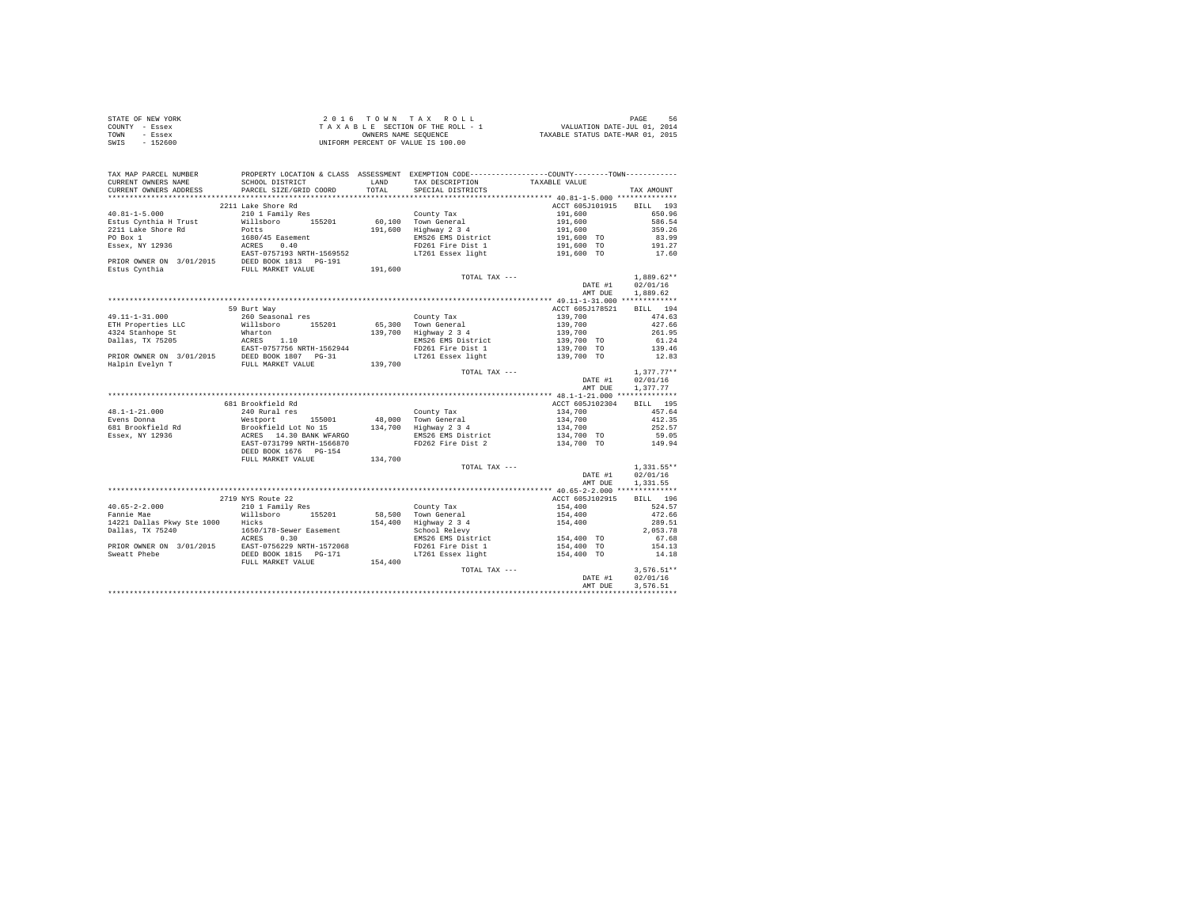| STATE OF NEW YORK | $2.0.16$ TOWN TAX ROLL             | 56<br>PAGE                       |
|-------------------|------------------------------------|----------------------------------|
| COUNTY - Essex    | TAXABLE SECTION OF THE ROLL - 1    | VALUATION DATE-JUL 01, 2014      |
| TOWN<br>- Essex   | OWNERS NAME SEOUENCE               | TAXABLE STATUS DATE-MAR 01, 2015 |
| $-152600$<br>SWIS | UNIFORM PERCENT OF VALUE IS 100.00 |                                  |

| TAX MAP PARCEL NUMBER<br>CURRENT OWNERS NAME                                                                                                                                                           | SCHOOL DISTRICT                      | LAND    | PROPERTY LOCATION & CLASS ASSESSMENT EXEMPTION CODE----------------COUNTY--------TOWN----------<br>TAX DESCRIPTION | TAXABLE VALUE                                                                                                                                                                                                                                                                                                                                                                                                                                |                  |
|--------------------------------------------------------------------------------------------------------------------------------------------------------------------------------------------------------|--------------------------------------|---------|--------------------------------------------------------------------------------------------------------------------|----------------------------------------------------------------------------------------------------------------------------------------------------------------------------------------------------------------------------------------------------------------------------------------------------------------------------------------------------------------------------------------------------------------------------------------------|------------------|
| CURRENT OWNERS ADDRESS                                                                                                                                                                                 | PARCEL SIZE/GRID COORD               | TOTAL   | SPECIAL DISTRICTS                                                                                                  |                                                                                                                                                                                                                                                                                                                                                                                                                                              | TAX AMOUNT       |
|                                                                                                                                                                                                        |                                      |         |                                                                                                                    |                                                                                                                                                                                                                                                                                                                                                                                                                                              |                  |
|                                                                                                                                                                                                        | 2211 Lake Shore Rd                   |         |                                                                                                                    | ACCT 605J101915 BILL 193                                                                                                                                                                                                                                                                                                                                                                                                                     |                  |
| $40.81 - 1 - 5.000$                                                                                                                                                                                    | 210 1 Family Res<br>Willsboro 155201 |         | County Tax                                                                                                         |                                                                                                                                                                                                                                                                                                                                                                                                                                              |                  |
| Estus Cynthia H Trust                                                                                                                                                                                  |                                      |         | 60,100 Town General<br>191,600 Highway 2 3 4                                                                       |                                                                                                                                                                                                                                                                                                                                                                                                                                              |                  |
| 2211 Lake Shore Rd                                                                                                                                                                                     | Potts                                |         | EMS26 EMS District                                                                                                 |                                                                                                                                                                                                                                                                                                                                                                                                                                              |                  |
|                                                                                                                                                                                                        |                                      |         | FD261 Fire Dist 1                                                                                                  | $\begin{tabular}{lllllllllllll} \multicolumn{4}{c}{\textbf{0.96}} & \multicolumn{4}{c}{\textbf{55.0.96}} & \multicolumn{4}{c}{\textbf{56.0.96}} & \multicolumn{4}{c}{\textbf{57.0.96}} & \multicolumn{4}{c}{\textbf{58.0.96}} & \multicolumn{4}{c}{\textbf{59.0.96}} & \multicolumn{4}{c}{\textbf{59.0.96}} & \multicolumn{4}{c}{\textbf{59.0.96}} & \multicolumn{4}{c}{\textbf{59.0.96}} & \multicolumn{4}{c}{\text$                        |                  |
|                                                                                                                                                                                                        |                                      |         | LT261 Essex light                                                                                                  |                                                                                                                                                                                                                                                                                                                                                                                                                                              |                  |
|                                                                                                                                                                                                        |                                      |         |                                                                                                                    |                                                                                                                                                                                                                                                                                                                                                                                                                                              |                  |
|                                                                                                                                                                                                        |                                      | 191,600 |                                                                                                                    |                                                                                                                                                                                                                                                                                                                                                                                                                                              |                  |
|                                                                                                                                                                                                        |                                      |         | TOTAL TAX ---                                                                                                      |                                                                                                                                                                                                                                                                                                                                                                                                                                              | $1,889.62**$     |
|                                                                                                                                                                                                        |                                      |         |                                                                                                                    | DATE #1                                                                                                                                                                                                                                                                                                                                                                                                                                      | 02/01/16         |
|                                                                                                                                                                                                        |                                      |         |                                                                                                                    | AMT DUE                                                                                                                                                                                                                                                                                                                                                                                                                                      | 1,889.62         |
|                                                                                                                                                                                                        |                                      |         |                                                                                                                    |                                                                                                                                                                                                                                                                                                                                                                                                                                              |                  |
|                                                                                                                                                                                                        | 59 Burt Way                          |         |                                                                                                                    | ACCT 605J178521                                                                                                                                                                                                                                                                                                                                                                                                                              | BILL 194         |
| 49.11-1-31.000                                                                                                                                                                                         | 260 Seasonal res                     |         |                                                                                                                    | $\begin{array}{lll} \textbf{A}\textbf{C} & \textbf{0}\textbf{3} \textbf{3} & \textbf{0}\textbf{3} \\ \textbf{1}\textbf{3}\textbf{9},700 & & & \\ \textbf{1}\textbf{3}\textbf{9},700 & & & \\ \textbf{1}\textbf{3}\textbf{9},700 & & & \\ \textbf{1}\textbf{3}\textbf{9},700 & & & \\ \textbf{1}\textbf{3}\textbf{9},700 & & & \\ \textbf{1}\textbf{3}\textbf{9},700 & & & \\ \textbf{1}\textbf{3}\textbf{9},700 & & & \\ \textbf{1}\textbf{$ | 474.63           |
|                                                                                                                                                                                                        |                                      |         | County Tax<br>65,300 Town General<br>139,700 Highway 2 3 4                                                         |                                                                                                                                                                                                                                                                                                                                                                                                                                              | 427.66           |
|                                                                                                                                                                                                        |                                      |         |                                                                                                                    |                                                                                                                                                                                                                                                                                                                                                                                                                                              | 261.95           |
|                                                                                                                                                                                                        |                                      |         |                                                                                                                    |                                                                                                                                                                                                                                                                                                                                                                                                                                              | 61.24            |
|                                                                                                                                                                                                        |                                      |         |                                                                                                                    |                                                                                                                                                                                                                                                                                                                                                                                                                                              | 139.46           |
|                                                                                                                                                                                                        |                                      |         | LT261 Essex light                                                                                                  |                                                                                                                                                                                                                                                                                                                                                                                                                                              | 12.83            |
|                                                                                                                                                                                                        |                                      |         |                                                                                                                    |                                                                                                                                                                                                                                                                                                                                                                                                                                              |                  |
|                                                                                                                                                                                                        |                                      |         | TOTAL TAX ---                                                                                                      |                                                                                                                                                                                                                                                                                                                                                                                                                                              | $1,377.77**$     |
|                                                                                                                                                                                                        |                                      |         |                                                                                                                    | DATE #1                                                                                                                                                                                                                                                                                                                                                                                                                                      | 02/01/16         |
|                                                                                                                                                                                                        |                                      |         |                                                                                                                    | AMT DUE                                                                                                                                                                                                                                                                                                                                                                                                                                      | 1.377.77         |
|                                                                                                                                                                                                        |                                      |         |                                                                                                                    |                                                                                                                                                                                                                                                                                                                                                                                                                                              |                  |
|                                                                                                                                                                                                        | 681 Brookfield Rd                    |         |                                                                                                                    | ACCT 605J102304                                                                                                                                                                                                                                                                                                                                                                                                                              | BILL 195         |
|                                                                                                                                                                                                        |                                      |         |                                                                                                                    |                                                                                                                                                                                                                                                                                                                                                                                                                                              | 457.64           |
|                                                                                                                                                                                                        |                                      |         |                                                                                                                    | $134,700$<br>$134,700$<br>$134,700$<br>$134,700$ TO                                                                                                                                                                                                                                                                                                                                                                                          | 412.35           |
|                                                                                                                                                                                                        |                                      |         |                                                                                                                    |                                                                                                                                                                                                                                                                                                                                                                                                                                              | 252.57           |
|                                                                                                                                                                                                        |                                      |         |                                                                                                                    |                                                                                                                                                                                                                                                                                                                                                                                                                                              | 59.05            |
|                                                                                                                                                                                                        |                                      |         | FD262 Fire Dist 2                                                                                                  | 134,700 TO                                                                                                                                                                                                                                                                                                                                                                                                                                   | 149.94           |
|                                                                                                                                                                                                        | DEED BOOK 1676 PG-154                |         |                                                                                                                    |                                                                                                                                                                                                                                                                                                                                                                                                                                              |                  |
|                                                                                                                                                                                                        | FULL MARKET VALUE                    | 134,700 |                                                                                                                    |                                                                                                                                                                                                                                                                                                                                                                                                                                              |                  |
|                                                                                                                                                                                                        |                                      |         | TOTAL TAX ---                                                                                                      |                                                                                                                                                                                                                                                                                                                                                                                                                                              | $1,331.55**$     |
|                                                                                                                                                                                                        |                                      |         |                                                                                                                    | DATE #1                                                                                                                                                                                                                                                                                                                                                                                                                                      | 02/01/16         |
|                                                                                                                                                                                                        |                                      |         |                                                                                                                    | AMT DUE                                                                                                                                                                                                                                                                                                                                                                                                                                      | 1,331.55         |
|                                                                                                                                                                                                        |                                      |         |                                                                                                                    |                                                                                                                                                                                                                                                                                                                                                                                                                                              |                  |
|                                                                                                                                                                                                        | 2719 NYS Route 22                    |         |                                                                                                                    | ACCT 605J102915                                                                                                                                                                                                                                                                                                                                                                                                                              | BILL 196         |
|                                                                                                                                                                                                        |                                      |         | County Tax<br>58,500 Town General                                                                                  |                                                                                                                                                                                                                                                                                                                                                                                                                                              | 524.57           |
|                                                                                                                                                                                                        |                                      |         |                                                                                                                    |                                                                                                                                                                                                                                                                                                                                                                                                                                              | 472.66           |
| 14221 Dallas Pkwy Ste 1000 Hicks                                                                                                                                                                       |                                      |         | 154,400 Highway 2 3 4<br>School Relevy                                                                             | $154,400$<br>$154,400$<br>$154,400$                                                                                                                                                                                                                                                                                                                                                                                                          | 289.51           |
|                                                                                                                                                                                                        |                                      |         |                                                                                                                    |                                                                                                                                                                                                                                                                                                                                                                                                                                              | 2,053.78         |
|                                                                                                                                                                                                        |                                      |         | = 20001 Nelevy<br>EMS26 EMS District<br>FD261 Fire Dist 1 154,400 TO<br>LT261 Essex light 154,400 TO               |                                                                                                                                                                                                                                                                                                                                                                                                                                              | 67.68            |
|                                                                                                                                                                                                        |                                      |         |                                                                                                                    |                                                                                                                                                                                                                                                                                                                                                                                                                                              | 154.13           |
| 1121<br>1850/178-Sewer Easement<br>PRIOR OWNER ON 3/01/2015<br>PRIOR OWNER ON 3/01/2015<br>DEED BOOK 1815 PG-171<br>DEED BOOK 1815 PG-171<br>DEED BOOK 1815 PG-171<br>DEED BOOK 1815 PG-171<br>154,400 |                                      |         |                                                                                                                    |                                                                                                                                                                                                                                                                                                                                                                                                                                              | 14.18            |
|                                                                                                                                                                                                        |                                      |         |                                                                                                                    |                                                                                                                                                                                                                                                                                                                                                                                                                                              |                  |
|                                                                                                                                                                                                        |                                      |         | TOTAL TAX ---                                                                                                      |                                                                                                                                                                                                                                                                                                                                                                                                                                              | $3,576.51**$     |
|                                                                                                                                                                                                        |                                      |         |                                                                                                                    |                                                                                                                                                                                                                                                                                                                                                                                                                                              | DATE #1 02/01/16 |
|                                                                                                                                                                                                        |                                      |         |                                                                                                                    | AMT DUE                                                                                                                                                                                                                                                                                                                                                                                                                                      | 3.576.51         |
|                                                                                                                                                                                                        |                                      |         |                                                                                                                    |                                                                                                                                                                                                                                                                                                                                                                                                                                              |                  |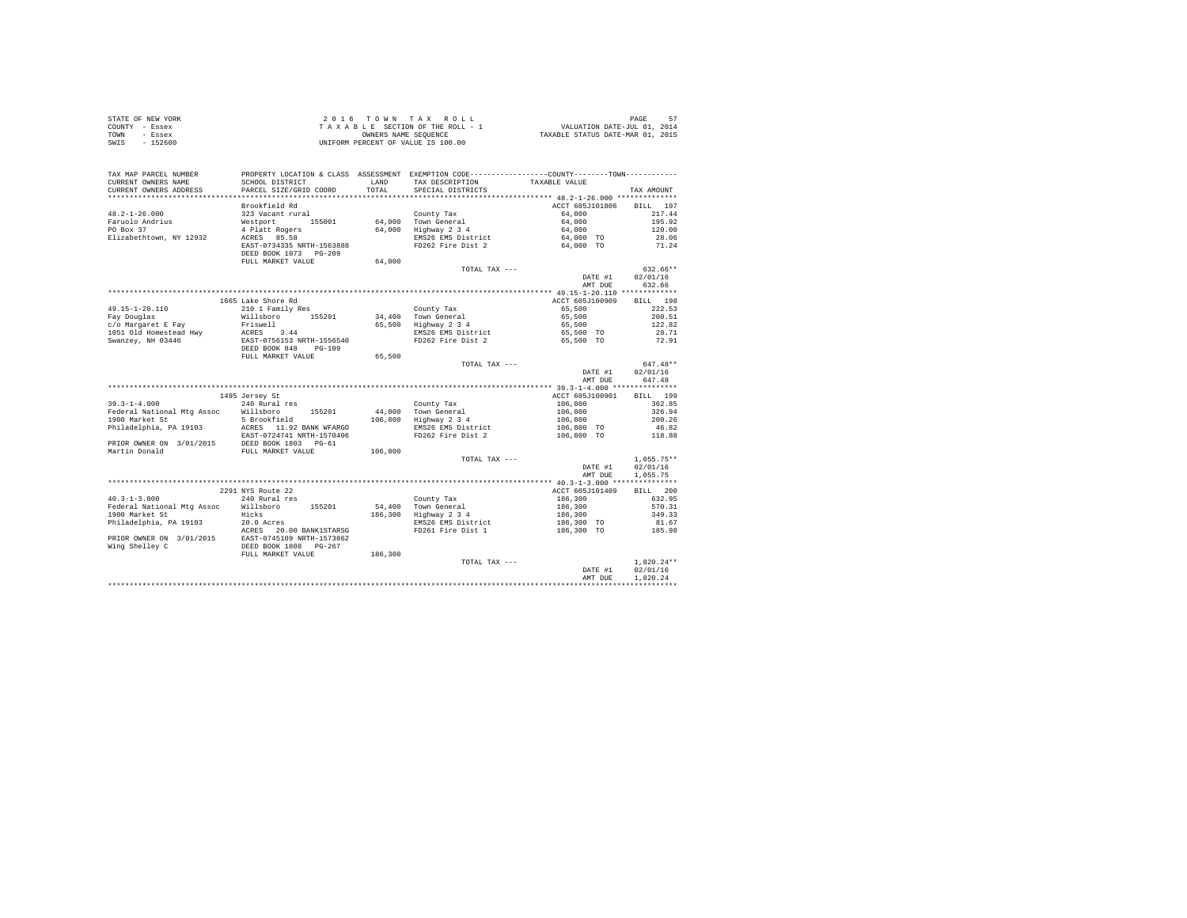| STATE OF NEW YORK | 2016 TOWN TAX ROLL                 | PAGE                             |
|-------------------|------------------------------------|----------------------------------|
| COUNTY - Essex    | TAXABLE SECTION OF THE ROLL - 1    | VALUATION DATE-JUL 01, 2014      |
| TOWN<br>- Essex   | OWNERS NAME SEOUENCE               | TAXABLE STATUS DATE-MAR 01, 2015 |
| $-152600$<br>SWIS | UNIFORM PERCENT OF VALUE IS 100.00 |                                  |

| TAX MAP PARCEL NUMBER<br>CURRENT OWNERS NAME<br>CURRENT OWNERS ADDRESS | PROPERTY LOCATION & CLASS ASSESSMENT EXEMPTION CODE---------------COUNTY-------TOWN----------<br>SCHOOL DISTRICT<br>PARCEL SIZE/GRID COORD | LAND<br>TOTAL | TAX DESCRIPTION<br>SPECIAL DISTRICTS         | TAXABLE VALUE            | TAX AMOUNT   |
|------------------------------------------------------------------------|--------------------------------------------------------------------------------------------------------------------------------------------|---------------|----------------------------------------------|--------------------------|--------------|
| *********************                                                  | ************************                                                                                                                   |               |                                              |                          |              |
|                                                                        | Brookfield Rd                                                                                                                              |               |                                              | ACCT 605J101806          | BILL 197     |
| $48.2 - 1 - 26.000$                                                    | 323 Vacant rural                                                                                                                           |               | County Tax                                   | 64,000                   | 217.44       |
| Faruolo Andrius                                                        | Westport 155001                                                                                                                            |               | 64,000 Town General                          | 64,000                   | 195.92       |
| PO Box 37                                                              | 4 Platt Rogers                                                                                                                             |               | 64,000 Highway 2 3 4                         | 64,000                   | 120.00       |
| Elizabethtown, NY 12932                                                | ACRES 85.58                                                                                                                                |               | EMS26 EMS District                           | 64,000 TO                | 28.06        |
|                                                                        | EAST-0734335 NRTH-1563888                                                                                                                  |               | FD262 Fire Dist 2                            | 64,000 TO                | 71.24        |
|                                                                        | DEED BOOK 1073 PG-209                                                                                                                      |               |                                              |                          |              |
|                                                                        | FULL MARKET VALUE                                                                                                                          | 64,000        |                                              |                          | 632.66**     |
|                                                                        |                                                                                                                                            |               | TOTAL TAX ---                                | DATE #1                  | 02/01/16     |
|                                                                        |                                                                                                                                            |               |                                              |                          |              |
|                                                                        |                                                                                                                                            |               |                                              | AMT DUE                  | 632.66       |
|                                                                        |                                                                                                                                            |               |                                              |                          |              |
|                                                                        | 1665 Lake Shore Rd                                                                                                                         |               |                                              | ACCT 605J100909          | BILL 198     |
| 49.15-1-20.110                                                         | 210 1 Family Res                                                                                                                           |               | County Tax                                   | 65,500                   | 222.53       |
| Fay Douglas                                                            | Willsboro<br>155201                                                                                                                        | 34,400        | Town General                                 | 65,500                   | 200.51       |
| c/o Margaret E Fay                                                     | Friswell                                                                                                                                   |               | 65,500 Highway 2 3 4                         | 65,500                   | 122.82       |
|                                                                        |                                                                                                                                            |               | Highway<br>EMS26 EMS District                | 65,500 TO                | 28.71        |
|                                                                        |                                                                                                                                            |               | FD262 Fire Dist 2                            | 65,500 TO                | 72.91        |
|                                                                        |                                                                                                                                            |               |                                              |                          |              |
|                                                                        | FULL MARKET VALUE                                                                                                                          | 65,500        |                                              |                          |              |
|                                                                        |                                                                                                                                            |               | TOTAL TAX ---                                |                          | $647.48**$   |
|                                                                        |                                                                                                                                            |               |                                              | DATE #1                  | 02/01/16     |
|                                                                        |                                                                                                                                            |               |                                              | AMT DUE                  | 647.48       |
|                                                                        |                                                                                                                                            |               |                                              |                          |              |
|                                                                        | 1495 Jersey St                                                                                                                             |               |                                              | ACCT 605J100901          | BILL 199     |
| $39.3 - 1 - 4.000$                                                     | 240 Rural res                                                                                                                              |               | County Tax                                   | 106,800                  | 362.85       |
| Federal National Mtg Assoc Willsboro 155201                            |                                                                                                                                            |               |                                              | 106,800<br>106,800       | 326.94       |
| 1900 Market St                                                         | 5 Brookfield                                                                                                                               |               | 44,000 Town General<br>106,800 Highway 2 3 4 |                          | 200.26       |
| Philadelphia, PA 19103                                                 | ACRES 11.92 BANK WFARGO                                                                                                                    |               | EMS26 EMS District                           | 106,800 TO<br>106,800 TO | 46.82        |
|                                                                        | EAST-0724741 NRTH-1570406                                                                                                                  |               | FD262 Fire Dist 2                            |                          | 118.88       |
| PRIOR OWNER ON 3/01/2015                                               | DEED BOOK 1803 PG-61                                                                                                                       |               |                                              |                          |              |
| Martin Donald                                                          | FULL MARKET VALUE                                                                                                                          | 106,800       |                                              |                          |              |
|                                                                        |                                                                                                                                            |               | TOTAL TAX ---                                |                          | $1,055.75**$ |
|                                                                        |                                                                                                                                            |               |                                              | DATE #1                  | 02/01/16     |
|                                                                        |                                                                                                                                            |               |                                              | AMT DUE                  | 1,055.75     |
|                                                                        |                                                                                                                                            |               |                                              |                          |              |
|                                                                        | 2291 NYS Route 22                                                                                                                          |               |                                              | ACCT 605J101409          | BILL 200     |
| $40.3 - 1 - 3.000$                                                     | 240 Rural res                                                                                                                              |               | County Tax                                   | 186,300                  | 632.95       |
| Federal National Mtg Assoc Willsboro                                   | 155201                                                                                                                                     |               |                                              |                          | 570.31       |
| 1900 Market St                                                         | Hicks                                                                                                                                      | 186,300       | 54,400 Town General<br>186,300 Highway 2 3 4 | 186,300<br>186,300       | 349.33       |
| Philadelphia, PA 19103                                                 | 20.0 Acres                                                                                                                                 |               | EMS26 EMS District                           | 186,300 TO               | 81.67        |
|                                                                        | 20.00 BANK1STARSG                                                                                                                          |               | FD261 Fire Dist 1                            | 186,300 TO               | 185.98       |
|                                                                        |                                                                                                                                            |               |                                              |                          |              |
|                                                                        |                                                                                                                                            |               |                                              |                          |              |
|                                                                        | FULL MARKET VALUE                                                                                                                          | 186,300       |                                              |                          |              |
|                                                                        |                                                                                                                                            |               | TOTAL TAX ---                                |                          | $1,820.24**$ |
|                                                                        |                                                                                                                                            |               |                                              | DATE #1                  | 02/01/16     |
|                                                                        |                                                                                                                                            |               |                                              | AMT DUE                  | 1.820.24     |
|                                                                        |                                                                                                                                            |               |                                              |                          |              |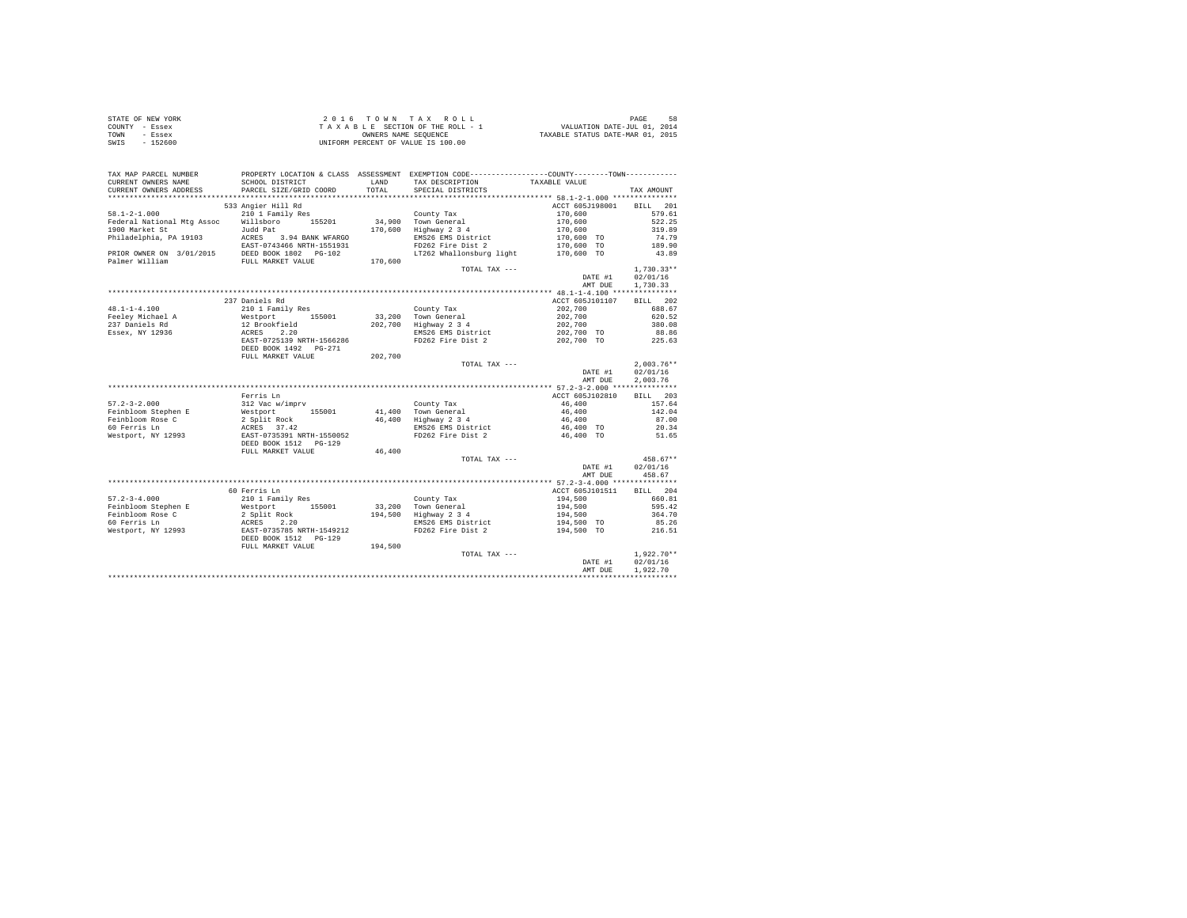| STATE OF NEW YORK | 2016 TOWN TAX ROLL                 | 58<br>PAGE                       |
|-------------------|------------------------------------|----------------------------------|
| COUNTY - Essex    | TAXABLE SECTION OF THE ROLL - 1    | VALUATION DATE-JUL 01, 2014      |
| TOWN<br>- Essex   | OWNERS NAME SEOUENCE               | TAXABLE STATUS DATE-MAR 01, 2015 |
| SWIS<br>$-152600$ | UNIFORM PERCENT OF VALUE IS 100.00 |                                  |

| TAX MAP PARCEL NUMBER                                                                                                                                                                                                                        |                                                                             |               | PROPERTY LOCATION & CLASS ASSESSMENT EXEMPTION CODE----------------COUNTY--------TOWN---------- |                                                     |              |
|----------------------------------------------------------------------------------------------------------------------------------------------------------------------------------------------------------------------------------------------|-----------------------------------------------------------------------------|---------------|-------------------------------------------------------------------------------------------------|-----------------------------------------------------|--------------|
| CURRENT OWNERS NAME<br>CURRENT OWNERS ADDRESS                                                                                                                                                                                                | SCHOOL DISTRICT<br>PARCEL SIZE/GRID COORD                                   | LAND<br>TOTAL | TAX DESCRIPTION<br>SPECIAL DISTRICTS                                                            | TAXABLE VALUE                                       | TAX AMOUNT   |
| *********************                                                                                                                                                                                                                        |                                                                             |               |                                                                                                 |                                                     |              |
|                                                                                                                                                                                                                                              | 533 Angier Hill Rd                                                          |               |                                                                                                 | ACCT 605J198001 BILL 201                            |              |
| $58.1 - 2 - 1.000$                                                                                                                                                                                                                           | 210 1 Family Res                                                            |               | County Tax<br>34,900 Town General                                                               | $170,600$<br>$170,600$<br>$170,600$<br>$170,600$ TO | 579.61       |
| Federal National Mtg Assoc Millsboro 155201                                                                                                                                                                                                  |                                                                             |               |                                                                                                 |                                                     | 522.25       |
|                                                                                                                                                                                                                                              |                                                                             |               | 170.600 Highway 2 3 4                                                                           |                                                     | 319.89       |
|                                                                                                                                                                                                                                              |                                                                             |               | EMS26 EMS District                                                                              |                                                     | 74.79        |
|                                                                                                                                                                                                                                              |                                                                             |               | FD262 Fire Dist 2                                                                               | 170,600 TO                                          | 189.90       |
| PRIOR OWNER ON 3/01/2015 DEED BOOK 1802 PG-102                                                                                                                                                                                               |                                                                             |               | LT262 Whallonsburg light 170,600 TO                                                             |                                                     | 43.89        |
| Palmer William                                                                                                                                                                                                                               | FULL MARKET VALUE                                                           | 170,600       |                                                                                                 |                                                     |              |
|                                                                                                                                                                                                                                              |                                                                             |               | TOTAL TAX ---                                                                                   |                                                     | $1,730.33**$ |
|                                                                                                                                                                                                                                              |                                                                             |               |                                                                                                 | DATE #1                                             | 02/01/16     |
|                                                                                                                                                                                                                                              |                                                                             |               |                                                                                                 | AMT DUE                                             | 1,730.33     |
|                                                                                                                                                                                                                                              |                                                                             |               |                                                                                                 |                                                     |              |
|                                                                                                                                                                                                                                              | 237 Daniels Rd                                                              |               |                                                                                                 | ACCT 605J101107                                     | BILL 202     |
| $48.1 - 1 - 4.100$                                                                                                                                                                                                                           | 210 1 Family Res                                                            |               | County Tax                                                                                      | 202,700                                             | 688.67       |
| Feeley Michael A                                                                                                                                                                                                                             | Westport 155001<br>12 Brookfield<br>ACRES 2.20<br>EAST-0725139 NRTH-1566286 |               | 33,200 Town General                                                                             | 202,700                                             | 620.52       |
| 237 Daniels Rd                                                                                                                                                                                                                               |                                                                             |               | 202,700 Highway 2 3 4                                                                           | 202,700                                             | 380.08       |
| Essex, NY 12936                                                                                                                                                                                                                              |                                                                             |               | EMS26 EMS District                                                                              | 202,700 TO                                          | 88.86        |
|                                                                                                                                                                                                                                              |                                                                             |               | FD262 Fire Dist 2 202,700 TO                                                                    |                                                     | 225.63       |
|                                                                                                                                                                                                                                              | DEED BOOK 1492    PG-271                                                    |               |                                                                                                 |                                                     |              |
|                                                                                                                                                                                                                                              | FULL MARKET VALUE                                                           | 202,700       |                                                                                                 |                                                     |              |
|                                                                                                                                                                                                                                              |                                                                             |               | TOTAL TAX ---                                                                                   |                                                     | $2.003.76**$ |
|                                                                                                                                                                                                                                              |                                                                             |               |                                                                                                 | DATE #1                                             | 02/01/16     |
|                                                                                                                                                                                                                                              |                                                                             |               |                                                                                                 | AMT DUE                                             | 2.003.76     |
|                                                                                                                                                                                                                                              |                                                                             |               |                                                                                                 |                                                     |              |
|                                                                                                                                                                                                                                              | Ferris Ln                                                                   |               |                                                                                                 | ACCT 605J102810                                     | BILL 203     |
| $57.2 - 3 - 2.000$                                                                                                                                                                                                                           | 312 Vac w/imprv                                                             |               | County Tax                                                                                      | 46,400                                              | 157.64       |
|                                                                                                                                                                                                                                              |                                                                             |               | 41,400 Town General<br>46,400 Highway 2 3 4                                                     | 46,400<br>46,400                                    | 142.04       |
|                                                                                                                                                                                                                                              |                                                                             |               |                                                                                                 |                                                     | 87.00        |
|                                                                                                                                                                                                                                              |                                                                             |               | EMS26 EMS District                                                                              | 46,400 TO                                           | 20.34        |
|                                                                                                                                                                                                                                              |                                                                             |               | FD262 Fire Dist 2                                                                               | 46,400 TO                                           | 51.65        |
|                                                                                                                                                                                                                                              |                                                                             |               |                                                                                                 |                                                     |              |
|                                                                                                                                                                                                                                              | FULL MARKET VALUE 46,400                                                    |               |                                                                                                 |                                                     |              |
|                                                                                                                                                                                                                                              |                                                                             |               | TOTAL TAX ---                                                                                   |                                                     | $458.67**$   |
|                                                                                                                                                                                                                                              |                                                                             |               |                                                                                                 | DATE #1                                             | 02/01/16     |
|                                                                                                                                                                                                                                              |                                                                             |               |                                                                                                 | AMT DUE                                             | 458.67       |
|                                                                                                                                                                                                                                              |                                                                             |               |                                                                                                 |                                                     |              |
|                                                                                                                                                                                                                                              | 60 Ferris Ln                                                                |               |                                                                                                 | ACCT 605J101511                                     | BILL 204     |
| $57.2 - 3 - 4.000$                                                                                                                                                                                                                           | 210 1 Family Res                                                            |               | County Tax                                                                                      | 194,500                                             | 660.81       |
| 97.2-3-4.000<br>Elembloom Roephen E (Respondent 155001<br>Feinbloom Roephen E (Respondent 155001<br>Feinbloom Roephen 2 (Respondent 1549212<br>Mestport, NY 12993<br>Mestport, NY 12993<br>ERST-0735785 NRTH-1549212<br>ERST-0735785 NRTH-15 |                                                                             |               | 33,200 Town General<br>194,500 Highway 2 3 4                                                    | 194,500<br>194,500                                  | 595.42       |
|                                                                                                                                                                                                                                              |                                                                             |               |                                                                                                 |                                                     | 364.70       |
|                                                                                                                                                                                                                                              |                                                                             |               | EMS26 EMS District<br>FD262 Fire Dist 2                                                         | 194,500 TO                                          | 85.26        |
|                                                                                                                                                                                                                                              |                                                                             |               |                                                                                                 | 194,500 TO                                          | 216.51       |
|                                                                                                                                                                                                                                              |                                                                             |               |                                                                                                 |                                                     |              |
|                                                                                                                                                                                                                                              | FULL MARKET VALUE                                                           | 194.500       |                                                                                                 |                                                     |              |
|                                                                                                                                                                                                                                              |                                                                             |               | TOTAL TAX ---                                                                                   |                                                     | $1,922.70**$ |
|                                                                                                                                                                                                                                              |                                                                             |               |                                                                                                 | DATE #1                                             | 02/01/16     |
|                                                                                                                                                                                                                                              |                                                                             |               |                                                                                                 | AMT DUE                                             | 1,922.70     |
|                                                                                                                                                                                                                                              |                                                                             |               |                                                                                                 |                                                     |              |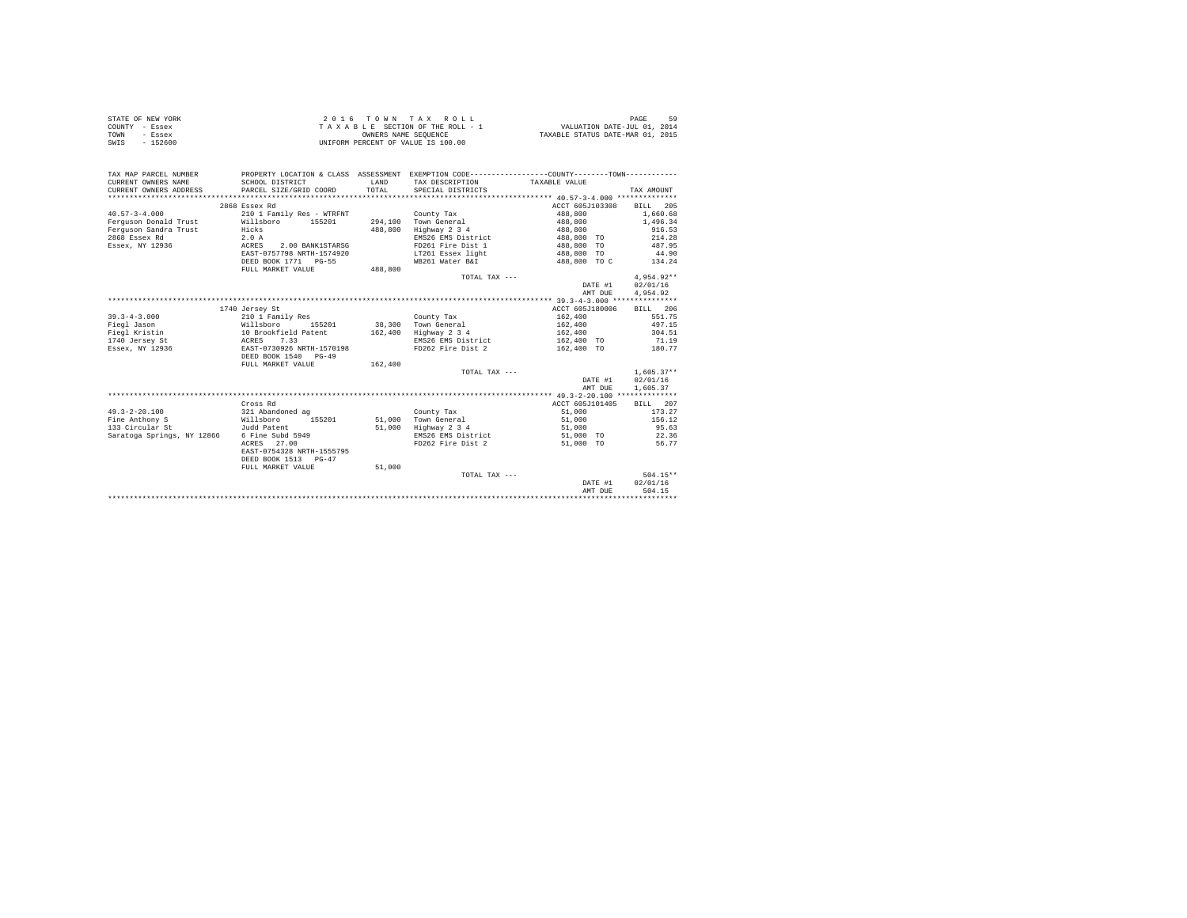|      | STATE OF NEW YORK | 2016 TOWN TAX ROLL                 | PAGE                             |
|------|-------------------|------------------------------------|----------------------------------|
|      | COUNTY - Essex    | TAXABLE SECTION OF THE ROLL - 1    | VALUATION DATE-JUL 01, 2014      |
| TOWN | - Essex           | OWNERS NAME SEOUENCE               | TAXABLE STATUS DATE-MAR 01, 2015 |
| SWIS | - 152600          | UNIFORM PERCENT OF VALUE IS 100.00 |                                  |

| TAX MAP PARCEL NUMBER<br>CURRENT OWNERS NAME | SCHOOL DISTRICT           | <b>T.AND</b> | PROPERTY LOCATION & CLASS ASSESSMENT EXEMPTION CODE---------------COUNTY-------TOWN---------<br>TAX DESCRIPTION | TAXABLE VALUE            |              |
|----------------------------------------------|---------------------------|--------------|-----------------------------------------------------------------------------------------------------------------|--------------------------|--------------|
|                                              | PARCEL SIZE/GRID COORD    | TOTAL        | SPECIAL DISTRICTS                                                                                               |                          |              |
| CURRENT OWNERS ADDRESS                       |                           |              |                                                                                                                 |                          | TAX AMOUNT   |
|                                              |                           |              |                                                                                                                 |                          |              |
|                                              | 2868 Essex Rd             |              |                                                                                                                 | ACCT 605J103308          | BILL 205     |
| $40.57 - 3 - 4.000$                          | 210 1 Family Res - WTRFNT |              | County Tax                                                                                                      | 488,800                  | 1,660.68     |
| Ferguson Donald Trust                        | Willsboro<br>155201       |              | 294.100 Town General                                                                                            | 488,800                  | 1,496.34     |
| Ferguson Sandra Trust                        | Hicks                     | 488,800      | Highway 2 3 4                                                                                                   | 488,800                  | 916.53       |
| 2868 Essex Rd                                | 2.0A                      |              | EMS26 EMS District                                                                                              | 488,800 TO               | 214.28       |
| Essex, NY 12936                              | ACRES<br>2.00 BANK1STARSG |              | FD261 Fire Dist 1                                                                                               | 488,800 TO               | 487.95       |
|                                              | EAST-0757798 NRTH-1574920 |              | LT261 Essex light                                                                                               | 488,800 TO               | 44.90        |
|                                              | DEED BOOK 1771 PG-55      |              | WB261 Water B&I                                                                                                 | 488,800 TO C             | 134.24       |
|                                              | FULL MARKET VALUE         | 488,800      |                                                                                                                 |                          |              |
|                                              |                           |              | TOTAL TAX ---                                                                                                   |                          | $4.954.92**$ |
|                                              |                           |              |                                                                                                                 | DATE #1                  | 02/01/16     |
|                                              |                           |              |                                                                                                                 | AMT DUE                  | 4.954.92     |
|                                              |                           |              |                                                                                                                 |                          |              |
|                                              | 1740 Jersey St            |              |                                                                                                                 | ACCT 605J180006          | BILL 206     |
| $39.3 - 4 - 3.000$                           | 210 1 Family Res          |              | County Tax                                                                                                      | 162,400                  | 551.75       |
| Fiegl Jason                                  | Willsboro<br>155201       |              | 38.300 Town General                                                                                             | 162,400                  | 497.15       |
| Fiegl Kristin                                | 10 Brookfield Patent      | 162,400      | Highway 2 3 4                                                                                                   | 162,400                  | 304.51       |
| <b>ACRES</b><br>1740 Jersey St               | 7.33                      |              | EMS26 EMS District                                                                                              | 162,400 TO               | 71.19        |
| Essex, NY 12936                              | EAST-0730926 NRTH-1570198 |              | FD262 Fire Dist 2                                                                                               | 162,400 TO               | 180.77       |
|                                              | DEED BOOK 1540 PG-49      |              |                                                                                                                 |                          |              |
|                                              | FULL MARKET VALUE         | 162,400      |                                                                                                                 |                          |              |
|                                              |                           |              | TOTAL TAX ---                                                                                                   |                          | $1.605.37**$ |
|                                              |                           |              |                                                                                                                 | DATE #1                  | 02/01/16     |
|                                              |                           |              |                                                                                                                 |                          |              |
|                                              |                           |              |                                                                                                                 | AMT DUE                  | 1,605.37     |
|                                              |                           |              |                                                                                                                 |                          |              |
|                                              | Cross Rd                  |              |                                                                                                                 | ACCT 605J101405 BILL 207 |              |
| $49.3 - 2 - 20.100$                          | 321 Abandoned ag          |              | County Tax                                                                                                      | 51,000                   | 173.27       |
| Fine Anthony S                               | Willsboro<br>155201       |              | 51.000 Town General                                                                                             | 51,000                   | 156.12       |
| 133 Circular St                              | Judd Patent               |              | 51,000 Highway 2 3 4                                                                                            | 51,000                   | 95.63        |
| Saratoga Springs, NY 12866                   | 6 Fine Subd 5949          |              | EMS26 EMS District                                                                                              | 51,000 TO                | 22.36        |
|                                              | ACRES 27.00               |              | FD262 Fire Dist 2                                                                                               | 51,000 TO                | 56.77        |
|                                              | EAST-0754328 NRTH-1555795 |              |                                                                                                                 |                          |              |
|                                              | DEED BOOK 1513 PG-47      |              |                                                                                                                 |                          |              |
|                                              | FULL MARKET VALUE         | 51,000       |                                                                                                                 |                          |              |
|                                              |                           |              | TOTAL TAX ---                                                                                                   |                          | $504.15**$   |
|                                              |                           |              |                                                                                                                 | DATE #1                  | 02/01/16     |
|                                              |                           |              |                                                                                                                 | AMT DUE                  | 504.15       |
|                                              |                           |              |                                                                                                                 |                          |              |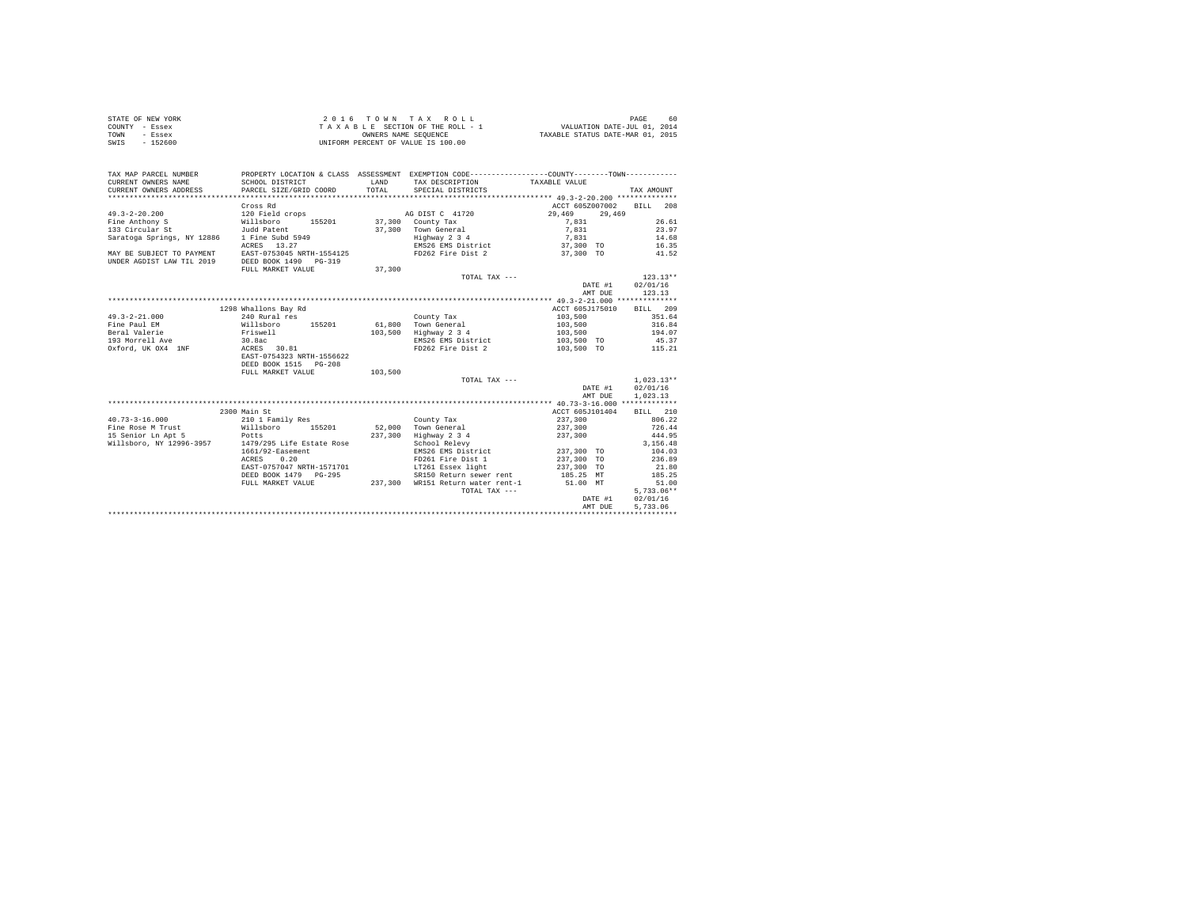| STATE OF NEW YORK | 2016 TOWN TAX ROLL                 |                                  | PAGE | 60 |
|-------------------|------------------------------------|----------------------------------|------|----|
| COUNTY - Essex    | TAXABLE SECTION OF THE ROLL - 1    | VALUATION DATE-JUL 01, 2014      |      |    |
| TOWN<br>- Essex   | OWNERS NAME SEOUENCE               | TAXABLE STATUS DATE-MAR 01, 2015 |      |    |
| SWIS<br>$-152600$ | UNIFORM PERCENT OF VALUE IS 100.00 |                                  |      |    |

| ACCT 605Z007002<br>BILL 208<br>Cross Rd<br>$49.3 - 2 - 20.200$<br>29,469<br>120 Field crops<br>AG DIST C 41720<br>29,469<br>37,300 County Tax<br>Fine Anthony S<br>Willsboro<br>155201<br>7.831<br>26.61<br>Judd Patent<br>37,300 Town General<br>7.831<br>23.97<br>Saratoga Springs, NY 12886<br>1 Fine Subd 5949<br>Highway 2 3 4<br>14.68<br>7,831<br>37,300 TO<br>EMS26 EMS District<br>ACRES 13.27<br>16.35<br>EAST-0753045 NRTH-1554125<br>FD262 Fire Dist 2<br>37,300 TO<br>41.52<br>DEED BOOK 1490 PG-319<br>FULL MARKET VALUE<br>37,300<br>$123.13**$<br>TOTAL TAX ---<br>02/01/16<br>DATE #1<br>123.13<br>AMT DUE<br>1298 Whallons Bay Rd<br>ACCT 605J175010<br>BILL 209<br>351.64<br>240 Rural res<br>103,500<br>County Tax<br>61.800 Town General<br>Willsboro<br>155201<br>103,500<br>316.84<br>Friswell<br>103,500<br>Highway 2 3 4<br>194.07<br>103,500<br>30.8ac<br>45.37<br>EMS26 EMS District<br>103,500 TO<br>ACRES 30.81<br>FD262 Fire Dist 2<br>115.21<br>103,500 TO<br>Oxford, UK OX4 1NF<br>EAST-0754323 NRTH-1556622<br>DEED BOOK 1515 PG-208<br>103,500<br>FULL MARKET VALUE<br>$1.023.13**$<br>TOTAL TAX ---<br>02/01/16<br>DATE #1<br>1.023.13<br>AMT DUE<br>ACCT 605J101404<br>2300 Main St<br>BILL 210<br>$40.73 - 3 - 16.000$<br>806.22<br>210 1 Family Res<br>County Tax<br>237,300<br>Willsboro<br>52.000 Town General<br>237,300<br>726.44<br>Fine Rose M Trust<br>155201<br>15 Senior Ln Apt 5<br>237,300<br>Highway 2 3 4<br>444.95<br>237,300<br>Potts<br>1479/295 Life Estate Rose<br>Willsboro, NY 12996-3957<br>School Relevy<br>3.156.48<br>237,300 TO<br>1661/92-Easement<br>EMS26 EMS District<br>104.03<br>FD261 Fire Dist 1<br>237,300 TO<br>236.89<br>ACRES<br>0.20<br>EAST-0757047 NRTH-1571701<br>LT261 Essex light<br>237,300 TO<br>21.80<br>SR150 Return sewer rent<br>DEED BOOK 1479 PG-295<br>185.25 MT<br>185.25<br>WR151 Return water rent-1 51.00 MT<br>FULL MARKET VALUE<br>237,300<br>51.00<br>$5,733.06**$<br>TOTAL TAX ---<br>02/01/16<br>DATE #1<br>5.733.06<br>AMT DUE | TAX MAP PARCEL NUMBER<br>CURRENT OWNERS NAME<br>CURRENT OWNERS ADDRESS | SCHOOL DISTRICT<br>PARCEL SIZE/GRID COORD | <b>T.AND</b><br>TOTAL | PROPERTY LOCATION & CLASS ASSESSMENT EXEMPTION CODE----------------COUNTY--------TOWN----------<br>TAX DESCRIPTION TAXABLE VALUE<br>SPECIAL DISTRICTS | TAX AMOUNT |
|------------------------------------------------------------------------------------------------------------------------------------------------------------------------------------------------------------------------------------------------------------------------------------------------------------------------------------------------------------------------------------------------------------------------------------------------------------------------------------------------------------------------------------------------------------------------------------------------------------------------------------------------------------------------------------------------------------------------------------------------------------------------------------------------------------------------------------------------------------------------------------------------------------------------------------------------------------------------------------------------------------------------------------------------------------------------------------------------------------------------------------------------------------------------------------------------------------------------------------------------------------------------------------------------------------------------------------------------------------------------------------------------------------------------------------------------------------------------------------------------------------------------------------------------------------------------------------------------------------------------------------------------------------------------------------------------------------------------------------------------------------------------------------------------------------------------------------------------------------------------------------------------------------------------------------------------------------------------------------------------------------------------------------|------------------------------------------------------------------------|-------------------------------------------|-----------------------|-------------------------------------------------------------------------------------------------------------------------------------------------------|------------|
|                                                                                                                                                                                                                                                                                                                                                                                                                                                                                                                                                                                                                                                                                                                                                                                                                                                                                                                                                                                                                                                                                                                                                                                                                                                                                                                                                                                                                                                                                                                                                                                                                                                                                                                                                                                                                                                                                                                                                                                                                                    |                                                                        |                                           |                       |                                                                                                                                                       |            |
|                                                                                                                                                                                                                                                                                                                                                                                                                                                                                                                                                                                                                                                                                                                                                                                                                                                                                                                                                                                                                                                                                                                                                                                                                                                                                                                                                                                                                                                                                                                                                                                                                                                                                                                                                                                                                                                                                                                                                                                                                                    |                                                                        |                                           |                       |                                                                                                                                                       |            |
|                                                                                                                                                                                                                                                                                                                                                                                                                                                                                                                                                                                                                                                                                                                                                                                                                                                                                                                                                                                                                                                                                                                                                                                                                                                                                                                                                                                                                                                                                                                                                                                                                                                                                                                                                                                                                                                                                                                                                                                                                                    |                                                                        |                                           |                       |                                                                                                                                                       |            |
|                                                                                                                                                                                                                                                                                                                                                                                                                                                                                                                                                                                                                                                                                                                                                                                                                                                                                                                                                                                                                                                                                                                                                                                                                                                                                                                                                                                                                                                                                                                                                                                                                                                                                                                                                                                                                                                                                                                                                                                                                                    |                                                                        |                                           |                       |                                                                                                                                                       |            |
|                                                                                                                                                                                                                                                                                                                                                                                                                                                                                                                                                                                                                                                                                                                                                                                                                                                                                                                                                                                                                                                                                                                                                                                                                                                                                                                                                                                                                                                                                                                                                                                                                                                                                                                                                                                                                                                                                                                                                                                                                                    | 133 Circular St                                                        |                                           |                       |                                                                                                                                                       |            |
|                                                                                                                                                                                                                                                                                                                                                                                                                                                                                                                                                                                                                                                                                                                                                                                                                                                                                                                                                                                                                                                                                                                                                                                                                                                                                                                                                                                                                                                                                                                                                                                                                                                                                                                                                                                                                                                                                                                                                                                                                                    |                                                                        |                                           |                       |                                                                                                                                                       |            |
|                                                                                                                                                                                                                                                                                                                                                                                                                                                                                                                                                                                                                                                                                                                                                                                                                                                                                                                                                                                                                                                                                                                                                                                                                                                                                                                                                                                                                                                                                                                                                                                                                                                                                                                                                                                                                                                                                                                                                                                                                                    |                                                                        |                                           |                       |                                                                                                                                                       |            |
|                                                                                                                                                                                                                                                                                                                                                                                                                                                                                                                                                                                                                                                                                                                                                                                                                                                                                                                                                                                                                                                                                                                                                                                                                                                                                                                                                                                                                                                                                                                                                                                                                                                                                                                                                                                                                                                                                                                                                                                                                                    | MAY BE SUBJECT TO PAYMENT                                              |                                           |                       |                                                                                                                                                       |            |
|                                                                                                                                                                                                                                                                                                                                                                                                                                                                                                                                                                                                                                                                                                                                                                                                                                                                                                                                                                                                                                                                                                                                                                                                                                                                                                                                                                                                                                                                                                                                                                                                                                                                                                                                                                                                                                                                                                                                                                                                                                    | UNDER AGDIST LAW TIL 2019                                              |                                           |                       |                                                                                                                                                       |            |
|                                                                                                                                                                                                                                                                                                                                                                                                                                                                                                                                                                                                                                                                                                                                                                                                                                                                                                                                                                                                                                                                                                                                                                                                                                                                                                                                                                                                                                                                                                                                                                                                                                                                                                                                                                                                                                                                                                                                                                                                                                    |                                                                        |                                           |                       |                                                                                                                                                       |            |
|                                                                                                                                                                                                                                                                                                                                                                                                                                                                                                                                                                                                                                                                                                                                                                                                                                                                                                                                                                                                                                                                                                                                                                                                                                                                                                                                                                                                                                                                                                                                                                                                                                                                                                                                                                                                                                                                                                                                                                                                                                    |                                                                        |                                           |                       |                                                                                                                                                       |            |
|                                                                                                                                                                                                                                                                                                                                                                                                                                                                                                                                                                                                                                                                                                                                                                                                                                                                                                                                                                                                                                                                                                                                                                                                                                                                                                                                                                                                                                                                                                                                                                                                                                                                                                                                                                                                                                                                                                                                                                                                                                    |                                                                        |                                           |                       |                                                                                                                                                       |            |
|                                                                                                                                                                                                                                                                                                                                                                                                                                                                                                                                                                                                                                                                                                                                                                                                                                                                                                                                                                                                                                                                                                                                                                                                                                                                                                                                                                                                                                                                                                                                                                                                                                                                                                                                                                                                                                                                                                                                                                                                                                    |                                                                        |                                           |                       |                                                                                                                                                       |            |
|                                                                                                                                                                                                                                                                                                                                                                                                                                                                                                                                                                                                                                                                                                                                                                                                                                                                                                                                                                                                                                                                                                                                                                                                                                                                                                                                                                                                                                                                                                                                                                                                                                                                                                                                                                                                                                                                                                                                                                                                                                    |                                                                        |                                           |                       |                                                                                                                                                       |            |
|                                                                                                                                                                                                                                                                                                                                                                                                                                                                                                                                                                                                                                                                                                                                                                                                                                                                                                                                                                                                                                                                                                                                                                                                                                                                                                                                                                                                                                                                                                                                                                                                                                                                                                                                                                                                                                                                                                                                                                                                                                    |                                                                        |                                           |                       |                                                                                                                                                       |            |
|                                                                                                                                                                                                                                                                                                                                                                                                                                                                                                                                                                                                                                                                                                                                                                                                                                                                                                                                                                                                                                                                                                                                                                                                                                                                                                                                                                                                                                                                                                                                                                                                                                                                                                                                                                                                                                                                                                                                                                                                                                    | $49.3 - 2 - 21.000$                                                    |                                           |                       |                                                                                                                                                       |            |
|                                                                                                                                                                                                                                                                                                                                                                                                                                                                                                                                                                                                                                                                                                                                                                                                                                                                                                                                                                                                                                                                                                                                                                                                                                                                                                                                                                                                                                                                                                                                                                                                                                                                                                                                                                                                                                                                                                                                                                                                                                    | Fine Paul EM                                                           |                                           |                       |                                                                                                                                                       |            |
|                                                                                                                                                                                                                                                                                                                                                                                                                                                                                                                                                                                                                                                                                                                                                                                                                                                                                                                                                                                                                                                                                                                                                                                                                                                                                                                                                                                                                                                                                                                                                                                                                                                                                                                                                                                                                                                                                                                                                                                                                                    | Beral Valerie                                                          |                                           |                       |                                                                                                                                                       |            |
|                                                                                                                                                                                                                                                                                                                                                                                                                                                                                                                                                                                                                                                                                                                                                                                                                                                                                                                                                                                                                                                                                                                                                                                                                                                                                                                                                                                                                                                                                                                                                                                                                                                                                                                                                                                                                                                                                                                                                                                                                                    | 193 Morrell Ave                                                        |                                           |                       |                                                                                                                                                       |            |
|                                                                                                                                                                                                                                                                                                                                                                                                                                                                                                                                                                                                                                                                                                                                                                                                                                                                                                                                                                                                                                                                                                                                                                                                                                                                                                                                                                                                                                                                                                                                                                                                                                                                                                                                                                                                                                                                                                                                                                                                                                    |                                                                        |                                           |                       |                                                                                                                                                       |            |
|                                                                                                                                                                                                                                                                                                                                                                                                                                                                                                                                                                                                                                                                                                                                                                                                                                                                                                                                                                                                                                                                                                                                                                                                                                                                                                                                                                                                                                                                                                                                                                                                                                                                                                                                                                                                                                                                                                                                                                                                                                    |                                                                        |                                           |                       |                                                                                                                                                       |            |
|                                                                                                                                                                                                                                                                                                                                                                                                                                                                                                                                                                                                                                                                                                                                                                                                                                                                                                                                                                                                                                                                                                                                                                                                                                                                                                                                                                                                                                                                                                                                                                                                                                                                                                                                                                                                                                                                                                                                                                                                                                    |                                                                        |                                           |                       |                                                                                                                                                       |            |
|                                                                                                                                                                                                                                                                                                                                                                                                                                                                                                                                                                                                                                                                                                                                                                                                                                                                                                                                                                                                                                                                                                                                                                                                                                                                                                                                                                                                                                                                                                                                                                                                                                                                                                                                                                                                                                                                                                                                                                                                                                    |                                                                        |                                           |                       |                                                                                                                                                       |            |
|                                                                                                                                                                                                                                                                                                                                                                                                                                                                                                                                                                                                                                                                                                                                                                                                                                                                                                                                                                                                                                                                                                                                                                                                                                                                                                                                                                                                                                                                                                                                                                                                                                                                                                                                                                                                                                                                                                                                                                                                                                    |                                                                        |                                           |                       |                                                                                                                                                       |            |
|                                                                                                                                                                                                                                                                                                                                                                                                                                                                                                                                                                                                                                                                                                                                                                                                                                                                                                                                                                                                                                                                                                                                                                                                                                                                                                                                                                                                                                                                                                                                                                                                                                                                                                                                                                                                                                                                                                                                                                                                                                    |                                                                        |                                           |                       |                                                                                                                                                       |            |
|                                                                                                                                                                                                                                                                                                                                                                                                                                                                                                                                                                                                                                                                                                                                                                                                                                                                                                                                                                                                                                                                                                                                                                                                                                                                                                                                                                                                                                                                                                                                                                                                                                                                                                                                                                                                                                                                                                                                                                                                                                    |                                                                        |                                           |                       |                                                                                                                                                       |            |
|                                                                                                                                                                                                                                                                                                                                                                                                                                                                                                                                                                                                                                                                                                                                                                                                                                                                                                                                                                                                                                                                                                                                                                                                                                                                                                                                                                                                                                                                                                                                                                                                                                                                                                                                                                                                                                                                                                                                                                                                                                    |                                                                        |                                           |                       |                                                                                                                                                       |            |
|                                                                                                                                                                                                                                                                                                                                                                                                                                                                                                                                                                                                                                                                                                                                                                                                                                                                                                                                                                                                                                                                                                                                                                                                                                                                                                                                                                                                                                                                                                                                                                                                                                                                                                                                                                                                                                                                                                                                                                                                                                    |                                                                        |                                           |                       |                                                                                                                                                       |            |
|                                                                                                                                                                                                                                                                                                                                                                                                                                                                                                                                                                                                                                                                                                                                                                                                                                                                                                                                                                                                                                                                                                                                                                                                                                                                                                                                                                                                                                                                                                                                                                                                                                                                                                                                                                                                                                                                                                                                                                                                                                    |                                                                        |                                           |                       |                                                                                                                                                       |            |
|                                                                                                                                                                                                                                                                                                                                                                                                                                                                                                                                                                                                                                                                                                                                                                                                                                                                                                                                                                                                                                                                                                                                                                                                                                                                                                                                                                                                                                                                                                                                                                                                                                                                                                                                                                                                                                                                                                                                                                                                                                    |                                                                        |                                           |                       |                                                                                                                                                       |            |
|                                                                                                                                                                                                                                                                                                                                                                                                                                                                                                                                                                                                                                                                                                                                                                                                                                                                                                                                                                                                                                                                                                                                                                                                                                                                                                                                                                                                                                                                                                                                                                                                                                                                                                                                                                                                                                                                                                                                                                                                                                    |                                                                        |                                           |                       |                                                                                                                                                       |            |
|                                                                                                                                                                                                                                                                                                                                                                                                                                                                                                                                                                                                                                                                                                                                                                                                                                                                                                                                                                                                                                                                                                                                                                                                                                                                                                                                                                                                                                                                                                                                                                                                                                                                                                                                                                                                                                                                                                                                                                                                                                    |                                                                        |                                           |                       |                                                                                                                                                       |            |
|                                                                                                                                                                                                                                                                                                                                                                                                                                                                                                                                                                                                                                                                                                                                                                                                                                                                                                                                                                                                                                                                                                                                                                                                                                                                                                                                                                                                                                                                                                                                                                                                                                                                                                                                                                                                                                                                                                                                                                                                                                    |                                                                        |                                           |                       |                                                                                                                                                       |            |
|                                                                                                                                                                                                                                                                                                                                                                                                                                                                                                                                                                                                                                                                                                                                                                                                                                                                                                                                                                                                                                                                                                                                                                                                                                                                                                                                                                                                                                                                                                                                                                                                                                                                                                                                                                                                                                                                                                                                                                                                                                    |                                                                        |                                           |                       |                                                                                                                                                       |            |
|                                                                                                                                                                                                                                                                                                                                                                                                                                                                                                                                                                                                                                                                                                                                                                                                                                                                                                                                                                                                                                                                                                                                                                                                                                                                                                                                                                                                                                                                                                                                                                                                                                                                                                                                                                                                                                                                                                                                                                                                                                    |                                                                        |                                           |                       |                                                                                                                                                       |            |
|                                                                                                                                                                                                                                                                                                                                                                                                                                                                                                                                                                                                                                                                                                                                                                                                                                                                                                                                                                                                                                                                                                                                                                                                                                                                                                                                                                                                                                                                                                                                                                                                                                                                                                                                                                                                                                                                                                                                                                                                                                    |                                                                        |                                           |                       |                                                                                                                                                       |            |
|                                                                                                                                                                                                                                                                                                                                                                                                                                                                                                                                                                                                                                                                                                                                                                                                                                                                                                                                                                                                                                                                                                                                                                                                                                                                                                                                                                                                                                                                                                                                                                                                                                                                                                                                                                                                                                                                                                                                                                                                                                    |                                                                        |                                           |                       |                                                                                                                                                       |            |
|                                                                                                                                                                                                                                                                                                                                                                                                                                                                                                                                                                                                                                                                                                                                                                                                                                                                                                                                                                                                                                                                                                                                                                                                                                                                                                                                                                                                                                                                                                                                                                                                                                                                                                                                                                                                                                                                                                                                                                                                                                    |                                                                        |                                           |                       |                                                                                                                                                       |            |
|                                                                                                                                                                                                                                                                                                                                                                                                                                                                                                                                                                                                                                                                                                                                                                                                                                                                                                                                                                                                                                                                                                                                                                                                                                                                                                                                                                                                                                                                                                                                                                                                                                                                                                                                                                                                                                                                                                                                                                                                                                    |                                                                        |                                           |                       |                                                                                                                                                       |            |
|                                                                                                                                                                                                                                                                                                                                                                                                                                                                                                                                                                                                                                                                                                                                                                                                                                                                                                                                                                                                                                                                                                                                                                                                                                                                                                                                                                                                                                                                                                                                                                                                                                                                                                                                                                                                                                                                                                                                                                                                                                    |                                                                        |                                           |                       |                                                                                                                                                       |            |
|                                                                                                                                                                                                                                                                                                                                                                                                                                                                                                                                                                                                                                                                                                                                                                                                                                                                                                                                                                                                                                                                                                                                                                                                                                                                                                                                                                                                                                                                                                                                                                                                                                                                                                                                                                                                                                                                                                                                                                                                                                    |                                                                        |                                           |                       |                                                                                                                                                       |            |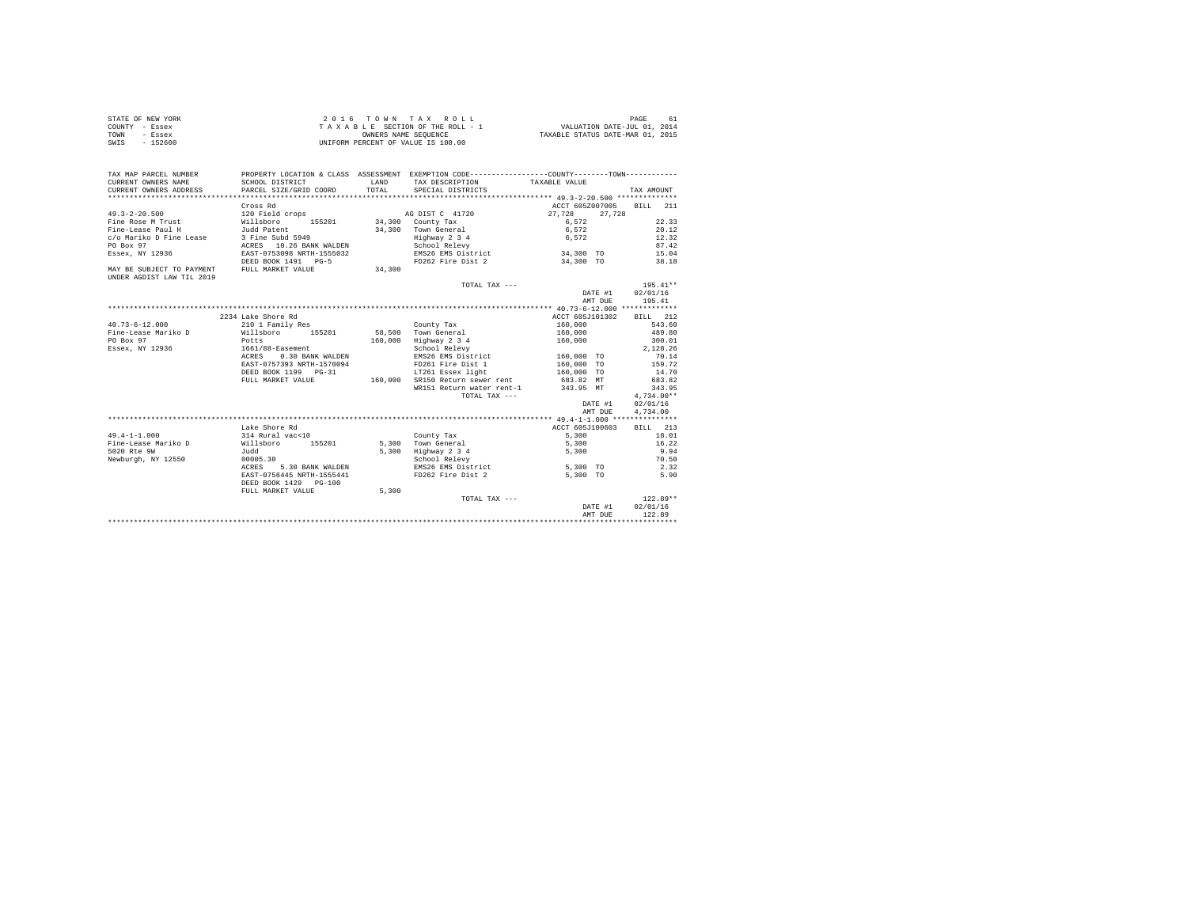| STATE OF NEW YORK | 2016 TOWN TAX ROLL                 | PAGE<br>61                       |
|-------------------|------------------------------------|----------------------------------|
| COUNTY - Essex    | TAXABLE SECTION OF THE ROLL - 1    | VALUATION DATE-JUL 01, 2014      |
| TOWN<br>- Essex   | OWNERS NAME SEOUENCE               | TAXABLE STATUS DATE-MAR 01, 2015 |
| SWIS<br>- 152600  | UNIFORM PERCENT OF VALUE IS 100.00 |                                  |

| TAX MAP PARCEL NUMBER<br>CURRENT OWNERS NAME<br>CURRENT OWNERS ADDRESS | PROPERTY LOCATION & CLASS ASSESSMENT EXEMPTION CODE---------------COUNTY--------TOWN----------<br>SCHOOL DISTRICT<br>PARCEL SIZE/GRID COORD | <b>T.AND</b><br>TOTAL | TAX DESCRIPTION TAXABLE VALUE<br>SPECIAL DISTRICTS |                          |          | TAX AMOUNT   |            |
|------------------------------------------------------------------------|---------------------------------------------------------------------------------------------------------------------------------------------|-----------------------|----------------------------------------------------|--------------------------|----------|--------------|------------|
|                                                                        |                                                                                                                                             |                       |                                                    |                          |          |              |            |
|                                                                        | Cross Rd                                                                                                                                    |                       |                                                    | ACCT 605Z007005 BILL 211 |          |              |            |
| $49.3 - 2 - 20.500$                                                    | 120 Field crops                                                                                                                             |                       | AG DIST C 41720                                    | 27.728 27.728            |          |              |            |
|                                                                        | 155201 34,300 County Tax                                                                                                                    |                       |                                                    | 6.572                    |          |              | 22.33      |
| Fine Rose M Trust Millsboro<br>Fine-Lease Paul H Judd Patent           |                                                                                                                                             |                       | 34,300 Town General                                | 6.572                    |          |              | 20.12      |
| c/o Mariko D Fine Lease 3 Fine Subd 5949                               |                                                                                                                                             |                       | Highway 2 3 4                                      | 6,572                    |          |              | 12.32      |
| PO Box 97                                                              | ACRES 10.26 BANK WALDEN                                                                                                                     |                       | School Relevy<br>EMS26 EMS District 34,300 TO      |                          |          |              | 87.42      |
| Essex, NY 12936                                                        | EAST-0753098 NRTH-1555032                                                                                                                   |                       |                                                    |                          |          |              | 15.04      |
|                                                                        | DEED BOOK 1491 PG-5                                                                                                                         |                       | FD262 Fire Dist 2 34,300 TO                        |                          |          |              | 38.18      |
| MAY BE SUBJECT TO PAYMENT<br>UNDER AGDIST LAW TIL 2019                 | FULL MARKET VALUE                                                                                                                           | 34,300                |                                                    |                          |          |              |            |
|                                                                        |                                                                                                                                             |                       | TOTAL TAX ---                                      |                          |          |              | $195.41**$ |
|                                                                        |                                                                                                                                             |                       |                                                    |                          | DATE #1  | 02/01/16     |            |
|                                                                        |                                                                                                                                             |                       |                                                    |                          | AMT DUE  |              | 195.41     |
|                                                                        |                                                                                                                                             |                       |                                                    |                          |          |              |            |
|                                                                        | 2234 Lake Shore Rd                                                                                                                          |                       |                                                    | ACCT 605J101302          |          | BILL 212     |            |
| $40.73 - 6 - 12.000$                                                   | 210 1 Family Res                                                                                                                            |                       | County Tax                                         | 160,000                  |          | 543.60       |            |
| Fine-Lease Mariko D                                                    | Willsboro 155201 58,500 Town General                                                                                                        |                       |                                                    | 160,000                  |          |              | 489.80     |
| PO Box 97                                                              | Potts                                                                                                                                       | 160,000               | Highway 2 3 4                                      | 160,000                  |          |              | 300.01     |
| Essex, NY 12936                                                        | $1661/88 -$ Easement                                                                                                                        |                       | School Relevy                                      |                          |          |              | 2.128.26   |
|                                                                        | ACRES<br>0.30 BANK WALDEN                                                                                                                   |                       | EMS26 EMS District 160,000 TO                      |                          |          |              | 70.14      |
|                                                                        | EAST-0757393 NRTH-1570094                                                                                                                   |                       | FD261 Fire Dist 1                                  | 160,000 TO               |          |              | 159.72     |
|                                                                        | DEED BOOK 1199 PG-31                                                                                                                        |                       | LT261 Essex light                                  | $160,000$ TO             |          |              | 14.70      |
|                                                                        | FULL MARKET VALUE                                                                                                                           |                       | 160,000 SR150 Return sewer rent 683.82 MT          |                          |          | 683.82       |            |
|                                                                        |                                                                                                                                             |                       | WR151 Return water rent-1 343.95 MT                |                          |          |              | 343.95     |
|                                                                        |                                                                                                                                             |                       | TOTAL TAX ---                                      |                          |          | $4,734.00**$ |            |
|                                                                        |                                                                                                                                             |                       |                                                    |                          | DATE #1  | 02/01/16     |            |
|                                                                        |                                                                                                                                             |                       |                                                    |                          | AMT DUE  | 4,734.00     |            |
|                                                                        |                                                                                                                                             |                       |                                                    |                          |          |              |            |
| $49.4 - 1 - 1.000$                                                     | Lake Shore Rd<br>314 Rural vac<10                                                                                                           |                       |                                                    | ACCT 605J100603<br>5,300 |          | BILL 213     | 18.01      |
| Fine-Lease Mariko D                                                    | Willsboro 155201 5,300 Town General 5,300                                                                                                   |                       | County Tax                                         |                          |          |              | 16.22      |
| 5020 Rte 9W                                                            |                                                                                                                                             |                       |                                                    |                          |          |              | 9.94       |
| Newburgh, NY 12550                                                     | Judd<br>00005.30                                                                                                                            |                       | 5,300 Highway 2 3 4 5,300<br>School Relevy         |                          |          |              | 70.50      |
|                                                                        | 5.30 BANK WALDEN<br>ACRES                                                                                                                   |                       | EMS26 EMS District                                 |                          | 5,300 TO | 2.32         |            |
|                                                                        | EAST-0756445 NRTH-1555441                                                                                                                   |                       | FD262 Fire Dist 2                                  |                          | 5,300 TO |              | 5.90       |
|                                                                        | DEED BOOK 1429 PG-100                                                                                                                       |                       |                                                    |                          |          |              |            |
|                                                                        | FULL MARKET VALUE                                                                                                                           | 5,300                 |                                                    |                          |          |              |            |
|                                                                        |                                                                                                                                             |                       | TOTAL TAX ---                                      |                          |          | $122.89**$   |            |
|                                                                        |                                                                                                                                             |                       |                                                    |                          | DATE #1  | 02/01/16     |            |
|                                                                        |                                                                                                                                             |                       |                                                    |                          | AMT DUE  | 122.89       |            |
|                                                                        |                                                                                                                                             |                       |                                                    |                          |          |              |            |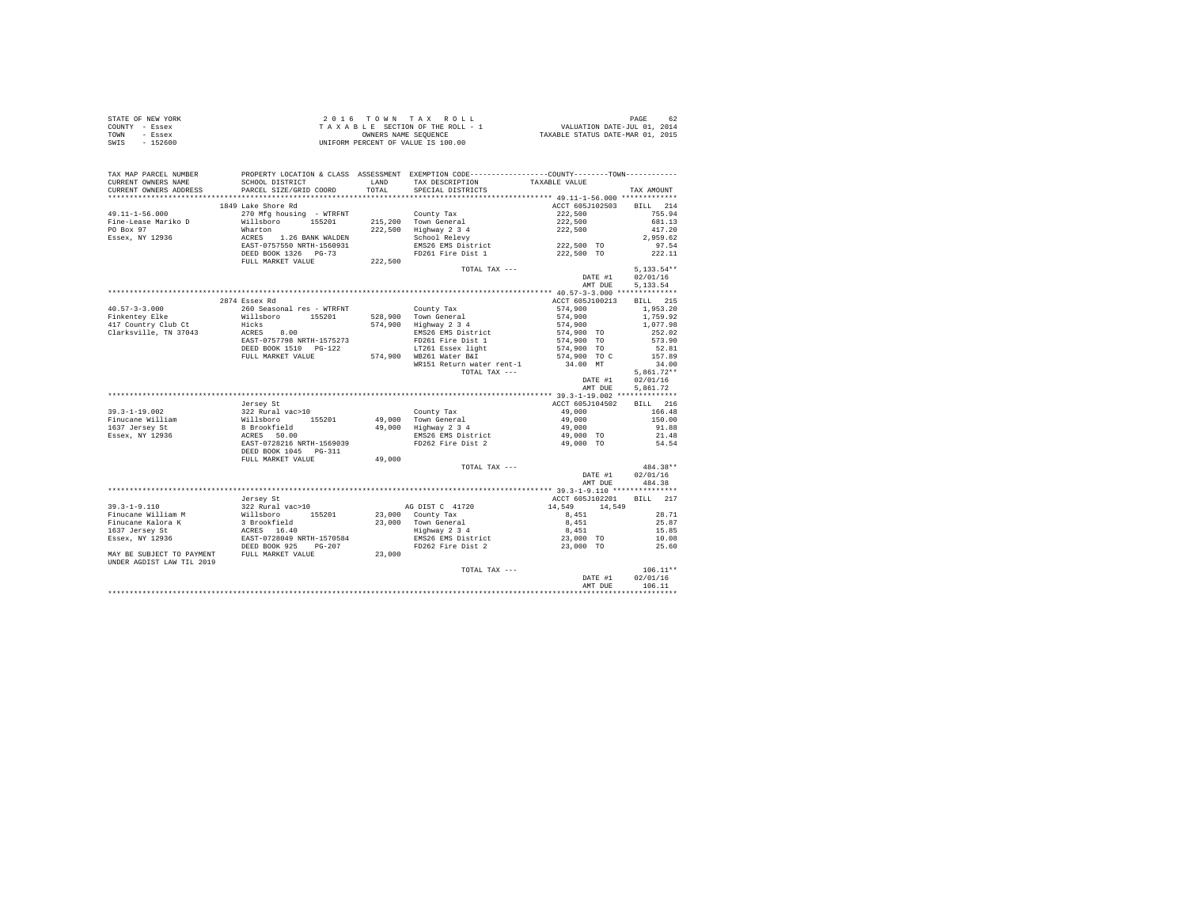|                | STATE OF NEW YORK | $2.0.16$ TOWN TAX ROLL             | PAGE<br>-62                      |
|----------------|-------------------|------------------------------------|----------------------------------|
| COUNTY - Essex |                   | TAXABLE SECTION OF THE ROLL - 1    | VALUATION DATE-JUL 01, 2014      |
| TOWN           | - Essex           | OWNERS NAME SEOUENCE               | TAXABLE STATUS DATE-MAR 01, 2015 |
| SWIS           | - 152600          | UNIFORM PERCENT OF VALUE IS 100.00 |                                  |

| TAX MAP PARCEL NUMBER<br>CURRENT OWNERS NAME                                                                                                                                                                                            | SCHOOL DISTRICT                                                                                                                                                                                                                                 |         | PROPERTY LOCATION & CLASS ASSESSMENT EXEMPTION CODE---------------COUNTY-------TOWN---------<br>LAND TAX DESCRIPTION                | TAXABLE VALUE                                        |                 |
|-----------------------------------------------------------------------------------------------------------------------------------------------------------------------------------------------------------------------------------------|-------------------------------------------------------------------------------------------------------------------------------------------------------------------------------------------------------------------------------------------------|---------|-------------------------------------------------------------------------------------------------------------------------------------|------------------------------------------------------|-----------------|
| CURRENT OWNERS ADDRESS                                                                                                                                                                                                                  | PARCEL SIZE/GRID COORD                                                                                                                                                                                                                          |         | TOTAL SPECIAL DISTRICTS                                                                                                             |                                                      | TAX AMOUNT      |
|                                                                                                                                                                                                                                         |                                                                                                                                                                                                                                                 |         |                                                                                                                                     |                                                      |                 |
|                                                                                                                                                                                                                                         | 1849 Lake Shore Rd                                                                                                                                                                                                                              |         |                                                                                                                                     | ACCT 605J102503                                      | BILL 214        |
| $49.11 - 1 - 56.000$                                                                                                                                                                                                                    |                                                                                                                                                                                                                                                 |         |                                                                                                                                     | 222,500                                              | 755.94          |
| Fine-Lease Mariko D                                                                                                                                                                                                                     | 270 MFg housing - WTRFNT<br>270 MFg housing - WTRFNT<br>215,200 Town General<br>222,500 Highway 2 3 4<br>222,500 Highway 2 3 4<br>222,500 Highway 2 3 4<br>EAST-0757550 NRTH-1560931<br>EAST DOOK 1326 PG-73<br>2022,500 MESS ENG26 EMS<br>2026 |         |                                                                                                                                     | $222,500$<br>$222,500$                               | 681.13          |
| PO Box 97                                                                                                                                                                                                                               |                                                                                                                                                                                                                                                 |         | 222,500 Highway 2 3 4<br>School Relevy                                                                                              |                                                      | 417.20          |
| Essex, NY 12936                                                                                                                                                                                                                         |                                                                                                                                                                                                                                                 |         |                                                                                                                                     |                                                      | 2.959.62        |
|                                                                                                                                                                                                                                         |                                                                                                                                                                                                                                                 |         | EMS26 EMS District 222,500 TO                                                                                                       |                                                      | 97.54           |
|                                                                                                                                                                                                                                         |                                                                                                                                                                                                                                                 |         | FD261 Fire Dist 1                                                                                                                   | 222,500 TO                                           | 222.11          |
|                                                                                                                                                                                                                                         | FULL MARKET VALUE                                                                                                                                                                                                                               | 222,500 |                                                                                                                                     |                                                      |                 |
|                                                                                                                                                                                                                                         |                                                                                                                                                                                                                                                 |         | TOTAL TAX ---                                                                                                                       |                                                      | $5,133.54**$    |
|                                                                                                                                                                                                                                         |                                                                                                                                                                                                                                                 |         |                                                                                                                                     | DATE #1                                              | 02/01/16        |
|                                                                                                                                                                                                                                         |                                                                                                                                                                                                                                                 |         |                                                                                                                                     | AMT DUE                                              | 5.133.54        |
|                                                                                                                                                                                                                                         |                                                                                                                                                                                                                                                 |         |                                                                                                                                     |                                                      |                 |
|                                                                                                                                                                                                                                         | 2874 Essex Rd                                                                                                                                                                                                                                   |         |                                                                                                                                     | ACCT 605J100213                                      | BILL 215        |
|                                                                                                                                                                                                                                         |                                                                                                                                                                                                                                                 |         |                                                                                                                                     | 574.900                                              | 1,953.20        |
|                                                                                                                                                                                                                                         |                                                                                                                                                                                                                                                 |         |                                                                                                                                     | 574,900                                              | 1,759.92        |
|                                                                                                                                                                                                                                         |                                                                                                                                                                                                                                                 |         |                                                                                                                                     | 574,900<br>574,900 TO                                | 1,077.98        |
|                                                                                                                                                                                                                                         |                                                                                                                                                                                                                                                 |         |                                                                                                                                     | 574,900 TO                                           | 252.02          |
|                                                                                                                                                                                                                                         |                                                                                                                                                                                                                                                 |         | LT261 Essex light                                                                                                                   | $574,900$ TO                                         | 573.90<br>52.81 |
|                                                                                                                                                                                                                                         | EXED BOOK 1510 PG-122<br>FULL MARKET VALUE 574,900 WB261 Water B&I                                                                                                                                                                              |         |                                                                                                                                     | 574,900 TO C                                         | 157.89          |
|                                                                                                                                                                                                                                         |                                                                                                                                                                                                                                                 |         | WR151 Return water rent-1                                                                                                           | 34.00 MT                                             | 34.00           |
|                                                                                                                                                                                                                                         |                                                                                                                                                                                                                                                 |         | TOTAL TAX ---                                                                                                                       |                                                      | $5,861.72**$    |
|                                                                                                                                                                                                                                         |                                                                                                                                                                                                                                                 |         |                                                                                                                                     | DATE #1                                              | 02/01/16        |
|                                                                                                                                                                                                                                         |                                                                                                                                                                                                                                                 |         |                                                                                                                                     | AMT DUE                                              | 5,861.72        |
|                                                                                                                                                                                                                                         |                                                                                                                                                                                                                                                 |         |                                                                                                                                     |                                                      |                 |
|                                                                                                                                                                                                                                         | Jersey St                                                                                                                                                                                                                                       |         |                                                                                                                                     | ACCT 605J104502                                      | BILL 216        |
| 39.3-1-19.002 99.3-1 99.000 99.32 Rural vac>10<br>Finucane William Millaboro 155201 49,000 Town General 49.000 11<br>1637 Jersey St & Brookfield 49,000 Highway 2 3 4<br>1637 Jersey St & Brookfield 49,000 Biss26 EMS bistrict 49,0    |                                                                                                                                                                                                                                                 |         |                                                                                                                                     | 49,000                                               | 166.48          |
|                                                                                                                                                                                                                                         |                                                                                                                                                                                                                                                 |         |                                                                                                                                     |                                                      | 150.00          |
|                                                                                                                                                                                                                                         |                                                                                                                                                                                                                                                 |         |                                                                                                                                     |                                                      | 91.88           |
|                                                                                                                                                                                                                                         |                                                                                                                                                                                                                                                 |         |                                                                                                                                     |                                                      | 21.48           |
|                                                                                                                                                                                                                                         |                                                                                                                                                                                                                                                 |         |                                                                                                                                     | 49,000 TO                                            | 54.54           |
|                                                                                                                                                                                                                                         | DEED BOOK 1045 PG-311                                                                                                                                                                                                                           |         |                                                                                                                                     |                                                      |                 |
|                                                                                                                                                                                                                                         | FULL MARKET VALUE                                                                                                                                                                                                                               | 49,000  |                                                                                                                                     |                                                      |                 |
|                                                                                                                                                                                                                                         |                                                                                                                                                                                                                                                 |         | TOTAL TAX ---                                                                                                                       |                                                      | 484.38**        |
|                                                                                                                                                                                                                                         |                                                                                                                                                                                                                                                 |         |                                                                                                                                     | DATE #1                                              | 02/01/16        |
|                                                                                                                                                                                                                                         |                                                                                                                                                                                                                                                 |         |                                                                                                                                     |                                                      | AMT DUE 484.38  |
|                                                                                                                                                                                                                                         |                                                                                                                                                                                                                                                 |         |                                                                                                                                     |                                                      |                 |
|                                                                                                                                                                                                                                         | Jersey St                                                                                                                                                                                                                                       |         |                                                                                                                                     | ACCT 605J102201 BILL 217                             |                 |
| 39.3-1-9.110 $322$ Rural vac>10 AG DIST C 41720<br>Finucane William M William 22 Rural vac>10 23,000 County Tax<br>Finucane Kalora K a Brookfield<br>1637 Jersey St ACRES 16.40<br>1637 Jersey St ACRES 16.40<br>1687 Jersey NY 12936 E |                                                                                                                                                                                                                                                 |         | AG DIST C 41720                                                                                                                     | $14,549$ $14,549$ $8,451$                            |                 |
|                                                                                                                                                                                                                                         |                                                                                                                                                                                                                                                 |         |                                                                                                                                     |                                                      | 28.71           |
|                                                                                                                                                                                                                                         |                                                                                                                                                                                                                                                 |         | 23,000 Town General 8,451<br>Highway 23 4<br>EMS26 EMS District 8,451<br>FD262 Fire Dist 2 23,000 TO<br>PD262 Fire Dist 2 23,000 TO |                                                      | 25.87           |
|                                                                                                                                                                                                                                         |                                                                                                                                                                                                                                                 |         |                                                                                                                                     |                                                      | 15.85           |
|                                                                                                                                                                                                                                         |                                                                                                                                                                                                                                                 |         |                                                                                                                                     |                                                      | 10.08           |
|                                                                                                                                                                                                                                         |                                                                                                                                                                                                                                                 |         |                                                                                                                                     |                                                      | 25.60           |
| MAY BE SUBJECT TO PAYMENT FULL MARKET VALUE 23,000                                                                                                                                                                                      |                                                                                                                                                                                                                                                 |         |                                                                                                                                     |                                                      |                 |
| UNDER AGDIST LAW TIL 2019                                                                                                                                                                                                               |                                                                                                                                                                                                                                                 |         |                                                                                                                                     |                                                      |                 |
|                                                                                                                                                                                                                                         |                                                                                                                                                                                                                                                 |         | TOTAL TAX ---                                                                                                                       | $\begin{array}{cc}\n\texttt{DATE} & #1\n\end{array}$ | $106.11**$      |
|                                                                                                                                                                                                                                         |                                                                                                                                                                                                                                                 |         |                                                                                                                                     |                                                      | 02/01/16        |
|                                                                                                                                                                                                                                         |                                                                                                                                                                                                                                                 |         |                                                                                                                                     | AMT DUE                                              | 106.11          |
|                                                                                                                                                                                                                                         |                                                                                                                                                                                                                                                 |         |                                                                                                                                     |                                                      | ************    |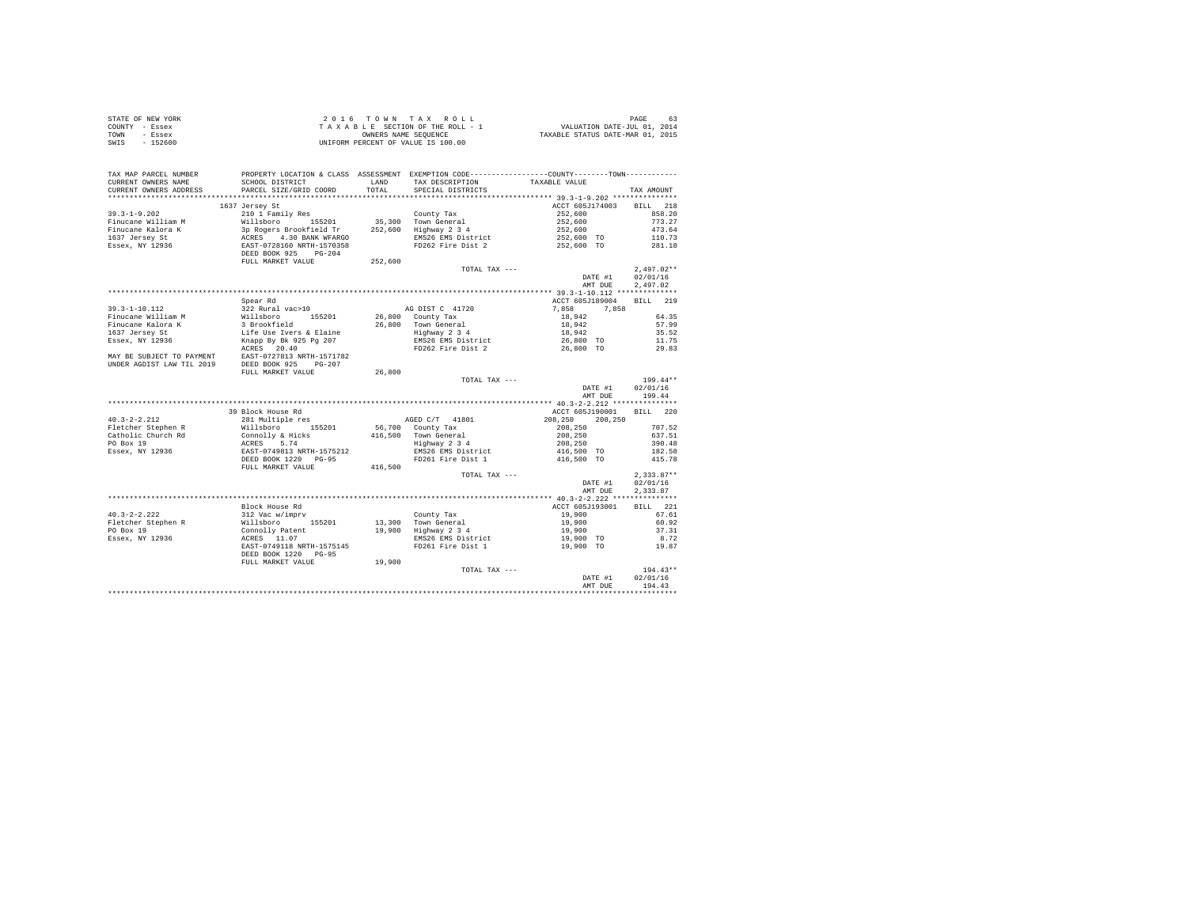|                | STATE OF NEW YORK | 2016 TOWN TAX ROLL                 |  |  |                      |  |  |  | 63<br>PAGE                       |
|----------------|-------------------|------------------------------------|--|--|----------------------|--|--|--|----------------------------------|
| COUNTY - Essex |                   | TAXABLE SECTION OF THE ROLL - 1    |  |  |                      |  |  |  | VALUATION DATE-JUL 01, 2014      |
| TOWN           | - Essex           |                                    |  |  | OWNERS NAME SEOUENCE |  |  |  | TAXABLE STATUS DATE-MAR 01, 2015 |
| SWIS           | - 152600          | UNIFORM PERCENT OF VALUE IS 100.00 |  |  |                      |  |  |  |                                  |

| TAX MAP PARCEL NUMBER                              | PROPERTY LOCATION & CLASS ASSESSMENT EXEMPTION CODE---------------COUNTY-------TOWN---------                                                                                                                                                                                                                                                                                                |         |                                                            |                                                                                                                                                                                                                                  |              |
|----------------------------------------------------|---------------------------------------------------------------------------------------------------------------------------------------------------------------------------------------------------------------------------------------------------------------------------------------------------------------------------------------------------------------------------------------------|---------|------------------------------------------------------------|----------------------------------------------------------------------------------------------------------------------------------------------------------------------------------------------------------------------------------|--------------|
| CURRENT OWNERS NAME                                | SCHOOL DISTRICT                                                                                                                                                                                                                                                                                                                                                                             | LAND    | TAX DESCRIPTION                                            | TAXABLE VALUE                                                                                                                                                                                                                    |              |
| CURRENT OWNERS ADDRESS                             | PARCEL SIZE/GRID COORD                                                                                                                                                                                                                                                                                                                                                                      | TOTAL   | SPECIAL DISTRICTS                                          |                                                                                                                                                                                                                                  | TAX AMOUNT   |
|                                                    |                                                                                                                                                                                                                                                                                                                                                                                             |         |                                                            |                                                                                                                                                                                                                                  |              |
|                                                    | 1637 Jersey St                                                                                                                                                                                                                                                                                                                                                                              |         |                                                            | ACCT 605J174003 BILL 218                                                                                                                                                                                                         |              |
|                                                    |                                                                                                                                                                                                                                                                                                                                                                                             |         |                                                            |                                                                                                                                                                                                                                  |              |
|                                                    |                                                                                                                                                                                                                                                                                                                                                                                             |         |                                                            |                                                                                                                                                                                                                                  |              |
|                                                    |                                                                                                                                                                                                                                                                                                                                                                                             |         |                                                            |                                                                                                                                                                                                                                  |              |
|                                                    |                                                                                                                                                                                                                                                                                                                                                                                             |         |                                                            |                                                                                                                                                                                                                                  |              |
|                                                    |                                                                                                                                                                                                                                                                                                                                                                                             |         |                                                            |                                                                                                                                                                                                                                  |              |
|                                                    |                                                                                                                                                                                                                                                                                                                                                                                             |         |                                                            |                                                                                                                                                                                                                                  |              |
|                                                    | FULL MARKET VALUE                                                                                                                                                                                                                                                                                                                                                                           | 252,600 |                                                            |                                                                                                                                                                                                                                  |              |
|                                                    |                                                                                                                                                                                                                                                                                                                                                                                             |         | TOTAL TAX ---                                              |                                                                                                                                                                                                                                  | $2,497.02**$ |
|                                                    |                                                                                                                                                                                                                                                                                                                                                                                             |         |                                                            | DATE #1                                                                                                                                                                                                                          | 02/01/16     |
|                                                    |                                                                                                                                                                                                                                                                                                                                                                                             |         |                                                            | AMT DUE                                                                                                                                                                                                                          | 2,497.02     |
|                                                    |                                                                                                                                                                                                                                                                                                                                                                                             |         |                                                            |                                                                                                                                                                                                                                  |              |
|                                                    |                                                                                                                                                                                                                                                                                                                                                                                             |         |                                                            |                                                                                                                                                                                                                                  |              |
|                                                    |                                                                                                                                                                                                                                                                                                                                                                                             |         |                                                            |                                                                                                                                                                                                                                  |              |
|                                                    |                                                                                                                                                                                                                                                                                                                                                                                             |         |                                                            |                                                                                                                                                                                                                                  |              |
|                                                    |                                                                                                                                                                                                                                                                                                                                                                                             |         |                                                            |                                                                                                                                                                                                                                  |              |
|                                                    |                                                                                                                                                                                                                                                                                                                                                                                             |         |                                                            |                                                                                                                                                                                                                                  |              |
|                                                    |                                                                                                                                                                                                                                                                                                                                                                                             |         |                                                            |                                                                                                                                                                                                                                  |              |
|                                                    |                                                                                                                                                                                                                                                                                                                                                                                             |         |                                                            |                                                                                                                                                                                                                                  |              |
|                                                    |                                                                                                                                                                                                                                                                                                                                                                                             |         |                                                            |                                                                                                                                                                                                                                  |              |
|                                                    |                                                                                                                                                                                                                                                                                                                                                                                             |         |                                                            |                                                                                                                                                                                                                                  |              |
|                                                    |                                                                                                                                                                                                                                                                                                                                                                                             |         |                                                            |                                                                                                                                                                                                                                  |              |
|                                                    |                                                                                                                                                                                                                                                                                                                                                                                             |         | TOTAL TAX ---                                              |                                                                                                                                                                                                                                  | $199.44**$   |
|                                                    |                                                                                                                                                                                                                                                                                                                                                                                             |         |                                                            | DATE #1 02/01/16                                                                                                                                                                                                                 |              |
|                                                    |                                                                                                                                                                                                                                                                                                                                                                                             |         |                                                            | AMT DUE 199.44                                                                                                                                                                                                                   |              |
|                                                    |                                                                                                                                                                                                                                                                                                                                                                                             |         |                                                            |                                                                                                                                                                                                                                  |              |
|                                                    | 39 Block House Rd                                                                                                                                                                                                                                                                                                                                                                           |         |                                                            | ACCT 605J190001 BILL 220                                                                                                                                                                                                         |              |
| $40.3 - 2 - 2.212$                                 | 281 Multiple res                                                                                                                                                                                                                                                                                                                                                                            |         | AGED C/T 41801                                             |                                                                                                                                                                                                                                  |              |
|                                                    |                                                                                                                                                                                                                                                                                                                                                                                             |         |                                                            |                                                                                                                                                                                                                                  |              |
|                                                    |                                                                                                                                                                                                                                                                                                                                                                                             |         | 56,700 County Tax<br>416,500 Town General<br>Highway 2 3 4 |                                                                                                                                                                                                                                  |              |
|                                                    |                                                                                                                                                                                                                                                                                                                                                                                             |         |                                                            |                                                                                                                                                                                                                                  |              |
|                                                    | $\begin{tabular}{lcccc} 40.3--2-.4.212 & 40.8--2.01 & 56.700 \\ \hline \texttt{F1} & \texttt{F2} & \texttt{F3} & \texttt{F4} & \texttt{N1} & \texttt{N2} & \texttt{N3} & \texttt{N4} \\ \texttt{F2} & \texttt{F3} & \texttt{F4} & \texttt{F4} & \texttt{N1} & \texttt{N2} & \texttt{N4} & \texttt{N4} \\ \texttt{C1} & \texttt{C1} & \texttt{C1} & \texttt{C1} & \texttt{C2} & \texttt{C3}$ |         |                                                            | AGED C/T 41801 200,250 200,250 200,250 200,250 200,250 200,250 200,250 200,250 200,250 200,250 200,250 200,250<br>700 County 200,250 200,250 200,250 200,250 200,250 200,250 200,250 200,250 200,250 200,460 200,460 200,480 200 |              |
|                                                    |                                                                                                                                                                                                                                                                                                                                                                                             |         | FD261 Fire Dist 1                                          | 416,500 TO                                                                                                                                                                                                                       | 415.78       |
|                                                    | FULL MARKET VALUE                                                                                                                                                                                                                                                                                                                                                                           | 416,500 |                                                            |                                                                                                                                                                                                                                  |              |
|                                                    |                                                                                                                                                                                                                                                                                                                                                                                             |         | TOTAL TAX ---                                              |                                                                                                                                                                                                                                  | $2,333.87**$ |
|                                                    |                                                                                                                                                                                                                                                                                                                                                                                             |         |                                                            | DATE #1 02/01/16                                                                                                                                                                                                                 |              |
|                                                    |                                                                                                                                                                                                                                                                                                                                                                                             |         |                                                            | AMT DUE                                                                                                                                                                                                                          | 2,333.87     |
|                                                    |                                                                                                                                                                                                                                                                                                                                                                                             |         |                                                            |                                                                                                                                                                                                                                  |              |
|                                                    |                                                                                                                                                                                                                                                                                                                                                                                             |         |                                                            | ACCT 605J193001                                                                                                                                                                                                                  |              |
| $40.3 - 2 - 2.222$                                 |                                                                                                                                                                                                                                                                                                                                                                                             |         |                                                            |                                                                                                                                                                                                                                  |              |
|                                                    |                                                                                                                                                                                                                                                                                                                                                                                             |         |                                                            |                                                                                                                                                                                                                                  |              |
|                                                    |                                                                                                                                                                                                                                                                                                                                                                                             |         |                                                            |                                                                                                                                                                                                                                  |              |
| Fletcher Stephen R<br>PO Box 19<br>Essex, NY 12936 |                                                                                                                                                                                                                                                                                                                                                                                             |         |                                                            |                                                                                                                                                                                                                                  |              |
|                                                    |                                                                                                                                                                                                                                                                                                                                                                                             |         |                                                            |                                                                                                                                                                                                                                  |              |
|                                                    | Block House Rd<br>312 Wallaboro 155201 13,300 Town General 19,900 1971<br>312 Willaboro 155201 13,300 Town General 19,900 167.61<br>2011 2011<br>2016 2019<br>2010 2011<br>2016 2019<br>2020 2020 2021 2012<br>2020 2021 2012 2021 2021 2022                                                                                                                                                |         |                                                            |                                                                                                                                                                                                                                  |              |
|                                                    | FULL MARKET VALUE                                                                                                                                                                                                                                                                                                                                                                           | 19,900  |                                                            |                                                                                                                                                                                                                                  |              |
|                                                    |                                                                                                                                                                                                                                                                                                                                                                                             |         | TOTAL TAX ---                                              | $194.43 \n\times 194.43$<br>DATE #1 02/01/16<br>$194.43$                                                                                                                                                                         |              |
|                                                    |                                                                                                                                                                                                                                                                                                                                                                                             |         |                                                            |                                                                                                                                                                                                                                  |              |
|                                                    |                                                                                                                                                                                                                                                                                                                                                                                             |         |                                                            | AMT DUE 194.43                                                                                                                                                                                                                   |              |
|                                                    |                                                                                                                                                                                                                                                                                                                                                                                             |         |                                                            |                                                                                                                                                                                                                                  |              |
|                                                    |                                                                                                                                                                                                                                                                                                                                                                                             |         |                                                            |                                                                                                                                                                                                                                  |              |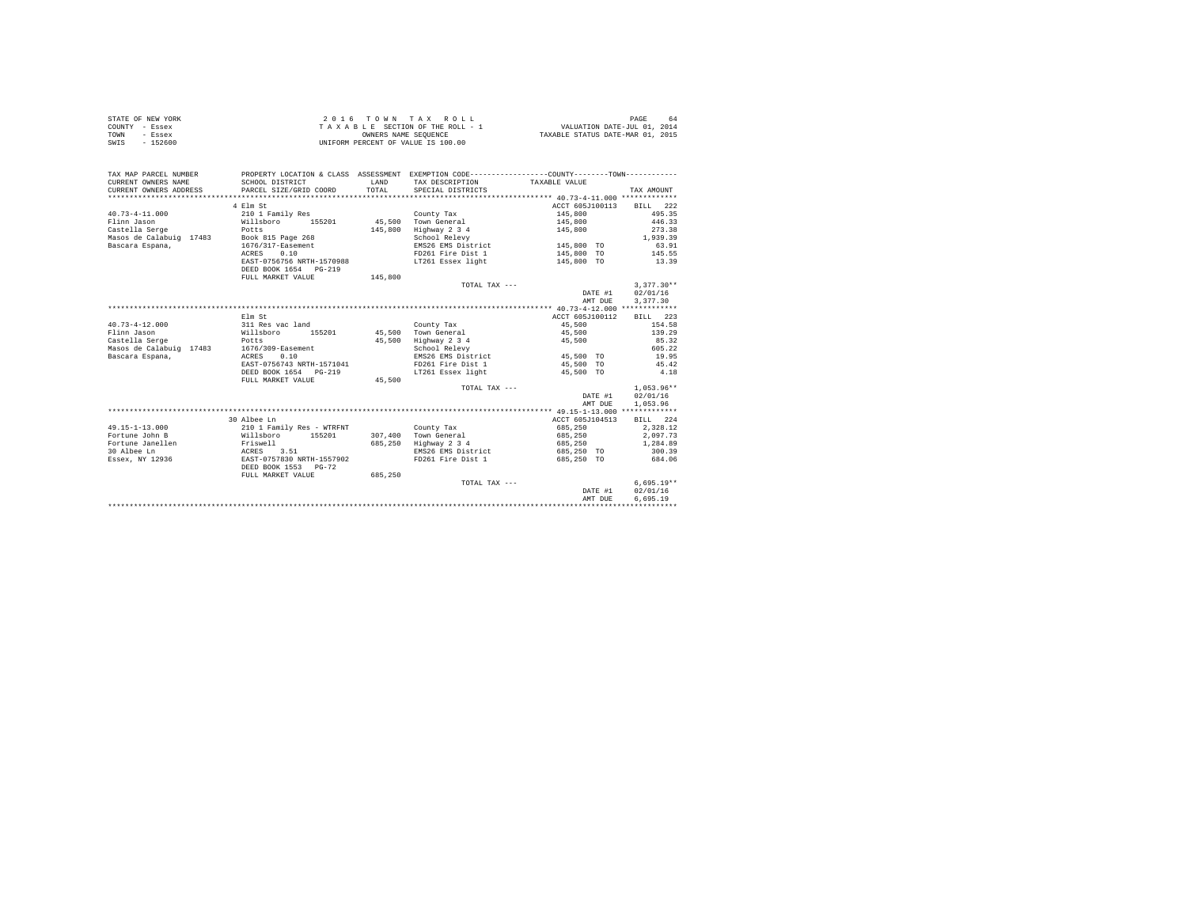| STATE OF NEW YORK | 2016 TOWN TAX ROLL                 | PAGE<br>-64                      |
|-------------------|------------------------------------|----------------------------------|
| COUNTY - Essex    | TAXABLE SECTION OF THE ROLL - 1    | VALUATION DATE-JUL 01, 2014      |
| TOWN<br>- Essex   | OWNERS NAME SEOUENCE               | TAXABLE STATUS DATE-MAR 01, 2015 |
| $-152600$<br>SWIS | UNIFORM PERCENT OF VALUE IS 100.00 |                                  |

| TAX MAP PARCEL NUMBER                     | PROPERTY LOCATION & CLASS ASSESSMENT EXEMPTION CODE----------------COUNTY--------TOWN---------- |              |                                     |                          |                  |
|-------------------------------------------|-------------------------------------------------------------------------------------------------|--------------|-------------------------------------|--------------------------|------------------|
| CURRENT OWNERS NAME                       | SCHOOL DISTRICT                                                                                 | <b>T.AND</b> | TAX DESCRIPTION                     | TAXABLE VALUE            |                  |
| CURRENT OWNERS ADDRESS                    | PARCEL SIZE/GRID COORD                                                                          | TOTAL        | SPECIAL DISTRICTS                   |                          | TAX AMOUNT       |
|                                           |                                                                                                 |              |                                     |                          |                  |
|                                           | 4 Elm St                                                                                        |              |                                     | ACCT 605J100113 BILL 222 |                  |
| $40.73 - 4 - 11.000$                      | 210 1 Family Res                                                                                |              | County Tax                          | 145,800                  | 495.35           |
| Flinn Jason                               | Willsboro 155201 45,500 Town General                                                            |              |                                     | 145,800 446.33           |                  |
|                                           |                                                                                                 |              | 145,800 Highway 2 3 4               | 145,800                  | 273.38           |
|                                           |                                                                                                 |              | School Relevy                       |                          | 1,939.39         |
| Bascara Espana,                           | 1676/317-Easement                                                                               |              | EMS26 EMS District 145.800 TO       |                          | 63.91            |
|                                           | ACRES<br>0.10                                                                                   |              | FD261 Fire Dist 1 145,800 TO 145.55 |                          |                  |
|                                           | EAST-0756756 NRTH-1570988                                                                       |              | LT261 Essex light                   | 145,800 TO               | 13.39            |
|                                           | DEED BOOK 1654 PG-219                                                                           |              |                                     |                          |                  |
|                                           | FULL MARKET VALUE                                                                               | 145,800      |                                     |                          |                  |
|                                           |                                                                                                 |              | TOTAL TAX ---                       |                          | $3.377.30**$     |
|                                           |                                                                                                 |              |                                     | DATE #1                  | 02/01/16         |
|                                           |                                                                                                 |              |                                     | AMT DUE                  | 3.377.30         |
|                                           |                                                                                                 |              |                                     |                          |                  |
|                                           | Elm St                                                                                          |              |                                     | ACCT 605J100112          | BILL 223         |
| $40.73 - 4 - 12.000$                      | 311 Res vac land                                                                                |              | County Tax                          | 45,500                   | 154.58           |
| Flinn Jason                               | Willsboro 155201                                                                                |              | 45,500 Town General                 | 45,500                   | 139.29           |
| Castella Serge                            | Potts                                                                                           | 45,500       | Highway 2 3 4                       | 45,500                   | 85.32            |
| Masos de Calabuig 17483 1676/309-Easement |                                                                                                 |              | School Relevy                       |                          | 605.22           |
| Bascara Espana,                           | 0.10<br>ACRES                                                                                   |              | EMS26 EMS District                  | 45,500 TO                | 19.95            |
|                                           | EAST-0756743 NRTH-1571041                                                                       |              | FD261 Fire Dist 1                   | 45,500 TO                | 45.42            |
|                                           | DEED BOOK 1654 PG-219                                                                           |              | LT261 Essex light                   | 45,500 TO                | 4.18             |
|                                           | FULL MARKET VALUE                                                                               | 45,500       |                                     |                          |                  |
|                                           |                                                                                                 |              | TOTAL TAX ---                       |                          | $1,053.96**$     |
|                                           |                                                                                                 |              |                                     |                          | DATE #1 02/01/16 |
|                                           |                                                                                                 |              |                                     | AMT DUE                  | 1,053.96         |
|                                           |                                                                                                 |              |                                     |                          |                  |
|                                           | 30 Albee Ln                                                                                     |              |                                     | ACCT 605J104513          | <b>BILL</b> 224  |
| 49.15-1-13.000                            | 210 1 Family Res - WTRFNT                                                                       |              | County Tax                          | 685,250                  | 2.328.12         |
| Fortune John B                            | Willsboro 155201                                                                                |              | 307,400 Town General                | 685,250                  | 2,097.73         |
| Fortune Janellen                          | Friswell<br>ACRES 3.51                                                                          |              | 685,250 Highway 2 3 4               | 685,250                  | 1,284.89         |
| 30 Albee Ln                               |                                                                                                 |              | EMS26 EMS District                  | 685,250 TO               | 300.39           |
| Essex, NY 12936                           | EAST-0757830 NRTH-1557902                                                                       |              | FD261 Fire Dist 1                   | 685,250 TO               | 684.06           |
|                                           | DEED BOOK 1553 PG-72                                                                            |              |                                     |                          |                  |
|                                           | FULL MARKET VALUE                                                                               | 685,250      |                                     |                          |                  |
|                                           |                                                                                                 |              | TOTAL TAX ---                       |                          | $6.695.19**$     |
|                                           |                                                                                                 |              |                                     | DATE #1                  | 02/01/16         |
|                                           |                                                                                                 |              |                                     | AMT DUE                  | 6.695.19         |
|                                           |                                                                                                 |              |                                     |                          |                  |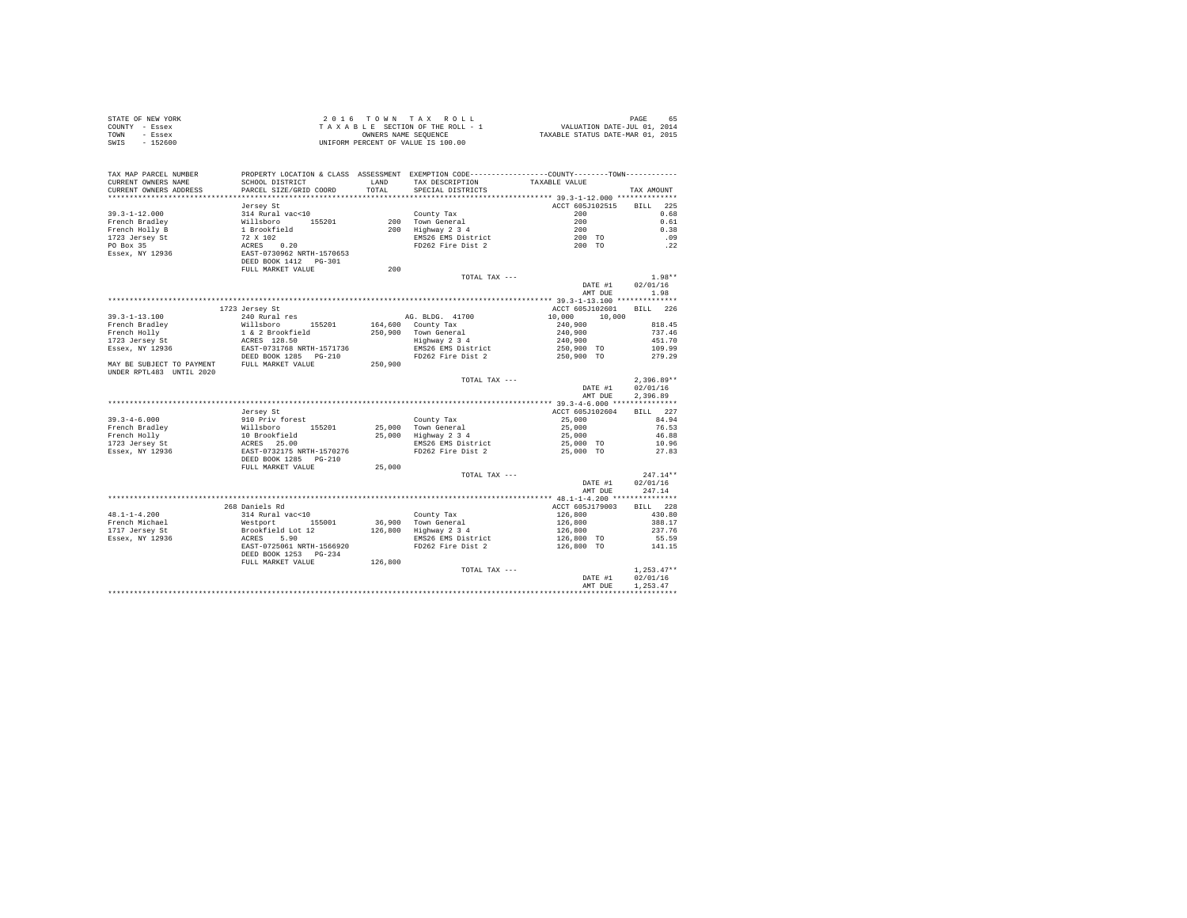| STATE OF NEW YORK                                                                                                                                  |                                                                                                                |         |                                                                                                |                                     |              |          |
|----------------------------------------------------------------------------------------------------------------------------------------------------|----------------------------------------------------------------------------------------------------------------|---------|------------------------------------------------------------------------------------------------|-------------------------------------|--------------|----------|
| COUNTY - Essex                                                                                                                                     |                                                                                                                |         |                                                                                                |                                     |              |          |
| TOWN - Essex                                                                                                                                       |                                                                                                                |         |                                                                                                |                                     |              |          |
| SWIS - 152600                                                                                                                                      |                                                                                                                |         |                                                                                                |                                     |              |          |
|                                                                                                                                                    |                                                                                                                |         |                                                                                                |                                     |              |          |
|                                                                                                                                                    |                                                                                                                |         |                                                                                                |                                     |              |          |
|                                                                                                                                                    |                                                                                                                |         |                                                                                                |                                     |              |          |
| TAX MAP PARCEL NUMBER                                                                                                                              | PROPERTY LOCATION & CLASS ASSESSMENT EXEMPTION CODE-----------------COUNTY--------TOWN----------               |         |                                                                                                |                                     |              |          |
| CURRENT OWNERS NAME                                                                                                                                | SCHOOL DISTRICT                                                                                                |         | LAND TAX DESCRIPTION TAXABLE VALUE                                                             |                                     |              |          |
| CURRENT OWNERS ADDRESS                                                                                                                             | PARCEL SIZE/GRID COORD                                                                                         | TOTAL.  | SPECIAL DISTRICTS                                                                              |                                     | TAX AMOUNT   |          |
|                                                                                                                                                    |                                                                                                                |         |                                                                                                |                                     |              |          |
|                                                                                                                                                    | Jersey St                                                                                                      |         |                                                                                                | ACCT 605J102515 BILL 225            |              |          |
| $39.3 - 1 - 12.000$                                                                                                                                | 314 Rural vac<10                                                                                               |         | County Tax                                                                                     | 200                                 |              | 0.68     |
| French Bradley                                                                                                                                     |                                                                                                                |         |                                                                                                | 200                                 |              | 0.61     |
|                                                                                                                                                    |                                                                                                                |         |                                                                                                |                                     |              | 0.38     |
|                                                                                                                                                    |                                                                                                                |         |                                                                                                |                                     |              | .09      |
| French Holly B<br>1723 Jersey St<br>PO Box 35<br>Essex, NY 12936                                                                                   | % Millaboro<br>Willaboro 155201<br>1 Brookfield<br>72 x 102<br>RERS 1020<br>RERS 1020<br>DEED BOOK 1412 PG-301 |         | County Tax<br>200 Town General<br>200 Highway 2 3 4<br>EMS26 EMS District<br>FD262 Fire Dist 2 | $\frac{1}{200}$<br>200 TO<br>200 TO |              | .22      |
|                                                                                                                                                    |                                                                                                                |         |                                                                                                |                                     |              |          |
|                                                                                                                                                    |                                                                                                                |         |                                                                                                |                                     |              |          |
|                                                                                                                                                    | FULL MARKET VALUE                                                                                              | 200     |                                                                                                |                                     |              |          |
|                                                                                                                                                    |                                                                                                                |         | TOTAL TAX ---                                                                                  |                                     |              | $1.98**$ |
|                                                                                                                                                    |                                                                                                                |         |                                                                                                | DATE #1                             | 02/01/16     |          |
|                                                                                                                                                    |                                                                                                                |         |                                                                                                | AMT DUE                             |              | 1.98     |
|                                                                                                                                                    |                                                                                                                |         |                                                                                                |                                     |              |          |
|                                                                                                                                                    |                                                                                                                |         |                                                                                                |                                     |              |          |
|                                                                                                                                                    | 1723 Jersey St                                                                                                 |         |                                                                                                | ACCT 605J102601 BILL 226            |              |          |
| $39.3 - 1 - 13.100$                                                                                                                                | 240 Rural res                                                                                                  |         | AG. BLDG. 41700                                                                                | 10,000 10,000                       |              |          |
| French Bradley                                                                                                                                     | Willsboro 155201                                                                                               |         | 164,600 County Tax<br>250,900 Town General<br>Highway 2 3 4                                    | 240,900                             |              | 818.45   |
|                                                                                                                                                    |                                                                                                                |         |                                                                                                | 240,900                             |              | 737.46   |
|                                                                                                                                                    |                                                                                                                |         |                                                                                                | 240,900                             |              | 451.70   |
|                                                                                                                                                    |                                                                                                                |         |                                                                                                |                                     |              | 109.99   |
| French Holly<br>1723 Jersey St<br>1723 Jersey St<br>1723 Jersey St<br>1888 - ACT-0731768 NRTH-1571736<br>1882 - DEED BOOK 1285<br>1892 - POST 1889 |                                                                                                                |         | EMS26 EMS District 250,900 TO<br>FD262 Fire Dist 2 2 250,900 TO                                |                                     | 279.29       |          |
| MAY BE SUBJECT TO PAYMENT FULL MARKET VALUE                                                                                                        |                                                                                                                | 250,900 |                                                                                                |                                     |              |          |
| UNDER RPTL483 UNTIL 2020                                                                                                                           |                                                                                                                |         |                                                                                                |                                     |              |          |
|                                                                                                                                                    |                                                                                                                |         | TOTAL TAX ---                                                                                  |                                     | $2.396.89**$ |          |
|                                                                                                                                                    |                                                                                                                |         |                                                                                                | DATE #1                             | 02/01/16     |          |
|                                                                                                                                                    |                                                                                                                |         |                                                                                                | AMT DUE                             | 2.396.89     |          |
|                                                                                                                                                    |                                                                                                                |         |                                                                                                |                                     |              |          |
|                                                                                                                                                    | Jersey St                                                                                                      |         |                                                                                                | ACCT 605J102604                     | BILL 227     |          |
| $39.3 - 4 - 6.000$                                                                                                                                 | 910 Priv forest                                                                                                |         |                                                                                                | 25,000                              | 84.94        |          |
| 39.3-4-6.000<br>French Bradley<br>French Holly<br>1723 Jersey St<br>Essex, NY 12936                                                                |                                                                                                                |         | County Tax<br>25,000 Town General<br>25,000 Highway 2 3 4                                      |                                     |              | 76.53    |
|                                                                                                                                                    |                                                                                                                |         |                                                                                                | $25,000$<br>$25,000$                |              | 46.88    |
|                                                                                                                                                    |                                                                                                                |         |                                                                                                | 25,000 TO                           |              | 10.96    |
|                                                                                                                                                    |                                                                                                                |         | EMS26 EMS District<br>FD262 Fire Dist 2                                                        | 25,000 TO                           |              | 27.83    |
|                                                                                                                                                    |                                                                                                                |         |                                                                                                |                                     |              |          |
|                                                                                                                                                    | FULL MARKET VALUE                                                                                              | 25,000  |                                                                                                |                                     |              |          |
|                                                                                                                                                    |                                                                                                                |         | TOTAL TAX ---                                                                                  |                                     | $247.14**$   |          |
|                                                                                                                                                    |                                                                                                                |         |                                                                                                | DATE #1                             | 02/01/16     |          |
|                                                                                                                                                    |                                                                                                                |         |                                                                                                | AMT DUE 247.14                      |              |          |
|                                                                                                                                                    |                                                                                                                |         |                                                                                                |                                     |              |          |
|                                                                                                                                                    |                                                                                                                |         |                                                                                                |                                     |              |          |
|                                                                                                                                                    | 268 Daniels Rd                                                                                                 |         |                                                                                                | ACCT 605J179003                     | BILL 228     |          |
| $48.1 - 1 - 4.200$                                                                                                                                 | 314 Rural vac<10                                                                                               |         |                                                                                                | 126,800                             |              | 430.80   |
| French Michael                                                                                                                                     | Westport 155001<br>Brookfield Lot 12<br>ACRES 5.90<br>EAST-0725061 NRTH-1566920                                |         | County Tax<br>36,900 Town General<br>126,800 Highway 2 3 4                                     | 126,800<br>126,800<br>126,800 TO    |              | 388.17   |
| French Michael<br>1717 Jersey St                                                                                                                   |                                                                                                                |         |                                                                                                |                                     |              | 237.76   |
| Essex, NY 12936                                                                                                                                    |                                                                                                                |         | EMS26 EMS District                                                                             |                                     |              | 55.59    |
|                                                                                                                                                    |                                                                                                                |         | FD262 Fire Dist 2                                                                              | 126,800 TO                          |              | 141.15   |
|                                                                                                                                                    | DEED BOOK 1253 PG-234                                                                                          |         |                                                                                                |                                     |              |          |
|                                                                                                                                                    | FULL MARKET VALUE 126,800                                                                                      |         |                                                                                                |                                     |              |          |
|                                                                                                                                                    |                                                                                                                |         | TOTAL TAX ---                                                                                  |                                     | $1.253.47**$ |          |
|                                                                                                                                                    |                                                                                                                |         |                                                                                                | DATE #1                             | 02/01/16     |          |
|                                                                                                                                                    |                                                                                                                |         |                                                                                                | AMT DUE                             | 1.253.47     |          |
|                                                                                                                                                    |                                                                                                                |         |                                                                                                |                                     | ************ |          |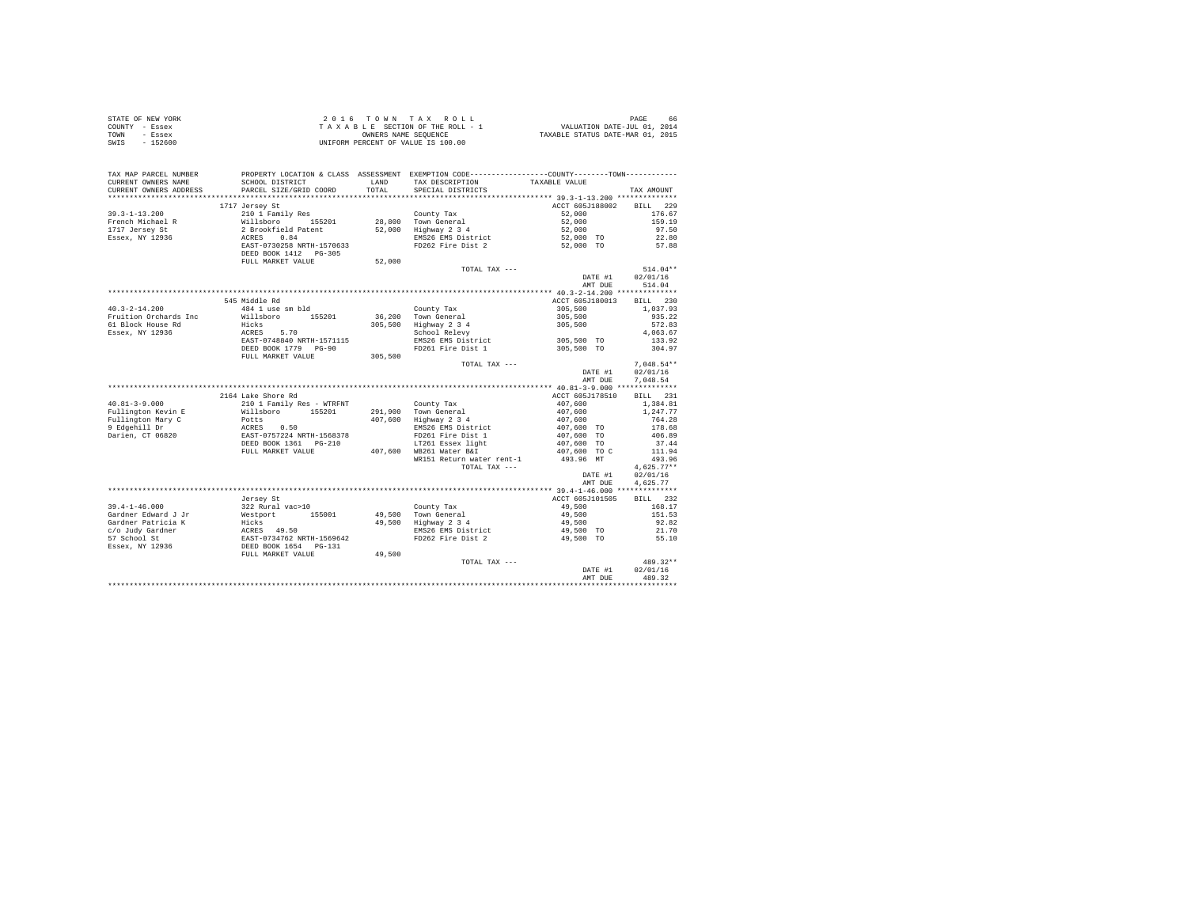| STATE OF NEW YORK | 2016 TOWN TAX ROLL                 | 66<br>PAGE                       |
|-------------------|------------------------------------|----------------------------------|
| COUNTY - Essex    | TAXABLE SECTION OF THE ROLL - 1    | VALUATION DATE-JUL 01, 2014      |
| TOWN<br>- Essex   | OWNERS NAME SEOUENCE               | TAXABLE STATUS DATE-MAR 01, 2015 |
| SWIS<br>- 152600  | UNIFORM PERCENT OF VALUE IS 100.00 |                                  |

| TAX MAP PARCEL NUMBER<br>CURRENT OWNERS NAME<br>CURRENT OWNERS ADDRESS | PROPERTY LOCATION & CLASS ASSESSMENT EXEMPTION CODE---------------COUNTY-------TOWN---------<br>SCHOOL DISTRICT<br>PARCEL SIZE/GRID COORD                                                                                    | <b>T.AND</b><br>TOTAL | TAX DESCRIPTION<br>SPECIAL DISTRICTS                      | TAXABLE VALUE                                                                                                    | TAX AMOUNT   |
|------------------------------------------------------------------------|------------------------------------------------------------------------------------------------------------------------------------------------------------------------------------------------------------------------------|-----------------------|-----------------------------------------------------------|------------------------------------------------------------------------------------------------------------------|--------------|
| *********************                                                  | ******************************                                                                                                                                                                                               |                       |                                                           |                                                                                                                  |              |
|                                                                        | 1717 Jersey St                                                                                                                                                                                                               |                       |                                                           | ACCT 605J188002 BILL 229                                                                                         |              |
| $39.3 - 1 - 13.200$                                                    | 210 1 Family Res                                                                                                                                                                                                             |                       | County Tax                                                | 52,000                                                                                                           | 176.67       |
|                                                                        |                                                                                                                                                                                                                              |                       | County Tax<br>28,800 Town General<br>52,000 Highway 2 3 4 | 52,000                                                                                                           | 159.19       |
|                                                                        |                                                                                                                                                                                                                              |                       |                                                           | 52,000                                                                                                           | 97.50        |
|                                                                        |                                                                                                                                                                                                                              |                       | EMS26 EMS District                                        | 52,000 TO                                                                                                        | 22.80        |
|                                                                        |                                                                                                                                                                                                                              |                       | FD262 Fire Dist 2                                         | 52,000 TO                                                                                                        | 57.88        |
|                                                                        |                                                                                                                                                                                                                              |                       |                                                           |                                                                                                                  |              |
|                                                                        | FULL MARKET VALUE                                                                                                                                                                                                            | 52,000                |                                                           |                                                                                                                  |              |
|                                                                        |                                                                                                                                                                                                                              |                       | TOTAL TAX ---                                             |                                                                                                                  | $514.04**$   |
|                                                                        |                                                                                                                                                                                                                              |                       |                                                           | DATE #1                                                                                                          | 02/01/16     |
|                                                                        |                                                                                                                                                                                                                              |                       |                                                           | AMT DUE                                                                                                          | 514.04       |
|                                                                        |                                                                                                                                                                                                                              |                       |                                                           |                                                                                                                  |              |
|                                                                        | 545 Middle Rd                                                                                                                                                                                                                |                       |                                                           | ACCT 605J180013 BILL 230                                                                                         |              |
| $40.3 - 2 - 14.200$                                                    | 484 1 use sm bld                                                                                                                                                                                                             |                       |                                                           | 305,500                                                                                                          | 1,037.93     |
|                                                                        | Willsboro 155201 36,200 Town General                                                                                                                                                                                         |                       | County Tax                                                |                                                                                                                  |              |
| Fruition Orchards Inc                                                  |                                                                                                                                                                                                                              |                       |                                                           | $305,500$<br>$305,500$                                                                                           | 935.22       |
| 61 Block House Rd                                                      | Hicks                                                                                                                                                                                                                        |                       | 305,500 Highway 2 3 4<br>School Relevy                    |                                                                                                                  | 572.83       |
| Essex, NY 12936                                                        | -------<br>ACRES 5.70<br>EAST-0748840 NRTH-1571115<br>DEED BOOK 1779 PG-90                                                                                                                                                   |                       |                                                           |                                                                                                                  | 4,063.67     |
|                                                                        |                                                                                                                                                                                                                              |                       | EMS26 EMS District 305,500 TO                             |                                                                                                                  | 133.92       |
|                                                                        |                                                                                                                                                                                                                              |                       | FD261 Fire Dist 1                                         | 305,500 TO                                                                                                       | 304.97       |
|                                                                        | FULL MARKET VALUE                                                                                                                                                                                                            | 305,500               |                                                           |                                                                                                                  |              |
|                                                                        |                                                                                                                                                                                                                              |                       | TOTAL TAX ---                                             |                                                                                                                  | $7.048.54**$ |
|                                                                        |                                                                                                                                                                                                                              |                       |                                                           | DATE #1                                                                                                          | 02/01/16     |
|                                                                        |                                                                                                                                                                                                                              |                       |                                                           | AMT DUE                                                                                                          | 7.048.54     |
|                                                                        |                                                                                                                                                                                                                              |                       |                                                           |                                                                                                                  |              |
|                                                                        | 2164 Lake Shore Rd                                                                                                                                                                                                           |                       |                                                           | ACCT 605J178510                                                                                                  | BILL 231     |
| $40.81 - 3 - 9.000$                                                    | 210 1 Family Res - WTRFNT                                                                                                                                                                                                    |                       | County Tax                                                |                                                                                                                  | 1,384.81     |
| Fullington Kevin E                                                     |                                                                                                                                                                                                                              |                       |                                                           |                                                                                                                  | 1,247.77     |
| Fullington Mary C                                                      |                                                                                                                                                                                                                              |                       |                                                           |                                                                                                                  | 764.28       |
| 9 Edgehill Dr                                                          |                                                                                                                                                                                                                              |                       | EMS26 EMS District                                        |                                                                                                                  | 178.68       |
| Darien, CT 06820                                                       |                                                                                                                                                                                                                              |                       |                                                           |                                                                                                                  | 406.89       |
|                                                                        | AND 11 BOOT 2011 291,900 TOWN TRANSPORT 1118<br>POITS 15201 291,900 TOWN General<br>POITS 20124 NRTH-1568378<br>ACRES 0.50 EMS26 EMS26 EMS District<br>EAST-0757224 NRTH-1568378<br>DEED BOOK 1361 PO-210 117261 Essex light |                       |                                                           | $407,600$<br>$407,600$<br>$407,600$<br>$407,600$<br>$407,600$ TO<br>$407,600$ TO<br>$407,600$ TO<br>$407,600$ TO | 37.44        |
|                                                                        | FULL MARKET VALUE                                                                                                                                                                                                            |                       | 407,600 WB261 Water B&I                                   |                                                                                                                  | 111.94       |
|                                                                        |                                                                                                                                                                                                                              |                       | WR151 Return water rent-1                                 | 493.96 MT                                                                                                        | 493.96       |
|                                                                        |                                                                                                                                                                                                                              |                       | TOTAL TAX ---                                             |                                                                                                                  | $4.625.77**$ |
|                                                                        |                                                                                                                                                                                                                              |                       |                                                           | DATE #1                                                                                                          | 02/01/16     |
|                                                                        |                                                                                                                                                                                                                              |                       |                                                           | AMT DUE                                                                                                          | 4,625.77     |
|                                                                        |                                                                                                                                                                                                                              |                       |                                                           |                                                                                                                  |              |
|                                                                        | Jersey St                                                                                                                                                                                                                    |                       |                                                           | ACCT 605J101505                                                                                                  | BILL 232     |
|                                                                        |                                                                                                                                                                                                                              |                       |                                                           | 49,500                                                                                                           | 168.17       |
|                                                                        |                                                                                                                                                                                                                              |                       | County Tax<br>49,500 Town General<br>49,500 Highway 2 3 4 | 49,500                                                                                                           | 151.53       |
|                                                                        |                                                                                                                                                                                                                              |                       |                                                           |                                                                                                                  | 92.82        |
|                                                                        |                                                                                                                                                                                                                              |                       |                                                           | 49,500<br>EMS26 EMS District 49,500 TO                                                                           |              |
|                                                                        |                                                                                                                                                                                                                              |                       | FD262 Fire Dist 2                                         |                                                                                                                  | 21.70        |
|                                                                        |                                                                                                                                                                                                                              |                       |                                                           | 49,500 TO                                                                                                        | 55.10        |
|                                                                        |                                                                                                                                                                                                                              |                       |                                                           |                                                                                                                  |              |
|                                                                        |                                                                                                                                                                                                                              | 49,500                |                                                           |                                                                                                                  |              |
|                                                                        |                                                                                                                                                                                                                              |                       | TOTAL TAX ---                                             |                                                                                                                  | 489.32**     |
|                                                                        |                                                                                                                                                                                                                              |                       |                                                           | DATE #1                                                                                                          | 02/01/16     |
|                                                                        |                                                                                                                                                                                                                              |                       |                                                           | AMT DUE                                                                                                          | 489.32       |
|                                                                        |                                                                                                                                                                                                                              |                       |                                                           |                                                                                                                  |              |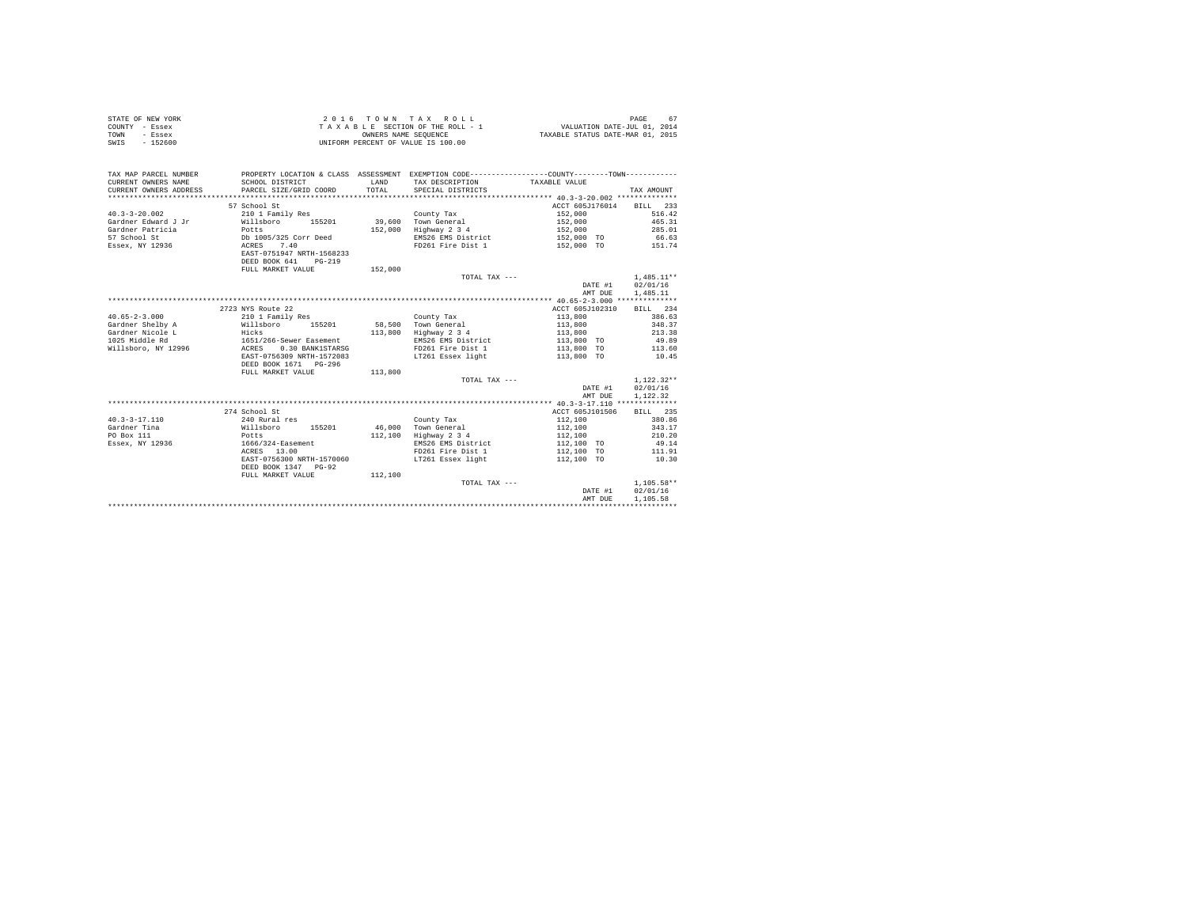| STATE OF NEW YORK     |                 |      | 2016 TOWN TAX ROLL                 | 67<br>PAGE                                                                                    |
|-----------------------|-----------------|------|------------------------------------|-----------------------------------------------------------------------------------------------|
| COUNTY - Essex        |                 |      | TAXABLE SECTION OF THE ROLL - 1    | VALUATION DATE-JUL 01, 2014                                                                   |
| TOWN<br>- Essex       |                 |      | OWNERS NAME SEOUENCE               | TAXABLE STATUS DATE-MAR 01, 2015                                                              |
| - 152600<br>SWIS      |                 |      | UNIFORM PERCENT OF VALUE IS 100.00 |                                                                                               |
|                       |                 |      |                                    |                                                                                               |
|                       |                 |      |                                    |                                                                                               |
|                       |                 |      |                                    |                                                                                               |
| TAX MAP PARCEL NUMBER |                 |      |                                    | PROPERTY LOCATION & CLASS ASSESSMENT EXEMPTION CODE---------------COUNTY-------TOWN---------- |
| CURRENT OWNERS NAME   | SCHOOL DISTRICT | LAND | TAX DESCRIPTION                    | TAXABLE VALUE                                                                                 |

| CURRENT OWNERS ADDRESS | PARCEL SIZE/GRID COORD    | TOTAL   | SPECIAL DISTRICTS  |                                               | TAX AMOUNT         |
|------------------------|---------------------------|---------|--------------------|-----------------------------------------------|--------------------|
|                        |                           |         |                    | **************** 40.3-3-20.002 ************** |                    |
|                        | 57 School St              |         |                    | ACCT 605J176014                               | <b>BILL</b><br>233 |
| $40.3 - 3 - 20.002$    | 210 1 Family Res          |         | County Tax         | 152,000                                       | 516.42             |
| Gardner Edward J Jr    | Willsboro<br>155201       | 39,600  | Town General       | 152,000                                       | 465.31             |
| Gardner Patricia       | Potts                     | 152,000 | Highway 2 3 4      | 152,000                                       | 285.01             |
| 57 School St           | Db 1005/325 Corr Deed     |         | EMS26 EMS District | 152,000 TO                                    | 66.63              |
| Essex, NY 12936        | 7.40<br>ACRES             |         | FD261 Fire Dist 1  | 152,000 TO                                    | 151.74             |
|                        | EAST-0751947 NRTH-1568233 |         |                    |                                               |                    |
|                        | DEED BOOK 641<br>$PG-219$ |         |                    |                                               |                    |
|                        | FULL MARKET VALUE         | 152,000 |                    |                                               |                    |
|                        |                           |         | TOTAL TAX ---      |                                               | $1.485.11**$       |
|                        |                           |         |                    | DATE #1                                       | 02/01/16           |
|                        |                           |         |                    | AMT DUE                                       | 1,485.11           |
|                        |                           |         |                    |                                               |                    |
|                        | 2723 NYS Route 22         |         |                    | ACCT 605J102310                               | BILL 234           |
| $40.65 - 2 - 3.000$    | 210 1 Family Res          |         | County Tax         | 113,800                                       | 386.63             |
| Gardner Shelby A       | Willsboro<br>155201       | 58,500  | Town General       | 113,800                                       | 348.37             |
| Gardner Nicole L       | Hicks                     | 113,800 | Highway 2 3 4      | 113,800                                       | 213.38             |
| 1025 Middle Rd         | 1651/266-Sewer Easement   |         | EMS26 EMS District | 113,800 TO                                    | 49.89              |
| Willsboro, NY 12996    | ACRES<br>0.30 BANK1STARSG |         | FD261 Fire Dist 1  | 113,800<br><b>TO</b>                          | 113.60             |
|                        | EAST-0756309 NRTH-1572083 |         | LT261 Essex light  | 113,800 TO                                    | 10.45              |
|                        | DEED BOOK 1671 PG-296     |         |                    |                                               |                    |
|                        | FULL MARKET VALUE         | 113,800 |                    |                                               |                    |
|                        |                           |         | TOTAL TAX ---      |                                               | $1.122.32**$       |
|                        |                           |         |                    | DATE #1                                       | 02/01/16           |
|                        |                           |         |                    | AMT DUE                                       | 1.122.32           |
|                        |                           |         |                    |                                               |                    |
|                        | 274 School St             |         |                    | ACCT 605J101506                               | BILL 235           |
| $40.3 - 3 - 17.110$    | 240 Rural res             |         | County Tax         | 112,100                                       | 380.86             |
| Gardner Tina           | 155201<br>Willsboro       | 46,000  | Town General       | 112,100                                       | 343.17             |
| PO Box 111             | Potts                     | 112,100 | Highway 2 3 4      | 112,100                                       | 210.20             |
| Essex, NY 12936        | 1666/324-Easement         |         | EMS26 EMS District | 112,100 TO                                    | 49.14              |
|                        | ACRES 13.00               |         | FD261 Fire Dist 1  | 112,100<br><b>TO</b>                          | 111.91             |
|                        | EAST-0756300 NRTH-1570060 |         | LT261 Essex light  | 112,100 TO                                    | 10.30              |
|                        | DEED BOOK 1347 PG-92      |         |                    |                                               |                    |
|                        | FULL MARKET VALUE         | 112,100 |                    |                                               |                    |
|                        |                           |         | TOTAL TAX ---      |                                               | $1.105.58**$       |
|                        |                           |         |                    | DATE #1                                       | 02/01/16           |
|                        |                           |         |                    | AMT DUE                                       | 1,105.58           |
|                        |                           |         |                    |                                               |                    |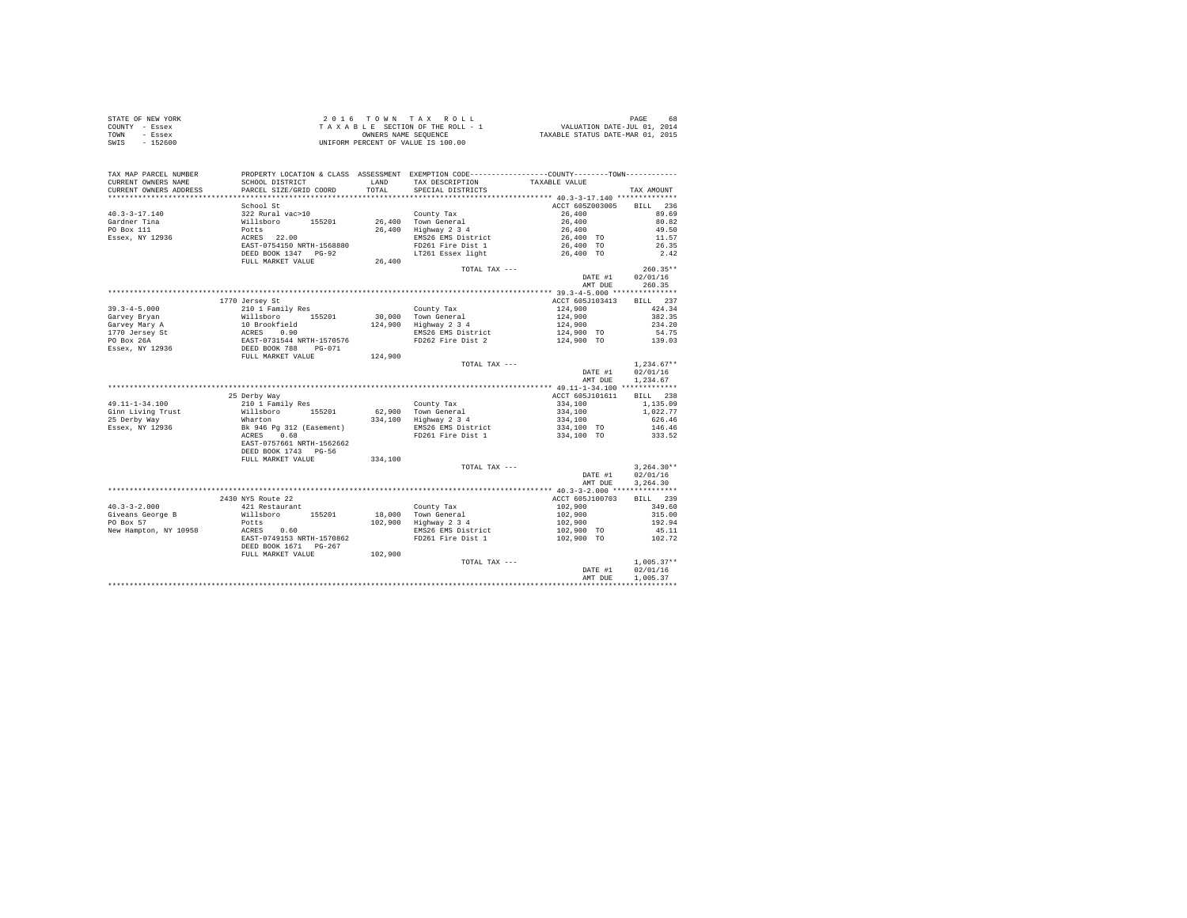|                | STATE OF NEW YORK |  |  |  | 2016 TOWN TAX ROLL                 |  |  |  |  | 68<br>PAGE                       |
|----------------|-------------------|--|--|--|------------------------------------|--|--|--|--|----------------------------------|
| COUNTY - Essex |                   |  |  |  | TAXABLE SECTION OF THE ROLL - 1    |  |  |  |  | VALUATION DATE-JUL 01, 2014      |
| TOWN           | - Essex           |  |  |  | OWNERS NAME SEOUENCE               |  |  |  |  | TAXABLE STATUS DATE-MAR 01, 2015 |
| SWIS           | - 152600          |  |  |  | UNIFORM PERCENT OF VALUE IS 100.00 |  |  |  |  |                                  |

| TAX MAP PARCEL NUMBER<br>CURRENT OWNERS NAME | SCHOOL DISTRICT                                | LAND    | PROPERTY LOCATION & CLASS ASSESSMENT EXEMPTION CODE---------------COUNTY-------TOWN----------<br>TAX DESCRIPTION | TAXABLE VALUE   |              |
|----------------------------------------------|------------------------------------------------|---------|------------------------------------------------------------------------------------------------------------------|-----------------|--------------|
| CURRENT OWNERS ADDRESS                       | PARCEL SIZE/GRID COORD                         | TOTAL.  | SPECIAL DISTRICTS                                                                                                |                 | TAX AMOUNT   |
|                                              |                                                |         |                                                                                                                  |                 |              |
|                                              | School St                                      |         |                                                                                                                  | ACCT 605Z003005 | BILL 236     |
| $40.3 - 3 - 17.140$                          | 322 Rural vac>10                               |         | County Tax<br>26,400 Town General                                                                                | 26,400          | 89.69        |
| Gardner Tina                                 |                                                |         |                                                                                                                  | 26,400          | 80.82        |
| PO Box 111                                   | Willsboro 155201<br>Potts 22.00<br>ACRES 22.00 |         | 26,400 Highway 2 3 4                                                                                             | 26,400          | 49.50        |
| Essex, NY 12936                              |                                                |         | EMS26 EMS District                                                                                               | 26,400 TO       | 11.57        |
|                                              | EAST-0754150 NRTH-1568880                      |         | FD261 Fire Dist 1                                                                                                | 26,400 TO       | 26.35        |
|                                              | DEED BOOK 1347 PG-92                           |         | LT261 Essex light 26,400 TO                                                                                      |                 | 2.42         |
|                                              | FULL MARKET VALUE                              | 26,400  |                                                                                                                  |                 |              |
|                                              |                                                |         | TOTAL TAX ---                                                                                                    |                 | $260.35**$   |
|                                              |                                                |         |                                                                                                                  | DATE #1         | 02/01/16     |
|                                              |                                                |         |                                                                                                                  | AMT DUE         | 260.35       |
|                                              |                                                |         |                                                                                                                  |                 |              |
|                                              | 1770 Jersey St                                 |         |                                                                                                                  | ACCT 605J103413 | BILL 237     |
| $39.3 - 4 - 5.000$                           | 210 1 Family Res                               |         | County Tax                                                                                                       | 124,900         | 424.34       |
| Garvey Bryan                                 | Willsboro 155201<br>10 Brookfield              |         | 30,000 Town General                                                                                              | 124,900         | 382.35       |
| Garvey Mary A                                |                                                |         | 124,900 Highway 2 3 4                                                                                            | 124,900         | 234.20       |
|                                              |                                                |         | EMS26 EMS District                                                                                               | 124,900 TO      | 54.75        |
|                                              |                                                |         | FD262 Fire Dist 2                                                                                                | 124,900 TO      | 139.03       |
|                                              |                                                |         |                                                                                                                  |                 |              |
|                                              |                                                | 124,900 |                                                                                                                  |                 |              |
|                                              |                                                |         | TOTAL TAX ---                                                                                                    |                 | $1.234.67**$ |
|                                              |                                                |         |                                                                                                                  | DATE #1         | 02/01/16     |
|                                              |                                                |         |                                                                                                                  | AMT DUE         | 1,234.67     |
|                                              |                                                |         |                                                                                                                  |                 |              |
|                                              | 25 Derby Way                                   |         |                                                                                                                  | ACCT 605J101611 | BILL 238     |
| 49.11-1-34.100                               | 210 1 Family Res                               |         | County Tax                                                                                                       | 334,100         | 1,135.09     |
| Ginn Living Trust                            | Willsboro 155201                               |         | $62,900$ Town General<br>334,100 Highway 2 3 4                                                                   | 334,100         | 1,022.77     |
| 25 Derby Way                                 | Wharton                                        |         |                                                                                                                  | 334,100         | 626.46       |
| Essex, NY 12936                              | Bk 946 Pg 312 (Easement)<br>ACRES 0.68         |         | EMS26 EMS District<br>FD261 Fire Dist 1                                                                          | 334,100 TO      | 146.46       |
|                                              |                                                |         |                                                                                                                  | 334,100 TO      | 333.52       |
|                                              | EAST-0757661 NRTH-1562662                      |         |                                                                                                                  |                 |              |
|                                              | DEED BOOK 1743 PG-56                           |         |                                                                                                                  |                 |              |
|                                              | FULL MARKET VALUE                              | 334,100 |                                                                                                                  |                 |              |
|                                              |                                                |         | TOTAL TAX ---                                                                                                    |                 | $3.264.30**$ |
|                                              |                                                |         |                                                                                                                  | DATE #1         | 02/01/16     |
|                                              |                                                |         |                                                                                                                  | AMT DUE         | 3.264.30     |
|                                              |                                                |         |                                                                                                                  |                 |              |
|                                              | 2430 NYS Route 22                              |         |                                                                                                                  | ACCT 605J100703 | BILL 239     |
| $40.3 - 3 - 2.000$                           | 421 Restaurant                                 |         | County Tax<br>18,000 Town General                                                                                | 102,900         | 349.60       |
| Giveans George B                             | Willsboro 155201                               |         |                                                                                                                  | 102,900         | 315.00       |
| PO Box 57                                    | Potts                                          |         | 102,900 Highway 2 3 4                                                                                            | 102,900         | 192.94       |
| New Hampton, NY 10958                        | ACRES 0.60                                     |         | EMS26 EMS District                                                                                               | 102,900 TO      | 45.11        |
|                                              | EAST-0749153 NRTH-1570862                      |         | FD261 Fire Dist 1                                                                                                | 102,900 TO      | 102.72       |
|                                              | DEED BOOK 1671 PG-267                          |         |                                                                                                                  |                 |              |
|                                              | FULL MARKET VALUE                              | 102,900 |                                                                                                                  |                 |              |
|                                              |                                                |         | TOTAL TAX ---                                                                                                    |                 | $1,005.37**$ |
|                                              |                                                |         |                                                                                                                  | DATE #1         | 02/01/16     |
|                                              |                                                |         |                                                                                                                  | AMT DUE         | 1,005.37     |
|                                              |                                                |         |                                                                                                                  |                 |              |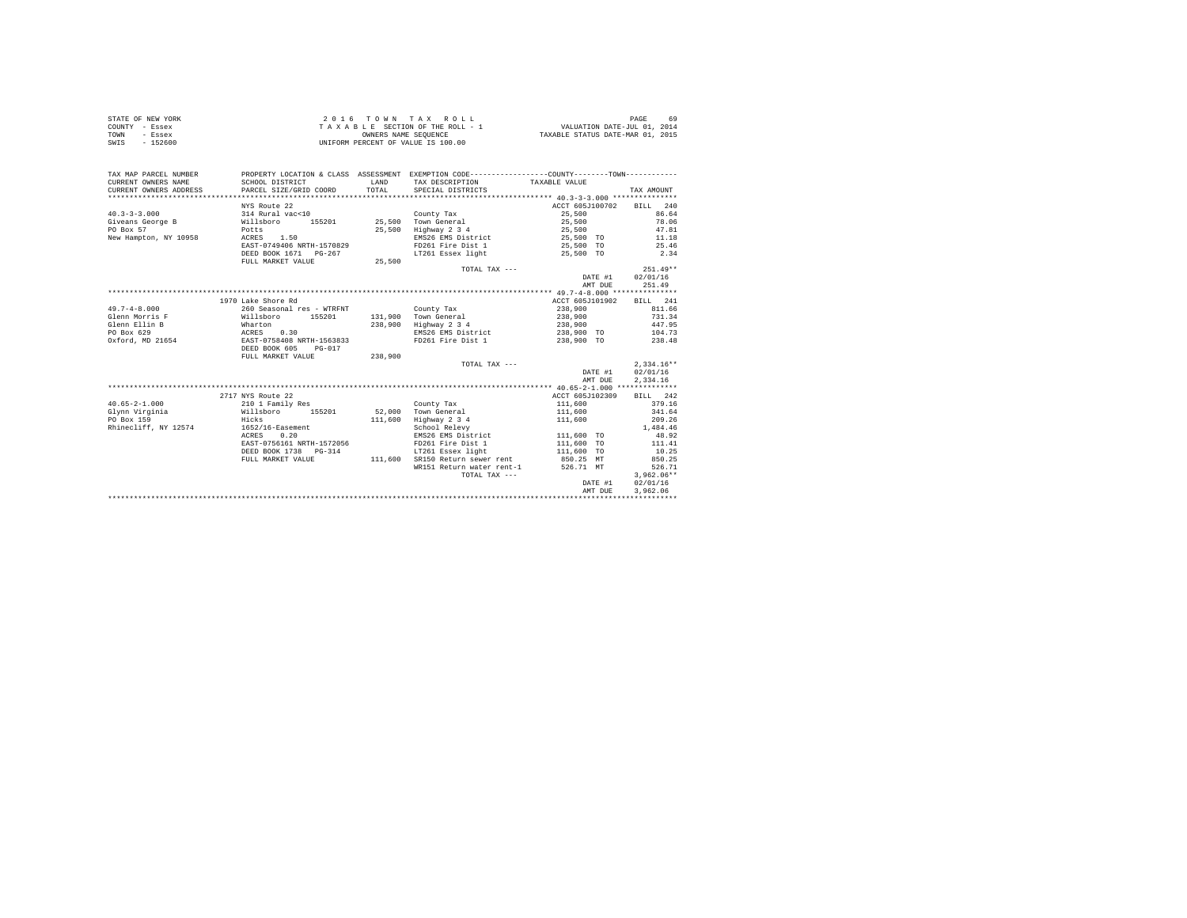|                | STATE OF NEW YORK | 2016 TOWN TAX ROLL                 | PAGE<br>69                       |
|----------------|-------------------|------------------------------------|----------------------------------|
| COUNTY - Essex |                   | TAXABLE SECTION OF THE ROLL - 1    | VALUATION DATE-JUL 01, 2014      |
| TOWN           | - Essex           | OWNERS NAME SEOUENCE               | TAXABLE STATUS DATE-MAR 01, 2015 |
| SWIS           | $-152600$         | UNIFORM PERCENT OF VALUE IS 100.00 |                                  |

| TAX MAP PARCEL NUMBER<br>CURRENT OWNERS NAME<br>CURRENT OWNERS ADDRESS | SCHOOL DISTRICT<br>PARCEL SIZE/GRID COORD          | <b>T.AND</b><br>TOTAL | PROPERTY LOCATION & CLASS ASSESSMENT EXEMPTION CODE----------------COUNTY-------TOWN----------<br>TAX DESCRIPTION TAXABLE VALUE<br>SPECIAL DISTRICTS |                          | TAX AMOUNT   |
|------------------------------------------------------------------------|----------------------------------------------------|-----------------------|------------------------------------------------------------------------------------------------------------------------------------------------------|--------------------------|--------------|
|                                                                        |                                                    |                       |                                                                                                                                                      |                          |              |
|                                                                        | NYS Route 22                                       |                       |                                                                                                                                                      | ACCT 605J100702          | BILL 240     |
| $40.3 - 3 - 3.000$                                                     | 314 Rural vac<10                                   |                       | County Tax                                                                                                                                           | 25,500                   | 86.64        |
| Giveans George B                                                       | Willsboro<br>Potts<br>155201                       |                       | 25,500 Town General                                                                                                                                  | 25,500                   | 78.06        |
| PO Box 57                                                              |                                                    |                       | 25,500 Highway 2 3 4                                                                                                                                 | 25,500                   | 47.81        |
| New Hampton, NY 10958                                                  | ACRES 1.50                                         |                       | EMS26 EMS District 25.500 TO                                                                                                                         |                          | 11.18        |
|                                                                        | EAST-0749406 NRTH-1570829                          |                       | FD261 Fire Dist 1 25.500 TO                                                                                                                          |                          | 25.46        |
|                                                                        | DEED BOOK 1671 PG-267                              |                       | LT261 Essex light                                                                                                                                    | 25,500 TO                | 2.34         |
|                                                                        | FULL MARKET VALUE                                  | 25,500                |                                                                                                                                                      |                          |              |
|                                                                        |                                                    |                       | TOTAL TAX $---$                                                                                                                                      |                          | $251.49**$   |
|                                                                        |                                                    |                       |                                                                                                                                                      | DATE #1                  | 02/01/16     |
|                                                                        |                                                    |                       |                                                                                                                                                      | AMT DUE                  | 251.49       |
|                                                                        |                                                    |                       |                                                                                                                                                      |                          |              |
|                                                                        | 1970 Lake Shore Rd                                 |                       |                                                                                                                                                      | ACCT 605J101902 BILL 241 |              |
| $49.7 - 4 - 8.000$                                                     | 260 Seasonal res - WTRFNT                          |                       | County Tax                                                                                                                                           | 238,900                  | 811.66       |
| Glenn Morris F                                                         | Willsboro<br>155201                                |                       | 131.900 Town General                                                                                                                                 | 238,900                  | 731.34       |
| Glenn Ellin B                                                          |                                                    |                       | 238,900 Highway 2 3 4                                                                                                                                | 238,900                  | 447.95       |
| PO Box 629                                                             |                                                    |                       | EMS26 EMS District                                                                                                                                   | 238,900 TO               | 104.73       |
| Oxford, MD 21654                                                       | Wharton<br>ACRES 0.30<br>EAST-0758408 NRTH-1563833 |                       | FD261 Fire Dist 1                                                                                                                                    | 238,900 TO               | 238.48       |
|                                                                        | DEED BOOK 605<br>$PG-017$                          |                       |                                                                                                                                                      |                          |              |
|                                                                        | FULL MARKET VALUE                                  | 238,900               |                                                                                                                                                      |                          |              |
|                                                                        |                                                    |                       | TOTAL TAX ---                                                                                                                                        |                          | $2,334.16**$ |
|                                                                        |                                                    |                       |                                                                                                                                                      | DATE #1                  | 02/01/16     |
|                                                                        |                                                    |                       |                                                                                                                                                      | AMT DUE                  | 2,334.16     |
|                                                                        |                                                    |                       |                                                                                                                                                      |                          |              |
|                                                                        | 2717 NYS Route 22                                  |                       |                                                                                                                                                      | ACCT 605J102309          | BILL 242     |
| $40.65 - 2 - 1.000$                                                    | 210 1 Family Res                                   |                       | County Tax                                                                                                                                           | 111,600                  | 379.16       |
| Willsboro<br>Glynn Virginia                                            | 155201                                             |                       | 52.000 Town General                                                                                                                                  | 111,600                  | 341.64       |
| PO Box 159                                                             | Hicks                                              | 111,600               | Highway 2 3 4                                                                                                                                        | 111,600                  | 209.26       |
| Rhinecliff, NY 12574                                                   | 1652/16-Easement                                   |                       | School Relevy                                                                                                                                        |                          | 1,484.46     |
|                                                                        | ACRES 0.20                                         |                       | EMS26 EMS District                                                                                                                                   | $111,600$ TO             | 48.92        |
|                                                                        | EAST-0756161 NRTH-1572056                          |                       | FD261 Fire Dist 1                                                                                                                                    | 111,600 TO               | 111.41       |
|                                                                        | DEED BOOK 1738 PG-314                              |                       | LT261 Essex light                                                                                                                                    | 111,600 TO               | 10.25        |
|                                                                        |                                                    |                       |                                                                                                                                                      |                          | 850.25       |
|                                                                        | FULL MARKET VALUE                                  | 111,600               | SR150 Return sewer rent                                                                                                                              | 850.25 MT                |              |
|                                                                        |                                                    |                       | WR151 Return water rent-1                                                                                                                            | 526.71 MT                | 526.71       |
|                                                                        |                                                    |                       | TOTAL TAX ---                                                                                                                                        |                          | $3.962.06**$ |
|                                                                        |                                                    |                       |                                                                                                                                                      | DATE #1                  | 02/01/16     |
|                                                                        |                                                    |                       |                                                                                                                                                      | AMT DUE                  | 3.962.06     |
|                                                                        |                                                    |                       |                                                                                                                                                      |                          |              |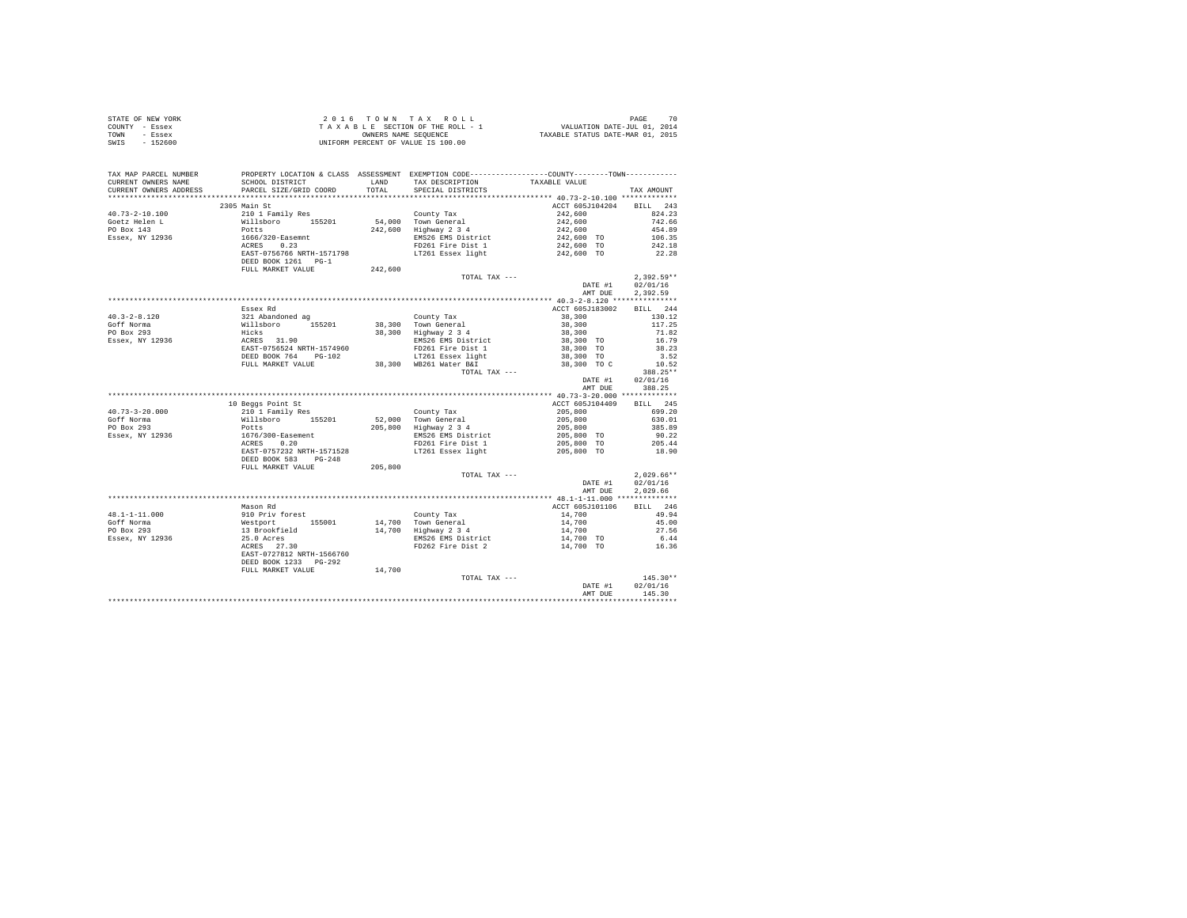| STATE OF NEW YORK | $2.0.16$ TOWN TAX ROLL             | 70<br>PAGE                       |
|-------------------|------------------------------------|----------------------------------|
| COUNTY - Essex    | TAXABLE SECTION OF THE ROLL - 1    | VALUATION DATE-JUL 01, 2014      |
| TOWN<br>- Essex   | OWNERS NAME SEOUENCE               | TAXABLE STATUS DATE-MAR 01, 2015 |
| $-152600$<br>SWIS | UNIFORM PERCENT OF VALUE IS 100.00 |                                  |

| TAX MAP PARCEL NUMBER<br>CURRENT OWNERS NAME | PROPERTY LOCATION & CLASS ASSESSMENT EXEMPTION CODE---------------COUNTY-------TOWN----------<br>SCHOOL DISTRICT                                                                  | LAND    | TAX DESCRIPTION                              | TAXABLE VALUE                                                       |                 |
|----------------------------------------------|-----------------------------------------------------------------------------------------------------------------------------------------------------------------------------------|---------|----------------------------------------------|---------------------------------------------------------------------|-----------------|
| CURRENT OWNERS ADDRESS                       | PARCEL SIZE/GRID COORD                                                                                                                                                            | TOTAL   | SPECIAL DISTRICTS                            |                                                                     | TAX AMOUNT      |
|                                              | 2305 Main St                                                                                                                                                                      |         |                                              | ACCT 605J104204 BILL 243                                            |                 |
| $40.73 - 2 - 10.100$                         | 210 1 Family Res                                                                                                                                                                  |         | County Tax                                   |                                                                     | 824.23          |
| Goetz Helen L                                |                                                                                                                                                                                   |         |                                              | $242,600$<br>$242,600$<br>$242,600$<br>$242,600$ TO<br>$242,600$ TO | 742.66          |
| PO Box 143                                   |                                                                                                                                                                                   |         | 54,000 Town General<br>242,600 Highway 2 3 4 |                                                                     | 454.89          |
| Essex, NY 12936                              |                                                                                                                                                                                   |         | EMS26 EMS District                           |                                                                     | 106.35          |
|                                              |                                                                                                                                                                                   |         | FD261 Fire Dist 1                            |                                                                     | 242.18          |
|                                              | EAST-0756766 NRTH-1571798                                                                                                                                                         |         | LT261 Essex light                            | 242,600 TO                                                          | 22.28           |
|                                              | DEED BOOK 1261 PG-1                                                                                                                                                               |         |                                              |                                                                     |                 |
|                                              | FULL MARKET VALUE 242,600                                                                                                                                                         |         |                                              |                                                                     |                 |
|                                              |                                                                                                                                                                                   |         | TOTAL TAX ---                                |                                                                     | $2.392.59**$    |
|                                              |                                                                                                                                                                                   |         |                                              | DATE #1                                                             | 02/01/16        |
|                                              |                                                                                                                                                                                   |         |                                              | AMT DUE                                                             | 2.392.59        |
|                                              |                                                                                                                                                                                   |         |                                              |                                                                     |                 |
|                                              | Essex Rd                                                                                                                                                                          |         |                                              | ACCT 605J183002                                                     | BILL 244        |
| $40.3 - 2 - 8.120$                           | 321 Abandoned ag<br>Willsboro 155201<br>Hicks<br>ACRES 31.90<br>EAST-0756524 NRTH-1574960                                                                                         |         | County Tax                                   | 38,300                                                              | 130.12          |
| Goff Norma                                   |                                                                                                                                                                                   |         | 38,300 Town General<br>38,300 Highway 2 3 4  | 38,300                                                              | 117.25          |
| PO Box 293<br>Essex, NY 12936                |                                                                                                                                                                                   |         |                                              | 38,300                                                              | 71.82           |
|                                              |                                                                                                                                                                                   |         | EMS26 EMS District                           | 38,300 TO                                                           | 16.79           |
|                                              |                                                                                                                                                                                   |         | FD261 Fire Dist 1                            | 38,300 TO                                                           | 38.23           |
|                                              | DEED BOOK 764 PG-102                                                                                                                                                              |         | LT261 Essex light<br>38,300 WB261 Water B&I  | 38,300 TO                                                           | 3.52            |
|                                              | FULL MARKET VALUE                                                                                                                                                                 |         |                                              | 38,300 TO C                                                         | 10.52           |
|                                              |                                                                                                                                                                                   |         | TOTAL TAX ---                                |                                                                     | 388.25**        |
|                                              |                                                                                                                                                                                   |         |                                              | DATE #1                                                             | 02/01/16        |
|                                              |                                                                                                                                                                                   |         |                                              | AMT DUE                                                             | 388.25          |
|                                              |                                                                                                                                                                                   |         |                                              |                                                                     |                 |
|                                              | 10 Beggs Point St                                                                                                                                                                 |         |                                              | ACCT 605J104409 BILL 245                                            |                 |
| $40.73 - 3 - 20.000$                         |                                                                                                                                                                                   |         | County Tax                                   |                                                                     | 699.20          |
| Goff Norma<br>PO Box 293                     |                                                                                                                                                                                   |         | 52,000 Town General                          |                                                                     | 630.01          |
| Essex, NY 12936                              | 210 1 Family Res<br>Willsboro 155201<br>Potts<br>1676/300-Easement<br>ACRES 0.20                                                                                                  |         | 205,800 Highway 2 3 4<br>EMS26 EMS District  | $205,800$<br>$205,800$<br>$205,800$<br>$205,800$ TO                 | 385.89<br>90.22 |
|                                              |                                                                                                                                                                                   |         | FD261 Fire Dist 1                            | 205,800 TO                                                          | 205.44          |
|                                              | EAST-0757232 NRTH-1571528                                                                                                                                                         |         | LT261 Essex light                            | 205,800 TO                                                          | 18.90           |
|                                              | DEED BOOK 583 PG-248                                                                                                                                                              |         |                                              |                                                                     |                 |
|                                              | FULL MARKET VALUE                                                                                                                                                                 | 205,800 |                                              |                                                                     |                 |
|                                              |                                                                                                                                                                                   |         | TOTAL TAX ---                                |                                                                     | $2.029.66**$    |
|                                              |                                                                                                                                                                                   |         |                                              | DATE #1                                                             | 02/01/16        |
|                                              |                                                                                                                                                                                   |         |                                              | AMT DUE                                                             | 2.029.66        |
|                                              |                                                                                                                                                                                   |         |                                              |                                                                     |                 |
|                                              | Mason Rd                                                                                                                                                                          |         |                                              | ACCT 605J101106                                                     | BILL 246        |
| 48.1-1-11.000                                |                                                                                                                                                                                   |         |                                              | 14,700                                                              | 49.94           |
| Goff Norma                                   |                                                                                                                                                                                   |         |                                              | 14,700                                                              | 45.00           |
| PO Box 293                                   |                                                                                                                                                                                   |         | 14,700 Highway 2 3 4                         | 14,700                                                              | 27.56           |
| Essex, NY 12936                              |                                                                                                                                                                                   |         | EMS26 EMS District<br>FD262 Fire Dist 2      | 14,700 TO                                                           | 6.44            |
|                                              | 910 Priv forest 155001 Westpart 2001<br>Westpart 155001 14,700 Town General<br>13 Brookfield 14,700 Highway 2 3 4<br>25.0 Acres 27.30 EMS26 EMS District<br>RCRES 27.30 EMS26 EMS |         |                                              | 14,700 TO                                                           | 16.36           |
|                                              | EAST-0727812 NRTH-1566760                                                                                                                                                         |         |                                              |                                                                     |                 |
|                                              | DEED BOOK 1233 PG-292                                                                                                                                                             |         |                                              |                                                                     |                 |
|                                              | FULL MARKET VALUE                                                                                                                                                                 | 14,700  |                                              |                                                                     |                 |
|                                              |                                                                                                                                                                                   |         | TOTAL TAX ---                                |                                                                     | $145.30**$      |
|                                              |                                                                                                                                                                                   |         |                                              | DATE #1                                                             | 02/01/16        |
|                                              |                                                                                                                                                                                   |         |                                              | AMT DUE                                                             | 145.30          |
|                                              |                                                                                                                                                                                   |         |                                              |                                                                     |                 |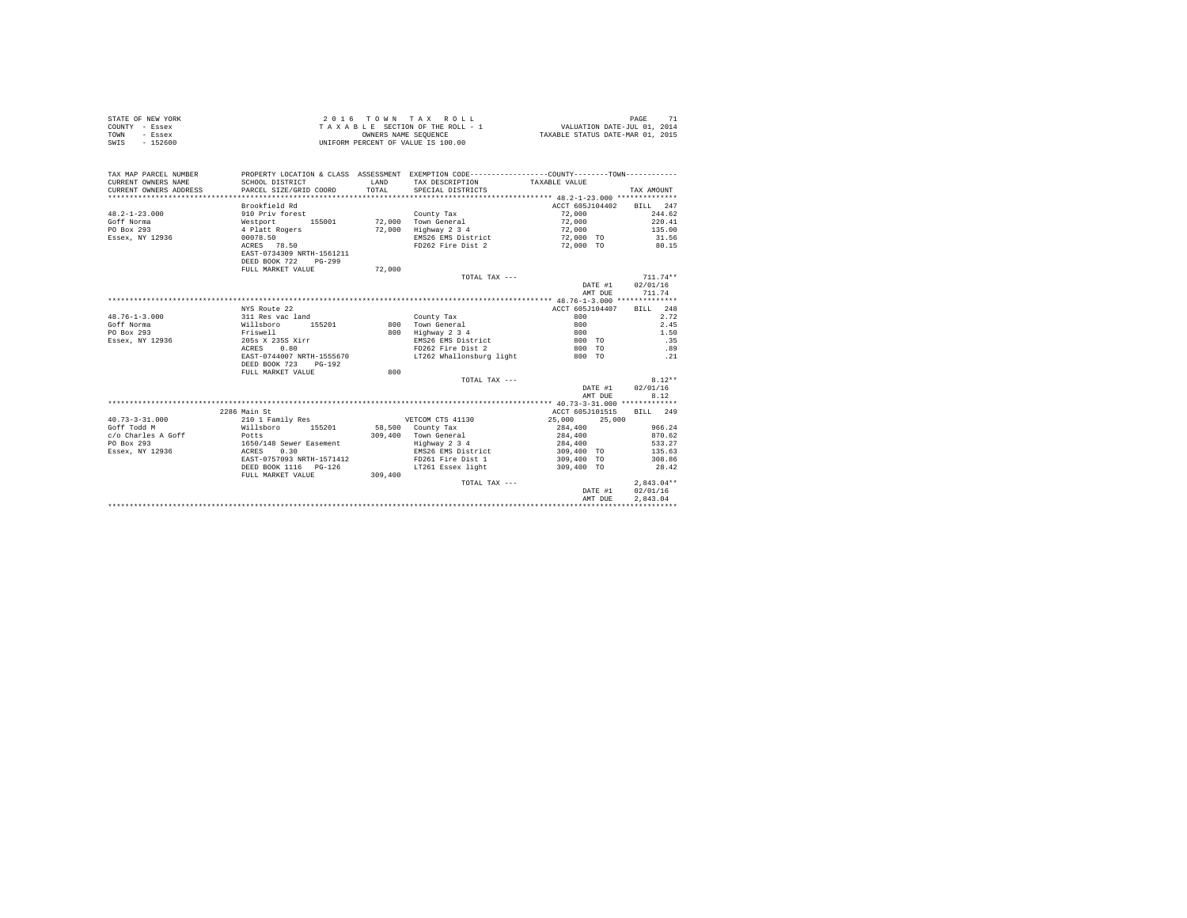| STATE OF NEW YORK<br>COUNTY - Essex<br>- Essex<br>TOWN<br>SWIS - 152600 | $\begin{tabular}{ccccc} 2 & 0 & 1 & 6 & T & 0 & W & M & T & A & A & K & U & L & L \\ T & A & X & A & B & S & S & C & T & O & T & R & R & O & L \\ \hline UNIFOR M & ONNERS NAMS & SEQUENCE \\ \end{tabular}$ |              | 2016 TOWN TAX ROLL<br>$\begin{array}{ccccccccc} \texttt{Y} & \texttt{X} & \texttt{X} & \texttt{X} & \texttt{X} & \texttt{X} & \texttt{X} & \texttt{X} & \texttt{X} & \texttt{X} & \texttt{X} & \texttt{X} & \texttt{X} & \texttt{X} & \texttt{X} & \texttt{X} & \texttt{X} & \texttt{X} & \texttt{X} & \texttt{X} & \texttt{X} & \texttt{X} & \texttt{X} & \texttt{X} & \texttt{X} & \texttt{X} & \texttt{X} & \texttt{X} & \texttt{X} & \texttt{X} & \$ |                          | 71<br>PAGE   |
|-------------------------------------------------------------------------|--------------------------------------------------------------------------------------------------------------------------------------------------------------------------------------------------------------|--------------|----------------------------------------------------------------------------------------------------------------------------------------------------------------------------------------------------------------------------------------------------------------------------------------------------------------------------------------------------------------------------------------------------------------------------------------------------------|--------------------------|--------------|
| TAX MAP PARCEL NUMBER                                                   |                                                                                                                                                                                                              |              | PROPERTY LOCATION & CLASS ASSESSMENT EXEMPTION CODE---------------COUNTY-------TOWN---------                                                                                                                                                                                                                                                                                                                                                             |                          |              |
| CURRENT OWNERS NAME                                                     | SCHOOL DISTRICT                                                                                                                                                                                              | <b>T.AND</b> | TAX DESCRIPTION TAXABLE VALUE                                                                                                                                                                                                                                                                                                                                                                                                                            |                          |              |
| CURRENT OWNERS ADDRESS                                                  | PARCEL SIZE/GRID COORD                                                                                                                                                                                       | TOTAL        | SPECIAL DISTRICTS                                                                                                                                                                                                                                                                                                                                                                                                                                        |                          | TAX AMOUNT   |
|                                                                         |                                                                                                                                                                                                              |              |                                                                                                                                                                                                                                                                                                                                                                                                                                                          |                          |              |
|                                                                         | Brookfield Rd                                                                                                                                                                                                |              |                                                                                                                                                                                                                                                                                                                                                                                                                                                          | ACCT 605J104402 BILL 247 |              |
| $48.2 - 1 - 23.000$                                                     | 910 Priv forest                                                                                                                                                                                              |              | County Tax                                                                                                                                                                                                                                                                                                                                                                                                                                               | 72,000                   | 244.62       |
| Goff Norma                                                              |                                                                                                                                                                                                              |              | 72,000 Town General                                                                                                                                                                                                                                                                                                                                                                                                                                      | 72,000                   | 220.41       |
| PO Box 293                                                              |                                                                                                                                                                                                              |              | 72,000 Highway 2 3 4                                                                                                                                                                                                                                                                                                                                                                                                                                     | 72,000                   | 135.00       |
| Essex, NY 12936                                                         | Westport 155001<br>4 Platt Rogers<br>00078.50                                                                                                                                                                |              | EMS26 EMS District                                                                                                                                                                                                                                                                                                                                                                                                                                       | 72,000 TO                | 31.56        |
|                                                                         | ACRES 78.50                                                                                                                                                                                                  |              | FD262 Fire Dist 2                                                                                                                                                                                                                                                                                                                                                                                                                                        | 72,000 TO                | 80.15        |
|                                                                         | EAST-0734309 NRTH-1561211                                                                                                                                                                                    |              |                                                                                                                                                                                                                                                                                                                                                                                                                                                          |                          |              |
|                                                                         | DEED BOOK 722 PG-299                                                                                                                                                                                         |              |                                                                                                                                                                                                                                                                                                                                                                                                                                                          |                          |              |
|                                                                         | FULL MARKET VALUE                                                                                                                                                                                            | 72,000       |                                                                                                                                                                                                                                                                                                                                                                                                                                                          |                          |              |
|                                                                         |                                                                                                                                                                                                              |              | TOTAL TAX ---                                                                                                                                                                                                                                                                                                                                                                                                                                            |                          | $711.74**$   |
|                                                                         |                                                                                                                                                                                                              |              |                                                                                                                                                                                                                                                                                                                                                                                                                                                          | DATE #1                  | 02/01/16     |
|                                                                         |                                                                                                                                                                                                              |              |                                                                                                                                                                                                                                                                                                                                                                                                                                                          | AMT DUE                  | 711.74       |
|                                                                         |                                                                                                                                                                                                              |              |                                                                                                                                                                                                                                                                                                                                                                                                                                                          |                          |              |
|                                                                         | NYS Route 22                                                                                                                                                                                                 |              |                                                                                                                                                                                                                                                                                                                                                                                                                                                          | ACCT 605J104407          | RTT.T. 248   |
| $48.76 - 1 - 3.000$                                                     | 311 Res vac land                                                                                                                                                                                             |              | County Tax                                                                                                                                                                                                                                                                                                                                                                                                                                               | 800                      | 2.72         |
| Goff Norma                                                              | Willsboro 155201<br>Friswell                                                                                                                                                                                 |              | 800 Town General<br>800 Highway 2 3 4                                                                                                                                                                                                                                                                                                                                                                                                                    | 800                      | 2.45         |
| PO Box 293                                                              |                                                                                                                                                                                                              |              |                                                                                                                                                                                                                                                                                                                                                                                                                                                          | 800                      | 1.50         |
| Essex, NY 12936                                                         | 205s X 235S Xirr<br>ACRES 0.80                                                                                                                                                                               |              | EMS26 EMS District<br>FD262 Fire Dist 2                                                                                                                                                                                                                                                                                                                                                                                                                  | 800 TO                   | .35          |
|                                                                         |                                                                                                                                                                                                              |              |                                                                                                                                                                                                                                                                                                                                                                                                                                                          | 800 TO                   | .89          |
|                                                                         | EAST-0744007 NRTH-1555670                                                                                                                                                                                    |              | LT262 Whallonsburg light                                                                                                                                                                                                                                                                                                                                                                                                                                 | 800 TO                   | .21          |
|                                                                         | DEED BOOK 723 PG-192                                                                                                                                                                                         |              |                                                                                                                                                                                                                                                                                                                                                                                                                                                          |                          |              |
|                                                                         | FULL MARKET VALUE                                                                                                                                                                                            | 800          |                                                                                                                                                                                                                                                                                                                                                                                                                                                          |                          |              |
|                                                                         |                                                                                                                                                                                                              |              | TOTAL TAX ---                                                                                                                                                                                                                                                                                                                                                                                                                                            |                          | $8.12**$     |
|                                                                         |                                                                                                                                                                                                              |              |                                                                                                                                                                                                                                                                                                                                                                                                                                                          | DATE #1                  | 02/01/16     |
|                                                                         |                                                                                                                                                                                                              |              |                                                                                                                                                                                                                                                                                                                                                                                                                                                          | AMT DUE                  | 8.12         |
|                                                                         |                                                                                                                                                                                                              |              |                                                                                                                                                                                                                                                                                                                                                                                                                                                          |                          |              |
|                                                                         | 2286 Main St                                                                                                                                                                                                 |              |                                                                                                                                                                                                                                                                                                                                                                                                                                                          | ACCT 605J101515          | RTT.T. 249   |
| $40.73 - 3 - 31.000$                                                    | 210 1 Family Res                                                                                                                                                                                             |              | VETCOM CTS 41130                                                                                                                                                                                                                                                                                                                                                                                                                                         | 25,000<br>25,000         |              |
| Goff Todd M                                                             | Willsboro 155201                                                                                                                                                                                             |              | 58,500 County Tax                                                                                                                                                                                                                                                                                                                                                                                                                                        | 284,400                  | 966.24       |
| c/o Charles A Goff                                                      | Potts                                                                                                                                                                                                        |              | 309,400 Town General                                                                                                                                                                                                                                                                                                                                                                                                                                     | 284,400                  | 870.62       |
| PO Box 293                                                              | 1650/148 Sewer Easement<br>ACRES 0.30                                                                                                                                                                        |              | Highway 2 3 4                                                                                                                                                                                                                                                                                                                                                                                                                                            | 284,400                  | 533.27       |
| Essex, NY 12936                                                         |                                                                                                                                                                                                              |              | EMS26 EMS District                                                                                                                                                                                                                                                                                                                                                                                                                                       | 309,400 TO               | 135.63       |
|                                                                         | EAST-0757093 NRTH-1571412                                                                                                                                                                                    |              | FD261 Fire Dist 1                                                                                                                                                                                                                                                                                                                                                                                                                                        | 309,400 TO               | 308.86       |
|                                                                         |                                                                                                                                                                                                              |              | LT261 Essex light                                                                                                                                                                                                                                                                                                                                                                                                                                        | 309,400 TO               | 28.42        |
|                                                                         | FULL MARKET VALUE                                                                                                                                                                                            | 309,400      |                                                                                                                                                                                                                                                                                                                                                                                                                                                          |                          |              |
|                                                                         |                                                                                                                                                                                                              |              | TOTAL TAX ---                                                                                                                                                                                                                                                                                                                                                                                                                                            |                          | $2.843.04**$ |
|                                                                         |                                                                                                                                                                                                              |              |                                                                                                                                                                                                                                                                                                                                                                                                                                                          | DATE #1                  | 02/01/16     |
|                                                                         |                                                                                                                                                                                                              |              |                                                                                                                                                                                                                                                                                                                                                                                                                                                          | AMT DUR                  | 2.843.04     |
|                                                                         |                                                                                                                                                                                                              |              |                                                                                                                                                                                                                                                                                                                                                                                                                                                          |                          |              |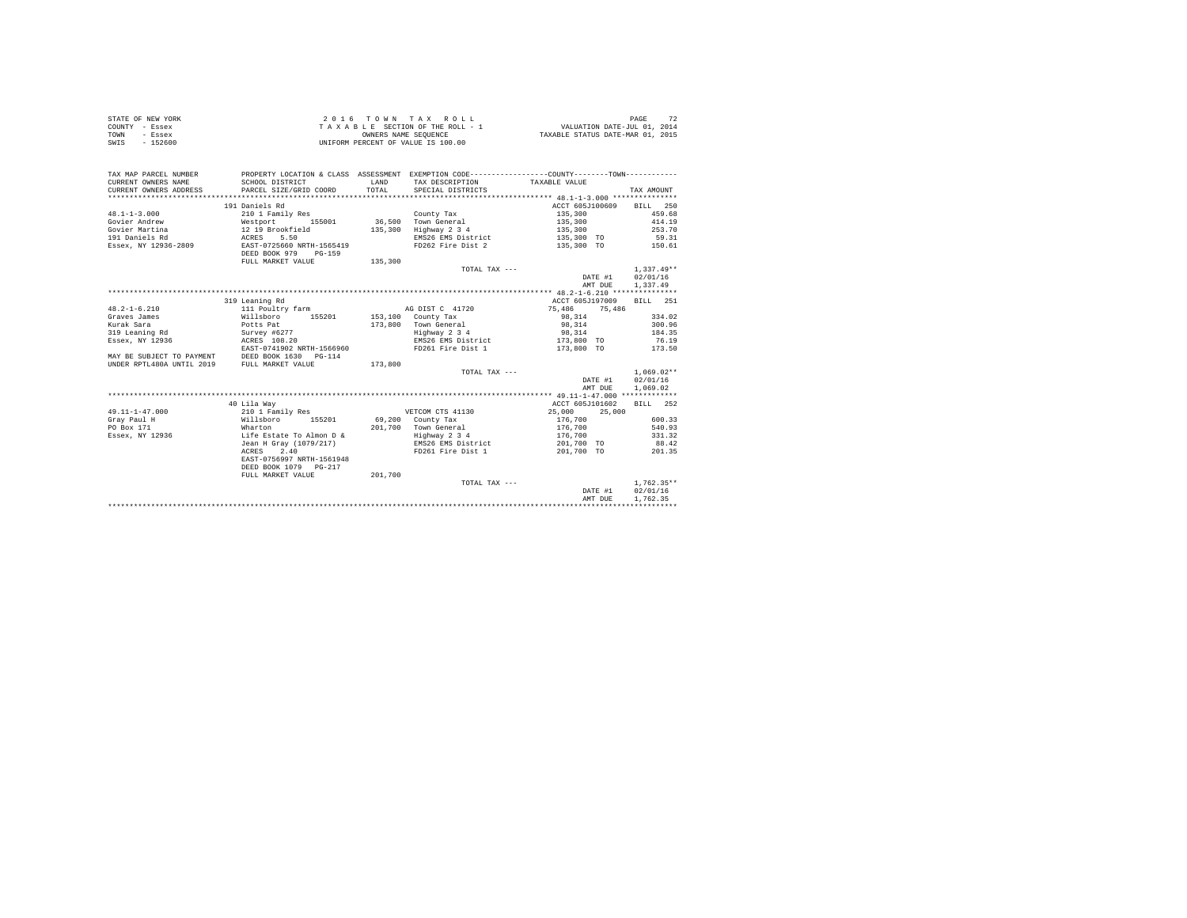| STATE OF NEW YORK | 2016 TOWN TAX ROLL                 | PAGE                             |
|-------------------|------------------------------------|----------------------------------|
| COUNTY - Essex    | TAXABLE SECTION OF THE ROLL - 1    | VALUATION DATE-JUL 01, 2014      |
| TOWN<br>- Essex   | OWNERS NAME SEOUENCE               | TAXABLE STATUS DATE-MAR 01, 2015 |
| SWIS<br>- 152600  | UNIFORM PERCENT OF VALUE IS 100.00 |                                  |

| TAX MAP PARCEL NUMBER<br>CURRENT OWNERS NAME                                                                                                      | PROPERTY LOCATION & CLASS ASSESSMENT EXEMPTION CODE----------------COUNTY-------TOWN----------<br>SCHOOL DISTRICT | LAND    | TAX DESCRIPTION                       | TAXABLE VALUE                         |                  |
|---------------------------------------------------------------------------------------------------------------------------------------------------|-------------------------------------------------------------------------------------------------------------------|---------|---------------------------------------|---------------------------------------|------------------|
| CURRENT OWNERS ADDRESS PARCEL SIZE/GRID COORD                                                                                                     |                                                                                                                   | TOTAL   | SPECIAL DISTRICTS                     |                                       | TAX AMOUNT       |
|                                                                                                                                                   |                                                                                                                   |         |                                       |                                       |                  |
|                                                                                                                                                   | 191 Daniels Rd                                                                                                    |         |                                       | ACCT 605J100609 BILL 250              |                  |
| $48.1 - 1 - 3.000$                                                                                                                                | 210 1 Family Res                                                                                                  |         | County Tax                            | 135,300                               | 459.68           |
| Govier Andrew <b>Mestport</b> 155001 36,500 Town General 135,300 135,300 414.19                                                                   |                                                                                                                   |         |                                       |                                       |                  |
| Govier Martina (12.19 Brookfield 135,300<br>1911 Daniels Rd (12.19 ACRES 5.500 ACRES 135,300 ACRES 13584, NY 12936-2809 EAST-0725660 NRTH-1565419 |                                                                                                                   |         | Highway 2 3 4                         | 135,300                               | 253.70           |
|                                                                                                                                                   |                                                                                                                   |         | EMS26 EMS District                    | 135,300 TO 59.31<br>135,300 TO 150.61 |                  |
|                                                                                                                                                   | DEED BOOK 979 PG-159                                                                                              |         | FD262 Fire Dist 2                     |                                       |                  |
|                                                                                                                                                   | FULL MARKET VALUE 135,300                                                                                         |         |                                       |                                       |                  |
|                                                                                                                                                   |                                                                                                                   |         | TOTAL TAX ---                         |                                       | $1.337.49**$     |
|                                                                                                                                                   |                                                                                                                   |         |                                       | DATE #1 02/01/16                      |                  |
|                                                                                                                                                   |                                                                                                                   |         |                                       | AMT DUE                               | 1,337.49         |
|                                                                                                                                                   |                                                                                                                   |         |                                       |                                       |                  |
|                                                                                                                                                   | 319 Leaning Rd                                                                                                    |         |                                       | ACCT 605J197009 BILL 251              |                  |
| $48.2 - 1 - 6.210$                                                                                                                                | 111 Poultry farm                                                                                                  |         | AG DIST C 41720                       | 75,486 75,486                         |                  |
| Graves James                                                                                                                                      | Willsboro 155201 153,100 County Tax                                                                               |         |                                       | 98, 314 334.02                        |                  |
| Extrak Sara (Extra 1998)<br>Survey #6277<br>19 Essex, NY 12936 (ESSEX, 2008)                                                                      |                                                                                                                   |         | 173,800 Town General<br>Highway 2 3 4 | 98,314                                | 300.96           |
|                                                                                                                                                   |                                                                                                                   |         |                                       | 98,314                                | 184.35           |
|                                                                                                                                                   |                                                                                                                   |         | EMS26 EMS District 173.800 TO 76.19   |                                       |                  |
|                                                                                                                                                   | EAST-0741902 NRTH-1566960                                                                                         |         | FD261 Fire Dist 1                     | 173,800 TO 173.50                     |                  |
| MAY BE SUBJECT TO PAYMENT DEED BOOK 1630 PG-114<br>UNDER RPTL480A UNTIL 2019 FULL MARKET VALUE                                                    |                                                                                                                   |         |                                       |                                       |                  |
|                                                                                                                                                   |                                                                                                                   | 173,800 |                                       |                                       |                  |
|                                                                                                                                                   |                                                                                                                   |         | TOTAL TAX ---                         |                                       | $1.069.02**$     |
|                                                                                                                                                   |                                                                                                                   |         |                                       | DATE #1                               | 02/01/16         |
|                                                                                                                                                   |                                                                                                                   |         |                                       | AMT DUE                               | 1,069.02         |
|                                                                                                                                                   |                                                                                                                   |         |                                       |                                       |                  |
|                                                                                                                                                   | 40 Lila Way                                                                                                       |         |                                       | ACCT 605J101602                       | BILL 252         |
| $49.11 - 1 - 47.000$                                                                                                                              | 210 1 Family Res                                                                                                  |         | VETCOM CTS 41130                      | 25,000<br>25,000                      |                  |
| Grav Paul H                                                                                                                                       | Willsboro 155201 69,200 County Tax<br>Wharton 155201 201,700 Town General                                         |         |                                       | 176,700<br>176,700                    | 600.33           |
| PO Box 171                                                                                                                                        |                                                                                                                   |         | 201,700 Town General                  |                                       | 540.93           |
| Essex, NY 12936 Life Estate To Almon D &                                                                                                          |                                                                                                                   |         | Highway 2 3 4                         | 176,700 331.32                        |                  |
|                                                                                                                                                   | Jean H Gray (1079/217)                                                                                            |         | EMS26 EMS District                    | 201,700 TO                            | 88.42            |
|                                                                                                                                                   | ACRES 2.40                                                                                                        |         | FD261 Fire Dist 1                     | 201,700 TO                            | 201.35           |
|                                                                                                                                                   | EAST-0756997 NRTH-1561948                                                                                         |         |                                       |                                       |                  |
|                                                                                                                                                   | DEED BOOK 1079 PG-217                                                                                             |         |                                       |                                       |                  |
|                                                                                                                                                   | FULL MARKET VALUE 201,700                                                                                         |         |                                       |                                       |                  |
|                                                                                                                                                   |                                                                                                                   |         | TOTAL TAX ---                         |                                       | $1.762.35**$     |
|                                                                                                                                                   |                                                                                                                   |         |                                       |                                       | DATE #1 02/01/16 |
|                                                                                                                                                   |                                                                                                                   |         |                                       | AMT DUE                               | 1,762.35         |
|                                                                                                                                                   |                                                                                                                   |         |                                       |                                       |                  |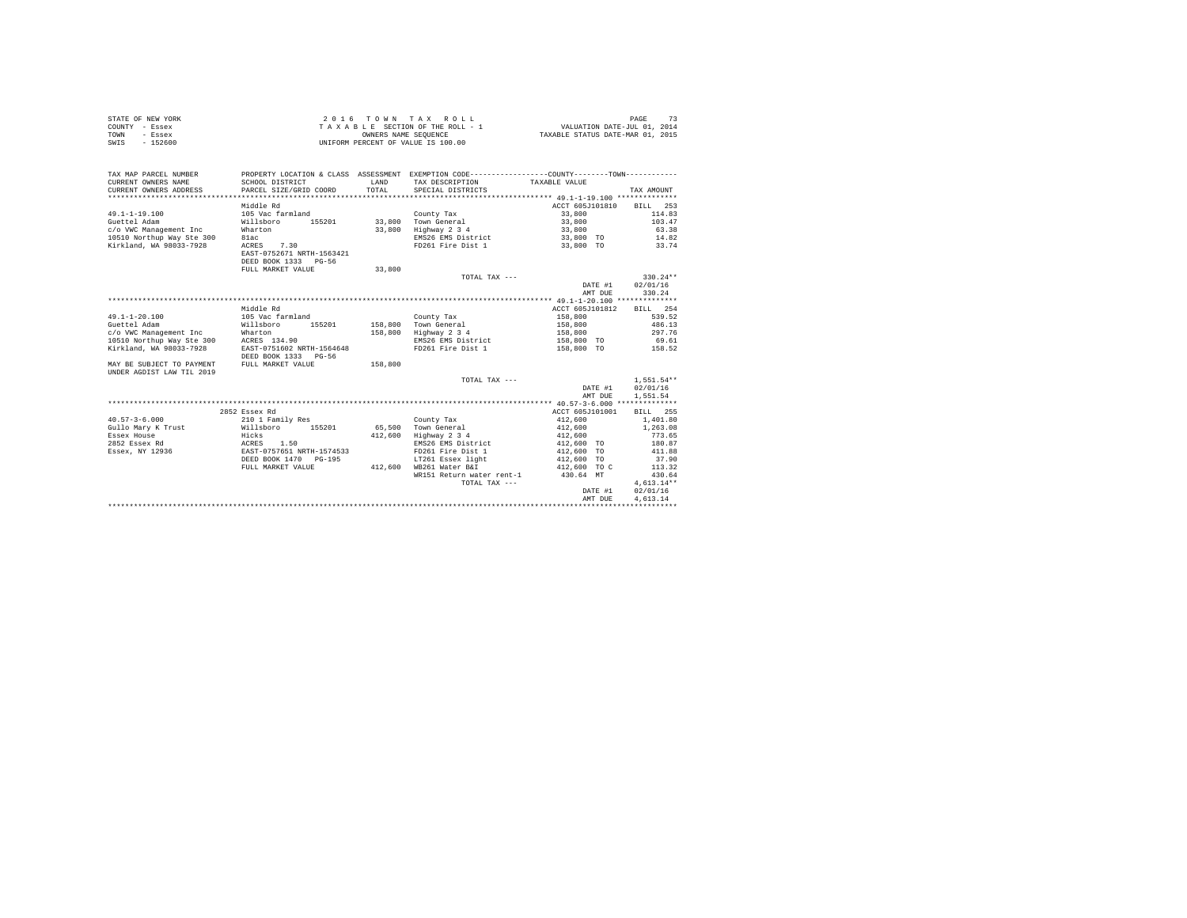|                | STATE OF NEW YORK | 2016 TOWN TAX ROLL                 | PAGE                             |
|----------------|-------------------|------------------------------------|----------------------------------|
| COUNTY - Essex |                   | TAXABLE SECTION OF THE ROLL - 1    | VALUATION DATE-JUL 01, 2014      |
| TOWN           | - Essex           | OWNERS NAME SEOUENCE               | TAXABLE STATUS DATE-MAR 01, 2015 |
| SWIS           | $-152600$         | UNIFORM PERCENT OF VALUE IS 100.00 |                                  |

| TAX MAP PARCEL NUMBER<br>CURRENT OWNERS NAME<br>CURRENT OWNERS ADDRESS | SCHOOL DISTRICT<br>PARCEL SIZE/GRID COORD                       | LAND<br>TOTAL. | PROPERTY LOCATION & CLASS ASSESSMENT EXEMPTION CODE----------------COUNTY-------TOWN----------<br>TAX DESCRIPTION TAXABLE VALUE<br>SPECIAL DISTRICTS |                   | TAX AMOUNT   |
|------------------------------------------------------------------------|-----------------------------------------------------------------|----------------|------------------------------------------------------------------------------------------------------------------------------------------------------|-------------------|--------------|
|                                                                        |                                                                 |                |                                                                                                                                                      |                   |              |
|                                                                        | Middle Rd                                                       |                |                                                                                                                                                      | ACCT 605J101810   | BILL 253     |
| $49.1 - 1 - 19.100$                                                    | 105 Vac farmland                                                |                | County Tax                                                                                                                                           | 33,800            | 114.83       |
| Guettel Adam                                                           | Willsboro<br>155201                                             |                | 33,800 Town General                                                                                                                                  | 33,800            | 103.47       |
| c/o VWC Management Inc                                                 | Wharton                                                         | 33,800         | Highway 2 3 4                                                                                                                                        | 33,800            | 63.38        |
| 10510 Northup Way Ste 300                                              | 81ac                                                            |                | EMS26 EMS District                                                                                                                                   | 33,800 TO         | 14.82        |
| Kirkland, WA 98033-7928                                                | ACRES 7.30<br>EAST-0752671 NRTH-1563421<br>DEED BOOK 1333 PG-56 |                | FD261 Fire Dist 1                                                                                                                                    | 33,800 TO         | 33.74        |
|                                                                        | FULL MARKET VALUE                                               | 33,800         |                                                                                                                                                      |                   |              |
|                                                                        |                                                                 |                | TOTAL TAX ---                                                                                                                                        |                   | $330.24**$   |
|                                                                        |                                                                 |                |                                                                                                                                                      | DATE #1           | 02/01/16     |
|                                                                        |                                                                 |                |                                                                                                                                                      | AMT DUE           | 330.24       |
|                                                                        |                                                                 |                |                                                                                                                                                      |                   |              |
|                                                                        | Middle Rd                                                       |                |                                                                                                                                                      | ACCT 605J101812   | BILL 254     |
| $49.1 - 1 - 20.100$                                                    | 105 Vac farmland                                                |                | County Tax                                                                                                                                           | 158,800           | 539.52       |
| Guettel Adam                                                           | Willsboro<br>155201                                             | 158,800        | Town General                                                                                                                                         | 158,800           | 486.13       |
| c/o VWC Management Inc                                                 | Wharton<br>0 ACRES 134.90                                       |                | 158,800 Highway 2 3 4                                                                                                                                | 158,800           | 297.76       |
| 10510 Northup Way Ste 300                                              |                                                                 |                | EMS26 EMS District                                                                                                                                   | 158,800 TO        | 69.61        |
| Kirkland, WA 98033-7928                                                | EAST-0751602 NRTH-1564648<br>DEED BOOK 1333 PG-56               |                | FD261 Fire Dist 1                                                                                                                                    | 158,800 TO 158.52 |              |
| MAY BE SUBJECT TO PAYMENT                                              | FULL MARKET VALUE                                               | 158,800        |                                                                                                                                                      |                   |              |
| UNDER AGDIST LAW TIL 2019                                              |                                                                 |                |                                                                                                                                                      |                   |              |
|                                                                        |                                                                 |                | TOTAL TAX ---                                                                                                                                        |                   | $1.551.54**$ |
|                                                                        |                                                                 |                |                                                                                                                                                      | DATE #1           | 02/01/16     |
|                                                                        |                                                                 |                |                                                                                                                                                      | AMT DUE           | 1,551.54     |
|                                                                        |                                                                 |                |                                                                                                                                                      |                   |              |
|                                                                        | 2852 Essex Rd                                                   |                |                                                                                                                                                      | ACCT 605J101001   | 255<br>RTLL. |
| $40.57 - 3 - 6.000$                                                    | 210 1 Family Res<br>Willsboro 155201                            |                | County Tax                                                                                                                                           | 412,600           | 1,401.80     |
| Gullo Mary K Trust                                                     |                                                                 | 65,500         | Town General                                                                                                                                         | 412,600           | 1,263.08     |
| Essex House                                                            | Hicks                                                           | 412,600        | Highway 2 3 4                                                                                                                                        | 412,600           | 773.65       |
| 2852 Essex Rd                                                          |                                                                 |                | EMS26 EMS District                                                                                                                                   | 412,600 TO        | 180.87       |
| Essex, NY 12936                                                        | ACRES 1.50<br>EAST-0757651 NRTH-1574533                         |                | FD261 Fire Dist 1                                                                                                                                    | 412,600 TO        | 411.88       |
|                                                                        | DEED BOOK 1470 PG-195                                           |                | LT261 Essex light                                                                                                                                    | 412,600 TO        | 37.90        |
|                                                                        | FULL MARKET VALUE                                               | 412,600        | WB261 Water B&I                                                                                                                                      | 412,600 TO C      | 113.32       |
|                                                                        |                                                                 |                | WR151 Return water rent-1                                                                                                                            | 430.64 MT         | 430.64       |
|                                                                        |                                                                 |                | TOTAL TAX ---                                                                                                                                        |                   | $4,613.14**$ |
|                                                                        |                                                                 |                |                                                                                                                                                      | DATE #1           | 02/01/16     |
|                                                                        |                                                                 |                |                                                                                                                                                      | AMT DUE           | 4.613.14     |
|                                                                        |                                                                 |                |                                                                                                                                                      |                   |              |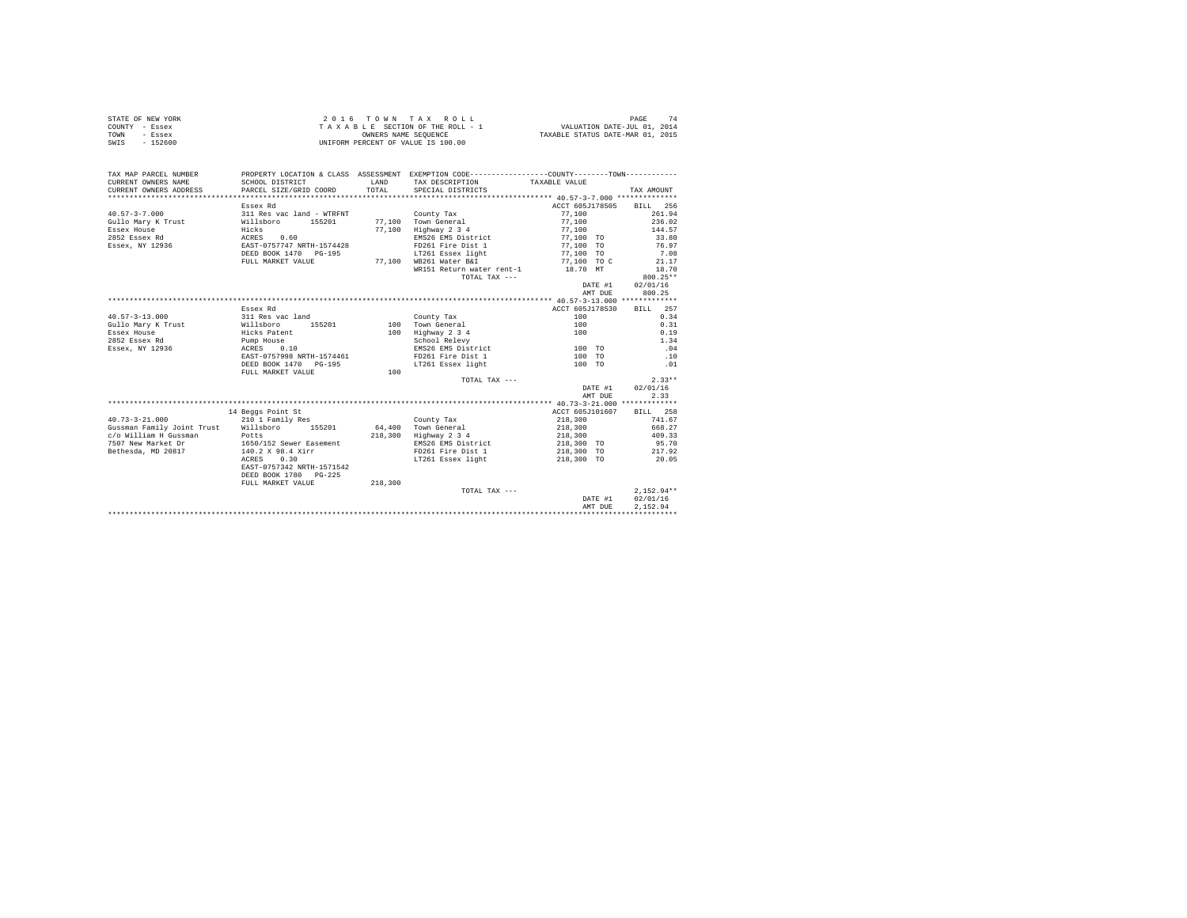| STATE OF NEW YORK | $2.0.16$ TOWN TAX ROLL             | PAGE                             |
|-------------------|------------------------------------|----------------------------------|
| COUNTY - Essex    | TAXABLE SECTION OF THE ROLL - 1    | VALUATION DATE-JUL 01, 2014      |
| TOWN<br>- Essex   | OWNERS NAME SEOUENCE               | TAXABLE STATUS DATE-MAR 01, 2015 |
| $-152600$<br>SWIS | UNIFORM PERCENT OF VALUE IS 100.00 |                                  |

| TAX MAP PARCEL NUMBER<br>CURRENT OWNERS NAME | SCHOOL DISTRICT                  | LAND    | PROPERTY LOCATION & CLASS ASSESSMENT EXEMPTION CODE----------------COUNTY-------TOWN----------<br>TAX DESCRIPTION | TAXABLE VALUE                                                                                                                                                                                                                    |              |
|----------------------------------------------|----------------------------------|---------|-------------------------------------------------------------------------------------------------------------------|----------------------------------------------------------------------------------------------------------------------------------------------------------------------------------------------------------------------------------|--------------|
| CURRENT OWNERS ADDRESS                       | PARCEL SIZE/GRID COORD           | TOTAL   | SPECIAL DISTRICTS                                                                                                 |                                                                                                                                                                                                                                  | TAX AMOUNT   |
|                                              |                                  |         |                                                                                                                   |                                                                                                                                                                                                                                  |              |
|                                              | Essex Rd                         |         |                                                                                                                   | ACCT 605J178505 BILL 256                                                                                                                                                                                                         |              |
| $40.57 - 3 - 7.000$                          | 311 Res vac land - WTRFNT        |         | County Tax                                                                                                        | 77,100                                                                                                                                                                                                                           | 261.94       |
| Gullo Mary K Trust                           | Willsboro<br>155201              |         | 77.100 Town General                                                                                               | 77,100                                                                                                                                                                                                                           | 236.02       |
| Essex House                                  | Hicks                            | 77.100  | Highway 2 3 4                                                                                                     | 77.100                                                                                                                                                                                                                           | 144.57       |
| 2852 Essex Rd                                | ACRES 0.60                       |         | EMS26 EMS District                                                                                                | 77,100 TO                                                                                                                                                                                                                        | 33.80        |
| Essex, NY 12936                              | EAST-0757747 NRTH-1574428        |         | FD261 Fire Dist 1                                                                                                 | 77,100 TO                                                                                                                                                                                                                        | 76.97        |
|                                              | DEED BOOK 1470 PG-195            |         | LT261 Essex light                                                                                                 | 77,100 TO                                                                                                                                                                                                                        | 7.08         |
|                                              | FULL MARKET VALUE                |         | 77,100 WB261 Water B&I                                                                                            | 77,100 TO C                                                                                                                                                                                                                      | 21.17        |
|                                              |                                  |         | WR151 Return water rent-1                                                                                         | 18.70 MT                                                                                                                                                                                                                         | 18.70        |
|                                              |                                  |         | TOTAL TAX ---                                                                                                     |                                                                                                                                                                                                                                  | $800.25**$   |
|                                              |                                  |         |                                                                                                                   | DATE #1                                                                                                                                                                                                                          | 02/01/16     |
|                                              |                                  |         |                                                                                                                   | AMT DUE                                                                                                                                                                                                                          | 800.25       |
|                                              |                                  |         |                                                                                                                   |                                                                                                                                                                                                                                  |              |
|                                              | Essex Rd                         |         |                                                                                                                   | ACCT 605J178530                                                                                                                                                                                                                  | BILL 257     |
| $40.57 - 3 - 13.000$                         | 311 Res vac land                 |         | County Tax                                                                                                        | 100                                                                                                                                                                                                                              | 0.34         |
| Gullo Mary K Trust                           | 155201<br>Willsboro              |         | 100 Town General                                                                                                  | 100                                                                                                                                                                                                                              | 0.31         |
| Essex House                                  | Hicks Patent                     |         | 100 Highway 2 3 4                                                                                                 | 100                                                                                                                                                                                                                              | 0.19         |
| 2852 Essex Rd                                | Pump House                       |         | School Relevy                                                                                                     |                                                                                                                                                                                                                                  | 1.34         |
| Essex, NY 12936                              | 0.10<br>ACRES                    |         | EMS26 EMS District                                                                                                | при последните по 100 то то то на при последните подата на при последните подата на при последните подата и пр<br>В 100 године последните подата на при последните подата на при подата се при подата на при подата на при подат | .04          |
|                                              | EAST-0757998 NRTH-1574461        |         | FD261 Fire Dist 1                                                                                                 | 100 TO                                                                                                                                                                                                                           | .10          |
|                                              | DEED BOOK 1470 PG-195            |         | LT261 Essex light                                                                                                 | 100 TO                                                                                                                                                                                                                           | .01          |
|                                              | FULL MARKET VALUE                | 100     |                                                                                                                   |                                                                                                                                                                                                                                  |              |
|                                              |                                  |         | TOTAL TAX ---                                                                                                     |                                                                                                                                                                                                                                  | $2.33**$     |
|                                              |                                  |         |                                                                                                                   | DATE #1                                                                                                                                                                                                                          | 02/01/16     |
|                                              |                                  |         |                                                                                                                   | AMT DUE                                                                                                                                                                                                                          | 2.33         |
|                                              |                                  |         |                                                                                                                   |                                                                                                                                                                                                                                  |              |
|                                              | 14 Beggs Point St                |         |                                                                                                                   | ACCT 605J101607                                                                                                                                                                                                                  | BILL 258     |
| $40.73 - 3 - 21.000$                         | 210 1 Family Res                 |         | County Tax                                                                                                        | 218,300                                                                                                                                                                                                                          | 741.67       |
| Gussman Family Joint Trust Willsboro 155201  |                                  |         | 64.400 Town General                                                                                               | 218,300                                                                                                                                                                                                                          | 668.27       |
| c/o William H Gussman                        |                                  | 218,300 | Highway 2 3 4                                                                                                     | 218,300                                                                                                                                                                                                                          | 409.33       |
| 7507 New Market Dr                           | Potts<br>1650/152 Sewer Easement |         | EMS26 EMS District                                                                                                | 218,300 TO                                                                                                                                                                                                                       | 95.70        |
| Bethesda, MD 20817                           | 140.2 X 98.4 Xirr                |         | FD261 Fire Dist 1                                                                                                 | 218,300 TO                                                                                                                                                                                                                       | 217.92       |
|                                              | ACRES<br>0.30                    |         | LT261 Essex light                                                                                                 | 218,300 TO                                                                                                                                                                                                                       | 20.05        |
|                                              | EAST-0757342 NRTH-1571542        |         |                                                                                                                   |                                                                                                                                                                                                                                  |              |
|                                              | DEED BOOK 1780 PG-225            |         |                                                                                                                   |                                                                                                                                                                                                                                  |              |
|                                              | FULL MARKET VALUE                | 218,300 |                                                                                                                   |                                                                                                                                                                                                                                  |              |
|                                              |                                  |         | TOTAL TAX ---                                                                                                     |                                                                                                                                                                                                                                  | $2.152.94**$ |
|                                              |                                  |         |                                                                                                                   | DATE #1                                                                                                                                                                                                                          | 02/01/16     |
|                                              |                                  |         |                                                                                                                   | AMT DUE                                                                                                                                                                                                                          | 2.152.94     |
|                                              |                                  |         |                                                                                                                   |                                                                                                                                                                                                                                  |              |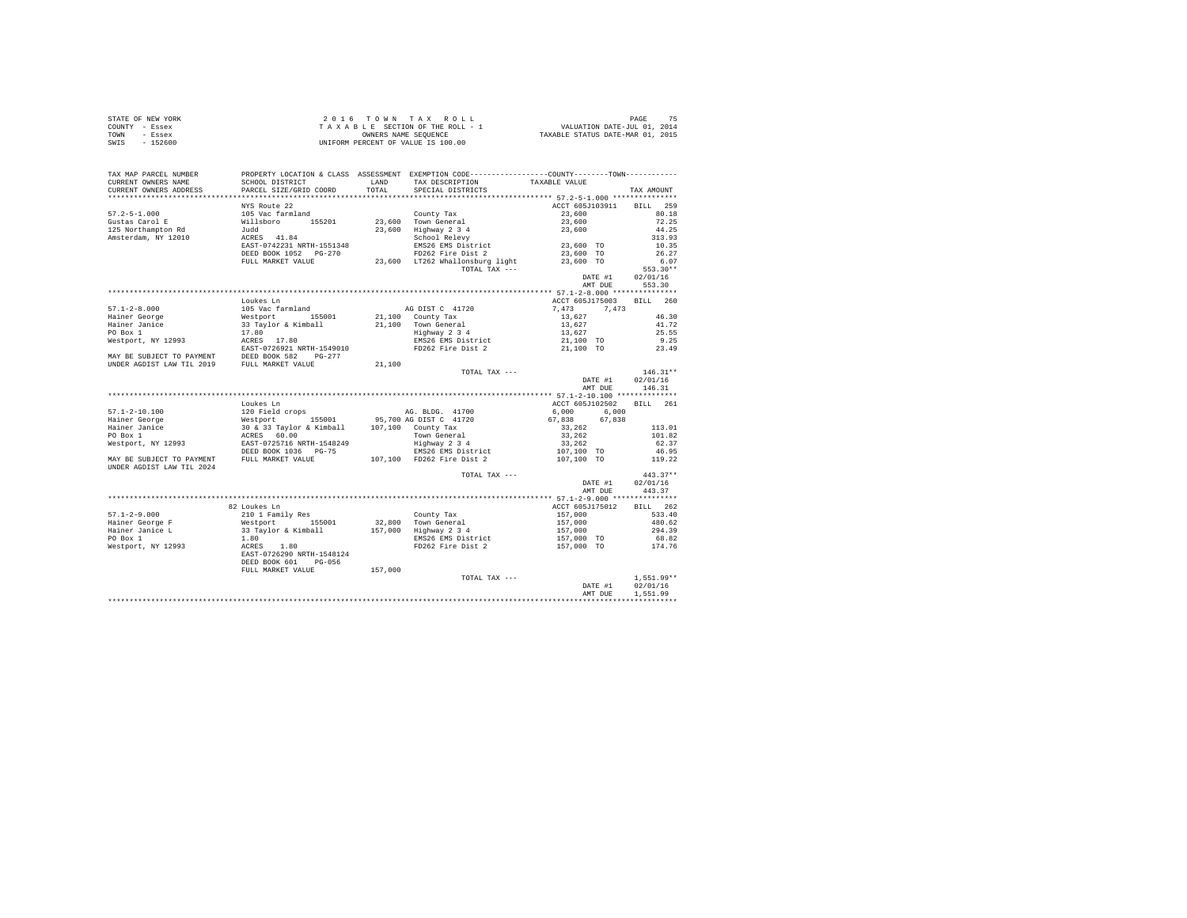| STATE OF NEW YORK | $2.0.16$ TOWN TAX ROLL             | PAGE                             |
|-------------------|------------------------------------|----------------------------------|
| COUNTY - Essex    | TAXABLE SECTION OF THE ROLL - 1    | VALUATION DATE-JUL 01, 2014      |
| TOWN<br>- Essex   | OWNERS NAME SEOUENCE               | TAXABLE STATUS DATE-MAR 01, 2015 |
| $-152600$<br>SWIS | UNIFORM PERCENT OF VALUE IS 100.00 |                                  |

| TAX MAP PARCEL NUMBER     | PROPERTY LOCATION & CLASS ASSESSMENT EXEMPTION CODE---------------COUNTY-------TOWN----------                                                                                                                                                                                                                                                                           |         |                                         |                                                                                                                                                                                                                                                                                                                                              |                   |
|---------------------------|-------------------------------------------------------------------------------------------------------------------------------------------------------------------------------------------------------------------------------------------------------------------------------------------------------------------------------------------------------------------------|---------|-----------------------------------------|----------------------------------------------------------------------------------------------------------------------------------------------------------------------------------------------------------------------------------------------------------------------------------------------------------------------------------------------|-------------------|
| CURRENT OWNERS NAME       | SCHOOL DISTRICT                                                                                                                                                                                                                                                                                                                                                         |         | LAND TAX DESCRIPTION TAXABLE VALUE      |                                                                                                                                                                                                                                                                                                                                              |                   |
|                           |                                                                                                                                                                                                                                                                                                                                                                         |         | TOTAL SPECIAL DISTRICTS                 |                                                                                                                                                                                                                                                                                                                                              | TAX AMOUNT        |
|                           |                                                                                                                                                                                                                                                                                                                                                                         |         |                                         |                                                                                                                                                                                                                                                                                                                                              |                   |
|                           | NYS Route 22                                                                                                                                                                                                                                                                                                                                                            |         |                                         | ACCT 605J103911 BILL 259                                                                                                                                                                                                                                                                                                                     |                   |
|                           |                                                                                                                                                                                                                                                                                                                                                                         |         |                                         | 23,600                                                                                                                                                                                                                                                                                                                                       | 80.18             |
|                           |                                                                                                                                                                                                                                                                                                                                                                         |         |                                         |                                                                                                                                                                                                                                                                                                                                              | 72.25             |
|                           |                                                                                                                                                                                                                                                                                                                                                                         |         |                                         |                                                                                                                                                                                                                                                                                                                                              | 44.25             |
|                           |                                                                                                                                                                                                                                                                                                                                                                         |         |                                         |                                                                                                                                                                                                                                                                                                                                              | 313.93            |
|                           |                                                                                                                                                                                                                                                                                                                                                                         |         |                                         |                                                                                                                                                                                                                                                                                                                                              | 10.35             |
|                           |                                                                                                                                                                                                                                                                                                                                                                         |         |                                         |                                                                                                                                                                                                                                                                                                                                              | 26.27             |
|                           | FULL MARKET VALUE                                                                                                                                                                                                                                                                                                                                                       |         | 23,600 LT262 Whallonsburg light         | 23,600 TO                                                                                                                                                                                                                                                                                                                                    | 6.07              |
|                           |                                                                                                                                                                                                                                                                                                                                                                         |         | TOTAL TAX ---                           |                                                                                                                                                                                                                                                                                                                                              | $553.30**$        |
|                           |                                                                                                                                                                                                                                                                                                                                                                         |         |                                         | DATE #1 02/01/16                                                                                                                                                                                                                                                                                                                             |                   |
|                           |                                                                                                                                                                                                                                                                                                                                                                         |         |                                         | AMT DUE 553.30                                                                                                                                                                                                                                                                                                                               |                   |
|                           |                                                                                                                                                                                                                                                                                                                                                                         |         |                                         |                                                                                                                                                                                                                                                                                                                                              |                   |
|                           | Loukes Ln                                                                                                                                                                                                                                                                                                                                                               |         |                                         | ACCT 605J175003 BILL 260                                                                                                                                                                                                                                                                                                                     |                   |
|                           |                                                                                                                                                                                                                                                                                                                                                                         |         |                                         | 7,473 7,473                                                                                                                                                                                                                                                                                                                                  |                   |
|                           |                                                                                                                                                                                                                                                                                                                                                                         |         |                                         | $13,627$<br>$-2,627$<br>$-2,627$<br>$-46.30$                                                                                                                                                                                                                                                                                                 |                   |
|                           |                                                                                                                                                                                                                                                                                                                                                                         |         |                                         |                                                                                                                                                                                                                                                                                                                                              | 41.72             |
|                           |                                                                                                                                                                                                                                                                                                                                                                         |         |                                         |                                                                                                                                                                                                                                                                                                                                              | 25.55             |
|                           |                                                                                                                                                                                                                                                                                                                                                                         |         |                                         |                                                                                                                                                                                                                                                                                                                                              | $9.25$<br>$23.49$ |
|                           |                                                                                                                                                                                                                                                                                                                                                                         |         |                                         |                                                                                                                                                                                                                                                                                                                                              |                   |
|                           |                                                                                                                                                                                                                                                                                                                                                                         |         |                                         |                                                                                                                                                                                                                                                                                                                                              |                   |
|                           |                                                                                                                                                                                                                                                                                                                                                                         |         |                                         |                                                                                                                                                                                                                                                                                                                                              |                   |
|                           |                                                                                                                                                                                                                                                                                                                                                                         |         | TOTAL TAX ---                           |                                                                                                                                                                                                                                                                                                                                              | $146.31**$        |
|                           |                                                                                                                                                                                                                                                                                                                                                                         |         |                                         | DATE #1 02/01/16                                                                                                                                                                                                                                                                                                                             |                   |
|                           |                                                                                                                                                                                                                                                                                                                                                                         |         |                                         | AMT DUE                                                                                                                                                                                                                                                                                                                                      | 146.31            |
|                           |                                                                                                                                                                                                                                                                                                                                                                         |         |                                         |                                                                                                                                                                                                                                                                                                                                              |                   |
|                           |                                                                                                                                                                                                                                                                                                                                                                         |         |                                         |                                                                                                                                                                                                                                                                                                                                              |                   |
|                           |                                                                                                                                                                                                                                                                                                                                                                         |         |                                         |                                                                                                                                                                                                                                                                                                                                              |                   |
|                           |                                                                                                                                                                                                                                                                                                                                                                         |         |                                         |                                                                                                                                                                                                                                                                                                                                              |                   |
|                           |                                                                                                                                                                                                                                                                                                                                                                         |         |                                         |                                                                                                                                                                                                                                                                                                                                              |                   |
|                           |                                                                                                                                                                                                                                                                                                                                                                         |         |                                         |                                                                                                                                                                                                                                                                                                                                              |                   |
|                           |                                                                                                                                                                                                                                                                                                                                                                         |         |                                         |                                                                                                                                                                                                                                                                                                                                              |                   |
|                           |                                                                                                                                                                                                                                                                                                                                                                         |         |                                         |                                                                                                                                                                                                                                                                                                                                              |                   |
|                           | $\begin{tabular}{l c c c c c} \hline $57.1-2-10.100$ & \hline {\rm{Loukes Ln}} & \hline $57.1-2-10.100$ & \hline $16.10$ & \hline $120$ & \hline $14$ & \hline $261$ & \hline $261$ & \hline $261$ & \hline $261$ & \hline $261$ & \hline $261$ & \hline $261$ & \hline $261$ & \hline $261$ & \hline $261$ & \hline $261$ & \hline $261$ & \hline $261$ & \hline $261$ |         |                                         |                                                                                                                                                                                                                                                                                                                                              |                   |
| UNDER AGDIST LAW TIL 2024 |                                                                                                                                                                                                                                                                                                                                                                         |         |                                         |                                                                                                                                                                                                                                                                                                                                              |                   |
|                           |                                                                                                                                                                                                                                                                                                                                                                         |         | TOTAL TAX ---                           |                                                                                                                                                                                                                                                                                                                                              | $443.37**$        |
|                           |                                                                                                                                                                                                                                                                                                                                                                         |         |                                         | DATE #1 02/01/16                                                                                                                                                                                                                                                                                                                             |                   |
|                           |                                                                                                                                                                                                                                                                                                                                                                         |         |                                         | AMT DUE 443.37                                                                                                                                                                                                                                                                                                                               |                   |
|                           |                                                                                                                                                                                                                                                                                                                                                                         |         |                                         | ACCT 605J175012 BILL 262                                                                                                                                                                                                                                                                                                                     |                   |
|                           | 82 Loukes Ln                                                                                                                                                                                                                                                                                                                                                            |         |                                         |                                                                                                                                                                                                                                                                                                                                              |                   |
|                           |                                                                                                                                                                                                                                                                                                                                                                         |         |                                         |                                                                                                                                                                                                                                                                                                                                              |                   |
|                           |                                                                                                                                                                                                                                                                                                                                                                         |         |                                         |                                                                                                                                                                                                                                                                                                                                              |                   |
|                           |                                                                                                                                                                                                                                                                                                                                                                         |         |                                         |                                                                                                                                                                                                                                                                                                                                              |                   |
|                           |                                                                                                                                                                                                                                                                                                                                                                         |         | EMS26 EMS District<br>FD262 Fire Dist 2 | $\begin{tabular}{lllllllllll} \multicolumn{1}{l} \multicolumn{1}{l}{} & 523 & 40 & 523 & 40 \\ \multicolumn{1}{l}{} & 157,000 & 480.62 & 533.40 \\ \multicolumn{1}{l}{} & 157,000 & 480.62 & 533.40 \\ \multicolumn{1}{l}{} & 157,000 & 70 & 68.82 & 533 & 533 & 533 \\ \multicolumn{1}{l}{} & 157,000 & 70 & 673 & 774.76 \\ \end{tabular}$ |                   |
|                           |                                                                                                                                                                                                                                                                                                                                                                         |         |                                         |                                                                                                                                                                                                                                                                                                                                              |                   |
|                           |                                                                                                                                                                                                                                                                                                                                                                         |         |                                         |                                                                                                                                                                                                                                                                                                                                              |                   |
|                           | FULL MARKET VALUE                                                                                                                                                                                                                                                                                                                                                       | 157,000 |                                         |                                                                                                                                                                                                                                                                                                                                              |                   |
|                           |                                                                                                                                                                                                                                                                                                                                                                         |         | TOTAL TAX ---                           |                                                                                                                                                                                                                                                                                                                                              | $1,551.99**$      |
|                           |                                                                                                                                                                                                                                                                                                                                                                         |         |                                         | DATE #1 02/01/16                                                                                                                                                                                                                                                                                                                             |                   |
|                           |                                                                                                                                                                                                                                                                                                                                                                         |         |                                         | AMT DUE                                                                                                                                                                                                                                                                                                                                      | 1,551.99          |
|                           |                                                                                                                                                                                                                                                                                                                                                                         |         |                                         |                                                                                                                                                                                                                                                                                                                                              |                   |
|                           |                                                                                                                                                                                                                                                                                                                                                                         |         |                                         |                                                                                                                                                                                                                                                                                                                                              |                   |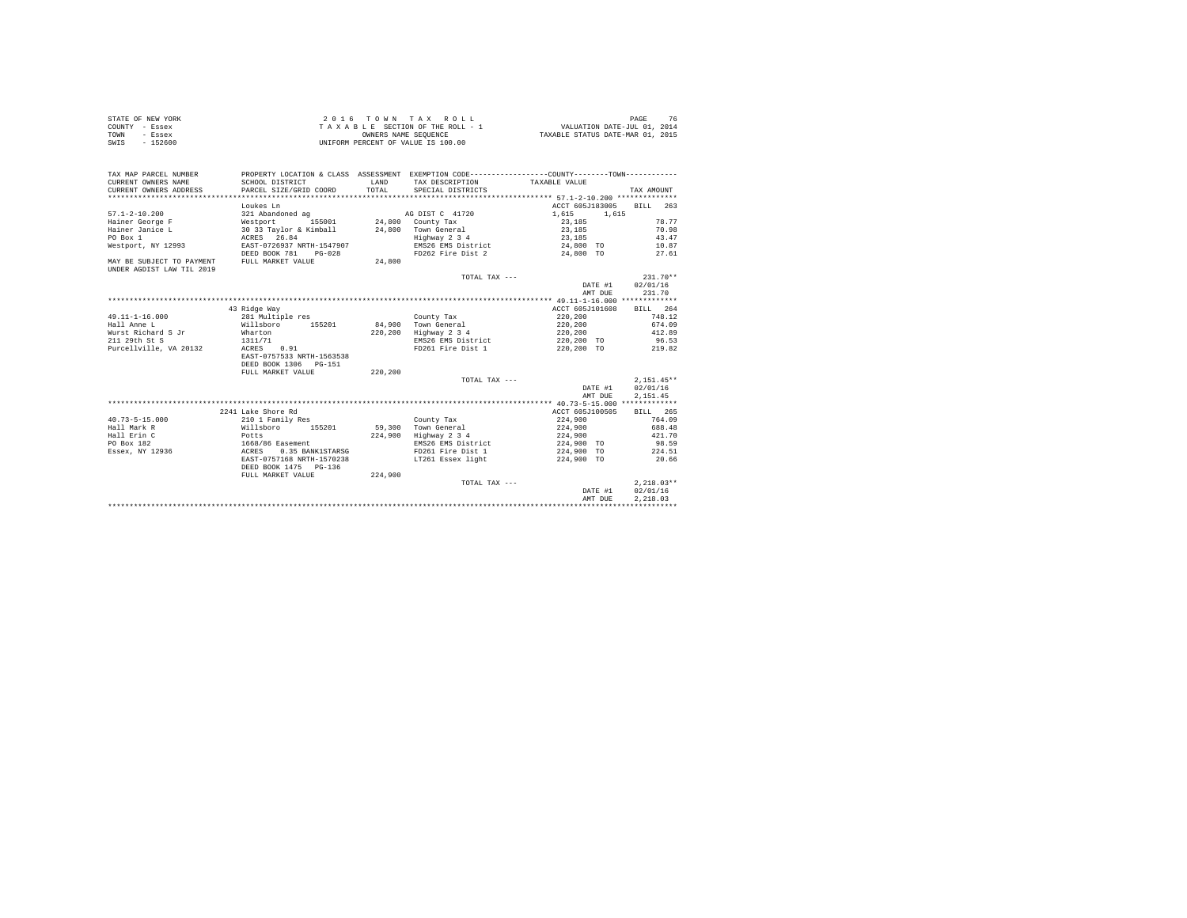| STATE OF NEW YORK | 2016 TOWN TAX ROLL                 | PAGE                             |
|-------------------|------------------------------------|----------------------------------|
| COUNTY - Essex    | TAXABLE SECTION OF THE ROLL - 1    | VALUATION DATE-JUL 01, 2014      |
| TOWN<br>- Essex   | OWNERS NAME SEOUENCE               | TAXABLE STATUS DATE-MAR 01, 2015 |
| $-152600$<br>SWIS | UNIFORM PERCENT OF VALUE IS 100.00 |                                  |

| PROPERTY LOCATION & CLASS ASSESSMENT EXEMPTION CODE----------------COUNTY--------TOWN----------<br>TAX MAP PARCEL NUMBER<br>CURRENT OWNERS NAME<br><b>T.AND</b><br>TAX DESCRIPTION TAXABLE VALUE<br>SCHOOL DISTRICT |         |                  |
|---------------------------------------------------------------------------------------------------------------------------------------------------------------------------------------------------------------------|---------|------------------|
| PARCEL SIZE/GRID COORD<br>TOTAL<br>CURRENT OWNERS ADDRESS<br>SPECIAL DISTRICTS                                                                                                                                      |         | TAX AMOUNT       |
|                                                                                                                                                                                                                     |         |                  |
| ACCT 605J183005<br>Loukes Ln                                                                                                                                                                                        |         | BILL 263         |
| $57.1 - 2 - 10.200$<br>321 Abandoned ag<br>AG DIST C 41720<br>1,615                                                                                                                                                 | 1.615   |                  |
| Nestport 155001 24,800 County Tax<br>Hainer George F<br>23,185                                                                                                                                                      |         | 78.77            |
| 30 33 Taylor & Kimball 24,800 Town General<br>Hainer Janice L<br>23,185                                                                                                                                             |         | 70.98            |
| PO Box 1<br>Highway 2 3 4<br>23,185                                                                                                                                                                                 |         | 43.47            |
| ACRES 26.84<br>EAST-0726937 NRTH-1547907<br>EMS26 EMS District<br>Westport, NY 12993<br>24,800 TO                                                                                                                   |         | 10.87            |
| FD262 Fire Dist 2<br>24,800 TO<br>DEED BOOK 781<br>$PG-0.28$                                                                                                                                                        |         | 27.61            |
| MAY BE SUBJECT TO PAYMENT<br>FULL MARKET VALUE<br>24,800                                                                                                                                                            |         |                  |
| UNDER AGDIST LAW TIL 2019                                                                                                                                                                                           |         |                  |
| TOTAL TAX ---                                                                                                                                                                                                       |         | $231.70**$       |
|                                                                                                                                                                                                                     |         | DATE #1 02/01/16 |
|                                                                                                                                                                                                                     | AMT DUE | 231.70           |
|                                                                                                                                                                                                                     |         |                  |
| ACCT 605J101608<br>43 Ridge Way                                                                                                                                                                                     |         | BILL 264         |
| $49.11 - 1 - 16.000$<br>281 Multiple res<br>220,200<br>County Tax                                                                                                                                                   |         | 748.12           |
| 84.900 Town General<br>Hall Anne L<br>Willsboro<br>155201<br>220,200                                                                                                                                                |         | 674.09           |
| Wharton<br>Wurst Richard S Jr<br>220.200 Highway 2 3 4<br>220,200                                                                                                                                                   |         | 412.89           |
| 1311/71<br>EMS26 EMS District<br>220,200 TO<br>211 29th St S                                                                                                                                                        |         | 96.53            |
| Purcellville, VA 20132<br>FD261 Fire Dist 1 220,200 TO 219.82<br>ACRES<br>0.91                                                                                                                                      |         |                  |
| EAST-0757533 NRTH-1563538                                                                                                                                                                                           |         |                  |
| DEED BOOK 1306 PG-151                                                                                                                                                                                               |         |                  |
| FULL MARKET VALUE<br>220,200                                                                                                                                                                                        |         |                  |
| TOTAL TAX ---                                                                                                                                                                                                       |         | $2.151.45**$     |
|                                                                                                                                                                                                                     | DATE #1 | 02/01/16         |
|                                                                                                                                                                                                                     | AMT DUE | 2,151.45         |
|                                                                                                                                                                                                                     |         |                  |
| 2241 Lake Shore Rd<br>ACCT 605J100505                                                                                                                                                                               |         | BILL 265         |
| $40.73 - 5 - 15.000$<br>210 1 Family Res<br>224,900<br>County Tax                                                                                                                                                   |         | 764.09           |
| Hall Mark R<br>59.300 Town General<br>224,900<br>Willsboro<br>155201                                                                                                                                                |         | 688.48           |
| Highway 2 3 4<br>Hall Erin C<br>Potts<br>224,900<br>224,900                                                                                                                                                         |         | 421.70           |
| PO Box 182<br>EMS26 EMS District<br>224,900 TO                                                                                                                                                                      |         | 98.59            |
| Essex, NY 12936<br>FD261 Fire Dist 1<br>224,900 TO                                                                                                                                                                  |         | 224.51           |
| EAST-0757168 NRTH-1570238<br>LT261 Essex light<br>224,900 TO                                                                                                                                                        |         | 20.66            |
| DEED BOOK 1475 PG-136                                                                                                                                                                                               |         |                  |
| 224,900<br>FULL MARKET VALUE                                                                                                                                                                                        |         |                  |
| TOTAL TAX ---                                                                                                                                                                                                       |         | $2.218.03**$     |
|                                                                                                                                                                                                                     | DATE #1 | 02/01/16         |
|                                                                                                                                                                                                                     | AMT DUE | 2.218.03         |
|                                                                                                                                                                                                                     |         |                  |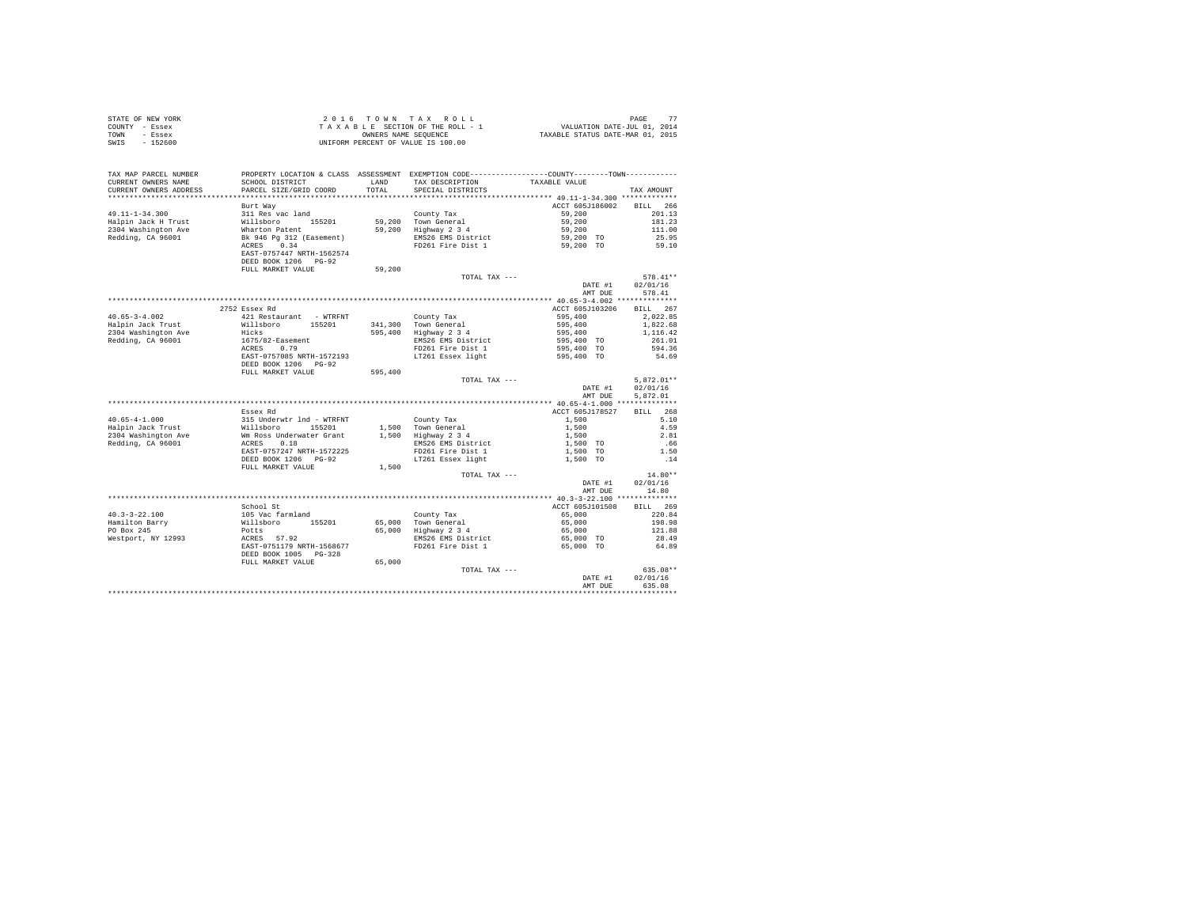| STATE OF NEW YORK                            |                                                                                                                 |         | 2016 TOWN TAX ROLL                                         | PAGE 77<br>VALUATION DATE-JUL 01, 2014<br>TAXABLE STATUS DATE-MAR 01, 2015 |                   |
|----------------------------------------------|-----------------------------------------------------------------------------------------------------------------|---------|------------------------------------------------------------|----------------------------------------------------------------------------|-------------------|
| COUNTY - Essex                               |                                                                                                                 |         | TAXABLE SECTION OF THE ROLL - 1                            |                                                                            |                   |
| TOWN - Essex<br>SWIS - 152600                |                                                                                                                 |         | OWNERS NAME SEQUENCE<br>UNIFORM PERCENT OF VALUE IS 100.00 |                                                                            |                   |
|                                              |                                                                                                                 |         |                                                            |                                                                            |                   |
|                                              |                                                                                                                 |         |                                                            |                                                                            |                   |
| TAX MAP PARCEL NUMBER<br>CURRENT OWNERS NAME | PROPERTY LOCATION & CLASS ASSESSMENT EXEMPTION CODE---------------COUNTY-------TOWN---------<br>SCHOOL DISTRICT | LAND    | TAX DESCRIPTION                                            | TAXABLE VALUE                                                              |                   |
| CURRENT OWNERS ADDRESS                       | PARCEL SIZE/GRID COORD                                                                                          | TOTAL.  | SPECIAL DISTRICTS                                          |                                                                            | TAX AMOUNT        |
|                                              |                                                                                                                 |         |                                                            |                                                                            |                   |
|                                              | Burt Way                                                                                                        |         |                                                            | ACCT 605J186002                                                            | BILL 266          |
| $49.11 - 1 - 34.300$                         | 311 Res vac land                                                                                                |         | County Tax                                                 | 59.200                                                                     | 201.13            |
| Halpin Jack H Trust                          | Willsboro 155201                                                                                                |         |                                                            | 59,200                                                                     | 181.23            |
| 2304 Washington Ave                          | Wharton Patent                                                                                                  |         | 59,200 Town General<br>59,200 Highway 2 3 4                | 59,200                                                                     | 111.00            |
| Redding, CA 96001                            | Bk 946 Pg 312 (Easement)                                                                                        |         | EMS26 EMS District                                         | 59,200 TO                                                                  | 25.95             |
|                                              | ACRES 0.34                                                                                                      |         | FD261 Fire Dist 1                                          | 59,200 TO                                                                  | 59.10             |
|                                              | EAST-0757447 NRTH-1562574                                                                                       |         |                                                            |                                                                            |                   |
|                                              | DEED BOOK 1206 PG-92                                                                                            |         |                                                            |                                                                            |                   |
|                                              | FULL MARKET VALUE                                                                                               | 59,200  |                                                            |                                                                            |                   |
|                                              |                                                                                                                 |         | TOTAL TAX ---                                              |                                                                            | $578.41**$        |
|                                              |                                                                                                                 |         |                                                            | DATE #1                                                                    | 02/01/16          |
|                                              |                                                                                                                 |         |                                                            | AMT DUE                                                                    | 578.41            |
|                                              |                                                                                                                 |         |                                                            |                                                                            |                   |
|                                              | 2752 Essex Rd                                                                                                   |         |                                                            | ACCT 605J103206                                                            | BILL 267          |
| $40.65 - 3 - 4.002$                          | 421 Restaurant - WTRFNT                                                                                         |         | County Tax                                                 | 595,400                                                                    | 2.022.85          |
| Halpin Jack Trust                            | Willsboro 155201                                                                                                |         | 341,300 Town General<br>595,400 Highway 2 3 4              | 595,400                                                                    | 1,822.68          |
| 2304 Washington Ave<br>Redding, CA 96001     | Hicks                                                                                                           |         |                                                            | 595,400                                                                    | 1,116,42          |
|                                              | 1675/82-Easement<br>ACRES 0.79                                                                                  |         | EMS26 EMS District<br>FD261 Fire Dist 1                    | 595,400 TO                                                                 | 261.01<br>594.36  |
|                                              | EAST-0757085 NRTH-1572193                                                                                       |         | LT261 Essex light                                          | 595,400 TO<br>595,400 TO                                                   | 54.69             |
|                                              | DEED BOOK 1206 PG-92                                                                                            |         |                                                            |                                                                            |                   |
|                                              | FULL MARKET VALUE                                                                                               | 595,400 |                                                            |                                                                            |                   |
|                                              |                                                                                                                 |         | TOTAL TAX ---                                              |                                                                            | $5.872.01**$      |
|                                              |                                                                                                                 |         |                                                            | DATE #1                                                                    | 02/01/16          |
|                                              |                                                                                                                 |         |                                                            | AMT DUE                                                                    | 5.872.01          |
|                                              |                                                                                                                 |         |                                                            |                                                                            |                   |
|                                              | Essex Rd                                                                                                        |         |                                                            | ACCT 605J178527                                                            | <b>BILL</b> 268   |
| $40.65 - 4 - 1.000$                          | 315 Underwtr 1nd - WTRFNT                                                                                       |         | County Tax                                                 | 1,500                                                                      | 5.10              |
| Halpin Jack Trust                            | Willsboro 155201                                                                                                |         | 1,500 Town General<br>1,500 Highway 2 3 4                  | 1,500                                                                      | 4.59              |
| 2304 Washington Ave                          | Wm Ross Underwater Grant                                                                                        |         |                                                            | 1,500                                                                      | 2.81              |
| Redding, CA 96001                            | ACRES 0.18                                                                                                      |         | EMS26 EMS District                                         | 1,500 TO                                                                   | .66               |
|                                              | EAST-0757247 NRTH-1572225                                                                                       |         | FD261 Fire Dist 1                                          | 1,500 TO                                                                   | 1.50              |
|                                              | DEED BOOK 1206 PG-92                                                                                            |         | LT261 Essex light                                          | 1,500 TO                                                                   | .14               |
|                                              | FULL MARKET VALUE                                                                                               | 1,500   |                                                            |                                                                            |                   |
|                                              |                                                                                                                 |         | TOTAL TAX ---                                              |                                                                            | $14.80**$         |
|                                              |                                                                                                                 |         |                                                            | DATE #1<br>AMT DUE                                                         | 02/01/16<br>14.80 |
|                                              |                                                                                                                 |         |                                                            |                                                                            |                   |
|                                              | School St                                                                                                       |         |                                                            | ACCT 605J101508                                                            | BILL 269          |
| $40.3 - 3 - 22.100$                          | 105 Vac farmland                                                                                                |         | County Tax                                                 | 65,000                                                                     | 220.84            |
| Hamilton Barry                               | Willsboro 155201                                                                                                |         |                                                            | 65,000                                                                     | 198.98            |
| PO Box 245                                   | Potts                                                                                                           |         | 65,000 Town General<br>65,000 Highway 2 3 4                | 65,000                                                                     | 121.88            |
| Westport, NY 12993                           | ACRES 57.92                                                                                                     |         | EMS26 EMS District                                         | 65,000 TO                                                                  | 28.49             |
|                                              | EAST-0751179 NRTH-1568677                                                                                       |         | FD261 Fire Dist 1                                          | 65,000 TO                                                                  | 64.89             |
|                                              |                                                                                                                 |         |                                                            |                                                                            |                   |
|                                              | DEED BOOK 1005 PG-328                                                                                           |         |                                                            |                                                                            |                   |
|                                              | FULL MARKET VALUE                                                                                               |         |                                                            |                                                                            |                   |
|                                              |                                                                                                                 | 65,000  | TOTAL TAX ---                                              |                                                                            | 635.08**          |
|                                              |                                                                                                                 |         |                                                            | DATE #1                                                                    | 02/01/16          |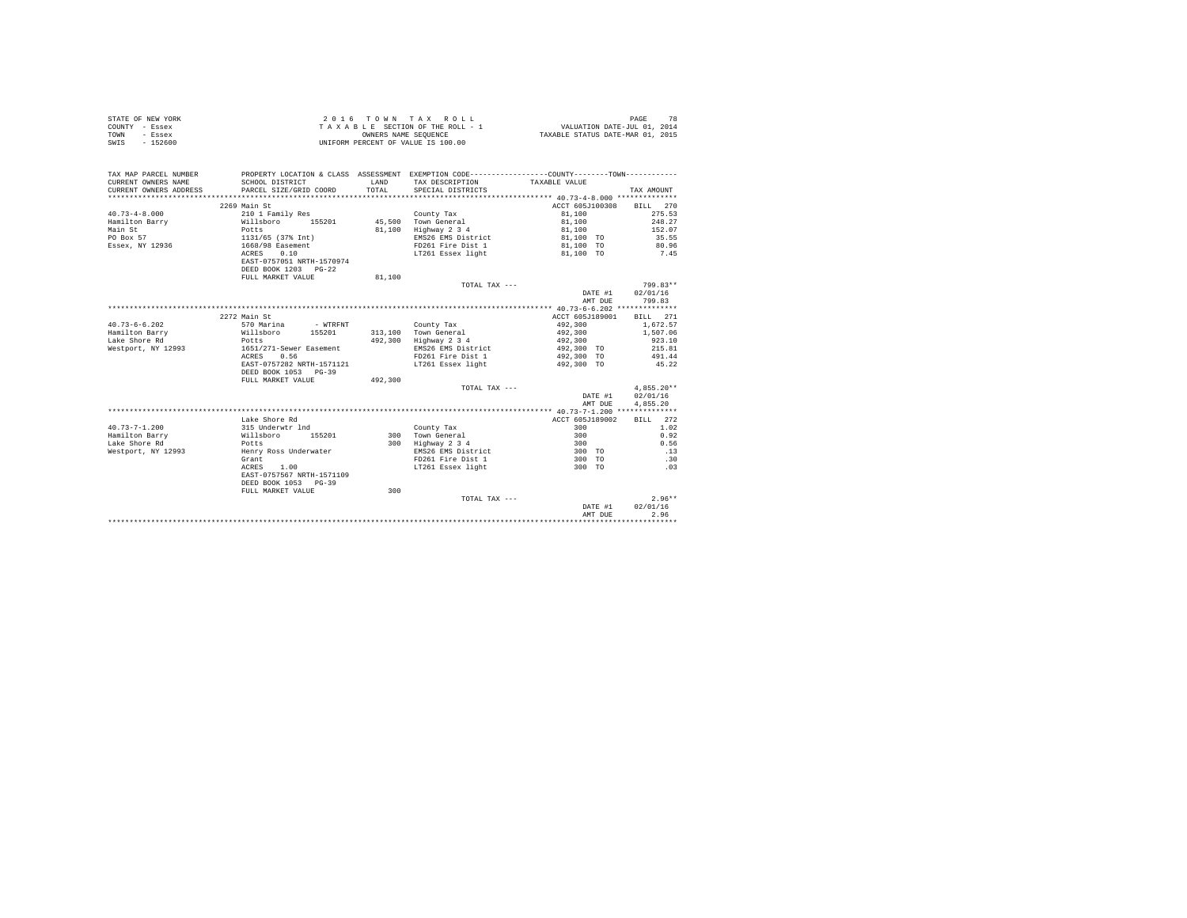|                | STATE OF NEW YORK | 2016 TOWN TAX ROLL                 | PAGE                             |
|----------------|-------------------|------------------------------------|----------------------------------|
| COUNTY - Essex |                   | TAXABLE SECTION OF THE ROLL - 1    | VALUATION DATE-JUL 01, 2014      |
| TOWN           | - Essex           | OWNERS NAME SEOUENCE               | TAXABLE STATUS DATE-MAR 01, 2015 |
| SWIS           | $-152600$         | UNIFORM PERCENT OF VALUE IS 100.00 |                                  |

| 2269 Main St<br>ACCT 605J100308 BILL 270<br>$40.73 - 4 - 8.000$<br>81,100<br>275.53<br>210 1 Family Res<br>County Tax<br>45.500 Town General<br>248.27<br>Hamilton Barry<br>Willsboro 155201<br>81,100<br>Main St<br>81,100 Highway 2 3 4<br>152.07<br>Potts<br>81,100<br>PO Box 57<br>1131/65 (37% Int)<br>EMS26 EMS District<br>35.55<br>81,100 TO<br>Essex, NY 12936<br>1668/98 Easement<br>FD261 Fire Dist 1<br>81,100 TO<br>80.96<br>0.10<br>LT261 Essex light<br>7.45<br>ACRES<br>81,100 TO<br>EAST-0757051 NRTH-1570974<br>DEED BOOK 1203 PG-22<br>FULL MARKET VALUE<br>81,100<br>799.83**<br>TOTAL TAX ---<br>02/01/16<br>DATE #1<br>799.83<br>AMT DUE<br>2272 Main St<br>ACCT 605J189001<br>BILL 271<br>$40.73 - 6 - 6.202$<br>492,300<br>1,672.57<br>570 Marina<br>- WTRFNT<br>County Tax<br>Hamilton Barry<br>Willsboro 155201<br>313,100 Town General<br>492.300<br>1,507.06<br>492,300 Highway 2 3 4<br>Lake Shore Rd<br>492,300<br>923.10<br>Potts<br>Westport, NY 12993<br>EMS26 EMS District<br>215.81<br>1651/271-Sewer Easement<br>492,300 TO<br>0.56<br>FD261 Fire Dist 1<br>492,300 TO<br>491.44<br>ACRES<br>EAST-0757282 NRTH-1571121<br>LT261 Essex light<br>492,300 TO<br>45.22<br>DEED BOOK 1053 PG-39<br>FULL MARKET VALUE<br>492,300<br>$4.855.20**$<br>TOTAL TAX ---<br>02/01/16<br>DATE #1<br>4,855.20<br>AMT DUE<br>Lake Shore Rd<br>ACCT 605J189002<br>BILL 272<br>$40.73 - 7 - 1.200$<br>315 Underwtr 1nd<br>300<br>1.02<br>County Tax<br>300 Town General<br>Hamilton Barry<br>300<br>0.92<br>Willsboro<br>155201<br>Lake Shore Rd<br>0.56<br>300<br>Highway 2 3 4<br>300<br>Potts<br>Westport, NY 12993<br>EMS26 EMS District<br>300 TO<br>.13<br>Henry Ross Underwater<br>FD261 Fire Dist 1<br>Grant<br>300 TO<br>.30<br>LT261 Essex light<br>1.00<br>300 TO<br>.03<br>ACRES<br>EAST-0757567 NRTH-1571109<br>DEED BOOK 1053 PG-39<br>300<br>FULL MARKET VALUE<br>$2.96**$<br>TOTAL TAX ---<br>02/01/16<br>DATE #1<br>2.96<br>AMT DUE | TAX MAP PARCEL NUMBER<br>CURRENT OWNERS NAME | SCHOOL DISTRICT        | LAND   | PROPERTY LOCATION & CLASS ASSESSMENT EXEMPTION CODE----------------COUNTY--------TOWN----------<br>TAX DESCRIPTION | TAXABLE VALUE |            |
|------------------------------------------------------------------------------------------------------------------------------------------------------------------------------------------------------------------------------------------------------------------------------------------------------------------------------------------------------------------------------------------------------------------------------------------------------------------------------------------------------------------------------------------------------------------------------------------------------------------------------------------------------------------------------------------------------------------------------------------------------------------------------------------------------------------------------------------------------------------------------------------------------------------------------------------------------------------------------------------------------------------------------------------------------------------------------------------------------------------------------------------------------------------------------------------------------------------------------------------------------------------------------------------------------------------------------------------------------------------------------------------------------------------------------------------------------------------------------------------------------------------------------------------------------------------------------------------------------------------------------------------------------------------------------------------------------------------------------------------------------------------------------------------------------------------------------------------------------------------------------------------------------------------------------------------------------------------------|----------------------------------------------|------------------------|--------|--------------------------------------------------------------------------------------------------------------------|---------------|------------|
|                                                                                                                                                                                                                                                                                                                                                                                                                                                                                                                                                                                                                                                                                                                                                                                                                                                                                                                                                                                                                                                                                                                                                                                                                                                                                                                                                                                                                                                                                                                                                                                                                                                                                                                                                                                                                                                                                                                                                                        | CURRENT OWNERS ADDRESS                       | PARCEL SIZE/GRID COORD | TOTAL. | SPECIAL DISTRICTS                                                                                                  |               | TAX AMOUNT |
|                                                                                                                                                                                                                                                                                                                                                                                                                                                                                                                                                                                                                                                                                                                                                                                                                                                                                                                                                                                                                                                                                                                                                                                                                                                                                                                                                                                                                                                                                                                                                                                                                                                                                                                                                                                                                                                                                                                                                                        |                                              |                        |        |                                                                                                                    |               |            |
|                                                                                                                                                                                                                                                                                                                                                                                                                                                                                                                                                                                                                                                                                                                                                                                                                                                                                                                                                                                                                                                                                                                                                                                                                                                                                                                                                                                                                                                                                                                                                                                                                                                                                                                                                                                                                                                                                                                                                                        |                                              |                        |        |                                                                                                                    |               |            |
|                                                                                                                                                                                                                                                                                                                                                                                                                                                                                                                                                                                                                                                                                                                                                                                                                                                                                                                                                                                                                                                                                                                                                                                                                                                                                                                                                                                                                                                                                                                                                                                                                                                                                                                                                                                                                                                                                                                                                                        |                                              |                        |        |                                                                                                                    |               |            |
|                                                                                                                                                                                                                                                                                                                                                                                                                                                                                                                                                                                                                                                                                                                                                                                                                                                                                                                                                                                                                                                                                                                                                                                                                                                                                                                                                                                                                                                                                                                                                                                                                                                                                                                                                                                                                                                                                                                                                                        |                                              |                        |        |                                                                                                                    |               |            |
|                                                                                                                                                                                                                                                                                                                                                                                                                                                                                                                                                                                                                                                                                                                                                                                                                                                                                                                                                                                                                                                                                                                                                                                                                                                                                                                                                                                                                                                                                                                                                                                                                                                                                                                                                                                                                                                                                                                                                                        |                                              |                        |        |                                                                                                                    |               |            |
|                                                                                                                                                                                                                                                                                                                                                                                                                                                                                                                                                                                                                                                                                                                                                                                                                                                                                                                                                                                                                                                                                                                                                                                                                                                                                                                                                                                                                                                                                                                                                                                                                                                                                                                                                                                                                                                                                                                                                                        |                                              |                        |        |                                                                                                                    |               |            |
|                                                                                                                                                                                                                                                                                                                                                                                                                                                                                                                                                                                                                                                                                                                                                                                                                                                                                                                                                                                                                                                                                                                                                                                                                                                                                                                                                                                                                                                                                                                                                                                                                                                                                                                                                                                                                                                                                                                                                                        |                                              |                        |        |                                                                                                                    |               |            |
|                                                                                                                                                                                                                                                                                                                                                                                                                                                                                                                                                                                                                                                                                                                                                                                                                                                                                                                                                                                                                                                                                                                                                                                                                                                                                                                                                                                                                                                                                                                                                                                                                                                                                                                                                                                                                                                                                                                                                                        |                                              |                        |        |                                                                                                                    |               |            |
|                                                                                                                                                                                                                                                                                                                                                                                                                                                                                                                                                                                                                                                                                                                                                                                                                                                                                                                                                                                                                                                                                                                                                                                                                                                                                                                                                                                                                                                                                                                                                                                                                                                                                                                                                                                                                                                                                                                                                                        |                                              |                        |        |                                                                                                                    |               |            |
|                                                                                                                                                                                                                                                                                                                                                                                                                                                                                                                                                                                                                                                                                                                                                                                                                                                                                                                                                                                                                                                                                                                                                                                                                                                                                                                                                                                                                                                                                                                                                                                                                                                                                                                                                                                                                                                                                                                                                                        |                                              |                        |        |                                                                                                                    |               |            |
|                                                                                                                                                                                                                                                                                                                                                                                                                                                                                                                                                                                                                                                                                                                                                                                                                                                                                                                                                                                                                                                                                                                                                                                                                                                                                                                                                                                                                                                                                                                                                                                                                                                                                                                                                                                                                                                                                                                                                                        |                                              |                        |        |                                                                                                                    |               |            |
|                                                                                                                                                                                                                                                                                                                                                                                                                                                                                                                                                                                                                                                                                                                                                                                                                                                                                                                                                                                                                                                                                                                                                                                                                                                                                                                                                                                                                                                                                                                                                                                                                                                                                                                                                                                                                                                                                                                                                                        |                                              |                        |        |                                                                                                                    |               |            |
|                                                                                                                                                                                                                                                                                                                                                                                                                                                                                                                                                                                                                                                                                                                                                                                                                                                                                                                                                                                                                                                                                                                                                                                                                                                                                                                                                                                                                                                                                                                                                                                                                                                                                                                                                                                                                                                                                                                                                                        |                                              |                        |        |                                                                                                                    |               |            |
|                                                                                                                                                                                                                                                                                                                                                                                                                                                                                                                                                                                                                                                                                                                                                                                                                                                                                                                                                                                                                                                                                                                                                                                                                                                                                                                                                                                                                                                                                                                                                                                                                                                                                                                                                                                                                                                                                                                                                                        |                                              |                        |        |                                                                                                                    |               |            |
|                                                                                                                                                                                                                                                                                                                                                                                                                                                                                                                                                                                                                                                                                                                                                                                                                                                                                                                                                                                                                                                                                                                                                                                                                                                                                                                                                                                                                                                                                                                                                                                                                                                                                                                                                                                                                                                                                                                                                                        |                                              |                        |        |                                                                                                                    |               |            |
|                                                                                                                                                                                                                                                                                                                                                                                                                                                                                                                                                                                                                                                                                                                                                                                                                                                                                                                                                                                                                                                                                                                                                                                                                                                                                                                                                                                                                                                                                                                                                                                                                                                                                                                                                                                                                                                                                                                                                                        |                                              |                        |        |                                                                                                                    |               |            |
|                                                                                                                                                                                                                                                                                                                                                                                                                                                                                                                                                                                                                                                                                                                                                                                                                                                                                                                                                                                                                                                                                                                                                                                                                                                                                                                                                                                                                                                                                                                                                                                                                                                                                                                                                                                                                                                                                                                                                                        |                                              |                        |        |                                                                                                                    |               |            |
|                                                                                                                                                                                                                                                                                                                                                                                                                                                                                                                                                                                                                                                                                                                                                                                                                                                                                                                                                                                                                                                                                                                                                                                                                                                                                                                                                                                                                                                                                                                                                                                                                                                                                                                                                                                                                                                                                                                                                                        |                                              |                        |        |                                                                                                                    |               |            |
|                                                                                                                                                                                                                                                                                                                                                                                                                                                                                                                                                                                                                                                                                                                                                                                                                                                                                                                                                                                                                                                                                                                                                                                                                                                                                                                                                                                                                                                                                                                                                                                                                                                                                                                                                                                                                                                                                                                                                                        |                                              |                        |        |                                                                                                                    |               |            |
|                                                                                                                                                                                                                                                                                                                                                                                                                                                                                                                                                                                                                                                                                                                                                                                                                                                                                                                                                                                                                                                                                                                                                                                                                                                                                                                                                                                                                                                                                                                                                                                                                                                                                                                                                                                                                                                                                                                                                                        |                                              |                        |        |                                                                                                                    |               |            |
|                                                                                                                                                                                                                                                                                                                                                                                                                                                                                                                                                                                                                                                                                                                                                                                                                                                                                                                                                                                                                                                                                                                                                                                                                                                                                                                                                                                                                                                                                                                                                                                                                                                                                                                                                                                                                                                                                                                                                                        |                                              |                        |        |                                                                                                                    |               |            |
|                                                                                                                                                                                                                                                                                                                                                                                                                                                                                                                                                                                                                                                                                                                                                                                                                                                                                                                                                                                                                                                                                                                                                                                                                                                                                                                                                                                                                                                                                                                                                                                                                                                                                                                                                                                                                                                                                                                                                                        |                                              |                        |        |                                                                                                                    |               |            |
|                                                                                                                                                                                                                                                                                                                                                                                                                                                                                                                                                                                                                                                                                                                                                                                                                                                                                                                                                                                                                                                                                                                                                                                                                                                                                                                                                                                                                                                                                                                                                                                                                                                                                                                                                                                                                                                                                                                                                                        |                                              |                        |        |                                                                                                                    |               |            |
|                                                                                                                                                                                                                                                                                                                                                                                                                                                                                                                                                                                                                                                                                                                                                                                                                                                                                                                                                                                                                                                                                                                                                                                                                                                                                                                                                                                                                                                                                                                                                                                                                                                                                                                                                                                                                                                                                                                                                                        |                                              |                        |        |                                                                                                                    |               |            |
|                                                                                                                                                                                                                                                                                                                                                                                                                                                                                                                                                                                                                                                                                                                                                                                                                                                                                                                                                                                                                                                                                                                                                                                                                                                                                                                                                                                                                                                                                                                                                                                                                                                                                                                                                                                                                                                                                                                                                                        |                                              |                        |        |                                                                                                                    |               |            |
|                                                                                                                                                                                                                                                                                                                                                                                                                                                                                                                                                                                                                                                                                                                                                                                                                                                                                                                                                                                                                                                                                                                                                                                                                                                                                                                                                                                                                                                                                                                                                                                                                                                                                                                                                                                                                                                                                                                                                                        |                                              |                        |        |                                                                                                                    |               |            |
|                                                                                                                                                                                                                                                                                                                                                                                                                                                                                                                                                                                                                                                                                                                                                                                                                                                                                                                                                                                                                                                                                                                                                                                                                                                                                                                                                                                                                                                                                                                                                                                                                                                                                                                                                                                                                                                                                                                                                                        |                                              |                        |        |                                                                                                                    |               |            |
|                                                                                                                                                                                                                                                                                                                                                                                                                                                                                                                                                                                                                                                                                                                                                                                                                                                                                                                                                                                                                                                                                                                                                                                                                                                                                                                                                                                                                                                                                                                                                                                                                                                                                                                                                                                                                                                                                                                                                                        |                                              |                        |        |                                                                                                                    |               |            |
|                                                                                                                                                                                                                                                                                                                                                                                                                                                                                                                                                                                                                                                                                                                                                                                                                                                                                                                                                                                                                                                                                                                                                                                                                                                                                                                                                                                                                                                                                                                                                                                                                                                                                                                                                                                                                                                                                                                                                                        |                                              |                        |        |                                                                                                                    |               |            |
|                                                                                                                                                                                                                                                                                                                                                                                                                                                                                                                                                                                                                                                                                                                                                                                                                                                                                                                                                                                                                                                                                                                                                                                                                                                                                                                                                                                                                                                                                                                                                                                                                                                                                                                                                                                                                                                                                                                                                                        |                                              |                        |        |                                                                                                                    |               |            |
|                                                                                                                                                                                                                                                                                                                                                                                                                                                                                                                                                                                                                                                                                                                                                                                                                                                                                                                                                                                                                                                                                                                                                                                                                                                                                                                                                                                                                                                                                                                                                                                                                                                                                                                                                                                                                                                                                                                                                                        |                                              |                        |        |                                                                                                                    |               |            |
|                                                                                                                                                                                                                                                                                                                                                                                                                                                                                                                                                                                                                                                                                                                                                                                                                                                                                                                                                                                                                                                                                                                                                                                                                                                                                                                                                                                                                                                                                                                                                                                                                                                                                                                                                                                                                                                                                                                                                                        |                                              |                        |        |                                                                                                                    |               |            |
|                                                                                                                                                                                                                                                                                                                                                                                                                                                                                                                                                                                                                                                                                                                                                                                                                                                                                                                                                                                                                                                                                                                                                                                                                                                                                                                                                                                                                                                                                                                                                                                                                                                                                                                                                                                                                                                                                                                                                                        |                                              |                        |        |                                                                                                                    |               |            |
|                                                                                                                                                                                                                                                                                                                                                                                                                                                                                                                                                                                                                                                                                                                                                                                                                                                                                                                                                                                                                                                                                                                                                                                                                                                                                                                                                                                                                                                                                                                                                                                                                                                                                                                                                                                                                                                                                                                                                                        |                                              |                        |        |                                                                                                                    |               |            |
|                                                                                                                                                                                                                                                                                                                                                                                                                                                                                                                                                                                                                                                                                                                                                                                                                                                                                                                                                                                                                                                                                                                                                                                                                                                                                                                                                                                                                                                                                                                                                                                                                                                                                                                                                                                                                                                                                                                                                                        |                                              |                        |        |                                                                                                                    |               |            |
|                                                                                                                                                                                                                                                                                                                                                                                                                                                                                                                                                                                                                                                                                                                                                                                                                                                                                                                                                                                                                                                                                                                                                                                                                                                                                                                                                                                                                                                                                                                                                                                                                                                                                                                                                                                                                                                                                                                                                                        |                                              |                        |        |                                                                                                                    |               |            |
|                                                                                                                                                                                                                                                                                                                                                                                                                                                                                                                                                                                                                                                                                                                                                                                                                                                                                                                                                                                                                                                                                                                                                                                                                                                                                                                                                                                                                                                                                                                                                                                                                                                                                                                                                                                                                                                                                                                                                                        |                                              |                        |        |                                                                                                                    |               |            |
|                                                                                                                                                                                                                                                                                                                                                                                                                                                                                                                                                                                                                                                                                                                                                                                                                                                                                                                                                                                                                                                                                                                                                                                                                                                                                                                                                                                                                                                                                                                                                                                                                                                                                                                                                                                                                                                                                                                                                                        |                                              |                        |        |                                                                                                                    |               |            |
|                                                                                                                                                                                                                                                                                                                                                                                                                                                                                                                                                                                                                                                                                                                                                                                                                                                                                                                                                                                                                                                                                                                                                                                                                                                                                                                                                                                                                                                                                                                                                                                                                                                                                                                                                                                                                                                                                                                                                                        |                                              |                        |        |                                                                                                                    |               |            |
|                                                                                                                                                                                                                                                                                                                                                                                                                                                                                                                                                                                                                                                                                                                                                                                                                                                                                                                                                                                                                                                                                                                                                                                                                                                                                                                                                                                                                                                                                                                                                                                                                                                                                                                                                                                                                                                                                                                                                                        |                                              |                        |        |                                                                                                                    |               |            |
|                                                                                                                                                                                                                                                                                                                                                                                                                                                                                                                                                                                                                                                                                                                                                                                                                                                                                                                                                                                                                                                                                                                                                                                                                                                                                                                                                                                                                                                                                                                                                                                                                                                                                                                                                                                                                                                                                                                                                                        |                                              |                        |        |                                                                                                                    |               |            |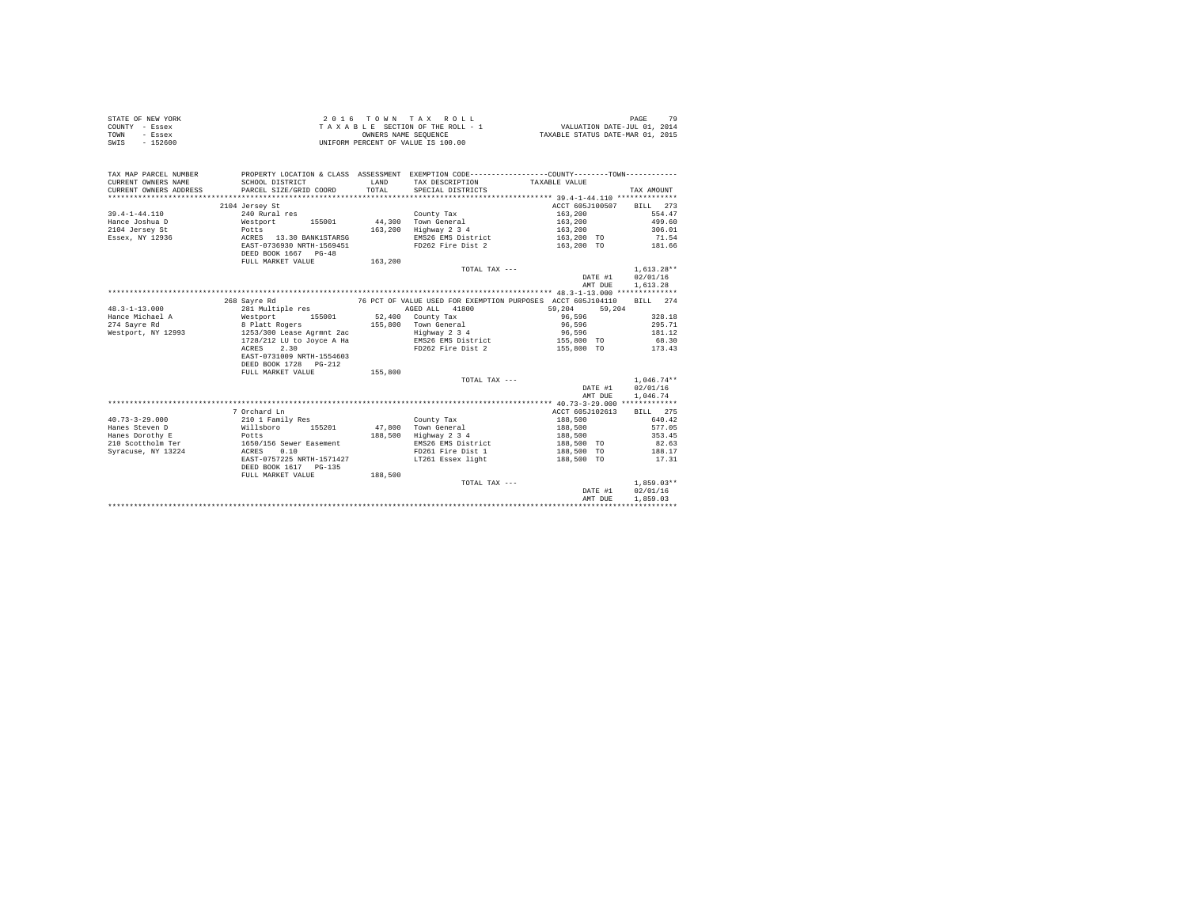| STATE OF NEW YORK | 2016 TOWN TAX ROLL                 | PAGE                             | 79 |
|-------------------|------------------------------------|----------------------------------|----|
| COUNTY - Essex    | TAXABLE SECTION OF THE ROLL - 1    | VALUATION DATE-JUL 01, 2014      |    |
| TOWN<br>- Essex   | OWNERS NAME SEOUENCE               | TAXABLE STATUS DATE-MAR 01, 2015 |    |
| SWIS<br>$-152600$ | UNIFORM PERCENT OF VALUE IS 100.00 |                                  |    |

| TAX MAP PARCEL NUMBER  |                                                                                                                                                                                                                  |         |                               | PROPERTY LOCATION & CLASS ASSESSMENT EXEMPTION CODE---------------COUNTY-------TOWN--------- |                     |
|------------------------|------------------------------------------------------------------------------------------------------------------------------------------------------------------------------------------------------------------|---------|-------------------------------|----------------------------------------------------------------------------------------------|---------------------|
| CURRENT OWNERS NAME    | SCHOOL DISTRICT                                                                                                                                                                                                  | LAND    | TAX DESCRIPTION TAXABLE VALUE |                                                                                              |                     |
| CURRENT OWNERS ADDRESS | PARCEL SIZE/GRID COORD                                                                                                                                                                                           | TOTAL   | SPECIAL DISTRICTS             |                                                                                              | TAX AMOUNT          |
|                        |                                                                                                                                                                                                                  |         |                               |                                                                                              |                     |
|                        | 2104 Jersey St                                                                                                                                                                                                   |         |                               | ACCT 605J100507 BILL 273                                                                     |                     |
| 39.4-1-44.110          | 240 Rural res                                                                                                                                                                                                    |         | County Tax                    | 163,200                                                                                      | 554.47              |
|                        | Hance Joshua D <b>Westport</b> 155001 44,300 Town General                                                                                                                                                        |         |                               | 163,200                                                                                      | 499.60              |
| 2104 Jersey St         | Potts<br>ACRES 13.30 BANK1STARSG                                                                                                                                                                                 |         | 163.200 Highway 2 3 4         | 163,200                                                                                      | 306.01              |
| Essex, NY 12936        |                                                                                                                                                                                                                  |         | EMS26 EMS District            | 163,200 TO                                                                                   | 71.54               |
|                        | EAST-0736930 NRTH-1569451                                                                                                                                                                                        |         | FD262 Fire Dist 2             | 163.200 TO 181.66                                                                            |                     |
|                        | DEED BOOK 1667 PG-48                                                                                                                                                                                             |         |                               |                                                                                              |                     |
|                        | FULL MARKET VALUE                                                                                                                                                                                                | 163,200 |                               |                                                                                              |                     |
|                        |                                                                                                                                                                                                                  |         | TOTAL TAX $---$               |                                                                                              | $1.613.28**$        |
|                        |                                                                                                                                                                                                                  |         |                               |                                                                                              | DATE #1 02/01/16    |
|                        |                                                                                                                                                                                                                  |         |                               | AMT DUE 1, 613.28                                                                            |                     |
|                        |                                                                                                                                                                                                                  |         |                               |                                                                                              |                     |
|                        | 268 Savre Rd 6053104110 76 PCT OF VALUE USED FOR EXEMPTION PURPOSES ACCT 6053104110                                                                                                                              |         |                               |                                                                                              | BILL 274            |
| $48.3 - 1 - 13.000$    | 281 Multiple res                                                                                                                                                                                                 |         | AGED ALL 41800                | 59.204 59.204                                                                                |                     |
|                        |                                                                                                                                                                                                                  |         |                               | 96,596                                                                                       | 328.18              |
|                        | $274 ~\rm{Gyr}$ Hance Michael A<br>$\rm{Mestport}$ 155001 52,400 County Tax 155,800 Town General PS P1<br>att Rogers 155,800 Town General Mestport, NY 12993 1253/300 Lease Agr<br>mnt 2ac 155,800 Tophway 2 3 4 |         |                               | 96,596                                                                                       | 295.71              |
| Westport, NY 12993     |                                                                                                                                                                                                                  |         | Highway 2 3 4                 | 96,596                                                                                       | 181.12              |
|                        |                                                                                                                                                                                                                  |         |                               | 1728/212 LU to Joyce A Ha <b>EMS26</b> EMS District 155,800 TO 68.30                         |                     |
|                        | ACRES 2.30                                                                                                                                                                                                       |         | FD262 Fire Dist 2             | 155,800 TO 173.43                                                                            |                     |
|                        | EAST-0731009 NRTH-1554603                                                                                                                                                                                        |         |                               |                                                                                              |                     |
|                        | DEED BOOK 1728 PG-212                                                                                                                                                                                            |         |                               |                                                                                              |                     |
|                        | FULL MARKET VALUE                                                                                                                                                                                                | 155,800 |                               |                                                                                              |                     |
|                        |                                                                                                                                                                                                                  |         | TOTAL TAX ---                 |                                                                                              | $1.046.74**$        |
|                        |                                                                                                                                                                                                                  |         |                               |                                                                                              | DATE #1 02/01/16    |
|                        |                                                                                                                                                                                                                  |         |                               | AMT DUE                                                                                      | 1,046.74            |
|                        |                                                                                                                                                                                                                  |         |                               |                                                                                              |                     |
|                        | 7 Orchard Ln                                                                                                                                                                                                     |         |                               | ACCT 605J102613                                                                              | BILL 275            |
| $40.73 - 3 - 29.000$   | 210 1 Family Res                                                                                                                                                                                                 |         | County Tax                    | 188.500 640.42                                                                               |                     |
| Hanes Steven D         | Willsboro 155201 47.800 Town General                                                                                                                                                                             |         |                               | 188,500                                                                                      | 577.05              |
| Hanes Dorothy E        | Potts                                                                                                                                                                                                            | 188,500 | Highway 2 3 4                 | 188,500                                                                                      | 353.45              |
|                        | Analyze Christian Ter 1650/156 Sewer Easement<br>Syracuse, NY 13224 ACRES 0.10                                                                                                                                   |         | EMS26 EMS District            | 188,500 TO                                                                                   | $82.63$<br>$188.17$ |
|                        |                                                                                                                                                                                                                  |         | $FD261$ Fire Dist 1           | 188,500 TO                                                                                   |                     |
|                        | EAST-0757225 NRTH-1571427                                                                                                                                                                                        |         | LT261 Essex light             | 188,500 TO 17.31                                                                             |                     |
|                        | DEED BOOK 1617 PG-135                                                                                                                                                                                            |         |                               |                                                                                              |                     |
|                        | FULL MARKET VALUE                                                                                                                                                                                                | 188,500 |                               |                                                                                              |                     |
|                        |                                                                                                                                                                                                                  |         | TOTAL TAX ---                 |                                                                                              | $1,859.03**$        |
|                        |                                                                                                                                                                                                                  |         |                               |                                                                                              | DATE #1 02/01/16    |
|                        |                                                                                                                                                                                                                  |         |                               | AMT DUE                                                                                      | 1,859.03            |
|                        |                                                                                                                                                                                                                  |         |                               |                                                                                              |                     |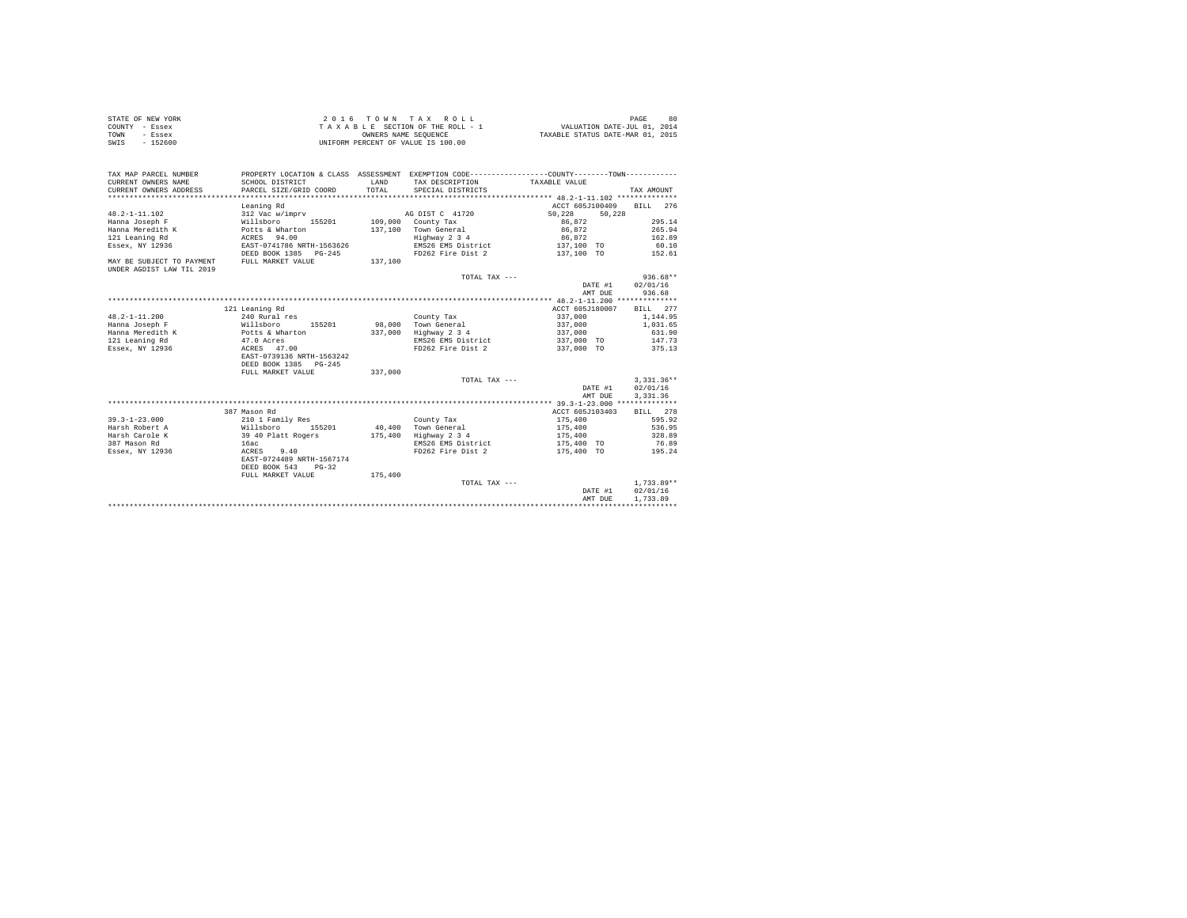| STATE OF NEW YORK | 2016 TOWN TAX ROLL                 | 80<br>PAGE                       |
|-------------------|------------------------------------|----------------------------------|
| COUNTY - Essex    | TAXABLE SECTION OF THE ROLL - 1    | VALUATION DATE-JUL 01, 2014      |
| TOWN<br>- Essex   | OWNERS NAME SEOUENCE               | TAXABLE STATUS DATE-MAR 01, 2015 |
| $-152600$<br>SWIS | UNIFORM PERCENT OF VALUE IS 100.00 |                                  |

| TAX MAP PARCEL NUMBER<br>CURRENT OWNERS NAME<br>CURRENT OWNERS ADDRESS | SCHOOL DISTRICT<br>PARCEL SIZE/GRID COORD | LAND<br>TOTAL. | TAX DESCRIPTION TAXABLE VALUE<br>SPECIAL DISTRICTS | PROPERTY LOCATION & CLASS ASSESSMENT EXEMPTION CODE----------------COUNTY--------TOWN---------- | TAX AMOUNT   |
|------------------------------------------------------------------------|-------------------------------------------|----------------|----------------------------------------------------|-------------------------------------------------------------------------------------------------|--------------|
|                                                                        |                                           |                |                                                    | ACCT 605J100409                                                                                 | BTLL 276     |
| $48.2 - 1 - 11.102$                                                    | Leaning Rd<br>312 Vac w/imprv             |                | AG DIST C 41720                                    | 50.228<br>50,228                                                                                |              |
| Hanna Joseph F                                                         | Willsboro<br>155201                       |                | $109.000$ County Tax                               | 86.872                                                                                          | 295.14       |
| Hanna Meredith K                                                       | Potts & Wharton                           |                | 137.100 Town General                               | 86,872                                                                                          | 265.94       |
| 121 Leaning Rd                                                         | ACRES 94.00                               |                | Highway 2 3 4                                      | 86.872                                                                                          | 162.89       |
| Essex, NY 12936                                                        | EAST-0741786 NRTH-1563626                 |                | EMS26 EMS District                                 | 137,100 TO                                                                                      | 60.10        |
|                                                                        | DEED BOOK 1385 PG-245                     |                | FD262 Fire Dist 2                                  | 137,100 TO                                                                                      | 152.61       |
| MAY BE SUBJECT TO PAYMENT                                              | FULL MARKET VALUE                         | 137,100        |                                                    |                                                                                                 |              |
| UNDER AGDIST LAW TIL 2019                                              |                                           |                |                                                    |                                                                                                 |              |
|                                                                        |                                           |                | TOTAL TAX ---                                      |                                                                                                 | $936.68**$   |
|                                                                        |                                           |                |                                                    | DATE #1                                                                                         | 02/01/16     |
|                                                                        |                                           |                |                                                    | AMT DUE                                                                                         | 936.68       |
|                                                                        |                                           |                |                                                    |                                                                                                 |              |
|                                                                        | 121 Leaning Rd                            |                |                                                    | ACCT 605J180007                                                                                 | BILL 277     |
| $48.2 - 1 - 11.200$                                                    | 240 Rural res                             |                | County Tax                                         | 337,000                                                                                         | 1,144.95     |
| Hanna Joseph F                                                         | 155201<br>Willsboro                       |                | 98.000 Town General                                | 337,000                                                                                         | 1,031.65     |
| Hanna Meredith K                                                       |                                           | 337,000        | Highway 2 3 4                                      | 337,000                                                                                         | 631.90       |
| 121 Leaning Rd                                                         | Potts & Wharton<br>47.0 Acres             |                | EMS26 EMS District                                 | 337,000 TO                                                                                      | 147.73       |
| Essex, NY 12936                                                        | ACRES 47.00                               |                | FD262 Fire Dist 2                                  | 337,000 TO 375.13                                                                               |              |
|                                                                        | EAST-0739136 NRTH-1563242                 |                |                                                    |                                                                                                 |              |
|                                                                        | DEED BOOK 1385<br>$PG - 245$              |                |                                                    |                                                                                                 |              |
|                                                                        | FULL MARKET VALUE                         | 337,000        |                                                    |                                                                                                 |              |
|                                                                        |                                           |                | TOTAL TAX ---                                      |                                                                                                 | $3.331.36**$ |
|                                                                        |                                           |                |                                                    | DATE #1                                                                                         | 02/01/16     |
|                                                                        |                                           |                |                                                    | AMT DUE                                                                                         | 3.331.36     |
|                                                                        |                                           |                |                                                    |                                                                                                 |              |
|                                                                        | 387 Mason Rd                              |                |                                                    | ACCT 605J103403                                                                                 | BILL 278     |
| $39.3 - 1 - 23.000$                                                    | 210 1 Family Res                          |                | County Tax                                         | 175,400                                                                                         | 595.92       |
| Harsh Robert A                                                         | willsboro<br>155201                       |                | 40.400 Town General                                | 175,400                                                                                         | 536.95       |
| Harsh Carole K                                                         | 39 40 Platt Rogers                        | 175,400        | Highway 2 3 4                                      | 175,400                                                                                         | 328.89       |
| 387 Mason Rd                                                           | 16ac                                      |                | EMS26 EMS District                                 | 175,400 TO                                                                                      | 76.89        |
| Essex, NY 12936                                                        | 9.40<br>ACRES                             |                | FD262 Fire Dist 2                                  | 175,400 TO                                                                                      | 195.24       |
|                                                                        | EAST-0724489 NRTH-1567174                 |                |                                                    |                                                                                                 |              |
|                                                                        | DEED BOOK 543<br>$PG-32$                  |                |                                                    |                                                                                                 |              |
|                                                                        | FULL MARKET VALUE                         | 175,400        |                                                    |                                                                                                 |              |
|                                                                        |                                           |                | TOTAL TAX ---                                      |                                                                                                 | $1.733.89**$ |
|                                                                        |                                           |                |                                                    | DATE #1                                                                                         | 02/01/16     |
|                                                                        |                                           |                |                                                    | AMT DUE                                                                                         | 1,733.89     |
|                                                                        |                                           |                |                                                    |                                                                                                 |              |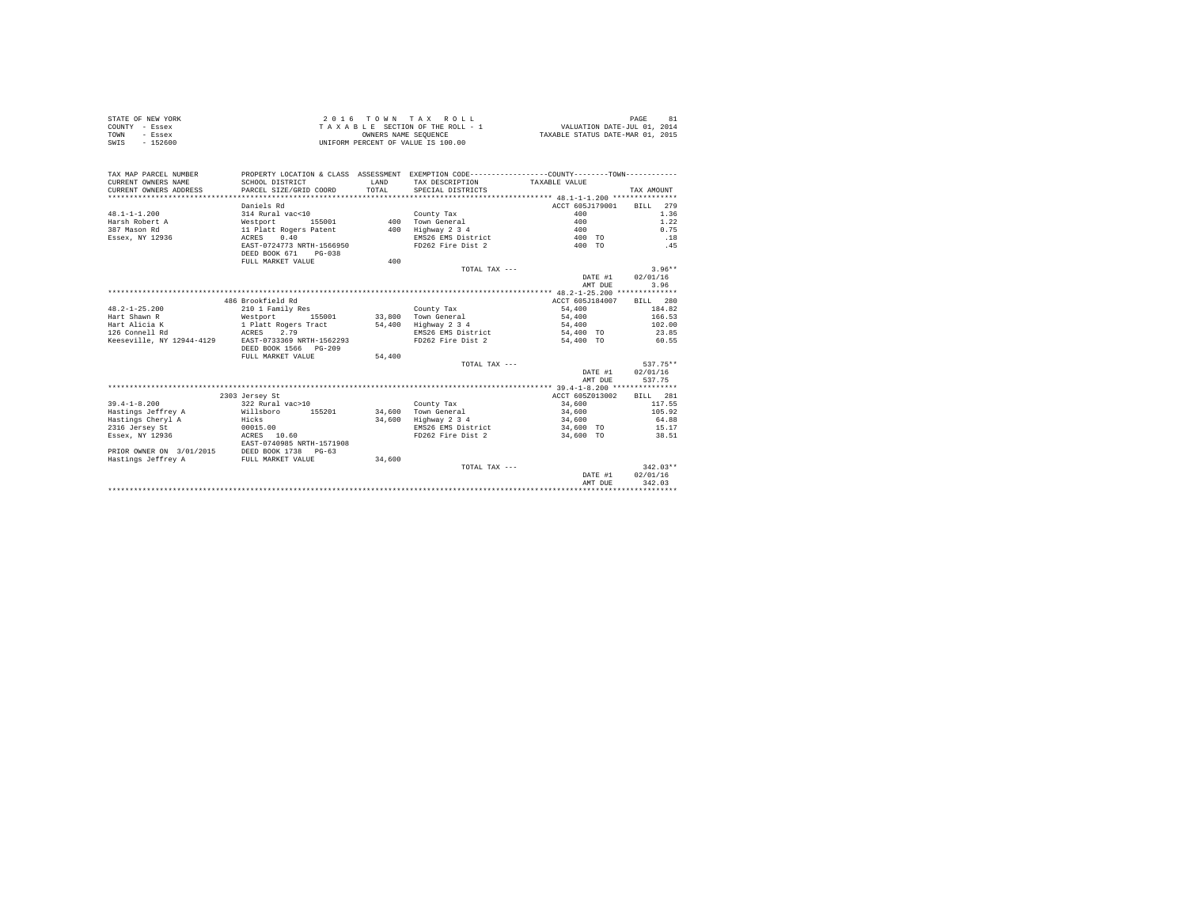| STATE OF NEW YORK<br>COUNTY - Essex<br>- Essex<br>TOWN<br>$-152600$<br>SWIS |                                          |        | 2016 TOWN TAX ROLL<br>$\begin{array}{ccccccccc} \texttt{Z} & \texttt{U} & \texttt{I} & \texttt{U} & \texttt{W} & \texttt{W} & \texttt{W} & \texttt{W} & \texttt{W} & \texttt{W} \\ \texttt{T} & \texttt{A} & \texttt{X} & \texttt{B} & \texttt{L} & \texttt{E} & \texttt{SECITION OF THE ROLL} & -\texttt{T} & \texttt{U} & \texttt{I} & \texttt{W} & \texttt{M} & \texttt{M} & \texttt{M} & \texttt{W} & \texttt{M} & \texttt{W} & \texttt{M} & \texttt{W} & \text$<br>UNIFORM PERCENT OF VALUE IS 100.00 |                 | PAGE<br>81 |
|-----------------------------------------------------------------------------|------------------------------------------|--------|------------------------------------------------------------------------------------------------------------------------------------------------------------------------------------------------------------------------------------------------------------------------------------------------------------------------------------------------------------------------------------------------------------------------------------------------------------------------------------------------------------|-----------------|------------|
| TAX MAP PARCEL NUMBER                                                       |                                          |        | PROPERTY LOCATION & CLASS ASSESSMENT EXEMPTION CODE---------------COUNTY--------TOWN----------                                                                                                                                                                                                                                                                                                                                                                                                             |                 |            |
| CURRENT OWNERS NAME                                                         | SCHOOL DISTRICT                          | LAND   | TAX DESCRIPTION                                                                                                                                                                                                                                                                                                                                                                                                                                                                                            | TAXABLE VALUE   |            |
| CURRENT OWNERS ADDRESS                                                      | PARCEL SIZE/GRID COORD                   | TOTAL. | SPECIAL DISTRICTS                                                                                                                                                                                                                                                                                                                                                                                                                                                                                          |                 | TAX AMOUNT |
|                                                                             |                                          |        |                                                                                                                                                                                                                                                                                                                                                                                                                                                                                                            |                 |            |
|                                                                             | Daniels Rd                               |        |                                                                                                                                                                                                                                                                                                                                                                                                                                                                                                            | ACCT 605J179001 | BILL 279   |
| $48.1 - 1 - 1.200$                                                          | 314 Rural vac<10                         |        | County Tax                                                                                                                                                                                                                                                                                                                                                                                                                                                                                                 | 400             | 1.36       |
| Harsh Robert A                                                              | Westport 155001                          |        | 400 Town General                                                                                                                                                                                                                                                                                                                                                                                                                                                                                           | 400             | 1.22       |
| 387 Mason Rd                                                                | 11 Platt Rogers Patent                   |        | 400 Highway 2 3 4                                                                                                                                                                                                                                                                                                                                                                                                                                                                                          | 400             | 0.75       |
| Essex, NY 12936                                                             | 0.40<br>ACRES                            |        | EMS26 EMS District                                                                                                                                                                                                                                                                                                                                                                                                                                                                                         | 400 TO          | .18        |
|                                                                             | EAST-0724773 NRTH-1566950                |        | FD262 Fire Dist 2                                                                                                                                                                                                                                                                                                                                                                                                                                                                                          | 400 TO          | .45        |
|                                                                             | DEED BOOK 671 PG-038                     |        |                                                                                                                                                                                                                                                                                                                                                                                                                                                                                                            |                 |            |
|                                                                             | FULL MARKET VALUE                        | 400    |                                                                                                                                                                                                                                                                                                                                                                                                                                                                                                            |                 |            |
|                                                                             |                                          |        | TOTAL TAX ---                                                                                                                                                                                                                                                                                                                                                                                                                                                                                              |                 | $3.96**$   |
|                                                                             |                                          |        |                                                                                                                                                                                                                                                                                                                                                                                                                                                                                                            | DATE #1         | 02/01/16   |
|                                                                             |                                          |        |                                                                                                                                                                                                                                                                                                                                                                                                                                                                                                            | AMT DUE         | 3.96       |
|                                                                             |                                          |        |                                                                                                                                                                                                                                                                                                                                                                                                                                                                                                            |                 |            |
|                                                                             | 486 Brookfield Rd                        |        |                                                                                                                                                                                                                                                                                                                                                                                                                                                                                                            | ACCT 605J184007 | BTLL 280   |
| $48.2 - 1 - 25.200$                                                         | 210 1 Family Res                         |        | County Tax                                                                                                                                                                                                                                                                                                                                                                                                                                                                                                 | 54,400          | 184.82     |
| Hart Shawn R                                                                | Westport 155001                          |        | 33,800 Town General                                                                                                                                                                                                                                                                                                                                                                                                                                                                                        | 54,400          | 166.53     |
| Hart Alicia K                                                               | 1 Platt Rogers Tract                     |        | 54,400 Highway 2 3 4                                                                                                                                                                                                                                                                                                                                                                                                                                                                                       | 54,400          | 102.00     |
| 126 Connell Rd<br>Keeseville, NY 12944-4129 EAST-0733369 NRTH-1562293       | ACRES 2.79                               |        | EMS26 EMS District                                                                                                                                                                                                                                                                                                                                                                                                                                                                                         | 54,400 TO       | 23.85      |
|                                                                             | DEED BOOK 1566 PG-209                    |        | FD262 Fire Dist 2                                                                                                                                                                                                                                                                                                                                                                                                                                                                                          | 54,400 TO       | 60.55      |
|                                                                             | FULL MARKET VALUE                        | 54,400 |                                                                                                                                                                                                                                                                                                                                                                                                                                                                                                            |                 |            |
|                                                                             |                                          |        | TOTAL TAX $---$                                                                                                                                                                                                                                                                                                                                                                                                                                                                                            |                 | 537.75**   |
|                                                                             |                                          |        |                                                                                                                                                                                                                                                                                                                                                                                                                                                                                                            | DATE #1         | 02/01/16   |
|                                                                             |                                          |        |                                                                                                                                                                                                                                                                                                                                                                                                                                                                                                            | AMT DUE         | 537.75     |
|                                                                             |                                          |        |                                                                                                                                                                                                                                                                                                                                                                                                                                                                                                            |                 |            |
|                                                                             | 2303 Jersey St                           |        |                                                                                                                                                                                                                                                                                                                                                                                                                                                                                                            | ACCT 605Z013002 | BILL 281   |
| $39.4 - 1 - 8.200$                                                          | 322 Rural vac>10                         |        | County Tax                                                                                                                                                                                                                                                                                                                                                                                                                                                                                                 | 34,600          | 117.55     |
| Hastings Jeffrey A                                                          | Willshoro 155201                         | 34,600 | Town General                                                                                                                                                                                                                                                                                                                                                                                                                                                                                               | 34,600          | 105.92     |
| Hastings Cheryl A                                                           | Hicks                                    |        | 34,600 Highway 2 3 4                                                                                                                                                                                                                                                                                                                                                                                                                                                                                       | 34,600          | 64.88      |
| 2316 Jersey St                                                              | 00015.00                                 |        | EMS26 EMS District                                                                                                                                                                                                                                                                                                                                                                                                                                                                                         | 34,600 TO       | 15.17      |
| Essex, NY 12936                                                             | ACRES 10.60<br>EAST-0740985 NRTH-1571908 |        | FD262 Fire Dist 2                                                                                                                                                                                                                                                                                                                                                                                                                                                                                          | 34,600 TO       | 38.51      |
| PRIOR OWNER ON 3/01/2015<br>Hastings Jeffrey A FULL MARKET VALUE            |                                          |        |                                                                                                                                                                                                                                                                                                                                                                                                                                                                                                            |                 |            |
|                                                                             |                                          | 34,600 |                                                                                                                                                                                                                                                                                                                                                                                                                                                                                                            |                 |            |
|                                                                             |                                          |        | TOTAL TAX ---                                                                                                                                                                                                                                                                                                                                                                                                                                                                                              |                 | $342.03**$ |
|                                                                             |                                          |        |                                                                                                                                                                                                                                                                                                                                                                                                                                                                                                            | DATE #1         | 02/01/16   |
|                                                                             |                                          |        |                                                                                                                                                                                                                                                                                                                                                                                                                                                                                                            | AMT DUE         | 342.03     |
|                                                                             |                                          |        |                                                                                                                                                                                                                                                                                                                                                                                                                                                                                                            |                 |            |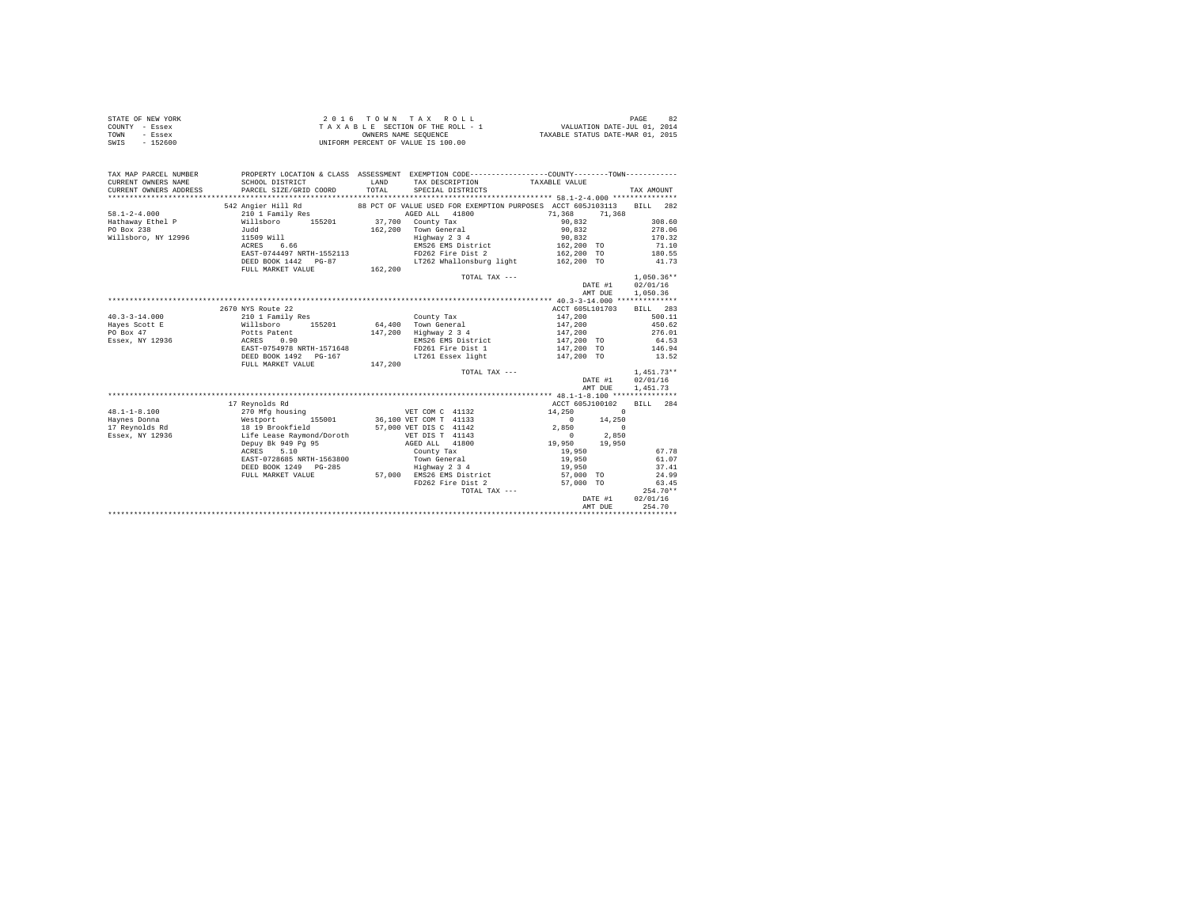| STATE OF NEW YORK<br>COUNTY - Essex<br>TOWN<br>- Essex<br>SWIS - 152600 | T A X A B L B J L J L D<br>OWNERS NAME SEQUENCE<br>UNIFORM PERCENT OF VALUE IS 100.00                                                                                                   |               | $\begin{array}{lclll} \textit{z} & \textit{u} & \textit{u} & \textit{w} & \textit{w} & \textit{w} & \textit{v} & \textit{v} \\ \textit{y} & \textit{y} & \textit{y} & \textit{y} & \textit{y} & \textit{y} & \textit{v} & \textit{v} \\ \textit{y} & \textit{y} & \textit{y} & \textit{y} & \textit{y} & \textit{y} & \textit{y} & \textit{v} & \textit{v} \\ \textit{y} & \textit{y} & \textit{y} & \textit{y} & \textit{y} & \$ |                    | PAGE<br>82   |
|-------------------------------------------------------------------------|-----------------------------------------------------------------------------------------------------------------------------------------------------------------------------------------|---------------|-----------------------------------------------------------------------------------------------------------------------------------------------------------------------------------------------------------------------------------------------------------------------------------------------------------------------------------------------------------------------------------------------------------------------------------|--------------------|--------------|
| TAX MAP PARCEL NUMBER                                                   |                                                                                                                                                                                         |               | PROPERTY LOCATION & CLASS ASSESSMENT EXEMPTION CODE---------------COUNTY-------TOWN----------                                                                                                                                                                                                                                                                                                                                     |                    |              |
| CURRENT OWNERS NAME<br>CURRENT OWNERS ADDRESS                           | SCHOOL DISTRICT<br>PARCEL SIZE/GRID COORD                                                                                                                                               | LAND<br>TOTAL | TAX DESCRIPTION TAXABLE VALUE<br>SPECIAL DISTRICTS                                                                                                                                                                                                                                                                                                                                                                                |                    | TAX AMOUNT   |
|                                                                         |                                                                                                                                                                                         |               |                                                                                                                                                                                                                                                                                                                                                                                                                                   |                    |              |
|                                                                         | 542 Angier Hill Rd                                                                                                                                                                      |               | 88 PCT OF VALUE USED FOR EXEMPTION PURPOSES ACCT 605J103113                                                                                                                                                                                                                                                                                                                                                                       |                    | BILL 282     |
| $58.1 - 2 - 4.000$                                                      | 210 1 Family Res                                                                                                                                                                        |               | AGED ALL 41800                                                                                                                                                                                                                                                                                                                                                                                                                    | 71,368<br>71,368   |              |
| Hathaway Ethel P                                                        | Willsboro 155201                                                                                                                                                                        |               | 37,700 County Tax                                                                                                                                                                                                                                                                                                                                                                                                                 | 90,832             | 308.60       |
| PO Box 238                                                              | Judd                                                                                                                                                                                    |               | 162,200 Town General                                                                                                                                                                                                                                                                                                                                                                                                              | 90.832             | 278.06       |
| Willsboro, NY 12996                                                     | 11509 Will<br>ACRES 6.66                                                                                                                                                                |               | Highway 2 3 4                                                                                                                                                                                                                                                                                                                                                                                                                     | 90.832             | 170.32       |
|                                                                         |                                                                                                                                                                                         |               | EMS26 EMS District                                                                                                                                                                                                                                                                                                                                                                                                                | 162,200 TO         | 71.10        |
|                                                                         | EAST-0744497 NRTH-1552113                                                                                                                                                               |               | FD262 Fire Dist 2                                                                                                                                                                                                                                                                                                                                                                                                                 | 162,200 TO         | 180.55       |
|                                                                         | DEED BOOK 1442 PG-87                                                                                                                                                                    |               | LT262 Whallonsburg light                                                                                                                                                                                                                                                                                                                                                                                                          | 162,200 TO         | 41.73        |
|                                                                         | FULL MARKET VALUE 162,200                                                                                                                                                               |               |                                                                                                                                                                                                                                                                                                                                                                                                                                   |                    |              |
|                                                                         |                                                                                                                                                                                         |               | TOTAL TAX ---                                                                                                                                                                                                                                                                                                                                                                                                                     |                    | $1.050.36**$ |
|                                                                         |                                                                                                                                                                                         |               |                                                                                                                                                                                                                                                                                                                                                                                                                                   | DATE #1            | 02/01/16     |
|                                                                         |                                                                                                                                                                                         |               |                                                                                                                                                                                                                                                                                                                                                                                                                                   | AMT DUE            | 1,050.36     |
|                                                                         |                                                                                                                                                                                         |               |                                                                                                                                                                                                                                                                                                                                                                                                                                   |                    |              |
|                                                                         | 2670 NYS Route 22                                                                                                                                                                       |               |                                                                                                                                                                                                                                                                                                                                                                                                                                   | ACCT 605L101703    | BILL 283     |
| $40.3 - 3 - 14.000$                                                     | 210 1 Family Res                                                                                                                                                                        |               | County Tax                                                                                                                                                                                                                                                                                                                                                                                                                        | 147,200            | 500.11       |
| Hayes Scott E                                                           | Willsboro 155201<br>Potts Patent<br>ACRES 0.90<br>DIGES 0.90 UPW 1531640                                                                                                                |               | $64,400$ Town General                                                                                                                                                                                                                                                                                                                                                                                                             | 147,200            | 450.62       |
| PO Box 47                                                               |                                                                                                                                                                                         |               | 147,200 Highway 2 3 4                                                                                                                                                                                                                                                                                                                                                                                                             | 147,200            | 276.01       |
| Essex, NY 12936                                                         |                                                                                                                                                                                         |               | EMS26 EMS District                                                                                                                                                                                                                                                                                                                                                                                                                | 147,200 TO         | 64.53        |
|                                                                         | EAST-0754978 NRTH-1571648                                                                                                                                                               |               | FD261 Fire Dist 1                                                                                                                                                                                                                                                                                                                                                                                                                 | 147,200 TO         | 146.94       |
|                                                                         | DEED BOOK 1492    PG-167                                                                                                                                                                |               | LT261 Essex light                                                                                                                                                                                                                                                                                                                                                                                                                 | 147,200 TO         | 13.52        |
|                                                                         | FULL MARKET VALUE                                                                                                                                                                       | 147,200       |                                                                                                                                                                                                                                                                                                                                                                                                                                   |                    |              |
|                                                                         |                                                                                                                                                                                         |               | TOTAL TAX ---                                                                                                                                                                                                                                                                                                                                                                                                                     |                    | $1.451.73**$ |
|                                                                         |                                                                                                                                                                                         |               |                                                                                                                                                                                                                                                                                                                                                                                                                                   | DATE #1            | 02/01/16     |
|                                                                         |                                                                                                                                                                                         |               |                                                                                                                                                                                                                                                                                                                                                                                                                                   | AMT DUE            | 1,451.73     |
|                                                                         |                                                                                                                                                                                         |               |                                                                                                                                                                                                                                                                                                                                                                                                                                   |                    |              |
|                                                                         | 17 Reynolds Rd                                                                                                                                                                          |               |                                                                                                                                                                                                                                                                                                                                                                                                                                   | ACCT 605J100102    | BILL 284     |
| $48.1 - 1 - 8.100$                                                      | % - All Microsoft Marshall (1950)<br>270 Mfg housing<br>18919 Brookfield (195001 1971 0001 1971 11132<br>1891 Brookfield (1970)<br>1982 Mife Lease Raymond/Doroth (1971 1975 1982 11143 |               |                                                                                                                                                                                                                                                                                                                                                                                                                                   | 14,250<br>$\sim$ 0 |              |
| Haynes Donna                                                            |                                                                                                                                                                                         |               |                                                                                                                                                                                                                                                                                                                                                                                                                                   | 14,250<br>$\sim$ 0 |              |
| 17 Reynolds Rd                                                          |                                                                                                                                                                                         |               |                                                                                                                                                                                                                                                                                                                                                                                                                                   | 2.850<br>$\sim$ 0  |              |
| Essex, NY 12936                                                         |                                                                                                                                                                                         |               |                                                                                                                                                                                                                                                                                                                                                                                                                                   | 2,850<br>$\sim$ 0  |              |
|                                                                         | Depuy Bk 949 Pg 95<br>ACRES 5.10                                                                                                                                                        |               | AGED ALL 41800                                                                                                                                                                                                                                                                                                                                                                                                                    | 19,950 19,950      |              |
|                                                                         | ACRES<br>5.10                                                                                                                                                                           |               | County Tax                                                                                                                                                                                                                                                                                                                                                                                                                        | 19,950             | 67.78        |
|                                                                         | EAST-0728685 NRTH-1563800                                                                                                                                                               |               | Town General<br>Highway 2 3 4                                                                                                                                                                                                                                                                                                                                                                                                     | 19,950             | 61.07        |
|                                                                         | DEED BOOK 1249 PG-285                                                                                                                                                                   |               |                                                                                                                                                                                                                                                                                                                                                                                                                                   | 19,950             | 37.41        |
|                                                                         | FULL MARKET VALUE                                                                                                                                                                       |               | 57,000 EMS26 EMS District                                                                                                                                                                                                                                                                                                                                                                                                         | 57,000 TO          | 24.99        |
|                                                                         |                                                                                                                                                                                         |               | FD262 Fire Dist 2                                                                                                                                                                                                                                                                                                                                                                                                                 | 57,000 TO          | 63.45        |
|                                                                         |                                                                                                                                                                                         |               | TOTAL TAX ---                                                                                                                                                                                                                                                                                                                                                                                                                     |                    | $254.70**$   |
|                                                                         |                                                                                                                                                                                         |               |                                                                                                                                                                                                                                                                                                                                                                                                                                   | DATE #1            | 02/01/16     |
|                                                                         |                                                                                                                                                                                         |               |                                                                                                                                                                                                                                                                                                                                                                                                                                   | AMT DUE            | 254.70       |
|                                                                         |                                                                                                                                                                                         |               |                                                                                                                                                                                                                                                                                                                                                                                                                                   |                    |              |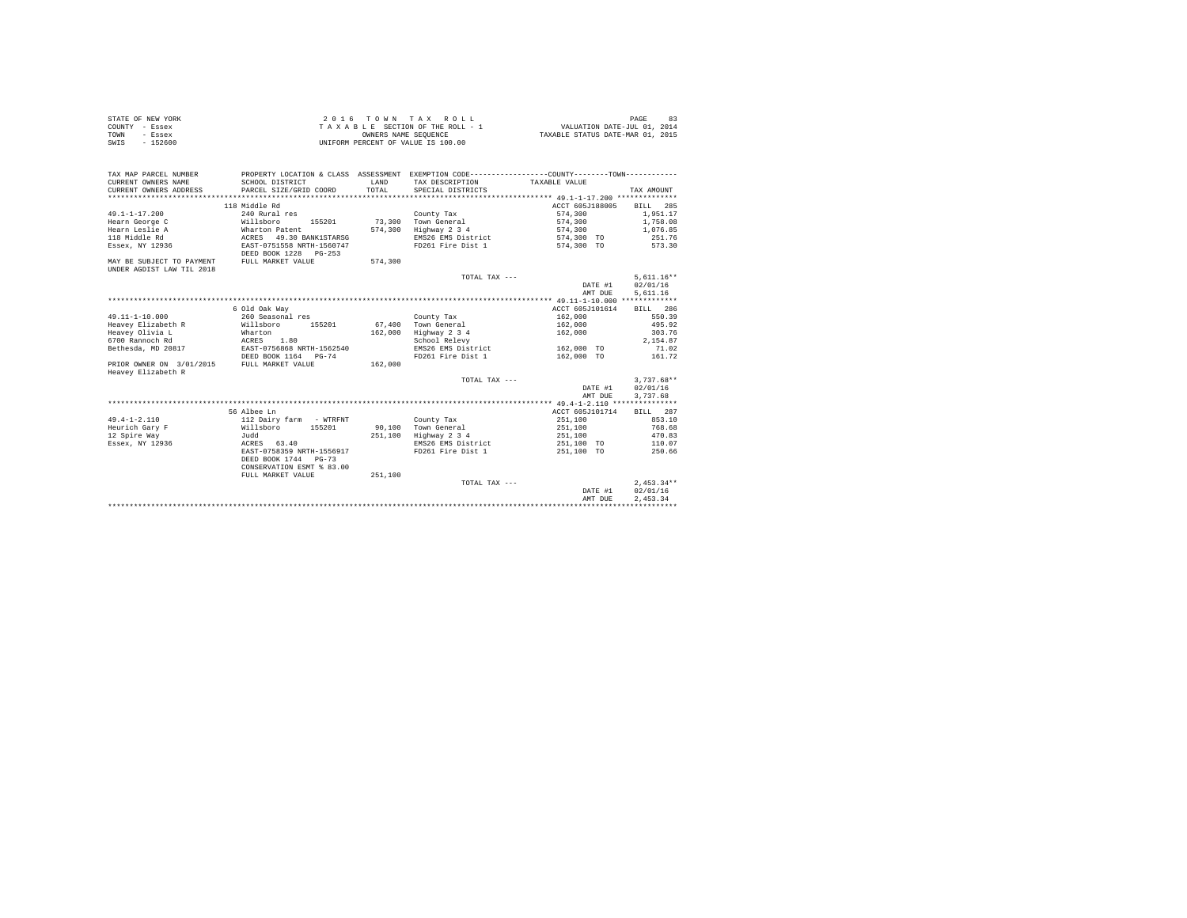| STATE OF NEW YORK | 2016 TOWN TAX ROLL                 | 83<br>PAGE                       |
|-------------------|------------------------------------|----------------------------------|
| COUNTY - Essex    | TAXABLE SECTION OF THE ROLL - 1    | VALUATION DATE-JUL 01, 2014      |
| TOWN<br>- Essex   | OWNERS NAME SEOUENCE               | TAXABLE STATUS DATE-MAR 01, 2015 |
| $-152600$<br>SWIS | UNIFORM PERCENT OF VALUE IS 100.00 |                                  |

| TAX MAP PARCEL NUMBER     |                                              |         | PROPERTY LOCATION & CLASS ASSESSMENT EXEMPTION CODE----------------COUNTY-------TOWN---------- |                          |              |
|---------------------------|----------------------------------------------|---------|------------------------------------------------------------------------------------------------|--------------------------|--------------|
| CURRENT OWNERS NAME       | SCHOOL DISTRICT                              | T.AND   | TAX DESCRIPTION                                                                                | TAXABLE VALUE            |              |
| CURRENT OWNERS ADDRESS    | PARCEL SIZE/GRID COORD                       | TOTAL   | SPECIAL DISTRICTS                                                                              |                          | TAX AMOUNT   |
|                           |                                              |         |                                                                                                |                          |              |
|                           | 118 Middle Rd                                |         |                                                                                                | ACCT 605J188005 BILL 285 |              |
| $49.1 - 1 - 17.200$       | 240 Rural res                                |         | County Tax                                                                                     | 574,300                  | 1,951.17     |
| Hearn George C            | Willsboro<br>155201                          |         | 73.300 Town General                                                                            | 574.300 1.758.08         |              |
| Hearn Leslie A            | Wharton Patent                               |         | 574,300 Highway 2 3 4                                                                          | 574.300                  | 1,076.85     |
| 118 Middle Rd             | ACRES 49.30 BANK1STARSG                      |         | EMS26 EMS District                                                                             | 574,300 TO               | 251.76       |
| Essex, NY 12936           | EAST-0751558 NRTH-1560747                    |         | FD261 Fire Dist 1                                                                              | 574,300 TO               | 573.30       |
|                           | DEED BOOK 1228 PG-253                        |         |                                                                                                |                          |              |
| MAY BE SUBJECT TO PAYMENT | FULL MARKET VALUE                            | 574,300 |                                                                                                |                          |              |
| UNDER AGDIST LAW TIL 2018 |                                              |         |                                                                                                |                          |              |
|                           |                                              |         | TOTAL TAX ---                                                                                  |                          | $5.611.16**$ |
|                           |                                              |         |                                                                                                | DATE #1                  | 02/01/16     |
|                           |                                              |         |                                                                                                | AMT DUE                  | 5,611.16     |
|                           |                                              |         |                                                                                                |                          |              |
|                           | 6 Old Oak Way                                |         |                                                                                                | ACCT 605J101614          | BILL 286     |
| $49.11 - 1 - 10.000$      | 260 Seasonal res                             |         | County Tax                                                                                     | 162,000                  | 550.39       |
| Heavev Elizabeth R        | Willsboro 155201                             |         | 67.400 Town General                                                                            | 162,000                  | 495.92       |
| Heavey Olivia L           | Wharton                                      | 162,000 | Highway 2 3 4                                                                                  | 162,000                  | 303.76       |
| 6700 Rannoch Rd           | ACRES 1.80                                   |         | School Relevy                                                                                  |                          | 2.154.87     |
|                           | Bethesda, MD 20817 EAST-0756868 NRTH-1562540 |         | EMS26 EMS District                                                                             | 162,000 TO               | 71.02        |
|                           | DEED BOOK 1164 PG-74                         |         | FD261 Fire Dist 1                                                                              | 162,000 TO               | 161.72       |
| PRIOR OWNER ON 3/01/2015  | FULL MARKET VALUE                            | 162,000 |                                                                                                |                          |              |
| Heavey Elizabeth R        |                                              |         |                                                                                                |                          |              |
|                           |                                              |         | TOTAL TAX ---                                                                                  |                          | $3.737.68**$ |
|                           |                                              |         |                                                                                                | DATE #1                  | 02/01/16     |
|                           |                                              |         |                                                                                                | AMT DUE                  | 3,737.68     |
|                           |                                              |         |                                                                                                |                          |              |
|                           | 56 Albee Ln                                  |         |                                                                                                | ACCT 605J101714          | BILL 287     |
| $49.4 - 1 - 2.110$        | 112 Dairy farm - WTRFNT                      |         | County Tax                                                                                     | 251,100                  | 853.10       |
| Heurich Garv F            | Willsboro 155201                             |         | 90.100 Town General                                                                            | 251,100                  | 768.68       |
| 12 Spire Way              | Judd                                         | 251,100 | Highway 2 3 4                                                                                  | 251,100                  | 470.83       |
| Essex, NY 12936           | ACRES 63.40                                  |         | EMS26 EMS District                                                                             | 251,100 TO               | 110.07       |
|                           | EAST-0758359 NRTH-1556917                    |         | FD261 Fire Dist 1                                                                              | 251,100 TO               | 250.66       |
|                           | DEED BOOK 1744 PG-73                         |         |                                                                                                |                          |              |
|                           | CONSERVATION ESMT % 83.00                    |         |                                                                                                |                          |              |
|                           | FULL MARKET VALUE                            | 251,100 |                                                                                                |                          |              |
|                           |                                              |         | TOTAL TAX ---                                                                                  |                          | $2.453.34**$ |
|                           |                                              |         |                                                                                                | DATE #1                  | 02/01/16     |
|                           |                                              |         |                                                                                                | AMT DUE                  | 2.453.34     |
|                           |                                              |         |                                                                                                |                          |              |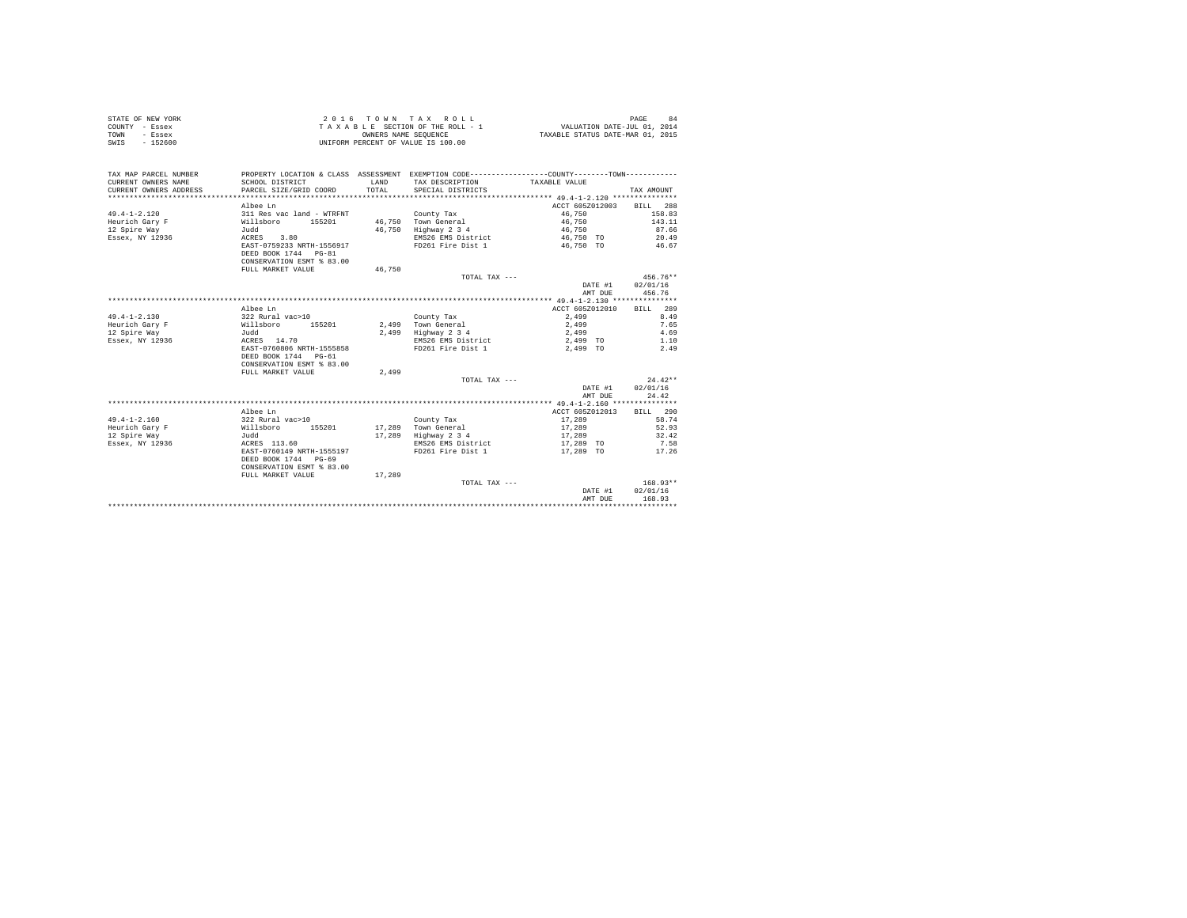| VALUATION DATE-JUL 01, 2014<br>TAXABLE STATUS DATE-MAR 01, 2015<br>OWNERS NAME SEQUENCE<br>TOWN<br>- Essex<br>$-152600$<br>UNIFORM PERCENT OF VALUE IS 100.00<br>SWIS<br>TAX MAP PARCEL NUMBER<br>PROPERTY LOCATION & CLASS ASSESSMENT EXEMPTION CODE---------------COUNTY-------TOWN----------<br>CURRENT OWNERS NAME<br>SCHOOL DISTRICT<br>LAND<br>TAX DESCRIPTION<br>TAXABLE VALUE<br>TOTAL<br>CURRENT OWNERS ADDRESS<br>PARCEL SIZE/GRID COORD<br>SPECIAL DISTRICTS<br>TAX AMOUNT<br>*************************<br>ACCT 605Z012003<br>BILL 288<br>Albee Ln<br>$49.4 - 1 - 2.120$<br>311 Res vac land - WTRFNT<br>46,750<br>158.83<br>County Tax<br>155201<br>46.750 Town General<br>46,750<br>143.11<br>Heurich Gary F<br>Willsboro<br>46,750<br>46,750<br>87.66<br>12 Spire Way<br>Judd<br>Highway 2 3 4<br>Essex, NY 12936<br>ACRES<br>3.80<br>20.49<br>EMS26 EMS District<br>46,750 TO<br>EAST-0759233 NRTH-1556917<br>FD261 Fire Dist 1<br>46,750 TO<br>46.67<br>DEED BOOK 1744 PG-81<br>CONSERVATION ESMT % 83.00<br>FULL MARKET VALUE<br>46.750<br>$456.76**$<br>TOTAL TAX ---<br>DATE #1<br>02/01/16<br>456.76<br>AMT DUE<br>ACCT 605Z012010<br>289<br>Albee Ln<br>RTT.T.<br>$49.4 - 1 - 2.130$<br>322 Rural vac>10<br>2.499<br>8.49<br>County Tax<br>Heurich Gary F<br>Willsboro<br>155201<br>2.499 Town General<br>2.499<br>7.65<br>12 Spire Way<br>2,499 Highway 2 3 4<br>2,499<br>4.69<br>Judd<br>ACRES 14.70<br>Essex, NY 12936<br>EMS26 EMS District<br>2,499 TO<br>1.10<br>EAST-0760806 NRTH-1555858<br>FD261 Fire Dist 1<br>2.49<br>2.499 TO<br>DEED BOOK 1744 PG-61<br>CONSERVATION ESMT % 83.00<br>2,499<br>FULL MARKET VALUE<br>$24.42**$<br>TOTAL TAX ---<br>02/01/16<br>DATE #1<br>AMT DUE<br>24.42<br>ACCT 605Z012013<br>BILL 290<br>Albee Ln<br>$49.4 - 1 - 2.160$<br>322 Rural vac>10<br>17,289<br>58.74<br>County Tax<br>Heurich Gary F<br>155201<br>17,289<br>17,289<br>52.93<br>Willsboro<br>Town General<br>12 Spire Way<br>17,289<br>17,289<br>32.42<br>hhuT.<br>Highway 2 3 4<br>Essex, NY 12936<br>ACRES 113.60<br>EMS26 EMS District<br>7.58<br>17,289 TO<br>EAST-0760149 NRTH-1555197<br>FD261 Fire Dist 1<br>17,289 TO<br>17.26<br>DEED BOOK 1744 PG-69<br>CONSERVATION ESMT % 83.00<br>FULL MARKET VALUE<br>17,289<br>$168.93**$<br>TOTAL TAX ---<br>DATE #1<br>02/01/16<br>168.93<br>AMT DUE | STATE OF NEW YORK | 2016                            |  | TOWN TAX ROLL |  | PAGE<br>84 |
|------------------------------------------------------------------------------------------------------------------------------------------------------------------------------------------------------------------------------------------------------------------------------------------------------------------------------------------------------------------------------------------------------------------------------------------------------------------------------------------------------------------------------------------------------------------------------------------------------------------------------------------------------------------------------------------------------------------------------------------------------------------------------------------------------------------------------------------------------------------------------------------------------------------------------------------------------------------------------------------------------------------------------------------------------------------------------------------------------------------------------------------------------------------------------------------------------------------------------------------------------------------------------------------------------------------------------------------------------------------------------------------------------------------------------------------------------------------------------------------------------------------------------------------------------------------------------------------------------------------------------------------------------------------------------------------------------------------------------------------------------------------------------------------------------------------------------------------------------------------------------------------------------------------------------------------------------------------------------------------------------------------------------------------------------------------------------------------------------------------------------------------------------------------------------------------------------------------------------------------------------------------------------------------------------------------------------------|-------------------|---------------------------------|--|---------------|--|------------|
|                                                                                                                                                                                                                                                                                                                                                                                                                                                                                                                                                                                                                                                                                                                                                                                                                                                                                                                                                                                                                                                                                                                                                                                                                                                                                                                                                                                                                                                                                                                                                                                                                                                                                                                                                                                                                                                                                                                                                                                                                                                                                                                                                                                                                                                                                                                                    | COUNTY - Essex    | TAXABLE SECTION OF THE ROLL - 1 |  |               |  |            |
|                                                                                                                                                                                                                                                                                                                                                                                                                                                                                                                                                                                                                                                                                                                                                                                                                                                                                                                                                                                                                                                                                                                                                                                                                                                                                                                                                                                                                                                                                                                                                                                                                                                                                                                                                                                                                                                                                                                                                                                                                                                                                                                                                                                                                                                                                                                                    |                   |                                 |  |               |  |            |
|                                                                                                                                                                                                                                                                                                                                                                                                                                                                                                                                                                                                                                                                                                                                                                                                                                                                                                                                                                                                                                                                                                                                                                                                                                                                                                                                                                                                                                                                                                                                                                                                                                                                                                                                                                                                                                                                                                                                                                                                                                                                                                                                                                                                                                                                                                                                    |                   |                                 |  |               |  |            |
|                                                                                                                                                                                                                                                                                                                                                                                                                                                                                                                                                                                                                                                                                                                                                                                                                                                                                                                                                                                                                                                                                                                                                                                                                                                                                                                                                                                                                                                                                                                                                                                                                                                                                                                                                                                                                                                                                                                                                                                                                                                                                                                                                                                                                                                                                                                                    |                   |                                 |  |               |  |            |
|                                                                                                                                                                                                                                                                                                                                                                                                                                                                                                                                                                                                                                                                                                                                                                                                                                                                                                                                                                                                                                                                                                                                                                                                                                                                                                                                                                                                                                                                                                                                                                                                                                                                                                                                                                                                                                                                                                                                                                                                                                                                                                                                                                                                                                                                                                                                    |                   |                                 |  |               |  |            |
|                                                                                                                                                                                                                                                                                                                                                                                                                                                                                                                                                                                                                                                                                                                                                                                                                                                                                                                                                                                                                                                                                                                                                                                                                                                                                                                                                                                                                                                                                                                                                                                                                                                                                                                                                                                                                                                                                                                                                                                                                                                                                                                                                                                                                                                                                                                                    |                   |                                 |  |               |  |            |
|                                                                                                                                                                                                                                                                                                                                                                                                                                                                                                                                                                                                                                                                                                                                                                                                                                                                                                                                                                                                                                                                                                                                                                                                                                                                                                                                                                                                                                                                                                                                                                                                                                                                                                                                                                                                                                                                                                                                                                                                                                                                                                                                                                                                                                                                                                                                    |                   |                                 |  |               |  |            |
|                                                                                                                                                                                                                                                                                                                                                                                                                                                                                                                                                                                                                                                                                                                                                                                                                                                                                                                                                                                                                                                                                                                                                                                                                                                                                                                                                                                                                                                                                                                                                                                                                                                                                                                                                                                                                                                                                                                                                                                                                                                                                                                                                                                                                                                                                                                                    |                   |                                 |  |               |  |            |
|                                                                                                                                                                                                                                                                                                                                                                                                                                                                                                                                                                                                                                                                                                                                                                                                                                                                                                                                                                                                                                                                                                                                                                                                                                                                                                                                                                                                                                                                                                                                                                                                                                                                                                                                                                                                                                                                                                                                                                                                                                                                                                                                                                                                                                                                                                                                    |                   |                                 |  |               |  |            |
|                                                                                                                                                                                                                                                                                                                                                                                                                                                                                                                                                                                                                                                                                                                                                                                                                                                                                                                                                                                                                                                                                                                                                                                                                                                                                                                                                                                                                                                                                                                                                                                                                                                                                                                                                                                                                                                                                                                                                                                                                                                                                                                                                                                                                                                                                                                                    |                   |                                 |  |               |  |            |
|                                                                                                                                                                                                                                                                                                                                                                                                                                                                                                                                                                                                                                                                                                                                                                                                                                                                                                                                                                                                                                                                                                                                                                                                                                                                                                                                                                                                                                                                                                                                                                                                                                                                                                                                                                                                                                                                                                                                                                                                                                                                                                                                                                                                                                                                                                                                    |                   |                                 |  |               |  |            |
|                                                                                                                                                                                                                                                                                                                                                                                                                                                                                                                                                                                                                                                                                                                                                                                                                                                                                                                                                                                                                                                                                                                                                                                                                                                                                                                                                                                                                                                                                                                                                                                                                                                                                                                                                                                                                                                                                                                                                                                                                                                                                                                                                                                                                                                                                                                                    |                   |                                 |  |               |  |            |
|                                                                                                                                                                                                                                                                                                                                                                                                                                                                                                                                                                                                                                                                                                                                                                                                                                                                                                                                                                                                                                                                                                                                                                                                                                                                                                                                                                                                                                                                                                                                                                                                                                                                                                                                                                                                                                                                                                                                                                                                                                                                                                                                                                                                                                                                                                                                    |                   |                                 |  |               |  |            |
|                                                                                                                                                                                                                                                                                                                                                                                                                                                                                                                                                                                                                                                                                                                                                                                                                                                                                                                                                                                                                                                                                                                                                                                                                                                                                                                                                                                                                                                                                                                                                                                                                                                                                                                                                                                                                                                                                                                                                                                                                                                                                                                                                                                                                                                                                                                                    |                   |                                 |  |               |  |            |
|                                                                                                                                                                                                                                                                                                                                                                                                                                                                                                                                                                                                                                                                                                                                                                                                                                                                                                                                                                                                                                                                                                                                                                                                                                                                                                                                                                                                                                                                                                                                                                                                                                                                                                                                                                                                                                                                                                                                                                                                                                                                                                                                                                                                                                                                                                                                    |                   |                                 |  |               |  |            |
|                                                                                                                                                                                                                                                                                                                                                                                                                                                                                                                                                                                                                                                                                                                                                                                                                                                                                                                                                                                                                                                                                                                                                                                                                                                                                                                                                                                                                                                                                                                                                                                                                                                                                                                                                                                                                                                                                                                                                                                                                                                                                                                                                                                                                                                                                                                                    |                   |                                 |  |               |  |            |
|                                                                                                                                                                                                                                                                                                                                                                                                                                                                                                                                                                                                                                                                                                                                                                                                                                                                                                                                                                                                                                                                                                                                                                                                                                                                                                                                                                                                                                                                                                                                                                                                                                                                                                                                                                                                                                                                                                                                                                                                                                                                                                                                                                                                                                                                                                                                    |                   |                                 |  |               |  |            |
|                                                                                                                                                                                                                                                                                                                                                                                                                                                                                                                                                                                                                                                                                                                                                                                                                                                                                                                                                                                                                                                                                                                                                                                                                                                                                                                                                                                                                                                                                                                                                                                                                                                                                                                                                                                                                                                                                                                                                                                                                                                                                                                                                                                                                                                                                                                                    |                   |                                 |  |               |  |            |
|                                                                                                                                                                                                                                                                                                                                                                                                                                                                                                                                                                                                                                                                                                                                                                                                                                                                                                                                                                                                                                                                                                                                                                                                                                                                                                                                                                                                                                                                                                                                                                                                                                                                                                                                                                                                                                                                                                                                                                                                                                                                                                                                                                                                                                                                                                                                    |                   |                                 |  |               |  |            |
|                                                                                                                                                                                                                                                                                                                                                                                                                                                                                                                                                                                                                                                                                                                                                                                                                                                                                                                                                                                                                                                                                                                                                                                                                                                                                                                                                                                                                                                                                                                                                                                                                                                                                                                                                                                                                                                                                                                                                                                                                                                                                                                                                                                                                                                                                                                                    |                   |                                 |  |               |  |            |
|                                                                                                                                                                                                                                                                                                                                                                                                                                                                                                                                                                                                                                                                                                                                                                                                                                                                                                                                                                                                                                                                                                                                                                                                                                                                                                                                                                                                                                                                                                                                                                                                                                                                                                                                                                                                                                                                                                                                                                                                                                                                                                                                                                                                                                                                                                                                    |                   |                                 |  |               |  |            |
|                                                                                                                                                                                                                                                                                                                                                                                                                                                                                                                                                                                                                                                                                                                                                                                                                                                                                                                                                                                                                                                                                                                                                                                                                                                                                                                                                                                                                                                                                                                                                                                                                                                                                                                                                                                                                                                                                                                                                                                                                                                                                                                                                                                                                                                                                                                                    |                   |                                 |  |               |  |            |
|                                                                                                                                                                                                                                                                                                                                                                                                                                                                                                                                                                                                                                                                                                                                                                                                                                                                                                                                                                                                                                                                                                                                                                                                                                                                                                                                                                                                                                                                                                                                                                                                                                                                                                                                                                                                                                                                                                                                                                                                                                                                                                                                                                                                                                                                                                                                    |                   |                                 |  |               |  |            |
|                                                                                                                                                                                                                                                                                                                                                                                                                                                                                                                                                                                                                                                                                                                                                                                                                                                                                                                                                                                                                                                                                                                                                                                                                                                                                                                                                                                                                                                                                                                                                                                                                                                                                                                                                                                                                                                                                                                                                                                                                                                                                                                                                                                                                                                                                                                                    |                   |                                 |  |               |  |            |
|                                                                                                                                                                                                                                                                                                                                                                                                                                                                                                                                                                                                                                                                                                                                                                                                                                                                                                                                                                                                                                                                                                                                                                                                                                                                                                                                                                                                                                                                                                                                                                                                                                                                                                                                                                                                                                                                                                                                                                                                                                                                                                                                                                                                                                                                                                                                    |                   |                                 |  |               |  |            |
|                                                                                                                                                                                                                                                                                                                                                                                                                                                                                                                                                                                                                                                                                                                                                                                                                                                                                                                                                                                                                                                                                                                                                                                                                                                                                                                                                                                                                                                                                                                                                                                                                                                                                                                                                                                                                                                                                                                                                                                                                                                                                                                                                                                                                                                                                                                                    |                   |                                 |  |               |  |            |
|                                                                                                                                                                                                                                                                                                                                                                                                                                                                                                                                                                                                                                                                                                                                                                                                                                                                                                                                                                                                                                                                                                                                                                                                                                                                                                                                                                                                                                                                                                                                                                                                                                                                                                                                                                                                                                                                                                                                                                                                                                                                                                                                                                                                                                                                                                                                    |                   |                                 |  |               |  |            |
|                                                                                                                                                                                                                                                                                                                                                                                                                                                                                                                                                                                                                                                                                                                                                                                                                                                                                                                                                                                                                                                                                                                                                                                                                                                                                                                                                                                                                                                                                                                                                                                                                                                                                                                                                                                                                                                                                                                                                                                                                                                                                                                                                                                                                                                                                                                                    |                   |                                 |  |               |  |            |
|                                                                                                                                                                                                                                                                                                                                                                                                                                                                                                                                                                                                                                                                                                                                                                                                                                                                                                                                                                                                                                                                                                                                                                                                                                                                                                                                                                                                                                                                                                                                                                                                                                                                                                                                                                                                                                                                                                                                                                                                                                                                                                                                                                                                                                                                                                                                    |                   |                                 |  |               |  |            |
|                                                                                                                                                                                                                                                                                                                                                                                                                                                                                                                                                                                                                                                                                                                                                                                                                                                                                                                                                                                                                                                                                                                                                                                                                                                                                                                                                                                                                                                                                                                                                                                                                                                                                                                                                                                                                                                                                                                                                                                                                                                                                                                                                                                                                                                                                                                                    |                   |                                 |  |               |  |            |
|                                                                                                                                                                                                                                                                                                                                                                                                                                                                                                                                                                                                                                                                                                                                                                                                                                                                                                                                                                                                                                                                                                                                                                                                                                                                                                                                                                                                                                                                                                                                                                                                                                                                                                                                                                                                                                                                                                                                                                                                                                                                                                                                                                                                                                                                                                                                    |                   |                                 |  |               |  |            |
|                                                                                                                                                                                                                                                                                                                                                                                                                                                                                                                                                                                                                                                                                                                                                                                                                                                                                                                                                                                                                                                                                                                                                                                                                                                                                                                                                                                                                                                                                                                                                                                                                                                                                                                                                                                                                                                                                                                                                                                                                                                                                                                                                                                                                                                                                                                                    |                   |                                 |  |               |  |            |
|                                                                                                                                                                                                                                                                                                                                                                                                                                                                                                                                                                                                                                                                                                                                                                                                                                                                                                                                                                                                                                                                                                                                                                                                                                                                                                                                                                                                                                                                                                                                                                                                                                                                                                                                                                                                                                                                                                                                                                                                                                                                                                                                                                                                                                                                                                                                    |                   |                                 |  |               |  |            |
|                                                                                                                                                                                                                                                                                                                                                                                                                                                                                                                                                                                                                                                                                                                                                                                                                                                                                                                                                                                                                                                                                                                                                                                                                                                                                                                                                                                                                                                                                                                                                                                                                                                                                                                                                                                                                                                                                                                                                                                                                                                                                                                                                                                                                                                                                                                                    |                   |                                 |  |               |  |            |
|                                                                                                                                                                                                                                                                                                                                                                                                                                                                                                                                                                                                                                                                                                                                                                                                                                                                                                                                                                                                                                                                                                                                                                                                                                                                                                                                                                                                                                                                                                                                                                                                                                                                                                                                                                                                                                                                                                                                                                                                                                                                                                                                                                                                                                                                                                                                    |                   |                                 |  |               |  |            |
|                                                                                                                                                                                                                                                                                                                                                                                                                                                                                                                                                                                                                                                                                                                                                                                                                                                                                                                                                                                                                                                                                                                                                                                                                                                                                                                                                                                                                                                                                                                                                                                                                                                                                                                                                                                                                                                                                                                                                                                                                                                                                                                                                                                                                                                                                                                                    |                   |                                 |  |               |  |            |
|                                                                                                                                                                                                                                                                                                                                                                                                                                                                                                                                                                                                                                                                                                                                                                                                                                                                                                                                                                                                                                                                                                                                                                                                                                                                                                                                                                                                                                                                                                                                                                                                                                                                                                                                                                                                                                                                                                                                                                                                                                                                                                                                                                                                                                                                                                                                    |                   |                                 |  |               |  |            |
|                                                                                                                                                                                                                                                                                                                                                                                                                                                                                                                                                                                                                                                                                                                                                                                                                                                                                                                                                                                                                                                                                                                                                                                                                                                                                                                                                                                                                                                                                                                                                                                                                                                                                                                                                                                                                                                                                                                                                                                                                                                                                                                                                                                                                                                                                                                                    |                   |                                 |  |               |  |            |
|                                                                                                                                                                                                                                                                                                                                                                                                                                                                                                                                                                                                                                                                                                                                                                                                                                                                                                                                                                                                                                                                                                                                                                                                                                                                                                                                                                                                                                                                                                                                                                                                                                                                                                                                                                                                                                                                                                                                                                                                                                                                                                                                                                                                                                                                                                                                    |                   |                                 |  |               |  |            |
|                                                                                                                                                                                                                                                                                                                                                                                                                                                                                                                                                                                                                                                                                                                                                                                                                                                                                                                                                                                                                                                                                                                                                                                                                                                                                                                                                                                                                                                                                                                                                                                                                                                                                                                                                                                                                                                                                                                                                                                                                                                                                                                                                                                                                                                                                                                                    |                   |                                 |  |               |  |            |
|                                                                                                                                                                                                                                                                                                                                                                                                                                                                                                                                                                                                                                                                                                                                                                                                                                                                                                                                                                                                                                                                                                                                                                                                                                                                                                                                                                                                                                                                                                                                                                                                                                                                                                                                                                                                                                                                                                                                                                                                                                                                                                                                                                                                                                                                                                                                    |                   |                                 |  |               |  |            |
|                                                                                                                                                                                                                                                                                                                                                                                                                                                                                                                                                                                                                                                                                                                                                                                                                                                                                                                                                                                                                                                                                                                                                                                                                                                                                                                                                                                                                                                                                                                                                                                                                                                                                                                                                                                                                                                                                                                                                                                                                                                                                                                                                                                                                                                                                                                                    |                   |                                 |  |               |  |            |
|                                                                                                                                                                                                                                                                                                                                                                                                                                                                                                                                                                                                                                                                                                                                                                                                                                                                                                                                                                                                                                                                                                                                                                                                                                                                                                                                                                                                                                                                                                                                                                                                                                                                                                                                                                                                                                                                                                                                                                                                                                                                                                                                                                                                                                                                                                                                    |                   |                                 |  |               |  |            |
|                                                                                                                                                                                                                                                                                                                                                                                                                                                                                                                                                                                                                                                                                                                                                                                                                                                                                                                                                                                                                                                                                                                                                                                                                                                                                                                                                                                                                                                                                                                                                                                                                                                                                                                                                                                                                                                                                                                                                                                                                                                                                                                                                                                                                                                                                                                                    |                   |                                 |  |               |  |            |
|                                                                                                                                                                                                                                                                                                                                                                                                                                                                                                                                                                                                                                                                                                                                                                                                                                                                                                                                                                                                                                                                                                                                                                                                                                                                                                                                                                                                                                                                                                                                                                                                                                                                                                                                                                                                                                                                                                                                                                                                                                                                                                                                                                                                                                                                                                                                    |                   |                                 |  |               |  |            |
|                                                                                                                                                                                                                                                                                                                                                                                                                                                                                                                                                                                                                                                                                                                                                                                                                                                                                                                                                                                                                                                                                                                                                                                                                                                                                                                                                                                                                                                                                                                                                                                                                                                                                                                                                                                                                                                                                                                                                                                                                                                                                                                                                                                                                                                                                                                                    |                   |                                 |  |               |  |            |
|                                                                                                                                                                                                                                                                                                                                                                                                                                                                                                                                                                                                                                                                                                                                                                                                                                                                                                                                                                                                                                                                                                                                                                                                                                                                                                                                                                                                                                                                                                                                                                                                                                                                                                                                                                                                                                                                                                                                                                                                                                                                                                                                                                                                                                                                                                                                    |                   |                                 |  |               |  |            |
|                                                                                                                                                                                                                                                                                                                                                                                                                                                                                                                                                                                                                                                                                                                                                                                                                                                                                                                                                                                                                                                                                                                                                                                                                                                                                                                                                                                                                                                                                                                                                                                                                                                                                                                                                                                                                                                                                                                                                                                                                                                                                                                                                                                                                                                                                                                                    |                   |                                 |  |               |  |            |
|                                                                                                                                                                                                                                                                                                                                                                                                                                                                                                                                                                                                                                                                                                                                                                                                                                                                                                                                                                                                                                                                                                                                                                                                                                                                                                                                                                                                                                                                                                                                                                                                                                                                                                                                                                                                                                                                                                                                                                                                                                                                                                                                                                                                                                                                                                                                    |                   |                                 |  |               |  |            |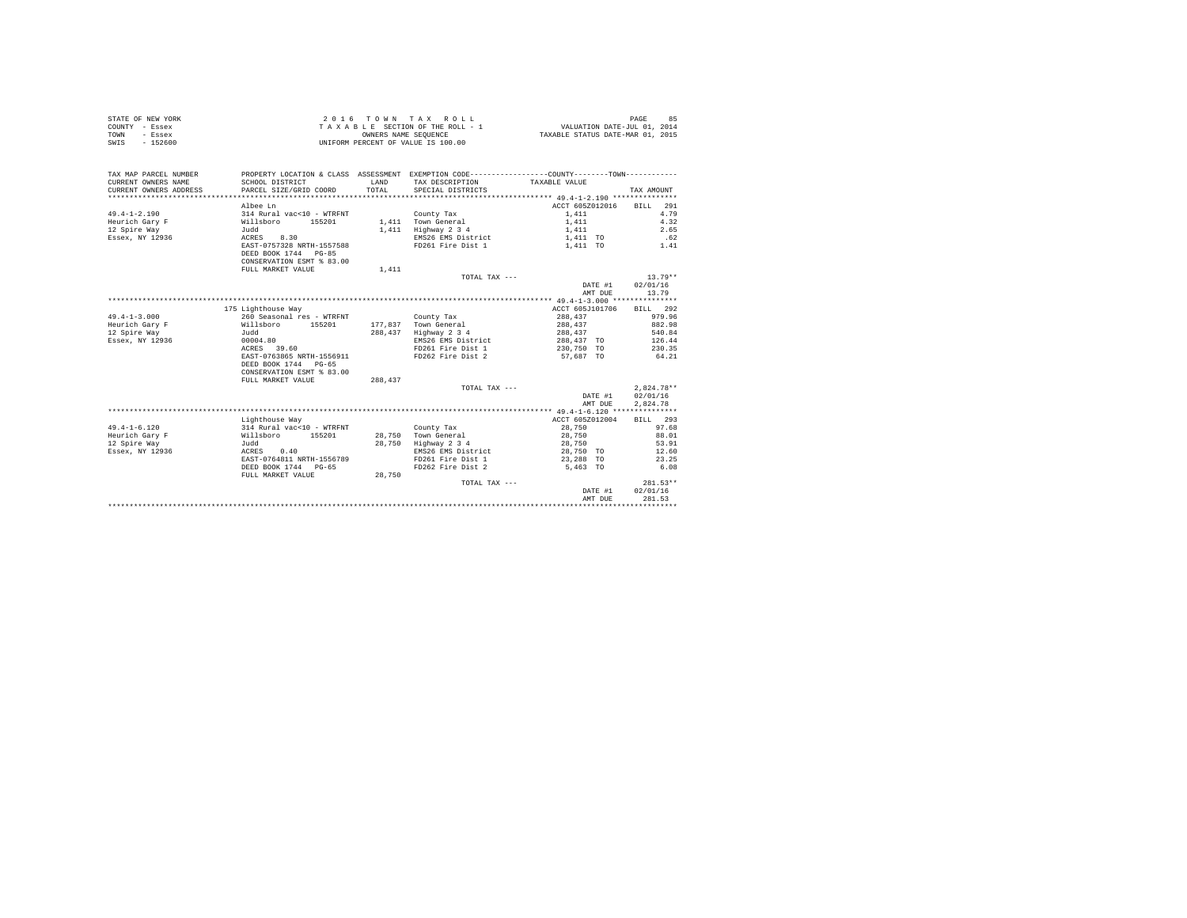| STATE OF NEW YORK<br>COUNTY - Essex<br>- Essex<br>TOWN<br>$-152600$<br>SWIS | UNIFORM PERCENT OF VALUE IS 100.00                |              | 2016 TOWN TAX ROLL<br>T A X A B L E SECTION OF THE ROLL - 1<br>OWNERS NAME SEQUENCE          | VALUATION DATE-JUL 01, 2014<br>TAXABLE STATUS DATE-MAR 01, 2015 | 85<br>PAGE   |
|-----------------------------------------------------------------------------|---------------------------------------------------|--------------|----------------------------------------------------------------------------------------------|-----------------------------------------------------------------|--------------|
| TAX MAP PARCEL NUMBER                                                       |                                                   |              | PROPERTY LOCATION & CLASS ASSESSMENT EXEMPTION CODE---------------COUNTY-------TOWN--------- |                                                                 |              |
| CURRENT OWNERS NAME                                                         | SCHOOL DISTRICT                                   | <b>T.AND</b> | TAX DESCRIPTION TAXABLE VALUE                                                                |                                                                 |              |
| CURRENT OWNERS ADDRESS                                                      | PARCEL SIZE/GRID COORD                            | TOTAL        | SPECIAL DISTRICTS                                                                            |                                                                 | TAX AMOUNT   |
|                                                                             |                                                   |              |                                                                                              |                                                                 |              |
|                                                                             | Albee Ln                                          |              |                                                                                              | ACCT 605Z012016                                                 | BILL 291     |
| $49.4 - 1 - 2.190$                                                          | 314 Rural vac<10 - WTRFNT                         |              | County Tax                                                                                   | 1,411                                                           | 4.79         |
| Heurich Garv F                                                              | Willsboro 155201                                  |              | 1,411 Town General                                                                           | 1,411                                                           | 4.32         |
| 12 Spire Way                                                                | Judd                                              | 1,411        | Highway 2 3 4                                                                                | 1,411                                                           | 2.65         |
| Essex, NY 12936                                                             | ACRES 8.30                                        |              | EMS26 EMS District                                                                           | 1,411 TO                                                        | .62          |
|                                                                             | EAST-0757328 NRTH-1557588                         |              | FD261 Fire Dist 1                                                                            | 1,411 TO                                                        | 1.41         |
|                                                                             | DEED BOOK 1744 PG-85                              |              |                                                                                              |                                                                 |              |
|                                                                             | CONSERVATION ESMT % 83.00                         |              |                                                                                              |                                                                 |              |
|                                                                             | FULL MARKET VALUE                                 | 1,411        |                                                                                              |                                                                 |              |
|                                                                             |                                                   |              | TOTAL TAX ---                                                                                |                                                                 | $13.79**$    |
|                                                                             |                                                   |              |                                                                                              | DATE #1                                                         | 02/01/16     |
|                                                                             |                                                   |              |                                                                                              | AMT DUE                                                         | 13.79        |
|                                                                             |                                                   |              |                                                                                              |                                                                 |              |
|                                                                             | 175 Lighthouse Way                                |              |                                                                                              | ACCT 605J101706                                                 | BILL 292     |
| $49.4 - 1 - 3.000$                                                          | 260 Seasonal res - WTRFNT                         |              | County Tax                                                                                   | 288,437                                                         | 979.96       |
| Heurich Gary F                                                              | Willsboro 155201                                  |              | 177.837 Town General                                                                         | 288,437                                                         | 882.98       |
| 12 Spire Way                                                                | Judd                                              | 288,437      | $Highway$ 2 3 4                                                                              | 288,437                                                         | 540.84       |
| Essex, NY 12936                                                             | 00004.80                                          |              | EMS26 EMS District                                                                           | 288,437 TO                                                      | 126.44       |
|                                                                             | ACRES 39.60                                       |              | FD261 Fire Dist 1                                                                            | 230.750 TO                                                      | 230.35       |
|                                                                             | EAST-0763865 NRTH-1556911<br>DEED BOOK 1744 PG-65 |              | FD262 Fire Dist 2                                                                            | 57.687 TO                                                       | 64.21        |
|                                                                             | CONSERVATION ESMT % 83.00                         |              |                                                                                              |                                                                 |              |
|                                                                             | FULL MARKET VALUE                                 | 288.437      |                                                                                              |                                                                 |              |
|                                                                             |                                                   |              | TOTAL TAX ---                                                                                |                                                                 | $2,824.78**$ |
|                                                                             |                                                   |              |                                                                                              | DATE #1                                                         | 02/01/16     |
|                                                                             |                                                   |              |                                                                                              | AMT DUE                                                         | 2.824.78     |
|                                                                             |                                                   |              |                                                                                              |                                                                 |              |
|                                                                             | Lighthouse Way                                    |              |                                                                                              | ACCT 605Z012004                                                 | RTT.T. 293   |
| $49.4 - 1 - 6.120$                                                          | 314 Rural vac<10 - WTRFNT                         |              | County Tax                                                                                   | 28,750                                                          | 97.68        |
| Heurich Gary F                                                              | Willsboro 155201                                  |              | 28,750 Town General                                                                          | 28,750                                                          | 88.01        |
| 12 Spire Way                                                                | Judd                                              | 28,750       | Highway 2 3 4                                                                                | 28,750                                                          | 53.91        |
| Essex, NY 12936                                                             | ACRES 0.40                                        |              | EMS26 EMS District                                                                           | 28,750 TO                                                       | 12.60        |
|                                                                             | EAST-0764811 NRTH-1556789                         |              | FD261 Fire Dist 1                                                                            | 23,288 TO                                                       | 23.25        |
|                                                                             | DEED BOOK 1744 PG-65                              |              | FD262 Fire Dist 2                                                                            | 5,463 TO                                                        | 6.08         |
|                                                                             | FULL MARKET VALUE                                 | 28,750       |                                                                                              |                                                                 |              |
|                                                                             |                                                   |              | TOTAL TAX ---                                                                                |                                                                 | $281.53**$   |
|                                                                             |                                                   |              |                                                                                              | DATE #1                                                         | 02/01/16     |
|                                                                             |                                                   |              |                                                                                              | AMT DUE                                                         | 281.53       |
|                                                                             |                                                   |              |                                                                                              | *******************************                                 |              |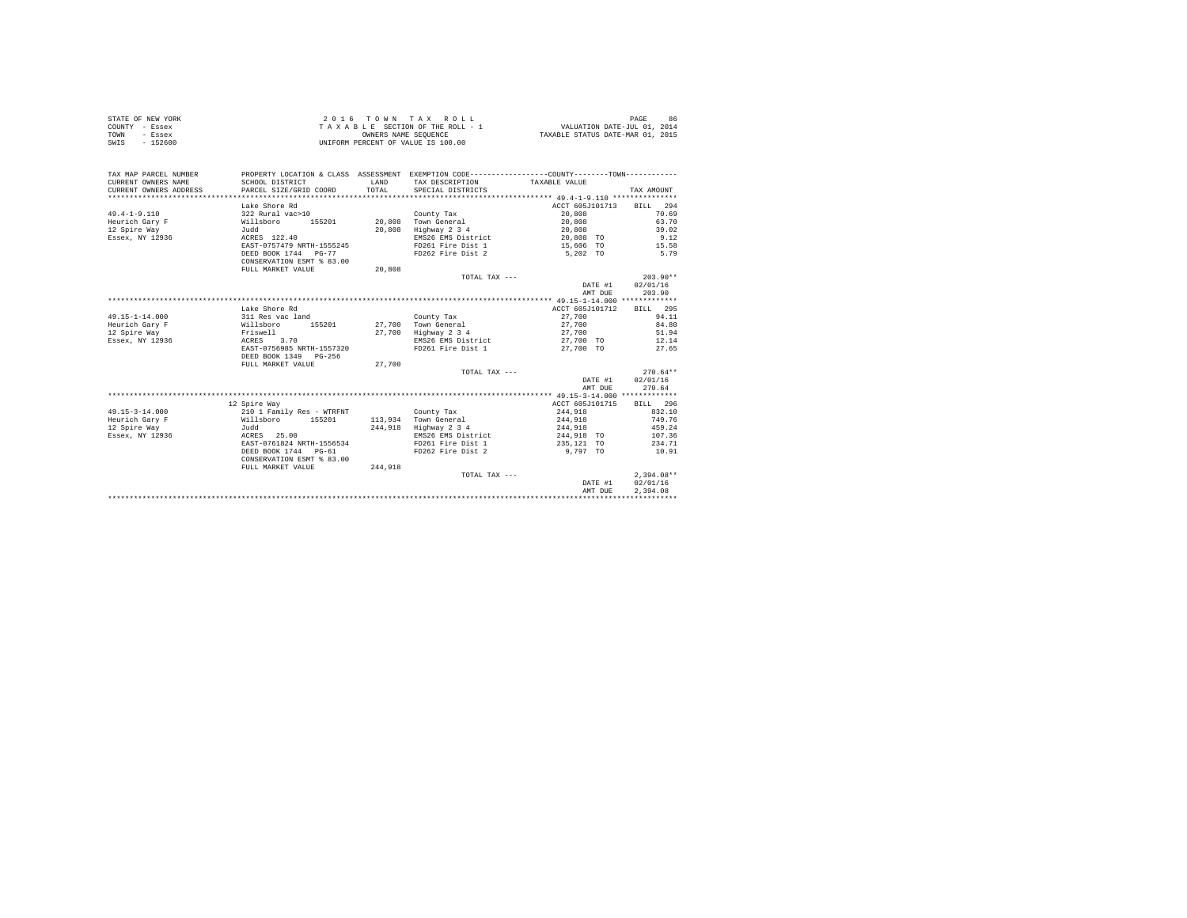|      | STATE OF NEW YORK | 2016 TOWN TAX ROLL                 | 86<br>PAGE                       |
|------|-------------------|------------------------------------|----------------------------------|
|      | COUNTY - Essex    | TAXABLE SECTION OF THE ROLL - 1    | VALUATION DATE-JUL 01, 2014      |
| TOWN | - Essex           | OWNERS NAME SEOUENCE               | TAXABLE STATUS DATE-MAR 01, 2015 |
| SWIS | - 152600          | UNIFORM PERCENT OF VALUE IS 100.00 |                                  |

| TAX MAP PARCEL NUMBER<br>CURRENT OWNERS NAME<br>CURRENT OWNERS ADDRESS | SCHOOL DISTRICT<br>PARCEL SIZE/GRID COORD | <b>T.AND</b><br>TOTAL | PROPERTY LOCATION & CLASS ASSESSMENT EXEMPTION CODE----------------COUNTY--------TOWN----------<br>TAX DESCRIPTION TAXABLE VALUE<br>SPECIAL DISTRICTS |                 | TAX AMOUNT       |
|------------------------------------------------------------------------|-------------------------------------------|-----------------------|-------------------------------------------------------------------------------------------------------------------------------------------------------|-----------------|------------------|
|                                                                        | Lake Shore Rd                             |                       |                                                                                                                                                       | ACCT 605J101713 | BILL 294         |
| $49.4 - 1 - 9.110$                                                     | 322 Rural vac>10                          |                       | County Tax                                                                                                                                            | 20,808          | 70.69            |
| Heurich Gary F                                                         | Willsboro<br>155201                       |                       | 20,808 Town General                                                                                                                                   | 20,808          | 63.70            |
| 12 Spire Way                                                           | Judd                                      | 20,808                | Highway 2 3 4                                                                                                                                         | 20,808          | 39.02            |
| Essex, NY 12936                                                        | ACRES 122.40                              |                       | EMS26 EMS District                                                                                                                                    | 20,808 TO       | 9.12             |
|                                                                        | EAST-0757479 NRTH-1555245                 |                       | FD261 Fire Dist 1                                                                                                                                     | 15,606 TO       | 15.58            |
|                                                                        | DEED BOOK 1744 PG-77                      |                       | FD262 Fire Dist 2                                                                                                                                     | 5.202 TO        | 5.79             |
|                                                                        | CONSERVATION ESMT % 83.00                 |                       |                                                                                                                                                       |                 |                  |
|                                                                        | FULL MARKET VALUE                         | 20,808                |                                                                                                                                                       |                 |                  |
|                                                                        |                                           |                       | TOTAL TAX ---                                                                                                                                         |                 | $203.90**$       |
|                                                                        |                                           |                       |                                                                                                                                                       | DATE #1         | 02/01/16         |
|                                                                        |                                           |                       |                                                                                                                                                       | AMT DUE         | 203.90           |
|                                                                        |                                           |                       |                                                                                                                                                       |                 |                  |
|                                                                        | Lake Shore Rd                             |                       |                                                                                                                                                       | ACCT 605J101712 | BILL 295         |
| $49.15 - 1 - 14.000$                                                   | 311 Res vac land                          |                       | County Tax                                                                                                                                            | 27,700          | 94.11            |
| Heurich Gary F                                                         | Willsboro<br>155201                       |                       | 27,700 Town General                                                                                                                                   | 27,700          | 84.80            |
| 12 Spire Way                                                           | Friswell                                  |                       | 27.700 Highway 2 3 4                                                                                                                                  | 27,700          | 51.94            |
| Essex, NY 12936                                                        | ACRES 3.70                                |                       | EMS26 EMS District                                                                                                                                    | 27,700 TO       | 12.14            |
|                                                                        | EAST-0756985 NRTH-1557320                 |                       | FD261 Fire Dist 1                                                                                                                                     | 27,700 TO       | 27.65            |
|                                                                        | DEED BOOK 1349 PG-256                     |                       |                                                                                                                                                       |                 |                  |
|                                                                        | FULL MARKET VALUE                         | 27,700                |                                                                                                                                                       |                 |                  |
|                                                                        |                                           |                       | TOTAL TAX ---                                                                                                                                         |                 | $270.64**$       |
|                                                                        |                                           |                       |                                                                                                                                                       |                 | DATE #1 02/01/16 |
|                                                                        |                                           |                       |                                                                                                                                                       | AMT DUE         | 270.64           |
|                                                                        |                                           |                       |                                                                                                                                                       |                 |                  |
|                                                                        | 12 Spire Way                              |                       |                                                                                                                                                       | ACCT 605J101715 | BILL 296         |
| $49.15 - 3 - 14.000$                                                   | 210 1 Family Res - WTRFNT                 |                       | County Tax                                                                                                                                            | 244,918         | 832.10           |
| Heurich Gary F                                                         | Willsboro 155201                          |                       | 113,934 Town General                                                                                                                                  | 244,918         | 749.76           |
| 12 Spire Way                                                           | Judd                                      |                       | 244,918 Highway 2 3 4                                                                                                                                 | 244,918         | 459.24           |
| Essex, NY 12936                                                        | ACRES 25.00                               |                       | EMS26 EMS District                                                                                                                                    | 244,918 TO      | 107.36           |
|                                                                        | EAST-0761824 NRTH-1556534                 |                       | FD261 Fire Dist 1                                                                                                                                     | 235,121 TO      | 234.71           |
|                                                                        | DEED BOOK 1744 PG-61                      |                       | FD262 Fire Dist 2                                                                                                                                     | 9,797 TO        | 10.91            |
|                                                                        | CONSERVATION ESMT % 83.00                 |                       |                                                                                                                                                       |                 |                  |
|                                                                        | FULL MARKET VALUE                         | 244,918               |                                                                                                                                                       |                 |                  |
|                                                                        |                                           |                       | TOTAL TAX ---                                                                                                                                         |                 | $2.394.08**$     |
|                                                                        |                                           |                       |                                                                                                                                                       | DATE #1         | 02/01/16         |
|                                                                        |                                           |                       |                                                                                                                                                       | AMT DUE         | 2.394.08         |
|                                                                        |                                           |                       |                                                                                                                                                       |                 |                  |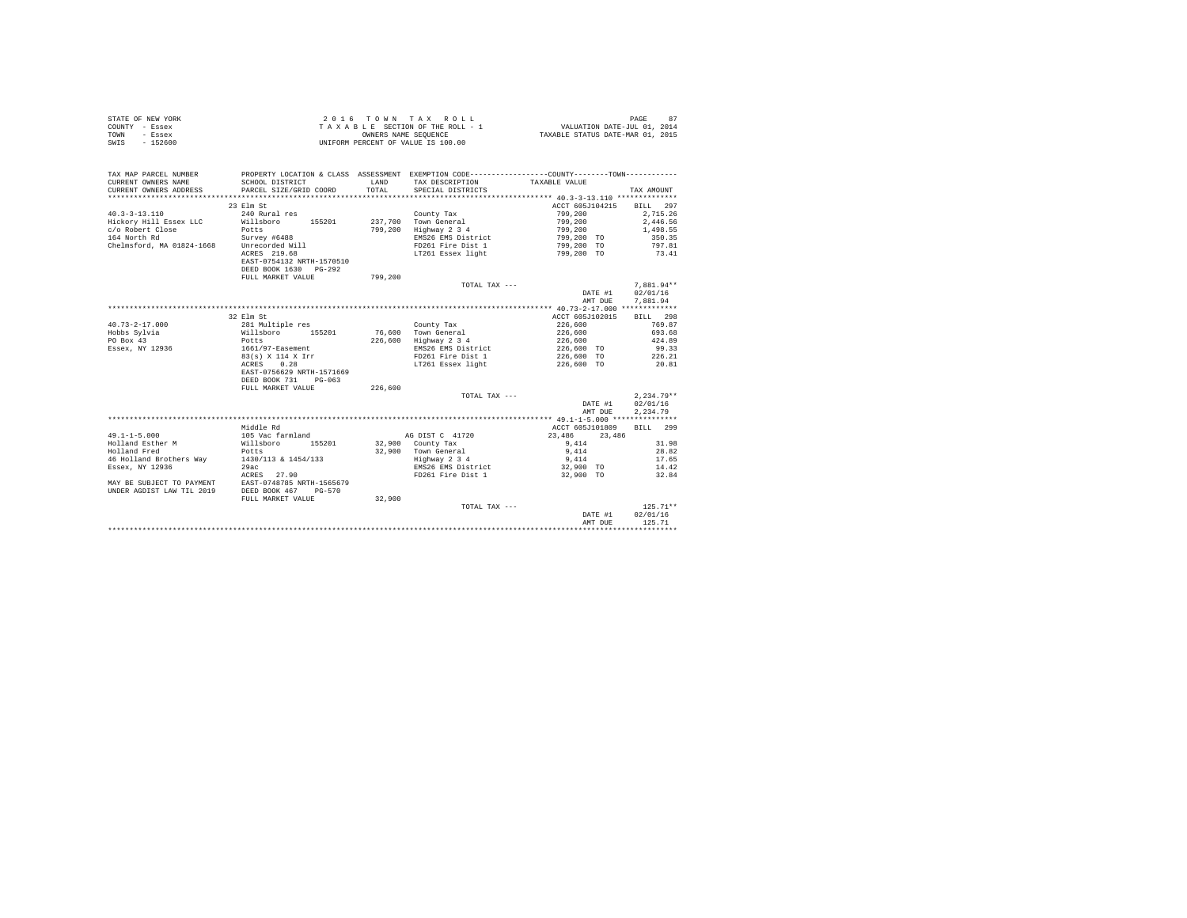|                | STATE OF NEW YORK | 2016 TOWN TAX ROLL                 | 87<br>PAGE                       |
|----------------|-------------------|------------------------------------|----------------------------------|
| COUNTY - Essex |                   | TAXABLE SECTION OF THE ROLL - 1    | VALUATION DATE-JUL 01, 2014      |
| TOWN           | - Essex           | OWNERS NAME SEOUENCE               | TAXABLE STATUS DATE-MAR 01, 2015 |
| SWIS           | $-152600$         | UNIFORM PERCENT OF VALUE IS 100.00 |                                  |

| TAX MAP PARCEL NUMBER<br>CURRENT OWNERS NAME<br>CURRENT OWNERS ADDRESS | SCHOOL DISTRICT<br>PARCEL SIZE/GRID COORD | <b>T.AND</b><br>TOTAL | PROPERTY LOCATION & CLASS ASSESSMENT EXEMPTION CODE---------------COUNTY-------TOWN---------<br>TAX DESCRIPTION<br>SPECIAL DISTRICTS | TAXABLE VALUE    | TAX AMOUNT   |
|------------------------------------------------------------------------|-------------------------------------------|-----------------------|--------------------------------------------------------------------------------------------------------------------------------------|------------------|--------------|
|                                                                        |                                           |                       |                                                                                                                                      |                  |              |
|                                                                        | 23 Elm St                                 |                       |                                                                                                                                      | ACCT 605J104215  | BILL 297     |
| $40.3 - 3 - 13.110$                                                    | 240 Rural res                             |                       | County Tax                                                                                                                           | 799,200          | 2.715.26     |
| Hickory Hill Essex LLC                                                 | Willsboro<br>155201                       | 237,700               | Town General                                                                                                                         | 799,200          | 2,446.56     |
| c/o Robert Close                                                       | Potts                                     | 799,200               | Highway 2 3 4                                                                                                                        | 799.200          | 1,498.55     |
| 164 North Rd                                                           | Survey #6488                              |                       | EMS26 EMS District                                                                                                                   | 799,200 TO       | 350.35       |
| Chelmsford, MA 01824-1668                                              | Unrecorded Will                           |                       | FD261 Fire Dist 1                                                                                                                    | 799,200 TO       | 797.81       |
|                                                                        | ACRES 219.68                              |                       | LT261 Essex light                                                                                                                    | 799,200 TO       | 73.41        |
|                                                                        | EAST-0754132 NRTH-1570510                 |                       |                                                                                                                                      |                  |              |
|                                                                        | DEED BOOK 1630 PG-292                     |                       |                                                                                                                                      |                  |              |
|                                                                        | FULL MARKET VALUE                         | 799,200               |                                                                                                                                      |                  |              |
|                                                                        |                                           |                       | TOTAL TAX ---                                                                                                                        |                  | $7.881.94**$ |
|                                                                        |                                           |                       |                                                                                                                                      | DATE #1          | 02/01/16     |
|                                                                        |                                           |                       |                                                                                                                                      | AMT DUE          | 7,881.94     |
|                                                                        |                                           |                       |                                                                                                                                      |                  |              |
|                                                                        | 32 Elm St                                 |                       |                                                                                                                                      | ACCT 605J102015  | BILL 298     |
| $40.73 - 2 - 17.000$                                                   | 281 Multiple res                          |                       | County Tax                                                                                                                           | 226,600          | 769.87       |
| Hobbs Sylvia                                                           | 155201<br>Willsboro                       |                       | 76,600 Town General                                                                                                                  | 226,600          | 693.68       |
| PO Box 43                                                              | Potts                                     | 226,600               | Highway 2 3 4                                                                                                                        | 226,600          | 424.89       |
| Essex, NY 12936                                                        | 1661/97-Easement                          |                       | EMS26 EMS District                                                                                                                   | 226,600 TO       | 99.33        |
|                                                                        | 83(s) X 114 X Irr                         |                       | FD261 Fire Dist 1                                                                                                                    | 226,600 TO       | 226.21       |
|                                                                        | 0.28<br>ACRES                             |                       | LT261 Essex light                                                                                                                    | 226,600 TO       | 20.81        |
|                                                                        | EAST-0756629 NRTH-1571669                 |                       |                                                                                                                                      |                  |              |
|                                                                        | DEED BOOK 731<br>$PG-063$                 |                       |                                                                                                                                      |                  |              |
|                                                                        | FULL MARKET VALUE                         | 226,600               |                                                                                                                                      |                  |              |
|                                                                        |                                           |                       | TOTAL TAX ---                                                                                                                        |                  | $2,234.79**$ |
|                                                                        |                                           |                       |                                                                                                                                      | DATE #1          | 02/01/16     |
|                                                                        |                                           |                       |                                                                                                                                      | AMT DUE          | 2,234.79     |
|                                                                        |                                           |                       |                                                                                                                                      |                  |              |
|                                                                        | bg efbbiM                                 |                       |                                                                                                                                      | ACCT 605J101809  | 299<br>BILL. |
| $49.1 - 1 - 5.000$                                                     | 105 Vac farmland                          |                       | AG DIST C 41720                                                                                                                      | 23,486<br>23,486 |              |
| Holland Esther M                                                       | 155201<br>Willsboro                       |                       | $32,900$ County Tax                                                                                                                  | 9.414            | 31.98        |
| Holland Fred                                                           | Potts                                     |                       | 32.900 Town General                                                                                                                  | 9,414            | 28.82        |
| 46 Holland Brothers Way                                                | 1430/113 & 1454/133                       |                       | Highway 2 3 4                                                                                                                        | 9,414            | 17.65        |
| Essex, NY 12936                                                        | 29ac                                      |                       | EMS26 EMS District                                                                                                                   | 32,900 TO        | 14.42        |
|                                                                        | ACRES 27.90                               |                       | FD261 Fire Dist 1                                                                                                                    | 32,900 TO        | 32.84        |
| MAY BE SUBJECT TO PAYMENT                                              | EAST-0748785 NRTH-1565679                 |                       |                                                                                                                                      |                  |              |
| UNDER AGDIST LAW TIL 2019                                              | DEED BOOK 467<br>$PG-570$                 |                       |                                                                                                                                      |                  |              |
|                                                                        | FULL MARKET VALUE                         | 32,900                |                                                                                                                                      |                  |              |
|                                                                        |                                           |                       | TOTAL TAX ---                                                                                                                        |                  | $125.71**$   |
|                                                                        |                                           |                       |                                                                                                                                      | DATE #1          | 02/01/16     |
|                                                                        |                                           |                       |                                                                                                                                      | AMT DUE          | 125.71       |
|                                                                        |                                           |                       |                                                                                                                                      |                  |              |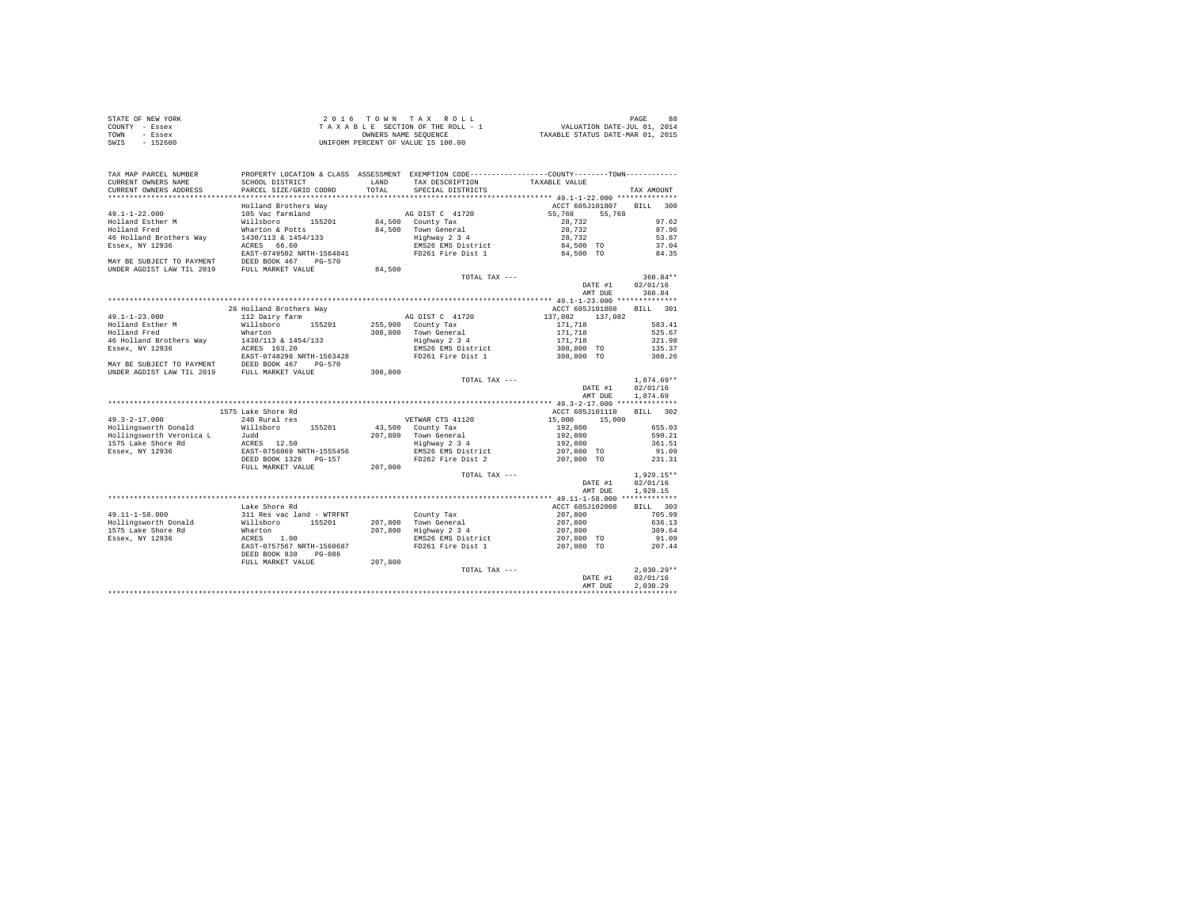| STATE OF NEW YORK | 2016 TOWN TAX ROLL                 | 88<br>PAGE                       |
|-------------------|------------------------------------|----------------------------------|
| COUNTY - Essex    | TAXABLE SECTION OF THE ROLL - 1    | VALUATION DATE-JUL 01, 2014      |
| TOWN<br>- Essex   | OWNERS NAME SEOUENCE               | TAXABLE STATUS DATE-MAR 01, 2015 |
| $-152600$<br>SWIS | UNIFORM PERCENT OF VALUE IS 100.00 |                                  |

| TAX MAP PARCEL NUMBER                       | PROPERTY LOCATION & CLASS ASSESSMENT EXEMPTION CODE----------------COUNTY--------TOWN----------                                                                                                                                                                                                                                                      |         |                                                                     |                          |              |
|---------------------------------------------|------------------------------------------------------------------------------------------------------------------------------------------------------------------------------------------------------------------------------------------------------------------------------------------------------------------------------------------------------|---------|---------------------------------------------------------------------|--------------------------|--------------|
| CURRENT OWNERS NAME                         | SCHOOL DISTRICT                                                                                                                                                                                                                                                                                                                                      | LAND    | TAX DESCRIPTION                                                     | TAXABLE VALUE            |              |
| CURRENT OWNERS ADDRESS                      | PARCEL SIZE/GRID COORD                                                                                                                                                                                                                                                                                                                               | TOTAL   | SPECIAL DISTRICTS                                                   |                          | TAX AMOUNT   |
|                                             | Holland Brothers Way                                                                                                                                                                                                                                                                                                                                 |         |                                                                     | ACCT 605J101807 BILL 300 |              |
| $49.1 - 1 - 22.000$                         | 105 Vac farmland                                                                                                                                                                                                                                                                                                                                     |         | AG DIST C 41720                                                     | 55,768 55,768            |              |
| Holland Esther M                            | Willsboro 155201                                                                                                                                                                                                                                                                                                                                     |         | $84,500$ County Tax                                                 | 28,732                   | 97.62        |
| Holland Fred                                |                                                                                                                                                                                                                                                                                                                                                      |         |                                                                     |                          | 87.96        |
| 46 Holland Brothers Way 1430/113 & 1454/133 |                                                                                                                                                                                                                                                                                                                                                      |         |                                                                     |                          | 53.87        |
| Essex, NY 12936                             | Wharton & Potts<br>1430/1138 14500 12.00 12.00 12.00 12.00 12.00 12.00 12.00 12.00 12.00 12.00 12.00 12.00 12.00 12.00 12.00 12.00 12.00 12.00 12.00 12.00 12.00 12.00 12.00 12.00 12.00 12.00 12.00 12.00 12.00 12.00 12.00 12.                                                                                                                     |         |                                                                     |                          | 37.04        |
|                                             |                                                                                                                                                                                                                                                                                                                                                      |         |                                                                     |                          | 84.35        |
|                                             |                                                                                                                                                                                                                                                                                                                                                      |         |                                                                     |                          |              |
|                                             | MAY BE SUBJECT TO PAYMENT<br>UNDER AGDIST LAW TIL 2019 FULL MARKET VALUE                                                                                                                                                                                                                                                                             | 84,500  |                                                                     |                          |              |
|                                             |                                                                                                                                                                                                                                                                                                                                                      |         | TOTAL TAX ---                                                       |                          | $360.84**$   |
|                                             |                                                                                                                                                                                                                                                                                                                                                      |         |                                                                     | DATE #1                  | 02/01/16     |
|                                             |                                                                                                                                                                                                                                                                                                                                                      |         |                                                                     | AMT DUE                  | 360.84       |
|                                             |                                                                                                                                                                                                                                                                                                                                                      |         |                                                                     |                          |              |
|                                             | 26 Holland Brothers Way                                                                                                                                                                                                                                                                                                                              |         |                                                                     | ACCT 605J101808 BILL 301 |              |
| $49.1 - 1 - 23.000$                         | 112 Dairy farm                                                                                                                                                                                                                                                                                                                                       |         |                                                                     | 137,082 137,082          |              |
|                                             | willsboro 155201                                                                                                                                                                                                                                                                                                                                     |         | AG DIST C 41720<br>255,900 County Tax                               | 171,718                  | 583.41       |
| Holland Esther M<br>Holland Fred            | Wharton                                                                                                                                                                                                                                                                                                                                              |         | 308,800 Town General                                                | 171,718                  | 525.67       |
|                                             |                                                                                                                                                                                                                                                                                                                                                      |         |                                                                     | 171,718                  | 321.98       |
|                                             |                                                                                                                                                                                                                                                                                                                                                      |         | Town General<br>Highway 2 3 4<br>EMS26 EMS District                 | 308,800 TO               | 135.37       |
|                                             |                                                                                                                                                                                                                                                                                                                                                      |         |                                                                     | 308,800 TO               | 308.26       |
|                                             |                                                                                                                                                                                                                                                                                                                                                      |         |                                                                     |                          |              |
|                                             | 46 Holland Brothers Way<br>$\begin{array}{l} \text{45.011 m} & \text{45.018 m} \\ \text{46.011 m} & \text{47.0195} \\ \text{58.01 m} & \text{49.018 m} \\ \text{59.01 m} & \text{49.018 m} \\ \text{50.01 m} & \text{40.018 m} \\ \text{50.01 m} & \text{40.018 m} \\ \text{50.01 m} & \text{40.018 m} \\ \text{50.01 m} & \text{40.018 m} \\ \text$ |         |                                                                     |                          |              |
|                                             |                                                                                                                                                                                                                                                                                                                                                      |         | TOTAL TAX ---                                                       |                          | $1,874.69**$ |
|                                             |                                                                                                                                                                                                                                                                                                                                                      |         |                                                                     | DATE #1                  | 02/01/16     |
|                                             |                                                                                                                                                                                                                                                                                                                                                      |         |                                                                     | AMT DUE                  | 1,874.69     |
|                                             |                                                                                                                                                                                                                                                                                                                                                      |         |                                                                     |                          |              |
|                                             | 1575 Lake Shore Rd                                                                                                                                                                                                                                                                                                                                   |         |                                                                     | ACCT 605J101110 BILL 302 |              |
| $49.3 - 2 - 17.000$                         | 240 Rural res                                                                                                                                                                                                                                                                                                                                        |         | VETWAR CTS 41120                                                    | $15,000$ $15,000$        |              |
| Hollingsworth Donald                        | Willsboro 155201                                                                                                                                                                                                                                                                                                                                     |         | 43,500 County Tax                                                   | 192,800                  | 655.03       |
| Hollingsworth Veronica L                    |                                                                                                                                                                                                                                                                                                                                                      |         | 207,800 Town General                                                | 192,800                  | 590.21       |
| 1575 Lake Shore Rd                          |                                                                                                                                                                                                                                                                                                                                                      |         | Town General<br>Highway 2 3 4                                       | 192,800                  | 361.51       |
| Essex, NY 12936                             |                                                                                                                                                                                                                                                                                                                                                      |         | EMS26 EMS District                                                  | 207,800 TO               | 91.09        |
|                                             |                                                                                                                                                                                                                                                                                                                                                      |         | FD262 Fire Dist 2                                                   | 207,800 TO               | 231.31       |
|                                             | FULL MARKET VALUE                                                                                                                                                                                                                                                                                                                                    | 207,800 |                                                                     |                          |              |
|                                             |                                                                                                                                                                                                                                                                                                                                                      |         | TOTAL TAX ---                                                       |                          | $1.929.15**$ |
|                                             |                                                                                                                                                                                                                                                                                                                                                      |         |                                                                     | DATE #1                  | 02/01/16     |
|                                             |                                                                                                                                                                                                                                                                                                                                                      |         |                                                                     | AMT DUE                  | 1,929.15     |
|                                             |                                                                                                                                                                                                                                                                                                                                                      |         |                                                                     |                          |              |
|                                             | Lake Shore Rd                                                                                                                                                                                                                                                                                                                                        |         |                                                                     | ACCT 605J102008          | BILL 303     |
| 49.11-1-58.000                              | 311 Res vac land - WTRFNT                   County Tax                                                                                                                                                                                                                                                                                               |         |                                                                     | 207,800                  | 705.99       |
| Hollingsworth Donald                        | Willsboro 155201                                                                                                                                                                                                                                                                                                                                     |         | 207,800 Town General<br>207,800 Highway 2 3 4<br>EMS26 EMS District | 207,800                  | 636.13       |
| 1575 Lake Shore Rd                          | Wharton<br>ACRES 1.00                                                                                                                                                                                                                                                                                                                                |         |                                                                     | 207,800                  | 389.64       |
| Essex, NY 12936                             |                                                                                                                                                                                                                                                                                                                                                      |         |                                                                     | 207,800 TO               | 91.09        |
|                                             | EAST-0757567 NRTH-1560687                                                                                                                                                                                                                                                                                                                            |         | FD261 Fire Dist 1                                                   | 207,800 TO               | 207.44       |
|                                             | DEED BOOK 838<br>PG-086                                                                                                                                                                                                                                                                                                                              |         |                                                                     |                          |              |
|                                             | FULL MARKET VALUE                                                                                                                                                                                                                                                                                                                                    | 207,800 |                                                                     |                          |              |
|                                             |                                                                                                                                                                                                                                                                                                                                                      |         | TOTAL TAX ---                                                       |                          | $2.030.29**$ |
|                                             |                                                                                                                                                                                                                                                                                                                                                      |         |                                                                     | DATE #1                  | 02/01/16     |
|                                             |                                                                                                                                                                                                                                                                                                                                                      |         |                                                                     | AMT DUE                  | 2,030.29     |
|                                             |                                                                                                                                                                                                                                                                                                                                                      |         |                                                                     |                          |              |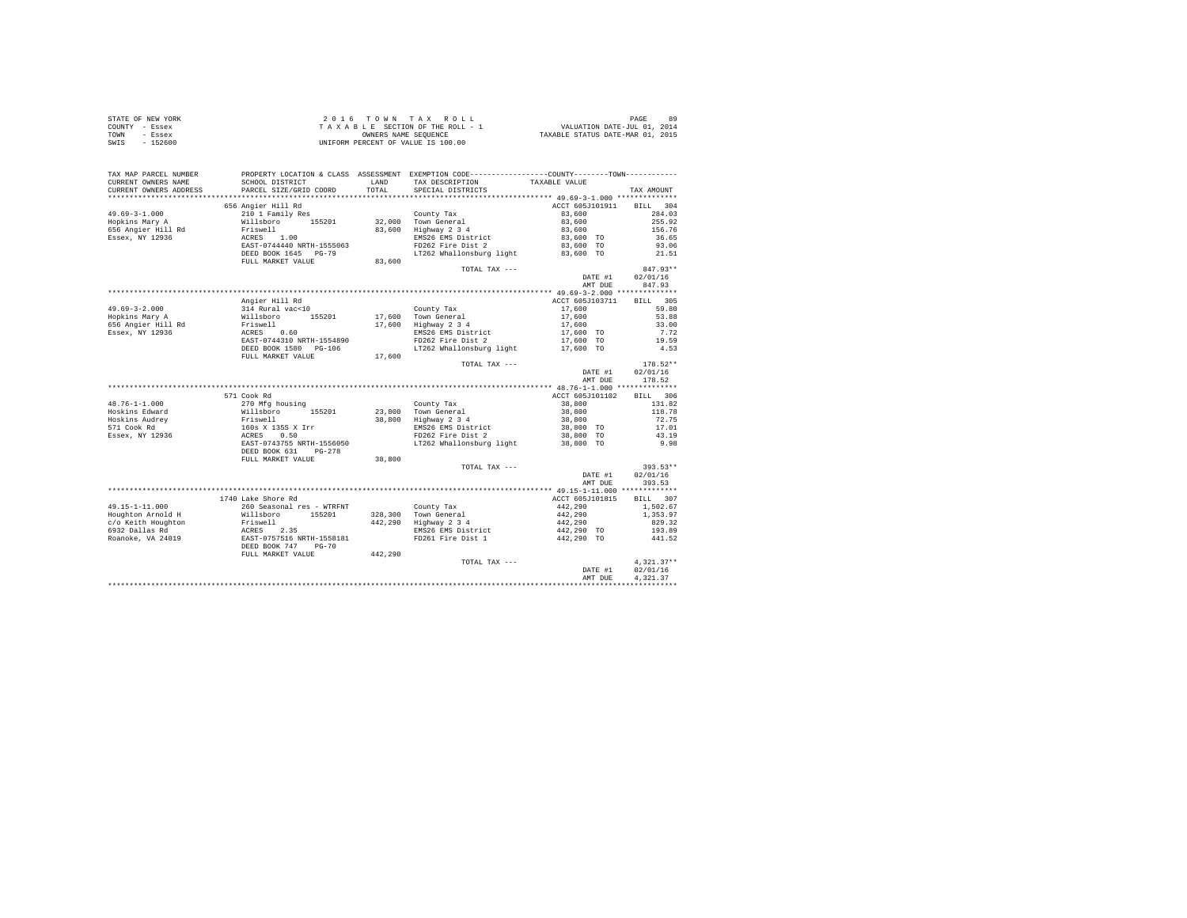| STATE OF NEW YORK                                                                                                   |                                                                                                                                                                 |        |                                                           |                                                                     |              |
|---------------------------------------------------------------------------------------------------------------------|-----------------------------------------------------------------------------------------------------------------------------------------------------------------|--------|-----------------------------------------------------------|---------------------------------------------------------------------|--------------|
| COUNTY - Essex                                                                                                      |                                                                                                                                                                 |        |                                                           |                                                                     |              |
| TOWN - Essex                                                                                                        |                                                                                                                                                                 |        |                                                           |                                                                     |              |
| SWIS - 152600                                                                                                       |                                                                                                                                                                 |        |                                                           |                                                                     |              |
|                                                                                                                     |                                                                                                                                                                 |        |                                                           |                                                                     |              |
|                                                                                                                     |                                                                                                                                                                 |        |                                                           |                                                                     |              |
|                                                                                                                     |                                                                                                                                                                 |        |                                                           |                                                                     |              |
| TAX MAP PARCEL NUMBER PROPERTY LOCATION & CLASS ASSESSMENT EXEMPTION CODE--------------COUNTY--------TOWN---------- |                                                                                                                                                                 |        |                                                           |                                                                     |              |
| CURRENT OWNERS NAME                                                                                                 | SCHOOL DISTRICT                                                                                                                                                 |        | LAND TAX DESCRIPTION                                      | TAXABLE VALUE                                                       |              |
| CURRENT OWNERS ADDRESS                                                                                              | PARCEL SIZE/GRID COORD                                                                                                                                          | TOTAL  | SPECIAL DISTRICTS                                         |                                                                     | TAX AMOUNT   |
|                                                                                                                     |                                                                                                                                                                 |        |                                                           |                                                                     |              |
|                                                                                                                     | 656 Angier Hill Rd                                                                                                                                              |        |                                                           | ACCT 605J101911 BILL 304                                            |              |
| $49.69 - 3 - 1.000$                                                                                                 | 210 1 Family Res                                                                                                                                                |        |                                                           | 83,600                                                              | 284.03       |
| Hopkins Mary A                                                                                                      |                                                                                                                                                                 |        |                                                           | 83,600                                                              | 255.92       |
|                                                                                                                     |                                                                                                                                                                 |        | County Tax<br>32,000 Town General<br>83,600 Highway 2 3 4 | 83,600                                                              | 156.76       |
| 656 Angier Hill Rd<br>Essex, NY 12936                                                                               |                                                                                                                                                                 |        |                                                           | 83,600 TO                                                           | 36.65        |
|                                                                                                                     |                                                                                                                                                                 |        | EMS26 EMS District<br>FD262 Fire Dist 2                   | 83,600 TO                                                           | 93.06        |
|                                                                                                                     |                                                                                                                                                                 |        | LT262 Whallonsburg light                                  | 83,600 TO                                                           | 21.51        |
|                                                                                                                     | FULL MARKET VALUE                                                                                                                                               | 83,600 |                                                           |                                                                     |              |
|                                                                                                                     |                                                                                                                                                                 |        | TOTAL TAX ---                                             |                                                                     | $847.93**$   |
|                                                                                                                     |                                                                                                                                                                 |        |                                                           |                                                                     | 02/01/16     |
|                                                                                                                     |                                                                                                                                                                 |        |                                                           | DATE #1                                                             | 847.93       |
|                                                                                                                     |                                                                                                                                                                 |        |                                                           | AMT DUE                                                             |              |
|                                                                                                                     |                                                                                                                                                                 |        |                                                           |                                                                     |              |
|                                                                                                                     | Angier Hill Rd                                                                                                                                                  |        |                                                           | ACCT 605J103711                                                     | BILL 305     |
| $49.69 - 3 - 2.000$                                                                                                 | $314$ Rural vac<10                                                                                                                                              |        | County Tax                                                | 17,600                                                              | 59.80        |
| Hopkins Mary A<br>656 Angier Hill Rd<br>Essex, NY 12936                                                             | 914 Millsboro 155201<br>Willsboro 155201<br>RTiswell<br>ACRES 0.60<br>EAST-0744310 NRTH-1554890<br>DEED BOOK 1580 PG-106                                        |        | 17,600 Town General<br>17,600 Highway 2 3 4               | 17,600                                                              | 53.88        |
|                                                                                                                     |                                                                                                                                                                 |        |                                                           | 17,600                                                              | 33.00        |
|                                                                                                                     |                                                                                                                                                                 |        | EMS26 EMS District<br>FD262 Fire Dist 2                   | 17,600 TO                                                           | 7.72         |
|                                                                                                                     |                                                                                                                                                                 |        |                                                           | 17,600 TO                                                           | 19.59        |
|                                                                                                                     |                                                                                                                                                                 |        | LT262 Whallonsburg light                                  | 17,600 TO                                                           | 4.53         |
|                                                                                                                     | FULL MARKET VALUE                                                                                                                                               | 17,600 |                                                           |                                                                     |              |
|                                                                                                                     |                                                                                                                                                                 |        | TOTAL TAX ---                                             |                                                                     | $178.52**$   |
|                                                                                                                     |                                                                                                                                                                 |        |                                                           | DATE #1                                                             | 02/01/16     |
|                                                                                                                     |                                                                                                                                                                 |        |                                                           | AMT DUE                                                             | 178.52       |
|                                                                                                                     |                                                                                                                                                                 |        |                                                           |                                                                     |              |
|                                                                                                                     | 571 Cook Rd                                                                                                                                                     |        |                                                           | ACCT 605J101102                                                     | BILL 306     |
| $48.76 - 1 - 1.000$                                                                                                 |                                                                                                                                                                 |        | County Tax                                                | 38,800                                                              | 131.82       |
|                                                                                                                     |                                                                                                                                                                 |        |                                                           | 38,800                                                              | 118.78       |
|                                                                                                                     |                                                                                                                                                                 |        | 23,800 Town General<br>38,800 Highway 2 3 4               | 38,800                                                              | 72.75        |
| Hoskins Edward<br>Hoskins Audrey<br>571 Cook Rd<br>Essex, NY 12936                                                  |                                                                                                                                                                 |        |                                                           | 38,800 TO                                                           | 17.01        |
|                                                                                                                     |                                                                                                                                                                 |        | EMS26 EMS District<br>FD262 Fire Dist 2                   | 38,800 TO                                                           | 43.19        |
|                                                                                                                     |                                                                                                                                                                 |        | LT262 Whallonsburg light                                  | 38,800 TO                                                           | 9.98         |
|                                                                                                                     | % CON Ky<br>270 Mfg housing<br>Willaboro<br>Priswell<br>160s X 1358 X Irr<br>ACRES 165<br>EAST-0743755 NRTH-1556050<br>DEED BOOK 631<br>DEED DOOK 631<br>PG-278 |        |                                                           |                                                                     |              |
|                                                                                                                     | FULL MARKET VALUE                                                                                                                                               | 38,800 |                                                           |                                                                     |              |
|                                                                                                                     |                                                                                                                                                                 |        | TOTAL TAX ---                                             |                                                                     | $393.53**$   |
|                                                                                                                     |                                                                                                                                                                 |        |                                                           |                                                                     |              |
|                                                                                                                     |                                                                                                                                                                 |        |                                                           | DATE #1                                                             | 02/01/16     |
|                                                                                                                     |                                                                                                                                                                 |        |                                                           | AMT DUE                                                             | 393.53       |
|                                                                                                                     |                                                                                                                                                                 |        |                                                           |                                                                     |              |
|                                                                                                                     | 1740 Lake Shore Rd                                                                                                                                              |        |                                                           | ACCT 605J101815                                                     | BILL 307     |
|                                                                                                                     |                                                                                                                                                                 |        |                                                           | $442,290$<br>$442,290$<br>$442,290$<br>$442,290$ TO<br>$442,290$ TO | 1,502.67     |
|                                                                                                                     |                                                                                                                                                                 |        |                                                           |                                                                     | 1,353.97     |
|                                                                                                                     |                                                                                                                                                                 |        |                                                           |                                                                     | 829.32       |
|                                                                                                                     |                                                                                                                                                                 |        |                                                           |                                                                     | 193.89       |
|                                                                                                                     |                                                                                                                                                                 |        |                                                           |                                                                     | 441.52       |
|                                                                                                                     |                                                                                                                                                                 |        |                                                           |                                                                     |              |
|                                                                                                                     |                                                                                                                                                                 |        |                                                           |                                                                     |              |
|                                                                                                                     |                                                                                                                                                                 |        | TOTAL TAX ---                                             |                                                                     | $4.321.37**$ |
|                                                                                                                     |                                                                                                                                                                 |        |                                                           | DATE #1                                                             | 02/01/16     |
|                                                                                                                     |                                                                                                                                                                 |        |                                                           | AMT DUE                                                             | 4.321.37     |
|                                                                                                                     |                                                                                                                                                                 |        |                                                           |                                                                     |              |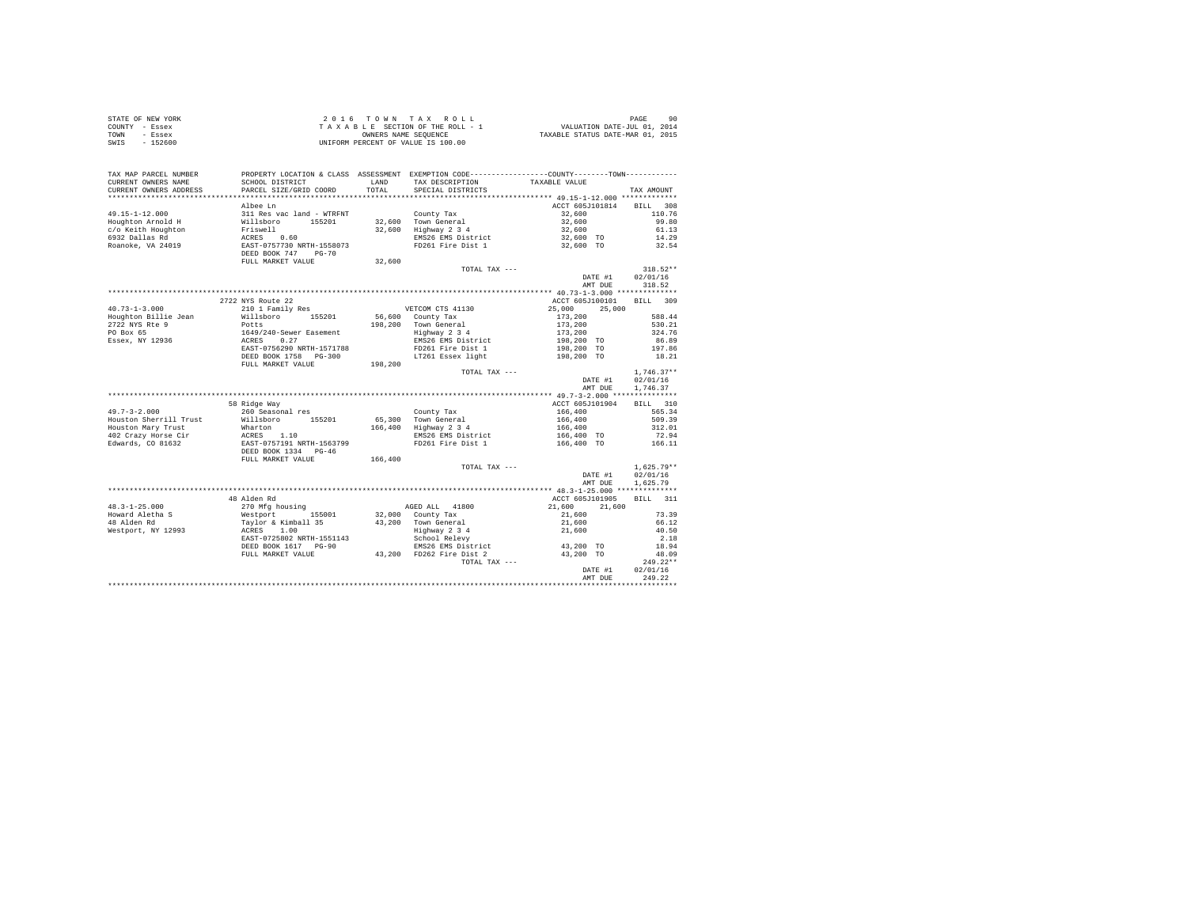| STATE OF NEW YORK | 2016 TOWN TAX ROLL                 | 90<br>PAGE                       |
|-------------------|------------------------------------|----------------------------------|
| COUNTY - Essex    | TAXABLE SECTION OF THE ROLL - 1    | VALUATION DATE-JUL 01, 2014      |
| TOWN<br>- Essex   | OWNERS NAME SEOUENCE               | TAXABLE STATUS DATE-MAR 01, 2015 |
| SWIS<br>$-152600$ | UNIFORM PERCENT OF VALUE IS 100.00 |                                  |

| TAX MAP PARCEL NUMBER<br>CURRENT OWNERS NAME<br>CURRENT OWNERS ADDRESS | SCHOOL DISTRICT<br>PARCEL SIZE/GRID COORD | LAND<br>TOTAL | TAX DESCRIPTION<br>SPECIAL DISTRICTS | PROPERTY LOCATION & CLASS ASSESSMENT EXEMPTION CODE----------------COUNTY-------TOWN----------<br>TAXABLE VALUE | TAX AMOUNT         |
|------------------------------------------------------------------------|-------------------------------------------|---------------|--------------------------------------|-----------------------------------------------------------------------------------------------------------------|--------------------|
| **********************                                                 | ************************                  |               |                                      |                                                                                                                 |                    |
|                                                                        | Albee Ln                                  |               |                                      | ACCT 605J101814                                                                                                 | <b>BILL</b><br>308 |
| $49.15 - 1 - 12.000$                                                   | 311 Res vac land - WTRFNT                 |               | County Tax                           | 32,600                                                                                                          | 110.76             |
| Houghton Arnold H                                                      | Willsboro<br>155201                       |               | 32,600 Town General                  | 32,600                                                                                                          | 99.80              |
| c/o Keith Houghton                                                     | Friswell                                  | 32,600        | Highway 2 3 4                        | 32,600                                                                                                          | 61.13              |
| 6932 Dallas Rd                                                         | 0.60<br>ACRES                             |               | EMS26 EMS District                   | 32,600 TO                                                                                                       | 14.29              |
| Roanoke, VA 24019                                                      | EAST-0757730 NRTH-1558073                 |               | FD261 Fire Dist 1                    | 32,600 TO                                                                                                       | 32.54              |
|                                                                        | DEED BOOK 747<br>$PG-70$                  |               |                                      |                                                                                                                 |                    |
|                                                                        | FULL MARKET VALUE                         | 32,600        |                                      |                                                                                                                 |                    |
|                                                                        |                                           |               | TOTAL TAX ---                        |                                                                                                                 | $318.52**$         |
|                                                                        |                                           |               |                                      | DATE #1                                                                                                         | 02/01/16           |
|                                                                        |                                           |               |                                      | AMT DUE                                                                                                         | 318.52             |
|                                                                        |                                           |               |                                      |                                                                                                                 |                    |
|                                                                        | 2722 NYS Route 22                         |               |                                      | ACCT 605J100101                                                                                                 | BILL 309           |
| $40.73 - 1 - 3.000$                                                    | 210 1 Family Res                          |               | VETCOM CTS 41130                     | 25,000<br>25,000                                                                                                |                    |
| Houghton Billie Jean                                                   | Willsboro<br>155201                       | 56,600        | County Tax                           | 173,200                                                                                                         | 588.44             |
| 2722 NYS Rte 9                                                         | Potts                                     | 198,200       | Town General                         | 173,200                                                                                                         | 530.21             |
| PO Box 65                                                              |                                           |               | Highway 2 3 4                        | 173,200                                                                                                         | 324.76             |
| Essex, NY 12936                                                        | 1649/240-Sewer Easement<br>ACRES 0.27     |               | EMS26 EMS District                   |                                                                                                                 | 86.89              |
|                                                                        | EAST-0756290 NRTH-1571788                 |               | FD261 Fire Dist 1                    | 198,200 TO                                                                                                      | 197.86             |
|                                                                        |                                           |               |                                      | 198,200 TO                                                                                                      |                    |
|                                                                        | DEED BOOK 1758 PG-300                     |               | LT261 Essex light                    | 198,200 TO                                                                                                      | 18.21              |
|                                                                        | FULL MARKET VALUE                         | 198,200       |                                      |                                                                                                                 |                    |
|                                                                        |                                           |               | TOTAL TAX ---                        |                                                                                                                 | $1,746.37**$       |
|                                                                        |                                           |               |                                      | DATE #1                                                                                                         | 02/01/16           |
|                                                                        |                                           |               |                                      | AMT DUE                                                                                                         | 1,746.37           |
|                                                                        |                                           |               |                                      |                                                                                                                 |                    |
|                                                                        | 58 Ridge Way                              |               |                                      | ACCT 605J101904                                                                                                 | BTLL<br>310        |
| $49.7 - 3 - 2.000$                                                     | 260 Seasonal res                          |               | County Tax                           | 166,400                                                                                                         | 565.34             |
| Houston Sherrill Trust                                                 | 155201<br>Willsboro                       |               | 65,300 Town General                  | 166,400                                                                                                         | 509.39             |
| Houston Mary Trust                                                     | Wharton                                   | 166,400       | Highway 2 3 4                        | 166,400                                                                                                         | 312.01             |
| 402 Crazy Horse Cir                                                    | ACRES 1.10                                |               | EMS26 EMS District                   | 166,400 TO                                                                                                      | 72.94              |
| Edwards, CO 81632                                                      | EAST-0757191 NRTH-1563799                 |               | FD261 Fire Dist 1                    | 166,400 TO                                                                                                      | 166.11             |
|                                                                        | DEED BOOK 1334 PG-46                      |               |                                      |                                                                                                                 |                    |
|                                                                        | FULL MARKET VALUE                         | 166,400       |                                      |                                                                                                                 |                    |
|                                                                        |                                           |               | TOTAL TAX ---                        |                                                                                                                 | $1,625.79**$       |
|                                                                        |                                           |               |                                      | DATE #1                                                                                                         | 02/01/16           |
|                                                                        |                                           |               |                                      | AMT DUE                                                                                                         | 1.625.79           |
|                                                                        |                                           |               |                                      |                                                                                                                 |                    |
|                                                                        | 48 Alden Rd                               |               |                                      | ACCT 605J101905                                                                                                 | <b>BILL</b><br>311 |
| $48.3 - 1 - 25.000$                                                    | 270 Mfg housing                           |               | AGED ALL 41800                       | 21,600<br>21,600                                                                                                |                    |
| Howard Aletha S                                                        | 155001<br>Westport                        | 32,000        | County Tax                           | 21,600                                                                                                          | 73.39              |
| 48 Alden Rd                                                            | Taylor & Kimball 35                       |               | 43,200 Town General                  | 21,600                                                                                                          | 66.12              |
| Westport, NY 12993                                                     | ACRES<br>1.00                             |               | Highway 2 3 4                        | 21,600                                                                                                          | 40.50              |
|                                                                        | EAST-0725802 NRTH-1551143                 |               | School Relevy                        |                                                                                                                 | 2.18               |
|                                                                        | DEED BOOK 1617 PG-90                      |               | EMS26 EMS District                   | 43,200 TO                                                                                                       | 18.94              |
|                                                                        | FULL MARKET VALUE                         |               | 43,200 FD262 Fire Dist 2             | 43,200 TO                                                                                                       | 48.09              |
|                                                                        |                                           |               | TOTAL TAX ---                        |                                                                                                                 | $249.22**$         |
|                                                                        |                                           |               |                                      | DATE #1                                                                                                         | 02/01/16           |
|                                                                        |                                           |               |                                      | AMT DUE                                                                                                         | 249.22             |
|                                                                        |                                           |               |                                      |                                                                                                                 |                    |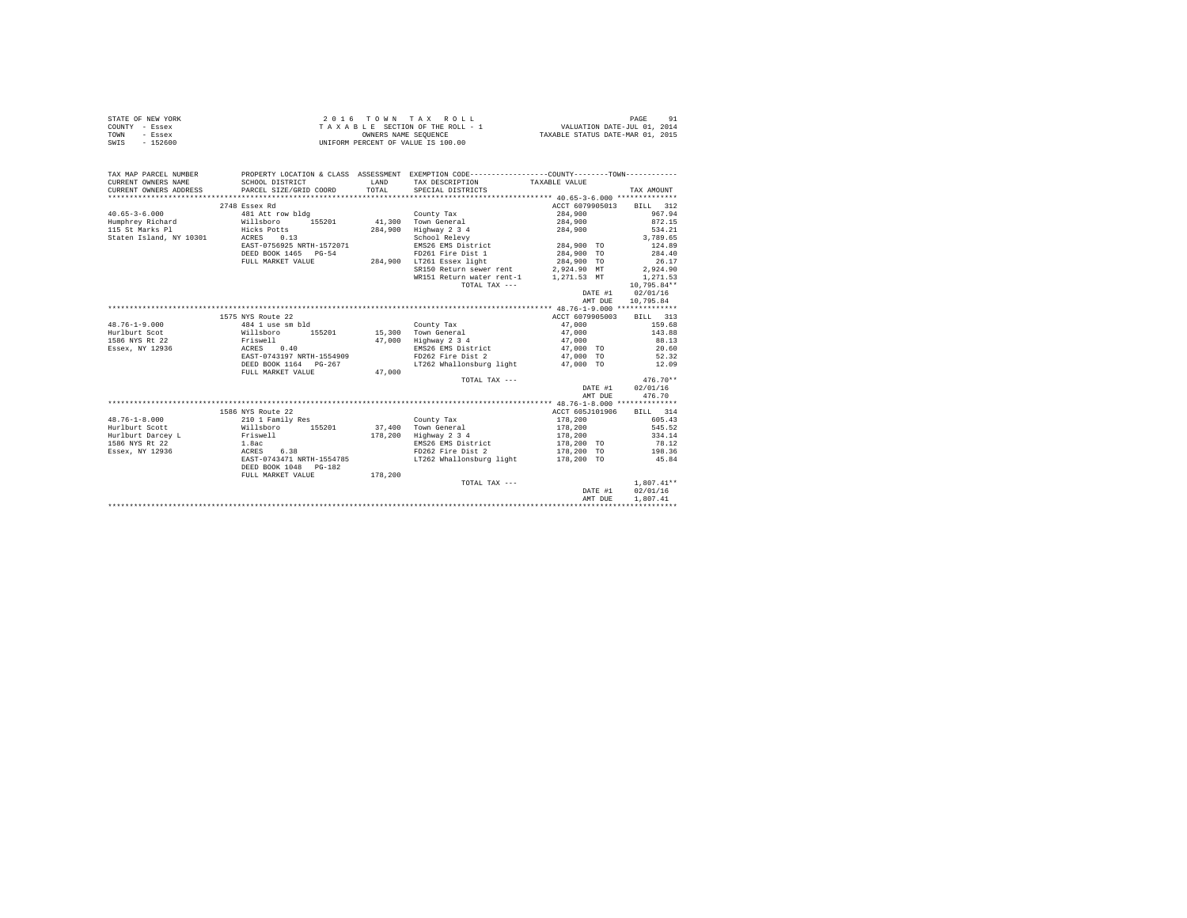|                | STATE OF NEW YORK |  |  |  | 2016 TOWN TAX ROLL                 |  |  |  |  |                                  | PAGE |  |
|----------------|-------------------|--|--|--|------------------------------------|--|--|--|--|----------------------------------|------|--|
| COUNTY - Essex |                   |  |  |  | TAXABLE SECTION OF THE ROLL - 1    |  |  |  |  | VALUATION DATE-JUL 01, 2014      |      |  |
| TOWN           | - Essex           |  |  |  | OWNERS NAME SEOUENCE               |  |  |  |  | TAXABLE STATUS DATE-MAR 01, 2015 |      |  |
| SWIS           | - 152600          |  |  |  | UNIFORM PERCENT OF VALUE IS 100.00 |  |  |  |  |                                  |      |  |

| TAX MAP PARCEL NUMBER                                                                                                                                                                                                                 | PROPERTY LOCATION & CLASS ASSESSMENT EXEMPTION CODE----------------COUNTY--------TOWN---------- |         |                                       |                    |                          |
|---------------------------------------------------------------------------------------------------------------------------------------------------------------------------------------------------------------------------------------|-------------------------------------------------------------------------------------------------|---------|---------------------------------------|--------------------|--------------------------|
| CURRENT OWNERS NAME                                                                                                                                                                                                                   | SCHOOL DISTRICT                                                                                 | LAND    | TAX DESCRIPTION                       | TAXABLE VALUE      |                          |
| CURRENT OWNERS ADDRESS                                                                                                                                                                                                                | PARCEL SIZE/GRID COORD                                                                          | TOTAL   | SPECIAL DISTRICTS                     |                    | TAX AMOUNT               |
|                                                                                                                                                                                                                                       |                                                                                                 |         |                                       |                    |                          |
|                                                                                                                                                                                                                                       | 2748 Essex Rd                                                                                   |         |                                       |                    | ACCT 6079905013 BILL 312 |
| $40.65 - 3 - 6.000$                                                                                                                                                                                                                   | 481 Att row bldg                                                                                |         | County Tax                            | 284,900            | 967.94                   |
| Humphrey Richard Willsboro 155201 41,300 Town General                                                                                                                                                                                 |                                                                                                 |         |                                       |                    | 284,900 872.15           |
|                                                                                                                                                                                                                                       |                                                                                                 | 284,900 | Highway 2 3 4 284,900                 |                    | 534.21                   |
|                                                                                                                                                                                                                                       |                                                                                                 |         | School Relevy                         |                    | 3,789.65                 |
|                                                                                                                                                                                                                                       | EAST-0756925 NRTH-1572071                                                                       |         | EMS26 EMS District 284,900 TO         |                    | 124.89                   |
|                                                                                                                                                                                                                                       | DEED BOOK 1465 PG-54                                                                            |         | FD261 Fire Dist 1 284.900 TO          |                    | 284.40                   |
|                                                                                                                                                                                                                                       | FULL MARKET VALUE                                                                               |         | 284,900 LT261 Essex light 284,900 TO  |                    | 26.17                    |
|                                                                                                                                                                                                                                       |                                                                                                 |         | SR150 Return sewer rent 2,924.90 MT   |                    | 2,924.90                 |
|                                                                                                                                                                                                                                       |                                                                                                 |         | WR151 Return water rent-1 1,271.53 MT |                    | 1,271.53                 |
|                                                                                                                                                                                                                                       |                                                                                                 |         | TOTAL TAX ---                         |                    | 10,795.84**              |
|                                                                                                                                                                                                                                       |                                                                                                 |         |                                       |                    | DATE #1 02/01/16         |
|                                                                                                                                                                                                                                       |                                                                                                 |         |                                       |                    | AMT DUE 10.795.84        |
|                                                                                                                                                                                                                                       |                                                                                                 |         |                                       |                    |                          |
|                                                                                                                                                                                                                                       | 1575 NYS Route 22                                                                               |         |                                       | ACCT 6079905003    | BILL 313                 |
| 48.76-1-9.000<br>Huriburt Scot (1948) 1986 and 1989 and 155201<br>Huriburt Scot (1952) 155201<br>Huriburt Scot (1952) 155201<br>Huriburt Scot (1970) 11 11 127.000 and 11 11 11 128 and 17.000 and 11 128 and 17.000 and 17.000 and 1 |                                                                                                 |         |                                       | 47,000<br>47,000   | 159.68                   |
|                                                                                                                                                                                                                                       |                                                                                                 |         |                                       |                    | 143.88                   |
|                                                                                                                                                                                                                                       |                                                                                                 |         | 47,000 Highway 2 3 4 47,000           |                    | 88.13                    |
| Essex, NY 12936                                                                                                                                                                                                                       | ACRES 0.40                                                                                      |         | EMS26 EMS District 47,000 TO 20.60    |                    |                          |
|                                                                                                                                                                                                                                       | EAST-0743197 NRTH-1554909                                                                       |         | FD262 Fire Dist 2                     | 47,000 TO          | 52.32<br>12.09           |
|                                                                                                                                                                                                                                       | DEED BOOK 1164 PG-267                                                                           |         | LT262 Whallonsburg light              | 47,000 TO          |                          |
|                                                                                                                                                                                                                                       | FULL MARKET VALUE                                                                               | 47.000  |                                       |                    |                          |
|                                                                                                                                                                                                                                       |                                                                                                 |         | TOTAL TAX ---                         |                    | $476.70**$               |
|                                                                                                                                                                                                                                       |                                                                                                 |         |                                       |                    | DATE #1 02/01/16         |
|                                                                                                                                                                                                                                       |                                                                                                 |         |                                       |                    | 476.70<br>AMT DUE        |
|                                                                                                                                                                                                                                       |                                                                                                 |         |                                       |                    |                          |
|                                                                                                                                                                                                                                       | 1586 NYS Route 22                                                                               |         |                                       | ACCT 605J101906    | BILL 314                 |
| $48.76 - 1 - 8.000$                                                                                                                                                                                                                   |                                                                                                 |         |                                       |                    | 605.43                   |
| Hurlburt Scott                                                                                                                                                                                                                        |                                                                                                 |         |                                       | 178,200<br>178,200 | 545.52                   |
| Hurlburt Darcey L Friswell                                                                                                                                                                                                            |                                                                                                 |         | 178,200 Highway 2 3 4                 | 178,200            | 334.14                   |
| 1586 NYS Rt 22                                                                                                                                                                                                                        |                                                                                                 |         | EMS26 EMS District                    | $178,200$ TO       |                          |
| $1.8ac$<br>ACRES 6.38<br>Essex, NY 12936                                                                                                                                                                                              |                                                                                                 |         | FD262 Fire Dist 2                     | 178,200 TO         | 78.12<br>198.36          |
|                                                                                                                                                                                                                                       | EAST-0743471 NRTH-1554785                                                                       |         | LT262 Whallonsburg light 178.200 TO   |                    | 45.84                    |
|                                                                                                                                                                                                                                       | DEED BOOK 1048 PG-182                                                                           |         |                                       |                    |                          |
|                                                                                                                                                                                                                                       | FULL MARKET VALUE                                                                               | 178,200 |                                       |                    |                          |
|                                                                                                                                                                                                                                       |                                                                                                 |         | TOTAL TAX ---                         |                    | $1.807.41**$             |
|                                                                                                                                                                                                                                       |                                                                                                 |         |                                       |                    | 02/01/16<br>DATE #1      |
|                                                                                                                                                                                                                                       |                                                                                                 |         |                                       |                    | 1,807.41<br>AMT DUE      |
|                                                                                                                                                                                                                                       |                                                                                                 |         |                                       |                    |                          |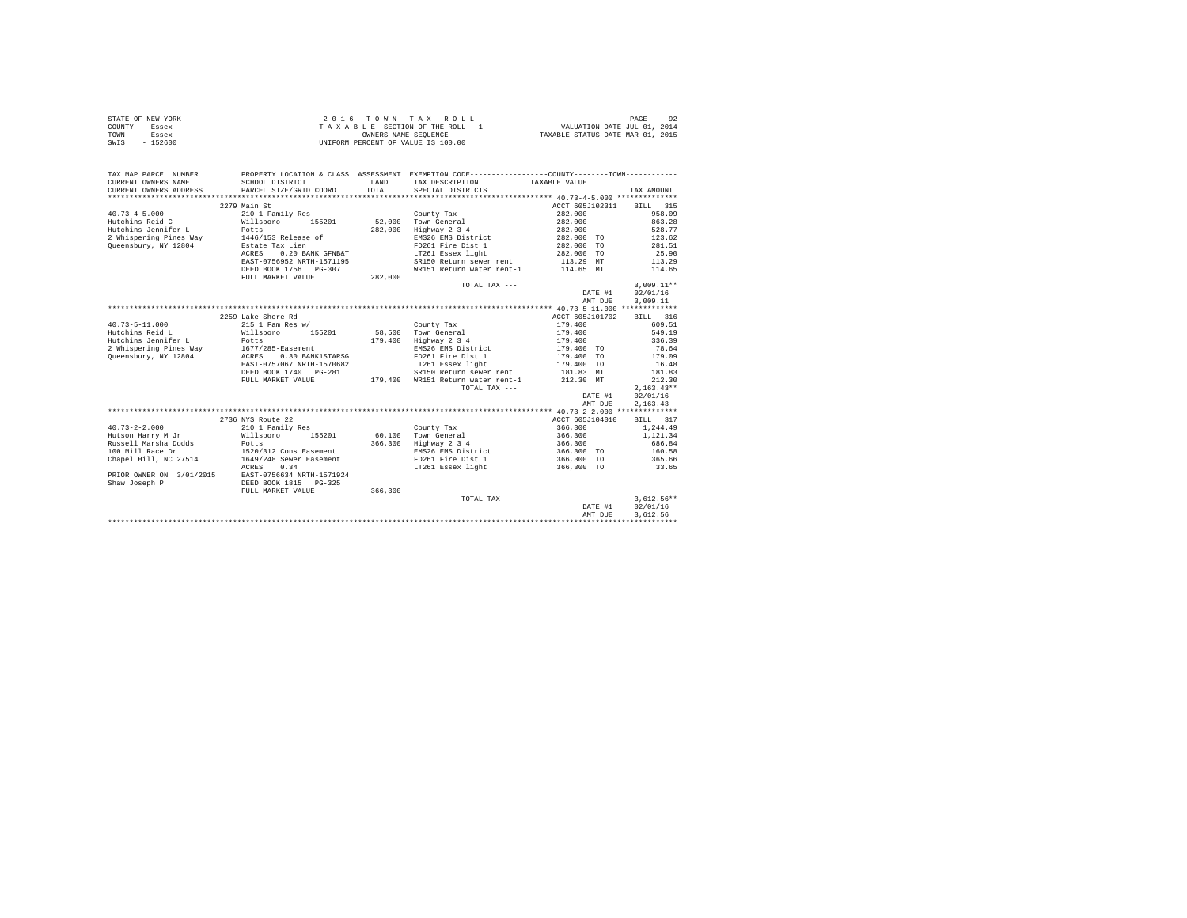| STATE OF NEW YORK | $2.0.16$ TOWN TAX ROLL             | 92<br>PAGE                       |
|-------------------|------------------------------------|----------------------------------|
| COUNTY - Essex    | TAXABLE SECTION OF THE ROLL - 1    | VALUATION DATE-JUL 01, 2014      |
| TOWN<br>- Essex   | OWNERS NAME SEOUENCE               | TAXABLE STATUS DATE-MAR 01, 2015 |
| SWIS<br>$-152600$ | UNIFORM PERCENT OF VALUE IS 100.00 |                                  |

| TAX MAP PARCEL NUMBER                  | PROPERTY LOCATION & CLASS ASSESSMENT EXEMPTION CODE----------------COUNTY-------TOWN----------                     |         |                                             |                                      |                  |
|----------------------------------------|--------------------------------------------------------------------------------------------------------------------|---------|---------------------------------------------|--------------------------------------|------------------|
| CURRENT OWNERS NAME                    | SCHOOL DISTRICT                                                                                                    | LAND    | TAX DESCRIPTION                             | TAXABLE VALUE                        |                  |
| CURRENT OWNERS ADDRESS                 | PARCEL SIZE/GRID COORD                                                                                             | TOTAL.  | SPECIAL DISTRICTS                           |                                      | TAX AMOUNT       |
|                                        |                                                                                                                    |         |                                             |                                      |                  |
|                                        | 2279 Main St                                                                                                       |         |                                             | ACCT 605J102311                      | BILL 315         |
| $40.73 - 4 - 5.000$<br>Hutchins Reid C | 210 1 Family Res<br>Willsboro 155201                                                                               |         | County Tax                                  | 282,000<br>282,000                   | 958.09<br>863.28 |
| Hutchins Jennifer L                    | Potts                                                                                                              | 282,000 | 52,000 Town General<br>Highway 2 3 4        | 282,000                              | 528.77           |
|                                        |                                                                                                                    |         | EMS26 EMS District                          | 282,000 TO                           | 123.62           |
| Queensbury, NY 12804                   | 2 Whispering Pines Way 1446/153 Release of<br>Estate Tax Lien                                                      |         | FD261 Fire Dist 1                           | 282,000 TO                           | 281.51           |
|                                        | 0.20 BANK GFNB&T<br>ACRES                                                                                          |         | LT261 Essex light                           | 282,000 TO                           | 25.90            |
|                                        | EAST-0756952 NRTH-1571195                                                                                          |         | SR150 Return sewer rent                     | 113.29 MT                            | 113.29           |
|                                        | DEED BOOK 1756 PG-307                                                                                              |         | WR151 Return water rent-1                   | 114.65 MT                            | 114.65           |
|                                        | FULL MARKET VALUE                                                                                                  | 282,000 |                                             |                                      |                  |
|                                        |                                                                                                                    |         | TOTAL TAX ---                               |                                      | $3,009.11**$     |
|                                        |                                                                                                                    |         |                                             | DATE #1                              | 02/01/16         |
|                                        |                                                                                                                    |         |                                             | AMT DUE                              | 3,009.11         |
|                                        |                                                                                                                    |         |                                             |                                      |                  |
|                                        | 2259 Lake Shore Rd                                                                                                 |         |                                             | ACCT 605J101702                      | BILL 316         |
| $40.73 - 5 - 11.000$                   | 215 1 Fam Res w/                                                                                                   |         | County Tax                                  | 179,400                              | 609.51           |
| Hutchins Reid L                        | Willsboro 155201                                                                                                   |         | 58.500 Town General                         | 179,400                              | 549.19           |
| Hutchins Jennifer L                    | Potts                                                                                                              |         | 179,400 Highway 2 3 4                       | 179,400                              | 336.39           |
|                                        | 2 Whispering Pines Way 1677/285-Easement                                                                           |         | EMS26 EMS District                          | 179,400 TO                           | 78.64            |
| Queensbury, NY 12804                   | 0.30 BANK1STARSG<br>ACRES                                                                                          |         | FD261 Fire Dist 1                           |                                      | 179.09           |
|                                        | EAST-0757067 NRTH-1570682                                                                                          |         | LT261 Essex light                           | 179,400 TO<br>179,400 TO             | 16.48            |
|                                        | DEED BOOK 1740 PG-281                                                                                              |         |                                             | SR150 Return sewer rent 181.83 MT    | 181.83           |
|                                        | FULL MARKET VALUE                                                                                                  |         | 179,400 WR151 Return water rent-1 212.30 MT |                                      | 212.30           |
|                                        |                                                                                                                    |         | TOTAL TAX ---                               |                                      | $2,163.43**$     |
|                                        |                                                                                                                    |         |                                             | DATE #1                              | 02/01/16         |
|                                        |                                                                                                                    |         |                                             | AMT DUE                              | 2,163.43         |
|                                        |                                                                                                                    |         |                                             |                                      |                  |
|                                        | 2736 NYS Route 22                                                                                                  |         |                                             | ACCT 605J104010                      | BILL 317         |
| $40.73 - 2 - 2.000$                    |                                                                                                                    |         | County Tax                                  | 366,300                              | 1,244.49         |
| Hutson Harry M Jr                      | 210 1 Family Res<br>Willsboro 155201                                                                               |         | 60.100 Town General                         | 366,300                              | 1,121,34         |
|                                        |                                                                                                                    |         | 366,300 Highway 2 3 4                       | 366,300                              | 686.84           |
|                                        | Russell Marsha Dodds Potts<br>100 Mill Race Dr 1520/312 Cons Easement<br>1520/312 1520/312 1549/248 Sewer Easement |         | EMS26 EMS District                          | 366,300 TO                           |                  |
|                                        |                                                                                                                    |         | FD261 Fire Dist 1                           | 366,300 TO                           | 160.58<br>365.66 |
|                                        | 0.34<br>ACRES                                                                                                      |         |                                             | LT261 Essex light 6 366,300 TO 33.65 |                  |
|                                        | PRIOR OWNER ON 3/01/2015 EAST-0756634 NRTH-1571924                                                                 |         |                                             |                                      |                  |
| Shaw Joseph P                          | DEED BOOK 1815 PG-325                                                                                              |         |                                             |                                      |                  |
|                                        | FULL MARKET VALUE                                                                                                  | 366,300 |                                             |                                      |                  |
|                                        |                                                                                                                    |         | TOTAL TAX ---                               |                                      | $3,612.56**$     |
|                                        |                                                                                                                    |         |                                             | DATE #1                              | 02/01/16         |
|                                        |                                                                                                                    |         |                                             | AMT DUE                              | 3,612.56         |
|                                        |                                                                                                                    |         |                                             |                                      |                  |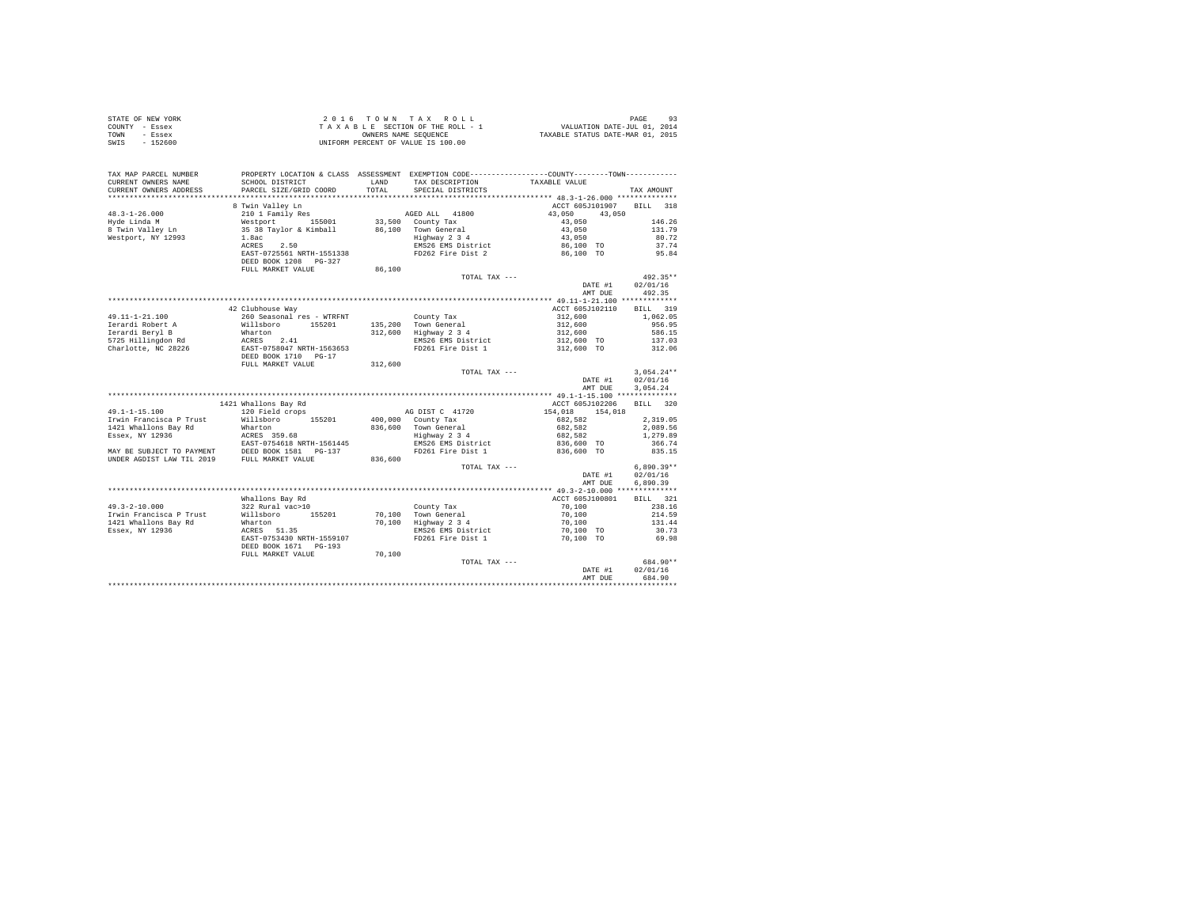| COUNTY - Essex                                                                                                                                                                                                                                                                                                                                                               |                                                                                                                                                                                                                                                |         |                                                                                                                         |                                                                                  |              |
|------------------------------------------------------------------------------------------------------------------------------------------------------------------------------------------------------------------------------------------------------------------------------------------------------------------------------------------------------------------------------|------------------------------------------------------------------------------------------------------------------------------------------------------------------------------------------------------------------------------------------------|---------|-------------------------------------------------------------------------------------------------------------------------|----------------------------------------------------------------------------------|--------------|
| - Essex<br>TOWN                                                                                                                                                                                                                                                                                                                                                              | OWNERS NAME SEQUENCE<br>UNIFORM PERCENT OF VALUE IS 100.00                                                                                                                                                                                     |         | T A X A B L E SECTION OF THE ROLL - 1 VALUATION DATE-JUL 01, 2014<br>CONNERS NAME SEQUENCE ARE STATUS DATE-MAR 01, 2015 |                                                                                  |              |
| $-152600$<br>SWIS                                                                                                                                                                                                                                                                                                                                                            |                                                                                                                                                                                                                                                |         |                                                                                                                         |                                                                                  |              |
|                                                                                                                                                                                                                                                                                                                                                                              |                                                                                                                                                                                                                                                |         |                                                                                                                         |                                                                                  |              |
|                                                                                                                                                                                                                                                                                                                                                                              |                                                                                                                                                                                                                                                |         |                                                                                                                         |                                                                                  |              |
|                                                                                                                                                                                                                                                                                                                                                                              |                                                                                                                                                                                                                                                |         |                                                                                                                         |                                                                                  |              |
| TAX MAP PARCEL NUMBER                                                                                                                                                                                                                                                                                                                                                        |                                                                                                                                                                                                                                                |         | PROPERTY LOCATION & CLASS ASSESSMENT EXEMPTION CODE----------------COUNTY--------TOWN----------                         |                                                                                  |              |
| CURRENT OWNERS NAME                                                                                                                                                                                                                                                                                                                                                          | SCHOOL DISTRICT                                                                                                                                                                                                                                |         |                                                                                                                         |                                                                                  |              |
|                                                                                                                                                                                                                                                                                                                                                                              |                                                                                                                                                                                                                                                |         | LAND TAX DESCRIPTION TAXABLE VALUE TOTAL SPECIAL DISTRICTS                                                              |                                                                                  |              |
| CURRENT OWNERS ADDRESS                                                                                                                                                                                                                                                                                                                                                       | PARCEL SIZE/GRID COORD                                                                                                                                                                                                                         |         |                                                                                                                         |                                                                                  | TAX AMOUNT   |
|                                                                                                                                                                                                                                                                                                                                                                              |                                                                                                                                                                                                                                                |         |                                                                                                                         |                                                                                  |              |
| $\begin{tabular}{lcccc} 48.3-1-26.000 & 8 {\small\hbox{Win Valley In}} & & & & & & & & & \\ 48.3-1-26.000 & 2101 {\small\hbox{Yone}} & 1800 & 43,050 & 43,050 \\ \hline \end{tabular} \hline \begin{tabular}{lcccc} 48.3-1-26.000 & 8 {\small\hbox{Win Valley In}} & & & & & & & & & \\ 48.3-1-26.000 & 43,050 & 43,050 & 43,050 \\ 8 {\small\hbox{Ric}_1$ & 35 38 {\small\$ | 8 Twin Valley Ln                                                                                                                                                                                                                               |         |                                                                                                                         | ACCT 605J101907 BILL 318                                                         |              |
|                                                                                                                                                                                                                                                                                                                                                                              |                                                                                                                                                                                                                                                |         |                                                                                                                         |                                                                                  |              |
|                                                                                                                                                                                                                                                                                                                                                                              |                                                                                                                                                                                                                                                |         |                                                                                                                         |                                                                                  | 146.26       |
|                                                                                                                                                                                                                                                                                                                                                                              |                                                                                                                                                                                                                                                |         |                                                                                                                         |                                                                                  | 131.79       |
|                                                                                                                                                                                                                                                                                                                                                                              |                                                                                                                                                                                                                                                |         |                                                                                                                         |                                                                                  | 80.72        |
|                                                                                                                                                                                                                                                                                                                                                                              |                                                                                                                                                                                                                                                |         |                                                                                                                         |                                                                                  | 37.74        |
|                                                                                                                                                                                                                                                                                                                                                                              |                                                                                                                                                                                                                                                |         |                                                                                                                         |                                                                                  | 95.84        |
|                                                                                                                                                                                                                                                                                                                                                                              |                                                                                                                                                                                                                                                |         |                                                                                                                         |                                                                                  |              |
|                                                                                                                                                                                                                                                                                                                                                                              | DEED BOOK 1208 PG-327                                                                                                                                                                                                                          |         |                                                                                                                         |                                                                                  |              |
|                                                                                                                                                                                                                                                                                                                                                                              | FULL MARKET VALUE 86,100                                                                                                                                                                                                                       |         |                                                                                                                         |                                                                                  |              |
|                                                                                                                                                                                                                                                                                                                                                                              |                                                                                                                                                                                                                                                |         | TOTAL TAX ---                                                                                                           |                                                                                  | $492.35**$   |
|                                                                                                                                                                                                                                                                                                                                                                              |                                                                                                                                                                                                                                                |         |                                                                                                                         | DATE #1                                                                          | 02/01/16     |
|                                                                                                                                                                                                                                                                                                                                                                              |                                                                                                                                                                                                                                                |         |                                                                                                                         | AMT DUE 492.35                                                                   |              |
|                                                                                                                                                                                                                                                                                                                                                                              |                                                                                                                                                                                                                                                |         |                                                                                                                         |                                                                                  |              |
|                                                                                                                                                                                                                                                                                                                                                                              | 42 Clubhouse Way                                                                                                                                                                                                                               |         |                                                                                                                         | ACCT 605J102110 BILL 319                                                         |              |
|                                                                                                                                                                                                                                                                                                                                                                              |                                                                                                                                                                                                                                                |         |                                                                                                                         |                                                                                  | 1,062.05     |
|                                                                                                                                                                                                                                                                                                                                                                              |                                                                                                                                                                                                                                                |         |                                                                                                                         |                                                                                  |              |
|                                                                                                                                                                                                                                                                                                                                                                              |                                                                                                                                                                                                                                                |         |                                                                                                                         |                                                                                  | 956.95       |
|                                                                                                                                                                                                                                                                                                                                                                              |                                                                                                                                                                                                                                                |         |                                                                                                                         |                                                                                  | 586.15       |
|                                                                                                                                                                                                                                                                                                                                                                              |                                                                                                                                                                                                                                                |         |                                                                                                                         | $312,600$<br>$312,600$<br>$312,600$<br>$312,600$<br>$312,600$ TO<br>$312,600$ TO | 137.03       |
|                                                                                                                                                                                                                                                                                                                                                                              |                                                                                                                                                                                                                                                |         |                                                                                                                         |                                                                                  | 312.06       |
|                                                                                                                                                                                                                                                                                                                                                                              |                                                                                                                                                                                                                                                |         |                                                                                                                         |                                                                                  |              |
|                                                                                                                                                                                                                                                                                                                                                                              | FULL MARKET VALUE                                                                                                                                                                                                                              | 312,600 |                                                                                                                         |                                                                                  |              |
|                                                                                                                                                                                                                                                                                                                                                                              |                                                                                                                                                                                                                                                |         | $\begin{minipage}{.4\linewidth} \texttt{TOTAL} \texttt{ TAX} \texttt{---} \end{minipage}$                               |                                                                                  | $3,054.24**$ |
|                                                                                                                                                                                                                                                                                                                                                                              |                                                                                                                                                                                                                                                |         |                                                                                                                         | DATE #1                                                                          | 02/01/16     |
|                                                                                                                                                                                                                                                                                                                                                                              |                                                                                                                                                                                                                                                |         |                                                                                                                         | AMT DUE                                                                          | 3.054.24     |
|                                                                                                                                                                                                                                                                                                                                                                              |                                                                                                                                                                                                                                                |         |                                                                                                                         |                                                                                  |              |
|                                                                                                                                                                                                                                                                                                                                                                              |                                                                                                                                                                                                                                                |         |                                                                                                                         |                                                                                  |              |
|                                                                                                                                                                                                                                                                                                                                                                              | 1421 Whallons Bay Rd                                                                                                                                                                                                                           |         |                                                                                                                         | ACCT 605J102206 BILL 320                                                         |              |
|                                                                                                                                                                                                                                                                                                                                                                              |                                                                                                                                                                                                                                                |         |                                                                                                                         |                                                                                  |              |
|                                                                                                                                                                                                                                                                                                                                                                              |                                                                                                                                                                                                                                                |         |                                                                                                                         |                                                                                  |              |
|                                                                                                                                                                                                                                                                                                                                                                              |                                                                                                                                                                                                                                                |         |                                                                                                                         |                                                                                  |              |
|                                                                                                                                                                                                                                                                                                                                                                              |                                                                                                                                                                                                                                                |         |                                                                                                                         |                                                                                  |              |
|                                                                                                                                                                                                                                                                                                                                                                              |                                                                                                                                                                                                                                                |         |                                                                                                                         |                                                                                  |              |
|                                                                                                                                                                                                                                                                                                                                                                              |                                                                                                                                                                                                                                                |         |                                                                                                                         |                                                                                  |              |
|                                                                                                                                                                                                                                                                                                                                                                              |                                                                                                                                                                                                                                                |         |                                                                                                                         |                                                                                  |              |
|                                                                                                                                                                                                                                                                                                                                                                              |                                                                                                                                                                                                                                                |         |                                                                                                                         |                                                                                  |              |
|                                                                                                                                                                                                                                                                                                                                                                              |                                                                                                                                                                                                                                                |         | TOTAL TAX ---                                                                                                           |                                                                                  | $6.890.39**$ |
|                                                                                                                                                                                                                                                                                                                                                                              |                                                                                                                                                                                                                                                |         |                                                                                                                         | DATE #1                                                                          | 02/01/16     |
|                                                                                                                                                                                                                                                                                                                                                                              |                                                                                                                                                                                                                                                |         |                                                                                                                         | AMT DUE                                                                          | 6.890.39     |
|                                                                                                                                                                                                                                                                                                                                                                              |                                                                                                                                                                                                                                                |         |                                                                                                                         |                                                                                  |              |
|                                                                                                                                                                                                                                                                                                                                                                              | Whallons Bay Rd                                                                                                                                                                                                                                |         |                                                                                                                         | ACCT 605J100801<br>$70,100$<br>70,100<br>70,100                                  | BILL 321     |
| $49.3 - 2 - 10.000$                                                                                                                                                                                                                                                                                                                                                          |                                                                                                                                                                                                                                                |         |                                                                                                                         |                                                                                  | 238.16       |
| Irwin Francisca P Trust                                                                                                                                                                                                                                                                                                                                                      |                                                                                                                                                                                                                                                |         |                                                                                                                         |                                                                                  | 214.59       |
|                                                                                                                                                                                                                                                                                                                                                                              |                                                                                                                                                                                                                                                |         |                                                                                                                         | 70,100                                                                           | 131.44       |
| 1421 Whallons Bay Rd                                                                                                                                                                                                                                                                                                                                                         | Whallons Bay Rd<br>322 Rural vac>10<br>Willsboro 155201 70,100 Town General<br>Wharton 155201 70,100 Highway 234<br>ACRES 51.35<br>BAS26 EMS District<br>EAST-0753430 NRTH-1559107 FD261 Fire Dist 1<br>TED BOOK 1671 PG-193<br>TD261 Fire Dis |         |                                                                                                                         |                                                                                  |              |
| Essex, NY 12936                                                                                                                                                                                                                                                                                                                                                              |                                                                                                                                                                                                                                                |         |                                                                                                                         | 70,100 TO<br>70,100 TO                                                           | 30.73        |
|                                                                                                                                                                                                                                                                                                                                                                              |                                                                                                                                                                                                                                                |         |                                                                                                                         |                                                                                  | 69.98        |
|                                                                                                                                                                                                                                                                                                                                                                              |                                                                                                                                                                                                                                                |         |                                                                                                                         |                                                                                  |              |
|                                                                                                                                                                                                                                                                                                                                                                              | FULL MARKET VALUE 70,100                                                                                                                                                                                                                       |         |                                                                                                                         |                                                                                  |              |
|                                                                                                                                                                                                                                                                                                                                                                              |                                                                                                                                                                                                                                                |         | TOTAL TAX ---                                                                                                           |                                                                                  | 684.90**     |
|                                                                                                                                                                                                                                                                                                                                                                              |                                                                                                                                                                                                                                                |         |                                                                                                                         | DATE #1                                                                          | 02/01/16     |
|                                                                                                                                                                                                                                                                                                                                                                              |                                                                                                                                                                                                                                                |         |                                                                                                                         | AMT DUE                                                                          | 684.90       |
|                                                                                                                                                                                                                                                                                                                                                                              |                                                                                                                                                                                                                                                |         |                                                                                                                         |                                                                                  |              |
|                                                                                                                                                                                                                                                                                                                                                                              |                                                                                                                                                                                                                                                |         |                                                                                                                         |                                                                                  |              |

STATE OF NEW YORK 2 0 1 6 T O W N T A X R O L L PAGE 93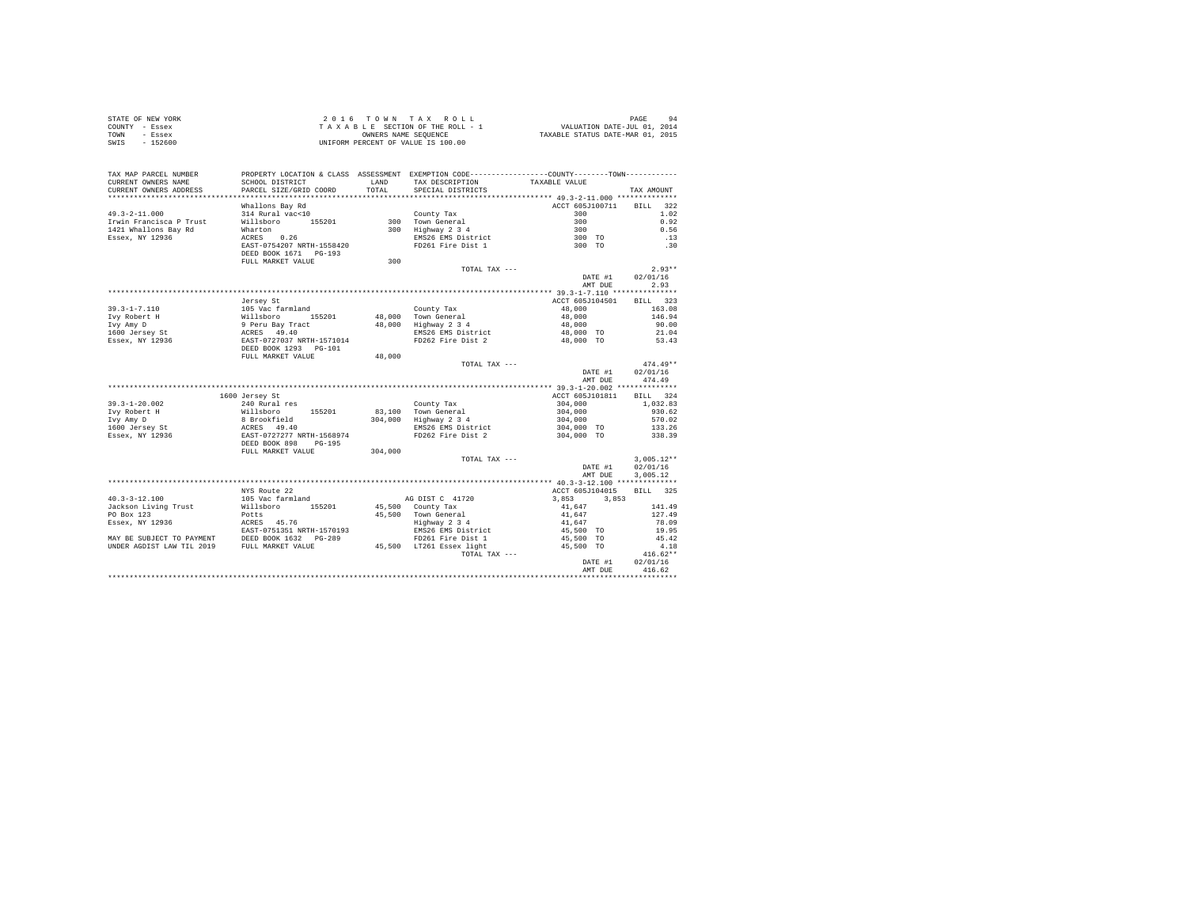| STATE OF NEW YORK | 2016 TOWN TAX ROLL                 | 94<br>PAGE                       |
|-------------------|------------------------------------|----------------------------------|
| COUNTY - Essex    | TAXABLE SECTION OF THE ROLL - 1    | VALUATION DATE-JUL 01, 2014      |
| TOWN<br>- Essex   | OWNERS NAME SEOUENCE               | TAXABLE STATUS DATE-MAR 01, 2015 |
| SWIS<br>- 152600  | UNIFORM PERCENT OF VALUE IS 100.00 |                                  |

| TAX MAP PARCEL NUMBER<br>CURRENT OWNERS NAME<br>CURRENT OWNERS ADDRESS | PROPERTY LOCATION & CLASS ASSESSMENT EXEMPTION CODE---------------COUNTY-------TOWN----------<br>SCHOOL DISTRICT<br>PARCEL SIZE/GRID COORD | LAND<br>TOTAL. | TAX DESCRIPTION<br>SPECIAL DISTRICTS          | TAXABLE VALUE                 | TAX AMOUNT                         |
|------------------------------------------------------------------------|--------------------------------------------------------------------------------------------------------------------------------------------|----------------|-----------------------------------------------|-------------------------------|------------------------------------|
| ************************                                               | *****************************                                                                                                              |                |                                               |                               |                                    |
| $49.3 - 2 - 11.000$<br>Irwin Francisca P Trust                         | Whallons Bay Rd<br>314 Rural vac<10<br>Willsboro 155201                                                                                    |                | County Tax<br>300 Town General                | ACCT 605J100711<br>300<br>300 | <b>BILL</b><br>322<br>1.02<br>0.92 |
|                                                                        |                                                                                                                                            |                |                                               |                               | 0.56                               |
| 1421 Whallons Bay Rd<br>Essex, NY 12936                                | Wharton<br>ACRES 0.26                                                                                                                      |                | 300 Highway 2 3 4                             | 300<br>300 TO                 |                                    |
|                                                                        |                                                                                                                                            |                | EMS26 EMS District<br>FD261 Fire Dist 1       |                               | .13                                |
|                                                                        | EAST-0754207 NRTH-1558420<br>DEED BOOK 1671    PG-193<br>FULL MARKET VALUE                                                                 | 300            |                                               | 300 TO                        | .30                                |
|                                                                        |                                                                                                                                            |                | TOTAL TAX ---                                 |                               | $2.93**$                           |
|                                                                        |                                                                                                                                            |                |                                               | DATE #1                       | 02/01/16                           |
|                                                                        |                                                                                                                                            |                |                                               | AMT DUE                       | 2.93                               |
|                                                                        |                                                                                                                                            |                |                                               |                               |                                    |
|                                                                        | Jersey St                                                                                                                                  |                |                                               | ACCT 605J104501               | BILL 323                           |
| $39.3 - 1 - 7.110$                                                     |                                                                                                                                            |                | County Tax                                    | 48,000                        | 163.08                             |
| Ivy Robert H                                                           |                                                                                                                                            |                | 48,000 Town General                           | 48,000                        | 146.94                             |
| Ivy Amy D                                                              |                                                                                                                                            |                | 48,000 Highway 2 3 4                          | 48,000                        | 90.00                              |
| 1600 Jersey St                                                         |                                                                                                                                            |                | EMS26 EMS District                            | 48,000 TO                     | 21.04                              |
| Essex, NY 12936                                                        |                                                                                                                                            |                | FD262 Fire Dist 2                             | 48,000 TO                     | 53.43                              |
|                                                                        | Crisey of Gramland<br>Willsboro 155201<br>9 Peru Bay Tract<br>ACRES 49.40<br>EAST-0727037 NRTH-1571014<br>DEED BOOK 1293 PG-101            |                |                                               |                               |                                    |
|                                                                        | FULL MARKET VALUE                                                                                                                          | 48,000         |                                               |                               |                                    |
|                                                                        |                                                                                                                                            |                | TOTAL TAX ---                                 |                               | $474.49**$                         |
|                                                                        |                                                                                                                                            |                |                                               | DATE #1                       | 02/01/16                           |
|                                                                        |                                                                                                                                            |                |                                               | AMT DUE                       | 474.49                             |
|                                                                        |                                                                                                                                            |                |                                               |                               |                                    |
|                                                                        | 1600 Jersey St                                                                                                                             |                |                                               | ACCT 605J101811               | BILL 324                           |
| $39.3 - 1 - 20.002$                                                    |                                                                                                                                            |                | County Tax                                    | 304,000                       | 1,032.83                           |
| Ivy Robert H                                                           |                                                                                                                                            |                |                                               | 304,000                       | 930.62                             |
| Ivy Amy D                                                              |                                                                                                                                            |                | 83,100 Town General<br>304,000 Highway 2 3 4  | 304,000                       | 570.02                             |
| 1600 Jersey St                                                         |                                                                                                                                            |                | EMS26 EMS District                            | 304,000 TO                    | 133.26                             |
| Essex, NY 12936                                                        | 240 Rural res<br>Willsboro<br>8 Brookfield<br>ACRES 49.40<br>EAST-0727277 NRTH-1568974                                                     |                | FD262 Fire Dist 2                             | 304,000 TO                    | 338.39                             |
|                                                                        | DEED BOOK 898 PG-195                                                                                                                       |                |                                               |                               |                                    |
|                                                                        | FULL MARKET VALUE                                                                                                                          | 304,000        |                                               |                               |                                    |
|                                                                        |                                                                                                                                            |                | TOTAL TAX ---                                 |                               | $3,005.12**$                       |
|                                                                        |                                                                                                                                            |                |                                               | DATE #1                       | 02/01/16                           |
|                                                                        |                                                                                                                                            |                |                                               | AMT DUE                       | 3,005.12                           |
|                                                                        |                                                                                                                                            |                |                                               |                               |                                    |
|                                                                        | NYS Route 22                                                                                                                               |                |                                               | ACCT 605J104015               | BILL 325                           |
| $40.3 - 3 - 12.100$                                                    | 105 Vac farmland                                                                                                                           |                | AG DIST C 41720                               | 3,853<br>3,853                |                                    |
| Jackson Living Trust                                                   | Willsboro<br>155201                                                                                                                        |                | 45,500 County Tax                             | 41,647                        | 141.49                             |
| PO Box 123                                                             | Potts                                                                                                                                      |                | 45.500 Town General                           | 41,647                        | 127.49                             |
|                                                                        |                                                                                                                                            |                | Highway 2 3 4                                 | 41,647                        | 78.09                              |
|                                                                        |                                                                                                                                            |                | EMS26 EMS District                            | 45,500 TO                     | 19.95                              |
|                                                                        |                                                                                                                                            |                |                                               | 45,500 TO                     | 45.42                              |
|                                                                        |                                                                                                                                            |                | FD261 Fire Dist 1<br>45,500 LT261 Essex light | 45,500 TO                     | 4.18                               |
|                                                                        |                                                                                                                                            |                | TOTAL TAX ---                                 |                               | $416.62**$                         |
|                                                                        |                                                                                                                                            |                |                                               | DATE #1                       | 02/01/16                           |
|                                                                        |                                                                                                                                            |                |                                               | AMT DUE                       | 416.62                             |
|                                                                        |                                                                                                                                            |                |                                               |                               |                                    |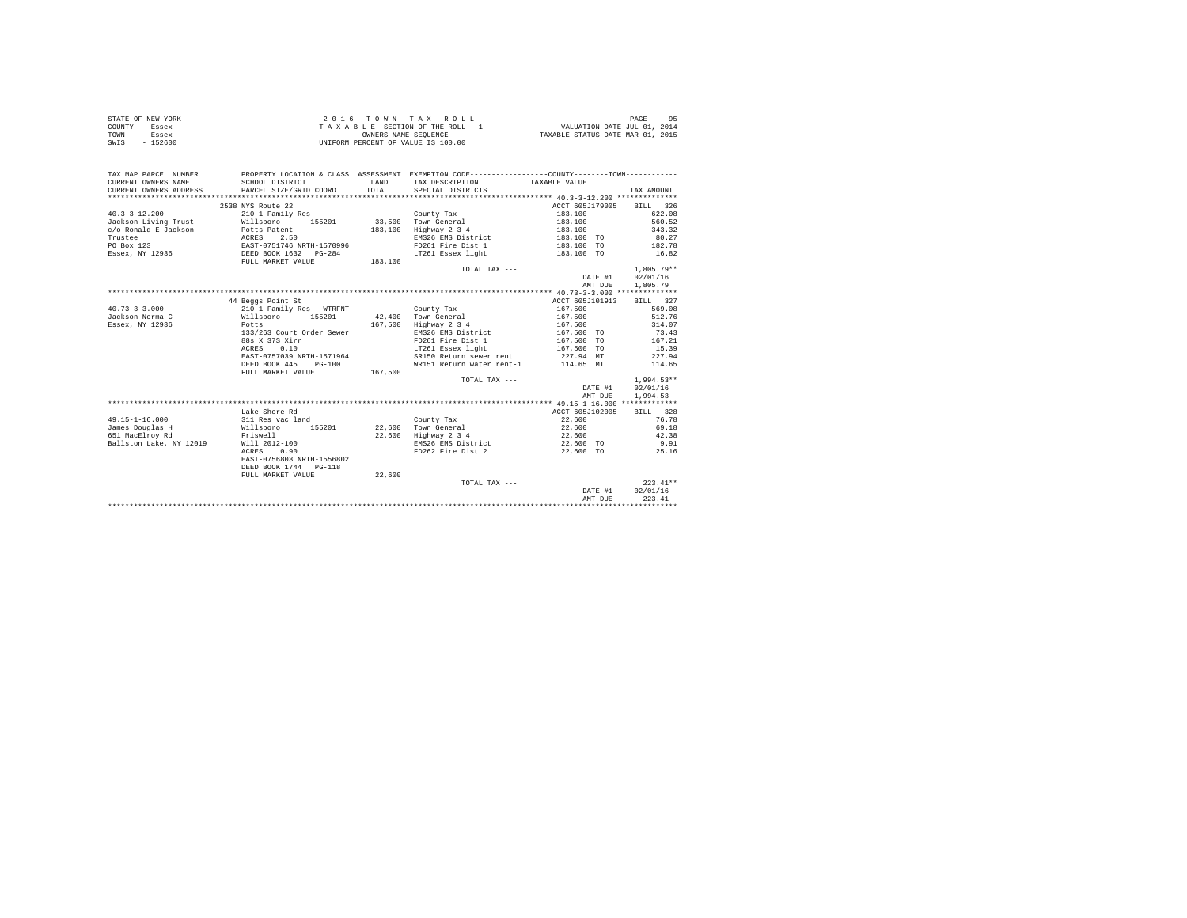|                | STATE OF NEW YORK | 2016 TOWN TAX ROLL                 | 95<br>PAGE                       |
|----------------|-------------------|------------------------------------|----------------------------------|
| COUNTY - Essex |                   | TAXABLE SECTION OF THE ROLL - 1    | VALUATION DATE-JUL 01, 2014      |
| TOWN           | - Essex           | OWNERS NAME SEOUENCE               | TAXABLE STATUS DATE-MAR 01, 2015 |
| SWIS           | $-152600$         | UNIFORM PERCENT OF VALUE IS 100.00 |                                  |

| TAX MAP PARCEL NUMBER<br>CURRENT OWNERS NAME | SCHOOL DISTRICT                         | <b>T.AND</b> | PROPERTY LOCATION & CLASS ASSESSMENT EXEMPTION CODE----------------COUNTY--------TOWN----------<br>TAX DESCRIPTION | TAXABLE VALUE            |              |
|----------------------------------------------|-----------------------------------------|--------------|--------------------------------------------------------------------------------------------------------------------|--------------------------|--------------|
| CURRENT OWNERS ADDRESS                       | PARCEL SIZE/GRID COORD                  | TOTAL.       | SPECIAL DISTRICTS                                                                                                  |                          | TAX AMOUNT   |
|                                              |                                         |              |                                                                                                                    |                          |              |
|                                              | 2538 NYS Route 22                       |              |                                                                                                                    | ACCT 605J179005 BILL 326 |              |
| $40.3 - 3 - 12.200$                          | 210 1 Family Res                        |              | County Tax                                                                                                         | 183,100                  | 622.08       |
| Jackson Living Trust                         | Willsboro 155201 33,500 Town General    |              |                                                                                                                    | 183,100                  | 560.52       |
| c/o Ronald E Jackson                         | Potts Patent                            | 183,100      | Highway 2 3 4                                                                                                      | 183,100                  | 343.32       |
| Trustee                                      | ACRES 2.50<br>EAST-0751746 NRTH-1570996 |              | EMS26 EMS District                                                                                                 | $183, 100$ TO            | 80.27        |
| PO Box 123                                   |                                         |              | FD261 Fire Dist 1                                                                                                  | 183,100 TO               | 182.78       |
| Essex, NY 12936<br>DEED BOOK 1632<br>PG-284  |                                         |              | LT261 Essex light                                                                                                  | 183,100 TO               | 16.82        |
|                                              | FULL MARKET VALUE                       | 183,100      |                                                                                                                    |                          |              |
|                                              |                                         |              | TOTAL TAX ---                                                                                                      |                          | $1.805.79**$ |
|                                              |                                         |              |                                                                                                                    | DATE #1                  | 02/01/16     |
|                                              |                                         |              |                                                                                                                    | AMT DUE                  | 1,805.79     |
|                                              |                                         |              |                                                                                                                    |                          |              |
|                                              | 44 Beggs Point St                       |              |                                                                                                                    | ACCT 605J101913          | BILL 327     |
| $40.73 - 3 - 3.000$                          | 210 1 Family Res - WTRFNT               |              | County Tax                                                                                                         | 167.500                  | 569.08       |
| Jackson Norma C                              | Willsboro 155201                        |              | 42.400 Town General                                                                                                | 167.500                  | 512.76       |
| Essex, NY 12936                              | Potts                                   |              | 167,500 Highway 2 3 4                                                                                              | 167,500                  | 314.07       |
|                                              | 133/263 Court Order Sewer               |              | EMS26 EMS District                                                                                                 | 167.500 TO               | 73.43        |
|                                              | 88s X 37S Xirr                          |              | FD261 Fire Dist 1                                                                                                  | 167,500 TO               | 167.21       |
|                                              | ACRES<br>0.10                           |              | LT261 Essex light 167,500 TO                                                                                       |                          | 15.39        |
|                                              | EAST-0757039 NRTH-1571964               |              | SR150 Return sewer rent                                                                                            | 227.94 MT                | 227.94       |
|                                              | DEED BOOK 445<br>$PG-100$               |              | WR151 Return water rent-1 114.65 MT                                                                                |                          | 114.65       |
|                                              | FULL MARKET VALUE                       | 167,500      |                                                                                                                    |                          |              |
|                                              |                                         |              | TOTAL TAX ---                                                                                                      |                          | $1.994.53**$ |
|                                              |                                         |              |                                                                                                                    | DATE #1                  | 02/01/16     |
|                                              |                                         |              |                                                                                                                    | AMT DUE                  | 1,994.53     |
|                                              |                                         |              |                                                                                                                    |                          |              |
|                                              | Lake Shore Rd                           |              |                                                                                                                    | ACCT 605J102005          | BILL 328     |
| $49.15 - 1 - 16.000$                         | 311 Res vac land                        |              |                                                                                                                    | 22,600                   | 76.78        |
| James Douglas H                              |                                         |              | County Tax<br>22.600 Town General                                                                                  |                          | 69.18        |
|                                              | Willsboro 155201                        |              |                                                                                                                    | 22,600                   |              |
| Friswell<br>651 MacElroy Rd                  |                                         |              | 22,600 Highway 2 3 4                                                                                               | 22,600                   | 42.38        |
| Ballston Lake, NY 12019                      | Will 2012-100                           |              | EMS26 EMS District                                                                                                 | 22,600 TO                | 9.91         |
|                                              | ACRES 0.90                              |              | FD262 Fire Dist 2                                                                                                  | 22,600 TO                | 25.16        |
|                                              | EAST-0756803 NRTH-1556802               |              |                                                                                                                    |                          |              |
|                                              | DEED BOOK 1744 PG-118                   |              |                                                                                                                    |                          |              |
|                                              | FULL MARKET VALUE                       | 22,600       |                                                                                                                    |                          |              |
|                                              |                                         |              | TOTAL TAX ---                                                                                                      |                          | $223.41**$   |
|                                              |                                         |              |                                                                                                                    | DATE #1                  | 02/01/16     |
|                                              |                                         |              |                                                                                                                    | AMT DUE                  | 223.41       |
|                                              |                                         |              |                                                                                                                    |                          |              |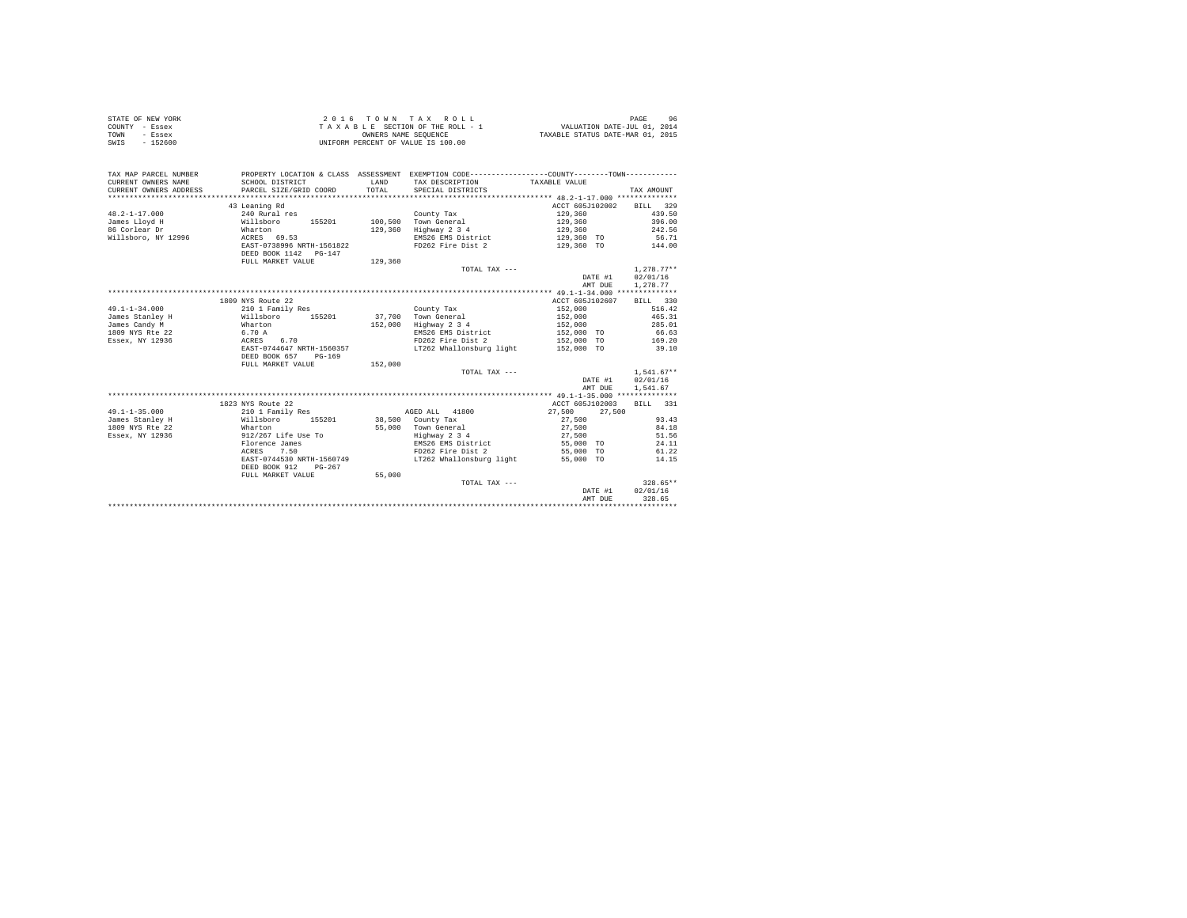|      | STATE OF NEW YORK | 2016 TOWN TAX ROLL                 | 96<br>PAGE                       |
|------|-------------------|------------------------------------|----------------------------------|
|      | COUNTY - Essex    | TAXABLE SECTION OF THE ROLL - 1    | VALUATION DATE-JUL 01, 2014      |
| TOWN | - Essex           | OWNERS NAME SEOUENCE               | TAXABLE STATUS DATE-MAR 01, 2015 |
| SWIS | - 152600          | UNIFORM PERCENT OF VALUE IS 100.00 |                                  |

| ACCT 605J102002<br>43 Leaning Rd<br>BILL 329<br>$48.2 - 1 - 17.000$<br>129,360<br>439.50<br>129,360<br>396.00<br>James Lloyd H |         | SPECIAL DISTRICTS | TAX DESCRIPTION TAXABLE VALUE | TAX AMOUNT   |
|--------------------------------------------------------------------------------------------------------------------------------|---------|-------------------|-------------------------------|--------------|
|                                                                                                                                |         |                   |                               |              |
|                                                                                                                                |         |                   |                               |              |
|                                                                                                                                |         |                   |                               |              |
| 129,360                                                                                                                        | Wharton |                   |                               |              |
| Highway 2 3 4<br>86 Corlear Dr<br>129,360                                                                                      |         |                   |                               | 242.56       |
| Willsboro, NY 12996 ACRES 69.53<br>EMS26 EMS District<br>129,360 TO 56.71                                                      |         |                   |                               |              |
| EAST-0738996 NRTH-1561822<br>FD262 Fire Dist 2<br>129,360 TO 144.00                                                            |         |                   |                               |              |
| DEED BOOK 1142 PG-147                                                                                                          |         |                   |                               |              |
| FULL MARKET VALUE<br>129,360                                                                                                   |         |                   |                               |              |
| TOTAL TAX ---                                                                                                                  |         |                   |                               | $1.278.77**$ |
| DATE #1                                                                                                                        |         |                   |                               | 02/01/16     |
| AMT DUE                                                                                                                        |         |                   |                               | 1,278.77     |
|                                                                                                                                |         |                   |                               |              |
| 1809 NYS Route 22<br>ACCT 605J102607                                                                                           |         |                   |                               | BILL 330     |
| $49.1 - 1 - 34.000$<br>210 1 Family Res<br>152,000<br>County Tax                                                               |         |                   |                               | 516.42       |
| James Stanley H Willsboro<br>152,000<br>465.31<br>155201 37,700 Town General                                                   |         |                   |                               |              |
| James Candy M<br>152,000<br>Highway 2 3 4<br>Wharton                                                                           |         |                   |                               | 285.01       |
| 152,000<br>152,000 TO<br>152,000 TO<br>6.70 A<br>ACRES 6.70<br>EMS26 EMS District<br>FD262 Fire Dist 2<br>James Commercial 22  |         |                   |                               | 66.63        |
| 169.20<br>Essex, NY 12936                                                                                                      |         |                   |                               |              |
| LT262 Whallonsburg light 152,000 TO 39.10<br>EAST-0744647 NRTH-1560357                                                         |         |                   |                               |              |
| DEED BOOK 657<br>$PG-169$                                                                                                      |         |                   |                               |              |
| FULL MARKET VALUE 152,000                                                                                                      |         |                   |                               |              |
| TOTAL TAX ---                                                                                                                  |         |                   |                               | $1.541.67**$ |
| DATE #1<br>02/01/16                                                                                                            |         |                   |                               |              |
| AMT DUE                                                                                                                        |         |                   |                               | 1,541.67     |
|                                                                                                                                |         |                   |                               |              |
| 1823 NYS Route 22<br>ACCT 605J102003                                                                                           |         |                   |                               | BILL 331     |
| $49.1 - 1 - 35.000$<br>27,500<br>210 1 Family Res<br>AGED ALL 41800<br>27,500                                                  |         |                   |                               |              |
| James Stanley H<br>38,500 County Tax<br>27,500                                                                                 |         |                   |                               | 93.43        |
| Willsboro 155201<br>Wharton<br>1809 NYS Rte 22<br>55,000 Town General<br>27,500                                                |         |                   |                               | 84.18        |
| 912/267 Life Use To<br>Highway 2 3 4 27,500<br>Essex, NY 12936                                                                 |         |                   |                               | 51.56        |
| EMS26 EMS District 55,000 TO<br>Florence James                                                                                 |         |                   |                               | 24.11        |
| ACRES 7.50<br>FD262 Fire Dist 2<br>55,000 TO                                                                                   |         |                   |                               | 61.22        |
| EAST-0744530 NRTH-1560749 LT262 Whallonsburg light<br>55,000 TO                                                                |         |                   |                               | 14.15        |
| DEED BOOK 912<br>$PG-267$                                                                                                      |         |                   |                               |              |
| FULL MARKET VALUE 55,000                                                                                                       |         |                   |                               |              |
| TOTAL TAX ---                                                                                                                  |         |                   |                               | $328.65**$   |
| DATE #1                                                                                                                        |         |                   |                               | 02/01/16     |
| 328.65<br>AMT DUE                                                                                                              |         |                   |                               |              |
|                                                                                                                                |         |                   |                               |              |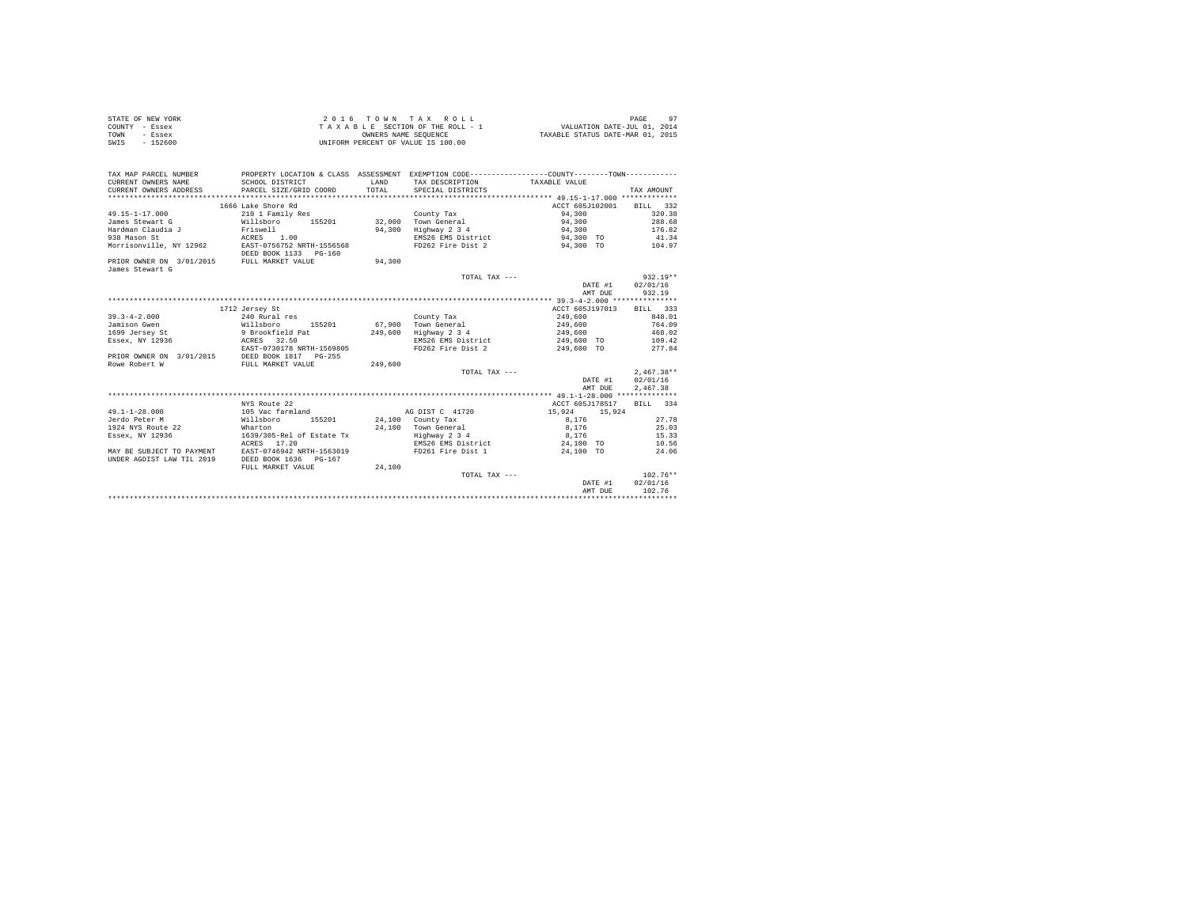| STATE OF NEW YORK | $2.0.16$ TOWN TAX ROLL             | Q <sub>7</sub><br>PAGE           |
|-------------------|------------------------------------|----------------------------------|
| COUNTY - Essex    | TAXABLE SECTION OF THE ROLL - 1    | VALUATION DATE-JUL 01, 2014      |
| TOWN<br>- Essex   | OWNERS NAME SEOUENCE               | TAXABLE STATUS DATE-MAR 01, 2015 |
| $-152600$<br>SWIS | UNIFORM PERCENT OF VALUE IS 100.00 |                                  |

| TAX MAP PARCEL NUMBER                                                   |                                    |         | PROPERTY LOCATION & CLASS ASSESSMENT EXEMPTION CODE---------------COUNTY--------TOWN--------- |                          |                  |
|-------------------------------------------------------------------------|------------------------------------|---------|-----------------------------------------------------------------------------------------------|--------------------------|------------------|
| CURRENT OWNERS NAME                                                     | SCHOOL DISTRICT                    |         | LAND TAX DESCRIPTION TAXABLE VALUE                                                            |                          |                  |
| CURRENT OWNERS ADDRESS . PARCEL SIZE/GRID COORD TOTAL SPECIAL DISTRICTS |                                    |         |                                                                                               |                          | TAX AMOUNT       |
|                                                                         |                                    |         |                                                                                               |                          |                  |
|                                                                         | 1666 Lake Shore Rd                 |         |                                                                                               | ACCT 605J102001 BILL 332 |                  |
| 49.15-1-17.000                                                          | 210 1 Family Res                   |         | County Tax                                                                                    | 94,300                   | 320.38           |
| James Stewart G                                                         |                                    |         |                                                                                               | 94,300                   | 288.68           |
|                                                                         |                                    | 94,300  | Highway 2 3 4                                                                                 | 94,300                   | 176.82           |
| 938 Mason St                                                            | ACRES 1.00                         |         | EMS26 EMS District 94,300 TO                                                                  |                          | 41.34            |
| Morrisonville, NY 12962 EAST-0756752 NRTH-1556568                       | DEED BOOK 1133 PG-160              |         | FD262 Fire Dist 2 94,300 TO 104.97                                                            |                          |                  |
| PRIOR OWNER ON 3/01/2015 FULL MARKET VALUE<br>James Stewart G           |                                    | 94,300  |                                                                                               |                          |                  |
|                                                                         |                                    |         | TOTAL TAX ---                                                                                 |                          | $932.19**$       |
|                                                                         |                                    |         |                                                                                               | DATE #1 $02/01/16$       |                  |
|                                                                         |                                    |         |                                                                                               | AMT DUE                  | 932.19           |
|                                                                         |                                    |         |                                                                                               |                          |                  |
|                                                                         | 1712 Jersey St                     |         |                                                                                               | ACCT 605J197013          | BILL 333         |
| $39.3 - 4 - 2.000$                                                      | 240 Rural res                      |         | County Tax                                                                                    | 249,600                  | 848.01           |
| Jamison Gwen                                                            | Willsboro 155201                   |         | 67,900 Town General                                                                           | 249,600                  | 764.09           |
|                                                                         |                                    |         | 249,600 Highway 2 3 4                                                                         | 249,600                  | 468.02           |
| Essex, NY 12936 6 ACRES 32.50                                           |                                    |         | EMS26 EMS District                                                                            | 249.600 TO 109.42        |                  |
|                                                                         | EAST-0730178 NRTH-1569805          |         | FD262 Fire Dist 2                                                                             | 249,600 TO               | 277.84           |
| PRIOR OWNER ON 3/01/2015 DEED BOOK 1817 PG-255                          |                                    |         |                                                                                               |                          |                  |
| Rowe Robert W                                                           | FULL MARKET VALUE                  | 249,600 |                                                                                               |                          |                  |
|                                                                         |                                    |         | TOTAL TAX ---                                                                                 |                          | $2.467.38**$     |
|                                                                         |                                    |         |                                                                                               | DATE #1 02/01/16         |                  |
|                                                                         |                                    |         |                                                                                               | AMT DUE                  | 2,467.38         |
|                                                                         |                                    |         |                                                                                               |                          |                  |
|                                                                         | NYS Route 22                       |         |                                                                                               | ACCT 605J178517          | BILL 334         |
| $49.1 - 1 - 28.000$ 105 Vac farmland as a pist c 41720 15.924 15.924    |                                    |         |                                                                                               |                          |                  |
| Jerdo Peter M                                                           | Willsboro 155201 24,100 County Tax |         |                                                                                               | 8,176 27.78              |                  |
| 1924 NYS Route 22                                                       | Wharton                            |         | 24,100 Town General<br>Highway 2 3 4                                                          | 8,176                    | 25.03            |
| Essex, NY 12936                                                         | 1639/305-Rel of Estate Tx          |         |                                                                                               | 8,176                    | 15.33            |
|                                                                         | ACRES 17.20                        |         | EMS26 EMS District 24,100 TO 10.56                                                            |                          |                  |
| MAY BE SUBJECT TO PAYMENT<br>UNDER AGDIST LAW TIL 2019                  | DEED BOOK 1636 PG-167              |         | EAST-0746942 NRTH-1563019 FD261 Fire Dist 1 24.100 TO 24.06                                   |                          |                  |
|                                                                         | FULL MARKET VALUE                  | 24,100  |                                                                                               |                          |                  |
|                                                                         |                                    |         | TOTAL TAX ---                                                                                 |                          | $102.76**$       |
|                                                                         |                                    |         |                                                                                               |                          | DATE #1 02/01/16 |
|                                                                         |                                    |         |                                                                                               | AMT DUE                  | 102.76           |
|                                                                         |                                    |         |                                                                                               |                          |                  |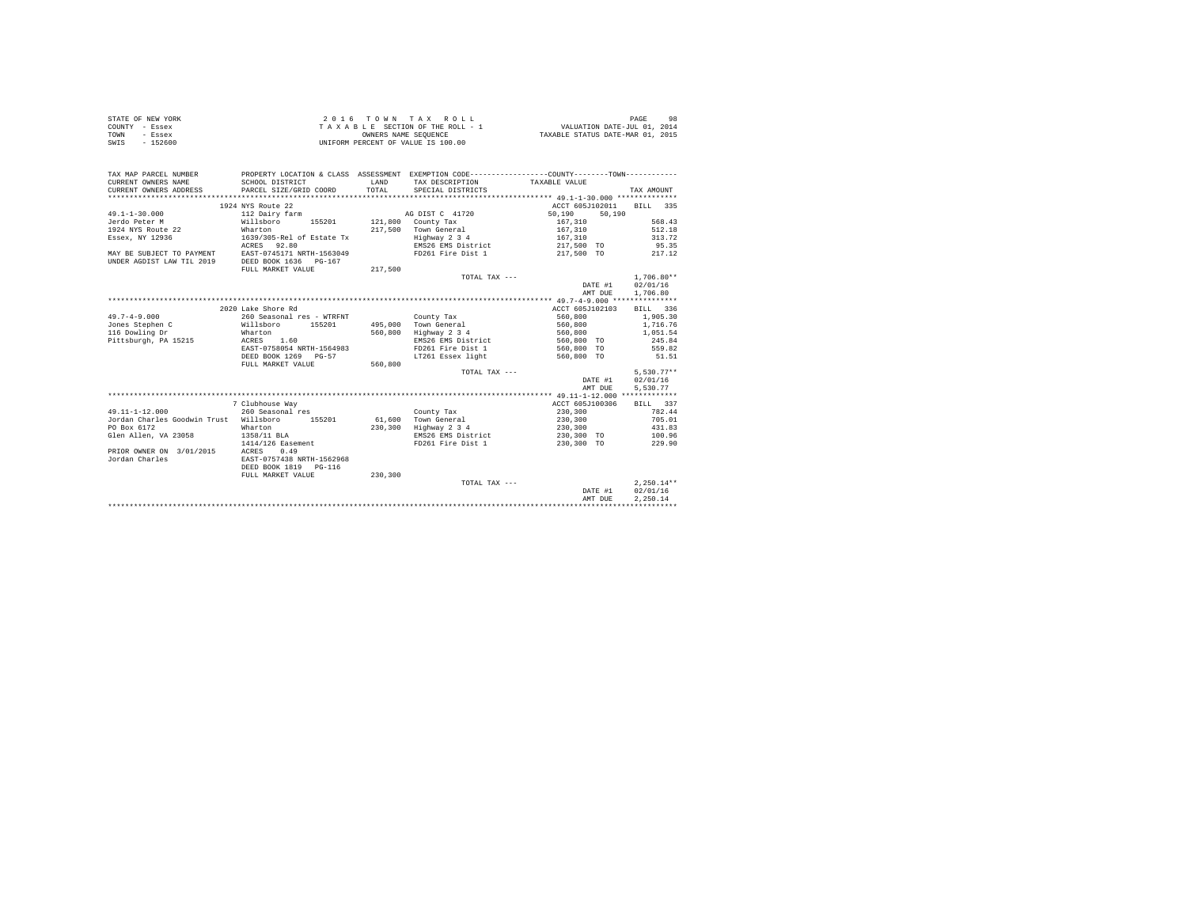| STATE OF NEW YORK | 2016 TOWN TAX ROLL                 | 98<br>PAGE                       |
|-------------------|------------------------------------|----------------------------------|
| COUNTY - Essex    | TAXABLE SECTION OF THE ROLL - 1    | VALUATION DATE-JUL 01, 2014      |
| TOWN<br>- Essex   | OWNERS NAME SEOUENCE               | TAXABLE STATUS DATE-MAR 01, 2015 |
| $-152600$<br>SWIS | UNIFORM PERCENT OF VALUE IS 100.00 |                                  |

| PROPERTY LOCATION & CLASS ASSESSMENT EXEMPTION CODE----------------COUNTY--------TOWN----------<br>TAX MAP PARCEL NUMBER<br>CURRENT OWNERS NAME<br>LAND<br>SCHOOL DISTRICT<br>TAX DESCRIPTION TAXABLE VALUE<br>TOTAL<br>CURRENT OWNERS ADDRESS<br>PARCEL SIZE/GRID COORD<br>SPECIAL DISTRICTS | TAX AMOUNT<br>BTLL 335 |
|-----------------------------------------------------------------------------------------------------------------------------------------------------------------------------------------------------------------------------------------------------------------------------------------------|------------------------|
|                                                                                                                                                                                                                                                                                               |                        |
|                                                                                                                                                                                                                                                                                               |                        |
|                                                                                                                                                                                                                                                                                               |                        |
|                                                                                                                                                                                                                                                                                               |                        |
| 1924 NYS Route 22<br>ACCT 605J102011                                                                                                                                                                                                                                                          |                        |
| $49.1 - 1 - 30.000$<br>112 Dairy farm<br>AG DIST C 41720<br>50,190<br>50,190                                                                                                                                                                                                                  |                        |
| Jerdo Peter M<br>Willsboro<br>155201<br>121,800 County Tax<br>167.310                                                                                                                                                                                                                         | 568.43                 |
| 1924 NYS Route 22<br>217,500 Town General<br>167.310<br>Wharton                                                                                                                                                                                                                               | 512.18                 |
| Essex, NY 12936<br>Highway 2 3 4<br>1639/305-Rel of Estate Tx<br>167,310                                                                                                                                                                                                                      | 313.72                 |
| EMS26 EMS District<br>ACRES 92.80<br>217,500 TO                                                                                                                                                                                                                                               | 95.35                  |
| EAST-0745171 NRTH-1563049<br>FD261 Fire Dist 1<br>217,500 TO<br>MAY BE SUBJECT TO PAYMENT                                                                                                                                                                                                     | 217.12                 |
| UNDER AGDIST LAW TIL 2019<br>DEED BOOK 1636 PG-167                                                                                                                                                                                                                                            |                        |
| 217,500<br>FULL MARKET VALUE                                                                                                                                                                                                                                                                  |                        |
| TOTAL TAX ---                                                                                                                                                                                                                                                                                 | $1.706.80**$           |
| DATE #1                                                                                                                                                                                                                                                                                       | 02/01/16               |
| AMT DUE                                                                                                                                                                                                                                                                                       | 1,706.80               |
|                                                                                                                                                                                                                                                                                               |                        |
| 2020 Lake Shore Rd<br>ACCT 605J102103                                                                                                                                                                                                                                                         | BILL 336               |
| $49.7 - 4 - 9.000$<br>260 Seasonal res - WTRFNT<br>560,800<br>County Tax                                                                                                                                                                                                                      | 1,905.30               |
| 495,000 Town General<br>Jones Stephen C<br>Willsboro<br>155201<br>560,800                                                                                                                                                                                                                     | 1,716.76               |
| 116 Dowling Dr<br>560,800<br>Highway 2 3 4<br>Wharton<br>560,800                                                                                                                                                                                                                              | 1,051.54               |
| Pittsburgh, PA 15215<br>1.60<br>EMS26 EMS District<br>560,800 TO<br>ACRES                                                                                                                                                                                                                     | 245.84                 |
| FD261 Fire Dist 1<br>560,800 TO<br>EAST-0758054 NRTH-1564983                                                                                                                                                                                                                                  | 559.82                 |
| DEED BOOK 1269 PG-57<br>LT261 Essex light                                                                                                                                                                                                                                                     | 51.51                  |
| 560,800 TO                                                                                                                                                                                                                                                                                    |                        |
| FULL MARKET VALUE<br>560,800                                                                                                                                                                                                                                                                  | $5.530.77**$           |
| TOTAL TAX ---                                                                                                                                                                                                                                                                                 |                        |
| DATE #1                                                                                                                                                                                                                                                                                       | 02/01/16               |
| AMT DUE                                                                                                                                                                                                                                                                                       | 5,530.77               |
|                                                                                                                                                                                                                                                                                               |                        |
| 7 Clubhouse Way<br>ACCT 605J100306                                                                                                                                                                                                                                                            | BILL 337               |
| $49.11 - 1 - 12.000$<br>260 Seasonal res<br>230,300<br>County Tax                                                                                                                                                                                                                             | 782.44                 |
| Jordan Charles Goodwin Trust Willsboro<br>61,600 Town General<br>155201<br>230,300                                                                                                                                                                                                            | 705.01                 |
| PO Box 6172<br>230,300<br>Highway 2 3 4<br>230,300<br>Wharton                                                                                                                                                                                                                                 | 431.83                 |
| 230,300 TO<br>Glen Allen, VA 23058<br>1358/11 BLA<br>EMS26 EMS District                                                                                                                                                                                                                       | 100.96                 |
| 1414/126 Easement<br>FD261 Fire Dist 1<br>230,300 TO                                                                                                                                                                                                                                          | 229.90                 |
| PRIOR OWNER ON 3/01/2015<br>ACRES<br>0.49                                                                                                                                                                                                                                                     |                        |
| Jordan Charles<br>EAST-0757438 NRTH-1562968                                                                                                                                                                                                                                                   |                        |
| DEED BOOK 1819<br>$PG-116$                                                                                                                                                                                                                                                                    |                        |
| 230,300<br>FULL MARKET VALUE                                                                                                                                                                                                                                                                  |                        |
| TOTAL TAX ---                                                                                                                                                                                                                                                                                 | $2.250.14**$           |
| DATE #1                                                                                                                                                                                                                                                                                       | 02/01/16               |
| AMT DUE                                                                                                                                                                                                                                                                                       | 2.250.14               |
|                                                                                                                                                                                                                                                                                               |                        |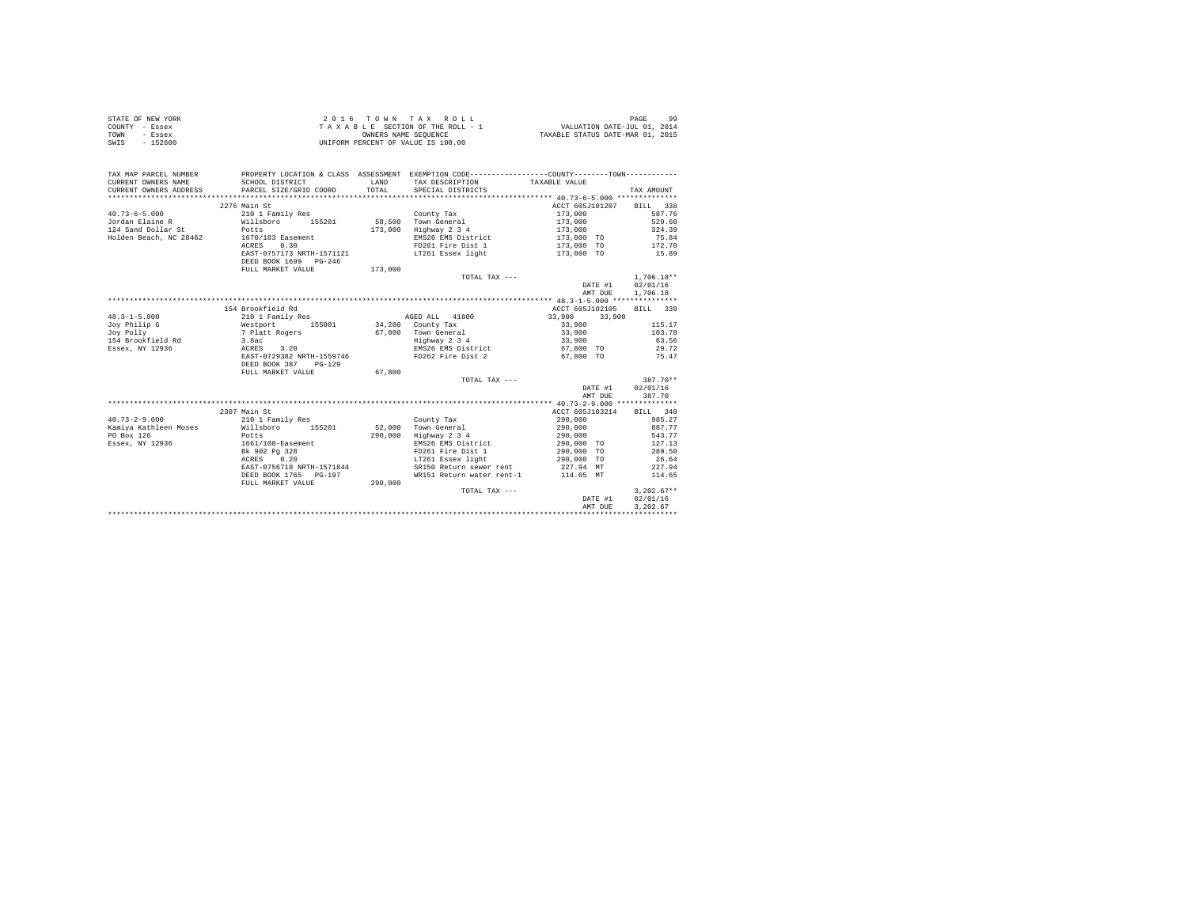|                | STATE OF NEW YORK | 2016 TOWN TAX ROLL                 | 99<br>PAGE                       |
|----------------|-------------------|------------------------------------|----------------------------------|
| COUNTY - Essex |                   | TAXABLE SECTION OF THE ROLL - 1    | VALUATION DATE-JUL 01, 2014      |
| TOWN           | - Essex           | OWNERS NAME SEOUENCE               | TAXABLE STATUS DATE-MAR 01, 2015 |
| SWIS           | - 152600          | UNIFORM PERCENT OF VALUE IS 100.00 |                                  |

| TAX MAP PARCEL NUMBER<br>CURRENT OWNERS NAME<br>CURRENT OWNERS ADDRESS | SCHOOL DISTRICT<br>PARCEL SIZE/GRID COORD | LAND<br>TOTAL. | PROPERTY LOCATION & CLASS ASSESSMENT EXEMPTION CODE----------------COUNTY-------TOWN----------<br>TAX DESCRIPTION TAXABLE VALUE<br>SPECIAL DISTRICTS |                          | TAX AMOUNT       |
|------------------------------------------------------------------------|-------------------------------------------|----------------|------------------------------------------------------------------------------------------------------------------------------------------------------|--------------------------|------------------|
|                                                                        |                                           |                |                                                                                                                                                      |                          |                  |
|                                                                        | 2276 Main St                              |                |                                                                                                                                                      | ACCT 605J101207 BILL 338 |                  |
| $40.73 - 6 - 5.000$                                                    | 210 1 Family Res                          |                | County Tax                                                                                                                                           | 173,000                  | 587.76           |
|                                                                        |                                           |                |                                                                                                                                                      |                          |                  |
| 124 Sand Dollar St<br>Holden Beach, NC 28462 1670/183 Easement         |                                           |                | 173,000 Highway 2 3 4                                                                                                                                | 173,000<br>173,000 TO    | 324.39           |
|                                                                        |                                           |                | EMS26 EMS District                                                                                                                                   |                          | 75.84            |
|                                                                        | ACRES 0.30                                |                | FD261 Fire Dist 1 000 173,000 TO 172.70                                                                                                              |                          |                  |
|                                                                        |                                           |                | EAST-0757173 NRTH-1571121 LT261 Essex light                                                                                                          | 173,000 TO 15.89         |                  |
|                                                                        | DEED BOOK 1699 PG-246                     |                |                                                                                                                                                      |                          |                  |
|                                                                        | FULL MARKET VALUE                         | 173,000        |                                                                                                                                                      |                          |                  |
|                                                                        |                                           |                | TOTAL TAX ---                                                                                                                                        |                          | $1,706.18**$     |
|                                                                        |                                           |                |                                                                                                                                                      | DATE #1 02/01/16         |                  |
|                                                                        |                                           |                |                                                                                                                                                      |                          | AMT DUE 1,706.18 |
|                                                                        |                                           |                |                                                                                                                                                      |                          |                  |
|                                                                        | 154 Brookfield Rd                         |                |                                                                                                                                                      | ACCT 605J102105 BILL 339 |                  |
| $48.3 - 1 - 5.000$                                                     | 210 1 Family Res                          |                | AGED ALL 41800                                                                                                                                       | 33,900 33,900            |                  |
| Joy Philip G                                                           | Westport 155001 34,200 County Tax         |                |                                                                                                                                                      | 33,900                   | 115.17           |
| Joy Polly                                                              | 7 Platt Rogers<br>3.8ac                   |                |                                                                                                                                                      | 33,900                   | 103.78           |
| 154 Brookfield Rd                                                      |                                           |                | 67,800 Town General<br>Highway 2 3 4                                                                                                                 | 33,900                   | 63.56            |
| Essex, NY 12936                                                        | ACRES 3.20                                |                | EMS26 EMS District 67,800 TO 29.72                                                                                                                   |                          |                  |
|                                                                        |                                           |                | EAST-0729382 NRTH-1559746 67.800 TO 75.47                                                                                                            |                          |                  |
|                                                                        | DEED BOOK 387 PG-129                      |                |                                                                                                                                                      |                          |                  |
|                                                                        | FULL MARKET VALUE                         | 67,800         |                                                                                                                                                      |                          |                  |
|                                                                        |                                           |                | TOTAL TAX ---                                                                                                                                        |                          | 387.70**         |
|                                                                        |                                           |                |                                                                                                                                                      | DATE #1 02/01/16         |                  |
|                                                                        |                                           |                |                                                                                                                                                      | AMT DUE                  | 387.70           |
|                                                                        |                                           |                |                                                                                                                                                      |                          |                  |
|                                                                        | 2307 Main St                              |                |                                                                                                                                                      | ACCT 605J103214 BILL 340 |                  |
| $40.73 - 2 - 9.000$                                                    | 210 1 Family Res                          |                | County Tax                                                                                                                                           | 290,000                  | 985.27           |
| Kamiya Kathleen Moses (Willsboro 155201 52.000 Town General            |                                           |                |                                                                                                                                                      | 290,000 887.77           |                  |
| PO Box 126                                                             | Potts                                     |                |                                                                                                                                                      |                          | 543.77           |
| Essex, NY 12936                                                        | 1661/108-Easement                         |                | 290,000 Highway 2 3 4<br>EMS26 EMS District                                                                                                          | 290,000<br>290,000 TO    | 127.13           |
|                                                                        | en en de la partie<br>Bk 902 Pg 328       |                | FD261 Fire Dist 1 290,000 TO                                                                                                                         |                          | 289.50           |
|                                                                        | ACRES 0.20                                |                |                                                                                                                                                      |                          | 26.64            |
|                                                                        | EAST-0756718 NRTH-1571844                 |                | SR150 Return sewer rent                                                                                                                              | 227.94 MT                | 227.94           |
|                                                                        | DEED BOOK 1765 PG-197                     |                | WR151 Return water rent-1 114.65 MT 114.65                                                                                                           |                          |                  |
|                                                                        | FULL MARKET VALUE 290,000                 |                |                                                                                                                                                      |                          |                  |
|                                                                        |                                           |                | TOTAL TAX ---                                                                                                                                        |                          | $3.202.67**$     |
|                                                                        |                                           |                |                                                                                                                                                      | DATE #1                  | 02/01/16         |
|                                                                        |                                           |                |                                                                                                                                                      | AMT DUE                  | 3.202.67         |
|                                                                        |                                           |                |                                                                                                                                                      |                          |                  |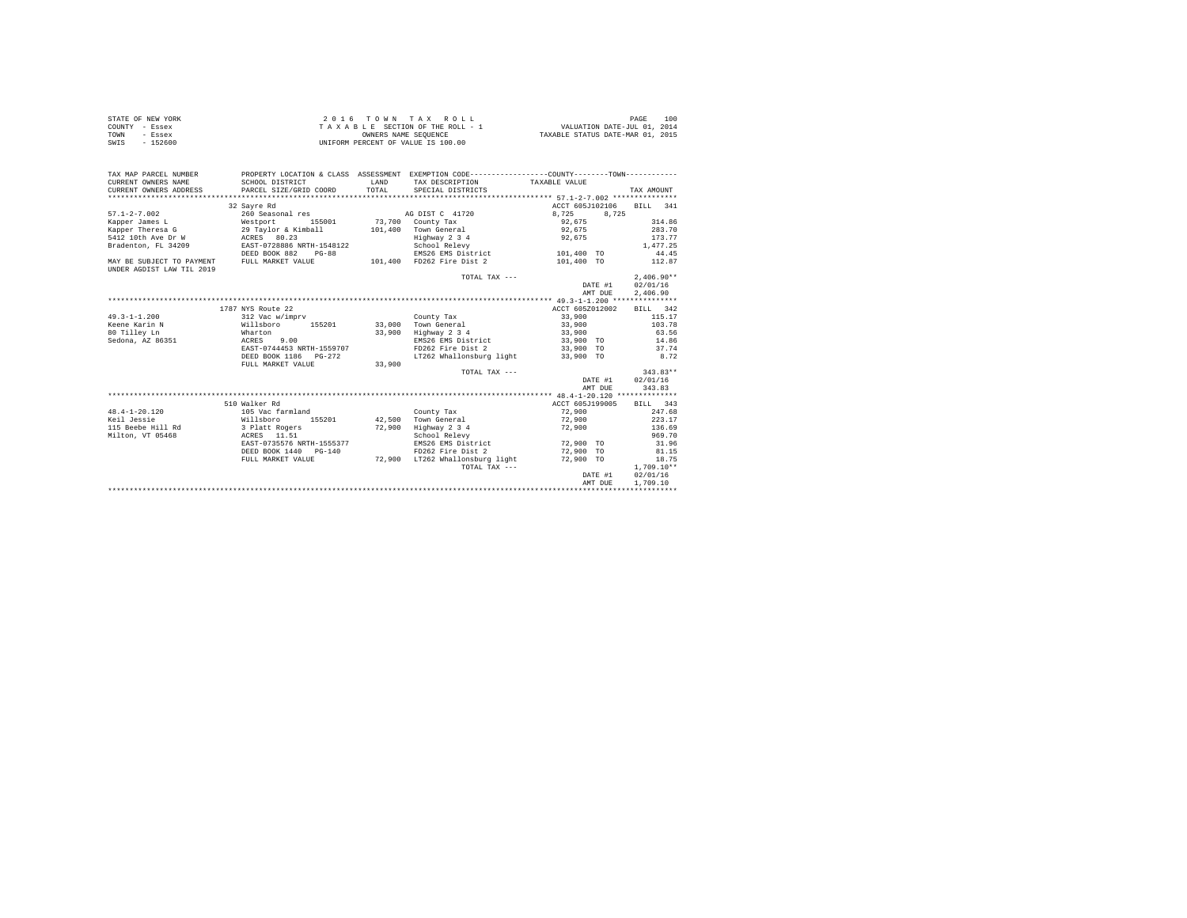|      | STATE OF NEW YORK | 2016 TOWN TAX ROLL                 | 100<br>PAGE                      |
|------|-------------------|------------------------------------|----------------------------------|
|      | COUNTY - Essex    | TAXABLE SECTION OF THE ROLL - 1    | VALUATION DATE-JUL 01, 2014      |
| TOWN | - Essex           | OWNERS NAME SEOUENCE               | TAXABLE STATUS DATE-MAR 01, 2015 |
| SWIS | - 152600          | UNIFORM PERCENT OF VALUE IS 100.00 |                                  |

| TAX MAP PARCEL NUMBER<br>CURRENT OWNERS NAME<br>CURRENT OWNERS ADDRESS PARCEL SIZE/GRID COORD                                 | PROPERTY LOCATION & CLASS ASSESSMENT EXEMPTION CODE---------------COUNTY-------TOWN----------<br>SCHOOL DISTRICT | LAND<br>TOTAL | TAX DESCRIPTION TAXABLE VALUE<br>SPECIAL DISTRICTS |           |           |                          | TAX AMOUNT   |        |
|-------------------------------------------------------------------------------------------------------------------------------|------------------------------------------------------------------------------------------------------------------|---------------|----------------------------------------------------|-----------|-----------|--------------------------|--------------|--------|
|                                                                                                                               | 32 Sayre Rd                                                                                                      |               |                                                    |           |           | ACCT 605J102106 BILL 341 |              |        |
| $57.1 - 2 - 7.002$                                                                                                            | 260 Seasonal res                                                                                                 |               | AG DIST C 41720                                    | 8.725     |           | 8,725                    |              |        |
| Kapper James L (Westport 155001 / 73,700 County Tax                                                                           |                                                                                                                  |               |                                                    | 92.675    |           |                          |              | 314.86 |
| Kapper Theresa G 39 Taylor & Kimball                                                                                          |                                                                                                                  |               | 101,400 Town General                               | 92.675    |           |                          |              | 283.70 |
|                                                                                                                               |                                                                                                                  |               | Highway 2 3 4                                      | 92.675    |           |                          |              | 173.77 |
|                                                                                                                               |                                                                                                                  |               | School Relevy                                      |           |           |                          | 1,477.25     |        |
|                                                                                                                               | DEED BOOK 882<br>$PG-88$                                                                                         |               | EMS26 EMS District 101,400 TO                      |           |           |                          |              | 44.45  |
| MAY BE SUBJECT TO PAYMENT FULL MARKET VALUE                                                                                   |                                                                                                                  |               | 101.400 FD262 Fire Dist 2 101.400 TO               |           |           |                          | 112.87       |        |
| UNDER AGDIST LAW TIL 2019                                                                                                     |                                                                                                                  |               |                                                    |           |           |                          |              |        |
|                                                                                                                               |                                                                                                                  |               | TOTAL TAX ---                                      |           |           |                          | $2.406.90**$ |        |
|                                                                                                                               |                                                                                                                  |               |                                                    |           |           | DATE #1                  | 02/01/16     |        |
|                                                                                                                               |                                                                                                                  |               |                                                    |           |           | AMT DUE                  | 2,406.90     |        |
|                                                                                                                               |                                                                                                                  |               |                                                    |           |           |                          |              |        |
|                                                                                                                               | 1787 NYS Route 22                                                                                                |               |                                                    |           |           | ACCT 605Z012002          | BILL 342     |        |
| $49.3 - 1 - 1.200$                                                                                                            | 312 Vac w/imprv                                                                                                  |               | County Tax                                         | 33,900    |           |                          |              | 115.17 |
|                                                                                                                               |                                                                                                                  |               | 33.000 Town General                                | 33,900    |           |                          |              | 103.78 |
|                                                                                                                               |                                                                                                                  | 33,900        | Highway 2 3 4                                      | 33,900    |           |                          |              | 63.56  |
| Keene Karin Nama (1980) - Willsboro (1952)<br>80 Tilley Ln (1980) - Wharton<br>Sedona, AZ 86351 - ACRES (1980) - ACRES (1980) |                                                                                                                  |               | EMS26 EMS District 33,900 TO                       |           |           |                          | 14.86        |        |
|                                                                                                                               | EAST-0744453 NRTH-1559707                                                                                        |               | FD262 Fire Dist 2 33,900 TO 37.74                  |           |           |                          |              |        |
|                                                                                                                               | DEED BOOK 1186    PG-272                                                                                         |               | LT262 Whallonsburg light 33.900 TO                 |           |           |                          | 8.72         |        |
|                                                                                                                               | FULL MARKET VALUE                                                                                                | 33,900        |                                                    |           |           |                          |              |        |
|                                                                                                                               |                                                                                                                  |               | TOTAL TAX ---                                      |           |           |                          | $343.83**$   |        |
|                                                                                                                               |                                                                                                                  |               |                                                    |           |           | DATE #1                  | 02/01/16     |        |
|                                                                                                                               |                                                                                                                  |               |                                                    |           |           | AMT DUE                  |              | 343.83 |
|                                                                                                                               |                                                                                                                  |               |                                                    |           |           |                          |              |        |
|                                                                                                                               | 510 Walker Rd                                                                                                    |               |                                                    |           |           | ACCT 605J199005          | BILL 343     |        |
| $48.4 - 1 - 20.120$                                                                                                           | 105 Vac farmland                                                                                                 |               | County Tax                                         | 72,900    |           |                          |              | 247.68 |
| Keil Jessie                                                                                                                   | Willsboro<br>155201                                                                                              |               | 42,500 Town General                                |           | 72,900    |                          |              | 223.17 |
| 115 Beebe Hill Rd 3 Platt Rogers                                                                                              |                                                                                                                  | 72,900        | Highway 2 3 4                                      | 72,900    |           |                          |              | 136.69 |
| Milton, VT 05468                                                                                                              | ACRES 11.51                                                                                                      |               | School Relevy                                      |           |           |                          |              | 969.70 |
|                                                                                                                               | EAST-0735576 NRTH-1555377                                                                                        |               | EMS26 EMS District                                 | 72,900 TO |           |                          |              | 31.96  |
|                                                                                                                               | DEED BOOK 1440 PG-140                                                                                            |               | FD262 Fire Dist 2                                  |           | 72,900 TO |                          |              | 81.15  |
|                                                                                                                               | FULL MARKET VALUE                                                                                                |               | 72,900 LT262 Whallonsburg light 72,900 TO          |           |           |                          |              | 18.75  |
|                                                                                                                               |                                                                                                                  |               | TOTAL TAX ---                                      |           |           |                          | $1.709.10**$ |        |
|                                                                                                                               |                                                                                                                  |               |                                                    |           |           | DATE #1                  | 02/01/16     |        |
|                                                                                                                               |                                                                                                                  |               |                                                    |           |           | AMT DUE                  | 1,709.10     |        |
|                                                                                                                               |                                                                                                                  |               |                                                    |           |           |                          |              |        |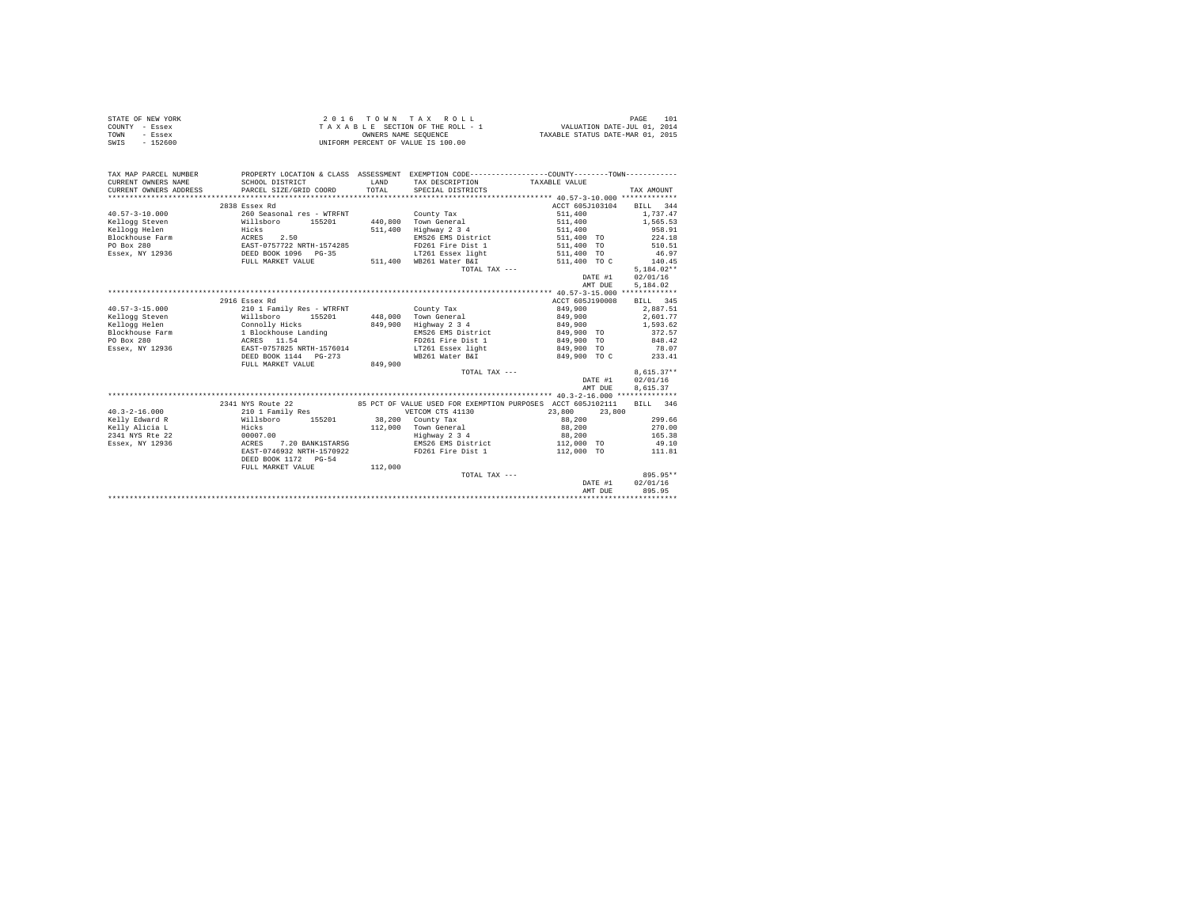| STATE OF NEW YORK | $2.0.16$ TOWN TAX ROLL             | 101<br>PAGE                      |
|-------------------|------------------------------------|----------------------------------|
| COUNTY - Essex    | TAXABLE SECTION OF THE ROLL - 1    | VALUATION DATE-JUL 01, 2014      |
| TOWN<br>- Essex   | OWNERS NAME SEOUENCE               | TAXABLE STATUS DATE-MAR 01, 2015 |
| SWIS<br>$-152600$ | UNIFORM PERCENT OF VALUE IS 100.00 |                                  |

| TAX MAP PARCEL NUMBER<br>CURRENT OWNERS NAME  | PROPERTY LOCATION & CLASS ASSESSMENT EXEMPTION CODE---------------COUNTY-------TOWN---------<br>SCHOOL DISTRICT | <b>T.AND</b> | TAX DESCRIPTION         | TAXABLE VALUE                                                        |              |
|-----------------------------------------------|-----------------------------------------------------------------------------------------------------------------|--------------|-------------------------|----------------------------------------------------------------------|--------------|
| CURRENT OWNERS ADDRESS PARCEL SIZE/GRID COORD |                                                                                                                 | TOTAL        | SPECIAL DISTRICTS       |                                                                      | TAX AMOUNT   |
|                                               |                                                                                                                 |              |                         |                                                                      |              |
|                                               | 2838 Essex Rd                                                                                                   |              |                         | ACCT 605J103104                                                      | BILL 344     |
| $40.57 - 3 - 10.000$                          | 260 Seasonal res - WTRFNT                                                                                       |              | County Tax              | 511,400                                                              | 1,737.47     |
| Kellogg Steven                                | Willsboro 155201                                                                                                |              | 440,800 Town General    | 511,400                                                              | 1,565.53     |
| Hicks<br>Kellogg Helen                        |                                                                                                                 | 511,400      | Highway 2 3 4           | 511,400                                                              | 958.91       |
| Blockhouse Farm ACRES 2.50                    |                                                                                                                 |              |                         | EMS26 EMS District 511,400 TO                                        | 224.18       |
| PO Box 280                                    | EAST-0757722 NRTH-1574285<br>DEED BOOK 1096 PG-35                                                               |              | FD261 Fire Dist 1       | 511,400 TO                                                           | 510.51       |
| Essex, NY 12936                               |                                                                                                                 |              | LT261 Essex light       | 511,400 TO                                                           | 46.97        |
|                                               | FULL MARKET VALUE                                                                                               |              | 511,400 WB261 Water B&I | 511,400 TO C                                                         | 140.45       |
|                                               |                                                                                                                 |              | TOTAL TAX ---           |                                                                      | $5.184.02**$ |
|                                               |                                                                                                                 |              |                         | DATE #1                                                              | 02/01/16     |
|                                               |                                                                                                                 |              |                         | AMT DUE                                                              | 5,184.02     |
|                                               |                                                                                                                 |              |                         |                                                                      |              |
|                                               | 2916 Essex Rd                                                                                                   |              |                         | ACCT 605J190008                                                      | BILL 345     |
| $40.57 - 3 - 15.000$                          | 210 1 Family Res - WTRFNT                                                                                       |              | County Tax              | 849,900                                                              | 2,887.51     |
| Kellogg Steven                                | Willsboro<br>155201                                                                                             |              | 448,000 Town General    | 849,900                                                              | 2.601.77     |
| Kellogg Helen                                 |                                                                                                                 | 849,900      | Highway 2 3 4           | 849,900                                                              | 1,593.62     |
| Blockhouse Farm                               | Connolly Hicks<br>1 Blockhouse Landing                                                                          |              | EMS26 EMS District      | 849,900 TO                                                           | 372.57       |
| PO Box 280                                    | ACRES 11.54                                                                                                     |              |                         | FD261 Fire Dist 1 849,900 TO                                         | 848.42       |
|                                               | Essex, NY 12936 688T-0757825 NRTH-1576014                                                                       |              |                         | LT261 Essex light 849,900 TO                                         | 78.07        |
|                                               |                                                                                                                 |              | WB261 Water B&I         | 849,900 TO C                                                         | 233.41       |
|                                               | FULL MARKET VALUE                                                                                               | 849,900      |                         |                                                                      |              |
|                                               |                                                                                                                 |              | TOTAL TAX ---           |                                                                      | $8,615.37**$ |
|                                               |                                                                                                                 |              |                         | DATE #1                                                              | 02/01/16     |
|                                               |                                                                                                                 |              |                         | AMT DUE                                                              | 8,615.37     |
|                                               |                                                                                                                 |              |                         |                                                                      |              |
|                                               | 2341 NYS Route 22                                                                                               |              |                         | 85 PCT OF VALUE USED FOR EXEMPTION PURPOSES ACCT 605J102111 BILL 346 |              |
| $40.3 - 2 - 16.000$                           | 210 1 Family Res                                                                                                |              | VETCOM CTS 41130        | 23,800<br>23,800                                                     |              |
| Kelly Edward R                                | Willsboro 155201 38,200 County Tax                                                                              |              |                         | 88,200                                                               | 299.66       |
| Kelly Alicia L                                | Hicks<br>00007.00                                                                                               |              | 112,000 Town General    | 88,200                                                               | 270.00       |
| 2341 NYS Rte 22                               |                                                                                                                 |              | Highway 2 3 4           | 88,200                                                               | 165.38       |
| Essex, NY 12936                               | 7.20 BANK1STARSG<br>ACRES                                                                                       |              |                         | EMS26 EMS District 112,000 TO                                        | 49.10        |
|                                               | EAST-0746932 NRTH-1570922                                                                                       |              |                         | FD261 Fire Dist 1 112,000 TO 111.81                                  |              |
|                                               | DEED BOOK 1172 PG-54                                                                                            |              |                         |                                                                      |              |
|                                               | FULL MARKET VALUE                                                                                               | 112,000      |                         |                                                                      |              |
|                                               |                                                                                                                 |              | TOTAL TAX ---           |                                                                      | 895.95**     |
|                                               |                                                                                                                 |              |                         | DATE #1                                                              | 02/01/16     |
|                                               |                                                                                                                 |              |                         | AMT DUE                                                              | 895.95       |
|                                               |                                                                                                                 |              |                         |                                                                      |              |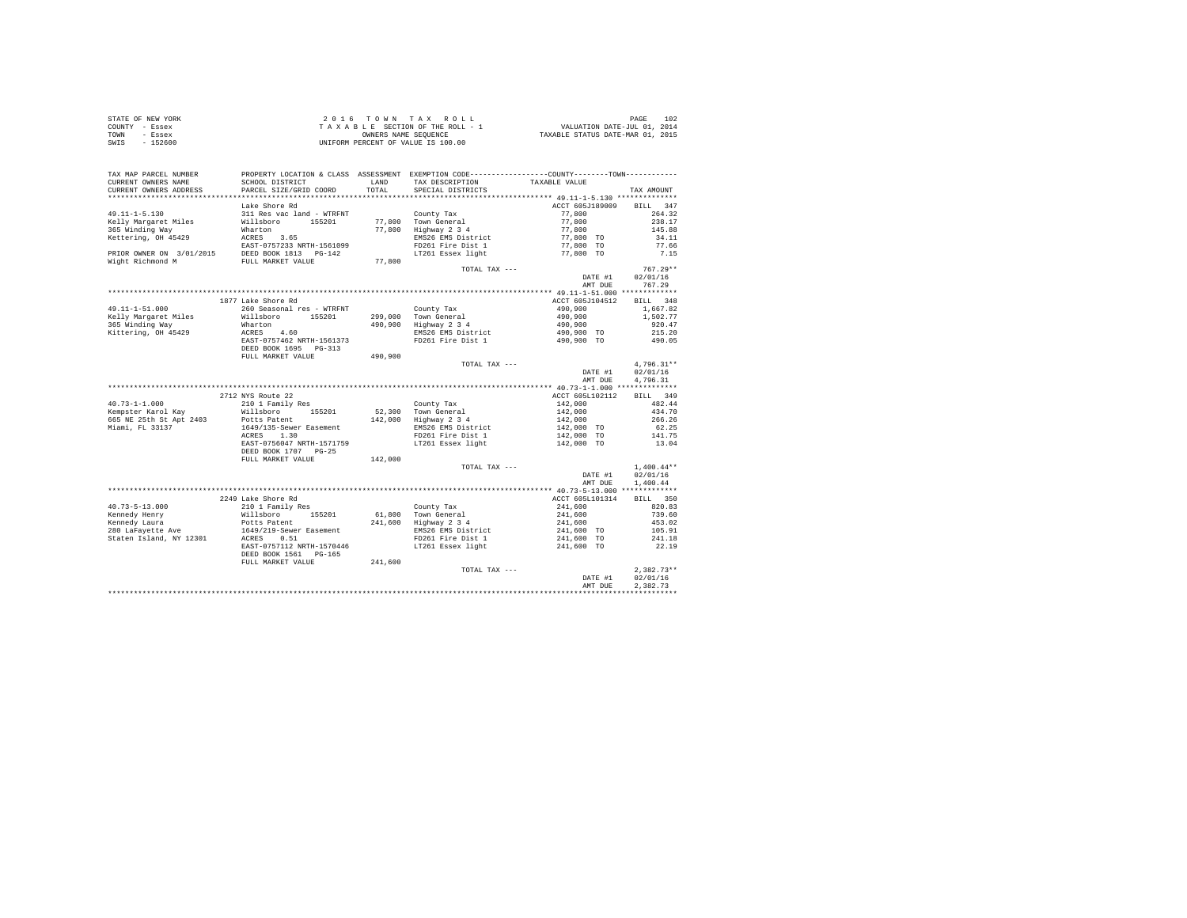| STATE OF NEW YORK | 2016 TOWN TAX ROLL                 | 102<br>PAGE                      |
|-------------------|------------------------------------|----------------------------------|
| COUNTY - Essex    | TAXABLE SECTION OF THE ROLL - 1    | VALUATION DATE-JUL 01, 2014      |
| TOWN<br>- Essex   | OWNERS NAME SEOUENCE               | TAXABLE STATUS DATE-MAR 01, 2015 |
| $-152600$<br>SWIS | UNIFORM PERCENT OF VALUE IS 100.00 |                                  |

| TAX MAP PARCEL NUMBER                                                      | PROPERTY LOCATION & CLASS ASSESSMENT  |               | EXEMPTION CODE-----------------COUNTY--------TOWN----------- |                                                    |                  |
|----------------------------------------------------------------------------|---------------------------------------|---------------|--------------------------------------------------------------|----------------------------------------------------|------------------|
| CURRENT OWNERS NAME<br>CURRENT OWNERS ADDRESS                              | SCHOOL DISTRICT                       | LAND<br>TOTAL | TAX DESCRIPTION                                              | TAXABLE VALUE                                      |                  |
| *********************                                                      | PARCEL SIZE/GRID COORD                |               | SPECIAL DISTRICTS                                            |                                                    | TAX AMOUNT       |
|                                                                            |                                       |               |                                                              |                                                    |                  |
|                                                                            | Lake Shore Rd                         |               |                                                              | ACCT 605J189009                                    | BILL 347         |
| $49.11 - 1 - 5.130$                                                        | 311 Res vac land - WTRFNT             |               | County Tax                                                   | 77,800                                             | 264.32           |
| Kelly Margaret Miles                                                       | Willsboro<br>155201                   |               | 77,800 Town General<br>77,800 Highway 2 3 4                  | $77,800$<br>$77,800$<br>$77,800$ TO<br>$77,800$ TO | 238.17           |
| 365 Winding Way                                                            | Wharton                               |               |                                                              |                                                    | 145.88           |
| Kettering, OH 45429                                                        | ACRES 3.65                            |               | EMS26 EMS District                                           |                                                    | 34.11            |
| EAST-0757233 NRTH-156109<br>PRIOR OWNER ON 3/01/2015 DEED BOOK 1813 PG-142 | EAST-0757233 NRTH-1561099             |               | FD261 Fire Dist 1                                            |                                                    | 77.66            |
|                                                                            |                                       |               | LT261 Essex light                                            | 77,800 TO                                          | 7.15             |
| Wight Richmond M                                                           | FULL MARKET VALUE                     | 77,800        |                                                              |                                                    |                  |
|                                                                            |                                       |               | TOTAL TAX ---                                                |                                                    | $767.29**$       |
|                                                                            |                                       |               |                                                              | DATE #1                                            | 02/01/16         |
|                                                                            |                                       |               |                                                              | AMT DUE                                            | 767.29           |
|                                                                            |                                       |               |                                                              |                                                    |                  |
|                                                                            | 1877 Lake Shore Rd                    |               |                                                              | ACCT 605J104512                                    | BILL 348         |
| $49.11 - 1 - 51.000$                                                       | 260 Seasonal res - WTRFNT             |               | County Tax                                                   | 490,900                                            | 1,667.82         |
| Kelly Margaret Miles                                                       | Willsboro 155201                      |               | 299,000 Town General<br>490,900 Highway 2 3 4                | 490.900                                            | 1,502.77         |
| 365 Winding Way                                                            | Wharton                               |               |                                                              | 490,900                                            | 920.47           |
| Kittering, OH 45429                                                        | ACRES 4.60                            |               | EMS26 EMS District                                           | 490,900 TO                                         | 215.20           |
|                                                                            | EAST-0757462 NRTH-1561373             |               | FD261 Fire Dist 1                                            | 490,900 TO                                         | 490.05           |
|                                                                            | DEED BOOK 1695 PG-313                 |               |                                                              |                                                    |                  |
|                                                                            | FULL MARKET VALUE                     | 490,900       |                                                              |                                                    |                  |
|                                                                            |                                       |               | TOTAL TAX ---                                                |                                                    | 4,796.31**       |
|                                                                            |                                       |               |                                                              | DATE #1                                            | 02/01/16         |
|                                                                            |                                       |               |                                                              | AMT DUE                                            | 4,796.31         |
|                                                                            |                                       |               |                                                              |                                                    |                  |
|                                                                            | 2712 NYS Route 22                     |               |                                                              | ACCT 605L102112                                    | BILL 349         |
| $40.73 - 1 - 1.000$                                                        | 210 1 Family Res                      |               | County Tax                                                   | 142,000                                            | 482.44           |
| Kempster Karol Kay                                                         | Willsboro 155201                      |               | 52,300 Town General                                          | 142,000                                            | 434.70           |
|                                                                            | Potts Patent                          |               | 142,000 Highway 2 3 4                                        |                                                    | 266.26           |
| 665 NE 25th St Apt 2403                                                    |                                       |               |                                                              | 142,000                                            | 62.25            |
| Miami, FL 33137                                                            | 1649/135-Sewer Easement<br>ACRES 1.30 |               | EMS26 EMS District                                           | 142,000 TO                                         | 141.75           |
|                                                                            |                                       |               | FD261 Fire Dist 1                                            | 142,000 TO                                         |                  |
|                                                                            | EAST-0756047 NRTH-1571759             |               | LT261 Essex light                                            | 142,000 TO                                         | 13.04            |
|                                                                            | DEED BOOK 1707 PG-25                  |               |                                                              |                                                    |                  |
|                                                                            | FULL MARKET VALUE                     | 142,000       |                                                              |                                                    |                  |
|                                                                            |                                       |               | TOTAL TAX ---                                                |                                                    | $1,400.44**$     |
|                                                                            |                                       |               |                                                              | DATE #1                                            | 02/01/16         |
|                                                                            |                                       |               |                                                              | AMT DUE                                            | 1,400.44         |
|                                                                            |                                       |               |                                                              |                                                    |                  |
|                                                                            | 2249 Lake Shore Rd                    |               |                                                              | ACCT 605L101314                                    | BILL 350         |
| $40.73 - 5 - 13.000$                                                       | 210 1 Family Res                      |               | County Tax                                                   | 241,600                                            | 820.83           |
| Kennedy Henry                                                              | Willsboro 155201<br>Potts Patent      |               | 61,800 Town General                                          | 241,600                                            | 739.60           |
| Kennedy Laura                                                              |                                       |               | 241,600 Highway 2 3 4                                        | 241,600                                            | 453.02           |
| 280 LaFayette Ave                                                          | 1649/219-Sewer Easement<br>ACRES 0.51 |               | EMS26 EMS District                                           | 241,600 TO                                         | 105.91<br>241.18 |
| Staten Island, NY 12301                                                    |                                       |               | FD261 Fire Dist 1                                            | 241,600 TO                                         |                  |
|                                                                            | EAST-0757112 NRTH-1570446             |               | LT261 Essex light                                            | 241,600 TO                                         | 22.19            |
|                                                                            | DEED BOOK 1561 PG-165                 |               |                                                              |                                                    |                  |
|                                                                            | FULL MARKET VALUE                     | 241,600       |                                                              |                                                    |                  |
|                                                                            |                                       |               | TOTAL TAX ---                                                |                                                    | $2,382.73**$     |
|                                                                            |                                       |               |                                                              | DATE #1                                            | 02/01/16         |
|                                                                            |                                       |               |                                                              | AMT DUE                                            | 2,382.73         |
|                                                                            |                                       |               |                                                              |                                                    |                  |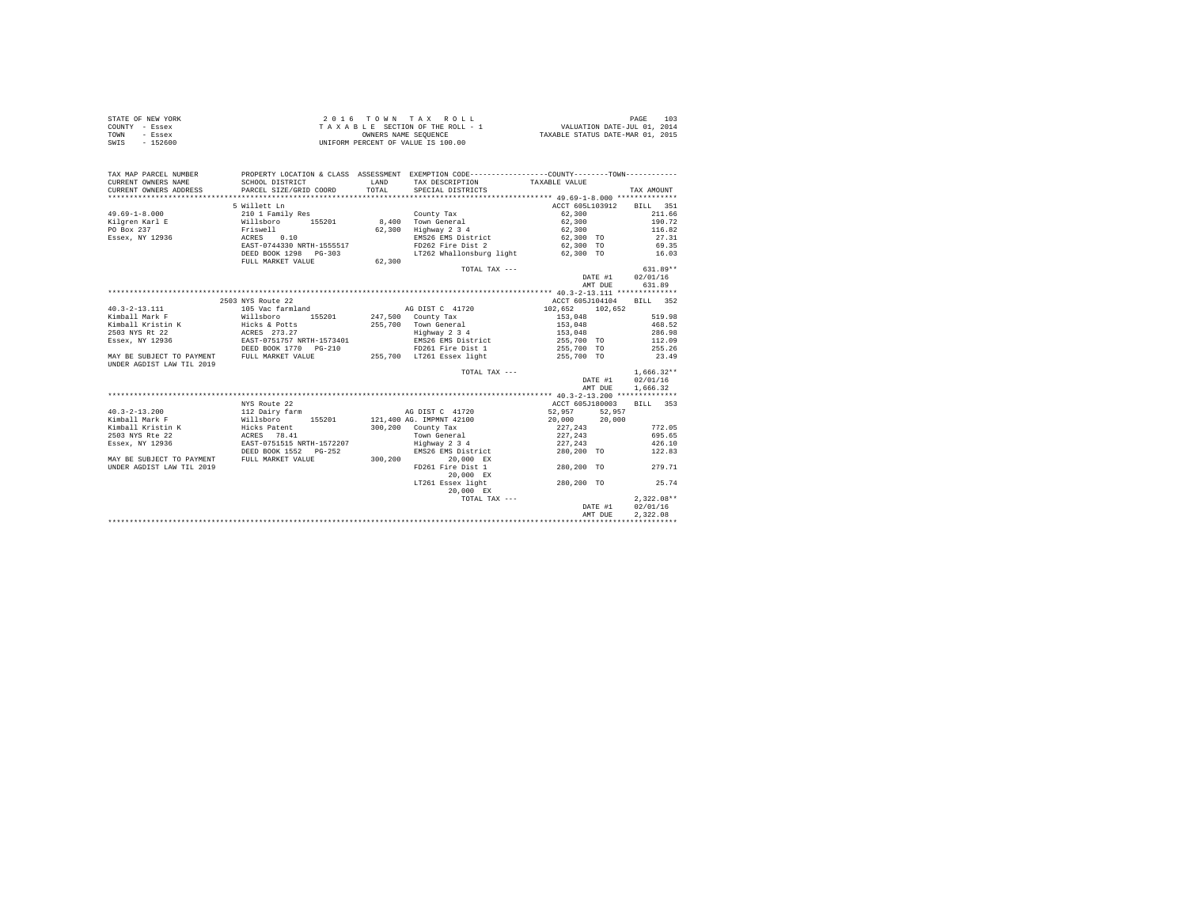| STATE OF NEW YORK | $2.0.16$ TOWN TAX ROLL             | 103<br>PAGE                      |
|-------------------|------------------------------------|----------------------------------|
| COUNTY - Essex    | TAXABLE SECTION OF THE ROLL - 1    | VALUATION DATE-JUL 01, 2014      |
| TOWN<br>- Essex   | OWNERS NAME SEOUENCE               | TAXABLE STATUS DATE-MAR 01, 2015 |
| - 152600<br>SWIS  | UNIFORM PERCENT OF VALUE IS 100.00 |                                  |

| TAX MAP PARCEL NUMBER<br>CURRENT OWNERS NAME                                         | SCHOOL DISTRICT                                                                                                                                                                                                                      | LAND   | PROPERTY LOCATION & CLASS ASSESSMENT EXEMPTION CODE---------------COUNTY--------TOWN----------<br>TAX DESCRIPTION | TAXABLE VALUE                    |                  |
|--------------------------------------------------------------------------------------|--------------------------------------------------------------------------------------------------------------------------------------------------------------------------------------------------------------------------------------|--------|-------------------------------------------------------------------------------------------------------------------|----------------------------------|------------------|
| CURRENT OWNERS ADDRESS                                                               | PARCEL SIZE/GRID COORD                                                                                                                                                                                                               | TOTAL. | SPECIAL DISTRICTS                                                                                                 |                                  | TAX AMOUNT       |
|                                                                                      |                                                                                                                                                                                                                                      |        |                                                                                                                   |                                  |                  |
|                                                                                      | 5 Willett Ln                                                                                                                                                                                                                         |        |                                                                                                                   | ACCT 605L103912 BILL 351         |                  |
| $49.69 - 1 - 8.000$                                                                  | 210 1 Family Res                                                                                                                                                                                                                     |        | County Tax                                                                                                        | 62,300                           | 211.66           |
|                                                                                      |                                                                                                                                                                                                                                      |        |                                                                                                                   | $62,300$<br>$62,300$             | 190.72           |
|                                                                                      |                                                                                                                                                                                                                                      |        |                                                                                                                   |                                  | 116.82           |
|                                                                                      |                                                                                                                                                                                                                                      |        |                                                                                                                   | EMS26 EMS District 62,300 TO     | 27.31            |
|                                                                                      | EAST-0744330 NRTH-1555517                                                                                                                                                                                                            |        | FD262 Fire Dist 2                                                                                                 | 62,300 TO                        | 69.35            |
|                                                                                      | DEED BOOK 1298 PG-303                                                                                                                                                                                                                |        | LT262 Whallonsburg light                                                                                          | 62,300 TO                        | 16.03            |
|                                                                                      | FULL MARKET VALUE                                                                                                                                                                                                                    | 62,300 |                                                                                                                   |                                  |                  |
|                                                                                      |                                                                                                                                                                                                                                      |        | TOTAL TAX ---                                                                                                     |                                  | $631.89**$       |
|                                                                                      |                                                                                                                                                                                                                                      |        |                                                                                                                   | DATE #1                          | 02/01/16         |
|                                                                                      |                                                                                                                                                                                                                                      |        |                                                                                                                   | AMT DUE                          | 631.89           |
|                                                                                      |                                                                                                                                                                                                                                      |        |                                                                                                                   |                                  |                  |
|                                                                                      | 2503 NYS Route 22                                                                                                                                                                                                                    |        |                                                                                                                   | ACCT 605J104104 BILL 352         |                  |
| $40.3 - 2 - 13.111$                                                                  | 105 Vac farmland                                                                                                                                                                                                                     |        | AG DIST C 41720                                                                                                   | 102,652 102,652                  |                  |
|                                                                                      |                                                                                                                                                                                                                                      |        |                                                                                                                   | $153,048$<br>$153,048$           | 519.98           |
|                                                                                      |                                                                                                                                                                                                                                      |        | 255,700 Town General                                                                                              |                                  | 468.52           |
| 2503 NYS Rt 22                                                                       |                                                                                                                                                                                                                                      |        |                                                                                                                   |                                  |                  |
| Essex, NY 12936                                                                      |                                                                                                                                                                                                                                      |        |                                                                                                                   |                                  |                  |
|                                                                                      |                                                                                                                                                                                                                                      |        |                                                                                                                   |                                  |                  |
| MAY BE SUBJECT TO PAYMENT FULL MARKET VALUE                                          | Highway 2 3 4<br>ACRES 273.27<br>EAST-0751757 NRTH-1573401 BMS26 EMS District 255,700 TO 112.09<br>DEED BOOK 1770 PG-210 PD261 Fire Dist 1 255,700 TO 255.26<br>PRIMENT PULL MARKET VALUE 255,700 LT261 Essex light 255,700 TO 23.49 |        |                                                                                                                   |                                  |                  |
| UNDER AGDIST LAW TIL 2019                                                            |                                                                                                                                                                                                                                      |        |                                                                                                                   |                                  |                  |
|                                                                                      |                                                                                                                                                                                                                                      |        | TOTAL TAX ---                                                                                                     |                                  | $1,666.32**$     |
|                                                                                      |                                                                                                                                                                                                                                      |        |                                                                                                                   |                                  | DATE #1 02/01/16 |
|                                                                                      |                                                                                                                                                                                                                                      |        |                                                                                                                   | AMT DUE                          | 1,666.32         |
|                                                                                      |                                                                                                                                                                                                                                      |        |                                                                                                                   |                                  |                  |
| $40.3 - 2 - 13.200$                                                                  | NYS Route 22<br>112 Dairy farm                                                                                                                                                                                                       |        | AG DIST C 41720                                                                                                   | ACCT 605J180003<br>52,957 52,957 | BILL 353         |
| Kimball Mark F                                                                       | Willsboro 155201 121,400 AG. IMPMNT 42100                                                                                                                                                                                            |        |                                                                                                                   | 20,000 20,000                    |                  |
|                                                                                      |                                                                                                                                                                                                                                      |        | 300,200 County Tax                                                                                                |                                  | 772.05           |
|                                                                                      |                                                                                                                                                                                                                                      |        | Town General                                                                                                      | 227, 243<br>227,243              | 695.65           |
|                                                                                      |                                                                                                                                                                                                                                      |        |                                                                                                                   | 227.243 426.10                   |                  |
|                                                                                      |                                                                                                                                                                                                                                      |        | Highway 2 3 4<br>EMS26 EMS District                                                                               | 280,200 TO 122.83                |                  |
| DEED BOOK 1552 PG-252 MAY BE SUBJECT TO PAYMENT FULL MARKET VALUE 300,200 200,000 EX |                                                                                                                                                                                                                                      |        |                                                                                                                   |                                  |                  |
| UNDER AGDIST LAW TIL 2019                                                            |                                                                                                                                                                                                                                      |        | FD261 Fire Dist 1                                                                                                 | 280.200 TO                       | 279.71           |
|                                                                                      |                                                                                                                                                                                                                                      |        | 20.000 EX                                                                                                         |                                  |                  |
|                                                                                      |                                                                                                                                                                                                                                      |        | LT261 Essex light                                                                                                 | 280.200 TO                       | 25.74            |
|                                                                                      |                                                                                                                                                                                                                                      |        | 20,000 EX                                                                                                         |                                  |                  |
|                                                                                      |                                                                                                                                                                                                                                      |        | TOTAL TAX ---                                                                                                     |                                  | $2.322.08**$     |
|                                                                                      |                                                                                                                                                                                                                                      |        |                                                                                                                   | DATE #1                          | 02/01/16         |
|                                                                                      |                                                                                                                                                                                                                                      |        |                                                                                                                   | AMT DUE                          | 2,322.08         |
|                                                                                      |                                                                                                                                                                                                                                      |        |                                                                                                                   |                                  |                  |
|                                                                                      |                                                                                                                                                                                                                                      |        |                                                                                                                   |                                  |                  |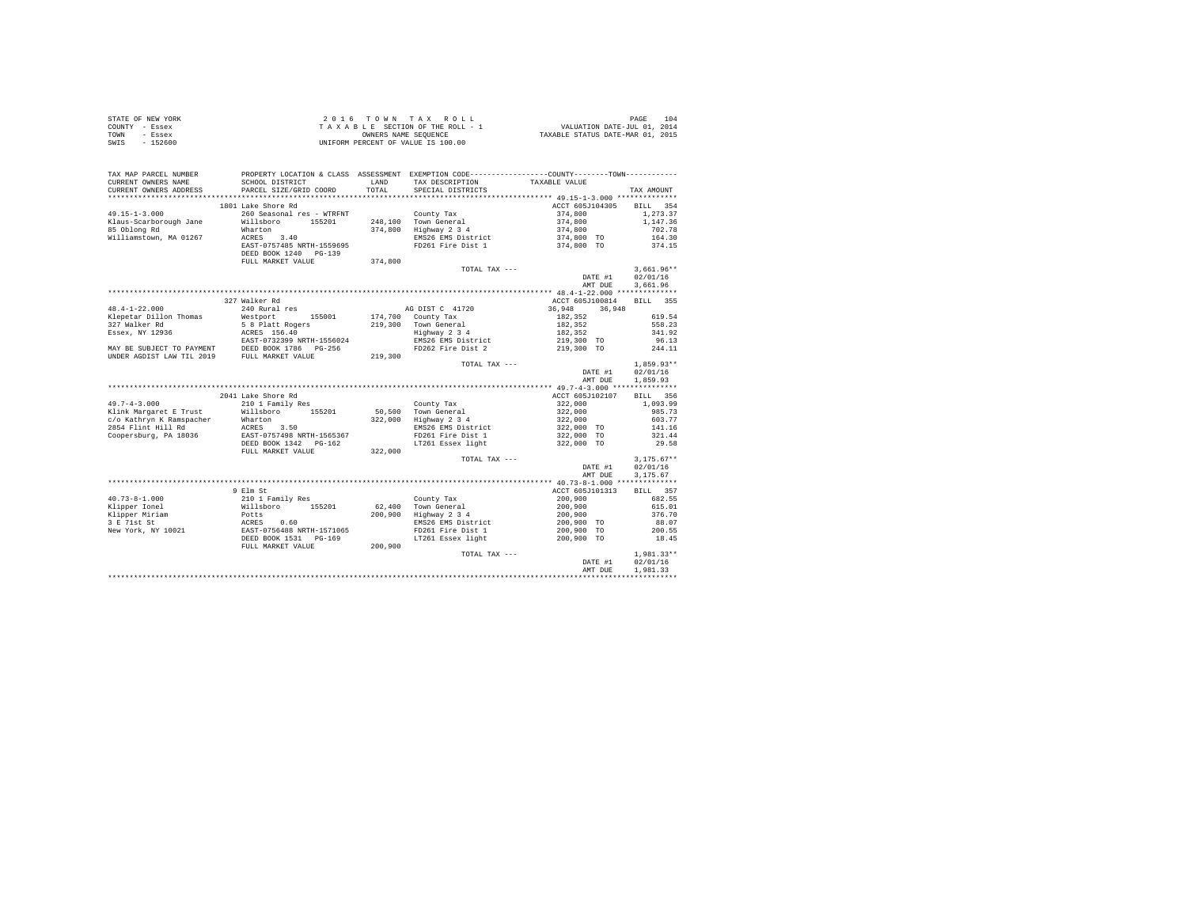|                | STATE OF NEW YORK | 2016 TOWN TAX ROLL                 | 104<br>PAGE                      |
|----------------|-------------------|------------------------------------|----------------------------------|
| COUNTY - Essex |                   | TAXABLE SECTION OF THE ROLL - 1    | VALUATION DATE-JUL 01, 2014      |
| TOWN           | - Essex           | OWNERS NAME SEOUENCE               | TAXABLE STATUS DATE-MAR 01, 2015 |
| SWIS           | $-152600$         | UNIFORM PERCENT OF VALUE IS 100.00 |                                  |

| TAX MAP PARCEL NUMBER<br>CURRENT OWNERS NAME<br>CURRENT OWNERS ADDRESS | PROPERTY LOCATION & CLASS ASSESSMENT EXEMPTION CODE----------------COUNTY-------TOWN----------<br>SCHOOL DISTRICT<br>PARCEL SIZE/GRID COORD | LAND<br>TOTAL | TAX DESCRIPTION<br>SPECIAL DISTRICTS | TAXABLE VALUE    | TAX AMOUNT         |
|------------------------------------------------------------------------|---------------------------------------------------------------------------------------------------------------------------------------------|---------------|--------------------------------------|------------------|--------------------|
|                                                                        |                                                                                                                                             |               |                                      |                  |                    |
|                                                                        | 1801 Lake Shore Rd                                                                                                                          |               |                                      | ACCT 605J104305  | <b>BILL</b><br>354 |
| $49.15 - 1 - 3.000$                                                    | 260 Seasonal res - WTRFNT                                                                                                                   |               | County Tax                           | 374,800          | 1,273.37           |
| Klaus-Scarborough Jane                                                 | Willsboro<br>155201                                                                                                                         |               | 248.100 Town General                 | 374,800          | 1,147.36           |
| 85 Oblong Rd                                                           | Wharton                                                                                                                                     | 374,800       | Highway 2 3 4                        | 374,800          | 702.78             |
| Williamstown, MA 01267                                                 | ACRES 3.40                                                                                                                                  |               | EMS26 EMS District                   | 374,800 TO       | 164.30             |
|                                                                        | EAST-0757485 NRTH-1559695                                                                                                                   |               | FD261 Fire Dist 1                    | 374,800 TO       | 374.15             |
|                                                                        | DEED BOOK 1240 PG-139                                                                                                                       |               |                                      |                  |                    |
|                                                                        | FULL MARKET VALUE                                                                                                                           | 374,800       |                                      |                  |                    |
|                                                                        |                                                                                                                                             |               | TOTAL TAX ---                        |                  | $3.661.96**$       |
|                                                                        |                                                                                                                                             |               |                                      | DATE #1          | 02/01/16           |
|                                                                        |                                                                                                                                             |               |                                      | AMT DUE          | 3,661.96           |
|                                                                        |                                                                                                                                             |               |                                      |                  |                    |
|                                                                        | 327 Walker Rd                                                                                                                               |               |                                      | ACCT 605J100814  | BILL 355           |
| $48.4 - 1 - 22.000$                                                    | 240 Rural res                                                                                                                               |               | AG DIST C 41720                      | 36,948<br>36,948 |                    |
| Klepetar Dillon Thomas                                                 | Westport<br>155001                                                                                                                          |               | 174,700 County Tax                   | 182.352          | 619.54             |
| 327 Walker Rd                                                          | 5 8 Platt Rogers                                                                                                                            | 219,300       | Town General                         | 182,352          | 558.23             |
| Essex, NY 12936                                                        | ACRES 156.40                                                                                                                                |               | Highway 2 3 4                        | 182,352          | 341.92             |
|                                                                        | EAST-0732399 NRTH-1556024                                                                                                                   |               | EMS26 EMS District                   | 219,300 TO       | 96.13              |
|                                                                        | MAY BE SUBJECT TO PAYMENT DEED BOOK 1786 PG-256                                                                                             |               | FD262 Fire Dist 2                    | 219,300 TO       | 244.11             |
| UNDER AGDIST LAW TIL 2019                                              | FULL MARKET VALUE                                                                                                                           | 219,300       |                                      |                  |                    |
|                                                                        |                                                                                                                                             |               | TOTAL TAX ---                        |                  | $1.859.93**$       |
|                                                                        |                                                                                                                                             |               |                                      | DATE #1          | 02/01/16           |
|                                                                        |                                                                                                                                             |               |                                      | AMT DUE          | 1,859.93           |
|                                                                        |                                                                                                                                             |               |                                      |                  |                    |
|                                                                        | 2041 Lake Shore Rd                                                                                                                          |               |                                      | ACCT 605J102107  | BILL 356           |
| $49.7 - 4 - 3.000$                                                     | 210 1 Family Res                                                                                                                            |               | County Tax                           | 322,000          | 1,093.99           |
| Klink Margaret E Trust                                                 | Willsboro<br>155201                                                                                                                         | 50,500        | Town General                         | 322,000          | 985.73             |
| c/o Kathryn K Ramspacher                                               | Wharton                                                                                                                                     | 322,000       | Highway 2 3 4                        | 322,000          | 603.77             |
| 2854 Flint Hill Rd                                                     | ACRES 3.50                                                                                                                                  |               | EMS26 EMS District                   | 322,000 TO       | 141.16             |
| Coopersburg, PA 18036                                                  | EAST-0757498 NRTH-1565367                                                                                                                   |               | FD261 Fire Dist 1                    | 322,000 TO       | 321.44             |
|                                                                        | DEED BOOK 1342 PG-162                                                                                                                       |               | LT261 Essex light                    | 322,000 TO       | 29.58              |
|                                                                        | FULL MARKET VALUE                                                                                                                           | 322,000       |                                      |                  |                    |
|                                                                        |                                                                                                                                             |               | TOTAL TAX ---                        |                  | $3.175.67**$       |
|                                                                        |                                                                                                                                             |               |                                      | DATE #1          | 02/01/16           |
|                                                                        |                                                                                                                                             |               |                                      | AMT DUE          | 3,175.67           |
|                                                                        |                                                                                                                                             |               |                                      |                  |                    |
|                                                                        | 9 Elm St                                                                                                                                    |               |                                      | ACCT 605J101313  | 357<br>BILL        |
| $40.73 - 8 - 1.000$                                                    | 210 1 Family Res                                                                                                                            |               | County Tax                           | 200,900          | 682.55             |
| Klipper Ionel                                                          | Willsboro<br>155201                                                                                                                         | 62,400        | Town General                         | 200,900          | 615.01             |
| Klipper Miriam                                                         | Potts                                                                                                                                       | 200,900       | Highway 2 3 4                        | 200,900          | 376.70             |
| 3 E 71st St                                                            | ACRES 0.60<br>EAST-0756488 NRTH-1571065                                                                                                     |               | EMS26 EMS District                   | 200,900 TO       | 88.07              |
| New York, NY 10021                                                     |                                                                                                                                             |               | FD261 Fire Dist 1                    | 200,900 TO       | 200.55             |
|                                                                        | DEED BOOK 1531 PG-169                                                                                                                       |               | LT261 Essex light                    | 200,900 TO       | 18.45              |
|                                                                        | FULL MARKET VALUE                                                                                                                           | 200,900       |                                      |                  |                    |
|                                                                        |                                                                                                                                             |               | TOTAL TAX ---                        |                  | 1,981.33**         |
|                                                                        |                                                                                                                                             |               |                                      | DATE #1          | 02/01/16           |
|                                                                        |                                                                                                                                             |               |                                      | AMT DUE          | 1,981.33           |
|                                                                        |                                                                                                                                             |               |                                      |                  |                    |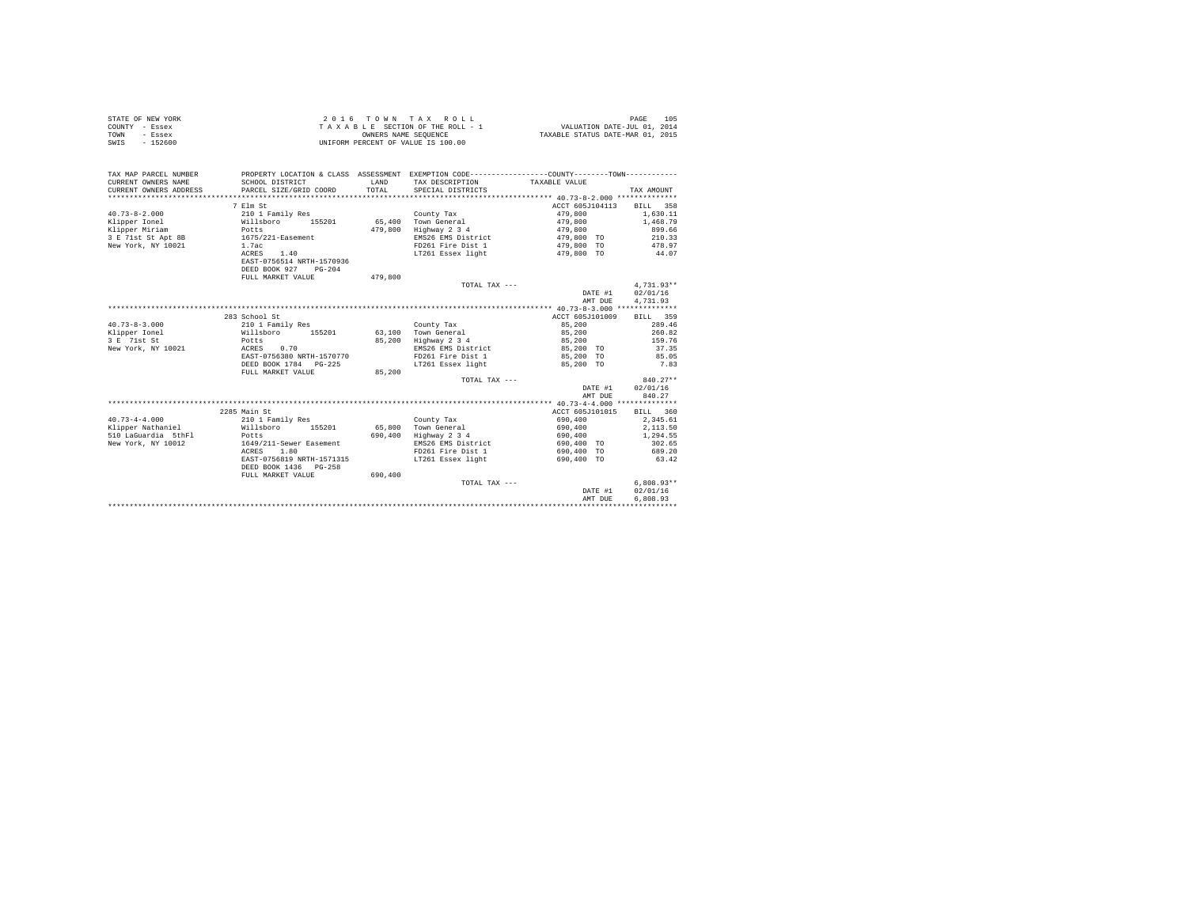|                | STATE OF NEW YORK |  |  |  | 2016 TOWN TAX ROLL                 |  |  |  |  |                                  |                             | PAGE | 105 |
|----------------|-------------------|--|--|--|------------------------------------|--|--|--|--|----------------------------------|-----------------------------|------|-----|
| COUNTY - Essex |                   |  |  |  | TAXABLE SECTION OF THE ROLL - 1    |  |  |  |  |                                  | VALUATION DATE-JUL 01, 2014 |      |     |
| TOWN           | - Essex           |  |  |  | OWNERS NAME SEOUENCE               |  |  |  |  | TAXABLE STATUS DATE-MAR 01, 2015 |                             |      |     |
| SWIS           | - 152600          |  |  |  | UNIFORM PERCENT OF VALUE IS 100.00 |  |  |  |  |                                  |                             |      |     |

| ACCT 605J104113<br>7 Elm St<br>BILL 358<br>1,630.11<br>$40.73 - 8 - 2.000$<br>210 1 Family Res<br>479,800<br>County Tax<br>65,400 Town General<br>Klipper Ionel<br>Willsboro<br>155201<br>479,800<br>1,468.79<br>Klipper Miriam<br>479,800<br>Highway 2 3 4<br>899.66<br>Potts<br>479,800<br>3 E 71st St Apt 8B<br>EMS26 EMS District<br>210.33<br>1675/221-Easement<br>479,800 TO<br>New York, NY 10021<br>FD261 Fire Dist 1<br>478.97<br>1.7ac<br>479,800 TO<br>ACRES 1.40<br>LT261 Essex light<br>44.07<br>479,800 TO<br>EAST-0756514 NRTH-1570936<br>DEED BOOK 927 PG-204<br>479,800<br>FULL MARKET VALUE<br>$4.731.93**$<br>TOTAL TAX ---<br>DATE #1<br>02/01/16<br>4,731.93<br>AMT DUE<br>283 School St<br>ACCT 605J101009<br>BILL 359<br>$40.73 - 8 - 3.000$<br>85,200<br>289.46<br>210 1 Family Res<br>County Tax<br>260.82<br>Willsboro 155201<br>63.100 Town General<br>85,200<br>85,200<br>Highway 2 3 4<br>159.76<br>85,200<br>Potts<br>EMS26 EMS District<br>ACRES<br>0.70<br>85,200 TO<br>37.35<br>EAST-0756380 NRTH-1570770<br>FD261 Fire Dist 1<br>85.05<br>85,200 TO<br>LT261 Essex light<br>DEED BOOK 1784 PG-225<br>85,200 TO<br>7.83<br>85,200<br>FULL MARKET VALUE<br>$840.27**$<br>TOTAL TAX ---<br>02/01/16<br>DATE #1<br>840.27<br>AMT DUE<br>2285 Main St<br>ACCT 605J101015<br>BILL 360<br>2.345.61<br>$40.73 - 4 - 4.000$<br>210 1 Family Res<br>690,400<br>County Tax<br>Klipper Nathaniel<br>65,800<br>Town General<br>2,113.50<br>Willsboro 155201<br>690,400<br>510 LaGuardia 5thFl<br>Highway 2 3 4<br>690,400<br>690,400<br>1,294.55<br>Potts<br>New York, NY 10012<br>1649/211-Sewer Easement<br>EMS26 EMS District<br>302.65<br>690,400 TO<br>FD261 Fire Dist 1<br>689.20<br>ACRES 1.80<br>690,400 TO<br>EAST-0756819 NRTH-1571315<br>LT261 Essex light<br>63.42<br>690.400 TO<br>DEED BOOK 1436 PG-258<br>690,400<br>FULL MARKET VALUE<br>$6.808.93**$<br>TOTAL TAX ---<br>02/01/16<br>DATE #1<br>6,808.93<br>AMT DUE | TAX MAP PARCEL NUMBER<br>CURRENT OWNERS NAME<br>CURRENT OWNERS ADDRESS | SCHOOL DISTRICT<br>PARCEL SIZE/GRID COORD | <b>T.AND</b><br>TOTAL | PROPERTY LOCATION & CLASS ASSESSMENT EXEMPTION CODE----------------COUNTY--------TOWN----------<br>TAX DESCRIPTION TAXABLE VALUE<br>SPECIAL DISTRICTS | TAX AMOUNT |
|-----------------------------------------------------------------------------------------------------------------------------------------------------------------------------------------------------------------------------------------------------------------------------------------------------------------------------------------------------------------------------------------------------------------------------------------------------------------------------------------------------------------------------------------------------------------------------------------------------------------------------------------------------------------------------------------------------------------------------------------------------------------------------------------------------------------------------------------------------------------------------------------------------------------------------------------------------------------------------------------------------------------------------------------------------------------------------------------------------------------------------------------------------------------------------------------------------------------------------------------------------------------------------------------------------------------------------------------------------------------------------------------------------------------------------------------------------------------------------------------------------------------------------------------------------------------------------------------------------------------------------------------------------------------------------------------------------------------------------------------------------------------------------------------------------------------------------------------------------------------------------------------------------------------------------------------------------------|------------------------------------------------------------------------|-------------------------------------------|-----------------------|-------------------------------------------------------------------------------------------------------------------------------------------------------|------------|
|                                                                                                                                                                                                                                                                                                                                                                                                                                                                                                                                                                                                                                                                                                                                                                                                                                                                                                                                                                                                                                                                                                                                                                                                                                                                                                                                                                                                                                                                                                                                                                                                                                                                                                                                                                                                                                                                                                                                                           |                                                                        |                                           |                       |                                                                                                                                                       |            |
|                                                                                                                                                                                                                                                                                                                                                                                                                                                                                                                                                                                                                                                                                                                                                                                                                                                                                                                                                                                                                                                                                                                                                                                                                                                                                                                                                                                                                                                                                                                                                                                                                                                                                                                                                                                                                                                                                                                                                           |                                                                        |                                           |                       |                                                                                                                                                       |            |
|                                                                                                                                                                                                                                                                                                                                                                                                                                                                                                                                                                                                                                                                                                                                                                                                                                                                                                                                                                                                                                                                                                                                                                                                                                                                                                                                                                                                                                                                                                                                                                                                                                                                                                                                                                                                                                                                                                                                                           |                                                                        |                                           |                       |                                                                                                                                                       |            |
|                                                                                                                                                                                                                                                                                                                                                                                                                                                                                                                                                                                                                                                                                                                                                                                                                                                                                                                                                                                                                                                                                                                                                                                                                                                                                                                                                                                                                                                                                                                                                                                                                                                                                                                                                                                                                                                                                                                                                           |                                                                        |                                           |                       |                                                                                                                                                       |            |
|                                                                                                                                                                                                                                                                                                                                                                                                                                                                                                                                                                                                                                                                                                                                                                                                                                                                                                                                                                                                                                                                                                                                                                                                                                                                                                                                                                                                                                                                                                                                                                                                                                                                                                                                                                                                                                                                                                                                                           |                                                                        |                                           |                       |                                                                                                                                                       |            |
|                                                                                                                                                                                                                                                                                                                                                                                                                                                                                                                                                                                                                                                                                                                                                                                                                                                                                                                                                                                                                                                                                                                                                                                                                                                                                                                                                                                                                                                                                                                                                                                                                                                                                                                                                                                                                                                                                                                                                           |                                                                        |                                           |                       |                                                                                                                                                       |            |
|                                                                                                                                                                                                                                                                                                                                                                                                                                                                                                                                                                                                                                                                                                                                                                                                                                                                                                                                                                                                                                                                                                                                                                                                                                                                                                                                                                                                                                                                                                                                                                                                                                                                                                                                                                                                                                                                                                                                                           |                                                                        |                                           |                       |                                                                                                                                                       |            |
|                                                                                                                                                                                                                                                                                                                                                                                                                                                                                                                                                                                                                                                                                                                                                                                                                                                                                                                                                                                                                                                                                                                                                                                                                                                                                                                                                                                                                                                                                                                                                                                                                                                                                                                                                                                                                                                                                                                                                           |                                                                        |                                           |                       |                                                                                                                                                       |            |
|                                                                                                                                                                                                                                                                                                                                                                                                                                                                                                                                                                                                                                                                                                                                                                                                                                                                                                                                                                                                                                                                                                                                                                                                                                                                                                                                                                                                                                                                                                                                                                                                                                                                                                                                                                                                                                                                                                                                                           |                                                                        |                                           |                       |                                                                                                                                                       |            |
|                                                                                                                                                                                                                                                                                                                                                                                                                                                                                                                                                                                                                                                                                                                                                                                                                                                                                                                                                                                                                                                                                                                                                                                                                                                                                                                                                                                                                                                                                                                                                                                                                                                                                                                                                                                                                                                                                                                                                           |                                                                        |                                           |                       |                                                                                                                                                       |            |
|                                                                                                                                                                                                                                                                                                                                                                                                                                                                                                                                                                                                                                                                                                                                                                                                                                                                                                                                                                                                                                                                                                                                                                                                                                                                                                                                                                                                                                                                                                                                                                                                                                                                                                                                                                                                                                                                                                                                                           |                                                                        |                                           |                       |                                                                                                                                                       |            |
|                                                                                                                                                                                                                                                                                                                                                                                                                                                                                                                                                                                                                                                                                                                                                                                                                                                                                                                                                                                                                                                                                                                                                                                                                                                                                                                                                                                                                                                                                                                                                                                                                                                                                                                                                                                                                                                                                                                                                           |                                                                        |                                           |                       |                                                                                                                                                       |            |
|                                                                                                                                                                                                                                                                                                                                                                                                                                                                                                                                                                                                                                                                                                                                                                                                                                                                                                                                                                                                                                                                                                                                                                                                                                                                                                                                                                                                                                                                                                                                                                                                                                                                                                                                                                                                                                                                                                                                                           |                                                                        |                                           |                       |                                                                                                                                                       |            |
|                                                                                                                                                                                                                                                                                                                                                                                                                                                                                                                                                                                                                                                                                                                                                                                                                                                                                                                                                                                                                                                                                                                                                                                                                                                                                                                                                                                                                                                                                                                                                                                                                                                                                                                                                                                                                                                                                                                                                           |                                                                        |                                           |                       |                                                                                                                                                       |            |
|                                                                                                                                                                                                                                                                                                                                                                                                                                                                                                                                                                                                                                                                                                                                                                                                                                                                                                                                                                                                                                                                                                                                                                                                                                                                                                                                                                                                                                                                                                                                                                                                                                                                                                                                                                                                                                                                                                                                                           |                                                                        |                                           |                       |                                                                                                                                                       |            |
|                                                                                                                                                                                                                                                                                                                                                                                                                                                                                                                                                                                                                                                                                                                                                                                                                                                                                                                                                                                                                                                                                                                                                                                                                                                                                                                                                                                                                                                                                                                                                                                                                                                                                                                                                                                                                                                                                                                                                           |                                                                        |                                           |                       |                                                                                                                                                       |            |
|                                                                                                                                                                                                                                                                                                                                                                                                                                                                                                                                                                                                                                                                                                                                                                                                                                                                                                                                                                                                                                                                                                                                                                                                                                                                                                                                                                                                                                                                                                                                                                                                                                                                                                                                                                                                                                                                                                                                                           |                                                                        |                                           |                       |                                                                                                                                                       |            |
|                                                                                                                                                                                                                                                                                                                                                                                                                                                                                                                                                                                                                                                                                                                                                                                                                                                                                                                                                                                                                                                                                                                                                                                                                                                                                                                                                                                                                                                                                                                                                                                                                                                                                                                                                                                                                                                                                                                                                           | Klipper Ionel                                                          |                                           |                       |                                                                                                                                                       |            |
|                                                                                                                                                                                                                                                                                                                                                                                                                                                                                                                                                                                                                                                                                                                                                                                                                                                                                                                                                                                                                                                                                                                                                                                                                                                                                                                                                                                                                                                                                                                                                                                                                                                                                                                                                                                                                                                                                                                                                           | 3 E 71st St                                                            |                                           |                       |                                                                                                                                                       |            |
|                                                                                                                                                                                                                                                                                                                                                                                                                                                                                                                                                                                                                                                                                                                                                                                                                                                                                                                                                                                                                                                                                                                                                                                                                                                                                                                                                                                                                                                                                                                                                                                                                                                                                                                                                                                                                                                                                                                                                           | New York, NY 10021                                                     |                                           |                       |                                                                                                                                                       |            |
|                                                                                                                                                                                                                                                                                                                                                                                                                                                                                                                                                                                                                                                                                                                                                                                                                                                                                                                                                                                                                                                                                                                                                                                                                                                                                                                                                                                                                                                                                                                                                                                                                                                                                                                                                                                                                                                                                                                                                           |                                                                        |                                           |                       |                                                                                                                                                       |            |
|                                                                                                                                                                                                                                                                                                                                                                                                                                                                                                                                                                                                                                                                                                                                                                                                                                                                                                                                                                                                                                                                                                                                                                                                                                                                                                                                                                                                                                                                                                                                                                                                                                                                                                                                                                                                                                                                                                                                                           |                                                                        |                                           |                       |                                                                                                                                                       |            |
|                                                                                                                                                                                                                                                                                                                                                                                                                                                                                                                                                                                                                                                                                                                                                                                                                                                                                                                                                                                                                                                                                                                                                                                                                                                                                                                                                                                                                                                                                                                                                                                                                                                                                                                                                                                                                                                                                                                                                           |                                                                        |                                           |                       |                                                                                                                                                       |            |
|                                                                                                                                                                                                                                                                                                                                                                                                                                                                                                                                                                                                                                                                                                                                                                                                                                                                                                                                                                                                                                                                                                                                                                                                                                                                                                                                                                                                                                                                                                                                                                                                                                                                                                                                                                                                                                                                                                                                                           |                                                                        |                                           |                       |                                                                                                                                                       |            |
|                                                                                                                                                                                                                                                                                                                                                                                                                                                                                                                                                                                                                                                                                                                                                                                                                                                                                                                                                                                                                                                                                                                                                                                                                                                                                                                                                                                                                                                                                                                                                                                                                                                                                                                                                                                                                                                                                                                                                           |                                                                        |                                           |                       |                                                                                                                                                       |            |
|                                                                                                                                                                                                                                                                                                                                                                                                                                                                                                                                                                                                                                                                                                                                                                                                                                                                                                                                                                                                                                                                                                                                                                                                                                                                                                                                                                                                                                                                                                                                                                                                                                                                                                                                                                                                                                                                                                                                                           |                                                                        |                                           |                       |                                                                                                                                                       |            |
|                                                                                                                                                                                                                                                                                                                                                                                                                                                                                                                                                                                                                                                                                                                                                                                                                                                                                                                                                                                                                                                                                                                                                                                                                                                                                                                                                                                                                                                                                                                                                                                                                                                                                                                                                                                                                                                                                                                                                           |                                                                        |                                           |                       |                                                                                                                                                       |            |
|                                                                                                                                                                                                                                                                                                                                                                                                                                                                                                                                                                                                                                                                                                                                                                                                                                                                                                                                                                                                                                                                                                                                                                                                                                                                                                                                                                                                                                                                                                                                                                                                                                                                                                                                                                                                                                                                                                                                                           |                                                                        |                                           |                       |                                                                                                                                                       |            |
|                                                                                                                                                                                                                                                                                                                                                                                                                                                                                                                                                                                                                                                                                                                                                                                                                                                                                                                                                                                                                                                                                                                                                                                                                                                                                                                                                                                                                                                                                                                                                                                                                                                                                                                                                                                                                                                                                                                                                           |                                                                        |                                           |                       |                                                                                                                                                       |            |
|                                                                                                                                                                                                                                                                                                                                                                                                                                                                                                                                                                                                                                                                                                                                                                                                                                                                                                                                                                                                                                                                                                                                                                                                                                                                                                                                                                                                                                                                                                                                                                                                                                                                                                                                                                                                                                                                                                                                                           |                                                                        |                                           |                       |                                                                                                                                                       |            |
|                                                                                                                                                                                                                                                                                                                                                                                                                                                                                                                                                                                                                                                                                                                                                                                                                                                                                                                                                                                                                                                                                                                                                                                                                                                                                                                                                                                                                                                                                                                                                                                                                                                                                                                                                                                                                                                                                                                                                           |                                                                        |                                           |                       |                                                                                                                                                       |            |
|                                                                                                                                                                                                                                                                                                                                                                                                                                                                                                                                                                                                                                                                                                                                                                                                                                                                                                                                                                                                                                                                                                                                                                                                                                                                                                                                                                                                                                                                                                                                                                                                                                                                                                                                                                                                                                                                                                                                                           |                                                                        |                                           |                       |                                                                                                                                                       |            |
|                                                                                                                                                                                                                                                                                                                                                                                                                                                                                                                                                                                                                                                                                                                                                                                                                                                                                                                                                                                                                                                                                                                                                                                                                                                                                                                                                                                                                                                                                                                                                                                                                                                                                                                                                                                                                                                                                                                                                           |                                                                        |                                           |                       |                                                                                                                                                       |            |
|                                                                                                                                                                                                                                                                                                                                                                                                                                                                                                                                                                                                                                                                                                                                                                                                                                                                                                                                                                                                                                                                                                                                                                                                                                                                                                                                                                                                                                                                                                                                                                                                                                                                                                                                                                                                                                                                                                                                                           |                                                                        |                                           |                       |                                                                                                                                                       |            |
|                                                                                                                                                                                                                                                                                                                                                                                                                                                                                                                                                                                                                                                                                                                                                                                                                                                                                                                                                                                                                                                                                                                                                                                                                                                                                                                                                                                                                                                                                                                                                                                                                                                                                                                                                                                                                                                                                                                                                           |                                                                        |                                           |                       |                                                                                                                                                       |            |
|                                                                                                                                                                                                                                                                                                                                                                                                                                                                                                                                                                                                                                                                                                                                                                                                                                                                                                                                                                                                                                                                                                                                                                                                                                                                                                                                                                                                                                                                                                                                                                                                                                                                                                                                                                                                                                                                                                                                                           |                                                                        |                                           |                       |                                                                                                                                                       |            |
|                                                                                                                                                                                                                                                                                                                                                                                                                                                                                                                                                                                                                                                                                                                                                                                                                                                                                                                                                                                                                                                                                                                                                                                                                                                                                                                                                                                                                                                                                                                                                                                                                                                                                                                                                                                                                                                                                                                                                           |                                                                        |                                           |                       |                                                                                                                                                       |            |
|                                                                                                                                                                                                                                                                                                                                                                                                                                                                                                                                                                                                                                                                                                                                                                                                                                                                                                                                                                                                                                                                                                                                                                                                                                                                                                                                                                                                                                                                                                                                                                                                                                                                                                                                                                                                                                                                                                                                                           |                                                                        |                                           |                       |                                                                                                                                                       |            |
|                                                                                                                                                                                                                                                                                                                                                                                                                                                                                                                                                                                                                                                                                                                                                                                                                                                                                                                                                                                                                                                                                                                                                                                                                                                                                                                                                                                                                                                                                                                                                                                                                                                                                                                                                                                                                                                                                                                                                           |                                                                        |                                           |                       |                                                                                                                                                       |            |
|                                                                                                                                                                                                                                                                                                                                                                                                                                                                                                                                                                                                                                                                                                                                                                                                                                                                                                                                                                                                                                                                                                                                                                                                                                                                                                                                                                                                                                                                                                                                                                                                                                                                                                                                                                                                                                                                                                                                                           |                                                                        |                                           |                       |                                                                                                                                                       |            |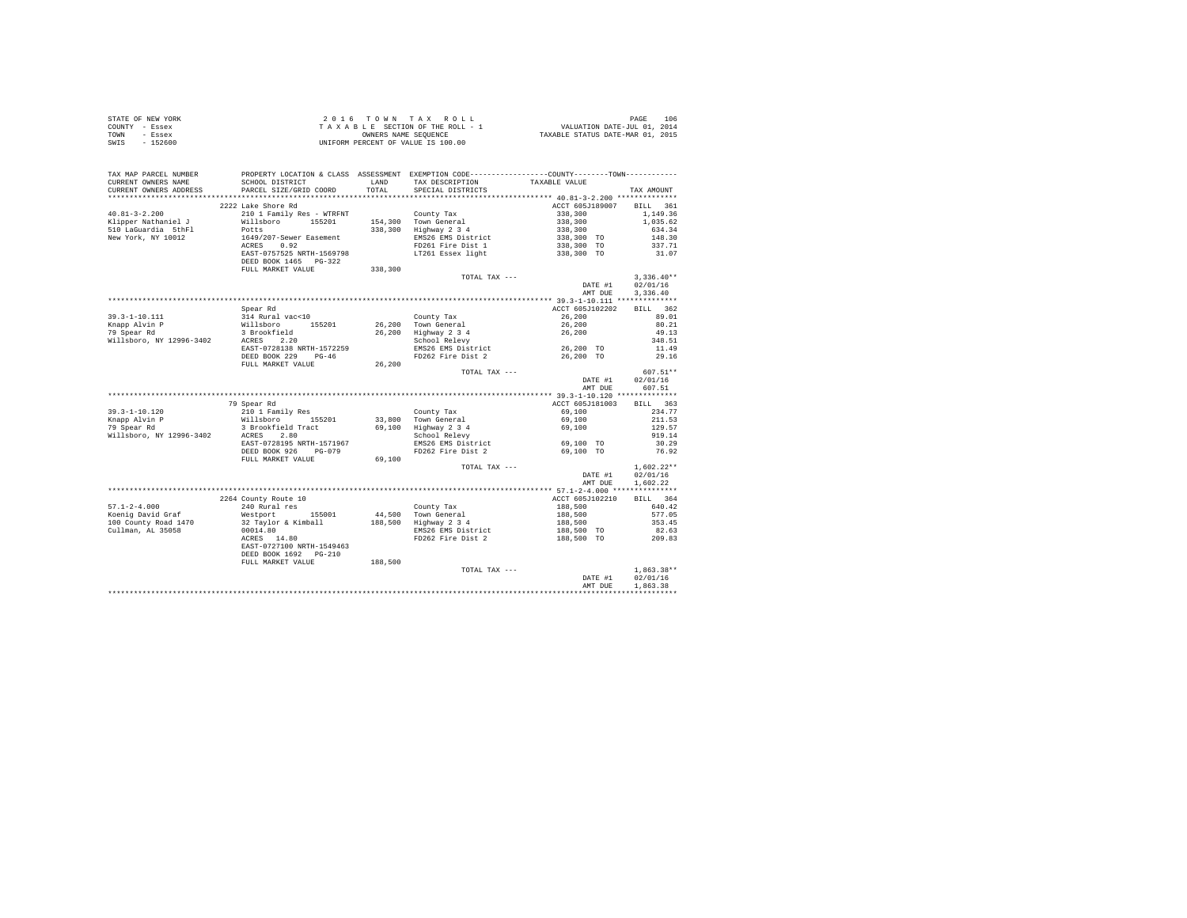| STATE OF NEW YORK | $2.0.16$ TOWN TAX ROLL             | 106<br>PAGE                      |
|-------------------|------------------------------------|----------------------------------|
| COUNTY - Essex    | TAXABLE SECTION OF THE ROLL - 1    | VALUATION DATE-JUL 01, 2014      |
| TOWN<br>- Essex   | OWNERS NAME SEOUENCE               | TAXABLE STATUS DATE-MAR 01, 2015 |
| $-152600$<br>SWIS | UNIFORM PERCENT OF VALUE IS 100.00 |                                  |

| TAX MAP PARCEL NUMBER<br>CURRENT OWNERS NAME<br>CURRENT OWNERS ADDRESS                                                              | SCHOOL DISTRICT<br>PARCEL SIZE/GRID COORD | LAND<br>TOTAL | PROPERTY LOCATION & CLASS ASSESSMENT EXEMPTION CODE----------------COUNTY-------TOWN----------<br>TAX DESCRIPTION<br>SPECIAL DISTRICTS | TAXABLE VALUE                                                       | TAX AMOUNT               |
|-------------------------------------------------------------------------------------------------------------------------------------|-------------------------------------------|---------------|----------------------------------------------------------------------------------------------------------------------------------------|---------------------------------------------------------------------|--------------------------|
| ***********************                                                                                                             |                                           |               |                                                                                                                                        |                                                                     |                          |
|                                                                                                                                     | 2222 Lake Shore Rd                        |               |                                                                                                                                        | ACCT 605J189007 BILL 361                                            |                          |
| $40.81 - 3 - 2.200$                                                                                                                 | 210 1 Family Res - WTRFNT                 |               | County Tax                                                                                                                             |                                                                     | 1,149.36                 |
| Klipper Nathaniel J                                                                                                                 | Willsboro 155201                          |               | 154,300 Town General                                                                                                                   |                                                                     | 1,035.62                 |
| 510 LaGuardia 5thFl                                                                                                                 | Potts                                     |               | 338,300 Highway 2 3 4                                                                                                                  |                                                                     | 634.34                   |
| New York, NY 10012                                                                                                                  | 1649/207-Sewer Easement                   |               | EMS26 EMS District                                                                                                                     |                                                                     | 148.30                   |
|                                                                                                                                     | ACRES 0.92                                |               | FD261 Fire Dist 1                                                                                                                      | $338,300$<br>$338,300$<br>$338,300$<br>$338,300$ TO<br>$338,300$ TO | 337.71                   |
|                                                                                                                                     | EAST-0757525 NRTH-1569798                 |               | LT261 Essex light                                                                                                                      | 338,300 TO                                                          | 31.07                    |
|                                                                                                                                     | DEED BOOK 1465 PG-322                     |               |                                                                                                                                        |                                                                     |                          |
|                                                                                                                                     | FULL MARKET VALUE                         | 338,300       |                                                                                                                                        |                                                                     |                          |
|                                                                                                                                     |                                           |               | TOTAL TAX ---                                                                                                                          |                                                                     | $3,336.40**$             |
|                                                                                                                                     |                                           |               |                                                                                                                                        | DATE #1                                                             | 02/01/16                 |
|                                                                                                                                     |                                           |               |                                                                                                                                        | AMT DUE                                                             | 3,336.40                 |
|                                                                                                                                     |                                           |               |                                                                                                                                        |                                                                     |                          |
|                                                                                                                                     | Spear Rd                                  |               |                                                                                                                                        | ACCT 605J102202                                                     | BILL 362                 |
| $39.3 - 1 - 10.111$                                                                                                                 | 314 Rural vac<10                          |               | County Tax                                                                                                                             | 26,200                                                              | 89.01                    |
| 39.3-1-10.111 314 Kurai vaccio<br>Knapp Alvin P Willsboro 155201<br>79 Spear Rd 3 Brookfield<br>Willsboro, NY 12996-3402 ACRES 2.20 |                                           |               | 26,200 Town General                                                                                                                    | 26,200                                                              | 80.21                    |
|                                                                                                                                     |                                           |               | 26,200 Highway 2 3 4<br>School Relevy                                                                                                  | 26,200                                                              | 49.13                    |
|                                                                                                                                     |                                           |               |                                                                                                                                        |                                                                     | 348.51                   |
|                                                                                                                                     | EAST-0728138 NRTH-1572259                 |               | EMS26 EMS District 26,200 TO                                                                                                           |                                                                     | 11.49                    |
|                                                                                                                                     | DEED BOOK 229 PG-46                       |               | FD262 Fire Dist 2                                                                                                                      | 26,200 TO                                                           | 29.16                    |
|                                                                                                                                     | FULL MARKET VALUE                         | 26,200        |                                                                                                                                        |                                                                     |                          |
|                                                                                                                                     |                                           |               | TOTAL TAX ---                                                                                                                          |                                                                     | 607.51**                 |
|                                                                                                                                     |                                           |               |                                                                                                                                        | DATE #1<br>AMT DUE                                                  | 02/01/16<br>607.51       |
|                                                                                                                                     |                                           |               |                                                                                                                                        |                                                                     |                          |
|                                                                                                                                     | 79 Spear Rd                               |               |                                                                                                                                        | ACCT 605J181003                                                     | BILL 363                 |
| $39.3 - 1 - 10.120$                                                                                                                 |                                           |               |                                                                                                                                        | 69,100                                                              | 234.77                   |
| Knapp Alvin P                                                                                                                       |                                           |               |                                                                                                                                        | 69,100                                                              | 211.53                   |
| 79 Spear Rd                                                                                                                         |                                           |               |                                                                                                                                        | 69,100                                                              | 129.57                   |
| Willsboro, NY 12996-3402                                                                                                            |                                           |               |                                                                                                                                        |                                                                     | 919.14                   |
|                                                                                                                                     | EAST-0728195 NRTH-1571967                 |               |                                                                                                                                        | 69,100 TO                                                           | 30.29                    |
|                                                                                                                                     | DEED BOOK 926 PG-079                      |               | EMS26 EMS District<br>FD262 Fire Dist 2                                                                                                | 69,100 TO                                                           | 76.92                    |
|                                                                                                                                     | FULL MARKET VALUE                         | 69,100        |                                                                                                                                        |                                                                     |                          |
|                                                                                                                                     |                                           |               | TOTAL TAX ---                                                                                                                          |                                                                     | $1,602.22**$             |
|                                                                                                                                     |                                           |               |                                                                                                                                        | DATE #1                                                             | 02/01/16                 |
|                                                                                                                                     |                                           |               |                                                                                                                                        | AMT DUE                                                             | 1,602.22                 |
|                                                                                                                                     |                                           |               |                                                                                                                                        |                                                                     |                          |
|                                                                                                                                     | 2264 County Route 10                      |               |                                                                                                                                        | ACCT 605J102210                                                     | BILL 364                 |
| $57.1 - 2 - 4.000$                                                                                                                  | 240 Rural res                             |               | County Tax                                                                                                                             |                                                                     | 640.42                   |
| Koenig David Graf                                                                                                                   | Westport 155001                           |               | 44,500 Town General                                                                                                                    | 188,500<br>188,500<br>188,500                                       | 577.05                   |
| 100 County Road 1470                                                                                                                | 32 Taylor & Kimball                       |               | 188,500 Highway 2 3 4                                                                                                                  |                                                                     | 353.45                   |
| Cullman, AL 35058                                                                                                                   | 00014.80                                  |               | EMS26 EMS District                                                                                                                     | 188,500 TO                                                          | 82.63                    |
|                                                                                                                                     | ACRES 14.80                               |               | FD262 Fire Dist 2                                                                                                                      | 188,500 TO                                                          | 209.83                   |
|                                                                                                                                     | EAST-0727100 NRTH-1549463                 |               |                                                                                                                                        |                                                                     |                          |
|                                                                                                                                     | DEED BOOK 1692 PG-210                     |               |                                                                                                                                        |                                                                     |                          |
|                                                                                                                                     | FULL MARKET VALUE                         | 188,500       |                                                                                                                                        |                                                                     |                          |
|                                                                                                                                     |                                           |               | TOTAL TAX ---                                                                                                                          |                                                                     | $1.863.38**$<br>02/01/16 |
|                                                                                                                                     |                                           |               |                                                                                                                                        | DATE #1<br>AMT DUE                                                  | 1,863.38                 |
|                                                                                                                                     |                                           |               |                                                                                                                                        |                                                                     |                          |
|                                                                                                                                     |                                           |               |                                                                                                                                        |                                                                     |                          |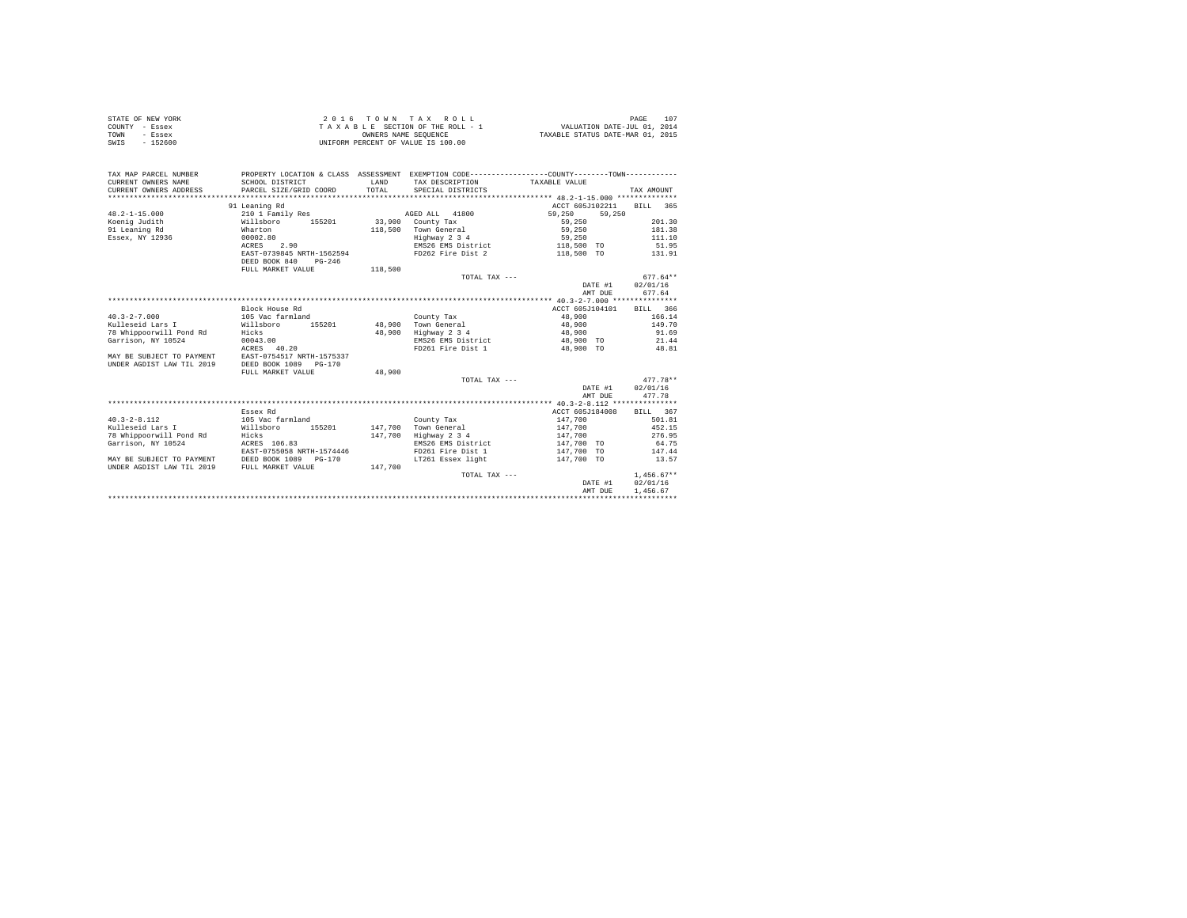| STATE OF NEW YORK<br>COUNTY - Essex<br>TOWN<br>- Essex<br>SWIS - 152600 |                                                                                                                                                                                                                               |        | 2016 TOWN TAX ROLL<br>UNIFORM PERCENT OF VALUE IS 100.00 |                  | 107<br>PAGE |
|-------------------------------------------------------------------------|-------------------------------------------------------------------------------------------------------------------------------------------------------------------------------------------------------------------------------|--------|----------------------------------------------------------|------------------|-------------|
| TAX MAP PARCEL NUMBER                                                   | PROPERTY LOCATION & CLASS ASSESSMENT EXEMPTION CODE----------------COUNTY-------TOWN----------                                                                                                                                |        |                                                          |                  |             |
| CURRENT OWNERS NAME                                                     | SCHOOL DISTRICT                                                                                                                                                                                                               |        | LAND TAX DESCRIPTION TAXABLE VALUE                       |                  |             |
| CURRENT OWNERS ADDRESS                                                  | PARCEL SIZE/GRID COORD TOTAL SPECIAL DISTRICTS                                                                                                                                                                                |        |                                                          |                  | TAX AMOUNT  |
|                                                                         |                                                                                                                                                                                                                               |        |                                                          |                  |             |
|                                                                         | 91 Leaning Rd                                                                                                                                                                                                                 |        |                                                          | ACCT 605J102211  | RTLL 365    |
| $48.2 - 1 - 15.000$                                                     | 210 1 Family Res 69, 250 AGED ALL 41800 59, 250                                                                                                                                                                               |        |                                                          | 59,250           |             |
|                                                                         | Koenig Judith (Willsboro 155201 33,900 County Tax                                                                                                                                                                             |        |                                                          | 59,250           | 201.30      |
| 91 Leaning Rd                                                           | Wharton                                                                                                                                                                                                                       |        | 118.500 Town General 59.250 181.38                       |                  |             |
| Essex, NY 12936                                                         | 00002.80                                                                                                                                                                                                                      |        | Highway 2 3 4 59,250 111.10                              |                  |             |
|                                                                         | ACRES 2.90                                                                                                                                                                                                                    |        | EMS26 EMS District 118,500 TO 51.95                      |                  |             |
|                                                                         | EAST-0739845 NRTH-1562594 FD262 Fire Dist 2 118,500 TO 131.91                                                                                                                                                                 |        |                                                          |                  |             |
|                                                                         | DEED BOOK 840<br>$PG-246$                                                                                                                                                                                                     |        |                                                          |                  |             |
|                                                                         | FULL MARKET VALUE 118,500                                                                                                                                                                                                     |        | TOTAL TAX ---                                            |                  | $677.64**$  |
|                                                                         |                                                                                                                                                                                                                               |        |                                                          | DATE #1 02/01/16 |             |
|                                                                         |                                                                                                                                                                                                                               |        |                                                          | AMT DUE          | 677.64      |
|                                                                         |                                                                                                                                                                                                                               |        |                                                          |                  |             |
|                                                                         | Block House Rd                                                                                                                                                                                                                |        |                                                          | ACCT 605J104101  | BILL 366    |
| $40.3 - 2 - 7.000$                                                      | 105 Vac farmland                                                                                                                                                                                                              |        | County Tax                                               | 48,900           | 166.14      |
| Kulleseid Lars I                                                        | Willsboro 155201 48,900 Town General                                                                                                                                                                                          |        |                                                          | 48,900 149.70    |             |
| 78 Whippoorwill Pond Rd                                                 | Hicks                                                                                                                                                                                                                         |        | 48,900 Highway 2 3 4                                     | 48,900           | 91.69       |
| Garrison, NY 10524                                                      | 00043.00                                                                                                                                                                                                                      |        | EMS26 EMS District 48,900 TO                             |                  | 21.44       |
|                                                                         | ACRES 40.20                                                                                                                                                                                                                   |        | FD261 Fire Dist 1                                        | 48,900 TO        | 48.81       |
| MAY BE SUBJECT TO PAYMENT                                               | EAST-0754517 NRTH-1575337                                                                                                                                                                                                     |        |                                                          |                  |             |
| UNDER AGDIST LAW TIL 2019                                               | DEED BOOK 1089 PG-170                                                                                                                                                                                                         |        |                                                          |                  |             |
|                                                                         | FULL MARKET VALUE                                                                                                                                                                                                             | 48,900 |                                                          |                  |             |
|                                                                         |                                                                                                                                                                                                                               |        | TOTAL TAX $---$                                          |                  | $477.78**$  |
|                                                                         |                                                                                                                                                                                                                               |        |                                                          | DATE #1 02/01/16 |             |
|                                                                         |                                                                                                                                                                                                                               |        |                                                          | AMT DUE          | 477.78      |
|                                                                         |                                                                                                                                                                                                                               |        |                                                          |                  |             |
|                                                                         | manager and the control of the state of the state of the state of the state of the state of the state of the state of the state of the state of the state of the state of the state of the state of the state of the state of |        |                                                          |                  |             |

|                           |                           |         |                    | - 牛貝: ちースー品:     スー・・・・・・・・・・・・・・・・ |              |
|---------------------------|---------------------------|---------|--------------------|-------------------------------------|--------------|
|                           | Essex Rd                  |         |                    | ACCT 605J184008                     | 367<br>BILL  |
| $40.3 - 2 - 8.112$        | 105 Vac farmland          |         | County Tax         | 147,700                             | 501.81       |
| Kulleseid Lars I          | 155201<br>Willsboro       | 147,700 | Town General       | 147,700                             | 452.15       |
| 78 Whippoorwill Pond Rd   | Hicks                     | 147.700 | Highway 2 3 4      | 147,700                             | 276.95       |
| Garrison, NY 10524        | ACRES 106.83              |         | EMS26 EMS District | 147,700 TO                          | 64.75        |
|                           | EAST-0755058 NRTH-1574446 |         | FD261 Fire Dist 1  | 147,700 TO                          | 147.44       |
| MAY BE SUBJECT TO PAYMENT | DEED BOOK 1089 PG-170     |         | LT261 Essex light  | 147,700 TO                          | 13.57        |
| UNDER AGDIST LAW TIL 2019 | FULL MARKET VALUE         | 147,700 |                    |                                     |              |
|                           |                           |         | TOTAL TAX $---$    |                                     | $1.456.67**$ |
|                           |                           |         |                    | DATE #1                             | 02/01/16     |
|                           |                           |         |                    | AMT DUR                             | 1,456.67     |
|                           |                           |         |                    |                                     |              |
|                           |                           |         |                    |                                     |              |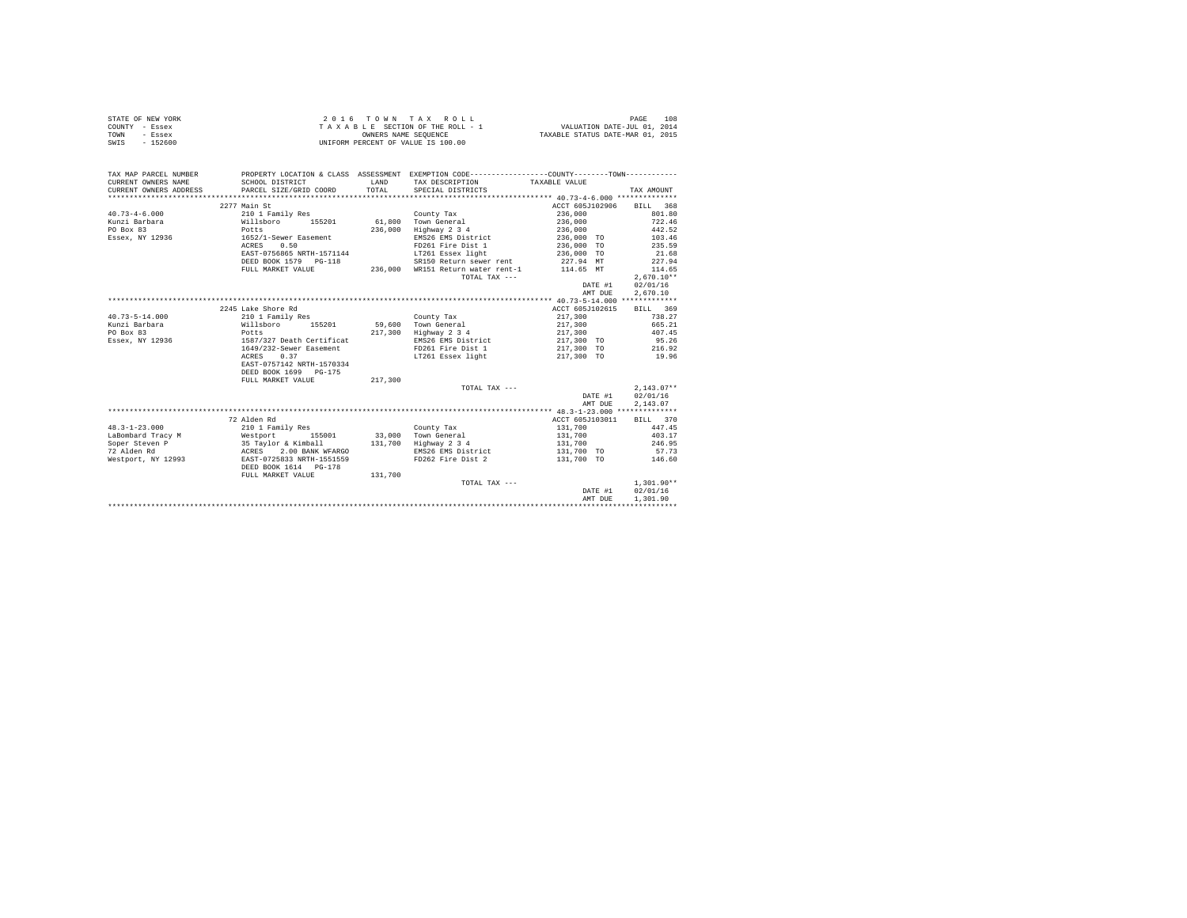|      | STATE OF NEW YORK | 2016 TOWN TAX ROLL                 | 108<br>PAGE                      |
|------|-------------------|------------------------------------|----------------------------------|
|      | COUNTY - Essex    | TAXABLE SECTION OF THE ROLL - 1    | VALUATION DATE-JUL 01, 2014      |
| TOWN | - Essex           | OWNERS NAME SEOUENCE               | TAXABLE STATUS DATE-MAR 01, 2015 |
| SWIS | - 152600          | UNIFORM PERCENT OF VALUE IS 100.00 |                                  |

| TAX MAP PARCEL NUMBER<br>CURRENT OWNERS NAME            | SCHOOL DISTRICT                                                            | <b>T.AND</b> | TAX DESCRIPTION       | PROPERTY LOCATION & CLASS ASSESSMENT EXEMPTION CODE----------------COUNTY--------TOWN----------<br>TAXABLE VALUE |              |
|---------------------------------------------------------|----------------------------------------------------------------------------|--------------|-----------------------|------------------------------------------------------------------------------------------------------------------|--------------|
| CURRENT OWNERS ADDRESS                                  | PARCEL SIZE/GRID COORD                                                     | TOTAL.       | SPECIAL DISTRICTS     |                                                                                                                  | TAX AMOUNT   |
|                                                         |                                                                            |              |                       |                                                                                                                  |              |
|                                                         | 2277 Main St                                                               |              |                       | ACCT 605J102906                                                                                                  | BILL 368     |
| $40.73 - 4 - 6.000$                                     | 210 1 Family Res                                                           |              | County Tax            | 236,000                                                                                                          | 801.80       |
| Kunzi Barbara                                           | Willsboro 155201                                                           |              | 61,800 Town General   | 236,000                                                                                                          | 722.46       |
| PO Box 83                                               | Potts                                                                      | 236,000      | Highway 2 3 4         | 236,000                                                                                                          | 442.52       |
| Essex, NY 12936                                         | 1652/1-Sewer Easement                                                      |              | EMS26 EMS District    | 236,000 TO                                                                                                       | 103.46       |
|                                                         | ACRES 0.50                                                                 |              | FD261 Fire Dist 1     | 236,000 TO                                                                                                       | 235.59       |
|                                                         | EAST-0756865 NRTH-1571144                                                  |              |                       | LT261 Essex light (236,000 TO                                                                                    | 21.68        |
|                                                         | DEED BOOK 1579 PG-118                                                      |              |                       | SR150 Return sewer rent 227.94 MT                                                                                | 227.94       |
|                                                         | FULL MARKET VALUE                                                          |              |                       | 236,000 WR151 Return water rent-1 114.65 MT                                                                      | 114.65       |
|                                                         |                                                                            |              | TOTAL TAX ---         |                                                                                                                  | $2.670.10**$ |
|                                                         |                                                                            |              |                       | DATE #1                                                                                                          | 02/01/16     |
|                                                         |                                                                            |              |                       | AMT DUE                                                                                                          | 2,670.10     |
|                                                         |                                                                            |              |                       |                                                                                                                  |              |
|                                                         | 2245 Lake Shore Rd                                                         |              |                       | ACCT 605J102615                                                                                                  | BILL 369     |
| $40.73 - 5 - 14.000$                                    | 210 1 Family Res                                                           |              | County Tax            | 217,300                                                                                                          | 738.27       |
| Kunzi Barbara                                           | Willsboro 155201                                                           |              | 59,600 Town General   | 217,300                                                                                                          | 665.21       |
| PO Box 83                                               | Potts                                                                      |              | 217.300 Highway 2 3 4 | 217,300                                                                                                          | 407.45       |
| Essex, NY 12936                                         | 1587/327 Death Certificat                                                  |              | EMS26 EMS District    | 217,300 TO                                                                                                       | 95.26        |
|                                                         | 1649/232-Sewer Easement                                                    |              | FD261 Fire Dist 1     | 217,300 TO                                                                                                       | 216.92       |
|                                                         | ACRES<br>0.37                                                              |              | LT261 Essex light     | 217,300 TO                                                                                                       | 19.96        |
|                                                         | EAST-0757142 NRTH-1570334                                                  |              |                       |                                                                                                                  |              |
|                                                         | DEED BOOK 1699 PG-175                                                      |              |                       |                                                                                                                  |              |
|                                                         | FULL MARKET VALUE                                                          | 217,300      |                       |                                                                                                                  |              |
|                                                         |                                                                            |              | TOTAL TAX ---         |                                                                                                                  | $2.143.07**$ |
|                                                         |                                                                            |              |                       | DATE #1                                                                                                          | 02/01/16     |
|                                                         |                                                                            |              |                       | AMT DUE                                                                                                          | 2.143.07     |
|                                                         |                                                                            |              |                       |                                                                                                                  |              |
|                                                         | 72 Alden Rd                                                                |              |                       | ACCT 605J103011                                                                                                  | BILL 370     |
| $48.3 - 1 - 23.000$                                     | 210 1 Family Res                                                           |              | County Tax            | 131,700                                                                                                          | 447.45       |
| LaBombard Tracy M 	 Westport 155001 33,000 Town General |                                                                            |              |                       | 131,700                                                                                                          | 403.17       |
| Soper Steven P                                          |                                                                            |              | 131,700 Highway 2 3 4 | 131,700                                                                                                          | 246.95       |
| 72 Alden Rd                                             | 35 Taylor & Kimball<br>ACRES 2.00 BANK WFARGO<br>BAST-0725833 NRTH-1551559 |              | EMS26 EMS District    | 131,700 TO                                                                                                       | 57.73        |
| Westport, NY 12993                                      |                                                                            |              | FD262 Fire Dist 2     | 131,700 TO                                                                                                       | 146.60       |
|                                                         | DEED BOOK 1614 PG-178                                                      |              |                       |                                                                                                                  |              |
|                                                         | FULL MARKET VALUE                                                          | 131,700      |                       |                                                                                                                  |              |
|                                                         |                                                                            |              | TOTAL TAX ---         |                                                                                                                  | $1.301.90**$ |
|                                                         |                                                                            |              |                       | DATE #1                                                                                                          | 02/01/16     |
|                                                         |                                                                            |              |                       | AMT DUE                                                                                                          | 1,301.90     |
|                                                         |                                                                            |              |                       |                                                                                                                  |              |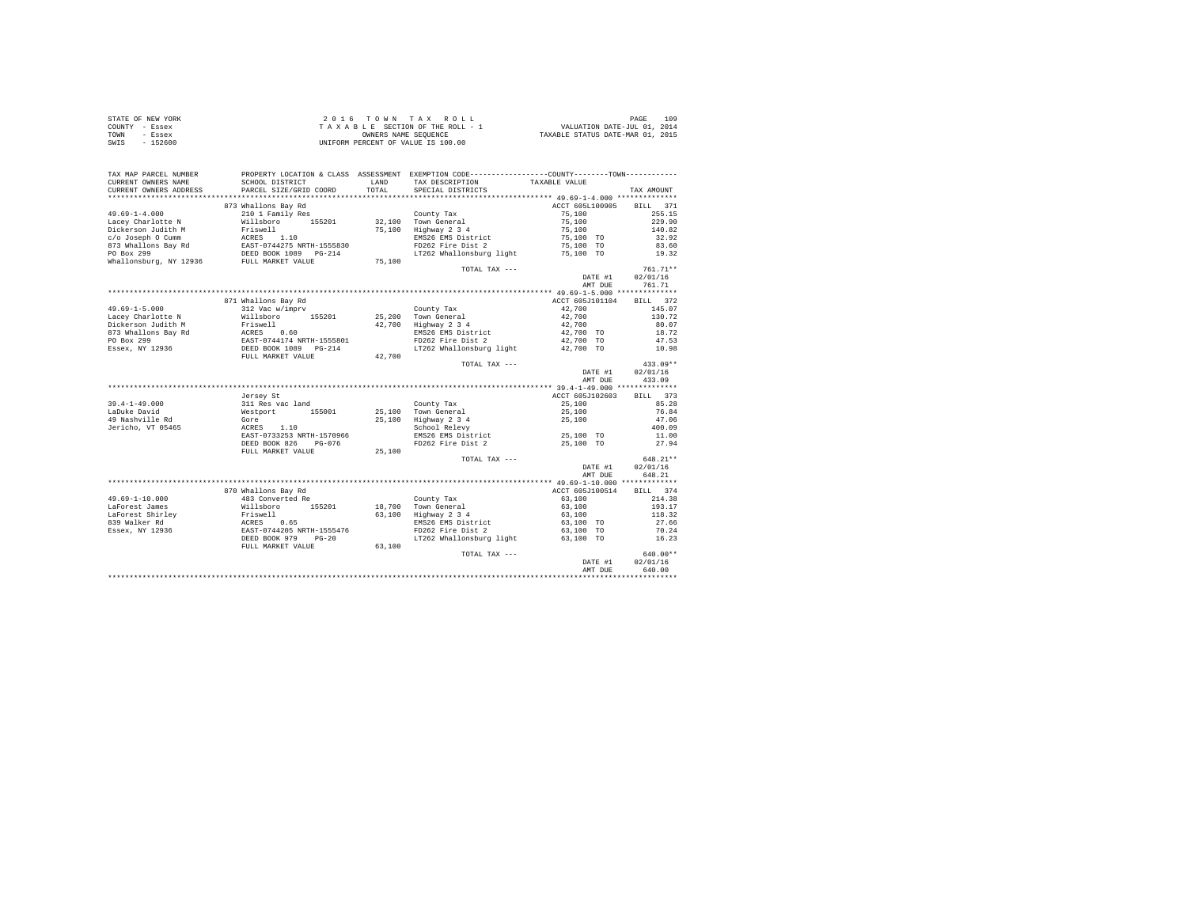|                | STATE OF NEW YORK | 2016 TOWN TAX ROLL                 | 109<br>PAGE                      |
|----------------|-------------------|------------------------------------|----------------------------------|
| COUNTY - Essex |                   | TAXABLE SECTION OF THE ROLL - 1    | VALUATION DATE-JUL 01, 2014      |
| TOWN           | - Essex           | OWNERS NAME SEOUENCE               | TAXABLE STATUS DATE-MAR 01, 2015 |
| SWIS           | $-152600$         | UNIFORM PERCENT OF VALUE IS 100.00 |                                  |

| TAX MAP PARCEL NUMBER<br>CURRENT OWNERS NAME<br>CURRENT OWNERS ADDRESS | SCHOOL DISTRICT<br>PARCEL SIZE/GRID COORD                                                         | LAND<br>TOTAL. | PROPERTY LOCATION & CLASS ASSESSMENT EXEMPTION CODE----------------COUNTY-------TOWN----------<br>TAX DESCRIPTION<br>SPECIAL DISTRICTS | TAXABLE VALUE                 | TAX AMOUNT                   |
|------------------------------------------------------------------------|---------------------------------------------------------------------------------------------------|----------------|----------------------------------------------------------------------------------------------------------------------------------------|-------------------------------|------------------------------|
| ***********************                                                |                                                                                                   |                |                                                                                                                                        |                               |                              |
| $49.69 - 1 - 4.000$                                                    | 873 Whallons Bay Rd<br>210 1 Family Res                                                           |                | County Tax                                                                                                                             | ACCT 605L100905<br>75,100     | <b>BILL</b><br>371<br>255.15 |
| Lacey Charlotte N<br>Dickerson Judith M                                | Willsboro 155201                                                                                  |                | 32,100 Town General<br>75,100 Highway 2 3 4                                                                                            | 75,100<br>75,100<br>75,100 TO | 229.90<br>140.82             |
| c/o Joseph 0 Cumm<br>873 Whallons Bay Rd<br>PO Box 299                 | Friswell<br>RCRES 1.10<br>EAST-0744275 NRTH-1555830<br>DEED BOOK 1089 PG-214<br>FULL MARKET VALUE |                | EMS26 EMS District<br>FD262 Fire Dist 2<br>LT262 Whallonsburg light                                                                    | 75,100 TO<br>75,100 TO        | 32.92<br>83.60<br>19.32      |
| Whallonsburg, NY 12936                                                 |                                                                                                   | 75,100         | TOTAL TAX ---                                                                                                                          |                               | $761.71**$                   |
|                                                                        |                                                                                                   |                |                                                                                                                                        | DATE #1<br>AMT DUE            | 02/01/16<br>761.71           |
|                                                                        |                                                                                                   |                |                                                                                                                                        |                               |                              |
|                                                                        | 871 Whallons Bay Rd                                                                               |                |                                                                                                                                        | ACCT 605J101104               | BILL 372                     |
| $49.69 - 1 - 5.000$                                                    | 312 Vac w/imprv<br>Willsboro 155201                                                               |                | County Tax                                                                                                                             | 42,700                        | 145.07<br>130.72             |
| Lacey Charlotte N<br>Dickerson Judith M                                |                                                                                                   |                | 25,200 Town General<br>42,700 Highway 2 3 4                                                                                            | 42,700<br>42,700              | 80.07                        |
| 873 Whallons Bay Rd                                                    |                                                                                                   |                | EMS26 EMS District                                                                                                                     | 42,700 TO                     | 18.72                        |
| PO Box 299                                                             |                                                                                                   |                | FD262 Fire Dist 2                                                                                                                      | 42,700 TO                     | 47.53                        |
| Essex, NY 12936                                                        | Friswell<br>ACRES 0.60<br>EAST-0744174 NRTH-1555801<br>DEED BOOK 1089 PG-214<br>FULL MARKET VALUE | 42,700         | LT262 Whallonsburg light                                                                                                               | 42,700 TO                     | 10.98                        |
|                                                                        |                                                                                                   |                | TOTAL TAX ---                                                                                                                          |                               | $433.09**$                   |
|                                                                        |                                                                                                   |                |                                                                                                                                        | DATE #1                       | 02/01/16                     |
|                                                                        |                                                                                                   |                |                                                                                                                                        | AMT DUE                       | 433.09                       |
|                                                                        |                                                                                                   |                |                                                                                                                                        |                               |                              |
|                                                                        | Jersey St                                                                                         |                |                                                                                                                                        | ACCT 605J102603               | BILL 373                     |
| $39.4 - 1 - 49.000$                                                    | 311 Res vac land                                                                                  |                | County Tax                                                                                                                             | 25,100                        | 85.28                        |
| LaDuke David                                                           | Westport 155001<br>Gore                                                                           |                | $25,100$ Town General                                                                                                                  | 25,100                        | 76.84                        |
| 49 Nashville Rd                                                        |                                                                                                   |                | 25,100 Highway 2 3 4                                                                                                                   | 25,100                        | 47.06                        |
| Jericho, VT 05465                                                      | ACRES 1.10                                                                                        |                | School Relevy                                                                                                                          |                               | 400.09                       |
|                                                                        | EAST-0733253 NRTH-1570966                                                                         |                | EMS26 EMS District 25,100 TO                                                                                                           |                               | 11.00                        |
|                                                                        | DEED BOOK 826 PG-076                                                                              |                | FD262 Fire Dist 2                                                                                                                      | 25,100 TO                     | 27.94                        |
|                                                                        | FULL MARKET VALUE                                                                                 | 25,100         |                                                                                                                                        |                               |                              |
|                                                                        |                                                                                                   |                | TOTAL TAX ---                                                                                                                          | DATE #1                       | 648.21**<br>02/01/16         |
|                                                                        |                                                                                                   |                |                                                                                                                                        | AMT DUE                       | 648.21                       |
|                                                                        |                                                                                                   |                |                                                                                                                                        |                               |                              |
|                                                                        | 870 Whallons Bay Rd                                                                               |                |                                                                                                                                        | ACCT 605J100514               | BILL 374                     |
| $49.69 - 1 - 10.000$                                                   | 483 Converted Re                                                                                  |                | County Tax                                                                                                                             | 63,100                        | 214.38                       |
| LaForest James                                                         |                                                                                                   |                |                                                                                                                                        | 63,100                        | 193.17                       |
| LaForest Shirley                                                       |                                                                                                   |                | 18,700 Town General<br>63,100 Highway 2 3 4                                                                                            | 63,100                        | 118.32                       |
| 839 Walker Rd                                                          | Willsboro 155201<br>Friswell<br>ACRES 0.65<br>EAST-0744205 NRTH-1555476                           |                | EMS26 EMS District                                                                                                                     | 63,100 TO                     | 27.66                        |
| Essex, NY 12936                                                        |                                                                                                   |                | FD262 Fire Dist 2                                                                                                                      | 63,100 TO                     | 70.24                        |
|                                                                        | DEED BOOK 979<br>$PG-20$<br>FULL MARKET VALUE                                                     | 63,100         | LT262 Whallonsburg light 63,100 TO                                                                                                     |                               | 16.23                        |
|                                                                        |                                                                                                   |                | TOTAL TAX ---                                                                                                                          |                               | 640.00**                     |
|                                                                        |                                                                                                   |                |                                                                                                                                        | DATE #1                       | 02/01/16                     |
|                                                                        |                                                                                                   |                |                                                                                                                                        | AMT DUE                       | 640.00                       |
|                                                                        |                                                                                                   |                |                                                                                                                                        |                               |                              |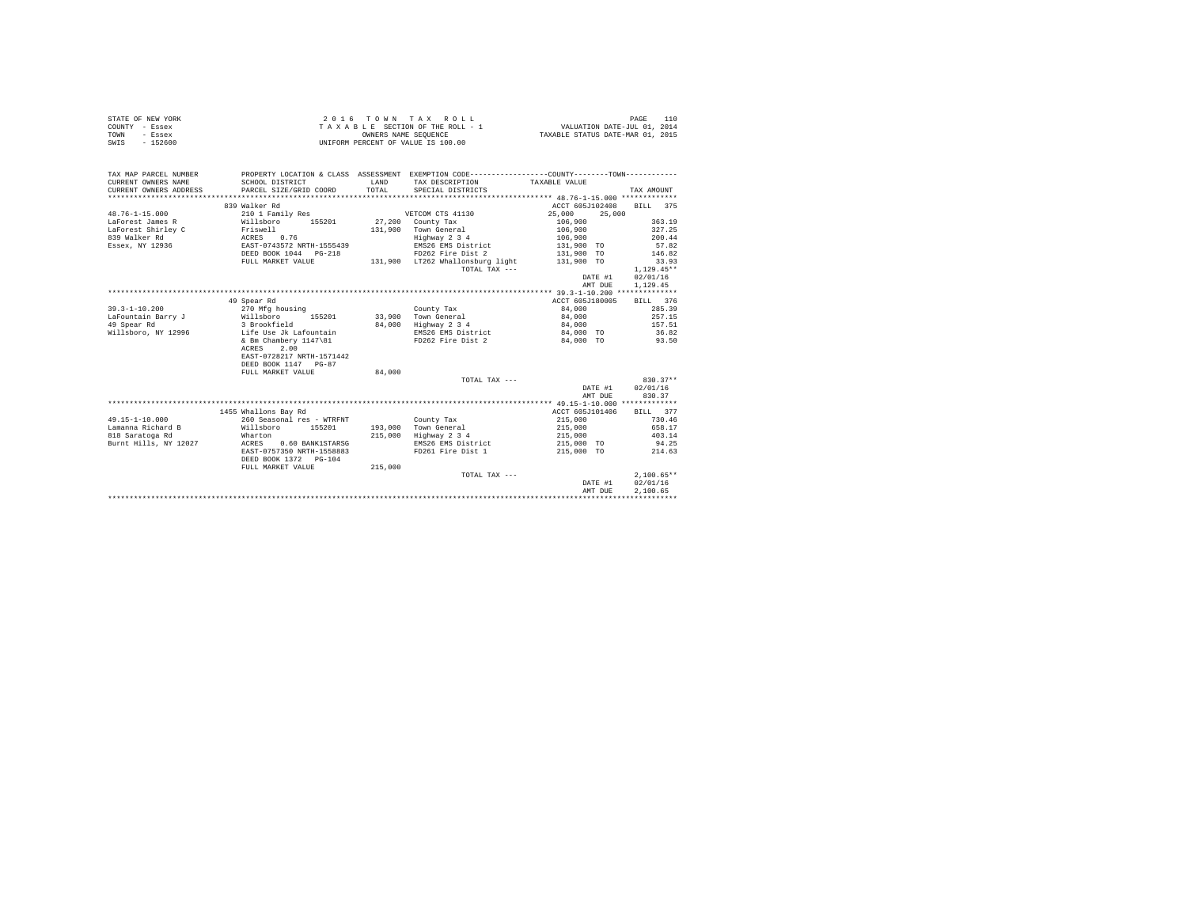| STATE OF NEW YORK<br>COUNTY - Essex<br>TOWN<br>- Essex<br>$-152600$<br>SWIS |                                            | OWNERS NAME SEQUENCE | 2016 TOWN TAX ROLL<br>TAXABLE SECTION OF THE ROLL - 1<br>UNIFORM PERCENT OF VALUE IS 100.00                                          | VALUATION DATE-JUL 01, 2014<br>TAXABLE STATUS DATE-MAR 01, 2015 | 110<br>PAGE      |
|-----------------------------------------------------------------------------|--------------------------------------------|----------------------|--------------------------------------------------------------------------------------------------------------------------------------|-----------------------------------------------------------------|------------------|
| TAX MAP PARCEL NUMBER<br>CURRENT OWNERS NAME<br>CURRENT OWNERS ADDRESS      | SCHOOL DISTRICT<br>PARCEL SIZE/GRID COORD  | LAND<br>TOTAL.       | PROPERTY LOCATION & CLASS ASSESSMENT EXEMPTION CODE---------------COUNTY-------TOWN---------<br>TAX DESCRIPTION<br>SPECIAL DISTRICTS | TAXABLE VALUE                                                   | TAX AMOUNT       |
|                                                                             | 839 Walker Rd                              |                      |                                                                                                                                      | ACCT 605J102408                                                 | BILL 375         |
| $48.76 - 1 - 15.000$                                                        | 210 1 Family Res                           |                      | VETCOM CTS 41130                                                                                                                     | 25,000<br>25,000                                                |                  |
| LaForest James R                                                            | Willsboro 155201                           |                      | 27,200 County Tax                                                                                                                    | 106,900                                                         | 363.19           |
| LaForest Shirley C                                                          | Friswell                                   | 131,900              | Town General                                                                                                                         | 106,900                                                         | 327.25           |
| 839 Walker Rd                                                               | 0.76<br>ACRES                              |                      | Highway 2 3 4                                                                                                                        | 106,900                                                         | 200.44           |
| Essex, NY 12936                                                             | EAST-0743572 NRTH-1555439                  |                      | EMS26 EMS District                                                                                                                   | 131,900 TO                                                      | 57.82            |
|                                                                             | DEED BOOK 1044 PG-218                      |                      | FD262 Fire Dist 2                                                                                                                    | 131,900 TO                                                      | 146.82           |
|                                                                             | FULL MARKET VALUE                          |                      | 131.900 LT262 Whallonsburg light                                                                                                     | 131,900 TO                                                      | 33.93            |
|                                                                             |                                            |                      | TOTAL TAX ---                                                                                                                        |                                                                 | $1.129.45**$     |
|                                                                             |                                            |                      |                                                                                                                                      | DATE #1                                                         | 02/01/16         |
|                                                                             |                                            |                      |                                                                                                                                      | AMT DUE                                                         | 1.129.45         |
|                                                                             |                                            |                      |                                                                                                                                      |                                                                 |                  |
|                                                                             | 49 Spear Rd                                |                      |                                                                                                                                      | ACCT 605J180005                                                 | BILL 376         |
| $39.3 - 1 - 10.200$                                                         | 270 Mfg housing                            |                      | County Tax                                                                                                                           | 84,000                                                          | 285.39<br>257.15 |
| LaFountain Barry J<br>49 Spear Rd                                           | Willsboro<br>155201<br>3 Brookfield        |                      | 33,900 Town General<br>84.000 Highway 2 3 4                                                                                          | 84,000<br>84,000                                                | 157.51           |
| Willsboro, NY 12996                                                         | Life Use Jk Lafountain                     |                      | EMS26 EMS District                                                                                                                   | 84,000 TO                                                       | 36.82            |
|                                                                             | & Bm Chambery 1147\81                      |                      | FD262 Fire Dist 2                                                                                                                    | 84,000 TO                                                       | 93.50            |
|                                                                             | 2.00<br>ACRES                              |                      |                                                                                                                                      |                                                                 |                  |
|                                                                             | EAST-0728217 NRTH-1571442                  |                      |                                                                                                                                      |                                                                 |                  |
|                                                                             | DEED BOOK 1147 PG-87                       |                      |                                                                                                                                      |                                                                 |                  |
|                                                                             | FULL MARKET VALUE                          | 84,000               |                                                                                                                                      |                                                                 |                  |
|                                                                             |                                            |                      | TOTAL TAX ---                                                                                                                        |                                                                 | $830.37**$       |
|                                                                             |                                            |                      |                                                                                                                                      | DATE #1                                                         | 02/01/16         |
|                                                                             |                                            |                      |                                                                                                                                      | AMT DUE                                                         | 830.37           |
|                                                                             |                                            |                      |                                                                                                                                      |                                                                 |                  |
|                                                                             | 1455 Whallons Bay Rd                       |                      |                                                                                                                                      | ACCT 605J101406                                                 | BILL 377         |
| $49.15 - 1 - 10.000$                                                        | 260 Seasonal res - WTRFNT                  |                      | County Tax                                                                                                                           | 215,000                                                         | 730.46           |
| Lamanna Richard B                                                           | Willsboro<br>155201                        |                      | 193,000 Town General                                                                                                                 | 215,000                                                         | 658.17           |
| 818 Saratoga Rd                                                             | Wharton                                    |                      | 215,000 Highway 2 3 4                                                                                                                | 215,000                                                         | 403.14           |
| Burnt Hills, NY 12027                                                       | ACRES 0.60 BANK1STARSG                     |                      | EMS26 EMS District                                                                                                                   | 215,000 TO                                                      | 94.25            |
|                                                                             | EAST-0757350 NRTH-1558883                  |                      | FD261 Fire Dist 1                                                                                                                    | 215,000 TO                                                      | 214.63           |
|                                                                             | DEED BOOK 1372 PG-104<br>FULL MARKET VALUE | 215,000              |                                                                                                                                      |                                                                 |                  |
|                                                                             |                                            |                      | TOTAL TAX ---                                                                                                                        |                                                                 | $2.100.65**$     |
|                                                                             |                                            |                      |                                                                                                                                      | DATE #1                                                         | 02/01/16         |
|                                                                             |                                            |                      |                                                                                                                                      | AMT DUE                                                         | 2.100.65         |
|                                                                             |                                            |                      |                                                                                                                                      |                                                                 |                  |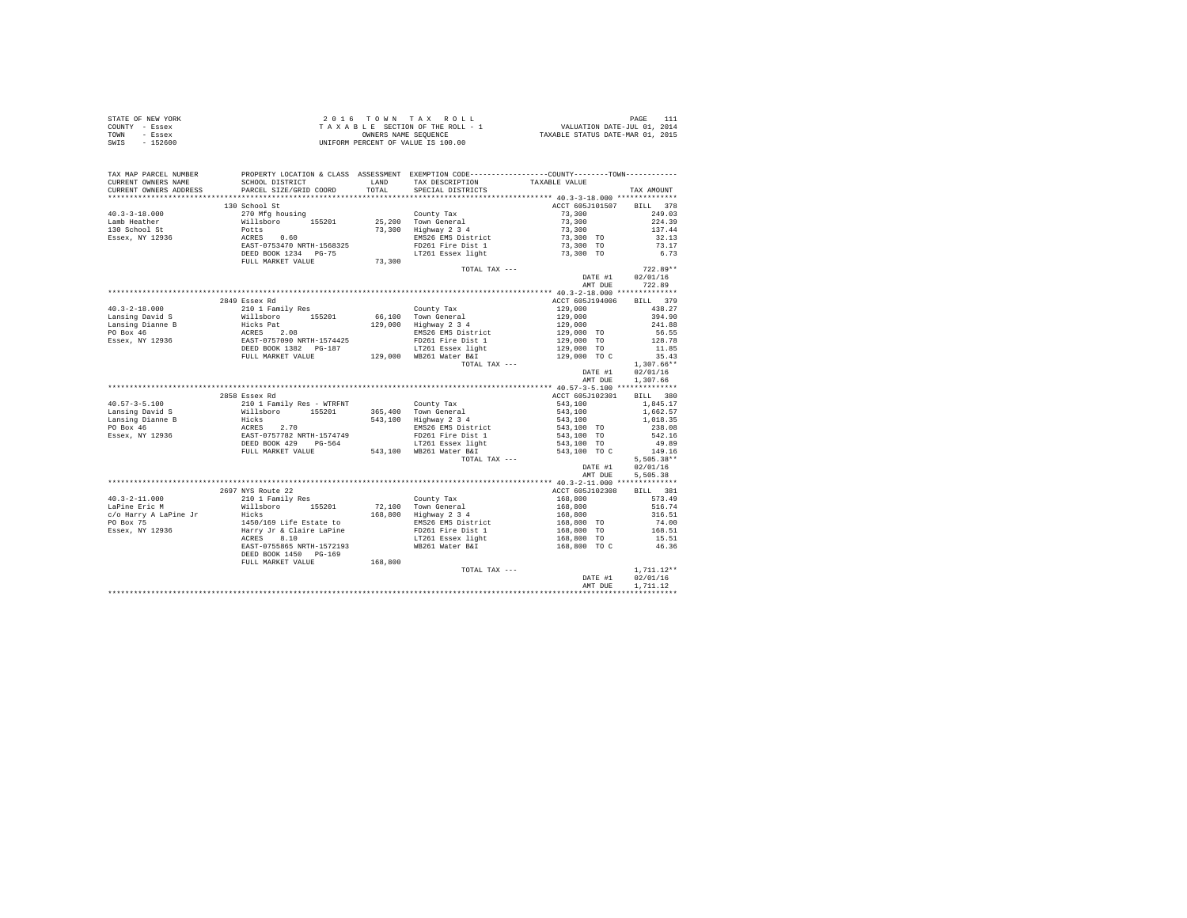| STATE OF NEW YORK | 2016 TOWN TAX ROLL                 | PAGE                             |
|-------------------|------------------------------------|----------------------------------|
| COUNTY - Essex    | TAXABLE SECTION OF THE ROLL - 1    | VALUATION DATE-JUL 01, 2014      |
| TOWN<br>- Essex   | OWNERS NAME SEOUENCE               | TAXABLE STATUS DATE-MAR 01, 2015 |
| $-152600$<br>SWIS | UNIFORM PERCENT OF VALUE IS 100.00 |                                  |

| TAX MAP PARCEL NUMBER | PROPERTY LOCATION & CLASS ASSESSMENT EXEMPTION CODE----------------COUNTY--------TOWN----------                                                                                                                                                                                                                                                                                                                                |         | LAND TAX DESCRIPTION TAXABLE VALUE |                                                 |                  |
|-----------------------|--------------------------------------------------------------------------------------------------------------------------------------------------------------------------------------------------------------------------------------------------------------------------------------------------------------------------------------------------------------------------------------------------------------------------------|---------|------------------------------------|-------------------------------------------------|------------------|
|                       |                                                                                                                                                                                                                                                                                                                                                                                                                                |         | TOTAL SPECIAL DISTRICTS            |                                                 | TAX AMOUNT       |
|                       |                                                                                                                                                                                                                                                                                                                                                                                                                                |         |                                    |                                                 |                  |
|                       | 130 School St                                                                                                                                                                                                                                                                                                                                                                                                                  |         |                                    | ACCT 605J101507 BILL 378                        |                  |
|                       |                                                                                                                                                                                                                                                                                                                                                                                                                                |         |                                    |                                                 | 249.03           |
|                       |                                                                                                                                                                                                                                                                                                                                                                                                                                |         |                                    |                                                 |                  |
|                       |                                                                                                                                                                                                                                                                                                                                                                                                                                |         |                                    |                                                 | 224.39           |
|                       |                                                                                                                                                                                                                                                                                                                                                                                                                                |         |                                    |                                                 | 137.44<br>32.13  |
|                       |                                                                                                                                                                                                                                                                                                                                                                                                                                |         |                                    |                                                 |                  |
|                       |                                                                                                                                                                                                                                                                                                                                                                                                                                |         |                                    |                                                 | $73.17$<br>6.73  |
|                       |                                                                                                                                                                                                                                                                                                                                                                                                                                |         |                                    |                                                 |                  |
|                       | FULL MARKET VALUE 73,300                                                                                                                                                                                                                                                                                                                                                                                                       |         |                                    |                                                 |                  |
|                       |                                                                                                                                                                                                                                                                                                                                                                                                                                |         | TOTAL TAX ---                      |                                                 | $722.89**$       |
|                       |                                                                                                                                                                                                                                                                                                                                                                                                                                |         |                                    |                                                 | DATE #1 02/01/16 |
|                       |                                                                                                                                                                                                                                                                                                                                                                                                                                |         |                                    |                                                 | AMT DUE 722.89   |
|                       |                                                                                                                                                                                                                                                                                                                                                                                                                                |         |                                    |                                                 |                  |
|                       | 2849 Essex Rd<br>$\begin{tabular}{l c c c c c} \multicolumn{1}{c}{\textbf{40.3--2--18.000}} & \multicolumn{1}{c}{249.5888888816} & \multicolumn{1}{c}{\textbf{24.10}} & \multicolumn{1}{c}{\textbf{43.27}} & \multicolumn{1}{c}{\textbf{25.30}} & \multicolumn{1}{c}{\textbf{26.40}} & \multicolumn{1}{c}{\textbf{26.5}} & \multicolumn{1}{c}{\textbf{27.6}} & \multicolumn{1}{c}{\textbf{28.6}} & \multicolumn{1}{c}{\textbf$ |         |                                    | ACCT 605J194006 BILL 379                        |                  |
|                       |                                                                                                                                                                                                                                                                                                                                                                                                                                |         |                                    |                                                 |                  |
|                       |                                                                                                                                                                                                                                                                                                                                                                                                                                |         |                                    |                                                 |                  |
|                       |                                                                                                                                                                                                                                                                                                                                                                                                                                |         |                                    |                                                 |                  |
|                       |                                                                                                                                                                                                                                                                                                                                                                                                                                |         |                                    |                                                 |                  |
|                       |                                                                                                                                                                                                                                                                                                                                                                                                                                |         |                                    |                                                 |                  |
|                       |                                                                                                                                                                                                                                                                                                                                                                                                                                |         |                                    |                                                 |                  |
|                       |                                                                                                                                                                                                                                                                                                                                                                                                                                |         |                                    |                                                 |                  |
|                       |                                                                                                                                                                                                                                                                                                                                                                                                                                |         |                                    |                                                 |                  |
|                       |                                                                                                                                                                                                                                                                                                                                                                                                                                |         |                                    |                                                 |                  |
|                       |                                                                                                                                                                                                                                                                                                                                                                                                                                |         |                                    | AMT DUE                                         | 1,307.66         |
|                       |                                                                                                                                                                                                                                                                                                                                                                                                                                |         |                                    |                                                 |                  |
|                       | 2858 Essex Rd                                                                                                                                                                                                                                                                                                                                                                                                                  |         |                                    | ACCT 605J102301 BILL 380                        |                  |
|                       |                                                                                                                                                                                                                                                                                                                                                                                                                                |         |                                    |                                                 |                  |
|                       |                                                                                                                                                                                                                                                                                                                                                                                                                                |         |                                    |                                                 |                  |
|                       |                                                                                                                                                                                                                                                                                                                                                                                                                                |         |                                    |                                                 |                  |
|                       |                                                                                                                                                                                                                                                                                                                                                                                                                                |         |                                    |                                                 |                  |
|                       |                                                                                                                                                                                                                                                                                                                                                                                                                                |         |                                    |                                                 |                  |
|                       |                                                                                                                                                                                                                                                                                                                                                                                                                                |         |                                    |                                                 |                  |
|                       |                                                                                                                                                                                                                                                                                                                                                                                                                                |         |                                    |                                                 |                  |
|                       |                                                                                                                                                                                                                                                                                                                                                                                                                                |         |                                    |                                                 |                  |
|                       |                                                                                                                                                                                                                                                                                                                                                                                                                                |         |                                    |                                                 |                  |
|                       |                                                                                                                                                                                                                                                                                                                                                                                                                                |         |                                    | DATE #1                                         | 02/01/16         |
|                       |                                                                                                                                                                                                                                                                                                                                                                                                                                |         |                                    | AMT DUE                                         | 5.505.38         |
|                       |                                                                                                                                                                                                                                                                                                                                                                                                                                |         |                                    |                                                 |                  |
|                       | 2697 NYS Route 22                                                                                                                                                                                                                                                                                                                                                                                                              |         |                                    | ACCT 605J102308 BILL 381                        |                  |
|                       |                                                                                                                                                                                                                                                                                                                                                                                                                                |         |                                    |                                                 |                  |
|                       |                                                                                                                                                                                                                                                                                                                                                                                                                                |         |                                    |                                                 |                  |
|                       |                                                                                                                                                                                                                                                                                                                                                                                                                                |         |                                    |                                                 |                  |
|                       |                                                                                                                                                                                                                                                                                                                                                                                                                                |         |                                    |                                                 |                  |
|                       |                                                                                                                                                                                                                                                                                                                                                                                                                                |         |                                    |                                                 |                  |
|                       |                                                                                                                                                                                                                                                                                                                                                                                                                                |         |                                    |                                                 |                  |
|                       |                                                                                                                                                                                                                                                                                                                                                                                                                                |         |                                    |                                                 |                  |
|                       | DEED BOOK 1450 PG-169                                                                                                                                                                                                                                                                                                                                                                                                          |         |                                    |                                                 |                  |
|                       | FULL MARKET VALUE                                                                                                                                                                                                                                                                                                                                                                                                              | 168,800 |                                    |                                                 |                  |
|                       |                                                                                                                                                                                                                                                                                                                                                                                                                                |         | TOTAL TAX ---                      | $1,711.12**$<br>DATE #1 $02/01/16$<br>$-26.128$ |                  |
|                       |                                                                                                                                                                                                                                                                                                                                                                                                                                |         |                                    |                                                 |                  |
|                       |                                                                                                                                                                                                                                                                                                                                                                                                                                |         |                                    |                                                 | AMT DUE 1,711.12 |
|                       |                                                                                                                                                                                                                                                                                                                                                                                                                                |         |                                    |                                                 |                  |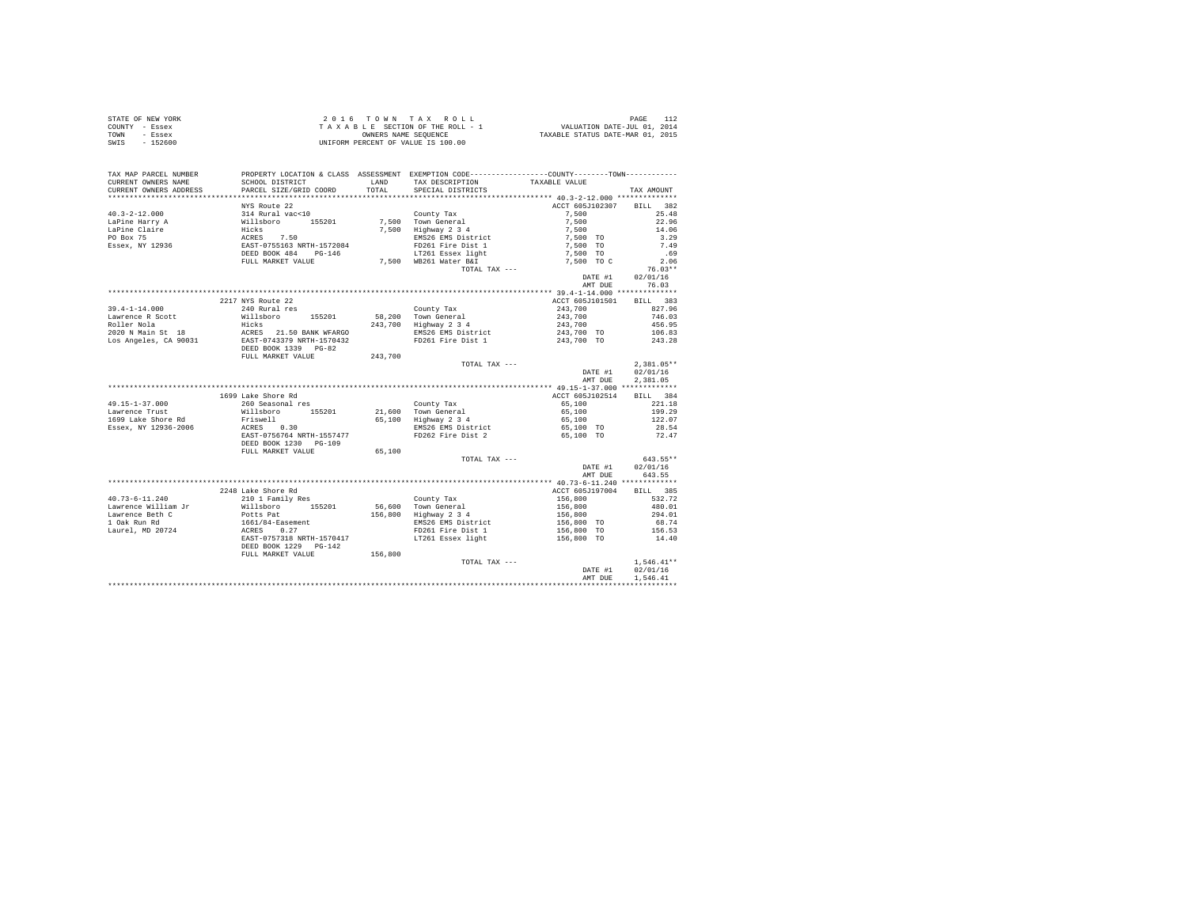| STATE OF NEW YORK | 2016 TOWN TAX ROLL                 | PAGE                             |
|-------------------|------------------------------------|----------------------------------|
| COUNTY - Essex    | TAXABLE SECTION OF THE ROLL - 1    | VALUATION DATE-JUL 01, 2014      |
| TOWN<br>- Essex   | OWNERS NAME SEOUENCE               | TAXABLE STATUS DATE-MAR 01, 2015 |
| $-152600$<br>SWIS | UNIFORM PERCENT OF VALUE IS 100.00 |                                  |

| TAX MAP PARCEL NUMBER<br>CURRENT OWNERS NAME | PROPERTY LOCATION & CLASS ASSESSMENT EXEMPTION CODE----------------COUNTY-------TOWN----------<br>SCHOOL DISTRICT                                                                                                                               | LAND    | TAX DESCRIPTION                              | TAXABLE VALUE                                  |              |
|----------------------------------------------|-------------------------------------------------------------------------------------------------------------------------------------------------------------------------------------------------------------------------------------------------|---------|----------------------------------------------|------------------------------------------------|--------------|
| CURRENT OWNERS ADDRESS                       | PARCEL SIZE/GRID COORD                                                                                                                                                                                                                          | TOTAL   | SPECIAL DISTRICTS                            |                                                | TAX AMOUNT   |
|                                              |                                                                                                                                                                                                                                                 |         |                                              |                                                |              |
|                                              | NYS Route 22                                                                                                                                                                                                                                    |         |                                              | ACCT 605J102307 BILL 382                       |              |
|                                              |                                                                                                                                                                                                                                                 |         |                                              | 7.500                                          | 25.48        |
|                                              | 40.3-2-12.000<br>40.3-2-12.000<br>140.3-2-12.000<br>140.3-2-12.000<br>140.3-2-12.000<br>140.3-2-12.000<br>140.3-2-12.000<br>140.3-2-12.000<br>152.000<br>152.000<br>162.000<br>17.500<br>17.500<br>17.500<br>17.500<br>17.500<br>17.500<br>17.5 |         |                                              |                                                | 22.96        |
|                                              |                                                                                                                                                                                                                                                 |         |                                              | $7,500$<br>$7,500$                             | 14.06        |
|                                              |                                                                                                                                                                                                                                                 |         |                                              | 7,500 TO                                       | 3.29         |
|                                              |                                                                                                                                                                                                                                                 |         | EMS26 EMS District                           | 7.500 TO                                       | 7.49         |
|                                              |                                                                                                                                                                                                                                                 |         |                                              | 7,500 TO                                       | .69          |
|                                              | FULL MARKET VALUE                                                                                                                                                                                                                               |         | 7,500 WB261 Water B&I                        | 7,500 TO C                                     | 2.06         |
|                                              |                                                                                                                                                                                                                                                 |         | TOTAL TAX ---                                |                                                | $76.03**$    |
|                                              |                                                                                                                                                                                                                                                 |         |                                              | DATE #1                                        | 02/01/16     |
|                                              |                                                                                                                                                                                                                                                 |         |                                              | AMT DUE                                        | 76.03        |
|                                              |                                                                                                                                                                                                                                                 |         |                                              |                                                |              |
|                                              | 2217 NYS Route 22                                                                                                                                                                                                                               |         |                                              | ACCT 605J101501 BILL 383                       |              |
| $39.4 - 1 - 14.000$                          | 240 Rural res                                                                                                                                                                                                                                   |         | County Tax                                   |                                                | 827.96       |
| Lawrence R Scott                             |                                                                                                                                                                                                                                                 |         | 58,200 Town General                          | 243,700<br>243,700                             | 746.03       |
| Roller Nola                                  |                                                                                                                                                                                                                                                 |         | 243,700 Highway 2 3 4                        | 243,700                                        | 456.95       |
| 2020 N Main St 18                            |                                                                                                                                                                                                                                                 |         |                                              |                                                | 106.83       |
| Los Angeles, CA 90031                        | Willisboro 155201 58,<br>Hicks 21.50 BANK WFARGO 243,<br>ACRES 21.50 BANK WFARGO 2543,                                                                                                                                                          |         | EMS26 EMS District<br>FD261 Fire Dist 1      | 243,700 TO<br>243,700 TO                       | 243.28       |
|                                              | DEED BOOK 1339 PG-82                                                                                                                                                                                                                            |         |                                              |                                                |              |
|                                              | FULL MARKET VALUE 243,700                                                                                                                                                                                                                       |         |                                              |                                                |              |
|                                              |                                                                                                                                                                                                                                                 |         | TOTAL TAX ---                                |                                                | $2,381.05**$ |
|                                              |                                                                                                                                                                                                                                                 |         |                                              | DATE #1                                        | 02/01/16     |
|                                              |                                                                                                                                                                                                                                                 |         |                                              | AMT DUE                                        | 2.381.05     |
|                                              |                                                                                                                                                                                                                                                 |         |                                              |                                                |              |
|                                              | 1699 Lake Shore Rd                                                                                                                                                                                                                              |         |                                              | ACCT 605J102514                                | BILL 384     |
| $49.15 - 1 - 37.000$                         | 260 Seasonal res                                                                                                                                                                                                                                |         | County Tax                                   | 65,100                                         | 221.18       |
| Lawrence Trust                               |                                                                                                                                                                                                                                                 |         |                                              |                                                | 199.29       |
| 1699 Lake Shore Rd                           | Willsboro 155201<br>Friswell                                                                                                                                                                                                                    |         | 21,600 Town General<br>65,100 Highway 2 3 4  | 65,100<br>65,100                               | 122.07       |
| Essex, NY 12936-2006                         | ACRES 0.30                                                                                                                                                                                                                                      |         |                                              |                                                | 28.54        |
|                                              | EAST-0756764 NRTH-1557477                                                                                                                                                                                                                       |         | EMS26 EMS District<br>FD262 Fire Dist 2      | 65,100 TO<br>65,100 TO                         | 72.47        |
|                                              | DEED BOOK 1230 PG-109                                                                                                                                                                                                                           |         |                                              |                                                |              |
|                                              | FULL MARKET VALUE                                                                                                                                                                                                                               | 65,100  |                                              |                                                |              |
|                                              |                                                                                                                                                                                                                                                 |         |                                              |                                                | 643.55**     |
|                                              |                                                                                                                                                                                                                                                 |         | TOTAL TAX ---                                | DATE #1                                        | 02/01/16     |
|                                              |                                                                                                                                                                                                                                                 |         |                                              | AMT DUE                                        | 643.55       |
|                                              |                                                                                                                                                                                                                                                 |         |                                              |                                                |              |
|                                              | 2248 Lake Shore Rd                                                                                                                                                                                                                              |         |                                              | ACCT 605J197004 BILL 385                       |              |
| $40.73 - 6 - 11.240$                         | eso maxe SHOre RG<br>210 1 Family Res                                                                                                                                                                                                           |         | County Tax                                   | 156,800                                        | 532.72       |
|                                              |                                                                                                                                                                                                                                                 |         |                                              |                                                | 480.01       |
|                                              | North Contract Material Contract Material Contract Material Contract Material Contract Material Contract Material Contract Material Contract Material Contract Material Contract Material Contract Material Contract Material                   |         | 56,600 Town General<br>156,800 Highway 2 3 4 | 156,800<br>156,800<br>156,800 TO<br>156,800 TO | 294.01       |
|                                              |                                                                                                                                                                                                                                                 |         | EMS26 EMS District                           |                                                | 68.74        |
|                                              |                                                                                                                                                                                                                                                 |         | FD261 Fire Dist 1                            |                                                | 156.53       |
|                                              |                                                                                                                                                                                                                                                 |         | LT261 Essex light                            | 156,800 TO                                     | 14.40        |
|                                              | DEED BOOK 1229 PG-142                                                                                                                                                                                                                           |         |                                              |                                                |              |
|                                              | FULL MARKET VALUE                                                                                                                                                                                                                               | 156,800 |                                              |                                                |              |
|                                              |                                                                                                                                                                                                                                                 |         | TOTAL TAX ---                                |                                                | $1,546.41**$ |
|                                              |                                                                                                                                                                                                                                                 |         |                                              | DATE #1                                        | 02/01/16     |
|                                              |                                                                                                                                                                                                                                                 |         |                                              | AMT DUE                                        | 1,546.41     |
|                                              |                                                                                                                                                                                                                                                 |         |                                              |                                                |              |
|                                              |                                                                                                                                                                                                                                                 |         |                                              |                                                |              |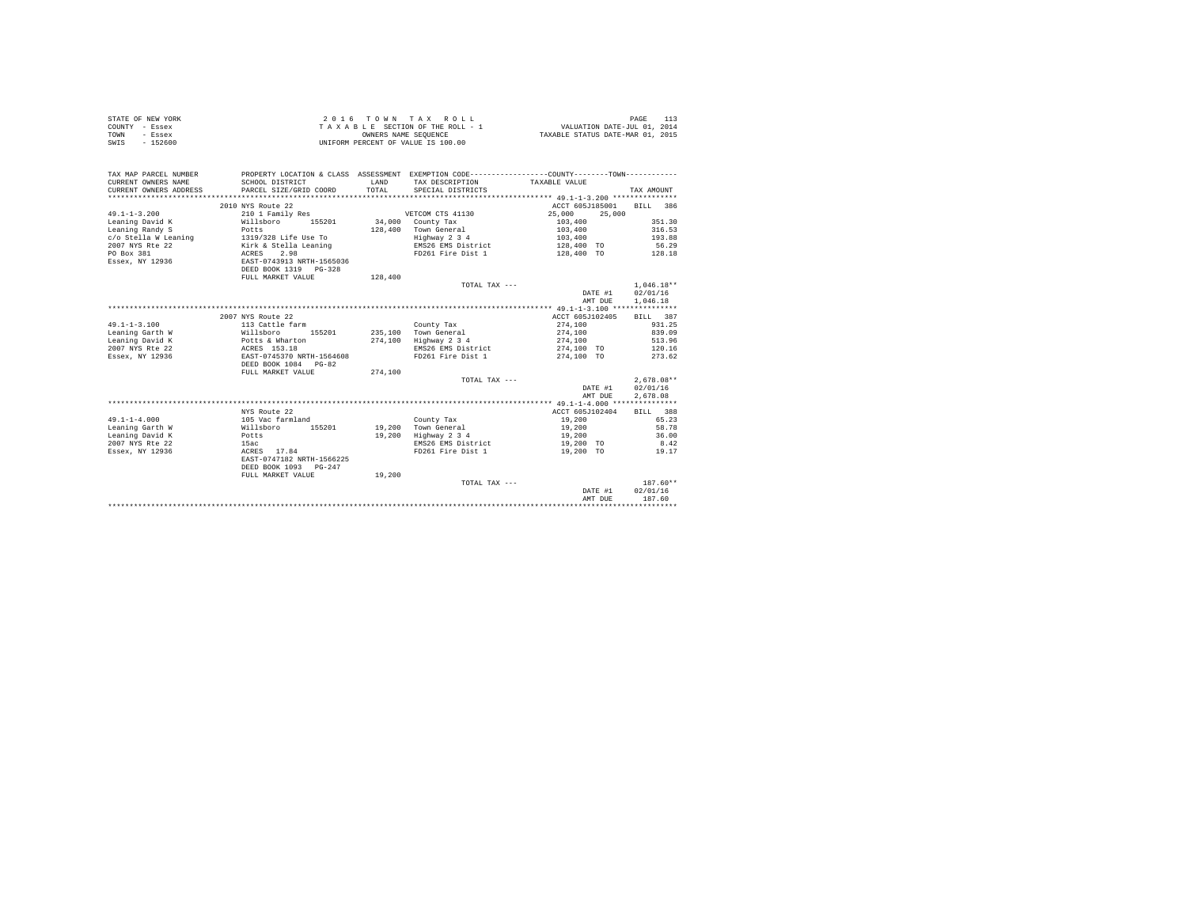| STATE OF NEW YORK | 2016 TOWN TAX ROLL                 | PAGE 113                         |
|-------------------|------------------------------------|----------------------------------|
| COUNTY - Essex    | TAXABLE SECTION OF THE ROLL - 1    | VALUATION DATE-JUL 01, 2014      |
| TOWN<br>- Essex   | OWNERS NAME SEOUENCE               | TAXABLE STATUS DATE-MAR 01, 2015 |
| SWIS<br>$-152600$ | UNIFORM PERCENT OF VALUE IS 100.00 |                                  |

| TAX MAP PARCEL NUMBER    |                                               |         | PROPERTY LOCATION & CLASS ASSESSMENT EXEMPTION CODE----------------COUNTY-------TOWN---------- |                   |              |
|--------------------------|-----------------------------------------------|---------|------------------------------------------------------------------------------------------------|-------------------|--------------|
| CURRENT OWNERS NAME      | SCHOOL DISTRICT                               | LAND    | TAX DESCRIPTION                                                                                | TAXABLE VALUE     |              |
| CURRENT OWNERS ADDRESS   | PARCEL SIZE/GRID COORD                        | TOTAL   | SPECIAL DISTRICTS                                                                              |                   | TAX AMOUNT   |
|                          |                                               |         |                                                                                                |                   |              |
|                          | 2010 NYS Route 22                             |         |                                                                                                | ACCT 605J185001   | BILL 386     |
| $49.1 - 1 - 3.200$       | 210 1 Family Res                              |         | VETCOM CTS 41130                                                                               | 25,000<br>25,000  |              |
| Leaning David K          | Willsboro 155201                              |         | 34,000 County Tax                                                                              | 103,400           | 351.30       |
| Leaning Randy S          | Potts                                         |         | 128.400 Town General                                                                           | 103,400           | 316.53       |
| c/o Stella W Leaning     | 1319/328 Life Use To<br>Kirk & Stella Leaning |         | Highway 2 3 4                                                                                  | 103,400           | 193.88       |
| 2007 NYS Rte 22          |                                               |         | EMS26 EMS District                                                                             | 128,400 TO        | 56.29        |
| PO Box 381               | <b>ACRES</b><br>2.98                          |         | FD261 Fire Dist 1                                                                              | 128.400 TO 128.18 |              |
| Essex, NY 12936          | EAST-0743913 NRTH-1565036                     |         |                                                                                                |                   |              |
|                          | DEED BOOK 1319    PG-328                      |         |                                                                                                |                   |              |
|                          | FULL MARKET VALUE                             | 128,400 |                                                                                                |                   |              |
|                          |                                               |         | TOTAL TAX ---                                                                                  |                   | $1,046.18**$ |
|                          |                                               |         |                                                                                                | DATE #1           | 02/01/16     |
|                          |                                               |         |                                                                                                | AMT DUE           | 1,046.18     |
|                          |                                               |         |                                                                                                |                   |              |
|                          | 2007 NYS Route 22                             |         |                                                                                                | ACCT 605J102405   | BILL 387     |
| $49.1 - 1 - 3.100$       | 113 Cattle farm                               |         | County Tax                                                                                     | 274,100           | 931.25       |
| Leaning Garth W          | Willsboro<br>155201                           |         | 235.100 Town General                                                                           | 274,100           | 839.09       |
| Leaning David K          | Potts & Wharton                               |         | 274,100 Highway 2 3 4                                                                          | 274.100           | 513.96       |
| 2007 NYS Rte 22          | ACRES 153.18                                  |         | EMS26 EMS District                                                                             | 274,100 TO        | 120.16       |
| Essex, NY 12936          | EAST-0745370 NRTH-1564608                     |         | FD261 Fire Dist 1                                                                              | 274,100 TO        | 273.62       |
|                          | DEED BOOK 1084 PG-82                          |         |                                                                                                |                   |              |
|                          | FULL MARKET VALUE                             | 274,100 |                                                                                                |                   |              |
|                          |                                               |         | TOTAL TAX ---                                                                                  |                   | $2,678.08**$ |
|                          |                                               |         |                                                                                                | DATE #1           | 02/01/16     |
|                          |                                               |         |                                                                                                | AMT DUE           | 2,678.08     |
|                          |                                               |         |                                                                                                |                   |              |
|                          | NYS Route 22                                  |         |                                                                                                | ACCT 605J102404   | BILL 388     |
| $49.1 - 1 - 4.000$       | 105 Vac farmland                              |         | County Tax                                                                                     | 19,200            | 65.23        |
| Leaning Garth W          | Willsboro<br>155201                           |         | 19,200 Town General                                                                            | 19,200            | 58.78        |
| Leaning David K<br>Potts |                                               | 19,200  | Highway 2 3 4                                                                                  | 19,200            | 36.00        |
| 2007 NYS Rte 22          | 15ac                                          |         | EMS26 EMS District                                                                             | 19,200 TO         | 8.42         |
| Essex, NY 12936          | ACRES 17.84                                   |         | FD261 Fire Dist 1                                                                              | 19,200 TO         | 19.17        |
|                          | EAST-0747182 NRTH-1566225                     |         |                                                                                                |                   |              |
|                          | DEED BOOK 1093 PG-247                         |         |                                                                                                |                   |              |
|                          | FULL MARKET VALUE                             | 19,200  |                                                                                                |                   |              |
|                          |                                               |         | TOTAL TAX ---                                                                                  |                   | $187.60**$   |
|                          |                                               |         |                                                                                                | DATE #1           | 02/01/16     |
|                          |                                               |         |                                                                                                | AMT DUE           | 187.60       |
|                          |                                               |         |                                                                                                |                   |              |
|                          |                                               |         |                                                                                                |                   |              |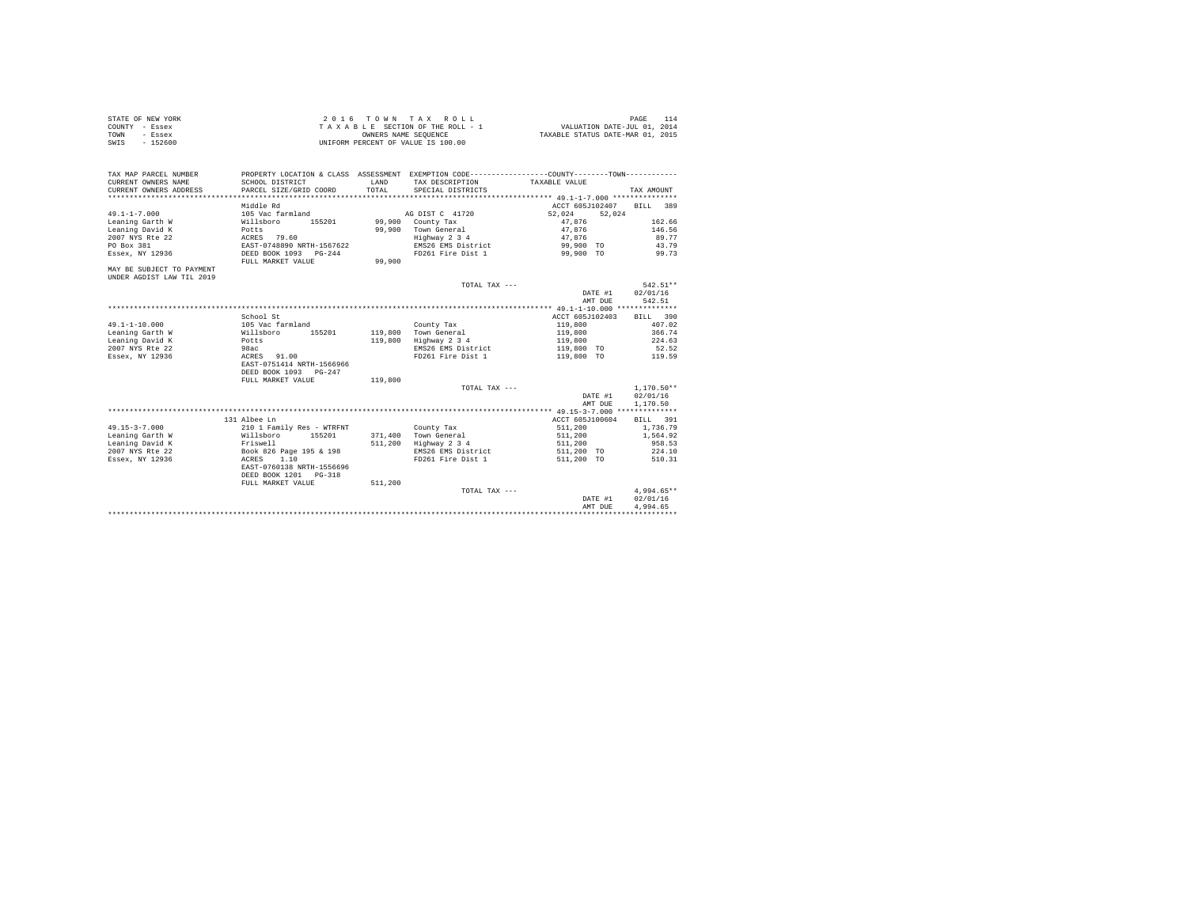| STATE OF NEW YORK | 2016 TOWN TAX ROLL                 | PAGE 114                         |
|-------------------|------------------------------------|----------------------------------|
| COUNTY - Essex    | TAXABLE SECTION OF THE ROLL - 1    | VALUATION DATE-JUL 01, 2014      |
| TOWN<br>- Essex   | OWNERS NAME SEOUENCE               | TAXABLE STATUS DATE-MAR 01, 2015 |
| SWIS<br>$-152600$ | UNIFORM PERCENT OF VALUE IS 100.00 |                                  |

| TAX MAP PARCEL NUMBER<br>CURRENT OWNERS NAME<br>CURRENT OWNERS ADDRESS | SCHOOL DISTRICT<br>PARCEL SIZE/GRID COORD | <b>T.AND</b><br>TOTAL. | PROPERTY LOCATION & CLASS ASSESSMENT EXEMPTION CODE----------------COUNTY--------TOWN----------<br>TAX DESCRIPTION<br>SPECIAL DISTRICTS | TAXABLE VALUE    | TAX AMOUNT   |
|------------------------------------------------------------------------|-------------------------------------------|------------------------|-----------------------------------------------------------------------------------------------------------------------------------------|------------------|--------------|
|                                                                        | Middle Rd                                 |                        |                                                                                                                                         | ACCT 605J102407  | BILL 389     |
| $49.1 - 1 - 7.000$                                                     | 105 Vac farmland                          |                        | AG DIST C 41720                                                                                                                         | 52.024<br>52.024 |              |
| Leaning Garth W                                                        | 155201<br>Willsboro                       |                        | 99.900 County Tax                                                                                                                       | 47.876           | 162.66       |
| Leaning David K                                                        | Potts                                     | 99,900                 | Town General                                                                                                                            | 47.876           | 146.56       |
| 2007 NYS Rte 22                                                        | ACRES 79.60                               |                        | Highway 2 3 4                                                                                                                           | 47.876           | 89.77        |
| PO Box 381                                                             | EAST-0748890 NRTH-1567622                 |                        | EMS26 EMS District                                                                                                                      | 99,900 TO        | 43.79        |
| Essex, NY 12936                                                        | DEED BOOK 1093 PG-244                     |                        | FD261 Fire Dist 1                                                                                                                       | 99,900 TO        | 99.73        |
|                                                                        |                                           |                        |                                                                                                                                         |                  |              |
|                                                                        | FULL MARKET VALUE                         | 99,900                 |                                                                                                                                         |                  |              |
| MAY BE SUBJECT TO PAYMENT                                              |                                           |                        |                                                                                                                                         |                  |              |
| UNDER AGDIST LAW TIL 2019                                              |                                           |                        |                                                                                                                                         |                  |              |
|                                                                        |                                           |                        | TOTAL TAX ---                                                                                                                           |                  | $542.51**$   |
|                                                                        |                                           |                        |                                                                                                                                         | DATE #1          | 02/01/16     |
|                                                                        |                                           |                        |                                                                                                                                         | AMT DUE          | 542.51       |
|                                                                        |                                           |                        |                                                                                                                                         |                  |              |
|                                                                        | School St                                 |                        |                                                                                                                                         | ACCT 605J102403  | BILL 390     |
| $49.1 - 1 - 10.000$                                                    | 105 Vac farmland                          |                        | County Tax                                                                                                                              | 119,800          | 407.02       |
| Leaning Garth W                                                        | Willsboro<br>155201                       |                        | 119,800 Town General                                                                                                                    | 119,800          | 366.74       |
| Leaning David K                                                        | Potts                                     | 119,800                | Highway 2 3 4                                                                                                                           | 119,800          | 224.63       |
| 2007 NYS Rte 22                                                        | 98ac                                      |                        | EMS26 EMS District                                                                                                                      | 119,800 TO       | 52.52        |
| Essex, NY 12936                                                        | ACRES 91.00                               |                        | FD261 Fire Dist 1                                                                                                                       | 119,800 TO       | 119.59       |
|                                                                        | EAST-0751414 NRTH-1566966                 |                        |                                                                                                                                         |                  |              |
|                                                                        | DEED BOOK 1093 PG-247                     |                        |                                                                                                                                         |                  |              |
|                                                                        | FULL MARKET VALUE                         | 119,800                |                                                                                                                                         |                  |              |
|                                                                        |                                           |                        | TOTAL TAX ---                                                                                                                           |                  | $1.170.50**$ |
|                                                                        |                                           |                        |                                                                                                                                         | DATE #1          | 02/01/16     |
|                                                                        |                                           |                        |                                                                                                                                         | AMT DUE          | 1,170.50     |
|                                                                        |                                           |                        |                                                                                                                                         |                  |              |
|                                                                        | 131 Albee Ln                              |                        |                                                                                                                                         | ACCT 605J100604  | BILL 391     |
| $49.15 - 3 - 7.000$                                                    | 210 1 Family Res - WTRFNT                 |                        | County Tax                                                                                                                              | 511,200          | 1,736.79     |
| Leaning Garth W                                                        | Willsboro<br>155201                       |                        | 371,400 Town General                                                                                                                    | 511,200          | 1,564.92     |
| Leaning David K                                                        | Friswell                                  | 511,200                | Highway 2 3 4                                                                                                                           | 511,200          | 958.53       |
| 2007 NYS Rte 22                                                        | Book 826 Page 195 & 198                   |                        | EMS26 EMS District                                                                                                                      | 511,200 TO       | 224.10       |
| Essex, NY 12936                                                        | ACRES<br>1.10                             |                        | FD261 Fire Dist 1                                                                                                                       | 511,200 TO       | 510.31       |
|                                                                        | EAST-0760138 NRTH-1556696                 |                        |                                                                                                                                         |                  |              |
|                                                                        | DEED BOOK 1201 PG-318                     |                        |                                                                                                                                         |                  |              |
|                                                                        | FULL MARKET VALUE                         | 511,200                |                                                                                                                                         |                  |              |
|                                                                        |                                           |                        | TOTAL TAX ---                                                                                                                           |                  | $4.994.65**$ |
|                                                                        |                                           |                        |                                                                                                                                         | DATE #1          | 02/01/16     |
|                                                                        |                                           |                        |                                                                                                                                         | AMT DUE          | 4,994.65     |
|                                                                        |                                           |                        |                                                                                                                                         |                  |              |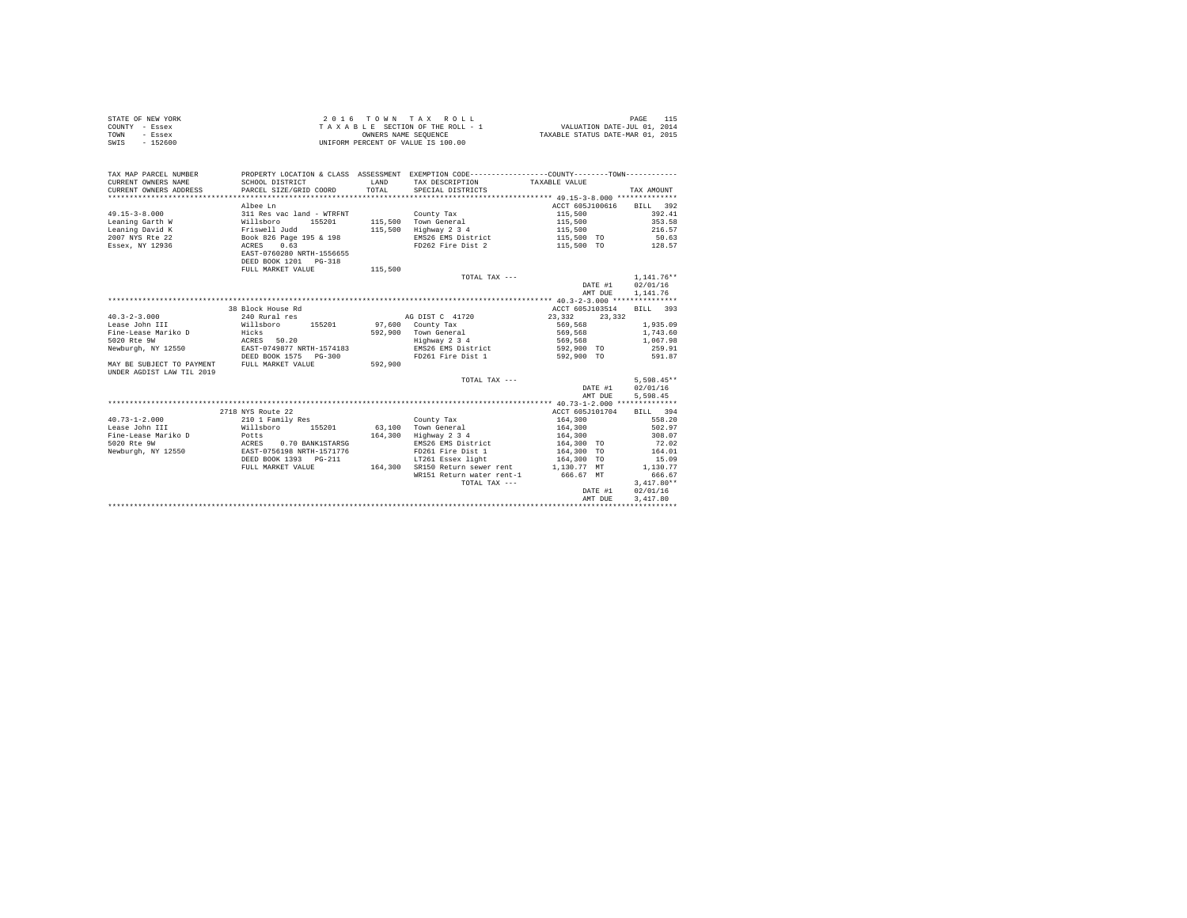| STATE OF NEW YORK | 2016 TOWN TAX ROLL                 | PAGE                             |
|-------------------|------------------------------------|----------------------------------|
| COUNTY - Essex    | TAXABLE SECTION OF THE ROLL - 1    | VALUATION DATE-JUL 01, 2014      |
| TOWN<br>- Essex   | OWNERS NAME SEOUENCE               | TAXABLE STATUS DATE-MAR 01, 2015 |
| - 152600<br>SWIS  | UNIFORM PERCENT OF VALUE IS 100.00 |                                  |

| TAX MAP PARCEL NUMBER<br>CURRENT OWNERS NAME<br>VERTRAIN THE SERVICE SERVICE SUBSEX CORPORATION CONTRACTES TO THE SERVICE SERVICE SERVICE SERVICE SERVICE SERVICE SERVICES TO THE SERVICE SERVICES TO THE SERVICE SERVICES TO THE SERVICES TO THE SERVICES TO THE SERVICE SERV | SCHOOL DISTRICT                                     | <b>T.AND</b> | PROPERTY LOCATION & CLASS ASSESSMENT EXEMPTION CODE----------------COUNTY-------TOWN----------<br>TAX DESCRIPTION TAXABLE VALUE |                          |              |
|--------------------------------------------------------------------------------------------------------------------------------------------------------------------------------------------------------------------------------------------------------------------------------|-----------------------------------------------------|--------------|---------------------------------------------------------------------------------------------------------------------------------|--------------------------|--------------|
|                                                                                                                                                                                                                                                                                |                                                     |              |                                                                                                                                 |                          |              |
|                                                                                                                                                                                                                                                                                | Albee Ln                                            |              |                                                                                                                                 | ACCT 605J100616 BILL 392 |              |
| $49.15 - 3 - 8.000$                                                                                                                                                                                                                                                            | 311 Res vac land - WTRFNT                           |              | County Tax                                                                                                                      | 115,500                  | 392.41       |
| Leaning Garth W                                                                                                                                                                                                                                                                | Willsboro<br>155201                                 |              | 115,500 Town General                                                                                                            | 115,500                  | 353.58       |
| Leaning David K                                                                                                                                                                                                                                                                | Friswell Judd                                       | 115,500      | Highway 2 3 4                                                                                                                   | 115,500                  | 216.57       |
| 2007 NYS Rte 22                                                                                                                                                                                                                                                                | Book 826 Page 195 & 198<br>ACRES 0.63               |              | EMS26 EMS District                                                                                                              | 115,500 TO               | 50.63        |
| Essex, NY 12936                                                                                                                                                                                                                                                                | EAST-0760280 NRTH-1556655<br>DEED BOOK 1201 PG-318  |              | FD262 Fire Dist 2                                                                                                               | 115,500 TO 128.57        |              |
|                                                                                                                                                                                                                                                                                | FULL MARKET VALUE                                   | 115,500      |                                                                                                                                 |                          |              |
|                                                                                                                                                                                                                                                                                |                                                     |              | TOTAL TAX ---                                                                                                                   |                          | $1.141.76**$ |
|                                                                                                                                                                                                                                                                                |                                                     |              |                                                                                                                                 | DATE #1                  | 02/01/16     |
|                                                                                                                                                                                                                                                                                |                                                     |              |                                                                                                                                 | AMT DUE                  | 1,141.76     |
|                                                                                                                                                                                                                                                                                |                                                     |              |                                                                                                                                 |                          |              |
|                                                                                                                                                                                                                                                                                | 38 Block House Rd                                   |              |                                                                                                                                 | ACCT 605J103514          | BILL 393     |
| $40.3 - 2 - 3.000$                                                                                                                                                                                                                                                             | 240 Rural res                                       |              | AG DIST C 41720                                                                                                                 | 23, 332 23, 332          |              |
| Lease John III                                                                                                                                                                                                                                                                 | Willsboro 155201 97,600 County Tax                  |              |                                                                                                                                 | 569,568                  | 1,935.09     |
| Fine-Lease Mariko D                                                                                                                                                                                                                                                            |                                                     |              |                                                                                                                                 | 569,568                  | 1,743.60     |
| 5020 Rte 9W                                                                                                                                                                                                                                                                    | Hicks<br>ACRES 50.20                                |              | 592,900 Town General<br>Highway 2 3 4                                                                                           | 569,568                  | 1,067.98     |
| Newburgh, NY 12550 EAST-0749877 NRTH-1574183                                                                                                                                                                                                                                   |                                                     |              | EMS26 EMS District 592,900 TO                                                                                                   |                          | 259.91       |
|                                                                                                                                                                                                                                                                                | DEED BOOK 1575 PG-300                               |              | FD261 Fire Dist 1                                                                                                               | 592,900 TO               | 591.87       |
| MAY BE SUBJECT TO PAYMENT                                                                                                                                                                                                                                                      | FULL MARKET VALUE                                   | 592,900      |                                                                                                                                 |                          |              |
| UNDER AGDIST LAW TIL 2019                                                                                                                                                                                                                                                      |                                                     |              |                                                                                                                                 |                          |              |
|                                                                                                                                                                                                                                                                                |                                                     |              | TOTAL TAX ---                                                                                                                   |                          | $5.598.45**$ |
|                                                                                                                                                                                                                                                                                |                                                     |              |                                                                                                                                 | DATE #1                  | 02/01/16     |
|                                                                                                                                                                                                                                                                                |                                                     |              |                                                                                                                                 | AMT DUE                  | 5,598.45     |
|                                                                                                                                                                                                                                                                                |                                                     |              |                                                                                                                                 |                          |              |
|                                                                                                                                                                                                                                                                                | 2718 NYS Route 22                                   |              |                                                                                                                                 | ACCT 605J101704          | BILL 394     |
| $40.73 - 1 - 2.000$                                                                                                                                                                                                                                                            |                                                     |              | County Tax                                                                                                                      | 164,300                  | 558.20       |
| Lease John III                                                                                                                                                                                                                                                                 | 210 1 Family Res<br>Willsboro 155201 63,100         |              | Town General                                                                                                                    | 164,300                  | 502.97       |
| Potts<br>Fine-Lease Mariko D                                                                                                                                                                                                                                                   |                                                     | 164,300      | Highway 2 3 4                                                                                                                   | 164,300                  | 308.07       |
| 5020 Rte 9W                                                                                                                                                                                                                                                                    | ACRES 0.70 BANK1STARSG<br>EAST-0756198 NRTH-1571776 |              | EMS26 EMS District                                                                                                              | 164,300 TO               | 72.02        |
| Newburgh, NY 12550                                                                                                                                                                                                                                                             |                                                     |              | FD261 Fire Dist 1                                                                                                               | 164,300 TO               | 164.01       |
|                                                                                                                                                                                                                                                                                | DEED BOOK 1393 PG-211                               |              | LT261 Essex light 164,300 TO                                                                                                    |                          | 15.09        |
|                                                                                                                                                                                                                                                                                | FULL MARKET VALUE                                   | 164,300      | SR150 Return sewer rent 1,130.77 MT                                                                                             |                          | 1,130.77     |
|                                                                                                                                                                                                                                                                                |                                                     |              | WR151 Return water rent-1 666.67 MT                                                                                             |                          | 666.67       |
|                                                                                                                                                                                                                                                                                |                                                     |              | TOTAL TAX ---                                                                                                                   |                          | $3.417.80**$ |
|                                                                                                                                                                                                                                                                                |                                                     |              |                                                                                                                                 | DATE #1                  | 02/01/16     |
|                                                                                                                                                                                                                                                                                |                                                     |              |                                                                                                                                 | AMT DUE                  | 3,417.80     |
|                                                                                                                                                                                                                                                                                |                                                     |              |                                                                                                                                 |                          |              |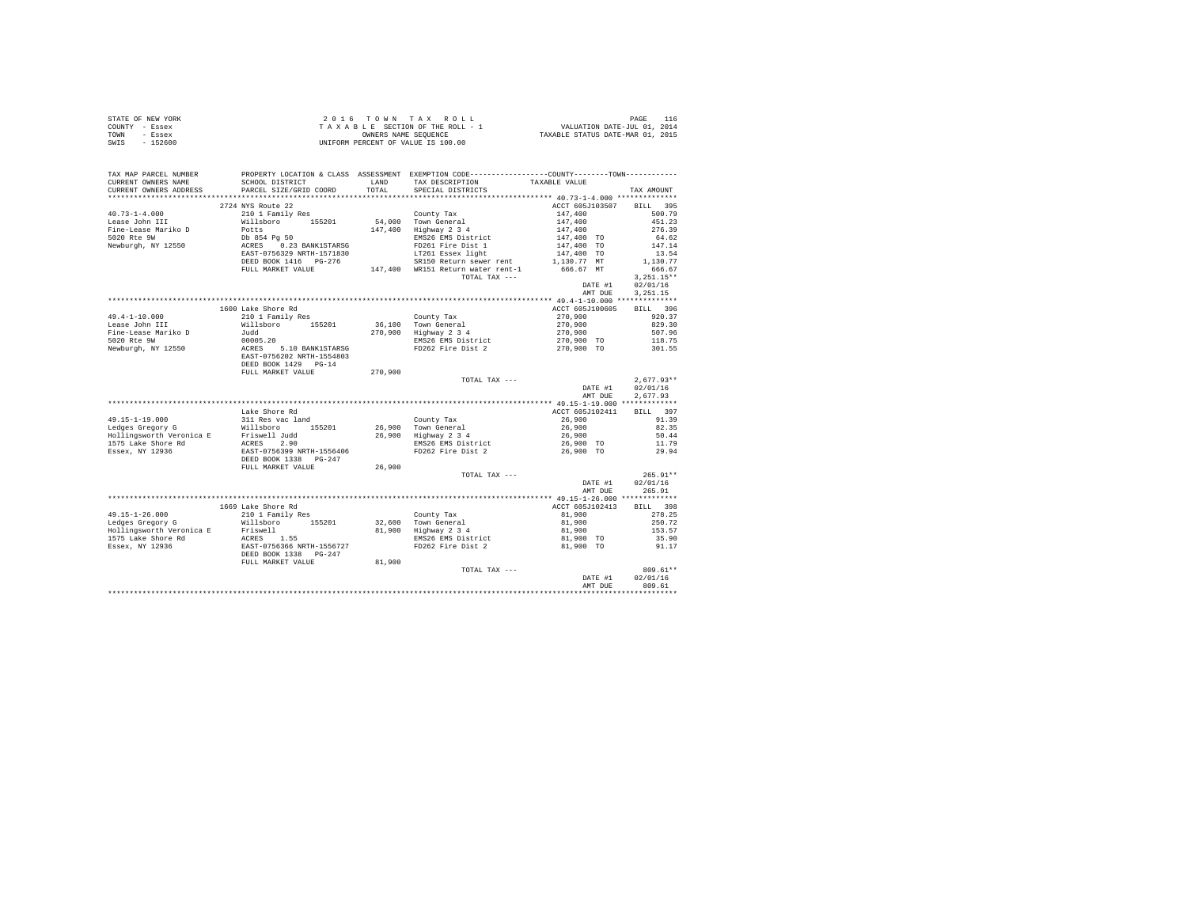|                | STATE OF NEW YORK | 2016 TOWN TAX ROLL                 | PAGE                             |
|----------------|-------------------|------------------------------------|----------------------------------|
| COUNTY - Essex |                   | TAXABLE SECTION OF THE ROLL - 1    | VALUATION DATE-JUL 01, 2014      |
| TOWN           | - Essex           | OWNERS NAME SEOUENCE               | TAXABLE STATUS DATE-MAR 01, 2015 |
| SWIS           | $-152600$         | UNIFORM PERCENT OF VALUE IS 100.00 |                                  |

| TAX MAP PARCEL NUMBER                                                                                                                                                                                                                                   |                                           |         | PROPERTY LOCATION & CLASS ASSESSMENT EXEMPTION CODE---------------COUNTY-------TOWN---------         |                     |              |
|---------------------------------------------------------------------------------------------------------------------------------------------------------------------------------------------------------------------------------------------------------|-------------------------------------------|---------|------------------------------------------------------------------------------------------------------|---------------------|--------------|
| CURRENT OWNERS NAME<br>CURRENT OWNERS ADDRESS                                                                                                                                                                                                           | SCHOOL DISTRICT<br>PARCEL SIZE/GRID COORD | TOTAL   | LAND TAX DESCRIPTION                                                                                 | TAXABLE VALUE       |              |
|                                                                                                                                                                                                                                                         |                                           |         | SPECIAL DISTRICTS                                                                                    |                     | TAX AMOUNT   |
|                                                                                                                                                                                                                                                         | 2724 NYS Route 22                         |         |                                                                                                      | ACCT 605J103507     | BILL 395     |
| $40.73 - 1 - 4.000$                                                                                                                                                                                                                                     | 210 1 Family Res                          |         | County Tax                                                                                           | 147,400             | 500.79       |
| Lease John III                                                                                                                                                                                                                                          |                                           |         |                                                                                                      |                     | 451.23       |
| Fine-Lease Mariko D                                                                                                                                                                                                                                     | Willsboro 155201<br>Potts                 |         | 54,000 Town General<br>147,400 Highway 2 3 4                                                         | 147,400<br>147,400  | 276.39       |
| 5020 Rte 9W                                                                                                                                                                                                                                             |                                           |         | EMS26 EMS District                                                                                   | 147,400 TO          | 64.62        |
| Newburgh, NY 12550                                                                                                                                                                                                                                      | Db 854 Pg 50<br>ACRES 0.23 BANK1STARSG    |         | FD261 Fire Dist 1                                                                                    | 147,400 TO          | 147.14       |
|                                                                                                                                                                                                                                                         | EAST-0756329 NRTH-1571830                 |         | LT261 Essex light                                                                                    | 147,400 TO          | 13.54        |
|                                                                                                                                                                                                                                                         |                                           |         | SR150 Return sewer rent                                                                              | 1,130.77 MT         | 1,130.77     |
|                                                                                                                                                                                                                                                         |                                           |         | DEED BOOK 1416 PG-276 SRIBU Return sewer rent<br>FULL MARKET VALUE 147,400 WR151 Return water rent-1 | 666.67 MT           | 666.67       |
|                                                                                                                                                                                                                                                         |                                           |         | TOTAL TAX ---                                                                                        |                     | $3.251.15**$ |
|                                                                                                                                                                                                                                                         |                                           |         |                                                                                                      | DATE #1             | 02/01/16     |
|                                                                                                                                                                                                                                                         |                                           |         |                                                                                                      | AMT DUE             | 3, 251.15    |
|                                                                                                                                                                                                                                                         |                                           |         |                                                                                                      |                     |              |
|                                                                                                                                                                                                                                                         | 1600 Lake Shore Rd                        |         |                                                                                                      | ACCT 605J100605     | BILL 396     |
| $49.4 - 1 - 10.000$                                                                                                                                                                                                                                     | 210 1 Family Res                          |         | County Tax                                                                                           | 270,900             | 920.37       |
| Lease John III                                                                                                                                                                                                                                          | Willsboro 155201                          |         |                                                                                                      | 270,900             | 829.30       |
| Fine-Lease Mariko D                                                                                                                                                                                                                                     | niisse<br>Judd                            |         | 36,100 Town General<br>270,900 Highway 2 3 4                                                         | 270,900             | 507.96       |
| 5020 Rte 9W                                                                                                                                                                                                                                             | 00005.20<br>ACRES 5.10 BANK1STARSG        |         |                                                                                                      |                     |              |
| Newburgh, NY 12550                                                                                                                                                                                                                                      |                                           |         | EMS26 EMS District $270,900$ TO $118.75$<br>FD262 Fire Dist 2 $270,900$ TO $301.55$                  |                     |              |
|                                                                                                                                                                                                                                                         | EAST-0756202 NRTH-1554803                 |         |                                                                                                      |                     |              |
|                                                                                                                                                                                                                                                         | DEED BOOK 1429 PG-14                      |         |                                                                                                      |                     |              |
|                                                                                                                                                                                                                                                         | FULL MARKET VALUE                         | 270,900 |                                                                                                      |                     |              |
|                                                                                                                                                                                                                                                         |                                           |         | TOTAL TAX ---                                                                                        |                     | $2.677.93**$ |
|                                                                                                                                                                                                                                                         |                                           |         |                                                                                                      | DATE #1             | 02/01/16     |
|                                                                                                                                                                                                                                                         |                                           |         |                                                                                                      | AMT DUE             | 2.677.93     |
|                                                                                                                                                                                                                                                         |                                           |         |                                                                                                      |                     |              |
|                                                                                                                                                                                                                                                         | Lake Shore Rd                             |         |                                                                                                      | ACCT 605J102411     | BILL 397     |
|                                                                                                                                                                                                                                                         |                                           |         | County Tax                                                                                           | 26,900              | 91.39        |
|                                                                                                                                                                                                                                                         |                                           |         |                                                                                                      | 26,900              | 82.35        |
|                                                                                                                                                                                                                                                         |                                           |         | 26,900 Town General<br>26,900 Highway 2 3 4                                                          | 26,900              | 50.44        |
| 49.15-1-19.000<br>Ledges Gregory G<br>Millsboro 155201<br>Hollingsworth Veronica E<br>Hollingsworth Text Prince 2.90<br>ISS Lake Shore Rd<br>EASES 2.90<br>EASES 2.90<br>EASES 2.90<br>EASES 2.90<br>EASES 2.90<br>EASES 2.90<br>EASES 2.90<br>EASES 2. |                                           |         | EMS26 EMS District $26,900$ TO<br>FD262 Fire Dist 2 26,900 TO                                        |                     | 11.79        |
|                                                                                                                                                                                                                                                         |                                           |         |                                                                                                      |                     | 29.94        |
|                                                                                                                                                                                                                                                         | DEED BOOK 1338 PG-247                     |         |                                                                                                      |                     |              |
|                                                                                                                                                                                                                                                         | FULL MARKET VALUE                         | 26,900  |                                                                                                      |                     |              |
|                                                                                                                                                                                                                                                         |                                           |         | TOTAL TAX ---                                                                                        |                     | $265.91**$   |
|                                                                                                                                                                                                                                                         |                                           |         |                                                                                                      | DATE #1             | 02/01/16     |
|                                                                                                                                                                                                                                                         |                                           |         |                                                                                                      | AMT DUE             | 265.91       |
|                                                                                                                                                                                                                                                         |                                           |         |                                                                                                      |                     |              |
|                                                                                                                                                                                                                                                         | 1669 Lake Shore Rd                        |         |                                                                                                      | ACCT 605J102413     | BILL 398     |
| $49.15 - 1 - 26.000$                                                                                                                                                                                                                                    | 210 1 Family Res                          |         | County Tax                                                                                           | 81,900              | 278.25       |
| Ledges Gregory G                                                                                                                                                                                                                                        | Willsboro 155201                          |         | 32,600 Town General<br>81,900 Highway 2 3 4<br>EMS26 EMS District                                    | 81,900              | 250.72       |
|                                                                                                                                                                                                                                                         |                                           |         |                                                                                                      | 81,900<br>81,900 TO | 153.57       |
|                                                                                                                                                                                                                                                         |                                           |         |                                                                                                      |                     | 35.90        |
| Exagge burger of the main and the main state of the main state of the main state of the main state of the main state of the main state of the main state of the main state of the main state of the main state of the main sta                          |                                           |         | FD262 Fire Dist 2                                                                                    | 81,900 TO           | 91.17        |
|                                                                                                                                                                                                                                                         | DEED BOOK 1338 PG-247                     |         |                                                                                                      |                     |              |
|                                                                                                                                                                                                                                                         | FULL MARKET VALUE                         | 81,900  |                                                                                                      |                     |              |
|                                                                                                                                                                                                                                                         |                                           |         | TOTAL TAX ---                                                                                        |                     | 809.61**     |
|                                                                                                                                                                                                                                                         |                                           |         |                                                                                                      | DATE #1             | 02/01/16     |
|                                                                                                                                                                                                                                                         |                                           |         |                                                                                                      | AMT DUE             | 809.61       |
|                                                                                                                                                                                                                                                         |                                           |         |                                                                                                      |                     |              |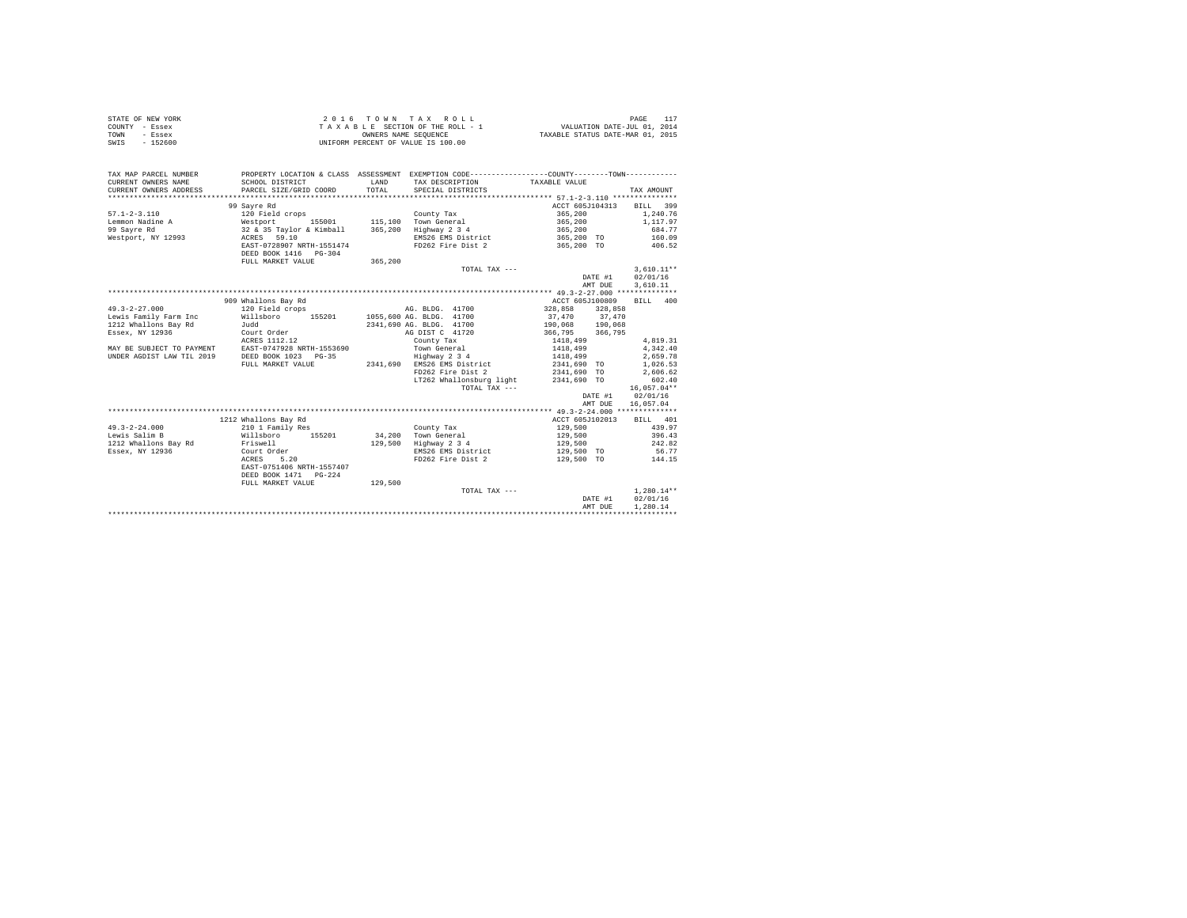|                | STATE OF NEW YORK | 2016 TOWN TAX ROLL                 |  |  |                      |  |  |  |                                  | PAGE                        |  |
|----------------|-------------------|------------------------------------|--|--|----------------------|--|--|--|----------------------------------|-----------------------------|--|
| COUNTY - Essex |                   | TAXABLE SECTION OF THE ROLL - 1    |  |  |                      |  |  |  |                                  | VALUATION DATE-JUL 01, 2014 |  |
| TOWN           | - Essex           |                                    |  |  | OWNERS NAME SEOUENCE |  |  |  | TAXABLE STATUS DATE-MAR 01, 2015 |                             |  |
| SWIS           | $-152600$         | UNIFORM PERCENT OF VALUE IS 100.00 |  |  |                      |  |  |  |                                  |                             |  |

| ACCT 605J104313 BILL 399<br>99 Savre Rd<br>$57.1 - 2 - 3.110$<br>1,240.76<br>120 Field crops<br>365,200<br>County Tax<br>Lemmon Nadine A Westport<br>155001 115,100 Town General<br>1,117.97<br>365,200<br>$32 \& 35$ Taylor & Kimball 365,200<br>ACRES 59.10<br>99 Savre Rd<br>Highway 2 3 4<br>684.77<br>365,200<br>EMS26 EMS District<br>365,200 TO<br>160.09<br>FD262 Fire Dist 2 365,200 TO<br>EAST-0728907 NRTH-1551474<br>406.52<br>DEED BOOK 1416 PG-304<br>365,200<br>FULL MARKET VALUE<br>$3,610.11**$<br>TOTAL TAX ---<br>DATE #1<br>02/01/16<br>3,610.11<br>AMT DUE<br>909 Whallons Bay Rd<br>ACCT 605J100809<br>BILL 400<br>120 Field crops<br>AG. BLDG. 41700<br>328,858 328,858<br>37,470 37,470<br>Lewis Family Farm Inc<br>Willsboro 155201<br>1055,600 AG. BLDG. 41700<br>190.068 190.068<br>2341,690 AG, BLDG, 41700<br>Judd<br>AG DIST C 41720<br>366, 795 366, 795<br>4,819.31<br>County Tax<br>1418,499<br>MAY BE SUBJECT TO PAYMENT EAST-0747928 NRTH-1553690<br>1418,499<br>Town General<br>4,342.40<br>Highway 2 3 4<br>2,659.78<br>DEED BOOK 1023 PG-35<br>1418,499<br>2341,690 EMS26 EMS District<br>FULL MARKET VALUE<br>2341,690 TO<br>1,026.53<br>FD262 Fire Dist 2<br>2341,690 TO<br>2,606.62<br>LT262 Whallonsburg light 2341,690 TO<br>602.40<br>TOTAL TAX ---<br>$16,057.04**$<br>02/01/16<br>DATE #1<br>16,057.04<br>AMT DUE<br>1212 Whallons Bay Rd<br>ACCT 605J102013<br>BILL 401<br>$49.3 - 2 - 24.000$<br>439.97<br>210 1 Family Res<br>129,500<br>County Tax<br>Lewis Salim B<br>34,200 Town General<br>396.43<br>Willsboro 155201<br>129,500<br>1212 Whallons Bay Rd<br>129,500<br>Highway 2 3 4<br>129,500<br>Friswell<br>242.82<br>Essex, NY 12936<br>129.500 TO 56.77<br>EMS26 EMS District<br>Court Order<br>FD262 Fire Dist 2<br>ACRES<br>5.20<br>129,500 TO 144.15<br>EAST-0751406 NRTH-1557407<br>DEED BOOK 1471 PG-224<br>FULL MARKET VALUE<br>129,500<br>$1.280.14**$<br>TOTAL TAX ---<br>02/01/16<br>DATE #1<br>1,280.14<br>AMT DUE | TAX MAP PARCEL NUMBER<br>CURRENT OWNERS NAME<br>CURRENT OWNERS ADDRESS | SCHOOL DISTRICT<br>PARCEL SIZE/GRID COORD | LAND<br>TOTAL | PROPERTY LOCATION & CLASS ASSESSMENT EXEMPTION CODE----------------COUNTY--------TOWN----------<br>TAX DESCRIPTION<br>SPECIAL DISTRICTS | TAXABLE VALUE | TAX AMOUNT |
|----------------------------------------------------------------------------------------------------------------------------------------------------------------------------------------------------------------------------------------------------------------------------------------------------------------------------------------------------------------------------------------------------------------------------------------------------------------------------------------------------------------------------------------------------------------------------------------------------------------------------------------------------------------------------------------------------------------------------------------------------------------------------------------------------------------------------------------------------------------------------------------------------------------------------------------------------------------------------------------------------------------------------------------------------------------------------------------------------------------------------------------------------------------------------------------------------------------------------------------------------------------------------------------------------------------------------------------------------------------------------------------------------------------------------------------------------------------------------------------------------------------------------------------------------------------------------------------------------------------------------------------------------------------------------------------------------------------------------------------------------------------------------------------------------------------------------------------------------------------------------------------------------------------------------------------------------------------------------------------|------------------------------------------------------------------------|-------------------------------------------|---------------|-----------------------------------------------------------------------------------------------------------------------------------------|---------------|------------|
|                                                                                                                                                                                                                                                                                                                                                                                                                                                                                                                                                                                                                                                                                                                                                                                                                                                                                                                                                                                                                                                                                                                                                                                                                                                                                                                                                                                                                                                                                                                                                                                                                                                                                                                                                                                                                                                                                                                                                                                        |                                                                        |                                           |               |                                                                                                                                         |               |            |
|                                                                                                                                                                                                                                                                                                                                                                                                                                                                                                                                                                                                                                                                                                                                                                                                                                                                                                                                                                                                                                                                                                                                                                                                                                                                                                                                                                                                                                                                                                                                                                                                                                                                                                                                                                                                                                                                                                                                                                                        |                                                                        |                                           |               |                                                                                                                                         |               |            |
|                                                                                                                                                                                                                                                                                                                                                                                                                                                                                                                                                                                                                                                                                                                                                                                                                                                                                                                                                                                                                                                                                                                                                                                                                                                                                                                                                                                                                                                                                                                                                                                                                                                                                                                                                                                                                                                                                                                                                                                        |                                                                        |                                           |               |                                                                                                                                         |               |            |
|                                                                                                                                                                                                                                                                                                                                                                                                                                                                                                                                                                                                                                                                                                                                                                                                                                                                                                                                                                                                                                                                                                                                                                                                                                                                                                                                                                                                                                                                                                                                                                                                                                                                                                                                                                                                                                                                                                                                                                                        |                                                                        |                                           |               |                                                                                                                                         |               |            |
|                                                                                                                                                                                                                                                                                                                                                                                                                                                                                                                                                                                                                                                                                                                                                                                                                                                                                                                                                                                                                                                                                                                                                                                                                                                                                                                                                                                                                                                                                                                                                                                                                                                                                                                                                                                                                                                                                                                                                                                        |                                                                        |                                           |               |                                                                                                                                         |               |            |
|                                                                                                                                                                                                                                                                                                                                                                                                                                                                                                                                                                                                                                                                                                                                                                                                                                                                                                                                                                                                                                                                                                                                                                                                                                                                                                                                                                                                                                                                                                                                                                                                                                                                                                                                                                                                                                                                                                                                                                                        | Westport, NY 12993                                                     |                                           |               |                                                                                                                                         |               |            |
|                                                                                                                                                                                                                                                                                                                                                                                                                                                                                                                                                                                                                                                                                                                                                                                                                                                                                                                                                                                                                                                                                                                                                                                                                                                                                                                                                                                                                                                                                                                                                                                                                                                                                                                                                                                                                                                                                                                                                                                        |                                                                        |                                           |               |                                                                                                                                         |               |            |
|                                                                                                                                                                                                                                                                                                                                                                                                                                                                                                                                                                                                                                                                                                                                                                                                                                                                                                                                                                                                                                                                                                                                                                                                                                                                                                                                                                                                                                                                                                                                                                                                                                                                                                                                                                                                                                                                                                                                                                                        |                                                                        |                                           |               |                                                                                                                                         |               |            |
|                                                                                                                                                                                                                                                                                                                                                                                                                                                                                                                                                                                                                                                                                                                                                                                                                                                                                                                                                                                                                                                                                                                                                                                                                                                                                                                                                                                                                                                                                                                                                                                                                                                                                                                                                                                                                                                                                                                                                                                        |                                                                        |                                           |               |                                                                                                                                         |               |            |
|                                                                                                                                                                                                                                                                                                                                                                                                                                                                                                                                                                                                                                                                                                                                                                                                                                                                                                                                                                                                                                                                                                                                                                                                                                                                                                                                                                                                                                                                                                                                                                                                                                                                                                                                                                                                                                                                                                                                                                                        |                                                                        |                                           |               |                                                                                                                                         |               |            |
|                                                                                                                                                                                                                                                                                                                                                                                                                                                                                                                                                                                                                                                                                                                                                                                                                                                                                                                                                                                                                                                                                                                                                                                                                                                                                                                                                                                                                                                                                                                                                                                                                                                                                                                                                                                                                                                                                                                                                                                        |                                                                        |                                           |               |                                                                                                                                         |               |            |
|                                                                                                                                                                                                                                                                                                                                                                                                                                                                                                                                                                                                                                                                                                                                                                                                                                                                                                                                                                                                                                                                                                                                                                                                                                                                                                                                                                                                                                                                                                                                                                                                                                                                                                                                                                                                                                                                                                                                                                                        |                                                                        |                                           |               |                                                                                                                                         |               |            |
|                                                                                                                                                                                                                                                                                                                                                                                                                                                                                                                                                                                                                                                                                                                                                                                                                                                                                                                                                                                                                                                                                                                                                                                                                                                                                                                                                                                                                                                                                                                                                                                                                                                                                                                                                                                                                                                                                                                                                                                        |                                                                        |                                           |               |                                                                                                                                         |               |            |
|                                                                                                                                                                                                                                                                                                                                                                                                                                                                                                                                                                                                                                                                                                                                                                                                                                                                                                                                                                                                                                                                                                                                                                                                                                                                                                                                                                                                                                                                                                                                                                                                                                                                                                                                                                                                                                                                                                                                                                                        | $49.3 - 2 - 27.000$                                                    |                                           |               |                                                                                                                                         |               |            |
|                                                                                                                                                                                                                                                                                                                                                                                                                                                                                                                                                                                                                                                                                                                                                                                                                                                                                                                                                                                                                                                                                                                                                                                                                                                                                                                                                                                                                                                                                                                                                                                                                                                                                                                                                                                                                                                                                                                                                                                        |                                                                        |                                           |               |                                                                                                                                         |               |            |
|                                                                                                                                                                                                                                                                                                                                                                                                                                                                                                                                                                                                                                                                                                                                                                                                                                                                                                                                                                                                                                                                                                                                                                                                                                                                                                                                                                                                                                                                                                                                                                                                                                                                                                                                                                                                                                                                                                                                                                                        | 1212 Whallons Bay Rd                                                   |                                           |               |                                                                                                                                         |               |            |
|                                                                                                                                                                                                                                                                                                                                                                                                                                                                                                                                                                                                                                                                                                                                                                                                                                                                                                                                                                                                                                                                                                                                                                                                                                                                                                                                                                                                                                                                                                                                                                                                                                                                                                                                                                                                                                                                                                                                                                                        | Essex, NY 12936                                                        |                                           |               |                                                                                                                                         |               |            |
|                                                                                                                                                                                                                                                                                                                                                                                                                                                                                                                                                                                                                                                                                                                                                                                                                                                                                                                                                                                                                                                                                                                                                                                                                                                                                                                                                                                                                                                                                                                                                                                                                                                                                                                                                                                                                                                                                                                                                                                        |                                                                        |                                           |               |                                                                                                                                         |               |            |
|                                                                                                                                                                                                                                                                                                                                                                                                                                                                                                                                                                                                                                                                                                                                                                                                                                                                                                                                                                                                                                                                                                                                                                                                                                                                                                                                                                                                                                                                                                                                                                                                                                                                                                                                                                                                                                                                                                                                                                                        |                                                                        |                                           |               |                                                                                                                                         |               |            |
|                                                                                                                                                                                                                                                                                                                                                                                                                                                                                                                                                                                                                                                                                                                                                                                                                                                                                                                                                                                                                                                                                                                                                                                                                                                                                                                                                                                                                                                                                                                                                                                                                                                                                                                                                                                                                                                                                                                                                                                        | UNDER AGDIST LAW TIL 2019                                              |                                           |               |                                                                                                                                         |               |            |
|                                                                                                                                                                                                                                                                                                                                                                                                                                                                                                                                                                                                                                                                                                                                                                                                                                                                                                                                                                                                                                                                                                                                                                                                                                                                                                                                                                                                                                                                                                                                                                                                                                                                                                                                                                                                                                                                                                                                                                                        |                                                                        |                                           |               |                                                                                                                                         |               |            |
|                                                                                                                                                                                                                                                                                                                                                                                                                                                                                                                                                                                                                                                                                                                                                                                                                                                                                                                                                                                                                                                                                                                                                                                                                                                                                                                                                                                                                                                                                                                                                                                                                                                                                                                                                                                                                                                                                                                                                                                        |                                                                        |                                           |               |                                                                                                                                         |               |            |
|                                                                                                                                                                                                                                                                                                                                                                                                                                                                                                                                                                                                                                                                                                                                                                                                                                                                                                                                                                                                                                                                                                                                                                                                                                                                                                                                                                                                                                                                                                                                                                                                                                                                                                                                                                                                                                                                                                                                                                                        |                                                                        |                                           |               |                                                                                                                                         |               |            |
|                                                                                                                                                                                                                                                                                                                                                                                                                                                                                                                                                                                                                                                                                                                                                                                                                                                                                                                                                                                                                                                                                                                                                                                                                                                                                                                                                                                                                                                                                                                                                                                                                                                                                                                                                                                                                                                                                                                                                                                        |                                                                        |                                           |               |                                                                                                                                         |               |            |
|                                                                                                                                                                                                                                                                                                                                                                                                                                                                                                                                                                                                                                                                                                                                                                                                                                                                                                                                                                                                                                                                                                                                                                                                                                                                                                                                                                                                                                                                                                                                                                                                                                                                                                                                                                                                                                                                                                                                                                                        |                                                                        |                                           |               |                                                                                                                                         |               |            |
|                                                                                                                                                                                                                                                                                                                                                                                                                                                                                                                                                                                                                                                                                                                                                                                                                                                                                                                                                                                                                                                                                                                                                                                                                                                                                                                                                                                                                                                                                                                                                                                                                                                                                                                                                                                                                                                                                                                                                                                        |                                                                        |                                           |               |                                                                                                                                         |               |            |
|                                                                                                                                                                                                                                                                                                                                                                                                                                                                                                                                                                                                                                                                                                                                                                                                                                                                                                                                                                                                                                                                                                                                                                                                                                                                                                                                                                                                                                                                                                                                                                                                                                                                                                                                                                                                                                                                                                                                                                                        |                                                                        |                                           |               |                                                                                                                                         |               |            |
|                                                                                                                                                                                                                                                                                                                                                                                                                                                                                                                                                                                                                                                                                                                                                                                                                                                                                                                                                                                                                                                                                                                                                                                                                                                                                                                                                                                                                                                                                                                                                                                                                                                                                                                                                                                                                                                                                                                                                                                        |                                                                        |                                           |               |                                                                                                                                         |               |            |
|                                                                                                                                                                                                                                                                                                                                                                                                                                                                                                                                                                                                                                                                                                                                                                                                                                                                                                                                                                                                                                                                                                                                                                                                                                                                                                                                                                                                                                                                                                                                                                                                                                                                                                                                                                                                                                                                                                                                                                                        |                                                                        |                                           |               |                                                                                                                                         |               |            |
|                                                                                                                                                                                                                                                                                                                                                                                                                                                                                                                                                                                                                                                                                                                                                                                                                                                                                                                                                                                                                                                                                                                                                                                                                                                                                                                                                                                                                                                                                                                                                                                                                                                                                                                                                                                                                                                                                                                                                                                        |                                                                        |                                           |               |                                                                                                                                         |               |            |
|                                                                                                                                                                                                                                                                                                                                                                                                                                                                                                                                                                                                                                                                                                                                                                                                                                                                                                                                                                                                                                                                                                                                                                                                                                                                                                                                                                                                                                                                                                                                                                                                                                                                                                                                                                                                                                                                                                                                                                                        |                                                                        |                                           |               |                                                                                                                                         |               |            |
|                                                                                                                                                                                                                                                                                                                                                                                                                                                                                                                                                                                                                                                                                                                                                                                                                                                                                                                                                                                                                                                                                                                                                                                                                                                                                                                                                                                                                                                                                                                                                                                                                                                                                                                                                                                                                                                                                                                                                                                        |                                                                        |                                           |               |                                                                                                                                         |               |            |
|                                                                                                                                                                                                                                                                                                                                                                                                                                                                                                                                                                                                                                                                                                                                                                                                                                                                                                                                                                                                                                                                                                                                                                                                                                                                                                                                                                                                                                                                                                                                                                                                                                                                                                                                                                                                                                                                                                                                                                                        |                                                                        |                                           |               |                                                                                                                                         |               |            |
|                                                                                                                                                                                                                                                                                                                                                                                                                                                                                                                                                                                                                                                                                                                                                                                                                                                                                                                                                                                                                                                                                                                                                                                                                                                                                                                                                                                                                                                                                                                                                                                                                                                                                                                                                                                                                                                                                                                                                                                        |                                                                        |                                           |               |                                                                                                                                         |               |            |
|                                                                                                                                                                                                                                                                                                                                                                                                                                                                                                                                                                                                                                                                                                                                                                                                                                                                                                                                                                                                                                                                                                                                                                                                                                                                                                                                                                                                                                                                                                                                                                                                                                                                                                                                                                                                                                                                                                                                                                                        |                                                                        |                                           |               |                                                                                                                                         |               |            |
|                                                                                                                                                                                                                                                                                                                                                                                                                                                                                                                                                                                                                                                                                                                                                                                                                                                                                                                                                                                                                                                                                                                                                                                                                                                                                                                                                                                                                                                                                                                                                                                                                                                                                                                                                                                                                                                                                                                                                                                        |                                                                        |                                           |               |                                                                                                                                         |               |            |
|                                                                                                                                                                                                                                                                                                                                                                                                                                                                                                                                                                                                                                                                                                                                                                                                                                                                                                                                                                                                                                                                                                                                                                                                                                                                                                                                                                                                                                                                                                                                                                                                                                                                                                                                                                                                                                                                                                                                                                                        |                                                                        |                                           |               |                                                                                                                                         |               |            |
|                                                                                                                                                                                                                                                                                                                                                                                                                                                                                                                                                                                                                                                                                                                                                                                                                                                                                                                                                                                                                                                                                                                                                                                                                                                                                                                                                                                                                                                                                                                                                                                                                                                                                                                                                                                                                                                                                                                                                                                        |                                                                        |                                           |               |                                                                                                                                         |               |            |
|                                                                                                                                                                                                                                                                                                                                                                                                                                                                                                                                                                                                                                                                                                                                                                                                                                                                                                                                                                                                                                                                                                                                                                                                                                                                                                                                                                                                                                                                                                                                                                                                                                                                                                                                                                                                                                                                                                                                                                                        |                                                                        |                                           |               |                                                                                                                                         |               |            |
|                                                                                                                                                                                                                                                                                                                                                                                                                                                                                                                                                                                                                                                                                                                                                                                                                                                                                                                                                                                                                                                                                                                                                                                                                                                                                                                                                                                                                                                                                                                                                                                                                                                                                                                                                                                                                                                                                                                                                                                        |                                                                        |                                           |               |                                                                                                                                         |               |            |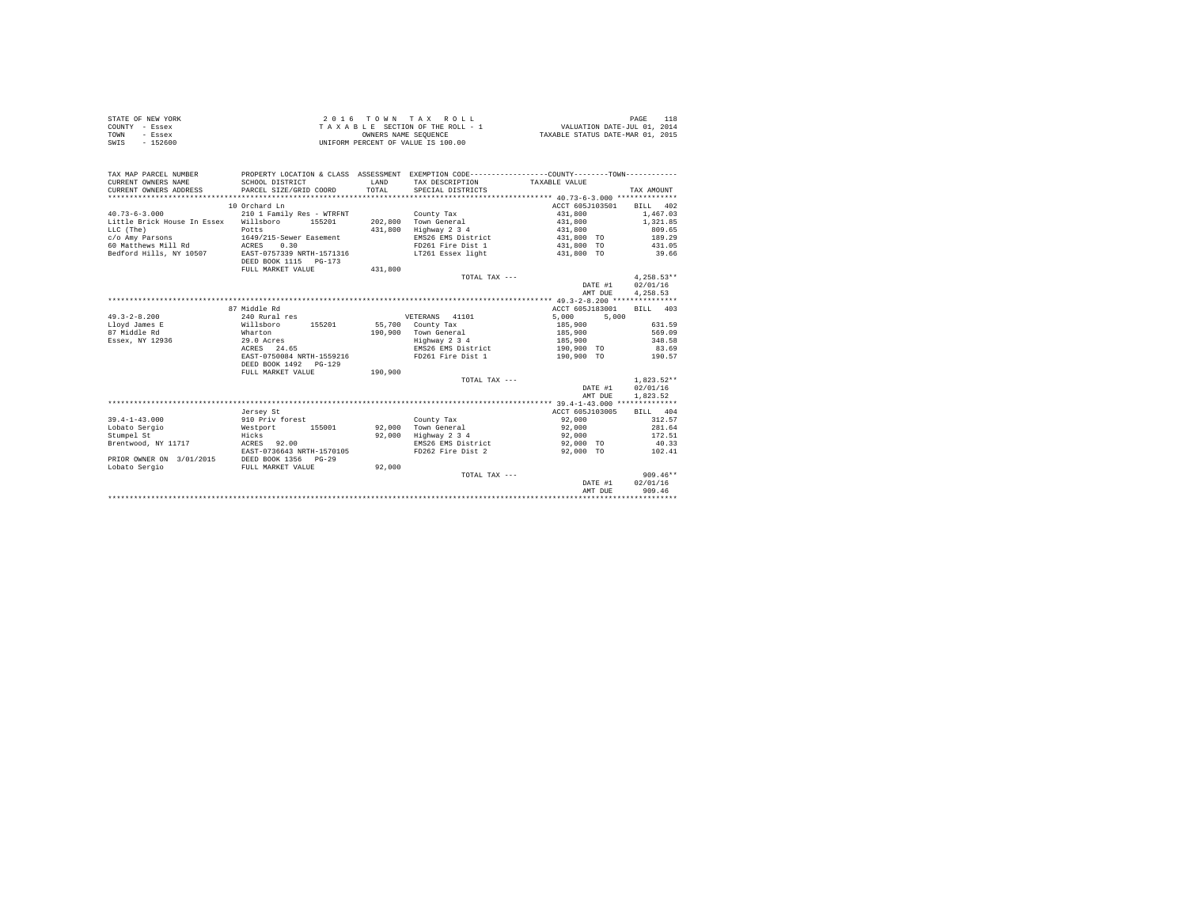| STATE OF NEW YORK | $2.0.16$ TOWN TAX ROLL             | PAGE                             |
|-------------------|------------------------------------|----------------------------------|
| COUNTY - Essex    | TAXABLE SECTION OF THE ROLL - 1    | VALUATION DATE-JUL 01, 2014      |
| TOWN<br>- Essex   | OWNERS NAME SEOUENCE               | TAXABLE STATUS DATE-MAR 01, 2015 |
| SWIS<br>$-152600$ | UNIFORM PERCENT OF VALUE IS 100.00 |                                  |

| TAX MAP PARCEL NUMBER<br>CURRENT OWNERS NAME<br>CURRENT OWNERS ADDRESS | SCHOOL DISTRICT<br>PARCEL SIZE/GRID COORD          | LAND<br>TOTAL | PROPERTY LOCATION & CLASS ASSESSMENT EXEMPTION CODE---------------COUNTY-------TOWN----------<br>TAX DESCRIPTION<br>SPECIAL DISTRICTS | TAXABLE VALUE   | TAX AMOUNT   |
|------------------------------------------------------------------------|----------------------------------------------------|---------------|---------------------------------------------------------------------------------------------------------------------------------------|-----------------|--------------|
|                                                                        | 10 Orchard Ln                                      |               |                                                                                                                                       | ACCT 605J103501 | BILL 402     |
| $40.73 - 6 - 3.000$                                                    | 210 1 Family Res - WTRFNT                          |               | County Tax                                                                                                                            | 431,800         | 1,467.03     |
| Little Brick House In Essex Willsboro                                  | 155201                                             | 202,800       | Town General                                                                                                                          | 431,800         | 1,321.85     |
| LLC (The)                                                              | Potts                                              | 431,800       | Highway 2 3 4                                                                                                                         | 431,800         | 809.65       |
|                                                                        | 1649/215-Sewer Easement                            |               | EMS26 EMS District                                                                                                                    | 431,800 TO      | 189.29       |
| c/o Amy Parsons<br>60 Matthews Mill Rd ACRES                           | 0.30                                               |               | FD261 Fire Dist 1                                                                                                                     | 431,800 TO      | 431.05       |
|                                                                        |                                                    |               | LT261 Essex light                                                                                                                     |                 |              |
| Bedford Hills, NY 10507                                                | EAST-0757339 NRTH-1571316<br>DEED BOOK 1115 PG-173 |               |                                                                                                                                       | 431,800 TO      | 39.66        |
|                                                                        | FULL MARKET VALUE                                  | 431,800       |                                                                                                                                       |                 |              |
|                                                                        |                                                    |               | TOTAL TAX ---                                                                                                                         |                 | $4.258.53**$ |
|                                                                        |                                                    |               |                                                                                                                                       | DATE #1         | 02/01/16     |
|                                                                        |                                                    |               |                                                                                                                                       | AMT DUE         | 4,258.53     |
|                                                                        |                                                    |               |                                                                                                                                       |                 |              |
|                                                                        | 87 Middle Rd                                       |               |                                                                                                                                       | ACCT 605J183001 | BILL 403     |
| $49.3 - 2 - 8.200$                                                     | 240 Rural res                                      |               | VETERANS 41101                                                                                                                        | 5,000<br>5,000  |              |
| Lloyd James E                                                          | 155201<br>Willsboro                                | 55,700        | County Tax                                                                                                                            | 185,900         | 631.59       |
| 87 Middle Rd                                                           | Wharton                                            | 190,900       | Town General                                                                                                                          | 185,900         | 569.09       |
| Essex, NY 12936                                                        | 29.0 Acres                                         |               | Highway 2 3 4                                                                                                                         | 185,900         | 348.58       |
|                                                                        | ACRES 24.65                                        |               | EMS26 EMS District                                                                                                                    | 190,900 TO      | 83.69        |
|                                                                        | EAST-0750084 NRTH-1559216                          |               | FD261 Fire Dist 1                                                                                                                     | 190,900 TO      | 190.57       |
|                                                                        | DEED BOOK 1492 PG-129                              |               |                                                                                                                                       |                 |              |
|                                                                        | FULL MARKET VALUE                                  | 190,900       |                                                                                                                                       |                 |              |
|                                                                        |                                                    |               | TOTAL TAX ---                                                                                                                         |                 | $1.823.52**$ |
|                                                                        |                                                    |               |                                                                                                                                       | DATE #1         | 02/01/16     |
|                                                                        |                                                    |               |                                                                                                                                       | AMT DUE         | 1,823.52     |
|                                                                        |                                                    |               |                                                                                                                                       |                 |              |
|                                                                        | Jersey St                                          |               |                                                                                                                                       | ACCT 605J103005 | BILL 404     |
| $39.4 - 1 - 43.000$                                                    | 910 Priv forest                                    |               | County Tax                                                                                                                            | 92,000          | 312.57       |
| Lobato Sergio                                                          | Westport 155001                                    | 92,000        | Town General                                                                                                                          | 92,000          | 281.64       |
| Stumpel St                                                             | Hicks                                              | 92.000        | Highway 2 3 4                                                                                                                         | 92,000          | 172.51       |
| Brentwood, NY 11717                                                    | ACRES 92.00                                        |               | EMS26 EMS District                                                                                                                    | 92,000 TO       | 40.33        |
|                                                                        | EAST-0736643 NRTH-1570105                          |               | FD262 Fire Dist 2                                                                                                                     | 92,000 TO       | 102.41       |
| PRIOR OWNER ON 3/01/2015                                               | DEED BOOK 1356<br>$PG-29$                          |               |                                                                                                                                       |                 |              |
| Lobato Sergio                                                          | FULL MARKET VALUE                                  | 92,000        |                                                                                                                                       |                 |              |
|                                                                        |                                                    |               | TOTAL TAX ---                                                                                                                         |                 | $909.46**$   |
|                                                                        |                                                    |               |                                                                                                                                       | DATE #1         | 02/01/16     |
|                                                                        |                                                    |               |                                                                                                                                       | AMT DUE         | 909.46       |
|                                                                        |                                                    |               |                                                                                                                                       |                 |              |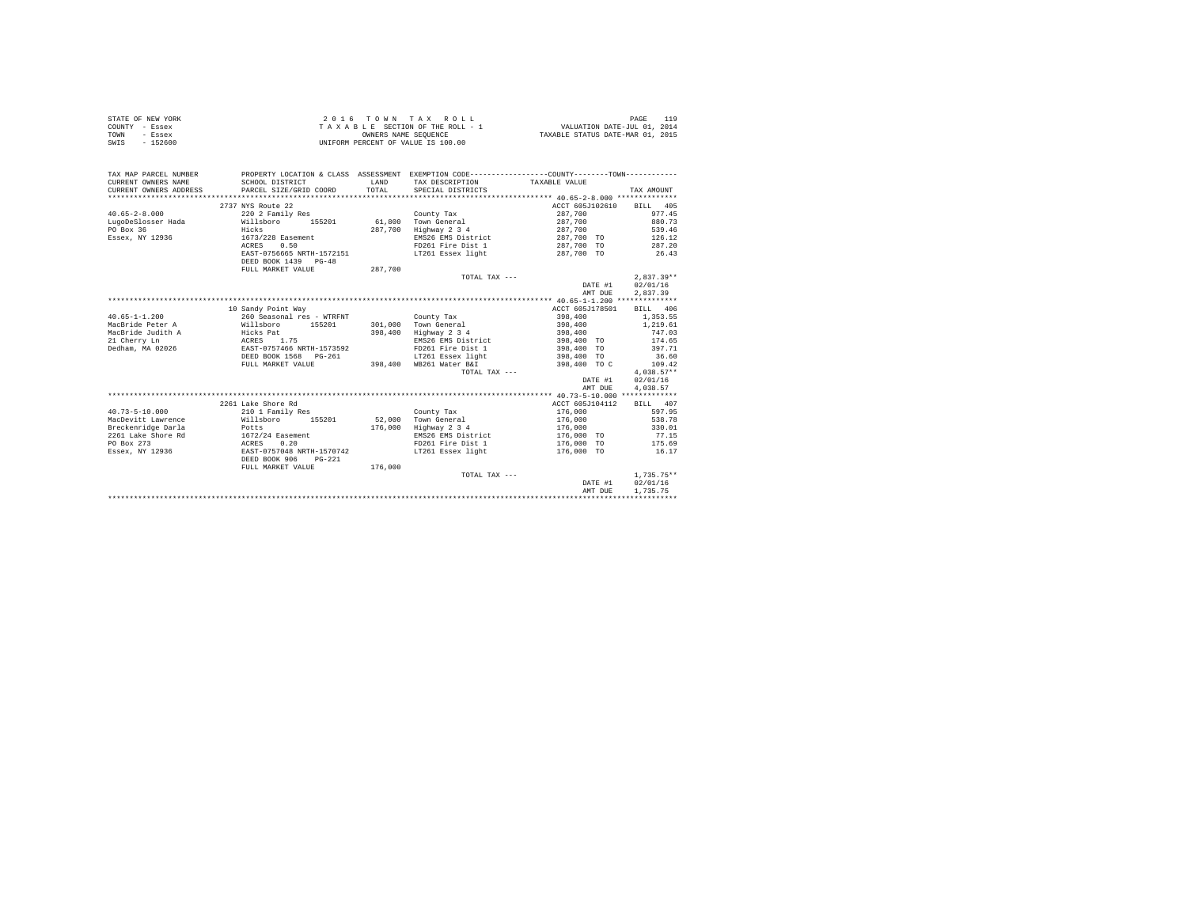| STATE OF NEW YORK | 2016 TOWN TAX ROLL                 | PAGE                             |
|-------------------|------------------------------------|----------------------------------|
| COUNTY - Essex    | TAXABLE SECTION OF THE ROLL - 1    | VALUATION DATE-JUL 01, 2014      |
| TOWN<br>- Essex   | OWNERS NAME SEOUENCE               | TAXABLE STATUS DATE-MAR 01, 2015 |
| SWIS<br>$-152600$ | UNIFORM PERCENT OF VALUE IS 100.00 |                                  |

| TAX MAP PARCEL NUMBER<br>CURRENT OWNERS NAME<br>CURRENT OWNERS ADDRESS | SCHOOL DISTRICT<br>PARCEL SIZE/GRID COORD              | <b>T.AND</b><br>TOTAL | PROPERTY LOCATION & CLASS ASSESSMENT EXEMPTION CODE---------------COUNTY-------TOWN----------<br>TAX DESCRIPTION<br>SPECIAL DISTRICTS | TAXABLE VALUE   | TAX AMOUNT   |
|------------------------------------------------------------------------|--------------------------------------------------------|-----------------------|---------------------------------------------------------------------------------------------------------------------------------------|-----------------|--------------|
|                                                                        | 2737 NYS Route 22                                      |                       |                                                                                                                                       | ACCT 605J102610 | BILL 405     |
| $40.65 - 2 - 8.000$                                                    | 220 2 Family Res                                       |                       | County Tax                                                                                                                            | 287,700         | 977.45       |
| LugoDeSlosser Hada                                                     | Willsboro<br>155201                                    | 61,800                | Town General                                                                                                                          | 287,700         | 880.73       |
| PO Box 36                                                              | Hicks                                                  | 287,700               | Highway 2 3 4                                                                                                                         | 287,700         | 539.46       |
| Essex, NY 12936                                                        | 1673/228 Easement                                      |                       | EMS26 EMS District                                                                                                                    | 287,700 TO      | 126.12       |
|                                                                        | ACRES<br>0.50                                          |                       | FD261 Fire Dist 1                                                                                                                     | 287,700 TO      | 287.20       |
|                                                                        | EAST-0756665 NRTH-1572151                              |                       | LT261 Essex light                                                                                                                     | 287,700 TO      | 26.43        |
|                                                                        | DEED BOOK 1439 PG-48                                   |                       |                                                                                                                                       |                 |              |
|                                                                        | FULL MARKET VALUE                                      | 287,700               |                                                                                                                                       |                 |              |
|                                                                        |                                                        |                       | TOTAL TAX ---                                                                                                                         |                 | $2.837.39**$ |
|                                                                        |                                                        |                       |                                                                                                                                       | DATE #1         | 02/01/16     |
|                                                                        |                                                        |                       |                                                                                                                                       | AMT DUE         | 2,837.39     |
|                                                                        |                                                        |                       |                                                                                                                                       |                 |              |
|                                                                        | 10 Sandy Point Way                                     |                       |                                                                                                                                       | ACCT 605J178501 | BILL 406     |
| $40.65 - 1 - 1.200$                                                    | 260 Seasonal res - WTRFNT                              |                       | County Tax                                                                                                                            | 398,400         | 1,353.55     |
| MacBride Peter A                                                       | Willsboro<br>155201                                    | 301,000               | Town General                                                                                                                          | 398,400         | 1,219.61     |
| MacBride Judith A                                                      | Hicks Pat                                              | 398,400               | Highway 2 3 4                                                                                                                         | 398,400         | 747.03       |
| 21 Cherry Ln                                                           | ACRES 1.75                                             |                       | EMS26 EMS District                                                                                                                    | 398,400 TO      | 174.65       |
| Dedham, MA 02026                                                       | EAST-0757466 NRTH-1573592                              |                       | FD261 Fire Dist 1                                                                                                                     | 398,400 TO      | 397.71       |
|                                                                        | DEED BOOK 1568 PG-261                                  |                       | LT261 Essex light                                                                                                                     | 398,400 TO      | 36.60        |
|                                                                        | FULL MARKET VALUE                                      | 398,400               | WB261 Water B&I                                                                                                                       | 398,400 TO C    | 109.42       |
|                                                                        |                                                        |                       | TOTAL TAX ---                                                                                                                         |                 | $4.038.57**$ |
|                                                                        |                                                        |                       |                                                                                                                                       | DATE #1         | 02/01/16     |
|                                                                        |                                                        |                       |                                                                                                                                       | AMT DUE         | 4,038.57     |
|                                                                        |                                                        |                       |                                                                                                                                       |                 |              |
|                                                                        | 2261 Lake Shore Rd                                     |                       |                                                                                                                                       | ACCT 605J104112 | BILL 407     |
| $40.73 - 5 - 10.000$                                                   | 210 1 Family Res                                       |                       | County Tax                                                                                                                            | 176,000         | 597.95       |
| MacDevitt Lawrence                                                     | Willsboro<br>155201                                    | 52,000                | Town General                                                                                                                          | 176,000         | 538.78       |
| Breckenridge Darla                                                     | Potts                                                  | 176,000               | Highway 2 3 4                                                                                                                         | 176,000         | 330.01       |
| 2261 Lake Shore Rd                                                     | 1672/24 Easement                                       |                       | EMS26 EMS District                                                                                                                    | 176,000 TO      | 77.15        |
| PO Box 273                                                             | 0.20<br>ACRES                                          |                       | FD261 Fire Dist 1                                                                                                                     | 176,000 TO      | 175.69       |
| Essex, NY 12936                                                        | EAST-0757048 NRTH-1570742<br>DEED BOOK 906<br>$PG-221$ |                       | LT261 Essex light                                                                                                                     | 176,000 TO      | 16.17        |
|                                                                        | FULL MARKET VALUE                                      | 176,000               |                                                                                                                                       |                 |              |
|                                                                        |                                                        |                       | TOTAL TAX ---                                                                                                                         |                 | $1.735.75**$ |
|                                                                        |                                                        |                       |                                                                                                                                       | DATE #1         | 02/01/16     |
|                                                                        |                                                        |                       |                                                                                                                                       | AMT DUE         | 1,735.75     |
|                                                                        |                                                        |                       |                                                                                                                                       |                 |              |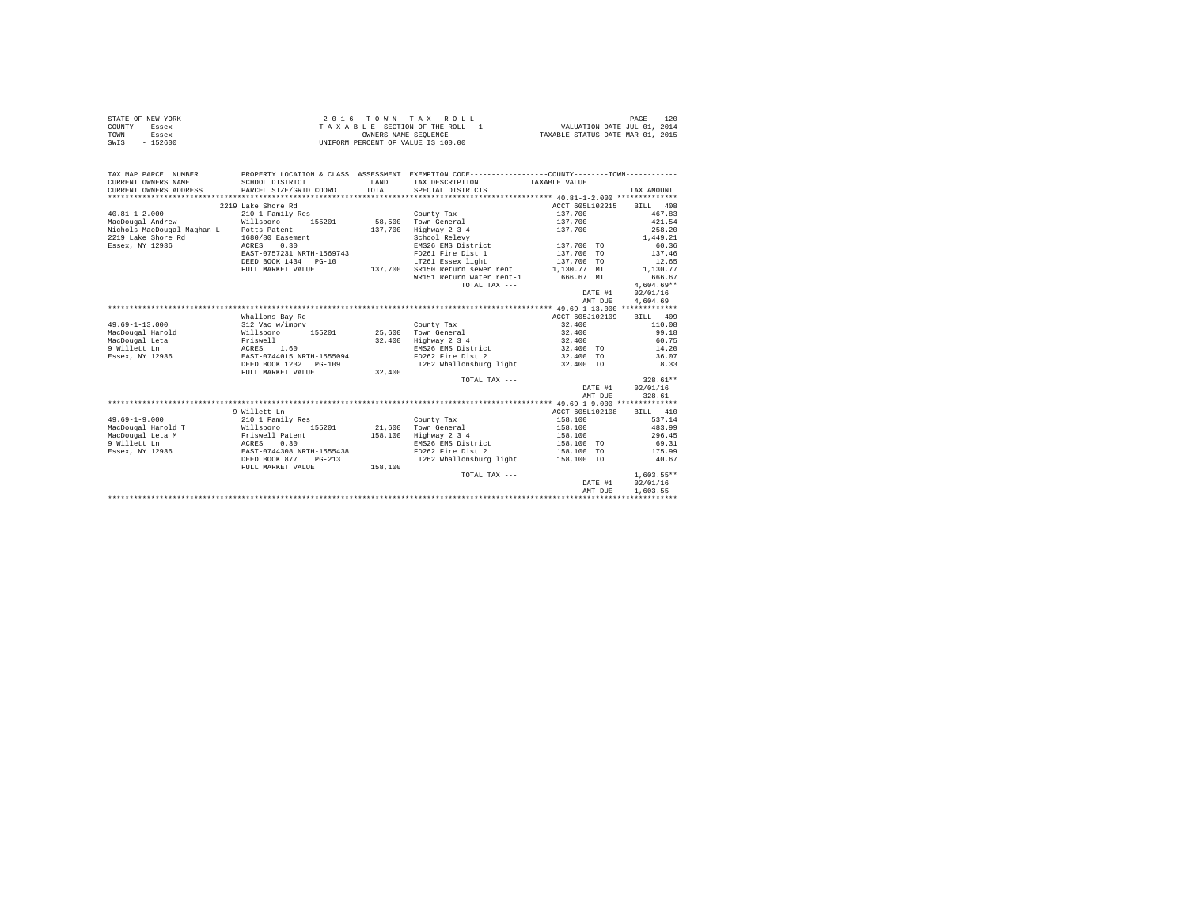| STATE OF NEW YORK | 2016 TOWN TAX ROLL                 | 120<br>PAGE                      |
|-------------------|------------------------------------|----------------------------------|
| COUNTY - Essex    | TAXABLE SECTION OF THE ROLL - 1    | VALUATION DATE-JUL 01, 2014      |
| TOWN<br>- Essex   | OWNERS NAME SEOUENCE               | TAXABLE STATUS DATE-MAR 01, 2015 |
| SWIS<br>$-152600$ | UNIFORM PERCENT OF VALUE IS 100.00 |                                  |

| TAX MAP PARCEL NUMBER                         | PROPERTY LOCATION & CLASS ASSESSMENT EXEMPTION CODE---------------COUNTY-------TOWN--------- |              |                                             |                 |              |
|-----------------------------------------------|----------------------------------------------------------------------------------------------|--------------|---------------------------------------------|-----------------|--------------|
| CURRENT OWNERS NAME                           | SCHOOL DISTRICT                                                                              | <b>T.AND</b> | TAX DESCRIPTION                             | TAXABLE VALUE   |              |
| CURRENT OWNERS ADDRESS PARCEL SIZE/GRID COORD |                                                                                              | TOTAL        | SPECIAL DISTRICTS                           |                 | TAX AMOUNT   |
|                                               |                                                                                              |              |                                             |                 |              |
|                                               | 2219 Lake Shore Rd                                                                           |              |                                             | ACCT 605L102215 | BILL 408     |
| $40.81 - 1 - 2.000$                           | 210 1 Family Res                                                                             |              | County Tax                                  | 137,700         | 467.83       |
| MacDougal Andrew                              | Willsboro<br>155201                                                                          |              | 58,500 Town General                         | 137,700         | 421.54       |
| Nichols-MacDougal Maghan L Potts Patent       |                                                                                              | 137,700      | Highway 2 3 4                               | 137,700         | 258.20       |
| 2219 Lake Shore Rd                            | 1680/80 Easement                                                                             |              | School Relevy                               |                 | 1,449.21     |
| Essex, NY 12936                               | 0.30<br>ACRES                                                                                |              | EMS26 EMS District                          | 137,700 TO      | 60.36        |
|                                               | EAST-0757231 NRTH-1569743                                                                    |              | FD261 Fire Dist 1                           | 137,700 TO      | 137.46       |
|                                               | DEED BOOK 1434 PG-10                                                                         |              | LT261 Essex light                           | 137,700 TO      | 12.65        |
|                                               | FULL MARKET VALUE                                                                            |              | 137.700 SR150 Return sewer rent 1.130.77 MT |                 | 1,130.77     |
|                                               |                                                                                              |              | WR151 Return water rent-1 666.67 MT         |                 | 666.67       |
|                                               |                                                                                              |              | TOTAL TAX ---                               |                 | $4,604.69**$ |
|                                               |                                                                                              |              |                                             | DATE #1         | 02/01/16     |
|                                               |                                                                                              |              |                                             | AMT DUE         | 4,604.69     |
|                                               |                                                                                              |              |                                             |                 |              |
|                                               | Whallons Bay Rd                                                                              |              |                                             | ACCT 605J102109 | BILL 409     |
| $49.69 - 1 - 13.000$                          | 312 Vac w/imprv                                                                              |              | County Tax                                  | 32,400          | 110.08       |
| MacDougal Harold                              | Willsboro 155201                                                                             |              | 25,600 Town General                         | 32,400          | 99.18        |
| MacDougal Leta                                | Friswell                                                                                     | 32,400       | Highway 2 3 4                               | 32,400          | 60.75        |
| 9 Willett Ln                                  | ACRES 1.60                                                                                   |              | EMS26 EMS District                          | 32,400 TO       | 14.20        |
| Essex, NY 12936                               | EAST-0744015 NRTH-1555094                                                                    |              | FD262 Fire Dist 2                           | 32,400 TO       | 36.07        |
|                                               | DEED BOOK 1232 PG-109                                                                        |              | LT262 Whallonsburg light                    | 32,400 TO       | 8.33         |
|                                               | FULL MARKET VALUE                                                                            | 32,400       |                                             |                 |              |
|                                               |                                                                                              |              | TOTAL TAX ---                               |                 | $328.61**$   |
|                                               |                                                                                              |              |                                             | DATE #1         | 02/01/16     |
|                                               |                                                                                              |              |                                             | AMT DUE         | 328.61       |
|                                               |                                                                                              |              |                                             |                 |              |
|                                               | 9 Willett Ln                                                                                 |              |                                             | ACCT 605L102108 | BILL 410     |
| $49.69 - 1 - 9.000$                           | 210 1 Family Res                                                                             |              | County Tax                                  | 158,100         | 537.14       |
| MacDougal Harold T                            | Willsboro<br>Friswell Patent<br>ACRES 0.30<br>155201                                         |              | 21,600 Town General                         | 158,100         | 483.99       |
| MacDougal Leta M                              |                                                                                              | 158,100      | Highway 2 3 4                               | 158,100         | 296.45       |
| 9 Willett Ln                                  |                                                                                              |              | EMS26 EMS District                          | 158,100 TO      | 69.31        |
| Essex, NY 12936                               | EAST-0744308 NRTH-1555438                                                                    |              | FD262 Fire Dist 2                           | 158,100 TO      | 175.99       |
|                                               | DEED BOOK 877<br>$PG-213$                                                                    |              | LT262 Whallonsburg light 158,100 TO         |                 | 40.67        |
|                                               | FULL MARKET VALUE                                                                            | 158,100      |                                             |                 |              |
|                                               |                                                                                              |              | TOTAL TAX ---                               |                 | $1,603.55**$ |
|                                               |                                                                                              |              |                                             | DATE #1         | 02/01/16     |
|                                               |                                                                                              |              |                                             | AMT DUE         | 1,603.55     |
|                                               |                                                                                              |              |                                             |                 |              |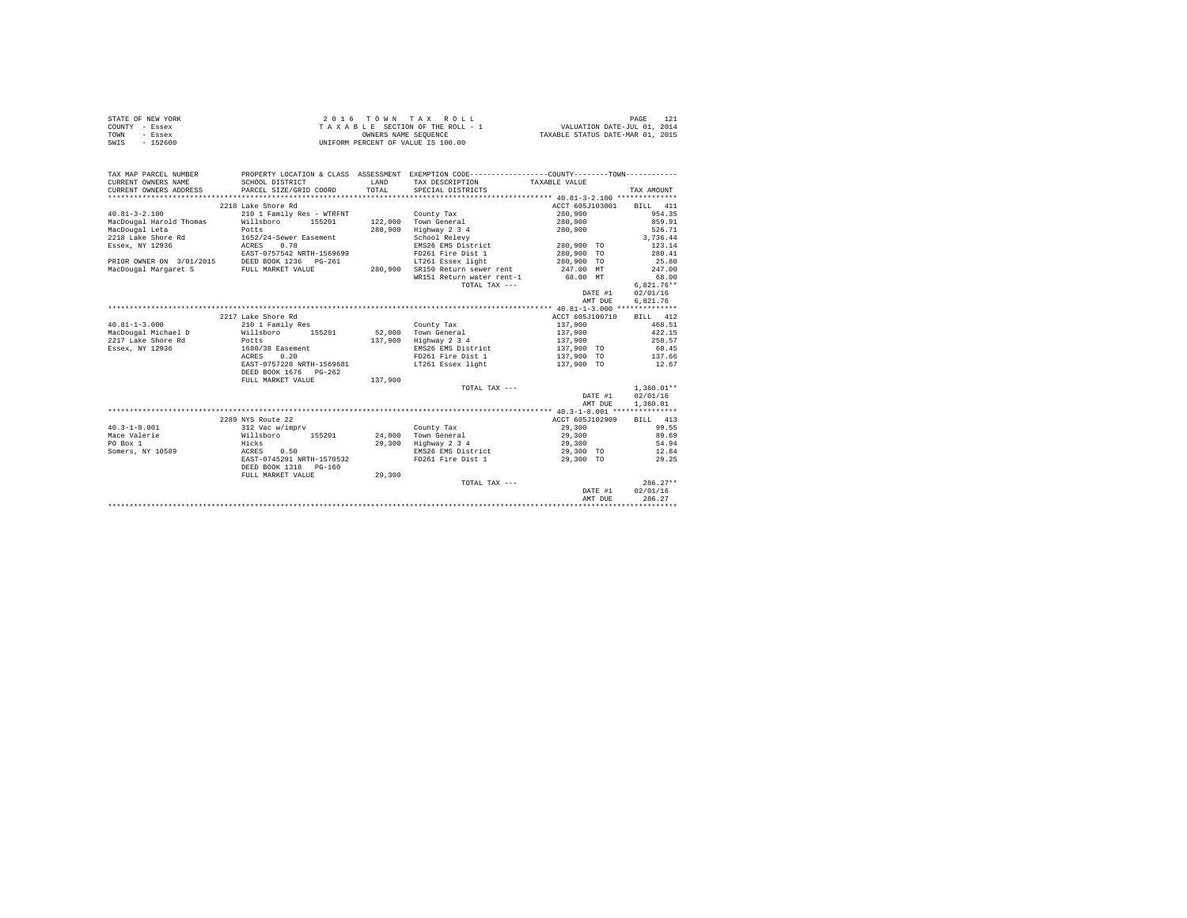|                | STATE OF NEW YORK | 2016 TOWN TAX ROLL                 | PAGE                             |
|----------------|-------------------|------------------------------------|----------------------------------|
| COUNTY - Essex |                   | TAXABLE SECTION OF THE ROLL - 1    | VALUATION DATE-JUL 01, 2014      |
| TOWN           | - Essex           | OWNERS NAME SEOUENCE               | TAXABLE STATUS DATE-MAR 01, 2015 |
| SWIS           | $-152600$         | UNIFORM PERCENT OF VALUE IS 100.00 |                                  |

| TAX MAP PARCEL NUMBER<br>CURRENT OWNERS NAME   | PROPERTY LOCATION & CLASS ASSESSMENT EXEMPTION CODE----------------COUNTY--------TOWN----------<br>SCHOOL DISTRICT | <b>T.AND</b> | TAX DESCRIPTION                 | TAXABLE VALUE                 |                     |
|------------------------------------------------|--------------------------------------------------------------------------------------------------------------------|--------------|---------------------------------|-------------------------------|---------------------|
| CURRENT OWNERS ADDRESS                         | PARCEL SIZE/GRID COORD                                                                                             | TOTAL.       | SPECIAL DISTRICTS               |                               | TAX AMOUNT          |
|                                                |                                                                                                                    |              |                                 |                               |                     |
|                                                | 2218 Lake Shore Rd                                                                                                 |              |                                 | ACCT 605J103001               | BILL 411            |
| $40.81 - 3 - 2.100$                            | 210 1 Family Res - WTRFNT                                                                                          |              | County Tax                      | 280,900                       | 954.35              |
| MacDougal Harold Thomas                        | Willsboro 155201                                                                                                   |              | 122,000 Town General            | 280,900                       | 859.91              |
| MacDougal Leta                                 | Potts                                                                                                              | 280,900      | Highway 2 3 4                   | 280,900                       | 526.71              |
| 2218 Lake Shore Rd                             | 1652/24-Sewer Easement<br>ACRES 0.78                                                                               |              | School Relevy                   |                               | 3,736.44            |
| Essex, NY 12936                                |                                                                                                                    |              |                                 | EMS26 EMS District 280,900 TO | 123.14              |
|                                                | EAST-0757542 NRTH-1569699                                                                                          |              |                                 | FD261 Fire Dist 1 280.900 TO  | 280.41              |
| PRIOR OWNER ON 3/01/2015 DEED BOOK 1236 PG-261 |                                                                                                                    |              |                                 | LT261 Essex light 280,900 TO  | 25.80               |
| MacDougal Margaret S                           | FULL MARKET VALUE                                                                                                  |              | 280.900 SR150 Return sewer rent | 247.00 MT                     | 247.00              |
|                                                |                                                                                                                    |              | WR151 Return water rent-1       | 68.00 MT                      | 68.00               |
|                                                |                                                                                                                    |              | TOTAL TAX ---                   |                               | $6,821.76**$        |
|                                                |                                                                                                                    |              |                                 |                               | 02/01/16<br>DATE #1 |
|                                                |                                                                                                                    |              |                                 |                               | 6,821.76<br>AMT DUE |
|                                                |                                                                                                                    |              |                                 |                               |                     |
|                                                | 2217 Lake Shore Rd                                                                                                 |              |                                 | ACCT 605J100710               | BILL 412            |
| $40.81 - 1 - 3.000$                            | 210 1 Family Res                                                                                                   |              | County Tax                      | 137,900                       | 468.51              |
| MacDougal Michael D                            | Willsboro 155201                                                                                                   |              | 52.000 Town General             | 137,900                       | 422.15              |
| 2217 Lake Shore Rd                             | Potts                                                                                                              | 137,900      | Highway 2 3 4                   | 137,900                       | 258.57              |
| Essex, NY 12936                                | 1680/38 Easement                                                                                                   |              | EMS26 EMS District              | 137,900 TO                    | 60.45               |
|                                                | ACRES<br>0.20                                                                                                      |              | FD261 Fire Dist 1               |                               | 137.66              |
|                                                | EAST-0757228 NRTH-1569681                                                                                          |              | LT261 Essex light               | 137,900 TO<br>137,900 TO      | 12.67               |
|                                                | DEED BOOK 1676 PG-262                                                                                              |              |                                 |                               |                     |
|                                                | FULL MARKET VALUE                                                                                                  | 137,900      |                                 |                               |                     |
|                                                |                                                                                                                    |              | TOTAL TAX ---                   |                               | $1.360.01**$        |
|                                                |                                                                                                                    |              |                                 |                               | DATE #1<br>02/01/16 |
|                                                |                                                                                                                    |              |                                 |                               | 1,360.01<br>AMT DUE |
|                                                |                                                                                                                    |              |                                 |                               |                     |
|                                                | 2289 NYS Route 22                                                                                                  |              |                                 | ACCT 605J102909               | BILL 413            |
| $40.3 - 1 - 8.001$                             | 312 Vac w/imprv                                                                                                    |              | County Tax                      | 29,300                        | 99.55               |
| Mace Valerie                                   | Willsboro 155201 24.000 Town General                                                                               |              |                                 |                               | 29,300<br>89.69     |
| PO Box 1                                       |                                                                                                                    |              | 29,300 Highway 2 3 4            | 29,300                        | 54.94               |
| Somers, NY 10589                               | Hicks<br>ACRES 0.50                                                                                                |              | EMS26 EMS District              | 29,300 TO                     | 12.84               |
|                                                | EAST-0745291 NRTH-1570532                                                                                          |              | FD261 Fire Dist 1               | 29,300 TO                     | 29.25               |
|                                                | DEED BOOK 1318    PG-160                                                                                           |              |                                 |                               |                     |
|                                                | FULL MARKET VALUE                                                                                                  | 29,300       |                                 |                               |                     |
|                                                |                                                                                                                    |              | TOTAL TAX ---                   |                               | $286.27**$          |
|                                                |                                                                                                                    |              |                                 |                               | 02/01/16<br>DATE #1 |
|                                                |                                                                                                                    |              |                                 |                               | AMT DUE<br>286.27   |
|                                                |                                                                                                                    |              |                                 |                               |                     |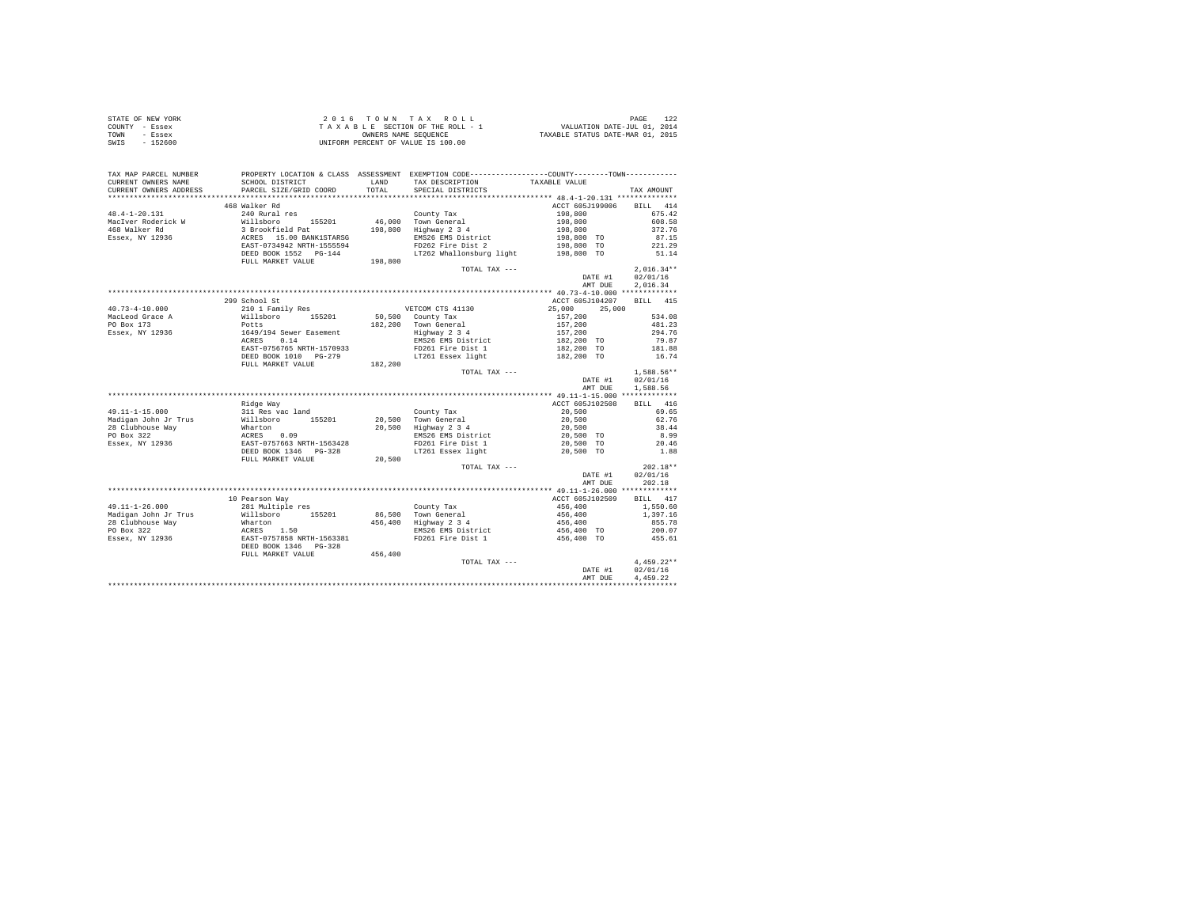|      | STATE OF NEW YORK | $2.0.16$ TOWN TAX ROLL             | PAGE                             |
|------|-------------------|------------------------------------|----------------------------------|
|      | COUNTY - Essex    | TAXABLE SECTION OF THE ROLL - 1    | VALUATION DATE-JUL 01, 2014      |
| TOWN | - Essex           | OWNERS NAME SEOUENCE               | TAXABLE STATUS DATE-MAR 01, 2015 |
| SWIS | - 152600          | UNIFORM PERCENT OF VALUE IS 100.00 |                                  |

| TAX MAP PARCEL NUMBER<br>CURRENT OWNERS NAME<br>CURRENT OWNERS ADDRESS | SCHOOL DISTRICT<br>PARCEL SIZE/GRID COORD          | T.AND<br>TOTAL | PROPERTY LOCATION & CLASS ASSESSMENT EXEMPTION CODE---------------COUNTY-------TOWN---------<br>TAX DESCRIPTION<br>SPECIAL DISTRICTS | TAXABLE VALUE    | TAX AMOUNT         |
|------------------------------------------------------------------------|----------------------------------------------------|----------------|--------------------------------------------------------------------------------------------------------------------------------------|------------------|--------------------|
| ******************                                                     |                                                    |                |                                                                                                                                      |                  |                    |
|                                                                        | 468 Walker Rd                                      |                |                                                                                                                                      | ACCT 605J199006  | <b>BILL</b><br>414 |
| $48.4 - 1 - 20.131$                                                    | 240 Rural res                                      |                | County Tax                                                                                                                           | 198,800          | 675.42             |
| MacIver Roderick W                                                     | Willsboro 155201                                   |                | 46,000 Town General                                                                                                                  | 198,800          | 608.58             |
| 468 Walker Rd                                                          | 3 Brookfield Pat                                   | 198,800        | Highway 2 3 4                                                                                                                        | 198,800          | 372.76             |
| Essex, NY 12936                                                        | ACRES 15.00 BANK1STARSG                            |                | EMS26 EMS District                                                                                                                   | 198,800 TO       | 87.15              |
|                                                                        | EAST-0734942 NRTH-1555594                          |                | FD262 Fire Dist 2                                                                                                                    | 198,800 TO       | 221.29             |
|                                                                        | DEED BOOK 1552 PG-144                              |                | LT262 Whallonsburg light 198,800 TO                                                                                                  |                  | 51.14              |
|                                                                        | FULL MARKET VALUE                                  | 198,800        |                                                                                                                                      |                  |                    |
|                                                                        |                                                    |                | TOTAL TAX ---                                                                                                                        |                  | $2,016.34**$       |
|                                                                        |                                                    |                |                                                                                                                                      | DATE #1          | 02/01/16           |
|                                                                        |                                                    |                |                                                                                                                                      | AMT DUE          | 2,016.34           |
|                                                                        |                                                    |                |                                                                                                                                      |                  |                    |
|                                                                        | 299 School St                                      |                |                                                                                                                                      | ACCT 605J104207  | BILL 415           |
| $40.73 - 4 - 10.000$                                                   | 210 1 Family Res                                   |                | VETCOM CTS 41130                                                                                                                     | 25,000<br>25,000 |                    |
| MacLeod Grace A                                                        | 155201<br>Willsboro                                |                | 50,500 County Tax                                                                                                                    | 157,200          | 534.08             |
| PO Box 173                                                             | Potts                                              |                | 182.200 Town General                                                                                                                 | 157,200          | 481.23             |
| Essex, NY 12936                                                        | 1649/194 Sewer Easement                            |                | Highway 2 3 4                                                                                                                        | 157,200          | 294.76             |
|                                                                        | 0.14<br>ACRES                                      |                | EMS26 EMS District                                                                                                                   | 182,200 TO       | 79.87              |
|                                                                        | EAST-0756765 NRTH-1570933                          |                | FD261 Fire Dist 1                                                                                                                    | 182,200 TO       | 181.88             |
|                                                                        | DEED BOOK 1010 PG-279                              |                | LT261 Essex light                                                                                                                    | 182,200 TO       | 16.74              |
|                                                                        | FULL MARKET VALUE                                  | 182,200        |                                                                                                                                      |                  |                    |
|                                                                        |                                                    |                | TOTAL TAX ---                                                                                                                        |                  | $1,588.56**$       |
|                                                                        |                                                    |                |                                                                                                                                      | DATE #1          | 02/01/16           |
|                                                                        |                                                    |                |                                                                                                                                      | AMT DUE          | 1,588.56           |
|                                                                        |                                                    |                |                                                                                                                                      |                  |                    |
|                                                                        | Ridge Way                                          |                |                                                                                                                                      | ACCT 605J102508  | RTT.T. 416         |
| $49.11 - 1 - 15.000$                                                   | 311 Res vac land                                   |                | County Tax                                                                                                                           | 20,500           | 69.65              |
| Madigan John Jr Trus                                                   | Willsboro 155201                                   |                | 20,500 Town General                                                                                                                  | 20,500           | 62.76              |
| 28 Clubhouse Way                                                       | Wharton                                            |                | 20,500 Highway 2 3 4                                                                                                                 | 20,500           | 38.44              |
| PO Box 322                                                             | ACRES 0.09                                         |                | EMS26 EMS District                                                                                                                   | 20,500 TO        | 8.99               |
| Essex, NY 12936                                                        | EAST-0757663 NRTH-1563428                          |                | FD261 Fire Dist 1                                                                                                                    | 20,500 TO        | 20.46              |
|                                                                        | DEED BOOK 1346    PG-328                           |                | LT261 Essex light                                                                                                                    | 20.500 TO        | 1.88               |
|                                                                        | FULL MARKET VALUE                                  | 20,500         |                                                                                                                                      |                  |                    |
|                                                                        |                                                    |                | TOTAL TAX ---                                                                                                                        |                  | $202.18**$         |
|                                                                        |                                                    |                |                                                                                                                                      | DATE #1          | 02/01/16           |
|                                                                        |                                                    |                |                                                                                                                                      | AMT DUE          | 202.18             |
|                                                                        |                                                    |                |                                                                                                                                      |                  |                    |
|                                                                        | 10 Pearson Way                                     |                |                                                                                                                                      | ACCT 605J102509  | BILL 417           |
| 49.11-1-26.000                                                         | 281 Multiple res                                   |                | County Tax                                                                                                                           | 456,400          | 1,550.60           |
| Madigan John Jr Trus                                                   | Willsboro 155201                                   |                | 86.500 Town General                                                                                                                  | 456,400          | 1,397.16           |
| 28 Clubhouse Way                                                       |                                                    |                | 456,400 Highway 2 3 4                                                                                                                | 456,400          | 855.78             |
| PO Box 322                                                             |                                                    |                | EMS26 EMS District                                                                                                                   | 456,400 TO       | 200.07             |
| Essex, NY 12936                                                        | Wharton<br>ACRES 1.50<br>EAST-0757858 NRTH-1563381 |                | FD261 Fire Dist 1                                                                                                                    | 456,400 TO       | 455.61             |
|                                                                        | DEED BOOK 1346 PG-328                              |                |                                                                                                                                      |                  |                    |
|                                                                        | FULL MARKET VALUE                                  | 456,400        |                                                                                                                                      |                  |                    |
|                                                                        |                                                    |                | TOTAL TAX ---                                                                                                                        |                  | $4,459.22**$       |
|                                                                        |                                                    |                |                                                                                                                                      | DATE #1          | 02/01/16           |
|                                                                        |                                                    |                |                                                                                                                                      | AMT DUE          | 4.459.22           |
|                                                                        |                                                    |                |                                                                                                                                      |                  |                    |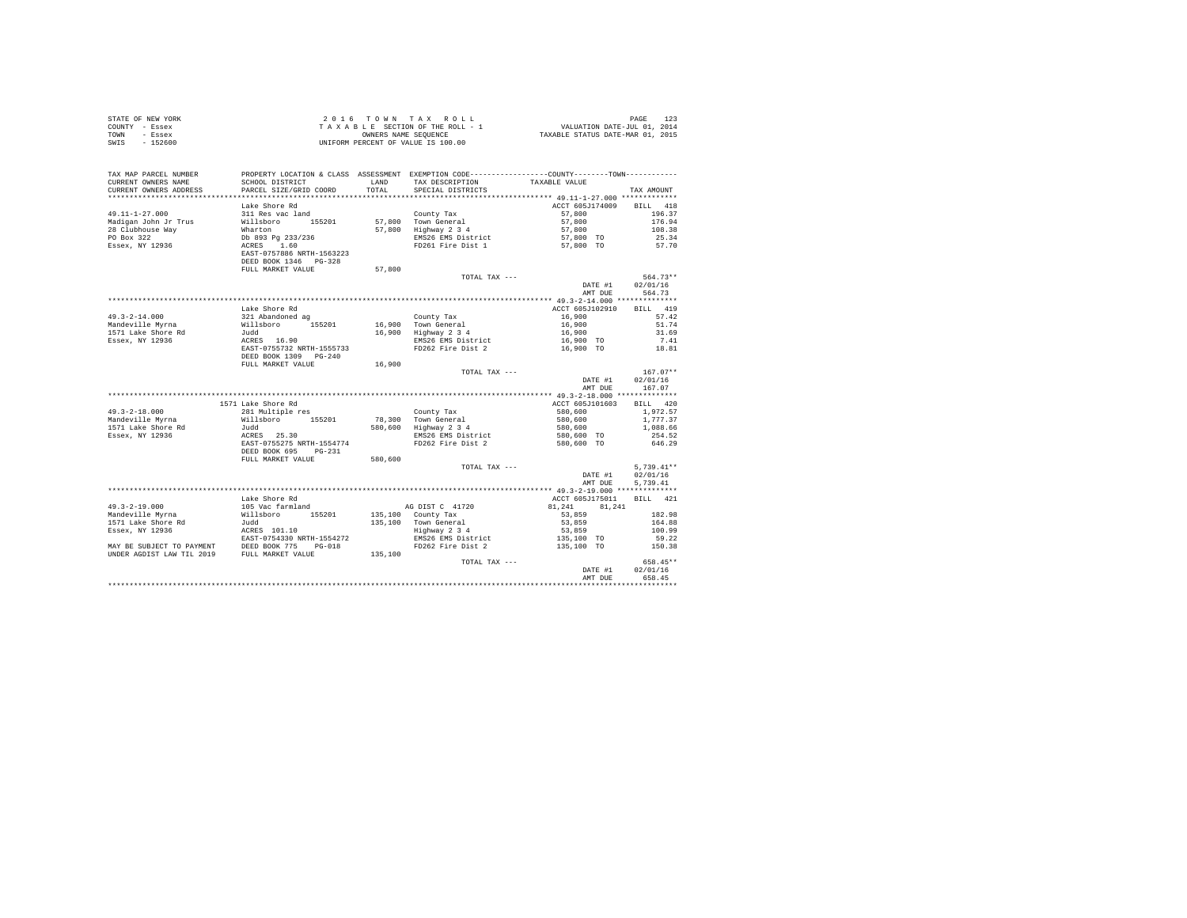|      | STATE OF NEW YORK | 2016 TOWN TAX ROLL                 | PAGE                             |
|------|-------------------|------------------------------------|----------------------------------|
|      | COUNTY - Essex    | TAXABLE SECTION OF THE ROLL - 1    | VALUATION DATE-JUL 01, 2014      |
| TOWN | - Essex           | OWNERS NAME SEOUENCE               | TAXABLE STATUS DATE-MAR 01, 2015 |
| SWIS | - 152600          | UNIFORM PERCENT OF VALUE IS 100.00 |                                  |

| TAX MAP PARCEL NUMBER          |                                             |         | PROPERTY LOCATION & CLASS ASSESSMENT EXEMPTION CODE---------------COUNTY-------TOWN--------- |                        |                    |
|--------------------------------|---------------------------------------------|---------|----------------------------------------------------------------------------------------------|------------------------|--------------------|
| CURRENT OWNERS NAME            | SCHOOL DISTRICT                             | LAND    | TAX DESCRIPTION                                                                              | TAXABLE VALUE          |                    |
| CURRENT OWNERS ADDRESS         | PARCEL SIZE/GRID COORD                      | TOTAL   | SPECIAL DISTRICTS                                                                            |                        | TAX AMOUNT         |
|                                |                                             |         |                                                                                              |                        |                    |
|                                | Lake Shore Rd                               |         |                                                                                              | ACCT 605J174009        | 418<br><b>BILL</b> |
| 49.11-1-27.000                 | 311 Res vac land                            |         | County Tax                                                                                   | 57,800                 | 196.37             |
| Madigan John Jr Trus           | Willsboro<br>155201<br>Wharton              | 57,800  | 57.800 Town General                                                                          | 57,800                 | 176.94<br>108.38   |
| 28 Clubhouse Way<br>PO Box 322 | Db 893 Pg 233/236                           |         | Highway 2 3 4<br>EMS26 EMS District                                                          | 57,800                 | 25.34              |
| Essex, NY 12936                | ACRES<br>1.60                               |         | FD261 Fire Dist 1                                                                            | 57,800 TO<br>57,800 TO | 57.70              |
|                                | EAST-0757886 NRTH-1563223                   |         |                                                                                              |                        |                    |
|                                | DEED BOOK 1346 PG-328                       |         |                                                                                              |                        |                    |
|                                | FULL MARKET VALUE                           | 57,800  |                                                                                              |                        |                    |
|                                |                                             |         | TOTAL TAX ---                                                                                |                        | 564.73**           |
|                                |                                             |         |                                                                                              | DATE #1                | 02/01/16           |
|                                |                                             |         |                                                                                              | AMT DUE                | 564.73             |
|                                |                                             |         |                                                                                              |                        |                    |
|                                | Lake Shore Rd                               |         |                                                                                              | ACCT 605J102910        | 419<br><b>BILL</b> |
| $49.3 - 2 - 14.000$            | 321 Abandoned ag                            |         | County Tax                                                                                   | 16,900                 | 57.42              |
| Mandeville Myrna               | 155201<br>Willsboro                         |         | 16,900 Town General                                                                          | 16,900                 | 51.74              |
| 1571 Lake Shore Rd             | Judd                                        | 16,900  | Highway 2 3 4                                                                                | 16,900                 | 31.69              |
| Essex, NY 12936                | ACRES 16.90                                 |         | EMS26 EMS District                                                                           | 16,900 TO              | 7.41               |
|                                | EAST-0755732 NRTH-1555733                   |         | FD262 Fire Dist 2                                                                            | 16,900 TO              | 18.81              |
|                                | DEED BOOK 1309 PG-240                       |         |                                                                                              |                        |                    |
|                                | FULL MARKET VALUE                           | 16,900  |                                                                                              |                        |                    |
|                                |                                             |         | TOTAL TAX ---                                                                                |                        | $167.07**$         |
|                                |                                             |         |                                                                                              | DATE #1                | 02/01/16           |
|                                |                                             |         |                                                                                              | AMT DUE                | 167.07             |
|                                | 1571 Lake Shore Rd                          |         |                                                                                              | ACCT 605J101603        | BILL 420           |
| $49.3 - 2 - 18.000$            | 281 Multiple res                            |         | County Tax                                                                                   | 580,600                | 1.972.57           |
| Mandeville Myrna               | 155201<br>Willsboro                         | 78,300  | Town General                                                                                 | 580,600                | 1,777.37           |
| 1571 Lake Shore Rd             | Judd                                        | 580,600 | Highway 2 3 4                                                                                | 580,600                | 1,088.66           |
| Essex, NY 12936                | ACRES 25.30                                 |         | EMS26 EMS District                                                                           | 580,600 TO             | 254.52             |
|                                | EAST-0755275 NRTH-1554774                   |         | FD262 Fire Dist 2                                                                            | 580,600 TO             | 646.29             |
|                                | DEED BOOK 695<br>$PG-231$                   |         |                                                                                              |                        |                    |
|                                | FULL MARKET VALUE                           | 580,600 |                                                                                              |                        |                    |
|                                |                                             |         | TOTAL TAX ---                                                                                |                        | $5.739.41**$       |
|                                |                                             |         |                                                                                              | DATE #1                | 02/01/16           |
|                                |                                             |         |                                                                                              | AMT DUE                | 5.739.41           |
|                                |                                             |         |                                                                                              |                        |                    |
|                                | Lake Shore Rd                               |         |                                                                                              | ACCT 605J175011        | BTLL.<br>421       |
| $49.3 - 2 - 19.000$            | 105 Vac farmland                            |         | AG DIST C 41720                                                                              | 81,241<br>81.241       |                    |
| Mandeville Myrna               | Willsboro<br>155201                         | 135,100 | County Tax                                                                                   | 53,859                 | 182.98             |
| 1571 Lake Shore Rd             | Judd                                        | 135,100 | Town General                                                                                 | 53,859                 | 164.88             |
| Essex, NY 12936                | ACRES 101.10                                |         | Highway 2 3 4                                                                                | 53,859                 | 100.99             |
|                                | EAST-0754330 NRTH-1554272                   |         | EMS26 EMS District                                                                           | 135,100 TO             | 59.22              |
| MAY BE SUBJECT TO PAYMENT      | DEED BOOK 775<br>FULL MARKET !!<br>$PG-018$ |         | FD262 Fire Dist 2                                                                            | 135,100 TO             | 150.38             |
| UNDER AGDIST LAW TIL 2019      | FULL MARKET VALUE                           | 135,100 | TOTAL TAX ---                                                                                |                        | 658.45**           |
|                                |                                             |         |                                                                                              | DATE #1                | 02/01/16           |
|                                |                                             |         |                                                                                              | AMT DUE                | 658.45             |
|                                |                                             |         |                                                                                              |                        |                    |
|                                |                                             |         |                                                                                              |                        |                    |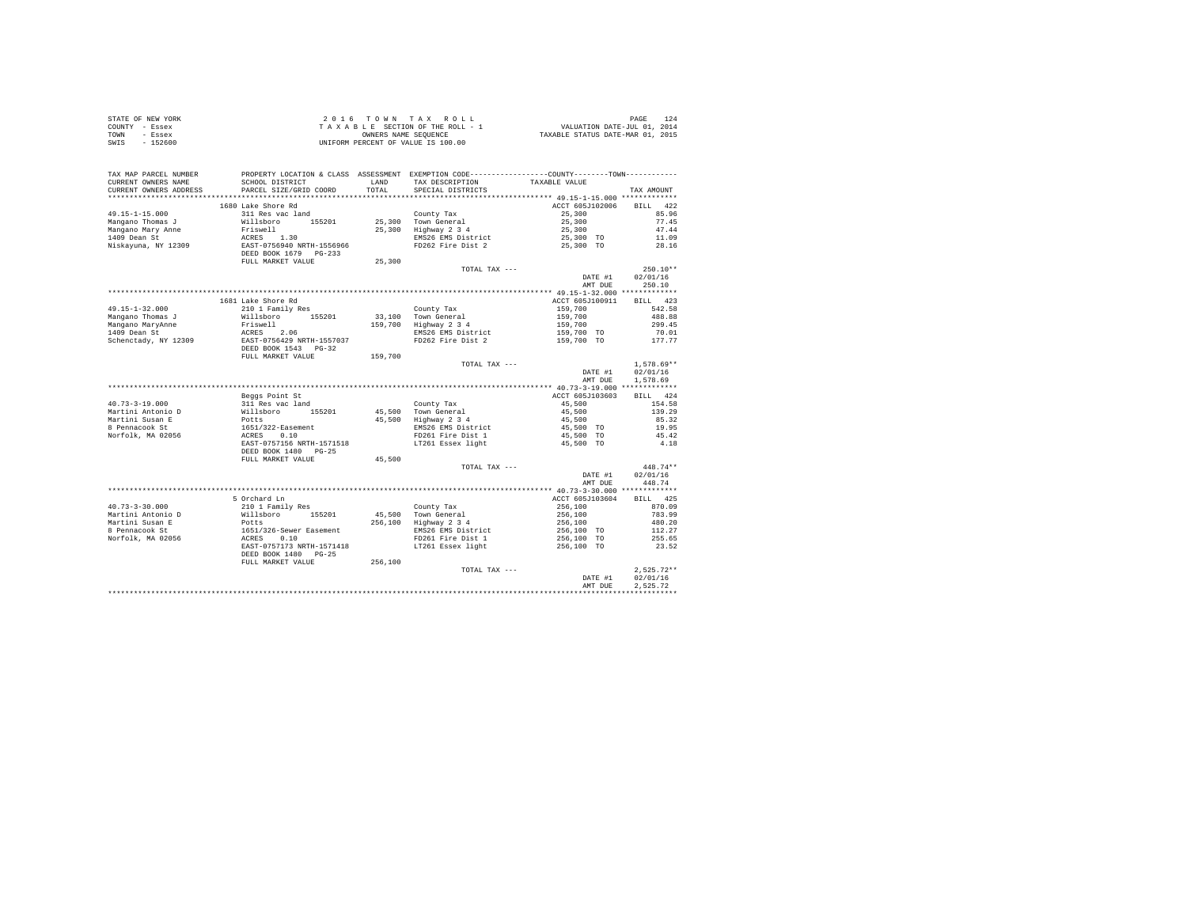|                | STATE OF NEW YORK | 2016 TOWN TAX ROLL                 | PAGE                             |
|----------------|-------------------|------------------------------------|----------------------------------|
| COUNTY - Essex |                   | TAXABLE SECTION OF THE ROLL - 1    | VALUATION DATE-JUL 01, 2014      |
| TOWN           | - Essex           | OWNERS NAME SEOUENCE               | TAXABLE STATUS DATE-MAR 01, 2015 |
| SWIS           | $-152600$         | UNIFORM PERCENT OF VALUE IS 100.00 |                                  |

| TAX MAP PARCEL NUMBER                           | PROPERTY LOCATION & CLASS ASSESSMENT EXEMPTION CODE----------------COUNTY-------TOWN---------- |                      |                                                                                      |                        |              |
|-------------------------------------------------|------------------------------------------------------------------------------------------------|----------------------|--------------------------------------------------------------------------------------|------------------------|--------------|
| CURRENT OWNERS NAME                             | SCHOOL DISTRICT                                                                                | <b>T.AND</b>         | TAX DESCRIPTION                                                                      | TAXABLE VALUE          |              |
| CURRENT OWNERS ADDRESS<br>********************* | PARCEL SIZE/GRID COORD                                                                         | TOTAL<br>*********** | SPECIAL DISTRICTS<br>********************************** 49.15-1-15.000 ************* |                        | TAX AMOUNT   |
|                                                 |                                                                                                |                      |                                                                                      |                        |              |
|                                                 | 1680 Lake Shore Rd                                                                             |                      |                                                                                      | ACCT 605J102006        | 422<br>BTLL. |
| $49.15 - 1 - 15.000$                            | 311 Res vac land                                                                               |                      | County Tax                                                                           | 25,300                 | 85.96        |
| Mangano Thomas J                                | Willsboro 155201                                                                               |                      | 25,300 Town General                                                                  | 25,300                 | 77.45        |
| Mangano Mary Anne                               | Friswell                                                                                       |                      | 25,300 Highway 2 3 4                                                                 | 25,300                 | 47.44        |
| 1409 Dean St                                    |                                                                                                |                      | EMS26 EMS District                                                                   | 25,300 TO<br>25,300 TO | 11.09        |
| Niskayuna, NY 12309                             | ACRES 1.30<br>EAST-0756940 NRTH-1556966<br>DEED BOOK 1679 PG-233                               |                      | FD262 Fire Dist 2                                                                    |                        | 28.16        |
|                                                 |                                                                                                |                      |                                                                                      |                        |              |
|                                                 | FULL MARKET VALUE                                                                              | 25,300               |                                                                                      |                        |              |
|                                                 |                                                                                                |                      | TOTAL TAX ---                                                                        |                        | $250.10**$   |
|                                                 |                                                                                                |                      |                                                                                      | DATE #1                | 02/01/16     |
|                                                 |                                                                                                |                      |                                                                                      | AMT DUE                | 250.10       |
|                                                 |                                                                                                |                      |                                                                                      |                        |              |
|                                                 | 1681 Lake Shore Rd                                                                             |                      |                                                                                      | ACCT 605J100911        | BILL 423     |
| $49.15 - 1 - 32.000$                            | 210 1 Family Res                                                                               |                      | County Tax                                                                           | 159,700                | 542.58       |
| Mangano Thomas J                                | Willsboro 155201                                                                               |                      | 33.100 Town General                                                                  | 159,700                | 488.88       |
| Mangano MaryAnne                                | Friswell                                                                                       |                      | 159,700 Highway 2 3 4                                                                |                        | 299.45       |
| 1409 Dean St                                    | ACRES 2.06                                                                                     |                      | EMS26 EMS District                                                                   | 159,700<br>159,700 TO  | 70.01        |
| Schenctady, NY 12309                            | EAST-0756429 NRTH-1557037                                                                      |                      | FD262 Fire Dist 2                                                                    | 159,700 TO             | 177.77       |
|                                                 | DEED BOOK 1543 PG-32                                                                           |                      |                                                                                      |                        |              |
|                                                 | FULL MARKET VALUE                                                                              | 159,700              |                                                                                      |                        |              |
|                                                 |                                                                                                |                      | TOTAL TAX ---                                                                        |                        | $1,578.69**$ |
|                                                 |                                                                                                |                      |                                                                                      | DATE #1                | 02/01/16     |
|                                                 |                                                                                                |                      |                                                                                      | AMT DUE                | 1,578.69     |
|                                                 |                                                                                                |                      |                                                                                      |                        |              |
|                                                 | Beggs Point St                                                                                 |                      |                                                                                      | ACCT 605J103603        | BILL 424     |
|                                                 |                                                                                                |                      |                                                                                      |                        |              |
| $40.73 - 3 - 19.000$                            | 311 Res vac land                                                                               |                      | County Tax                                                                           | 45,500                 | 154.58       |
| Martini Antonio D                               | Willsboro<br>155201                                                                            |                      | 45.500 Town General                                                                  | 45,500                 | 139.29       |
| Martini Susan E                                 | Potts                                                                                          |                      | 45,500 Highway 2 3 4                                                                 | 45,500                 | 85.32        |
| 8 Pennacook St                                  | $1651/322$ -Easement<br>ACRES $0.10$                                                           |                      | EMS26 EMS District                                                                   | 45,500 TO              | 19.95        |
| Norfolk, MA 02056                               |                                                                                                |                      | FD261 Fire Dist 1                                                                    | 45,500 TO              | 45.42        |
|                                                 | EAST-0757156 NRTH-1571518                                                                      |                      | LT261 Essex light                                                                    | 45,500 TO              | 4.18         |
|                                                 | DEED BOOK 1480 PG-25                                                                           |                      |                                                                                      |                        |              |
|                                                 | FULL MARKET VALUE                                                                              | 45,500               |                                                                                      |                        |              |
|                                                 |                                                                                                |                      | TOTAL TAX ---                                                                        |                        | 448.74**     |
|                                                 |                                                                                                |                      |                                                                                      | DATE #1                | 02/01/16     |
|                                                 |                                                                                                |                      |                                                                                      | AMT DUE                | 448.74       |
|                                                 |                                                                                                |                      |                                                                                      |                        |              |
|                                                 | 5 Orchard Ln                                                                                   |                      |                                                                                      | ACCT 605J103604        | BILL 425     |
| $40.73 - 3 - 30.000$                            | 210 1 Family Res                                                                               |                      | County Tax                                                                           | 256,100                | 870.09       |
| Martini Antonio D                               | Willsboro<br>155201                                                                            |                      | 45.500 Town General                                                                  | 256,100                | 783.99       |
| Martini Susan E                                 | Potts                                                                                          |                      | 256,100 Highway 2 3 4                                                                | 256,100                | 480.20       |
| 8 Pennacook St                                  |                                                                                                |                      | EMS26 EMS District                                                                   | 256,100 TO             | 112.27       |
| Norfolk, MA 02056                               | 1651/326-Sewer Easement<br>ACRES 0.10                                                          |                      | FD261 Fire Dist 1                                                                    | 256,100 TO             | 255.65       |
|                                                 | EAST-0757173 NRTH-1571418                                                                      |                      | LT261 Essex light                                                                    | 256,100 TO             | 23.52        |
|                                                 | DEED BOOK 1480 PG-25                                                                           |                      |                                                                                      |                        |              |
|                                                 | FULL MARKET VALUE                                                                              | 256,100              |                                                                                      |                        |              |
|                                                 |                                                                                                |                      | TOTAL TAX ---                                                                        |                        | $2,525.72**$ |
|                                                 |                                                                                                |                      |                                                                                      | DATE #1                | 02/01/16     |
|                                                 |                                                                                                |                      |                                                                                      | AMT DUE                | 2.525.72     |
|                                                 |                                                                                                |                      |                                                                                      |                        |              |
|                                                 |                                                                                                |                      |                                                                                      |                        |              |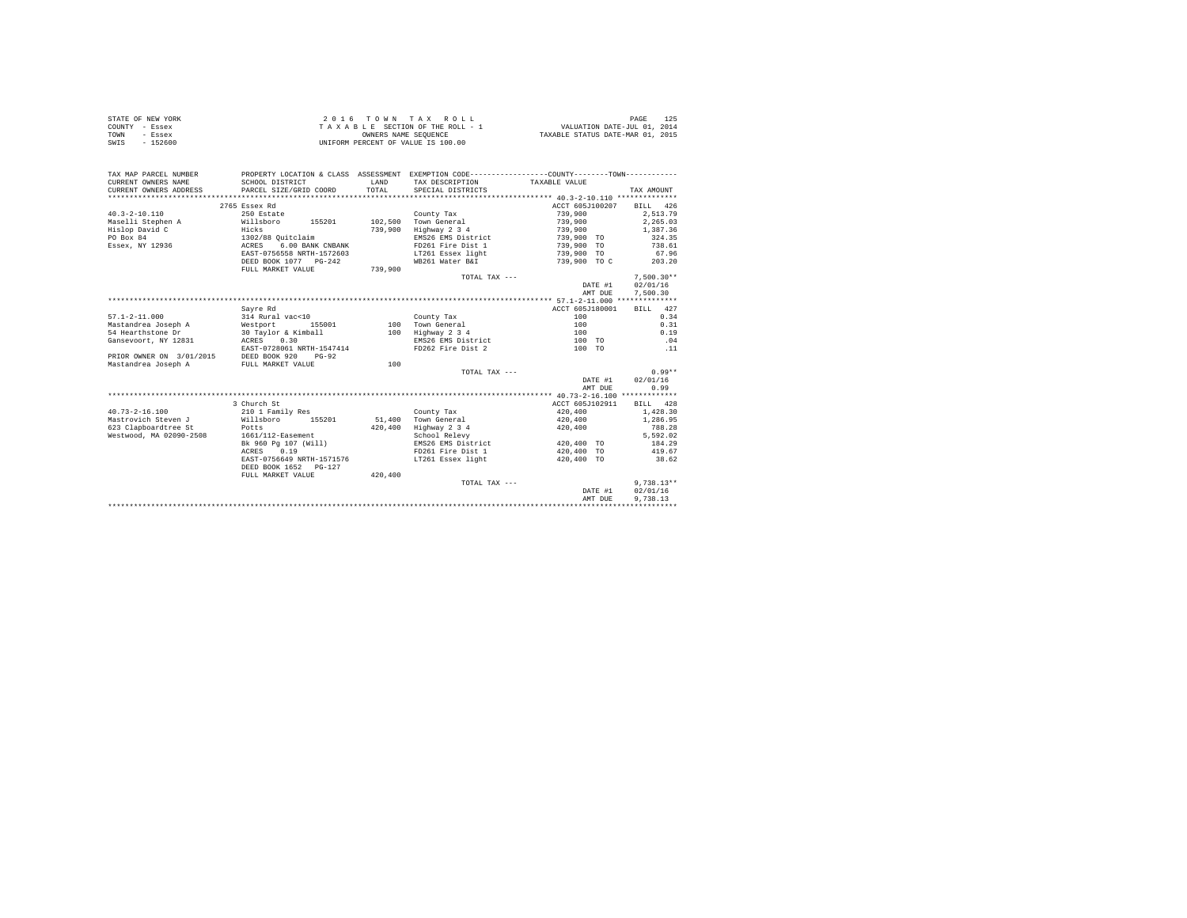|                | STATE OF NEW YORK | 2016 TOWN TAX ROLL                 | 125<br>PAGE                      |
|----------------|-------------------|------------------------------------|----------------------------------|
| COUNTY - Essex |                   | TAXABLE SECTION OF THE ROLL - 1    | VALUATION DATE-JUL 01, 2014      |
| TOWN           | - Essex           | OWNERS NAME SEOUENCE               | TAXABLE STATUS DATE-MAR 01, 2015 |
| SWIS           | $-152600$         | UNIFORM PERCENT OF VALUE IS 100.00 |                                  |

| TAX MAP PARCEL NUMBER                  | PROPERTY LOCATION & CLASS ASSESSMENT EXEMPTION CODE----------------COUNTY-------TOWN---------- |         |                      |                 |              |
|----------------------------------------|------------------------------------------------------------------------------------------------|---------|----------------------|-----------------|--------------|
| CURRENT OWNERS NAME                    | SCHOOL DISTRICT                                                                                | LAND    | TAX DESCRIPTION      | TAXABLE VALUE   |              |
| CURRENT OWNERS ADDRESS                 | PARCEL SIZE/GRID COORD                                                                         | TOTAL   | SPECIAL DISTRICTS    |                 | TAX AMOUNT   |
|                                        |                                                                                                |         |                      |                 |              |
|                                        | 2765 Essex Rd                                                                                  |         |                      | ACCT 605J100207 | BILL 426     |
| $40.3 - 2 - 10.110$                    | 250 Estate                                                                                     |         | County Tax           | 739,900         | 2,513.79     |
| Maselli Stephen A (Willsboro / 155201) |                                                                                                |         | 102.500 Town General | 739,900         | 2,265.03     |
| Hislop David C                         | Hicks<br>1302/88 Quitclaim<br>ACRES 6.00 BANK CNBANK<br>------- NRTH-1572603                   | 739,900 | Highway 2 3 4        | 739.900         | 1,387.36     |
| PO Box 84                              |                                                                                                |         | EMS26 EMS District   | 739,900 TO      | 324.35       |
| Essex, NY 12936                        |                                                                                                |         | FD261 Fire Dist 1    | 739,900 TO      | 738.61       |
|                                        |                                                                                                |         | LT261 Essex light    | 739,900 TO      | 67.96        |
|                                        | DEED BOOK 1077 PG-242                                                                          |         | WB261 Water B&I      | 739,900 TO C    | 203.20       |
|                                        | FULL MARKET VALUE                                                                              | 739,900 |                      |                 |              |
|                                        |                                                                                                |         | TOTAL TAX ---        |                 | $7,500.30**$ |
|                                        |                                                                                                |         |                      | DATE #1         | 02/01/16     |
|                                        |                                                                                                |         |                      | AMT DUE         | 7,500.30     |
|                                        |                                                                                                |         |                      |                 |              |
|                                        | Savre Rd                                                                                       |         |                      | ACCT 605J180001 | BILL 427     |
| $57.1 - 2 - 11.000$                    | 314 Rural vac<10                                                                               |         | County Tax           | 100             | 0.34         |
| Mastandrea Joseph A                    |                                                                                                |         | 100 Town General     | 100             | 0.31         |
| 54 Hearthstone Dr                      |                                                                                                |         | 100 Highway 2 3 4    | 100             | 0.19         |
| Gansevoort, NY 12831                   | ACRES<br>0.30                                                                                  |         | EMS26 EMS District   | 100 TO          | .04          |
|                                        | EAST-0728061 NRTH-1547414                                                                      |         | FD262 Fire Dist 2    | 100 TO          | $\ldots$ 11  |
| PRIOR OWNER ON 3/01/2015               | $PG-92$                                                                                        |         |                      |                 |              |
| Mastandrea Joseph A                    | 2015 DEED BOOK 920 I<br>FULL MARKET VALUE                                                      | 100     |                      |                 |              |
|                                        |                                                                                                |         | TOTAL TAX ---        |                 | $0.99**$     |
|                                        |                                                                                                |         |                      | DATE #1         | 02/01/16     |
|                                        |                                                                                                |         |                      | AMT DUE         | 0.99         |
|                                        |                                                                                                |         |                      |                 |              |
|                                        | 3 Church St                                                                                    |         |                      | ACCT 605J102911 | BILL 428     |
| $40.73 - 2 - 16.100$                   | 210 1 Family Res                                                                               |         | County Tax           | 420,400         | 1,428.30     |
| Mastrovich Steven J                    | Willsboro<br>155201                                                                            |         | 51.400 Town General  | 420,400         | 1,286.95     |
| 623 Clapboardtree St                   | Potts                                                                                          | 420,400 | Highway 2 3 4        | 420,400         | 788.28       |
| Westwood, MA 02090-2508                | 1661/112-Easement                                                                              |         | School Relevy        |                 | 5.592.02     |
|                                        | Bk 960 Pg 107 (Will)                                                                           |         | EMS26 EMS District   | 420,400 TO      | 184.29       |
|                                        | ACRES 0.19                                                                                     |         | FD261 Fire Dist 1    | 420,400 TO      | 419.67       |
|                                        | EAST-0756649 NRTH-1571576                                                                      |         | LT261 Essex light    | 420,400 TO      | 38.62        |
|                                        | DEED BOOK 1652 PG-127                                                                          |         |                      |                 |              |
|                                        | FULL MARKET VALUE                                                                              | 420,400 |                      |                 |              |
|                                        |                                                                                                |         | TOTAL TAX ---        |                 | $9.738.13**$ |
|                                        |                                                                                                |         |                      | DATE #1         | 02/01/16     |
|                                        |                                                                                                |         |                      | AMT DUE         | 9,738.13     |
|                                        |                                                                                                |         |                      |                 |              |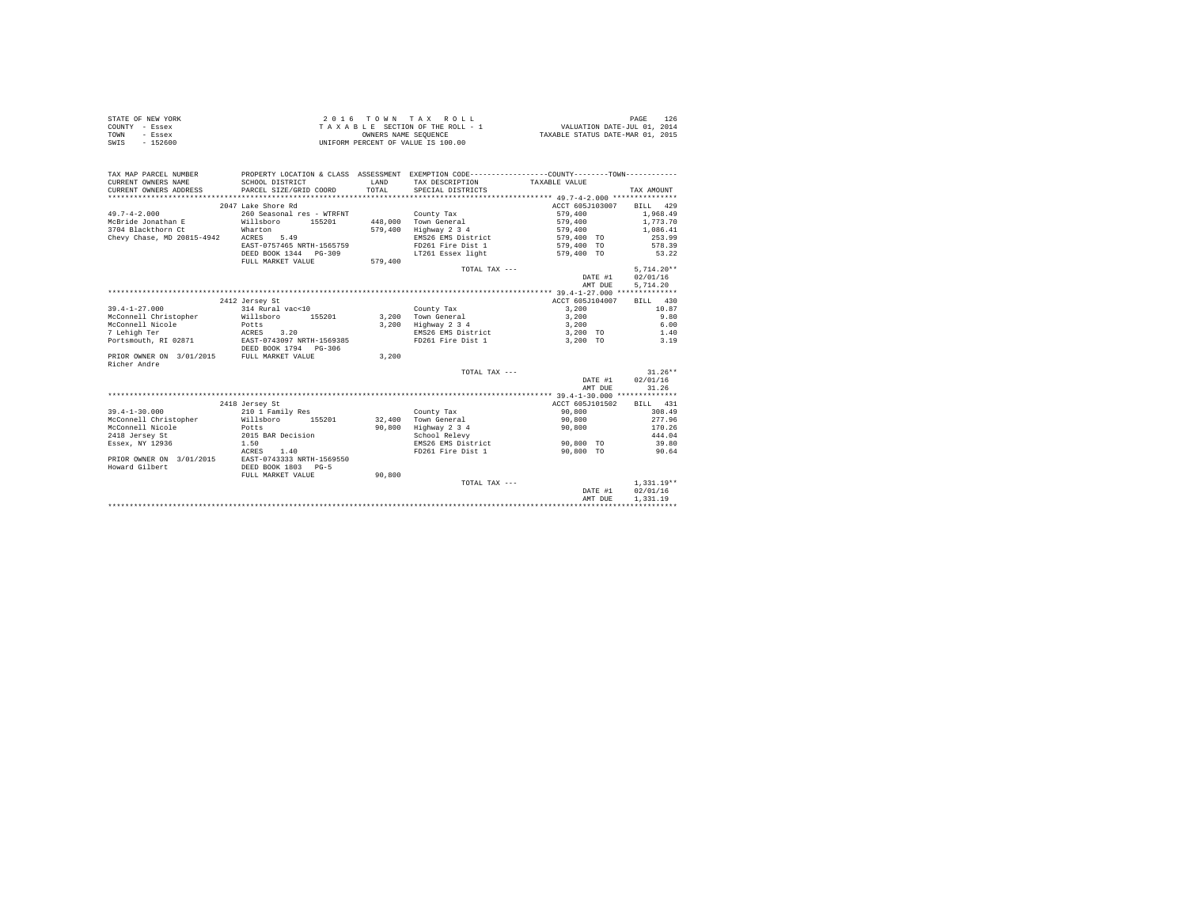|                | STATE OF NEW YORK | 2016 TOWN TAX ROLL                 | PAGE                             |
|----------------|-------------------|------------------------------------|----------------------------------|
| COUNTY - Essex |                   | TAXABLE SECTION OF THE ROLL - 1    | VALUATION DATE-JUL 01, 2014      |
| TOWN           | - Essex           | OWNERS NAME SEOUENCE               | TAXABLE STATUS DATE-MAR 01, 2015 |
| SWIS           | - 152600          | UNIFORM PERCENT OF VALUE IS 100.00 |                                  |

| TAXABLE VALUE<br>TOTAL<br>PARCEL SIZE/GRID COORD<br>CURRENT OWNERS ADDRESS<br>SPECIAL DISTRICTS<br>TAX AMOUNT<br>2047 Lake Shore Rd<br>ACCT 605J103007 BILL 429<br>$49.7 - 4 - 2.000$<br>260 Seasonal res - WTRFNT<br>579,400<br>1,968.49<br>County Tax<br>1,773.70<br>McBride Jonathan E Willsboro 155201<br>448.000 Town General<br>579,400<br>3704 Blackthorn Ct<br>579,400<br>Wharton<br>Highway 2 3 4<br>579,400<br>1,086.41<br>253.99<br>Chevy Chase, MD 20815-4942 ACRES 5.49<br>EMS26 EMS District<br>579,400 TO<br>EAST-0757465 NRTH-1565759<br>FD261 Fire Dist 1<br>579,400 TO<br>578.39<br>DEED BOOK 1344 PG-309<br>LT261 Essex light<br>579,400 TO<br>53.22<br>FULL MARKET VALUE<br>579,400<br>$5.714.20**$<br>TOTAL TAX ---<br>02/01/16<br>DATE #1<br>5,714.20<br>AMT DUE<br>ACCT 605J104007<br>BILL 430<br>2412 Jersey St<br>$39.4 - 1 - 27.000$<br>314 Rural vac<10<br>3,200<br>10.87<br>County Tax<br>McConnell Christopher Willsboro<br>155201 3,200 Town General<br>9.80<br>3,200<br>McConnell Nicole<br>3,200<br>Highway 2 3 4<br>EMS26 EMS District<br>6.00<br>Potts<br>ACRES 3.20<br>3,200<br>3,200 TO<br>1.40<br>Portsmouth, RI 02871 EAST-0743097 NRTH-1569385<br>FD261 Fire Dist 1<br>3,200 TO<br>3.19<br>DEED BOOK 1794 PG-306<br>PRIOR OWNER ON 3/01/2015 FULL MARKET VALUE<br>3,200<br>$31.26**$<br>TOTAL TAX ---<br>02/01/16<br>DATE #1<br>AMT DUE<br>31.26<br>2418 Jersey St<br>ACCT 605J101502<br>BILL 431<br>308.49<br>$39.4 - 1 - 30.000$<br>90,800<br>210 1 Family Res<br>County Tax<br>McConnell Christopher<br>Willsboro 155201<br>Potts<br>32.400 Town General<br>90,800<br>277.96<br>Highway 2 3 4<br>McConnell Nicole<br>90,800<br>90,800<br>170.26<br>2015 BAR Decision<br>444.04<br>2418 Jersey St<br>School Relevy<br>1.50<br>EMS26 EMS District<br>39.80<br>Essex, NY 12936<br>90.800 TO<br>1.40<br>ACRES<br>FD261 Fire Dist 1<br>90.800 TO<br>90.64<br>PRIOR OWNER ON 3/01/2015 EAST-0743333 NRTH-1569550<br>Howard Gilbert<br>DEED BOOK 1803 PG-5<br>FULL MARKET VALUE<br>90,800<br>$1.331.19**$<br>TOTAL TAX ---<br>02/01/16<br>DATE #1<br>1,331.19<br>AMT DUE | TAX MAP PARCEL NUMBER |                 |       | PROPERTY LOCATION & CLASS ASSESSMENT EXEMPTION CODE----------------COUNTY-------TOWN---------- |  |
|-------------------------------------------------------------------------------------------------------------------------------------------------------------------------------------------------------------------------------------------------------------------------------------------------------------------------------------------------------------------------------------------------------------------------------------------------------------------------------------------------------------------------------------------------------------------------------------------------------------------------------------------------------------------------------------------------------------------------------------------------------------------------------------------------------------------------------------------------------------------------------------------------------------------------------------------------------------------------------------------------------------------------------------------------------------------------------------------------------------------------------------------------------------------------------------------------------------------------------------------------------------------------------------------------------------------------------------------------------------------------------------------------------------------------------------------------------------------------------------------------------------------------------------------------------------------------------------------------------------------------------------------------------------------------------------------------------------------------------------------------------------------------------------------------------------------------------------------------------------------------------------------------------------------------------------------------------------------------------------------------------------------------------------------------------------------------------------------------------------|-----------------------|-----------------|-------|------------------------------------------------------------------------------------------------|--|
|                                                                                                                                                                                                                                                                                                                                                                                                                                                                                                                                                                                                                                                                                                                                                                                                                                                                                                                                                                                                                                                                                                                                                                                                                                                                                                                                                                                                                                                                                                                                                                                                                                                                                                                                                                                                                                                                                                                                                                                                                                                                                                             | CURRENT OWNERS NAME   | SCHOOL DISTRICT | T.AND | TAX DESCRIPTION                                                                                |  |
|                                                                                                                                                                                                                                                                                                                                                                                                                                                                                                                                                                                                                                                                                                                                                                                                                                                                                                                                                                                                                                                                                                                                                                                                                                                                                                                                                                                                                                                                                                                                                                                                                                                                                                                                                                                                                                                                                                                                                                                                                                                                                                             |                       |                 |       |                                                                                                |  |
|                                                                                                                                                                                                                                                                                                                                                                                                                                                                                                                                                                                                                                                                                                                                                                                                                                                                                                                                                                                                                                                                                                                                                                                                                                                                                                                                                                                                                                                                                                                                                                                                                                                                                                                                                                                                                                                                                                                                                                                                                                                                                                             |                       |                 |       |                                                                                                |  |
|                                                                                                                                                                                                                                                                                                                                                                                                                                                                                                                                                                                                                                                                                                                                                                                                                                                                                                                                                                                                                                                                                                                                                                                                                                                                                                                                                                                                                                                                                                                                                                                                                                                                                                                                                                                                                                                                                                                                                                                                                                                                                                             |                       |                 |       |                                                                                                |  |
|                                                                                                                                                                                                                                                                                                                                                                                                                                                                                                                                                                                                                                                                                                                                                                                                                                                                                                                                                                                                                                                                                                                                                                                                                                                                                                                                                                                                                                                                                                                                                                                                                                                                                                                                                                                                                                                                                                                                                                                                                                                                                                             |                       |                 |       |                                                                                                |  |
|                                                                                                                                                                                                                                                                                                                                                                                                                                                                                                                                                                                                                                                                                                                                                                                                                                                                                                                                                                                                                                                                                                                                                                                                                                                                                                                                                                                                                                                                                                                                                                                                                                                                                                                                                                                                                                                                                                                                                                                                                                                                                                             |                       |                 |       |                                                                                                |  |
|                                                                                                                                                                                                                                                                                                                                                                                                                                                                                                                                                                                                                                                                                                                                                                                                                                                                                                                                                                                                                                                                                                                                                                                                                                                                                                                                                                                                                                                                                                                                                                                                                                                                                                                                                                                                                                                                                                                                                                                                                                                                                                             |                       |                 |       |                                                                                                |  |
|                                                                                                                                                                                                                                                                                                                                                                                                                                                                                                                                                                                                                                                                                                                                                                                                                                                                                                                                                                                                                                                                                                                                                                                                                                                                                                                                                                                                                                                                                                                                                                                                                                                                                                                                                                                                                                                                                                                                                                                                                                                                                                             |                       |                 |       |                                                                                                |  |
|                                                                                                                                                                                                                                                                                                                                                                                                                                                                                                                                                                                                                                                                                                                                                                                                                                                                                                                                                                                                                                                                                                                                                                                                                                                                                                                                                                                                                                                                                                                                                                                                                                                                                                                                                                                                                                                                                                                                                                                                                                                                                                             |                       |                 |       |                                                                                                |  |
|                                                                                                                                                                                                                                                                                                                                                                                                                                                                                                                                                                                                                                                                                                                                                                                                                                                                                                                                                                                                                                                                                                                                                                                                                                                                                                                                                                                                                                                                                                                                                                                                                                                                                                                                                                                                                                                                                                                                                                                                                                                                                                             |                       |                 |       |                                                                                                |  |
|                                                                                                                                                                                                                                                                                                                                                                                                                                                                                                                                                                                                                                                                                                                                                                                                                                                                                                                                                                                                                                                                                                                                                                                                                                                                                                                                                                                                                                                                                                                                                                                                                                                                                                                                                                                                                                                                                                                                                                                                                                                                                                             |                       |                 |       |                                                                                                |  |
|                                                                                                                                                                                                                                                                                                                                                                                                                                                                                                                                                                                                                                                                                                                                                                                                                                                                                                                                                                                                                                                                                                                                                                                                                                                                                                                                                                                                                                                                                                                                                                                                                                                                                                                                                                                                                                                                                                                                                                                                                                                                                                             |                       |                 |       |                                                                                                |  |
|                                                                                                                                                                                                                                                                                                                                                                                                                                                                                                                                                                                                                                                                                                                                                                                                                                                                                                                                                                                                                                                                                                                                                                                                                                                                                                                                                                                                                                                                                                                                                                                                                                                                                                                                                                                                                                                                                                                                                                                                                                                                                                             |                       |                 |       |                                                                                                |  |
|                                                                                                                                                                                                                                                                                                                                                                                                                                                                                                                                                                                                                                                                                                                                                                                                                                                                                                                                                                                                                                                                                                                                                                                                                                                                                                                                                                                                                                                                                                                                                                                                                                                                                                                                                                                                                                                                                                                                                                                                                                                                                                             |                       |                 |       |                                                                                                |  |
|                                                                                                                                                                                                                                                                                                                                                                                                                                                                                                                                                                                                                                                                                                                                                                                                                                                                                                                                                                                                                                                                                                                                                                                                                                                                                                                                                                                                                                                                                                                                                                                                                                                                                                                                                                                                                                                                                                                                                                                                                                                                                                             |                       |                 |       |                                                                                                |  |
|                                                                                                                                                                                                                                                                                                                                                                                                                                                                                                                                                                                                                                                                                                                                                                                                                                                                                                                                                                                                                                                                                                                                                                                                                                                                                                                                                                                                                                                                                                                                                                                                                                                                                                                                                                                                                                                                                                                                                                                                                                                                                                             |                       |                 |       |                                                                                                |  |
|                                                                                                                                                                                                                                                                                                                                                                                                                                                                                                                                                                                                                                                                                                                                                                                                                                                                                                                                                                                                                                                                                                                                                                                                                                                                                                                                                                                                                                                                                                                                                                                                                                                                                                                                                                                                                                                                                                                                                                                                                                                                                                             |                       |                 |       |                                                                                                |  |
|                                                                                                                                                                                                                                                                                                                                                                                                                                                                                                                                                                                                                                                                                                                                                                                                                                                                                                                                                                                                                                                                                                                                                                                                                                                                                                                                                                                                                                                                                                                                                                                                                                                                                                                                                                                                                                                                                                                                                                                                                                                                                                             |                       |                 |       |                                                                                                |  |
|                                                                                                                                                                                                                                                                                                                                                                                                                                                                                                                                                                                                                                                                                                                                                                                                                                                                                                                                                                                                                                                                                                                                                                                                                                                                                                                                                                                                                                                                                                                                                                                                                                                                                                                                                                                                                                                                                                                                                                                                                                                                                                             |                       |                 |       |                                                                                                |  |
|                                                                                                                                                                                                                                                                                                                                                                                                                                                                                                                                                                                                                                                                                                                                                                                                                                                                                                                                                                                                                                                                                                                                                                                                                                                                                                                                                                                                                                                                                                                                                                                                                                                                                                                                                                                                                                                                                                                                                                                                                                                                                                             | 7 Lehigh Ter          |                 |       |                                                                                                |  |
|                                                                                                                                                                                                                                                                                                                                                                                                                                                                                                                                                                                                                                                                                                                                                                                                                                                                                                                                                                                                                                                                                                                                                                                                                                                                                                                                                                                                                                                                                                                                                                                                                                                                                                                                                                                                                                                                                                                                                                                                                                                                                                             |                       |                 |       |                                                                                                |  |
|                                                                                                                                                                                                                                                                                                                                                                                                                                                                                                                                                                                                                                                                                                                                                                                                                                                                                                                                                                                                                                                                                                                                                                                                                                                                                                                                                                                                                                                                                                                                                                                                                                                                                                                                                                                                                                                                                                                                                                                                                                                                                                             |                       |                 |       |                                                                                                |  |
|                                                                                                                                                                                                                                                                                                                                                                                                                                                                                                                                                                                                                                                                                                                                                                                                                                                                                                                                                                                                                                                                                                                                                                                                                                                                                                                                                                                                                                                                                                                                                                                                                                                                                                                                                                                                                                                                                                                                                                                                                                                                                                             |                       |                 |       |                                                                                                |  |
|                                                                                                                                                                                                                                                                                                                                                                                                                                                                                                                                                                                                                                                                                                                                                                                                                                                                                                                                                                                                                                                                                                                                                                                                                                                                                                                                                                                                                                                                                                                                                                                                                                                                                                                                                                                                                                                                                                                                                                                                                                                                                                             | Richer Andre          |                 |       |                                                                                                |  |
|                                                                                                                                                                                                                                                                                                                                                                                                                                                                                                                                                                                                                                                                                                                                                                                                                                                                                                                                                                                                                                                                                                                                                                                                                                                                                                                                                                                                                                                                                                                                                                                                                                                                                                                                                                                                                                                                                                                                                                                                                                                                                                             |                       |                 |       |                                                                                                |  |
|                                                                                                                                                                                                                                                                                                                                                                                                                                                                                                                                                                                                                                                                                                                                                                                                                                                                                                                                                                                                                                                                                                                                                                                                                                                                                                                                                                                                                                                                                                                                                                                                                                                                                                                                                                                                                                                                                                                                                                                                                                                                                                             |                       |                 |       |                                                                                                |  |
|                                                                                                                                                                                                                                                                                                                                                                                                                                                                                                                                                                                                                                                                                                                                                                                                                                                                                                                                                                                                                                                                                                                                                                                                                                                                                                                                                                                                                                                                                                                                                                                                                                                                                                                                                                                                                                                                                                                                                                                                                                                                                                             |                       |                 |       |                                                                                                |  |
|                                                                                                                                                                                                                                                                                                                                                                                                                                                                                                                                                                                                                                                                                                                                                                                                                                                                                                                                                                                                                                                                                                                                                                                                                                                                                                                                                                                                                                                                                                                                                                                                                                                                                                                                                                                                                                                                                                                                                                                                                                                                                                             |                       |                 |       |                                                                                                |  |
|                                                                                                                                                                                                                                                                                                                                                                                                                                                                                                                                                                                                                                                                                                                                                                                                                                                                                                                                                                                                                                                                                                                                                                                                                                                                                                                                                                                                                                                                                                                                                                                                                                                                                                                                                                                                                                                                                                                                                                                                                                                                                                             |                       |                 |       |                                                                                                |  |
|                                                                                                                                                                                                                                                                                                                                                                                                                                                                                                                                                                                                                                                                                                                                                                                                                                                                                                                                                                                                                                                                                                                                                                                                                                                                                                                                                                                                                                                                                                                                                                                                                                                                                                                                                                                                                                                                                                                                                                                                                                                                                                             |                       |                 |       |                                                                                                |  |
|                                                                                                                                                                                                                                                                                                                                                                                                                                                                                                                                                                                                                                                                                                                                                                                                                                                                                                                                                                                                                                                                                                                                                                                                                                                                                                                                                                                                                                                                                                                                                                                                                                                                                                                                                                                                                                                                                                                                                                                                                                                                                                             |                       |                 |       |                                                                                                |  |
|                                                                                                                                                                                                                                                                                                                                                                                                                                                                                                                                                                                                                                                                                                                                                                                                                                                                                                                                                                                                                                                                                                                                                                                                                                                                                                                                                                                                                                                                                                                                                                                                                                                                                                                                                                                                                                                                                                                                                                                                                                                                                                             |                       |                 |       |                                                                                                |  |
|                                                                                                                                                                                                                                                                                                                                                                                                                                                                                                                                                                                                                                                                                                                                                                                                                                                                                                                                                                                                                                                                                                                                                                                                                                                                                                                                                                                                                                                                                                                                                                                                                                                                                                                                                                                                                                                                                                                                                                                                                                                                                                             |                       |                 |       |                                                                                                |  |
|                                                                                                                                                                                                                                                                                                                                                                                                                                                                                                                                                                                                                                                                                                                                                                                                                                                                                                                                                                                                                                                                                                                                                                                                                                                                                                                                                                                                                                                                                                                                                                                                                                                                                                                                                                                                                                                                                                                                                                                                                                                                                                             |                       |                 |       |                                                                                                |  |
|                                                                                                                                                                                                                                                                                                                                                                                                                                                                                                                                                                                                                                                                                                                                                                                                                                                                                                                                                                                                                                                                                                                                                                                                                                                                                                                                                                                                                                                                                                                                                                                                                                                                                                                                                                                                                                                                                                                                                                                                                                                                                                             |                       |                 |       |                                                                                                |  |
|                                                                                                                                                                                                                                                                                                                                                                                                                                                                                                                                                                                                                                                                                                                                                                                                                                                                                                                                                                                                                                                                                                                                                                                                                                                                                                                                                                                                                                                                                                                                                                                                                                                                                                                                                                                                                                                                                                                                                                                                                                                                                                             |                       |                 |       |                                                                                                |  |
|                                                                                                                                                                                                                                                                                                                                                                                                                                                                                                                                                                                                                                                                                                                                                                                                                                                                                                                                                                                                                                                                                                                                                                                                                                                                                                                                                                                                                                                                                                                                                                                                                                                                                                                                                                                                                                                                                                                                                                                                                                                                                                             |                       |                 |       |                                                                                                |  |
|                                                                                                                                                                                                                                                                                                                                                                                                                                                                                                                                                                                                                                                                                                                                                                                                                                                                                                                                                                                                                                                                                                                                                                                                                                                                                                                                                                                                                                                                                                                                                                                                                                                                                                                                                                                                                                                                                                                                                                                                                                                                                                             |                       |                 |       |                                                                                                |  |
|                                                                                                                                                                                                                                                                                                                                                                                                                                                                                                                                                                                                                                                                                                                                                                                                                                                                                                                                                                                                                                                                                                                                                                                                                                                                                                                                                                                                                                                                                                                                                                                                                                                                                                                                                                                                                                                                                                                                                                                                                                                                                                             |                       |                 |       |                                                                                                |  |
|                                                                                                                                                                                                                                                                                                                                                                                                                                                                                                                                                                                                                                                                                                                                                                                                                                                                                                                                                                                                                                                                                                                                                                                                                                                                                                                                                                                                                                                                                                                                                                                                                                                                                                                                                                                                                                                                                                                                                                                                                                                                                                             |                       |                 |       |                                                                                                |  |
|                                                                                                                                                                                                                                                                                                                                                                                                                                                                                                                                                                                                                                                                                                                                                                                                                                                                                                                                                                                                                                                                                                                                                                                                                                                                                                                                                                                                                                                                                                                                                                                                                                                                                                                                                                                                                                                                                                                                                                                                                                                                                                             |                       |                 |       |                                                                                                |  |
|                                                                                                                                                                                                                                                                                                                                                                                                                                                                                                                                                                                                                                                                                                                                                                                                                                                                                                                                                                                                                                                                                                                                                                                                                                                                                                                                                                                                                                                                                                                                                                                                                                                                                                                                                                                                                                                                                                                                                                                                                                                                                                             |                       |                 |       |                                                                                                |  |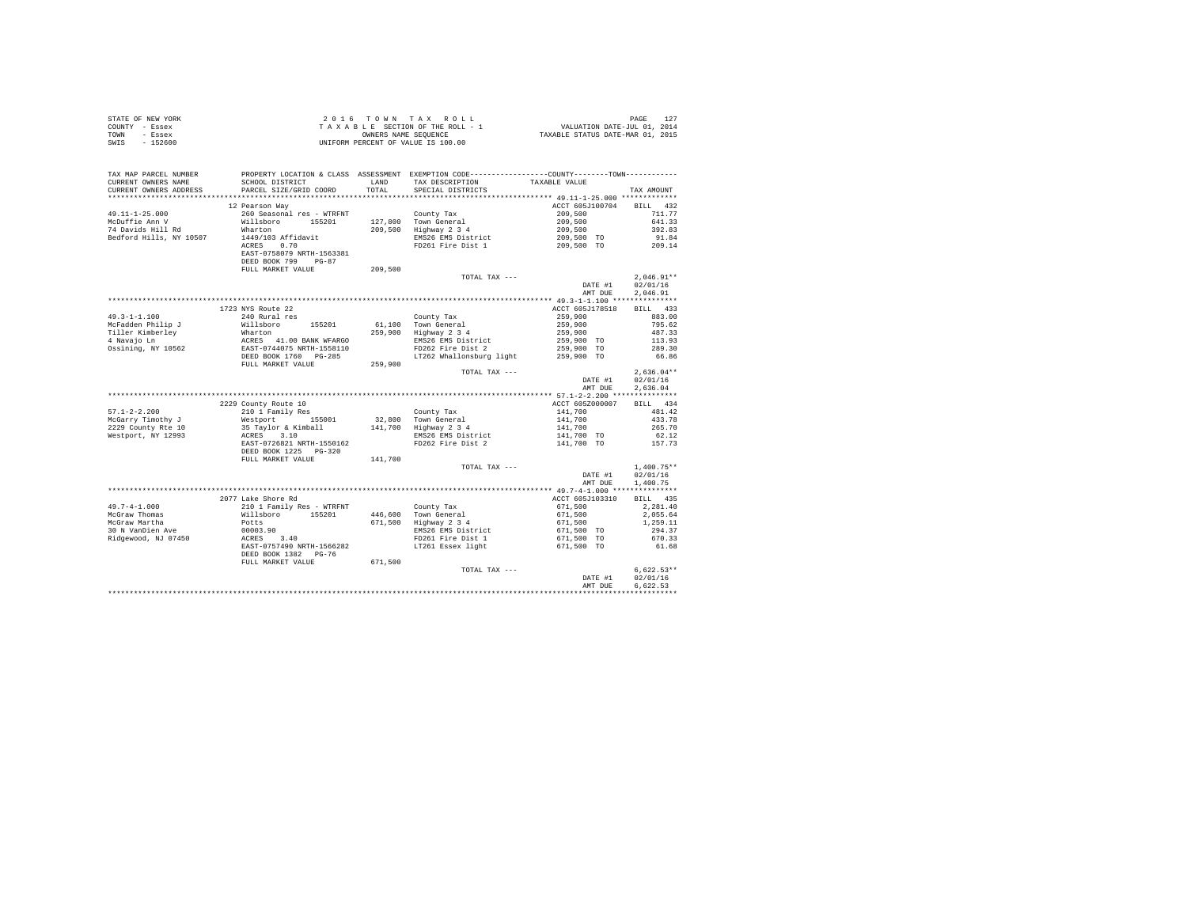| STATE OF NEW YORK | 2016 TOWN TAX ROLL                 | PAGE                             |
|-------------------|------------------------------------|----------------------------------|
| COUNTY - Essex    | TAXABLE SECTION OF THE ROLL - 1    | VALUATION DATE-JUL 01, 2014      |
| TOWN<br>- Essex   | OWNERS NAME SEOUENCE               | TAXABLE STATUS DATE-MAR 01, 2015 |
| $-152600$<br>SWIS | UNIFORM PERCENT OF VALUE IS 100.00 |                                  |

| TAX MAP PARCEL NUMBER<br>CURRENT OWNERS NAME<br>CURRENT OWNERS ADDRESS | PROPERTY LOCATION & CLASS ASSESSMENT EXEMPTION CODE---------------COUNTY-------TOWN----------<br>SCHOOL DISTRICT<br>PARCEL SIZE/GRID COORD                                                                             | LAND<br>TOTAL. | TAX DESCRIPTION<br>SPECIAL DISTRICTS                             | TAXABLE VALUE                                             | TAX AMOUNT                |
|------------------------------------------------------------------------|------------------------------------------------------------------------------------------------------------------------------------------------------------------------------------------------------------------------|----------------|------------------------------------------------------------------|-----------------------------------------------------------|---------------------------|
| *************************                                              |                                                                                                                                                                                                                        |                |                                                                  |                                                           |                           |
| $49.11 - 1 - 25.000$<br>McDuffie Ann V                                 | 12 Pearson Way<br>260 Seasonal res - WTRFNT<br>Willsboro 155001                                                                                                                                                        |                | County Tax<br>127,800 Town General                               | ACCT 605J100704 BILL 432<br>209,500<br>209,500<br>209,500 | 711.77<br>641.33          |
| 74 Davids Hill Rd<br>Bedford Hills, NY 10507                           | Wharton<br>1449/103 Affidavit<br>ACRES 0.70<br>EAST-0758079 NRTH-1563381<br>DEED BOOK 799 PG-87                                                                                                                        |                | 209,500 Highway 2 3 4<br>EMS26 EMS District<br>FD261 Fire Dist 1 | 209,500 TO<br>209,500 TO                                  | 392.83<br>91.84<br>209.14 |
|                                                                        | FULL MARKET VALUE                                                                                                                                                                                                      | 209,500        |                                                                  |                                                           |                           |
|                                                                        |                                                                                                                                                                                                                        |                | TOTAL TAX ---                                                    | DATE #1                                                   | $2.046.91**$<br>02/01/16  |
|                                                                        |                                                                                                                                                                                                                        |                |                                                                  | AMT DUE                                                   | 2.046.91                  |
|                                                                        |                                                                                                                                                                                                                        |                |                                                                  |                                                           |                           |
|                                                                        | 1723 NYS Route 22                                                                                                                                                                                                      |                |                                                                  | ACCT 605J178518                                           | BILL 433                  |
| $49.3 - 1 - 1.100$                                                     | 240 Rural res                                                                                                                                                                                                          |                | County Tax                                                       |                                                           | 883.00                    |
| McFadden Philip J                                                      | 470 Numer 105201 61,100 Town General<br>Wharton 155201 61,100 Town General<br>MERIC 10 BANK WFARGO<br>EMS26 EMS District<br>EAST-0744075 NRTH-1558110 FD262 Fire Dist<br>DEED BOOK 1760 PG-285<br>17262 Whallonsburg 1 |                |                                                                  | 259,900<br>259,900<br>259,900                             | 795.62                    |
| Tiller Kimberley                                                       |                                                                                                                                                                                                                        |                |                                                                  |                                                           | 487.33                    |
| 4 Navajo Ln                                                            |                                                                                                                                                                                                                        |                | EMS26 EMS District                                               | 259,900 TO                                                | 113.93                    |
| Ossining, NY 10562                                                     |                                                                                                                                                                                                                        |                | FD262 Fire Dist 2                                                | 259,900 TO                                                | 289.30                    |
|                                                                        |                                                                                                                                                                                                                        |                | LT262 Whallonsburg light 259,900 TO                              |                                                           | 66.86                     |
|                                                                        | FULL MARKET VALUE                                                                                                                                                                                                      | 259,900        | TOTAL TAX ---                                                    |                                                           |                           |
|                                                                        |                                                                                                                                                                                                                        |                |                                                                  | DATE #1                                                   | $2,636.04**$<br>02/01/16  |
|                                                                        |                                                                                                                                                                                                                        |                |                                                                  | AMT DUE                                                   | 2.636.04                  |
|                                                                        |                                                                                                                                                                                                                        |                |                                                                  |                                                           |                           |
|                                                                        | 2229 County Route 10                                                                                                                                                                                                   |                |                                                                  | ACCT 605Z000007                                           | BILL 434                  |
| $57.1 - 2 - 2.200$                                                     | 210 1 Family Res                                                                                                                                                                                                       |                | County Tax                                                       | 141,700                                                   | 481.42                    |
| McGarry Timothy J                                                      |                                                                                                                                                                                                                        |                |                                                                  |                                                           | 433.78                    |
| 2229 County Rte 10                                                     | Westport 155001 32,800 Town General<br>35 Taylor & Kimball 141,700 Highway 2 3 4                                                                                                                                       |                |                                                                  |                                                           | 265.70                    |
| Westport, NY 12993                                                     | ACRES 3.10                                                                                                                                                                                                             |                | EMS26 EMS District                                               | 141,700<br>141,700<br>141,700 TO                          | 62.12                     |
|                                                                        | EAST-0726821 NRTH-1550162<br>DEED BOOK 1225 PG-320                                                                                                                                                                     |                | FD262 Fire Dist 2                                                | 141,700 TO                                                | 157.73                    |
|                                                                        | FULL MARKET VALUE                                                                                                                                                                                                      | 141,700        |                                                                  |                                                           |                           |
|                                                                        |                                                                                                                                                                                                                        |                | TOTAL TAX ---                                                    |                                                           | $1,400.75**$              |
|                                                                        |                                                                                                                                                                                                                        |                |                                                                  | DATE #1                                                   | 02/01/16                  |
|                                                                        |                                                                                                                                                                                                                        |                |                                                                  | AMT DUE                                                   | 1,400.75                  |
|                                                                        |                                                                                                                                                                                                                        |                |                                                                  |                                                           |                           |
|                                                                        | 2077 Lake Shore Rd                                                                                                                                                                                                     |                |                                                                  | ACCT 605J103310                                           | BILL 435                  |
| 49.7-4-1.000<br>McGraw Thomas                                          | 210 1 Family Res - WTRFNT<br>Willsboro 155201                                                                                                                                                                          |                | County Tax<br>446,600 Town General                               | 671,500<br>671,500                                        | 2,281.40                  |
| McGraw Martha                                                          | Potts                                                                                                                                                                                                                  |                | 671,500 Highway 2 3 4                                            | 671,500                                                   | 2,055.64<br>1,259.11      |
| 30 N VanDien Ave                                                       |                                                                                                                                                                                                                        |                | EMS26 EMS District                                               | 671,500 TO                                                | 294.37                    |
| Ridgewood, NJ 07450                                                    | 00003.90<br>ACRES 3.40                                                                                                                                                                                                 |                | FD261 Fire Dist 1                                                | 671,500 TO                                                | 670.33                    |
|                                                                        | EAST-0757490 NRTH-1566282                                                                                                                                                                                              |                | LT261 Essex light                                                | 671,500 TO                                                | 61.68                     |
|                                                                        | DEED BOOK 1382 PG-76                                                                                                                                                                                                   |                |                                                                  |                                                           |                           |
|                                                                        | FULL MARKET VALUE                                                                                                                                                                                                      | 671,500        |                                                                  |                                                           | $6.622.53**$              |
|                                                                        |                                                                                                                                                                                                                        |                | TOTAL TAX ---                                                    | DATE #1                                                   | 02/01/16                  |
|                                                                        |                                                                                                                                                                                                                        |                |                                                                  | AMT DUE                                                   | 6.622.53                  |
|                                                                        |                                                                                                                                                                                                                        |                |                                                                  |                                                           |                           |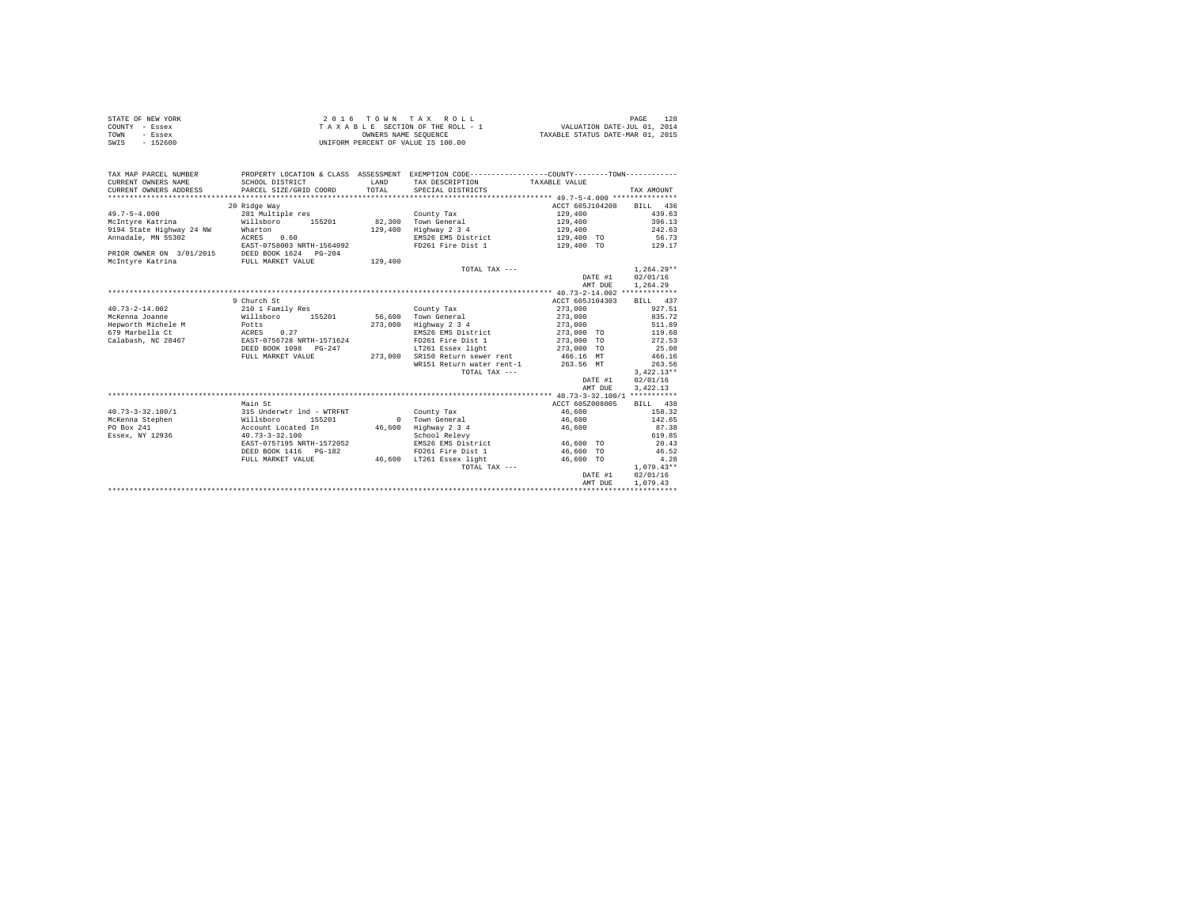| STATE OF NEW YORK | 2016 TOWN TAX ROLL                 | PAGE                             |
|-------------------|------------------------------------|----------------------------------|
| COUNTY - Essex    | TAXABLE SECTION OF THE ROLL - 1    | VALUATION DATE-JUL 01, 2014      |
| TOWN<br>- Essex   | OWNERS NAME SEOUENCE               | TAXABLE STATUS DATE-MAR 01, 2015 |
| $-152600$<br>SWIS | UNIFORM PERCENT OF VALUE IS 100.00 |                                  |

| TAX MAP PARCEL NUMBER<br>CURRENT OWNERS NAME<br>CURRENT OWNERS ADDRESS | SCHOOL DISTRICT<br>PARCEL SIZE/GRID COORD | LAND<br>TOTAL | PROPERTY LOCATION & CLASS ASSESSMENT EXEMPTION CODE----------------COUNTY-------TOWN----------<br>TAX DESCRIPTION TAXABLE VALUE<br>SPECIAL DISTRICTS |                 | TAX AMOUNT   |
|------------------------------------------------------------------------|-------------------------------------------|---------------|------------------------------------------------------------------------------------------------------------------------------------------------------|-----------------|--------------|
|                                                                        | 20 Ridge Way                              |               |                                                                                                                                                      | ACCT 605J104208 | BILL 436     |
| $49.7 - 5 - 4.000$                                                     | 281 Multiple res                          |               |                                                                                                                                                      | 129,400         | 439.63       |
|                                                                        |                                           | 82,300        | County Tax                                                                                                                                           |                 | 396.13       |
| McIntvre Katrina                                                       | Willsboro<br>155201                       |               | Town General                                                                                                                                         | 129,400         |              |
| 9194 State Highway 24 NW                                               | Wharton                                   | 129,400       | Highway 2 3 4                                                                                                                                        | 129,400         | 242.63       |
| Annadale, MN 55302                                                     | ACRES 0.60                                |               | EMS26 EMS District                                                                                                                                   | 129,400 TO      | 56.73        |
|                                                                        | EAST-0758003 NRTH-1564092                 |               | FD261 Fire Dist 1                                                                                                                                    | 129,400 TO      | 129.17       |
| PRIOR OWNER ON 3/01/2015                                               | DEED BOOK 1624 PG-204                     |               |                                                                                                                                                      |                 |              |
| McIntvre Katrina                                                       | FULL MARKET VALUE                         | 129,400       |                                                                                                                                                      |                 |              |
|                                                                        |                                           |               | TOTAL TAX ---                                                                                                                                        |                 | $1.264.29**$ |
|                                                                        |                                           |               |                                                                                                                                                      | DATE #1         | 02/01/16     |
|                                                                        |                                           |               |                                                                                                                                                      | AMT DUE         | 1,264.29     |
|                                                                        |                                           |               |                                                                                                                                                      |                 |              |
|                                                                        | 9 Church St                               |               |                                                                                                                                                      | ACCT 605J104303 | BILL 437     |
| $40.73 - 2 - 14.002$                                                   | 210 1 Family Res                          |               | County Tax                                                                                                                                           | 273,000         | 927.51       |
| McKenna Joanne                                                         | Willsboro<br>155201                       | 56,600        | Town General                                                                                                                                         | 273,000         | 835.72       |
| Hepworth Michele M                                                     |                                           | 273,000       | Highway 2 3 4                                                                                                                                        | 273,000         | 511.89       |
| 679 Marbella Ct                                                        | Potts<br>ACRES 0.27                       |               | EMS26 EMS District                                                                                                                                   | 273,000 TO      | 119.68       |
| Calabash, NC 28467                                                     | EAST-0756728 NRTH-1571624                 |               | FD261 Fire Dist 1                                                                                                                                    | 273,000 TO      | 272.53       |
|                                                                        | DEED BOOK 1098 PG-247                     |               | LT261 Essex light                                                                                                                                    | 273,000 TO      | 25.08        |
|                                                                        | FULL MARKET VALUE                         | 273,000       | SR150 Return sewer rent 466.16 MT                                                                                                                    |                 | 466.16       |
|                                                                        |                                           |               | WR151 Return water rent-1 263.56 MT                                                                                                                  |                 | 263.56       |
|                                                                        |                                           |               | TOTAL TAX ---                                                                                                                                        |                 | $3,422.13**$ |
|                                                                        |                                           |               |                                                                                                                                                      | DATE #1         | 02/01/16     |
|                                                                        |                                           |               |                                                                                                                                                      | AMT DUE         | 3.422.13     |
|                                                                        |                                           |               |                                                                                                                                                      |                 |              |
|                                                                        | Main St                                   |               |                                                                                                                                                      | ACCT 605Z008005 | BILL 438     |
| $40.73 - 3 - 32.100/1$                                                 | 315 Underwtr 1nd - WTRFNT                 |               | County Tax                                                                                                                                           | 46,600          | 158.32       |
| McKenna Stephen                                                        | Willsboro<br>155201                       |               | 0 Town General                                                                                                                                       | 46,600          | 142.65       |
| PO Box 241                                                             | Account Located In                        | 46,600        | Highway 2 3 4                                                                                                                                        | 46,600          | 87.38        |
|                                                                        |                                           |               |                                                                                                                                                      |                 |              |
| Essex, NY 12936                                                        | $40.73 - 3 - 32.100$                      |               | School Relevy                                                                                                                                        |                 | 619.85       |
|                                                                        | EAST-0757195 NRTH-1572052                 |               | EMS26 EMS District                                                                                                                                   | 46,600 TO       | 20.43        |
|                                                                        | DEED BOOK 1416   PG-182                   |               | FD261 Fire Dist 1                                                                                                                                    | 46,600 TO       | 46.52        |
|                                                                        | FULL MARKET VALUE                         |               | 46,600 LT261 Essex light                                                                                                                             | 46,600 TO       | 4.28         |
|                                                                        |                                           |               | TOTAL TAX ---                                                                                                                                        |                 | $1.079.43**$ |
|                                                                        |                                           |               |                                                                                                                                                      | DATE #1         | 02/01/16     |
|                                                                        |                                           |               |                                                                                                                                                      | AMT DUE         | 1,079.43     |
|                                                                        |                                           |               |                                                                                                                                                      |                 |              |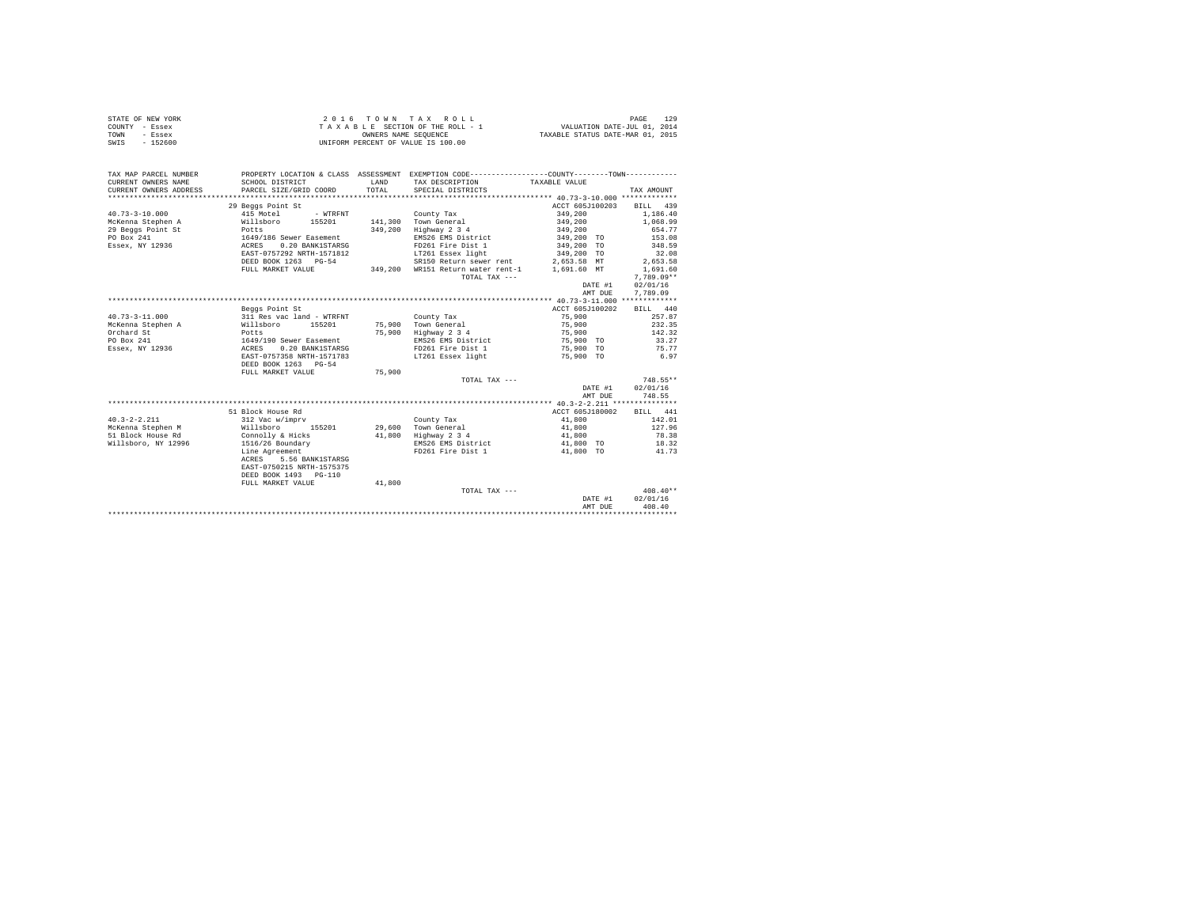| PROPERTY LOCATION & CLASS ASSESSMENT EXEMPTION CODE---------------COUNTY-------TOWN----------<br>TAX MAP PARCEL NUMBER<br>CURRENT OWNERS NAME<br>SCHOOL DISTRICT<br>LAND<br>TAXABLE VALUE<br>TAX DESCRIPTION<br>TOTAL<br>CURRENT OWNERS ADDRESS<br>PARCEL SIZE/GRID COORD<br>SPECIAL DISTRICTS<br>TAX AMOUNT<br>29 Beggs Point St<br>ACCT 605J100203<br>BILL 439<br>415 Motel<br>349,200<br>$40.73 - 3 - 10.000$<br>1,186.40<br>- WTRFNT<br>County Tax<br>McKenna Stephen A<br>141,300 Town General<br>Willsboro<br>155201<br>349,200<br>1,068.99<br>29 Beggs Point St<br>349,200<br>Highway 2 3 4<br>349,200<br>654.77<br>Potts<br>EMS26 EMS District<br>PO Box 241<br>1649/186 Sewer Easement<br>349,200 TO<br>153.08<br>ACRES 0.20 BANK1STARSG<br>Essex, NY 12936<br>FD261 Fire Dist 1<br>349,200 TO<br>348.59<br>LT261 Essex light<br>EAST-0757292 NRTH-1571812<br>349,200 TO<br>32.08<br>DEED BOOK 1263 PG-54<br>SR150 Return sewer rent<br>2,653.58 MT<br>2.653.58<br>FULL MARKET VALUE<br>349,200 WR151 Return water rent-1<br>1,691.60 MT<br>1,691.60<br>$7.789.09**$<br>TOTAL TAX ---<br>DATE #1<br>02/01/16<br>7,789.09<br>AMT DUE<br>ACCT 605J100202<br>Beggs Point St<br>BILL 440<br>$40.73 - 3 - 11.000$<br>311 Res vac land - WTRFNT<br>75,900<br>County Tax<br>257.87<br>75,900<br>Willsboro 155201<br>232.35<br>McKenna Stephen A<br>75,900 Town General<br>75,900<br>Orchard St<br>75,900 Highway 2 3 4<br>142.32<br>Potts<br>PO Box 241<br>1649/190 Sewer Easement<br>ACRES 0.20 BANK1STARSG<br>EMS26 EMS District<br>33.27<br>75,900 TO<br>Essex, NY 12936<br>FD261 Fire Dist 1<br>75,900 TO<br>75.77<br>EAST-0757358 NRTH-1571783<br>LT261 Essex light<br>75,900 TO<br>6.97<br>DEED BOOK 1263 PG-54<br>75,900<br>FULL MARKET VALUE<br>748.55**<br>TOTAL TAX ---<br>DATE #1<br>02/01/16<br>AMT DUE<br>748.55<br>51 Block House Rd<br>ACCT 605J180002<br>BILL 441<br>$40.3 - 2 - 2.211$<br>312 Vac w/imprv<br>County Tax<br>41,800<br>142.01<br>Town General<br>Highway 2 3 4<br>McKenna Stephen M<br>Willsboro<br>155201<br>29,600<br>41,800<br>127.96<br>51 Block House Rd<br>41,800<br>Connolly & Hicks<br>41,800<br>78.38<br>EMS26 EMS District<br>Willsboro, NY 12996<br>1516/26 Boundary<br>41,800 TO<br>18.32<br>FD261 Fire Dist 1<br>Line Agreement<br>41,800 TO<br>41.73<br>ACRES 5.56 BANK1STARSG<br>EAST-0750215 NRTH-1575375<br>DEED BOOK 1493 PG-110<br>FULL MARKET VALUE<br>41,800<br>TOTAL TAX ---<br>$408.40**$<br>02/01/16<br>DATE #1<br>408.40<br>AMT DUE | 2016 TOWN TAX ROLL<br>129<br>STATE OF NEW YORK<br>PAGE<br>VALUATION DATE-JUL 01, 2014<br>COUNTY - Essex<br>T A X A B L E SECTION OF THE ROLL - 1<br>OWNERS NAME SEQUENCE<br>TAXABLE STATUS DATE-MAR 01, 2015<br>- Essex<br>TOWN<br>$-152600$<br>UNIFORM PERCENT OF VALUE IS 100.00<br>SWIS |  |  |  |  |  |
|-----------------------------------------------------------------------------------------------------------------------------------------------------------------------------------------------------------------------------------------------------------------------------------------------------------------------------------------------------------------------------------------------------------------------------------------------------------------------------------------------------------------------------------------------------------------------------------------------------------------------------------------------------------------------------------------------------------------------------------------------------------------------------------------------------------------------------------------------------------------------------------------------------------------------------------------------------------------------------------------------------------------------------------------------------------------------------------------------------------------------------------------------------------------------------------------------------------------------------------------------------------------------------------------------------------------------------------------------------------------------------------------------------------------------------------------------------------------------------------------------------------------------------------------------------------------------------------------------------------------------------------------------------------------------------------------------------------------------------------------------------------------------------------------------------------------------------------------------------------------------------------------------------------------------------------------------------------------------------------------------------------------------------------------------------------------------------------------------------------------------------------------------------------------------------------------------------------------------------------------------------------------------------------------------------------------------------------------------------------------------------------------------------------------------------------------------------------------------------------------------|--------------------------------------------------------------------------------------------------------------------------------------------------------------------------------------------------------------------------------------------------------------------------------------------|--|--|--|--|--|
|                                                                                                                                                                                                                                                                                                                                                                                                                                                                                                                                                                                                                                                                                                                                                                                                                                                                                                                                                                                                                                                                                                                                                                                                                                                                                                                                                                                                                                                                                                                                                                                                                                                                                                                                                                                                                                                                                                                                                                                                                                                                                                                                                                                                                                                                                                                                                                                                                                                                                               |                                                                                                                                                                                                                                                                                            |  |  |  |  |  |
|                                                                                                                                                                                                                                                                                                                                                                                                                                                                                                                                                                                                                                                                                                                                                                                                                                                                                                                                                                                                                                                                                                                                                                                                                                                                                                                                                                                                                                                                                                                                                                                                                                                                                                                                                                                                                                                                                                                                                                                                                                                                                                                                                                                                                                                                                                                                                                                                                                                                                               |                                                                                                                                                                                                                                                                                            |  |  |  |  |  |
|                                                                                                                                                                                                                                                                                                                                                                                                                                                                                                                                                                                                                                                                                                                                                                                                                                                                                                                                                                                                                                                                                                                                                                                                                                                                                                                                                                                                                                                                                                                                                                                                                                                                                                                                                                                                                                                                                                                                                                                                                                                                                                                                                                                                                                                                                                                                                                                                                                                                                               |                                                                                                                                                                                                                                                                                            |  |  |  |  |  |
|                                                                                                                                                                                                                                                                                                                                                                                                                                                                                                                                                                                                                                                                                                                                                                                                                                                                                                                                                                                                                                                                                                                                                                                                                                                                                                                                                                                                                                                                                                                                                                                                                                                                                                                                                                                                                                                                                                                                                                                                                                                                                                                                                                                                                                                                                                                                                                                                                                                                                               |                                                                                                                                                                                                                                                                                            |  |  |  |  |  |
|                                                                                                                                                                                                                                                                                                                                                                                                                                                                                                                                                                                                                                                                                                                                                                                                                                                                                                                                                                                                                                                                                                                                                                                                                                                                                                                                                                                                                                                                                                                                                                                                                                                                                                                                                                                                                                                                                                                                                                                                                                                                                                                                                                                                                                                                                                                                                                                                                                                                                               |                                                                                                                                                                                                                                                                                            |  |  |  |  |  |
|                                                                                                                                                                                                                                                                                                                                                                                                                                                                                                                                                                                                                                                                                                                                                                                                                                                                                                                                                                                                                                                                                                                                                                                                                                                                                                                                                                                                                                                                                                                                                                                                                                                                                                                                                                                                                                                                                                                                                                                                                                                                                                                                                                                                                                                                                                                                                                                                                                                                                               |                                                                                                                                                                                                                                                                                            |  |  |  |  |  |
|                                                                                                                                                                                                                                                                                                                                                                                                                                                                                                                                                                                                                                                                                                                                                                                                                                                                                                                                                                                                                                                                                                                                                                                                                                                                                                                                                                                                                                                                                                                                                                                                                                                                                                                                                                                                                                                                                                                                                                                                                                                                                                                                                                                                                                                                                                                                                                                                                                                                                               |                                                                                                                                                                                                                                                                                            |  |  |  |  |  |
|                                                                                                                                                                                                                                                                                                                                                                                                                                                                                                                                                                                                                                                                                                                                                                                                                                                                                                                                                                                                                                                                                                                                                                                                                                                                                                                                                                                                                                                                                                                                                                                                                                                                                                                                                                                                                                                                                                                                                                                                                                                                                                                                                                                                                                                                                                                                                                                                                                                                                               |                                                                                                                                                                                                                                                                                            |  |  |  |  |  |
|                                                                                                                                                                                                                                                                                                                                                                                                                                                                                                                                                                                                                                                                                                                                                                                                                                                                                                                                                                                                                                                                                                                                                                                                                                                                                                                                                                                                                                                                                                                                                                                                                                                                                                                                                                                                                                                                                                                                                                                                                                                                                                                                                                                                                                                                                                                                                                                                                                                                                               |                                                                                                                                                                                                                                                                                            |  |  |  |  |  |
|                                                                                                                                                                                                                                                                                                                                                                                                                                                                                                                                                                                                                                                                                                                                                                                                                                                                                                                                                                                                                                                                                                                                                                                                                                                                                                                                                                                                                                                                                                                                                                                                                                                                                                                                                                                                                                                                                                                                                                                                                                                                                                                                                                                                                                                                                                                                                                                                                                                                                               |                                                                                                                                                                                                                                                                                            |  |  |  |  |  |
|                                                                                                                                                                                                                                                                                                                                                                                                                                                                                                                                                                                                                                                                                                                                                                                                                                                                                                                                                                                                                                                                                                                                                                                                                                                                                                                                                                                                                                                                                                                                                                                                                                                                                                                                                                                                                                                                                                                                                                                                                                                                                                                                                                                                                                                                                                                                                                                                                                                                                               |                                                                                                                                                                                                                                                                                            |  |  |  |  |  |
|                                                                                                                                                                                                                                                                                                                                                                                                                                                                                                                                                                                                                                                                                                                                                                                                                                                                                                                                                                                                                                                                                                                                                                                                                                                                                                                                                                                                                                                                                                                                                                                                                                                                                                                                                                                                                                                                                                                                                                                                                                                                                                                                                                                                                                                                                                                                                                                                                                                                                               |                                                                                                                                                                                                                                                                                            |  |  |  |  |  |
|                                                                                                                                                                                                                                                                                                                                                                                                                                                                                                                                                                                                                                                                                                                                                                                                                                                                                                                                                                                                                                                                                                                                                                                                                                                                                                                                                                                                                                                                                                                                                                                                                                                                                                                                                                                                                                                                                                                                                                                                                                                                                                                                                                                                                                                                                                                                                                                                                                                                                               |                                                                                                                                                                                                                                                                                            |  |  |  |  |  |
|                                                                                                                                                                                                                                                                                                                                                                                                                                                                                                                                                                                                                                                                                                                                                                                                                                                                                                                                                                                                                                                                                                                                                                                                                                                                                                                                                                                                                                                                                                                                                                                                                                                                                                                                                                                                                                                                                                                                                                                                                                                                                                                                                                                                                                                                                                                                                                                                                                                                                               |                                                                                                                                                                                                                                                                                            |  |  |  |  |  |
|                                                                                                                                                                                                                                                                                                                                                                                                                                                                                                                                                                                                                                                                                                                                                                                                                                                                                                                                                                                                                                                                                                                                                                                                                                                                                                                                                                                                                                                                                                                                                                                                                                                                                                                                                                                                                                                                                                                                                                                                                                                                                                                                                                                                                                                                                                                                                                                                                                                                                               |                                                                                                                                                                                                                                                                                            |  |  |  |  |  |
|                                                                                                                                                                                                                                                                                                                                                                                                                                                                                                                                                                                                                                                                                                                                                                                                                                                                                                                                                                                                                                                                                                                                                                                                                                                                                                                                                                                                                                                                                                                                                                                                                                                                                                                                                                                                                                                                                                                                                                                                                                                                                                                                                                                                                                                                                                                                                                                                                                                                                               |                                                                                                                                                                                                                                                                                            |  |  |  |  |  |
|                                                                                                                                                                                                                                                                                                                                                                                                                                                                                                                                                                                                                                                                                                                                                                                                                                                                                                                                                                                                                                                                                                                                                                                                                                                                                                                                                                                                                                                                                                                                                                                                                                                                                                                                                                                                                                                                                                                                                                                                                                                                                                                                                                                                                                                                                                                                                                                                                                                                                               |                                                                                                                                                                                                                                                                                            |  |  |  |  |  |
|                                                                                                                                                                                                                                                                                                                                                                                                                                                                                                                                                                                                                                                                                                                                                                                                                                                                                                                                                                                                                                                                                                                                                                                                                                                                                                                                                                                                                                                                                                                                                                                                                                                                                                                                                                                                                                                                                                                                                                                                                                                                                                                                                                                                                                                                                                                                                                                                                                                                                               |                                                                                                                                                                                                                                                                                            |  |  |  |  |  |
|                                                                                                                                                                                                                                                                                                                                                                                                                                                                                                                                                                                                                                                                                                                                                                                                                                                                                                                                                                                                                                                                                                                                                                                                                                                                                                                                                                                                                                                                                                                                                                                                                                                                                                                                                                                                                                                                                                                                                                                                                                                                                                                                                                                                                                                                                                                                                                                                                                                                                               |                                                                                                                                                                                                                                                                                            |  |  |  |  |  |
|                                                                                                                                                                                                                                                                                                                                                                                                                                                                                                                                                                                                                                                                                                                                                                                                                                                                                                                                                                                                                                                                                                                                                                                                                                                                                                                                                                                                                                                                                                                                                                                                                                                                                                                                                                                                                                                                                                                                                                                                                                                                                                                                                                                                                                                                                                                                                                                                                                                                                               |                                                                                                                                                                                                                                                                                            |  |  |  |  |  |
|                                                                                                                                                                                                                                                                                                                                                                                                                                                                                                                                                                                                                                                                                                                                                                                                                                                                                                                                                                                                                                                                                                                                                                                                                                                                                                                                                                                                                                                                                                                                                                                                                                                                                                                                                                                                                                                                                                                                                                                                                                                                                                                                                                                                                                                                                                                                                                                                                                                                                               |                                                                                                                                                                                                                                                                                            |  |  |  |  |  |
|                                                                                                                                                                                                                                                                                                                                                                                                                                                                                                                                                                                                                                                                                                                                                                                                                                                                                                                                                                                                                                                                                                                                                                                                                                                                                                                                                                                                                                                                                                                                                                                                                                                                                                                                                                                                                                                                                                                                                                                                                                                                                                                                                                                                                                                                                                                                                                                                                                                                                               |                                                                                                                                                                                                                                                                                            |  |  |  |  |  |
|                                                                                                                                                                                                                                                                                                                                                                                                                                                                                                                                                                                                                                                                                                                                                                                                                                                                                                                                                                                                                                                                                                                                                                                                                                                                                                                                                                                                                                                                                                                                                                                                                                                                                                                                                                                                                                                                                                                                                                                                                                                                                                                                                                                                                                                                                                                                                                                                                                                                                               |                                                                                                                                                                                                                                                                                            |  |  |  |  |  |
|                                                                                                                                                                                                                                                                                                                                                                                                                                                                                                                                                                                                                                                                                                                                                                                                                                                                                                                                                                                                                                                                                                                                                                                                                                                                                                                                                                                                                                                                                                                                                                                                                                                                                                                                                                                                                                                                                                                                                                                                                                                                                                                                                                                                                                                                                                                                                                                                                                                                                               |                                                                                                                                                                                                                                                                                            |  |  |  |  |  |
|                                                                                                                                                                                                                                                                                                                                                                                                                                                                                                                                                                                                                                                                                                                                                                                                                                                                                                                                                                                                                                                                                                                                                                                                                                                                                                                                                                                                                                                                                                                                                                                                                                                                                                                                                                                                                                                                                                                                                                                                                                                                                                                                                                                                                                                                                                                                                                                                                                                                                               |                                                                                                                                                                                                                                                                                            |  |  |  |  |  |
|                                                                                                                                                                                                                                                                                                                                                                                                                                                                                                                                                                                                                                                                                                                                                                                                                                                                                                                                                                                                                                                                                                                                                                                                                                                                                                                                                                                                                                                                                                                                                                                                                                                                                                                                                                                                                                                                                                                                                                                                                                                                                                                                                                                                                                                                                                                                                                                                                                                                                               |                                                                                                                                                                                                                                                                                            |  |  |  |  |  |
|                                                                                                                                                                                                                                                                                                                                                                                                                                                                                                                                                                                                                                                                                                                                                                                                                                                                                                                                                                                                                                                                                                                                                                                                                                                                                                                                                                                                                                                                                                                                                                                                                                                                                                                                                                                                                                                                                                                                                                                                                                                                                                                                                                                                                                                                                                                                                                                                                                                                                               |                                                                                                                                                                                                                                                                                            |  |  |  |  |  |
|                                                                                                                                                                                                                                                                                                                                                                                                                                                                                                                                                                                                                                                                                                                                                                                                                                                                                                                                                                                                                                                                                                                                                                                                                                                                                                                                                                                                                                                                                                                                                                                                                                                                                                                                                                                                                                                                                                                                                                                                                                                                                                                                                                                                                                                                                                                                                                                                                                                                                               |                                                                                                                                                                                                                                                                                            |  |  |  |  |  |
|                                                                                                                                                                                                                                                                                                                                                                                                                                                                                                                                                                                                                                                                                                                                                                                                                                                                                                                                                                                                                                                                                                                                                                                                                                                                                                                                                                                                                                                                                                                                                                                                                                                                                                                                                                                                                                                                                                                                                                                                                                                                                                                                                                                                                                                                                                                                                                                                                                                                                               |                                                                                                                                                                                                                                                                                            |  |  |  |  |  |
|                                                                                                                                                                                                                                                                                                                                                                                                                                                                                                                                                                                                                                                                                                                                                                                                                                                                                                                                                                                                                                                                                                                                                                                                                                                                                                                                                                                                                                                                                                                                                                                                                                                                                                                                                                                                                                                                                                                                                                                                                                                                                                                                                                                                                                                                                                                                                                                                                                                                                               |                                                                                                                                                                                                                                                                                            |  |  |  |  |  |
|                                                                                                                                                                                                                                                                                                                                                                                                                                                                                                                                                                                                                                                                                                                                                                                                                                                                                                                                                                                                                                                                                                                                                                                                                                                                                                                                                                                                                                                                                                                                                                                                                                                                                                                                                                                                                                                                                                                                                                                                                                                                                                                                                                                                                                                                                                                                                                                                                                                                                               |                                                                                                                                                                                                                                                                                            |  |  |  |  |  |
|                                                                                                                                                                                                                                                                                                                                                                                                                                                                                                                                                                                                                                                                                                                                                                                                                                                                                                                                                                                                                                                                                                                                                                                                                                                                                                                                                                                                                                                                                                                                                                                                                                                                                                                                                                                                                                                                                                                                                                                                                                                                                                                                                                                                                                                                                                                                                                                                                                                                                               |                                                                                                                                                                                                                                                                                            |  |  |  |  |  |
|                                                                                                                                                                                                                                                                                                                                                                                                                                                                                                                                                                                                                                                                                                                                                                                                                                                                                                                                                                                                                                                                                                                                                                                                                                                                                                                                                                                                                                                                                                                                                                                                                                                                                                                                                                                                                                                                                                                                                                                                                                                                                                                                                                                                                                                                                                                                                                                                                                                                                               |                                                                                                                                                                                                                                                                                            |  |  |  |  |  |
|                                                                                                                                                                                                                                                                                                                                                                                                                                                                                                                                                                                                                                                                                                                                                                                                                                                                                                                                                                                                                                                                                                                                                                                                                                                                                                                                                                                                                                                                                                                                                                                                                                                                                                                                                                                                                                                                                                                                                                                                                                                                                                                                                                                                                                                                                                                                                                                                                                                                                               |                                                                                                                                                                                                                                                                                            |  |  |  |  |  |
|                                                                                                                                                                                                                                                                                                                                                                                                                                                                                                                                                                                                                                                                                                                                                                                                                                                                                                                                                                                                                                                                                                                                                                                                                                                                                                                                                                                                                                                                                                                                                                                                                                                                                                                                                                                                                                                                                                                                                                                                                                                                                                                                                                                                                                                                                                                                                                                                                                                                                               |                                                                                                                                                                                                                                                                                            |  |  |  |  |  |
|                                                                                                                                                                                                                                                                                                                                                                                                                                                                                                                                                                                                                                                                                                                                                                                                                                                                                                                                                                                                                                                                                                                                                                                                                                                                                                                                                                                                                                                                                                                                                                                                                                                                                                                                                                                                                                                                                                                                                                                                                                                                                                                                                                                                                                                                                                                                                                                                                                                                                               |                                                                                                                                                                                                                                                                                            |  |  |  |  |  |
|                                                                                                                                                                                                                                                                                                                                                                                                                                                                                                                                                                                                                                                                                                                                                                                                                                                                                                                                                                                                                                                                                                                                                                                                                                                                                                                                                                                                                                                                                                                                                                                                                                                                                                                                                                                                                                                                                                                                                                                                                                                                                                                                                                                                                                                                                                                                                                                                                                                                                               |                                                                                                                                                                                                                                                                                            |  |  |  |  |  |
|                                                                                                                                                                                                                                                                                                                                                                                                                                                                                                                                                                                                                                                                                                                                                                                                                                                                                                                                                                                                                                                                                                                                                                                                                                                                                                                                                                                                                                                                                                                                                                                                                                                                                                                                                                                                                                                                                                                                                                                                                                                                                                                                                                                                                                                                                                                                                                                                                                                                                               |                                                                                                                                                                                                                                                                                            |  |  |  |  |  |
|                                                                                                                                                                                                                                                                                                                                                                                                                                                                                                                                                                                                                                                                                                                                                                                                                                                                                                                                                                                                                                                                                                                                                                                                                                                                                                                                                                                                                                                                                                                                                                                                                                                                                                                                                                                                                                                                                                                                                                                                                                                                                                                                                                                                                                                                                                                                                                                                                                                                                               |                                                                                                                                                                                                                                                                                            |  |  |  |  |  |
|                                                                                                                                                                                                                                                                                                                                                                                                                                                                                                                                                                                                                                                                                                                                                                                                                                                                                                                                                                                                                                                                                                                                                                                                                                                                                                                                                                                                                                                                                                                                                                                                                                                                                                                                                                                                                                                                                                                                                                                                                                                                                                                                                                                                                                                                                                                                                                                                                                                                                               |                                                                                                                                                                                                                                                                                            |  |  |  |  |  |
|                                                                                                                                                                                                                                                                                                                                                                                                                                                                                                                                                                                                                                                                                                                                                                                                                                                                                                                                                                                                                                                                                                                                                                                                                                                                                                                                                                                                                                                                                                                                                                                                                                                                                                                                                                                                                                                                                                                                                                                                                                                                                                                                                                                                                                                                                                                                                                                                                                                                                               |                                                                                                                                                                                                                                                                                            |  |  |  |  |  |
|                                                                                                                                                                                                                                                                                                                                                                                                                                                                                                                                                                                                                                                                                                                                                                                                                                                                                                                                                                                                                                                                                                                                                                                                                                                                                                                                                                                                                                                                                                                                                                                                                                                                                                                                                                                                                                                                                                                                                                                                                                                                                                                                                                                                                                                                                                                                                                                                                                                                                               |                                                                                                                                                                                                                                                                                            |  |  |  |  |  |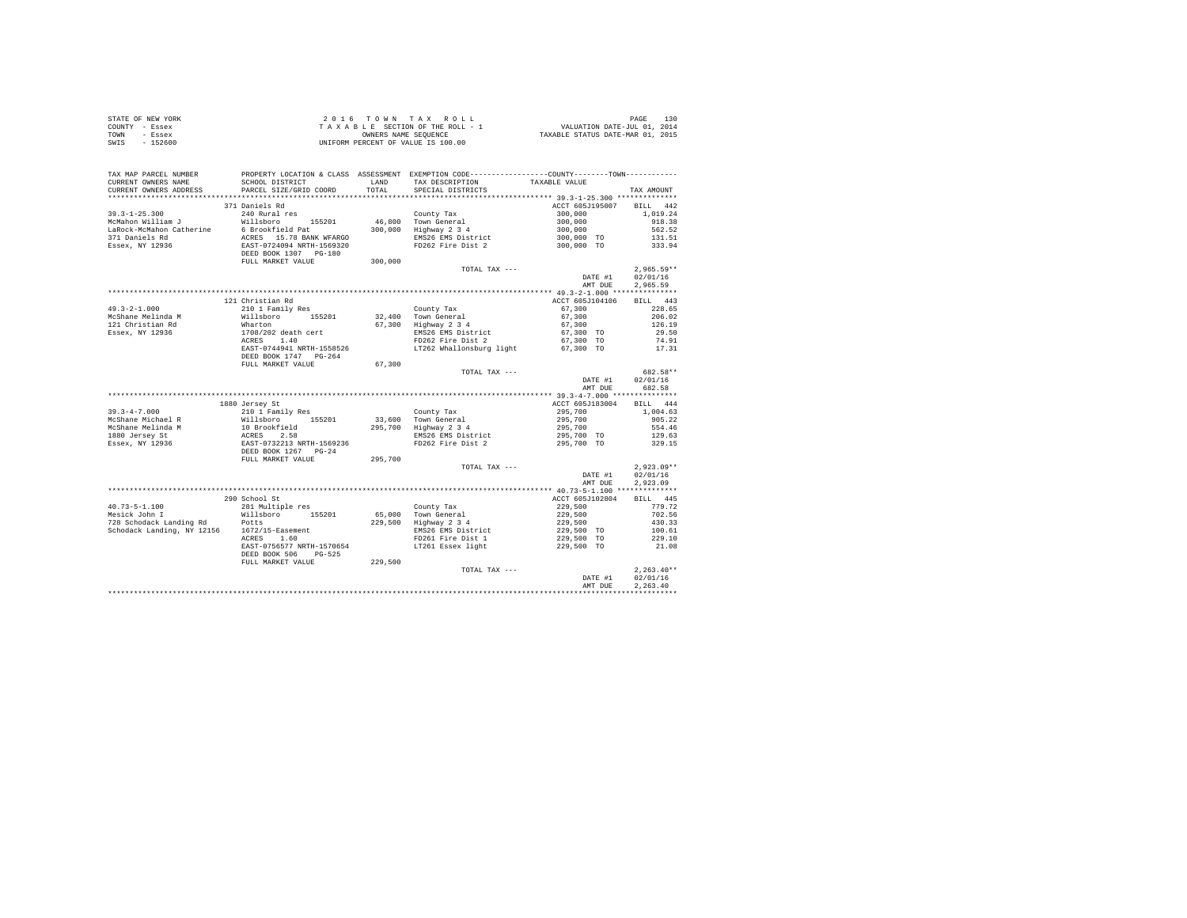|      | STATE OF NEW YORK | 2016 TOWN TAX ROLL                 | 130<br>PAGE                      |
|------|-------------------|------------------------------------|----------------------------------|
|      | COUNTY - Essex    | TAXABLE SECTION OF THE ROLL - 1    | VALUATION DATE-JUL 01, 2014      |
| TOWN | - Essex           | OWNERS NAME SEOUENCE               | TAXABLE STATUS DATE-MAR 01, 2015 |
| SWIS | - 152600          | UNIFORM PERCENT OF VALUE IS 100.00 |                                  |

| TAX MAP PARCEL NUMBER<br>CURRENT OWNERS NAME<br>CURRENT OWNERS ADDRESS                 | PROPERTY LOCATION & CLASS ASSESSMENT EXEMPTION CODE---------------COUNTY-------TOWN----------<br>SCHOOL DISTRICT<br>PARCEL SIZE/GRID COORD | LAND<br>TOTAL. | TAX DESCRIPTION<br>SPECIAL DISTRICTS                                             | TAXABLE VALUE                                                    | TAX AMOUNT                                                   |
|----------------------------------------------------------------------------------------|--------------------------------------------------------------------------------------------------------------------------------------------|----------------|----------------------------------------------------------------------------------|------------------------------------------------------------------|--------------------------------------------------------------|
| *********************                                                                  | **************************                                                                                                                 |                |                                                                                  |                                                                  |                                                              |
| $39.3 - 1 - 25.300$<br>McMahon William J<br>LaRock-McMahon Catherine<br>371 Daniels Rd | 371 Daniels Rd<br>240 Rural res<br>Willsboro 155201<br>6 Brookfield Pat<br>ACRES 15.78 BANK WFARGO                                         |                | County Tax<br>46,800 Town General<br>300.000 Highway 2 3 4<br>EMS26 EMS District | ACCT 605J195007<br>300,000<br>300,000<br>300,000<br>$300,000$ TO | <b>BILL</b><br>442<br>1,019.24<br>918.38<br>562.52<br>131.51 |
| Essex, NY 12936                                                                        | EAST-0724094 NRTH-1569320<br>DEED BOOK 1307 PG-180<br>FULL MARKET VALUE                                                                    | 300,000        | FD262 Fire Dist 2<br>TOTAL TAX ---                                               | 300,000 TO<br>DATE #1                                            | 333.94<br>$2,965.59**$<br>02/01/16                           |
|                                                                                        |                                                                                                                                            |                |                                                                                  | AMT DUE                                                          | 2,965.59                                                     |
|                                                                                        |                                                                                                                                            |                |                                                                                  |                                                                  |                                                              |
| $49.3 - 2 - 1.000$                                                                     | 121 Christian Rd<br>210 1 Family Res                                                                                                       |                | County Tax                                                                       | ACCT 605J104106<br>67,300                                        | BILL 443<br>228.65                                           |
| McShane Melinda M<br>121 Christian Rd                                                  | Willsboro 155201<br>Wharton                                                                                                                |                | 32.400 Town General<br>67,300 Highway 2 3 4                                      | 67,300<br>67,300                                                 | 206.02<br>126.19                                             |
| Essex, NY 12936                                                                        | 1708/202 death cert<br>ACRES 1.40<br>EAST-0744941 NRTH-1558526<br>DEED BOOK 1747 PG-264                                                    |                | EMS26 EMS District<br>FD262 Fire Dist 2<br>LT262 Whallonsburg light              | 67,300 TO<br>67,300 TO<br>67,300 TO                              | 29.50<br>74.91<br>17.31                                      |
|                                                                                        | FULL MARKET VALUE                                                                                                                          | 67,300         |                                                                                  |                                                                  |                                                              |
|                                                                                        |                                                                                                                                            |                | TOTAL TAX ---                                                                    |                                                                  | 682.58**                                                     |
|                                                                                        |                                                                                                                                            |                |                                                                                  | DATE #1                                                          | 02/01/16                                                     |
|                                                                                        |                                                                                                                                            |                |                                                                                  | AMT DUE                                                          | 682.58                                                       |
|                                                                                        |                                                                                                                                            |                |                                                                                  |                                                                  |                                                              |
|                                                                                        | 1880 Jersey St                                                                                                                             |                |                                                                                  | ACCT 605J183004                                                  | BILL 444                                                     |
| $39.3 - 4 - 7.000$                                                                     | 210 1 Family Res                                                                                                                           |                | County Tax                                                                       | 295,700                                                          | 1,004.63                                                     |
| McShane Michael R                                                                      | Willsboro 155201                                                                                                                           |                | 33,600 Town General                                                              | 295,700                                                          | 905.22                                                       |
| McShane Melinda M                                                                      | 10 Brookfield                                                                                                                              |                | 295,700 Highway 2 3 4                                                            | 295,700                                                          | 554.46                                                       |
| 1880 Jersey St                                                                         |                                                                                                                                            |                | EMS26 EMS District                                                               | 295,700 TO                                                       | 129.63                                                       |
| Essex, NY 12936                                                                        | ACRES 2.58<br>EAST-0732213 NRTH-1569236<br>DEED BOOK 1267 PG-24                                                                            |                | FD262 Fire Dist 2                                                                | 295,700 TO                                                       | 329.15                                                       |
|                                                                                        | FULL MARKET VALUE                                                                                                                          | 295,700        |                                                                                  |                                                                  |                                                              |
|                                                                                        |                                                                                                                                            |                | TOTAL TAX ---                                                                    |                                                                  | $2.923.09**$                                                 |
|                                                                                        |                                                                                                                                            |                |                                                                                  | DATE #1<br>AMT DUE                                               | 02/01/16<br>2.923.09                                         |
|                                                                                        |                                                                                                                                            |                |                                                                                  |                                                                  |                                                              |
|                                                                                        | 290 School St                                                                                                                              |                |                                                                                  | ACCT 605J102804                                                  | BILL 445                                                     |
| $40.73 - 5 - 1.100$                                                                    | 281 Multiple res                                                                                                                           |                | County Tax                                                                       |                                                                  | 779.72                                                       |
| Mesick John I                                                                          | Willsboro<br>155201                                                                                                                        |                | 65,000 Town General                                                              | 229,500<br>229,500                                               | 702.56                                                       |
| 728 Schodack Landing Rd                                                                | Potts                                                                                                                                      |                | 229,500 Highway 2 3 4                                                            | 229,500                                                          | 430.33                                                       |
| Schodack Landing, NY 12156                                                             | 1672/15-Easement                                                                                                                           |                | EMS26 EMS District                                                               | 229,500 TO                                                       | 100.61                                                       |
|                                                                                        | ACRES 1.60                                                                                                                                 |                | FD261 Fire Dist 1                                                                | 229,500 TO                                                       | 229.10                                                       |
|                                                                                        | EAST-0756577 NRTH-1570654<br>DEED BOOK 506<br>$PG-525$                                                                                     |                | LT261 Essex light                                                                | 229,500 TO                                                       | 21.08                                                        |
|                                                                                        | FULL MARKET VALUE                                                                                                                          | 229,500        |                                                                                  |                                                                  |                                                              |
|                                                                                        |                                                                                                                                            |                | TOTAL TAX ---                                                                    | DATE #1                                                          | $2.263.40**$<br>02/01/16                                     |
|                                                                                        |                                                                                                                                            |                |                                                                                  | AMT DUE                                                          | 2.263.40                                                     |
|                                                                                        |                                                                                                                                            |                |                                                                                  |                                                                  |                                                              |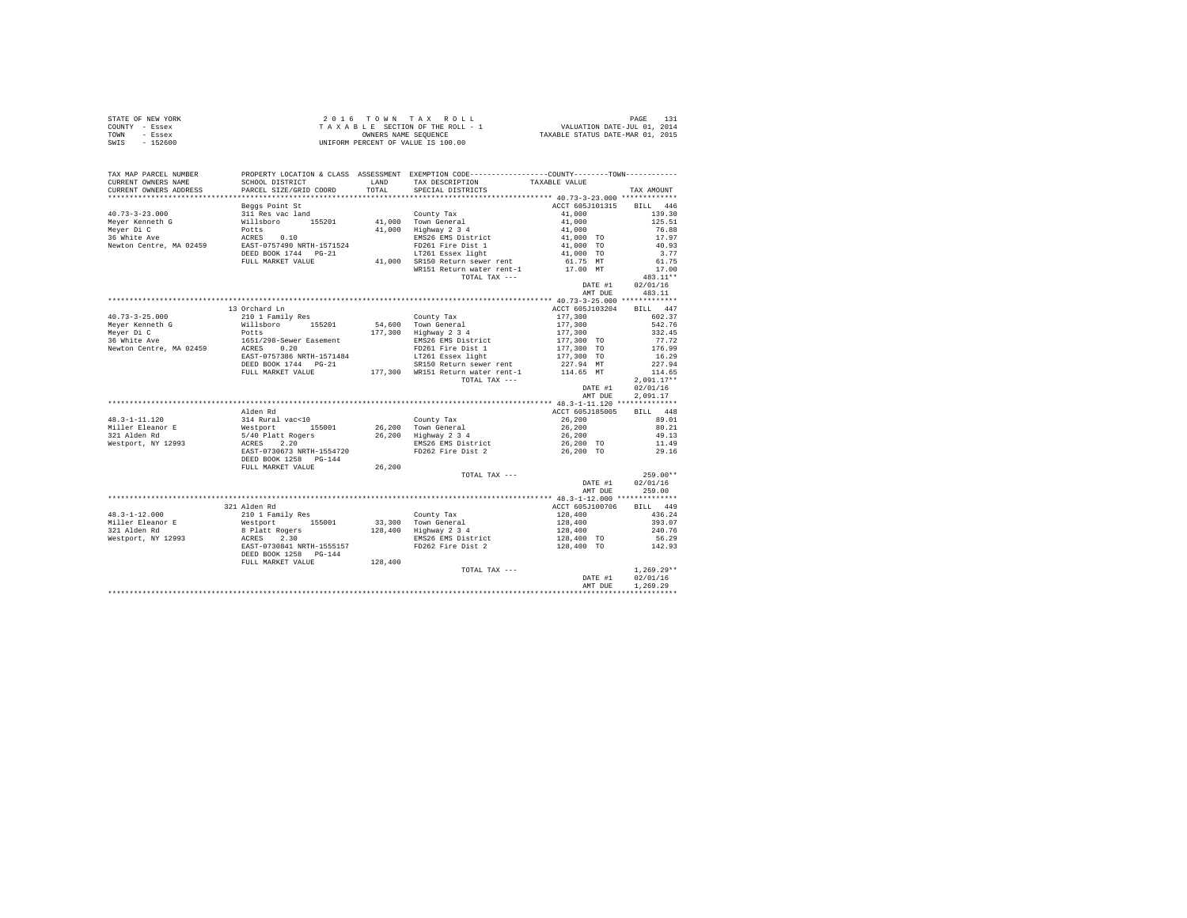|      | STATE OF NEW YORK | 2016 TOWN TAX ROLL                 | PAGE                             |
|------|-------------------|------------------------------------|----------------------------------|
|      | COUNTY - Essex    | TAXABLE SECTION OF THE ROLL - 1    | VALUATION DATE-JUL 01, 2014      |
| TOWN | - Essex           | OWNERS NAME SEOUENCE               | TAXABLE STATUS DATE-MAR 01, 2015 |
| SWIS | - 152600          | UNIFORM PERCENT OF VALUE IS 100.00 |                                  |

| TAX MAP PARCEL NUMBER                                                                                                                                                                                                                     |                                                                                                                                                                                                                                   |         | PROPERTY LOCATION & CLASS ASSESSMENT EXEMPTION CODE---------------COUNTY-------TOWN--------- |                                                                            |                      |
|-------------------------------------------------------------------------------------------------------------------------------------------------------------------------------------------------------------------------------------------|-----------------------------------------------------------------------------------------------------------------------------------------------------------------------------------------------------------------------------------|---------|----------------------------------------------------------------------------------------------|----------------------------------------------------------------------------|----------------------|
| CURRENT OWNERS NAME                                                                                                                                                                                                                       | SCHOOL DISTRICT                                                                                                                                                                                                                   |         | LAND TAX DESCRIPTION<br>TOTAL SPECIAL DISTRICTS                                              | TAXABLE VALUE                                                              |                      |
| CURRENT OWNERS ADDRESS                                                                                                                                                                                                                    | PARCEL SIZE/GRID COORD                                                                                                                                                                                                            |         |                                                                                              |                                                                            | TAX AMOUNT           |
|                                                                                                                                                                                                                                           |                                                                                                                                                                                                                                   |         |                                                                                              |                                                                            |                      |
|                                                                                                                                                                                                                                           | Beggs Point St                                                                                                                                                                                                                    |         |                                                                                              | ACCT 605J101315 BILL 446                                                   |                      |
|                                                                                                                                                                                                                                           |                                                                                                                                                                                                                                   |         | County Tax                                                                                   | 41,000                                                                     | 139.30               |
|                                                                                                                                                                                                                                           |                                                                                                                                                                                                                                   |         | 41,000 Town General<br>41,000 Highway 2 3 4                                                  |                                                                            | 125.51               |
|                                                                                                                                                                                                                                           |                                                                                                                                                                                                                                   |         |                                                                                              |                                                                            | 76.88                |
| 40.73-3-23.000<br>Meyer Kenneth G (Willsboro 155201)<br>Meyer Di C (Willsboro 155201)<br>Mewhon Centre, MA 02459 (RCRES 0.10<br>Newton Centre, MA 02459 (RCRES 0.10<br>Newton Centre, MA 02459 (RCRES 0.10<br>Newton Centre, MA 02459 (RC |                                                                                                                                                                                                                                   |         | EMS26 EMS District<br>FD261 Fire Dist 1                                                      | $41,000$<br>$41,000$<br>$41,000$ TO<br>$41,000$ TO<br>$41,000$ TO          | 17.97                |
|                                                                                                                                                                                                                                           |                                                                                                                                                                                                                                   |         |                                                                                              |                                                                            | 40.93                |
|                                                                                                                                                                                                                                           | DEED BOOK 1744 PG-21                                                                                                                                                                                                              |         | LT261 Essex light                                                                            |                                                                            | 3.77                 |
|                                                                                                                                                                                                                                           | FULL MARKET VALUE                                                                                                                                                                                                                 |         | 41,000 SR150 Return sewer rent                                                               | 61.75 MT<br>17.00 MT                                                       | 61.75                |
|                                                                                                                                                                                                                                           |                                                                                                                                                                                                                                   |         | WR151 Return water rent-1                                                                    |                                                                            | 17.00                |
|                                                                                                                                                                                                                                           |                                                                                                                                                                                                                                   |         | TOTAL TAX ---                                                                                |                                                                            | 483.11**             |
|                                                                                                                                                                                                                                           |                                                                                                                                                                                                                                   |         |                                                                                              | DATE #1                                                                    | 02/01/16             |
|                                                                                                                                                                                                                                           |                                                                                                                                                                                                                                   |         |                                                                                              | AMT DUE                                                                    | 483.11               |
|                                                                                                                                                                                                                                           |                                                                                                                                                                                                                                   |         |                                                                                              |                                                                            |                      |
|                                                                                                                                                                                                                                           | 13 Orchard Ln                                                                                                                                                                                                                     |         |                                                                                              | ACCT 605J103204                                                            | BILL 447             |
| $40.73 - 3 - 25.000$                                                                                                                                                                                                                      | 210 1 Family Res                                                                                                                                                                                                                  |         | County Tax                                                                                   | 177,300                                                                    | 602.37               |
| Meyer Kenneth G                                                                                                                                                                                                                           | willsboro 155201<br>Potts 1651/298-Sewer Easement                                                                                                                                                                                 |         | 54,600 Town General<br>177,300 Highway 2 3 4                                                 | 177,300<br>177,300                                                         | 542.76               |
| Mever Di C                                                                                                                                                                                                                                |                                                                                                                                                                                                                                   |         |                                                                                              |                                                                            | 332.45               |
| 36 White Ave                                                                                                                                                                                                                              | ACRES 0.20                                                                                                                                                                                                                        |         | EMS26 EMS District                                                                           | 177,300 TO                                                                 | 77.72<br>176.99      |
| Newton Centre, MA 02459                                                                                                                                                                                                                   |                                                                                                                                                                                                                                   |         | FD261 Fire Dist 1                                                                            | 177,300 TO                                                                 |                      |
|                                                                                                                                                                                                                                           | EAST-0757386 NRTH-1571484                                                                                                                                                                                                         |         | LT261 Essex light                                                                            | 177,300 TO                                                                 | 16.29                |
|                                                                                                                                                                                                                                           | DEED BOOK 1744 PG-21                                                                                                                                                                                                              |         | SR150 Return sewer rent<br>FULL MARKET VALUE 177,300 WR151 Return water rent-1               | 227.94 MT<br>114.65 MT                                                     | 227.94               |
|                                                                                                                                                                                                                                           |                                                                                                                                                                                                                                   |         | TOTAL TAX ---                                                                                |                                                                            | 114.65               |
|                                                                                                                                                                                                                                           |                                                                                                                                                                                                                                   |         |                                                                                              |                                                                            | $2.091.17**$         |
|                                                                                                                                                                                                                                           |                                                                                                                                                                                                                                   |         |                                                                                              | DATE #1<br>AMT DUE                                                         | 02/01/16<br>2.091.17 |
|                                                                                                                                                                                                                                           |                                                                                                                                                                                                                                   |         |                                                                                              |                                                                            |                      |
|                                                                                                                                                                                                                                           | Alden Rd                                                                                                                                                                                                                          |         |                                                                                              | ACCT 605J185005                                                            | BILL 448             |
| $48.3 - 1 - 11.120$                                                                                                                                                                                                                       |                                                                                                                                                                                                                                   |         |                                                                                              | 26,200                                                                     | 89.01                |
|                                                                                                                                                                                                                                           |                                                                                                                                                                                                                                   |         | County Tax                                                                                   |                                                                            | 80.21                |
| Miller Eleanor E<br>321 Alden Rd                                                                                                                                                                                                          |                                                                                                                                                                                                                                   |         | 26,200 Town General<br>26,200 Highway 2 3 4                                                  | 26,200<br>26,200                                                           | 49.13                |
| Westport, NY 12993                                                                                                                                                                                                                        |                                                                                                                                                                                                                                   |         |                                                                                              |                                                                            | 11.49                |
|                                                                                                                                                                                                                                           | EAST-0730673 NRTH-1554720                                                                                                                                                                                                         |         | EMS26 EMS District $26,200$ TO<br>FD262 Fire Dist 2 26,200 TO                                |                                                                            | 29.16                |
|                                                                                                                                                                                                                                           | DEED BOOK 1258 PG-144                                                                                                                                                                                                             |         |                                                                                              |                                                                            |                      |
|                                                                                                                                                                                                                                           | FULL MARKET VALUE                                                                                                                                                                                                                 | 26,200  |                                                                                              |                                                                            |                      |
|                                                                                                                                                                                                                                           |                                                                                                                                                                                                                                   |         | TOTAL TAX ---                                                                                |                                                                            | $259.00**$           |
|                                                                                                                                                                                                                                           |                                                                                                                                                                                                                                   |         |                                                                                              | DATE #1                                                                    | 02/01/16             |
|                                                                                                                                                                                                                                           |                                                                                                                                                                                                                                   |         |                                                                                              | AMT DUE                                                                    | 259.00               |
|                                                                                                                                                                                                                                           |                                                                                                                                                                                                                                   |         |                                                                                              |                                                                            |                      |
|                                                                                                                                                                                                                                           | 321 Alden Rd                                                                                                                                                                                                                      |         |                                                                                              | ACCT 605J100706                                                            | BILL 449             |
| $48.3 - 1 - 12.000$                                                                                                                                                                                                                       | % 21 Aldem Ramily Res (2011)<br>Westport (2016) 23,300 Town General<br>8 Platt Rogers (2016) 23,300 Town General<br>8 Platt Rogers (2018) 28,400 Highway 234<br>ACRES 2.30 EMSZ6 EMS DESIGN ENGL PLATTE-1555157 PD262 Fire Dist 2 |         |                                                                                              | 128,400                                                                    | 436.24               |
|                                                                                                                                                                                                                                           |                                                                                                                                                                                                                                   |         |                                                                                              | 128,400                                                                    | 393.07               |
| Miller Eleanor E<br>321 Alden Rd<br>Westport, NY 12993                                                                                                                                                                                    |                                                                                                                                                                                                                                   |         |                                                                                              |                                                                            | 240.76               |
|                                                                                                                                                                                                                                           |                                                                                                                                                                                                                                   |         |                                                                                              | $128,400$<br>$128,400$ TO                                                  | 56.29                |
|                                                                                                                                                                                                                                           |                                                                                                                                                                                                                                   |         | FD262 Fire Dist 2                                                                            | 128,400 TO                                                                 | 142.93               |
|                                                                                                                                                                                                                                           | DEED BOOK 1258 PG-144                                                                                                                                                                                                             |         |                                                                                              |                                                                            |                      |
|                                                                                                                                                                                                                                           | FULL MARKET VALUE                                                                                                                                                                                                                 | 128,400 |                                                                                              |                                                                            |                      |
|                                                                                                                                                                                                                                           |                                                                                                                                                                                                                                   |         | TOTAL TAX ---                                                                                |                                                                            | $1,269.29**$         |
|                                                                                                                                                                                                                                           |                                                                                                                                                                                                                                   |         |                                                                                              | $\begin{minipage}{.4\linewidth} \textbf{DATE} &\textbf{#1} \end{minipage}$ | 02/01/16             |
|                                                                                                                                                                                                                                           |                                                                                                                                                                                                                                   |         |                                                                                              | AMT DUE                                                                    | 1,269.29             |
|                                                                                                                                                                                                                                           |                                                                                                                                                                                                                                   |         |                                                                                              |                                                                            |                      |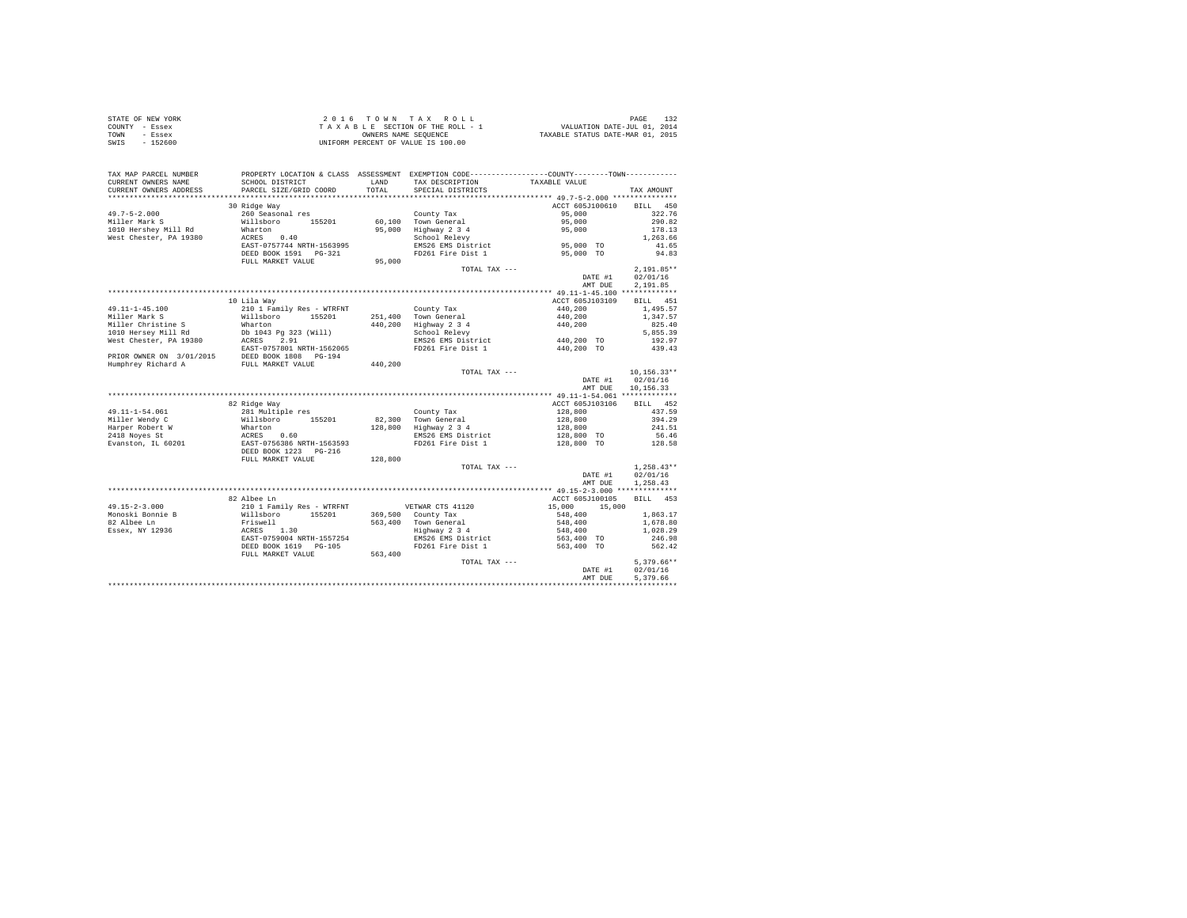| STATE OF NEW YORK | 2016 TOWN TAX ROLL                 | PAGE                             |
|-------------------|------------------------------------|----------------------------------|
| COUNTY - Essex    | TAXABLE SECTION OF THE ROLL - 1    | VALUATION DATE-JUL 01, 2014      |
| TOWN<br>- Essex   | OWNERS NAME SEOUENCE               | TAXABLE STATUS DATE-MAR 01, 2015 |
| $-152600$<br>SWIS | UNIFORM PERCENT OF VALUE IS 100.00 |                                  |

| TAX MAP PARCEL NUMBER<br>CURRENT OWNERS NAME      | SCHOOL DISTRICT                                                                                                                                                                                                                         |         | PROPERTY LOCATION & CLASS ASSESSMENT EXEMPTION CODE----------------COUNTY--------TOWN----------<br>LAND TAX DESCRIPTION | TAXABLE VALUE                     |                          |
|---------------------------------------------------|-----------------------------------------------------------------------------------------------------------------------------------------------------------------------------------------------------------------------------------------|---------|-------------------------------------------------------------------------------------------------------------------------|-----------------------------------|--------------------------|
| CURRENT OWNERS ADDRESS                            | PARCEL SIZE/GRID COORD                                                                                                                                                                                                                  |         | TOTAL SPECIAL DISTRICTS                                                                                                 |                                   | TAX AMOUNT               |
|                                                   |                                                                                                                                                                                                                                         |         |                                                                                                                         |                                   |                          |
|                                                   | 30 Ridge Way                                                                                                                                                                                                                            |         |                                                                                                                         | ACCT 605J100610                   | BILL 450                 |
| $49.7 - 5 - 2.000$                                |                                                                                                                                                                                                                                         |         |                                                                                                                         | 95,000                            | 322.76                   |
| Miller Mark S                                     |                                                                                                                                                                                                                                         |         |                                                                                                                         | 95,000                            | 290.82                   |
| 1010 Hershey Mill Rd                              | Wharton<br>Wharton<br>ACRES 0.40                                                                                                                                                                                                        |         | 95,000 Highway 2 3 4<br>School Relevy                                                                                   | 95,000                            | 178.13                   |
| West Chester, PA 19380                            |                                                                                                                                                                                                                                         |         | EMS26 EMS District<br>EMS26 EMS District 55,000 TO                                                                      |                                   | 1,263.66                 |
|                                                   | EAST-0757744 NRTH-1563995                                                                                                                                                                                                               |         |                                                                                                                         |                                   | 41.65                    |
|                                                   | DEED BOOK 1591    PG-321                                                                                                                                                                                                                |         | FD261 Fire Dist 1                                                                                                       | 95,000 TO                         | 94.83                    |
|                                                   | FULL MARKET VALUE                                                                                                                                                                                                                       | 95,000  |                                                                                                                         |                                   |                          |
|                                                   |                                                                                                                                                                                                                                         |         | TOTAL TAX ---                                                                                                           | DATE #1                           | $2,191.85**$<br>02/01/16 |
|                                                   |                                                                                                                                                                                                                                         |         |                                                                                                                         | AMT DUE                           | 2,191.85                 |
|                                                   |                                                                                                                                                                                                                                         |         |                                                                                                                         |                                   |                          |
|                                                   | 10 Lila Wav                                                                                                                                                                                                                             |         |                                                                                                                         | ACCT 605J103109                   | BILL 451                 |
|                                                   | 210 1 Family Res - WTRFNT                                                                                                                                                                                                               |         |                                                                                                                         | 440,200                           | 1,495.57                 |
| 49.11-1-45.100<br>Miller Mark S                   |                                                                                                                                                                                                                                         |         | County Tax<br>251,400 Town General                                                                                      |                                   |                          |
|                                                   |                                                                                                                                                                                                                                         |         |                                                                                                                         | 440,200<br>$440,200$<br>$440,200$ | 1,347.57<br>825.40       |
|                                                   |                                                                                                                                                                                                                                         |         | 440,200 Highway 2 3 4<br>School Relevy                                                                                  |                                   | 5,855.39                 |
|                                                   | Miller Christine State Milleboro 155201 251,400<br>Miller Christine State Whatcom 155201 440,200<br>1000 Hersey Mill Rd Db 1043 Pg 323 (Will)<br>1000 Hersey Pail Rd Db 1043 Pg 323 (Will)<br>1000 Hersey Pail Rock 2,91<br>1000 Hersey |         | EMS26 EMS District 440,200 TO                                                                                           |                                   | 192.97                   |
|                                                   |                                                                                                                                                                                                                                         |         | FD261 Fire Dist 1                                                                                                       | 440,200 TO                        | 439.43                   |
|                                                   |                                                                                                                                                                                                                                         |         |                                                                                                                         |                                   |                          |
|                                                   | PRIOR OWNER ON 3/01/2015 DEED BOOK 1808 PG-194<br>Humphrey Richard A FULL MARKET VALUE                                                                                                                                                  | 440,200 |                                                                                                                         |                                   |                          |
|                                                   |                                                                                                                                                                                                                                         |         | TOTAL TAX ---                                                                                                           |                                   | $10, 156.33**$           |
|                                                   |                                                                                                                                                                                                                                         |         |                                                                                                                         | DATE #1 02/01/16                  |                          |
|                                                   |                                                                                                                                                                                                                                         |         |                                                                                                                         | AMT DUE                           | 10,156.33                |
|                                                   |                                                                                                                                                                                                                                         |         |                                                                                                                         |                                   |                          |
|                                                   | 82 Ridge Way                                                                                                                                                                                                                            |         |                                                                                                                         | ACCT 605J103106                   | BILL 452                 |
| 49.11-1-54.061                                    |                                                                                                                                                                                                                                         |         | County Tax                                                                                                              |                                   | 437.59                   |
| Miller Wendy C                                    | 22 Analys Ray<br>281 Multiple res<br>Willsboro<br>Mharton<br>ACRES<br>EAST-0756386 NRTH-1563593<br>DEED BOOK 1223 PG-216                                                                                                                |         | 82.300 Town General                                                                                                     | $128,800$<br>$128,800$            | 394.29                   |
|                                                   |                                                                                                                                                                                                                                         |         | 128,800 Highway 2 3 4                                                                                                   | 128,800                           | 241.51                   |
| Harper Robert W<br>2418 Noves St<br>2418 Noves St |                                                                                                                                                                                                                                         |         | EMS26 EMS District                                                                                                      | $128,800$ TO                      | 56.46                    |
| Evanston, IL 60201                                |                                                                                                                                                                                                                                         |         | FD261 Fire Dist 1                                                                                                       | 128,800 TO                        | 128.58                   |
|                                                   |                                                                                                                                                                                                                                         |         |                                                                                                                         |                                   |                          |
|                                                   | FULL MARKET VALUE                                                                                                                                                                                                                       | 128,800 |                                                                                                                         |                                   |                          |
|                                                   |                                                                                                                                                                                                                                         |         | TOTAL TAX ---                                                                                                           |                                   | $1,258.43**$             |
|                                                   |                                                                                                                                                                                                                                         |         |                                                                                                                         | DATE #1                           | 02/01/16                 |
|                                                   |                                                                                                                                                                                                                                         |         |                                                                                                                         | AMT DUE                           | 1,258.43                 |
|                                                   |                                                                                                                                                                                                                                         |         |                                                                                                                         |                                   |                          |
|                                                   | 82 Albee Ln                                                                                                                                                                                                                             |         |                                                                                                                         | ACCT 605J100105 BILL 453          |                          |
|                                                   |                                                                                                                                                                                                                                         |         |                                                                                                                         | 15,000 15,000                     |                          |
|                                                   |                                                                                                                                                                                                                                         |         |                                                                                                                         | 548,400                           | 1,863.17                 |
|                                                   |                                                                                                                                                                                                                                         |         |                                                                                                                         | 548,400                           | 1,678.80                 |
|                                                   |                                                                                                                                                                                                                                         |         | 563,400 Town General<br>Highway 2 3 4                                                                                   | 548,400                           | 1,028.29                 |
|                                                   |                                                                                                                                                                                                                                         |         | EMS26 EMS District                                                                                                      | 563,400 TO                        | 246.98                   |
|                                                   | DEED BOOK 1619 PG-105                                                                                                                                                                                                                   |         | FD261 Fire Dist 1 563,400 TO                                                                                            |                                   | 562.42                   |
|                                                   | FULL MARKET VALUE                                                                                                                                                                                                                       | 563,400 |                                                                                                                         |                                   |                          |
|                                                   |                                                                                                                                                                                                                                         |         | TOTAL TAX ---                                                                                                           |                                   | $5,379.66**$             |
|                                                   |                                                                                                                                                                                                                                         |         |                                                                                                                         | DATE #1                           | 02/01/16                 |
|                                                   |                                                                                                                                                                                                                                         |         |                                                                                                                         | AMT DUE                           | 5,379.66                 |
|                                                   |                                                                                                                                                                                                                                         |         |                                                                                                                         |                                   |                          |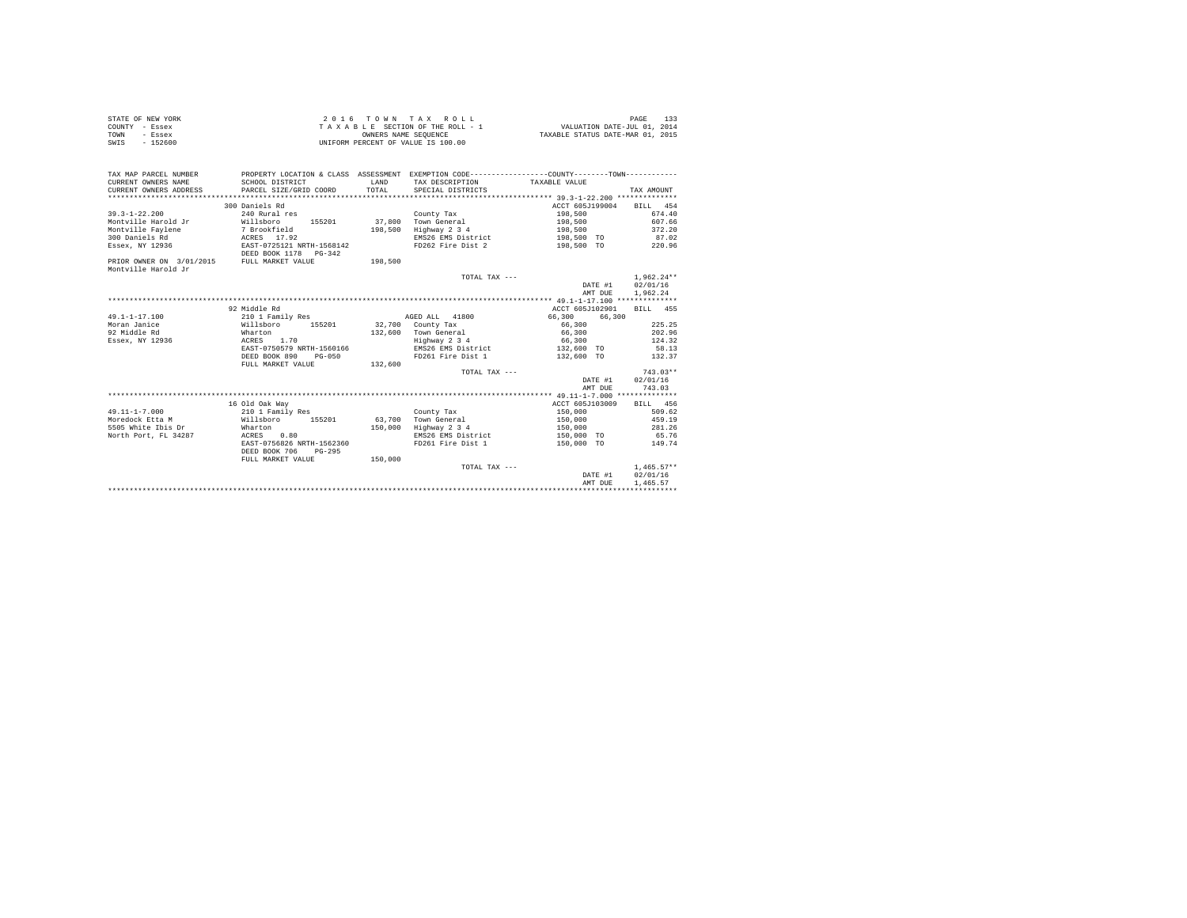|                | STATE OF NEW YORK | 2016 TOWN TAX ROLL                 | PAGE                             |
|----------------|-------------------|------------------------------------|----------------------------------|
| COUNTY - Essex |                   | TAXABLE SECTION OF THE ROLL - 1    | VALUATION DATE-JUL 01, 2014      |
| TOWN           | - Essex           | OWNERS NAME SEOUENCE               | TAXABLE STATUS DATE-MAR 01, 2015 |
| SWIS           | $-152600$         | UNIFORM PERCENT OF VALUE IS 100.00 |                                  |

| TAX MAP PARCEL NUMBER                      |                                      |         | PROPERTY LOCATION & CLASS ASSESSMENT EXEMPTION CODE----------------COUNTY-------TOWN---------- |                          |              |
|--------------------------------------------|--------------------------------------|---------|------------------------------------------------------------------------------------------------|--------------------------|--------------|
|                                            | 300 Daniels Rd                       |         |                                                                                                | ACCT 605J199004 BILL 454 |              |
| $39.3 - 1 - 22.200$                        | 240 Rural res                        |         | County Tax                                                                                     | 198,500                  | 674.40       |
| Montville Harold Jr                        | Willsboro 155201                     | 37,800  | Town General                                                                                   | 198,500 607.66           |              |
| Montville Faylene                          |                                      | 198,500 | Highway 2 3 4                                                                                  | 198,500                  | 372.20       |
| 300 Daniels Rd                             | 7 Brookfield<br>ACRES 17.92          |         | EMS26 EMS District                                                                             | 198,500 TO               | 87.02        |
| Essex, NY 12936                            | EAST-0725121 NRTH-1568142            |         | FD262 Fire Dist 2                                                                              | 198.500 TO 220.96        |              |
|                                            | DEED BOOK 1178   PG-342              |         |                                                                                                |                          |              |
| PRIOR OWNER ON 3/01/2015 FULL MARKET VALUE |                                      | 198,500 |                                                                                                |                          |              |
| Montville Harold Jr                        |                                      |         |                                                                                                |                          |              |
|                                            |                                      |         | TOTAL TAX ---                                                                                  |                          | $1.962.24**$ |
|                                            |                                      |         |                                                                                                | DATE #1 02/01/16         |              |
|                                            |                                      |         |                                                                                                | AMT DUE                  | 1,962.24     |
|                                            |                                      |         |                                                                                                |                          |              |
|                                            | 92 Middle Rd                         |         |                                                                                                | ACCT 605J102901          | BILL 455     |
| $49.1 - 1 - 17.100$                        | 210 1 Family Res                     |         | AGED ALL 41800                                                                                 | 66,300 66,300            |              |
| Moran Janice                               | Willsboro 155201<br>Wharton          |         | 32,700 County Tax                                                                              |                          | 225.25       |
| 92 Middle Rd                               |                                      |         | 132,600 Town General                                                                           | 66,300<br>66,300         | 202.96       |
| Essex, NY 12936 ACRES                      | 1.70                                 |         | Highway 2 3 4                                                                                  | 66.300 124.32            |              |
|                                            | EAST-0750579 NRTH-1560166            |         | EMS26 EMS District 132,600 TO 58.13                                                            |                          |              |
|                                            | DEED BOOK 890<br>$PG-050$            |         | FD261 Fire Dist 1                                                                              | 132,600 TO               | 132.37       |
|                                            | FULL MARKET VALUE 132,600            |         |                                                                                                |                          |              |
|                                            |                                      |         | TOTAL TAX ---                                                                                  |                          | $743.03**$   |
|                                            |                                      |         |                                                                                                | DATE #1                  | 02/01/16     |
|                                            |                                      |         |                                                                                                | AMT DUE                  | 743.03       |
|                                            |                                      |         |                                                                                                |                          |              |
|                                            | 16 Old Oak Way                       |         |                                                                                                | ACCT 605J103009 BILL 456 |              |
| $49.11 - 1 - 7.000$                        | 210 1 Family Res                     |         | County Tax                                                                                     | 150,000                  | 509.62       |
| Moredock Etta M                            | willsboro 155201 63,700 Town General |         |                                                                                                | $150 \, , \, 000$        | 459.19       |
| 5505 White Ibis Dr Wharton                 |                                      | 150,000 | Highway 2 3 4                                                                                  | 150.000 281.26           |              |
| North Port, FL 34287<br>ACRES              | 0.80                                 |         | EMS26 EMS District                                                                             | 150,000 TO 65.76         |              |
|                                            | EAST-0756826 NRTH-1562360            |         | FD261 Fire Dist 1                                                                              | 150,000 TO 149.74        |              |
|                                            | DEED BOOK 706<br>$PG-295$            |         |                                                                                                |                          |              |
|                                            | FULL MARKET VALUE                    | 150,000 |                                                                                                |                          |              |
|                                            |                                      |         | TOTAL TAX ---                                                                                  |                          | $1.465.57**$ |
|                                            |                                      |         |                                                                                                | DATE #1 02/01/16         |              |
|                                            |                                      |         |                                                                                                | AMT DUE                  | 1,465.57     |
|                                            |                                      |         |                                                                                                |                          |              |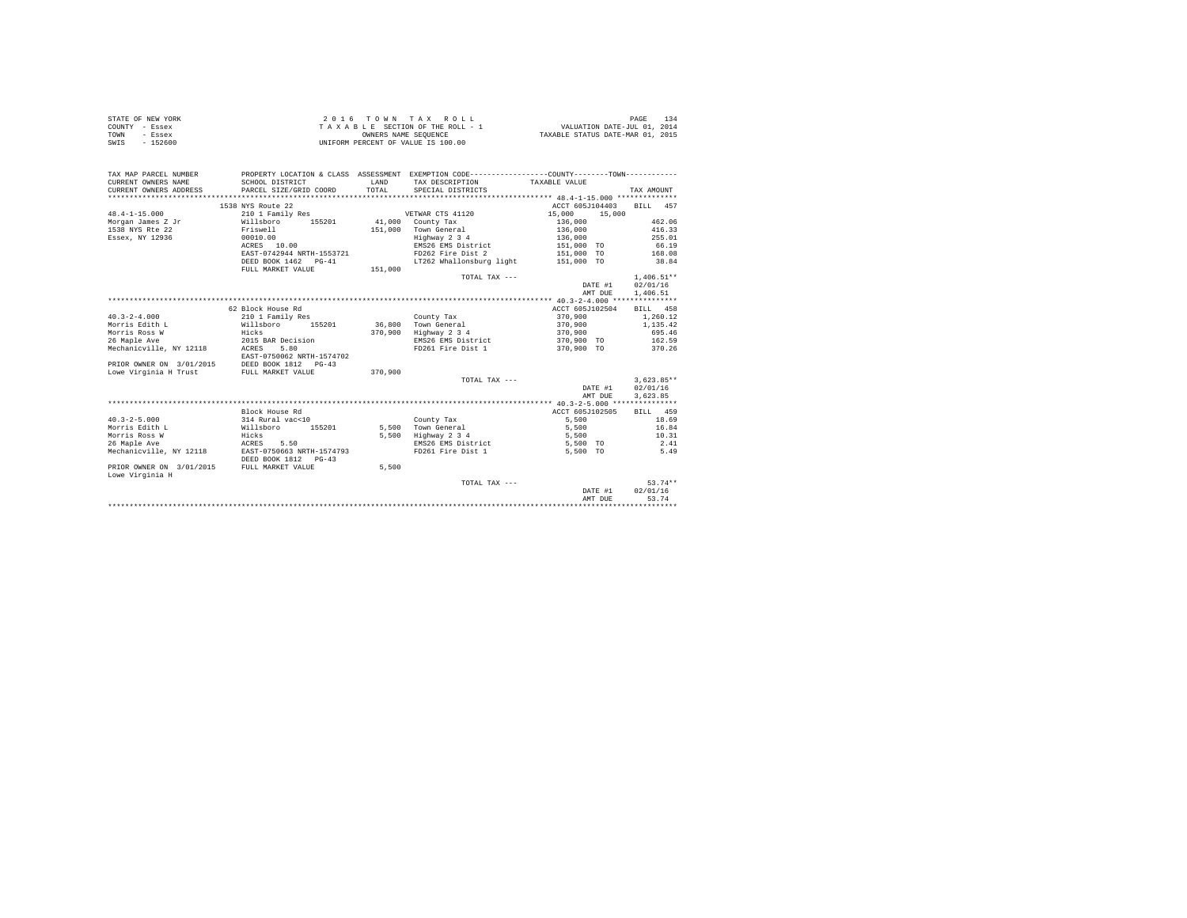| STATE OF NEW YORK | 2016 TOWN TAX ROLL                 | 134<br>PAGE                      |
|-------------------|------------------------------------|----------------------------------|
| COUNTY - Essex    | TAXABLE SECTION OF THE ROLL - 1    | VALUATION DATE-JUL 01, 2014      |
| TOWN<br>- Essex   | OWNERS NAME SEOUENCE               | TAXABLE STATUS DATE-MAR 01, 2015 |
| SWIS<br>$-152600$ | UNIFORM PERCENT OF VALUE IS 100.00 |                                  |

| TAX MAP PARCEL NUMBER<br>CURRENT OWNERS NAME<br>CURRENT OWNERS ADDRESS | SCHOOL DISTRICT<br>PARCEL SIZE/GRID COORD | <b>T.AND</b><br>TOTAL | PROPERTY LOCATION & CLASS ASSESSMENT EXEMPTION CODE---------------COUNTY-------TOWN---------<br>TAX DESCRIPTION<br>SPECIAL DISTRICTS | TAXABLE VALUE    | TAX AMOUNT   |
|------------------------------------------------------------------------|-------------------------------------------|-----------------------|--------------------------------------------------------------------------------------------------------------------------------------|------------------|--------------|
|                                                                        | 1538 NYS Route 22                         |                       |                                                                                                                                      | ACCT 605J104403  | BILL 457     |
| $48.4 - 1 - 15.000$                                                    | 210 1 Family Res                          |                       | VETWAR CTS 41120                                                                                                                     | 15,000<br>15,000 |              |
| Morgan James Z Jr                                                      | Willsboro 155201                          |                       | 41,000 County Tax                                                                                                                    | 136,000          | 462.06       |
| 1538 NYS Rte 22                                                        | Friswell                                  | 151,000               | Town General                                                                                                                         | 136,000          | 416.33       |
| Essex, NY 12936                                                        | 00010.00                                  |                       | Highway 2 3 4                                                                                                                        | 136,000          | 255.01       |
|                                                                        | ACRES 10.00                               |                       | EMS26 EMS District                                                                                                                   | 151,000 TO       | 66.19        |
|                                                                        | EAST-0742944 NRTH-1553721                 |                       | FD262 Fire Dist 2                                                                                                                    | 151,000 TO       | 168.08       |
|                                                                        | DEED BOOK 1462 PG-41                      |                       | LT262 Whallonsburg light 151,000 TO                                                                                                  |                  | 38.84        |
|                                                                        |                                           |                       |                                                                                                                                      |                  |              |
|                                                                        | FULL MARKET VALUE                         | 151,000               |                                                                                                                                      |                  | $1.406.51**$ |
|                                                                        |                                           |                       | TOTAL TAX ---                                                                                                                        |                  | 02/01/16     |
|                                                                        |                                           |                       |                                                                                                                                      | DATE #1          |              |
|                                                                        |                                           |                       |                                                                                                                                      | AMT DUE          | 1,406.51     |
|                                                                        |                                           |                       |                                                                                                                                      |                  |              |
|                                                                        | 62 Block House Rd                         |                       |                                                                                                                                      | ACCT 605J102504  | BILL 458     |
| $40.3 - 2 - 4.000$                                                     | 210 1 Family Res                          |                       | County Tax                                                                                                                           | 370,900          | 1,260.12     |
| Morris Edith L                                                         | Willsboro<br>155201                       |                       | 36.800 Town General                                                                                                                  | 370,900          | 1,135.42     |
| Morris Ross W                                                          | Hicks                                     |                       | 370,900 Highway 2 3 4                                                                                                                | 370,900          | 695.46       |
| 26 Maple Ave                                                           | 2015 BAR Decision                         |                       | EMS26 EMS District                                                                                                                   | 370,900 TO       | 162.59       |
| Mechanicville, NY 12118                                                | ACRES<br>5.80                             |                       | FD261 Fire Dist 1 370,900 TO 370.26                                                                                                  |                  |              |
|                                                                        | EAST-0750062 NRTH-1574702                 |                       |                                                                                                                                      |                  |              |
| PRIOR OWNER ON 3/01/2015                                               | DEED BOOK 1812 PG-43                      |                       |                                                                                                                                      |                  |              |
| Lowe Virginia H Trust                                                  | FULL MARKET VALUE                         | 370,900               |                                                                                                                                      |                  |              |
|                                                                        |                                           |                       | TOTAL TAX ---                                                                                                                        |                  | $3.623.85**$ |
|                                                                        |                                           |                       |                                                                                                                                      | DATE #1          | 02/01/16     |
|                                                                        |                                           |                       |                                                                                                                                      | AMT DUE          | 3,623.85     |
|                                                                        |                                           |                       |                                                                                                                                      |                  |              |
|                                                                        | Block House Rd                            |                       |                                                                                                                                      | ACCT 605J102505  | BILL 459     |
| $40.3 - 2 - 5.000$                                                     | 314 Rural vac<10                          |                       | County Tax                                                                                                                           | 5,500            | 18.69        |
| Morris Edith L                                                         | Willsboro<br>155201                       |                       | 5.500 Town General                                                                                                                   | 5,500            | 16.84        |
| Morris Ross W                                                          | Hicks                                     | 5,500                 | Highway 2 3 4                                                                                                                        | 5,500            | 10.31        |
| 26 Maple Ave                                                           | ACRES 5.50                                |                       | EMS26 EMS District                                                                                                                   | 5,500 TO         | 2.41         |
| Mechanicville, NY 12118                                                | EAST-0750663 NRTH-1574793                 |                       | FD261 Fire Dist 1                                                                                                                    | 5,500 TO         | 5.49         |
|                                                                        | DEED BOOK 1812 PG-43                      |                       |                                                                                                                                      |                  |              |
| PRIOR OWNER ON 3/01/2015                                               | FULL MARKET VALUE                         | 5,500                 |                                                                                                                                      |                  |              |
| Lowe Virginia H                                                        |                                           |                       |                                                                                                                                      |                  |              |
|                                                                        |                                           |                       | TOTAL TAX ---                                                                                                                        |                  | $53.74**$    |
|                                                                        |                                           |                       |                                                                                                                                      | DATE #1          | 02/01/16     |
|                                                                        |                                           |                       |                                                                                                                                      | AMT DUE          | 53.74        |
|                                                                        |                                           |                       |                                                                                                                                      |                  |              |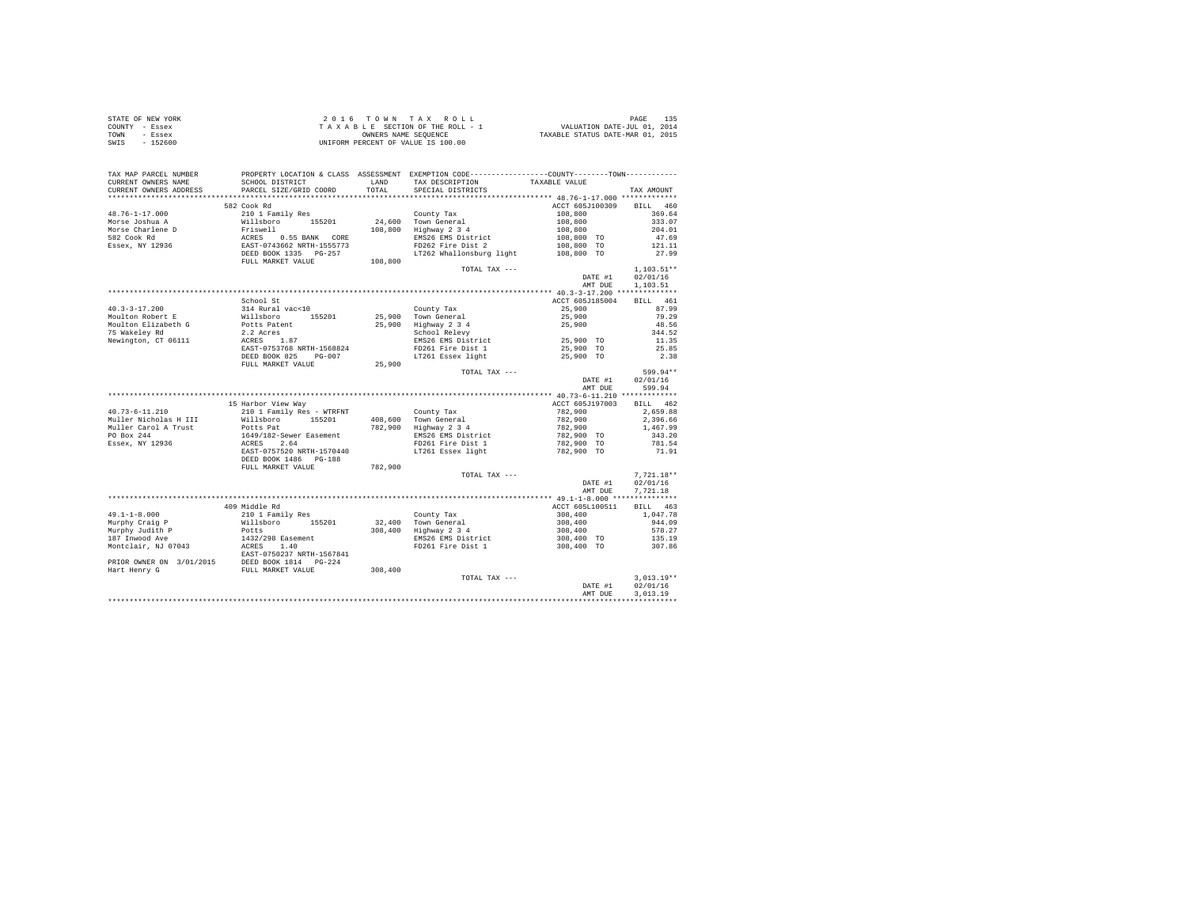| STATE OF NEW YORK | 2016 TOWN TAX ROLL                 | PAGE                             |
|-------------------|------------------------------------|----------------------------------|
| COUNTY - Essex    | TAXABLE SECTION OF THE ROLL - 1    | VALUATION DATE-JUL 01, 2014      |
| TOWN<br>- Essex   | OWNERS NAME SEOUENCE               | TAXABLE STATUS DATE-MAR 01, 2015 |
| $-152600$<br>SWIS | UNIFORM PERCENT OF VALUE IS 100.00 |                                  |

| TAX MAP PARCEL NUMBER<br>CURRENT OWNERS NAME<br>CURRENT OWNERS ADDRESS           | PROPERTY LOCATION & CLASS ASSESSMENT EXEMPTION CODE---------------COUNTY-------TOWN---------<br>SCHOOL DISTRICT<br>PARCEL SIZE/GRID COORD | LAND<br>TOTAL. | TAX DESCRIPTION<br>SPECIAL DISTRICTS | TAXABLE VALUE   | TAX AMOUNT   |
|----------------------------------------------------------------------------------|-------------------------------------------------------------------------------------------------------------------------------------------|----------------|--------------------------------------|-----------------|--------------|
|                                                                                  |                                                                                                                                           |                |                                      |                 |              |
|                                                                                  | 582 Cook Rd                                                                                                                               |                |                                      | ACCT 605J100309 | BILL 460     |
| $48.76 - 1 - 17.000$                                                             | 210 1 Family Res                                                                                                                          |                | County Tax                           | 108,800         | 369.64       |
| Morse Joshua A                                                                   |                                                                                                                                           |                | 24,600 Town General                  | 108,800         | 333.07       |
| Morse Charlene D                                                                 | Willsboro 155201<br>Friswell                                                                                                              | 108,800        | $Highway$ 2 3 4                      | 108,800         | 204.01       |
| 582 Cook Rd                                                                      |                                                                                                                                           |                | EMS26 EMS District                   | 108,800 TO      | 47.69        |
| Essex, NY 12936                                                                  |                                                                                                                                           |                | FD262 Fire Dist 2                    | 108,800 TO      | 121.11       |
|                                                                                  | ACRES 0.55 BANK CORE<br>EAST-0743662 NRTH-1555773<br>DEED BOOK 1335 PG-257<br>FULL MARKET VALUE                                           | 108,800        | LT262 Whallonsburg light             | 108,800 TO      | 27.99        |
|                                                                                  |                                                                                                                                           |                | TOTAL TAX ---                        |                 | $1.103.51**$ |
|                                                                                  |                                                                                                                                           |                |                                      | DATE #1         | 02/01/16     |
|                                                                                  |                                                                                                                                           |                |                                      | AMT DUE         | 1,103.51     |
|                                                                                  |                                                                                                                                           |                |                                      |                 |              |
|                                                                                  | School St                                                                                                                                 |                |                                      | ACCT 605J185004 | BILL 461     |
| $40.3 - 3 - 17.200$                                                              | 314 Rural vac<10                                                                                                                          |                | County Tax                           | 25,900          | 87.99        |
| Moulton Robert E                                                                 | Willsboro 155201                                                                                                                          |                | 25,900 Town General                  | 25,900          | 79.29        |
| Moulton Elizabeth G                                                              | Potts Patent                                                                                                                              |                | 25,900 Highway 2 3 4                 | 25,900          | 48.56        |
| 75 Wakeley Rd                                                                    | 2.2 Acres                                                                                                                                 |                | School Relevy                        |                 | 344.52       |
| Newington, CT 06111                                                              | ACRES 1.87                                                                                                                                |                | EMS26 EMS District                   | 25,900 TO       | 11.35        |
|                                                                                  | EAST-0753768 NRTH-1568824                                                                                                                 |                | FD261 Fire Dist 1                    | 25,900 TO       | 25.85        |
|                                                                                  | DEED BOOK 825<br>PG-007                                                                                                                   |                | LT261 Essex light                    | 25,900 TO       | 2.38         |
|                                                                                  | FULL MARKET VALUE                                                                                                                         | 25,900         |                                      |                 |              |
|                                                                                  |                                                                                                                                           |                | TOTAL TAX ---                        |                 | 599.94**     |
|                                                                                  |                                                                                                                                           |                |                                      | DATE #1         | 02/01/16     |
|                                                                                  |                                                                                                                                           |                |                                      | AMT DUE         | 599.94       |
|                                                                                  |                                                                                                                                           |                |                                      | ACCT 605J197003 | BILL 462     |
| $40.73 - 6 - 11.210$                                                             | 15 Harbor View Way<br>210 1 Family Res - WTRFNT                                                                                           |                |                                      | 782,900         | 2,659.88     |
| Muller Nicholas H III                                                            | Willsboro 155201                                                                                                                          |                | County Tax<br>408.600 Town General   | 782,900         | 2.396.66     |
| Muller Carol A Trust                                                             | Potts Pat                                                                                                                                 |                | 782,900 Highway 2 3 4                | 782,900         | 1,467.99     |
| PO Box 244                                                                       | 1649/182-Sewer Easement                                                                                                                   |                | EMS26 EMS District                   | 782,900 TO      | 343.20       |
| Essex, NY 12936                                                                  | ACRES 2.64                                                                                                                                |                | FD261 Fire Dist 1                    | 782,900 TO      | 781.54       |
|                                                                                  | EAST-0757520 NRTH-1570440                                                                                                                 |                | LT261 Essex light                    | 782,900 TO      | 71.91        |
|                                                                                  | DEED BOOK 1486 PG-188                                                                                                                     |                |                                      |                 |              |
|                                                                                  | FULL MARKET VALUE                                                                                                                         | 782,900        |                                      |                 |              |
|                                                                                  |                                                                                                                                           |                | TOTAL TAX ---                        |                 | $7.721.18**$ |
|                                                                                  |                                                                                                                                           |                |                                      | DATE #1         | 02/01/16     |
|                                                                                  |                                                                                                                                           |                |                                      | AMT DUE         | 7,721.18     |
|                                                                                  |                                                                                                                                           |                |                                      |                 |              |
|                                                                                  | 409 Middle Rd                                                                                                                             |                |                                      | ACCT 605L100511 | BILL 463     |
| $49.1 - 1 - 8.000$                                                               | 210 1 Family Res                                                                                                                          |                | County Tax                           | 308,400         | 1,047.78     |
| Murphy Craig P                                                                   | Willsboro 155201                                                                                                                          |                | 32,400 Town General                  | 308,400         | 944.09       |
| Murphy Judith P                                                                  | Potts                                                                                                                                     |                | 308,400 Highway 2 3 4                | 308,400         | 578.27       |
| 187 Inwood Ave                                                                   |                                                                                                                                           |                | EMS26 EMS District                   | 308,400 TO      | 135.19       |
| Montclair, NJ 07043                                                              | 1432/298 Easement<br>ACRES 1.40                                                                                                           |                | FD261 Fire Dist 1                    | 308,400 TO      | 307.86       |
|                                                                                  | EAST-0750237 NRTH-1567841                                                                                                                 |                |                                      |                 |              |
| PRIOR OWNER ON 3/01/2015 DEED BOOK 1814 PG-224<br>Hart Henry G FULL MARKET VALUE |                                                                                                                                           |                |                                      |                 |              |
|                                                                                  |                                                                                                                                           | 308,400        |                                      |                 |              |
|                                                                                  |                                                                                                                                           |                | TOTAL TAX ---                        |                 | $3,013.19**$ |
|                                                                                  |                                                                                                                                           |                |                                      | DATE #1         | 02/01/16     |
|                                                                                  |                                                                                                                                           |                |                                      | AMT DUE         | 3,013.19     |
|                                                                                  |                                                                                                                                           |                |                                      |                 |              |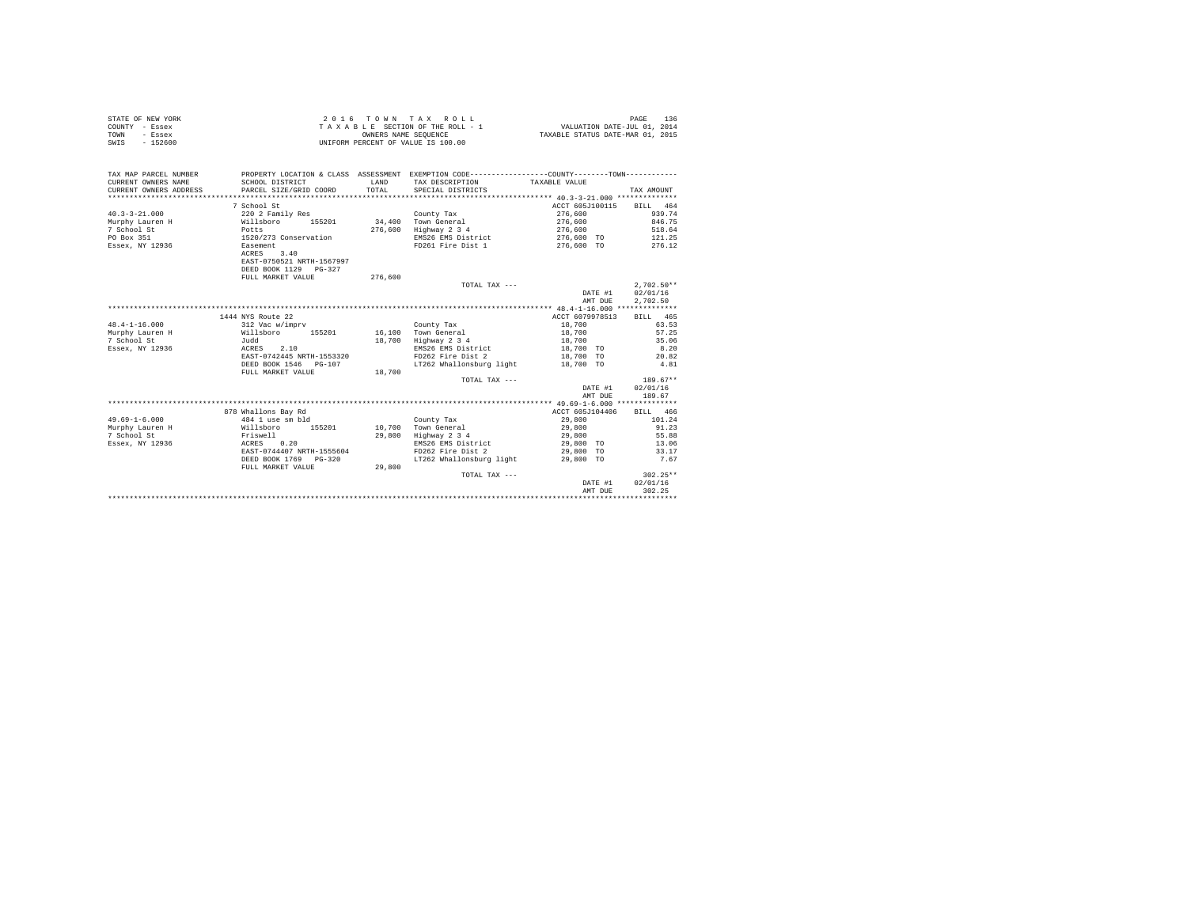|      | STATE OF NEW YORK | 2016 TOWN TAX ROLL                 | 136<br>PAGE                      |
|------|-------------------|------------------------------------|----------------------------------|
|      | COUNTY - Essex    | TAXABLE SECTION OF THE ROLL - 1    | VALUATION DATE-JUL 01, 2014      |
| TOWN | - Essex           | OWNERS NAME SEOUENCE               | TAXABLE STATUS DATE-MAR 01, 2015 |
| SWIS | - 152600          | UNIFORM PERCENT OF VALUE IS 100.00 |                                  |

| TAX MAP PARCEL NUMBER<br>CURRENT OWNERS NAME<br>CURRENT OWNERS ADDRESS | SCHOOL DISTRICT<br>PARCEL SIZE/GRID COORD | <b>T.AND</b><br>TOTAL | PROPERTY LOCATION & CLASS ASSESSMENT EXEMPTION CODE---------------COUNTY-------TOWN---------<br>TAX DESCRIPTION<br>SPECIAL DISTRICTS | TAXABLE VALUE      | TAX AMOUNT   |
|------------------------------------------------------------------------|-------------------------------------------|-----------------------|--------------------------------------------------------------------------------------------------------------------------------------|--------------------|--------------|
|                                                                        | 7 School St                               |                       |                                                                                                                                      | ACCT 605J100115    | BILL 464     |
| $40.3 - 3 - 21.000$                                                    | 220 2 Family Res                          |                       | County Tax                                                                                                                           | 276,600            | 939.74       |
| Murphy Lauren H                                                        | Willsboro<br>155201                       |                       | 34,400 Town General                                                                                                                  | 276,600            | 846.75       |
| 7 School St                                                            | Potts                                     | 276,600               | Highway 2 3 4                                                                                                                        | 276,600            | 518.64       |
| PO Box 351                                                             | 1520/273 Conservation                     |                       | EMS26 EMS District                                                                                                                   | 276.600 TO         | 121.25       |
| Essex, NY 12936                                                        | Easement                                  |                       | FD261 Fire Dist 1                                                                                                                    | 276,600 TO 276.12  |              |
|                                                                        | ACRES<br>3.40                             |                       |                                                                                                                                      |                    |              |
|                                                                        | EAST-0750521 NRTH-1567997                 |                       |                                                                                                                                      |                    |              |
|                                                                        | DEED BOOK 1129 PG-327                     |                       |                                                                                                                                      |                    |              |
|                                                                        | FULL MARKET VALUE                         | 276,600               |                                                                                                                                      |                    |              |
|                                                                        |                                           |                       | TOTAL TAX ---                                                                                                                        |                    | $2.702.50**$ |
|                                                                        |                                           |                       |                                                                                                                                      | DATE #1            | 02/01/16     |
|                                                                        |                                           |                       |                                                                                                                                      | AMT DUE            | 2.702.50     |
|                                                                        |                                           |                       |                                                                                                                                      |                    |              |
|                                                                        | 1444 NYS Route 22                         |                       |                                                                                                                                      | ACCT 6079978513    | BILL 465     |
| $48.4 - 1 - 16.000$                                                    | 312 Vac w/imprv                           |                       | County Tax                                                                                                                           | 18,700             | 63.53        |
| Murphy Lauren H                                                        | Willsboro<br>155201                       |                       | 16,100 Town General                                                                                                                  | 18,700             | 57.25        |
| 7 School St                                                            | Judd                                      | 18,700                | Highway 2 3 4                                                                                                                        | 18,700             | 35.06        |
| Essex, NY 12936                                                        | ACRES 2.10                                |                       | EMS26 EMS District                                                                                                                   | 18,700 TO          | 8.20         |
|                                                                        | EAST-0742445 NRTH-1553320                 |                       | FD262 Fire Dist 2                                                                                                                    | 18,700 TO          | 20.82        |
|                                                                        | DEED BOOK 1546 PG-107                     |                       | LT262 Whallonsburg light                                                                                                             | 18,700 TO          | 4.81         |
|                                                                        | FULL MARKET VALUE                         | 18,700                |                                                                                                                                      |                    |              |
|                                                                        |                                           |                       | TOTAL TAX ---                                                                                                                        |                    | 189.67**     |
|                                                                        |                                           |                       |                                                                                                                                      | DATE #1            | 02/01/16     |
|                                                                        |                                           |                       |                                                                                                                                      | AMT DUE            | 189.67       |
|                                                                        |                                           |                       |                                                                                                                                      |                    |              |
|                                                                        | 878 Whallons Bay Rd                       |                       |                                                                                                                                      | ACCT 605J104406    | BILL 466     |
| $49.69 - 1 - 6.000$                                                    | 484 1 use sm bld                          |                       | County Tax                                                                                                                           | 29,800             | 101.24       |
| Murphy Lauren H                                                        | Willsboro 155201                          |                       | 10,700 Town General                                                                                                                  | 29,800             | 91.23        |
| 7 School St                                                            | Friswell                                  | 29,800                | Highway 2 3 4                                                                                                                        | 29,800             | 55.88        |
| Essex, NY 12936                                                        | ACRES<br>0.20                             |                       | EMS26 EMS District                                                                                                                   | 29,800 TO          | 13.06        |
|                                                                        | EAST-0744407 NRTH-1555604                 |                       | FD262 Fire Dist 2                                                                                                                    | 29,800 TO          | 33.17        |
|                                                                        | DEED BOOK 1769 PG-320                     |                       | LT262 Whallonsburg light 29,800 TO                                                                                                   |                    | 7.67         |
|                                                                        | FULL MARKET VALUE                         | 29,800                |                                                                                                                                      |                    | $302.25**$   |
|                                                                        |                                           |                       | TOTAL TAX ---                                                                                                                        |                    | 02/01/16     |
|                                                                        |                                           |                       |                                                                                                                                      | DATE #1<br>AMT DUE | 302.25       |
|                                                                        |                                           |                       |                                                                                                                                      |                    |              |
|                                                                        |                                           |                       |                                                                                                                                      |                    |              |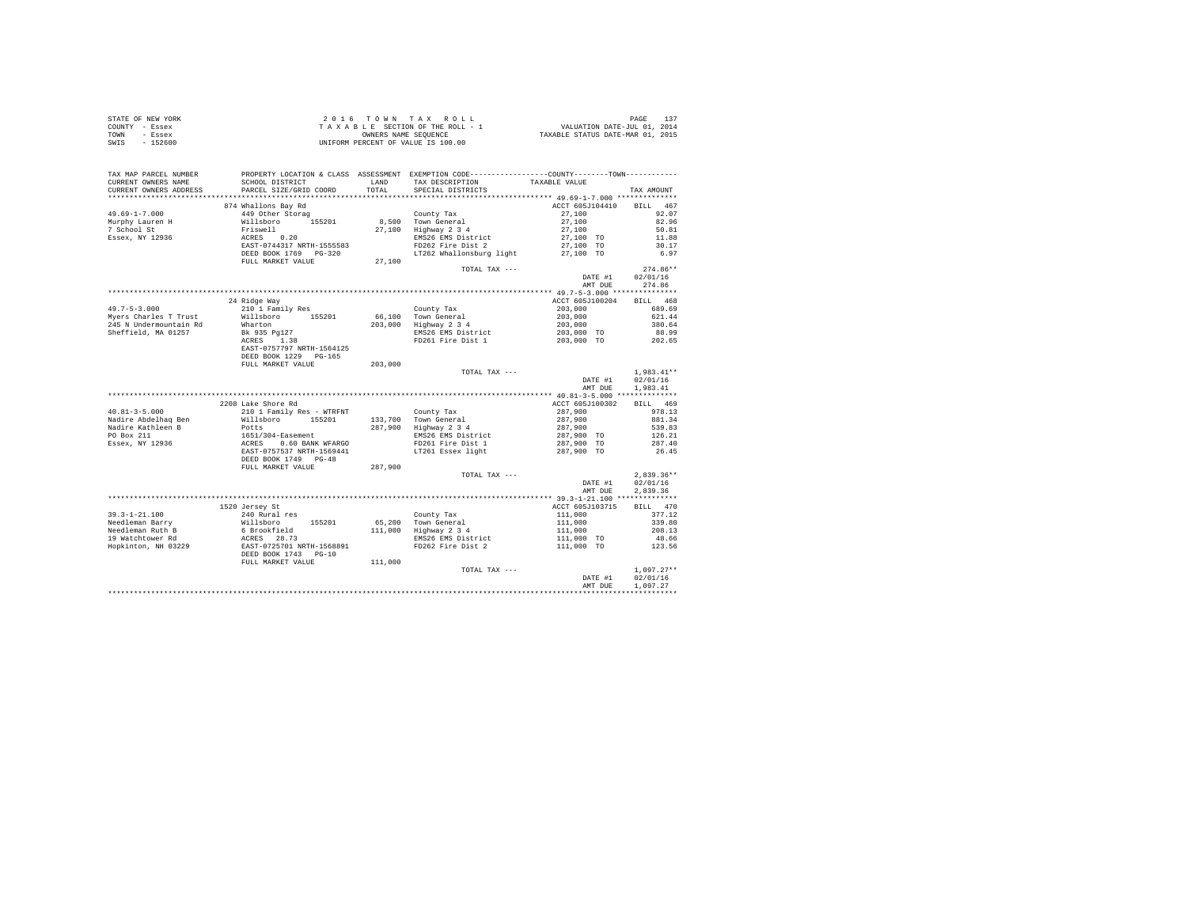|                | STATE OF NEW YORK | 2016 TOWN TAX ROLL                 |                                  | PAGE 137 |
|----------------|-------------------|------------------------------------|----------------------------------|----------|
| COUNTY - Essex |                   | TAXABLE SECTION OF THE ROLL - 1    | VALUATION DATE-JUL 01, 2014      |          |
| TOWN           | - Essex           | OWNERS NAME SEOUENCE               | TAXABLE STATUS DATE-MAR 01, 2015 |          |
| SWIS           | - 152600          | UNIFORM PERCENT OF VALUE IS 100.00 |                                  |          |
|                |                   |                                    |                                  |          |

| TAX MAP PARCEL NUMBER                             |                                                                                                                                                                                                                                        |         | PROPERTY LOCATION & CLASS ASSESSMENT EXEMPTION CODE---------------COUNTY-------TOWN--------- |                                                                                                            |                 |
|---------------------------------------------------|----------------------------------------------------------------------------------------------------------------------------------------------------------------------------------------------------------------------------------------|---------|----------------------------------------------------------------------------------------------|------------------------------------------------------------------------------------------------------------|-----------------|
| CURRENT OWNERS NAME                               | SCHOOL DISTRICT                                                                                                                                                                                                                        | LAND    | TAX DESCRIPTION                                                                              | TAXABLE VALUE                                                                                              |                 |
| CURRENT OWNERS ADDRESS                            | PARCEL SIZE/GRID COORD TOTAL SPECIAL DISTRICTS                                                                                                                                                                                         |         |                                                                                              |                                                                                                            | TAX AMOUNT      |
|                                                   |                                                                                                                                                                                                                                        |         |                                                                                              |                                                                                                            |                 |
|                                                   | 874 Whallons Bay Rd                                                                                                                                                                                                                    |         |                                                                                              | ACCT 605J104410 BILL 467                                                                                   |                 |
| $49.69 - 1 - 7.000$                               | 449 Other Storag                                                                                                                                                                                                                       |         | County Tax                                                                                   | $27,100$<br>$27,100$<br>$27,100$<br>$27,100$ TO                                                            | 92.07           |
|                                                   | 449 Otner storag<br>Friswell<br>Priswell<br>ACRES 0.20<br>EAST-0744317 NRTH-1555583                                                                                                                                                    |         | 8,500 Town General<br>27,100 Highway 2 3 4<br>EMS26 EMS District<br>FD262 Fire Dist 2        |                                                                                                            | 82.96           |
| Murphy Lauren H<br>7 School St<br>Essex, NY 12936 |                                                                                                                                                                                                                                        |         |                                                                                              |                                                                                                            | 50.81           |
|                                                   |                                                                                                                                                                                                                                        |         |                                                                                              |                                                                                                            | 11.88           |
|                                                   |                                                                                                                                                                                                                                        |         |                                                                                              | 27,100 TO                                                                                                  | 30.17           |
|                                                   | DEED BOOK 1769 PG-320                                                                                                                                                                                                                  |         | LT262 Whallonsburg light 27,100 TO                                                           |                                                                                                            | 6.97            |
|                                                   | FULL MARKET VALUE                                                                                                                                                                                                                      | 27,100  |                                                                                              |                                                                                                            |                 |
|                                                   |                                                                                                                                                                                                                                        |         | TOTAL TAX ---                                                                                |                                                                                                            | $274.86**$      |
|                                                   |                                                                                                                                                                                                                                        |         |                                                                                              | DATE #1                                                                                                    | 02/01/16        |
|                                                   |                                                                                                                                                                                                                                        |         |                                                                                              | AMT DUE                                                                                                    | 274.86          |
|                                                   |                                                                                                                                                                                                                                        |         |                                                                                              |                                                                                                            |                 |
|                                                   |                                                                                                                                                                                                                                        |         |                                                                                              | ACCT 605J100204 BILL 468                                                                                   |                 |
| $49.7 - 5 - 3.000$                                | 24 Ridge Way                                                                                                                                                                                                                           |         |                                                                                              |                                                                                                            |                 |
|                                                   | 210 1 Family Res<br>Willsboro 155201<br>Wharton<br>Bk 935 Pg127<br>ACRES 1.38                                                                                                                                                          |         | County Tax<br>66,100 Town General<br>203,000 Highway 2 3 4                                   | 203,000<br>203,000<br>203,000                                                                              | 689.69          |
| Myers Charles T Trust                             |                                                                                                                                                                                                                                        |         |                                                                                              |                                                                                                            | 621.44          |
| 245 N Undermountain Rd                            |                                                                                                                                                                                                                                        |         |                                                                                              |                                                                                                            | 380.64          |
| Sheffield, MA 01257                               |                                                                                                                                                                                                                                        |         | EMS 26 EMS District<br>EMS 203,000 TO<br>FD261 Fire Dist 1 203,000 TO                        |                                                                                                            | 88.99<br>202.65 |
|                                                   | ACRES 1.38                                                                                                                                                                                                                             |         |                                                                                              |                                                                                                            |                 |
|                                                   | EAST-0757797 NRTH-1564125                                                                                                                                                                                                              |         |                                                                                              |                                                                                                            |                 |
|                                                   | DEED BOOK 1229 PG-165                                                                                                                                                                                                                  |         |                                                                                              |                                                                                                            |                 |
|                                                   | FULL MARKET VALUE                                                                                                                                                                                                                      | 203,000 |                                                                                              |                                                                                                            |                 |
|                                                   |                                                                                                                                                                                                                                        |         | TOTAL TAX ---                                                                                |                                                                                                            | $1.983.41**$    |
|                                                   |                                                                                                                                                                                                                                        |         |                                                                                              | DATE #1                                                                                                    | 02/01/16        |
|                                                   |                                                                                                                                                                                                                                        |         |                                                                                              | AMT DUE                                                                                                    | 1.983.41        |
|                                                   |                                                                                                                                                                                                                                        |         |                                                                                              |                                                                                                            |                 |
|                                                   | 2208 Lake Shore Rd                                                                                                                                                                                                                     |         |                                                                                              | ACCT 605J100302 BILL 469                                                                                   |                 |
| $40.81 - 3 - 5.000$                               |                                                                                                                                                                                                                                        |         |                                                                                              |                                                                                                            | 978.13          |
| Nadire Abdelhaq Ben                               |                                                                                                                                                                                                                                        |         |                                                                                              |                                                                                                            |                 |
| Nadire Kathleen B                                 | 200 Marc Junus Rue – WIRFNT (2001)<br>210 James – Milley Marc – Milles (2001)<br>2011 – Milles – Marc – Milles – Milles – Milles – Politik<br>2017,900 – Mighway 234                                                                   |         |                                                                                              | 287,900<br>287,900<br>287,900                                                                              |                 |
| PO Box 211                                        | XIO I Family Res – WTRENT (NOT TREE 287,900<br>Willisboro 155201 133,700 Town General 287,900 599.83<br>Potts (287,900 139,700 Town General 287,900 539.83<br>1651/304-Easement EMS26 EMS District 287,900 TO 126.21<br>1651/304-Easem |         |                                                                                              |                                                                                                            |                 |
| Essex, NY 12936                                   |                                                                                                                                                                                                                                        |         |                                                                                              |                                                                                                            |                 |
|                                                   |                                                                                                                                                                                                                                        |         |                                                                                              |                                                                                                            |                 |
|                                                   |                                                                                                                                                                                                                                        |         |                                                                                              |                                                                                                            |                 |
|                                                   | FULL MARKET VALUE                                                                                                                                                                                                                      | 287,900 |                                                                                              |                                                                                                            |                 |
|                                                   |                                                                                                                                                                                                                                        |         | TOTAL TAX ---                                                                                |                                                                                                            | $2.839.36**$    |
|                                                   |                                                                                                                                                                                                                                        |         |                                                                                              | DATE #1                                                                                                    | 02/01/16        |
|                                                   |                                                                                                                                                                                                                                        |         |                                                                                              | AMT DUE                                                                                                    | 2.839.36        |
|                                                   |                                                                                                                                                                                                                                        |         |                                                                                              |                                                                                                            |                 |
|                                                   | 1520 Jersey St                                                                                                                                                                                                                         |         |                                                                                              | ACCT 605J103715 BILL 470                                                                                   |                 |
|                                                   |                                                                                                                                                                                                                                        |         |                                                                                              |                                                                                                            | 377.12          |
|                                                   |                                                                                                                                                                                                                                        |         |                                                                                              | $\begin{array}{r} 111\,,000\\ 111\,,000\\ 111\,,000\\ 111\,,000\\ 111\,,000\quad \, \text{TO} \end{array}$ |                 |
|                                                   |                                                                                                                                                                                                                                        |         |                                                                                              |                                                                                                            | 339.80          |
|                                                   |                                                                                                                                                                                                                                        |         |                                                                                              |                                                                                                            | 208.13          |
|                                                   |                                                                                                                                                                                                                                        |         |                                                                                              |                                                                                                            | 48.66           |
|                                                   |                                                                                                                                                                                                                                        |         |                                                                                              | 111,000 TO                                                                                                 | 123.56          |
|                                                   |                                                                                                                                                                                                                                        |         |                                                                                              |                                                                                                            |                 |
|                                                   | FULL MARKET VALUE                                                                                                                                                                                                                      | 111,000 |                                                                                              |                                                                                                            |                 |
|                                                   |                                                                                                                                                                                                                                        |         | TOTAL TAX ---                                                                                |                                                                                                            | $1.097.27**$    |
|                                                   |                                                                                                                                                                                                                                        |         |                                                                                              | DATE #1                                                                                                    | 02/01/16        |
|                                                   |                                                                                                                                                                                                                                        |         |                                                                                              | AMT DUE                                                                                                    | 1,097.27        |
|                                                   |                                                                                                                                                                                                                                        |         |                                                                                              |                                                                                                            |                 |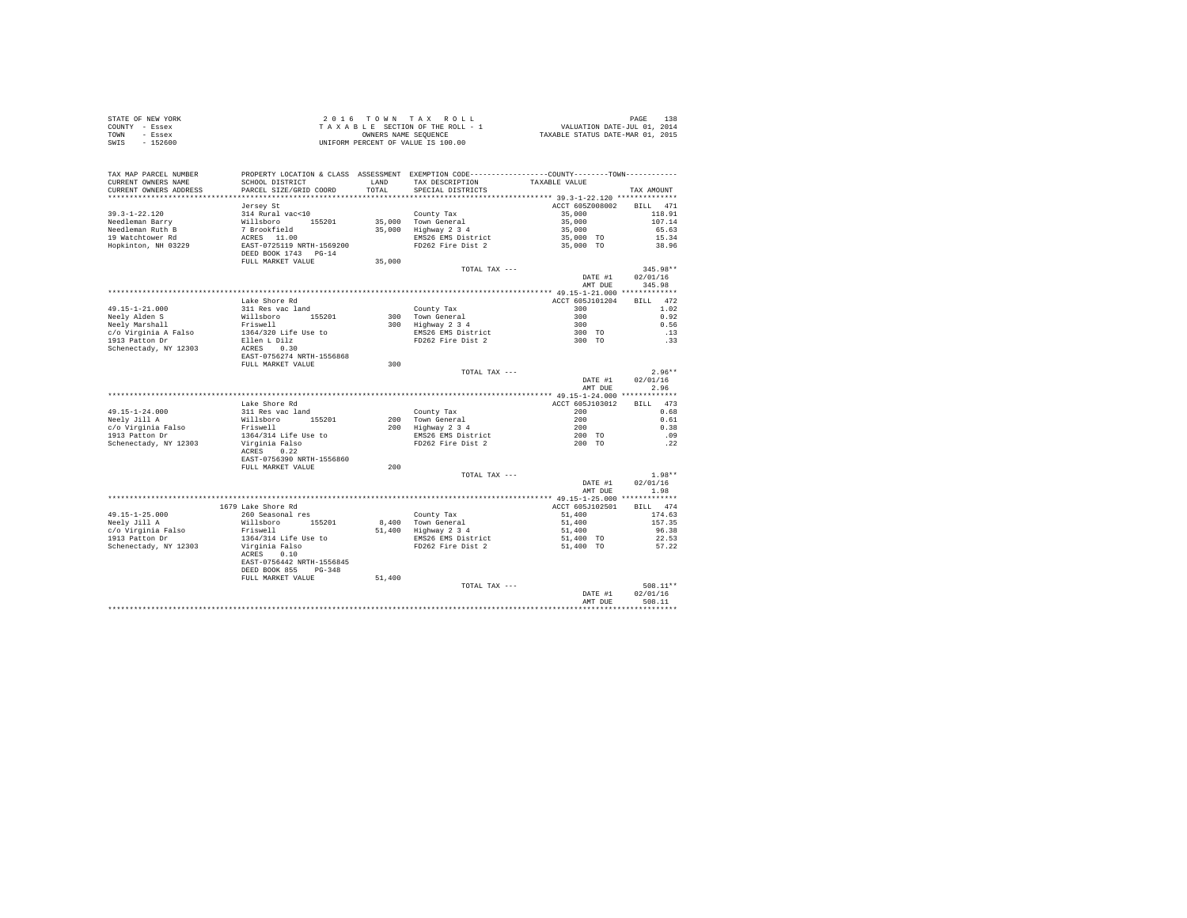| STATE OF NEW YORK | 2016 TOWN TAX ROLL                 | 138<br>PAGE                      |
|-------------------|------------------------------------|----------------------------------|
| COUNTY - Essex    | TAXABLE SECTION OF THE ROLL - 1    | VALUATION DATE-JUL 01, 2014      |
| TOWN<br>- Essex   | OWNERS NAME SEOUENCE               | TAXABLE STATUS DATE-MAR 01, 2015 |
| - 152600<br>SWIS  | UNIFORM PERCENT OF VALUE IS 100.00 |                                  |

| TAX MAP PARCEL NUMBER<br>CURRENT OWNERS NAME<br>CURRENT OWNERS ADDRESS | SCHOOL DISTRICT<br>PARCEL SIZE/GRID COORD                                              | LAND<br>TOTAL    | PROPERTY LOCATION & CLASS ASSESSMENT EXEMPTION CODE----------------COUNTY-------TOWN----------<br>TAX DESCRIPTION<br>SPECIAL DISTRICTS | TAXABLE VALUE                         | TAX AMOUNT                     |
|------------------------------------------------------------------------|----------------------------------------------------------------------------------------|------------------|----------------------------------------------------------------------------------------------------------------------------------------|---------------------------------------|--------------------------------|
|                                                                        |                                                                                        |                  |                                                                                                                                        |                                       |                                |
| $39.3 - 1 - 22.120$                                                    | Jersey St<br>314 Rural vac<10                                                          |                  | County Tax                                                                                                                             | ACCT 605Z008002<br>35,000<br>35,000   | BILL 471<br>118.91<br>107.14   |
| Needleman Barry<br>Needleman Ruth B                                    | Willsboro 155201<br>7 Brookfield                                                       | 35,000<br>35,000 | Town General<br>Highway 2 3 4                                                                                                          | 35,000                                | 65.63                          |
| 19 Watchtower Rd<br>Hopkinton, NH 03229                                | ACRES 11.00<br>EAST-0725119 NRTH-1569200<br>DEED BOOK 1743 PG-14<br>FULL MARKET VALUE  | 35,000           | EMS26 EMS District<br>FD262 Fire Dist 2                                                                                                | 35,000 TO<br>35,000 TO                | 15.34<br>38.96                 |
|                                                                        |                                                                                        |                  | TOTAL TAX ---                                                                                                                          | DATE #1<br>AMT DUE                    | 345.98**<br>02/01/16<br>345.98 |
|                                                                        |                                                                                        |                  |                                                                                                                                        |                                       |                                |
| $49.15 - 1 - 21.000$                                                   | Lake Shore Rd<br>311 Res vac land                                                      |                  | County Tax                                                                                                                             | ACCT 605J101204<br>300                | 472<br><b>BILL</b><br>1.02     |
| Neely Alden S<br>Neely Marshall                                        | Willsboro 155201<br>Friswell                                                           |                  | 300 Town General<br>300 Highway 2 3 4                                                                                                  | 300<br>300                            | 0.92<br>0.56                   |
| c/o Virginia A Falso<br>1913 Patton Dr                                 | 1364/320 Life Use to<br>Ellen L Dilz                                                   |                  | EMS26 EMS District<br>FD262 Fire Dist 2                                                                                                | 300 TO<br>300 TO                      | .13<br>.33                     |
| Schenectady, NY 12303                                                  | ACRES 0.30<br>EAST-0756274 NRTH-1556868<br>FULL MARKET VALUE                           | 300              |                                                                                                                                        |                                       |                                |
|                                                                        |                                                                                        |                  | TOTAL TAX ---                                                                                                                          |                                       | $2.96**$                       |
|                                                                        |                                                                                        |                  |                                                                                                                                        | DATE #1<br>AMT DUE                    | 02/01/16<br>2.96               |
|                                                                        |                                                                                        |                  |                                                                                                                                        | ******** 49.15-1-24.000 ************* |                                |
|                                                                        | Lake Shore Rd                                                                          |                  |                                                                                                                                        | ACCT 605J103012                       | BTLL 473                       |
| $49.15 - 1 - 24.000$<br>Neely Jill A                                   | 311 Res vac land<br>155201<br>Willsboro                                                | 200              | County Tax<br>Town General                                                                                                             | 200<br>200                            | 0.68<br>0.61                   |
| c/o Virginia Falso                                                     | Friswell                                                                               |                  | 200 Highway 2 3 4                                                                                                                      | 200                                   | 0.38                           |
| 1913 Patton Dr                                                         | 1364/314 Life Use to                                                                   |                  | EMS26 EMS District                                                                                                                     | 200 TO                                | .09                            |
| Schenectady, NY 12303                                                  | Virginia Falso<br>ACRES 0.22<br>EAST-0756390 NRTH-1556860                              |                  | FD262 Fire Dist 2                                                                                                                      | 200 TO                                | .22                            |
|                                                                        | FULL MARKET VALUE                                                                      | 200              |                                                                                                                                        |                                       |                                |
|                                                                        |                                                                                        |                  | TOTAL TAX ---                                                                                                                          | DATE #1<br>AMT DUE                    | $1.98**$<br>02/01/16<br>1.98   |
|                                                                        |                                                                                        |                  |                                                                                                                                        |                                       |                                |
|                                                                        | 1679 Lake Shore Rd                                                                     |                  |                                                                                                                                        | ACCT 605J102501                       | BILL 474                       |
| $49.15 - 1 - 25.000$                                                   | 260 Seasonal res                                                                       |                  | County Tax                                                                                                                             | 51,400                                | 174.63                         |
| Neelv Jill A                                                           | Willsboro<br>155201                                                                    |                  | 8.400 Town General                                                                                                                     | 51,400                                | 157.35                         |
| c/o Virginia Falso                                                     | Friswell                                                                               |                  | 51,400 Highway 2 3 4                                                                                                                   | 51,400                                | 96.38                          |
| 1913 Patton Dr                                                         | 1364/314 Life Use to                                                                   |                  | EMS26 EMS District                                                                                                                     | 51,400 TO                             | 22.53                          |
| Schenectady, NY 12303                                                  | Virginia Falso<br>ACRES 0.10<br>EAST-0756442 NRTH-1556845<br>DEED BOOK 855<br>$PG-348$ |                  | FD262 Fire Dist 2                                                                                                                      | 51,400 TO                             | 57.22                          |
|                                                                        | FULL MARKET VALUE                                                                      | 51,400           |                                                                                                                                        |                                       |                                |
|                                                                        |                                                                                        |                  | TOTAL TAX ---                                                                                                                          | DATE #1                               | 508.11**<br>02/01/16           |
|                                                                        |                                                                                        |                  |                                                                                                                                        | AMT DUE                               | 508.11                         |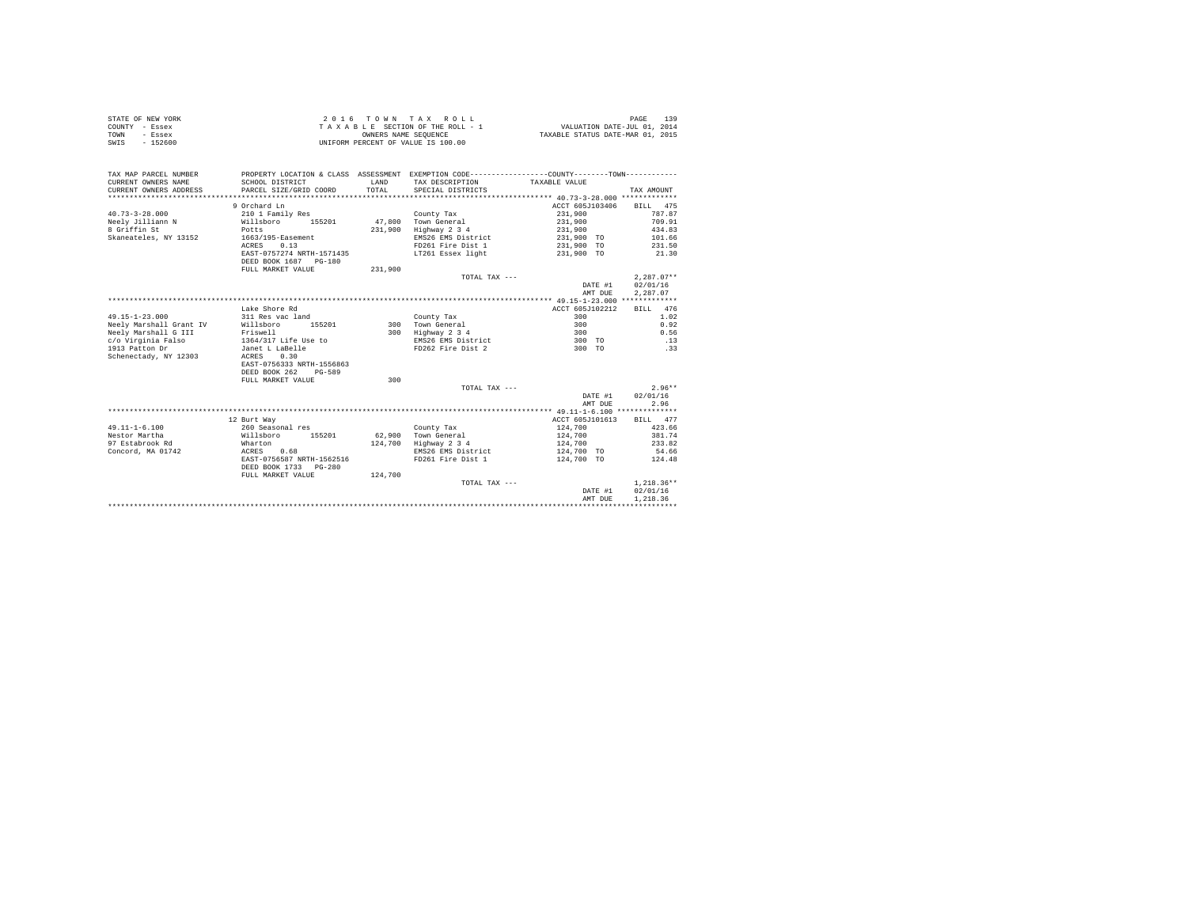|                | STATE OF NEW YORK | 2016 TOWN TAX ROLL                 | 139<br>PAGE                      |
|----------------|-------------------|------------------------------------|----------------------------------|
| COUNTY - Essex |                   | TAXABLE SECTION OF THE ROLL - 1    | VALUATION DATE-JUL 01, 2014      |
| TOWN           | - Essex           | OWNERS NAME SEOUENCE               | TAXABLE STATUS DATE-MAR 01, 2015 |
| SWIS           | - 152600          | UNIFORM PERCENT OF VALUE IS 100.00 |                                  |

| TAX MAP PARCEL NUMBER<br>CURRENT OWNERS NAME<br>CURRENT OWNERS ADDRESS<br>*************************** | SCHOOL DISTRICT<br>PARCEL SIZE/GRID COORD                                                                                           | LAND<br>TOTAL | PROPERTY LOCATION & CLASS ASSESSMENT EXEMPTION CODE----------------COUNTY--------TOWN----------<br>TAX DESCRIPTION<br>SPECIAL DISTRICTS | TAXABLE VALUE                                                                              | TAX AMOUNT                                                          |
|-------------------------------------------------------------------------------------------------------|-------------------------------------------------------------------------------------------------------------------------------------|---------------|-----------------------------------------------------------------------------------------------------------------------------------------|--------------------------------------------------------------------------------------------|---------------------------------------------------------------------|
| $40.73 - 3 - 28.000$<br>Neely Jilliann N<br>8 Griffin St<br>Skaneateles, NY 13152                     | 9 Orchard Ln<br>210 1 Family Res<br>Willsboro<br>155201<br>Potts<br>1663/195-Easement<br>ACRES<br>0.13<br>EAST-0757274 NRTH-1571435 | 231,900       | County Tax<br>47.800 Town General<br>Highway 2 3 4<br>EMS26 EMS District<br>FD261 Fire Dist 1<br>LT261 Essex light                      | ACCT 605J103406<br>231,900<br>231,900<br>231,900<br>231,900 TO<br>231,900 TO<br>231,900 TO | BILL 475<br>787.87<br>709.91<br>434.83<br>101.66<br>231.50<br>21.30 |
|                                                                                                       | DEED BOOK 1687 PG-180<br>FULL MARKET VALUE                                                                                          | 231,900       | TOTAL TAX ---                                                                                                                           | DATE #1<br>AMT DUE                                                                         | $2.287.07**$<br>02/01/16<br>2.287.07                                |
|                                                                                                       |                                                                                                                                     |               |                                                                                                                                         |                                                                                            |                                                                     |
|                                                                                                       | Lake Shore Rd                                                                                                                       |               |                                                                                                                                         | ACCT 605J102212                                                                            | 476<br>BILL                                                         |
| $49.15 - 1 - 23.000$                                                                                  | 311 Res vac land                                                                                                                    |               | County Tax                                                                                                                              | 300                                                                                        | 1.02                                                                |
| Neely Marshall Grant IV                                                                               | 155201<br>Willsboro                                                                                                                 | 300           | Town General                                                                                                                            | 300                                                                                        | 0.92                                                                |
| Neely Marshall G III                                                                                  | Friswell                                                                                                                            |               | 300 Highway 2 3 4                                                                                                                       | 300                                                                                        | 0.56                                                                |
| c/o Virginia Falso                                                                                    | 1364/317 Life Use to                                                                                                                |               | EMS26 EMS District                                                                                                                      | 300 TO                                                                                     | .13                                                                 |
| 1913 Patton Dr<br>Schenectady, NY 12303                                                               | Janet L LaBelle<br>0.30<br>ACRES<br>EAST-0756333 NRTH-1556863<br>DEED BOOK 262<br>$PG - 589$                                        |               | FD262 Fire Dist 2                                                                                                                       | 300 TO                                                                                     | .33                                                                 |
|                                                                                                       | FULL MARKET VALUE                                                                                                                   | 300           |                                                                                                                                         |                                                                                            |                                                                     |
|                                                                                                       |                                                                                                                                     |               | TOTAL TAX ---                                                                                                                           | DATE #1<br>AMT DUE                                                                         | $2.96**$<br>02/01/16<br>2.96                                        |
|                                                                                                       |                                                                                                                                     |               |                                                                                                                                         |                                                                                            |                                                                     |
|                                                                                                       | 12 Burt Way                                                                                                                         |               |                                                                                                                                         | ACCT 605J101613                                                                            | BILL 477                                                            |
| $49.11 - 1 - 6.100$                                                                                   | 260 Seasonal res                                                                                                                    |               | County Tax                                                                                                                              | 124,700                                                                                    | 423.66                                                              |
| Nestor Martha                                                                                         | Willsboro<br>155201                                                                                                                 |               | 62.900 Town General                                                                                                                     | 124,700                                                                                    | 381.74                                                              |
| 97 Estabrook Rd                                                                                       | Wharton                                                                                                                             | 124,700       | Highway 2 3 4                                                                                                                           | 124,700                                                                                    | 233.82                                                              |
| Concord, MA 01742                                                                                     | ACRES<br>0.68                                                                                                                       |               | EMS26 EMS District                                                                                                                      | 124,700 TO                                                                                 | 54.66                                                               |
|                                                                                                       | EAST-0756587 NRTH-1562516<br>DEED BOOK 1733 PG-280                                                                                  |               | FD261 Fire Dist 1                                                                                                                       | 124,700 TO                                                                                 | 124.48                                                              |
|                                                                                                       | FULL MARKET VALUE                                                                                                                   | 124,700       |                                                                                                                                         |                                                                                            |                                                                     |
|                                                                                                       |                                                                                                                                     |               | TOTAL TAX ---                                                                                                                           |                                                                                            | $1,218.36**$                                                        |
|                                                                                                       |                                                                                                                                     |               |                                                                                                                                         | DATE #1                                                                                    | 02/01/16                                                            |
|                                                                                                       |                                                                                                                                     |               |                                                                                                                                         | AMT DUE                                                                                    | 1.218.36                                                            |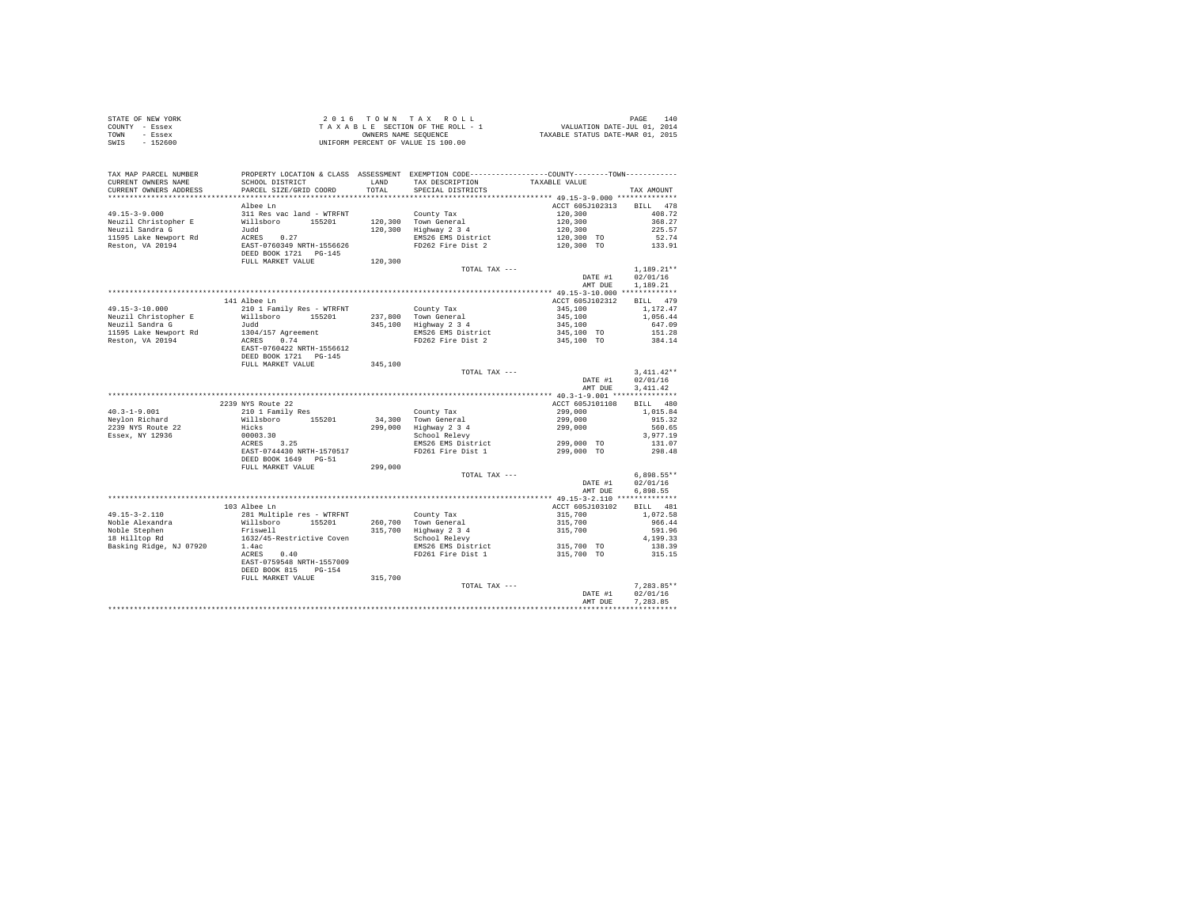| STATE OF NEW YORK | 2016 TOWN TAX ROLL                 | 140<br>PAGE                      |
|-------------------|------------------------------------|----------------------------------|
| COUNTY - Essex    | TAXABLE SECTION OF THE ROLL - 1    | VALUATION DATE-JUL 01, 2014      |
| TOWN<br>- Essex   | OWNERS NAME SEOUENCE               | TAXABLE STATUS DATE-MAR 01, 2015 |
| $-152600$<br>SWIS | UNIFORM PERCENT OF VALUE IS 100.00 |                                  |

| TAX MAP PARCEL NUMBER<br>CURRENT OWNERS NAME<br>CURRENT OWNERS ADDRESS | SCHOOL DISTRICT<br>PARCEL SIZE/GRID COORD                               | LAND<br>TOTAL | PROPERTY LOCATION & CLASS ASSESSMENT EXEMPTION CODE----------------COUNTY-------TOWN---------<br>TAX DESCRIPTION<br>SPECIAL DISTRICTS | TAXABLE VALUE                         | TAX AMOUNT                             |
|------------------------------------------------------------------------|-------------------------------------------------------------------------|---------------|---------------------------------------------------------------------------------------------------------------------------------------|---------------------------------------|----------------------------------------|
| **********************                                                 | **************************                                              |               |                                                                                                                                       |                                       |                                        |
| $49.15 - 3 - 9.000$<br>Neuzil Christopher E                            | Albee Ln<br>311 Res vac land - WTRFNT<br>Willsboro<br>155201<br>Judd    |               | County Tax<br>120,300 Town General<br>Highway 2 3 4                                                                                   | ACCT 605J102313<br>120,300<br>120,300 | BILL 478<br>408.72<br>368.27<br>225.57 |
| Neuzil Sandra G<br>11595 Lake Newport Rd                               | ACRES 0.27                                                              | 120,300       | EMS26 EMS District                                                                                                                    | 120,300<br>120,300 TO                 | 52.74                                  |
| Reston, VA 20194                                                       | EAST-0760349 NRTH-1556626<br>DEED BOOK 1721 PG-145<br>FULL MARKET VALUE | 120,300       | FD262 Fire Dist 2                                                                                                                     | 120,300 TO                            | 133.91                                 |
|                                                                        |                                                                         |               | TOTAL TAX ---                                                                                                                         | DATE #1                               | $1.189.21**$<br>02/01/16               |
|                                                                        |                                                                         |               |                                                                                                                                       | AMT DUE                               | 1,189.21                               |
|                                                                        | 141 Albee Ln                                                            |               |                                                                                                                                       | ACCT 605J102312                       | BILL 479                               |
| $49.15 - 3 - 10.000$                                                   | 210 1 Family Res - WTRFNT                                               |               | County Tax                                                                                                                            | 345,100                               | 1,172.47                               |
| Neuzil Christopher E                                                   | Willsboro 155201                                                        |               | 237,800 Town General                                                                                                                  | 345,100                               | 1,056.44                               |
| Neuzil Sandra G                                                        | Judd                                                                    | 345,100       | Highway 2 3 4                                                                                                                         | 345,100                               | 647.09                                 |
| 11595 Lake Newport Rd                                                  | 1304/157 Agreement                                                      |               | EMS26 EMS District                                                                                                                    | 345,100 TO                            | 151.28                                 |
| Reston, VA 20194                                                       | ACRES 0.74<br>EAST-0760422 NRTH-1556612<br>DEED BOOK 1721 PG-145        |               | FD262 Fire Dist 2                                                                                                                     | 345,100 TO                            | 384.14                                 |
|                                                                        | FULL MARKET VALUE                                                       | 345,100       |                                                                                                                                       |                                       |                                        |
|                                                                        |                                                                         |               | TOTAL TAX ---                                                                                                                         | DATE #1                               | $3.411.42**$<br>02/01/16               |
|                                                                        |                                                                         |               |                                                                                                                                       | AMT DUE                               | 3.411.42                               |
|                                                                        | 2239 NYS Route 22                                                       |               |                                                                                                                                       | ACCT 605J101108                       | BILL 480                               |
| $40.3 - 1 - 9.001$                                                     | 210 1 Family Res                                                        |               | County Tax                                                                                                                            | 299,000                               | 1,015.84                               |
| Neylon Richard                                                         | Willsboro<br>155201                                                     | 34,300        | Town General                                                                                                                          | 299,000                               | 915.32                                 |
| 2239 NYS Route 22<br>Essex, NY 12936                                   | Hicks<br>00003.30                                                       | 299,000       | Highway 2 3 4<br>School Relevy                                                                                                        | 299,000                               | 560.65<br>3,977.19                     |
|                                                                        | 3.25<br>ACRES                                                           |               | EMS26 EMS District                                                                                                                    | 299,000 TO                            | 131.07                                 |
|                                                                        | EAST-0744430 NRTH-1570517<br>DEED BOOK 1649 PG-51<br>FULL MARKET VALUE  | 299,000       | FD261 Fire Dist 1                                                                                                                     | 299,000 TO                            | 298.48                                 |
|                                                                        |                                                                         |               | TOTAL TAX ---                                                                                                                         | DATE #1                               | $6.898.55**$<br>02/01/16               |
|                                                                        |                                                                         |               |                                                                                                                                       | AMT DUE                               | 6.898.55                               |
|                                                                        |                                                                         |               |                                                                                                                                       |                                       |                                        |
|                                                                        | 103 Albee Ln                                                            |               |                                                                                                                                       | ACCT 605J103102                       | BILL 481                               |
| $49.15 - 3 - 2.110$<br>Noble Alexandra                                 | 281 Multiple res - WTRFNT                                               |               | County Tax<br>260.700 Town General                                                                                                    | 315,700                               | 1,072.58                               |
| Noble Stephen                                                          | Willsboro 155201<br>Friswell                                            |               | 315,700 Highway 2 3 4                                                                                                                 | 315,700<br>315,700                    | 966.44<br>591.96                       |
| 18 Hilltop Rd                                                          | 1632/45-Restrictive Coven                                               |               | School Relevy                                                                                                                         |                                       | 4,199.33                               |
| Basking Ridge, NJ 07920                                                | 1.4ac                                                                   |               | EMS26 EMS District                                                                                                                    | 315,700 TO                            | 138.39                                 |
|                                                                        | ACRES 0.40<br>EAST-0759548 NRTH-1557009<br>DEED BOOK 815<br>$PG-154$    |               | FD261 Fire Dist 1                                                                                                                     | 315,700 TO                            | 315.15                                 |
|                                                                        | FULL MARKET VALUE                                                       | 315,700       |                                                                                                                                       |                                       |                                        |
|                                                                        |                                                                         |               | TOTAL TAX ---                                                                                                                         | DATE #1<br>AMT DUE                    | $7.283.85**$<br>02/01/16<br>7.283.85   |
|                                                                        |                                                                         |               |                                                                                                                                       |                                       |                                        |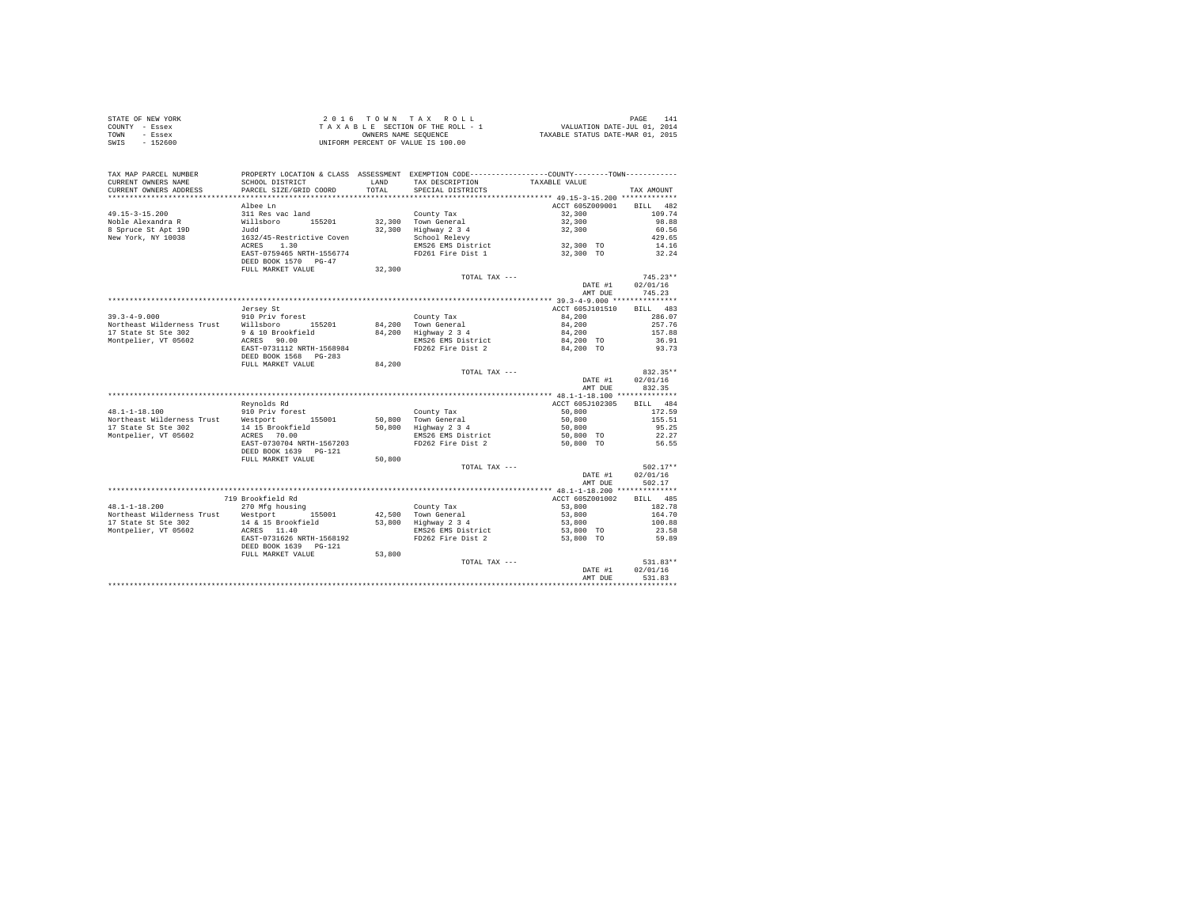| STATE OF NEW YORK | 2016 TOWN TAX ROLL                 | PAGE                             |
|-------------------|------------------------------------|----------------------------------|
| COUNTY - Essex    | TAXABLE SECTION OF THE ROLL - 1    | VALUATION DATE-JUL 01, 2014      |
| TOWN<br>- Essex   | OWNERS NAME SEOUENCE               | TAXABLE STATUS DATE-MAR 01, 2015 |
| - 152600<br>SWIS  | UNIFORM PERCENT OF VALUE IS 100.00 |                                  |

| TAX MAP PARCEL NUMBER<br>CURRENT OWNERS NAME                                                                | PROPERTY LOCATION & CLASS ASSESSMENT EXEMPTION CODE---------------COUNTY-------TOWN----------<br>SCHOOL DISTRICT | LAND   | TAX DESCRIPTION      | TAXABLE VALUE   |             |
|-------------------------------------------------------------------------------------------------------------|------------------------------------------------------------------------------------------------------------------|--------|----------------------|-----------------|-------------|
| CURRENT OWNERS ADDRESS<br>************************                                                          | PARCEL SIZE/GRID COORD<br>************************                                                               | TOTAL  | SPECIAL DISTRICTS    |                 | TAX AMOUNT  |
|                                                                                                             |                                                                                                                  |        |                      |                 |             |
|                                                                                                             | Albee Ln                                                                                                         |        |                      | ACCT 605Z009001 | BILL<br>482 |
| $49.15 - 3 - 15.200$                                                                                        | 311 Res vac land                                                                                                 |        | County Tax           | 32,300          | 109.74      |
| Noble Alexandra R                                                                                           | Willsboro 155201                                                                                                 |        | 32,300 Town General  | 32,300          | 98.88       |
| 8 Spruce St Apt 19D                                                                                         | Judd                                                                                                             |        | 32,300 Highway 2 3 4 | 32,300          | 60.56       |
| New York, NY 10038                                                                                          | 1632/45-Restrictive Coven                                                                                        |        | School Relevy        |                 | 429.65      |
|                                                                                                             | ACRES 1.30                                                                                                       |        | EMS26 EMS District   | 32,300 TO       | 14.16       |
|                                                                                                             | EAST-0759465 NRTH-1556774                                                                                        |        | FD261 Fire Dist 1    | 32,300 TO       | 32.24       |
|                                                                                                             | DEED BOOK 1570 PG-47                                                                                             |        |                      |                 |             |
|                                                                                                             | FULL MARKET VALUE                                                                                                | 32,300 |                      |                 |             |
|                                                                                                             |                                                                                                                  |        | TOTAL TAX ---        |                 | $745.23**$  |
|                                                                                                             |                                                                                                                  |        |                      | DATE #1         | 02/01/16    |
|                                                                                                             |                                                                                                                  |        |                      | AMT DUE         | 745.23      |
|                                                                                                             |                                                                                                                  |        |                      |                 |             |
|                                                                                                             | Jersey St                                                                                                        |        |                      | ACCT 605J101510 | BILL 483    |
| $39.3 - 4 - 9.000$                                                                                          | 910 Priv forest                                                                                                  |        | County Tax           | 84,200          | 286.07      |
| Northeast Wilderness Trust Willsboro 155201                                                                 |                                                                                                                  |        | 84,200 Town General  | 84,200          | 257.76      |
| 17 State St Ste 302                                                                                         | 9 & 10 Brookfield                                                                                                |        | 84,200 Highway 2 3 4 | 84,200          | 157.88      |
| Montpelier, VT 05602                                                                                        | ACRES 90.00                                                                                                      |        | EMS26 EMS District   | 84,200 TO       | 36.91       |
|                                                                                                             | EAST-0731112 NRTH-1568984<br>DEED BOOK 1568 PG-283                                                               |        | FD262 Fire Dist 2    | 84,200 TO       | 93.73       |
|                                                                                                             | FULL MARKET VALUE                                                                                                | 84,200 |                      |                 |             |
|                                                                                                             |                                                                                                                  |        | TOTAL TAX ---        |                 | 832.35**    |
|                                                                                                             |                                                                                                                  |        |                      | DATE #1         | 02/01/16    |
|                                                                                                             |                                                                                                                  |        |                      | AMT DUE         | 832.35      |
|                                                                                                             |                                                                                                                  |        |                      |                 |             |
|                                                                                                             | Reynolds Rd                                                                                                      |        |                      | ACCT 605J102305 | BILL 484    |
|                                                                                                             |                                                                                                                  |        | County Tax           | 50,800          | 172.59      |
| $48.1-1-18.100$ 910 Priv forest<br>Northeast Wilderness Trust<br>17 Change Communication of Mestport 155001 |                                                                                                                  |        | 50,800 Town General  | 50,800          | 155.51      |
| 17 State St Ste 302                                                                                         | 14 15 Brookfield                                                                                                 |        | 50,800 Highway 2 3 4 | 50,800          | 95.25       |
| Montpelier, VT 05602                                                                                        | ACRES 70.00                                                                                                      |        | EMS26 EMS District   | 50,800 TO       | 22.27       |
|                                                                                                             | EAST-0730704 NRTH-1567203                                                                                        |        | FD262 Fire Dist 2    | 50,800 TO       | 56.55       |
|                                                                                                             | DEED BOOK 1639 PG-121                                                                                            |        |                      |                 |             |
|                                                                                                             | FULL MARKET VALUE                                                                                                | 50,800 |                      |                 |             |
|                                                                                                             |                                                                                                                  |        | TOTAL TAX ---        |                 | $502.17**$  |
|                                                                                                             |                                                                                                                  |        |                      | DATE #1         | 02/01/16    |
|                                                                                                             |                                                                                                                  |        |                      | AMT DUE         | 502.17      |
|                                                                                                             |                                                                                                                  |        |                      |                 |             |
|                                                                                                             | 719 Brookfield Rd                                                                                                |        |                      | ACCT 605Z001002 | BILL 485    |
| $48.1 - 1 - 18.200$                                                                                         | 270 Mfg housing                                                                                                  |        | County Tax           | 53,800          | 182.78      |
| Northeast Wilderness Trust Westport 155001                                                                  |                                                                                                                  |        | 42,500 Town General  | 53,800          | 164.70      |
| 17 State St Ste 302                                                                                         | 14 & 15 Brookfield                                                                                               |        | 53,800 Highway 2 3 4 | 53,800          | 100.88      |
| Montpelier, VT 05602                                                                                        | ACRES 11.40                                                                                                      |        | EMS26 EMS District   | 53,800 TO       | 23.58       |
|                                                                                                             | EAST-0731626 NRTH-1568192                                                                                        |        | FD262 Fire Dist 2    | 53,800 TO       | 59.89       |
|                                                                                                             | DEED BOOK 1639 PG-121                                                                                            |        |                      |                 |             |
|                                                                                                             | FULL MARKET VALUE                                                                                                | 53,800 |                      |                 |             |
|                                                                                                             |                                                                                                                  |        | TOTAL TAX ---        |                 | 531.83**    |
|                                                                                                             |                                                                                                                  |        |                      | DATE #1         | 02/01/16    |
|                                                                                                             |                                                                                                                  |        |                      | AMT DUE         | 531.83      |
|                                                                                                             |                                                                                                                  |        |                      |                 |             |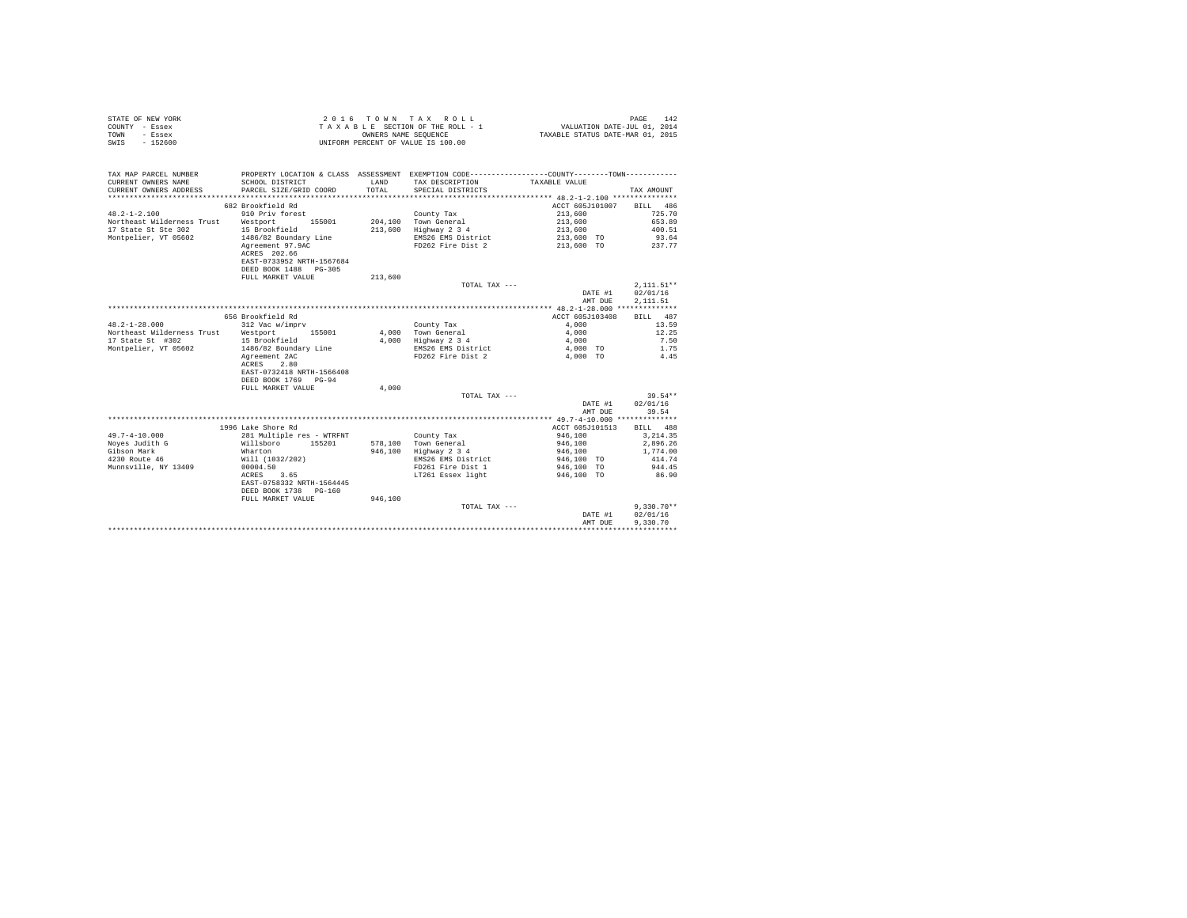|                | STATE OF NEW YORK | 2016 TOWN TAX ROLL                 | 142<br>PAGE                      |
|----------------|-------------------|------------------------------------|----------------------------------|
| COUNTY - Essex |                   | TAXABLE SECTION OF THE ROLL - 1    | VALUATION DATE-JUL 01, 2014      |
| TOWN           | - Essex           | OWNERS NAME SEOUENCE               | TAXABLE STATUS DATE-MAR 01, 2015 |
| SWIS           | $-152600$         | UNIFORM PERCENT OF VALUE IS 100.00 |                                  |

| TAX MAP PARCEL NUMBER<br>CURRENT OWNERS NAME<br>CURRENT OWNERS ADDRESS | SCHOOL DISTRICT<br>PARCEL SIZE/GRID COORD                                              | LAND<br>TOTAL. | PROPERTY LOCATION & CLASS ASSESSMENT EXEMPTION CODE---------------COUNTY-------TOWN---------<br>TAX DESCRIPTION<br>SPECIAL DISTRICTS | TAXABLE VALUE            | TAX AMOUNT   |
|------------------------------------------------------------------------|----------------------------------------------------------------------------------------|----------------|--------------------------------------------------------------------------------------------------------------------------------------|--------------------------|--------------|
|                                                                        |                                                                                        |                |                                                                                                                                      |                          |              |
|                                                                        | 682 Brookfield Rd                                                                      |                |                                                                                                                                      | ACCT 605J101007 BILL 486 |              |
| $48.2 - 1 - 2.100$                                                     | 910 Priv forest                                                                        |                | County Tax                                                                                                                           | 213,600                  | 725.70       |
| Northeast Wilderness Trust                                             | Westport<br>155001                                                                     |                | 204,100 Town General                                                                                                                 | 213,600                  | 653.89       |
| 17 State St Ste 302                                                    | 15 Brookfield                                                                          |                | 213,600 Highway 2 3 4                                                                                                                | 213,600                  | 400.51       |
| Montpelier, VT 05602                                                   | 1486/82 Boundary Line                                                                  |                | EMS26 EMS District                                                                                                                   | 213,600 TO               | 93.64        |
|                                                                        | Agreement 97.9AC<br>ACRES 202.66<br>EAST-0733952 NRTH-1567684<br>DEED BOOK 1488 PG-305 |                | FD262 Fire Dist 2                                                                                                                    | 213,600 TO               | 237.77       |
|                                                                        | FULL MARKET VALUE                                                                      | 213,600        |                                                                                                                                      |                          |              |
|                                                                        |                                                                                        |                | TOTAL TAX ---                                                                                                                        |                          | $2.111.51**$ |
|                                                                        |                                                                                        |                |                                                                                                                                      | DATE #1                  | 02/01/16     |
|                                                                        |                                                                                        |                |                                                                                                                                      | AMT DUE                  | 2,111.51     |
|                                                                        |                                                                                        |                |                                                                                                                                      |                          |              |
|                                                                        | 656 Brookfield Rd                                                                      |                |                                                                                                                                      | ACCT 605J103408          | BILL 487     |
| $48.2 - 1 - 28.000$                                                    | 312 Vac w/imprv                                                                        |                | County Tax                                                                                                                           | 4,000                    | 13.59        |
| Northeast Wilderness Trust Westport                                    | 155001                                                                                 |                | 4.000 Town General                                                                                                                   | 4,000                    | 12.25        |
| 17 State St #302                                                       | 15 Brookfield                                                                          | 4,000          | Highway 2 3 4                                                                                                                        | 4,000                    | 7.50         |
| Montpelier, VT 05602                                                   | 1486/82 Boundary Line                                                                  |                | EMS26 EMS District                                                                                                                   | 4,000 TO                 | 1.75         |
|                                                                        | Agreement 2AC                                                                          |                | FD262 Fire Dist 2                                                                                                                    | 4,000 TO                 | 4.45         |
|                                                                        | ACRES 2.80                                                                             |                |                                                                                                                                      |                          |              |
|                                                                        | EAST-0732418 NRTH-1566408                                                              |                |                                                                                                                                      |                          |              |
|                                                                        | DEED BOOK 1769 PG-94                                                                   |                |                                                                                                                                      |                          |              |
|                                                                        | FULL MARKET VALUE                                                                      | 4,000          |                                                                                                                                      |                          |              |
|                                                                        |                                                                                        |                | TOTAL TAX ---                                                                                                                        |                          | $39.54**$    |
|                                                                        |                                                                                        |                |                                                                                                                                      | DATE #1                  | 02/01/16     |
|                                                                        |                                                                                        |                |                                                                                                                                      | AMT DUE                  | 39.54        |
|                                                                        |                                                                                        |                |                                                                                                                                      |                          |              |
|                                                                        | 1996 Lake Shore Rd                                                                     |                |                                                                                                                                      | ACCT 605J101513          | BILL 488     |
| $49.7 - 4 - 10.000$                                                    | 281 Multiple res - WTRFNT                                                              |                | County Tax                                                                                                                           | 946,100                  | 3.214.35     |
| Noyes Judith G                                                         | Willsboro<br>155201                                                                    |                | 578.100 Town General                                                                                                                 | 946,100                  | 2,896.26     |
| Gibson Mark                                                            | Wharton                                                                                |                | 946,100 Highway 2 3 4                                                                                                                | 946,100                  | 1,774.00     |
| 4230 Route 46                                                          | Will (1032/202)                                                                        |                | EMS26 EMS District                                                                                                                   | 946,100 TO               | 414.74       |
| Munnsville, NY 13409                                                   | 00004.50                                                                               |                | FD261 Fire Dist 1                                                                                                                    | 946,100 TO               | 944.45       |
|                                                                        | 3.65<br>ACRES                                                                          |                | LT261 Essex light                                                                                                                    | 946,100 TO               | 86.90        |
|                                                                        | EAST-0758332 NRTH-1564445                                                              |                |                                                                                                                                      |                          |              |
|                                                                        | DEED BOOK 1738 PG-160                                                                  |                |                                                                                                                                      |                          |              |
|                                                                        | FULL MARKET VALUE                                                                      | 946,100        |                                                                                                                                      |                          |              |
|                                                                        |                                                                                        |                | TOTAL TAX ---                                                                                                                        |                          | $9.330.70**$ |
|                                                                        |                                                                                        |                |                                                                                                                                      | DATE #1                  | 02/01/16     |
|                                                                        |                                                                                        |                |                                                                                                                                      | AMT DUE                  | 9,330,70     |
|                                                                        |                                                                                        |                |                                                                                                                                      |                          |              |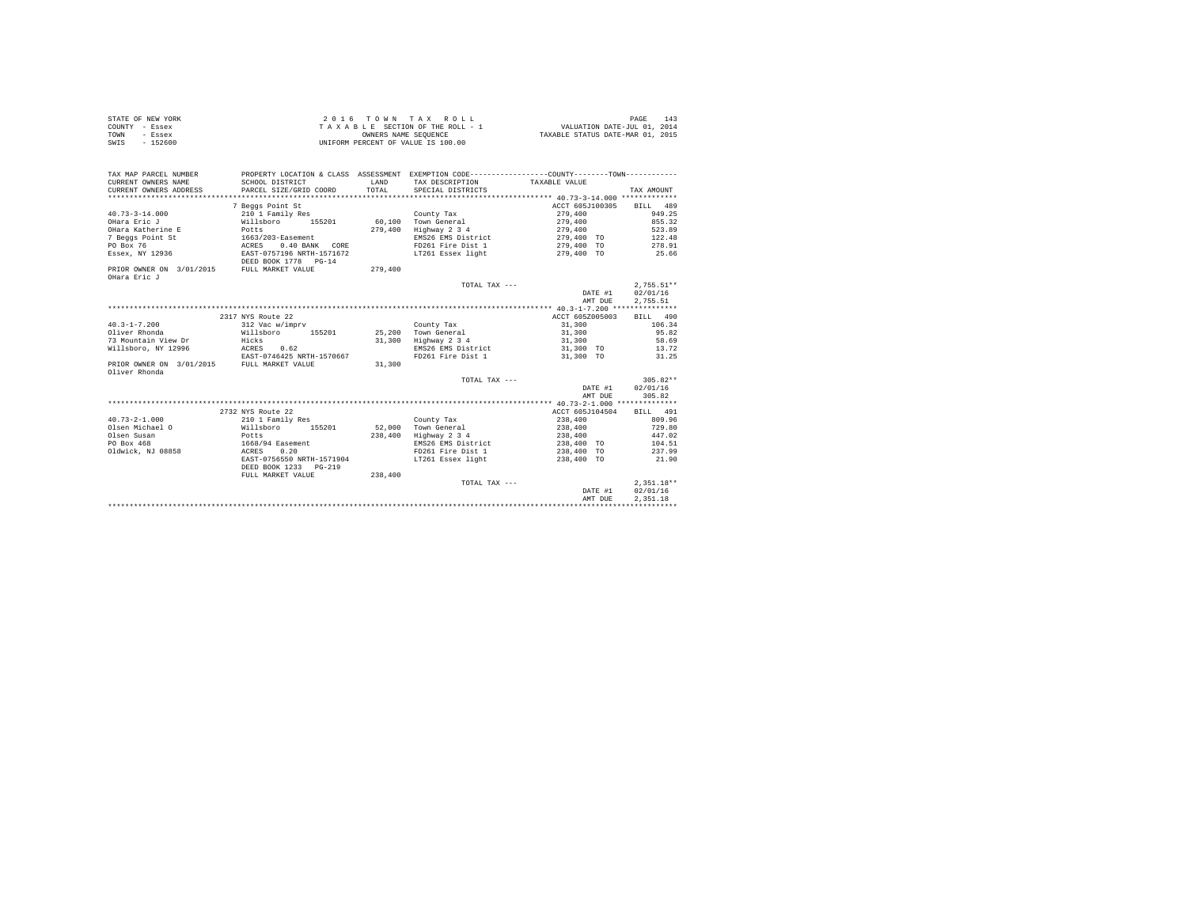|                | STATE OF NEW YORK | $2.0.16$ TOWN TAX ROLL             | 14 <sup>2</sup><br>PAGE          |
|----------------|-------------------|------------------------------------|----------------------------------|
| COUNTY - Essex |                   | TAXABLE SECTION OF THE ROLL - 1    | VALUATION DATE-JUL 01, 2014      |
| TOWN           | - Essex           | OWNERS NAME SEOUENCE               | TAXABLE STATUS DATE-MAR 01, 2015 |
| SWIS           | $-152600$         | UNIFORM PERCENT OF VALUE IS 100.00 |                                  |

| TAX MAP PARCEL NUMBER                                                | PROPERTY LOCATION & CLASS ASSESSMENT EXEMPTION CODE----------------COUNTY-------TOWN---------- |       |
|----------------------------------------------------------------------|------------------------------------------------------------------------------------------------|-------|
| CURRENT OWNERS NAME<br>SCHOOL DISTRICT<br>LAND                       | TAX DESCRIPTION<br>TAXABLE VALUE                                                               |       |
| PARCEL SIZE/GRID COORD<br>TOTAL<br>CURRENT OWNERS ADDRESS            | SPECIAL DISTRICTS<br>TAX AMOUNT                                                                |       |
|                                                                      |                                                                                                |       |
| 7 Beggs Point St                                                     | ACCT 605J100305 BILL 489                                                                       |       |
| $40.73 - 3 - 14.000$<br>210 1 Family Res                             | 279,400<br>949.25<br>County Tax                                                                |       |
| Willsboro 155201<br>OHara Eric J                                     | 60,100 Town General<br>279,400<br>855.32                                                       |       |
| OHara Katherine E<br>279,400<br>Potts                                | Highway 2 3 4<br>279,400<br>523.89                                                             |       |
| 7 Beggs Point St                                                     | EMS26 EMS District<br>279,400 TO<br>122.48                                                     |       |
| 1663/203-Easement<br>ACRES 0.40 BANK<br>PO Box 76<br>0.40 BANK CORE  | FD261 Fire Dist 1<br>278.91<br>279,400 TO                                                      |       |
| Essex, NY 12936<br>EAST-0757196 NRTH-1571672<br>DEED BOOK 1778 PG-14 | LT261 Essex light<br>279.400 TO 25.66                                                          |       |
| PRIOR OWNER ON 3/01/2015 FULL MARKET VALUE<br>279,400                |                                                                                                |       |
| OHara Eric J                                                         |                                                                                                |       |
|                                                                      | $2.755.51**$<br>TOTAL TAX ---                                                                  |       |
|                                                                      | 02/01/16<br>DATE #1                                                                            |       |
|                                                                      | AMT DUE<br>2,755.51                                                                            |       |
|                                                                      |                                                                                                |       |
| 2317 NYS Route 22                                                    | ACCT 605Z005003<br>BILL 490                                                                    |       |
| $40.3 - 1 - 7.200$<br>312 Vac w/imprv                                | 31,300<br>106.34<br>County Tax                                                                 |       |
| Oliver Rhonda<br>Willsboro 155201                                    | 31,300<br>95.82<br>25.200 Town General                                                         |       |
| Hicks<br>73 Mountain View Dr<br>31,300                               | Highway 2 3 4<br>31,300                                                                        | 58.69 |
| Willsboro, NY 12996<br>ACRES 0.62                                    | EMS26 EMS District<br>31,300 TO 13,72                                                          |       |
| EAST-0746425 NRTH-1570667                                            | FD261 Fire Dist 1<br>31,300 TO                                                                 | 31.25 |
| FULL MARKET VALUE<br>31,300<br>PRIOR OWNER ON 3/01/2015              |                                                                                                |       |
| Oliver Rhonda                                                        |                                                                                                |       |
|                                                                      | $305.82**$<br>TOTAL TAX $---$                                                                  |       |
|                                                                      | 02/01/16<br>DATE #1                                                                            |       |
|                                                                      | 305.82<br>AMT DUE                                                                              |       |
|                                                                      |                                                                                                |       |
| 2732 NYS Route 22                                                    | BILL 491<br>ACCT 605J104504                                                                    |       |
| $40.73 - 2 - 1.000$<br>210 1 Family Res                              | 238,400<br>809.96<br>County Tax                                                                |       |
| Willsboro 155201<br>Olsen Michael O                                  | 238,400<br>729.80<br>52.000 Town General                                                       |       |
| Olsen Susan<br>238,400<br>Potts                                      | Highway 2 3 4<br>238,400<br>447.02                                                             |       |
| PO Box 468                                                           | EMS26 EMS District<br>104.51<br>238,400 TO                                                     |       |
| 1668/94 Easement<br>ACRES 0.20<br>Oldwick, NJ 08858                  | FD261 Fire Dist 1<br>238,400 TO<br>237.99                                                      |       |
| EAST-0756550 NRTH-1571904                                            | LT261 Essex light<br>238,400 TO<br>21.90                                                       |       |
| DEED BOOK 1233 PG-219                                                |                                                                                                |       |
| 238,400<br>FULL MARKET VALUE                                         |                                                                                                |       |
|                                                                      | $2.351.18**$<br>TOTAL TAX ---                                                                  |       |
|                                                                      | 02/01/16<br>DATE #1                                                                            |       |
|                                                                      | 2.351.18<br>AMT DUE                                                                            |       |
|                                                                      |                                                                                                |       |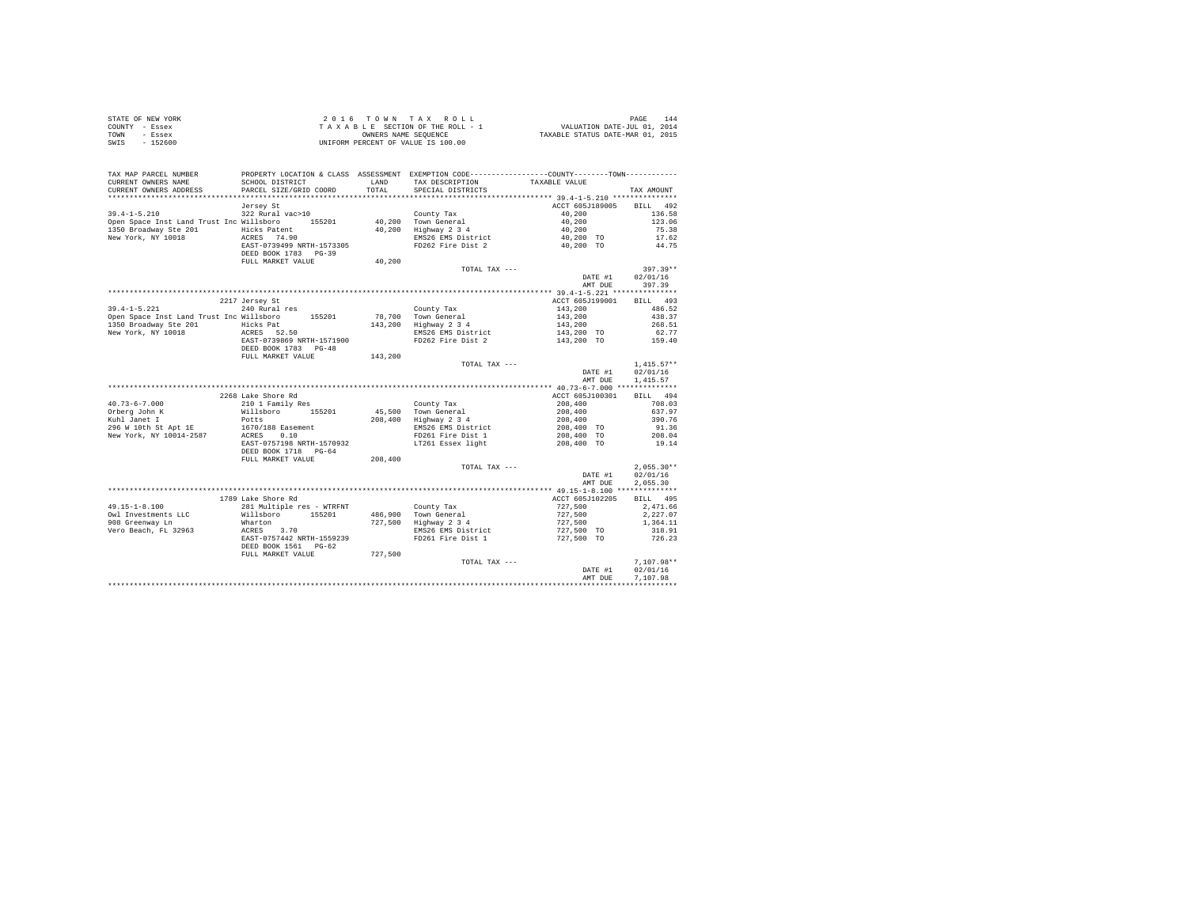| STATE OF NEW YORK | 2016 TOWN TAX ROLL                 | 144<br>PAGE                      |
|-------------------|------------------------------------|----------------------------------|
| COUNTY - Essex    | TAXABLE SECTION OF THE ROLL - 1    | VALUATION DATE-JUL 01, 2014      |
| TOWN<br>- Essex   | OWNERS NAME SEOUENCE               | TAXABLE STATUS DATE-MAR 01, 2015 |
| $-152600$<br>SWIS | UNIFORM PERCENT OF VALUE IS 100.00 |                                  |

| ACCT 605J189005 BILL 492<br>Jersey St<br>$39.4 - 1 - 5.210$<br>322 Rural vac>10<br>County Tax<br>40,200 Town General<br>40,200<br>136.58<br>40,200<br>Open Space Inst Land Trust Inc Willsboro 155201<br>123.06<br>40,200 Highway 2 3 4<br>1350 Broadway Ste 201<br>Hicks Patent<br>40,200<br>75.38<br>40,200 TO<br>EMS26 EMS District<br>New York, NY 10018<br>ACRES 74.90<br>17.62<br>EAST-0739499 NRTH-1573305<br>FD262 Fire Dist 2<br>40.200 TO<br>44.75<br>DEED BOOK 1783 PG-39<br>40,200<br>FULL MARKET VALUE<br>$397.39**$<br>TOTAL TAX ---<br>DATE #1<br>02/01/16<br>397.39<br>AMT DUE<br>2217 Jersey St<br>ACCT 605J199001<br>BILL 493<br>$39.4 - 1 - 5.221$<br>240 Rural res<br>143,200<br>143,200<br>486.52<br>County Tax<br>Open Space Inst Land Trust Inc Willsboro 155201 78,700 Town General<br>438.37<br>1350 Broadway Ste 201 Hicks Pat<br>143,200 Highway 2 3 4<br>143,200<br>268.51<br>ACRES 52.50<br>New York, NY 10018<br>EMS26 EMS District<br>143,200 TO<br>62.77<br>EAST-0739869 NRTH-1571900<br>159.40<br>FD262 Fire Dist 2<br>143,200 TO<br>DEED BOOK 1783 PG-48<br>143,200<br>FULL MARKET VALUE<br>$1.415.57**$<br>TOTAL TAX ---<br>02/01/16<br>DATE #1<br>1,415.57<br>AMT DUE<br>2268 Lake Shore Rd<br>ACCT 605J100301<br>BILL 494<br>$40.73 - 6 - 7.000$<br>210 1 Family Res<br>208,400<br>708.03<br>County Tax<br>45,500 Town General<br>208,400 Highway 2 3 4<br>Willsboro 155201<br>208,400<br>208,400<br>637.97<br>Potts<br>390.76<br>296 W 10th St Apt 1E 1670/188 Easement<br>EMS26 EMS District<br>208,400 TO<br>91.36<br>208.04<br>ACRES 0.10<br>FD261 Fire Dist 1<br>208,400 TO<br>LT261 Essex light<br>208,400 TO<br>EAST-0757198 NRTH-1570932<br>19.14<br>DEED BOOK 1718 PG-64<br>FULL MARKET VALUE<br>208,400<br>$2,055.30**$<br>TOTAL TAX ---<br>02/01/16<br>DATE #1<br>AMT DUE<br>2.055.30<br>1789 Lake Shore Rd<br>ACCT 605J102205<br>BILL 495<br>County Tax<br>486,900 Town General<br>$49.15 - 1 - 8.100$<br>281 Multiple res - WTRFNT<br>727,500<br>727,500<br>727,500<br>2,471.66<br>Willsboro 155201<br>Owl Investments LLC<br>2.227.07<br>727,500 Highway 2 3 4<br>908 Greenway Ln<br>Wharton<br>1,364.11<br>$727,500$ TO<br>EMS26 EMS District<br>Vero Beach, FL 32963<br>ACRES 3.70<br>318.91<br>FD261 Fire Dist 1<br>EAST-0757442 NRTH-1559239<br>727,500 TO<br>726.23<br>DEED BOOK 1561 PG-62<br>727,500<br>FULL MARKET VALUE<br>$7,107.98**$<br>TOTAL TAX ---<br>02/01/16<br>DATE #1<br>7.107.98<br>AMT DUE | TAX MAP PARCEL NUMBER<br>CURRENT OWNERS NAME<br>CURRENT OWNERS ADDRESS | SCHOOL DISTRICT<br>PARCEL SIZE/GRID COORD | LAND<br>TOTAL. | PROPERTY LOCATION & CLASS ASSESSMENT EXEMPTION CODE---------------COUNTY-------TOWN----------<br>TAX DESCRIPTION<br>SPECIAL DISTRICTS | TAXABLE VALUE | TAX AMOUNT |
|--------------------------------------------------------------------------------------------------------------------------------------------------------------------------------------------------------------------------------------------------------------------------------------------------------------------------------------------------------------------------------------------------------------------------------------------------------------------------------------------------------------------------------------------------------------------------------------------------------------------------------------------------------------------------------------------------------------------------------------------------------------------------------------------------------------------------------------------------------------------------------------------------------------------------------------------------------------------------------------------------------------------------------------------------------------------------------------------------------------------------------------------------------------------------------------------------------------------------------------------------------------------------------------------------------------------------------------------------------------------------------------------------------------------------------------------------------------------------------------------------------------------------------------------------------------------------------------------------------------------------------------------------------------------------------------------------------------------------------------------------------------------------------------------------------------------------------------------------------------------------------------------------------------------------------------------------------------------------------------------------------------------------------------------------------------------------------------------------------------------------------------------------------------------------------------------------------------------------------------------------------------------------------------------------------------------------------------------------------------------------------------------------------------------------------------------------------------------|------------------------------------------------------------------------|-------------------------------------------|----------------|---------------------------------------------------------------------------------------------------------------------------------------|---------------|------------|
|                                                                                                                                                                                                                                                                                                                                                                                                                                                                                                                                                                                                                                                                                                                                                                                                                                                                                                                                                                                                                                                                                                                                                                                                                                                                                                                                                                                                                                                                                                                                                                                                                                                                                                                                                                                                                                                                                                                                                                                                                                                                                                                                                                                                                                                                                                                                                                                                                                                                    |                                                                        |                                           |                |                                                                                                                                       |               |            |
|                                                                                                                                                                                                                                                                                                                                                                                                                                                                                                                                                                                                                                                                                                                                                                                                                                                                                                                                                                                                                                                                                                                                                                                                                                                                                                                                                                                                                                                                                                                                                                                                                                                                                                                                                                                                                                                                                                                                                                                                                                                                                                                                                                                                                                                                                                                                                                                                                                                                    |                                                                        |                                           |                |                                                                                                                                       |               |            |
|                                                                                                                                                                                                                                                                                                                                                                                                                                                                                                                                                                                                                                                                                                                                                                                                                                                                                                                                                                                                                                                                                                                                                                                                                                                                                                                                                                                                                                                                                                                                                                                                                                                                                                                                                                                                                                                                                                                                                                                                                                                                                                                                                                                                                                                                                                                                                                                                                                                                    |                                                                        |                                           |                |                                                                                                                                       |               |            |
|                                                                                                                                                                                                                                                                                                                                                                                                                                                                                                                                                                                                                                                                                                                                                                                                                                                                                                                                                                                                                                                                                                                                                                                                                                                                                                                                                                                                                                                                                                                                                                                                                                                                                                                                                                                                                                                                                                                                                                                                                                                                                                                                                                                                                                                                                                                                                                                                                                                                    |                                                                        |                                           |                |                                                                                                                                       |               |            |
|                                                                                                                                                                                                                                                                                                                                                                                                                                                                                                                                                                                                                                                                                                                                                                                                                                                                                                                                                                                                                                                                                                                                                                                                                                                                                                                                                                                                                                                                                                                                                                                                                                                                                                                                                                                                                                                                                                                                                                                                                                                                                                                                                                                                                                                                                                                                                                                                                                                                    |                                                                        |                                           |                |                                                                                                                                       |               |            |
|                                                                                                                                                                                                                                                                                                                                                                                                                                                                                                                                                                                                                                                                                                                                                                                                                                                                                                                                                                                                                                                                                                                                                                                                                                                                                                                                                                                                                                                                                                                                                                                                                                                                                                                                                                                                                                                                                                                                                                                                                                                                                                                                                                                                                                                                                                                                                                                                                                                                    |                                                                        |                                           |                |                                                                                                                                       |               |            |
|                                                                                                                                                                                                                                                                                                                                                                                                                                                                                                                                                                                                                                                                                                                                                                                                                                                                                                                                                                                                                                                                                                                                                                                                                                                                                                                                                                                                                                                                                                                                                                                                                                                                                                                                                                                                                                                                                                                                                                                                                                                                                                                                                                                                                                                                                                                                                                                                                                                                    |                                                                        |                                           |                |                                                                                                                                       |               |            |
|                                                                                                                                                                                                                                                                                                                                                                                                                                                                                                                                                                                                                                                                                                                                                                                                                                                                                                                                                                                                                                                                                                                                                                                                                                                                                                                                                                                                                                                                                                                                                                                                                                                                                                                                                                                                                                                                                                                                                                                                                                                                                                                                                                                                                                                                                                                                                                                                                                                                    |                                                                        |                                           |                |                                                                                                                                       |               |            |
|                                                                                                                                                                                                                                                                                                                                                                                                                                                                                                                                                                                                                                                                                                                                                                                                                                                                                                                                                                                                                                                                                                                                                                                                                                                                                                                                                                                                                                                                                                                                                                                                                                                                                                                                                                                                                                                                                                                                                                                                                                                                                                                                                                                                                                                                                                                                                                                                                                                                    |                                                                        |                                           |                |                                                                                                                                       |               |            |
|                                                                                                                                                                                                                                                                                                                                                                                                                                                                                                                                                                                                                                                                                                                                                                                                                                                                                                                                                                                                                                                                                                                                                                                                                                                                                                                                                                                                                                                                                                                                                                                                                                                                                                                                                                                                                                                                                                                                                                                                                                                                                                                                                                                                                                                                                                                                                                                                                                                                    |                                                                        |                                           |                |                                                                                                                                       |               |            |
|                                                                                                                                                                                                                                                                                                                                                                                                                                                                                                                                                                                                                                                                                                                                                                                                                                                                                                                                                                                                                                                                                                                                                                                                                                                                                                                                                                                                                                                                                                                                                                                                                                                                                                                                                                                                                                                                                                                                                                                                                                                                                                                                                                                                                                                                                                                                                                                                                                                                    |                                                                        |                                           |                |                                                                                                                                       |               |            |
|                                                                                                                                                                                                                                                                                                                                                                                                                                                                                                                                                                                                                                                                                                                                                                                                                                                                                                                                                                                                                                                                                                                                                                                                                                                                                                                                                                                                                                                                                                                                                                                                                                                                                                                                                                                                                                                                                                                                                                                                                                                                                                                                                                                                                                                                                                                                                                                                                                                                    |                                                                        |                                           |                |                                                                                                                                       |               |            |
|                                                                                                                                                                                                                                                                                                                                                                                                                                                                                                                                                                                                                                                                                                                                                                                                                                                                                                                                                                                                                                                                                                                                                                                                                                                                                                                                                                                                                                                                                                                                                                                                                                                                                                                                                                                                                                                                                                                                                                                                                                                                                                                                                                                                                                                                                                                                                                                                                                                                    |                                                                        |                                           |                |                                                                                                                                       |               |            |
|                                                                                                                                                                                                                                                                                                                                                                                                                                                                                                                                                                                                                                                                                                                                                                                                                                                                                                                                                                                                                                                                                                                                                                                                                                                                                                                                                                                                                                                                                                                                                                                                                                                                                                                                                                                                                                                                                                                                                                                                                                                                                                                                                                                                                                                                                                                                                                                                                                                                    |                                                                        |                                           |                |                                                                                                                                       |               |            |
|                                                                                                                                                                                                                                                                                                                                                                                                                                                                                                                                                                                                                                                                                                                                                                                                                                                                                                                                                                                                                                                                                                                                                                                                                                                                                                                                                                                                                                                                                                                                                                                                                                                                                                                                                                                                                                                                                                                                                                                                                                                                                                                                                                                                                                                                                                                                                                                                                                                                    |                                                                        |                                           |                |                                                                                                                                       |               |            |
|                                                                                                                                                                                                                                                                                                                                                                                                                                                                                                                                                                                                                                                                                                                                                                                                                                                                                                                                                                                                                                                                                                                                                                                                                                                                                                                                                                                                                                                                                                                                                                                                                                                                                                                                                                                                                                                                                                                                                                                                                                                                                                                                                                                                                                                                                                                                                                                                                                                                    |                                                                        |                                           |                |                                                                                                                                       |               |            |
|                                                                                                                                                                                                                                                                                                                                                                                                                                                                                                                                                                                                                                                                                                                                                                                                                                                                                                                                                                                                                                                                                                                                                                                                                                                                                                                                                                                                                                                                                                                                                                                                                                                                                                                                                                                                                                                                                                                                                                                                                                                                                                                                                                                                                                                                                                                                                                                                                                                                    |                                                                        |                                           |                |                                                                                                                                       |               |            |
|                                                                                                                                                                                                                                                                                                                                                                                                                                                                                                                                                                                                                                                                                                                                                                                                                                                                                                                                                                                                                                                                                                                                                                                                                                                                                                                                                                                                                                                                                                                                                                                                                                                                                                                                                                                                                                                                                                                                                                                                                                                                                                                                                                                                                                                                                                                                                                                                                                                                    |                                                                        |                                           |                |                                                                                                                                       |               |            |
|                                                                                                                                                                                                                                                                                                                                                                                                                                                                                                                                                                                                                                                                                                                                                                                                                                                                                                                                                                                                                                                                                                                                                                                                                                                                                                                                                                                                                                                                                                                                                                                                                                                                                                                                                                                                                                                                                                                                                                                                                                                                                                                                                                                                                                                                                                                                                                                                                                                                    |                                                                        |                                           |                |                                                                                                                                       |               |            |
|                                                                                                                                                                                                                                                                                                                                                                                                                                                                                                                                                                                                                                                                                                                                                                                                                                                                                                                                                                                                                                                                                                                                                                                                                                                                                                                                                                                                                                                                                                                                                                                                                                                                                                                                                                                                                                                                                                                                                                                                                                                                                                                                                                                                                                                                                                                                                                                                                                                                    |                                                                        |                                           |                |                                                                                                                                       |               |            |
|                                                                                                                                                                                                                                                                                                                                                                                                                                                                                                                                                                                                                                                                                                                                                                                                                                                                                                                                                                                                                                                                                                                                                                                                                                                                                                                                                                                                                                                                                                                                                                                                                                                                                                                                                                                                                                                                                                                                                                                                                                                                                                                                                                                                                                                                                                                                                                                                                                                                    |                                                                        |                                           |                |                                                                                                                                       |               |            |
|                                                                                                                                                                                                                                                                                                                                                                                                                                                                                                                                                                                                                                                                                                                                                                                                                                                                                                                                                                                                                                                                                                                                                                                                                                                                                                                                                                                                                                                                                                                                                                                                                                                                                                                                                                                                                                                                                                                                                                                                                                                                                                                                                                                                                                                                                                                                                                                                                                                                    |                                                                        |                                           |                |                                                                                                                                       |               |            |
|                                                                                                                                                                                                                                                                                                                                                                                                                                                                                                                                                                                                                                                                                                                                                                                                                                                                                                                                                                                                                                                                                                                                                                                                                                                                                                                                                                                                                                                                                                                                                                                                                                                                                                                                                                                                                                                                                                                                                                                                                                                                                                                                                                                                                                                                                                                                                                                                                                                                    |                                                                        |                                           |                |                                                                                                                                       |               |            |
|                                                                                                                                                                                                                                                                                                                                                                                                                                                                                                                                                                                                                                                                                                                                                                                                                                                                                                                                                                                                                                                                                                                                                                                                                                                                                                                                                                                                                                                                                                                                                                                                                                                                                                                                                                                                                                                                                                                                                                                                                                                                                                                                                                                                                                                                                                                                                                                                                                                                    |                                                                        |                                           |                |                                                                                                                                       |               |            |
|                                                                                                                                                                                                                                                                                                                                                                                                                                                                                                                                                                                                                                                                                                                                                                                                                                                                                                                                                                                                                                                                                                                                                                                                                                                                                                                                                                                                                                                                                                                                                                                                                                                                                                                                                                                                                                                                                                                                                                                                                                                                                                                                                                                                                                                                                                                                                                                                                                                                    |                                                                        |                                           |                |                                                                                                                                       |               |            |
|                                                                                                                                                                                                                                                                                                                                                                                                                                                                                                                                                                                                                                                                                                                                                                                                                                                                                                                                                                                                                                                                                                                                                                                                                                                                                                                                                                                                                                                                                                                                                                                                                                                                                                                                                                                                                                                                                                                                                                                                                                                                                                                                                                                                                                                                                                                                                                                                                                                                    |                                                                        |                                           |                |                                                                                                                                       |               |            |
|                                                                                                                                                                                                                                                                                                                                                                                                                                                                                                                                                                                                                                                                                                                                                                                                                                                                                                                                                                                                                                                                                                                                                                                                                                                                                                                                                                                                                                                                                                                                                                                                                                                                                                                                                                                                                                                                                                                                                                                                                                                                                                                                                                                                                                                                                                                                                                                                                                                                    |                                                                        |                                           |                |                                                                                                                                       |               |            |
|                                                                                                                                                                                                                                                                                                                                                                                                                                                                                                                                                                                                                                                                                                                                                                                                                                                                                                                                                                                                                                                                                                                                                                                                                                                                                                                                                                                                                                                                                                                                                                                                                                                                                                                                                                                                                                                                                                                                                                                                                                                                                                                                                                                                                                                                                                                                                                                                                                                                    |                                                                        |                                           |                |                                                                                                                                       |               |            |
|                                                                                                                                                                                                                                                                                                                                                                                                                                                                                                                                                                                                                                                                                                                                                                                                                                                                                                                                                                                                                                                                                                                                                                                                                                                                                                                                                                                                                                                                                                                                                                                                                                                                                                                                                                                                                                                                                                                                                                                                                                                                                                                                                                                                                                                                                                                                                                                                                                                                    | Orberg John K                                                          |                                           |                |                                                                                                                                       |               |            |
|                                                                                                                                                                                                                                                                                                                                                                                                                                                                                                                                                                                                                                                                                                                                                                                                                                                                                                                                                                                                                                                                                                                                                                                                                                                                                                                                                                                                                                                                                                                                                                                                                                                                                                                                                                                                                                                                                                                                                                                                                                                                                                                                                                                                                                                                                                                                                                                                                                                                    | Kuhl Janet I                                                           |                                           |                |                                                                                                                                       |               |            |
|                                                                                                                                                                                                                                                                                                                                                                                                                                                                                                                                                                                                                                                                                                                                                                                                                                                                                                                                                                                                                                                                                                                                                                                                                                                                                                                                                                                                                                                                                                                                                                                                                                                                                                                                                                                                                                                                                                                                                                                                                                                                                                                                                                                                                                                                                                                                                                                                                                                                    |                                                                        |                                           |                |                                                                                                                                       |               |            |
|                                                                                                                                                                                                                                                                                                                                                                                                                                                                                                                                                                                                                                                                                                                                                                                                                                                                                                                                                                                                                                                                                                                                                                                                                                                                                                                                                                                                                                                                                                                                                                                                                                                                                                                                                                                                                                                                                                                                                                                                                                                                                                                                                                                                                                                                                                                                                                                                                                                                    | New York, NY 10014-2587                                                |                                           |                |                                                                                                                                       |               |            |
|                                                                                                                                                                                                                                                                                                                                                                                                                                                                                                                                                                                                                                                                                                                                                                                                                                                                                                                                                                                                                                                                                                                                                                                                                                                                                                                                                                                                                                                                                                                                                                                                                                                                                                                                                                                                                                                                                                                                                                                                                                                                                                                                                                                                                                                                                                                                                                                                                                                                    |                                                                        |                                           |                |                                                                                                                                       |               |            |
|                                                                                                                                                                                                                                                                                                                                                                                                                                                                                                                                                                                                                                                                                                                                                                                                                                                                                                                                                                                                                                                                                                                                                                                                                                                                                                                                                                                                                                                                                                                                                                                                                                                                                                                                                                                                                                                                                                                                                                                                                                                                                                                                                                                                                                                                                                                                                                                                                                                                    |                                                                        |                                           |                |                                                                                                                                       |               |            |
|                                                                                                                                                                                                                                                                                                                                                                                                                                                                                                                                                                                                                                                                                                                                                                                                                                                                                                                                                                                                                                                                                                                                                                                                                                                                                                                                                                                                                                                                                                                                                                                                                                                                                                                                                                                                                                                                                                                                                                                                                                                                                                                                                                                                                                                                                                                                                                                                                                                                    |                                                                        |                                           |                |                                                                                                                                       |               |            |
|                                                                                                                                                                                                                                                                                                                                                                                                                                                                                                                                                                                                                                                                                                                                                                                                                                                                                                                                                                                                                                                                                                                                                                                                                                                                                                                                                                                                                                                                                                                                                                                                                                                                                                                                                                                                                                                                                                                                                                                                                                                                                                                                                                                                                                                                                                                                                                                                                                                                    |                                                                        |                                           |                |                                                                                                                                       |               |            |
|                                                                                                                                                                                                                                                                                                                                                                                                                                                                                                                                                                                                                                                                                                                                                                                                                                                                                                                                                                                                                                                                                                                                                                                                                                                                                                                                                                                                                                                                                                                                                                                                                                                                                                                                                                                                                                                                                                                                                                                                                                                                                                                                                                                                                                                                                                                                                                                                                                                                    |                                                                        |                                           |                |                                                                                                                                       |               |            |
|                                                                                                                                                                                                                                                                                                                                                                                                                                                                                                                                                                                                                                                                                                                                                                                                                                                                                                                                                                                                                                                                                                                                                                                                                                                                                                                                                                                                                                                                                                                                                                                                                                                                                                                                                                                                                                                                                                                                                                                                                                                                                                                                                                                                                                                                                                                                                                                                                                                                    |                                                                        |                                           |                |                                                                                                                                       |               |            |
|                                                                                                                                                                                                                                                                                                                                                                                                                                                                                                                                                                                                                                                                                                                                                                                                                                                                                                                                                                                                                                                                                                                                                                                                                                                                                                                                                                                                                                                                                                                                                                                                                                                                                                                                                                                                                                                                                                                                                                                                                                                                                                                                                                                                                                                                                                                                                                                                                                                                    |                                                                        |                                           |                |                                                                                                                                       |               |            |
|                                                                                                                                                                                                                                                                                                                                                                                                                                                                                                                                                                                                                                                                                                                                                                                                                                                                                                                                                                                                                                                                                                                                                                                                                                                                                                                                                                                                                                                                                                                                                                                                                                                                                                                                                                                                                                                                                                                                                                                                                                                                                                                                                                                                                                                                                                                                                                                                                                                                    |                                                                        |                                           |                |                                                                                                                                       |               |            |
|                                                                                                                                                                                                                                                                                                                                                                                                                                                                                                                                                                                                                                                                                                                                                                                                                                                                                                                                                                                                                                                                                                                                                                                                                                                                                                                                                                                                                                                                                                                                                                                                                                                                                                                                                                                                                                                                                                                                                                                                                                                                                                                                                                                                                                                                                                                                                                                                                                                                    |                                                                        |                                           |                |                                                                                                                                       |               |            |
|                                                                                                                                                                                                                                                                                                                                                                                                                                                                                                                                                                                                                                                                                                                                                                                                                                                                                                                                                                                                                                                                                                                                                                                                                                                                                                                                                                                                                                                                                                                                                                                                                                                                                                                                                                                                                                                                                                                                                                                                                                                                                                                                                                                                                                                                                                                                                                                                                                                                    |                                                                        |                                           |                |                                                                                                                                       |               |            |
|                                                                                                                                                                                                                                                                                                                                                                                                                                                                                                                                                                                                                                                                                                                                                                                                                                                                                                                                                                                                                                                                                                                                                                                                                                                                                                                                                                                                                                                                                                                                                                                                                                                                                                                                                                                                                                                                                                                                                                                                                                                                                                                                                                                                                                                                                                                                                                                                                                                                    |                                                                        |                                           |                |                                                                                                                                       |               |            |
|                                                                                                                                                                                                                                                                                                                                                                                                                                                                                                                                                                                                                                                                                                                                                                                                                                                                                                                                                                                                                                                                                                                                                                                                                                                                                                                                                                                                                                                                                                                                                                                                                                                                                                                                                                                                                                                                                                                                                                                                                                                                                                                                                                                                                                                                                                                                                                                                                                                                    |                                                                        |                                           |                |                                                                                                                                       |               |            |
|                                                                                                                                                                                                                                                                                                                                                                                                                                                                                                                                                                                                                                                                                                                                                                                                                                                                                                                                                                                                                                                                                                                                                                                                                                                                                                                                                                                                                                                                                                                                                                                                                                                                                                                                                                                                                                                                                                                                                                                                                                                                                                                                                                                                                                                                                                                                                                                                                                                                    |                                                                        |                                           |                |                                                                                                                                       |               |            |
|                                                                                                                                                                                                                                                                                                                                                                                                                                                                                                                                                                                                                                                                                                                                                                                                                                                                                                                                                                                                                                                                                                                                                                                                                                                                                                                                                                                                                                                                                                                                                                                                                                                                                                                                                                                                                                                                                                                                                                                                                                                                                                                                                                                                                                                                                                                                                                                                                                                                    |                                                                        |                                           |                |                                                                                                                                       |               |            |
|                                                                                                                                                                                                                                                                                                                                                                                                                                                                                                                                                                                                                                                                                                                                                                                                                                                                                                                                                                                                                                                                                                                                                                                                                                                                                                                                                                                                                                                                                                                                                                                                                                                                                                                                                                                                                                                                                                                                                                                                                                                                                                                                                                                                                                                                                                                                                                                                                                                                    |                                                                        |                                           |                |                                                                                                                                       |               |            |
|                                                                                                                                                                                                                                                                                                                                                                                                                                                                                                                                                                                                                                                                                                                                                                                                                                                                                                                                                                                                                                                                                                                                                                                                                                                                                                                                                                                                                                                                                                                                                                                                                                                                                                                                                                                                                                                                                                                                                                                                                                                                                                                                                                                                                                                                                                                                                                                                                                                                    |                                                                        |                                           |                |                                                                                                                                       |               |            |
|                                                                                                                                                                                                                                                                                                                                                                                                                                                                                                                                                                                                                                                                                                                                                                                                                                                                                                                                                                                                                                                                                                                                                                                                                                                                                                                                                                                                                                                                                                                                                                                                                                                                                                                                                                                                                                                                                                                                                                                                                                                                                                                                                                                                                                                                                                                                                                                                                                                                    |                                                                        |                                           |                |                                                                                                                                       |               |            |
|                                                                                                                                                                                                                                                                                                                                                                                                                                                                                                                                                                                                                                                                                                                                                                                                                                                                                                                                                                                                                                                                                                                                                                                                                                                                                                                                                                                                                                                                                                                                                                                                                                                                                                                                                                                                                                                                                                                                                                                                                                                                                                                                                                                                                                                                                                                                                                                                                                                                    |                                                                        |                                           |                |                                                                                                                                       |               |            |
|                                                                                                                                                                                                                                                                                                                                                                                                                                                                                                                                                                                                                                                                                                                                                                                                                                                                                                                                                                                                                                                                                                                                                                                                                                                                                                                                                                                                                                                                                                                                                                                                                                                                                                                                                                                                                                                                                                                                                                                                                                                                                                                                                                                                                                                                                                                                                                                                                                                                    |                                                                        |                                           |                |                                                                                                                                       |               |            |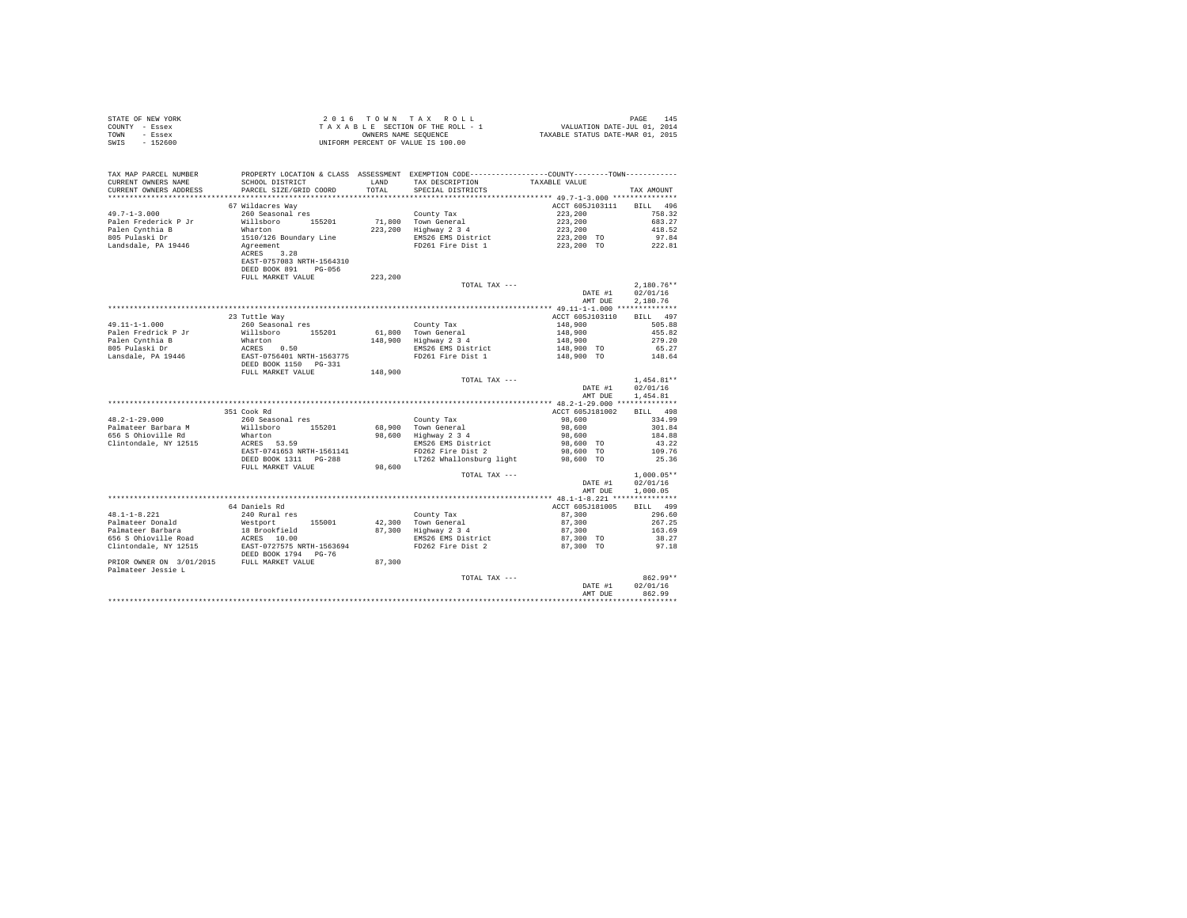| STATE OF NEW YORK | 2016 TOWN TAX ROLL                 | PAGE<br>145                      |
|-------------------|------------------------------------|----------------------------------|
| COUNTY - Essex    | TAXABLE SECTION OF THE ROLL - 1    | VALUATION DATE-JUL 01, 2014      |
| TOWN<br>- Essex   | OWNERS NAME SEOUENCE               | TAXABLE STATUS DATE-MAR 01, 2015 |
| $-152600$<br>SWIS | UNIFORM PERCENT OF VALUE IS 100.00 |                                  |

| TAX MAP PARCEL NUMBER<br>CURRENT OWNERS NAME<br>CURRENT OWNERS ADDRESS | PROPERTY LOCATION & CLASS ASSESSMENT EXEMPTION CODE---------------COUNTY-------TOWN---------<br>SCHOOL DISTRICT<br>PARCEL SIZE/GRID COORD | LAND<br>TOTAL | TAX DESCRIPTION<br>SPECIAL DISTRICTS | TAXABLE VALUE                              | TAX AMOUNT         |
|------------------------------------------------------------------------|-------------------------------------------------------------------------------------------------------------------------------------------|---------------|--------------------------------------|--------------------------------------------|--------------------|
|                                                                        |                                                                                                                                           |               |                                      |                                            |                    |
|                                                                        | 67 Wildacres Way                                                                                                                          |               |                                      | ACCT 605J103111                            | <b>BILL</b><br>496 |
| $49.7 - 1 - 3.000$                                                     | 260 Seasonal res                                                                                                                          |               | County Tax                           | 223,200                                    | 758.32             |
| Palen Frederick P Jr                                                   | Willsboro<br>155201                                                                                                                       | 71,800        | Town General                         | 223,200                                    | 683.27             |
| Palen Cynthia B                                                        | Wharton                                                                                                                                   | 223,200       | Highway 2 3 4                        | 223,200                                    | 418.52             |
| 805 Pulaski Dr                                                         | 1510/126 Boundary Line                                                                                                                    |               | EMS26 EMS District                   | 223,200 TO                                 | 97.84              |
| Landsdale, PA 19446                                                    | Agreement                                                                                                                                 |               | FD261 Fire Dist 1                    | 223,200 TO                                 | 222.81             |
|                                                                        | 3.28<br>ACRES                                                                                                                             |               |                                      |                                            |                    |
|                                                                        | EAST-0757083 NRTH-1564310                                                                                                                 |               |                                      |                                            |                    |
|                                                                        | DEED BOOK 891 PG-056                                                                                                                      |               |                                      |                                            |                    |
|                                                                        | FULL MARKET VALUE                                                                                                                         | 223,200       |                                      |                                            |                    |
|                                                                        |                                                                                                                                           |               | TOTAL TAX ---                        |                                            | $2.180.76**$       |
|                                                                        |                                                                                                                                           |               |                                      | DATE #1                                    | 02/01/16           |
|                                                                        |                                                                                                                                           |               |                                      | AMT DUE                                    | 2.180.76           |
|                                                                        |                                                                                                                                           |               |                                      |                                            |                    |
|                                                                        | 23 Tuttle Way                                                                                                                             |               |                                      | ACCT 605J103110                            | BILL 497           |
| 49.11-1-1.000                                                          | 260 Seasonal res                                                                                                                          |               | County Tax                           | 148,900                                    | 505.88             |
| Palen Fredrick P Jr                                                    | Willsboro 155201                                                                                                                          |               | 61.800 Town General                  | 148,900                                    | 455.82             |
| Palen Cynthia B                                                        | Wharton                                                                                                                                   | 148,900       | Highway 2 3 4                        | 148,900                                    | 279.20             |
| 805 Pulaski Dr                                                         | ACRES 0.50                                                                                                                                |               | EMS26 EMS District                   | 148,900 TO                                 | 65.27              |
| Lansdale, PA 19446                                                     | EAST-0756401 NRTH-1563775                                                                                                                 |               | FD261 Fire Dist 1                    | 148,900 TO                                 | 148.64             |
|                                                                        | DEED BOOK 1150 PG-331                                                                                                                     |               |                                      |                                            |                    |
|                                                                        | FULL MARKET VALUE                                                                                                                         | 148,900       |                                      |                                            |                    |
|                                                                        |                                                                                                                                           |               | TOTAL TAX ---                        |                                            | $1.454.81**$       |
|                                                                        |                                                                                                                                           |               |                                      | DATE #1                                    | 02/01/16           |
|                                                                        |                                                                                                                                           |               |                                      | AMT DUE                                    | 1,454.81           |
|                                                                        |                                                                                                                                           |               |                                      | ************* 48.2-1-29.000 ************** |                    |
|                                                                        | 351 Cook Rd                                                                                                                               |               |                                      | ACCT 605J181002                            | BILL 498           |
| $48.2 - 1 - 29.000$                                                    | 260 Seasonal res                                                                                                                          |               | County Tax                           | 98,600                                     | 334.99             |
| Palmateer Barbara M                                                    | Willsboro<br>155201                                                                                                                       | 68,900        | Town General                         | 98,600                                     | 301.84             |
| 656 S Ohioville Rd                                                     | Wharton                                                                                                                                   | 98,600        | Highway 2 3 4                        | 98,600                                     | 184.88             |
| Clintondale, NY 12515                                                  | ACRES 53.59                                                                                                                               |               | EMS26 EMS District                   | 98,600 TO                                  | 43.22              |
|                                                                        | EAST-0741653 NRTH-1561141                                                                                                                 |               | FD262 Fire Dist 2                    | 98,600 TO                                  | 109.76             |
|                                                                        | DEED BOOK 1311    PG-288                                                                                                                  |               | LT262 Whallonsburg light             | 98,600 TO                                  | 25.36              |
|                                                                        | FULL MARKET VALUE                                                                                                                         | 98,600        |                                      |                                            |                    |
|                                                                        |                                                                                                                                           |               | TOTAL TAX ---                        |                                            | $1.000.05**$       |
|                                                                        |                                                                                                                                           |               |                                      | DATE #1                                    | 02/01/16           |
|                                                                        |                                                                                                                                           |               |                                      | AMT DUE                                    | 1,000.05           |
|                                                                        |                                                                                                                                           |               |                                      |                                            |                    |
|                                                                        | 64 Daniels Rd                                                                                                                             |               |                                      | ACCT 605J181005                            | BILL 499           |
| $48.1 - 1 - 8.221$                                                     | 240 Rural res                                                                                                                             |               | County Tax                           | 87,300                                     | 296.60             |
| Palmateer Donald                                                       | Westport<br>155001                                                                                                                        | 42,300        | Town General                         | 87,300                                     | 267.25             |
| Palmateer Barbara                                                      | 18 Brookfield                                                                                                                             |               | 87,300 Highway 2 3 4                 | 87,300                                     | 163.69             |
| 656 S Ohioville Road                                                   | ACRES 10.00                                                                                                                               |               | EMS26 EMS District                   | 87,300 TO                                  | 38.27              |
| Clintondale, NY 12515                                                  | EAST-0727575 NRTH-1563694<br>DEED BOOK 1794 PG-76                                                                                         |               | FD262 Fire Dist 2                    | 87,300 TO                                  | 97.18              |
| PRIOR OWNER ON 3/01/2015 FULL MARKET VALUE                             |                                                                                                                                           | 87,300        |                                      |                                            |                    |
| Palmateer Jessie L                                                     |                                                                                                                                           |               |                                      |                                            |                    |
|                                                                        |                                                                                                                                           |               | TOTAL TAX ---                        |                                            | 862.99**           |
|                                                                        |                                                                                                                                           |               |                                      | DATE #1                                    | 02/01/16           |
|                                                                        |                                                                                                                                           |               |                                      | AMT DUE                                    | 862.99             |
|                                                                        |                                                                                                                                           |               |                                      |                                            |                    |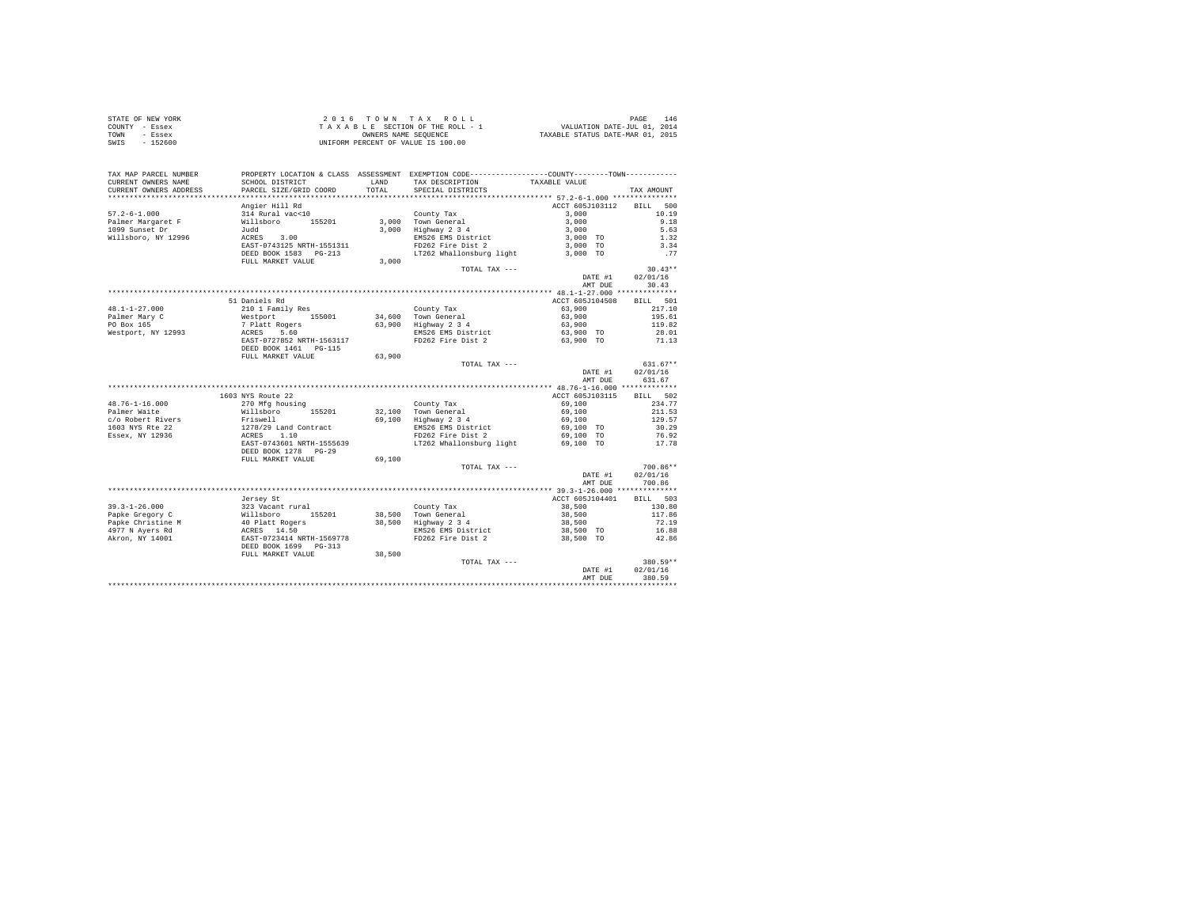| STATE OF NEW YORK | 2016 TOWN TAX ROLL                 | 146<br>PAGE                      |
|-------------------|------------------------------------|----------------------------------|
| COUNTY - Essex    | TAXABLE SECTION OF THE ROLL - 1    | VALUATION DATE-JUL 01, 2014      |
| TOWN<br>- Essex   | OWNERS NAME SEOUENCE               | TAXABLE STATUS DATE-MAR 01, 2015 |
| $-152600$<br>SWIS | UNIFORM PERCENT OF VALUE IS 100.00 |                                  |

| TAX MAP PARCEL NUMBER<br>CURRENT OWNERS NAME | SCHOOL DISTRICT                                                                                                                                                                                                                         |        | PROPERTY LOCATION & CLASS ASSESSMENT EXEMPTION CODE----------------COUNTY--------TOWN----------<br>LAND TAX DESCRIPTION TAXABLE VALUE |                          |                         |
|----------------------------------------------|-----------------------------------------------------------------------------------------------------------------------------------------------------------------------------------------------------------------------------------------|--------|---------------------------------------------------------------------------------------------------------------------------------------|--------------------------|-------------------------|
| CURRENT OWNERS ADDRESS                       | PARCEL SIZE/GRID COORD                                                                                                                                                                                                                  |        | TOTAL SPECIAL DISTRICTS                                                                                                               |                          | TAX AMOUNT              |
|                                              |                                                                                                                                                                                                                                         |        |                                                                                                                                       |                          |                         |
|                                              | Angier Hill Rd                                                                                                                                                                                                                          |        |                                                                                                                                       | ACCT 605J103112 BILL 500 |                         |
|                                              |                                                                                                                                                                                                                                         |        |                                                                                                                                       | 3,000                    | 10.19                   |
|                                              |                                                                                                                                                                                                                                         |        |                                                                                                                                       | $3,000$<br>$3,000$       | 9.18                    |
|                                              |                                                                                                                                                                                                                                         |        |                                                                                                                                       |                          | 5.63                    |
|                                              |                                                                                                                                                                                                                                         |        | EMS26 EMS District<br>FD262 Fire Dist 2                                                                                               | $3,000$ TO<br>$3,000$ TO | $1.32$<br>$3.34$        |
|                                              |                                                                                                                                                                                                                                         |        |                                                                                                                                       |                          |                         |
|                                              | DEED BOOK 1583 PG-213                                                                                                                                                                                                                   |        | LT262 Whallonsburg light 3,000 TO                                                                                                     |                          | .77                     |
|                                              | FULL MARKET VALUE                                                                                                                                                                                                                       | 3.000  |                                                                                                                                       |                          |                         |
|                                              |                                                                                                                                                                                                                                         |        | TOTAL TAX ---                                                                                                                         |                          | $30.43**$               |
|                                              |                                                                                                                                                                                                                                         |        |                                                                                                                                       |                          | DATE #1 02/01/16        |
|                                              |                                                                                                                                                                                                                                         |        |                                                                                                                                       | AMT DUE                  | 30.43                   |
|                                              |                                                                                                                                                                                                                                         |        |                                                                                                                                       |                          |                         |
|                                              | 51 Daniels Rd                                                                                                                                                                                                                           |        |                                                                                                                                       | ACCT 605J104508 BILL 501 |                         |
|                                              |                                                                                                                                                                                                                                         |        |                                                                                                                                       | 63,900                   | 217.10                  |
|                                              |                                                                                                                                                                                                                                         |        |                                                                                                                                       | $63,900$<br>63,900       | 195.61                  |
|                                              |                                                                                                                                                                                                                                         |        |                                                                                                                                       |                          | 119.82                  |
|                                              |                                                                                                                                                                                                                                         |        |                                                                                                                                       | 63,900 TO<br>63,900 TO   | 28.01<br>71.13          |
|                                              |                                                                                                                                                                                                                                         |        |                                                                                                                                       |                          |                         |
|                                              |                                                                                                                                                                                                                                         |        |                                                                                                                                       |                          |                         |
|                                              | FULL MARKET VALUE 63,900                                                                                                                                                                                                                |        |                                                                                                                                       |                          |                         |
|                                              |                                                                                                                                                                                                                                         |        | TOTAL TAX ---                                                                                                                         |                          | $631.67**$              |
|                                              |                                                                                                                                                                                                                                         |        |                                                                                                                                       | DATE #1 0<br>AMT DUE     | 02/01/16                |
|                                              |                                                                                                                                                                                                                                         |        |                                                                                                                                       |                          | 631.67                  |
|                                              |                                                                                                                                                                                                                                         |        |                                                                                                                                       |                          |                         |
|                                              | 1603 NYS Route 22                                                                                                                                                                                                                       |        |                                                                                                                                       | ACCT 605J103115 BILL 502 |                         |
|                                              |                                                                                                                                                                                                                                         |        |                                                                                                                                       |                          | 234.77                  |
|                                              |                                                                                                                                                                                                                                         |        |                                                                                                                                       |                          | 211.53                  |
|                                              |                                                                                                                                                                                                                                         |        |                                                                                                                                       |                          | 129.57                  |
|                                              |                                                                                                                                                                                                                                         |        |                                                                                                                                       | 69,100 TO<br>69,100 TO   | 30.29<br>76.92<br>17.78 |
|                                              |                                                                                                                                                                                                                                         |        |                                                                                                                                       |                          |                         |
|                                              |                                                                                                                                                                                                                                         |        |                                                                                                                                       |                          |                         |
|                                              | DEED BOOK 1278 PG-29                                                                                                                                                                                                                    |        |                                                                                                                                       |                          |                         |
|                                              | FULL MARKET VALUE                                                                                                                                                                                                                       | 69,100 |                                                                                                                                       |                          |                         |
|                                              |                                                                                                                                                                                                                                         |        | TOTAL TAX ---                                                                                                                         |                          | $700.86**$              |
|                                              |                                                                                                                                                                                                                                         |        |                                                                                                                                       | DATE #1                  | 02/01/16                |
|                                              |                                                                                                                                                                                                                                         |        |                                                                                                                                       | AMT DUE                  | 700.86                  |
|                                              |                                                                                                                                                                                                                                         |        |                                                                                                                                       |                          |                         |
|                                              | Jersev St                                                                                                                                                                                                                               |        |                                                                                                                                       | ACCT 605J104401 BILL 503 |                         |
|                                              |                                                                                                                                                                                                                                         |        |                                                                                                                                       |                          |                         |
|                                              |                                                                                                                                                                                                                                         |        |                                                                                                                                       |                          |                         |
|                                              |                                                                                                                                                                                                                                         |        |                                                                                                                                       |                          |                         |
|                                              | 39.3-1-26.000<br>Papke Gregory C 323 Vacant rural<br>Papke Christine M 40 Platt Rogers 38,500 Town General<br>Papke Christine M 40 Platt Rogers 38,500 Highway 2 3 4<br>4977 N Ayers Rd ACRES 14.50<br>AKron, NY 14001 EAER -0723414 NR |        |                                                                                                                                       |                          |                         |
|                                              |                                                                                                                                                                                                                                         |        | FD262 Fire Dist 2                                                                                                                     | 38,500 TO                | 42.86                   |
|                                              |                                                                                                                                                                                                                                         |        |                                                                                                                                       |                          |                         |
|                                              | FULL MARKET VALUE                                                                                                                                                                                                                       | 38,500 |                                                                                                                                       |                          |                         |
|                                              |                                                                                                                                                                                                                                         |        | TOTAL TAX ---                                                                                                                         |                          | 380.59**                |
|                                              |                                                                                                                                                                                                                                         |        |                                                                                                                                       | DATE #1                  | 02/01/16                |
|                                              |                                                                                                                                                                                                                                         |        |                                                                                                                                       | AMT DUE                  | 380.59                  |
|                                              |                                                                                                                                                                                                                                         |        |                                                                                                                                       |                          |                         |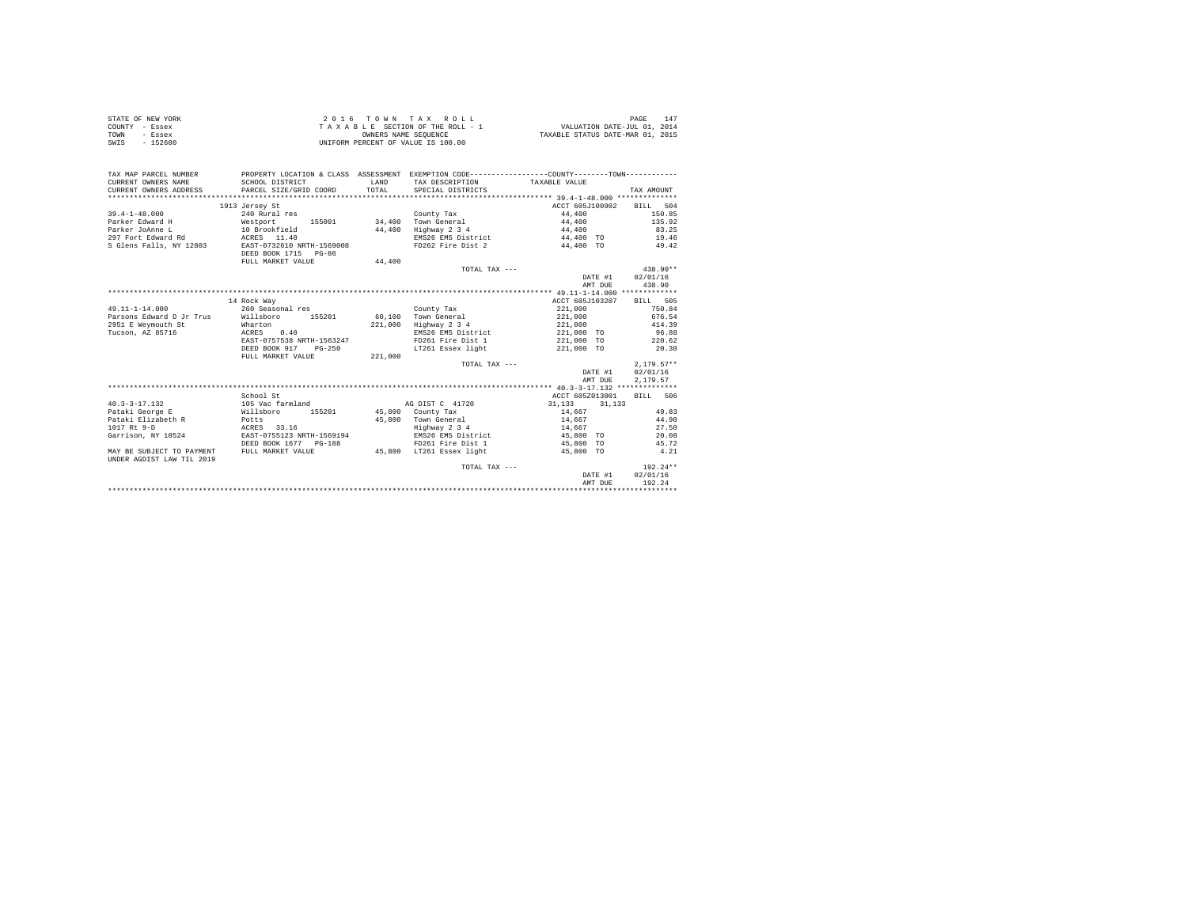|      | STATE OF NEW YORK | 2016 TOWN TAX ROLL                 | 147<br>PAGE                      |
|------|-------------------|------------------------------------|----------------------------------|
|      | COUNTY - Essex    | TAXABLE SECTION OF THE ROLL - 1    | VALUATION DATE-JUL 01, 2014      |
| TOWN | - Essex           | OWNERS NAME SEOUENCE               | TAXABLE STATUS DATE-MAR 01, 2015 |
| SWIS | - 152600          | UNIFORM PERCENT OF VALUE IS 100.00 |                                  |

| TAX MAP PARCEL NUMBER<br>CURRENT OWNERS NAME<br>CURRENT OWNERS ADDRESS | PROPERTY LOCATION & CLASS ASSESSMENT EXEMPTION CODE---------------COUNTY-------TOWN----------<br>SCHOOL DISTRICT<br>PARCEL SIZE/GRID COORD | LAND<br>TOTAL | TAX DESCRIPTION<br>SPECIAL DISTRICTS | TAXABLE VALUE    | TAX AMOUNT     |
|------------------------------------------------------------------------|--------------------------------------------------------------------------------------------------------------------------------------------|---------------|--------------------------------------|------------------|----------------|
|                                                                        | 1913 Jersey St                                                                                                                             |               |                                      | ACCT 605J100902  | BILL 504       |
| $39.4 - 1 - 48.000$                                                    | 240 Rural res                                                                                                                              |               | County Tax                           | 44,400           | 150.85         |
| Parker Edward H<br>Westport                                            | 155001                                                                                                                                     | 34,400        | Town General                         | 44,400           | 135.92         |
| Parker JoAnne L                                                        | 10 Brookfield                                                                                                                              | 44,400        | Highway 2 3 4                        | 44,400           | 83.25          |
| 297 Fort Edward Rd                                                     | $ACRES$ 11.40                                                                                                                              |               | EMS26 EMS District                   | 44,400 TO        | 19.46          |
| S Glens Falls, NY 12803                                                | EAST-0732610 NRTH-1569008                                                                                                                  |               | FD262 Fire Dist 2                    | 44,400 TO        | 49.42          |
|                                                                        | DEED BOOK 1715 PG-86                                                                                                                       |               |                                      |                  |                |
|                                                                        | FULL MARKET VALUE                                                                                                                          | 44,400        |                                      |                  |                |
|                                                                        |                                                                                                                                            |               | TOTAL TAX ---                        |                  | $438.90**$     |
|                                                                        |                                                                                                                                            |               |                                      | DATE #1          | 02/01/16       |
|                                                                        |                                                                                                                                            |               |                                      | AMT DUE          | 438.90         |
|                                                                        |                                                                                                                                            |               |                                      |                  |                |
|                                                                        | 14 Rock Way                                                                                                                                |               |                                      | ACCT 605J103207  | BILL 505       |
| $49.11 - 1 - 14.000$                                                   | 260 Seasonal res                                                                                                                           |               | County Tax                           | 221,000          | 750.84         |
| Parsons Edward D Jr Trus                                               | Willsboro 155201                                                                                                                           |               | 60,100 Town General                  | 221,000          | 676.54         |
| 2951 E Weymouth St                                                     | Wharton                                                                                                                                    |               | 221,000 Highway 2 3 4                | 221,000          | 414.39         |
| Tucson, AZ 85716                                                       | ACRES<br>0.40                                                                                                                              |               | EMS26 EMS District                   | 221,000 TO       | 96.88          |
|                                                                        | EAST-0757538 NRTH-1563247                                                                                                                  |               | FD261 Fire Dist 1                    | 221,000 TO       | 220.62         |
|                                                                        | DEED BOOK 917<br>$PG-250$                                                                                                                  |               | LT261 Essex light                    | 221,000 TO       | 20.30          |
|                                                                        | FULL MARKET VALUE                                                                                                                          | 221,000       |                                      |                  |                |
|                                                                        |                                                                                                                                            |               | TOTAL TAX ---                        |                  | $2.179.57**$   |
|                                                                        |                                                                                                                                            |               |                                      | DATE #1          | 02/01/16       |
|                                                                        |                                                                                                                                            |               |                                      | AMT DUE          | 2.179.57       |
|                                                                        |                                                                                                                                            |               |                                      |                  | BILL 506       |
|                                                                        | School St                                                                                                                                  |               |                                      | ACCT 605Z013001  |                |
| $40.3 - 3 - 17.132$                                                    | 105 Vac farmland<br>155201                                                                                                                 |               | AG DIST C 41720                      | 31, 133 31, 133  |                |
| Pataki George E<br>Pataki Elizabeth R<br><b>Potts</b>                  | Willsboro                                                                                                                                  | 45,800        | 45,800 County Tax<br>Town General    | 14,667           | 49.83<br>44.90 |
| 1017 Rt 9-D                                                            | ACRES 33.16                                                                                                                                |               | Highway 2 3 4                        | 14,667<br>14,667 | 27.50          |
| Garrison, NY 10524                                                     | EAST-0755123 NRTH-1569194                                                                                                                  |               | EMS26 EMS District                   | 45,800 TO        | 20.08          |
|                                                                        | DEED BOOK 1677 PG-188                                                                                                                      |               | FD261 Fire Dist 1                    | 45,800 TO        | 45.72          |
| MAY BE SUBJECT TO PAYMENT                                              | FULL MARKET VALUE                                                                                                                          |               | 45.800 LT261 Essex light             | 45,800 TO        | 4.21           |
| UNDER AGDIST LAW TIL 2019                                              |                                                                                                                                            |               |                                      |                  |                |
|                                                                        |                                                                                                                                            |               | TOTAL TAX ---                        |                  | $192.24**$     |
|                                                                        |                                                                                                                                            |               |                                      | DATE #1          | 02/01/16       |
|                                                                        |                                                                                                                                            |               |                                      | AMT DUE          | 192.24         |
|                                                                        |                                                                                                                                            |               |                                      |                  |                |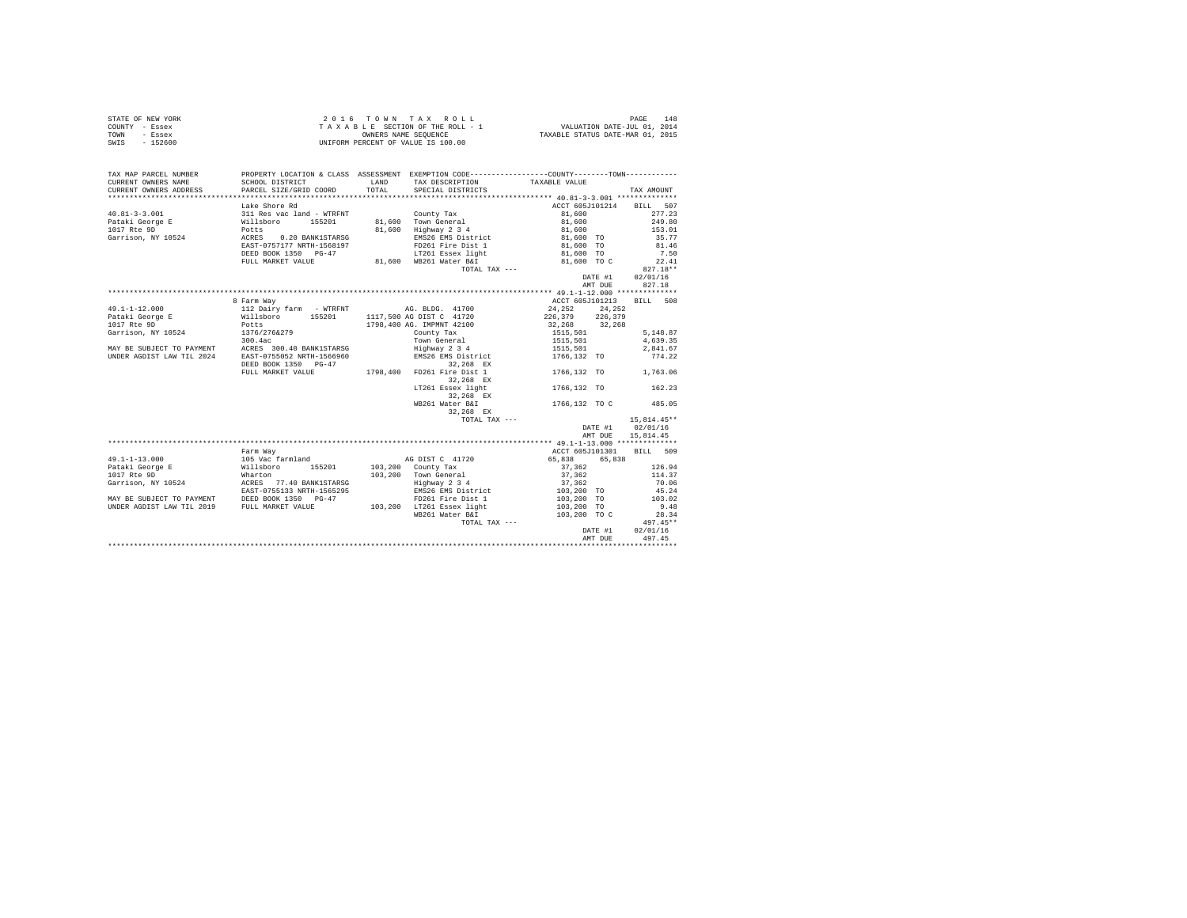| STATE OF NEW YORK | $2.0.16$ TOWN TAX ROLL             | 148<br>PAGE                      |
|-------------------|------------------------------------|----------------------------------|
| COUNTY - Essex    | TAXABLE SECTION OF THE ROLL - 1    | VALUATION DATE-JUL 01, 2014      |
| TOWN<br>- Essex   | OWNERS NAME SEOUENCE               | TAXABLE STATUS DATE-MAR 01, 2015 |
| $-152600$<br>SWIS | UNIFORM PERCENT OF VALUE IS 100.00 |                                  |

| TAX MAP PARCEL NUMBER  | PROPERTY LOCATION & CLASS ASSESSMENT EXEMPTION CODE----------------COUNTY--------TOWN----------                                                                                                                                             |       |                                                   |                                  |               |
|------------------------|---------------------------------------------------------------------------------------------------------------------------------------------------------------------------------------------------------------------------------------------|-------|---------------------------------------------------|----------------------------------|---------------|
| CURRENT OWNERS NAME    | SCHOOL DISTRICT                                                                                                                                                                                                                             |       | LAND TAX DESCRIPTION                              | TAXABLE VALUE                    |               |
| CURRENT OWNERS ADDRESS | PARCEL SIZE/GRID COORD                                                                                                                                                                                                                      | TOTAL | SPECIAL DISTRICTS                                 |                                  | TAX AMOUNT    |
|                        |                                                                                                                                                                                                                                             |       |                                                   | ACCT 605J101214                  | BILL 507      |
|                        |                                                                                                                                                                                                                                             |       |                                                   | 81,600                           | 277.23        |
|                        |                                                                                                                                                                                                                                             |       | 81,600 Town General                               | 81,600                           | 249.80        |
|                        |                                                                                                                                                                                                                                             |       | 81,600 Highway 2 3 4                              | 81,600                           | 153.01        |
|                        |                                                                                                                                                                                                                                             |       |                                                   | EMS26 EMS District 81,600 TO     | 35.77         |
|                        |                                                                                                                                                                                                                                             |       | FD261 Fire Dist 1                                 | 81,600 TO                        | 81.46         |
|                        | DEED BOOK 1350 PG-47                                                                                                                                                                                                                        |       | LT261 Essex light                                 | 81,600 TO                        | 7.50          |
|                        | FULL MARKET VALUE                                                                                                                                                                                                                           |       | 81,600 WB261 Water B&I                            | 81,600 TO C                      | 22.41         |
|                        |                                                                                                                                                                                                                                             |       | TOTAL TAX ---                                     |                                  | $827.18**$    |
|                        |                                                                                                                                                                                                                                             |       |                                                   | DATE #1                          | 02/01/16      |
|                        |                                                                                                                                                                                                                                             |       |                                                   | AMT DUE                          | 827.18        |
|                        |                                                                                                                                                                                                                                             |       |                                                   |                                  |               |
|                        | 8 Farm Way                                                                                                                                                                                                                                  |       |                                                   | ACCT 605J101213                  | BILL 508      |
| 49.1-1-12.000          | 112 Dairy farm - WTRFNT AG. BLDG. 41700                                                                                                                                                                                                     |       |                                                   | 24, 252 24, 252                  |               |
|                        |                                                                                                                                                                                                                                             |       | 1117,500 AG DIST C 41720                          | 226,379 226,379<br>32,268 32,268 |               |
|                        |                                                                                                                                                                                                                                             |       | 1798.400 AG. IMPMNT 42100                         |                                  |               |
|                        |                                                                                                                                                                                                                                             |       | County Tax                                        | 1515,501<br>1515,501             | 5,148.87      |
|                        |                                                                                                                                                                                                                                             |       | Town General                                      |                                  | 4,639.35      |
|                        |                                                                                                                                                                                                                                             |       | Highway 2 3 4<br>EMS26 EMS District               | 1515,501<br>1766,132 TO          | 2,841.67      |
|                        |                                                                                                                                                                                                                                             |       |                                                   |                                  | 774.22        |
|                        | DEED BOOK 1350 PG-47<br>FULL MARKET VALUE 1798,400 FD261 Fire Dist 1                                                                                                                                                                        |       | 32,268 EX                                         |                                  |               |
|                        |                                                                                                                                                                                                                                             |       |                                                   | 1766.132 TO 1.763.06             |               |
|                        |                                                                                                                                                                                                                                             |       | 32.268 EX                                         |                                  |               |
|                        |                                                                                                                                                                                                                                             |       | LT261 Essex light                                 | 1766,132 TO                      | 162.23        |
|                        |                                                                                                                                                                                                                                             |       | 32.268 EX                                         |                                  |               |
|                        |                                                                                                                                                                                                                                             |       | WB261 Water B&I                                   | 1766.132 TO C 485.05             |               |
|                        |                                                                                                                                                                                                                                             |       | 32,268 EX                                         |                                  |               |
|                        |                                                                                                                                                                                                                                             |       | TOTAL TAX ---                                     |                                  | $15.814.45**$ |
|                        |                                                                                                                                                                                                                                             |       |                                                   | DATE #1<br>AMT DUE               | 02/01/16      |
|                        |                                                                                                                                                                                                                                             |       |                                                   |                                  | 15,814.45     |
|                        | Farm Way                                                                                                                                                                                                                                    |       |                                                   | ACCT 605J101301                  | BILL 509      |
|                        |                                                                                                                                                                                                                                             |       | AG DIST C 41720                                   |                                  |               |
|                        |                                                                                                                                                                                                                                             |       | 155201 103,200 County Tax                         | $65,838$ $65,838$<br>$37,362$    | 126.94        |
|                        |                                                                                                                                                                                                                                             |       |                                                   |                                  | 114.37        |
|                        |                                                                                                                                                                                                                                             |       | EANK1STARSG 103,200 Town General<br>Highway 2 3 4 | 37,362<br>37,362                 | 70.06         |
|                        |                                                                                                                                                                                                                                             |       | EMS26 EMS District                                |                                  | 45.24         |
|                        |                                                                                                                                                                                                                                             |       | FD261 Fire Dist 1                                 | 103,200 TO<br>103,200 TO         | 103.02        |
|                        | 49.1-1-13.000<br>Pataki George E Millsboro 155201<br>105 Vac farmland Millsboro 155201<br>1017 Rte 9D Martton ACRES 77.40 BANK1STARSG<br>Garrison, NY 10524 EAST-0755133 NRTH-1565295<br>NAY BE SUBJECT TO PAYMENT BEED BOOK 1350 PG-47<br> |       | 103,200 LT261 Essex light                         | 103,200 TO                       | 9.48          |
|                        |                                                                                                                                                                                                                                             |       | WB261 Water B&I                                   | 103,200 TO C                     | 28.34         |
|                        |                                                                                                                                                                                                                                             |       | TOTAL TAX ---                                     |                                  | $497.45**$    |
|                        |                                                                                                                                                                                                                                             |       |                                                   | DATE #1                          | 02/01/16      |
|                        |                                                                                                                                                                                                                                             |       |                                                   | AMT DUE                          | 497.45        |
|                        |                                                                                                                                                                                                                                             |       |                                                   |                                  |               |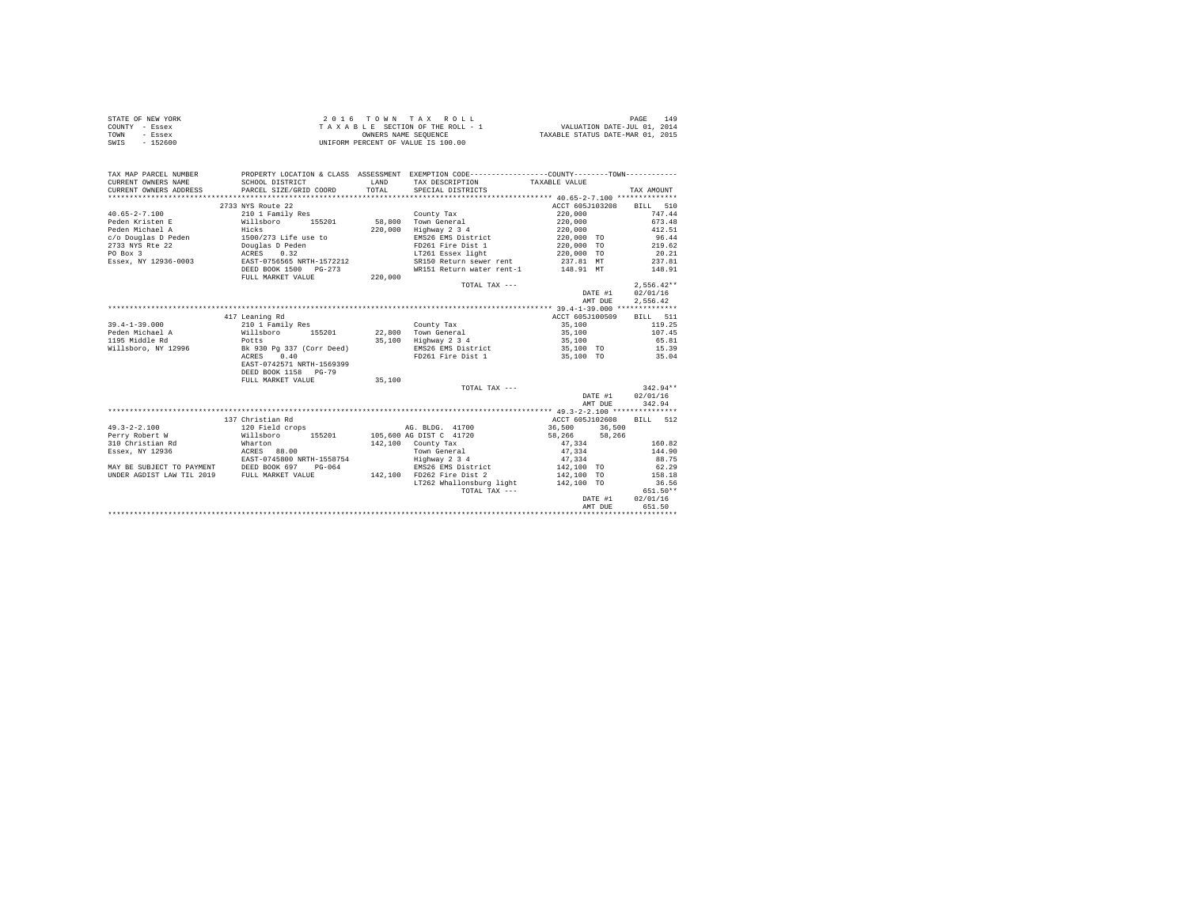| STATE OF NEW YORK | $2.0.16$ TOWN TAX ROLL             | 149<br>PAGE                      |
|-------------------|------------------------------------|----------------------------------|
| COUNTY - Essex    | TAXABLE SECTION OF THE ROLL - 1    | VALUATION DATE-JUL 01, 2014      |
| TOWN<br>- Essex   | OWNERS NAME SEOUENCE               | TAXABLE STATUS DATE-MAR 01, 2015 |
| SWIS<br>$-152600$ | UNIFORM PERCENT OF VALUE IS 100.00 |                                  |

| TAX MAP PARCEL NUMBER<br>CURRENT OWNERS NAME                                | PROPERTY LOCATION & CLASS ASSESSMENT EXEMPTION CODE---------------COUNTY-------TOWN----------<br>SCHOOL DISTRICT | LAND    | TAX DESCRIPTION                                    | TAXABLE VALUE                      |              |
|-----------------------------------------------------------------------------|------------------------------------------------------------------------------------------------------------------|---------|----------------------------------------------------|------------------------------------|--------------|
| CURRENT OWNERS ADDRESS PARCEL SIZE/GRID COORD                               |                                                                                                                  | TOTAL   | SPECIAL DISTRICTS                                  |                                    | TAX AMOUNT   |
|                                                                             |                                                                                                                  |         |                                                    |                                    |              |
|                                                                             | 2733 NYS Route 22                                                                                                |         |                                                    | ACCT 605J103208 BILL 510           |              |
| $40.65 - 2 - 7.100$                                                         | 210 1 Family Res                                                                                                 |         | County Tax                                         | 220,000                            | 747.44       |
| Peden Kristen E Willsboro                                                   |                                                                                                                  |         | 155201 58,800 Town General                         | 220,000                            | 673.48       |
| Peden Michael A                                                             | Hicks<br>1500/273 Life use to<br>Douglas D Peden                                                                 | 220,000 | Highway 2 3 4                                      | 220,000<br>220,000 TO              | 412.51       |
| c/o Douglas D Peden                                                         |                                                                                                                  |         | EMS26 EMS District                                 |                                    | 96.44        |
| 2733 NYS Rte 22                                                             |                                                                                                                  |         |                                                    | FD261 Fire Dist 1 220,000 TO       | 219.62       |
| PO Box 3                                                                    | ACRES 0.32<br>EAST-0756565 NRTH-1572212                                                                          |         | LT261 Essex light 220,000 TO                       |                                    | 20.21        |
| Essex, NY 12936-0003                                                        |                                                                                                                  |         | SR150 Return sewer rent                            | 237.81 MT                          | 237.81       |
|                                                                             | DEED BOOK 1500 PG-273                                                                                            |         | WR151 Return water rent-1 148.91 MT                |                                    | 148.91       |
|                                                                             | FULL MARKET VALUE                                                                                                | 220.000 |                                                    |                                    |              |
|                                                                             |                                                                                                                  |         | TOTAL TAX ---                                      |                                    | $2.556.42**$ |
|                                                                             |                                                                                                                  |         |                                                    | DATE #1                            | 02/01/16     |
|                                                                             |                                                                                                                  |         |                                                    | AMT DUE                            | 2.556.42     |
|                                                                             |                                                                                                                  |         |                                                    |                                    |              |
|                                                                             | 417 Leaning Rd                                                                                                   |         |                                                    | ACCT 605J100509                    | BILL 511     |
| $39.4 - 1 - 39.000$                                                         | 210 1 Family Res                                                                                                 |         | County Tax                                         | 35,100                             | 119.25       |
| Peden Michael A                                                             | Willsboro                                                                                                        |         |                                                    |                                    | 107.45       |
| 1195 Middle Rd                                                              | Potts                                                                                                            |         | 155201 22,800 Town General<br>35,100 Highway 2 3 4 | 35,100<br>35,100                   | 65.81        |
| Willsboro, NY 12996 Bk 930 Pg 337 (Corr Deed)                               |                                                                                                                  |         |                                                    | EMS26 EMS District 35,100 TO 15.39 |              |
|                                                                             | ACRES 0.40                                                                                                       |         | FD261 Fire Dist 1                                  | 35,100 TO 35.04                    |              |
|                                                                             | EAST-0742571 NRTH-1569399                                                                                        |         |                                                    |                                    |              |
|                                                                             | DEED BOOK 1158 PG-79                                                                                             |         |                                                    |                                    |              |
|                                                                             | FULL MARKET VALUE                                                                                                | 35,100  |                                                    |                                    |              |
|                                                                             |                                                                                                                  |         | TOTAL TAX ---                                      |                                    | $342.94**$   |
|                                                                             |                                                                                                                  |         |                                                    | DATE #1                            | 02/01/16     |
|                                                                             |                                                                                                                  |         |                                                    |                                    | 342.94       |
|                                                                             |                                                                                                                  |         |                                                    | AMT DUE                            |              |
|                                                                             |                                                                                                                  |         |                                                    |                                    |              |
|                                                                             | 137 Christian Rd                                                                                                 |         |                                                    | ACCT 605J102608                    | BILL 512     |
| $49.3 - 2 - 2.100$                                                          | 120 Field crops                                                                                                  |         | AG. BLDG. 41700                                    | 36,500 36,500                      |              |
| Perry Robert W                                                              | Willsboro 155201 105,600 AG DIST C 41720<br>Wharton 142,100 County Tax                                           |         |                                                    | 58, 266 58, 266                    |              |
| 310 Christian Rd                                                            |                                                                                                                  |         |                                                    | 47,334                             | 160.82       |
| Essex, NY 12936                                                             | ACRES 88.00                                                                                                      |         | Town General                                       | 47.334                             | 144.90       |
| EAST-0745800 NRTH-1558754<br>MAY BE SUBJECT TO PAYMENT DEED BOOK 697 PG-064 |                                                                                                                  |         | Highway 2 3 4<br>EMS26 EMS District                | $47,334$<br>$142,100$ TO           | 88.75        |
|                                                                             |                                                                                                                  |         |                                                    |                                    | 62.29        |
| UNDER AGDIST LAW TIL 2019 FULL MARKET VALUE                                 |                                                                                                                  |         | 142,100 FD262 Fire Dist 2                          | 142,100 TO                         | 158.18       |
|                                                                             |                                                                                                                  |         | LT262 Whallonsburg light 142,100 TO                |                                    | 36.56        |
|                                                                             |                                                                                                                  |         | TOTAL TAX ---                                      |                                    | 651.50**     |
|                                                                             |                                                                                                                  |         |                                                    | DATE #1                            | 02/01/16     |
|                                                                             |                                                                                                                  |         |                                                    | AMT DUE                            | 651.50       |
|                                                                             |                                                                                                                  |         |                                                    |                                    |              |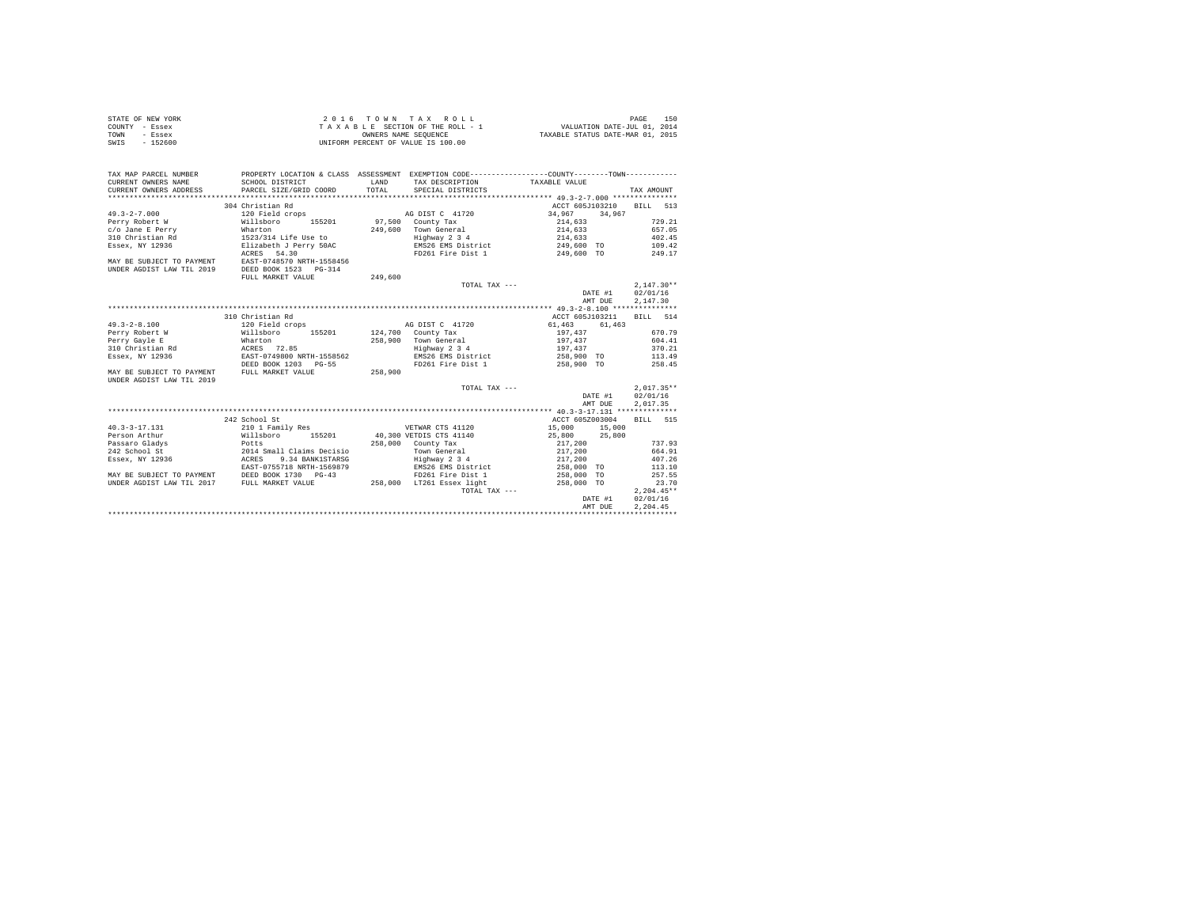| STATE OF NEW YORK | 2016 TOWN TAX ROLL                 | 150<br>PAGE                      |
|-------------------|------------------------------------|----------------------------------|
| COUNTY - Essex    | TAXABLE SECTION OF THE ROLL - 1    | VALUATION DATE-JUL 01, 2014      |
| TOWN<br>- Essex   | OWNERS NAME SEOUENCE               | TAXABLE STATUS DATE-MAR 01, 2015 |
| $-152600$<br>SWIS | UNIFORM PERCENT OF VALUE IS 100.00 |                                  |

| TAX MAP PARCEL NUMBER<br>CURRENT OWNERS NAME<br>CURRENT OWNERS ADDRESS                                                                                                                                                                                                                                                                                                                  | SCHOOL DISTRICT<br>PARCEL SIZE/GRID COORD                                                   | LAND<br>TOTAL. | PROPERTY LOCATION & CLASS ASSESSMENT EXEMPTION CODE---------------COUNTY--------TOWN----------<br>TAX DESCRIPTION TAXABLE VALUE<br>SPECIAL DISTRICTS |                           |                  | TAX AMOUNT   |        |
|-----------------------------------------------------------------------------------------------------------------------------------------------------------------------------------------------------------------------------------------------------------------------------------------------------------------------------------------------------------------------------------------|---------------------------------------------------------------------------------------------|----------------|------------------------------------------------------------------------------------------------------------------------------------------------------|---------------------------|------------------|--------------|--------|
|                                                                                                                                                                                                                                                                                                                                                                                         | 304 Christian Rd                                                                            |                |                                                                                                                                                      | ACCT 605J103210 BILL 513  |                  |              |        |
| $49.3 - 2 - 7.000$                                                                                                                                                                                                                                                                                                                                                                      | 120 Field crops                                                                             |                | AG DIST C 41720                                                                                                                                      | 34,967 34,967             |                  |              |        |
| Perry Robert W Willsboro 155201 97,500 County Tax                                                                                                                                                                                                                                                                                                                                       |                                                                                             |                |                                                                                                                                                      | 214,633 729.21            |                  |              |        |
|                                                                                                                                                                                                                                                                                                                                                                                         |                                                                                             |                |                                                                                                                                                      |                           |                  | 657.05       |        |
| $c/o$ Jane E Perry $\begin{array}{l} 249,600 \\ 310 \text{ Christon} \\ 1523/314 \text{ if} \\ 1523/32 \text{ if} \\ 1528/32 \text{ if} \\ 252 \text{ if} \\ 252 \text{ if} \\ 252 \text{ if} \\ 252 \text{ if} \\ 252 \text{ if} \\ 252 \text{ if} \\ 252 \text{ if} \\ 252 \text{ if} \\ 252 \text{ if} \\ 252 \text{ if} \\ 252 \text{ if} \\ 252 \text{ if} \\ 252 \text{ if} \\ 2$ |                                                                                             |                | 249,600 Town General 214,633<br>Highway 2 3 4 214,633                                                                                                |                           |                  |              | 402.45 |
|                                                                                                                                                                                                                                                                                                                                                                                         |                                                                                             |                | EMS26 EMS District 249,600 TO 109.42                                                                                                                 |                           |                  |              |        |
|                                                                                                                                                                                                                                                                                                                                                                                         | ACRES 54.30                                                                                 |                | FD261 Fire Dist 1 249,600 TO 249.17                                                                                                                  |                           |                  |              |        |
| MAY BE SUBJECT TO PAYMENT                                                                                                                                                                                                                                                                                                                                                               | EAST-0748570 NRTH-1558456                                                                   |                |                                                                                                                                                      |                           |                  |              |        |
| UNDER AGDIST LAW TIL 2019                                                                                                                                                                                                                                                                                                                                                               | DEED BOOK 1523 PG-314                                                                       |                |                                                                                                                                                      |                           |                  |              |        |
|                                                                                                                                                                                                                                                                                                                                                                                         | FULL MARKET VALUE                                                                           | 249,600        |                                                                                                                                                      |                           |                  |              |        |
|                                                                                                                                                                                                                                                                                                                                                                                         |                                                                                             |                | TOTAL TAX ---                                                                                                                                        |                           |                  | $2.147.30**$ |        |
|                                                                                                                                                                                                                                                                                                                                                                                         |                                                                                             |                |                                                                                                                                                      |                           | DATE #1 02/01/16 |              |        |
|                                                                                                                                                                                                                                                                                                                                                                                         |                                                                                             |                |                                                                                                                                                      |                           | AMT DUE          | 2.147.30     |        |
|                                                                                                                                                                                                                                                                                                                                                                                         |                                                                                             |                |                                                                                                                                                      |                           |                  |              |        |
|                                                                                                                                                                                                                                                                                                                                                                                         | 310 Christian Rd                                                                            |                |                                                                                                                                                      |                           |                  | RTLL 514     |        |
| $49.3 - 2 - 8.100$                                                                                                                                                                                                                                                                                                                                                                      |                                                                                             |                | AG DIST C 41720 61.463                                                                                                                               | ACCT 605J103211           | 61,463           |              |        |
|                                                                                                                                                                                                                                                                                                                                                                                         | 120 Field crops<br>Millsboro 155201 124,700 County Tax<br>Mharton 155201 124,700 County Tax |                |                                                                                                                                                      |                           |                  | 670.79       |        |
| Perry Robert W                                                                                                                                                                                                                                                                                                                                                                          |                                                                                             |                | 258,900 county Tax                                                                                                                                   | $\frac{197}{197}$ , 437   |                  |              |        |
| Perry Gayle E                                                                                                                                                                                                                                                                                                                                                                           | ACRES 72.85                                                                                 |                | Highway 2 3 4                                                                                                                                        | 197.437<br>197,437 370.21 |                  |              | 604.41 |
| 310 Christian Rd                                                                                                                                                                                                                                                                                                                                                                        |                                                                                             |                |                                                                                                                                                      |                           |                  |              |        |
| Essex, NY 12936                                                                                                                                                                                                                                                                                                                                                                         | EAST-0749800 NRTH-1558562                                                                   |                | EMS26 EMS District 258,900 TO 113.49                                                                                                                 |                           |                  |              |        |
|                                                                                                                                                                                                                                                                                                                                                                                         | DEED BOOK 1203 PG-55                                                                        | 258,900        | FD261 Fire Dist 1                                                                                                                                    | 258,900 TO                |                  |              | 258.45 |
| MAY BE SUBJECT TO PAYMENT FULL MARKET VALUE                                                                                                                                                                                                                                                                                                                                             |                                                                                             |                |                                                                                                                                                      |                           |                  |              |        |
| UNDER AGDIST LAW TIL 2019                                                                                                                                                                                                                                                                                                                                                               |                                                                                             |                |                                                                                                                                                      |                           |                  |              |        |
|                                                                                                                                                                                                                                                                                                                                                                                         |                                                                                             |                | TOTAL TAX ---                                                                                                                                        |                           |                  | $2.017.35**$ |        |
|                                                                                                                                                                                                                                                                                                                                                                                         |                                                                                             |                |                                                                                                                                                      |                           | DATE #1          | 02/01/16     |        |
|                                                                                                                                                                                                                                                                                                                                                                                         |                                                                                             |                |                                                                                                                                                      |                           | AMT DUE          | 2.017.35     |        |
|                                                                                                                                                                                                                                                                                                                                                                                         |                                                                                             |                |                                                                                                                                                      |                           |                  |              |        |
|                                                                                                                                                                                                                                                                                                                                                                                         | 242 School St                                                                               |                |                                                                                                                                                      | ACCT 605Z003004           |                  | BTLL 515     |        |
| $40.3 - 3 - 17.131$                                                                                                                                                                                                                                                                                                                                                                     | 210 1 Family Res                                                                            |                | VETWAR CTS 41120                                                                                                                                     | 15,000 15,000             |                  |              |        |
| Person Arthur                                                                                                                                                                                                                                                                                                                                                                           |                                                                                             |                | Willsboro 155201 40,300 VETDIS CTS 41140 25,800 25,800                                                                                               |                           |                  |              |        |
| Passaro Gladys                                                                                                                                                                                                                                                                                                                                                                          | Potts<br>2014 Small Claims Decisio<br>6 ACRES 9.34 BANK1STARSG                              |                | 258,000 County Tax                                                                                                                                   | 217,200                   |                  |              | 737.93 |
| 242 School St                                                                                                                                                                                                                                                                                                                                                                           |                                                                                             |                | Town General                                                                                                                                         | 217,200                   |                  |              | 664.91 |
| Essex, NY 12936                                                                                                                                                                                                                                                                                                                                                                         | 9.34 BANK1STARSG                                                                            |                | Highway 2 3 4<br>EMS26 EMS District                                                                                                                  | 217,200<br>258,000 TO     |                  |              | 407.26 |
|                                                                                                                                                                                                                                                                                                                                                                                         | EAST-0755718 NRTH-1569879                                                                   |                |                                                                                                                                                      |                           |                  |              | 113.10 |
| MAY BE SUBJECT TO PAYMENT DEED BOOK 1730 PG-43                                                                                                                                                                                                                                                                                                                                          |                                                                                             |                | FD261 Fire Dist 1 258,000 TO                                                                                                                         |                           |                  |              | 257.55 |
| UNDER AGDIST LAW TIL 2017 FULL MARKET VALUE                                                                                                                                                                                                                                                                                                                                             |                                                                                             |                | 258,000 LT261 Essex light 258,000 TO                                                                                                                 |                           |                  |              | 23.70  |
|                                                                                                                                                                                                                                                                                                                                                                                         |                                                                                             |                | TOTAL TAX ---                                                                                                                                        |                           |                  | $2,204.45**$ |        |
|                                                                                                                                                                                                                                                                                                                                                                                         |                                                                                             |                |                                                                                                                                                      |                           | DATE #1 02/01/16 |              |        |
|                                                                                                                                                                                                                                                                                                                                                                                         |                                                                                             |                |                                                                                                                                                      |                           | AMT DUE          | 2.204.45     |        |
|                                                                                                                                                                                                                                                                                                                                                                                         |                                                                                             |                |                                                                                                                                                      |                           |                  |              |        |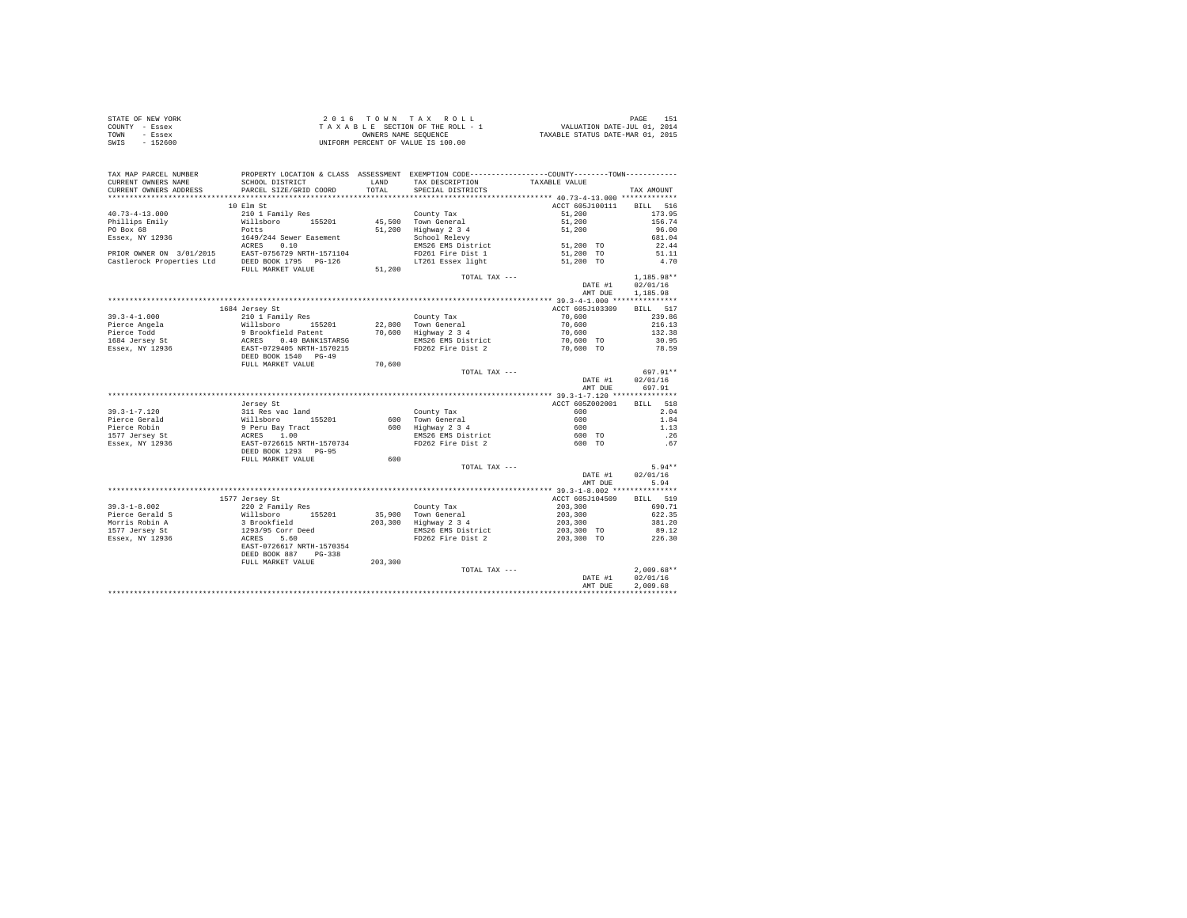| STATE OF NEW YORK | 2016 TOWN TAX ROLL                 | PAGE                             |
|-------------------|------------------------------------|----------------------------------|
| COUNTY - Essex    | TAXABLE SECTION OF THE ROLL - 1    | VALUATION DATE-JUL 01, 2014      |
| TOWN<br>- Essex   | OWNERS NAME SEOUENCE               | TAXABLE STATUS DATE-MAR 01, 2015 |
| $-152600$<br>SWIS | UNIFORM PERCENT OF VALUE IS 100.00 |                                  |

| TAX MAP PARCEL NUMBER                         | PROPERTY LOCATION & CLASS ASSESSMENT                                                                                                                                                                                                       |               | EXEMPTION CODE-----------------COUNTY--------TOWN----------- |                            |                |
|-----------------------------------------------|--------------------------------------------------------------------------------------------------------------------------------------------------------------------------------------------------------------------------------------------|---------------|--------------------------------------------------------------|----------------------------|----------------|
| CURRENT OWNERS NAME<br>CURRENT OWNERS ADDRESS | SCHOOL DISTRICT<br>PARCEL SIZE/GRID COORD                                                                                                                                                                                                  | LAND<br>TOTAL | TAX DESCRIPTION<br>SPECIAL DISTRICTS                         | TAXABLE VALUE              |                |
|                                               |                                                                                                                                                                                                                                            |               |                                                              |                            | TAX AMOUNT     |
|                                               | 10 Elm St                                                                                                                                                                                                                                  |               |                                                              | ACCT 605J100111            | 516            |
| $40.73 - 4 - 13.000$                          | 210 1 Family Res                                                                                                                                                                                                                           |               | County Tax                                                   | 51,200                     | BILL<br>173.95 |
|                                               | Willsboro 155201                                                                                                                                                                                                                           |               | 45,500 Town General                                          |                            | 156.74         |
| Phillips Emily                                |                                                                                                                                                                                                                                            |               |                                                              | 51,200                     |                |
| PO Box 68                                     | Potts                                                                                                                                                                                                                                      |               | 51,200 Highway 2 3 4<br>School Relevy                        | 51,200                     | 96.00          |
|                                               | Essex, NY 12936 1649/244 Sewer Easement<br>AGRES 0.10 1649/244 Sewer Easement<br>PRIOR OWNER ON 3/01/2015 EAST-0756729 NRTH-1571104                                                                                                        |               | EMS26 EMS District 51,200 TO                                 |                            | 681.04         |
|                                               |                                                                                                                                                                                                                                            |               |                                                              |                            | 22.44          |
|                                               |                                                                                                                                                                                                                                            |               | FD261 Fire Dist 1                                            | 51,200 TO                  | 51.11          |
|                                               | Castlerock Properties Ltd DEED BOOK 1795 PG-126                                                                                                                                                                                            |               | LT261 Essex light                                            | 51,200 TO                  | 4.70           |
|                                               | FULL MARKET VALUE                                                                                                                                                                                                                          | 51,200        |                                                              |                            |                |
|                                               |                                                                                                                                                                                                                                            |               | TOTAL TAX ---                                                |                            | 1,185.98**     |
|                                               |                                                                                                                                                                                                                                            |               |                                                              | DATE #1                    | 02/01/16       |
|                                               |                                                                                                                                                                                                                                            |               |                                                              | AMT DUE                    | 1,185.98       |
|                                               |                                                                                                                                                                                                                                            |               |                                                              |                            |                |
|                                               | 1684 Jersey St                                                                                                                                                                                                                             |               |                                                              | ACCT 605J103309            | BILL 517       |
| $39.3 - 4 - 1.000$                            | 210 1 Family Res                                                                                                                                                                                                                           |               | County Tax                                                   | 70,600                     | 239.86         |
|                                               | Pierce Rogela<br>Pierce Rogela<br>1684 Jerem 1988 - Pierce Rogela<br>1684 Jerem 1989 - Baroche Rogela<br>1684 Jerem 1989 - RACRES<br>1684 Jerem 1988 - RACRES 1988 - RACRES<br>1988 - RACRES 1988 - RACRES 1988 - 1989 - 1989 - 1999 - 199 |               | 22,800 Town General<br>70,600 Highway 2 3 4                  | 70,600<br>70,600           | 216.13         |
|                                               |                                                                                                                                                                                                                                            |               |                                                              |                            | 132.38         |
|                                               |                                                                                                                                                                                                                                            |               | EMS26 EMS District<br>FD262 Fire Dist 2                      | $70,600$ TO<br>$70,600$ TO | 30.95          |
|                                               |                                                                                                                                                                                                                                            |               |                                                              |                            | 78.59          |
|                                               |                                                                                                                                                                                                                                            |               |                                                              |                            |                |
|                                               | FULL MARKET VALUE                                                                                                                                                                                                                          | 70,600        |                                                              |                            |                |
|                                               |                                                                                                                                                                                                                                            |               | TOTAL TAX ---                                                |                            | 697.91**       |
|                                               |                                                                                                                                                                                                                                            |               |                                                              | DATE #1                    | 02/01/16       |
|                                               |                                                                                                                                                                                                                                            |               |                                                              | AMT DUE                    | 697.91         |
|                                               |                                                                                                                                                                                                                                            |               |                                                              |                            |                |
|                                               | Jersey St                                                                                                                                                                                                                                  |               |                                                              | ACCT 605Z002001            | BILL 518       |
| $39.3 - 1 - 7.120$                            | 311 Res vac land                                                                                                                                                                                                                           |               | County Tax                                                   | 600                        | 2.04           |
| Pierce Gerald                                 | %11 kes vac ianu<br>Willsboro 155201<br>9 Peru Bay Tract<br>RCRES 1.00<br>EAST-0726615 NRTH-1570734<br>DEED BOOK 1293 PG-95                                                                                                                |               | 600 Town General<br>600 Highway 2 3 4<br>EMS26 EMS District  | 600                        | 1.84           |
| Pierce Robin                                  |                                                                                                                                                                                                                                            |               |                                                              | 600                        | 1.13           |
| 1577 Jersey St                                |                                                                                                                                                                                                                                            |               |                                                              | 600 TO                     | .26            |
| Essex, NY 12936                               |                                                                                                                                                                                                                                            |               | FD262 Fire Dist 2                                            | 600 TO                     | .67            |
|                                               |                                                                                                                                                                                                                                            |               |                                                              |                            |                |
|                                               | FULL MARKET VALUE                                                                                                                                                                                                                          | 600           |                                                              |                            |                |
|                                               |                                                                                                                                                                                                                                            |               | TOTAL TAX ---                                                |                            | $5.94**$       |
|                                               |                                                                                                                                                                                                                                            |               |                                                              | DATE #1                    | 02/01/16       |
|                                               |                                                                                                                                                                                                                                            |               |                                                              | AMT DUE                    | 5.94           |
|                                               |                                                                                                                                                                                                                                            |               |                                                              |                            |                |
|                                               | 1577 Jersey St                                                                                                                                                                                                                             |               |                                                              | ACCT 605J104509            | BILL 519       |
| $39.3 - 1 - 8.002$                            | 220 2 Family Res                                                                                                                                                                                                                           |               |                                                              |                            | 690.71         |
| Pierce Gerald S                               |                                                                                                                                                                                                                                            |               | County Tax<br>35,900 Town General                            | 203,300<br>203,300         | 622.35         |
| Morris Robin A                                |                                                                                                                                                                                                                                            |               | 203,300 Highway 2 3 4                                        | 203,300                    | 381.20         |
|                                               |                                                                                                                                                                                                                                            |               | EMS26 EMS District                                           | 203,300 TO                 | 89.12          |
| 1577 Jersey St<br>Essex, NY 12936             |                                                                                                                                                                                                                                            |               | FD262 Fire Dist 2                                            | 203,300 TO                 | 226.30         |
|                                               | EAST-0726617 NRTH-1570354                                                                                                                                                                                                                  |               |                                                              |                            |                |
|                                               | DEED BOOK 887 PG-338                                                                                                                                                                                                                       |               |                                                              |                            |                |
|                                               | FULL MARKET VALUE                                                                                                                                                                                                                          | 203,300       |                                                              |                            |                |
|                                               |                                                                                                                                                                                                                                            |               |                                                              |                            | $2,009.68**$   |
|                                               |                                                                                                                                                                                                                                            |               | TOTAL TAX ---                                                |                            |                |
|                                               |                                                                                                                                                                                                                                            |               |                                                              | DATE #1                    | 02/01/16       |
|                                               |                                                                                                                                                                                                                                            |               |                                                              | AMT DUE                    | 2,009.68       |
|                                               |                                                                                                                                                                                                                                            |               |                                                              |                            |                |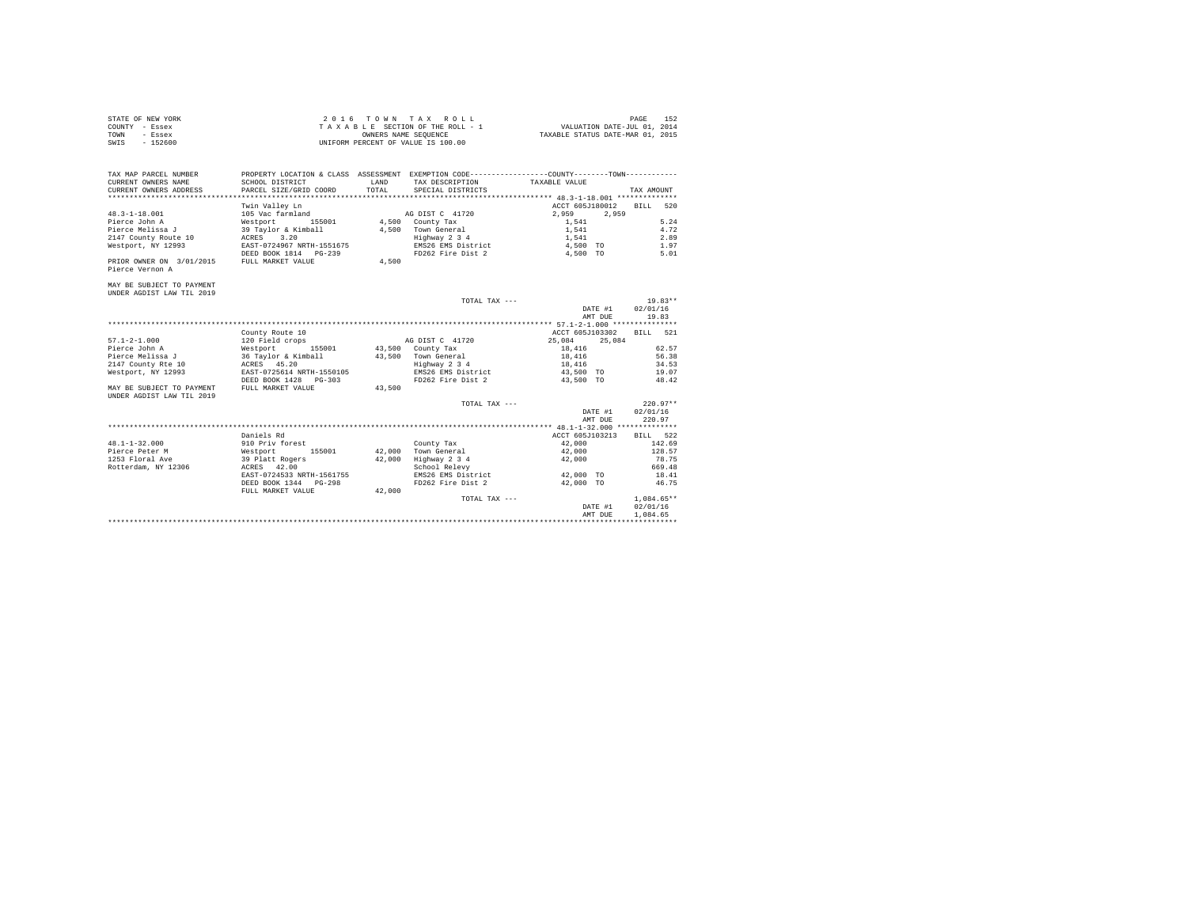| STATE OF NEW YORK | 2016 TOWN TAX ROLL                 | PAGE                             | 152 |
|-------------------|------------------------------------|----------------------------------|-----|
| COUNTY - Essex    | TAXABLE SECTION OF THE ROLL - 1    | VALUATION DATE-JUL 01, 2014      |     |
| TOWN<br>- Essex   | OWNERS NAME SEOUENCE               | TAXABLE STATUS DATE-MAR 01, 2015 |     |
| $-152600$<br>SWIS | UNIFORM PERCENT OF VALUE IS 100.00 |                                  |     |

| TAX MAP PARCEL NUMBER<br>CURRENT OWNERS NAME<br>CURRENT OWNERS ADDRESS                                 | PROPERTY LOCATION & CLASS<br>SCHOOL DISTRICT<br>PARCEL SIZE/GRID COORD                                                                              | ASSESSMENT<br>LAND<br>TOTAL | EXEMPTION CODE----------------COUNTY-------TOWN----------<br>TAX DESCRIPTION<br>SPECIAL DISTRICTS         | TAXABLE VALUE                                                                                  | TAX AMOUNT                                          |
|--------------------------------------------------------------------------------------------------------|-----------------------------------------------------------------------------------------------------------------------------------------------------|-----------------------------|-----------------------------------------------------------------------------------------------------------|------------------------------------------------------------------------------------------------|-----------------------------------------------------|
| $48.3 - 1 - 18.001$<br>Pierce John A<br>Pierce Melissa J<br>2147 County Route 10<br>Westport, NY 12993 | Twin Valley Ln<br>105 Vac farmland<br>Westport 155001<br>39 Tavlor & Kimball<br>3.20<br>ACRES<br>EAST-0724967 NRTH-1551675<br>DEED BOOK 1814 PG-239 | 4,500<br>4,500              | AG DIST C 41720<br>County Tax<br>Town General<br>Highway 2 3 4<br>EMS26 EMS District<br>FD262 Fire Dist 2 | ACCT 605J180012<br>2,959<br>2.959<br>1,541<br>1,541<br>1,541<br>4,500 TO<br>4,500<br><b>TO</b> | 520<br>BILL<br>5.24<br>4.72<br>2.89<br>1.97<br>5.01 |
| PRIOR OWNER ON 3/01/2015<br>Pierce Vernon A<br>MAY BE SUBJECT TO PAYMENT<br>UNDER AGDIST LAW TIL 2019  | FULL MARKET VALUE                                                                                                                                   | 4,500                       | TOTAL TAX ---                                                                                             | DATE #1                                                                                        | $19.83**$<br>02/01/16                               |
|                                                                                                        |                                                                                                                                                     |                             |                                                                                                           | AMT DUE                                                                                        | 19.83                                               |

|                           |                           |        |                    | AMI DUB          | ----               |
|---------------------------|---------------------------|--------|--------------------|------------------|--------------------|
|                           |                           |        |                    |                  |                    |
|                           | County Route 10           |        |                    | ACCT 605J103302  | <b>BILL</b><br>521 |
| $57.1 - 2 - 1.000$        | 120 Field crops           |        | AG DIST C 41720    | 25,084<br>25,084 |                    |
| Pierce John A             | 155001<br>Westport        |        | 43,500 County Tax  | 18,416           | 62.57              |
| Pierce Melissa J          | 36 Taylor & Kimball       | 43,500 | Town General       | 18,416           | 56.38              |
| 2147 County Rte 10        | ACRES 45.20               |        | Highway 2 3 4      | 18,416           | 34.53              |
| Westport, NY 12993        | EAST-0725614 NRTH-1550105 |        | EMS26 EMS District | 43,500 TO        | 19.07              |
|                           | DEED BOOK 1428 PG-303     |        | FD262 Fire Dist 2  | 43,500 TO        | 48.42              |
| MAY BE SUBJECT TO PAYMENT | FULL MARKET VALUE         | 43,500 |                    |                  |                    |
| UNDER AGDIST LAW TIL 2019 |                           |        |                    |                  |                    |
|                           |                           |        | TOTAL TAX ---      |                  | $220.97**$         |
|                           |                           |        |                    | DATE #1          | 02/01/16           |
|                           |                           |        |                    | AMT DUE          | 220.97             |
|                           |                           |        |                    |                  |                    |
|                           | Daniels Rd                |        |                    | ACCT 605J103213  | BILL 522           |
| $48.1 - 1 - 32.000$       | 910 Priv forest           |        | County Tax         | 42,000           | 142.69             |
| Pierce Peter M            | 155001<br>Westport        | 42,000 | Town General       | 42,000           | 128.57             |
| 1253 Floral Ave           | 39 Platt Rogers           | 42,000 | Highway 2 3 4      | 42,000           | 78.75              |
| Rotterdam, NY 12306       | ACRES 42.00               |        | School Relevy      |                  | 669.48             |
|                           | EAST-0724533 NRTH-1561755 |        | EMS26 EMS District | 42,000 TO        | 18.41              |
|                           | DEED BOOK 1344 PG-298     |        | FD262 Fire Dist 2  | 42,000 TO        | 46.75              |
|                           | FULL MARKET VALUE         | 42,000 |                    |                  |                    |
|                           |                           |        | TOTAL TAX ---      |                  | $1.084.65**$       |
|                           |                           |        |                    | DATE #1          | 02/01/16           |
|                           |                           |        |                    | AMT DUR          | 1.084.65           |
|                           |                           |        |                    |                  |                    |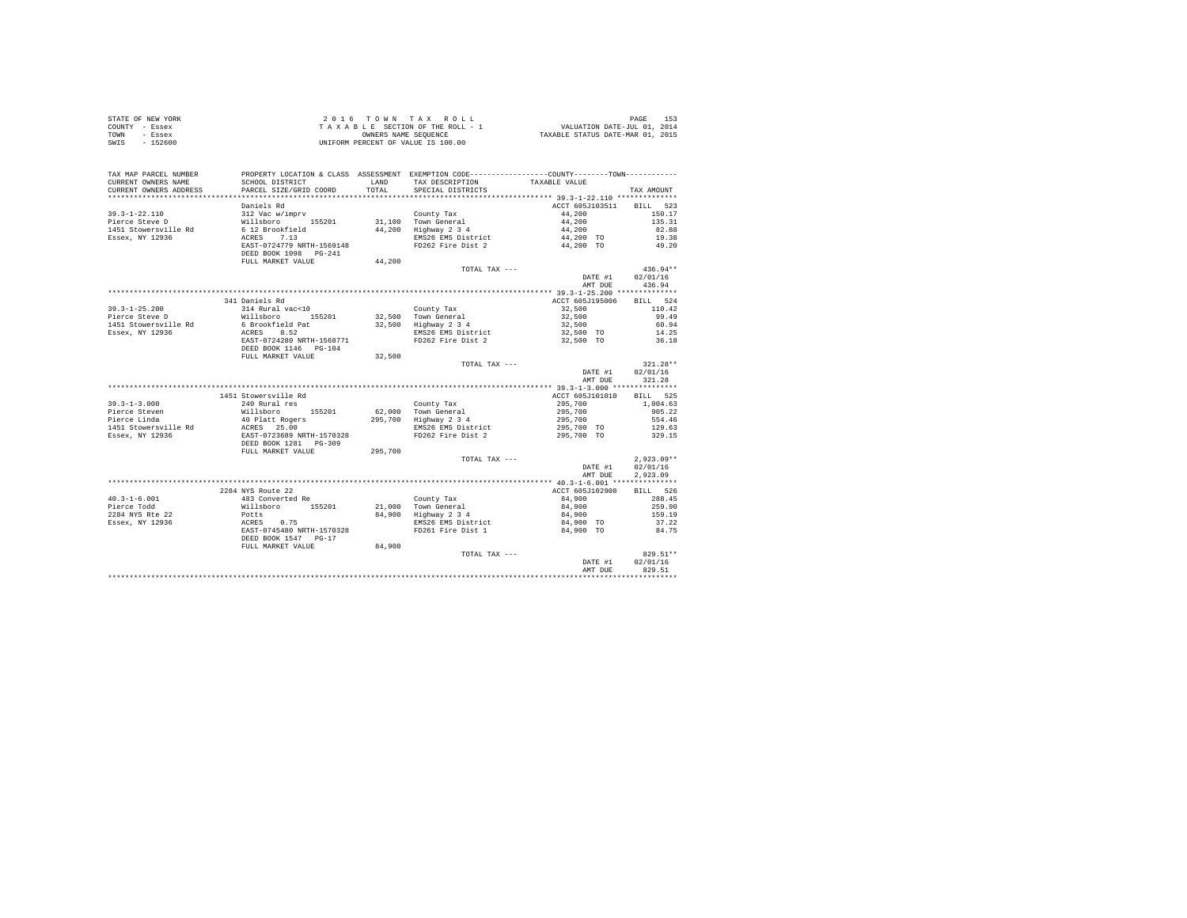| STATE OF NEW YORK | 2016 TOWN TAX ROLL                 | 153<br>PAGE                      |
|-------------------|------------------------------------|----------------------------------|
| COUNTY - Essex    | TAXABLE SECTION OF THE ROLL - 1    | VALUATION DATE-JUL 01, 2014      |
| TOWN<br>- Essex   | OWNERS NAME SEOUENCE               | TAXABLE STATUS DATE-MAR 01, 2015 |
| SWIS<br>$-152600$ | UNIFORM PERCENT OF VALUE IS 100.00 |                                  |

|                                         |                                          |         |                                                                                               | DATE #1<br>AMT DUE       | 02/01/16<br>829.51 |
|-----------------------------------------|------------------------------------------|---------|-----------------------------------------------------------------------------------------------|--------------------------|--------------------|
|                                         | FULL MARKET VALUE                        | 84,900  | TOTAL TAX ---                                                                                 |                          | 829.51**           |
|                                         | DEED BOOK 1547 PG-17                     |         |                                                                                               |                          |                    |
|                                         | ACRES 0.75<br>EAST-0745480 NRTH-1570328  |         | FD261 Fire Dist 1                                                                             | 84,900 TO                | 84.75              |
| Essex, NY 12936                         |                                          |         | EMS26 EMS District                                                                            | 84,900 TO                | 37.22              |
| 2284 NYS Rte 22                         | Potts                                    |         | 84,900 Highway 2 3 4                                                                          | 84,900                   | 159.19             |
| Pierce Todd                             | Willsboro<br>155201                      |         | County Tax<br>21,000 Town General                                                             | 84,900<br>84,900         | 259.90             |
| $40.3 - 1 - 6.001$                      | 483 Converted Re                         |         |                                                                                               |                          | 288.45             |
|                                         | 2284 NYS Route 22                        |         |                                                                                               | ACCT 605J102908          | BILL 526           |
|                                         |                                          |         |                                                                                               |                          | 2,923.09           |
|                                         |                                          |         |                                                                                               | DATE #1<br>AMT DUE       | 02/01/16           |
|                                         |                                          |         | TOTAL TAX ---                                                                                 |                          |                    |
|                                         |                                          |         |                                                                                               |                          | $2,923.09**$       |
|                                         | FULL MARKET VALUE                        | 295,700 |                                                                                               |                          |                    |
|                                         | DEED BOOK 1281 PG-309                    |         |                                                                                               |                          |                    |
| 1451 Stowersville Rd<br>Essex, NY 12936 | ACRES 25.00<br>EAST-0723689 NRTH-1570328 |         | EMS26 EMS District<br>FD262 Fire Dist 2                                                       | 295,700 TO<br>295,700 TO | 129.63<br>329.15   |
| Pierce Linda                            | 40 Platt Rogers                          |         | 295,700 Highway 2 3 4                                                                         | 295,700                  | 554.46             |
| Pierce Steven                           | Willsboro<br>155201                      |         | 62.000 Town General                                                                           | 295,700                  | 905.22             |
| $39.3 - 1 - 3.000$                      | 240 Rural res                            |         | County Tax                                                                                    | 295,700                  | 1,004.63           |
|                                         | 1451 Stowersville Rd                     |         |                                                                                               | ACCT 605J101010          | BILL 525           |
|                                         |                                          |         |                                                                                               |                          |                    |
|                                         |                                          |         |                                                                                               | AMT DUE                  | 321.28             |
|                                         |                                          |         |                                                                                               | DATE #1                  | 02/01/16           |
|                                         |                                          |         | TOTAL TAX ---                                                                                 |                          | $321.28**$         |
|                                         | FULL MARKET VALUE                        | 32,500  |                                                                                               |                          |                    |
|                                         | DEED BOOK 1146 PG-104                    |         |                                                                                               |                          |                    |
|                                         | EAST-0724280 NRTH-1568771                |         | FD262 Fire Dist 2                                                                             | 32,500 TO                | 36.18              |
| Essex, NY 12936                         | ACRES 8.52                               |         | EMS26 EMS District                                                                            | 32,500 TO                | 14.25              |
| 1451 Stowersville Rd                    | 6 Brookfield Pat                         |         | 32,500 Highway 2 3 4                                                                          | 32,500                   | 60.94              |
| Pierce Steve D                          | Willsboro 155201                         |         | 32.500 Town General                                                                           | 32,500                   | 99.49              |
| $39.3 - 1 - 25.200$                     | 314 Rural vac<10                         |         | County Tax                                                                                    | 32,500                   | 110.42             |
|                                         | 341 Daniels Rd                           |         |                                                                                               | ACCT 605J195006          | BILL 524           |
|                                         |                                          |         |                                                                                               |                          |                    |
|                                         |                                          |         |                                                                                               | AMT DUE                  | 436.94             |
|                                         |                                          |         |                                                                                               | DATE #1                  | 02/01/16           |
|                                         |                                          |         | TOTAL TAX ---                                                                                 |                          | $436.94**$         |
|                                         | FULL MARKET VALUE                        | 44,200  |                                                                                               |                          |                    |
|                                         | DEED BOOK 1098    PG-241                 |         |                                                                                               |                          |                    |
|                                         | EAST-0724779 NRTH-1569148                |         | FD262 Fire Dist 2                                                                             | 44,200 TO                | 49.20              |
| Essex, NY 12936                         | 7.13<br>ACRES                            |         | EMS26 EMS District                                                                            | 44,200 TO                | 19.38              |
| 1451 Stowersville Rd                    | 6 12 Brookfield                          |         | 44,200 Highway 2 3 4                                                                          | 44,200                   | 82.88              |
| Pierce Steve D                          | Willsboro 155201                         |         | 31.100 Town General                                                                           | 44,200                   | 135.31             |
| $39.3 - 1 - 22.110$                     | 312 Vac w/imprv                          |         | County Tax                                                                                    | 44,200                   | 150.17             |
|                                         | Daniels Rd                               |         |                                                                                               | ACCT 605J103511          | BILL 523           |
|                                         |                                          |         |                                                                                               |                          |                    |
| CURRENT OWNERS ADDRESS                  | PARCEL SIZE/GRID COORD                   | TOTAL   | SPECIAL DISTRICTS                                                                             |                          | TAX AMOUNT         |
| CURRENT OWNERS NAME                     | SCHOOL DISTRICT                          | LAND    | TAX DESCRIPTION                                                                               | TAXABLE VALUE            |                    |
| TAX MAP PARCEL NUMBER                   |                                          |         | PROPERTY LOCATION & CLASS ASSESSMENT EXEMPTION CODE---------------COUNTY-------TOWN---------- |                          |                    |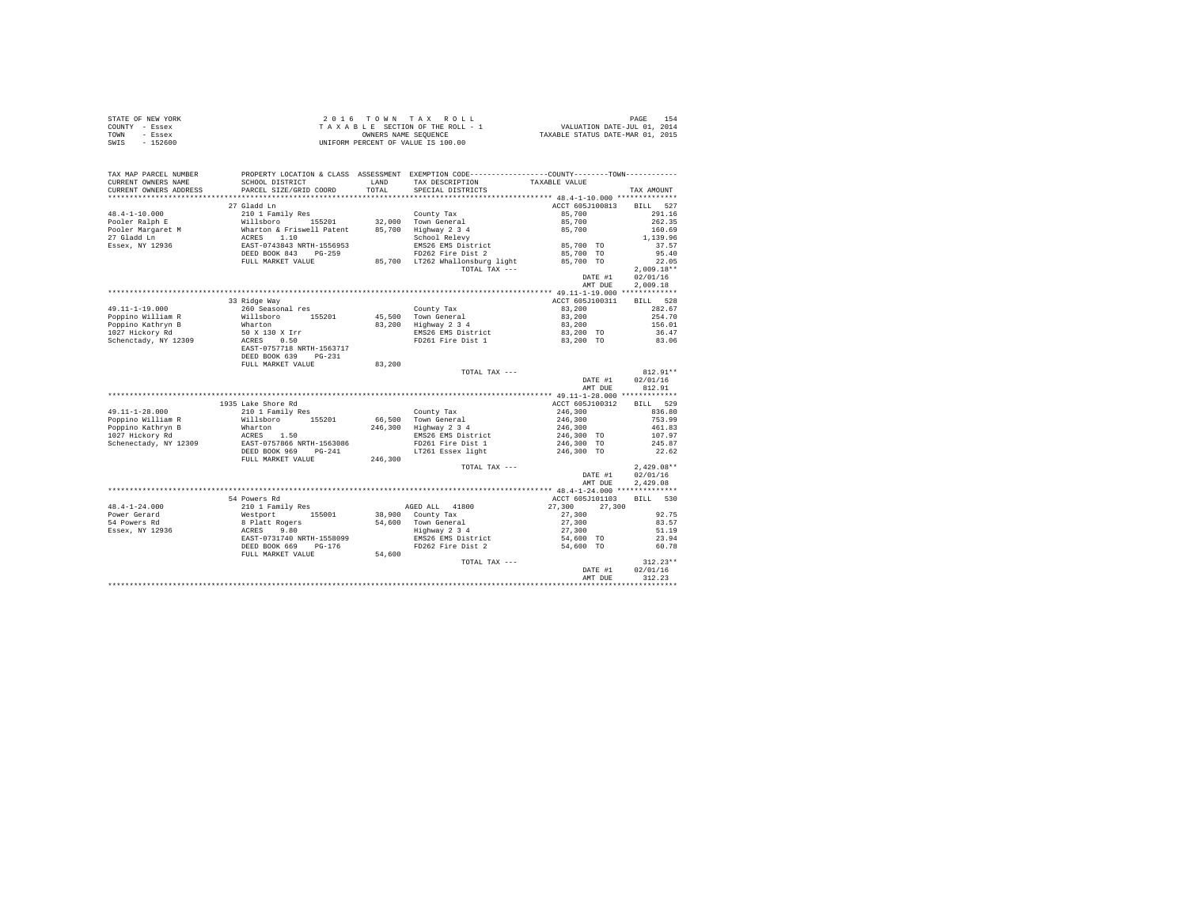|      | STATE OF NEW YORK | 2016 TOWN TAX ROLL                 | 154<br>PAGE                      |
|------|-------------------|------------------------------------|----------------------------------|
|      | COUNTY - Essex    | TAXABLE SECTION OF THE ROLL - 1    | VALUATION DATE-JUL 01, 2014      |
| TOWN | - Essex           | OWNERS NAME SEOUENCE               | TAXABLE STATUS DATE-MAR 01, 2015 |
| SWIS | - 152600          | UNIFORM PERCENT OF VALUE IS 100.00 |                                  |

| TAX MAP PARCEL NUMBER                         | SCHOOL DISTRICT                                                      |         | PROPERTY LOCATION & CLASS ASSESSMENT EXEMPTION CODE---------------COUNTY-------TOWN----------<br>LAND TAX DESCRIPTION | TAXABLE VALUE                                                 |              |
|-----------------------------------------------|----------------------------------------------------------------------|---------|-----------------------------------------------------------------------------------------------------------------------|---------------------------------------------------------------|--------------|
| CURRENT OWNERS NAME<br>CURRENT OWNERS ADDRESS | PARCEL SIZE/GRID COORD                                               | TOTAL   | SPECIAL DISTRICTS                                                                                                     |                                                               | TAX AMOUNT   |
|                                               |                                                                      |         |                                                                                                                       |                                                               |              |
|                                               | 27 Gladd Ln                                                          |         |                                                                                                                       | ACCT 605J100813                                               | BILL 527     |
| $48.4 - 1 - 10.000$                           | 210 1 Family Res                                                     |         | County Tax                                                                                                            | 85,700                                                        | 291.16       |
| Pooler Ralph E                                | Willsboro 155201                                                     |         | 32,000 Town General                                                                                                   | 85,700                                                        | 262.35       |
| Pooler Margaret M                             | Wharton & Friswell Patent<br>ACRES 1.10<br>EAST-0743843 NRTH-1556953 |         | 85,700 Highway 2 3 4                                                                                                  | 85,700                                                        | 160.69       |
| 27 Gladd Ln                                   |                                                                      |         | School Relevy                                                                                                         |                                                               | 1,139.96     |
| Essex, NY 12936                               |                                                                      |         | EMS26 EMS District                                                                                                    | 85,700 TO                                                     | 37.57        |
|                                               | DEED BOOK 843 PG-259                                                 |         | FD262 Fire Dist 2                                                                                                     | 85,700 TO                                                     | 95.40        |
|                                               | FULL MARKET VALUE                                                    |         | 85,700 LT262 Whallonsburg light                                                                                       | 85,700 TO                                                     | 22.05        |
|                                               |                                                                      |         | TOTAL TAX ---                                                                                                         |                                                               | $2,009.18**$ |
|                                               |                                                                      |         |                                                                                                                       | DATE #1                                                       | 02/01/16     |
|                                               |                                                                      |         |                                                                                                                       | AMT DUE                                                       | 2,009.18     |
|                                               |                                                                      |         |                                                                                                                       |                                                               |              |
|                                               | 33 Ridge Way                                                         |         |                                                                                                                       | ACCT 605J100311                                               | BILL 528     |
| 49.11-1-19.000                                | 260 Seasonal res                                                     |         | County Tax                                                                                                            | 83,200                                                        | 282.67       |
| Poppino William R                             | Willsboro 155201<br>Wharton                                          |         | 45,500 Town General                                                                                                   | 83,200                                                        | 254.70       |
| Poppino Kathryn B                             |                                                                      |         | 83,200 Highway 2 3 4                                                                                                  | 83,200                                                        | 156.01       |
| 1027 Hickory Rd                               | 50 X 130 X Irr<br>ACRES 0.50                                         |         | EMS26 EMS District<br>FD261 Fire Dist 1                                                                               | 83,200 TO                                                     | 36.47        |
| Schenctady, NY 12309                          |                                                                      |         |                                                                                                                       | 83,200 TO                                                     | 83.06        |
|                                               | EAST-0757718 NRTH-1563717                                            |         |                                                                                                                       |                                                               |              |
|                                               | DEED BOOK 639 PG-231                                                 |         |                                                                                                                       |                                                               |              |
|                                               | FULL MARKET VALUE                                                    | 83,200  |                                                                                                                       |                                                               |              |
|                                               |                                                                      |         | TOTAL TAX ---                                                                                                         |                                                               | $812.91**$   |
|                                               |                                                                      |         |                                                                                                                       | $\begin{array}{cc}\n\text{DATE} & \#1 \\ \hline\n\end{array}$ | 02/01/16     |
|                                               |                                                                      |         |                                                                                                                       | AMT DUE                                                       | 812.91       |
|                                               |                                                                      |         |                                                                                                                       |                                                               |              |
|                                               | 1935 Lake Shore Rd                                                   |         |                                                                                                                       | ACCT 605J100312                                               | BILL 529     |
| $49.11 - 1 - 28.000$                          | 210 1 Family Res                                                     |         | County Tax                                                                                                            | 246,300                                                       | 836.80       |
| Poppino William R                             | Willsboro 155201                                                     |         | 66.500 Town General                                                                                                   | 246,300                                                       | 753.99       |
| Poppino Kathryn B                             | Wharton                                                              |         | 246,300 Highway 2 3 4                                                                                                 | 246,300                                                       | 461.83       |
| 1027 Hickory Rd                               | ACRES 1.50                                                           |         | EMS26 EMS District                                                                                                    | 246,300 TO                                                    | 107.97       |
| Schenectady, NY 12309                         | EAST-0757866 NRTH-1563086                                            |         | FD261 Fire Dist 1                                                                                                     | 246,300 TO                                                    | 245.87       |
|                                               | DEED BOOK 969 PG-241                                                 |         | LT261 Essex light                                                                                                     | 246,300 TO                                                    | 22.62        |
|                                               | FULL MARKET VALUE                                                    | 246,300 |                                                                                                                       |                                                               |              |
|                                               |                                                                      |         | TOTAL TAX ---                                                                                                         |                                                               | $2,429.08**$ |
|                                               |                                                                      |         |                                                                                                                       | DATE #1                                                       | 02/01/16     |
|                                               |                                                                      |         |                                                                                                                       | AMT DUE                                                       | 2.429.08     |
|                                               |                                                                      |         |                                                                                                                       |                                                               |              |
|                                               | 54 Powers Rd                                                         |         |                                                                                                                       | ACCT 605J101103                                               | BILL 530     |
| $48.4 - 1 - 24.000$                           | 210 1 Family Res<br>Westport 155001<br>8 Platt Rogers                |         | AGED ALL 41800                                                                                                        | 27,300 27,300                                                 |              |
| Power Gerard                                  | 155001                                                               |         | 38,900 County Tax                                                                                                     | 27,300                                                        | 92.75        |
| 54 Powers Rd                                  |                                                                      |         | 54,600 Town General                                                                                                   | 27,300                                                        | 83.57        |
| Essex, NY 12936                               | ACRES<br>9.80                                                        |         | Town General<br>Highway 2 3 4                                                                                         | 27,300                                                        | 51.19        |
|                                               | EAST-0731740 NRTH-1558099                                            |         | EMS26 EMS District                                                                                                    | 54,600 TO                                                     | 23.94        |
|                                               | DEED BOOK 669<br>$PG-176$                                            |         | FD262 Fire Dist 2                                                                                                     | 54,600 TO                                                     | 60.78        |
|                                               | FULL MARKET VALUE                                                    | 54,600  |                                                                                                                       |                                                               |              |
|                                               |                                                                      |         | TOTAL TAX ---                                                                                                         |                                                               | $312.23**$   |
|                                               |                                                                      |         |                                                                                                                       | DATE #1                                                       | 02/01/16     |
|                                               |                                                                      |         |                                                                                                                       | AMT DUE                                                       | 312.23       |
|                                               |                                                                      |         |                                                                                                                       |                                                               |              |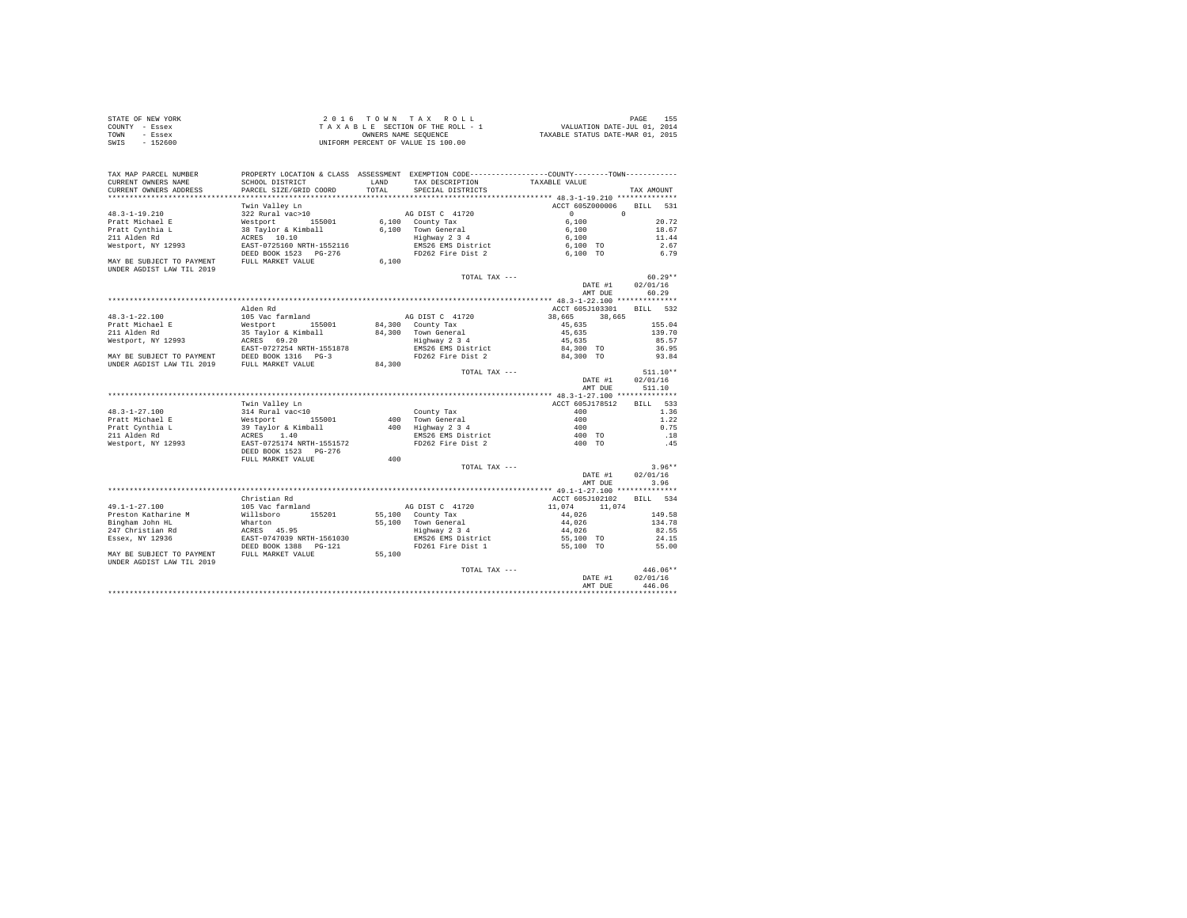| STATE OF NEW YORK | 2016 TOWN TAX ROLL                 |                      |                                  | PAGE |  |
|-------------------|------------------------------------|----------------------|----------------------------------|------|--|
| COUNTY - Essex    | TAXABLE SECTION OF THE ROLL - 1    |                      | VALUATION DATE-JUL 01, 2014      |      |  |
| TOWN<br>- Essex   |                                    | OWNERS NAME SEOUENCE | TAXABLE STATUS DATE-MAR 01, 2015 |      |  |
| $-152600$<br>SWIS | UNIFORM PERCENT OF VALUE IS 100.00 |                      |                                  |      |  |

| TAX MAP PARCEL NUMBER                                                                        | PROPERTY LOCATION & CLASS ASSESSMENT EXEMPTION CODE----------------COUNTY-------TOWN---------- |        |                                         |                             |                |
|----------------------------------------------------------------------------------------------|------------------------------------------------------------------------------------------------|--------|-----------------------------------------|-----------------------------|----------------|
| CURRENT OWNERS NAME                                                                          | SCHOOL DISTRICT                                                                                | LAND   | TAX DESCRIPTION                         | TAXABLE VALUE               |                |
| CURRENT OWNERS ADDRESS<br>************************                                           | PARCEL SIZE/GRID COORD                                                                         | TOTAL  | SPECIAL DISTRICTS                       |                             | TAX AMOUNT     |
|                                                                                              |                                                                                                |        |                                         |                             |                |
|                                                                                              | Twin Valley Ln                                                                                 |        |                                         | ACCT 605Z000006<br>$\Omega$ | BILL 531       |
| 48.3-1-19.210                                                                                | 322 Rural vac>10                                                                               |        | AG DIST C 41720                         | $\circ$<br>6,100            |                |
| Pratt Michael E                                                                              | Westport 155001                                                                                |        | 6.100 County Tax                        |                             | 20.72          |
| Pratt Cynthia L<br>211 Alden Rd                                                              | 38 Taylor & Kimball                                                                            |        | 6,100 Town General<br>Highway 2 3 4     | 6,100                       | 18.67<br>11.44 |
| Westport, NY 12993                                                                           | ACRES 10.10<br>EAST-0725160 NRTH-1552116                                                       |        |                                         | 6,100<br>6,100 TO           | 2.67           |
|                                                                                              | DEED BOOK 1523 PG-276                                                                          |        | EMS26 EMS District<br>FD262 Fire Dist 2 | 6,100 TO                    | 6.79           |
| MAY BE SUBJECT TO PAYMENT                                                                    | FULL MARKET VALUE                                                                              | 6.100  |                                         |                             |                |
| UNDER AGDIST LAW TIL 2019                                                                    |                                                                                                |        |                                         |                             |                |
|                                                                                              |                                                                                                |        | TOTAL TAX ---                           |                             | $60.29**$      |
|                                                                                              |                                                                                                |        |                                         | DATE #1                     | 02/01/16       |
|                                                                                              |                                                                                                |        |                                         | AMT DUE                     | 60.29          |
|                                                                                              |                                                                                                |        |                                         |                             |                |
|                                                                                              | Alden Rd                                                                                       |        |                                         | ACCT 605J103301 BILL 532    |                |
| $48.3 - 1 - 22.100$                                                                          | 105 Vac farmland                                                                               |        | AG DIST C 41720                         | 38,665<br>38,665            |                |
| Pratt Michael E                                                                              | Westport 155001                                                                                |        | 84,300 County Tax                       | 45,635                      | 155.04         |
| 211 Alden Rd                                                                                 | 35 Taylor & Kimball                                                                            |        | 84,300 Town General                     | 45,635                      | 139.70         |
| Westport, NY 12993                                                                           | ACRES 69.20                                                                                    |        | Highway 2 3 4                           | 45,635                      | 85.57          |
|                                                                                              | EAST-0727254 NRTH-1551878                                                                      |        | EMS26 EMS District                      | 84,300 TO                   | 36.95          |
| MAY BE SUBJECT TO PAYMENT DEED BOOK 1316 PG-3<br>UNDER AGDIST LAW TIL 2019 FULL MARKET VALUE |                                                                                                |        | FD262 Fire Dist 2                       | 84,300 TO                   | 93.84          |
|                                                                                              |                                                                                                | 84,300 |                                         |                             |                |
|                                                                                              |                                                                                                |        | TOTAL TAX ---                           |                             | $511.10**$     |
|                                                                                              |                                                                                                |        |                                         | DATE #1                     | 02/01/16       |
|                                                                                              |                                                                                                |        |                                         | AMT DUE                     | 511.10         |
|                                                                                              |                                                                                                |        |                                         |                             |                |
|                                                                                              | Twin Valley Ln                                                                                 |        |                                         | ACCT 605J178512             | BILL 533       |
| 48.3-1-27.100                                                                                | 314 Rural vac<10                                                                               |        | County Tax                              | 400                         | 1.36           |
| Pratt Michael E                                                                              | Westport 155001                                                                                |        | 400 Town General                        | 400                         | 1.22           |
| Pratt Cynthia L                                                                              | 39 Taylor & Kimball                                                                            |        | 400 Highway 2 3 4                       | 400                         | 0.75           |
| 211 Alden Rd                                                                                 | ACRES 1.40                                                                                     |        | EMS26 EMS District<br>FD262 Fire Dist 2 | 400 TO<br>400 TO            | .18            |
| Westport, NY 12993                                                                           | EAST-0725174 NRTH-1551572                                                                      |        |                                         |                             | .45            |
|                                                                                              | FULL MARKET VALUE                                                                              | 400    |                                         |                             |                |
|                                                                                              |                                                                                                |        | TOTAL TAX ---                           |                             | $3.96**$       |
|                                                                                              |                                                                                                |        |                                         | DATE #1                     | 02/01/16       |
|                                                                                              |                                                                                                |        |                                         | AMT DUE                     | 3.96           |
|                                                                                              |                                                                                                |        |                                         |                             |                |
|                                                                                              | Christian Rd                                                                                   |        |                                         | ACCT 605J102102             | BILL 534       |
| $49.1 - 1 - 27.100$                                                                          | 105 Vac farmland                                                                               |        | AG DIST C 41720                         | 11,074<br>11,074            |                |
| Preston Katharine M                                                                          | Willsboro 155201                                                                               |        | 55,100 County Tax                       | 44,026                      | 149.58         |
| Bingham John HL                                                                              | Wharton                                                                                        |        | 55,100 Town General                     | 44,026                      | 134.78         |
| 247 Christian Rd                                                                             | ACRES 45.95                                                                                    |        | Highway 2 3 4                           | 44,026                      | 82.55          |
| Essex, NY 12936                                                                              | EAST-0747039 NRTH-1561030                                                                      |        | EMS26 EMS District                      | 55,100 TO                   | 24.15          |
|                                                                                              | DEED BOOK 1388   PG-121                                                                        |        | FD261 Fire Dist 1                       | 55,100 TO                   | 55.00          |
| MAY BE SUBJECT TO PAYMENT                                                                    | FULL MARKET VALUE                                                                              | 55,100 |                                         |                             |                |
| UNDER AGDIST LAW TIL 2019                                                                    |                                                                                                |        |                                         |                             |                |
|                                                                                              |                                                                                                |        | TOTAL TAX ---                           |                             | 446.06**       |
|                                                                                              |                                                                                                |        |                                         | DATE #1                     | 02/01/16       |
|                                                                                              |                                                                                                |        |                                         | AMT DUE                     | 446.06         |
|                                                                                              |                                                                                                |        |                                         |                             |                |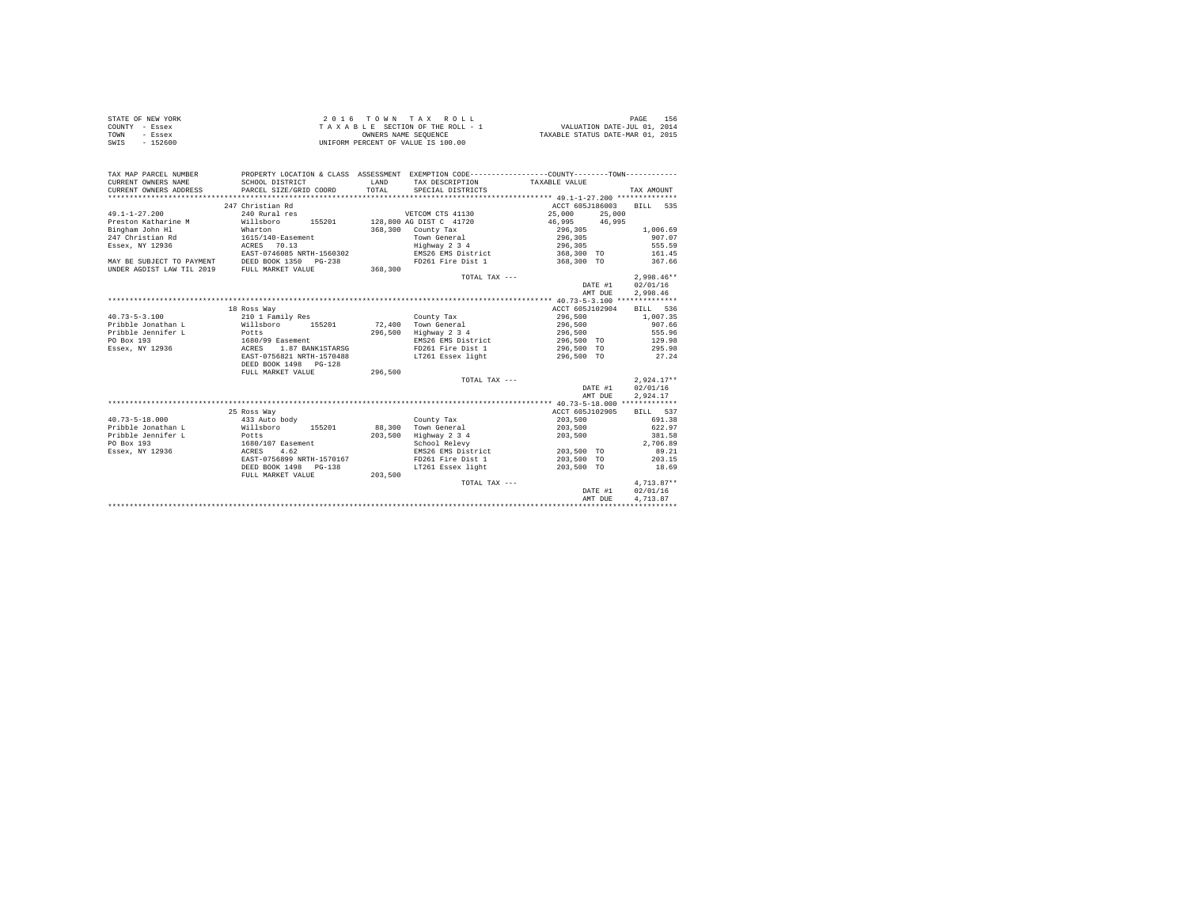| STATE OF NEW YORK | 2016 TOWN TAX ROLL                 | 156<br>PAGE                      |
|-------------------|------------------------------------|----------------------------------|
| COUNTY - Essex    | TAXABLE SECTION OF THE ROLL - 1    | VALUATION DATE-JUL 01, 2014      |
| TOWN<br>- Essex   | OWNERS NAME SEOUENCE               | TAXABLE STATUS DATE-MAR 01, 2015 |
| - 152600<br>SWIS  | UNIFORM PERCENT OF VALUE IS 100.00 |                                  |

| TAX MAP PARCEL NUMBER<br>CURRENT OWNERS NAME<br>CURRENT OWNERS ADDRESS | SCHOOL DISTRICT<br>PARCEL SIZE/GRID COORD | <b>T.AND</b><br>TOTAL | PROPERTY LOCATION & CLASS ASSESSMENT EXEMPTION CODE---------------COUNTY-------TOWN----------<br>TAX DESCRIPTION<br>SPECIAL DISTRICTS | TAXABLE VALUE   | TAX AMOUNT          |
|------------------------------------------------------------------------|-------------------------------------------|-----------------------|---------------------------------------------------------------------------------------------------------------------------------------|-----------------|---------------------|
|                                                                        |                                           |                       |                                                                                                                                       |                 |                     |
|                                                                        | 247 Christian Rd                          |                       |                                                                                                                                       | ACCT 605J186003 | BILL 535            |
| $49.1 - 1 - 27.200$                                                    | 240 Rural res                             |                       | VETCOM CTS 41130                                                                                                                      | 25,000          | 25,000              |
| Preston Katharine M                                                    | Willsboro<br>155201                       |                       | 128,800 AG DIST C 41720                                                                                                               | 46,995          | 46.995              |
| Bingham John Hl                                                        | Wharton                                   | 368,300               | County Tax                                                                                                                            | 296,305         | 1,006.69            |
| 247 Christian Rd                                                       | 1615/140-Easement                         |                       | Town General                                                                                                                          | 296,305         | 907.07              |
| Essex, NY 12936                                                        | ACRES 70.13                               |                       | Highway 2 3 4                                                                                                                         | 296,305         | 555.59              |
|                                                                        | EAST-0746085 NRTH-1560302                 |                       | EMS26 EMS District                                                                                                                    | 368,300 TO      | 161.45              |
| MAY BE SUBJECT TO PAYMENT                                              | DEED BOOK 1350 PG-238                     |                       | FD261 Fire Dist 1                                                                                                                     | 368,300 TO      | 367.66              |
| UNDER AGDIST LAW TIL 2019                                              | FULL MARKET VALUE                         | 368,300               |                                                                                                                                       |                 |                     |
|                                                                        |                                           |                       | TOTAL TAX ---                                                                                                                         |                 | $2.998.46**$        |
|                                                                        |                                           |                       |                                                                                                                                       |                 | 02/01/16<br>DATE #1 |
|                                                                        |                                           |                       |                                                                                                                                       |                 | 2,998.46<br>AMT DUE |
|                                                                        |                                           |                       |                                                                                                                                       |                 |                     |
|                                                                        | 18 Ross Way                               |                       |                                                                                                                                       | ACCT 605J102904 | BILL 536            |
| $40.73 - 5 - 3.100$                                                    | 210 1 Family Res                          |                       | County Tax                                                                                                                            | 296,500         | 1,007.35            |
| Pribble Jonathan L                                                     | Willsboro<br>155201                       | 72,400                | Town General                                                                                                                          | 296,500         | 907.66              |
| Pribble Jennifer L                                                     | Potts                                     | 296,500               | Highway 2 3 4                                                                                                                         | 296,500         | 555.96              |
| PO Box 193                                                             | 1680/99 Easement                          |                       | EMS26 EMS District                                                                                                                    | 296,500 TO      | 129.98              |
| Essex, NY 12936                                                        | 1.87 BANK1STARSG<br>ACRES                 |                       | FD261 Fire Dist 1                                                                                                                     | 296,500 TO      | 295.98              |
|                                                                        | EAST-0756821 NRTH-1570488                 |                       | LT261 Essex light                                                                                                                     | 296,500 TO      | 27.24               |
|                                                                        | DEED BOOK 1498 PG-128                     |                       |                                                                                                                                       |                 |                     |
|                                                                        | FULL MARKET VALUE                         | 296,500               |                                                                                                                                       |                 |                     |
|                                                                        |                                           |                       | TOTAL TAX ---                                                                                                                         |                 | $2.924.17**$        |
|                                                                        |                                           |                       |                                                                                                                                       |                 | 02/01/16<br>DATE #1 |
|                                                                        |                                           |                       |                                                                                                                                       |                 | 2,924.17<br>AMT DUE |
|                                                                        |                                           |                       |                                                                                                                                       |                 |                     |
|                                                                        | 25 Ross Way                               |                       |                                                                                                                                       | ACCT 605J102905 | BILL 537            |
| $40.73 - 5 - 18.000$                                                   | 433 Auto body                             |                       | County Tax                                                                                                                            | 203,500         | 691.38              |
| Pribble Jonathan L                                                     | Willsboro<br>155201                       | 88,300                | Town General                                                                                                                          | 203,500         | 622.97              |
| Pribble Jennifer L                                                     | Potts                                     | 203,500               | Highway 2 3 4                                                                                                                         | 203,500         | 381.58              |
| PO Box 193                                                             | 1680/107 Easement                         |                       | School Relevy                                                                                                                         |                 | 2,706.89            |
| Essex, NY 12936                                                        | ACRES 4.62                                |                       | EMS26 EMS District                                                                                                                    | 203,500 TO      | 89.21               |
|                                                                        | EAST-0756899 NRTH-1570167                 |                       | FD261 Fire Dist 1                                                                                                                     | 203,500 TO      | 203.15              |
|                                                                        | DEED BOOK 1498 PG-138                     |                       | LT261 Essex light                                                                                                                     | 203,500 TO      | 18.69               |
|                                                                        | FULL MARKET VALUE                         | 203,500               |                                                                                                                                       |                 |                     |
|                                                                        |                                           |                       | TOTAL TAX ---                                                                                                                         |                 | $4,713.87**$        |
|                                                                        |                                           |                       |                                                                                                                                       |                 | 02/01/16<br>DATE #1 |
|                                                                        |                                           |                       |                                                                                                                                       | AMT DUE         | 4,713.87            |
|                                                                        |                                           |                       |                                                                                                                                       |                 |                     |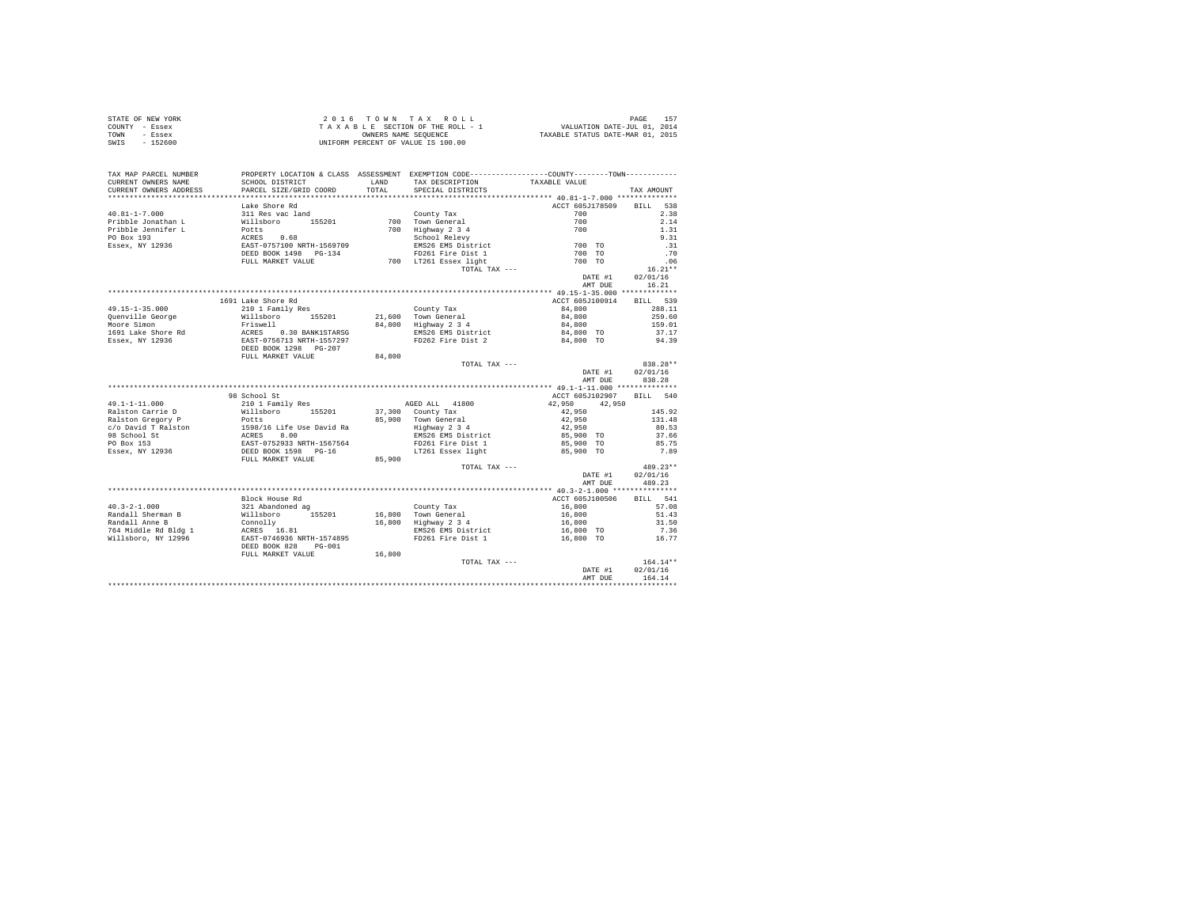| STATE OF NEW YORK | 2016 TOWN TAX ROLL                 | 157<br>PAGE                      |
|-------------------|------------------------------------|----------------------------------|
| COUNTY - Essex    | TAXABLE SECTION OF THE ROLL - 1    | VALUATION DATE-JUL 01, 2014      |
| TOWN<br>- Essex   | OWNERS NAME SEOUENCE               | TAXABLE STATUS DATE-MAR 01, 2015 |
| SWIS<br>$-152600$ | UNIFORM PERCENT OF VALUE IS 100.00 |                                  |

| TAX MAP PARCEL NUMBER<br>CURRENT OWNERS NAME | SCHOOL DISTRICT                                                                                                                                                                                                               | <b>T.AND</b> | PROPERTY LOCATION & CLASS ASSESSMENT EXEMPTION CODE----------------COUNTY--------TOWN----------<br>TAX DESCRIPTION                                   | TAXABLE VALUE            |            |
|----------------------------------------------|-------------------------------------------------------------------------------------------------------------------------------------------------------------------------------------------------------------------------------|--------------|------------------------------------------------------------------------------------------------------------------------------------------------------|--------------------------|------------|
| CURRENT OWNERS ADDRESS                       | PARCEL SIZE/GRID COORD                                                                                                                                                                                                        | TOTAL        | SPECIAL DISTRICTS                                                                                                                                    |                          | TAX AMOUNT |
|                                              |                                                                                                                                                                                                                               |              |                                                                                                                                                      |                          |            |
|                                              | Lake Shore Rd                                                                                                                                                                                                                 |              |                                                                                                                                                      | ACCT 605J178509 BILL     | 538        |
| $40.81 - 1 - 7.000$                          | 311 Res vac land                                                                                                                                                                                                              |              | County Tax                                                                                                                                           | 700                      | 2.38       |
| Pribble Jonathan L                           | Willsboro 155201                                                                                                                                                                                                              |              | 700 Town General                                                                                                                                     | 700                      | 2.14       |
| Pribble Jennifer L                           |                                                                                                                                                                                                                               |              | 700 Highway 234<br>700 Highway 234<br>School Relevy<br>ENS26 EMS District<br>700 TO261 Fire Dist 1<br>700 LT261 Essex light<br>700 TO261 Essex light |                          | 1.31       |
| PO Box 193                                   |                                                                                                                                                                                                                               |              |                                                                                                                                                      |                          | 9.31       |
| Essex, NY 12936                              |                                                                                                                                                                                                                               |              |                                                                                                                                                      |                          | .31        |
|                                              |                                                                                                                                                                                                                               |              |                                                                                                                                                      |                          | .70        |
|                                              | FULL MARKET VALUE                                                                                                                                                                                                             |              |                                                                                                                                                      |                          | .06        |
|                                              |                                                                                                                                                                                                                               |              | TOTAL TAX ---                                                                                                                                        |                          | $16.21**$  |
|                                              |                                                                                                                                                                                                                               |              |                                                                                                                                                      | DATE #1                  | 02/01/16   |
|                                              |                                                                                                                                                                                                                               |              |                                                                                                                                                      | AMT DUE                  | 16.21      |
|                                              |                                                                                                                                                                                                                               |              |                                                                                                                                                      |                          |            |
|                                              | 1691 Lake Shore Rd                                                                                                                                                                                                            |              |                                                                                                                                                      | ACCT 605J100914 BILL 539 |            |
| $49.15 - 1 - 35.000$                         | 210 1 Family Res                                                                                                                                                                                                              |              | County Tax                                                                                                                                           | 84,800                   | 288.11     |
| Quenville George                             |                                                                                                                                                                                                                               |              | 21,600 Town General                                                                                                                                  | 84,800                   | 259.60     |
| Moore Simon                                  |                                                                                                                                                                                                                               |              | 84,800 Highway 2 3 4                                                                                                                                 | 84,800                   | 159.01     |
| 1691 Lake Shore Rd                           |                                                                                                                                                                                                                               |              |                                                                                                                                                      | 84,800 TO                | 37.17      |
| Essex, NY 12936                              |                                                                                                                                                                                                                               |              | EMS26 EMS District<br>FD262 Fire Dist 2                                                                                                              | 84,800 TO                | 94.39      |
|                                              | %10 1 Family Res<br>Willsboro 155201<br>Rriswell<br>RCRES 0.30 BANK1STARSG<br>EAST-0756713 NRTH-1557297<br>DEED BOOK 1298 PG-207                                                                                              |              |                                                                                                                                                      |                          |            |
|                                              | FULL MARKET VALUE                                                                                                                                                                                                             | 84,800       |                                                                                                                                                      |                          |            |
|                                              |                                                                                                                                                                                                                               |              | TOTAL TAX ---                                                                                                                                        |                          | 838.28**   |
|                                              |                                                                                                                                                                                                                               |              |                                                                                                                                                      | DATE #1                  | 02/01/16   |
|                                              |                                                                                                                                                                                                                               |              |                                                                                                                                                      | AMT DUE                  | 838.28     |
|                                              |                                                                                                                                                                                                                               |              |                                                                                                                                                      |                          |            |
|                                              | 98 School St                                                                                                                                                                                                                  |              |                                                                                                                                                      | ACCT 605J102907 BILL 540 |            |
| $49.1 - 1 - 11.000$                          | 210 1 Family Res                                                                                                                                                                                                              |              | AGED ALL 41800                                                                                                                                       | 42,950 42,950            |            |
| Ralston Carrie D                             | willsboro 155201<br>Potts                                                                                                                                                                                                     |              | 37,300 County Tax                                                                                                                                    | $4\,2$ , $9\,5\,0$       | 145.92     |
| Ralston Gregory P                            |                                                                                                                                                                                                                               |              | 85,900 Town General                                                                                                                                  | 42,950                   | 131.48     |
|                                              |                                                                                                                                                                                                                               |              | Town Generai<br>Highway 2 3 4<br>EMS26 EMS District                                                                                                  | 42,950                   | 80.53      |
|                                              |                                                                                                                                                                                                                               |              |                                                                                                                                                      | 85,900 TO                | 37.66      |
|                                              |                                                                                                                                                                                                                               |              | FD261 Fire Dist 1                                                                                                                                    | 85,900 TO                | 85.75      |
|                                              | Association of the control of the state of the state of the state of the state of the state of the state of the product of the product of the product of the state of the state of the state of the state of the state of the |              | LT261 Essex light 65,900 TO                                                                                                                          |                          | 7.89       |
|                                              | FULL MARKET VALUE                                                                                                                                                                                                             | 85,900       |                                                                                                                                                      |                          |            |
|                                              |                                                                                                                                                                                                                               |              | TOTAL TAX ---                                                                                                                                        |                          | 489.23**   |
|                                              |                                                                                                                                                                                                                               |              |                                                                                                                                                      | DATE #1                  | 02/01/16   |
|                                              |                                                                                                                                                                                                                               |              |                                                                                                                                                      | AMT DUE                  | 489.23     |
|                                              |                                                                                                                                                                                                                               |              |                                                                                                                                                      |                          |            |
|                                              | Block House Rd                                                                                                                                                                                                                |              |                                                                                                                                                      | ACCT 605J100506          | BILL 541   |
|                                              |                                                                                                                                                                                                                               |              |                                                                                                                                                      |                          | 57.08      |
|                                              |                                                                                                                                                                                                                               |              | County Tax<br>16,800 Town General<br>16,800 Highway 2 3 4                                                                                            | 16,800<br>16,800         | 51.43      |
|                                              |                                                                                                                                                                                                                               |              |                                                                                                                                                      | 16,800                   | 31.50      |
|                                              |                                                                                                                                                                                                                               |              | EMS26 EMS District                                                                                                                                   | $16,800$ TO              | 7.36       |
|                                              |                                                                                                                                                                                                                               |              | FD261 Fire Dist 1                                                                                                                                    | 16,800 TO                | 16.77      |
|                                              | DEED BOOK 828<br>$PG-001$                                                                                                                                                                                                     |              |                                                                                                                                                      |                          |            |
|                                              | FULL MARKET VALUE                                                                                                                                                                                                             | 16,800       |                                                                                                                                                      |                          |            |
|                                              |                                                                                                                                                                                                                               |              | TOTAL TAX ---                                                                                                                                        |                          | $164.14**$ |
|                                              |                                                                                                                                                                                                                               |              |                                                                                                                                                      | DATE #1                  | 02/01/16   |
|                                              |                                                                                                                                                                                                                               |              |                                                                                                                                                      | AMT DUE                  | 164.14     |
|                                              |                                                                                                                                                                                                                               |              |                                                                                                                                                      |                          |            |
|                                              |                                                                                                                                                                                                                               |              |                                                                                                                                                      |                          |            |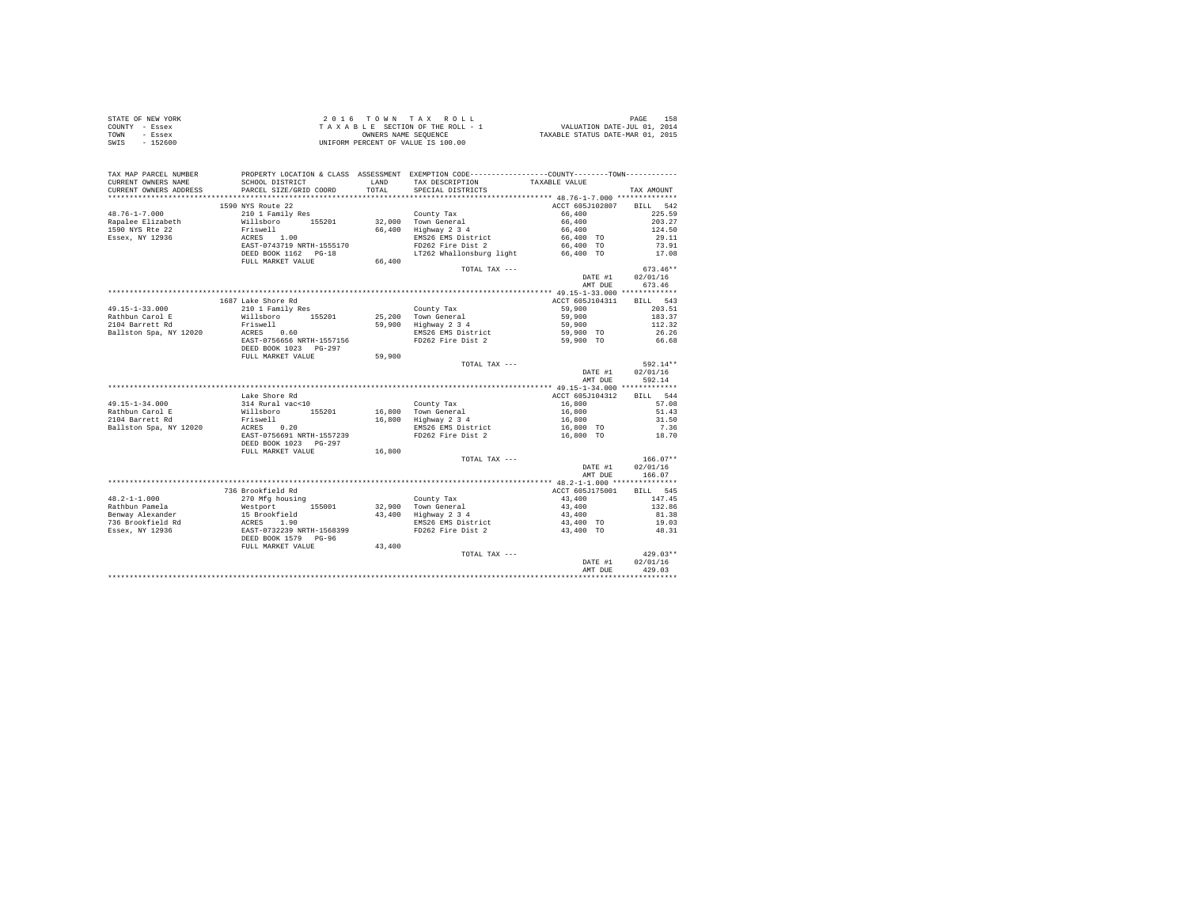| STATE OF NEW YORK | 2016 TOWN TAX ROLL                 | 158<br>PAGE                      |
|-------------------|------------------------------------|----------------------------------|
| COUNTY - Essex    | TAXABLE SECTION OF THE ROLL - 1    | VALUATION DATE-JUL 01, 2014      |
| TOWN<br>- Essex   | OWNERS NAME SEOUENCE               | TAXABLE STATUS DATE-MAR 01, 2015 |
| SWIS<br>- 152600  | UNIFORM PERCENT OF VALUE IS 100.00 |                                  |

| TAX MAP PARCEL NUMBER  |                                                                                                                                                                                                                                               |        | PROPERTY LOCATION & CLASS ASSESSMENT EXEMPTION CODE---------------COUNTY-------TOWN--------- |                 |                  |
|------------------------|-----------------------------------------------------------------------------------------------------------------------------------------------------------------------------------------------------------------------------------------------|--------|----------------------------------------------------------------------------------------------|-----------------|------------------|
| CURRENT OWNERS NAME    | SCHOOL DISTRICT                                                                                                                                                                                                                               | LAND   | TAX DESCRIPTION                                                                              | TAXABLE VALUE   |                  |
| CURRENT OWNERS ADDRESS | PARCEL SIZE/GRID COORD                                                                                                                                                                                                                        | TOTAL  | SPECIAL DISTRICTS                                                                            |                 | TAX AMOUNT       |
|                        |                                                                                                                                                                                                                                               |        |                                                                                              |                 |                  |
|                        | 1590 NYS Route 22                                                                                                                                                                                                                             |        |                                                                                              | ACCT 605J102807 | BILL 542         |
| $48.76 - 1 - 7.000$    | 210 1 Family Res                                                                                                                                                                                                                              |        | County Tax                                                                                   | 66,400          | 225.59           |
| Rapalee Elizabeth      | Willsboro 155201                                                                                                                                                                                                                              |        | 32,000 Town General                                                                          | 66,400          | 203.27           |
| 1590 NYS Rte 22        | Friswell                                                                                                                                                                                                                                      |        | 66,400 Highway 2 3 4                                                                         | 66,400          | 124.50           |
| Essex, NY 12936        | $ACRES$ 1.00                                                                                                                                                                                                                                  |        | EMS26 EMS District                                                                           | 66,400 TO       | 29.11            |
|                        | EAST-0743719 NRTH-1555170                                                                                                                                                                                                                     |        | FD262 Fire Dist 2                                                                            | 66,400 TO       | 73.91            |
|                        | DEED BOOK 1162 PG-18                                                                                                                                                                                                                          |        | LT262 Whallonsburg light 66,400 TO                                                           |                 | 17.08            |
|                        | FULL MARKET VALUE                                                                                                                                                                                                                             | 66,400 |                                                                                              |                 |                  |
|                        |                                                                                                                                                                                                                                               |        | TOTAL TAX ---                                                                                |                 | $673.46**$       |
|                        |                                                                                                                                                                                                                                               |        |                                                                                              |                 | DATE #1 02/01/16 |
|                        |                                                                                                                                                                                                                                               |        |                                                                                              | AMT DUE         | 673.46           |
|                        |                                                                                                                                                                                                                                               |        |                                                                                              |                 |                  |
|                        | 1687 Lake Shore Rd                                                                                                                                                                                                                            |        |                                                                                              | ACCT 605J104311 | BILL 543         |
| $49.15 - 1 - 33.000$   | 210 1 Family Res                                                                                                                                                                                                                              |        | County Tax                                                                                   | 59,900          | 203.51           |
| Rathbun Carol E        | willsboro 155201                                                                                                                                                                                                                              |        | 25.200 Town General                                                                          | 59,900          | 183.37           |
| 2104 Barrett Rd        | Friswell<br>ACRES 0.60                                                                                                                                                                                                                        |        | 59,900 Highway 2 3 4                                                                         | 59,900          | 112.32           |
| Ballston Spa, NY 12020 |                                                                                                                                                                                                                                               |        | EMS26 EMS District                                                                           | 59,900 TO       | 26.26            |
|                        | EAST-0756656 NRTH-1557156                                                                                                                                                                                                                     |        | FD262 Fire Dist 2                                                                            | 59,900 TO       | 66.68            |
|                        | DEED BOOK 1023 PG-297                                                                                                                                                                                                                         |        |                                                                                              |                 |                  |
|                        | FULL MARKET VALUE                                                                                                                                                                                                                             | 59,900 |                                                                                              |                 |                  |
|                        |                                                                                                                                                                                                                                               |        | TOTAL TAX ---                                                                                |                 | 592.14**         |
|                        |                                                                                                                                                                                                                                               |        |                                                                                              | DATE #1         | 02/01/16         |
|                        |                                                                                                                                                                                                                                               |        |                                                                                              | AMT DUE         | 592.14           |
|                        |                                                                                                                                                                                                                                               |        |                                                                                              |                 |                  |
|                        | Lake Shore Rd                                                                                                                                                                                                                                 |        |                                                                                              | ACCT 605J104312 | BILL 544         |
| 49.15-1-34.000         | 314 Rural vac<10                                                                                                                                                                                                                              |        | County Tax                                                                                   | 16,800          | 57.08            |
| Rathbun Carol E        | Willsboro 155201<br>Friswell                                                                                                                                                                                                                  |        | 16.800 Town General<br>$16,800$ Highway $2\overline{3}4$                                     | 16,800          | 51.43            |
| 2104 Barrett Rd        |                                                                                                                                                                                                                                               |        |                                                                                              | 16,800          | 31.50            |
| Ballston Spa, NY 12020 | ACRES 0.20                                                                                                                                                                                                                                    |        | EMS26 EMS District                                                                           | 16,800 TO       | 7.36             |
|                        | EAST-0756691 NRTH-1557239                                                                                                                                                                                                                     |        | FD262 Fire Dist 2                                                                            | 16,800 TO       | 18.70            |
|                        | DEED BOOK 1023 PG-297                                                                                                                                                                                                                         |        |                                                                                              |                 |                  |
|                        | FULL MARKET VALUE                                                                                                                                                                                                                             | 16,800 |                                                                                              |                 |                  |
|                        |                                                                                                                                                                                                                                               |        | TOTAL TAX ---                                                                                |                 | $166.07**$       |
|                        |                                                                                                                                                                                                                                               |        |                                                                                              | DATE #1         | 02/01/16         |
|                        |                                                                                                                                                                                                                                               |        |                                                                                              | AMT DUE         | 166.07           |
|                        |                                                                                                                                                                                                                                               |        |                                                                                              |                 |                  |
|                        | 736 Brookfield Rd                                                                                                                                                                                                                             |        |                                                                                              | ACCT 605J175001 | BILL 545         |
| $48.2 - 1 - 1.000$     | 270 Mfg housing                                                                                                                                                                                                                               |        | County Tax                                                                                   | 43,400          | 147.45           |
|                        | 1991 - Alexander Mesiport (155001)<br>Rathbun Pamela (156001)<br>1993 - The Mac Mac Mac (1993)<br>1998 - The Mac Mac (1998)<br>1998 - The Mac (1998)<br>1998 - The Mac (1998)<br>1999 - The Mac (1998)<br>1999 - The Mac (1999)<br>1999 - The |        | 32,900 Town General<br>43,400 Highway 2 3 4                                                  | 43,400          | 132.86           |
|                        |                                                                                                                                                                                                                                               |        | Highway<br>EMS26 EMS District                                                                | 43,400          | 81.38            |
|                        |                                                                                                                                                                                                                                               |        |                                                                                              | 43,400 TO       | 19.03            |
|                        |                                                                                                                                                                                                                                               |        | FD262 Fire Dist 2                                                                            | 43,400 TO       | 48.31            |
|                        |                                                                                                                                                                                                                                               |        |                                                                                              |                 |                  |
|                        | FULL MARKET VALUE                                                                                                                                                                                                                             | 43,400 |                                                                                              |                 |                  |
|                        |                                                                                                                                                                                                                                               |        | TOTAL TAX ---                                                                                |                 | $429.03**$       |
|                        |                                                                                                                                                                                                                                               |        |                                                                                              | DATE #1         | 02/01/16         |
|                        |                                                                                                                                                                                                                                               |        |                                                                                              | AMT DUE         | 429.03           |
|                        |                                                                                                                                                                                                                                               |        |                                                                                              |                 |                  |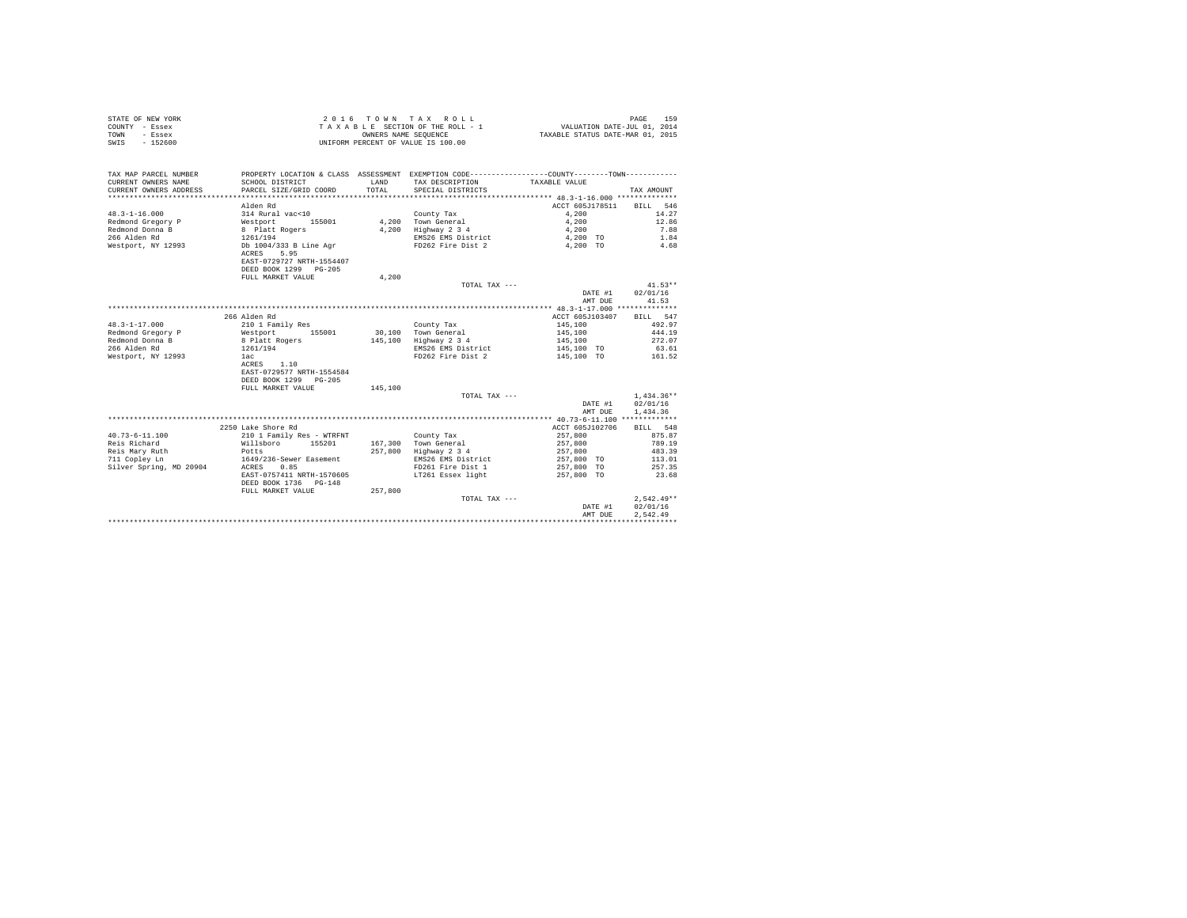|                | STATE OF NEW YORK | 2016 TOWN TAX ROLL                 | 159<br>PAGE                      |
|----------------|-------------------|------------------------------------|----------------------------------|
| COUNTY - Essex |                   | TAXABLE SECTION OF THE ROLL - 1    | VALUATION DATE-JUL 01, 2014      |
| TOWN           | - Essex           | OWNERS NAME SEOUENCE               | TAXABLE STATUS DATE-MAR 01, 2015 |
| SWIS           | $-152600$         | UNIFORM PERCENT OF VALUE IS 100.00 |                                  |

| ACCT 605J178511<br>Alden Rd<br>BTLL.<br>546<br>314 Rural vac<10<br>14.27<br>$48.3 - 1 - 16.000$<br>County Tax<br>4.200<br>4.200<br>12.86<br>Redmond Gregory P<br>Westport<br>155001<br>4.200 Town General<br>Redmond Donna B<br>8 Platt Rogers<br>4.200<br>Highway 2 3 4<br>7.88<br>4,200<br>266 Alden Rd<br>1261/194<br>EMS26 EMS District<br>4,200 TO<br>1.84<br>4.68<br>Westport, NY 12993<br>Db 1004/333 B Line Agr<br>FD262 Fire Dist 2<br>4,200 TO<br>5.95<br>ACRES<br>EAST-0729727 NRTH-1554407<br>DEED BOOK 1299 PG-205<br>FULL MARKET VALUE<br>4,200<br>$41.53**$<br>TOTAL TAX ---<br>DATE #1<br>02/01/16<br>41.53<br>AMT DUE<br>266 Alden Rd<br>ACCT 605J103407<br>BTT.T. 547<br>145,100<br>492.97<br>$48.3 - 1 - 17.000$<br>210 1 Family Res<br>County Tax<br>30.100 Town General<br>Redmond Gregory P<br>155001<br>145,100<br>444.19<br>Westport<br>Redmond Donna B<br>8 Platt Rogers<br>145,100<br>Highway 2 3 4<br>272.07<br>145,100<br>266 Alden Rd<br>1261/194<br>EMS26 EMS District<br>63.61<br>145,100 TO<br>Westport, NY 12993<br>FD262 Fire Dist 2<br>161.52<br>145,100 TO<br>1ac<br>1.10<br>ACRES<br>EAST-0729577 NRTH-1554584<br>DEED BOOK 1299 PG-205<br>FULL MARKET VALUE<br>145,100<br>$1,434.36**$<br>TOTAL TAX ---<br>02/01/16<br>DATE #1<br>AMT DUE<br>1,434.36<br>2250 Lake Shore Rd<br>ACCT 605J102706<br>BILL 548<br>$40.73 - 6 - 11.100$<br>210 1 Family Res - WTRFNT<br>257,800<br>875.87<br>County Tax<br>Reis Richard<br>Willsboro<br>155201<br>167,300<br>257,800<br>789.19<br>Town General<br>Reis Mary Ruth<br>257,800<br>Highway 2 3 4<br>Potts<br>257,800<br>483.39<br>711 Copley Ln<br>1649/236-Sewer Easement<br>EMS26 EMS District<br>113.01<br>257,800 TO<br>Silver Spring, MD 20904<br>0.85<br>FD261 Fire Dist 1<br>257.35<br>ACRES<br>257,800 TO<br>EAST-0757411 NRTH-1570605<br>LT261 Essex light<br>23.68<br>257,800 TO<br>DEED BOOK 1736 PG-148<br>257,800<br>FULL MARKET VALUE<br>$2.542.49**$<br>TOTAL TAX ---<br>02/01/16<br>DATE #1<br>2.542.49<br>AMT DUE | TAX MAP PARCEL NUMBER<br>CURRENT OWNERS NAME<br>CURRENT OWNERS ADDRESS | SCHOOL DISTRICT<br>PARCEL SIZE/GRID COORD | LAND<br>TOTAL | PROPERTY LOCATION & CLASS ASSESSMENT EXEMPTION CODE---------------COUNTY-------TOWN---------<br>TAX DESCRIPTION<br>SPECIAL DISTRICTS | TAXABLE VALUE | TAX AMOUNT |
|-----------------------------------------------------------------------------------------------------------------------------------------------------------------------------------------------------------------------------------------------------------------------------------------------------------------------------------------------------------------------------------------------------------------------------------------------------------------------------------------------------------------------------------------------------------------------------------------------------------------------------------------------------------------------------------------------------------------------------------------------------------------------------------------------------------------------------------------------------------------------------------------------------------------------------------------------------------------------------------------------------------------------------------------------------------------------------------------------------------------------------------------------------------------------------------------------------------------------------------------------------------------------------------------------------------------------------------------------------------------------------------------------------------------------------------------------------------------------------------------------------------------------------------------------------------------------------------------------------------------------------------------------------------------------------------------------------------------------------------------------------------------------------------------------------------------------------------------------------------------------------------------------------------------------------------------------------------------------------------------------------------------|------------------------------------------------------------------------|-------------------------------------------|---------------|--------------------------------------------------------------------------------------------------------------------------------------|---------------|------------|
|                                                                                                                                                                                                                                                                                                                                                                                                                                                                                                                                                                                                                                                                                                                                                                                                                                                                                                                                                                                                                                                                                                                                                                                                                                                                                                                                                                                                                                                                                                                                                                                                                                                                                                                                                                                                                                                                                                                                                                                                                 |                                                                        |                                           |               |                                                                                                                                      |               |            |
|                                                                                                                                                                                                                                                                                                                                                                                                                                                                                                                                                                                                                                                                                                                                                                                                                                                                                                                                                                                                                                                                                                                                                                                                                                                                                                                                                                                                                                                                                                                                                                                                                                                                                                                                                                                                                                                                                                                                                                                                                 |                                                                        |                                           |               |                                                                                                                                      |               |            |
|                                                                                                                                                                                                                                                                                                                                                                                                                                                                                                                                                                                                                                                                                                                                                                                                                                                                                                                                                                                                                                                                                                                                                                                                                                                                                                                                                                                                                                                                                                                                                                                                                                                                                                                                                                                                                                                                                                                                                                                                                 |                                                                        |                                           |               |                                                                                                                                      |               |            |
|                                                                                                                                                                                                                                                                                                                                                                                                                                                                                                                                                                                                                                                                                                                                                                                                                                                                                                                                                                                                                                                                                                                                                                                                                                                                                                                                                                                                                                                                                                                                                                                                                                                                                                                                                                                                                                                                                                                                                                                                                 |                                                                        |                                           |               |                                                                                                                                      |               |            |
|                                                                                                                                                                                                                                                                                                                                                                                                                                                                                                                                                                                                                                                                                                                                                                                                                                                                                                                                                                                                                                                                                                                                                                                                                                                                                                                                                                                                                                                                                                                                                                                                                                                                                                                                                                                                                                                                                                                                                                                                                 |                                                                        |                                           |               |                                                                                                                                      |               |            |
|                                                                                                                                                                                                                                                                                                                                                                                                                                                                                                                                                                                                                                                                                                                                                                                                                                                                                                                                                                                                                                                                                                                                                                                                                                                                                                                                                                                                                                                                                                                                                                                                                                                                                                                                                                                                                                                                                                                                                                                                                 |                                                                        |                                           |               |                                                                                                                                      |               |            |
|                                                                                                                                                                                                                                                                                                                                                                                                                                                                                                                                                                                                                                                                                                                                                                                                                                                                                                                                                                                                                                                                                                                                                                                                                                                                                                                                                                                                                                                                                                                                                                                                                                                                                                                                                                                                                                                                                                                                                                                                                 |                                                                        |                                           |               |                                                                                                                                      |               |            |
|                                                                                                                                                                                                                                                                                                                                                                                                                                                                                                                                                                                                                                                                                                                                                                                                                                                                                                                                                                                                                                                                                                                                                                                                                                                                                                                                                                                                                                                                                                                                                                                                                                                                                                                                                                                                                                                                                                                                                                                                                 |                                                                        |                                           |               |                                                                                                                                      |               |            |
|                                                                                                                                                                                                                                                                                                                                                                                                                                                                                                                                                                                                                                                                                                                                                                                                                                                                                                                                                                                                                                                                                                                                                                                                                                                                                                                                                                                                                                                                                                                                                                                                                                                                                                                                                                                                                                                                                                                                                                                                                 |                                                                        |                                           |               |                                                                                                                                      |               |            |
|                                                                                                                                                                                                                                                                                                                                                                                                                                                                                                                                                                                                                                                                                                                                                                                                                                                                                                                                                                                                                                                                                                                                                                                                                                                                                                                                                                                                                                                                                                                                                                                                                                                                                                                                                                                                                                                                                                                                                                                                                 |                                                                        |                                           |               |                                                                                                                                      |               |            |
|                                                                                                                                                                                                                                                                                                                                                                                                                                                                                                                                                                                                                                                                                                                                                                                                                                                                                                                                                                                                                                                                                                                                                                                                                                                                                                                                                                                                                                                                                                                                                                                                                                                                                                                                                                                                                                                                                                                                                                                                                 |                                                                        |                                           |               |                                                                                                                                      |               |            |
|                                                                                                                                                                                                                                                                                                                                                                                                                                                                                                                                                                                                                                                                                                                                                                                                                                                                                                                                                                                                                                                                                                                                                                                                                                                                                                                                                                                                                                                                                                                                                                                                                                                                                                                                                                                                                                                                                                                                                                                                                 |                                                                        |                                           |               |                                                                                                                                      |               |            |
|                                                                                                                                                                                                                                                                                                                                                                                                                                                                                                                                                                                                                                                                                                                                                                                                                                                                                                                                                                                                                                                                                                                                                                                                                                                                                                                                                                                                                                                                                                                                                                                                                                                                                                                                                                                                                                                                                                                                                                                                                 |                                                                        |                                           |               |                                                                                                                                      |               |            |
|                                                                                                                                                                                                                                                                                                                                                                                                                                                                                                                                                                                                                                                                                                                                                                                                                                                                                                                                                                                                                                                                                                                                                                                                                                                                                                                                                                                                                                                                                                                                                                                                                                                                                                                                                                                                                                                                                                                                                                                                                 |                                                                        |                                           |               |                                                                                                                                      |               |            |
|                                                                                                                                                                                                                                                                                                                                                                                                                                                                                                                                                                                                                                                                                                                                                                                                                                                                                                                                                                                                                                                                                                                                                                                                                                                                                                                                                                                                                                                                                                                                                                                                                                                                                                                                                                                                                                                                                                                                                                                                                 |                                                                        |                                           |               |                                                                                                                                      |               |            |
|                                                                                                                                                                                                                                                                                                                                                                                                                                                                                                                                                                                                                                                                                                                                                                                                                                                                                                                                                                                                                                                                                                                                                                                                                                                                                                                                                                                                                                                                                                                                                                                                                                                                                                                                                                                                                                                                                                                                                                                                                 |                                                                        |                                           |               |                                                                                                                                      |               |            |
|                                                                                                                                                                                                                                                                                                                                                                                                                                                                                                                                                                                                                                                                                                                                                                                                                                                                                                                                                                                                                                                                                                                                                                                                                                                                                                                                                                                                                                                                                                                                                                                                                                                                                                                                                                                                                                                                                                                                                                                                                 |                                                                        |                                           |               |                                                                                                                                      |               |            |
|                                                                                                                                                                                                                                                                                                                                                                                                                                                                                                                                                                                                                                                                                                                                                                                                                                                                                                                                                                                                                                                                                                                                                                                                                                                                                                                                                                                                                                                                                                                                                                                                                                                                                                                                                                                                                                                                                                                                                                                                                 |                                                                        |                                           |               |                                                                                                                                      |               |            |
|                                                                                                                                                                                                                                                                                                                                                                                                                                                                                                                                                                                                                                                                                                                                                                                                                                                                                                                                                                                                                                                                                                                                                                                                                                                                                                                                                                                                                                                                                                                                                                                                                                                                                                                                                                                                                                                                                                                                                                                                                 |                                                                        |                                           |               |                                                                                                                                      |               |            |
|                                                                                                                                                                                                                                                                                                                                                                                                                                                                                                                                                                                                                                                                                                                                                                                                                                                                                                                                                                                                                                                                                                                                                                                                                                                                                                                                                                                                                                                                                                                                                                                                                                                                                                                                                                                                                                                                                                                                                                                                                 |                                                                        |                                           |               |                                                                                                                                      |               |            |
|                                                                                                                                                                                                                                                                                                                                                                                                                                                                                                                                                                                                                                                                                                                                                                                                                                                                                                                                                                                                                                                                                                                                                                                                                                                                                                                                                                                                                                                                                                                                                                                                                                                                                                                                                                                                                                                                                                                                                                                                                 |                                                                        |                                           |               |                                                                                                                                      |               |            |
|                                                                                                                                                                                                                                                                                                                                                                                                                                                                                                                                                                                                                                                                                                                                                                                                                                                                                                                                                                                                                                                                                                                                                                                                                                                                                                                                                                                                                                                                                                                                                                                                                                                                                                                                                                                                                                                                                                                                                                                                                 |                                                                        |                                           |               |                                                                                                                                      |               |            |
|                                                                                                                                                                                                                                                                                                                                                                                                                                                                                                                                                                                                                                                                                                                                                                                                                                                                                                                                                                                                                                                                                                                                                                                                                                                                                                                                                                                                                                                                                                                                                                                                                                                                                                                                                                                                                                                                                                                                                                                                                 |                                                                        |                                           |               |                                                                                                                                      |               |            |
|                                                                                                                                                                                                                                                                                                                                                                                                                                                                                                                                                                                                                                                                                                                                                                                                                                                                                                                                                                                                                                                                                                                                                                                                                                                                                                                                                                                                                                                                                                                                                                                                                                                                                                                                                                                                                                                                                                                                                                                                                 |                                                                        |                                           |               |                                                                                                                                      |               |            |
|                                                                                                                                                                                                                                                                                                                                                                                                                                                                                                                                                                                                                                                                                                                                                                                                                                                                                                                                                                                                                                                                                                                                                                                                                                                                                                                                                                                                                                                                                                                                                                                                                                                                                                                                                                                                                                                                                                                                                                                                                 |                                                                        |                                           |               |                                                                                                                                      |               |            |
|                                                                                                                                                                                                                                                                                                                                                                                                                                                                                                                                                                                                                                                                                                                                                                                                                                                                                                                                                                                                                                                                                                                                                                                                                                                                                                                                                                                                                                                                                                                                                                                                                                                                                                                                                                                                                                                                                                                                                                                                                 |                                                                        |                                           |               |                                                                                                                                      |               |            |
|                                                                                                                                                                                                                                                                                                                                                                                                                                                                                                                                                                                                                                                                                                                                                                                                                                                                                                                                                                                                                                                                                                                                                                                                                                                                                                                                                                                                                                                                                                                                                                                                                                                                                                                                                                                                                                                                                                                                                                                                                 |                                                                        |                                           |               |                                                                                                                                      |               |            |
|                                                                                                                                                                                                                                                                                                                                                                                                                                                                                                                                                                                                                                                                                                                                                                                                                                                                                                                                                                                                                                                                                                                                                                                                                                                                                                                                                                                                                                                                                                                                                                                                                                                                                                                                                                                                                                                                                                                                                                                                                 |                                                                        |                                           |               |                                                                                                                                      |               |            |
|                                                                                                                                                                                                                                                                                                                                                                                                                                                                                                                                                                                                                                                                                                                                                                                                                                                                                                                                                                                                                                                                                                                                                                                                                                                                                                                                                                                                                                                                                                                                                                                                                                                                                                                                                                                                                                                                                                                                                                                                                 |                                                                        |                                           |               |                                                                                                                                      |               |            |
|                                                                                                                                                                                                                                                                                                                                                                                                                                                                                                                                                                                                                                                                                                                                                                                                                                                                                                                                                                                                                                                                                                                                                                                                                                                                                                                                                                                                                                                                                                                                                                                                                                                                                                                                                                                                                                                                                                                                                                                                                 |                                                                        |                                           |               |                                                                                                                                      |               |            |
|                                                                                                                                                                                                                                                                                                                                                                                                                                                                                                                                                                                                                                                                                                                                                                                                                                                                                                                                                                                                                                                                                                                                                                                                                                                                                                                                                                                                                                                                                                                                                                                                                                                                                                                                                                                                                                                                                                                                                                                                                 |                                                                        |                                           |               |                                                                                                                                      |               |            |
|                                                                                                                                                                                                                                                                                                                                                                                                                                                                                                                                                                                                                                                                                                                                                                                                                                                                                                                                                                                                                                                                                                                                                                                                                                                                                                                                                                                                                                                                                                                                                                                                                                                                                                                                                                                                                                                                                                                                                                                                                 |                                                                        |                                           |               |                                                                                                                                      |               |            |
|                                                                                                                                                                                                                                                                                                                                                                                                                                                                                                                                                                                                                                                                                                                                                                                                                                                                                                                                                                                                                                                                                                                                                                                                                                                                                                                                                                                                                                                                                                                                                                                                                                                                                                                                                                                                                                                                                                                                                                                                                 |                                                                        |                                           |               |                                                                                                                                      |               |            |
|                                                                                                                                                                                                                                                                                                                                                                                                                                                                                                                                                                                                                                                                                                                                                                                                                                                                                                                                                                                                                                                                                                                                                                                                                                                                                                                                                                                                                                                                                                                                                                                                                                                                                                                                                                                                                                                                                                                                                                                                                 |                                                                        |                                           |               |                                                                                                                                      |               |            |
|                                                                                                                                                                                                                                                                                                                                                                                                                                                                                                                                                                                                                                                                                                                                                                                                                                                                                                                                                                                                                                                                                                                                                                                                                                                                                                                                                                                                                                                                                                                                                                                                                                                                                                                                                                                                                                                                                                                                                                                                                 |                                                                        |                                           |               |                                                                                                                                      |               |            |
|                                                                                                                                                                                                                                                                                                                                                                                                                                                                                                                                                                                                                                                                                                                                                                                                                                                                                                                                                                                                                                                                                                                                                                                                                                                                                                                                                                                                                                                                                                                                                                                                                                                                                                                                                                                                                                                                                                                                                                                                                 |                                                                        |                                           |               |                                                                                                                                      |               |            |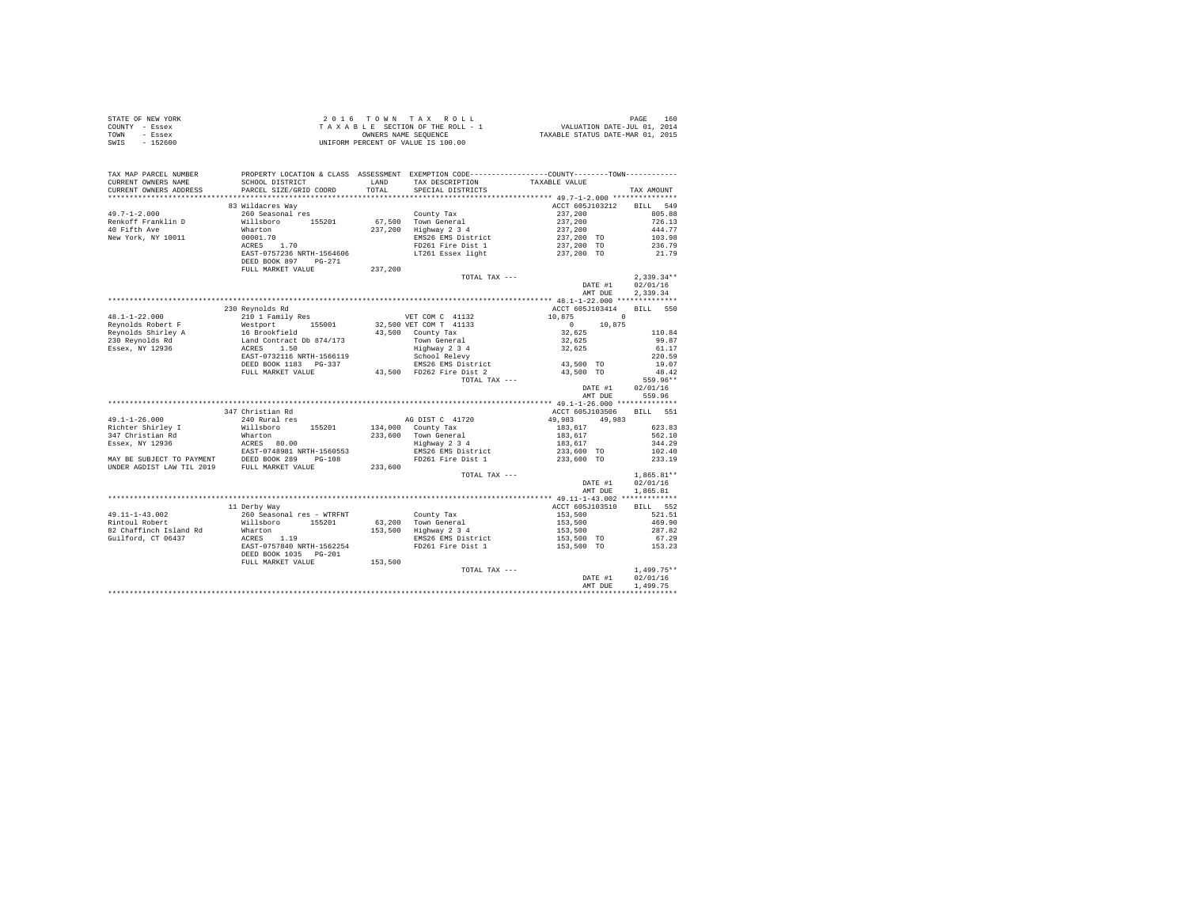| STATE OF NEW YORK | 2016 TOWN TAX ROLL                 | 160<br>PAGE                      |
|-------------------|------------------------------------|----------------------------------|
| COUNTY - Essex    | TAXABLE SECTION OF THE ROLL - 1    | VALUATION DATE-JUL 01, 2014      |
| TOWN<br>- Essex   | OWNERS NAME SEOUENCE               | TAXABLE STATUS DATE-MAR 01, 2015 |
| - 152600<br>SWIS  | UNIFORM PERCENT OF VALUE IS 100.00 |                                  |

| TAX MAP PARCEL NUMBER<br>CURRENT OWNERS NAME | SCHOOL DISTRICT                                                                                                                                                                                                                                                                                                                                                                                                            |         | LAND TAX DESCRIPTION | PROPERTY LOCATION & CLASS ASSESSMENT EXEMPTION CODE---------------COUNTY-------TOWN---------<br>TAXABLE VALUE |                    |
|----------------------------------------------|----------------------------------------------------------------------------------------------------------------------------------------------------------------------------------------------------------------------------------------------------------------------------------------------------------------------------------------------------------------------------------------------------------------------------|---------|----------------------|---------------------------------------------------------------------------------------------------------------|--------------------|
| CURRENT OWNERS ADDRESS                       | PARCEL SIZE/GRID COORD                                                                                                                                                                                                                                                                                                                                                                                                     | TOTAL   | SPECIAL DISTRICTS    |                                                                                                               | TAX AMOUNT         |
|                                              |                                                                                                                                                                                                                                                                                                                                                                                                                            |         |                      |                                                                                                               |                    |
|                                              | 83 Wildacres Wav                                                                                                                                                                                                                                                                                                                                                                                                           |         |                      | ACCT 605J103212 BILL 549                                                                                      |                    |
| $49.7 - 1 - 2.000$                           |                                                                                                                                                                                                                                                                                                                                                                                                                            |         |                      |                                                                                                               |                    |
| Renkoff Franklin D                           |                                                                                                                                                                                                                                                                                                                                                                                                                            |         |                      |                                                                                                               |                    |
| 40 Fifth Ave                                 |                                                                                                                                                                                                                                                                                                                                                                                                                            |         |                      |                                                                                                               |                    |
| New York, NY 10011                           |                                                                                                                                                                                                                                                                                                                                                                                                                            |         |                      |                                                                                                               |                    |
|                                              |                                                                                                                                                                                                                                                                                                                                                                                                                            |         |                      |                                                                                                               |                    |
|                                              |                                                                                                                                                                                                                                                                                                                                                                                                                            |         |                      |                                                                                                               |                    |
|                                              | FULL MARKET VALUE                                                                                                                                                                                                                                                                                                                                                                                                          | 237,200 |                      |                                                                                                               |                    |
|                                              |                                                                                                                                                                                                                                                                                                                                                                                                                            |         | TOTAL TAX ---        |                                                                                                               | $2,339.34**$       |
|                                              |                                                                                                                                                                                                                                                                                                                                                                                                                            |         |                      | DATE #1                                                                                                       | 02/01/16           |
|                                              |                                                                                                                                                                                                                                                                                                                                                                                                                            |         |                      | AMT DUE                                                                                                       | 2,339.34           |
|                                              |                                                                                                                                                                                                                                                                                                                                                                                                                            |         |                      |                                                                                                               |                    |
|                                              | 230 Revnolds Rd<br>$\begin{tabular}{l c c c c c} \multicolumn{1}{c c c c} \multicolumn{1}{c c c} \multicolumn{1}{c c c} \multicolumn{1}{c c c} \multicolumn{1}{c c c} \multicolumn{1}{c c c} \multicolumn{1}{c c c} \multicolumn{1}{c c c} \multicolumn{1}{c c c} \multicolumn{1}{c c c} \multicolumn{1}{c c c} \multicolumn{1}{c c c} \multicolumn{1}{c c c} \multicolumn{1}{c c c} \multicolumn{1}{c c c} \multicolumn{$ |         |                      | ACCT 605J103414                                                                                               | BILL 550           |
|                                              |                                                                                                                                                                                                                                                                                                                                                                                                                            |         |                      |                                                                                                               |                    |
|                                              |                                                                                                                                                                                                                                                                                                                                                                                                                            |         |                      |                                                                                                               |                    |
|                                              |                                                                                                                                                                                                                                                                                                                                                                                                                            |         |                      |                                                                                                               |                    |
|                                              |                                                                                                                                                                                                                                                                                                                                                                                                                            |         |                      |                                                                                                               |                    |
|                                              |                                                                                                                                                                                                                                                                                                                                                                                                                            |         |                      |                                                                                                               |                    |
|                                              |                                                                                                                                                                                                                                                                                                                                                                                                                            |         |                      |                                                                                                               |                    |
|                                              |                                                                                                                                                                                                                                                                                                                                                                                                                            |         |                      |                                                                                                               |                    |
|                                              |                                                                                                                                                                                                                                                                                                                                                                                                                            |         |                      |                                                                                                               |                    |
|                                              |                                                                                                                                                                                                                                                                                                                                                                                                                            |         |                      |                                                                                                               |                    |
|                                              |                                                                                                                                                                                                                                                                                                                                                                                                                            |         |                      | DATE #1                                                                                                       | 02/01/16<br>559.96 |
|                                              |                                                                                                                                                                                                                                                                                                                                                                                                                            |         |                      | AMT DUE                                                                                                       |                    |
|                                              | 347 Christian Rd                                                                                                                                                                                                                                                                                                                                                                                                           |         |                      | ACCT 605J103506 BILL 551                                                                                      |                    |
|                                              |                                                                                                                                                                                                                                                                                                                                                                                                                            |         |                      |                                                                                                               |                    |
|                                              |                                                                                                                                                                                                                                                                                                                                                                                                                            |         |                      |                                                                                                               |                    |
|                                              |                                                                                                                                                                                                                                                                                                                                                                                                                            |         |                      |                                                                                                               |                    |
|                                              |                                                                                                                                                                                                                                                                                                                                                                                                                            |         |                      |                                                                                                               |                    |
|                                              |                                                                                                                                                                                                                                                                                                                                                                                                                            |         |                      |                                                                                                               |                    |
|                                              |                                                                                                                                                                                                                                                                                                                                                                                                                            |         |                      |                                                                                                               |                    |
|                                              |                                                                                                                                                                                                                                                                                                                                                                                                                            |         |                      |                                                                                                               |                    |
|                                              |                                                                                                                                                                                                                                                                                                                                                                                                                            |         | TOTAL TAX $---$      |                                                                                                               | $1,865.81**$       |
|                                              |                                                                                                                                                                                                                                                                                                                                                                                                                            |         |                      | DATE #1                                                                                                       | 02/01/16           |
|                                              |                                                                                                                                                                                                                                                                                                                                                                                                                            |         |                      | AMT DUE                                                                                                       | 1,865.81           |
|                                              |                                                                                                                                                                                                                                                                                                                                                                                                                            |         |                      |                                                                                                               |                    |
|                                              | 11 Derby Way                                                                                                                                                                                                                                                                                                                                                                                                               |         |                      | ACCT 605J103510                                                                                               | BILL 552           |
|                                              |                                                                                                                                                                                                                                                                                                                                                                                                                            |         |                      |                                                                                                               |                    |
|                                              |                                                                                                                                                                                                                                                                                                                                                                                                                            |         |                      |                                                                                                               |                    |
|                                              |                                                                                                                                                                                                                                                                                                                                                                                                                            |         |                      |                                                                                                               |                    |
|                                              |                                                                                                                                                                                                                                                                                                                                                                                                                            |         |                      |                                                                                                               |                    |
|                                              |                                                                                                                                                                                                                                                                                                                                                                                                                            |         |                      |                                                                                                               |                    |
|                                              |                                                                                                                                                                                                                                                                                                                                                                                                                            |         |                      |                                                                                                               |                    |
|                                              | $\begin{tabular}{l c c c c c c c c} \multicolumn{1}{c c c c} \multicolumn{1}{c c c} \multicolumn{1}{c c c} \multicolumn{1}{c c c} \multicolumn{1}{c c c} \multicolumn{1}{c c c} \multicolumn{1}{c c c} \multicolumn{1}{c c c} \multicolumn{1}{c c c} \multicolumn{1}{c c c} \multicolumn{1}{c c c} \multicolumn{1}{c c c} \multicolumn{1}{c c c} \multicolumn{1}{c c c} \multicolumn{1}{c c c$                             |         |                      |                                                                                                               |                    |
|                                              |                                                                                                                                                                                                                                                                                                                                                                                                                            |         | TOTAL TAX ---        |                                                                                                               | $1,499.75**$       |
|                                              |                                                                                                                                                                                                                                                                                                                                                                                                                            |         |                      | DATE #1 $02/01/16$                                                                                            |                    |
|                                              |                                                                                                                                                                                                                                                                                                                                                                                                                            |         |                      | AMT DUE                                                                                                       | 1,499.75           |
|                                              |                                                                                                                                                                                                                                                                                                                                                                                                                            |         |                      |                                                                                                               |                    |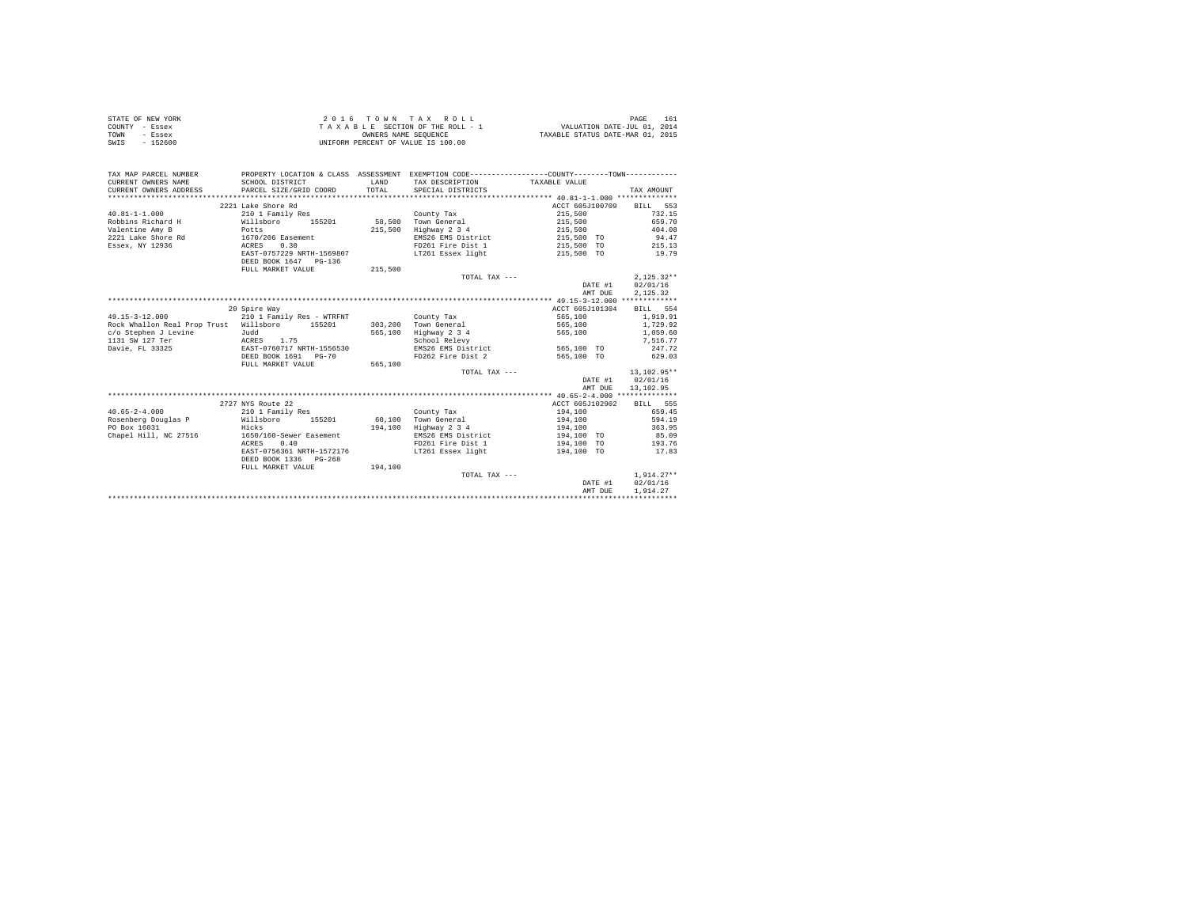| STATE OF NEW YORK | $2.0.16$ TOWN TAX ROLL             | 161<br>PAGE                      |
|-------------------|------------------------------------|----------------------------------|
| COUNTY - Essex    | TAXABLE SECTION OF THE ROLL - 1    | VALUATION DATE-JUL 01, 2014      |
| TOWN<br>- Essex   | OWNERS NAME SEOUENCE               | TAXABLE STATUS DATE-MAR 01, 2015 |
| - 152600<br>SWIS  | UNIFORM PERCENT OF VALUE IS 100.00 |                                  |

| 2221 Lake Shore Rd<br>ACCT 605J100709<br>BILL 553<br>$40.81 - 1 - 1.000$<br>210 1 Family Res<br>215,500<br>732.15<br>County Tax<br>155201<br>58,500<br>Town General<br>215,500<br>659.70<br>Robbins Richard H<br>Willsboro<br>Valentine Amy B<br>215,500<br>Highway 2 3 4<br>215,500<br>404.08<br>Potts<br>2221 Lake Shore Rd 1670/206 Easement<br>EMS26 EMS District<br>215,500 TO<br>94.47<br>215,500 TO 215.13<br>Essex, NY 12936<br>0.30<br>FD261 Fire Dist 1<br>ACRES<br>EAST-0757229 NRTH-1569807<br>LT261 Essex light<br>215,500 TO<br>19.79<br>DEED BOOK 1647 PG-136<br>215,500<br>FULL MARKET VALUE<br>$2.125.32**$<br>TOTAL TAX ---<br>DATE #1<br>02/01/16<br>2.125.32<br>AMT DUE<br>20 Spire Way<br>ACCT 605J101304<br>BILL 554<br>565,100<br>1,919.91<br>210 1 Family Res - WTRFNT<br>County Tax<br>Town General<br>Rock Whallon Real Prop Trust Willsboro 155201<br>303,200<br>565,100<br>1,729.92<br>565,100<br>Highway 2 3 4<br>565,100<br>1,059.60<br>School Relevy<br>7.516.77<br>EAST-0760717 NRTH-1556530<br>Davie, FL 33325<br>EMS26 EMS District 565,100 TO<br>247.72<br>FD262 Fire Dist 2<br>629.03<br>DEED BOOK 1691 PG-70<br>565,100 TO<br>565,100<br>FULL MARKET VALUE<br>13,102.95**<br>TOTAL TAX ---<br>02/01/16<br>DATE #1<br>13,102.95<br>AMT DUE<br>2727 NYS Route 22<br>ACCT 605J102902<br>BILL 555<br>210 1 Family Res<br>194,100<br>659.45<br>County Tax<br>155201 60.100<br>Rosenberg Douglas P Willsboro<br>Town General<br>194,100<br>594.19<br>PO Box 16031<br>194,100<br>Highway 2 3 4<br>363.95<br>Hicks<br>194,100<br>Chapel Hill, NC 27516<br>EMS26 EMS District<br>85.09<br>1650/160-Sewer Easement<br>194,100 TO<br>FD261 Fire Dist 1<br>0.40<br>194,100 TO<br>193.76<br>ACRES<br>LT261 Essex light<br>EAST-0756361 NRTH-1572176<br>194,100 TO<br>17.83<br>DEED BOOK 1336 PG-268<br>194,100<br>FULL MARKET VALUE<br>$1.914.27**$<br>TOTAL TAX ---<br>02/01/16<br>DATE #1<br>1,914.27<br>AMT DUE | TAX MAP PARCEL NUMBER<br>CURRENT OWNERS NAME<br>CURRENT OWNERS ADDRESS | SCHOOL DISTRICT<br>PARCEL SIZE/GRID COORD | LAND<br>TOTAL | PROPERTY LOCATION & CLASS ASSESSMENT EXEMPTION CODE----------------COUNTY--------TOWN----------<br>TAX DESCRIPTION TAXABLE VALUE<br>SPECIAL DISTRICTS | TAX AMOUNT |
|--------------------------------------------------------------------------------------------------------------------------------------------------------------------------------------------------------------------------------------------------------------------------------------------------------------------------------------------------------------------------------------------------------------------------------------------------------------------------------------------------------------------------------------------------------------------------------------------------------------------------------------------------------------------------------------------------------------------------------------------------------------------------------------------------------------------------------------------------------------------------------------------------------------------------------------------------------------------------------------------------------------------------------------------------------------------------------------------------------------------------------------------------------------------------------------------------------------------------------------------------------------------------------------------------------------------------------------------------------------------------------------------------------------------------------------------------------------------------------------------------------------------------------------------------------------------------------------------------------------------------------------------------------------------------------------------------------------------------------------------------------------------------------------------------------------------------------------------------------------------------------------------------------------------------------------------|------------------------------------------------------------------------|-------------------------------------------|---------------|-------------------------------------------------------------------------------------------------------------------------------------------------------|------------|
|                                                                                                                                                                                                                                                                                                                                                                                                                                                                                                                                                                                                                                                                                                                                                                                                                                                                                                                                                                                                                                                                                                                                                                                                                                                                                                                                                                                                                                                                                                                                                                                                                                                                                                                                                                                                                                                                                                                                            |                                                                        |                                           |               |                                                                                                                                                       |            |
|                                                                                                                                                                                                                                                                                                                                                                                                                                                                                                                                                                                                                                                                                                                                                                                                                                                                                                                                                                                                                                                                                                                                                                                                                                                                                                                                                                                                                                                                                                                                                                                                                                                                                                                                                                                                                                                                                                                                            |                                                                        |                                           |               |                                                                                                                                                       |            |
|                                                                                                                                                                                                                                                                                                                                                                                                                                                                                                                                                                                                                                                                                                                                                                                                                                                                                                                                                                                                                                                                                                                                                                                                                                                                                                                                                                                                                                                                                                                                                                                                                                                                                                                                                                                                                                                                                                                                            |                                                                        |                                           |               |                                                                                                                                                       |            |
|                                                                                                                                                                                                                                                                                                                                                                                                                                                                                                                                                                                                                                                                                                                                                                                                                                                                                                                                                                                                                                                                                                                                                                                                                                                                                                                                                                                                                                                                                                                                                                                                                                                                                                                                                                                                                                                                                                                                            |                                                                        |                                           |               |                                                                                                                                                       |            |
|                                                                                                                                                                                                                                                                                                                                                                                                                                                                                                                                                                                                                                                                                                                                                                                                                                                                                                                                                                                                                                                                                                                                                                                                                                                                                                                                                                                                                                                                                                                                                                                                                                                                                                                                                                                                                                                                                                                                            |                                                                        |                                           |               |                                                                                                                                                       |            |
|                                                                                                                                                                                                                                                                                                                                                                                                                                                                                                                                                                                                                                                                                                                                                                                                                                                                                                                                                                                                                                                                                                                                                                                                                                                                                                                                                                                                                                                                                                                                                                                                                                                                                                                                                                                                                                                                                                                                            |                                                                        |                                           |               |                                                                                                                                                       |            |
|                                                                                                                                                                                                                                                                                                                                                                                                                                                                                                                                                                                                                                                                                                                                                                                                                                                                                                                                                                                                                                                                                                                                                                                                                                                                                                                                                                                                                                                                                                                                                                                                                                                                                                                                                                                                                                                                                                                                            |                                                                        |                                           |               |                                                                                                                                                       |            |
|                                                                                                                                                                                                                                                                                                                                                                                                                                                                                                                                                                                                                                                                                                                                                                                                                                                                                                                                                                                                                                                                                                                                                                                                                                                                                                                                                                                                                                                                                                                                                                                                                                                                                                                                                                                                                                                                                                                                            |                                                                        |                                           |               |                                                                                                                                                       |            |
|                                                                                                                                                                                                                                                                                                                                                                                                                                                                                                                                                                                                                                                                                                                                                                                                                                                                                                                                                                                                                                                                                                                                                                                                                                                                                                                                                                                                                                                                                                                                                                                                                                                                                                                                                                                                                                                                                                                                            |                                                                        |                                           |               |                                                                                                                                                       |            |
|                                                                                                                                                                                                                                                                                                                                                                                                                                                                                                                                                                                                                                                                                                                                                                                                                                                                                                                                                                                                                                                                                                                                                                                                                                                                                                                                                                                                                                                                                                                                                                                                                                                                                                                                                                                                                                                                                                                                            |                                                                        |                                           |               |                                                                                                                                                       |            |
|                                                                                                                                                                                                                                                                                                                                                                                                                                                                                                                                                                                                                                                                                                                                                                                                                                                                                                                                                                                                                                                                                                                                                                                                                                                                                                                                                                                                                                                                                                                                                                                                                                                                                                                                                                                                                                                                                                                                            |                                                                        |                                           |               |                                                                                                                                                       |            |
|                                                                                                                                                                                                                                                                                                                                                                                                                                                                                                                                                                                                                                                                                                                                                                                                                                                                                                                                                                                                                                                                                                                                                                                                                                                                                                                                                                                                                                                                                                                                                                                                                                                                                                                                                                                                                                                                                                                                            |                                                                        |                                           |               |                                                                                                                                                       |            |
|                                                                                                                                                                                                                                                                                                                                                                                                                                                                                                                                                                                                                                                                                                                                                                                                                                                                                                                                                                                                                                                                                                                                                                                                                                                                                                                                                                                                                                                                                                                                                                                                                                                                                                                                                                                                                                                                                                                                            |                                                                        |                                           |               |                                                                                                                                                       |            |
|                                                                                                                                                                                                                                                                                                                                                                                                                                                                                                                                                                                                                                                                                                                                                                                                                                                                                                                                                                                                                                                                                                                                                                                                                                                                                                                                                                                                                                                                                                                                                                                                                                                                                                                                                                                                                                                                                                                                            |                                                                        |                                           |               |                                                                                                                                                       |            |
|                                                                                                                                                                                                                                                                                                                                                                                                                                                                                                                                                                                                                                                                                                                                                                                                                                                                                                                                                                                                                                                                                                                                                                                                                                                                                                                                                                                                                                                                                                                                                                                                                                                                                                                                                                                                                                                                                                                                            | $49.15 - 3 - 12.000$                                                   |                                           |               |                                                                                                                                                       |            |
|                                                                                                                                                                                                                                                                                                                                                                                                                                                                                                                                                                                                                                                                                                                                                                                                                                                                                                                                                                                                                                                                                                                                                                                                                                                                                                                                                                                                                                                                                                                                                                                                                                                                                                                                                                                                                                                                                                                                            |                                                                        |                                           |               |                                                                                                                                                       |            |
|                                                                                                                                                                                                                                                                                                                                                                                                                                                                                                                                                                                                                                                                                                                                                                                                                                                                                                                                                                                                                                                                                                                                                                                                                                                                                                                                                                                                                                                                                                                                                                                                                                                                                                                                                                                                                                                                                                                                            |                                                                        |                                           |               |                                                                                                                                                       |            |
|                                                                                                                                                                                                                                                                                                                                                                                                                                                                                                                                                                                                                                                                                                                                                                                                                                                                                                                                                                                                                                                                                                                                                                                                                                                                                                                                                                                                                                                                                                                                                                                                                                                                                                                                                                                                                                                                                                                                            |                                                                        |                                           |               |                                                                                                                                                       |            |
|                                                                                                                                                                                                                                                                                                                                                                                                                                                                                                                                                                                                                                                                                                                                                                                                                                                                                                                                                                                                                                                                                                                                                                                                                                                                                                                                                                                                                                                                                                                                                                                                                                                                                                                                                                                                                                                                                                                                            |                                                                        |                                           |               |                                                                                                                                                       |            |
|                                                                                                                                                                                                                                                                                                                                                                                                                                                                                                                                                                                                                                                                                                                                                                                                                                                                                                                                                                                                                                                                                                                                                                                                                                                                                                                                                                                                                                                                                                                                                                                                                                                                                                                                                                                                                                                                                                                                            |                                                                        |                                           |               |                                                                                                                                                       |            |
|                                                                                                                                                                                                                                                                                                                                                                                                                                                                                                                                                                                                                                                                                                                                                                                                                                                                                                                                                                                                                                                                                                                                                                                                                                                                                                                                                                                                                                                                                                                                                                                                                                                                                                                                                                                                                                                                                                                                            |                                                                        |                                           |               |                                                                                                                                                       |            |
|                                                                                                                                                                                                                                                                                                                                                                                                                                                                                                                                                                                                                                                                                                                                                                                                                                                                                                                                                                                                                                                                                                                                                                                                                                                                                                                                                                                                                                                                                                                                                                                                                                                                                                                                                                                                                                                                                                                                            |                                                                        |                                           |               |                                                                                                                                                       |            |
|                                                                                                                                                                                                                                                                                                                                                                                                                                                                                                                                                                                                                                                                                                                                                                                                                                                                                                                                                                                                                                                                                                                                                                                                                                                                                                                                                                                                                                                                                                                                                                                                                                                                                                                                                                                                                                                                                                                                            |                                                                        |                                           |               |                                                                                                                                                       |            |
|                                                                                                                                                                                                                                                                                                                                                                                                                                                                                                                                                                                                                                                                                                                                                                                                                                                                                                                                                                                                                                                                                                                                                                                                                                                                                                                                                                                                                                                                                                                                                                                                                                                                                                                                                                                                                                                                                                                                            |                                                                        |                                           |               |                                                                                                                                                       |            |
|                                                                                                                                                                                                                                                                                                                                                                                                                                                                                                                                                                                                                                                                                                                                                                                                                                                                                                                                                                                                                                                                                                                                                                                                                                                                                                                                                                                                                                                                                                                                                                                                                                                                                                                                                                                                                                                                                                                                            |                                                                        |                                           |               |                                                                                                                                                       |            |
|                                                                                                                                                                                                                                                                                                                                                                                                                                                                                                                                                                                                                                                                                                                                                                                                                                                                                                                                                                                                                                                                                                                                                                                                                                                                                                                                                                                                                                                                                                                                                                                                                                                                                                                                                                                                                                                                                                                                            |                                                                        |                                           |               |                                                                                                                                                       |            |
|                                                                                                                                                                                                                                                                                                                                                                                                                                                                                                                                                                                                                                                                                                                                                                                                                                                                                                                                                                                                                                                                                                                                                                                                                                                                                                                                                                                                                                                                                                                                                                                                                                                                                                                                                                                                                                                                                                                                            | $40.65 - 2 - 4.000$                                                    |                                           |               |                                                                                                                                                       |            |
|                                                                                                                                                                                                                                                                                                                                                                                                                                                                                                                                                                                                                                                                                                                                                                                                                                                                                                                                                                                                                                                                                                                                                                                                                                                                                                                                                                                                                                                                                                                                                                                                                                                                                                                                                                                                                                                                                                                                            |                                                                        |                                           |               |                                                                                                                                                       |            |
|                                                                                                                                                                                                                                                                                                                                                                                                                                                                                                                                                                                                                                                                                                                                                                                                                                                                                                                                                                                                                                                                                                                                                                                                                                                                                                                                                                                                                                                                                                                                                                                                                                                                                                                                                                                                                                                                                                                                            |                                                                        |                                           |               |                                                                                                                                                       |            |
|                                                                                                                                                                                                                                                                                                                                                                                                                                                                                                                                                                                                                                                                                                                                                                                                                                                                                                                                                                                                                                                                                                                                                                                                                                                                                                                                                                                                                                                                                                                                                                                                                                                                                                                                                                                                                                                                                                                                            |                                                                        |                                           |               |                                                                                                                                                       |            |
|                                                                                                                                                                                                                                                                                                                                                                                                                                                                                                                                                                                                                                                                                                                                                                                                                                                                                                                                                                                                                                                                                                                                                                                                                                                                                                                                                                                                                                                                                                                                                                                                                                                                                                                                                                                                                                                                                                                                            |                                                                        |                                           |               |                                                                                                                                                       |            |
|                                                                                                                                                                                                                                                                                                                                                                                                                                                                                                                                                                                                                                                                                                                                                                                                                                                                                                                                                                                                                                                                                                                                                                                                                                                                                                                                                                                                                                                                                                                                                                                                                                                                                                                                                                                                                                                                                                                                            |                                                                        |                                           |               |                                                                                                                                                       |            |
|                                                                                                                                                                                                                                                                                                                                                                                                                                                                                                                                                                                                                                                                                                                                                                                                                                                                                                                                                                                                                                                                                                                                                                                                                                                                                                                                                                                                                                                                                                                                                                                                                                                                                                                                                                                                                                                                                                                                            |                                                                        |                                           |               |                                                                                                                                                       |            |
|                                                                                                                                                                                                                                                                                                                                                                                                                                                                                                                                                                                                                                                                                                                                                                                                                                                                                                                                                                                                                                                                                                                                                                                                                                                                                                                                                                                                                                                                                                                                                                                                                                                                                                                                                                                                                                                                                                                                            |                                                                        |                                           |               |                                                                                                                                                       |            |
|                                                                                                                                                                                                                                                                                                                                                                                                                                                                                                                                                                                                                                                                                                                                                                                                                                                                                                                                                                                                                                                                                                                                                                                                                                                                                                                                                                                                                                                                                                                                                                                                                                                                                                                                                                                                                                                                                                                                            |                                                                        |                                           |               |                                                                                                                                                       |            |
|                                                                                                                                                                                                                                                                                                                                                                                                                                                                                                                                                                                                                                                                                                                                                                                                                                                                                                                                                                                                                                                                                                                                                                                                                                                                                                                                                                                                                                                                                                                                                                                                                                                                                                                                                                                                                                                                                                                                            |                                                                        |                                           |               |                                                                                                                                                       |            |
|                                                                                                                                                                                                                                                                                                                                                                                                                                                                                                                                                                                                                                                                                                                                                                                                                                                                                                                                                                                                                                                                                                                                                                                                                                                                                                                                                                                                                                                                                                                                                                                                                                                                                                                                                                                                                                                                                                                                            |                                                                        |                                           |               |                                                                                                                                                       |            |
|                                                                                                                                                                                                                                                                                                                                                                                                                                                                                                                                                                                                                                                                                                                                                                                                                                                                                                                                                                                                                                                                                                                                                                                                                                                                                                                                                                                                                                                                                                                                                                                                                                                                                                                                                                                                                                                                                                                                            |                                                                        |                                           |               |                                                                                                                                                       |            |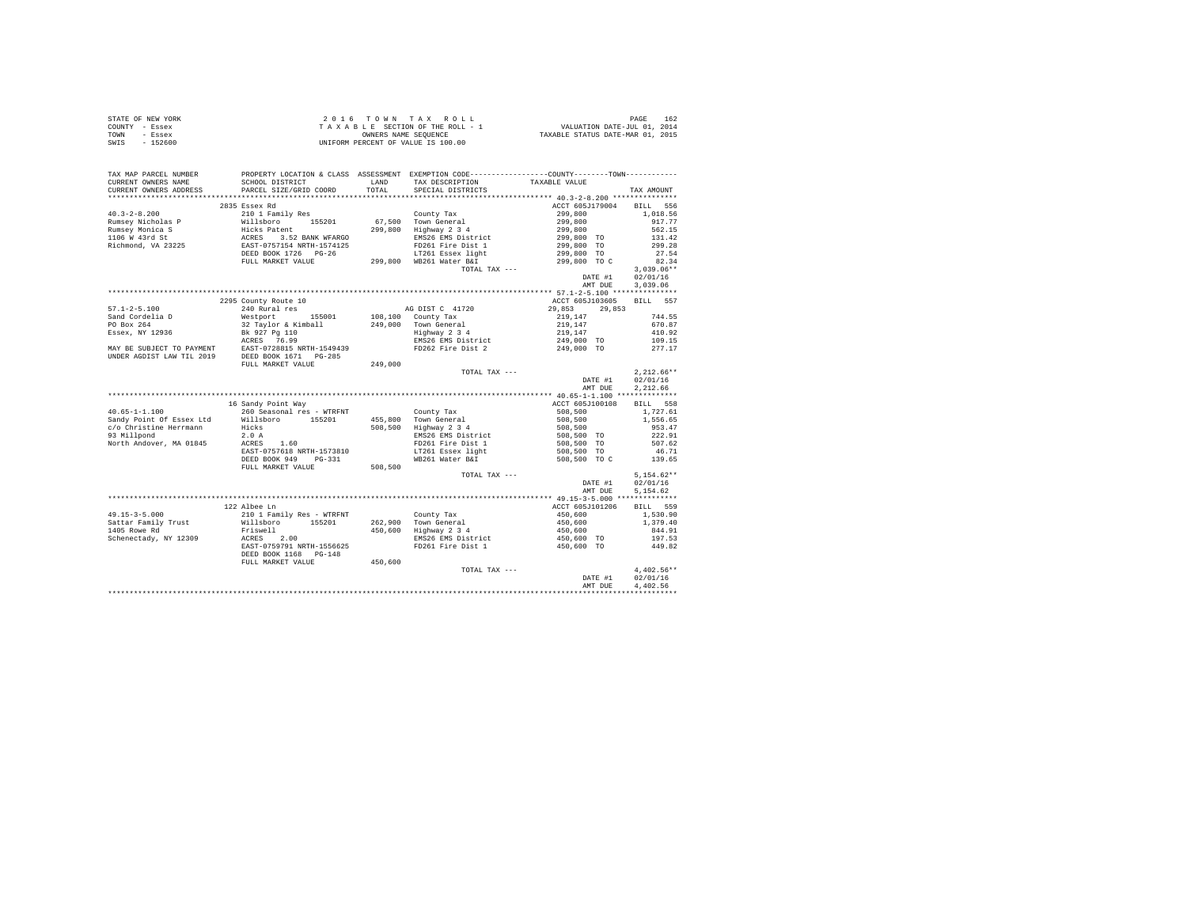| STATE OF NEW YORK | $2.0.16$ TOWN TAX ROLL             | 162<br>PAGE                      |
|-------------------|------------------------------------|----------------------------------|
| COUNTY - Essex    | TAXABLE SECTION OF THE ROLL - 1    | VALUATION DATE-JUL 01, 2014      |
| TOWN<br>- Essex   | OWNERS NAME SEOUENCE               | TAXABLE STATUS DATE-MAR 01, 2015 |
| $-152600$<br>SWIS | UNIFORM PERCENT OF VALUE IS 100.00 |                                  |

| TAX MAP PARCEL NUMBER                         |                                                                                                                                                                                                                                                      |             | PROPERTY LOCATION & CLASS ASSESSMENT EXEMPTION CODE----------------COUNTY--------TOWN---------- |                                                                                                  |                  |
|-----------------------------------------------|------------------------------------------------------------------------------------------------------------------------------------------------------------------------------------------------------------------------------------------------------|-------------|-------------------------------------------------------------------------------------------------|--------------------------------------------------------------------------------------------------|------------------|
| CURRENT OWNERS NAME                           | SCHOOL DISTRICT                                                                                                                                                                                                                                      |             | LAND TAX DESCRIPTION TAXABLE VALUE                                                              |                                                                                                  |                  |
| CURRENT OWNERS ADDRESS PARCEL SIZE/GRID COORD |                                                                                                                                                                                                                                                      | TOTAL       | SPECIAL DISTRICTS                                                                               |                                                                                                  | TAX AMOUNT       |
|                                               |                                                                                                                                                                                                                                                      |             |                                                                                                 |                                                                                                  |                  |
|                                               | 2835 Essex Rd                                                                                                                                                                                                                                        |             |                                                                                                 | ACCT 605J179004 BILL 556                                                                         |                  |
|                                               |                                                                                                                                                                                                                                                      |             |                                                                                                 |                                                                                                  | 1,018.56         |
|                                               |                                                                                                                                                                                                                                                      |             |                                                                                                 |                                                                                                  | 917.77           |
|                                               |                                                                                                                                                                                                                                                      |             |                                                                                                 | $299,800$<br>$299,800$<br>$299,800$<br>$299,800$<br>$299,800$ TO<br>$299,800$ TO<br>$299,800$ TO | 562.15           |
|                                               |                                                                                                                                                                                                                                                      |             |                                                                                                 |                                                                                                  | 131.42           |
|                                               |                                                                                                                                                                                                                                                      |             |                                                                                                 |                                                                                                  | 299.28           |
|                                               |                                                                                                                                                                                                                                                      |             |                                                                                                 |                                                                                                  | 27.54            |
|                                               | FULL MARKET VALUE                                                                                                                                                                                                                                    |             | 299,800 WB261 Water B&I                                                                         | 299,800 TO C                                                                                     | 82.34            |
|                                               |                                                                                                                                                                                                                                                      |             | TOTAL TAX ---                                                                                   |                                                                                                  | $3,039.06**$     |
|                                               |                                                                                                                                                                                                                                                      |             |                                                                                                 | DATE #1                                                                                          | 02/01/16         |
|                                               |                                                                                                                                                                                                                                                      |             |                                                                                                 | AMT DUE                                                                                          | 3.039.06         |
|                                               |                                                                                                                                                                                                                                                      |             |                                                                                                 |                                                                                                  |                  |
|                                               | 2295 County Route 10                                                                                                                                                                                                                                 |             |                                                                                                 | ACCT 605J103605 BILL 557                                                                         |                  |
|                                               | 240 Rural res                                                                                                                                                                                                                                        |             |                                                                                                 |                                                                                                  |                  |
|                                               | 57.1-2-5.100<br>Sand Cordelia D 240 Rural res<br>20 Rural 195001 108,100 County Tax<br>PO Box 264<br>PO Box 264<br>Bissex, NY 12936<br>Bissex, NY 12936<br>Bissex, NY 12936<br>Bissex, NY 12936<br>Bissex, NY 12936<br>Bissex, NY 12936<br>RESS 76.9 |             |                                                                                                 |                                                                                                  | 744.55           |
|                                               |                                                                                                                                                                                                                                                      |             |                                                                                                 |                                                                                                  |                  |
|                                               |                                                                                                                                                                                                                                                      |             |                                                                                                 |                                                                                                  |                  |
|                                               |                                                                                                                                                                                                                                                      |             |                                                                                                 |                                                                                                  |                  |
|                                               |                                                                                                                                                                                                                                                      |             |                                                                                                 |                                                                                                  |                  |
|                                               |                                                                                                                                                                                                                                                      |             |                                                                                                 |                                                                                                  |                  |
|                                               | FULL MARKET VALUE                                                                                                                                                                                                                                    | 249,000     |                                                                                                 |                                                                                                  |                  |
|                                               |                                                                                                                                                                                                                                                      |             | TOTAL TAX ---                                                                                   |                                                                                                  | $2.212.66**$     |
|                                               |                                                                                                                                                                                                                                                      |             |                                                                                                 | DATE #1                                                                                          | 02/01/16         |
|                                               |                                                                                                                                                                                                                                                      |             |                                                                                                 | AMT DUE                                                                                          | 2,212.66         |
|                                               |                                                                                                                                                                                                                                                      |             |                                                                                                 |                                                                                                  |                  |
|                                               | 16 Sandy Point Way                                                                                                                                                                                                                                   |             |                                                                                                 | ACCT 605J100108                                                                                  | BILL 558         |
|                                               |                                                                                                                                                                                                                                                      |             |                                                                                                 | $508,500$<br>$508,500$<br>$508,500$<br>$508,500$ TO                                              | 1,727.61         |
|                                               |                                                                                                                                                                                                                                                      |             |                                                                                                 |                                                                                                  | 1,556.65         |
|                                               |                                                                                                                                                                                                                                                      |             |                                                                                                 |                                                                                                  | 953.47           |
|                                               |                                                                                                                                                                                                                                                      |             |                                                                                                 |                                                                                                  | 222.91           |
|                                               |                                                                                                                                                                                                                                                      |             |                                                                                                 | 508,500 TO                                                                                       | 507.62           |
|                                               | EAST-0757618 NRTH-1573810<br>DEED BOOK 949 PG-331                                                                                                                                                                                                    |             | LT261 Essex light                                                                               | 508,500 TO                                                                                       | 46.71            |
|                                               | DEED BOOK 949 PG-331                                                                                                                                                                                                                                 |             | WB261 Water B&I                                                                                 | 508,500 TO C                                                                                     | 139.65           |
|                                               | FULL MARKET VALUE                                                                                                                                                                                                                                    | 508,500     |                                                                                                 |                                                                                                  |                  |
|                                               |                                                                                                                                                                                                                                                      |             | TOTAL TAX ---                                                                                   |                                                                                                  | $5.154.62**$     |
|                                               |                                                                                                                                                                                                                                                      |             |                                                                                                 | DATE #1                                                                                          | 02/01/16         |
|                                               |                                                                                                                                                                                                                                                      |             |                                                                                                 | AMT DUE                                                                                          | 5.154.62         |
|                                               |                                                                                                                                                                                                                                                      |             |                                                                                                 |                                                                                                  |                  |
|                                               | 122 Albee Ln                                                                                                                                                                                                                                         |             |                                                                                                 | ACCT 605J101206                                                                                  | BILL 559         |
|                                               |                                                                                                                                                                                                                                                      |             |                                                                                                 | $450,600$<br>$450,600$<br>$450,600$<br>$450,600$ TO                                              | 1,530.90         |
|                                               |                                                                                                                                                                                                                                                      |             |                                                                                                 |                                                                                                  | 1,379.40         |
|                                               |                                                                                                                                                                                                                                                      |             |                                                                                                 |                                                                                                  | 844.91           |
|                                               |                                                                                                                                                                                                                                                      |             |                                                                                                 |                                                                                                  | 197.53           |
|                                               | $101.15-3-5.000$ $21.01.12011\n2101.2011\n211.2012\n2121.201\n2121.201\n2121.201\n2121.201\n2121.201\n2121.201\n2121.201\n2121.201\n2121.201\n2121.201\n2121.201\n2121.201\n2121.201\n2121.202\n2121.203\n2$                                         |             |                                                                                                 | 450,600 TO                                                                                       | 449.82           |
|                                               | DEED BOOK 1168 PG-148                                                                                                                                                                                                                                |             |                                                                                                 |                                                                                                  |                  |
|                                               | FULL MARKET VALUE                                                                                                                                                                                                                                    | $450\,,600$ |                                                                                                 |                                                                                                  |                  |
|                                               |                                                                                                                                                                                                                                                      |             | TOTAL TAX ---                                                                                   |                                                                                                  | $4.402.56**$     |
|                                               |                                                                                                                                                                                                                                                      |             |                                                                                                 |                                                                                                  | DATE #1 02/01/16 |
|                                               |                                                                                                                                                                                                                                                      |             |                                                                                                 | AMT DUE                                                                                          | 4,402.56         |
|                                               |                                                                                                                                                                                                                                                      |             |                                                                                                 |                                                                                                  |                  |
|                                               |                                                                                                                                                                                                                                                      |             |                                                                                                 |                                                                                                  |                  |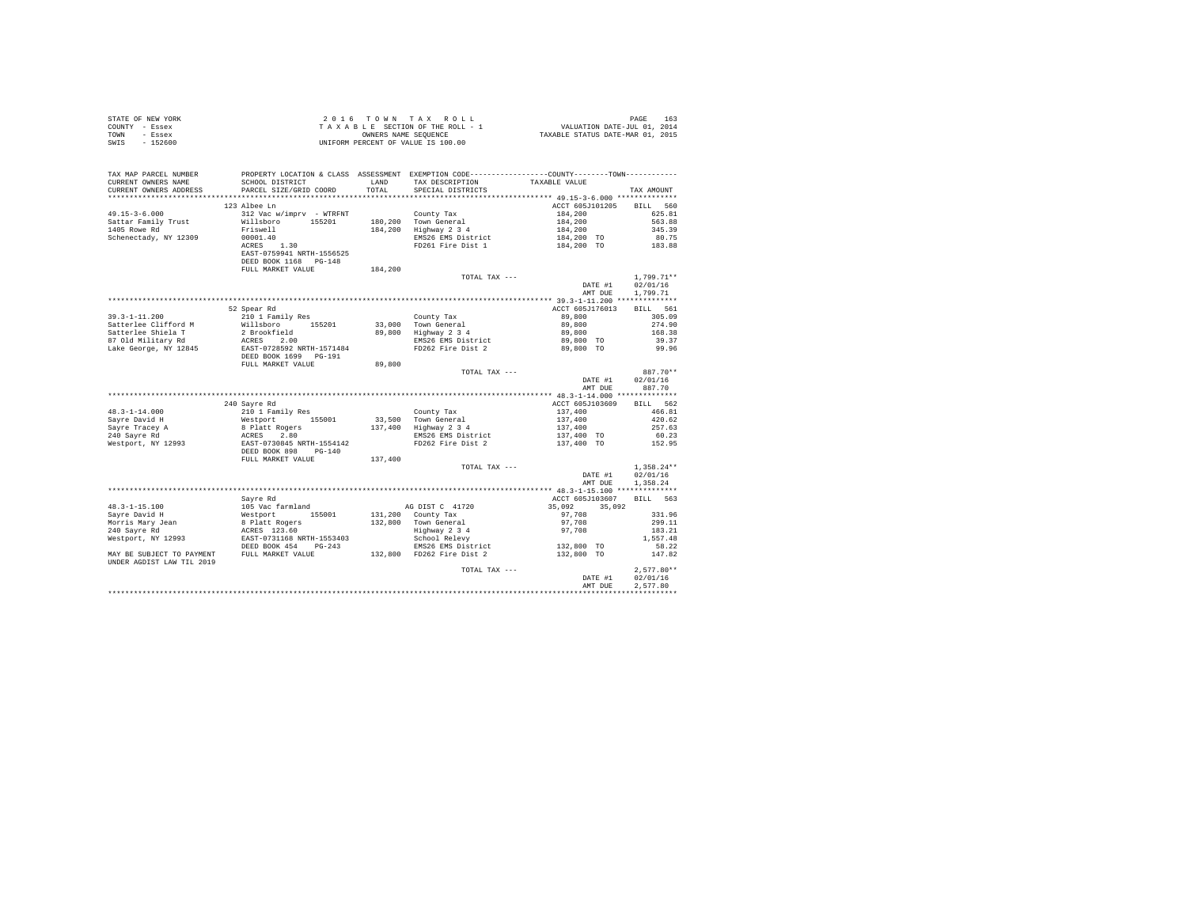| COUNTY - Essex<br>TOWN<br>- Essex<br>SWTS<br>$-152600$                   |                                                                                                                                                             | OWNERS NAME SEQUENCE | TAXABLE SECTION OF THE ROLL - 1<br>UNIFORM PERCENT OF VALUE IS 100.00                                                                           | OLL - 1 VALUATION DATE-JUL 01, 2014<br>TAXABLE STATUS DATE-MAR 01, 2015                                             |                      |
|--------------------------------------------------------------------------|-------------------------------------------------------------------------------------------------------------------------------------------------------------|----------------------|-------------------------------------------------------------------------------------------------------------------------------------------------|---------------------------------------------------------------------------------------------------------------------|----------------------|
| TAX MAP PARCEL NUMBER                                                    |                                                                                                                                                             |                      | PROPERTY LOCATION & CLASS ASSESSMENT EXEMPTION CODE---------------COUNTY-------TOWN---------                                                    |                                                                                                                     |                      |
| CURRENT OWNERS NAME                                                      | SCHOOL DISTRICT                                                                                                                                             |                      | LAND TAX DESCRIPTION<br>TOTAL SPECIAL DISTRICTS                                                                                                 | TAXABLE VALUE                                                                                                       |                      |
| CURRENT OWNERS ADDRESS                                                   | PARCEL SIZE/GRID COORD                                                                                                                                      |                      |                                                                                                                                                 |                                                                                                                     | TAX AMOUNT           |
|                                                                          | 123 Albee Ln                                                                                                                                                |                      |                                                                                                                                                 | ACCT 605J101205                                                                                                     | BILL 560             |
| $49.15 - 3 - 6.000$                                                      |                                                                                                                                                             |                      | County Tax                                                                                                                                      | 184,200                                                                                                             | 625.81               |
| Sattar Family Trust                                                      | 312 Vac w/imprv - WTRFNT<br>Willsboro 155201                                                                                                                |                      |                                                                                                                                                 |                                                                                                                     |                      |
| 1405 Rowe Rd                                                             | Friswell                                                                                                                                                    |                      | 180,200 Town General<br>184,200 Highway 2 3 4                                                                                                   |                                                                                                                     |                      |
| Schenectady, NY 12309                                                    | 00001.40                                                                                                                                                    |                      | 0111017 1212 144,200 1563.88<br>194,200 563.88<br>194,200 563.88<br>194,200 563.88<br>194,200 1345.39<br>194,200 10 183.88<br>194,200 10 183.88 |                                                                                                                     |                      |
|                                                                          | ACRES 1.30                                                                                                                                                  |                      |                                                                                                                                                 |                                                                                                                     |                      |
|                                                                          | EAST-0759941 NRTH-1556525                                                                                                                                   |                      |                                                                                                                                                 |                                                                                                                     |                      |
|                                                                          | DEED BOOK 1168 PG-148                                                                                                                                       |                      |                                                                                                                                                 |                                                                                                                     |                      |
|                                                                          | FULL MARKET VALUE                                                                                                                                           | 184,200              |                                                                                                                                                 |                                                                                                                     |                      |
|                                                                          |                                                                                                                                                             |                      | TOTAL TAX ---                                                                                                                                   |                                                                                                                     | $1,799.71**$         |
|                                                                          |                                                                                                                                                             |                      |                                                                                                                                                 | DATE #1<br>AMT DUE                                                                                                  | 02/01/16<br>1,799.71 |
|                                                                          |                                                                                                                                                             |                      |                                                                                                                                                 |                                                                                                                     |                      |
|                                                                          | 52 Spear Rd                                                                                                                                                 |                      |                                                                                                                                                 | ACCT 605J176013                                                                                                     | BILL 561             |
| $39.3 - 1 - 11.200$                                                      | 210 1 Family Res                                                                                                                                            |                      | County Tax                                                                                                                                      | 89,800                                                                                                              | 305.09               |
| Satterlee Clifford M                                                     | Willsboro 155201                                                                                                                                            |                      | 33,000 Town General<br>89,800 Highway 2 3 4                                                                                                     | 89,800<br>89,800                                                                                                    | 274.90               |
| Satterlee Shiela T                                                       | 2 Brookfield                                                                                                                                                |                      |                                                                                                                                                 |                                                                                                                     | 168.38               |
| 87 Old Military Rd                                                       |                                                                                                                                                             |                      | EMS26 EMS District 89,800 TO<br>FD262 Fire Dist 2 89,800 TO                                                                                     |                                                                                                                     | 39.37                |
| Lake George, NY 12845                                                    | -<br>ACRES 2.00<br>EAST-0728592 NRTH-1571484<br>DEED BOOK 1699 PG-191                                                                                       |                      |                                                                                                                                                 |                                                                                                                     | 99.96                |
|                                                                          | FULL MARKET VALUE                                                                                                                                           | 89,800               |                                                                                                                                                 |                                                                                                                     |                      |
|                                                                          |                                                                                                                                                             |                      | TOTAL TAX ---                                                                                                                                   |                                                                                                                     | 887.70**             |
|                                                                          |                                                                                                                                                             |                      |                                                                                                                                                 | DATE #1                                                                                                             | 02/01/16             |
|                                                                          |                                                                                                                                                             |                      |                                                                                                                                                 | AMT DUE                                                                                                             | 887.70               |
|                                                                          |                                                                                                                                                             |                      |                                                                                                                                                 |                                                                                                                     |                      |
|                                                                          | 240 Sayre Rd                                                                                                                                                |                      |                                                                                                                                                 | ACCT 605J103609                                                                                                     | BILL 562             |
|                                                                          |                                                                                                                                                             |                      | County Tax                                                                                                                                      |                                                                                                                     | 466.81               |
|                                                                          |                                                                                                                                                             |                      | 33,500 Town General<br>137,400 Highway 2 3 4                                                                                                    |                                                                                                                     | 420.62               |
|                                                                          |                                                                                                                                                             |                      |                                                                                                                                                 | $\begin{array}{r} 137,400 \\ 137,400 \\ 137,400 \\ 137,400 \\ 137,400 \text{ TO} \\ 137,400 \text{ TO} \end{array}$ | 257.63               |
|                                                                          |                                                                                                                                                             |                      | EMS26 EMS District<br>FD262 Fire Dist 2                                                                                                         |                                                                                                                     | 60.23                |
|                                                                          |                                                                                                                                                             |                      |                                                                                                                                                 |                                                                                                                     | 152.95               |
|                                                                          | FULL MARKET VALUE                                                                                                                                           | 137,400              |                                                                                                                                                 |                                                                                                                     |                      |
|                                                                          |                                                                                                                                                             |                      | TOTAL TAX ---                                                                                                                                   |                                                                                                                     | $1,358.24**$         |
|                                                                          |                                                                                                                                                             |                      |                                                                                                                                                 | DATE #1                                                                                                             | 02/01/16             |
|                                                                          |                                                                                                                                                             |                      |                                                                                                                                                 | AMT DUE                                                                                                             | 1,358.24             |
|                                                                          |                                                                                                                                                             |                      |                                                                                                                                                 |                                                                                                                     |                      |
|                                                                          | Savre Rd                                                                                                                                                    |                      |                                                                                                                                                 | ACCT 605J103607                                                                                                     | BILL 563             |
| $48.3 - 1 - 15.100$                                                      |                                                                                                                                                             |                      | AG DIST C 41720                                                                                                                                 | 35,092                                                                                                              |                      |
| Sayre David H                                                            |                                                                                                                                                             |                      |                                                                                                                                                 |                                                                                                                     | 331.96               |
| Morris Mary Jean<br>240 Sayre Rd                                         |                                                                                                                                                             |                      |                                                                                                                                                 | 4001<br>97,708<br>97,708                                                                                            | 299.11<br>183.21     |
| Westport, NY 12993                                                       | % ayre advantional State of State Control (155001)<br>8 Platt Rogers<br>8 Platt Rogers<br>RCRES 123.60<br>EAST-0731168 NRTH-1553403<br>DEED BOOK 454 PG-243 |                      | 2007 1120<br>131,200 County Tax<br>132,800 Town General<br>14 School Relevy<br>EMS26 EMS District                                               |                                                                                                                     | 1,557.48             |
|                                                                          |                                                                                                                                                             |                      |                                                                                                                                                 | 132,800 TO                                                                                                          | 58.22                |
| MAY BE SUBJECT TO PAYMENT FULL MARKET VALUE<br>UNDER AGDIST LAW TIL 2019 |                                                                                                                                                             |                      | EMS26 EMS District<br>EMS26 EMS District<br>132,800 FD262 Fire Dist 2                                                                           | 132,800 TO                                                                                                          | 147.82               |
|                                                                          |                                                                                                                                                             |                      | TOTAL TAX ---                                                                                                                                   |                                                                                                                     | $2.577.80**$         |
|                                                                          |                                                                                                                                                             |                      |                                                                                                                                                 | DATE #1                                                                                                             | 02/01/16             |
|                                                                          |                                                                                                                                                             |                      |                                                                                                                                                 | AMT DUE                                                                                                             | 2.577.80             |
|                                                                          |                                                                                                                                                             |                      |                                                                                                                                                 |                                                                                                                     |                      |

STATE OF NEW YORK 2016 TOWN TAX ROLL PAGE 163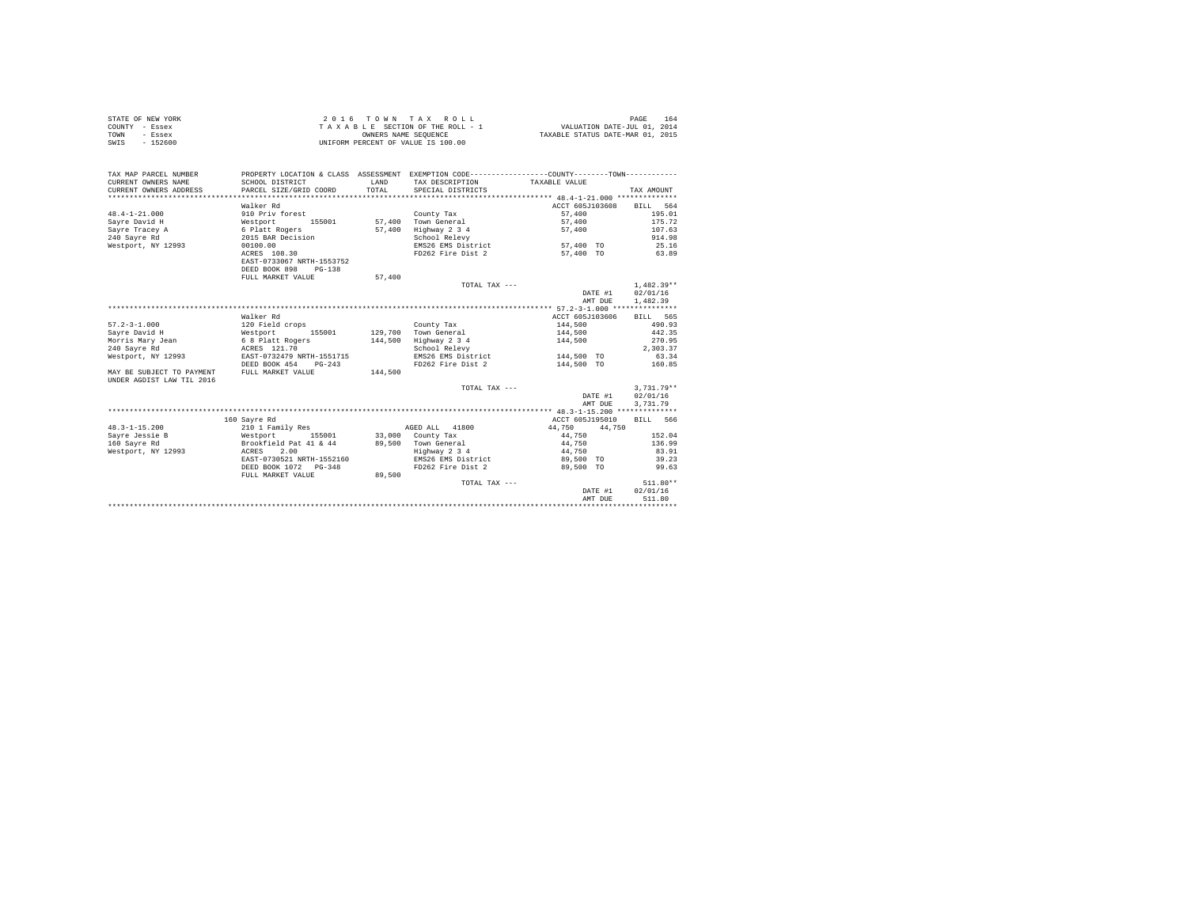|                | STATE OF NEW YORK | 2016 TOWN TAX ROLL                 | 164<br>PAGE                      |
|----------------|-------------------|------------------------------------|----------------------------------|
| COUNTY - Essex |                   | TAXABLE SECTION OF THE ROLL - 1    | VALUATION DATE-JUL 01, 2014      |
| TOWN           | - Essex           | OWNERS NAME SEOUENCE               | TAXABLE STATUS DATE-MAR 01, 2015 |
| SWIS           | $-152600$         | UNIFORM PERCENT OF VALUE IS 100.00 |                                  |

| TAX MAP PARCEL NUMBER<br>CURRENT OWNERS NAME<br>CURRENT OWNERS ADDRESS | SCHOOL DISTRICT<br>PARCEL SIZE/GRID COORD  | LAND<br>TOTAL. | PROPERTY LOCATION & CLASS ASSESSMENT EXEMPTION CODE----------------COUNTY--------TOWN----------<br>TAX DESCRIPTION TAXABLE VALUE<br>SPECIAL DISTRICTS |                 | TAX AMOUNT   |
|------------------------------------------------------------------------|--------------------------------------------|----------------|-------------------------------------------------------------------------------------------------------------------------------------------------------|-----------------|--------------|
|                                                                        |                                            |                |                                                                                                                                                       |                 |              |
|                                                                        | Walker Rd                                  |                |                                                                                                                                                       | ACCT 605J103608 | BILL 564     |
| $48.4 - 1 - 21.000$                                                    | 910 Priv forest                            |                | County Tax                                                                                                                                            | 57,400          | 195.01       |
| Savre David H                                                          | Westport<br>155001                         |                | 57,400 Town General                                                                                                                                   | 57,400          | 175.72       |
| Sayre Tracey A                                                         | 6 Platt Rogers                             | 57,400         | Highway 2 3 4                                                                                                                                         | 57,400          | 107.63       |
| 240 Savre Rd                                                           | 2015 BAR Decision                          |                | School Relevy                                                                                                                                         |                 | 914.98       |
| Westport, NY 12993                                                     | 00100.00                                   |                | EMS26 EMS District                                                                                                                                    | 57,400 TO       | 25.16        |
|                                                                        | ACRES 108.30<br>EAST-0733067 NRTH-1553752  |                | FD262 Fire Dist 2                                                                                                                                     | 57,400 TO       | 63.89        |
|                                                                        | DEED BOOK 898<br>$PG-138$                  |                |                                                                                                                                                       |                 |              |
|                                                                        | FULL MARKET VALUE                          | 57,400         |                                                                                                                                                       |                 |              |
|                                                                        |                                            |                | TOTAL TAX ---                                                                                                                                         |                 | $1.482.39**$ |
|                                                                        |                                            |                |                                                                                                                                                       | DATE #1         | 02/01/16     |
|                                                                        |                                            |                |                                                                                                                                                       | AMT DUE         | 1,482.39     |
|                                                                        |                                            |                |                                                                                                                                                       |                 |              |
|                                                                        | Walker Rd                                  |                |                                                                                                                                                       | ACCT 605J103606 | BILL 565     |
| $57.2 - 3 - 1.000$                                                     | 120 Field crops                            |                | County Tax                                                                                                                                            | 144,500         | 490.93       |
| Savre David H                                                          | Westport 155<br>6 8 Platt Rogers<br>155001 |                | 129,700 Town General                                                                                                                                  | 144,500         | 442.35       |
| Morris Mary Jean                                                       |                                            | 144,500        | Highway 2 3 4                                                                                                                                         | 144,500         | 270.95       |
| 240 Savre Rd                                                           | ACRES 121.70                               |                | School Relevy                                                                                                                                         |                 | 2.303.37     |
| Westport, NY 12993 EAST-0732479 NRTH-1551715                           |                                            |                | EMS26 EMS District                                                                                                                                    | 144,500 TO      | 63.34        |
|                                                                        | DEED BOOK 454<br>$PG - 243$                |                | FD262 Fire Dist 2                                                                                                                                     | 144,500 TO      | 160.85       |
| MAY BE SUBJECT TO PAYMENT<br>UNDER AGDIST LAW TIL 2016                 | FULL MARKET VALUE                          | 144,500        |                                                                                                                                                       |                 |              |
|                                                                        |                                            |                | TOTAL TAX ---                                                                                                                                         |                 | $3.731.79**$ |
|                                                                        |                                            |                |                                                                                                                                                       | DATE #1         | 02/01/16     |
|                                                                        |                                            |                |                                                                                                                                                       | AMT DUE         | 3,731.79     |
|                                                                        |                                            |                |                                                                                                                                                       |                 |              |
|                                                                        | 160 Savre Rd                               |                |                                                                                                                                                       | ACCT 605J195010 | BILL 566     |
| $48.3 - 1 - 15.200$                                                    | 210 1 Family Res                           |                | AGED ALL 41800                                                                                                                                        | 44,750 44,750   |              |
| Savre Jessie B                                                         | Westport 155001 33,000 County Tax          |                |                                                                                                                                                       | 44.750          | 152.04       |
| 160 Savre Rd                                                           | Brookfield Pat 41 & 44                     |                | 89,500 Town General                                                                                                                                   | 44,750          | 136.99       |
| Westport, NY 12993                                                     | ACRES 2.00                                 |                | Highway 2 3 4                                                                                                                                         | 44,750          | 83.91        |
|                                                                        | EAST-0730521 NRTH-1552160                  |                | EMS26 EMS District                                                                                                                                    | 89,500 TO       | 39.23        |
|                                                                        | DEED BOOK 1072 PG-348                      |                | FD262 Fire Dist 2                                                                                                                                     | 89,500 TO       | 99.63        |
|                                                                        | FULL MARKET VALUE                          | 89,500         |                                                                                                                                                       |                 |              |
|                                                                        |                                            |                | TOTAL TAX ---                                                                                                                                         |                 | $511.80**$   |
|                                                                        |                                            |                |                                                                                                                                                       | DATE #1         | 02/01/16     |
|                                                                        |                                            |                |                                                                                                                                                       | AMT DUE         | 511.80       |
|                                                                        |                                            |                |                                                                                                                                                       |                 |              |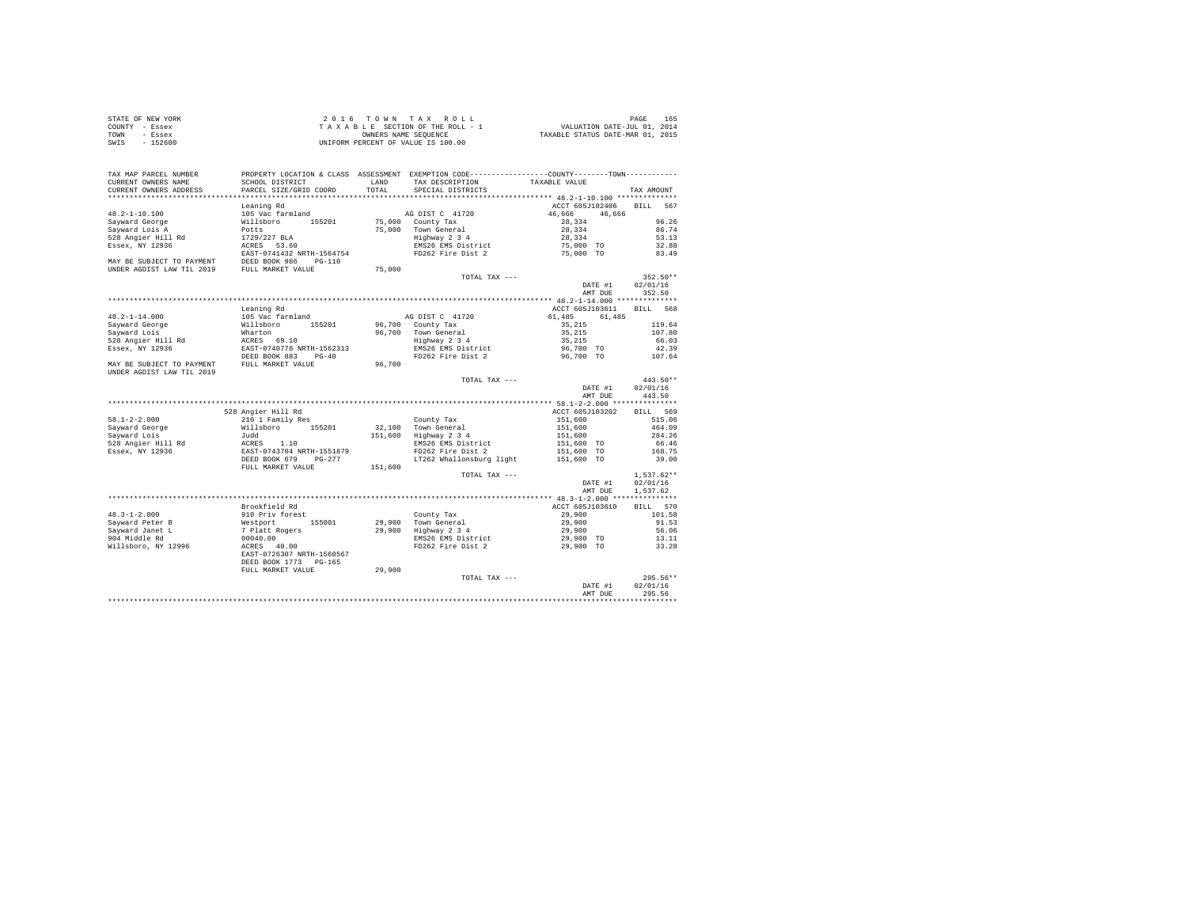| STATE OF NEW YORK | $2.0.16$ TOWN TAX ROLL             | 165<br>PAGE                      |
|-------------------|------------------------------------|----------------------------------|
| COUNTY - Essex    | TAXABLE SECTION OF THE ROLL - 1    | VALUATION DATE-JUL 01, 2014      |
| TOWN<br>- Essex   | OWNERS NAME SEOUENCE               | TAXABLE STATUS DATE-MAR 01, 2015 |
| $-152600$<br>SWIS | UNIFORM PERCENT OF VALUE IS 100.00 |                                  |

|                           |                                             |         |                                                                                               | AMT DUE                                   | 295.56             |
|---------------------------|---------------------------------------------|---------|-----------------------------------------------------------------------------------------------|-------------------------------------------|--------------------|
|                           |                                             |         |                                                                                               | DATE #1                                   | 02/01/16           |
|                           |                                             |         | TOTAL TAX ---                                                                                 |                                           | 295.56**           |
|                           | FULL MARKET VALUE                           | 29,900  |                                                                                               |                                           |                    |
|                           | DEED BOOK 1773<br>$PG-165$                  |         |                                                                                               |                                           |                    |
| Willsboro, NY 12996       | 40.00<br>ACRES<br>EAST-0726307 NRTH-1560567 |         | FD262 Fire Dist 2                                                                             | 29,900 TO                                 | 33.28              |
| 904 Middle Rd             | 00040.00                                    |         | EMS26 EMS District                                                                            | 29,900 TO                                 | 13.11              |
| Sayward Janet L           | 7 Platt Rogers                              | 29,900  | Highway 2 3 4                                                                                 | 29,900                                    | 56.06              |
| Savward Peter B           | Westport<br>155001                          | 29,900  | Town General                                                                                  | 29,900                                    | 91.53              |
| $48.3 - 1 - 2.000$        | 910 Priv forest                             |         | County Tax                                                                                    | 29,900                                    | 101.58             |
|                           | Brookfield Rd                               |         |                                                                                               | ACCT 605J103610                           | <b>BILL</b><br>570 |
|                           |                                             |         |                                                                                               |                                           |                    |
|                           |                                             |         |                                                                                               |                                           |                    |
|                           |                                             |         |                                                                                               | AMT DUE                                   | 1,537.62           |
|                           |                                             |         |                                                                                               | DATE #1                                   | 02/01/16           |
|                           |                                             |         | TOTAL TAX ---                                                                                 |                                           | $1.537.62**$       |
|                           | FULL MARKET VALUE                           | 151,600 |                                                                                               |                                           |                    |
|                           | DEED BOOK 679<br>$PG-277$                   |         | LT262 Whallonsburg light                                                                      | 151,600 TO                                | 39.00              |
| Essex, NY 12936           | EAST-0743704 NRTH-1551879                   |         | FD262 Fire Dist 2                                                                             | 151,600 TO                                | 168.75             |
| 528 Angier Hill Rd        | ACRES<br>1.10                               |         | EMS26 EMS District                                                                            | 151,600 TO                                | 66.46              |
| Sayward Lois              | Judd                                        | 151,600 | Highway 2 3 4                                                                                 | 151,600                                   | 284.26             |
| Sayward George            | 155201<br>Willsboro                         | 32,100  | Town General                                                                                  | 151,600                                   | 464.09             |
| $58.1 - 2 - 2.000$        | 210 1 Family Res                            |         | County Tax                                                                                    | 151,600                                   | 515.06             |
|                           | 528 Angier Hill Rd                          |         |                                                                                               | ACCT 605J103202                           | 569<br><b>BILL</b> |
|                           |                                             |         |                                                                                               | ************ 58.1-2-2.000 *************** |                    |
|                           |                                             |         |                                                                                               | AMT DUE                                   | 443.50             |
|                           |                                             |         |                                                                                               | DATE #1                                   | 02/01/16           |
|                           |                                             |         | TOTAL TAX ---                                                                                 |                                           | $443.50**$         |
| UNDER AGDIST LAW TIL 2019 |                                             |         |                                                                                               |                                           |                    |
| MAY BE SUBJECT TO PAYMENT | FULL MARKET VALUE                           | 96,700  |                                                                                               |                                           |                    |
|                           | DEED BOOK 883<br>$PG-40$                    |         | FD262 Fire Dist 2                                                                             | 96,700 TO                                 | 107.64             |
| Essex, NY 12936           | EAST-0740778 NRTH-1562313                   |         | EMS26 EMS District                                                                            | 96,700 TO                                 | 42.39              |
| 528 Angier Hill Rd        | ACRES 69.10                                 |         | Highway 2 3 4                                                                                 | 35,215                                    | 66.03              |
| Sayward Lois              | Wharton                                     | 96,700  | Town General                                                                                  | 35,215                                    | 107.80             |
| Sayward George            | Willsboro<br>155201                         | 96,700  | County Tax                                                                                    | 35,215                                    | 119.64             |
| $48.2 - 1 - 14.000$       | 105 Vac farmland                            |         | AG DIST C 41720                                                                               | 61,485<br>61.485                          |                    |
|                           | Leaning Rd                                  |         |                                                                                               | ACCT 605J103611                           | <b>BILL</b><br>568 |
|                           |                                             |         |                                                                                               |                                           |                    |
|                           |                                             |         |                                                                                               | AMT DUE                                   | 352.50             |
|                           |                                             |         |                                                                                               | DATE #1                                   | 02/01/16           |
|                           |                                             |         | TOTAL TAX ---                                                                                 |                                           | $352.50**$         |
| UNDER AGDIST LAW TIL 2019 | FULL MARKET VALUE                           | 75,000  |                                                                                               |                                           |                    |
| MAY BE SUBJECT TO PAYMENT | DEED BOOK 986<br>$PG-110$                   |         |                                                                                               |                                           |                    |
|                           | EAST-0741432 NRTH-1564754                   |         | FD262 Fire Dist 2                                                                             | 75,000 TO                                 | 83.49              |
| Essex, NY 12936           | 53.60<br>ACRES                              |         | EMS26 EMS District                                                                            | 75,000 TO                                 | 32.88              |
| 528 Angier Hill Rd        | 1729/227 BLA                                |         | Highway 2 3 4                                                                                 | 28,334                                    | 53.13              |
| Sayward Lois A            | Potts                                       | 75,000  | Town General                                                                                  | 28,334                                    | 86.74              |
| Savward George            | Willsboro<br>155201                         | 75,000  | County Tax                                                                                    | 28,334                                    | 96.26              |
| $48.2 - 1 - 10.100$       | 105 Vac farmland                            |         | AG DIST C 41720                                                                               | 46.666<br>46,666                          |                    |
|                           |                                             |         |                                                                                               |                                           | 567                |
|                           | Leaning Rd                                  |         |                                                                                               | ACCT 605J102406                           | <b>BILL</b>        |
|                           |                                             |         |                                                                                               | ***** 48.2-1-10.100 ***************       |                    |
| CURRENT OWNERS ADDRESS    | PARCEL SIZE/GRID COORD                      | TOTAL   | SPECIAL DISTRICTS                                                                             |                                           | TAX AMOUNT         |
| CURRENT OWNERS NAME       | SCHOOL DISTRICT                             | LAND    | TAX DESCRIPTION                                                                               | TAXABLE VALUE                             |                    |
| TAX MAP PARCEL NUMBER     |                                             |         | PROPERTY LOCATION & CLASS ASSESSMENT EXEMPTION CODE---------------COUNTY-------TOWN---------- |                                           |                    |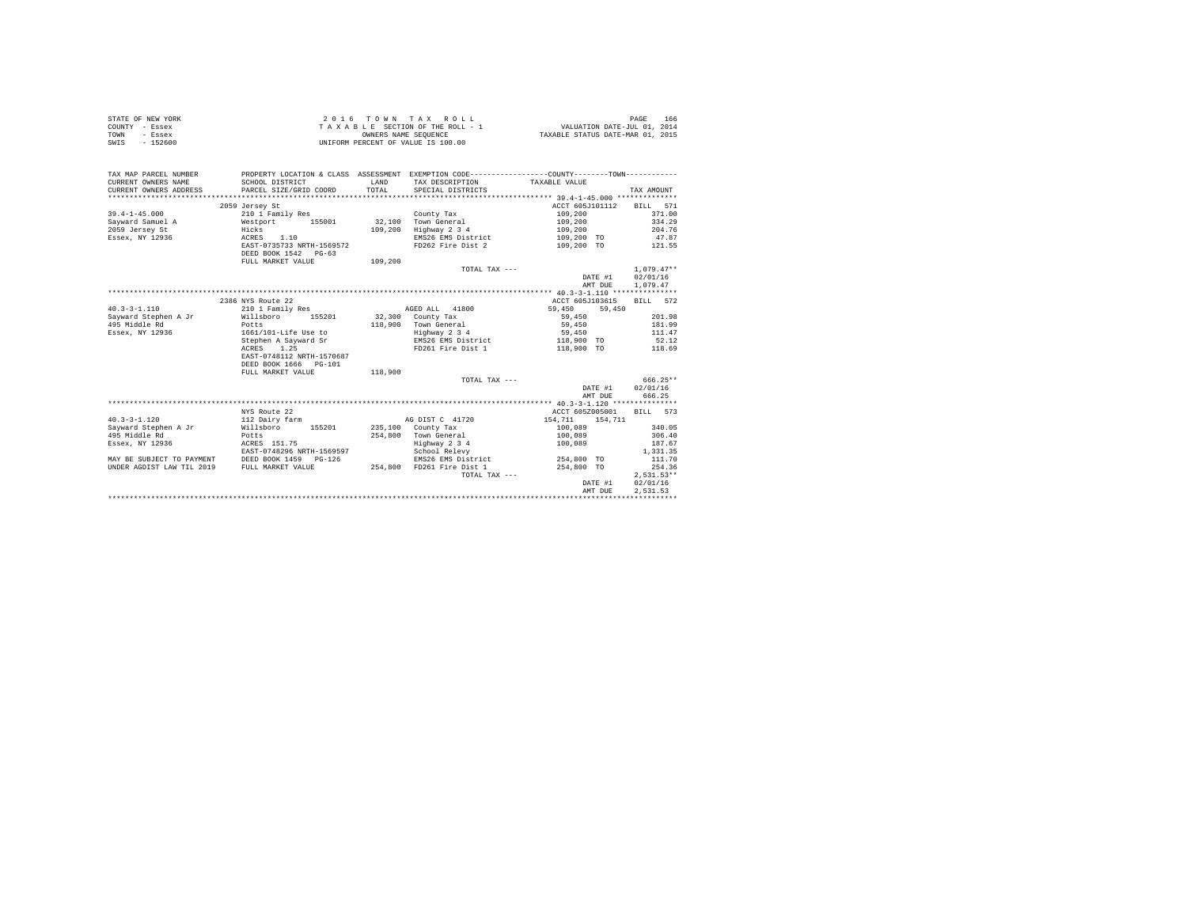|                | STATE OF NEW YORK | 2016 TOWN TAX ROLL                 | 166<br>PAGE                      |
|----------------|-------------------|------------------------------------|----------------------------------|
| COUNTY - Essex |                   | TAXABLE SECTION OF THE ROLL - 1    | VALUATION DATE-JUL 01, 2014      |
| TOWN           | - Essex           | OWNERS NAME SEOUENCE               | TAXABLE STATUS DATE-MAR 01, 2015 |
| SWIS           | $-152600$         | UNIFORM PERCENT OF VALUE IS 100.00 |                                  |

| TAX MAP PARCEL NUMBER<br>CURRENT OWNERS NAME                                       | SCHOOL DISTRICT                                                                   | LAND    | PROPERTY LOCATION & CLASS ASSESSMENT EXEMPTION CODE----------------COUNTY-------TOWN----------<br>TAX DESCRIPTION TAXABLE VALUE |                          |                  |
|------------------------------------------------------------------------------------|-----------------------------------------------------------------------------------|---------|---------------------------------------------------------------------------------------------------------------------------------|--------------------------|------------------|
|                                                                                    | 2059 Jersey St                                                                    |         |                                                                                                                                 | ACCT 605J101112 BILL 571 |                  |
| $39.4 - 1 - 45.000$                                                                | 210 1 Family Res                                                                  |         | County Tax                                                                                                                      | 109,200                  | 371.00           |
|                                                                                    |                                                                                   |         | 32,100 Town General                                                                                                             | 109,200                  | 334.29           |
|                                                                                    |                                                                                   |         |                                                                                                                                 | 109,200                  | 204.76           |
|                                                                                    |                                                                                   |         | 109,200 Highway 2 3 4<br>EMS26 EMS District 109,200 TO 47.87                                                                    |                          |                  |
|                                                                                    |                                                                                   |         |                                                                                                                                 |                          |                  |
|                                                                                    | EAST-0735733 NRTH-1569572<br>DEED BOOK 1542    PG-63                              |         | FD262 Fire Dist 2 109,200 TO 121.55                                                                                             |                          |                  |
|                                                                                    | FULL MARKET VALUE 109,200                                                         |         |                                                                                                                                 |                          |                  |
|                                                                                    |                                                                                   |         | TOTAL TAX ---                                                                                                                   |                          | $1.079.47**$     |
|                                                                                    |                                                                                   |         |                                                                                                                                 | DATE #1                  | 02/01/16         |
|                                                                                    |                                                                                   |         |                                                                                                                                 | AMT DUE                  | 1,079.47         |
|                                                                                    |                                                                                   |         |                                                                                                                                 |                          |                  |
|                                                                                    | 2386 NYS Route 22                                                                 |         |                                                                                                                                 | ACCT 605J103615          | BILL 572         |
| $40.3 - 3 - 1.110$                                                                 | 210 1 Family Res                                                                  |         | AGED ALL 41800 59,450                                                                                                           | 59,450                   |                  |
| Sayward Stephen A Jr 	 Willsboro 	 155201 	 32,300 County Tax                      |                                                                                   |         |                                                                                                                                 | 59,450                   | 201.98           |
| 495 Middle Rd                                                                      | Jr<br>Pots<br>1661/101-Life Use to<br>Stephen A Sayward Sr<br>---- 1.25<br>------ |         | 118,900 Town General                                                                                                            | 59,450                   | 181.99           |
| Essex, NY 12936                                                                    |                                                                                   |         |                                                                                                                                 | 59,450                   | 111.47           |
|                                                                                    |                                                                                   |         | Highway 2 3 4<br>EMS26 EMS District                                                                                             | 118,900 TO 52.12         |                  |
|                                                                                    |                                                                                   |         | FD261 Fire Dist 1 118,900 TO 118.69                                                                                             |                          |                  |
|                                                                                    | EAST-0748112 NRTH-1570687                                                         |         |                                                                                                                                 |                          |                  |
|                                                                                    | DEED BOOK 1666 PG-101                                                             |         |                                                                                                                                 |                          |                  |
|                                                                                    | FULL MARKET VALUE                                                                 | 118,900 |                                                                                                                                 |                          |                  |
|                                                                                    |                                                                                   |         | TOTAL TAX ---                                                                                                                   |                          | $666.25**$       |
|                                                                                    |                                                                                   |         |                                                                                                                                 |                          | DATE #1 02/01/16 |
|                                                                                    |                                                                                   |         |                                                                                                                                 | AMT DUE                  | 666.25           |
|                                                                                    |                                                                                   |         |                                                                                                                                 |                          |                  |
|                                                                                    |                                                                                   |         |                                                                                                                                 |                          |                  |
|                                                                                    | NYS Route 22                                                                      |         | AG DIST C 41720 154.711 154.711                                                                                                 | ACCT 605Z005001 BILL 573 |                  |
| $40.3 - 3 - 1.120$                                                                 | 112 Dairy farm                                                                    |         |                                                                                                                                 |                          |                  |
| Sayward Stephen A Jr           Willsboro       155201         235,100   County Tax |                                                                                   |         |                                                                                                                                 | 100,089                  | 340.05           |
| 495 Middle Rd                                                                      | <b>Potts</b><br>ACRES 151.75                                                      |         | 254,800 Town General<br>Highway 2 3 4                                                                                           | 100,089<br>100,089       | 306.40           |
| Essex, NY 12936                                                                    |                                                                                   |         |                                                                                                                                 |                          | 187.67           |
|                                                                                    | EAST-0748296 NRTH-1569597                                                         |         | School Relevy                                                                                                                   |                          | 1,331.35         |
| MAY BE SUBJECT TO PAYMENT DEED BOOK 1459 PG-126                                    |                                                                                   |         | EMS26 EMS District 254,800 TO                                                                                                   |                          | 111.70           |
| UNDER AGDIST LAW TIL 2019 FULL MARKET VALUE 254,800 FD261 Fire Dist 1              |                                                                                   |         |                                                                                                                                 | $254,800$ TO             | 254.36           |
|                                                                                    |                                                                                   |         | TOTAL TAX ---                                                                                                                   |                          | $2,531.53**$     |
|                                                                                    |                                                                                   |         |                                                                                                                                 |                          | DATE #1 02/01/16 |
|                                                                                    |                                                                                   |         |                                                                                                                                 | AMT DUE                  | 2.531.53         |
|                                                                                    |                                                                                   |         |                                                                                                                                 |                          |                  |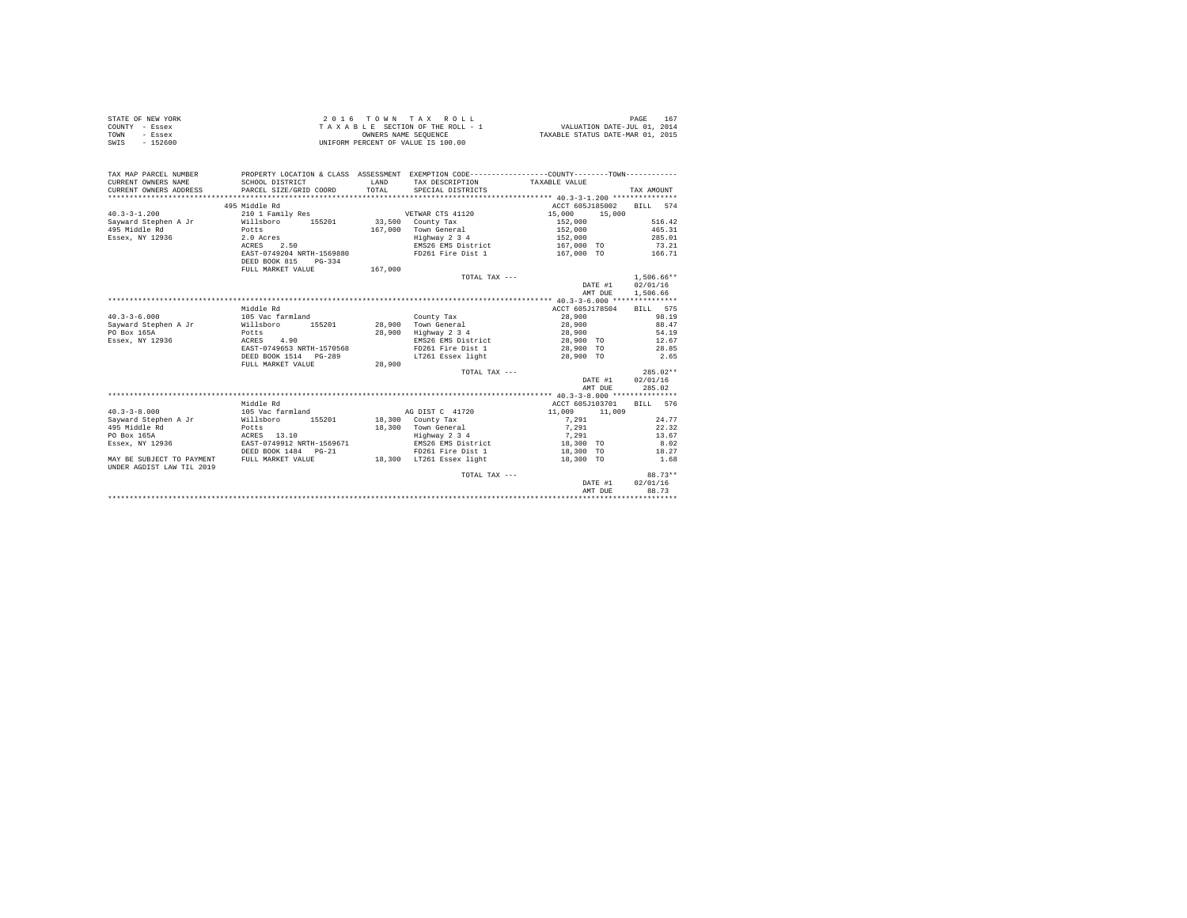| STATE OF NEW YORK | 2016 TOWN TAX ROLL                 | 167<br>PAGE                      |
|-------------------|------------------------------------|----------------------------------|
| COUNTY - Essex    | TAXABLE SECTION OF THE ROLL - 1    | VALUATION DATE-JUL 01, 2014      |
| TOWN<br>- Essex   | OWNERS NAME SEOUENCE               | TAXABLE STATUS DATE-MAR 01, 2015 |
| $-152600$<br>SWIS | UNIFORM PERCENT OF VALUE IS 100.00 |                                  |

| TAX MAP PARCEL NUMBER<br>CURRENT OWNERS NAME<br>CURRENT OWNERS ADDRESS | SCHOOL DISTRICT<br>PARCEL SIZE/GRID COORD | <b>T.AND</b><br>TOTAL | PROPERTY LOCATION & CLASS ASSESSMENT EXEMPTION CODE----------------COUNTY--------TOWN----------<br>TAX DESCRIPTION TAXABLE VALUE<br>SPECIAL DISTRICTS |                          | TAX AMOUNT           |
|------------------------------------------------------------------------|-------------------------------------------|-----------------------|-------------------------------------------------------------------------------------------------------------------------------------------------------|--------------------------|----------------------|
|                                                                        | 495 Middle Rd                             |                       |                                                                                                                                                       | ACCT 605J185002          | BILL 574             |
| $40.3 - 3 - 1.200$                                                     | 210 1 Family Res                          |                       | VETWAR CTS 41120                                                                                                                                      | 15,000<br>15,000         |                      |
| Sayward Stephen A Jr                                                   | Willsboro<br>155201                       |                       | 33,500 County Tax                                                                                                                                     | 152,000                  | 516.42               |
| 495 Middle Rd                                                          | Potts                                     |                       | 167,000 Town General                                                                                                                                  | 152,000                  | 465.31               |
| Essex, NY 12936                                                        | 2.0 Acres                                 |                       | Highway 2 3 4                                                                                                                                         | 152,000                  | 285.01               |
|                                                                        | 2.50<br>ACRES                             |                       | EMS26 EMS District                                                                                                                                    | 167,000 TO               | 73.21                |
|                                                                        | EAST-0749204 NRTH-1569880                 |                       | FD261 Fire Dist 1                                                                                                                                     | 167,000 TO               | 166.71               |
|                                                                        | DEED BOOK 815<br>$PG-334$                 |                       |                                                                                                                                                       |                          |                      |
|                                                                        | FULL MARKET VALUE                         | 167,000               |                                                                                                                                                       |                          |                      |
|                                                                        |                                           |                       | TOTAL TAX ---                                                                                                                                         |                          | $1.506.66**$         |
|                                                                        |                                           |                       |                                                                                                                                                       | DATE #1<br>AMT DUE       | 02/01/16<br>1,506.66 |
|                                                                        |                                           |                       |                                                                                                                                                       |                          |                      |
|                                                                        | Middle Rd                                 |                       |                                                                                                                                                       | ACCT 605J178504          | BILL 575             |
| $40.3 - 3 - 6.000$                                                     | 105 Vac farmland                          |                       | County Tax                                                                                                                                            | 28,900                   | 98.19                |
| Sayward Stephen A Jr                                                   | 155201<br>Willsboro                       |                       | 28,900 Town General                                                                                                                                   | 28,900                   | 88.47                |
| PO Box 165A                                                            | Potts                                     |                       | 28.900 Highway 2 3 4                                                                                                                                  | 28,900                   | 54.19                |
| Essex, NY 12936                                                        | ACRES 4.90                                |                       | EMS26 EMS District                                                                                                                                    | 28,900 TO                | 12.67                |
|                                                                        | EAST-0749653 NRTH-1570568                 |                       | FD261 Fire Dist 1 28,900 TO                                                                                                                           |                          | 28.85                |
|                                                                        | DEED BOOK 1514 PG-289                     |                       | LT261 Essex light                                                                                                                                     | 28,900 TO                | 2.65                 |
|                                                                        | FULL MARKET VALUE                         | 28,900                |                                                                                                                                                       |                          |                      |
|                                                                        |                                           |                       | TOTAL TAX ---                                                                                                                                         |                          | $285.02**$           |
|                                                                        |                                           |                       |                                                                                                                                                       |                          | DATE #1 02/01/16     |
|                                                                        |                                           |                       |                                                                                                                                                       | AMT DUE                  | 285.02               |
|                                                                        |                                           |                       |                                                                                                                                                       |                          |                      |
|                                                                        | Middle Rd                                 |                       |                                                                                                                                                       | ACCT 605J103701 BILL 576 |                      |
| $40.3 - 3 - 8.000$                                                     | 105 Vac farmland                          |                       | AG DIST C 41720                                                                                                                                       | 11,009 11,009            |                      |
| Sayward Stephen A Jr                                                   | Willsboro<br>155201                       |                       | 18,300 County Tax                                                                                                                                     | 7.291                    | 24.77                |
| 495 Middle Rd                                                          | Potts                                     |                       | 18,300 Town General                                                                                                                                   | 7,291                    | 22.32                |
| PO Box 165A                                                            | ACRES 13.10                               |                       | Highway 2 3 4                                                                                                                                         | 7.291                    | 13.67                |
| Essex, NY 12936                                                        | EAST-0749912 NRTH-1569671                 |                       | EMS26 EMS District                                                                                                                                    | 18,300 TO                | 8.02                 |
|                                                                        | DEED BOOK 1484 PG-21                      |                       | FD261 Fire Dist 1 18,300 TO                                                                                                                           |                          | 18.27                |
| MAY BE SUBJECT TO PAYMENT<br>UNDER AGDIST LAW TIL 2019                 | FULL MARKET VALUE                         |                       | 18,300 LT261 Essex light                                                                                                                              | 18,300 TO                | 1.68                 |
|                                                                        |                                           |                       | TOTAL TAX ---                                                                                                                                         |                          | 88.73**              |
|                                                                        |                                           |                       |                                                                                                                                                       | DATE #1                  | 02/01/16             |
|                                                                        |                                           |                       |                                                                                                                                                       | AMT DUE                  | 88.73                |
|                                                                        |                                           |                       |                                                                                                                                                       |                          |                      |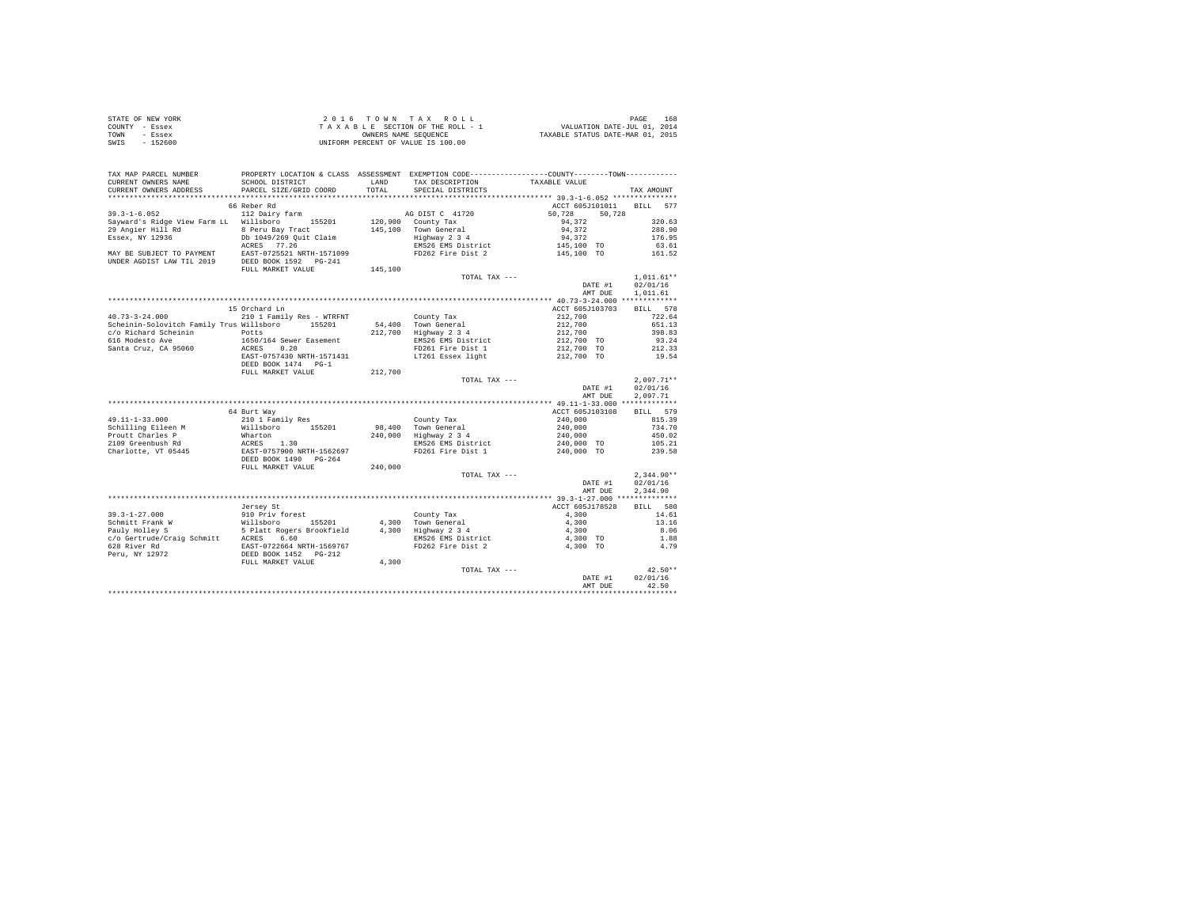| STATE OF NEW YORK | 2016 TOWN TAX ROLL                 | 168<br>PAGE                      |
|-------------------|------------------------------------|----------------------------------|
| COUNTY - Essex    | TAXABLE SECTION OF THE ROLL - 1    | VALUATION DATE-JUL 01, 2014      |
| TOWN<br>- Essex   | OWNERS NAME SEOUENCE               | TAXABLE STATUS DATE-MAR 01, 2015 |
| $-152600$<br>SWIS | UNIFORM PERCENT OF VALUE IS 100.00 |                                  |

| TAX MAP PARCEL NUMBER                                                                                                                                                                                                                           | PROPERTY LOCATION & CLASS ASSESSMENT EXEMPTION CODE---------------COUNTY-------TOWN---------- |         |                                                            |                                                                                     |                              |
|-------------------------------------------------------------------------------------------------------------------------------------------------------------------------------------------------------------------------------------------------|-----------------------------------------------------------------------------------------------|---------|------------------------------------------------------------|-------------------------------------------------------------------------------------|------------------------------|
| CURRENT OWNERS NAME                                                                                                                                                                                                                             | SCHOOL DISTRICT                                                                               |         | LAND TAX DESCRIPTION                                       | TAXABLE VALUE                                                                       |                              |
| CURRENT OWNERS ADDRESS                                                                                                                                                                                                                          | PARCEL SIZE/GRID COORD                                                                        | TOTAL   | SPECIAL DISTRICTS                                          |                                                                                     | TAX AMOUNT                   |
| ************************                                                                                                                                                                                                                        |                                                                                               |         |                                                            |                                                                                     |                              |
|                                                                                                                                                                                                                                                 | 66 Reber Rd                                                                                   |         |                                                            | ACCT 605J101011 BILL 577                                                            |                              |
| $39.3 - 1 - 6.052$                                                                                                                                                                                                                              | 112 Dairy farm                                                                                |         | AG DIST C 41720                                            | 50.728<br>50,728                                                                    |                              |
| Sayward's Ridge View Farm LL Willsboro 155201                                                                                                                                                                                                   |                                                                                               |         | 120,900 County Tax                                         | 94,372                                                                              | 320.63                       |
|                                                                                                                                                                                                                                                 |                                                                                               |         |                                                            |                                                                                     | 288.90                       |
|                                                                                                                                                                                                                                                 |                                                                                               |         |                                                            |                                                                                     | 176.95                       |
|                                                                                                                                                                                                                                                 |                                                                                               |         |                                                            |                                                                                     | 63.61                        |
|                                                                                                                                                                                                                                                 |                                                                                               |         |                                                            |                                                                                     | 161.52                       |
| 29 Angler Hill Rd<br>29 Angler Hill Rd<br>29 Angler Hill Rd<br>29 Angler TV De 1049/259 Quit Claim (145,100 Town General (145,100 Town Bessex, NY 12936<br>29 Angler Hill Rd<br>29 Angler Hill Rd<br>29 Angler Hill Rd<br>29 Angler Hill Rd<br> |                                                                                               |         |                                                            |                                                                                     |                              |
|                                                                                                                                                                                                                                                 | FULL MARKET VALUE                                                                             | 145,100 |                                                            |                                                                                     |                              |
|                                                                                                                                                                                                                                                 |                                                                                               |         | TOTAL TAX ---                                              |                                                                                     | $1,011.61**$                 |
|                                                                                                                                                                                                                                                 |                                                                                               |         |                                                            | DATE #1                                                                             | 02/01/16                     |
|                                                                                                                                                                                                                                                 |                                                                                               |         |                                                            | AMT DUE                                                                             | 1,011.61                     |
|                                                                                                                                                                                                                                                 |                                                                                               |         |                                                            |                                                                                     |                              |
|                                                                                                                                                                                                                                                 | 15 Orchard Ln                                                                                 |         |                                                            | ACCT 605J103703 BILL 578                                                            |                              |
| 40.73-3-24.000<br>Scheinin-Solovitch Family Trus Williaboro<br>Scheinin-Solovitch Family Trus Williaboro<br>$155201$<br>S4.400 Town General<br>212,700 Highway 2 3 4                                                                            |                                                                                               |         |                                                            | 212,700<br>212,700<br>212,700                                                       | 722.64                       |
|                                                                                                                                                                                                                                                 |                                                                                               |         |                                                            |                                                                                     | 651.13                       |
|                                                                                                                                                                                                                                                 |                                                                                               |         |                                                            |                                                                                     | 398.83                       |
| 616 Modesto Ave<br>Santa Cruz, CA 95060                                                                                                                                                                                                         | 1650/164 Sewer Easement<br>ACRES 0.20<br>EAST-0757430 NRTH-1571431                            |         | EMS26 EMS District<br>FD261 Fire Dist 1                    | 212,700 TO<br>212,700 TO                                                            | 93.24                        |
|                                                                                                                                                                                                                                                 |                                                                                               |         |                                                            |                                                                                     | 93.24<br>212.33              |
|                                                                                                                                                                                                                                                 |                                                                                               |         | LT261 Essex light                                          | 212,700 TO                                                                          | 19.54                        |
|                                                                                                                                                                                                                                                 | DEED BOOK 1474 PG-1                                                                           |         |                                                            |                                                                                     |                              |
|                                                                                                                                                                                                                                                 | FULL MARKET VALUE                                                                             | 212,700 |                                                            |                                                                                     |                              |
|                                                                                                                                                                                                                                                 |                                                                                               |         | TOTAL TAX ---                                              |                                                                                     | $2,097.71**$                 |
|                                                                                                                                                                                                                                                 |                                                                                               |         |                                                            | DATE #1                                                                             | 02/01/16                     |
|                                                                                                                                                                                                                                                 |                                                                                               |         |                                                            | AMT DUE                                                                             | 2.097.71                     |
|                                                                                                                                                                                                                                                 |                                                                                               |         |                                                            |                                                                                     |                              |
|                                                                                                                                                                                                                                                 | 64 Burt Way                                                                                   |         |                                                            | ACCT 605J103108                                                                     | BILL 579                     |
| 49.11-1-33.000                                                                                                                                                                                                                                  | 210 1 Family Res                                                                              |         | County Tax<br>98,400 Town General<br>240,000 Highway 2 3 4 | $240,000$<br>$240,000$<br>$240,000$                                                 | 815.39                       |
|                                                                                                                                                                                                                                                 |                                                                                               |         |                                                            |                                                                                     | 734.70                       |
|                                                                                                                                                                                                                                                 |                                                                                               |         |                                                            |                                                                                     | 450.02                       |
|                                                                                                                                                                                                                                                 |                                                                                               |         |                                                            | EMS26 EMS District $240,000$ TO $105.21$<br>FD261 Fire Dist 1 $240,000$ TO $239.58$ |                              |
| 9.11-1-3.5.000<br>Schilling Eileen M (1118boro 155201)<br>Proutt Charles P (1118boro 155201)<br>2109 Greenbush Rd (1218boro 1.30)<br>2010 Greenbush Rd (1252-0757900 NRTH-1562697)<br>Charlotte, VT 05445 (1252-0757900 NRTH-1562697)           |                                                                                               |         |                                                            |                                                                                     |                              |
|                                                                                                                                                                                                                                                 |                                                                                               |         |                                                            |                                                                                     |                              |
|                                                                                                                                                                                                                                                 | FULL MARKET VALUE                                                                             | 240,000 |                                                            |                                                                                     |                              |
|                                                                                                                                                                                                                                                 |                                                                                               |         | TOTAL TAX ---                                              |                                                                                     | $2.344.90**$                 |
|                                                                                                                                                                                                                                                 |                                                                                               |         |                                                            | DATE #1                                                                             | 02/01/16                     |
|                                                                                                                                                                                                                                                 |                                                                                               |         |                                                            | AMT DUE                                                                             | 2.344.90                     |
|                                                                                                                                                                                                                                                 |                                                                                               |         |                                                            |                                                                                     |                              |
|                                                                                                                                                                                                                                                 | Jersey St                                                                                     |         |                                                            | ACCT 605J178528                                                                     | BTT.T. 580                   |
|                                                                                                                                                                                                                                                 |                                                                                               |         |                                                            | 4,300                                                                               | 14.61                        |
|                                                                                                                                                                                                                                                 |                                                                                               |         |                                                            |                                                                                     | 13.16                        |
|                                                                                                                                                                                                                                                 |                                                                                               |         |                                                            |                                                                                     | 8.06                         |
|                                                                                                                                                                                                                                                 |                                                                                               |         |                                                            |                                                                                     | 1.88                         |
|                                                                                                                                                                                                                                                 |                                                                                               |         |                                                            | 4,300 TO                                                                            | 4.79                         |
|                                                                                                                                                                                                                                                 |                                                                                               |         |                                                            |                                                                                     |                              |
|                                                                                                                                                                                                                                                 |                                                                                               |         |                                                            |                                                                                     |                              |
|                                                                                                                                                                                                                                                 |                                                                                               |         | TOTAL TAX ---                                              | $42.50**$<br>DATE #1 $02/01/16$                                                     |                              |
|                                                                                                                                                                                                                                                 |                                                                                               |         |                                                            |                                                                                     |                              |
|                                                                                                                                                                                                                                                 |                                                                                               |         |                                                            | AMT DUE                                                                             | 42.50<br>******************* |
|                                                                                                                                                                                                                                                 |                                                                                               |         |                                                            |                                                                                     |                              |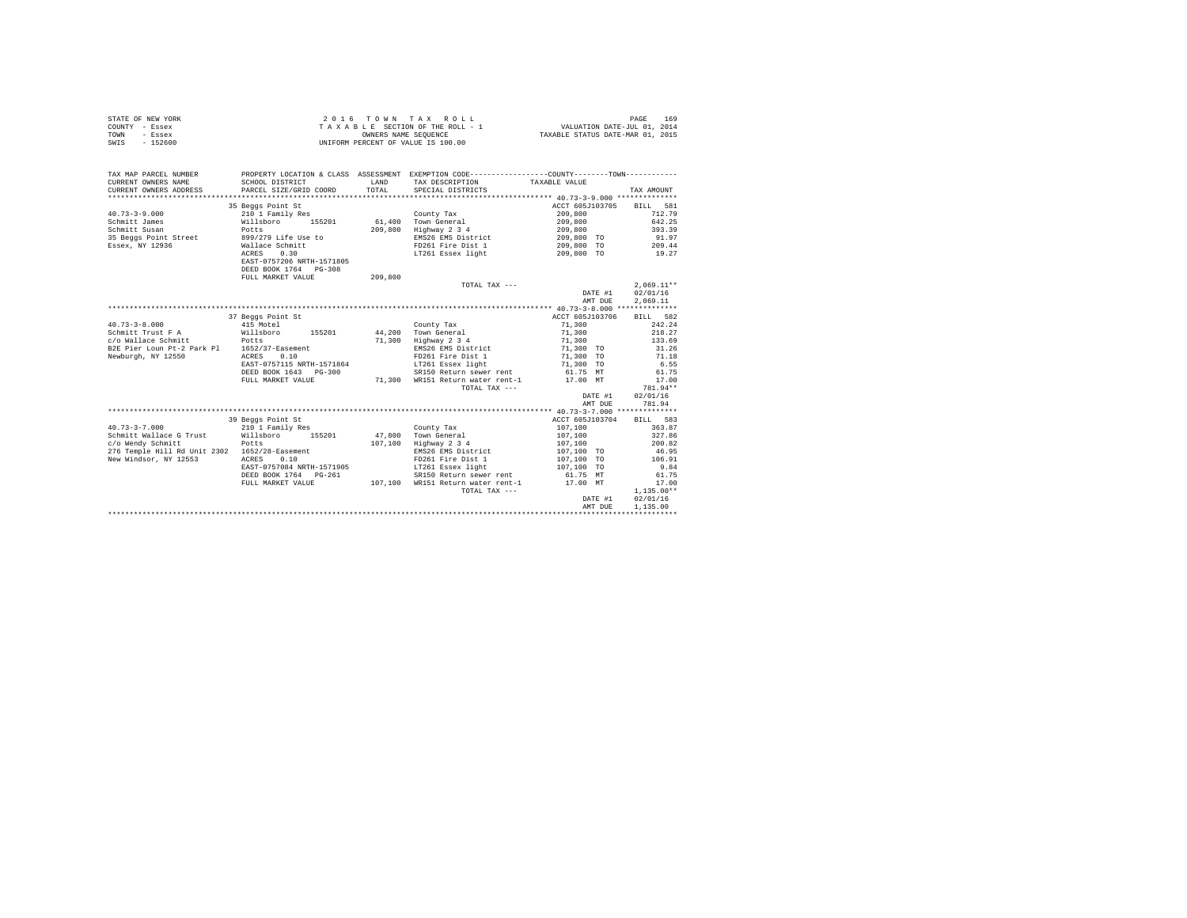| STATE OF NEW YORK | $2.0.16$ TOWN TAX ROLL             | 169<br>PAGE                      |
|-------------------|------------------------------------|----------------------------------|
| COUNTY - Essex    | TAXABLE SECTION OF THE ROLL - 1    | VALUATION DATE-JUL 01, 2014      |
| TOWN<br>- Essex   | OWNERS NAME SEOUENCE               | TAXABLE STATUS DATE-MAR 01, 2015 |
| $-152600$<br>SWIS | UNIFORM PERCENT OF VALUE IS 100.00 |                                  |

| TAX MAP PARCEL NUMBER<br>CURRENT OWNERS NAME<br>CURRENT OWNERS ADDRESS | SCHOOL DISTRICT<br>PARCEL SIZE/GRID COORD | LAND<br>TOTAL. | PROPERTY LOCATION & CLASS ASSESSMENT EXEMPTION CODE----------------COUNTY-------TOWN----------<br>TAX DESCRIPTION<br>SPECIAL DISTRICTS | TAXABLE VALUE   | TAX AMOUNT   |  |  |  |  |
|------------------------------------------------------------------------|-------------------------------------------|----------------|----------------------------------------------------------------------------------------------------------------------------------------|-----------------|--------------|--|--|--|--|
|                                                                        |                                           |                |                                                                                                                                        | ACCT 605J103705 | BILL 581     |  |  |  |  |
|                                                                        | 35 Beggs Point St                         |                |                                                                                                                                        |                 |              |  |  |  |  |
| $40.73 - 3 - 9.000$                                                    | 210 1 Family Res                          |                | County Tax                                                                                                                             | 209,800         | 712.79       |  |  |  |  |
| Schmitt James                                                          | Willsboro<br>155201                       | 61,400         | Town General                                                                                                                           | 209,800         | 642.25       |  |  |  |  |
| Schmitt Susan                                                          | Potts                                     | 209,800        | Highway 2 3 4                                                                                                                          | 209,800         | 393.39       |  |  |  |  |
| 35 Beggs Point Street                                                  | 899/279 Life Use to                       |                | EMS26 EMS District                                                                                                                     | 209,800 TO      | 91.97        |  |  |  |  |
| Essex, NY 12936                                                        | Wallace Schmitt                           |                | FD261 Fire Dist 1                                                                                                                      | 209,800 TO      | 209.44       |  |  |  |  |
|                                                                        | ACRES<br>0.30                             |                | LT261 Essex light                                                                                                                      | 209,800 TO      | 19.27        |  |  |  |  |
|                                                                        | EAST-0757206 NRTH-1571805                 |                |                                                                                                                                        |                 |              |  |  |  |  |
|                                                                        | DEED BOOK 1764 PG-308                     |                |                                                                                                                                        |                 |              |  |  |  |  |
|                                                                        | FULL MARKET VALUE                         | 209,800        |                                                                                                                                        |                 |              |  |  |  |  |
|                                                                        |                                           |                | TOTAL TAX ---                                                                                                                          |                 | $2.069.11**$ |  |  |  |  |
|                                                                        |                                           |                |                                                                                                                                        |                 | 02/01/16     |  |  |  |  |
|                                                                        |                                           |                |                                                                                                                                        | DATE #1         |              |  |  |  |  |
|                                                                        |                                           |                |                                                                                                                                        | AMT DUE         | 2.069.11     |  |  |  |  |
|                                                                        |                                           |                |                                                                                                                                        |                 |              |  |  |  |  |
|                                                                        | 37 Beggs Point St                         |                |                                                                                                                                        | ACCT 605J103706 | BILL 582     |  |  |  |  |
| $40.73 - 3 - 8.000$                                                    | 415 Motel                                 |                | County Tax                                                                                                                             | 71,300          | 242.24       |  |  |  |  |
| Schmitt Trust F A                                                      | Willsboro<br>Potts<br>155201              | 44,200         | Town General                                                                                                                           | 71,300          | 218.27       |  |  |  |  |
| c/o Wallace Schmitt                                                    |                                           | 71,300         | Highway 2 3 4                                                                                                                          | 71,300          | 133.69       |  |  |  |  |
| B2E Pier Loun Pt-2 Park Pl 1652/37-Easement                            |                                           |                | EMS26 EMS District 71,300 TO                                                                                                           |                 | 31.26        |  |  |  |  |
| Newburgh, NY 12550                                                     | ACRES<br>0.10                             |                | FD261 Fire Dist 1                                                                                                                      | 71,300 TO       | 71.18        |  |  |  |  |
|                                                                        | EAST-0757115 NRTH-1571864                 |                | LT261 Essex light                                                                                                                      | 71,300 TO       | 6.55         |  |  |  |  |
|                                                                        | DEED BOOK 1643 PG-300                     |                | SR150 Return sewer rent                                                                                                                | 61.75 MT        | 61.75        |  |  |  |  |
|                                                                        | FULL MARKET VALUE                         | 71,300         | WR151 Return water rent-1 17.00 MT                                                                                                     |                 | 17.00        |  |  |  |  |
|                                                                        |                                           |                | TOTAL TAX ---                                                                                                                          |                 | 781.94**     |  |  |  |  |
|                                                                        |                                           |                |                                                                                                                                        |                 |              |  |  |  |  |
|                                                                        |                                           |                |                                                                                                                                        | DATE #1         | 02/01/16     |  |  |  |  |
|                                                                        |                                           |                |                                                                                                                                        | AMT DUE         | 781.94       |  |  |  |  |
|                                                                        |                                           |                |                                                                                                                                        |                 |              |  |  |  |  |
|                                                                        | 39 Beggs Point St                         |                |                                                                                                                                        | ACCT 605J103704 | BILL 583     |  |  |  |  |
| $40.73 - 3 - 7.000$                                                    | 210 1 Family Res                          |                | County Tax                                                                                                                             | 107,100         | 363.87       |  |  |  |  |
| Schmitt Wallace G Trust                                                | Willsboro<br>155201                       | 47,800         | Town General                                                                                                                           | 107,100         | 327.86       |  |  |  |  |
| c/o Wendy Schmitt                                                      | Potts                                     | 107,100        | Highway 2 3 4                                                                                                                          | 107,100         | 200.82       |  |  |  |  |
| 276 Temple Hill Rd Unit 2302 1652/28-Easement                          |                                           |                | EMS26 EMS District                                                                                                                     | 107,100 TO      | 46.95        |  |  |  |  |
| New Windsor, NY 12553                                                  | ACRES<br>0.10                             |                | FD261 Fire Dist 1                                                                                                                      | 107,100 TO      | 106.91       |  |  |  |  |
|                                                                        | EAST-0757084 NRTH-1571905                 |                | LT261 Essex light                                                                                                                      | 107,100 TO      | 9.84         |  |  |  |  |
|                                                                        | DEED BOOK 1764 PG-261                     |                | SR150 Return sewer rent                                                                                                                | 61.75 MT        | 61.75        |  |  |  |  |
|                                                                        |                                           |                |                                                                                                                                        |                 |              |  |  |  |  |
|                                                                        | FULL MARKET VALUE                         | 107.100        | WR151 Return water rent-1 17.00 MT                                                                                                     |                 | 17.00        |  |  |  |  |
|                                                                        |                                           |                | TOTAL TAX ---                                                                                                                          |                 | $1,135.00**$ |  |  |  |  |
|                                                                        |                                           |                |                                                                                                                                        | DATE #1         | 02/01/16     |  |  |  |  |
|                                                                        |                                           |                |                                                                                                                                        | AMT DUE         | 1,135.00     |  |  |  |  |
|                                                                        |                                           |                |                                                                                                                                        |                 |              |  |  |  |  |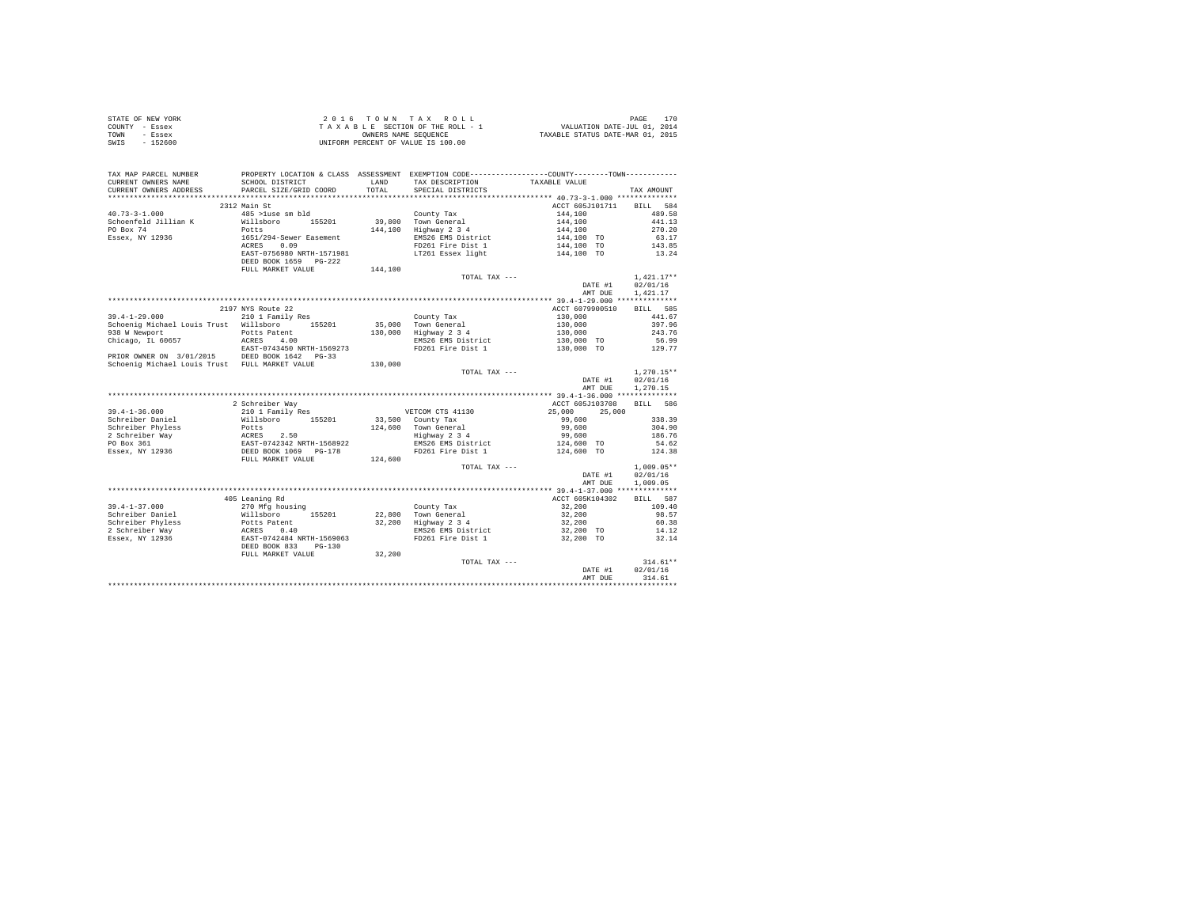| STATE OF NEW YORK | 2016 TOWN TAX ROLL                 | PAGE                             |
|-------------------|------------------------------------|----------------------------------|
| COUNTY - Essex    | TAXABLE SECTION OF THE ROLL - 1    | VALUATION DATE-JUL 01, 2014      |
| TOWN<br>- Essex   | OWNERS NAME SEOUENCE               | TAXABLE STATUS DATE-MAR 01, 2015 |
| - 152600<br>SWIS  | UNIFORM PERCENT OF VALUE IS 100.00 |                                  |

| TAX MAP PARCEL NUMBER<br>CURRENT OWNERS NAME<br>CURRENT OWNERS ADDRESS | PROPERTY LOCATION & CLASS ASSESSMENT EXEMPTION CODE---------------COUNTY-------TOWN---------<br>SCHOOL DISTRICT<br>PARCEL SIZE/GRID COORD | LAND<br>TOTAL | TAX DESCRIPTION<br>SPECIAL DISTRICTS         | TAXABLE VALUE         | TAX AMOUNT   |
|------------------------------------------------------------------------|-------------------------------------------------------------------------------------------------------------------------------------------|---------------|----------------------------------------------|-----------------------|--------------|
|                                                                        |                                                                                                                                           |               |                                              |                       |              |
|                                                                        | 2312 Main St                                                                                                                              |               |                                              | ACCT 605J101711       | BILL 584     |
| $40.73 - 3 - 1.000$                                                    | 485 >luse sm bld                                                                                                                          |               | County Tax                                   | 144,100               | 489.58       |
| Schoenfeld Jillian K                                                   | Willsboro 155201                                                                                                                          |               | 39,800 Town General                          | 144,100               | 441.13       |
| PO Box 74                                                              | Potts                                                                                                                                     | 144,100       | Highway 2 3 4                                | 144,100               | 270.20       |
| Essex, NY 12936                                                        | 1651/294-Sewer Easement                                                                                                                   |               | EMS26 EMS District                           | $144,100$ TO          | 63.17        |
|                                                                        | ACRES 0.09                                                                                                                                |               | FD261 Fire Dist 1                            | 144,100 TO            | 143.85       |
|                                                                        | EAST-0756980 NRTH-1571981                                                                                                                 |               | LT261 Essex light                            | 144,100 TO            | 13.24        |
|                                                                        | DEED BOOK 1659 PG-222                                                                                                                     |               |                                              |                       |              |
|                                                                        | FULL MARKET VALUE                                                                                                                         | 144,100       |                                              |                       |              |
|                                                                        |                                                                                                                                           |               | TOTAL TAX ---                                |                       | $1,421.17**$ |
|                                                                        |                                                                                                                                           |               |                                              | DATE #1               | 02/01/16     |
|                                                                        |                                                                                                                                           |               |                                              | AMT DUE               | 1,421.17     |
|                                                                        |                                                                                                                                           |               |                                              |                       |              |
|                                                                        | 2197 NYS Route 22                                                                                                                         |               |                                              | ACCT 6079900510       | BILL 585     |
| $39.4 - 1 - 29.000$                                                    | 210 1 Family Res                                                                                                                          |               | County Tax                                   | 130,000               | 441.67       |
| Schoenig Michael Louis Trust Willsboro 155201                          |                                                                                                                                           |               |                                              | 130,000               | 397.96       |
| 938 W Newport                                                          | Potts Patent                                                                                                                              |               | 35,000 Town General<br>130,000 Highway 2 3 4 |                       | 243.76       |
| Chicago, IL 60657                                                      | ACRES 4.00                                                                                                                                |               | EMS26 EMS District                           | 130,000<br>130,000 TO | 56.99        |
|                                                                        | EAST-0743450 NRTH-1569273                                                                                                                 |               | FD261 Fire Dist 1                            | 130,000 TO            | 129.77       |
| PRIOR OWNER ON 3/01/2015 DEED BOOK 1642 PG-33                          |                                                                                                                                           |               |                                              |                       |              |
| Schoenig Michael Louis Trust FULL MARKET VALUE                         |                                                                                                                                           | 130,000       |                                              |                       |              |
|                                                                        |                                                                                                                                           |               | TOTAL TAX ---                                |                       | $1.270.15**$ |
|                                                                        |                                                                                                                                           |               |                                              | DATE #1               | 02/01/16     |
|                                                                        |                                                                                                                                           |               |                                              | AMT DUE               | 1,270.15     |
|                                                                        |                                                                                                                                           |               |                                              |                       |              |
|                                                                        | 2 Schreiber Way                                                                                                                           |               |                                              | ACCT 605J103708       | BILL 586     |
| $39.4 - 1 - 36.000$                                                    | 210 1 Family Res                                                                                                                          |               | VETCOM CTS 41130                             | 25,000<br>25,000      |              |
| Schreiber Daniel                                                       | Willsboro 155201                                                                                                                          |               | 33,500 County Tax                            | 99,600                | 338.39       |
|                                                                        |                                                                                                                                           |               |                                              | 99,600                | 304.90       |
|                                                                        |                                                                                                                                           |               | 124,600 Town General<br>Highway 2 3 4        | 99,600                | 186.76       |
|                                                                        |                                                                                                                                           |               | EMS26 EMS District                           | 124,600 TO            | 54.62        |
|                                                                        |                                                                                                                                           |               | FD261 Fire Dist 1                            | 124,600 TO            | 124.38       |
|                                                                        |                                                                                                                                           | 124,600       |                                              |                       |              |
|                                                                        |                                                                                                                                           |               | TOTAL TAX ---                                |                       | $1.009.05**$ |
|                                                                        |                                                                                                                                           |               |                                              | DATE #1               | 02/01/16     |
|                                                                        |                                                                                                                                           |               |                                              | AMT DUE               | 1,009.05     |
|                                                                        |                                                                                                                                           |               |                                              |                       |              |
|                                                                        | 405 Leaning Rd                                                                                                                            |               |                                              | ACCT 605K104302       | BILL 587     |
| $39.4 - 1 - 37.000$                                                    |                                                                                                                                           |               | County Tax<br>22,800 Town General            | 32,200                | 109.40       |
| Schreiber Daniel                                                       |                                                                                                                                           |               |                                              | 32,200                | 98.57        |
| Schreiber Phyless<br>2 Schreiber Way                                   |                                                                                                                                           |               | 32,200 Highway 2 3 4                         | 32,200                | 60.38        |
|                                                                        |                                                                                                                                           |               | EMS26 EMS District                           | 32,200 TO             | 14.12        |
| Essex, NY 12936                                                        | 270 Mfg housing<br>Willsboro 155201<br>Potts Patent<br>ACRES 0.40<br>EAST-0742484 NRTH-1569063                                            |               | FD261 Fire Dist 1                            | 32,200 TO             | 32.14        |
|                                                                        | DEED BOOK 833<br>$PG-130$                                                                                                                 |               |                                              |                       |              |
|                                                                        | FULL MARKET VALUE                                                                                                                         | 32,200        |                                              |                       |              |
|                                                                        |                                                                                                                                           |               | TOTAL TAX ---                                |                       | $314.61**$   |
|                                                                        |                                                                                                                                           |               |                                              | DATE #1               | 02/01/16     |
|                                                                        |                                                                                                                                           |               |                                              | AMT DUE               | 314.61       |
|                                                                        |                                                                                                                                           |               |                                              |                       |              |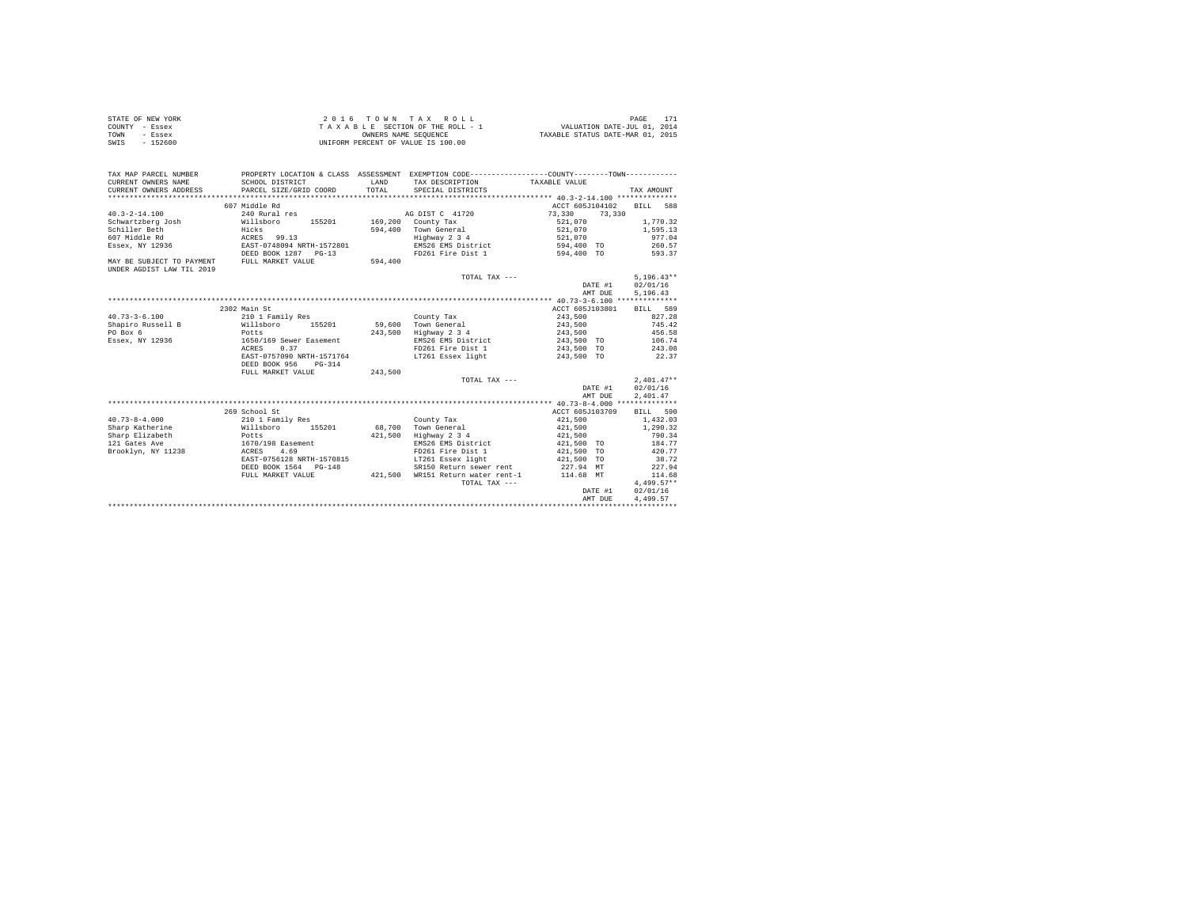|      | STATE OF NEW YORK | 2016 TOWN TAX ROLL                 | PAGE                             |
|------|-------------------|------------------------------------|----------------------------------|
|      | COUNTY - Essex    | TAXABLE SECTION OF THE ROLL - 1    | VALUATION DATE-JUL 01, 2014      |
| TOWN | - Essex           | OWNERS NAME SEOUENCE               | TAXABLE STATUS DATE-MAR 01, 2015 |
| SWIS | - 152600          | UNIFORM PERCENT OF VALUE IS 100.00 |                                  |

| TAX MAP PARCEL NUMBER<br>CURRENT OWNERS NAME<br>CURRENT OWNERS ADDRESS | SCHOOL DISTRICT<br>PARCEL SIZE/GRID COORD | LAND<br>TOTAL. | PROPERTY LOCATION & CLASS ASSESSMENT EXEMPTION CODE----------------COUNTY--------TOWN----------<br>TAX DESCRIPTION TAXABLE VALUE<br>SPECIAL DISTRICTS | ***************************** 40.3-2-14.100 *************** | TAX AMOUNT   |
|------------------------------------------------------------------------|-------------------------------------------|----------------|-------------------------------------------------------------------------------------------------------------------------------------------------------|-------------------------------------------------------------|--------------|
|                                                                        | 607 Middle Rd                             |                |                                                                                                                                                       | ACCT 605J104102                                             | BILL 588     |
| $40.3 - 2 - 14.100$                                                    | 240 Rural res                             |                | AG DIST C 41720                                                                                                                                       | 73,330<br>73,330                                            |              |
| Schwartzberg Josh                                                      | Willsboro<br>155201                       |                | 169,200 County Tax                                                                                                                                    | 521,070                                                     | 1,770.32     |
| Schiller Beth                                                          | Hicks                                     |                | 594.400 Town General                                                                                                                                  | 521,070                                                     | 1,595.13     |
| 607 Middle Rd                                                          | ACRES 99.13                               |                | Highway 2 3 4                                                                                                                                         | 521,070                                                     | 977.04       |
| Essex, NY 12936                                                        | EAST-0748094 NRTH-1572801                 |                | EMS26 EMS District                                                                                                                                    | 594,400 TO                                                  | 260.57       |
|                                                                        | DEED BOOK 1287 PG-13                      |                | FD261 Fire Dist 1                                                                                                                                     | 594,400 TO                                                  | 593.37       |
| MAY BE SUBJECT TO PAYMENT                                              | FULL MARKET VALUE                         | 594,400        |                                                                                                                                                       |                                                             |              |
| UNDER AGDIST LAW TIL 2019                                              |                                           |                |                                                                                                                                                       |                                                             |              |
|                                                                        |                                           |                | TOTAL TAX ---                                                                                                                                         |                                                             | $5.196.43**$ |
|                                                                        |                                           |                |                                                                                                                                                       | DATE #1                                                     | 02/01/16     |
|                                                                        |                                           |                |                                                                                                                                                       | AMT DUE                                                     | 5,196.43     |
|                                                                        |                                           |                |                                                                                                                                                       |                                                             |              |
|                                                                        | 2302 Main St                              |                |                                                                                                                                                       | ACCT 605J103801                                             | BILL 589     |
| $40.73 - 3 - 6.100$                                                    | 210 1 Family Res                          |                | County Tax                                                                                                                                            | 243,500                                                     | 827.28       |
| Shapiro Russell B                                                      | Willsboro<br>155201                       |                | 59.600 Town General                                                                                                                                   | 243,500 745.42                                              |              |
| PO Box 6                                                               | Potts                                     |                | 243,500 Highway 2 3 4                                                                                                                                 | 243,500                                                     | 456.58       |
| Essex, NY 12936                                                        | 1650/169 Sewer Easement                   |                | EMS26 EMS District                                                                                                                                    | 243,500 TO                                                  | 106.74       |
|                                                                        | 0.37<br>ACRES                             |                | FD261 Fire Dist 1 243.500 TO                                                                                                                          |                                                             | 243.08       |
|                                                                        | EAST-0757090 NRTH-1571764                 |                | LT261 Essex light 6 243,500 TO                                                                                                                        |                                                             | 22.37        |
|                                                                        | DEED BOOK 956<br>$PG-314$                 |                |                                                                                                                                                       |                                                             |              |
|                                                                        | FULL MARKET VALUE                         | 243,500        |                                                                                                                                                       |                                                             |              |
|                                                                        |                                           |                | TOTAL TAX ---                                                                                                                                         |                                                             | $2.401.47**$ |
|                                                                        |                                           |                |                                                                                                                                                       | DATE #1                                                     | 02/01/16     |
|                                                                        |                                           |                |                                                                                                                                                       | AMT DUE                                                     | 2,401.47     |
|                                                                        |                                           |                |                                                                                                                                                       |                                                             |              |
|                                                                        | 269 School St                             |                |                                                                                                                                                       | ACCT 605J103709                                             | BILL 590     |
| $40.73 - 8 - 4.000$                                                    | 210 1 Family Res                          |                | County Tax                                                                                                                                            | 421,500                                                     | 1,432.03     |
| Sharp Katherine                                                        | Willsboro 155201                          |                | 68.700 Town General                                                                                                                                   | 421,500                                                     | 1,290.32     |
| Sharp Elizabeth                                                        | Potts                                     | 421,500        | Highway 2 3 4                                                                                                                                         | 421,500                                                     | 790.34       |
| 121 Gates Ave                                                          | 1670/198 Easement                         |                | EMS26 EMS District                                                                                                                                    | 421,500 TO                                                  | 184.77       |
| Brooklyn, NY 11238                                                     | 4.69<br>ACRES                             |                | FD261 Fire Dist 1                                                                                                                                     | 421,500 TO                                                  | 420.77       |
|                                                                        | EAST-0756128 NRTH-1570815                 |                | LT261 Essex light                                                                                                                                     | 421,500 TO                                                  | 38.72        |
|                                                                        | DEED BOOK 1564 PG-148                     |                | SR150 Return sewer rent 227.94 MT                                                                                                                     |                                                             | 227.94       |
|                                                                        | FULL MARKET VALUE                         |                | 421,500 WR151 Return water rent-1 114.68 MT                                                                                                           |                                                             | 114.68       |
|                                                                        |                                           |                | TOTAL TAX ---                                                                                                                                         |                                                             | $4,499.57**$ |
|                                                                        |                                           |                |                                                                                                                                                       | DATE #1                                                     | 02/01/16     |
|                                                                        |                                           |                |                                                                                                                                                       | AMT DUE                                                     | 4.499.57     |
|                                                                        |                                           |                |                                                                                                                                                       |                                                             |              |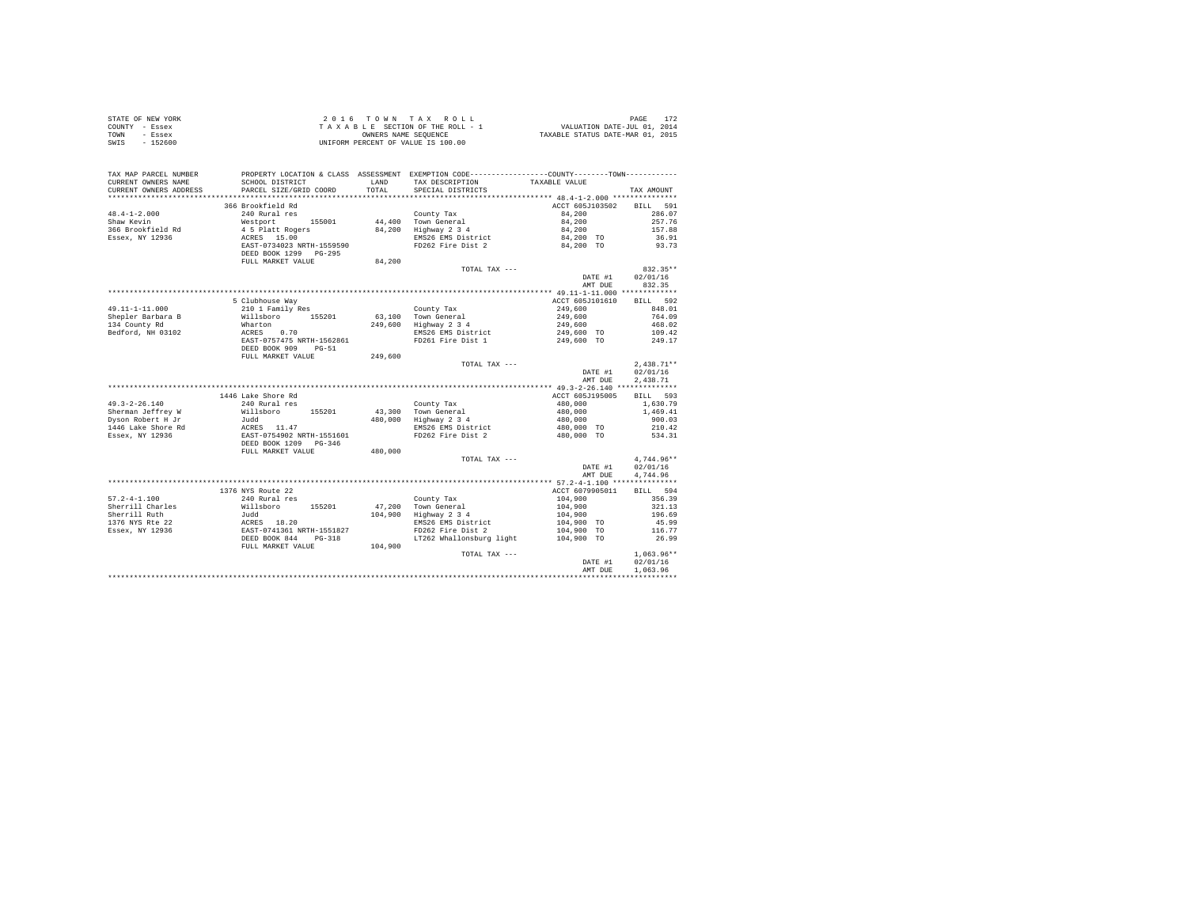|                | STATE OF NEW YORK | 2016 TOWN TAX ROLL                 |  |  |                      |  |  |  |                                  | PAGE                        |  |
|----------------|-------------------|------------------------------------|--|--|----------------------|--|--|--|----------------------------------|-----------------------------|--|
| COUNTY - Essex |                   | TAXABLE SECTION OF THE ROLL - 1    |  |  |                      |  |  |  |                                  | VALUATION DATE-JUL 01, 2014 |  |
| TOWN           | - Essex           |                                    |  |  | OWNERS NAME SEOUENCE |  |  |  | TAXABLE STATUS DATE-MAR 01, 2015 |                             |  |
| SWIS           | $-152600$         | UNIFORM PERCENT OF VALUE IS 100.00 |  |  |                      |  |  |  |                                  |                             |  |

| TAX MAP PARCEL NUMBER<br>CURRENT OWNERS NAME<br>CURRENT OWNERS ADDRESS | SCHOOL DISTRICT<br>PARCEL SIZE/GRID COORD | LAND<br>TOTAL | PROPERTY LOCATION & CLASS ASSESSMENT EXEMPTION CODE---------------COUNTY-------TOWN----------<br>TAX DESCRIPTION<br>SPECIAL DISTRICTS | TAXABLE VALUE      | TAX AMOUNT   |
|------------------------------------------------------------------------|-------------------------------------------|---------------|---------------------------------------------------------------------------------------------------------------------------------------|--------------------|--------------|
|                                                                        |                                           |               |                                                                                                                                       |                    |              |
|                                                                        | 366 Brookfield Rd                         |               |                                                                                                                                       | ACCT 605J103502    | BILL 591     |
| $48.4 - 1 - 2.000$                                                     | 240 Rural res                             |               | County Tax                                                                                                                            | 84,200             | 286.07       |
| Shaw Kevin                                                             | Westport 155001                           |               | 44,400 Town General                                                                                                                   | 84,200             | 257.76       |
| 366 Brookfield Rd                                                      | 4 5 Platt Rogers                          |               | 84,200 Highway 2 3 4                                                                                                                  | 84,200             | 157.88       |
| Essex, NY 12936                                                        | ACRES 15.00                               |               | EMS26 EMS District                                                                                                                    | 84,200 TO          | 36.91        |
|                                                                        | EAST-0734023 NRTH-1559590                 |               | FD262 Fire Dist 2                                                                                                                     | 84.200 TO          | 93.73        |
|                                                                        | DEED BOOK 1299 PG-295                     |               |                                                                                                                                       |                    |              |
|                                                                        | FULL MARKET VALUE                         | 84,200        |                                                                                                                                       |                    |              |
|                                                                        |                                           |               | TOTAL TAX ---                                                                                                                         |                    | 832.35**     |
|                                                                        |                                           |               |                                                                                                                                       | DATE #1            | 02/01/16     |
|                                                                        |                                           |               |                                                                                                                                       |                    | 832.35       |
|                                                                        |                                           |               |                                                                                                                                       | AMT DUE            |              |
|                                                                        |                                           |               |                                                                                                                                       |                    |              |
|                                                                        | 5 Clubhouse Way                           |               |                                                                                                                                       | ACCT 605J101610    | BILL 592     |
| 49.11-1-11.000                                                         | 210 1 Family Res                          |               | County Tax                                                                                                                            | 249,600            | 848.01       |
| Shepler Barbara B                                                      | Willsboro 155201                          |               | 63.100 Town General                                                                                                                   | 249,600            | 764.09       |
| 134 County Rd                                                          | Wharton                                   | 249,600       | Highway 2 3 4                                                                                                                         | 249,600            | 468.02       |
| Bedford, NH 03102                                                      | ACRES<br>0.70                             |               | EMS26 EMS District                                                                                                                    | 249,600 TO         | 109.42       |
|                                                                        | EAST-0757475 NRTH-1562861                 |               | FD261 Fire Dist 1 249,600 TO                                                                                                          |                    | 249.17       |
|                                                                        | DEED BOOK 909<br>$PG-51$                  |               |                                                                                                                                       |                    |              |
|                                                                        | FULL MARKET VALUE                         | 249,600       |                                                                                                                                       |                    |              |
|                                                                        |                                           |               | TOTAL TAX ---                                                                                                                         |                    | $2.438.71**$ |
|                                                                        |                                           |               |                                                                                                                                       | DATE #1            | 02/01/16     |
|                                                                        |                                           |               |                                                                                                                                       | AMT DUE            | 2.438.71     |
|                                                                        |                                           |               |                                                                                                                                       |                    |              |
|                                                                        | 1446 Lake Shore Rd                        |               |                                                                                                                                       | ACCT 605J195005    | BILL 593     |
| $49.3 - 2 - 26.140$                                                    | 240 Rural res                             |               | County Tax                                                                                                                            | 480,000            | 1,630.79     |
| Sherman Jeffrey W                                                      | 155201                                    | 43,300        |                                                                                                                                       | 480,000            | 1,469.41     |
| Dyson Robert H Jr                                                      | Willsboro<br>Judd                         | 480,000       | Town General<br>Highway 2 3 4                                                                                                         | 480,000            | 900.03       |
| 1446 Lake Shore Rd                                                     |                                           |               | EMS26 EMS District                                                                                                                    | 480,000 TO         | 210.42       |
|                                                                        | ACRES 11.47<br>EAST-0754902 NRTH-1551601  |               | FD262 Fire Dist 2                                                                                                                     | 480,000 TO         | 534.31       |
| Essex, NY 12936                                                        | DEED BOOK 1209 PG-346                     |               |                                                                                                                                       |                    |              |
|                                                                        |                                           |               |                                                                                                                                       |                    |              |
|                                                                        | FULL MARKET VALUE                         | 480,000       |                                                                                                                                       |                    |              |
|                                                                        |                                           |               | TOTAL TAX ---                                                                                                                         |                    | $4.744.96**$ |
|                                                                        |                                           |               |                                                                                                                                       | DATE #1            | 02/01/16     |
|                                                                        |                                           |               |                                                                                                                                       | AMT DUE            | 4,744.96     |
|                                                                        |                                           |               |                                                                                                                                       |                    |              |
|                                                                        | 1376 NYS Route 22                         |               |                                                                                                                                       | ACCT 6079905011    | BILL 594     |
| $57.2 - 4 - 1.100$                                                     | 240 Rural res                             |               | County Tax                                                                                                                            | 104,900            | 356.39       |
| Sherrill Charles                                                       | 155201<br>Willsboro                       |               | $47,200$ Town General                                                                                                                 | 104,900<br>104,900 | 321.13       |
| Sherrill Ruth                                                          | Judd                                      |               | 104.900 Highway 2 3 4                                                                                                                 |                    | 196.69       |
| 1376 NYS Rte 22                                                        | ACRES 18.20<br>EAST-0741361 NRTH-1551827  |               | $Hignway$ 2 3<br>EMS26 EMS District                                                                                                   | 104,900 TO         | 45.99        |
| Essex, NY 12936                                                        |                                           |               | FD262 Fire Dist 2                                                                                                                     | 104,900 TO         | 116.77       |
|                                                                        | DEED BOOK 844<br>$PG-318$                 |               | LT262 Whallonsburg light 104,900 TO                                                                                                   |                    | 26.99        |
|                                                                        | FULL MARKET VALUE                         | 104,900       |                                                                                                                                       |                    |              |
|                                                                        |                                           |               | TOTAL TAX ---                                                                                                                         |                    | $1.063.96**$ |
|                                                                        |                                           |               |                                                                                                                                       | DATE #1            | 02/01/16     |
|                                                                        |                                           |               |                                                                                                                                       | AMT DUE            | 1,063.96     |
|                                                                        |                                           |               |                                                                                                                                       |                    |              |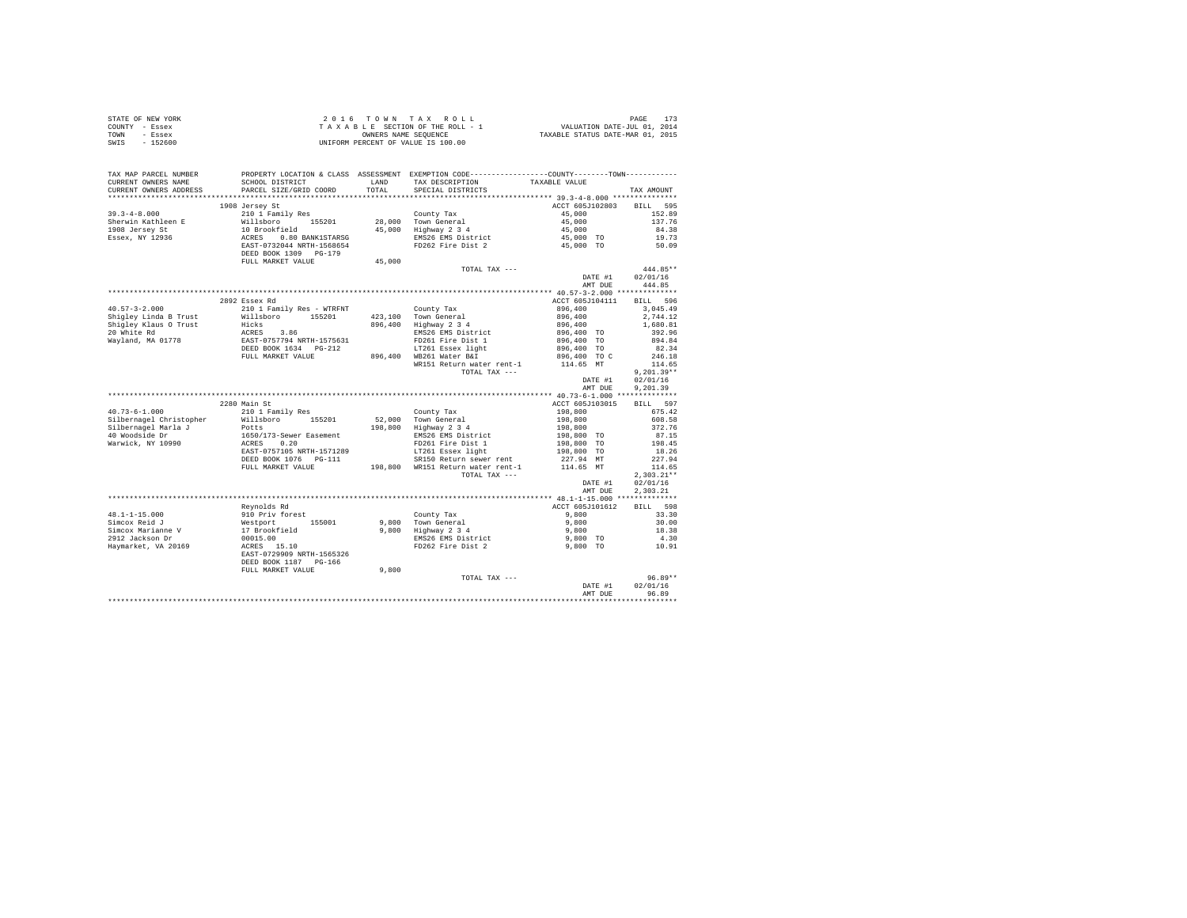|      | STATE OF NEW YORK | 2016 TOWN TAX ROLL                 | PAGE                             |
|------|-------------------|------------------------------------|----------------------------------|
|      | COUNTY - Essex    | TAXABLE SECTION OF THE ROLL - 1    | VALUATION DATE-JUL 01, 2014      |
| TOWN | - Essex           | OWNERS NAME SEOUENCE               | TAXABLE STATUS DATE-MAR 01, 2015 |
| SWIS | - 152600          | UNIFORM PERCENT OF VALUE IS 100.00 |                                  |

| TAX MAP PARCEL NUMBER<br>CURRENT OWNERS NAME<br>CURRENT OWNERS ADDRESS | SCHOOL DISTRICT<br>PARCEL SIZE/GRID COORD | LAND<br>TOTAL | PROPERTY LOCATION & CLASS ASSESSMENT EXEMPTION CODE------------<br>TAX DESCRIPTION<br>SPECIAL DISTRICTS | -----COUNTY-------TOWN-----------<br>TAXABLE VALUE | TAX AMOUNT         |
|------------------------------------------------------------------------|-------------------------------------------|---------------|---------------------------------------------------------------------------------------------------------|----------------------------------------------------|--------------------|
|                                                                        |                                           |               |                                                                                                         |                                                    |                    |
|                                                                        | 1908 Jersey St                            |               |                                                                                                         | ACCT 605J102803                                    | BILL 595           |
| $39.3 - 4 - 8.000$                                                     | 210 1 Family Res                          |               | County Tax                                                                                              | 45,000                                             | 152.89             |
| Sherwin Kathleen E                                                     | Willsboro 155201                          | 28,000        | Town General                                                                                            | 45,000                                             | 137.76             |
| 1908 Jersey St                                                         | 10 Brookfield                             | 45,000        | Highway 2 3 4                                                                                           | 45,000                                             | 84.38              |
| Essex, NY 12936                                                        | ACRES 0.80 BANK1STARSG                    |               | EMS26 EMS District                                                                                      | 45,000 TO                                          | 19.73              |
|                                                                        | EAST-0732044 NRTH-1568654                 |               | FD262 Fire Dist 2                                                                                       | 45,000 TO                                          | 50.09              |
|                                                                        | DEED BOOK 1309 PG-179                     |               |                                                                                                         |                                                    |                    |
|                                                                        | FULL MARKET VALUE                         | 45,000        |                                                                                                         |                                                    |                    |
|                                                                        |                                           |               | TOTAL TAX ---                                                                                           |                                                    | 444.85**           |
|                                                                        |                                           |               |                                                                                                         | DATE #1                                            | 02/01/16           |
|                                                                        |                                           |               |                                                                                                         | AMT DUE                                            | 444.85             |
|                                                                        |                                           |               |                                                                                                         |                                                    |                    |
|                                                                        | 2892 Essex Rd                             |               |                                                                                                         | ACCT 605J104111                                    | BILL 596           |
| $40.57 - 3 - 2.000$                                                    | 210 1 Family Res - WTRFNT                 |               | County Tax                                                                                              | 896,400                                            | 3,045.49           |
| Shiqley Linda B Trust                                                  | Willsboro 155201                          |               | 423,100 Town General                                                                                    | 896,400                                            | 2.744.12           |
| Shigley Klaus O Trust<br>20 White Rd                                   | Hicks<br>ACRES 3.86                       | 896,400       | Highway 2 3 4<br>EMS26 EMS District                                                                     | 896,400<br>896,400 TO                              | 1,680.81<br>392.96 |
| Wayland, MA 01778                                                      | EAST-0757794 NRTH-1575631                 |               | FD261 Fire Dist 1                                                                                       | 896,400 TO                                         | 894.84             |
|                                                                        | DEED BOOK 1634 PG-212                     |               | LT261 Essex light                                                                                       | 896,400 TO                                         | 82.34              |
|                                                                        | FULL MARKET VALUE                         |               | 896,400 WB261 Water B&I                                                                                 | 896,400 TO C                                       | 246.18             |
|                                                                        |                                           |               | WR151 Return water rent-1                                                                               | 114.65 MT                                          | 114.65             |
|                                                                        |                                           |               | TOTAL TAX ---                                                                                           |                                                    | $9.201.39**$       |
|                                                                        |                                           |               |                                                                                                         | DATE #1                                            | 02/01/16           |
|                                                                        |                                           |               |                                                                                                         | AMT DUE                                            | 9.201.39           |
|                                                                        |                                           |               |                                                                                                         |                                                    |                    |
|                                                                        | 2280 Main St                              |               |                                                                                                         | ACCT 605J103015                                    | BILL 597           |
| $40.73 - 6 - 1.000$                                                    | 210 1 Family Res                          |               | County Tax                                                                                              | 198,800                                            | 675.42             |
| Silbernagel Christopher                                                | Willsboro 155201                          | 52,000        | Town General                                                                                            | 198,800                                            | 608.58             |
| Silbernagel Marla J                                                    | Potts                                     | 198,800       | Highway 2 3 4                                                                                           | 198,800                                            | 372.76             |
| 40 Woodside Dr                                                         | 1650/173-Sewer Easement                   |               | EMS26 EMS District                                                                                      | 198,800 TO                                         | 87.15              |
| Warwick, NY 10990                                                      | ACRES 0.20                                |               | FD261 Fire Dist 1                                                                                       | 198,800 TO                                         | 198.45             |
|                                                                        | EAST-0757105 NRTH-1571289                 |               | LT261 Essex light                                                                                       | 198,800 TO                                         | 18.26              |
|                                                                        | DEED BOOK 1076    PG-111                  |               | SR150 Return sewer rent                                                                                 | 227.94 MT                                          | 227.94             |
|                                                                        | FULL MARKET VALUE                         |               | 198,800 WR151 Return water rent-1                                                                       | 114.65 MT                                          | 114.65             |
|                                                                        |                                           |               | TOTAL TAX ---                                                                                           |                                                    | $2.303.21**$       |
|                                                                        |                                           |               |                                                                                                         | DATE #1                                            | 02/01/16           |
|                                                                        |                                           |               |                                                                                                         | AMT DUE                                            | 2.303.21           |
|                                                                        |                                           |               |                                                                                                         |                                                    |                    |
| $48.1 - 1 - 15.000$                                                    | Reynolds Rd<br>910 Priv forest            |               | County Tax                                                                                              | ACCT 605J101612<br>9,800                           | BILL 598<br>33.30  |
| Simcox Reid J                                                          | 155001                                    | 9,800         | Town General                                                                                            | 9,800                                              | 30.00              |
| Simcox Marianne V                                                      | Westport<br>17 Brookfield                 | 9,800         | Highway 2 3 4                                                                                           | 9,800                                              | 18.38              |
| 2912 Jackson Dr                                                        | 00015.00                                  |               | EMS26 EMS District                                                                                      | 9,800 TO                                           | 4.30               |
| Haymarket, VA 20169                                                    | $ACRES$ 15.10                             |               | FD262 Fire Dist 2                                                                                       | 9,800 TO                                           | 10.91              |
|                                                                        | EAST-0729909 NRTH-1565326                 |               |                                                                                                         |                                                    |                    |
|                                                                        | DEED BOOK 1187 PG-166                     |               |                                                                                                         |                                                    |                    |
|                                                                        | FULL MARKET VALUE                         | 9,800         |                                                                                                         |                                                    |                    |
|                                                                        |                                           |               | TOTAL TAX ---                                                                                           |                                                    | $96.89**$          |
|                                                                        |                                           |               |                                                                                                         | DATE #1                                            | 02/01/16           |
|                                                                        |                                           |               |                                                                                                         | AMT DUE                                            | 96.89              |
|                                                                        |                                           |               |                                                                                                         |                                                    |                    |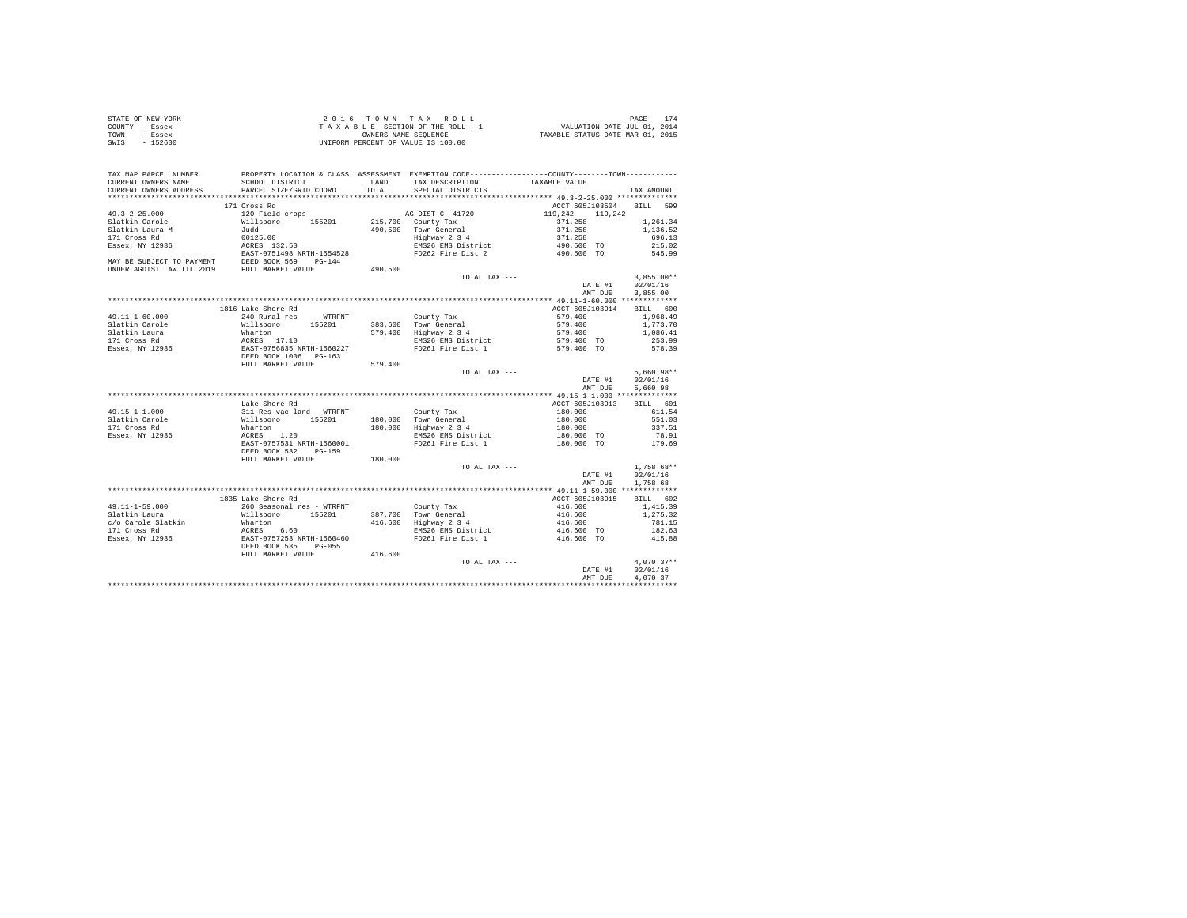| STATE OF NEW YORK | 2016 TOWN TAX ROLL                 | 174<br>PAGE                      |
|-------------------|------------------------------------|----------------------------------|
| COUNTY - Essex    | TAXABLE SECTION OF THE ROLL - 1    | VALUATION DATE-JUL 01, 2014      |
| TOWN<br>- Essex   | OWNERS NAME SEOUENCE               | TAXABLE STATUS DATE-MAR 01, 2015 |
| $-152600$<br>SWIS | UNIFORM PERCENT OF VALUE IS 100.00 |                                  |

| TAX MAP PARCEL NUMBER                                                       |                                                                              |         | PROPERTY LOCATION & CLASS ASSESSMENT EXEMPTION CODE----------------COUNTY-------TOWN--------- |                    |              |
|-----------------------------------------------------------------------------|------------------------------------------------------------------------------|---------|-----------------------------------------------------------------------------------------------|--------------------|--------------|
| CURRENT OWNERS NAME                                                         | SCHOOL DISTRICT                                                              | LAND    | TAX DESCRIPTION                                                                               | TAXABLE VALUE      |              |
| CURRENT OWNERS ADDRESS                                                      | PARCEL SIZE/GRID COORD                                                       | TOTAL   | SPECIAL DISTRICTS                                                                             |                    | TAX AMOUNT   |
|                                                                             |                                                                              |         |                                                                                               |                    |              |
|                                                                             | 171 Cross Rd                                                                 |         |                                                                                               | ACCT 605J103504    | BILL 599     |
| $49.3 - 2 - 25.000$                                                         | 120 Field crops                                                              |         | AG DIST C 41720                                                                               | 119,242<br>119,242 |              |
| Slatkin Carole                                                              | Willsboro 155201                                                             |         | 215,700 County Tax                                                                            | 371,258            | 1,261,34     |
| Slatkin Laura M                                                             | Judd                                                                         |         | 490.500 Town General                                                                          | 371,258<br>371,258 | 1,136.52     |
| 171 Cross Rd                                                                | 00125.00                                                                     |         | $\frac{1}{2}$<br>Highway 2 3 4<br>FMC26 Times                                                 |                    | 696.13       |
| Essex, NY 12936                                                             | ACRES 132.50                                                                 |         | EMS26 EMS District                                                                            | 490,500 TO         | 215.02       |
| EAST-0751498 NRTH-1554528<br>MAY BE SUBJECT TO PAYMENT DEED BOOK 569 PG-144 |                                                                              |         | FD262 Fire Dist 2                                                                             | 490,500 TO         | 545.99       |
|                                                                             |                                                                              |         |                                                                                               |                    |              |
| UNDER AGDIST LAW TIL 2019 FULL MARKET VALUE                                 |                                                                              | 490,500 |                                                                                               |                    |              |
|                                                                             |                                                                              |         | TOTAL TAX ---                                                                                 |                    | $3.855.00**$ |
|                                                                             |                                                                              |         |                                                                                               | DATE #1            | 02/01/16     |
|                                                                             |                                                                              |         |                                                                                               | AMT DUE            | 3.855.00     |
|                                                                             |                                                                              |         |                                                                                               |                    |              |
|                                                                             | 1816 Lake Shore Rd                                                           |         |                                                                                               | ACCT 605J103914    | BILL 600     |
| $49.11 - 1 - 60.000$                                                        | 240 Rural res - WTRFNT                                                       |         | County Tax                                                                                    | 579,400            | 1,968.49     |
| Slatkin Carole                                                              | Willsboro 155201                                                             |         | 383,600 Town General                                                                          | 579,400            | 1,773.70     |
| Slatkin Laura                                                               |                                                                              |         | 579,400 Highway 2 3 4                                                                         | 579,400            | 1,086.41     |
| 171 Cross Rd                                                                |                                                                              |         | EMS26 EMS District                                                                            | 579,400 TO         | 253.99       |
| Essex, NY 12936                                                             | Wharton<br>ACRES 17.10<br>EAST-0756835 NRTH-1560227<br>DEED BOOK 1006 PG-163 |         | FD261 Fire Dist 1                                                                             | 579,400 TO         | 578.39       |
|                                                                             | FULL MARKET VALUE                                                            |         |                                                                                               |                    |              |
|                                                                             |                                                                              | 579,400 | TOTAL TAX ---                                                                                 |                    | $5.660.98**$ |
|                                                                             |                                                                              |         |                                                                                               | DATE #1            | 02/01/16     |
|                                                                             |                                                                              |         |                                                                                               | AMT DUE            | 5,660.98     |
|                                                                             |                                                                              |         |                                                                                               |                    |              |
|                                                                             | Lake Shore Rd                                                                |         |                                                                                               | ACCT 605J103913    | BTLL 601     |
| $49.15 - 1 - 1.000$                                                         | 311 Res vac land - WTRFNT                                                    |         | County Tax                                                                                    | 180,000            | 611.54       |
| Slatkin Carole                                                              | Willsboro 155201                                                             |         | 180.000 Town General                                                                          | 180,000            | 551.03       |
| 171 Cross Rd                                                                | Wharton                                                                      |         | 180,000 Highway 2 3 4                                                                         | 180,000            | 337.51       |
| Essex, NY 12936                                                             | ACRES 1.20                                                                   |         | EMS26 EMS District                                                                            | 180,000 TO         | 78.91        |
|                                                                             | EAST-0757531 NRTH-1560001                                                    |         | FD261 Fire Dist 1                                                                             | 180,000 TO         | 179.69       |
|                                                                             | DEED BOOK 532<br>PG-159                                                      |         |                                                                                               |                    |              |
|                                                                             | FULL MARKET VALUE                                                            | 180,000 |                                                                                               |                    |              |
|                                                                             |                                                                              |         | TOTAL TAX ---                                                                                 |                    | $1.758.68**$ |
|                                                                             |                                                                              |         |                                                                                               | DATE #1            | 02/01/16     |
|                                                                             |                                                                              |         |                                                                                               | AMT DUE            | 1,758.68     |
|                                                                             |                                                                              |         |                                                                                               |                    |              |
|                                                                             | 1835 Lake Shore Rd                                                           |         |                                                                                               | ACCT 605J103915    | BTLL 602     |
| $49.11 - 1 - 59.000$                                                        | 260 Seasonal res - WTRFNT                                                    |         | County Tax                                                                                    | 416,600            | 1,415.39     |
| Slatkin Laura                                                               | Willsboro 155201                                                             |         | 387.700 Town General                                                                          | 416,600            | 1,275.32     |
| c/o Carole Slatkin                                                          | Wharton<br>ACRES 6.60<br>EAST-0757253 NRTH-1560460                           |         | 416,600 Highway 2 3 4                                                                         | 416,600            | 781.15       |
| 171 Cross Rd                                                                |                                                                              |         | EMS26 EMS District                                                                            | 416,600 TO         | 182.63       |
| Essex, NY 12936                                                             |                                                                              |         | FD261 Fire Dist 1                                                                             | 416,600 TO         | 415.88       |
|                                                                             | DEED BOOK 535<br>$PG-055$                                                    |         |                                                                                               |                    |              |
|                                                                             | FULL MARKET VALUE                                                            | 416,600 |                                                                                               |                    |              |
|                                                                             |                                                                              |         | TOTAL TAX ---                                                                                 |                    | $4,070.37**$ |
|                                                                             |                                                                              |         |                                                                                               | DATE #1            | 02/01/16     |
|                                                                             |                                                                              |         |                                                                                               | AMT DUE            | 4.070.37     |
|                                                                             |                                                                              |         |                                                                                               |                    |              |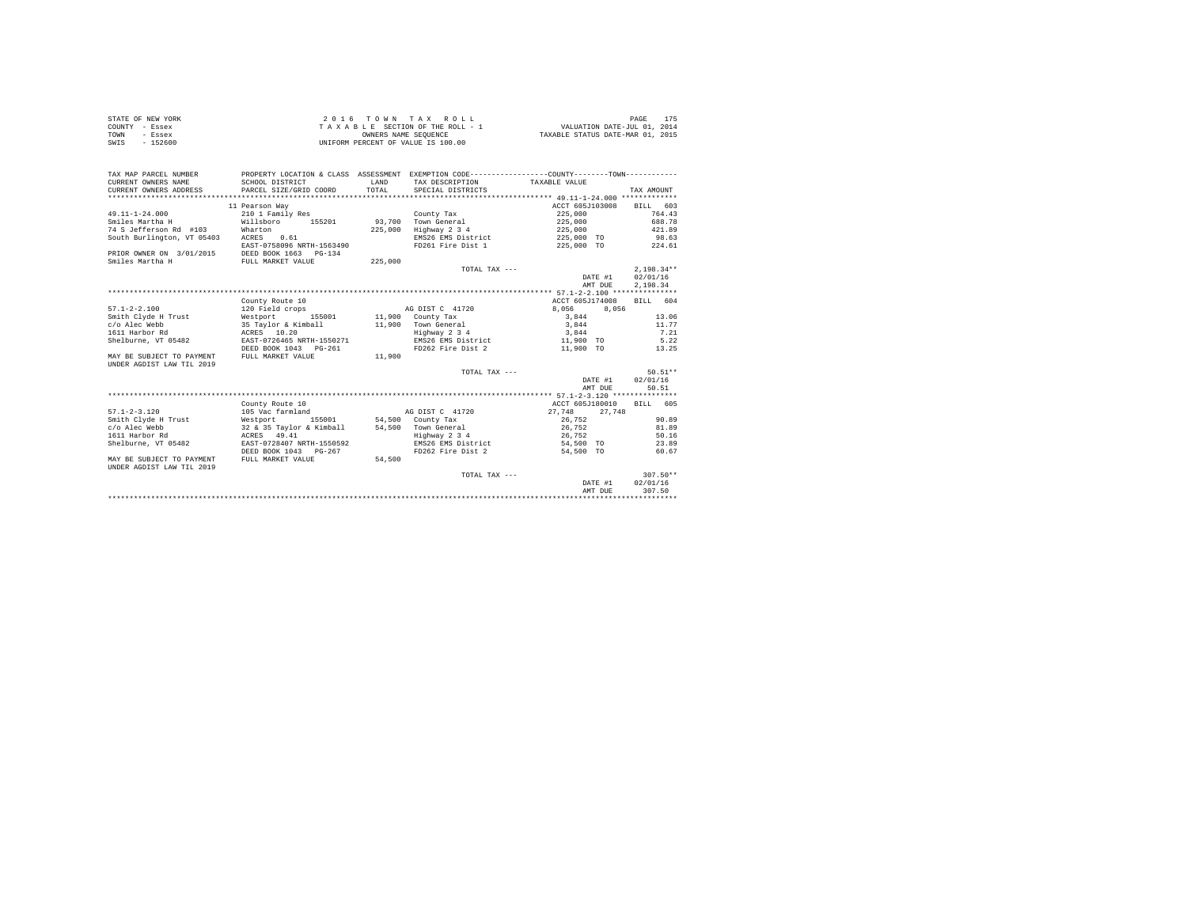|      | STATE OF NEW YORK | $2.0.16$ TOWN TAX ROLL             | PAGE                             |  |
|------|-------------------|------------------------------------|----------------------------------|--|
|      | COUNTY - Essex    | TAXABLE SECTION OF THE ROLL - 1    | VALUATION DATE-JUL 01, 2014      |  |
| TOWN | $-$ Essex         | OWNERS NAME SEOUENCE               | TAXABLE STATUS DATE-MAR 01, 2015 |  |
| SWIS | $-152600$         | UNIFORM PERCENT OF VALUE IS 100.00 |                                  |  |

| TAX MAP PARCEL NUMBER<br>CURRENT OWNERS NAME<br>CURRENT OWNERS ADDRESS | PROPERTY LOCATION & CLASS ASSESSMENT EXEMPTION CODE----------------COUNTY--------TOWN----------<br>SCHOOL DISTRICT<br>PARCEL SIZE/GRID COORD | <b>T.AND</b><br>TOTAL | TAX DESCRIPTION TAXABLE VALUE<br>SPECIAL DISTRICTS |                                     | TAX AMOUNT   |
|------------------------------------------------------------------------|----------------------------------------------------------------------------------------------------------------------------------------------|-----------------------|----------------------------------------------------|-------------------------------------|--------------|
|                                                                        | 11 Pearson Way                                                                                                                               |                       |                                                    | ACCT 605J103008                     | BILL 603     |
| $49.11 - 1 - 24.000$                                                   | 210 1 Family Res                                                                                                                             |                       | County Tax                                         | 225,000                             | 764.43       |
| Smiles Martha H                                                        | Willsboro 155201                                                                                                                             | 93,700                | Town General                                       | 225,000                             | 688.78       |
| 74 S Jefferson Rd #103                                                 | Wharton                                                                                                                                      | 225,000               | Highway 2 3 4                                      | 225,000                             | 421.89       |
| South Burlington, VT 05403 ACRES                                       | 0.61                                                                                                                                         |                       |                                                    | EMS26 EMS District 225,000 TO 98.63 |              |
|                                                                        | EAST-0758096 NRTH-1563490                                                                                                                    |                       | FD261 Fire Dist 1                                  | 225,000 TO 224.61                   |              |
| PRIOR OWNER ON 3/01/2015                                               | DEED BOOK 1663 PG-134                                                                                                                        |                       |                                                    |                                     |              |
| Smiles Martha H                                                        | FULL MARKET VALUE                                                                                                                            | 225,000               |                                                    |                                     |              |
|                                                                        |                                                                                                                                              |                       | TOTAL TAX $---$                                    |                                     | $2.198.34**$ |
|                                                                        |                                                                                                                                              |                       |                                                    | DATE #1                             | 02/01/16     |
|                                                                        |                                                                                                                                              |                       |                                                    | AMT DUE                             | 2,198.34     |
|                                                                        |                                                                                                                                              |                       |                                                    |                                     |              |
|                                                                        | County Route 10                                                                                                                              |                       |                                                    | ACCT 605J174008                     | RTLL 604     |
| $57.1 - 2 - 2.100$                                                     | 120 Field crops                                                                                                                              |                       | AG DIST C 41720                                    | 8,056<br>8,056                      |              |
| Smith Clyde H Trust                                                    | 155001 11,900 County Tax<br>Westport                                                                                                         |                       |                                                    | 3.844                               | 13.06        |
| c/o Alec Webb                                                          | 35 Taylor & Kimball                                                                                                                          |                       | 11,900 Town General                                | 3,844                               | 11.77        |
| 1611 Harbor Rd                                                         | ACRES 10.20                                                                                                                                  |                       | Highway 2 3 4                                      | 3.844                               | 7.21         |
| Shelburne, VT 05482                                                    | EAST-0726465 NRTH-1550271                                                                                                                    |                       | EMS26 EMS District                                 | 11,900 TO                           | 5.22         |
|                                                                        | DEED BOOK 1043 PG-261                                                                                                                        |                       |                                                    | FD262 Fire Dist 2 11,900 TO         | 13.25        |
| MAY BE SUBJECT TO PAYMENT<br>UNDER AGDIST LAW TIL 2019                 | FULL MARKET VALUE                                                                                                                            | 11,900                |                                                    |                                     |              |
|                                                                        |                                                                                                                                              |                       | TOTAL TAX ---                                      |                                     | $50.51**$    |
|                                                                        |                                                                                                                                              |                       |                                                    | DATE #1                             | 02/01/16     |
|                                                                        |                                                                                                                                              |                       |                                                    | AMT DUE                             | 50.51        |
|                                                                        |                                                                                                                                              |                       |                                                    |                                     |              |
|                                                                        | County Route 10                                                                                                                              |                       |                                                    | ACCT 605J180010                     | BILL 605     |
| $57.1 - 2 - 3.120$                                                     | 105 Vac farmland                                                                                                                             |                       | AG DIST C 41720                                    | 27.748<br>27.748                    |              |
| Smith Clyde H Trust                                                    | Westport 155001 54,500 County Tax                                                                                                            |                       |                                                    | 26.752                              | 90.89        |
| c/o Alec Webb                                                          | 32 & 35 Taylor & Kimball 54,500 Town General                                                                                                 |                       |                                                    | 26,752                              | 81.89        |
| 1611 Harbor Rd                                                         | ACRES 49.41                                                                                                                                  |                       | Highway 2 3 4                                      | 26.752                              | 50.16        |
| Shelburne, VT 05482                                                    | EAST-0728407 NRTH-1550592                                                                                                                    |                       | EMS26 EMS District                                 | 54,500 TO                           | 23.89        |
|                                                                        | DEED BOOK 1043 PG-267                                                                                                                        |                       | FD262 Fire Dist 2                                  | 54,500 TO                           | 60.67        |
| MAY BE SUBJECT TO PAYMENT<br>UNDER AGDIST LAW TIL 2019                 | FULL MARKET VALUE                                                                                                                            | 54,500                |                                                    |                                     |              |
|                                                                        |                                                                                                                                              |                       | TOTAL TAX ---                                      |                                     | $307.50**$   |
|                                                                        |                                                                                                                                              |                       |                                                    | DATE #1                             | 02/01/16     |
|                                                                        |                                                                                                                                              |                       |                                                    | AMT DUE                             | 307.50       |
|                                                                        |                                                                                                                                              |                       |                                                    |                                     |              |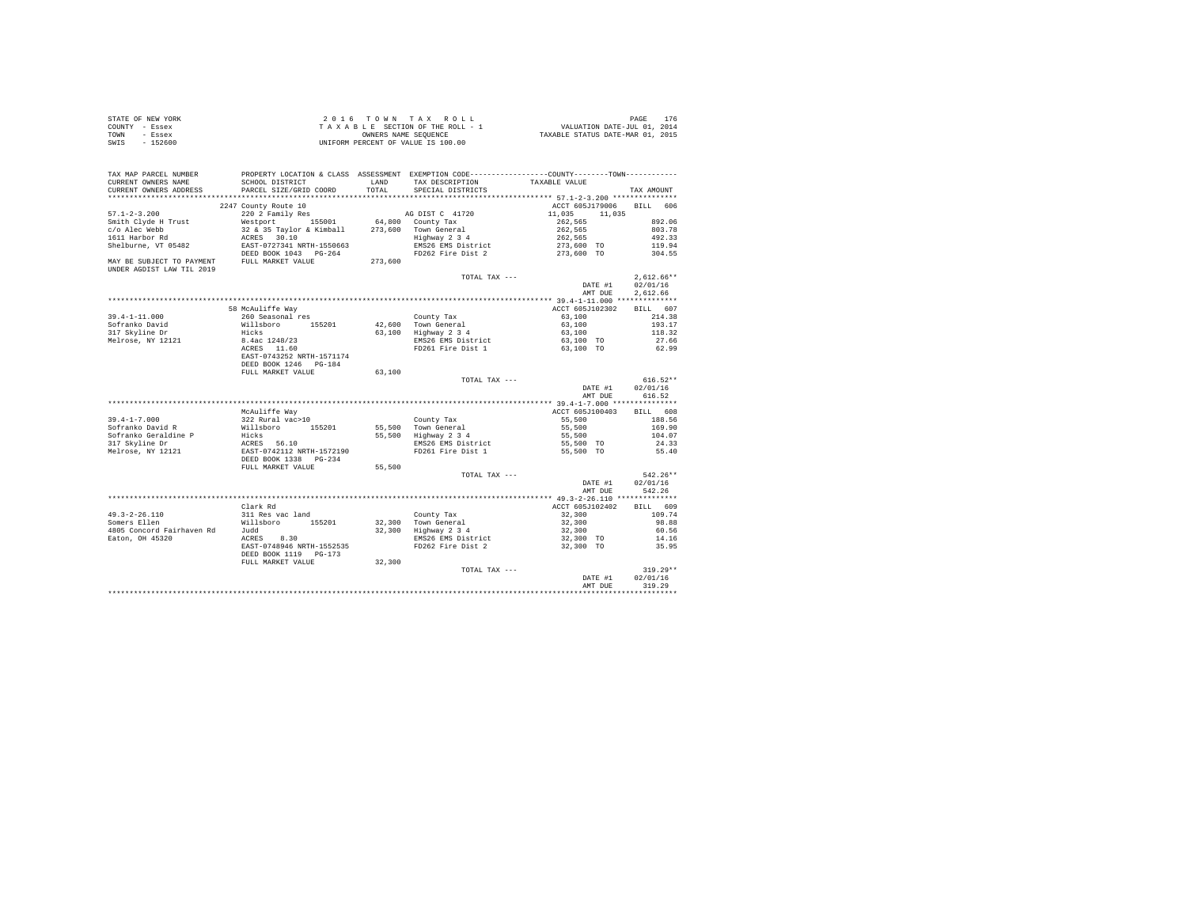| $2.0.16$ TOWN TAX ROLL<br>STATE OF NEW YORK                                      | PAGE | 176 |
|----------------------------------------------------------------------------------|------|-----|
| VALUATION DATE-JUL 01, 2014<br>TAXABLE SECTION OF THE ROLL - 1<br>COUNTY - Essex |      |     |
| TAXABLE STATUS DATE-MAR 01, 2015<br>TOWN<br>OWNERS NAME SEOUENCE<br>- Essex      |      |     |
| SWTS<br>$-152600$<br>UNIFORM PERCENT OF VALUE IS 100.00                          |      |     |

| TAX MAP PARCEL NUMBER                                                                                                                                                                                                                          | PROPERTY LOCATION & CLASS ASSESSMENT EXEMPTION CODE---------------COUNTY-------TOWN----------                                        |         |                                                                                                                                                     |                          |                    |
|------------------------------------------------------------------------------------------------------------------------------------------------------------------------------------------------------------------------------------------------|--------------------------------------------------------------------------------------------------------------------------------------|---------|-----------------------------------------------------------------------------------------------------------------------------------------------------|--------------------------|--------------------|
| CURRENT OWNERS NAME                                                                                                                                                                                                                            | SCHOOL DISTRICT                                                                                                                      | LAND    | TAX DESCRIPTION                                                                                                                                     | TAXABLE VALUE            |                    |
| CURRENT OWNERS ADDRESS                                                                                                                                                                                                                         | PARCEL SIZE/GRID COORD                                                                                                               | TOTAL   | SPECIAL DISTRICTS                                                                                                                                   |                          | TAX AMOUNT         |
|                                                                                                                                                                                                                                                |                                                                                                                                      |         |                                                                                                                                                     |                          |                    |
| $57.1 - 2 - 3.200$                                                                                                                                                                                                                             | 2247 County Route 10<br>220 2 Family Res                                                                                             |         | AG DIST C 41720                                                                                                                                     | ACCT 605J179006 BILL 606 |                    |
|                                                                                                                                                                                                                                                |                                                                                                                                      |         |                                                                                                                                                     | 11,035 11,035            | 892.06             |
|                                                                                                                                                                                                                                                |                                                                                                                                      |         |                                                                                                                                                     | $262,565$<br>262,565     |                    |
|                                                                                                                                                                                                                                                |                                                                                                                                      |         | Highway 2 3 4                                                                                                                                       | 262,565                  | 803.78<br>492.33   |
|                                                                                                                                                                                                                                                |                                                                                                                                      |         | EMS26 EMS District                                                                                                                                  | 273,600 TO               |                    |
| Smith Clyde H Trust<br>C/O Alec Webb Mestport<br>C/O Alec Webb 32 & 35 Taylor & Kimball<br>155001 64,800 County Tax<br>273,600 Town General<br>ACRES 30.10<br>ACRES 30.10<br>Shelburne, VT 05482 EAST-0727341 NRTH-1550663<br>PEED BOOK 1043 P |                                                                                                                                      |         | FD262 Fire Dist 2                                                                                                                                   | 273,600 TO               | 119.94<br>304.55   |
| MAY BE SUBJECT TO PAYMENT FULL MARKET VALUE                                                                                                                                                                                                    |                                                                                                                                      | 273,600 |                                                                                                                                                     |                          |                    |
| UNDER AGDIST LAW TIL 2019                                                                                                                                                                                                                      |                                                                                                                                      |         |                                                                                                                                                     |                          |                    |
|                                                                                                                                                                                                                                                |                                                                                                                                      |         | TOTAL TAX ---                                                                                                                                       |                          | $2.612.66**$       |
|                                                                                                                                                                                                                                                |                                                                                                                                      |         |                                                                                                                                                     | DATE #1                  | 02/01/16           |
|                                                                                                                                                                                                                                                |                                                                                                                                      |         |                                                                                                                                                     | AMT DUE                  | 2.612.66           |
|                                                                                                                                                                                                                                                |                                                                                                                                      |         |                                                                                                                                                     |                          |                    |
|                                                                                                                                                                                                                                                | 58 McAuliffe Way                                                                                                                     |         |                                                                                                                                                     | ACCT 605J102302          | BILL 607           |
| $39.4 - 1 - 11.000$                                                                                                                                                                                                                            | %CAALITER Ray<br>260 Seasonal res<br>Willsboro<br>Hicks<br>8.4ac 1248/23<br>ACRES 11.60<br>EAST-0743252 NRTH-1571174                 |         | County Tax                                                                                                                                          | 63,100                   | 214.38             |
| Sofranko David<br>317 Skyline Dr                                                                                                                                                                                                               |                                                                                                                                      |         | 42,600 Town General<br>42,600 Town General<br>63,100 Highway 2 3 4<br>83,100 Town General<br>83,100 TO 118.32<br>87,100 TO 27.66<br>82,99 TOP 62,99 |                          |                    |
|                                                                                                                                                                                                                                                |                                                                                                                                      |         |                                                                                                                                                     |                          |                    |
| Melrose, NY 12121                                                                                                                                                                                                                              |                                                                                                                                      |         |                                                                                                                                                     |                          |                    |
|                                                                                                                                                                                                                                                |                                                                                                                                      |         |                                                                                                                                                     |                          |                    |
|                                                                                                                                                                                                                                                |                                                                                                                                      |         |                                                                                                                                                     |                          |                    |
|                                                                                                                                                                                                                                                |                                                                                                                                      |         |                                                                                                                                                     |                          |                    |
|                                                                                                                                                                                                                                                | FULL MARKET VALUE                                                                                                                    | 63,100  |                                                                                                                                                     |                          |                    |
|                                                                                                                                                                                                                                                |                                                                                                                                      |         | TOTAL TAX ---                                                                                                                                       |                          | $616.52**$         |
|                                                                                                                                                                                                                                                |                                                                                                                                      |         |                                                                                                                                                     | DATE #1                  | 02/01/16           |
|                                                                                                                                                                                                                                                |                                                                                                                                      |         |                                                                                                                                                     | AMT DUE                  | 616.52             |
|                                                                                                                                                                                                                                                |                                                                                                                                      |         |                                                                                                                                                     |                          |                    |
|                                                                                                                                                                                                                                                | McAuliffe Wav                                                                                                                        |         |                                                                                                                                                     | ACCT 605J100403          | BILL 608           |
| $39.4 - 1 - 7.000$                                                                                                                                                                                                                             |                                                                                                                                      |         | County Tax                                                                                                                                          | 55,500                   | 188.56             |
| Sofranko David R                                                                                                                                                                                                                               |                                                                                                                                      |         | 55,500 Town General<br>55,500 Highway 2 3 4                                                                                                         | 55,500<br>55,500         | 169.90             |
| Sofranko Geraldine P                                                                                                                                                                                                                           |                                                                                                                                      |         |                                                                                                                                                     |                          | 104.07             |
| 317 Skyline Dr                                                                                                                                                                                                                                 |                                                                                                                                      |         | EMS26 EMS District                                                                                                                                  | 55,500 TO                | 24.33              |
| Melrose, NY 12121                                                                                                                                                                                                                              | %22 Rural wa>10<br>322 Rural wa>10<br>Willsboro 155201<br>Hicks<br>ACRES 56.10<br>EAST-0742112 NRTH-1572190<br>DEED BOOK 1338 PG-234 |         | FD261 Fire Dist 1 55,500 TO                                                                                                                         |                          | 55.40              |
|                                                                                                                                                                                                                                                |                                                                                                                                      |         |                                                                                                                                                     |                          |                    |
|                                                                                                                                                                                                                                                | FULL MARKET VALUE                                                                                                                    | 55,500  |                                                                                                                                                     |                          |                    |
|                                                                                                                                                                                                                                                |                                                                                                                                      |         | TOTAL TAX ---                                                                                                                                       |                          | $542.26**$         |
|                                                                                                                                                                                                                                                |                                                                                                                                      |         |                                                                                                                                                     | DATE #1                  | 02/01/16           |
|                                                                                                                                                                                                                                                |                                                                                                                                      |         |                                                                                                                                                     | AMT DUE                  | 542.26             |
|                                                                                                                                                                                                                                                |                                                                                                                                      |         |                                                                                                                                                     |                          |                    |
|                                                                                                                                                                                                                                                | Clark Rd<br>311 Res vac land                                                                                                         |         | County Tax                                                                                                                                          | ACCT 605J102402          | BILL 609           |
| $49.3 - 2 - 26.110$                                                                                                                                                                                                                            |                                                                                                                                      |         |                                                                                                                                                     | 32,300                   | 109.74             |
| Somers Ellen                                                                                                                                                                                                                                   | Willsboro 155201                                                                                                                     |         | 32,300 Town General<br>32,300 Highway 2 3 4<br>EMS26 EMS District                                                                                   | 32,300                   | 98.88              |
| 4805 Concord Fairhaven Rd<br>Eaton, OH 45320<br>Eaton, OH 45320<br>ACRES 8.30<br>Eaton, OH 45320                                                                                                                                               |                                                                                                                                      |         |                                                                                                                                                     | $32,300$<br>$32,300$ TO  | 60.56<br>14.16     |
|                                                                                                                                                                                                                                                |                                                                                                                                      |         | FD262 Fire Dist 2                                                                                                                                   |                          | 35.95              |
|                                                                                                                                                                                                                                                | EAST-0748946 NRTH-1552535                                                                                                            |         |                                                                                                                                                     | 32,300 TO                |                    |
|                                                                                                                                                                                                                                                | FULL MARKET VALUE                                                                                                                    | 32,300  |                                                                                                                                                     |                          |                    |
|                                                                                                                                                                                                                                                |                                                                                                                                      |         | TOTAL TAX ---                                                                                                                                       |                          | $319.29**$         |
|                                                                                                                                                                                                                                                |                                                                                                                                      |         |                                                                                                                                                     | DATE #1                  | 02/01/16           |
|                                                                                                                                                                                                                                                |                                                                                                                                      |         |                                                                                                                                                     | AMT DUE                  | 319.29             |
|                                                                                                                                                                                                                                                |                                                                                                                                      |         |                                                                                                                                                     |                          | ****************** |
|                                                                                                                                                                                                                                                |                                                                                                                                      |         |                                                                                                                                                     |                          |                    |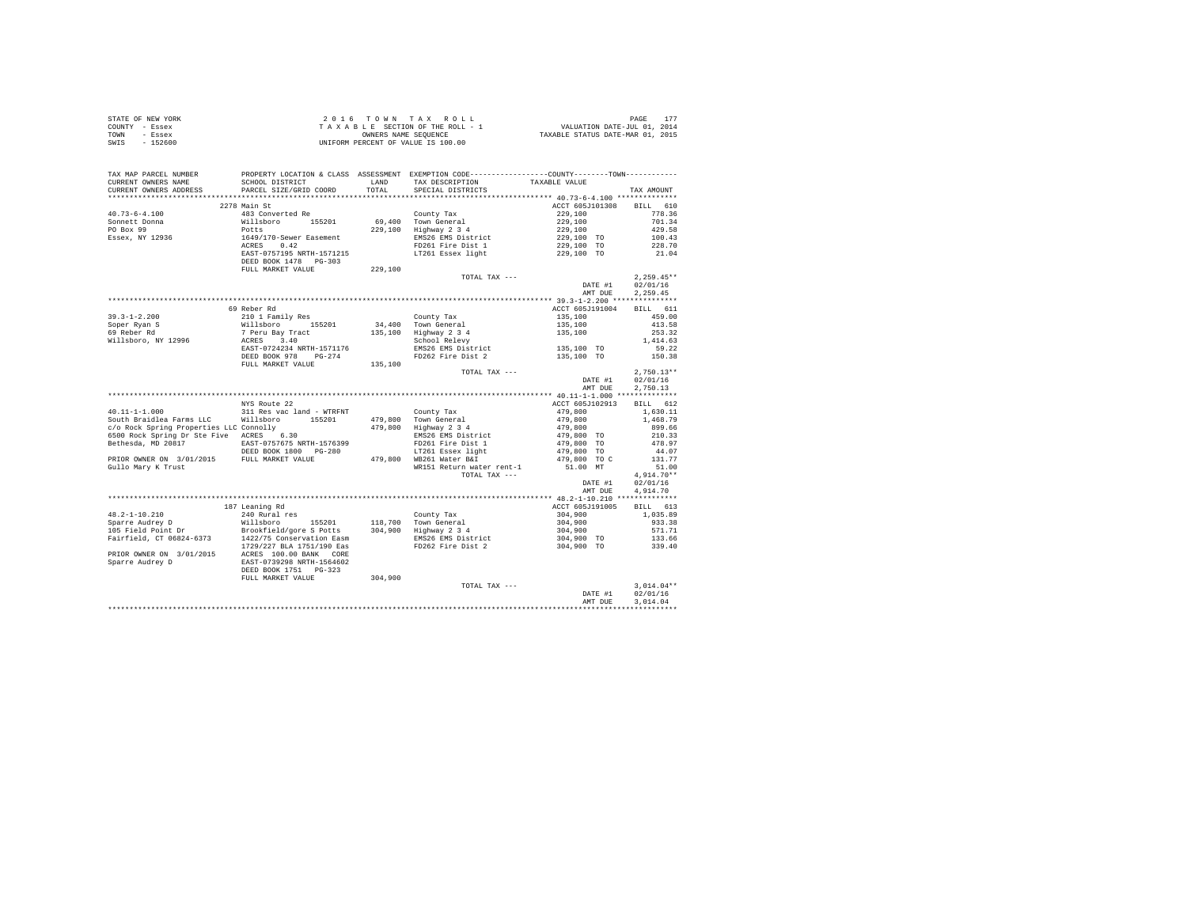| STATE OF NEW YORK | $2.0.16$ TOWN TAX ROLL             | PAGE                             |
|-------------------|------------------------------------|----------------------------------|
| COUNTY - Essex    | TAXABLE SECTION OF THE ROLL - 1    | VALUATION DATE-JUL 01, 2014      |
| TOWN<br>- Essex   | OWNERS NAME SEOUENCE               | TAXABLE STATUS DATE-MAR 01, 2015 |
| - 152600<br>SWIS  | UNIFORM PERCENT OF VALUE IS 100.00 |                                  |

| TAX MAP PARCEL NUMBER<br>CURRENT OWNERS NAME | SCHOOL DISTRICT           | LAND    | PROPERTY LOCATION & CLASS ASSESSMENT EXEMPTION CODE----------------COUNTY--------TOWN----------<br>TAX DESCRIPTION | TAXABLE VALUE              |                      |
|----------------------------------------------|---------------------------|---------|--------------------------------------------------------------------------------------------------------------------|----------------------------|----------------------|
| CURRENT OWNERS ADDRESS                       | PARCEL SIZE/GRID COORD    | TOTAL   | SPECIAL DISTRICTS                                                                                                  |                            | TAX AMOUNT           |
| ********************                         | ************************  |         |                                                                                                                    |                            |                      |
|                                              | 2278 Main St              |         |                                                                                                                    | ACCT 605J101308            | BILL 610             |
| $40.73 - 6 - 4.100$                          | 483 Converted Re          |         | County Tax                                                                                                         | 229,100                    | 778.36               |
| Sonnett Donna                                | Willsboro 155201          |         | 69.400 Town General                                                                                                | 229,100                    | 701.34               |
| PO Box 99                                    | Potts                     | 229,100 | $\begin{array}{c}\text{Linear} \\ \text{Highway} \quad 2 \quad 3 \quad 4 \\ \text{Fucc} \\ \end{array}$            | 229,100                    | 429.58               |
| Essex, NY 12936                              | 1649/170-Sewer Easement   |         | EMS26 EMS District                                                                                                 | 229,100 TO                 | 100.43               |
|                                              | ACRES 0.42                |         | FD261 Fire Dist 1                                                                                                  | 229,100 TO                 | 228.70               |
|                                              | EAST-0757195 NRTH-1571215 |         | LT261 Essex light                                                                                                  | 229,100 TO                 | 21.04                |
|                                              | DEED BOOK 1478   PG-303   |         |                                                                                                                    |                            |                      |
|                                              | FULL MARKET VALUE         | 229,100 |                                                                                                                    |                            |                      |
|                                              |                           |         | TOTAL TAX ---                                                                                                      |                            | $2,259.45**$         |
|                                              |                           |         |                                                                                                                    | DATE #1                    | 02/01/16             |
|                                              |                           |         |                                                                                                                    | AMT DUE                    | 2.259.45             |
|                                              |                           |         |                                                                                                                    |                            |                      |
|                                              | 69 Reber Rd               |         |                                                                                                                    | ACCT 605J191004            | BILL 611             |
| $39.3 - 1 - 2.200$                           | 210 1 Family Res          |         | County Tax                                                                                                         | 135,100                    | 459.00               |
| soper Ryan S<br>69 Reber Rd                  | Willsboro<br>155201       |         | 34,400 Town General                                                                                                | 135,100                    | 413.58               |
|                                              | 7 Peru Bay Tract          | 135,100 | Highway 2 3 4                                                                                                      | 135,100                    | 253.32               |
| Willsboro, NY 12996                          | ACRES 3.40                |         | School Relevy                                                                                                      |                            | 1,414.63             |
|                                              | EAST-0724234 NRTH-1571176 |         | EMS26 EMS District                                                                                                 | 135,100 TO                 | 59.22                |
|                                              | DEED BOOK 978 PG-274      |         | FD262 Fire Dist 2                                                                                                  | 135,100 TO                 | 150.38               |
|                                              | FULL MARKET VALUE         | 135,100 |                                                                                                                    |                            | $2.750.13**$         |
|                                              |                           |         | TOTAL TAX ---                                                                                                      |                            |                      |
|                                              |                           |         |                                                                                                                    | DATE #1                    | 02/01/16<br>2.750.13 |
|                                              |                           |         |                                                                                                                    | AMT DUE                    |                      |
|                                              | NYS Route 22              |         |                                                                                                                    |                            | BILL 612             |
| $40.11 - 1 - 1.000$                          | 311 Res vac land - WTRFNT |         | County Tax                                                                                                         | ACCT 605J102913<br>479,800 | 1,630.11             |
| South Braidlea Farms LLC                     | Willsboro<br>155201       | 479.800 | Town General                                                                                                       | 479,800                    | 1,468.79             |
| c/o Rock Spring Properties LLC Connolly      |                           |         | 479,800 Highway 2 3 4                                                                                              | 479,800                    | 899.66               |
| 6500 Rock Spring Dr Ste Five ACRES 6.30      |                           |         | EMS26 EMS District                                                                                                 | 479,800 TO                 | 210.33               |
| Bethesda, MD 20817                           | EAST-0757675 NRTH-1576399 |         | FD261 Fire Dist 1                                                                                                  | 479,800 TO                 | 478.97               |
|                                              | DEED BOOK 1800 PG-280     |         | LT261 Essex light                                                                                                  | 479,800 TO                 | 44.07                |
| PRIOR OWNER ON 3/01/2015                     | FULL MARKET VALUE         |         | 479,800 WB261 Water B&I                                                                                            | 479,800 TO C               | 131.77               |
| Gullo Mary K Trust                           |                           |         | WR151 Return water rent-1                                                                                          | 51.00 MT                   | 51.00                |
|                                              |                           |         | TOTAL TAX ---                                                                                                      |                            | $4.914.70**$         |
|                                              |                           |         |                                                                                                                    | DATE #1                    | 02/01/16             |
|                                              |                           |         |                                                                                                                    | AMT DUE                    | 4.914.70             |
|                                              |                           |         |                                                                                                                    |                            |                      |
|                                              | 187 Leaning Rd            |         |                                                                                                                    | ACCT 605J191005            | BILL 613             |
| $48.2 - 1 - 10.210$                          | 240 Rural res             |         | County Tax                                                                                                         | 304,900                    | 1,035.89             |
| Sparre Audrey D                              | Willsboro 155201          |         | 118,700 Town General                                                                                               | 304,900                    | 933.38               |
| 105 Field Point Dr                           | Brookfield/gore S Potts   |         | 304,900 Highway 2 3 4                                                                                              | 304,900                    | 571.71               |
| Fairfield, CT 06824-6373                     | 1422/75 Conservation Easm |         | EMS26 EMS District<br>FD262 Fire Dist 2                                                                            | $304,900$ TO               | 133.66               |
|                                              | 1729/227 BLA 1751/190 Eas |         |                                                                                                                    | 304,900 TO                 | 339.40               |
| PRIOR OWNER ON 3/01/2015                     | ACRES 100.00 BANK CORE    |         |                                                                                                                    |                            |                      |
| Sparre Audrey D                              | EAST-0739298 NRTH-1564602 |         |                                                                                                                    |                            |                      |
|                                              | DEED BOOK 1751 PG-323     |         |                                                                                                                    |                            |                      |
|                                              | FULL MARKET VALUE         | 304,900 |                                                                                                                    |                            |                      |
|                                              |                           |         | TOTAL TAX ---                                                                                                      |                            | $3.014.04**$         |
|                                              |                           |         |                                                                                                                    | DATE #1                    | 02/01/16             |
|                                              |                           |         |                                                                                                                    | AMT DUE                    | 3.014.04             |
|                                              |                           |         |                                                                                                                    |                            |                      |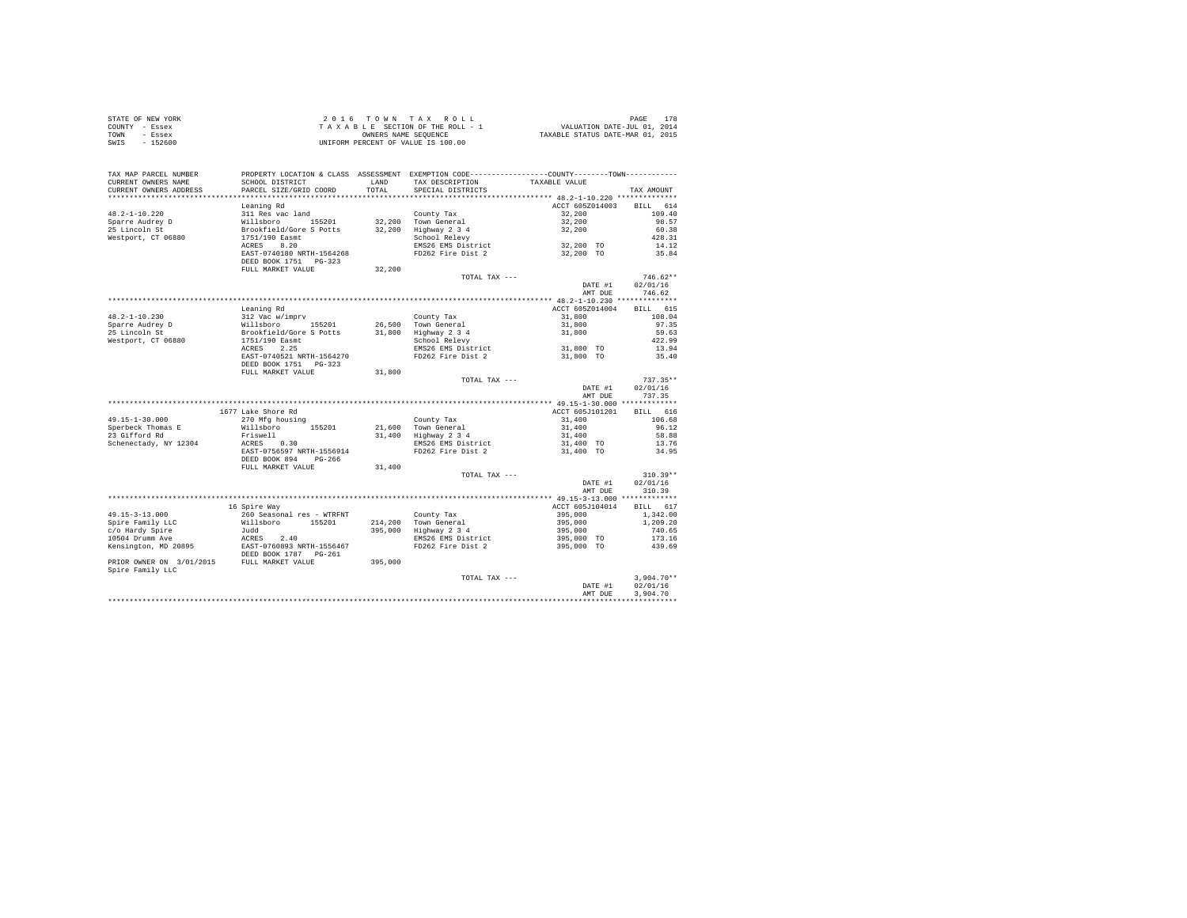| STATE OF NEW YORK | 2016 TOWN TAX ROLL                 | PAGE                             |
|-------------------|------------------------------------|----------------------------------|
| COUNTY - Essex    | TAXABLE SECTION OF THE ROLL - 1    | VALUATION DATE-JUL 01, 2014      |
| TOWN<br>- Essex   | OWNERS NAME SEOUENCE               | TAXABLE STATUS DATE-MAR 01, 2015 |
| $-152600$<br>SWIS | UNIFORM PERCENT OF VALUE IS 100.00 |                                  |

| TAX MAP PARCEL NUMBER<br>CURRENT OWNERS NAME<br>CURRENT OWNERS ADDRESS | PROPERTY LOCATION & CLASS ASSESSMENT EXEMPTION CODE----------------COUNTY-------TOWN----------<br>SCHOOL DISTRICT<br>PARCEL SIZE/GRID COORD | <b>T.AND</b><br>TOTAL | TAX DESCRIPTION<br>SPECIAL DISTRICTS | TAXABLE VALUE                              | TAX AMOUNT      |
|------------------------------------------------------------------------|---------------------------------------------------------------------------------------------------------------------------------------------|-----------------------|--------------------------------------|--------------------------------------------|-----------------|
|                                                                        |                                                                                                                                             |                       |                                      |                                            |                 |
|                                                                        | Leaning Rd                                                                                                                                  |                       |                                      | ACCT 605Z014003                            | BILL 614        |
| $48.2 - 1 - 10.220$                                                    | 311 Res vac land                                                                                                                            |                       | County Tax                           | 32,200                                     | 109.40          |
| Sparre Audrey D                                                        | Willsboro<br>155201                                                                                                                         |                       | 32,200 Town General                  | 32,200                                     | 98.57           |
| 25 Lincoln St                                                          | Brookfield/Gore S Potts                                                                                                                     | 32,200                | Highway 2 3 4                        | 32,200                                     | 60.38           |
| Westport, CT 06880                                                     | 1751/190 Easmt                                                                                                                              |                       | School Relevy                        |                                            | 428.31          |
|                                                                        | ACRES<br>8.20                                                                                                                               |                       | EMS26 EMS District                   | 32,200 TO                                  | 14.12           |
|                                                                        | EAST-0740180 NRTH-1564268<br>DEED BOOK 1751 PG-323                                                                                          |                       | FD262 Fire Dist 2                    | 32,200 TO                                  | 35.84           |
|                                                                        | FULL MARKET VALUE                                                                                                                           | 32,200                |                                      |                                            |                 |
|                                                                        |                                                                                                                                             |                       | TOTAL TAX ---                        |                                            | $746.62**$      |
|                                                                        |                                                                                                                                             |                       |                                      | DATE #1                                    | 02/01/16        |
|                                                                        |                                                                                                                                             |                       |                                      | AMT DUE                                    | 746.62          |
|                                                                        |                                                                                                                                             |                       |                                      | ************* 48.2-1-10.230 ************** |                 |
|                                                                        | Leaning Rd                                                                                                                                  |                       |                                      | ACCT 605Z014004                            | BILL 615        |
| $48.2 - 1 - 10.230$                                                    | 312 Vac w/imprv                                                                                                                             |                       | County Tax                           | 31,800                                     | 108.04          |
| Sparre Audrey D                                                        | Willsboro 155201                                                                                                                            |                       | 26,500 Town General                  | 31,800                                     | 97.35           |
| 25 Lincoln St                                                          | Brookfield/Gore S Potts<br>1751/190 Easmt                                                                                                   | 31,800                | Highway 2 3 4                        | 31,800                                     | 59.63           |
| Westport, CT 06880                                                     | ACRES<br>2.25                                                                                                                               |                       | School Relevy<br>EMS26 EMS District  | 31,800 TO                                  | 422.99<br>13.94 |
|                                                                        | EAST-0740521 NRTH-1564270                                                                                                                   |                       | FD262 Fire Dist 2                    | 31,800 TO                                  | 35.40           |
|                                                                        | DEED BOOK 1751 PG-323                                                                                                                       |                       |                                      |                                            |                 |
|                                                                        | FULL MARKET VALUE                                                                                                                           | 31,800                |                                      |                                            |                 |
|                                                                        |                                                                                                                                             |                       | TOTAL TAX ---                        |                                            | $737.35**$      |
|                                                                        |                                                                                                                                             |                       |                                      | DATE #1                                    | 02/01/16        |
|                                                                        |                                                                                                                                             |                       |                                      | AMT DUE                                    | 737.35          |
|                                                                        |                                                                                                                                             |                       |                                      |                                            |                 |
|                                                                        | 1677 Lake Shore Rd                                                                                                                          |                       |                                      | ACCT 605J101201                            | BILL 616        |
| $49.15 - 1 - 30.000$                                                   | 270 Mfg housing                                                                                                                             |                       | County Tax                           | 31,400                                     | 106.68          |
| Sperbeck Thomas E                                                      | 155201<br>Willsboro                                                                                                                         | 21,600                | Town General                         | 31,400                                     | 96.12           |
| 23 Gifford Rd                                                          | Friswell                                                                                                                                    | 31,400                | Highway 2 3 4                        | 31,400                                     | 58.88           |
| Schenectady, NY 12304                                                  | ACRES 0.30                                                                                                                                  |                       | EMS26 EMS District                   | 31,400 TO                                  | 13.76           |
|                                                                        | EAST-0756597 NRTH-1556914                                                                                                                   |                       | FD262 Fire Dist 2                    | 31,400 TO                                  | 34.95           |
|                                                                        | DEED BOOK 894<br>PG-266<br>FULL MARKET VALUE                                                                                                |                       |                                      |                                            |                 |
|                                                                        |                                                                                                                                             | 31,400                | TOTAL TAX ---                        |                                            | $310.39**$      |
|                                                                        |                                                                                                                                             |                       |                                      | DATE #1                                    | 02/01/16        |
|                                                                        |                                                                                                                                             |                       |                                      | AMT DUE                                    | 310.39          |
|                                                                        |                                                                                                                                             |                       |                                      |                                            |                 |
|                                                                        | 16 Spire Way                                                                                                                                |                       |                                      | ACCT 605J104014                            | BILL 617        |
| $49.15 - 3 - 13.000$                                                   | 260 Seasonal res - WTRFNT                                                                                                                   |                       | County Tax                           | 395,000                                    | 1,342.00        |
| Spire Family LLC                                                       | Willsboro<br>155201                                                                                                                         | 214,200               | Town General                         | 395,000                                    | 1,209.20        |
| c/o Hardy Spire                                                        | Judd                                                                                                                                        | 395,000               | Highway 2 3 4                        | 395,000                                    | 740.65          |
| 10504 Drumm Ave                                                        | ACRES 2.40<br>EAST-0760893 NRTH-1556467                                                                                                     |                       | EMS26 EMS District                   | 395,000 TO                                 | 173.16          |
| Kensington, MD 20895                                                   | DEED BOOK 1787 PG-261                                                                                                                       |                       | FD262 Fire Dist 2                    | 395,000 TO                                 | 439.69          |
| PRIOR OWNER ON 3/01/2015 FULL MARKET VALUE                             |                                                                                                                                             | 395,000               |                                      |                                            |                 |
| Spire Family LLC                                                       |                                                                                                                                             |                       |                                      |                                            |                 |
|                                                                        |                                                                                                                                             |                       | TOTAL TAX ---                        |                                            | $3,904.70**$    |
|                                                                        |                                                                                                                                             |                       |                                      | DATE #1                                    | 02/01/16        |
|                                                                        |                                                                                                                                             |                       |                                      | AMT DUE                                    | 3,904.70        |
|                                                                        |                                                                                                                                             |                       |                                      |                                            |                 |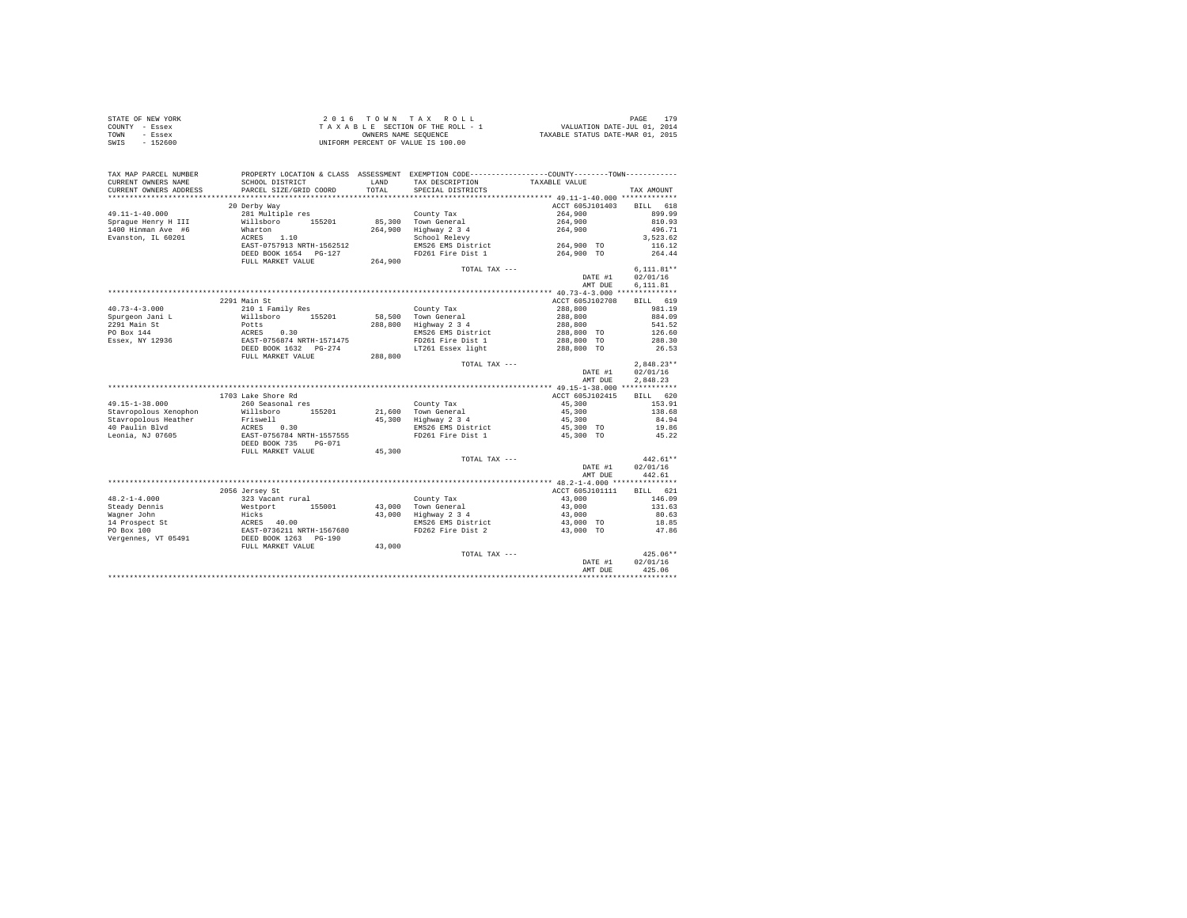| STATE OF NEW YORK | $2.0.16$ TOWN TAX ROLL             | PAGE                             |
|-------------------|------------------------------------|----------------------------------|
| COUNTY - Essex    | TAXABLE SECTION OF THE ROLL - 1    | VALUATION DATE-JUL 01, 2014      |
| TOWN<br>- Essex   | OWNERS NAME SEOUENCE               | TAXABLE STATUS DATE-MAR 01, 2015 |
| SWIS<br>$-152600$ | UNIFORM PERCENT OF VALUE IS 100.00 |                                  |

| TAX MAP PARCEL NUMBER                    |                                                                  |                | PROPERTY LOCATION & CLASS ASSESSMENT EXEMPTION CODE---------------COUNTY-------TOWN--------- |                 |                    |
|------------------------------------------|------------------------------------------------------------------|----------------|----------------------------------------------------------------------------------------------|-----------------|--------------------|
| CURRENT OWNERS NAME                      | SCHOOL DISTRICT                                                  | LAND<br>TOTAL. | TAX DESCRIPTION                                                                              | TAXABLE VALUE   |                    |
| CURRENT OWNERS ADDRESS                   | PARCEL SIZE/GRID COORD                                           |                | SPECIAL DISTRICTS                                                                            |                 | TAX AMOUNT         |
|                                          | 20 Derby Way                                                     |                |                                                                                              | ACCT 605J101403 | BILL 618           |
|                                          |                                                                  |                |                                                                                              | 264,900         | 899.99             |
| 49.11-1-40.000                           | 281 Multiple res                                                 |                | County Tax                                                                                   |                 | 810.93             |
| Spraque Henry H III                      | Willsboro 155201<br>Wharton                                      |                | 85,300 Town General                                                                          | 264,900         |                    |
| 1400 Hinman Ave #6<br>Evanston, IL 60201 | ACRES 1.10                                                       | 264,900        | Highway 2 3 4<br>School Relevy                                                               | 264,900         | 496.71<br>3.523.62 |
|                                          | EAST-0757913 NRTH-1562512                                        |                | EMS26 EMS District                                                                           | 264,900 TO      | 116.12             |
|                                          | DEED BOOK 1654 PG-127                                            |                | FD261 Fire Dist 1                                                                            | 264,900 TO      | 264.44             |
|                                          | FULL MARKET VALUE                                                | 264,900        |                                                                                              |                 |                    |
|                                          |                                                                  |                | TOTAL TAX ---                                                                                |                 | $6.111.81**$       |
|                                          |                                                                  |                |                                                                                              | DATE #1         | 02/01/16           |
|                                          |                                                                  |                |                                                                                              | AMT DUE         | 6,111.81           |
|                                          |                                                                  |                |                                                                                              |                 |                    |
|                                          | 2291 Main St                                                     |                |                                                                                              | ACCT 605J102708 | BILL 619           |
| $40.73 - 4 - 3.000$                      | 210 1 Family Res                                                 |                | County Tax                                                                                   | 288,800         | 981.19             |
| Spurgeon Jani L                          | Willsboro 155201                                                 |                | 58,500 Town General                                                                          | 288,800         | 884.09             |
| 2291 Main St                             | Potts                                                            |                | 288,800 Highway 2 3 4                                                                        | 288,800         | 541.52             |
| PO Box 144                               |                                                                  |                | EMS26 EMS District                                                                           | 288,800 TO      | 126.60             |
| Essex, NY 12936                          | ACRES 0.30<br>EAST-0756874 NRTH-1571475<br>DEED BOOK 1632 PG-274 |                | FD261 Fire Dist 1                                                                            | 288,800 TO      | 288.30             |
|                                          |                                                                  |                | LT261 Essex light                                                                            | 288,800 TO      | 26.53              |
|                                          | FULL MARKET VALUE                                                | 288,800        |                                                                                              |                 |                    |
|                                          |                                                                  |                | TOTAL TAX ---                                                                                |                 | $2.848.23**$       |
|                                          |                                                                  |                |                                                                                              | DATE #1         | 02/01/16           |
|                                          |                                                                  |                |                                                                                              | AMT DUE         | 2.848.23           |
|                                          |                                                                  |                |                                                                                              |                 |                    |
|                                          | 1703 Lake Shore Rd                                               |                |                                                                                              | ACCT 605J102415 | BILL 620           |
| $49.15 - 1 - 38.000$                     | 260 Seasonal res                                                 |                | County Tax                                                                                   | 45,300          | 153.91             |
| Stavropolous Xenophon                    | Willsboro 155201                                                 |                | 21,600 Town General                                                                          | 45,300          | 138.68             |
| Stavropolous Heather                     | Willsboro<br>Friswell                                            |                | 45,300 Highway 2 3 4                                                                         | 45,300          | 84.94              |
| 40 Paulin Blvd                           | ACRES 0.30                                                       |                | EMS26 EMS District                                                                           | 45,300 TO       | 19.86              |
| Leonia, NJ 07605                         | EAST-0756784 NRTH-1557555                                        |                | FD261 Fire Dist 1                                                                            | 45,300 TO       | 45.22              |
|                                          | DEED BOOK 735 PG-071                                             |                |                                                                                              |                 |                    |
|                                          | FULL MARKET VALUE                                                | 45,300         |                                                                                              |                 |                    |
|                                          |                                                                  |                | TOTAL TAX ---                                                                                |                 | $442.61**$         |
|                                          |                                                                  |                |                                                                                              | DATE #1         | 02/01/16           |
|                                          |                                                                  |                |                                                                                              | AMT DUE         | 442.61             |
|                                          |                                                                  |                |                                                                                              |                 |                    |
|                                          | 2056 Jersey St                                                   |                |                                                                                              | ACCT 605J101111 | BILL 621           |
| $48.2 - 1 - 4.000$                       | 323 Vacant rural                                                 |                | County Tax                                                                                   | 43,000          | 146.09             |
| Steady Dennis                            | 155001<br>Westport                                               |                | 43,000 Town General<br>43,000 Highway 2 3 4                                                  | 43,000          | 131.63             |
| Wagner John                              | Hicks<br>ACRES 40.00<br>EAST-0736211 NRTH-1567680                |                |                                                                                              | 43,000          | 80.63              |
| 14 Prospect St                           |                                                                  |                | EMS26 EMS District                                                                           | 43,000 TO       | 18.85              |
| PO Box 100                               |                                                                  |                | FD262 Fire Dist 2                                                                            | 43,000 TO       | 47.86              |
| Vergennes, VT 05491                      | DEED BOOK 1263 PG-190                                            |                |                                                                                              |                 |                    |
|                                          | FULL MARKET VALUE                                                | 43,000         |                                                                                              |                 |                    |
|                                          |                                                                  |                | TOTAL TAX ---                                                                                |                 | $425.06**$         |
|                                          |                                                                  |                |                                                                                              | DATE #1         | 02/01/16           |
|                                          |                                                                  |                |                                                                                              | AMT DUE         | 425.06             |
|                                          |                                                                  |                |                                                                                              |                 |                    |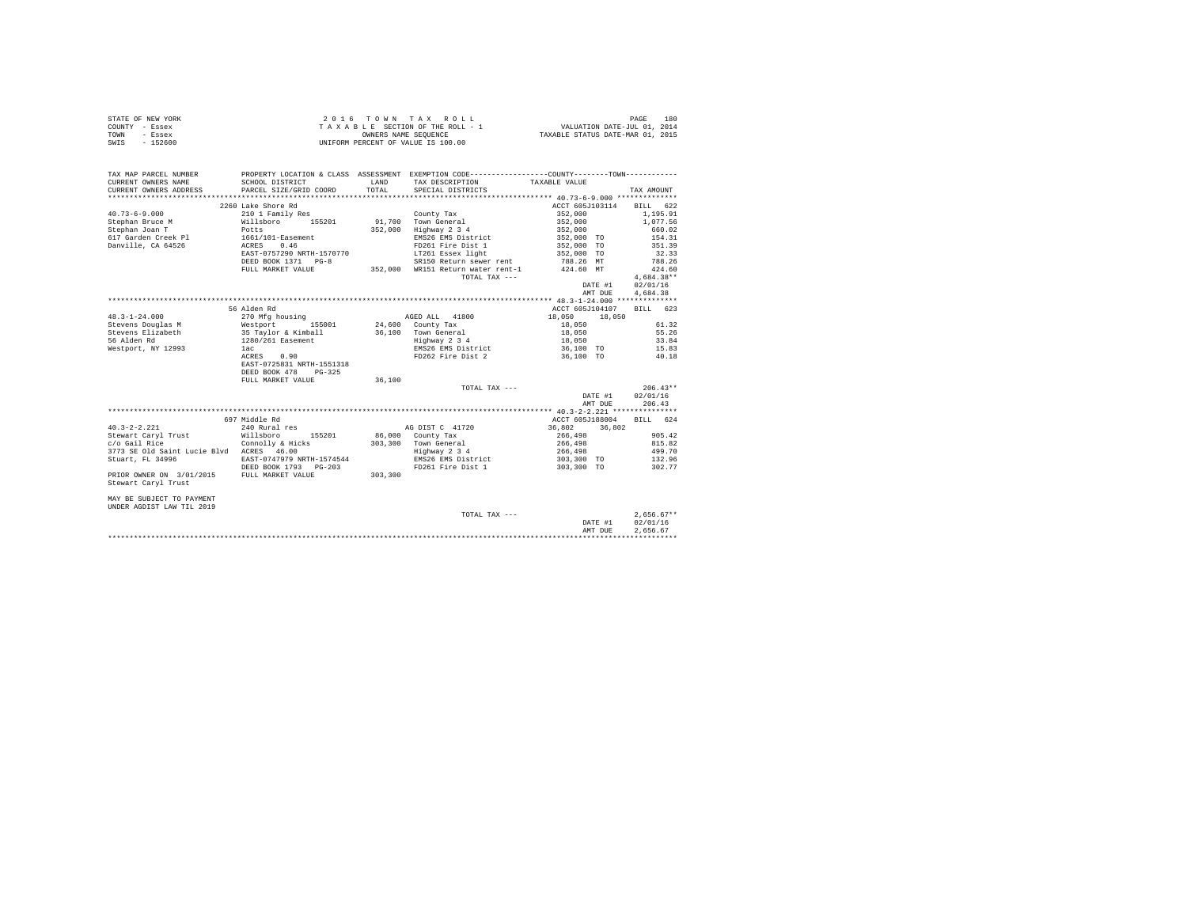|                | STATE OF NEW YORK | 2016 TOWN TAX ROLL                 | 180<br>PAGE                      |
|----------------|-------------------|------------------------------------|----------------------------------|
| COUNTY - Essex |                   | TAXABLE SECTION OF THE ROLL - 1    | VALUATION DATE-JUL 01, 2014      |
| TOWN           | - Essex           | OWNERS NAME SEOUENCE               | TAXABLE STATUS DATE-MAR 01, 2015 |
| SWIS           | $-152600$         | UNIFORM PERCENT OF VALUE IS 100.00 |                                  |

| TAX MAP PARCEL NUMBER<br>CURRENT OWNERS NAME | SCHOOL DISTRICT                                                       |         | PROPERTY LOCATION & CLASS ASSESSMENT EXEMPTION CODE----------------COUNTY-------TOWN----------<br>LAND TAX DESCRIPTION | TAXABLE VALUE            |         |              |            |
|----------------------------------------------|-----------------------------------------------------------------------|---------|------------------------------------------------------------------------------------------------------------------------|--------------------------|---------|--------------|------------|
| CURRENT OWNERS ADDRESS                       | PARCEL SIZE/GRID COORD                                                | TOTAL   | SPECIAL DISTRICTS                                                                                                      |                          |         | TAX AMOUNT   |            |
|                                              |                                                                       |         |                                                                                                                        |                          |         |              |            |
|                                              | 2260 Lake Shore Rd                                                    |         |                                                                                                                        | ACCT 605J103114 BILL 622 |         |              |            |
| $40.73 - 6 - 9.000$                          | 210 1 Family Res                                                      |         | County Tax                                                                                                             | 352,000<br>352,000       |         | 1,195.91     |            |
| Stephan Bruce M                              | Willsboro 155201                                                      |         | 91.700 Town General                                                                                                    |                          |         | 1,077.56     |            |
| Stephan Joan T                               | Potts                                                                 |         | 352.000 Highway 2 3 4                                                                                                  | 352,000                  |         |              | 660.02     |
| 617 Garden Creek Pl                          | 1661/101-Easement                                                     |         | EMS26 EMS District                                                                                                     | 352,000 TO               |         |              | 154.31     |
| Danville, CA 64526                           | ACRES 0.46                                                            |         | FD261 Fire Dist 1                                                                                                      | 352,000 TO               |         | 351.39       |            |
|                                              | EAST-0757290 NRTH-1570770                                             |         | LT261 Essex light                                                                                                      | 352,000 TO               |         |              | 32.33      |
|                                              | DEED BOOK 1371 PG-8                                                   |         | SR150 Return sewer rent                                                                                                | 788.26 MT                |         | 788.26       |            |
|                                              | FULL MARKET VALUE                                                     |         | 352,000 WR151 Return water rent-1 424.60 MT                                                                            |                          |         |              | 424.60     |
|                                              |                                                                       |         | TOTAL TAX ---                                                                                                          |                          |         | $4.684.38**$ |            |
|                                              |                                                                       |         |                                                                                                                        |                          | DATE #1 | 02/01/16     |            |
|                                              |                                                                       |         |                                                                                                                        |                          | AMT DUE | 4,684.38     |            |
|                                              |                                                                       |         |                                                                                                                        |                          |         |              |            |
|                                              | 56 Alden Rd                                                           |         |                                                                                                                        | ACCT 605J104107          |         | BILL 623     |            |
| $48.3 - 1 - 24.000$                          | 270 Mfg housing                                                       |         | AGED ALL 41800                                                                                                         | 18,050 18,050            |         |              |            |
| Stevens Douglas M                            | Westport 155001<br>35 Taylor & Kimball<br>1280/261 Easement<br>155001 |         | 24,600 County Tax                                                                                                      | 18,050                   |         |              | 61.32      |
| Stevens Elizabeth                            |                                                                       |         | 36,100 Town General                                                                                                    | 18,050                   |         |              | 55.26      |
| 56 Alden Rd                                  |                                                                       |         | Highway 2 3 4                                                                                                          | 18,050                   |         |              | 33.84      |
| Westport, NY 12993                           | lac                                                                   |         | EMS26 EMS District<br>FD262 Fire Dist 2                                                                                | 36,100 TO                |         |              | 15.83      |
|                                              | 0.90<br>ACRES                                                         |         |                                                                                                                        | 36,100 TO                |         |              | 40.18      |
|                                              | EAST-0725831 NRTH-1551318                                             |         |                                                                                                                        |                          |         |              |            |
|                                              | DEED BOOK 478 PG-325                                                  |         |                                                                                                                        |                          |         |              |            |
|                                              | FULL MARKET VALUE                                                     | 36,100  |                                                                                                                        |                          |         |              |            |
|                                              |                                                                       |         | TOTAL TAX ---                                                                                                          |                          |         |              | $206.43**$ |
|                                              |                                                                       |         |                                                                                                                        |                          | DATE #1 | 02/01/16     |            |
|                                              |                                                                       |         |                                                                                                                        |                          | AMT DUE |              | 206.43     |
|                                              |                                                                       |         |                                                                                                                        |                          |         |              |            |
|                                              | 697 Middle Rd                                                         |         |                                                                                                                        | ACCT 605J188004          |         | BILL 624     |            |
| $40.3 - 2 - 2.221$                           | 240 Rural res                                                         |         | AG DIST C 41720                                                                                                        | $36,802$ $36,802$        |         |              |            |
| Stewart Caryl Trust Willsboro                | 155201                                                                |         | 86,000 County Tax                                                                                                      | 266.498                  |         | 905.42       |            |
| c/o Gail Rice                                | Connolly & Hicks                                                      |         | 303,300 Town General<br>Highway 2 3 4                                                                                  | 266,498<br>266,498       |         |              | 815.82     |
| 3773 SE Old Saint Lucie Blvd ACRES 46.00     |                                                                       |         |                                                                                                                        |                          |         | 499.70       |            |
| Stuart, FL 34996                             | EAST-0747979 NRTH-1574544                                             |         | EMS26 EMS District                                                                                                     | 303,300 TO 132.96        |         |              |            |
|                                              | DEED BOOK 1793 PG-203                                                 | 303,300 | FD261 Fire Dist 1                                                                                                      | 303,300 TO               |         |              | 302.77     |
| PRIOR OWNER ON 3/01/2015 FULL MARKET VALUE   |                                                                       |         |                                                                                                                        |                          |         |              |            |
| Stewart Carvl Trust                          |                                                                       |         |                                                                                                                        |                          |         |              |            |
| MAY BE SUBJECT TO PAYMENT                    |                                                                       |         |                                                                                                                        |                          |         |              |            |
| UNDER AGDIST LAW TIL 2019                    |                                                                       |         |                                                                                                                        |                          |         |              |            |
|                                              |                                                                       |         | TOTAL TAX ---                                                                                                          |                          |         | $2,656.67**$ |            |
|                                              |                                                                       |         |                                                                                                                        |                          | DATE #1 | 02/01/16     |            |
|                                              |                                                                       |         |                                                                                                                        |                          | AMT DUE | 2.656.67     |            |
|                                              |                                                                       |         |                                                                                                                        |                          |         |              |            |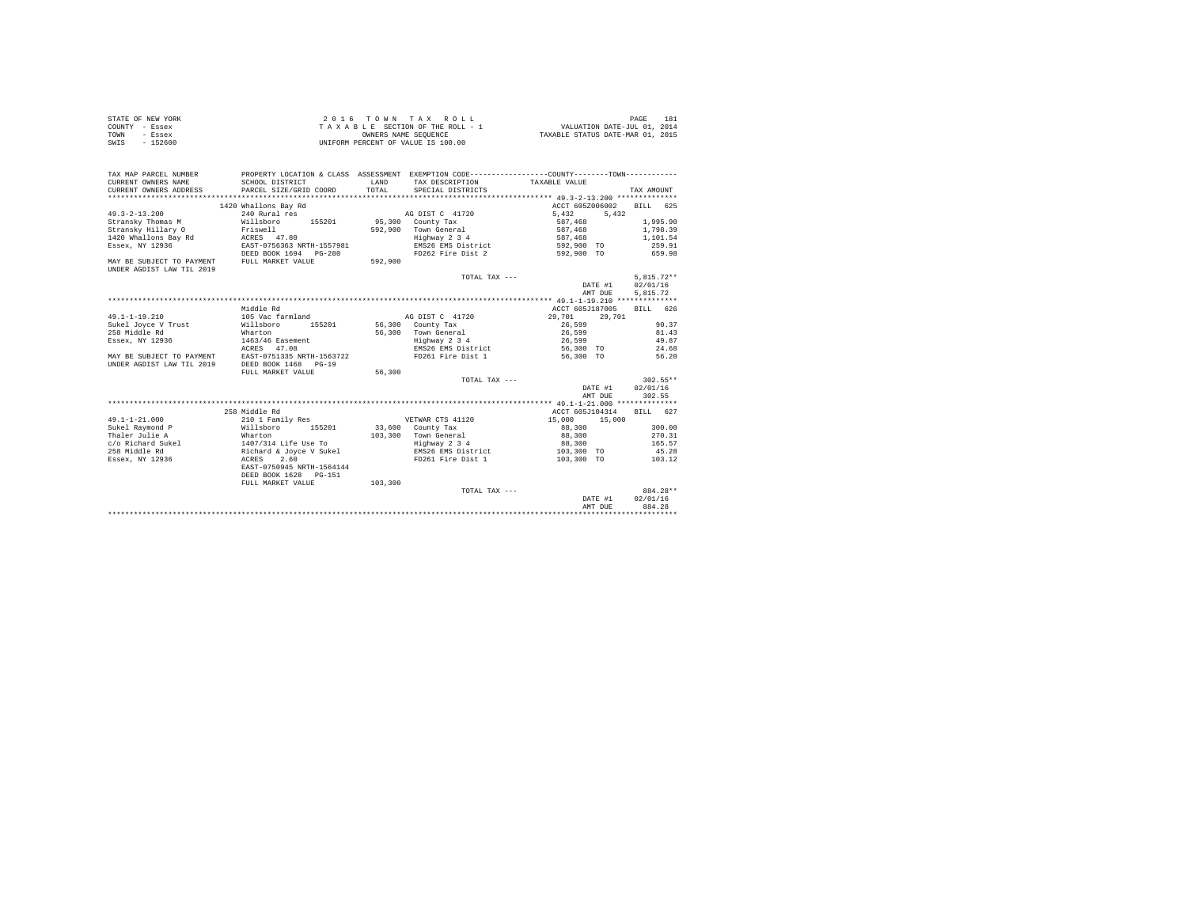| STATE OF NEW YORK | 2016 TOWN TAX ROLL                 | 181<br>PAGE                      |
|-------------------|------------------------------------|----------------------------------|
| COUNTY - Essex    | TAXABLE SECTION OF THE ROLL - 1    | VALUATION DATE-JUL 01, 2014      |
| TOWN<br>- Essex   | OWNERS NAME SEOUENCE               | TAXABLE STATUS DATE-MAR 01, 2015 |
| SWIS<br>$-152600$ | UNIFORM PERCENT OF VALUE IS 100.00 |                                  |

| TAX MAP PARCEL NUMBER<br>CURRENT OWNERS NAME<br>CURRENT OWNERS ADDRESS | SCHOOL DISTRICT<br>PARCEL SIZE/GRID COORD | LAND<br>TOTAL. | PROPERTY LOCATION & CLASS ASSESSMENT EXEMPTION CODE---------------COUNTY-------TOWN----------<br>TAX DESCRIPTION<br>SPECIAL DISTRICTS | TAXABLE VALUE    | TAX AMOUNT         |
|------------------------------------------------------------------------|-------------------------------------------|----------------|---------------------------------------------------------------------------------------------------------------------------------------|------------------|--------------------|
|                                                                        | 1420 Whallons Bay Rd                      |                |                                                                                                                                       | ACCT 605Z006002  | <b>BILL</b><br>625 |
| $49.3 - 2 - 13.200$                                                    | 240 Rural res                             |                | AG DIST C 41720                                                                                                                       | 5.432<br>5.432   |                    |
| Stransky Thomas M                                                      | Willsboro<br>155201                       |                | 95,300 County Tax                                                                                                                     | 587,468          | 1,995.90           |
| Stransky Hillary O                                                     | Friswell                                  | 592,900        | Town General                                                                                                                          | 587,468          | 1,798.39           |
| 1420 Whallons Bay Rd                                                   | ACRES 47.80                               |                | Highway 2 3 4                                                                                                                         | 587,468          | 1,101.54           |
| Essex, NY 12936                                                        | EAST-0756363 NRTH-1557981                 |                | EMS26 EMS District                                                                                                                    | 592,900 TO       | 259.91             |
|                                                                        | DEED BOOK 1694 PG-280                     |                | FD262 Fire Dist 2                                                                                                                     | 592,900 TO       | 659.98             |
| MAY BE SUBJECT TO PAYMENT                                              | FULL MARKET VALUE                         | 592,900        |                                                                                                                                       |                  |                    |
| UNDER AGDIST LAW TIL 2019                                              |                                           |                |                                                                                                                                       |                  |                    |
|                                                                        |                                           |                | TOTAL TAX ---                                                                                                                         |                  | $5.815.72**$       |
|                                                                        |                                           |                |                                                                                                                                       | DATE #1          | 02/01/16           |
|                                                                        |                                           |                |                                                                                                                                       | AMT DUE          | 5.815.72           |
|                                                                        |                                           |                |                                                                                                                                       |                  |                    |
|                                                                        | Middle Rd                                 |                |                                                                                                                                       | ACCT 605J187005  | BILL 626           |
| $49.1 - 1 - 19.210$                                                    | 105 Vac farmland                          |                | AG DIST C 41720                                                                                                                       | 29,701<br>29,701 |                    |
| Sukel Joyce V Trust                                                    | 155201<br>Willsboro                       |                | 56,300 County Tax                                                                                                                     | 26,599           | 90.37              |
| 258 Middle Rd                                                          | Wharton                                   | 56,300         | Town General                                                                                                                          | 26,599           | 81.43              |
| Essex, NY 12936                                                        | 1463/46 Easement                          |                | Highway 2 3 4                                                                                                                         | 26,599           | 49.87              |
|                                                                        | ACRES 47.08                               |                | EMS26 EMS District                                                                                                                    | 56,300 TO        | 24.68              |
| MAY BE SUBJECT TO PAYMENT                                              | EAST-0751335 NRTH-1563722                 |                | FD261 Fire Dist 1                                                                                                                     | 56,300 TO        | 56.20              |
| UNDER AGDIST LAW TIL 2019                                              | DEED BOOK 1468 PG-19                      |                |                                                                                                                                       |                  |                    |
|                                                                        | FULL MARKET VALUE                         | 56,300         |                                                                                                                                       |                  |                    |
|                                                                        |                                           |                | TOTAL TAX ---                                                                                                                         |                  | $302.55**$         |
|                                                                        |                                           |                |                                                                                                                                       | DATE #1          | 02/01/16           |
|                                                                        |                                           |                |                                                                                                                                       | AMT DUE          | 302.55             |
|                                                                        |                                           |                |                                                                                                                                       |                  |                    |
|                                                                        | 258 Middle Rd                             |                |                                                                                                                                       | ACCT 605J104314  | BILL 627           |
| $49.1 - 1 - 21.000$                                                    | 210 1 Family Res                          |                | VETWAR CTS 41120                                                                                                                      | 15,000<br>15,000 |                    |
| Sukel Raymond P                                                        | Willsboro<br>155201                       |                | 33,600 County Tax                                                                                                                     | 88,300           | 300.00             |
| Thaler Julie A                                                         | Wharton                                   | 103,300        | Town General                                                                                                                          | 88,300           | 270.31             |
| c/o Richard Sukel                                                      | 1407/314 Life Use To                      |                | Highway 2 3 4                                                                                                                         | 88,300           | 165.57             |
| 258 Middle Rd                                                          | Richard & Joyce V Sukel                   |                | EMS26 EMS District                                                                                                                    | 103,300 TO       | 45.28              |
| Essex, NY 12936                                                        | 2.60<br>ACRES                             |                | FD261 Fire Dist 1                                                                                                                     | 103,300 TO       | 103.12             |
|                                                                        | EAST-0750945 NRTH-1564144                 |                |                                                                                                                                       |                  |                    |
|                                                                        | DEED BOOK 1628 PG-151                     |                |                                                                                                                                       |                  |                    |
|                                                                        | FULL MARKET VALUE                         | 103,300        |                                                                                                                                       |                  |                    |
|                                                                        |                                           |                | TOTAL TAX ---                                                                                                                         |                  | 884.28**           |
|                                                                        |                                           |                |                                                                                                                                       | DATE #1          | 02/01/16           |
|                                                                        |                                           |                |                                                                                                                                       | AMT DUE          | 884.28             |
|                                                                        |                                           |                |                                                                                                                                       |                  |                    |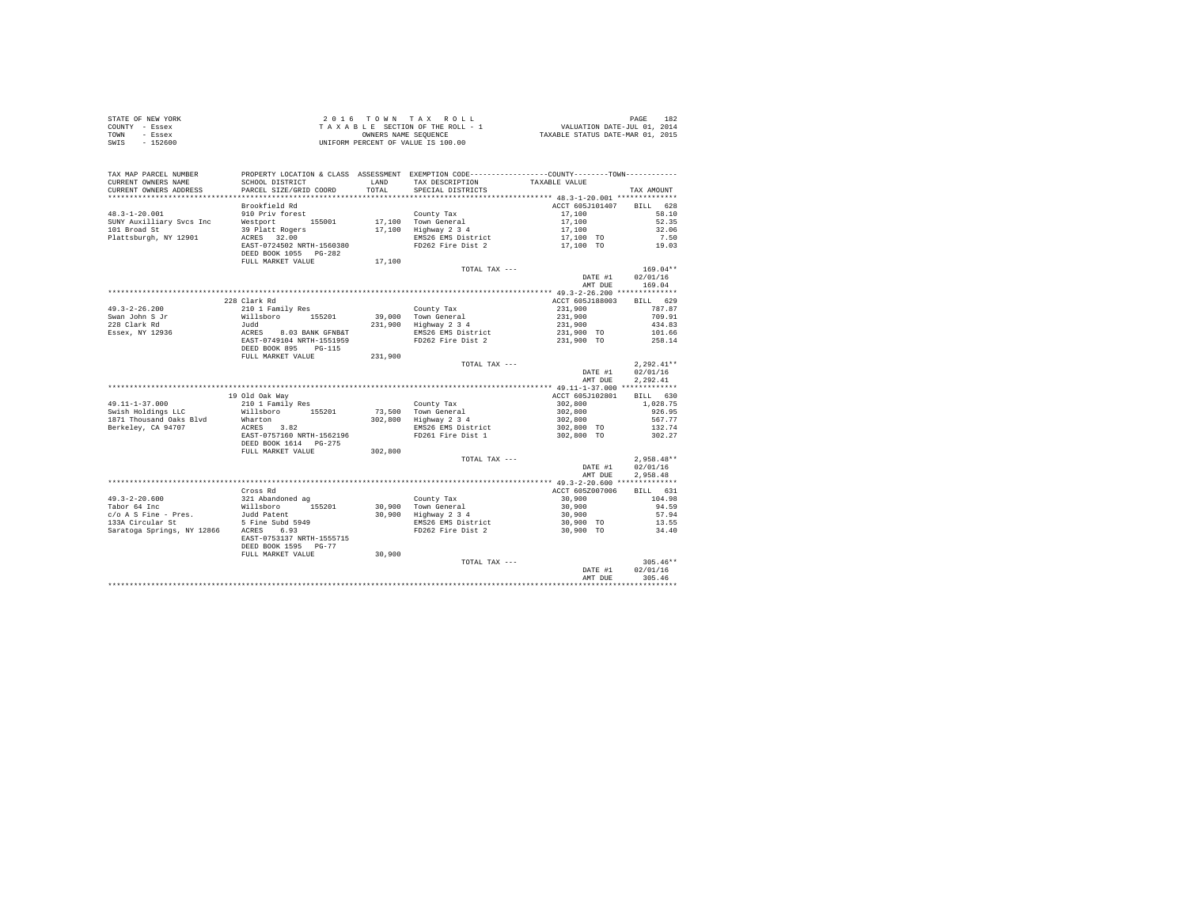| STATE OF NEW YORK | 2016 TOWN TAX ROLL                 | 182<br>PAGE                      |
|-------------------|------------------------------------|----------------------------------|
| COUNTY - Essex    | TAXABLE SECTION OF THE ROLL - 1    | VALUATION DATE-JUL 01, 2014      |
| TOWN<br>- Essex   | OWNERS NAME SEOUENCE               | TAXABLE STATUS DATE-MAR 01, 2015 |
| $-152600$<br>SWIS | UNIFORM PERCENT OF VALUE IS 100.00 |                                  |

| TAX MAP PARCEL NUMBER<br>CURRENT OWNERS NAME<br>CURRENT OWNERS ADDRESS | PROPERTY LOCATION & CLASS ASSESSMENT EXEMPTION CODE----------------COUNTY-------TOWN----------<br>SCHOOL DISTRICT<br>PARCEL SIZE/GRID COORD | LAND<br>TOTAL. | TAX DESCRIPTION<br>SPECIAL DISTRICTS         | TAXABLE VALUE   | TAX AMOUNT   |
|------------------------------------------------------------------------|---------------------------------------------------------------------------------------------------------------------------------------------|----------------|----------------------------------------------|-----------------|--------------|
| ************************                                               |                                                                                                                                             |                |                                              |                 |              |
|                                                                        | Brookfield Rd                                                                                                                               |                |                                              | ACCT 605J101407 | BILL 628     |
| $48.3 - 1 - 20.001$                                                    | 910 Priv forest                                                                                                                             |                | County Tax                                   | 17,100          | 58.10        |
| SUNY Auxilliary Svcs Inc                                               | Westport 155001                                                                                                                             |                | 17,100 Town General                          | 17,100          | 52.35        |
| 101 Broad St                                                           |                                                                                                                                             |                | 17,100 Highway 2 3 4                         | 17,100          | 32.06        |
| Plattsburgh, NY 12901                                                  | 39 Platt Rogers<br>ACRES 32.00                                                                                                              |                | EMS26 EMS District                           | 17,100 TO       | 7.50         |
|                                                                        | EAST-0724502 NRTH-1560380                                                                                                                   |                | FD262 Fire Dist 2                            | 17,100 TO       | 19.03        |
|                                                                        | DEED BOOK 1055 PG-282                                                                                                                       |                |                                              |                 |              |
|                                                                        | FULL MARKET VALUE                                                                                                                           | 17,100         |                                              |                 |              |
|                                                                        |                                                                                                                                             |                | TOTAL TAX ---                                |                 | $169.04**$   |
|                                                                        |                                                                                                                                             |                |                                              | DATE #1         | 02/01/16     |
|                                                                        |                                                                                                                                             |                |                                              | AMT DUE         | 169.04       |
|                                                                        |                                                                                                                                             |                |                                              |                 |              |
|                                                                        |                                                                                                                                             |                |                                              |                 |              |
|                                                                        | 228 Clark Rd                                                                                                                                |                |                                              | ACCT 605J188003 | BILL 629     |
| $49.3 - 2 - 26.200$                                                    | 210 1 Family Res                                                                                                                            |                | County Tax                                   | 231,900         | 787.87       |
| Swan John S Jr                                                         | Willsboro<br>155201                                                                                                                         |                | 39,000 Town General                          | 231,900         | 709.91       |
| 228 Clark Rd                                                           | Judd                                                                                                                                        |                | 231,900 Highway 2 3 4                        | 231,900         | 434.83       |
| Essex, NY 12936                                                        | ACRES 8.03 BANK GFNB&T<br>EAST-0749104 NRTH-1551959                                                                                         |                | EMS26 EMS District                           | 231,900 TO      | 101.66       |
|                                                                        |                                                                                                                                             |                | FD262 Fire Dist 2                            | 231,900 TO      | 258.14       |
|                                                                        | DEED BOOK 895 PG-115                                                                                                                        |                |                                              |                 |              |
|                                                                        | FULL MARKET VALUE                                                                                                                           | 231,900        |                                              |                 |              |
|                                                                        |                                                                                                                                             |                | TOTAL TAX ---                                |                 | $2.292.41**$ |
|                                                                        |                                                                                                                                             |                |                                              | DATE #1         | 02/01/16     |
|                                                                        |                                                                                                                                             |                |                                              | AMT DUE         | 2,292.41     |
|                                                                        |                                                                                                                                             |                |                                              |                 |              |
|                                                                        | 19 Old Oak Way                                                                                                                              |                |                                              | ACCT 605J102801 | BILL 630     |
| 49.11-1-37.000                                                         | 210 1 Family Res                                                                                                                            |                | County Tax                                   | 302,800         | 1,028.75     |
| Swish Holdings LLC                                                     | Willsboro 155201                                                                                                                            |                | 73,500 Town General<br>302,800 Highway 2 3 4 | 302,800         | 926.95       |
| 1871 Thousand Oaks Blvd                                                | Wharton                                                                                                                                     |                |                                              | 302,800         | 567.77       |
| Berkeley, CA 94707                                                     | ACRES 3.82                                                                                                                                  |                | EMS26 EMS District                           | 302,800 TO      | 132.74       |
|                                                                        | EAST-0757160 NRTH-1562196                                                                                                                   |                | FD261 Fire Dist 1                            | 302,800 TO      | 302.27       |
|                                                                        | DEED BOOK 1614 PG-275                                                                                                                       |                |                                              |                 |              |
|                                                                        | FULL MARKET VALUE                                                                                                                           | 302,800        |                                              |                 |              |
|                                                                        |                                                                                                                                             |                | TOTAL TAX ---                                |                 | $2,958.48**$ |
|                                                                        |                                                                                                                                             |                |                                              | DATE #1         | 02/01/16     |
|                                                                        |                                                                                                                                             |                |                                              | AMT DUE         | 2.958.48     |
|                                                                        |                                                                                                                                             |                |                                              |                 |              |
|                                                                        | Cross Rd                                                                                                                                    |                |                                              | ACCT 605Z007006 | BILL 631     |
| $49.3 - 2 - 20.600$                                                    | 321 Abandoned ag                                                                                                                            |                | County Tax                                   | 30,900          | 104.98       |
| Tabor 64 Inc                                                           | 155201                                                                                                                                      |                |                                              | 30,900          | 94.59        |
| c/o A S Fine - Pres.                                                   | Willsboro<br>Judd Patent                                                                                                                    |                | 30,900 Town General<br>30,900 Highway 2 3 4  | 30,900          | 57.94        |
| 133A Circular St                                                       |                                                                                                                                             |                | EMS26 EMS District                           | 30,900 TO       | 13.55        |
| Saratoga Springs, NY 12866 ACRES                                       | $5$ Fine Subd 5949                                                                                                                          |                | FD262 Fire Dist 2                            | 30,900 TO       | 34.40        |
|                                                                        | EAST-0753137 NRTH-1555715                                                                                                                   |                |                                              |                 |              |
|                                                                        |                                                                                                                                             |                |                                              |                 |              |
|                                                                        | DEED BOOK 1595 PG-77<br>FULL MARKET VALUE                                                                                                   | 30,900         |                                              |                 |              |
|                                                                        |                                                                                                                                             |                | TOTAL TAX ---                                |                 | $305.46**$   |
|                                                                        |                                                                                                                                             |                |                                              | DATE #1         | 02/01/16     |
|                                                                        |                                                                                                                                             |                |                                              | AMT DUE         | 305.46       |
|                                                                        |                                                                                                                                             |                |                                              |                 |              |
|                                                                        |                                                                                                                                             |                |                                              |                 |              |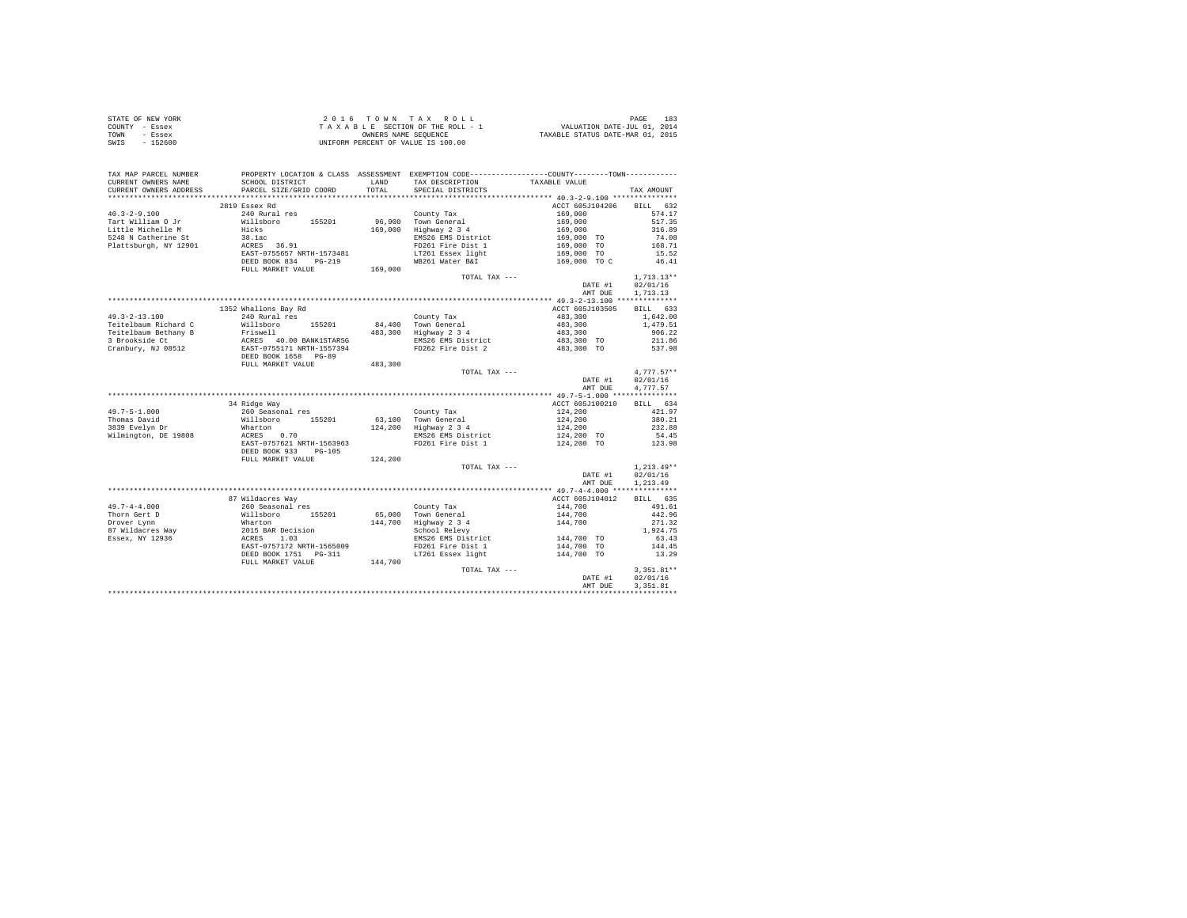| STATE OF NEW YORK | $2.0.16$ TOWN TAX ROLL             | 183<br>PAGE                      |
|-------------------|------------------------------------|----------------------------------|
| COUNTY - Essex    | TAXABLE SECTION OF THE ROLL - 1    | VALUATION DATE-JUL 01, 2014      |
| TOWN<br>- Essex   | OWNERS NAME SEOUENCE               | TAXABLE STATUS DATE-MAR 01, 2015 |
| SWIS<br>$-152600$ | UNIFORM PERCENT OF VALUE IS 100.00 |                                  |

| TAX MAP PARCEL NUMBER<br>CURRENT OWNERS NAME | SCHOOL DISTRICT                                                                                                                                                         |         | PROPERTY LOCATION & CLASS ASSESSMENT EXEMPTION CODE---------------COUNTY-------TOWN---------<br>LAND TAX DESCRIPTION | TAXABLE VALUE                                                                                    |                          |
|----------------------------------------------|-------------------------------------------------------------------------------------------------------------------------------------------------------------------------|---------|----------------------------------------------------------------------------------------------------------------------|--------------------------------------------------------------------------------------------------|--------------------------|
| CURRENT OWNERS ADDRESS                       | PARCEL SIZE/GRID COORD                                                                                                                                                  |         | TOTAL SPECIAL DISTRICTS                                                                                              |                                                                                                  | TAX AMOUNT               |
|                                              |                                                                                                                                                                         |         |                                                                                                                      |                                                                                                  |                          |
|                                              | 2819 Essex Rd                                                                                                                                                           |         |                                                                                                                      | ACCT 605J104206                                                                                  | BILL 632                 |
| $40.3 - 2 - 9.100$                           | 240 Rural res                                                                                                                                                           |         | County Tax                                                                                                           | $169,000$<br>$169,000$<br>$169,000$<br>$169,000$<br>$169,000$ TO<br>$169,000$ TO<br>$169,000$ TO | 574.17                   |
| Tart William O Jr                            |                                                                                                                                                                         |         |                                                                                                                      |                                                                                                  | 517.35                   |
| Little Michelle M                            |                                                                                                                                                                         |         |                                                                                                                      |                                                                                                  | 316.89                   |
| 5248 N Catherine St                          | 210 Nullaboro 155201 96,900 Town General<br>Hicks 169,000 Highway 2 3 4<br>38.1ac BMS26 EMS District<br>RCRES 36.91 EMS26 EMS District<br>RCRES 36.91 F1261 Fire Dist 1 |         | EMS26 EMS District                                                                                                   |                                                                                                  |                          |
| Plattsburgh, NY 12901                        |                                                                                                                                                                         |         | FD261 Fire Dist 1                                                                                                    |                                                                                                  | 74.08<br>168.71<br>15.52 |
|                                              | EAST-0755657 NRTH-1573481                                                                                                                                               |         | LT261 Essex light                                                                                                    |                                                                                                  |                          |
|                                              | DEED BOOK 834 PG-219                                                                                                                                                    |         | WB261 Water B&I                                                                                                      | 169,000 TO C                                                                                     | 46.41                    |
|                                              | FULL MARKET VALUE                                                                                                                                                       | 169,000 |                                                                                                                      |                                                                                                  |                          |
|                                              |                                                                                                                                                                         |         | TOTAL TAX ---                                                                                                        |                                                                                                  | $1,713.13**$             |
|                                              |                                                                                                                                                                         |         |                                                                                                                      | DATE #1                                                                                          | 02/01/16                 |
|                                              |                                                                                                                                                                         |         |                                                                                                                      |                                                                                                  |                          |
|                                              |                                                                                                                                                                         |         |                                                                                                                      | AMT DUE                                                                                          | 1,713.13                 |
|                                              |                                                                                                                                                                         |         |                                                                                                                      |                                                                                                  |                          |
|                                              | 1352 Whallons Bay Rd                                                                                                                                                    |         |                                                                                                                      | ACCT 605J103505                                                                                  | BILL 633                 |
| $49.3 - 2 - 13.100$                          | 240 Rural res                                                                                                                                                           |         | County Tax                                                                                                           | 483,300                                                                                          | 1,642.00                 |
| Teitelbaum Richard C                         | 48. 1118boro 155201 84,<br>Priswell 160.00 BANK1STARSG<br>ERST-0755171 NETH-1557394<br>ERST-0755171 NETH-1557394<br>DEED BOOK 1658 PG-89                                |         | 84,400 Town General<br>483,300 Highway 2 3 4                                                                         | 483,300<br>483,300                                                                               | 1,479.51                 |
| Teitelbaum Bethany B                         |                                                                                                                                                                         |         |                                                                                                                      |                                                                                                  | 906.22                   |
| 3 Brookside Ct                               |                                                                                                                                                                         |         | EMS26 EMS District 483,300 TO<br>FD262 Fire Dist 2 483,300 TO                                                        |                                                                                                  | 211.86                   |
| Cranbury, NJ 08512                           |                                                                                                                                                                         |         |                                                                                                                      |                                                                                                  | 537.98                   |
|                                              |                                                                                                                                                                         |         |                                                                                                                      |                                                                                                  |                          |
|                                              | FULL MARKET VALUE                                                                                                                                                       | 483,300 |                                                                                                                      |                                                                                                  |                          |
|                                              |                                                                                                                                                                         |         | TOTAL TAX ---                                                                                                        |                                                                                                  | $4.777.57**$             |
|                                              |                                                                                                                                                                         |         |                                                                                                                      | DATE #1                                                                                          | 02/01/16                 |
|                                              |                                                                                                                                                                         |         |                                                                                                                      | AMT DUE                                                                                          | 4,777.57                 |
|                                              |                                                                                                                                                                         |         |                                                                                                                      |                                                                                                  |                          |
|                                              | 34 Ridge Way                                                                                                                                                            |         |                                                                                                                      | ACCT 605J100210                                                                                  | BILL 634                 |
| $49.7 - 5 - 1.000$                           | x xxy<br>260 Seasonal res<br>Willsboro 155201<br>Wharton 2007<br>2007 - 2007<br>2008 - 2008                                                                             |         | County Tax                                                                                                           | $124,200$<br>$124,200$<br>$124,200$<br>$124,200$ TO                                              | 421.97                   |
| Thomas David                                 |                                                                                                                                                                         |         | 63,100 Town General<br>124,200 Highway 2 3 4                                                                         |                                                                                                  | 380.21                   |
| 3839 Evelyn Dr                               |                                                                                                                                                                         |         |                                                                                                                      |                                                                                                  | 232.88                   |
| Wilmington, DE 19808                         |                                                                                                                                                                         |         | EMS26 EMS District                                                                                                   |                                                                                                  | 54.45                    |
|                                              | EAST-0757621 NRTH-1563963                                                                                                                                               |         | FD261 Fire Dist 1                                                                                                    | 124,200 TO                                                                                       | 123.98                   |
|                                              | DEED BOOK 933 PG-105                                                                                                                                                    |         |                                                                                                                      |                                                                                                  |                          |
|                                              | FULL MARKET VALUE                                                                                                                                                       | 124,200 |                                                                                                                      |                                                                                                  |                          |
|                                              |                                                                                                                                                                         |         | TOTAL TAX ---                                                                                                        |                                                                                                  | $1,213.49**$             |
|                                              |                                                                                                                                                                         |         |                                                                                                                      | DATE #1                                                                                          | 02/01/16                 |
|                                              |                                                                                                                                                                         |         |                                                                                                                      | AMT DUE                                                                                          | 1,213.49                 |
|                                              |                                                                                                                                                                         |         |                                                                                                                      |                                                                                                  |                          |
|                                              | 87 Wildacres Way                                                                                                                                                        |         |                                                                                                                      | ACCT 605J104012                                                                                  | BILL 635                 |
|                                              |                                                                                                                                                                         |         |                                                                                                                      | $144,700$ $144,700$ $144,700$                                                                    | 491.61                   |
|                                              |                                                                                                                                                                         |         | County Tax<br>65,000 Town General                                                                                    |                                                                                                  | 442.96                   |
|                                              |                                                                                                                                                                         |         |                                                                                                                      |                                                                                                  | 271.32                   |
|                                              |                                                                                                                                                                         |         | 144,700 Highway 2 3 4<br>School Relevy                                                                               |                                                                                                  | 1,924.75                 |
|                                              |                                                                                                                                                                         |         | EMS26 EMS District 144,700 TO                                                                                        |                                                                                                  | 63.43                    |
|                                              |                                                                                                                                                                         |         | FD261 Fire Dist 1                                                                                                    | 144,700 TO                                                                                       | 144.45                   |
|                                              | DEED BOOK 1751 PG-311                                                                                                                                                   |         | LT261 Essex light 144,700 TO                                                                                         |                                                                                                  | 13.29                    |
|                                              |                                                                                                                                                                         | 144,700 |                                                                                                                      |                                                                                                  |                          |
|                                              | FULL MARKET VALUE                                                                                                                                                       |         | TOTAL TAX ---                                                                                                        |                                                                                                  | 3,351.81**               |
|                                              |                                                                                                                                                                         |         |                                                                                                                      |                                                                                                  |                          |
|                                              |                                                                                                                                                                         |         |                                                                                                                      | DATE #1                                                                                          | 02/01/16                 |
|                                              |                                                                                                                                                                         |         |                                                                                                                      | AMT DUE                                                                                          | 3,351.81                 |
|                                              |                                                                                                                                                                         |         |                                                                                                                      |                                                                                                  |                          |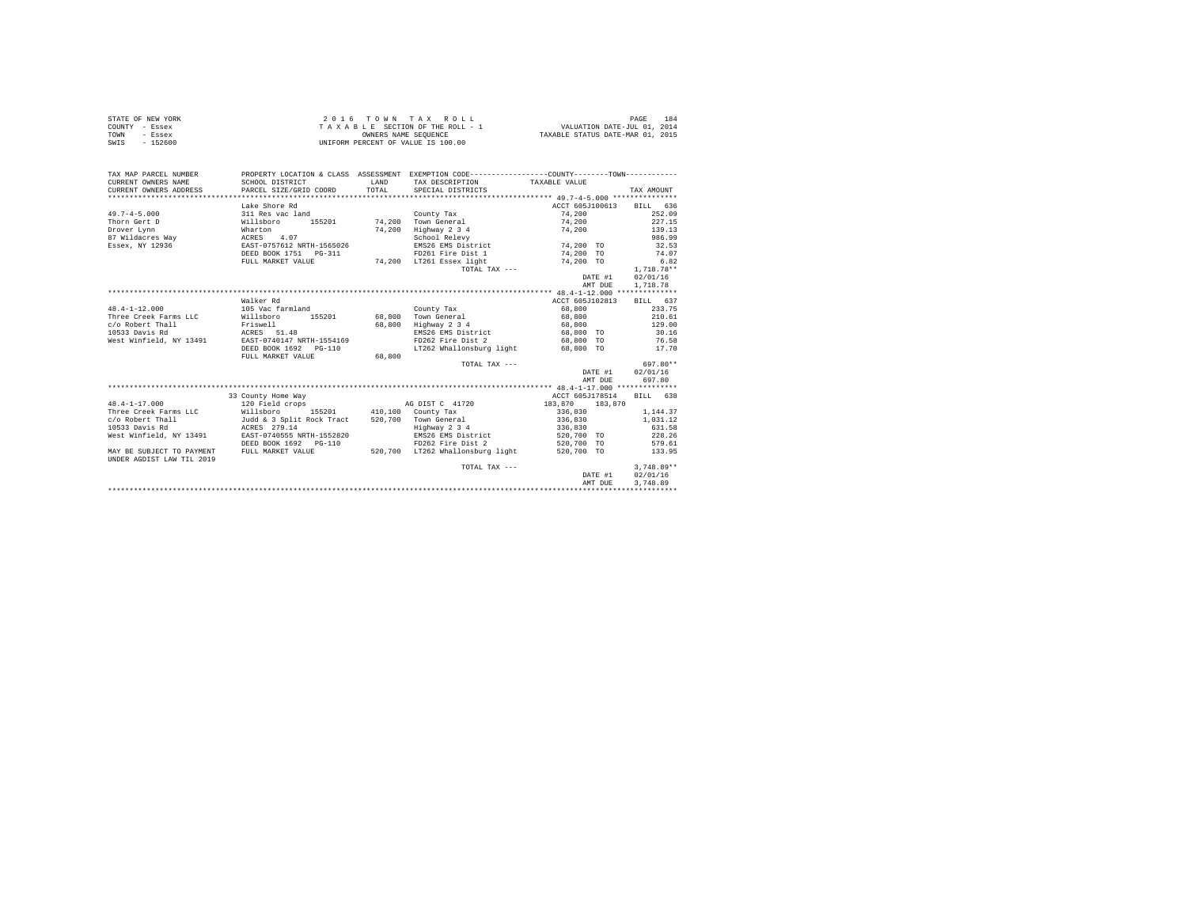| STATE OF NEW YORK | 2016 TOWN TAX ROLL                 | PAGE<br>184                      |
|-------------------|------------------------------------|----------------------------------|
| COUNTY - Essex    | TAXABLE SECTION OF THE ROLL - 1    | VALUATION DATE-JUL 01, 2014      |
| TOWN<br>- Essex   | OWNERS NAME SEOUENCE               | TAXABLE STATUS DATE-MAR 01, 2015 |
| - 152600<br>SWIS  | UNIFORM PERCENT OF VALUE IS 100.00 |                                  |

| TAX MAP PARCEL NUMBER<br>CURRENT OWNERS NAME<br>CURRENT OWNERS ADDRESS | SCHOOL DISTRICT<br>PARCEL SIZE/GRID COORD | LAND<br>TOTAL | PROPERTY LOCATION & CLASS ASSESSMENT EXEMPTION CODE---------------COUNTY-------TOWN---------<br>TAX DESCRIPTION TAXABLE VALUE<br>SPECIAL DISTRICTS |                    | TAX AMOUNT   |
|------------------------------------------------------------------------|-------------------------------------------|---------------|----------------------------------------------------------------------------------------------------------------------------------------------------|--------------------|--------------|
|                                                                        | Lake Shore Rd                             |               |                                                                                                                                                    | ACCT 605J100613    | BILL 636     |
| $49.7 - 4 - 5.000$                                                     | 311 Res vac land                          |               | County Tax                                                                                                                                         | 74,200             | 252.09       |
| Thorn Gert D                                                           | 155201<br>Willsboro                       | 74,200        | Town General                                                                                                                                       | 74,200             | 227.15       |
| Drover Lynn                                                            | Wharton                                   | 74,200        | Highway 2 3 4                                                                                                                                      | 74,200             | 139.13       |
| 87 Wildacres Way                                                       | ACRES<br>4.07                             |               | School Relevy                                                                                                                                      |                    | 986.99       |
| Essex, NY 12936                                                        | EAST-0757612 NRTH-1565026                 |               | EMS26 EMS District 74.200 TO                                                                                                                       |                    | 32.53        |
|                                                                        | DEED BOOK 1751   PG-311                   |               | FD261 Fire Dist 1                                                                                                                                  | 74,200 TO          | 74.07        |
|                                                                        | FULL MARKET VALUE                         |               | 74.200 LT261 Essex light                                                                                                                           | 74.200 TO          | 6.82         |
|                                                                        |                                           |               | TOTAL TAX ---                                                                                                                                      |                    | $1.718.78**$ |
|                                                                        |                                           |               |                                                                                                                                                    | DATE #1            | 02/01/16     |
|                                                                        |                                           |               |                                                                                                                                                    | AMT DUE            | 1,718.78     |
|                                                                        |                                           |               |                                                                                                                                                    |                    |              |
|                                                                        | Walker Rd                                 |               |                                                                                                                                                    | ACCT 605J102813    | BILL 637     |
| $48.4 - 1 - 12.000$                                                    | 105 Vac farmland                          |               | County Tax                                                                                                                                         | 68,800             | 233.75       |
| Three Creek Farms LLC                                                  | Willsboro<br>155201                       |               | 68.800 Town General                                                                                                                                | 68,800             | 210.61       |
| c/o Robert Thall                                                       | Friswell                                  | 68,800        | Highway 2 3 4                                                                                                                                      | 68,800             | 129.00       |
| 10533 Davis Rd                                                         | ACRES 51.48                               |               | EMS26 EMS District                                                                                                                                 | 68,800 TO          | 30.16        |
| West Winfield, NY 13491                                                | EAST-0740147 NRTH-1554169                 |               | FD262 Fire Dist 2 68,800 TO                                                                                                                        |                    | 76.58        |
|                                                                        | DEED BOOK 1692 PG-110                     |               | LT262 Whallonsburg light 68,800 TO                                                                                                                 |                    | 17.70        |
|                                                                        | FULL MARKET VALUE                         | 68,800        |                                                                                                                                                    |                    |              |
|                                                                        |                                           |               | TOTAL TAX ---                                                                                                                                      |                    | 697.80**     |
|                                                                        |                                           |               |                                                                                                                                                    | DATE #1            | 02/01/16     |
|                                                                        |                                           |               |                                                                                                                                                    | AMT DUE            | 697.80       |
|                                                                        |                                           |               |                                                                                                                                                    |                    |              |
|                                                                        | 33 County Home Way                        |               |                                                                                                                                                    | ACCT 605J178514    | BILL 638     |
| $48.4 - 1 - 17.000$                                                    | 120 Field crops                           |               | AG DIST C 41720                                                                                                                                    | 183,870<br>183,870 |              |
| Three Creek Farms LLC                                                  | Willsboro<br>155201                       |               | $410.100$ County Tax                                                                                                                               | 336,830            | 1,144.37     |
| c/o Robert Thall                                                       | Judd & 3 Split Rock Tract                 | 520,700       | Town General                                                                                                                                       | 336,830            | 1.031.12     |
| 10533 Davis Rd                                                         | ACRES 279.14                              |               | Highway 2 3 4                                                                                                                                      | 336,830            | 631.58       |
| West Winfield, NY 13491                                                | EAST-0740555 NRTH-1552820                 |               | EMS26 EMS District                                                                                                                                 | 520,700 TO         | 228.26       |
|                                                                        | DEED BOOK 1692 PG-110                     |               | FD262 Fire Dist 2                                                                                                                                  | 520,700 TO         | 579.61       |
| MAY BE SUBJECT TO PAYMENT<br>UNDER AGDIST LAW TIL 2019                 | FULL MARKET VALUE                         |               | 520.700 LT262 Whallonsburg light                                                                                                                   | 520,700 TO         | 133.95       |
|                                                                        |                                           |               | TOTAL TAX ---                                                                                                                                      |                    | $3,748.89**$ |
|                                                                        |                                           |               |                                                                                                                                                    | DATE #1            | 02/01/16     |
|                                                                        |                                           |               |                                                                                                                                                    | AMT DUE            | 3,748.89     |
|                                                                        |                                           |               |                                                                                                                                                    |                    |              |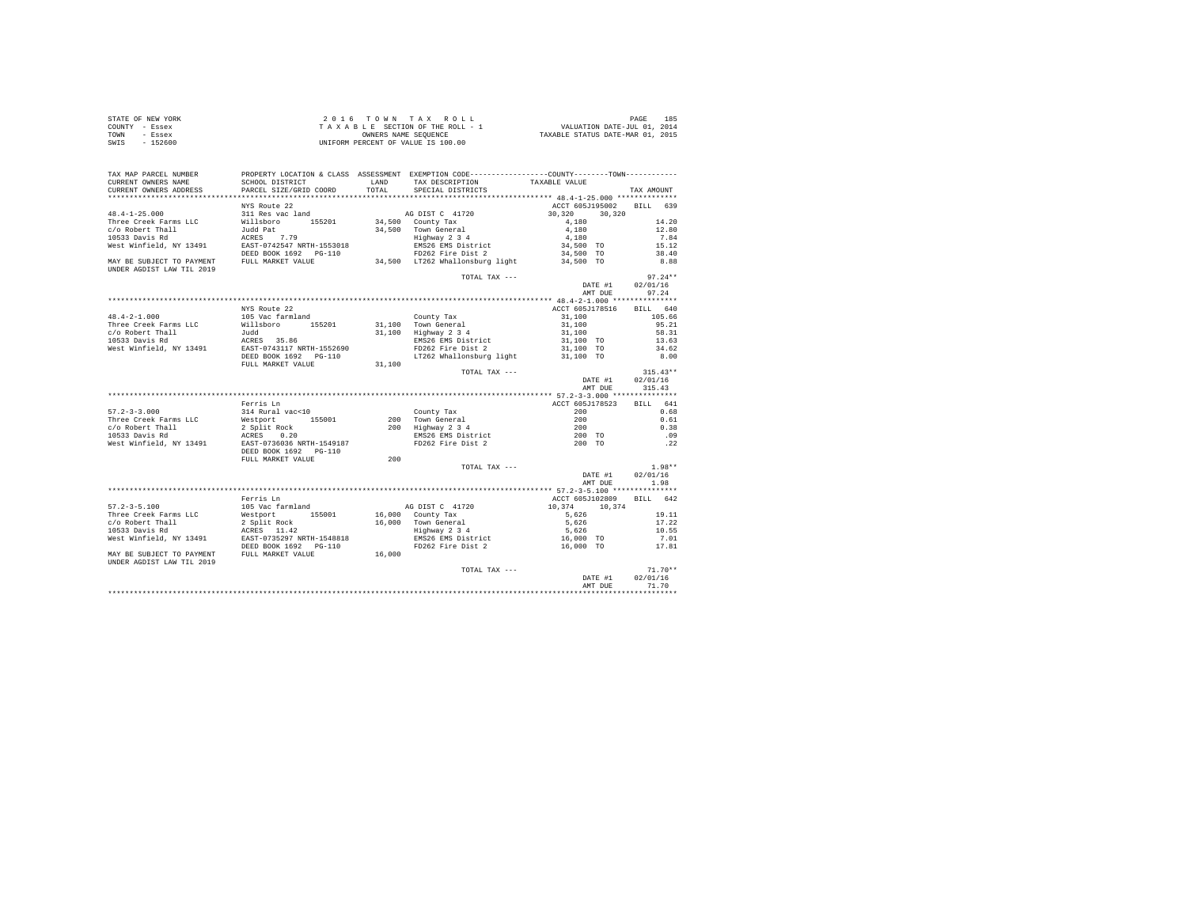| STATE OF NEW YORK | 2016 TOWN TAX ROLL                 | 185<br>PAGE                      |
|-------------------|------------------------------------|----------------------------------|
| COUNTY - Essex    | TAXABLE SECTION OF THE ROLL - 1    | VALUATION DATE-JUL 01, 2014      |
| TOWN<br>- Essex   | OWNERS NAME SEOUENCE               | TAXABLE STATUS DATE-MAR 01, 2015 |
| $-152600$<br>SWIS | UNIFORM PERCENT OF VALUE IS 100.00 |                                  |

| TAX MAP PARCEL NUMBER              |                                                                   |              | PROPERTY LOCATION & CLASS ASSESSMENT EXEMPTION CODE----------------COUNTY--------TOWN----------                                    |                                    |               |
|------------------------------------|-------------------------------------------------------------------|--------------|------------------------------------------------------------------------------------------------------------------------------------|------------------------------------|---------------|
| CURRENT OWNERS NAME                | SCHOOL DISTRICT                                                   | <b>T.AND</b> | TAX DESCRIPTION                                                                                                                    | TAXABLE VALUE                      |               |
| CURRENT OWNERS ADDRESS             | PARCEL SIZE/GRID COORD                                            | TOTAL        | SPECIAL DISTRICTS                                                                                                                  |                                    | TAX AMOUNT    |
|                                    |                                                                   |              |                                                                                                                                    |                                    |               |
|                                    | NYS Route 22                                                      |              |                                                                                                                                    | ACCT 605J195002 BILL 639           |               |
| $48.4 - 1 - 25.000$                | 311 Res vac land                                                  |              | AG DIST C 41720<br>$34,500$ County Tax                                                                                             | 30,320<br>30,320                   |               |
| Three Creek Farms LLC              | Willsboro 155201                                                  |              |                                                                                                                                    | 4,180                              | 14.20         |
| c/o Robert Thall                   | Judd Pat                                                          |              | 34,500 Town General<br>Highway 2 3 4                                                                                               | 4,180                              | 12.80         |
| 10533 Davis Rd                     | ---- - --<br>ACRES 7.79<br>EAST-0742547 NRTH-1553018              |              |                                                                                                                                    | 4,180<br>34,500 TO                 | 7.84          |
| West Winfield, NY 13491            |                                                                   |              | EMS26 EMS District<br>FD262 Fire Dist 2                                                                                            |                                    | 15.12         |
| MAY BE SUBJECT TO PAYMENT          | DEED BOOK 1692    PG-110<br>FULL MARKET VALUE                     |              | 34,500 LT262 Whallonsburg light                                                                                                    | 34,500 TO<br>34,500 TO             | 38.40<br>8.88 |
| UNDER AGDIST LAW TIL 2019          |                                                                   |              |                                                                                                                                    |                                    |               |
|                                    |                                                                   |              | TOTAL TAX ---                                                                                                                      |                                    | $97.24**$     |
|                                    |                                                                   |              |                                                                                                                                    | DATE #1                            | 02/01/16      |
|                                    |                                                                   |              |                                                                                                                                    | AMT DUE                            | 97.24         |
|                                    |                                                                   |              |                                                                                                                                    |                                    |               |
|                                    | NYS Route 22                                                      |              |                                                                                                                                    | ACCT 605J178516 BILL 640           |               |
| $48.4 - 2 - 1.000$                 | 105 Vac farmland                                                  |              | County Tax<br>31,100 Town General<br>31,100 Highway 2 3 4                                                                          | 31,100                             | 105.66        |
| Three Creek Farms LLC              | Willsboro 155201                                                  |              |                                                                                                                                    | 31,100                             | 95.21         |
| c/o Robert Thall                   | Judd                                                              |              |                                                                                                                                    | 31,100                             | 58.31         |
| 10533 Davis Rd                     | ACRES 35.86<br>EAST-0743117 NRTH-1552690<br>DEED BOOK 1692 PG-110 |              | EMS26 EMS District<br>FD262 Fire Dist 2                                                                                            | 31,100 TO                          | 13.63         |
| West Winfield, NY 13491            |                                                                   |              |                                                                                                                                    | 31,100 TO                          | 34.62<br>8.00 |
|                                    | FULL MARKET VALUE                                                 | 31,100       | LT262 Whallonsburg light 31,100 TO                                                                                                 |                                    |               |
|                                    |                                                                   |              | TOTAL TAX ---                                                                                                                      |                                    | $315.43**$    |
|                                    |                                                                   |              |                                                                                                                                    | DATE #1                            | 02/01/16      |
|                                    |                                                                   |              |                                                                                                                                    | AMT DUE                            | 315.43        |
|                                    |                                                                   |              |                                                                                                                                    |                                    |               |
|                                    | Ferris Ln                                                         |              |                                                                                                                                    | ACCT 605J178523                    | BILL 641      |
| $57.2 - 3 - 3.000$                 | 314 Rural vac<10                                                  |              |                                                                                                                                    | 200                                | 0.68          |
| Three Creek Farms LLC              |                                                                   |              |                                                                                                                                    |                                    | 0.61          |
|                                    | Westport 155001<br>2 Split Rock<br>ACRES 0.20                     |              | County Tax<br>200 Town General<br>200 Highway 2 3 4<br>EMS26 EMS District<br>FD262 Fire Dist 2                                     | $\frac{200}{200}$<br>200<br>200 TO | 0.38          |
| c/o Robert Thall<br>10533 Davis Rd |                                                                   |              |                                                                                                                                    |                                    | .09           |
|                                    | West Winfield, NY 13491 EAST-0736036 NRTH-1549187                 |              |                                                                                                                                    | 200 TO                             | .22           |
|                                    | DEED BOOK 1692    PG-110                                          |              |                                                                                                                                    |                                    |               |
|                                    | FULL MARKET VALUE                                                 | 200          |                                                                                                                                    |                                    |               |
|                                    |                                                                   |              | TOTAL TAX ---                                                                                                                      |                                    | $1.98**$      |
|                                    |                                                                   |              |                                                                                                                                    | DATE #1                            | 02/01/16      |
|                                    |                                                                   |              |                                                                                                                                    | AMT DUE                            | 1.98          |
|                                    |                                                                   |              |                                                                                                                                    |                                    |               |
|                                    | Ferris Ln                                                         |              |                                                                                                                                    | ACCT 605J102809 BILL 642           |               |
| $57.2 - 3 - 5.100$                 | 105 Vac farmland                                                  |              | AG DIST C 41720                                                                                                                    | $10,374$ $10,374$                  |               |
| Three Creek Farms LLC              | Westport 155001<br>2 Split Rock                                   |              | 16,000 County Tax                                                                                                                  | 5,626                              | 19.11         |
| c/o Robert Thall                   |                                                                   |              | 16,000 Town General 5,626<br>Highway 234 5,626<br>Highway 234 5,626<br>EMS26 EMS District 16,000 TO<br>FD262 Fire Dist 2 16,000 TO |                                    | 17.22         |
| 10533 Davis Rd                     | ACRES 11.42<br>EAST-0735297 NRTH-1548818                          |              |                                                                                                                                    |                                    | 10.55         |
| West Winfield. NY 13491            |                                                                   |              |                                                                                                                                    |                                    | 7.01          |
|                                    | DEED BOOK 1692    PG-110                                          |              |                                                                                                                                    | 16,000 TO                          | 17.81         |
|                                    | MAY BE SUBJECT TO PAYMENT FULL MARKET VALUE 16,000                |              |                                                                                                                                    |                                    |               |
| UNDER AGDIST LAW TIL 2019          |                                                                   |              |                                                                                                                                    |                                    |               |
|                                    |                                                                   |              | TOTAL TAX ---                                                                                                                      |                                    | $71.70**$     |
|                                    |                                                                   |              |                                                                                                                                    | DATE #1                            | 02/01/16      |
|                                    |                                                                   |              |                                                                                                                                    | AMT DUE                            | 71.70         |
|                                    |                                                                   |              |                                                                                                                                    |                                    |               |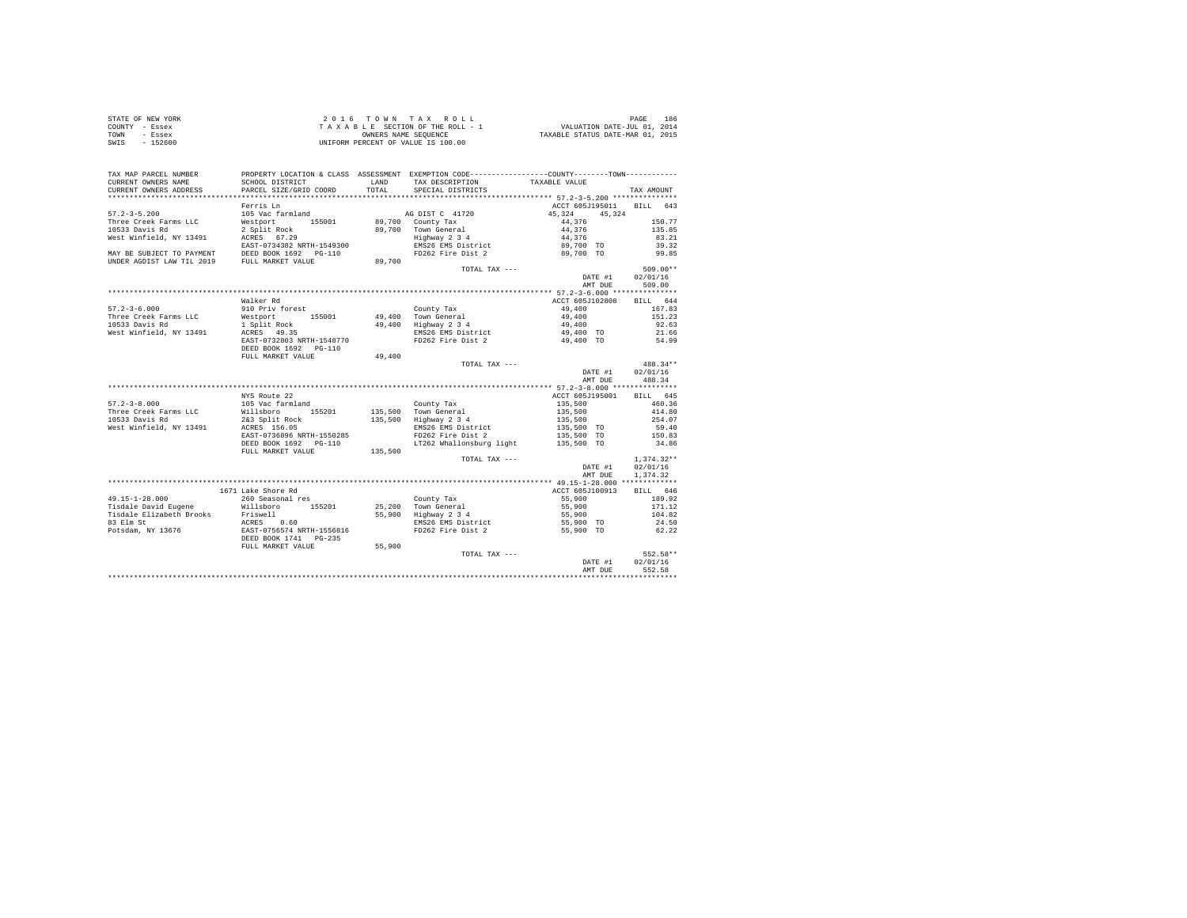| STATE OF NEW YORK | 2016 TOWN TAX ROLL                 | 186<br>PAGE                      |
|-------------------|------------------------------------|----------------------------------|
| COUNTY - Essex    | TAXABLE SECTION OF THE ROLL - 1    | VALUATION DATE-JUL 01, 2014      |
| TOWN<br>- Essex   | OWNERS NAME SEOUENCE               | TAXABLE STATUS DATE-MAR 01, 2015 |
| SWIS<br>$-152600$ | UNIFORM PERCENT OF VALUE IS 100.00 |                                  |

| TAX MAP PARCEL NUMBER                                                                                                                                                                                                               | PROPERTY LOCATION & CLASS ASSESSMENT EXEMPTION CODE----------------COUNTY-------TOWN---------- |               |                                                 |                             |                    |
|-------------------------------------------------------------------------------------------------------------------------------------------------------------------------------------------------------------------------------------|------------------------------------------------------------------------------------------------|---------------|-------------------------------------------------|-----------------------------|--------------------|
| CURRENT OWNERS NAME<br>CURRENT OWNERS ADDRESS                                                                                                                                                                                       | SCHOOL DISTRICT<br>PARCEL SIZE/GRID COORD                                                      | LAND<br>TOTAL | TAX DESCRIPTION<br>SPECIAL DISTRICTS            | TAXABLE VALUE               | TAX AMOUNT         |
|                                                                                                                                                                                                                                     |                                                                                                |               |                                                 |                             |                    |
|                                                                                                                                                                                                                                     | Ferris Ln                                                                                      |               |                                                 | ACCT 605J195011 BILL 643    |                    |
| $57.2 - 3 - 5.200$                                                                                                                                                                                                                  | 105 Vac farmland                                                                               |               | AG DIST C 41720                                 | 45, 324 45, 324             |                    |
| Three Creek Farms LLC                                                                                                                                                                                                               | Westport 155001                                                                                |               | 89,700 County Tax                               | 44,376                      | 150.77             |
| 10533 Davis Rd                                                                                                                                                                                                                      | 2 Split Rock<br>ACRES 67.29<br>EAST-0734382 NRTH-1549300                                       |               | 89,700 Town General                             | 44,376<br>44,376            | 135.85             |
| West Winfield, NY 13491                                                                                                                                                                                                             |                                                                                                |               | rown Generai<br>Highway 2 3 4                   |                             | 83.21              |
|                                                                                                                                                                                                                                     |                                                                                                |               | EMS26 EMS District                              | 89,700 TO                   | 39.32              |
| MAY BE SUBJECT TO PAYMENT DEED BOOK 1692 PG-110<br>UNDER AGDIST LAW TIL 2019 FULL MARKET VALUE                                                                                                                                      |                                                                                                |               |                                                 | FD262 Fire Dist 2 89,700 TO | 99.85              |
|                                                                                                                                                                                                                                     |                                                                                                | 89,700        |                                                 |                             |                    |
|                                                                                                                                                                                                                                     |                                                                                                |               | TOTAL TAX ---                                   |                             | $509.00**$         |
|                                                                                                                                                                                                                                     |                                                                                                |               |                                                 | DATE #1 02/01/16            |                    |
|                                                                                                                                                                                                                                     |                                                                                                |               |                                                 | AMT DUE                     | 509.00             |
|                                                                                                                                                                                                                                     |                                                                                                |               |                                                 | ACCT 605J102808             |                    |
| $57.2 - 3 - 6.000$                                                                                                                                                                                                                  | Walker Rd<br>910 Priv forest                                                                   |               |                                                 | 49,400                      | BILL 644<br>167.83 |
| Three Creek Farms LLC                                                                                                                                                                                                               | Westport 155001                                                                                |               | County Tax<br>49,400 Town General               | 49,400                      | 151.23             |
| 10533 Davis Rd                                                                                                                                                                                                                      |                                                                                                |               | 49,400   Town General<br>49,400   Highway 2 3 4 | 49,400                      | 92.63              |
| West Winfield, NY 13491                                                                                                                                                                                                             | 1 Split Rock<br>ACRES 49.35                                                                    |               | EMS26 EMS District                              | 49,400 TO                   | 21.66              |
|                                                                                                                                                                                                                                     | EAST-0732803 NRTH-1548770                                                                      |               |                                                 | FD262 Fire Dist 2 49,400 TO | 54.99              |
|                                                                                                                                                                                                                                     | DEED BOOK 1692    PG-110                                                                       |               |                                                 |                             |                    |
|                                                                                                                                                                                                                                     | FULL MARKET VALUE                                                                              | 49,400        |                                                 |                             |                    |
|                                                                                                                                                                                                                                     |                                                                                                |               | TOTAL TAX ---                                   |                             | 488.34**           |
|                                                                                                                                                                                                                                     |                                                                                                |               |                                                 | DATE #1                     | 02/01/16           |
|                                                                                                                                                                                                                                     |                                                                                                |               |                                                 | AMT DUE                     | 488.34             |
|                                                                                                                                                                                                                                     |                                                                                                |               |                                                 |                             |                    |
|                                                                                                                                                                                                                                     | NYS Route 22                                                                                   |               |                                                 | ACCT 605J195001 BILL 645    |                    |
| $57.2 - 3 - 8.000$                                                                                                                                                                                                                  | 105 Vac farmland                                                                               |               | County Tax                                      | 135,500                     | 460.36             |
| Three Creek Farms LLC                                                                                                                                                                                                               | Willsboro 155201<br>2&3 Split Rock                                                             |               | 135,500 Town General<br>135,500 Highway 2 3 4   | 135,500<br>135,500          | 414.80             |
| 10533 Davis Rd                                                                                                                                                                                                                      |                                                                                                |               |                                                 |                             | 254.07             |
| West Winfield, NY 13491                                                                                                                                                                                                             | ACRES 156.05                                                                                   |               | EMS26 EMS District                              | 135,500 TO                  | 59.40              |
|                                                                                                                                                                                                                                     | EAST-0736896 NRTH-1550285                                                                      |               | FD262 Fire Dist 2                               | 135,500 TO                  | 150.83             |
|                                                                                                                                                                                                                                     | DEED BOOK 1692 PG-110                                                                          |               | LT262 Whallonsburg light                        | 135,500 TO                  | 34.86              |
|                                                                                                                                                                                                                                     | FULL MARKET VALUE 135,500                                                                      |               |                                                 |                             |                    |
|                                                                                                                                                                                                                                     |                                                                                                |               | TOTAL TAX ---                                   |                             | $1.374.32**$       |
|                                                                                                                                                                                                                                     |                                                                                                |               |                                                 | DATE #1                     | 02/01/16           |
|                                                                                                                                                                                                                                     |                                                                                                |               |                                                 | AMT DUE                     | 1,374.32           |
|                                                                                                                                                                                                                                     | 1671 Lake Shore Rd                                                                             |               |                                                 | ACCT 605J100913             | BILL 646           |
| 49.15-1-28.000                                                                                                                                                                                                                      | 260 Seasonal res                                                                               |               | County Tax                                      | 55,900                      | 189.92             |
|                                                                                                                                                                                                                                     |                                                                                                |               |                                                 |                             | 171.12             |
|                                                                                                                                                                                                                                     |                                                                                                |               | 25,200 Town General<br>55,900 Highway 2 3 4     | 55,900<br>55,900            | 104.82             |
|                                                                                                                                                                                                                                     |                                                                                                |               |                                                 | 55,900 TO                   | 24.50              |
|                                                                                                                                                                                                                                     |                                                                                                |               | EMS26 EMS District<br>FD262 Fire Dist 2         | 55,900 TO                   | 62.22              |
| Tische David Eugene Millsboro 155201<br>Tisdale Elizabeth Brooks Priswell<br>83 Elm St Priswell Recurse<br>83 Elm St North Brooks 1678-0756574 NRTH-1556816<br>Potsdam, NY 13676 1685-0756574 NRTH-1556816<br>DEED BOOK 1741 PG-235 |                                                                                                |               |                                                 |                             |                    |
|                                                                                                                                                                                                                                     | FULL MARKET VALUE                                                                              | 55,900        |                                                 |                             |                    |
|                                                                                                                                                                                                                                     |                                                                                                |               | TOTAL TAX ---                                   |                             | 552.58**           |
|                                                                                                                                                                                                                                     |                                                                                                |               |                                                 | DATE #1                     | 02/01/16           |
|                                                                                                                                                                                                                                     |                                                                                                |               |                                                 | AMT DUE                     | 552.58             |
|                                                                                                                                                                                                                                     |                                                                                                |               |                                                 |                             |                    |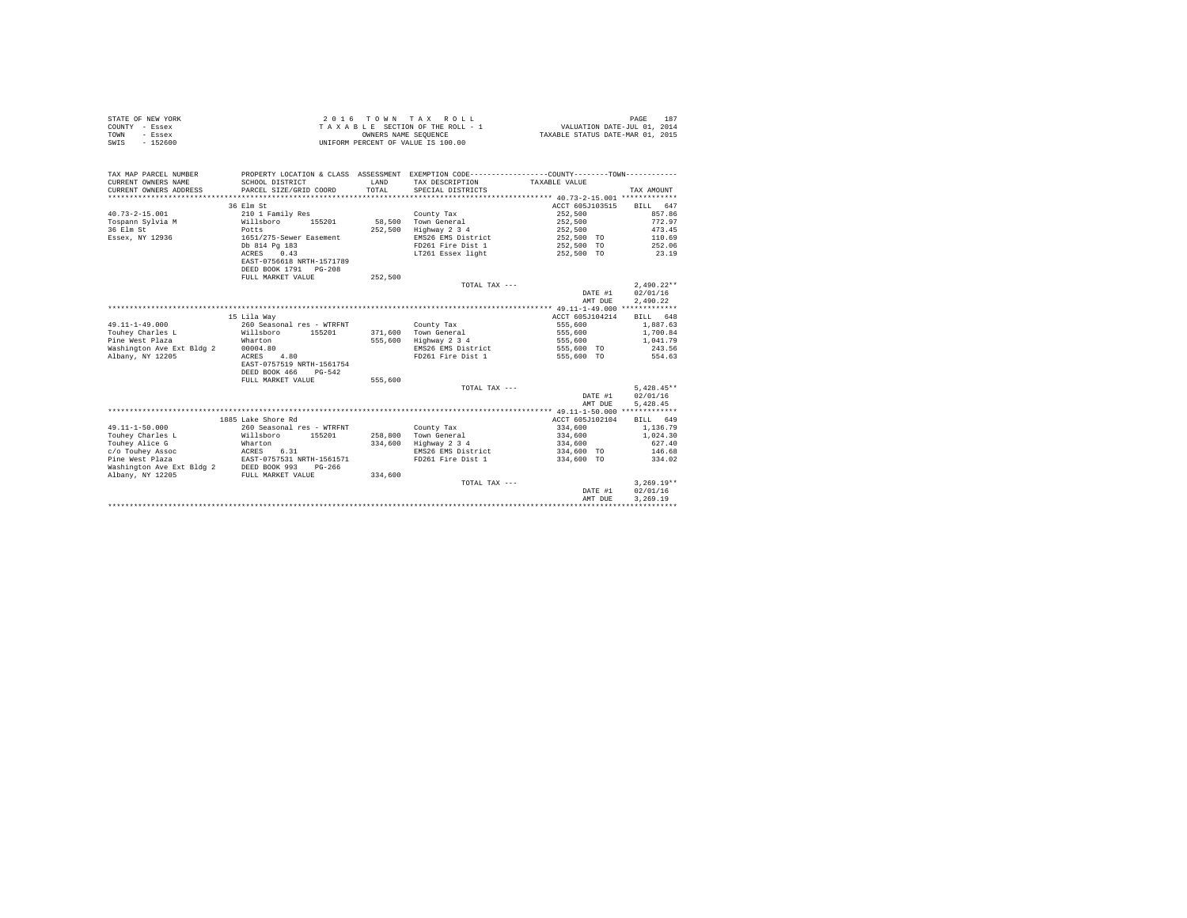|                | STATE OF NEW YORK | 2016 TOWN TAX ROLL                 | 187<br>PAGE                      |
|----------------|-------------------|------------------------------------|----------------------------------|
| COUNTY - Essex |                   | TAXABLE SECTION OF THE ROLL - 1    | VALUATION DATE-JUL 01, 2014      |
| TOWN           | - Essex           | OWNERS NAME SEOUENCE               | TAXABLE STATUS DATE-MAR 01, 2015 |
| SWIS           | - 152600          | UNIFORM PERCENT OF VALUE IS 100.00 |                                  |

| TAX MAP PARCEL NUMBER<br>CURRENT OWNERS NAME<br>CURRENT OWNERS ADDRESS | SCHOOL DISTRICT<br>PARCEL SIZE/GRID COORD | <b>T.AND</b><br>TOTAL | PROPERTY LOCATION & CLASS ASSESSMENT EXEMPTION CODE----------------COUNTY-------TOWN----------<br>TAX DESCRIPTION TAXABLE VALUE<br>SPECIAL DISTRICTS |                 | TAX AMOUNT   |
|------------------------------------------------------------------------|-------------------------------------------|-----------------------|------------------------------------------------------------------------------------------------------------------------------------------------------|-----------------|--------------|
|                                                                        | 36 Elm St                                 |                       |                                                                                                                                                      | ACCT 605J103515 | BILL 647     |
| $40.73 - 2 - 15.001$                                                   | 210 1 Family Res                          |                       | County Tax                                                                                                                                           | 252,500         | 857.86       |
| Tospann Sylvia M                                                       | 155201<br>Willsboro                       |                       | 58.500 Town General                                                                                                                                  | 252,500         | 772.97       |
| 36 Elm St                                                              | Potts                                     | 252,500               | Highway 2 3 4                                                                                                                                        | 252,500         | 473.45       |
| Essex, NY 12936                                                        | 1651/275-Sewer Easement                   |                       | EMS26 EMS District                                                                                                                                   | 252,500 TO      | 110.69       |
|                                                                        | Db 814 Pg 183                             |                       | FD261 Fire Dist 1                                                                                                                                    | 252,500 TO      | 252.06       |
|                                                                        | ACRES 0.43                                |                       | LT261 Essex light                                                                                                                                    | 252,500 TO      | 23.19        |
|                                                                        | EAST-0756618 NRTH-1571789                 |                       |                                                                                                                                                      |                 |              |
|                                                                        | DEED BOOK 1791 PG-208                     |                       |                                                                                                                                                      |                 |              |
|                                                                        | FULL MARKET VALUE                         | 252,500               |                                                                                                                                                      |                 |              |
|                                                                        |                                           |                       | TOTAL TAX ---                                                                                                                                        |                 | $2.490.22**$ |
|                                                                        |                                           |                       |                                                                                                                                                      | DATE #1         | 02/01/16     |
|                                                                        |                                           |                       |                                                                                                                                                      | AMT DUE         | 2.490.22     |
|                                                                        |                                           |                       |                                                                                                                                                      |                 |              |
|                                                                        | 15 Lila Wav                               |                       |                                                                                                                                                      | ACCT 605J104214 | BILL 648     |
| $49.11 - 1 - 49.000$                                                   | 260 Seasonal res - WTRFNT                 |                       |                                                                                                                                                      |                 |              |
|                                                                        |                                           |                       | County Tax                                                                                                                                           | 555,600         | 1,887.63     |
| Touhev Charles L                                                       | Willsboro<br>155201                       |                       | 371,600 Town General                                                                                                                                 | 555,600         | 1,700.84     |
| Pine West Plaza                                                        | Wharton                                   | 555,600               | Highway 2 3 4                                                                                                                                        | 555,600         | 1,041.79     |
| Washington Ave Ext Bldg 2                                              | 00004.80                                  |                       | EMS26 EMS District                                                                                                                                   | 555,600 TO      | 243.56       |
| Albany, NY 12205                                                       | 4.80<br>ACRES                             |                       | FD261 Fire Dist 1                                                                                                                                    | 555,600 TO      | 554.63       |
|                                                                        | EAST-0757519 NRTH-1561754                 |                       |                                                                                                                                                      |                 |              |
|                                                                        | DEED BOOK 466<br>$PG-542$                 |                       |                                                                                                                                                      |                 |              |
|                                                                        | FULL MARKET VALUE                         | 555,600               |                                                                                                                                                      |                 |              |
|                                                                        |                                           |                       | TOTAL TAX ---                                                                                                                                        |                 | $5.428.45**$ |
|                                                                        |                                           |                       |                                                                                                                                                      | DATE #1         | 02/01/16     |
|                                                                        |                                           |                       |                                                                                                                                                      | AMT DUE         | 5.428.45     |
|                                                                        |                                           |                       |                                                                                                                                                      |                 |              |
|                                                                        | 1885 Lake Shore Rd                        |                       |                                                                                                                                                      | ACCT 605J102104 | BILL 649     |
| $49.11 - 1 - 50.000$                                                   | 260 Seasonal res - WTRFNT                 |                       | County Tax                                                                                                                                           | 334,600         | 1,136.79     |
| Touhev Charles L                                                       | Willsboro 155201                          |                       | 258.800 Town General                                                                                                                                 | 334,600         | 1,024.30     |
| Touhey Alice G                                                         | Wharton                                   | 334,600               | Highway 2 3 4                                                                                                                                        | 334,600         | 627.40       |
| c/o Touhey Assoc                                                       | ACRES 6.31                                |                       | EMS26 EMS District                                                                                                                                   | 334,600 TO      | 146.68       |
| Pine West Plaza                                                        | EAST-0757531 NRTH-1561571                 |                       | FD261 Fire Dist 1                                                                                                                                    | 334,600 TO      | 334.02       |
| Washington Ave Ext Bldg 2                                              | DEED BOOK 993<br>$PG-266$                 |                       |                                                                                                                                                      |                 |              |
| Albany, NY 12205                                                       | FULL MARKET VALUE                         | 334,600               |                                                                                                                                                      |                 |              |
|                                                                        |                                           |                       | TOTAL TAX ---                                                                                                                                        |                 | $3.269.19**$ |
|                                                                        |                                           |                       |                                                                                                                                                      | DATE #1         | 02/01/16     |
|                                                                        |                                           |                       |                                                                                                                                                      | AMT DUE         | 3,269.19     |
|                                                                        |                                           |                       |                                                                                                                                                      |                 |              |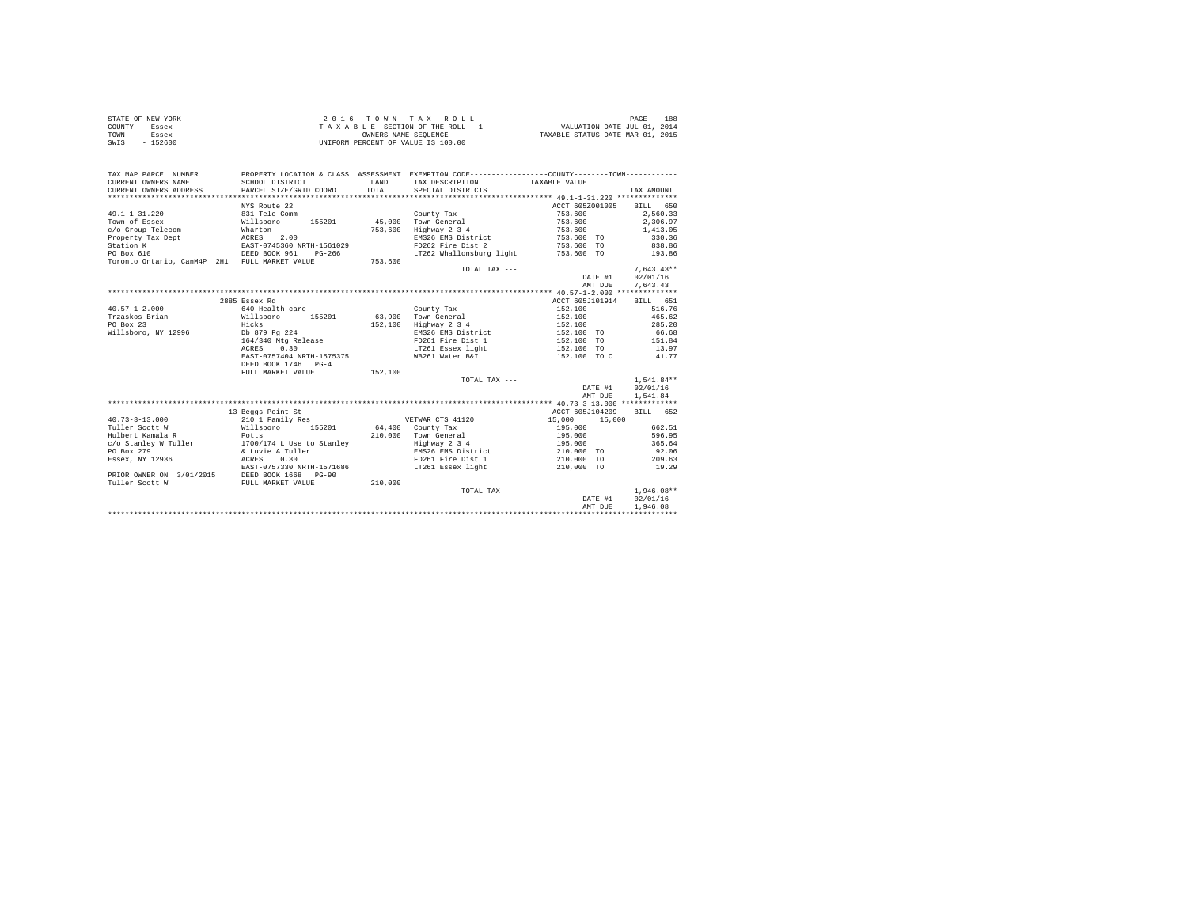| STATE OF NEW YORK | $2.0.16$ TOWN TAX ROLL             | 188<br>PAGE                      |
|-------------------|------------------------------------|----------------------------------|
| COUNTY - Essex    | TAXABLE SECTION OF THE ROLL - 1    | VALUATION DATE-JUL 01, 2014      |
| TOWN<br>- Essex   | OWNERS NAME SEOUENCE               | TAXABLE STATUS DATE-MAR 01, 2015 |
| SWIS<br>$-152600$ | UNIFORM PERCENT OF VALUE IS 100.00 |                                  |

| TAX MAP PARCEL NUMBER<br>CURRENT OWNERS NAME<br>CURRENT OWNERS ADDRESS | SCHOOL DISTRICT<br>PARCEL SIZE/GRID COORD     | LAND<br>TOTAL | PROPERTY LOCATION & CLASS ASSESSMENT EXEMPTION CODE---------------COUNTY-------TOWN----------<br>TAX DESCRIPTION<br>SPECIAL DISTRICTS | TAXABLE VALUE            | TAX AMOUNT   |
|------------------------------------------------------------------------|-----------------------------------------------|---------------|---------------------------------------------------------------------------------------------------------------------------------------|--------------------------|--------------|
|                                                                        |                                               |               |                                                                                                                                       |                          |              |
|                                                                        | NYS Route 22                                  |               |                                                                                                                                       | ACCT 605Z001005          | BILL 650     |
| $49.1 - 1 - 31.220$                                                    | 831 Tele Comm                                 |               | County Tax                                                                                                                            | 753,600                  | 2,560.33     |
| Town of Essex                                                          | 155201<br>Willsboro                           |               | 45,000 Town General                                                                                                                   | 753,600                  | 2,306.97     |
| c/o Group Telecom                                                      |                                               | 753,600       | Highway 2 3 4                                                                                                                         |                          | 1,413.05     |
| Property Tax Dept                                                      | Wharton<br>ACRES 2.00                         |               | EMS26 EMS District                                                                                                                    | 753,600<br>753,600 TO    | 330.36       |
| Station K                                                              | EAST-0745360 NRTH-1561029                     |               | FD262 Fire Dist 2 753,600 TO 838.86                                                                                                   |                          |              |
| PO Box 610                                                             | DEED BOOK 961 PG-266                          |               | LT262 Whallonsburg light 753,600 TO                                                                                                   |                          | 193.86       |
| Toronto Ontario, CanM4P 2H1 FULL MARKET VALUE                          |                                               | 753,600       |                                                                                                                                       |                          |              |
|                                                                        |                                               |               | TOTAL TAX ---                                                                                                                         |                          | $7.643.43**$ |
|                                                                        |                                               |               |                                                                                                                                       | DATE #1                  | 02/01/16     |
|                                                                        |                                               |               |                                                                                                                                       | AMT DUE                  | 7.643.43     |
|                                                                        |                                               |               |                                                                                                                                       |                          |              |
|                                                                        | 2885 Essex Rd                                 |               |                                                                                                                                       | ACCT 605J101914          | BILL 651     |
| $40.57 - 1 - 2.000$                                                    | 640 Health care                               |               | County Tax                                                                                                                            | 152,100                  | 516.76       |
| Trzaskos Brian                                                         | Willsboro 155201                              |               | 63,900 Town General                                                                                                                   | 152,100                  | 465.62       |
| PO Box 23                                                              | Hicks                                         | 152,100       | Highway 2 3 4                                                                                                                         | 152,100                  | 285.20       |
| Willsboro, NY 12996                                                    | Db 879 Pg 224                                 |               | EMS26 EMS District                                                                                                                    |                          | 66.68        |
|                                                                        |                                               |               | FD261 Fire Dist 1                                                                                                                     | 152,100 TO<br>152,100 TO | 151.84       |
|                                                                        | $164/340$ Mtg Release<br>$\frac{164}{8}$ 0.30 |               | LT261 Essex light 152,100 TO                                                                                                          |                          | 13.97        |
|                                                                        | EAST-0757404 NRTH-1575375                     |               | WB261 Water B&I                                                                                                                       | 152,100 TO C             | 41.77        |
|                                                                        | DEED BOOK 1746 PG-4                           |               |                                                                                                                                       |                          |              |
|                                                                        | FULL MARKET VALUE                             | 152,100       |                                                                                                                                       |                          |              |
|                                                                        |                                               |               | TOTAL TAX ---                                                                                                                         |                          | $1,541.84**$ |
|                                                                        |                                               |               |                                                                                                                                       | DATE #1                  | 02/01/16     |
|                                                                        |                                               |               |                                                                                                                                       | AMT DUE                  | 1,541.84     |
|                                                                        |                                               |               |                                                                                                                                       |                          |              |
|                                                                        | 13 Beggs Point St                             |               |                                                                                                                                       | ACCT 605J104209          | BILL 652     |
| $40.73 - 3 - 13.000$                                                   | 210 1 Family Res                              |               | VETWAR CTS 41120                                                                                                                      | 15,000 15,000            |              |
| Tuller Scott W                                                         | Willsboro 155201 64,400 County Tax            |               |                                                                                                                                       | 195,000                  | 662.51       |
| Hulbert Kamala R                                                       | Potts<br>1700/174 L Use to Stanley            |               | 210,000 Town General                                                                                                                  |                          | 596.95       |
| c/o Stanley W Tuller                                                   |                                               |               | Highway 2 3 4                                                                                                                         | 195,000<br>195,000       | 365.64       |
| PO Box 279                                                             | & Luvie A Tuller                              |               | EMS26 EMS District                                                                                                                    | 210,000 TO               | 92.06        |
| Essex, NY 12936                                                        | 0.30<br>ACRES                                 |               | FD261 Fire Dist 1                                                                                                                     | 210,000 TO               | 209.63       |
|                                                                        | EAST-0757330 NRTH-1571686                     |               | LT261 Essex light                                                                                                                     | 210,000 TO               | 19.29        |
| PRIOR OWNER ON 3/01/2015 DEED BOOK 1668 PG-90                          |                                               |               |                                                                                                                                       |                          |              |
| Tuller Scott W                                                         | FULL MARKET VALUE                             | 210,000       |                                                                                                                                       |                          |              |
|                                                                        |                                               |               | TOTAL TAX ---                                                                                                                         |                          | $1.946.08**$ |
|                                                                        |                                               |               |                                                                                                                                       | DATE #1                  | 02/01/16     |
|                                                                        |                                               |               |                                                                                                                                       | AMT DUE                  | 1,946.08     |
|                                                                        |                                               |               |                                                                                                                                       |                          |              |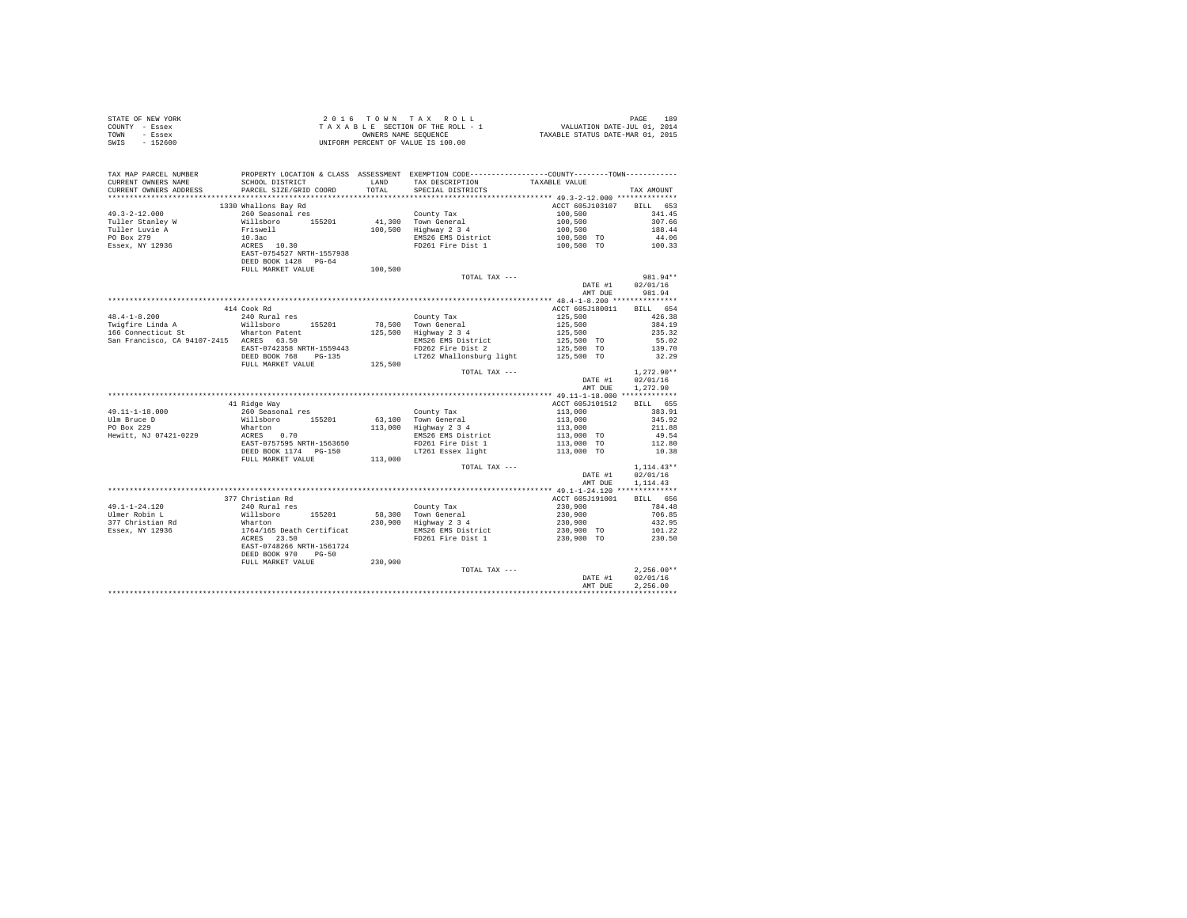| STATE OF NEW YORK         |                                                                                                                                                                                                 |          |                                                                                                                                                                                                                                               |                                                                                                                                                                                                    |                                    |
|---------------------------|-------------------------------------------------------------------------------------------------------------------------------------------------------------------------------------------------|----------|-----------------------------------------------------------------------------------------------------------------------------------------------------------------------------------------------------------------------------------------------|----------------------------------------------------------------------------------------------------------------------------------------------------------------------------------------------------|------------------------------------|
| COUNTY - Essex            |                                                                                                                                                                                                 |          |                                                                                                                                                                                                                                               |                                                                                                                                                                                                    |                                    |
| TOWN - Essex              | 2016 TOWN TAX ROLL<br>TAXABLE SECTION OF THE ROLL - 1<br>ONNERS NAME SEQUENCE<br>UNIFORM PERCENT OF VALUE IS 100.00<br>UNIFORM PERCENT OF VALUE IS 100.00                                       |          |                                                                                                                                                                                                                                               |                                                                                                                                                                                                    |                                    |
| SWIS - 152600             |                                                                                                                                                                                                 |          |                                                                                                                                                                                                                                               |                                                                                                                                                                                                    |                                    |
|                           |                                                                                                                                                                                                 |          |                                                                                                                                                                                                                                               |                                                                                                                                                                                                    |                                    |
|                           | TAX MAP PARCEL NUMBER PROPERTY LOCATION & CLASS ASSESSMENT EXEMPTION CODE---------------COUNTY--------TOWN-----------<br>CURRENT OWNERS NAME SCHOOL DISTRICT BAND TAX DESCRIPTION TAXABLE VALUE |          |                                                                                                                                                                                                                                               |                                                                                                                                                                                                    |                                    |
|                           |                                                                                                                                                                                                 |          |                                                                                                                                                                                                                                               |                                                                                                                                                                                                    |                                    |
|                           |                                                                                                                                                                                                 | TOTAL TO | SPECIAL DISTRICTS                                                                                                                                                                                                                             |                                                                                                                                                                                                    | TAX AMOUNT                         |
|                           |                                                                                                                                                                                                 |          |                                                                                                                                                                                                                                               |                                                                                                                                                                                                    |                                    |
|                           | 1330 Whallons Bay Rd                                                                                                                                                                            |          |                                                                                                                                                                                                                                               | ACCT 605J103107 BILL 653                                                                                                                                                                           |                                    |
| $49.3 - 2 - 12.000$       | 260 Seasonal res                                                                                                                                                                                |          | County Tax                                                                                                                                                                                                                                    | 100.500                                                                                                                                                                                            | 341.45                             |
| Tuller Stanley W          | Willsboro 155201                                                                                                                                                                                |          | County Tax<br>41,300 Town General<br>100,500 Highway 2 3 4                                                                                                                                                                                    |                                                                                                                                                                                                    |                                    |
| Tuller Luvie A            |                                                                                                                                                                                                 |          |                                                                                                                                                                                                                                               |                                                                                                                                                                                                    |                                    |
| PO Box 279                |                                                                                                                                                                                                 |          | EMS26 EMS District<br>FD261 Fire Dist 1                                                                                                                                                                                                       | $100,500$<br>$100,500$<br>$100,500$<br>$188.44$<br>$100,500$ TO<br>$44.06$<br>$100,500$ TO<br>$100.33$                                                                                             |                                    |
| Essex, NY 12936           | Friswell<br>10.3ac<br>ACRES 10.30<br>EAST-0754527 NRTH-1557938<br>DEED BOOK 1428 PG-64                                                                                                          |          |                                                                                                                                                                                                                                               |                                                                                                                                                                                                    |                                    |
|                           |                                                                                                                                                                                                 |          |                                                                                                                                                                                                                                               |                                                                                                                                                                                                    |                                    |
|                           | FULL MARKET VALUE                                                                                                                                                                               | 100,500  |                                                                                                                                                                                                                                               |                                                                                                                                                                                                    |                                    |
|                           |                                                                                                                                                                                                 |          | TOTAL TAX ---                                                                                                                                                                                                                                 |                                                                                                                                                                                                    | 981.94**                           |
|                           |                                                                                                                                                                                                 |          |                                                                                                                                                                                                                                               |                                                                                                                                                                                                    |                                    |
|                           |                                                                                                                                                                                                 |          |                                                                                                                                                                                                                                               |                                                                                                                                                                                                    | DATE #1 02/01/16<br>AMT DUE 981.94 |
|                           |                                                                                                                                                                                                 |          |                                                                                                                                                                                                                                               |                                                                                                                                                                                                    |                                    |
|                           | 414 Cook Rd                                                                                                                                                                                     |          |                                                                                                                                                                                                                                               | ACCT 605J180011 BILL 654                                                                                                                                                                           |                                    |
|                           |                                                                                                                                                                                                 |          |                                                                                                                                                                                                                                               |                                                                                                                                                                                                    |                                    |
|                           | Willsboro 155201                                                                                                                                                                                |          |                                                                                                                                                                                                                                               |                                                                                                                                                                                                    |                                    |
|                           |                                                                                                                                                                                                 |          | County Tax<br>78,500 Town General<br>125,500 Highway 2 3 4                                                                                                                                                                                    |                                                                                                                                                                                                    |                                    |
|                           | San Francisco, CA 94107-2415 ACRES 63.50                                                                                                                                                        |          |                                                                                                                                                                                                                                               |                                                                                                                                                                                                    |                                    |
|                           | EAST-0742358 NRTH-1559443                                                                                                                                                                       |          |                                                                                                                                                                                                                                               |                                                                                                                                                                                                    |                                    |
|                           | DEED BOOK 768 PG-135                                                                                                                                                                            |          | County Tax 125,500<br>125,500 Town General 125,500 384.19<br>125,500 Highway 2 3 4<br>1255,500 534.19<br>EMS26 EMS District 125,500 TO 55.02<br>FD262 Fire Dist 2 125,500 TO 55.02<br>125,500 TO 5262 Whallonsburg light 125,500 TO 32.29<br> |                                                                                                                                                                                                    |                                    |
|                           | FULL MARKET VALUE                                                                                                                                                                               | 125,500  |                                                                                                                                                                                                                                               |                                                                                                                                                                                                    |                                    |
|                           |                                                                                                                                                                                                 |          | TOTAL TAX ---                                                                                                                                                                                                                                 |                                                                                                                                                                                                    | $1.272.90**$                       |
|                           |                                                                                                                                                                                                 |          |                                                                                                                                                                                                                                               |                                                                                                                                                                                                    | DATE #1 02/01/16                   |
|                           |                                                                                                                                                                                                 |          |                                                                                                                                                                                                                                               |                                                                                                                                                                                                    | AMT DUE 1.272.90                   |
|                           |                                                                                                                                                                                                 |          |                                                                                                                                                                                                                                               |                                                                                                                                                                                                    |                                    |
|                           | 41 Ridge Way                                                                                                                                                                                    |          |                                                                                                                                                                                                                                               | ACCT 605J101512 BILL 655                                                                                                                                                                           |                                    |
| 49.11-1-18.000            |                                                                                                                                                                                                 |          |                                                                                                                                                                                                                                               |                                                                                                                                                                                                    | 383.91                             |
| Ulm Bruce D<br>PO Box 229 |                                                                                                                                                                                                 |          |                                                                                                                                                                                                                                               |                                                                                                                                                                                                    | 345.92                             |
|                           | Wharton<br>ACRES 0.70                                                                                                                                                                           |          |                                                                                                                                                                                                                                               | $\begin{array}{ll} 113\,, 000\\ 113\,, 000\\ 113\,, 000\\ 113\,, 000\\ 113\,, 000\\ 113\,, 000\\ 113\,, 000\\ \end{array} \text{TO}$                                                               | 211.88                             |
| Hewitt, NJ 07421-0229     |                                                                                                                                                                                                 |          |                                                                                                                                                                                                                                               |                                                                                                                                                                                                    |                                    |
|                           |                                                                                                                                                                                                 |          |                                                                                                                                                                                                                                               |                                                                                                                                                                                                    |                                    |
|                           |                                                                                                                                                                                                 |          |                                                                                                                                                                                                                                               |                                                                                                                                                                                                    |                                    |
|                           |                                                                                                                                                                                                 |          |                                                                                                                                                                                                                                               |                                                                                                                                                                                                    |                                    |
|                           |                                                                                                                                                                                                 |          | TOTAL TAX ---                                                                                                                                                                                                                                 |                                                                                                                                                                                                    | $1.114.43**$                       |
|                           |                                                                                                                                                                                                 |          |                                                                                                                                                                                                                                               |                                                                                                                                                                                                    | DATE #1 02/01/16                   |
|                           |                                                                                                                                                                                                 |          |                                                                                                                                                                                                                                               | AMT DUE                                                                                                                                                                                            | 1,114,43                           |
|                           |                                                                                                                                                                                                 |          |                                                                                                                                                                                                                                               |                                                                                                                                                                                                    |                                    |
|                           | 377 Christian Rd                                                                                                                                                                                |          |                                                                                                                                                                                                                                               | ACCT 605J191001 BILL 656                                                                                                                                                                           |                                    |
|                           |                                                                                                                                                                                                 |          |                                                                                                                                                                                                                                               |                                                                                                                                                                                                    |                                    |
|                           |                                                                                                                                                                                                 |          |                                                                                                                                                                                                                                               |                                                                                                                                                                                                    |                                    |
|                           |                                                                                                                                                                                                 |          |                                                                                                                                                                                                                                               |                                                                                                                                                                                                    |                                    |
|                           |                                                                                                                                                                                                 |          |                                                                                                                                                                                                                                               | $\begin{array}{cccc} 1.21 & 230 & 900 & 784 & 48 \\ 230 & 900 & 706 & 85 \\ 230 & 900 & 432 & 95 \\ 230 & 900 & 432 & 95 \\ 230 & 900 & 70 & 101 & 22 \\ 230 & 900 & 70 & 230 & 50 \\ \end{array}$ |                                    |
|                           |                                                                                                                                                                                                 |          | FD261 Fire Dist 1                                                                                                                                                                                                                             |                                                                                                                                                                                                    |                                    |
|                           |                                                                                                                                                                                                 |          |                                                                                                                                                                                                                                               |                                                                                                                                                                                                    |                                    |
|                           | DEED BOOK 970 PG-50                                                                                                                                                                             |          |                                                                                                                                                                                                                                               |                                                                                                                                                                                                    |                                    |
|                           | FULL MARKET VALUE                                                                                                                                                                               | 230,900  |                                                                                                                                                                                                                                               |                                                                                                                                                                                                    |                                    |
|                           |                                                                                                                                                                                                 |          | TOTAL TAX ---                                                                                                                                                                                                                                 | DATE #1                                                                                                                                                                                            | $2.256.00**$                       |
|                           |                                                                                                                                                                                                 |          |                                                                                                                                                                                                                                               | AMT DUE                                                                                                                                                                                            | 02/01/16<br>2.256.00               |
|                           |                                                                                                                                                                                                 |          |                                                                                                                                                                                                                                               |                                                                                                                                                                                                    |                                    |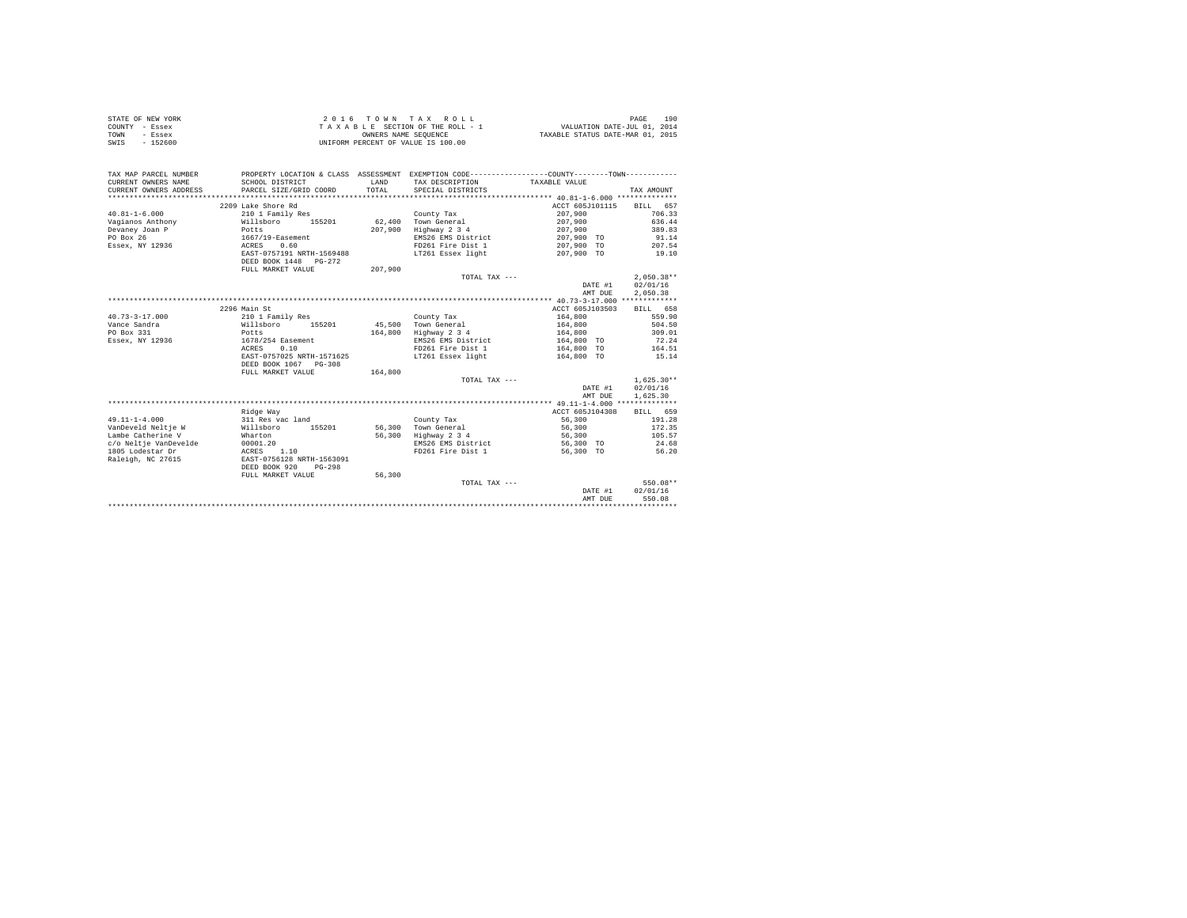|      | STATE OF NEW YORK | 2016 TOWN TAX ROLL                 | 190<br>PAGE                      |
|------|-------------------|------------------------------------|----------------------------------|
|      | COUNTY - Essex    | TAXABLE SECTION OF THE ROLL - 1    | VALUATION DATE-JUL 01, 2014      |
| TOWN | - Essex           | OWNERS NAME SEOUENCE               | TAXABLE STATUS DATE-MAR 01, 2015 |
| SWIS | $-152600$         | UNIFORM PERCENT OF VALUE IS 100.00 |                                  |

| TAX MAP PARCEL NUMBER<br>CURRENT OWNERS NAME<br>CURRENT OWNERS ADDRESS<br>************************* | SCHOOL DISTRICT<br>PARCEL SIZE/GRID COORD | LAND<br>TOTAL. | PROPERTY LOCATION & CLASS ASSESSMENT EXEMPTION CODE---------------COUNTY-------TOWN----------<br>TAX DESCRIPTION<br>SPECIAL DISTRICTS | TAXABLE VALUE   | TAX AMOUNT         |
|-----------------------------------------------------------------------------------------------------|-------------------------------------------|----------------|---------------------------------------------------------------------------------------------------------------------------------------|-----------------|--------------------|
|                                                                                                     | 2209 Lake Shore Rd                        |                |                                                                                                                                       | ACCT 605J101115 | <b>BILL</b><br>657 |
| $40.81 - 1 - 6.000$                                                                                 | 210 1 Family Res                          |                | County Tax                                                                                                                            | 207,900         | 706.33             |
| Vagianos Anthony                                                                                    | Willsboro<br>155201                       |                | 62.400 Town General                                                                                                                   | 207,900         | 636.44             |
| Devaney Joan P                                                                                      | Potts                                     | 207,900        | Highway 2 3 4                                                                                                                         | 207,900         | 389.83             |
| PO Box 26                                                                                           | 1667/19-Easement                          |                | EMS26 EMS District                                                                                                                    | 207,900 TO      | 91.14              |
| Essex, NY 12936                                                                                     | 0.60<br>ACRES                             |                | FD261 Fire Dist 1                                                                                                                     | 207,900 TO      | 207.54             |
|                                                                                                     | EAST-0757191 NRTH-1569488                 |                | LT261 Essex light                                                                                                                     | 207,900 TO      | 19.10              |
|                                                                                                     | DEED BOOK 1448 PG-272                     |                |                                                                                                                                       |                 |                    |
|                                                                                                     | FULL MARKET VALUE                         | 207.900        |                                                                                                                                       |                 |                    |
|                                                                                                     |                                           |                | TOTAL TAX ---                                                                                                                         |                 | $2,050.38**$       |
|                                                                                                     |                                           |                |                                                                                                                                       | DATE #1         | 02/01/16           |
|                                                                                                     |                                           |                |                                                                                                                                       | AMT DUE         | 2,050.38           |
|                                                                                                     |                                           |                |                                                                                                                                       |                 |                    |
|                                                                                                     | 2296 Main St                              |                |                                                                                                                                       | ACCT 605J103503 | BILL 658           |
| $40.73 - 3 - 17.000$                                                                                | 210 1 Family Res                          |                |                                                                                                                                       | 164,800         | 559.90             |
| Vance Sandra                                                                                        | Willsboro<br>155201                       | 45,500         | County Tax<br>Town General                                                                                                            | 164,800         | 504.50             |
| PO Box 331                                                                                          |                                           | 164,800        |                                                                                                                                       | 164,800         | 309.01             |
| Essex, NY 12936                                                                                     | Potts<br>1678/254 Easement                |                | Highway 2 3 4<br>EMS26 EMS District                                                                                                   | 164,800 TO      | 72.24              |
|                                                                                                     | 0.10                                      |                | FD261 Fire Dist 1                                                                                                                     | 164,800 TO      | 164.51             |
|                                                                                                     | ACRES<br>EAST-0757025 NRTH-1571625        |                |                                                                                                                                       |                 |                    |
|                                                                                                     | DEED BOOK 1067 PG-308                     |                | LT261 Essex light                                                                                                                     | 164,800 TO      | 15.14              |
|                                                                                                     | FULL MARKET VALUE                         | 164,800        |                                                                                                                                       |                 |                    |
|                                                                                                     |                                           |                | TOTAL TAX ---                                                                                                                         |                 | $1.625.30**$       |
|                                                                                                     |                                           |                |                                                                                                                                       | DATE #1         | 02/01/16           |
|                                                                                                     |                                           |                |                                                                                                                                       | AMT DUE         | 1,625.30           |
|                                                                                                     |                                           |                |                                                                                                                                       |                 |                    |
|                                                                                                     | Ridge Way                                 |                |                                                                                                                                       | ACCT 605J104308 | BILL 659           |
| $49.11 - 1 - 4.000$                                                                                 | 311 Res vac land                          |                | County Tax                                                                                                                            | 56,300          | 191.28             |
| VanDeveld Neltje W                                                                                  | Willsboro<br>155201                       | 56,300         | Town General                                                                                                                          | 56,300          | 172.35             |
| Lambe Catherine V                                                                                   | Wharton                                   | 56,300         | Highway 2 3 4                                                                                                                         | 56,300          | 105.57             |
| c/o Neltie VanDevelde                                                                               | 00001.20                                  |                | EMS26 EMS District                                                                                                                    | 56,300 TO       | 24.68              |
| 1805 Lodestar Dr                                                                                    | 1.10<br>ACRES                             |                | FD261 Fire Dist 1                                                                                                                     | 56,300 TO       | 56.20              |
| Raleigh, NC 27615                                                                                   | EAST-0756128 NRTH-1563091                 |                |                                                                                                                                       |                 |                    |
|                                                                                                     | DEED BOOK 920<br>$PG-298$                 |                |                                                                                                                                       |                 |                    |
|                                                                                                     | FULL MARKET VALUE                         | 56,300         |                                                                                                                                       |                 |                    |
|                                                                                                     |                                           |                | TOTAL TAX ---                                                                                                                         |                 | 550.08**           |
|                                                                                                     |                                           |                |                                                                                                                                       | DATE #1         | 02/01/16           |
|                                                                                                     |                                           |                |                                                                                                                                       | AMT DUE         | 550.08             |
|                                                                                                     |                                           |                |                                                                                                                                       |                 |                    |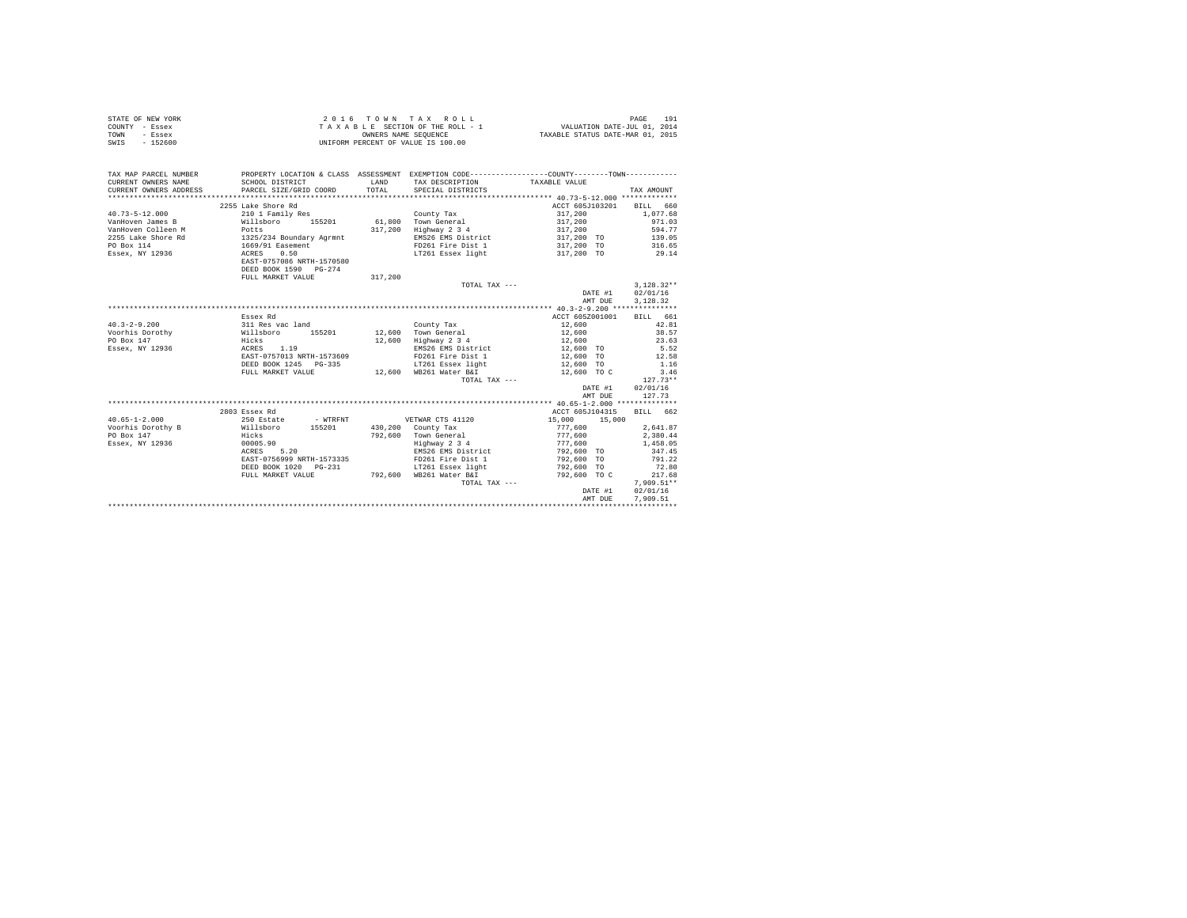|                | STATE OF NEW YORK | 2016 TOWN TAX ROLL                 | 191<br>PAGE                      |
|----------------|-------------------|------------------------------------|----------------------------------|
| COUNTY - Essex |                   | TAXABLE SECTION OF THE ROLL - 1    | VALUATION DATE-JUL 01, 2014      |
| TOWN           | - Essex           | OWNERS NAME SEOUENCE               | TAXABLE STATUS DATE-MAR 01, 2015 |
| SWIS           | $-152600$         | UNIFORM PERCENT OF VALUE IS 100.00 |                                  |

| TAX MAP PARCEL NUMBER<br>CURRENT OWNERS NAME<br>CURRENT OWNERS ADDRESS PARCEL SIZE/GRID COORD                                                                                                                                         | SCHOOL DISTRICT           | <b>T.AND</b><br>TOTAL | PROPERTY LOCATION & CLASS ASSESSMENT EXEMPTION CODE----------------COUNTY--------TOWN----------<br>TAX DESCRIPTION TAXABLE VALUE<br>SPECIAL DISTRICTS                                                      |                                        | TAX AMOUNT             |
|---------------------------------------------------------------------------------------------------------------------------------------------------------------------------------------------------------------------------------------|---------------------------|-----------------------|------------------------------------------------------------------------------------------------------------------------------------------------------------------------------------------------------------|----------------------------------------|------------------------|
|                                                                                                                                                                                                                                       | 2255 Lake Shore Rd        |                       |                                                                                                                                                                                                            | ACCT 605J103201 BILL 660               |                        |
|                                                                                                                                                                                                                                       |                           |                       |                                                                                                                                                                                                            | 317,200                                |                        |
| 40.73-5-12.000 210 1 Family Res County Tax<br>VanHoven James B Willsboro 155201 61,800 Town General                                                                                                                                   |                           |                       |                                                                                                                                                                                                            | 317,200                                | $1,077.68$<br>$971.03$ |
|                                                                                                                                                                                                                                       |                           |                       | 317,200 Highway 2 3 4                                                                                                                                                                                      | 317,200                                | 594.77                 |
|                                                                                                                                                                                                                                       |                           |                       |                                                                                                                                                                                                            |                                        |                        |
|                                                                                                                                                                                                                                       |                           |                       | EMS26 EMS District<br>FD261 Fire Dist 1                                                                                                                                                                    | 317,200 TO 139.05<br>317,200 TO 316.65 |                        |
|                                                                                                                                                                                                                                       |                           |                       | LT261 Essex light 6 317, 200 TO 29.14                                                                                                                                                                      |                                        |                        |
| 40.73-5-14.000<br>Van Hoven Colleen M<br>2255 Lake Shore Rd<br>2255 Lake Shore Rd<br>2255 Lake Shore Rd<br>2255 Lake Shore Rd<br>2256 2011<br>2256 2012<br>2256 2013<br>2256 2013<br>2256 2014<br>2256 2014<br>2256 2014<br>2256 2014 | EAST-0757086 NRTH-1570580 |                       |                                                                                                                                                                                                            |                                        |                        |
|                                                                                                                                                                                                                                       | DEED BOOK 1590 PG-274     |                       |                                                                                                                                                                                                            |                                        |                        |
|                                                                                                                                                                                                                                       | FULL MARKET VALUE         | 317,200               |                                                                                                                                                                                                            |                                        |                        |
|                                                                                                                                                                                                                                       |                           |                       | TOTAL TAX ---                                                                                                                                                                                              |                                        | $3,128.32**$           |
|                                                                                                                                                                                                                                       |                           |                       |                                                                                                                                                                                                            | DATE #1 02/01/16                       |                        |
|                                                                                                                                                                                                                                       |                           |                       |                                                                                                                                                                                                            |                                        | AMT DUE 3, 128.32      |
|                                                                                                                                                                                                                                       |                           |                       |                                                                                                                                                                                                            |                                        |                        |
|                                                                                                                                                                                                                                       | Essex Rd                  |                       |                                                                                                                                                                                                            | ACCT 605Z001001 BILL 661               |                        |
| $40.3 - 2 - 9.200$                                                                                                                                                                                                                    |                           |                       |                                                                                                                                                                                                            | 12,600                                 | 42.81                  |
|                                                                                                                                                                                                                                       |                           |                       |                                                                                                                                                                                                            | 12,600                                 | 38.57                  |
| 40.37473.11.12<br>Voorhis Dorothy                                                                                                                                                                                                     |                           |                       | 12,600 Highway 2 3 4                                                                                                                                                                                       | 12,600                                 | 23.63                  |
| Essex, NY 12936    ACRES    1.19                                                                                                                                                                                                      |                           |                       | EMS26 EMS District 12,600 TO 5.52                                                                                                                                                                          |                                        |                        |
|                                                                                                                                                                                                                                       | EAST-0757013 NRTH-1573609 |                       | FD261 Fire Dist 1                                                                                                                                                                                          | $12,600$ TO                            |                        |
|                                                                                                                                                                                                                                       | DEED BOOK 1245 PG-335     |                       | LT261 Essex light                                                                                                                                                                                          | 12,600 TO                              | $12.58$<br>$1.16$      |
|                                                                                                                                                                                                                                       |                           |                       | FULL MARKET VALUE $12,600$ WB261 Water B&I $12,600$ TO C                                                                                                                                                   |                                        | 3.46                   |
|                                                                                                                                                                                                                                       |                           |                       | TOTAL TAX ---                                                                                                                                                                                              |                                        | $127.73**$             |
|                                                                                                                                                                                                                                       |                           |                       |                                                                                                                                                                                                            |                                        | DATE #1 02/01/16       |
|                                                                                                                                                                                                                                       |                           |                       |                                                                                                                                                                                                            | AMT DUE                                | 127.73                 |
|                                                                                                                                                                                                                                       |                           |                       |                                                                                                                                                                                                            |                                        |                        |
|                                                                                                                                                                                                                                       | 2803 Essex Rd             |                       |                                                                                                                                                                                                            | ACCT 605J104315                        | RTLL 662               |
|                                                                                                                                                                                                                                       |                           |                       |                                                                                                                                                                                                            |                                        |                        |
|                                                                                                                                                                                                                                       |                           |                       |                                                                                                                                                                                                            | $15,000$ $15,000$<br>777,600           | 2.641.87               |
|                                                                                                                                                                                                                                       |                           |                       | $792,600$ County Tax<br>$792,600$ Town General<br>$1977,600$<br>$199000$<br>$1990000$<br>$1992,600$<br>$1992,600$ TO<br>$192,600$ TO                                                                       |                                        | 2,380.44               |
|                                                                                                                                                                                                                                       |                           |                       |                                                                                                                                                                                                            |                                        | 1,458.05               |
| PO Box 147<br>Essex, NY 12936 (0005.90)<br>ACRES 5.20                                                                                                                                                                                 |                           |                       |                                                                                                                                                                                                            |                                        | 347.45                 |
|                                                                                                                                                                                                                                       |                           |                       | EAST-0756999 NRTH-1573335 FD261 Fire Dist 1 792.600 TO 791.22                                                                                                                                              |                                        |                        |
|                                                                                                                                                                                                                                       |                           |                       |                                                                                                                                                                                                            |                                        | 72.80                  |
|                                                                                                                                                                                                                                       |                           |                       | ${\tt DEED\ BOOK\ 1020\quad PG-231}\qquad \qquad {\tt LT261\ Esex\ 1ight}\qquad \qquad \qquad 792,600\quad TO\ {\tt FUL\ MARKET\ VALUE}\qquad \qquad 792,600\qquad TO\ C\qquad \qquad 792,600\qquad TO\ C$ | 792,600 то с                           | 217.68                 |
|                                                                                                                                                                                                                                       |                           |                       | TOTAL TAX ---                                                                                                                                                                                              |                                        | $7.909.51**$           |
|                                                                                                                                                                                                                                       |                           |                       |                                                                                                                                                                                                            |                                        | DATE #1 02/01/16       |
|                                                                                                                                                                                                                                       |                           |                       |                                                                                                                                                                                                            | AMT DUE                                | 7,909.51               |
|                                                                                                                                                                                                                                       |                           |                       |                                                                                                                                                                                                            |                                        |                        |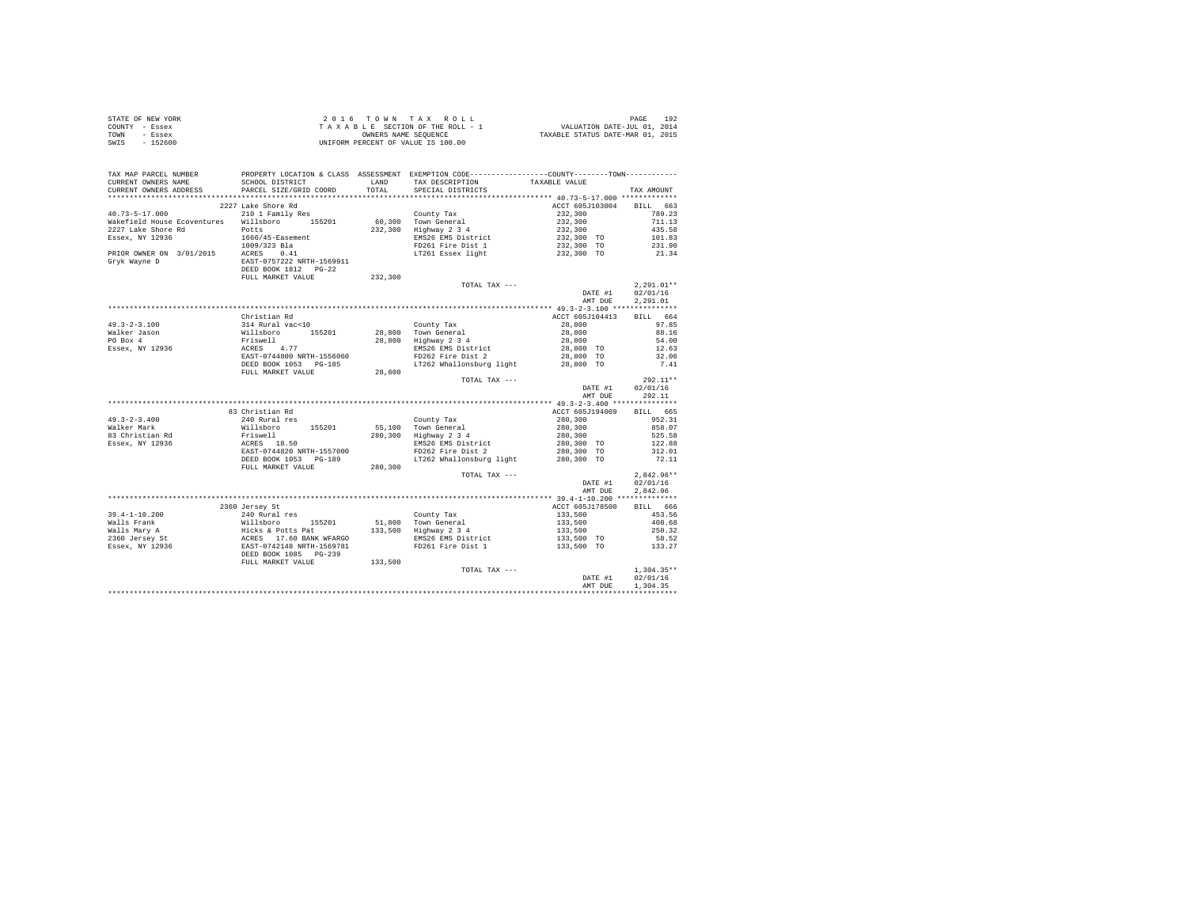| STATE OF NEW YORK | $2.0.16$ TOWN TAX ROLL             | 192<br>PAGE                      |
|-------------------|------------------------------------|----------------------------------|
| COUNTY - Essex    | TAXABLE SECTION OF THE ROLL - 1    | VALUATION DATE-JUL 01, 2014      |
| TOWN<br>- Essex   | OWNERS NAME SEOUENCE               | TAXABLE STATUS DATE-MAR 01, 2015 |
| $-152600$<br>SWIS | UNIFORM PERCENT OF VALUE IS 100.00 |                                  |

| TAX MAP PARCEL NUMBER<br>CURRENT OWNERS NAME                                                                                                                                                                                                                                                                                                                                                                                                  | SCHOOL DISTRICT        | LAND    | PROPERTY LOCATION & CLASS ASSESSMENT EXEMPTION CODE---------------COUNTY-------TOWN----------<br>TAX DESCRIPTION                                                                                                                           | TAXABLE VALUE                                                                                                                                                                                                                                                                                                                                         |                  |
|-----------------------------------------------------------------------------------------------------------------------------------------------------------------------------------------------------------------------------------------------------------------------------------------------------------------------------------------------------------------------------------------------------------------------------------------------|------------------------|---------|--------------------------------------------------------------------------------------------------------------------------------------------------------------------------------------------------------------------------------------------|-------------------------------------------------------------------------------------------------------------------------------------------------------------------------------------------------------------------------------------------------------------------------------------------------------------------------------------------------------|------------------|
| CURRENT OWNERS ADDRESS                                                                                                                                                                                                                                                                                                                                                                                                                        | PARCEL SIZE/GRID COORD | TOTAL   | SPECIAL DISTRICTS                                                                                                                                                                                                                          |                                                                                                                                                                                                                                                                                                                                                       | TAX AMOUNT       |
|                                                                                                                                                                                                                                                                                                                                                                                                                                               |                        |         |                                                                                                                                                                                                                                            |                                                                                                                                                                                                                                                                                                                                                       |                  |
|                                                                                                                                                                                                                                                                                                                                                                                                                                               | 2227 Lake Shore Rd     |         |                                                                                                                                                                                                                                            | ACCT 605J103004 BILL 663                                                                                                                                                                                                                                                                                                                              |                  |
| 40.73-5-17.000 210 1 Family Res<br>$\frac{40.73-5-17.000}{10.21}$ 210 1 Family Res $\frac{200}{10.300}$ County Tax<br>Wakefield House Ecoventures Willsboro 155201 60,300 Town General 2227 Lake Shore Rd                                                                                                                                                                                                                                     |                        |         |                                                                                                                                                                                                                                            |                                                                                                                                                                                                                                                                                                                                                       |                  |
|                                                                                                                                                                                                                                                                                                                                                                                                                                               |                        |         |                                                                                                                                                                                                                                            |                                                                                                                                                                                                                                                                                                                                                       |                  |
|                                                                                                                                                                                                                                                                                                                                                                                                                                               |                        |         |                                                                                                                                                                                                                                            |                                                                                                                                                                                                                                                                                                                                                       |                  |
|                                                                                                                                                                                                                                                                                                                                                                                                                                               |                        |         | EMS26 EMS District<br>FD261 Fire Dist 1                                                                                                                                                                                                    |                                                                                                                                                                                                                                                                                                                                                       |                  |
|                                                                                                                                                                                                                                                                                                                                                                                                                                               |                        |         |                                                                                                                                                                                                                                            |                                                                                                                                                                                                                                                                                                                                                       |                  |
| ARAETICIAL DIGES ROBERT MODEL POLITIST AND THE SERIES RESERVED AND RESERVED TO THE PRESERVED TO THE PRESERVED TO THE PRESERVED TO THE PAPER OF THE PAPER OF THE PAPER OF THE PAPER OF THE PAPER OF THE PAPER OF THE PAPER OF T                                                                                                                                                                                                                | FULL MARKET VALUE      | 232,300 | County Tax 232,300<br>Town General 232,300 711.13<br>EMS26 EMS District 232,300 TO 101.83<br>EMS26 EMS District 232,300 TO 101.83<br>EMS26 EMS District 232,300 TO 101.83<br>FD261 Fire Dist 1 232,300 TO 211.90<br>FD261 Essex light 232, |                                                                                                                                                                                                                                                                                                                                                       |                  |
|                                                                                                                                                                                                                                                                                                                                                                                                                                               |                        |         | TOTAL TAX ---                                                                                                                                                                                                                              |                                                                                                                                                                                                                                                                                                                                                       | $2.291.01**$     |
|                                                                                                                                                                                                                                                                                                                                                                                                                                               |                        |         |                                                                                                                                                                                                                                            | DATE #1                                                                                                                                                                                                                                                                                                                                               | 02/01/16         |
|                                                                                                                                                                                                                                                                                                                                                                                                                                               |                        |         |                                                                                                                                                                                                                                            | AMT DUE                                                                                                                                                                                                                                                                                                                                               | 2,291.01         |
|                                                                                                                                                                                                                                                                                                                                                                                                                                               |                        |         |                                                                                                                                                                                                                                            |                                                                                                                                                                                                                                                                                                                                                       |                  |
|                                                                                                                                                                                                                                                                                                                                                                                                                                               | Christian Rd           |         |                                                                                                                                                                                                                                            | ACCT 605J104413                                                                                                                                                                                                                                                                                                                                       | BILL 664         |
| $\begin{tabular}{lllllllllll} \multicolumn{1}{c}{\textbf{49.3--2-3.100}} & & & & & & & & & & \\ \multicolumn{1}{c}{\textbf{51.4 kural vac} & \textbf{10.5201}} & & & & & & & & \\ \multicolumn{1}{c}{\textbf{52.4 kural vac} & \textbf{10.5201}} & & & & & & & \\ \multicolumn{1}{c}{\textbf{F1.5 kwell}} & & & & & & & \\ \multicolumn{1}{c}{\textbf{F2.5 kull}} & & & & & & & \\ \multicolumn{1}{c}{\textbf{F2.5 kull}} & & & & & & & \\ \$ |                        |         | County Tax<br>28,800 Town General<br>28,800 Highway 2 3 4<br>EMS26 EMS District<br>FD262 Fire Dist 2                                                                                                                                       |                                                                                                                                                                                                                                                                                                                                                       |                  |
|                                                                                                                                                                                                                                                                                                                                                                                                                                               |                        |         |                                                                                                                                                                                                                                            |                                                                                                                                                                                                                                                                                                                                                       |                  |
|                                                                                                                                                                                                                                                                                                                                                                                                                                               |                        |         |                                                                                                                                                                                                                                            |                                                                                                                                                                                                                                                                                                                                                       |                  |
|                                                                                                                                                                                                                                                                                                                                                                                                                                               |                        |         |                                                                                                                                                                                                                                            |                                                                                                                                                                                                                                                                                                                                                       |                  |
|                                                                                                                                                                                                                                                                                                                                                                                                                                               |                        |         |                                                                                                                                                                                                                                            |                                                                                                                                                                                                                                                                                                                                                       |                  |
|                                                                                                                                                                                                                                                                                                                                                                                                                                               | DEED BOOK 1053 PG-185  |         |                                                                                                                                                                                                                                            |                                                                                                                                                                                                                                                                                                                                                       | 7.41             |
|                                                                                                                                                                                                                                                                                                                                                                                                                                               | FULL MARKET VALUE      |         | 199,800 TO 11262 Whallonsburg light 28,800 TO 28,800 TO 28,800 TO                                                                                                                                                                          |                                                                                                                                                                                                                                                                                                                                                       |                  |
|                                                                                                                                                                                                                                                                                                                                                                                                                                               |                        |         | TOTAL TAX ---                                                                                                                                                                                                                              |                                                                                                                                                                                                                                                                                                                                                       | $292.11**$       |
|                                                                                                                                                                                                                                                                                                                                                                                                                                               |                        |         |                                                                                                                                                                                                                                            | DATE #1                                                                                                                                                                                                                                                                                                                                               | 02/01/16         |
|                                                                                                                                                                                                                                                                                                                                                                                                                                               |                        |         |                                                                                                                                                                                                                                            | AMT DUE                                                                                                                                                                                                                                                                                                                                               | 292.11           |
|                                                                                                                                                                                                                                                                                                                                                                                                                                               |                        |         |                                                                                                                                                                                                                                            |                                                                                                                                                                                                                                                                                                                                                       |                  |
|                                                                                                                                                                                                                                                                                                                                                                                                                                               | 83 Christian Rd        |         |                                                                                                                                                                                                                                            | ACCT 605J194009                                                                                                                                                                                                                                                                                                                                       | BILL 665         |
|                                                                                                                                                                                                                                                                                                                                                                                                                                               |                        |         |                                                                                                                                                                                                                                            |                                                                                                                                                                                                                                                                                                                                                       | 952.31           |
|                                                                                                                                                                                                                                                                                                                                                                                                                                               |                        |         |                                                                                                                                                                                                                                            |                                                                                                                                                                                                                                                                                                                                                       | 858.07           |
|                                                                                                                                                                                                                                                                                                                                                                                                                                               |                        |         |                                                                                                                                                                                                                                            |                                                                                                                                                                                                                                                                                                                                                       | 525.58           |
|                                                                                                                                                                                                                                                                                                                                                                                                                                               |                        |         |                                                                                                                                                                                                                                            |                                                                                                                                                                                                                                                                                                                                                       | 122.88           |
|                                                                                                                                                                                                                                                                                                                                                                                                                                               |                        |         | EMS26 EMS District<br>FD262 Fire Dist 2                                                                                                                                                                                                    | $280,300$<br>$280,300$<br>$280,300$<br>$280,300$ TO<br>$280,300$ TO                                                                                                                                                                                                                                                                                   | 312.01           |
|                                                                                                                                                                                                                                                                                                                                                                                                                                               |                        |         | LT262 Whallonsburg light 280,300 TO                                                                                                                                                                                                        |                                                                                                                                                                                                                                                                                                                                                       | 72.11            |
|                                                                                                                                                                                                                                                                                                                                                                                                                                               | FULL MARKET VALUE      | 280,300 |                                                                                                                                                                                                                                            |                                                                                                                                                                                                                                                                                                                                                       |                  |
|                                                                                                                                                                                                                                                                                                                                                                                                                                               |                        |         | TOTAL TAX ---                                                                                                                                                                                                                              |                                                                                                                                                                                                                                                                                                                                                       | $2,842.96**$     |
|                                                                                                                                                                                                                                                                                                                                                                                                                                               |                        |         |                                                                                                                                                                                                                                            | DATE #1                                                                                                                                                                                                                                                                                                                                               | 02/01/16         |
|                                                                                                                                                                                                                                                                                                                                                                                                                                               |                        |         |                                                                                                                                                                                                                                            | AMT DUE                                                                                                                                                                                                                                                                                                                                               | 2.842.96         |
|                                                                                                                                                                                                                                                                                                                                                                                                                                               |                        |         |                                                                                                                                                                                                                                            |                                                                                                                                                                                                                                                                                                                                                       |                  |
|                                                                                                                                                                                                                                                                                                                                                                                                                                               | 2360 Jersey St         |         |                                                                                                                                                                                                                                            | ACCT 605J178500 BILL 666                                                                                                                                                                                                                                                                                                                              |                  |
|                                                                                                                                                                                                                                                                                                                                                                                                                                               |                        |         |                                                                                                                                                                                                                                            |                                                                                                                                                                                                                                                                                                                                                       |                  |
|                                                                                                                                                                                                                                                                                                                                                                                                                                               |                        |         |                                                                                                                                                                                                                                            |                                                                                                                                                                                                                                                                                                                                                       |                  |
|                                                                                                                                                                                                                                                                                                                                                                                                                                               |                        |         |                                                                                                                                                                                                                                            |                                                                                                                                                                                                                                                                                                                                                       |                  |
|                                                                                                                                                                                                                                                                                                                                                                                                                                               |                        |         |                                                                                                                                                                                                                                            |                                                                                                                                                                                                                                                                                                                                                       |                  |
|                                                                                                                                                                                                                                                                                                                                                                                                                                               |                        |         |                                                                                                                                                                                                                                            | $\begin{tabular}{l c c c} \texttt{ACCT 6057178500} & \texttt{5111} & \texttt{033} \\ \texttt{123}, 500 & \texttt{453.56} \\ \texttt{133}, 500 & \texttt{408.68} \\ \texttt{133, 500} & \texttt{250.32} \\ \texttt{133, 500} & \texttt{58.52} \\ \texttt{133, 500} & \texttt{T0} & \texttt{58.52} \\ \texttt{133, 27} & \texttt{133.27} \end{tabular}$ |                  |
|                                                                                                                                                                                                                                                                                                                                                                                                                                               |                        | 133,500 |                                                                                                                                                                                                                                            |                                                                                                                                                                                                                                                                                                                                                       |                  |
|                                                                                                                                                                                                                                                                                                                                                                                                                                               | FULL MARKET VALUE      |         | TOTAL TAX ---                                                                                                                                                                                                                              |                                                                                                                                                                                                                                                                                                                                                       | $1,304.35**$     |
|                                                                                                                                                                                                                                                                                                                                                                                                                                               |                        |         |                                                                                                                                                                                                                                            |                                                                                                                                                                                                                                                                                                                                                       | DATE #1 02/01/16 |
|                                                                                                                                                                                                                                                                                                                                                                                                                                               |                        |         |                                                                                                                                                                                                                                            | AMT DUE                                                                                                                                                                                                                                                                                                                                               | 1,304.35         |
|                                                                                                                                                                                                                                                                                                                                                                                                                                               |                        |         |                                                                                                                                                                                                                                            |                                                                                                                                                                                                                                                                                                                                                       |                  |
|                                                                                                                                                                                                                                                                                                                                                                                                                                               |                        |         |                                                                                                                                                                                                                                            |                                                                                                                                                                                                                                                                                                                                                       |                  |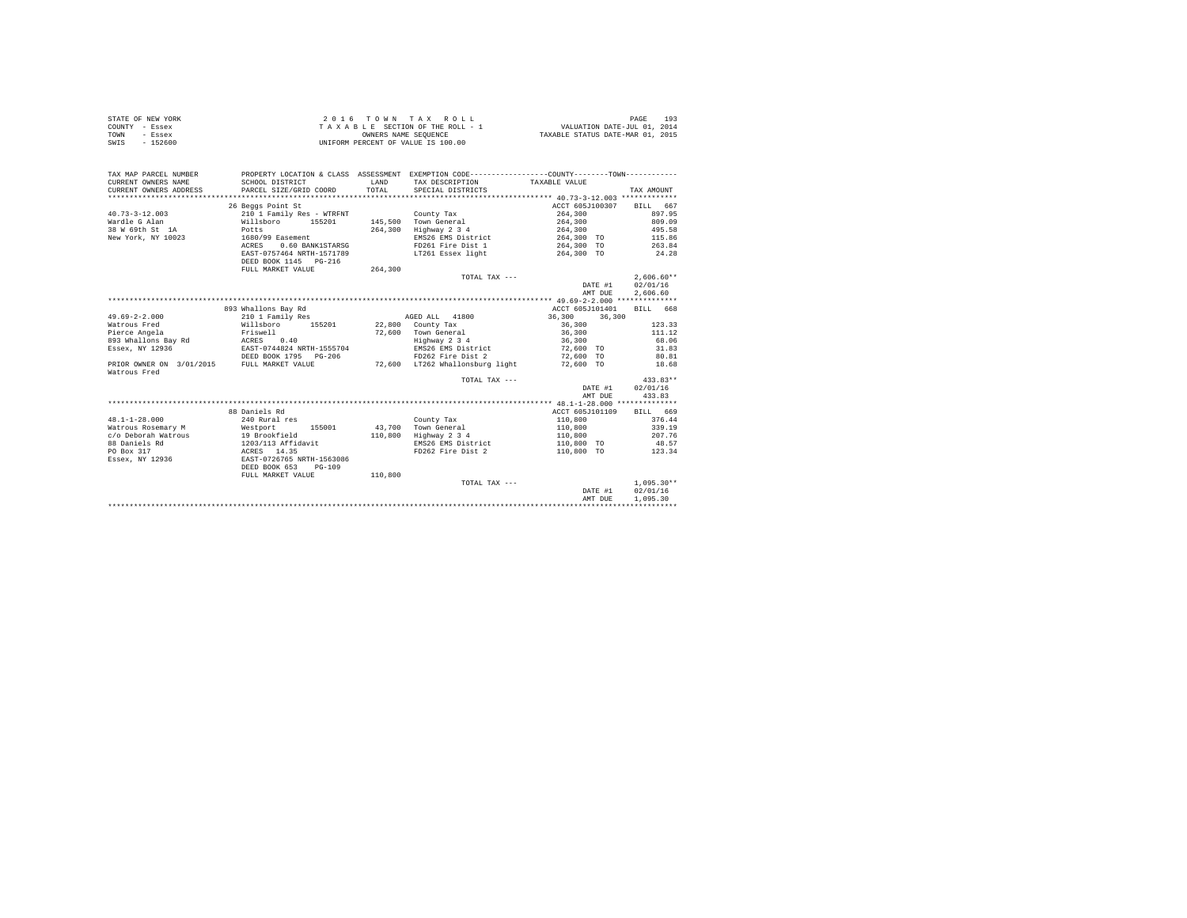|                | STATE OF NEW YORK | $2.0.16$ TOWN TAX ROLL             | 193<br>PAGE                      |
|----------------|-------------------|------------------------------------|----------------------------------|
| COUNTY - Essex |                   | TAXABLE SECTION OF THE ROLL - 1    | VALUATION DATE-JUL 01, 2014      |
| TOWN           | - Essex           | OWNERS NAME SEOUENCE               | TAXABLE STATUS DATE-MAR 01, 2015 |
| SWIS           | $-152600$         | UNIFORM PERCENT OF VALUE IS 100.00 |                                  |

| CURRENT OWNERS ADDRESS<br>PARCEL SIZE/GRID COORD<br>SPECIAL DISTRICTS<br>TAX AMOUNT<br>26 Beggs Point St<br>ACCT 605J100307<br>BILL 667<br>897.95<br>210 1 Family Res - WTRFNT<br>County Tax<br>264,300<br>264,300<br>Willsboro 155201<br>145.500 Town General<br>809.09<br>Highway 2 3 4<br>Potts<br>264,300<br>264,300<br>495.58<br>EMS26 EMS District<br>264,300 TO<br>115.86<br>1680/99 Easement<br>0.60 BANK1STARSG<br>FD261 Fire Dist 1<br>264,300 TO<br>263.84<br>ACRES<br>LT261 Essex light<br>EAST-0757464 NRTH-1571789<br>264,300 TO<br>24.28<br>DEED BOOK 1145 PG-216<br>264,300<br>FULL MARKET VALUE<br>$2.606.60**$<br>TOTAL TAX ---<br>02/01/16<br>DATE #1<br>2,606.60<br>AMT DUE<br>893 Whallons Bay Rd<br>ACCT 605J101401<br>BILL 668<br>210 1 Family Res<br>AGED ALL 41800<br>36,300<br>36,300<br>Willsboro 155201 22,800 County Tax<br>123.33<br>36,300<br>36,300<br>Friswell<br>ACRES 0.40<br>72,600 Town General<br>Highway 2 3 4<br>111.12<br>36,300<br>68.06<br>EAST-0744824 NRTH-1555704<br>EMS26 EMS District<br>72,600 TO<br>31.83<br>DEED BOOK 1795 PG-206<br>FD262 Fire Dist 2<br>72,600 TO<br>80.81<br>72.600 LT262 Whallonsburg light<br>72,600 TO<br>18.68<br>$433.83**$<br>TOTAL TAX $---$<br>02/01/16<br>DATE #1<br>433.83<br>AMT DUE<br>88 Daniels Rd<br>ACCT 605J101109<br>RTLL 669<br>240 Rural res<br>110,800<br>376.44<br>County Tax<br>Town General<br>339.19<br>Westport<br>43,700<br>110,800<br>155001<br>19 Brookfield<br>Highway 2 3 4<br>207.76<br>110,800<br>110,800<br>$1203/113$ Affidavit<br>EMS26 EMS District<br>110,800 TO<br>48.57<br>ACRES 14.35<br>FD262 Fire Dist 2<br>110,800 TO<br>123.34<br>EAST-0726765 NRTH-1563086 | TAX MAP PARCEL NUMBER<br>CURRENT OWNERS NAME | SCHOOL DISTRICT | LAND<br>TOTAL. | PROPERTY LOCATION & CLASS ASSESSMENT EXEMPTION CODE----------------COUNTY-------TOWN----------<br>TAX DESCRIPTION TAXABLE VALUE |              |
|--------------------------------------------------------------------------------------------------------------------------------------------------------------------------------------------------------------------------------------------------------------------------------------------------------------------------------------------------------------------------------------------------------------------------------------------------------------------------------------------------------------------------------------------------------------------------------------------------------------------------------------------------------------------------------------------------------------------------------------------------------------------------------------------------------------------------------------------------------------------------------------------------------------------------------------------------------------------------------------------------------------------------------------------------------------------------------------------------------------------------------------------------------------------------------------------------------------------------------------------------------------------------------------------------------------------------------------------------------------------------------------------------------------------------------------------------------------------------------------------------------------------------------------------------------------------------------------------------------------------------------------------------------------------------------|----------------------------------------------|-----------------|----------------|---------------------------------------------------------------------------------------------------------------------------------|--------------|
|                                                                                                                                                                                                                                                                                                                                                                                                                                                                                                                                                                                                                                                                                                                                                                                                                                                                                                                                                                                                                                                                                                                                                                                                                                                                                                                                                                                                                                                                                                                                                                                                                                                                                |                                              |                 |                |                                                                                                                                 |              |
| $40.73 - 3 - 12.003$<br>Wardle G Alan<br>38 W 69th St 1A<br>New York, NY 10023<br>$49.69 - 2 - 2.000$<br>Watrous Fred<br>Pierce Angela<br>893 Whallons Bay Rd<br>Essex, NY 12936<br>PRIOR OWNER ON 3/01/2015 FULL MARKET VALUE<br>Watrous Fred<br>$48.1 - 1 - 28.000$<br>Watrous Rosemary M<br>c/o Deborah Watrous<br>88 Daniels Rd<br>PO Box 317<br>Essex, NY 12936                                                                                                                                                                                                                                                                                                                                                                                                                                                                                                                                                                                                                                                                                                                                                                                                                                                                                                                                                                                                                                                                                                                                                                                                                                                                                                           |                                              |                 |                |                                                                                                                                 |              |
|                                                                                                                                                                                                                                                                                                                                                                                                                                                                                                                                                                                                                                                                                                                                                                                                                                                                                                                                                                                                                                                                                                                                                                                                                                                                                                                                                                                                                                                                                                                                                                                                                                                                                |                                              |                 |                |                                                                                                                                 |              |
|                                                                                                                                                                                                                                                                                                                                                                                                                                                                                                                                                                                                                                                                                                                                                                                                                                                                                                                                                                                                                                                                                                                                                                                                                                                                                                                                                                                                                                                                                                                                                                                                                                                                                |                                              |                 |                |                                                                                                                                 |              |
|                                                                                                                                                                                                                                                                                                                                                                                                                                                                                                                                                                                                                                                                                                                                                                                                                                                                                                                                                                                                                                                                                                                                                                                                                                                                                                                                                                                                                                                                                                                                                                                                                                                                                |                                              |                 |                |                                                                                                                                 |              |
|                                                                                                                                                                                                                                                                                                                                                                                                                                                                                                                                                                                                                                                                                                                                                                                                                                                                                                                                                                                                                                                                                                                                                                                                                                                                                                                                                                                                                                                                                                                                                                                                                                                                                |                                              |                 |                |                                                                                                                                 |              |
|                                                                                                                                                                                                                                                                                                                                                                                                                                                                                                                                                                                                                                                                                                                                                                                                                                                                                                                                                                                                                                                                                                                                                                                                                                                                                                                                                                                                                                                                                                                                                                                                                                                                                |                                              |                 |                |                                                                                                                                 |              |
|                                                                                                                                                                                                                                                                                                                                                                                                                                                                                                                                                                                                                                                                                                                                                                                                                                                                                                                                                                                                                                                                                                                                                                                                                                                                                                                                                                                                                                                                                                                                                                                                                                                                                |                                              |                 |                |                                                                                                                                 |              |
|                                                                                                                                                                                                                                                                                                                                                                                                                                                                                                                                                                                                                                                                                                                                                                                                                                                                                                                                                                                                                                                                                                                                                                                                                                                                                                                                                                                                                                                                                                                                                                                                                                                                                |                                              |                 |                |                                                                                                                                 |              |
|                                                                                                                                                                                                                                                                                                                                                                                                                                                                                                                                                                                                                                                                                                                                                                                                                                                                                                                                                                                                                                                                                                                                                                                                                                                                                                                                                                                                                                                                                                                                                                                                                                                                                |                                              |                 |                |                                                                                                                                 |              |
|                                                                                                                                                                                                                                                                                                                                                                                                                                                                                                                                                                                                                                                                                                                                                                                                                                                                                                                                                                                                                                                                                                                                                                                                                                                                                                                                                                                                                                                                                                                                                                                                                                                                                |                                              |                 |                |                                                                                                                                 |              |
|                                                                                                                                                                                                                                                                                                                                                                                                                                                                                                                                                                                                                                                                                                                                                                                                                                                                                                                                                                                                                                                                                                                                                                                                                                                                                                                                                                                                                                                                                                                                                                                                                                                                                |                                              |                 |                |                                                                                                                                 |              |
|                                                                                                                                                                                                                                                                                                                                                                                                                                                                                                                                                                                                                                                                                                                                                                                                                                                                                                                                                                                                                                                                                                                                                                                                                                                                                                                                                                                                                                                                                                                                                                                                                                                                                |                                              |                 |                |                                                                                                                                 |              |
|                                                                                                                                                                                                                                                                                                                                                                                                                                                                                                                                                                                                                                                                                                                                                                                                                                                                                                                                                                                                                                                                                                                                                                                                                                                                                                                                                                                                                                                                                                                                                                                                                                                                                |                                              |                 |                |                                                                                                                                 |              |
|                                                                                                                                                                                                                                                                                                                                                                                                                                                                                                                                                                                                                                                                                                                                                                                                                                                                                                                                                                                                                                                                                                                                                                                                                                                                                                                                                                                                                                                                                                                                                                                                                                                                                |                                              |                 |                |                                                                                                                                 |              |
|                                                                                                                                                                                                                                                                                                                                                                                                                                                                                                                                                                                                                                                                                                                                                                                                                                                                                                                                                                                                                                                                                                                                                                                                                                                                                                                                                                                                                                                                                                                                                                                                                                                                                |                                              |                 |                |                                                                                                                                 |              |
|                                                                                                                                                                                                                                                                                                                                                                                                                                                                                                                                                                                                                                                                                                                                                                                                                                                                                                                                                                                                                                                                                                                                                                                                                                                                                                                                                                                                                                                                                                                                                                                                                                                                                |                                              |                 |                |                                                                                                                                 |              |
|                                                                                                                                                                                                                                                                                                                                                                                                                                                                                                                                                                                                                                                                                                                                                                                                                                                                                                                                                                                                                                                                                                                                                                                                                                                                                                                                                                                                                                                                                                                                                                                                                                                                                |                                              |                 |                |                                                                                                                                 |              |
|                                                                                                                                                                                                                                                                                                                                                                                                                                                                                                                                                                                                                                                                                                                                                                                                                                                                                                                                                                                                                                                                                                                                                                                                                                                                                                                                                                                                                                                                                                                                                                                                                                                                                |                                              |                 |                |                                                                                                                                 |              |
|                                                                                                                                                                                                                                                                                                                                                                                                                                                                                                                                                                                                                                                                                                                                                                                                                                                                                                                                                                                                                                                                                                                                                                                                                                                                                                                                                                                                                                                                                                                                                                                                                                                                                |                                              |                 |                |                                                                                                                                 |              |
|                                                                                                                                                                                                                                                                                                                                                                                                                                                                                                                                                                                                                                                                                                                                                                                                                                                                                                                                                                                                                                                                                                                                                                                                                                                                                                                                                                                                                                                                                                                                                                                                                                                                                |                                              |                 |                |                                                                                                                                 |              |
|                                                                                                                                                                                                                                                                                                                                                                                                                                                                                                                                                                                                                                                                                                                                                                                                                                                                                                                                                                                                                                                                                                                                                                                                                                                                                                                                                                                                                                                                                                                                                                                                                                                                                |                                              |                 |                |                                                                                                                                 |              |
|                                                                                                                                                                                                                                                                                                                                                                                                                                                                                                                                                                                                                                                                                                                                                                                                                                                                                                                                                                                                                                                                                                                                                                                                                                                                                                                                                                                                                                                                                                                                                                                                                                                                                |                                              |                 |                |                                                                                                                                 |              |
|                                                                                                                                                                                                                                                                                                                                                                                                                                                                                                                                                                                                                                                                                                                                                                                                                                                                                                                                                                                                                                                                                                                                                                                                                                                                                                                                                                                                                                                                                                                                                                                                                                                                                |                                              |                 |                |                                                                                                                                 |              |
|                                                                                                                                                                                                                                                                                                                                                                                                                                                                                                                                                                                                                                                                                                                                                                                                                                                                                                                                                                                                                                                                                                                                                                                                                                                                                                                                                                                                                                                                                                                                                                                                                                                                                |                                              |                 |                |                                                                                                                                 |              |
|                                                                                                                                                                                                                                                                                                                                                                                                                                                                                                                                                                                                                                                                                                                                                                                                                                                                                                                                                                                                                                                                                                                                                                                                                                                                                                                                                                                                                                                                                                                                                                                                                                                                                |                                              |                 |                |                                                                                                                                 |              |
|                                                                                                                                                                                                                                                                                                                                                                                                                                                                                                                                                                                                                                                                                                                                                                                                                                                                                                                                                                                                                                                                                                                                                                                                                                                                                                                                                                                                                                                                                                                                                                                                                                                                                |                                              |                 |                |                                                                                                                                 |              |
|                                                                                                                                                                                                                                                                                                                                                                                                                                                                                                                                                                                                                                                                                                                                                                                                                                                                                                                                                                                                                                                                                                                                                                                                                                                                                                                                                                                                                                                                                                                                                                                                                                                                                |                                              |                 |                |                                                                                                                                 |              |
|                                                                                                                                                                                                                                                                                                                                                                                                                                                                                                                                                                                                                                                                                                                                                                                                                                                                                                                                                                                                                                                                                                                                                                                                                                                                                                                                                                                                                                                                                                                                                                                                                                                                                |                                              |                 |                |                                                                                                                                 |              |
|                                                                                                                                                                                                                                                                                                                                                                                                                                                                                                                                                                                                                                                                                                                                                                                                                                                                                                                                                                                                                                                                                                                                                                                                                                                                                                                                                                                                                                                                                                                                                                                                                                                                                |                                              |                 |                |                                                                                                                                 |              |
|                                                                                                                                                                                                                                                                                                                                                                                                                                                                                                                                                                                                                                                                                                                                                                                                                                                                                                                                                                                                                                                                                                                                                                                                                                                                                                                                                                                                                                                                                                                                                                                                                                                                                |                                              |                 |                |                                                                                                                                 |              |
|                                                                                                                                                                                                                                                                                                                                                                                                                                                                                                                                                                                                                                                                                                                                                                                                                                                                                                                                                                                                                                                                                                                                                                                                                                                                                                                                                                                                                                                                                                                                                                                                                                                                                |                                              |                 |                |                                                                                                                                 |              |
|                                                                                                                                                                                                                                                                                                                                                                                                                                                                                                                                                                                                                                                                                                                                                                                                                                                                                                                                                                                                                                                                                                                                                                                                                                                                                                                                                                                                                                                                                                                                                                                                                                                                                |                                              |                 |                |                                                                                                                                 |              |
|                                                                                                                                                                                                                                                                                                                                                                                                                                                                                                                                                                                                                                                                                                                                                                                                                                                                                                                                                                                                                                                                                                                                                                                                                                                                                                                                                                                                                                                                                                                                                                                                                                                                                |                                              |                 |                |                                                                                                                                 |              |
| DEED BOOK 653<br>$PG-109$                                                                                                                                                                                                                                                                                                                                                                                                                                                                                                                                                                                                                                                                                                                                                                                                                                                                                                                                                                                                                                                                                                                                                                                                                                                                                                                                                                                                                                                                                                                                                                                                                                                      |                                              |                 |                |                                                                                                                                 |              |
| FULL MARKET VALUE<br>110,800                                                                                                                                                                                                                                                                                                                                                                                                                                                                                                                                                                                                                                                                                                                                                                                                                                                                                                                                                                                                                                                                                                                                                                                                                                                                                                                                                                                                                                                                                                                                                                                                                                                   |                                              |                 |                |                                                                                                                                 |              |
|                                                                                                                                                                                                                                                                                                                                                                                                                                                                                                                                                                                                                                                                                                                                                                                                                                                                                                                                                                                                                                                                                                                                                                                                                                                                                                                                                                                                                                                                                                                                                                                                                                                                                |                                              |                 |                |                                                                                                                                 | $1.095.30**$ |
| TOTAL TAX ---<br>02/01/16<br>DATE #1                                                                                                                                                                                                                                                                                                                                                                                                                                                                                                                                                                                                                                                                                                                                                                                                                                                                                                                                                                                                                                                                                                                                                                                                                                                                                                                                                                                                                                                                                                                                                                                                                                           |                                              |                 |                |                                                                                                                                 |              |
| 1,095.30                                                                                                                                                                                                                                                                                                                                                                                                                                                                                                                                                                                                                                                                                                                                                                                                                                                                                                                                                                                                                                                                                                                                                                                                                                                                                                                                                                                                                                                                                                                                                                                                                                                                       |                                              |                 |                |                                                                                                                                 |              |
| AMT DUE                                                                                                                                                                                                                                                                                                                                                                                                                                                                                                                                                                                                                                                                                                                                                                                                                                                                                                                                                                                                                                                                                                                                                                                                                                                                                                                                                                                                                                                                                                                                                                                                                                                                        |                                              |                 |                |                                                                                                                                 |              |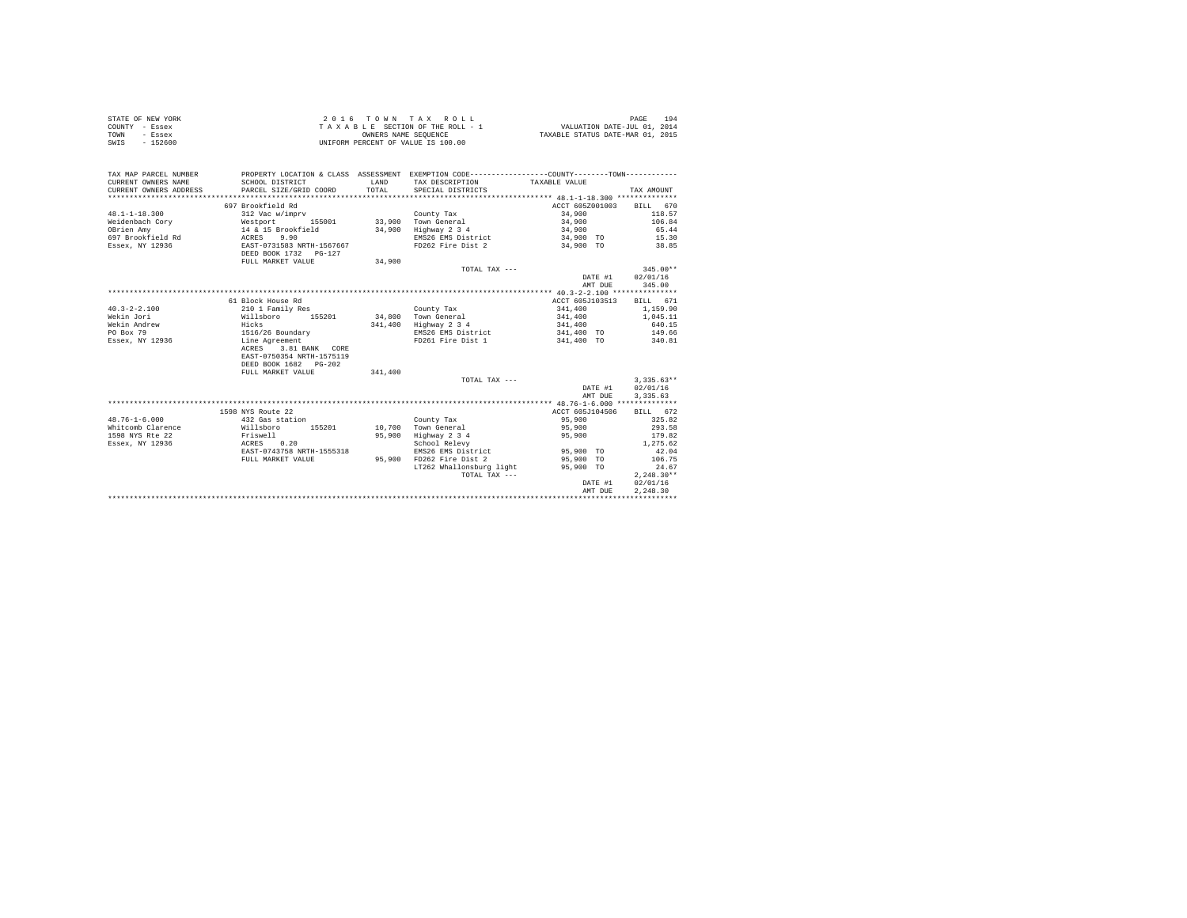|                | STATE OF NEW YORK | 2016 TOWN TAX ROLL                 | 194<br>PAGE                      |
|----------------|-------------------|------------------------------------|----------------------------------|
| COUNTY - Essex |                   | TAXABLE SECTION OF THE ROLL - 1    | VALUATION DATE-JUL 01, 2014      |
| TOWN           | - Essex           | OWNERS NAME SEOUENCE               | TAXABLE STATUS DATE-MAR 01, 2015 |
| SWIS           | $-152600$         | UNIFORM PERCENT OF VALUE IS 100.00 |                                  |

| TAX MAP PARCEL NUMBER<br>CURRENT OWNERS NAME<br>CURRENT OWNERS ADDRESS | SCHOOL DISTRICT<br>PARCEL SIZE/GRID COORD | <b>T.AND</b><br>TOTAL | PROPERTY LOCATION & CLASS ASSESSMENT EXEMPTION CODE---------------COUNTY-------TOWN----------<br>TAX DESCRIPTION TAXABLE VALUE<br>SPECIAL DISTRICTS |                 | TAX AMOUNT       |
|------------------------------------------------------------------------|-------------------------------------------|-----------------------|-----------------------------------------------------------------------------------------------------------------------------------------------------|-----------------|------------------|
|                                                                        | 697 Brookfield Rd                         |                       |                                                                                                                                                     | ACCT 605Z001003 | BILL 670         |
| $48.1 - 1 - 18.300$                                                    | 312 Vac w/imprv                           |                       | County Tax                                                                                                                                          | 34,900          | 118.57           |
| Weidenbach Corv                                                        |                                           |                       | 33.900 Town General                                                                                                                                 | 34,900          | 106.84           |
| OBrien Amy                                                             | Westport 155001<br>14 & 15 Brookfield     | 34,900                | Highway 2 3 4                                                                                                                                       | 34,900          | 65.44            |
| 697 Brookfield Rd ACRES                                                | 9.90                                      |                       | EMS26 EMS District                                                                                                                                  | 34,900 TO 15.30 |                  |
| Essex, NY 12936                                                        | EAST-0731583 NRTH-1567667                 |                       | FD262 Fire Dist 2 34,900 TO 38.85                                                                                                                   |                 |                  |
|                                                                        | DEED BOOK 1732 PG-127                     |                       |                                                                                                                                                     |                 |                  |
|                                                                        | FULL MARKET VALUE                         | 34,900                |                                                                                                                                                     |                 |                  |
|                                                                        |                                           |                       | TOTAL TAX $---$                                                                                                                                     |                 | $345.00**$       |
|                                                                        |                                           |                       |                                                                                                                                                     | DATE #1         | 02/01/16         |
|                                                                        |                                           |                       |                                                                                                                                                     | AMT DUE         | 345.00           |
|                                                                        |                                           |                       |                                                                                                                                                     |                 |                  |
|                                                                        | 61 Block House Rd                         |                       |                                                                                                                                                     | ACCT 605J103513 | <b>BILL</b> 671  |
| $40.3 - 2 - 2.100$                                                     | 210 1 Family Res                          |                       | County Tax                                                                                                                                          | 341,400         | 1,159.90         |
| Wekin Jori                                                             | Willsboro<br>155201                       |                       | 34.800 Town General                                                                                                                                 | 341,400         | 1,045.11         |
| Wekin Andrew                                                           | Hicks                                     |                       | 341,400 Highway 2 3 4                                                                                                                               | 341,400         | 640.15           |
| PO Box 79                                                              | 1516/26 Boundary                          |                       | EMS26 EMS District                                                                                                                                  | 341,400 TO      | 149.66           |
| Essex, NY 12936                                                        | Line Agreement                            |                       | FD261 Fire Dist 1                                                                                                                                   | 341,400 TO      | 340.81           |
|                                                                        | 3.81 BANK CORE<br>ACRES                   |                       |                                                                                                                                                     |                 |                  |
|                                                                        | EAST-0750354 NRTH-1575119                 |                       |                                                                                                                                                     |                 |                  |
|                                                                        | DEED BOOK 1682 PG-202                     |                       |                                                                                                                                                     |                 |                  |
|                                                                        | FULL MARKET VALUE                         | 341,400               |                                                                                                                                                     |                 |                  |
|                                                                        |                                           |                       | TOTAL TAX ---                                                                                                                                       |                 | $3.335.63**$     |
|                                                                        |                                           |                       |                                                                                                                                                     |                 | DATE #1 02/01/16 |
|                                                                        |                                           |                       |                                                                                                                                                     | AMT DUE         | 3,335.63         |
|                                                                        |                                           |                       |                                                                                                                                                     |                 |                  |
|                                                                        | 1598 NYS Route 22                         |                       |                                                                                                                                                     | ACCT 605J104506 | BILL 672         |
| $48.76 - 1 - 6.000$                                                    | 432 Gas station                           |                       | County Tax                                                                                                                                          | 95,900          | 325.82           |
| Whitcomb Clarence                                                      | Willsboro<br>155201                       |                       | 10,700 Town General                                                                                                                                 | 95,900          | 293.58           |
| 1598 NYS Rte 22                                                        | Friswell<br>ACRES 0.20                    | 95,900                | Highway 2 3 4                                                                                                                                       | 95,900          | 179.82           |
| Essex, NY 12936                                                        |                                           |                       | School Relevy                                                                                                                                       |                 | 1,275.62         |
|                                                                        | EAST-0743758 NRTH-1555318                 |                       | EMS26 EMS District 95,900 TO                                                                                                                        |                 | 42.04            |
|                                                                        | FULL MARKET VALUE                         | 95,900                | FD262 Fire Dist 2                                                                                                                                   | 95,900 TO       | 106.75           |
|                                                                        |                                           |                       | LT262 Whallonsburg light                                                                                                                            | 95,900 TO       | 24.67            |
|                                                                        |                                           |                       | TOTAL TAX $---$                                                                                                                                     |                 | $2.248.30**$     |
|                                                                        |                                           |                       |                                                                                                                                                     | DATE #1         | 02/01/16         |
|                                                                        |                                           |                       |                                                                                                                                                     | AMT DUE         | 2.248.30         |
|                                                                        |                                           |                       |                                                                                                                                                     |                 |                  |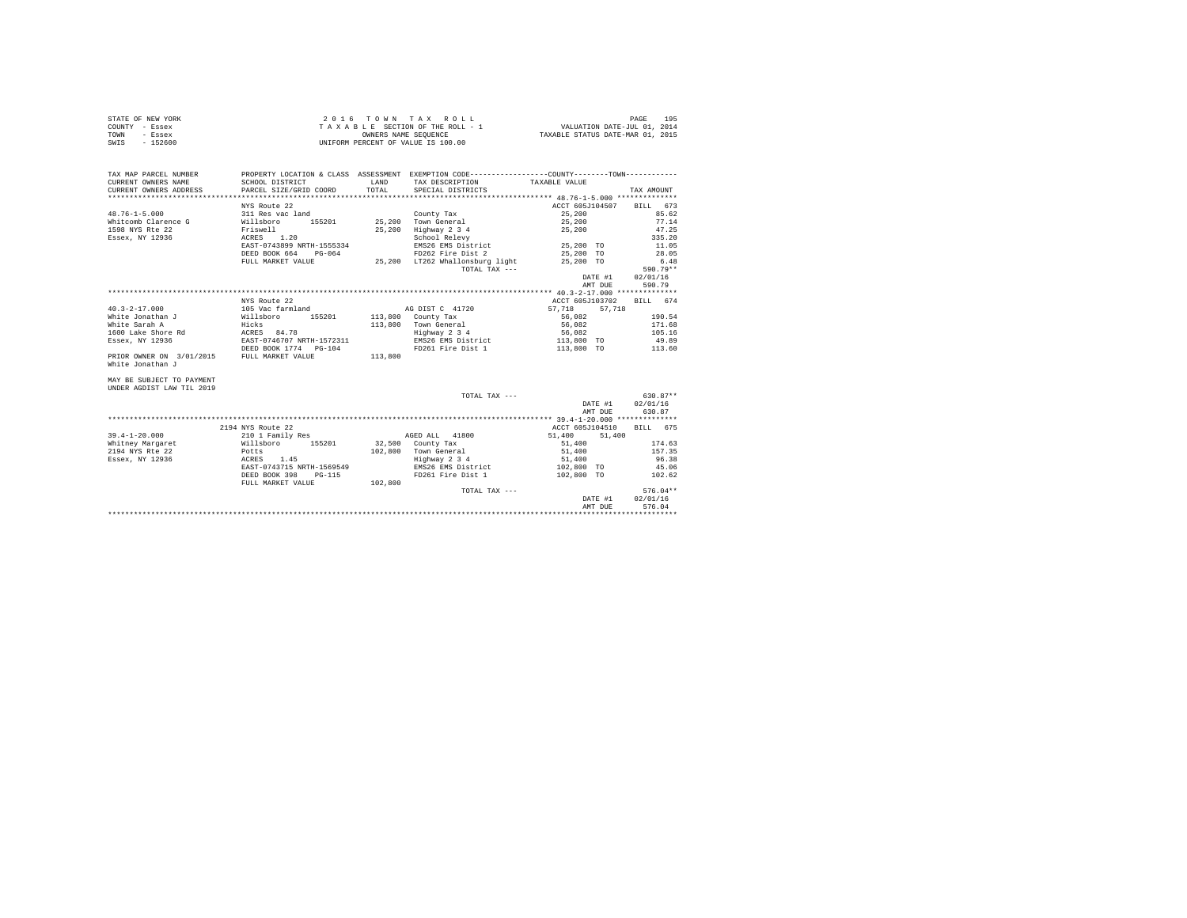| STATE OF NEW YORK | $2.0.16$ TOWN TAX ROLL             | 195<br>PAGE                      |
|-------------------|------------------------------------|----------------------------------|
| COUNTY - Essex    | TAXABLE SECTION OF THE ROLL - 1    | VALUATION DATE-JUL 01, 2014      |
| TOWN<br>- Essex   | OWNERS NAME SEOUENCE               | TAXABLE STATUS DATE-MAR 01, 2015 |
| SWIS<br>$-152600$ | UNIFORM PERCENT OF VALUE IS 100.00 |                                  |

| TAX MAP PARCEL NUMBER<br>CURRENT OWNERS NAME<br>CURRENT OWNERS ADDRESS PARCEL SIZE/GRID COORD                                                     | SCHOOL DISTRICT                                                                                                                                                   | <b>T.AND</b><br>TOTAL | PROPERTY LOCATION & CLASS ASSESSMENT EXEMPTION CODE---------------COUNTY-------TOWN---------<br>TAX DESCRIPTION<br>SPECIAL DISTRICTS                                  | TAXABLE VALUE                                                                              | TAX AMOUNT                                                                |
|---------------------------------------------------------------------------------------------------------------------------------------------------|-------------------------------------------------------------------------------------------------------------------------------------------------------------------|-----------------------|-----------------------------------------------------------------------------------------------------------------------------------------------------------------------|--------------------------------------------------------------------------------------------|---------------------------------------------------------------------------|
| $48.76 - 1 - 5.000$<br>Whitcomb Clarence G<br>1598 NYS Rte 22<br>Essex, NY 12936                                                                  | NYS Route 22<br>311 Res vac land<br>Willsboro<br>155201<br>Friswell<br>1.20<br>ACRES<br>EAST-0743899 NRTH-1555334<br>DEED BOOK 664<br>PG-064<br>FULL MARKET VALUE | 25,200<br>25,200      | County Tax<br>Town General<br>Highway 2 3 4<br>School Relevy<br>EMS26 EMS District 25,200 TO<br>FD262 Fire Dist 2<br>25,200 LT262 Whallonsburg light<br>TOTAL TAX --- | ACCT 605J104507 BILL 673<br>25,200<br>25,200<br>25,200<br>25,200 TO<br>25,200 TO           | 85.62<br>77.14<br>47.25<br>335.20<br>11.05<br>28.05<br>6.48<br>$590.79**$ |
|                                                                                                                                                   |                                                                                                                                                                   |                       |                                                                                                                                                                       | DATE #1<br>AMT DUE                                                                         | 02/01/16<br>590.79                                                        |
| $40.3 - 2 - 17.000$<br>White Jonathan J<br>White Sarah A<br>1600 Lake Shore Rd<br>Essex, NY 12936<br>PRIOR OWNER ON 3/01/2015<br>White Jonathan J | NYS Route 22<br>105 Vac farmland<br>Willsboro<br>155201<br>Hicks<br>ACRES<br>84.78<br>EAST-0746707 NRTH-1572311<br>DEED BOOK 1774 PG-104<br>FULL MARKET VALUE     | 113,800<br>113,800    | AG DIST C 41720<br>113,800 County Tax<br>Town General<br>Highway 2 3 4<br>EMS26 EMS District<br>FD261 Fire Dist 1                                                     | ACCT 605J103702<br>57.718 57.718<br>56,082<br>56,082<br>56,082<br>113,800 TO<br>113,800 TO | BILL 674<br>190.54<br>171.68<br>105.16<br>49.89<br>113.60                 |
| MAY BE SUBJECT TO PAYMENT<br>UNDER AGDIST LAW TIL 2019                                                                                            |                                                                                                                                                                   |                       | TOTAL TAX ---                                                                                                                                                         | DATE #1<br>AMT DUE                                                                         | 630.87**<br>02/01/16<br>630.87                                            |

|                     |                           |         |                    | AMT DUE          | 630.87             |
|---------------------|---------------------------|---------|--------------------|------------------|--------------------|
|                     |                           |         |                    |                  |                    |
|                     | 2194 NYS Route 22         |         |                    | ACCT 605J104510  | 675<br><b>BILL</b> |
| $39.4 - 1 - 20.000$ | 210 1 Family Res          |         | 41800<br>AGED ALL  | 51,400<br>51,400 |                    |
| Whitney Margaret    | Willsboro<br>155201       | 32,500  | County Tax         | 51,400           | 174.63             |
| 2194 NYS Rte 22     | Potts                     | 102,800 | Town General       | 51,400           | 157.35             |
| Essex, NY 12936     | 1.45<br>ACRES             |         | Highway 2 3 4      | 51,400           | 96.38              |
|                     | EAST-0743715 NRTH-1569549 |         | EMS26 EMS District | 102,800 TO       | 45.06              |
|                     | DEED BOOK 398<br>PG-115   |         | FD261 Fire Dist 1  | 102,800 TO       | 102.62             |
|                     | FULL MARKET VALUE         | 102,800 |                    |                  |                    |
|                     |                           |         | $TOTAI. TAX - - -$ |                  | $576.04**$         |
|                     |                           |         |                    | DATE #1          | 02/01/16           |
|                     |                           |         |                    | AMT DUE          | 576.04             |
|                     |                           |         |                    |                  |                    |
|                     |                           |         |                    |                  |                    |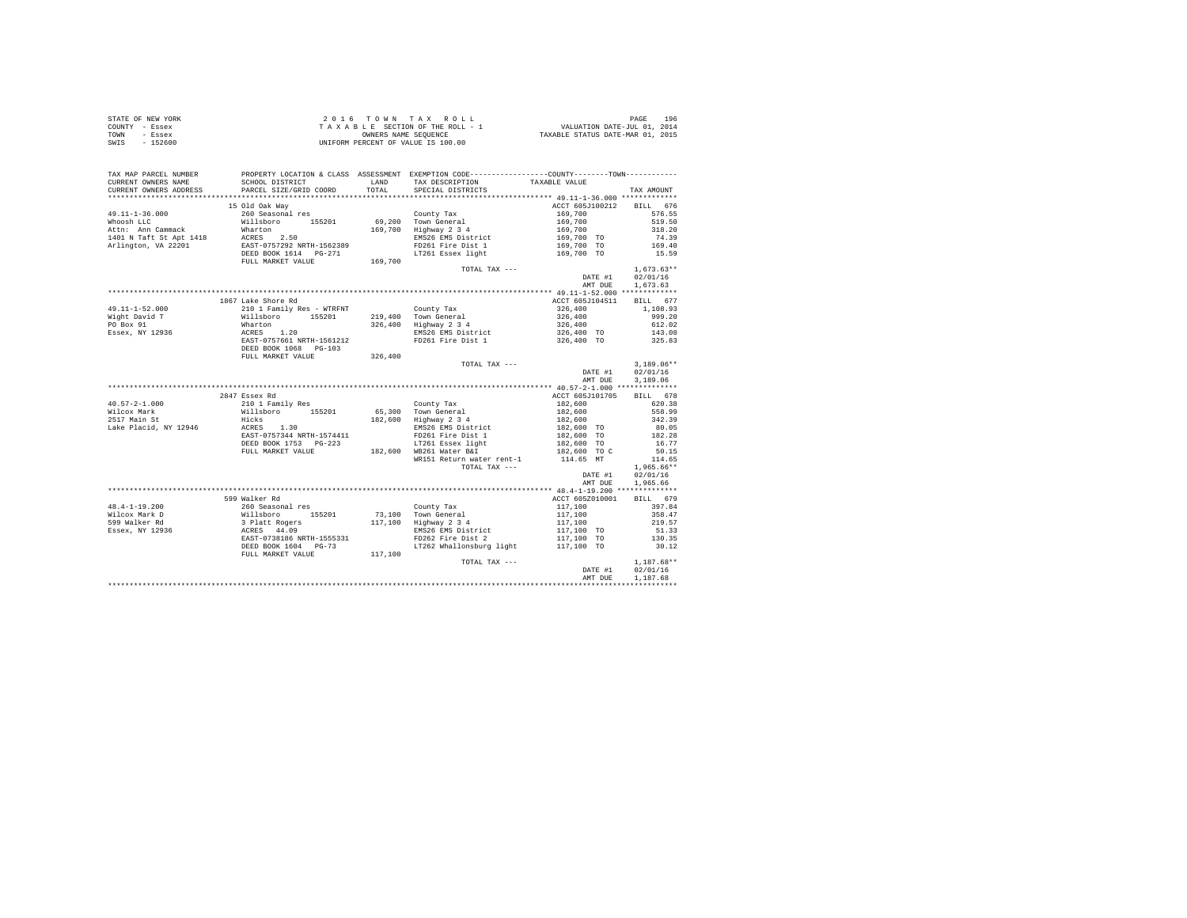|                | STATE OF NEW YORK | $2.0.16$ TOWN TAX ROLL             | 196<br>PAGE                      |
|----------------|-------------------|------------------------------------|----------------------------------|
| COUNTY - Essex |                   | TAXABLE SECTION OF THE ROLL - 1    | VALUATION DATE-JUL 01, 2014      |
| TOWN           | - Essex           | OWNERS NAME SEOUENCE               | TAXABLE STATUS DATE-MAR 01, 2015 |
| SWIS           | $-152600$         | UNIFORM PERCENT OF VALUE IS 100.00 |                                  |

| TAX MAP PARCEL NUMBER<br>CURRENT OWNERS NAME<br>CURRENT OWNERS ADDRESS | PROPERTY LOCATION & CLASS ASSESSMENT EXEMPTION CODE---------------COUNTY-------TOWN---------<br>SCHOOL DISTRICT<br>PARCEL SIZE/GRID COORD                                                                                                                                                                                                                                                                              | LAND TAX DESCRIPTION<br>TOTAL SPECIAL DISTRICTS                                 | TAXABLE VALUE                                                                               | TAX AMOUNT                                 |
|------------------------------------------------------------------------|------------------------------------------------------------------------------------------------------------------------------------------------------------------------------------------------------------------------------------------------------------------------------------------------------------------------------------------------------------------------------------------------------------------------|---------------------------------------------------------------------------------|---------------------------------------------------------------------------------------------|--------------------------------------------|
|                                                                        |                                                                                                                                                                                                                                                                                                                                                                                                                        |                                                                                 |                                                                                             |                                            |
|                                                                        | 15 Old Oak Wav                                                                                                                                                                                                                                                                                                                                                                                                         |                                                                                 | ACCT 605J100212 BILL 676                                                                    | 576.55<br>519.50                           |
|                                                                        |                                                                                                                                                                                                                                                                                                                                                                                                                        |                                                                                 |                                                                                             | 318.20<br>$74.39$<br>$169.40$              |
|                                                                        |                                                                                                                                                                                                                                                                                                                                                                                                                        | FD261 Fire Dist 1 169,700 TO 169.40<br>LT261 Essex light 169,700 TO 15.59       |                                                                                             |                                            |
|                                                                        |                                                                                                                                                                                                                                                                                                                                                                                                                        |                                                                                 | TOTAL TAX ---<br>DATE #1 $02/01/16$<br>$DATE$ #1 $02/01/16$<br>$-$<br>$1.673.63$<br>AMT DUE | $1.673.63**$<br>1,673.63                   |
|                                                                        |                                                                                                                                                                                                                                                                                                                                                                                                                        |                                                                                 |                                                                                             |                                            |
|                                                                        | 1867 Lake Shore Rd                                                                                                                                                                                                                                                                                                                                                                                                     |                                                                                 | ACCT 605J104511 BILL 677<br>$326,400$<br>$326,400$<br>$326,400$                             | 1,108.93<br>999.20                         |
|                                                                        | $\begin{tabular}{l l l l l} \bf 49.11-1-52.000 & 1867 \text{ Lake Shore Red} & 210 \text{ I Family Res - WTRENT} & 0.0011y \text{ Tax} \\ \hline \texttt{Wight David T} & \texttt{Willsboro} & 155201 & 219,400 \text{ Town General} \\ \texttt{PO Box 91} & \texttt{Wlukoron} & 326,400 \text{ Highway 2 3 4} \\ \texttt{ESsex, NY 12936} & \texttt{ACRES} & 1.20 & \texttt{ENSS6 EMS} & \texttt{NISW2 3 5} \\ \text$ | EMS26 EMS District<br>EMS26 EMS District<br>FD261 Fire Dist 1 326,400 TO 325.83 |                                                                                             | 612.02                                     |
|                                                                        |                                                                                                                                                                                                                                                                                                                                                                                                                        |                                                                                 |                                                                                             |                                            |
|                                                                        |                                                                                                                                                                                                                                                                                                                                                                                                                        |                                                                                 | TOTAL TAX ---                                                                               | $3.189.06**$                               |
|                                                                        |                                                                                                                                                                                                                                                                                                                                                                                                                        |                                                                                 | DATE #1<br>AMT DUE                                                                          | 02/01/16<br>3,189.06                       |
|                                                                        |                                                                                                                                                                                                                                                                                                                                                                                                                        |                                                                                 |                                                                                             |                                            |
|                                                                        | 2847 Essex Rd                                                                                                                                                                                                                                                                                                                                                                                                          |                                                                                 | ACCT 605J101705                                                                             | BILL 678                                   |
|                                                                        |                                                                                                                                                                                                                                                                                                                                                                                                                        |                                                                                 |                                                                                             | 620.38                                     |
|                                                                        |                                                                                                                                                                                                                                                                                                                                                                                                                        |                                                                                 |                                                                                             | 558.99                                     |
|                                                                        |                                                                                                                                                                                                                                                                                                                                                                                                                        |                                                                                 |                                                                                             | 342.39                                     |
|                                                                        |                                                                                                                                                                                                                                                                                                                                                                                                                        |                                                                                 |                                                                                             | $80.05$<br>$182.28$<br>$16.77$             |
|                                                                        |                                                                                                                                                                                                                                                                                                                                                                                                                        |                                                                                 |                                                                                             |                                            |
|                                                                        |                                                                                                                                                                                                                                                                                                                                                                                                                        |                                                                                 |                                                                                             |                                            |
|                                                                        |                                                                                                                                                                                                                                                                                                                                                                                                                        |                                                                                 |                                                                                             | 50.15                                      |
|                                                                        | %7. Alliaboro 155201 65,300 Town General 182,600<br>Williaboro 155201 65,300 Town General 182,600<br>182,600 Town General 182,600 Town General 182,600 To<br>200 EXST-0757344 NRTH-1574411 19261 Fire Dist 1 182,600 TO<br>DEED BOOK 1                                                                                                                                                                                 | TOTAL TAX ---                                                                   |                                                                                             | 114.65<br>$1,965.66**$<br>DATE #1 02/01/16 |
|                                                                        |                                                                                                                                                                                                                                                                                                                                                                                                                        |                                                                                 | AMT DUE                                                                                     | 1,965.66                                   |
|                                                                        |                                                                                                                                                                                                                                                                                                                                                                                                                        |                                                                                 |                                                                                             |                                            |
|                                                                        | 599 Walker Rd                                                                                                                                                                                                                                                                                                                                                                                                          |                                                                                 | ACCT 605Z010001                                                                             | BILL 679                                   |
|                                                                        |                                                                                                                                                                                                                                                                                                                                                                                                                        |                                                                                 |                                                                                             | 397.84                                     |
|                                                                        |                                                                                                                                                                                                                                                                                                                                                                                                                        |                                                                                 |                                                                                             | 358.47                                     |
|                                                                        |                                                                                                                                                                                                                                                                                                                                                                                                                        |                                                                                 |                                                                                             | 219.57                                     |
|                                                                        |                                                                                                                                                                                                                                                                                                                                                                                                                        |                                                                                 |                                                                                             | 51.33                                      |
|                                                                        | $\begin{tabular}{l c c c c c} \multicolumn{3}{c c c c} \multicolumn{3}{c c c} \multicolumn{3}{c c c} \multicolumn{3}{c c c} \multicolumn{3}{c c c} \multicolumn{3}{c c c} \multicolumn{3}{c c c} \multicolumn{3}{c c c} \multicolumn{3}{c c c} \multicolumn{3}{c c c} \multicolumn{3}{c c c} \multicolumn{3}{c c c} \multicolumn{3}{c c c} \multicolumn{3}{c c c} \multicolumn{3}{c c c} \multicolumn{$                | LT262 Whallonsburg light 117,100 TO 30.12                                       |                                                                                             | 130.35                                     |
|                                                                        |                                                                                                                                                                                                                                                                                                                                                                                                                        |                                                                                 | TOTAL TAX ---<br>DATE #1 02/01/16<br>$\frac{1}{4}$ , 107 68<br>AMT DUE                      | 1,187.68                                   |
|                                                                        |                                                                                                                                                                                                                                                                                                                                                                                                                        |                                                                                 |                                                                                             |                                            |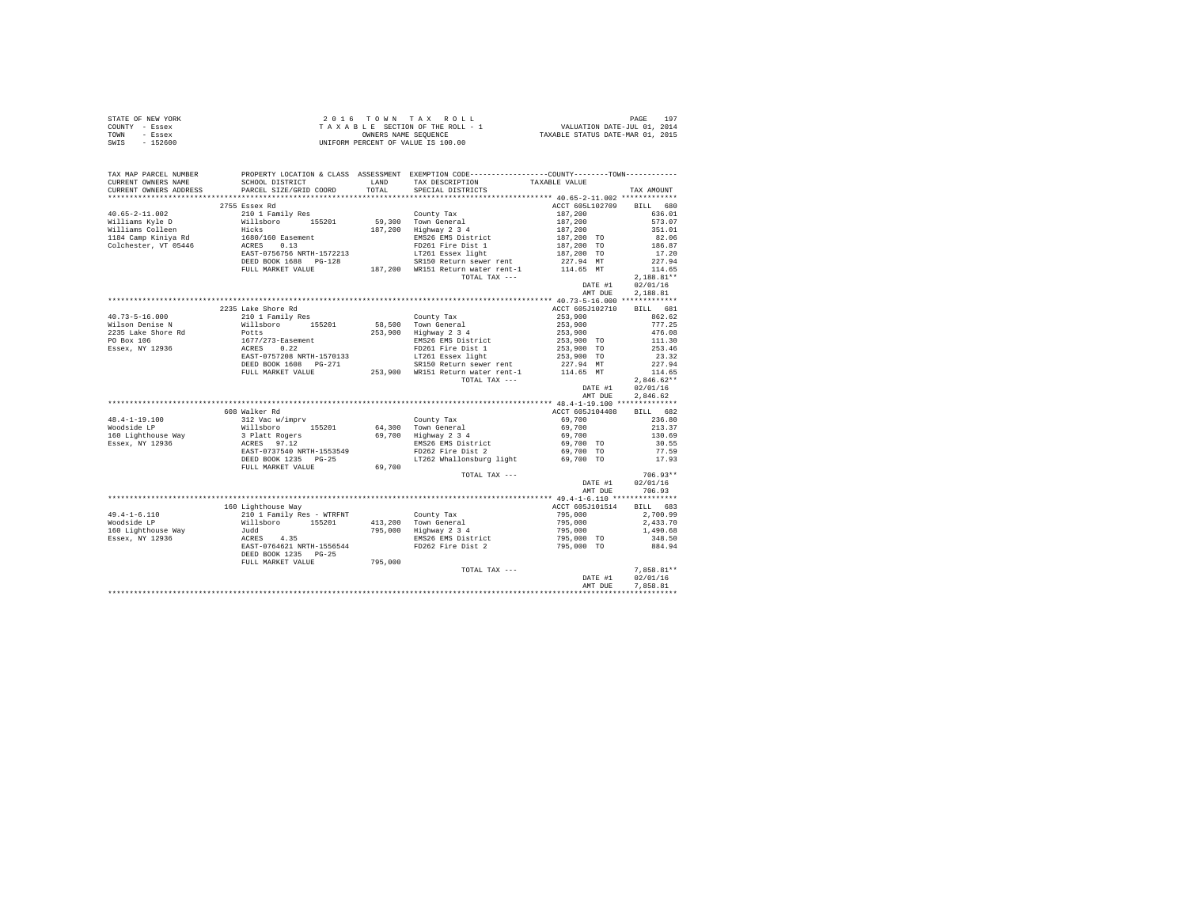| STATE OF NEW YORK | 2016 TOWN TAX ROLL                 | 19 <sup>7</sup><br>PAGE          |
|-------------------|------------------------------------|----------------------------------|
| COUNTY - Essex    | TAXABLE SECTION OF THE ROLL - 1    | VALUATION DATE-JUL 01, 2014      |
| TOWN<br>- Essex   | OWNERS NAME SEOUENCE               | TAXABLE STATUS DATE-MAR 01, 2015 |
| $-152600$<br>SWIS | UNIFORM PERCENT OF VALUE IS 100.00 |                                  |

| TAX MAP PARCEL NUMBER |                                                                                                                                                                                                                                                                                                                                                                                                     |        | PROPERTY LOCATION & CLASS ASSESSMENT EXEMPTION CODE---------------COUNTY-------TOWN---------- |                                                                                              |                           |
|-----------------------|-----------------------------------------------------------------------------------------------------------------------------------------------------------------------------------------------------------------------------------------------------------------------------------------------------------------------------------------------------------------------------------------------------|--------|-----------------------------------------------------------------------------------------------|----------------------------------------------------------------------------------------------|---------------------------|
|                       |                                                                                                                                                                                                                                                                                                                                                                                                     |        |                                                                                               |                                                                                              | TAX AMOUNT                |
|                       |                                                                                                                                                                                                                                                                                                                                                                                                     |        |                                                                                               |                                                                                              |                           |
|                       | 2755 Essex Rd                                                                                                                                                                                                                                                                                                                                                                                       |        |                                                                                               | ACCT 605L102709 BILL 680                                                                     |                           |
|                       | $\begin{tabular}{l c c c c c} \multicolumn{1}{c c c c} \multicolumn{1}{c c c c} \multicolumn{1}{c c c} \multicolumn{1}{c c c} \multicolumn{1}{c c c} \multicolumn{1}{c c c} \multicolumn{1}{c c c} \multicolumn{1}{c c c} \multicolumn{1}{c c c} \multicolumn{1}{c c c} \multicolumn{1}{c c c} \multicolumn{1}{c c c} \multicolumn{1}{c c c} \multicolumn{1}{c c c} \multicolumn{1}{c c c} \multic$ |        |                                                                                               |                                                                                              |                           |
|                       |                                                                                                                                                                                                                                                                                                                                                                                                     |        |                                                                                               |                                                                                              |                           |
|                       |                                                                                                                                                                                                                                                                                                                                                                                                     |        |                                                                                               |                                                                                              |                           |
|                       |                                                                                                                                                                                                                                                                                                                                                                                                     |        |                                                                                               |                                                                                              |                           |
|                       |                                                                                                                                                                                                                                                                                                                                                                                                     |        |                                                                                               |                                                                                              |                           |
|                       |                                                                                                                                                                                                                                                                                                                                                                                                     |        |                                                                                               |                                                                                              |                           |
|                       |                                                                                                                                                                                                                                                                                                                                                                                                     |        |                                                                                               |                                                                                              |                           |
|                       |                                                                                                                                                                                                                                                                                                                                                                                                     |        |                                                                                               |                                                                                              | 24 / 7                    |
|                       |                                                                                                                                                                                                                                                                                                                                                                                                     |        |                                                                                               |                                                                                              |                           |
|                       |                                                                                                                                                                                                                                                                                                                                                                                                     |        | TOTAL TAX ---                                                                                 | $\begin{array}{c} \text{max } \mu_1 \\ \text{max } \mu_2 \end{array}$                        | $2.188.81**$              |
|                       |                                                                                                                                                                                                                                                                                                                                                                                                     |        |                                                                                               |                                                                                              | DATE #1 02/01/16          |
|                       |                                                                                                                                                                                                                                                                                                                                                                                                     |        |                                                                                               | AMT DUE                                                                                      | 2.188.81                  |
|                       |                                                                                                                                                                                                                                                                                                                                                                                                     |        |                                                                                               |                                                                                              |                           |
|                       | 2235 Lake Shore Rd                                                                                                                                                                                                                                                                                                                                                                                  |        |                                                                                               | ACCT 605J102710 BILL 681                                                                     |                           |
|                       |                                                                                                                                                                                                                                                                                                                                                                                                     |        |                                                                                               |                                                                                              |                           |
|                       |                                                                                                                                                                                                                                                                                                                                                                                                     |        |                                                                                               |                                                                                              |                           |
|                       |                                                                                                                                                                                                                                                                                                                                                                                                     |        |                                                                                               |                                                                                              |                           |
|                       |                                                                                                                                                                                                                                                                                                                                                                                                     |        |                                                                                               |                                                                                              |                           |
|                       |                                                                                                                                                                                                                                                                                                                                                                                                     |        |                                                                                               |                                                                                              |                           |
|                       |                                                                                                                                                                                                                                                                                                                                                                                                     |        |                                                                                               |                                                                                              |                           |
|                       |                                                                                                                                                                                                                                                                                                                                                                                                     |        |                                                                                               |                                                                                              |                           |
|                       |                                                                                                                                                                                                                                                                                                                                                                                                     |        |                                                                                               |                                                                                              | 114.65                    |
|                       |                                                                                                                                                                                                                                                                                                                                                                                                     |        |                                                                                               |                                                                                              |                           |
|                       |                                                                                                                                                                                                                                                                                                                                                                                                     |        |                                                                                               |                                                                                              | DATE #1 02/01/16          |
|                       |                                                                                                                                                                                                                                                                                                                                                                                                     |        |                                                                                               | AMT DUE                                                                                      | 2.846.62                  |
|                       |                                                                                                                                                                                                                                                                                                                                                                                                     |        |                                                                                               |                                                                                              |                           |
|                       | 608 Walker Rd                                                                                                                                                                                                                                                                                                                                                                                       |        |                                                                                               | ACCT 605J104408 BILL 682                                                                     |                           |
|                       |                                                                                                                                                                                                                                                                                                                                                                                                     |        |                                                                                               |                                                                                              | 236.80                    |
|                       |                                                                                                                                                                                                                                                                                                                                                                                                     |        |                                                                                               |                                                                                              |                           |
|                       |                                                                                                                                                                                                                                                                                                                                                                                                     |        |                                                                                               |                                                                                              | 213.37<br>130.69<br>30.55 |
|                       |                                                                                                                                                                                                                                                                                                                                                                                                     |        |                                                                                               |                                                                                              |                           |
|                       |                                                                                                                                                                                                                                                                                                                                                                                                     |        |                                                                                               |                                                                                              |                           |
|                       |                                                                                                                                                                                                                                                                                                                                                                                                     |        |                                                                                               |                                                                                              | $77.59$<br>$17.93$        |
|                       | FULL MARKET VALUE                                                                                                                                                                                                                                                                                                                                                                                   | 69,700 |                                                                                               |                                                                                              |                           |
|                       |                                                                                                                                                                                                                                                                                                                                                                                                     |        | TOTAL TAX ---                                                                                 |                                                                                              | $706.93**$                |
|                       |                                                                                                                                                                                                                                                                                                                                                                                                     |        |                                                                                               |                                                                                              | DATE #1 02/01/16          |
|                       |                                                                                                                                                                                                                                                                                                                                                                                                     |        |                                                                                               |                                                                                              | AMT DUE 706.93            |
|                       |                                                                                                                                                                                                                                                                                                                                                                                                     |        |                                                                                               |                                                                                              |                           |
|                       |                                                                                                                                                                                                                                                                                                                                                                                                     |        |                                                                                               |                                                                                              |                           |
|                       |                                                                                                                                                                                                                                                                                                                                                                                                     |        |                                                                                               |                                                                                              |                           |
|                       |                                                                                                                                                                                                                                                                                                                                                                                                     |        |                                                                                               |                                                                                              |                           |
|                       |                                                                                                                                                                                                                                                                                                                                                                                                     |        |                                                                                               |                                                                                              |                           |
|                       |                                                                                                                                                                                                                                                                                                                                                                                                     |        |                                                                                               |                                                                                              |                           |
|                       |                                                                                                                                                                                                                                                                                                                                                                                                     |        |                                                                                               |                                                                                              |                           |
|                       |                                                                                                                                                                                                                                                                                                                                                                                                     |        |                                                                                               |                                                                                              |                           |
|                       |                                                                                                                                                                                                                                                                                                                                                                                                     |        |                                                                                               |                                                                                              |                           |
|                       |                                                                                                                                                                                                                                                                                                                                                                                                     |        |                                                                                               |                                                                                              |                           |
|                       |                                                                                                                                                                                                                                                                                                                                                                                                     |        | TOTAL TAX ---                                                                                 | $\begin{array}{cc} 7\,, 858\,.\,81^{*\,*} \\ \text{DATE \#1} & 02\,/\,01\,/\,16 \end{array}$ |                           |
|                       |                                                                                                                                                                                                                                                                                                                                                                                                     |        |                                                                                               |                                                                                              |                           |
|                       |                                                                                                                                                                                                                                                                                                                                                                                                     |        |                                                                                               |                                                                                              | AMT DUE 7,858.81          |
|                       |                                                                                                                                                                                                                                                                                                                                                                                                     |        |                                                                                               |                                                                                              | *******************       |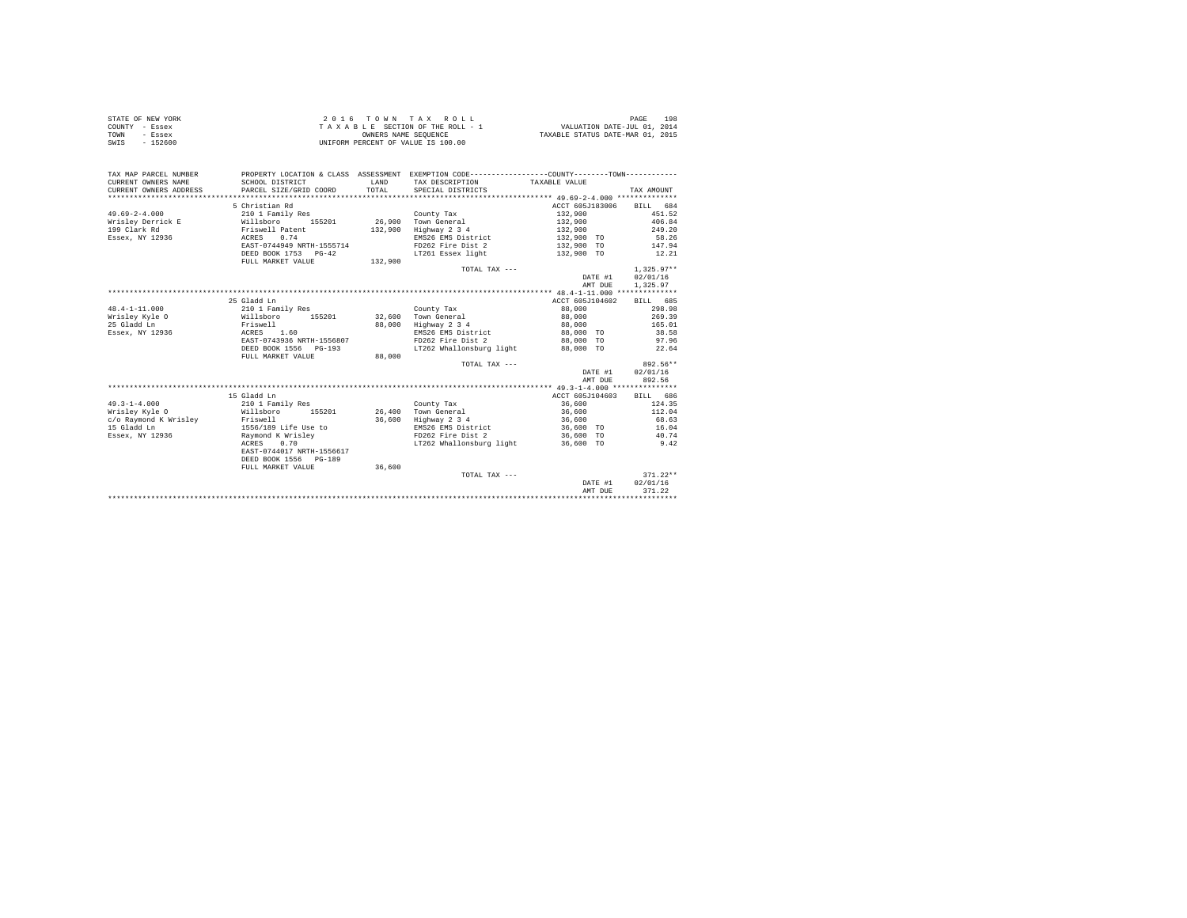| STATE OF NEW YORK | 2016 TOWN TAX ROLL                 | 198<br>PAGE                      |
|-------------------|------------------------------------|----------------------------------|
| COUNTY - Essex    | TAXABLE SECTION OF THE ROLL - 1    | VALUATION DATE-JUL 01, 2014      |
| TOWN<br>- Essex   | OWNERS NAME SEOUENCE               | TAXABLE STATUS DATE-MAR 01, 2015 |
| SWIS<br>$-152600$ | UNIFORM PERCENT OF VALUE IS 100.00 |                                  |

| TAX MAP PARCEL NUMBER<br>CURRENT OWNERS NAME<br>CURRENT OWNERS ADDRESS | SCHOOL DISTRICT<br>PARCEL SIZE/GRID COORD |        | <b>T.AND</b><br>TOTAL | PROPERTY LOCATION & CLASS ASSESSMENT EXEMPTION CODE----------------COUNTY--------TOWN----------<br>TAX DESCRIPTION TAXABLE VALUE<br>SPECIAL DISTRICTS |                 |         | TAX AMOUNT   |            |
|------------------------------------------------------------------------|-------------------------------------------|--------|-----------------------|-------------------------------------------------------------------------------------------------------------------------------------------------------|-----------------|---------|--------------|------------|
|                                                                        | 5 Christian Rd                            |        |                       |                                                                                                                                                       | ACCT 605J183006 |         | BILL 684     |            |
| $49.69 - 2 - 4.000$                                                    | 210 1 Family Res                          |        |                       | County Tax                                                                                                                                            | 132,900         |         |              | 451.52     |
| Wrisley Derrick E                                                      | Willsboro                                 | 155201 |                       | 26,900 Town General                                                                                                                                   | 132,900         |         |              | 406.84     |
| 199 Clark Rd                                                           | Friswell Patent                           |        | 132,900               | Highway 2 3 4                                                                                                                                         | 132,900         |         |              | 249.20     |
| Essex, NY 12936                                                        | 0.74<br>ACRES                             |        |                       | EMS26 EMS District                                                                                                                                    | 132,900 TO      |         |              | 58.26      |
|                                                                        | EAST-0744949 NRTH-1555714                 |        |                       | FD262 Fire Dist 2                                                                                                                                     | 132,900 TO      |         |              | 147.94     |
|                                                                        | DEED BOOK 1753 PG-42                      |        |                       | LT261 Essex light                                                                                                                                     | 132,900 TO      |         |              | 12.21      |
|                                                                        | FULL MARKET VALUE                         |        | 132,900               |                                                                                                                                                       |                 |         |              |            |
|                                                                        |                                           |        |                       | TOTAL TAX $---$                                                                                                                                       |                 |         | $1.325.97**$ |            |
|                                                                        |                                           |        |                       |                                                                                                                                                       |                 | DATE #1 | 02/01/16     |            |
|                                                                        |                                           |        |                       |                                                                                                                                                       |                 | AMT DUE | 1,325.97     |            |
|                                                                        |                                           |        |                       |                                                                                                                                                       |                 |         |              |            |
|                                                                        | 25 Gladd Ln                               |        |                       |                                                                                                                                                       | ACCT 605J104602 |         | BILL 685     |            |
| $48.4 - 1 - 11.000$                                                    | 210 1 Family Res                          |        |                       | County Tax                                                                                                                                            | 88,000          |         |              | 298.98     |
| Wrisley Kyle O                                                         | Willsboro                                 | 155201 | 32,600                | Town General                                                                                                                                          | 88,000          |         |              | 269.39     |
| 25 Gladd Ln                                                            | Friswell                                  |        | 88,000                | Highway 2 3 4                                                                                                                                         | 88,000          |         |              | 165.01     |
| Essex, NY 12936                                                        | ACRES 1.60                                |        |                       | EMS26 EMS District                                                                                                                                    | 88,000 TO       |         |              | 38.58      |
|                                                                        | EAST-0743936 NRTH-1556807                 |        |                       | FD262 Fire Dist 2                                                                                                                                     | 88,000 TO       |         |              | 97.96      |
|                                                                        | DEED BOOK 1556 PG-193                     |        |                       | LT262 Whallonsburg light                                                                                                                              | 88,000 TO       |         |              | 22.64      |
|                                                                        | FULL MARKET VALUE                         |        | 88,000                |                                                                                                                                                       |                 |         |              |            |
|                                                                        |                                           |        |                       | TOTAL TAX ---                                                                                                                                         |                 |         |              | 892.56**   |
|                                                                        |                                           |        |                       |                                                                                                                                                       |                 | DATE #1 | 02/01/16     |            |
|                                                                        |                                           |        |                       |                                                                                                                                                       |                 | AMT DUE |              | 892.56     |
|                                                                        |                                           |        |                       |                                                                                                                                                       |                 |         |              |            |
|                                                                        | 15 Gladd Ln                               |        |                       |                                                                                                                                                       | ACCT 605J104603 |         | BILL 686     |            |
| $49.3 - 1 - 4.000$                                                     | 210 1 Family Res                          |        |                       | County Tax                                                                                                                                            | 36,600          |         |              | 124.35     |
| Wrisley Kyle O                                                         | Willsboro                                 | 155201 |                       | 26.400 Town General                                                                                                                                   | 36,600          |         |              | 112.04     |
| c/o Raymond K Wrisley Friswell                                         |                                           |        | 36,600                | Highway 2 3 4                                                                                                                                         | 36,600          |         |              | 68.63      |
| 15 Gladd Ln                                                            | 1556/189 Life Use to                      |        |                       | EMS26 EMS District                                                                                                                                    | 36,600 TO       |         |              | 16.04      |
| Essex, NY 12936                                                        | Raymond K Wrisley                         |        |                       | FD262 Fire Dist 2                                                                                                                                     | 36,600 TO       |         |              | 40.74      |
|                                                                        | 0.70<br>ACRES                             |        |                       | LT262 Whallonsburg light                                                                                                                              | 36,600 TO       |         |              | 9.42       |
|                                                                        | EAST-0744017 NRTH-1556617                 |        |                       |                                                                                                                                                       |                 |         |              |            |
|                                                                        | DEED BOOK 1556 PG-189                     |        |                       |                                                                                                                                                       |                 |         |              |            |
|                                                                        | FULL MARKET VALUE                         |        | 36,600                |                                                                                                                                                       |                 |         |              |            |
|                                                                        |                                           |        |                       | TOTAL TAX ---                                                                                                                                         |                 |         |              | $371.22**$ |
|                                                                        |                                           |        |                       |                                                                                                                                                       |                 | DATE #1 | 02/01/16     |            |
|                                                                        |                                           |        |                       |                                                                                                                                                       |                 | AMT DUE | 371.22       |            |
|                                                                        |                                           |        |                       |                                                                                                                                                       |                 |         |              |            |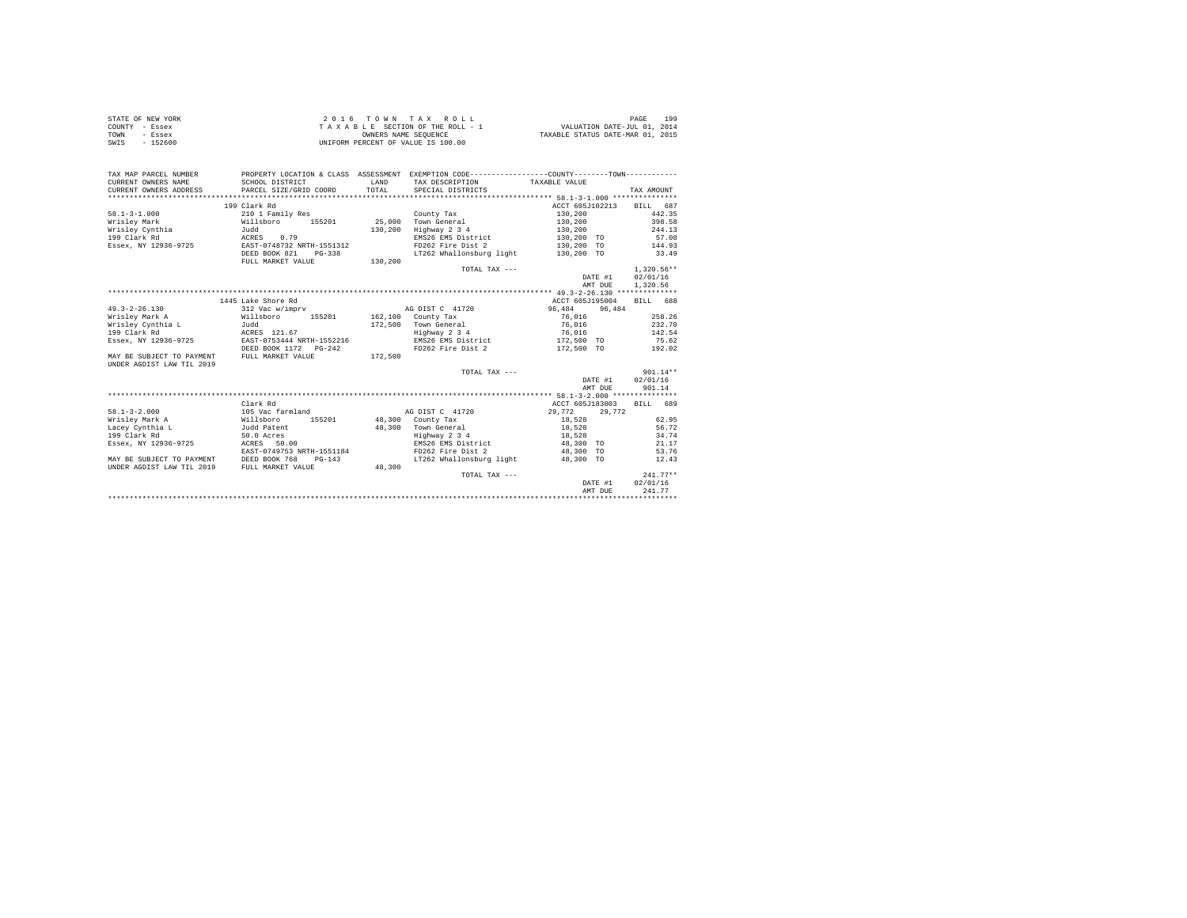| STATE OF NEW YORK | 2016 TOWN TAX ROLL                 | 199<br>PAGE                      |
|-------------------|------------------------------------|----------------------------------|
| COUNTY - Essex    | TAXABLE SECTION OF THE ROLL - 1    | VALUATION DATE-JUL 01, 2014      |
| TOWN<br>- Essex   | OWNERS NAME SEOUENCE               | TAXABLE STATUS DATE-MAR 01, 2015 |
| SWIS<br>$-152600$ | UNIFORM PERCENT OF VALUE IS 100.00 |                                  |

| TAX MAP PARCEL NUMBER<br>CURRENT OWNERS NAME<br>CURRENT OWNERS ADDRESS | PROPERTY LOCATION & CLASS ASSESSMENT EXEMPTION CODE----------------COUNTY-------TOWN----------<br>SCHOOL DISTRICT<br>PARCEL SIZE/GRID COORD | LAND<br>TOTAL | TAX DESCRIPTION TAXABLE VALUE<br>SPECIAL DISTRICTS |                                     | TAX AMOUNT               |  |
|------------------------------------------------------------------------|---------------------------------------------------------------------------------------------------------------------------------------------|---------------|----------------------------------------------------|-------------------------------------|--------------------------|--|
|                                                                        | 199 Clark Rd                                                                                                                                |               |                                                    |                                     | ACCT 605J102213 BILL 687 |  |
|                                                                        |                                                                                                                                             |               |                                                    |                                     | 442.35                   |  |
| $58.1 - 3 - 1.000$                                                     | 210 1 Family Res<br>Willsboro 155201 25,000 Town General                                                                                    |               | County Tax                                         | 130,200                             |                          |  |
| Wrislev Mark<br>Wrisley Cynthia                                        |                                                                                                                                             |               |                                                    | 130,200                             | 398.58                   |  |
|                                                                        | Judd                                                                                                                                        | 130,200       | Highway 2 3 4                                      | 130,200                             | 244.13                   |  |
| 199 Clark Rd                                                           | 0.79<br>ACRES                                                                                                                               |               |                                                    | EMS26 EMS District 130,200 TO 57.08 |                          |  |
| Essex, NY 12936-9725 EAST-0748732 NRTH-1551312                         |                                                                                                                                             |               | FD262 Fire Dist 2                                  | 130,200 TO                          | 144.93                   |  |
|                                                                        | DEED BOOK 821<br>PG-338                                                                                                                     |               | LT262 Whallonsburg light 130,200 TO                |                                     | 33.49                    |  |
|                                                                        | FULL MARKET VALUE                                                                                                                           | 130.200       |                                                    |                                     |                          |  |
|                                                                        |                                                                                                                                             |               | TOTAL TAX ---                                      |                                     | $1.320.56**$             |  |
|                                                                        |                                                                                                                                             |               |                                                    |                                     | DATE #1<br>02/01/16      |  |
|                                                                        |                                                                                                                                             |               |                                                    |                                     | 1,320.56<br>AMT DUE      |  |
|                                                                        |                                                                                                                                             |               |                                                    |                                     |                          |  |
|                                                                        | 1445 Lake Shore Rd                                                                                                                          |               |                                                    | ACCT 605J195004                     | BILL 688                 |  |
| $49.3 - 2 - 26.130$                                                    | 312 Vac w/imprv                                                                                                                             |               | AG DIST C 41720                                    | 96.484                              | 96,484                   |  |
| Wrisley Mark A (Willsboro 155201 162.100 County Tax                    |                                                                                                                                             |               |                                                    | 76.016                              | 258.26                   |  |
| Wrisley Cynthia L                                                      |                                                                                                                                             |               |                                                    | 76,016                              | 232.70                   |  |
| 199 Clark Rd                                                           | Judd<br>ACRES 121.67                                                                                                                        |               | 172,500 Town General<br>Highway 2 3 4              | 76,016                              | 142.54                   |  |
| Essex, NY 12936-9725 EAST-0753444 NRTH-1552216                         |                                                                                                                                             |               |                                                    | EMS26 EMS District 172,500 TO 75.62 |                          |  |
|                                                                        | DEED BOOK 1172   PG-242                                                                                                                     |               | FD262 Fire Dist 2                                  |                                     | 172.500 TO 192.02        |  |
| MAY BE SUBJECT TO PAYMENT FULL MARKET VALUE                            |                                                                                                                                             | 172,500       |                                                    |                                     |                          |  |
| UNDER AGDIST LAW TIL 2019                                              |                                                                                                                                             |               |                                                    |                                     |                          |  |
|                                                                        |                                                                                                                                             |               | TOTAL TAX ---                                      |                                     | $901.14**$               |  |
|                                                                        |                                                                                                                                             |               |                                                    |                                     | DATE #1 02/01/16         |  |
|                                                                        |                                                                                                                                             |               |                                                    |                                     | 901.14<br>AMT DUE        |  |
|                                                                        |                                                                                                                                             |               |                                                    |                                     |                          |  |
|                                                                        | Clark Rd                                                                                                                                    |               |                                                    |                                     |                          |  |
|                                                                        |                                                                                                                                             |               |                                                    |                                     | ACCT 605J183003 BILL 689 |  |
| $58.1 - 3 - 2.000$                                                     | 105 Vac farmland                                                                                                                            |               | AG DIST C 41720                                    | 29.772                              | 29,772                   |  |
| Wrisley Mark A                                                         | Willsboro<br>155201 48,300 County Tax                                                                                                       |               |                                                    | 18,528                              | 62.95                    |  |
| Lacey Cynthia L                                                        | Judd Patent                                                                                                                                 |               | 48,300 Town General                                | 18,528                              | 56.72                    |  |
| 199 Clark Rd                                                           | 50.0 Acres                                                                                                                                  |               | Highway 2 3 4                                      | 18,528                              | 34.74                    |  |
| Essex, NY 12936-9725                                                   | ACRES 50.00                                                                                                                                 |               |                                                    | EMS26 EMS District 48,300 TO        | 21.17                    |  |
|                                                                        | EAST-0749753 NRTH-1551184                                                                                                                   |               |                                                    | FD262 Fire Dist 2 48,300 TO         | 53.76                    |  |
| MAY BE SUBJECT TO PAYMENT                                              | DEED BOOK 768<br>$PG-143$                                                                                                                   |               | LT262 Whallonsburg light 48.300 TO                 |                                     | 12.43                    |  |
| UNDER AGDIST LAW TIL 2019                                              | FULL MARKET VALUE                                                                                                                           | 48,300        |                                                    |                                     |                          |  |
|                                                                        |                                                                                                                                             |               | TOTAL TAX ---                                      |                                     | $241.77**$               |  |
|                                                                        |                                                                                                                                             |               |                                                    |                                     | 02/01/16<br>DATE #1      |  |
|                                                                        |                                                                                                                                             |               |                                                    |                                     | 241.77<br>AMT DUE        |  |
|                                                                        |                                                                                                                                             |               |                                                    |                                     |                          |  |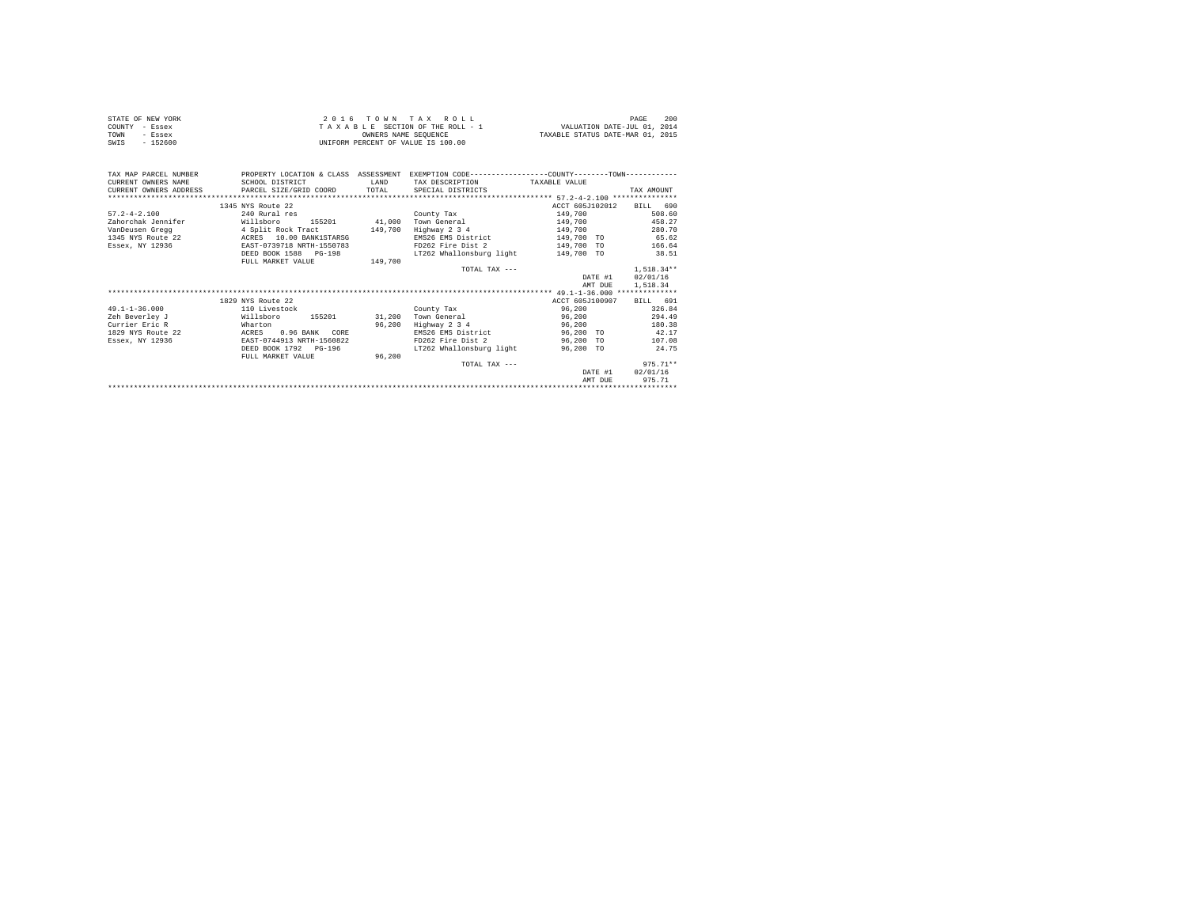| STATE OF NEW YORK<br>COUNTY - Essex<br>TOWN<br>- Essex<br>$-152600$<br>SWIS |                           | OWNERS NAME SEOUENCE | 2016 TOWN TAX ROLL<br>UNIFORM PERCENT OF VALUE IS 100.00                                                                       | TAXABLE STATUS DATE-MAR 01, 2015 | PAGE<br>200      |
|-----------------------------------------------------------------------------|---------------------------|----------------------|--------------------------------------------------------------------------------------------------------------------------------|----------------------------------|------------------|
| TAX MAP PARCEL NUMBER<br>CURRENT OWNERS NAME                                | SCHOOL DISTRICT           | LAND                 | PROPERTY LOCATION & CLASS ASSESSMENT EXEMPTION CODE----------------COUNTY-------TOWN---------<br>TAX DESCRIPTION TAXABLE VALUE |                                  |                  |
| CURRENT OWNERS ADDRESS                                                      | PARCEL SIZE/GRID COORD    | TOTAL                | SPECIAL DISTRICTS                                                                                                              |                                  | TAX AMOUNT       |
|                                                                             |                           |                      |                                                                                                                                |                                  |                  |
|                                                                             | 1345 NYS Route 22         |                      |                                                                                                                                | ACCT 605J102012 BILL 690         |                  |
| $57.2 - 4 - 2.100$                                                          | 240 Rural res             |                      | County Tax                                                                                                                     | 149,700                          | 508.60           |
| Zahorchak Jennifer                                                          | Willsboro                 |                      | 155201 41,000 Town General                                                                                                     | 149,700                          | 458.27           |
| VanDeusen Gregg<br>149,700<br>1345 NYS Route 22 ACRES 10.00 BANK1STARSG     |                           |                      | Highway 2 3 4                                                                                                                  | 149,700                          | 280.70           |
|                                                                             |                           |                      | EMS26 EMS District                                                                                                             | 149,700 TO                       | 65.62            |
| Essex, NY 12936                                                             | EAST-0739718 NRTH-1550783 |                      | FD262 Fire Dist 2                                                                                                              | 149,700 TO                       | 166.64           |
|                                                                             | DEED BOOK 1588 PG-198     |                      | LT262 Whallonsburg light                                                                                                       | 149,700 TO                       | 38.51            |
|                                                                             | FULL MARKET VALUE         | 149,700              |                                                                                                                                |                                  |                  |
|                                                                             |                           |                      | TOTAL TAX $---$                                                                                                                |                                  | $1.518.34**$     |
|                                                                             |                           |                      |                                                                                                                                | DATE #1                          | 02/01/16         |
|                                                                             |                           |                      |                                                                                                                                | AMT DUE                          | 1,518.34         |
|                                                                             |                           |                      |                                                                                                                                |                                  |                  |
|                                                                             | 1829 NYS Route 22         |                      |                                                                                                                                | ACCT 605.7100907                 | BILL 691         |
| $49.1 - 1 - 36.000$                                                         | 110 Livestock             |                      | County Tax                                                                                                                     | 96,200                           | 326.84           |
| Zeh Beverley J<br>Willsboro                                                 | 155201 31,200             |                      | Town General                                                                                                                   | 96,200                           | 294.49           |
| Currier Eric R                                                              | Wharton                   | 96,200               | Highway 2 3 4                                                                                                                  | 96,200                           | 180.38           |
| 1829 NYS Route 22                                                           | ACRES<br>$0.96$ RANK CORE |                      | EMS26 EMS District 96,200 TO                                                                                                   |                                  | 42.17            |
| Essex, NY 12936                                                             | EAST-0744913 NRTH-1560822 |                      | FD262 Fire Dist 2 96,200 TO                                                                                                    |                                  | 107.08           |
|                                                                             | DEED BOOK 1792 PG-196     |                      | LT262 Whallonsburg light                                                                                                       | 96.200 TO                        | 24.75            |
|                                                                             | FULL MARKET VALUE         | 96.200               |                                                                                                                                |                                  |                  |
|                                                                             |                           |                      | TOTAL TAX ---                                                                                                                  |                                  | $975.71**$       |
|                                                                             |                           |                      |                                                                                                                                |                                  | DATE #1 02/01/16 |
|                                                                             |                           |                      |                                                                                                                                | AMT DUE                          | 975.71           |
|                                                                             |                           |                      |                                                                                                                                |                                  |                  |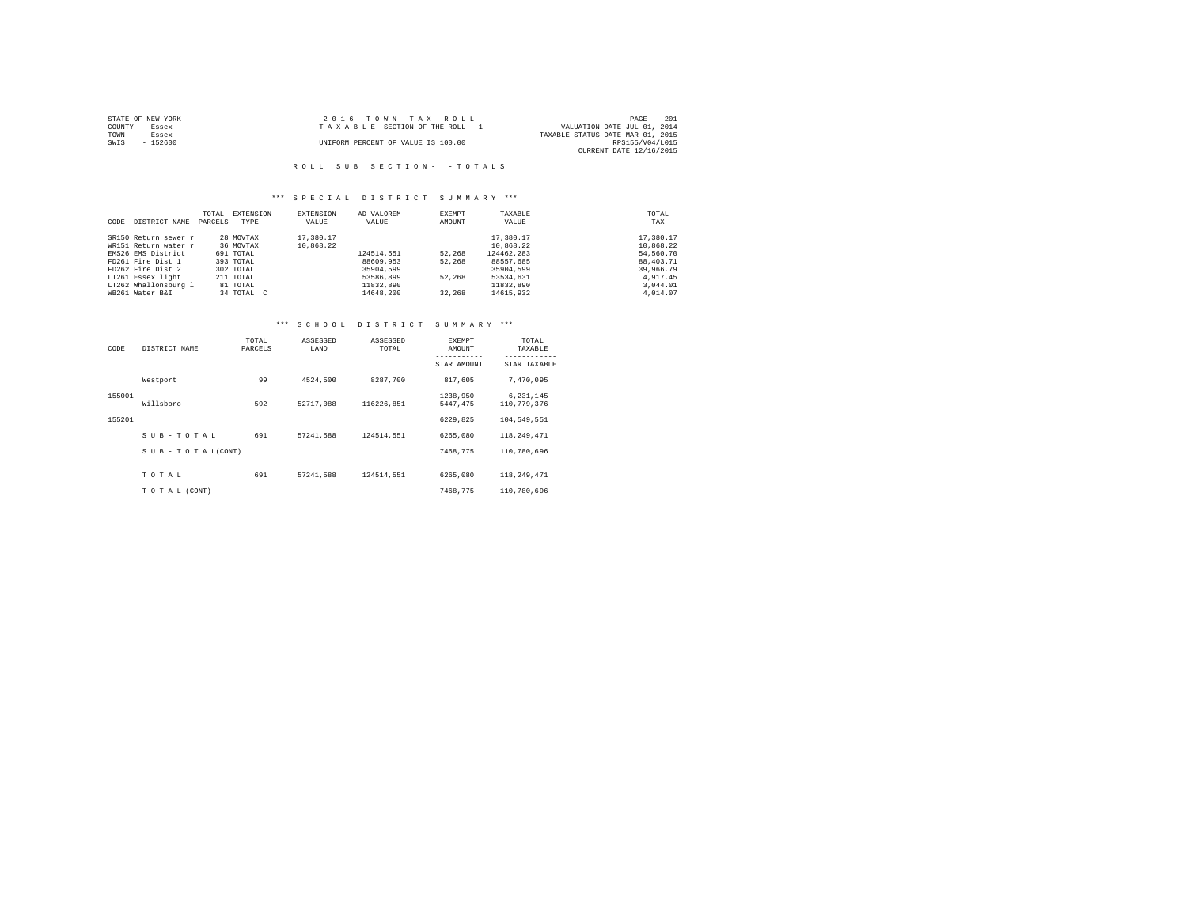| STATE OF NEW YORK | 2016 TOWN TAX ROLL                 | 201<br>PAGE                      |
|-------------------|------------------------------------|----------------------------------|
| COUNTY - Essex    | TAXABLE SECTION OF THE ROLL - 1    | VALUATION DATE-JUL 01, 2014      |
| TOWN<br>- Essex   |                                    | TAXABLE STATUS DATE-MAR 01, 2015 |
| $-152600$<br>SWIS | UNIFORM PERCENT OF VALUE IS 100.00 | RPS155/V04/L015                  |
|                   |                                    | CURRENT DATE 12/16/2015          |

## R O L L S U B S E C T I O N - - T O T A L S

## \*\*\* S P E C I A L D I S T R I C T S U M M A R Y \*\*\*

|      |                      | TOTAL   | EXTENSION  | EXTENSION | AD VALOREM | EXEMPT | TAXABLE    | TOTAL     |
|------|----------------------|---------|------------|-----------|------------|--------|------------|-----------|
| CODE | DISTRICT NAME        | PARCELS | TYPE       | VALUE     | VALUE      | AMOUNT | VALUE      | TAX       |
|      |                      |         |            |           |            |        |            |           |
|      | SR150 Return sewer r |         | 28 MOVTAX  | 17,380.17 |            |        | 17,380.17  | 17,380.17 |
|      | WR151 Return water r |         | 36 MOVTAX  | 10,868.22 |            |        | 10.868.22  | 10.868.22 |
|      | EMS26 EMS District   |         | 691 TOTAL  |           | 124514.551 | 52,268 | 124462.283 | 54,560.70 |
|      | FD261 Fire Dist 1    |         | 393 TOTAL  |           | 88609,953  | 52,268 | 88557.685  | 88,403.71 |
|      | FD262 Fire Dist 2    |         | 302 TOTAL  |           | 35904,599  |        | 35904,599  | 39,966.79 |
|      | LT261 Essex light    |         | 211 TOTAL  |           | 53586,899  | 52,268 | 53534,631  | 4.917.45  |
|      | LT262 Whallonsburg 1 |         | 81 TOTAL   |           | 11832,890  |        | 11832,890  | 3,044.01  |
|      | WB261 Water B&I      |         | 34 TOTAL C |           | 14648.200  | 32,268 | 14615,932  | 4,014.07  |

# \*\*\* S C H O O L D I S T R I C T S U M M A R Y \*\*\*

| CODE   | DISTRICT NAME      | TOTAL<br>PARCELS | ASSESSED<br>LAND | ASSESSED<br>TOTAL | EXEMPT<br>AMOUNT<br>-----------<br>STAR AMOUNT | TOTAL<br>TAXABLE<br>------------<br>STAR TAXABLE |
|--------|--------------------|------------------|------------------|-------------------|------------------------------------------------|--------------------------------------------------|
|        | Westport           | 99               | 4524.500         | 8287.700          | 817.605                                        | 7,470,095                                        |
| 155001 | Willsboro          | 592              | 52717.088        | 116226.851        | 1238,950<br>5447.475                           | 6, 231, 145<br>110,779,376                       |
| 155201 |                    |                  |                  |                   | 6229.825                                       | 104,549,551                                      |
|        | SUB-TOTAL          | 691              | 57241.588        | 124514.551        | 6265,080                                       | 118, 249, 471                                    |
|        | SUB - TO TAL(CONT) |                  |                  |                   | 7468.775                                       | 110,780,696                                      |
|        | TOTAL              | 691              | 57241.588        | 124514.551        | 6265,080                                       | 118,249,471                                      |
|        | TO TAL (CONT)      |                  |                  |                   | 7468.775                                       | 110,780,696                                      |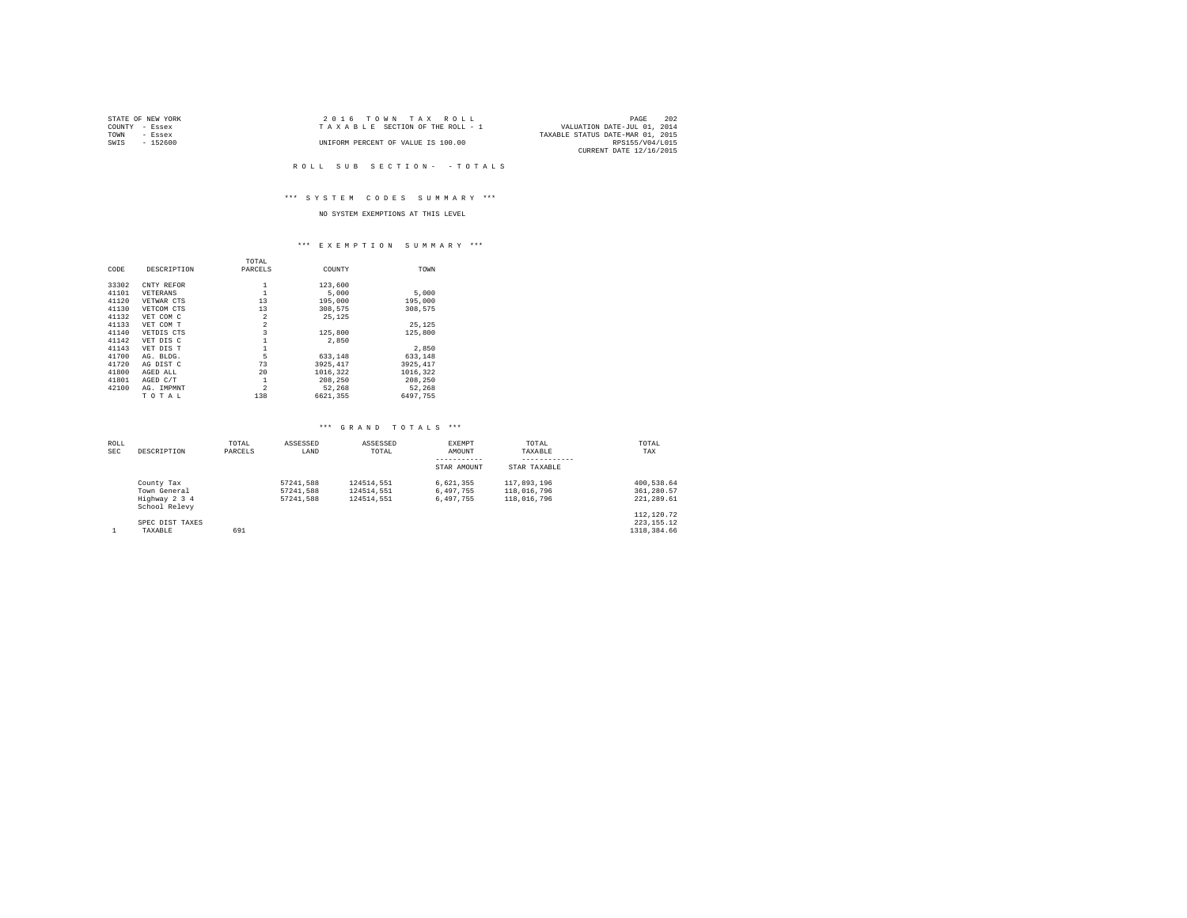|                | STATE OF NEW YORK | $2.0.16$ TOWN TAX ROLL             |                                  | PAGE            | 202 |
|----------------|-------------------|------------------------------------|----------------------------------|-----------------|-----|
| COUNTY - Essex |                   | TAXABLE SECTION OF THE ROLL - 1    | VALUATION DATE-JUL 01, 2014      |                 |     |
| TOWN           | - Essex           |                                    | TAXABLE STATUS DATE-MAR 01, 2015 |                 |     |
| SWIS           | - 152600          | UNIFORM PERCENT OF VALUE IS 100.00 |                                  | RPS155/V04/L015 |     |
|                |                   |                                    | CURRENT DATE 12/16/2015          |                 |     |

#### ROLL SUB SECTION - - TOTALS

## \*\*\* S Y S T E M C O D E S S U M M A R Y \*\*\*

## NO SYSTEM EXEMPTIONS AT THIS LEVEL

#### \*\*\* E X E M P T I O N S U M M A R Y \*\*\*

|       |             | TOTAL          |           |          |  |
|-------|-------------|----------------|-----------|----------|--|
| CODE  | DESCRIPTION | PARCELS        | COUNTY    | TOWN     |  |
| 33302 | CNTY REFOR  | 1              | 123,600   |          |  |
| 41101 | VETERANS    | 1              | 5,000     | 5,000    |  |
| 41120 | VETWAR CTS  | 13             | 195,000   | 195,000  |  |
| 41130 | VETCOM CTS  | 13             | 308,575   | 308.575  |  |
| 41132 | VET COM C   | $\overline{2}$ | 25.125    |          |  |
| 41133 | VET COM T   | $\overline{2}$ |           | 25.125   |  |
| 41140 | VETDIS CTS  | 3              | 125,800   | 125,800  |  |
| 41142 | VET DIS C   | 1              | 2,850     |          |  |
| 41143 | VET DIS T   | 1              |           | 2,850    |  |
| 41700 | AG. BLDG.   | 5              | 633,148   | 633,148  |  |
| 41720 | AG DIST C   | 73             | 3925, 417 | 3925.417 |  |
| 41800 | AGED ALL    | 20             | 1016,322  | 1016,322 |  |
| 41801 | AGED C/T    | 1              | 208,250   | 208,250  |  |
| 42100 | AG. IMPMNT  | $\overline{2}$ | 52,268    | 52.268   |  |
|       | TOTAL       | 138            | 6621.355  | 6497.755 |  |

## \*\*\* G R A N D T O T A L S \*\*\*

| ROLL<br><b>SEC</b> | DESCRIPTION                                                  | TOTAL<br>PARCELS | ASSESSED<br>LAND                    | ASSESSED<br>TOTAL                      | <b>EXEMPT</b><br>AMOUNT<br>STAR AMOUNT | TOTAL<br>TAXABLE<br>STAR TAXABLE          | TOTAL<br>TAX                                         |
|--------------------|--------------------------------------------------------------|------------------|-------------------------------------|----------------------------------------|----------------------------------------|-------------------------------------------|------------------------------------------------------|
|                    | County Tax<br>Town General<br>Highway 2 3 4<br>School Relevy |                  | 57241.588<br>57241.588<br>57241.588 | 124514.551<br>124514.551<br>124514.551 | 6.621.355<br>6.497.755<br>6.497.755    | 117,893,196<br>118,016,796<br>118,016,796 | 400.538.64<br>361,280.57<br>221.289.61<br>112,120.72 |
|                    | SPEC DIST TAXES<br>TAXABLE                                   | 691              |                                     |                                        |                                        |                                           | 223.155.12<br>1318, 384, 66                          |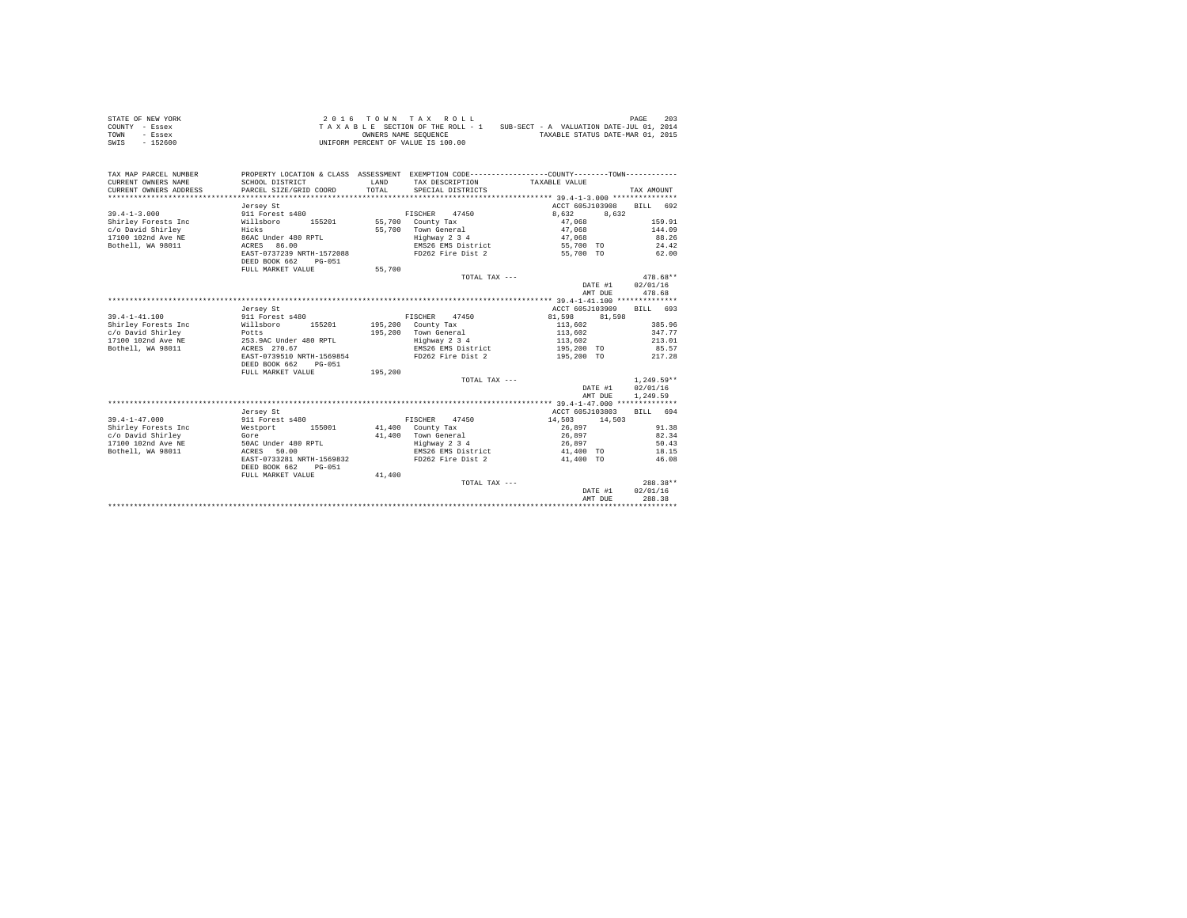| STATE OF NEW YORK | 2016 TOWN TAX ROLL                 | 203<br>PAGE                              |
|-------------------|------------------------------------|------------------------------------------|
| COUNTY - Essex    | TAXABLE SECTION OF THE ROLL - 1    | SUB-SECT - A VALUATION DATE-JUL 01, 2014 |
| TOWN<br>- Essex   | OWNERS NAME SEOUENCE               | TAXABLE STATUS DATE-MAR 01, 2015         |
| $-152600$<br>SWIS | UNIFORM PERCENT OF VALUE IS 100.00 |                                          |

| TAX MAP PARCEL NUMBER<br>CURRENT OWNERS NAME<br>CURRENT OWNERS ADDRESS | PROPERTY LOCATION & CLASS ASSESSMENT EXEMPTION CODE---------------COUNTY-------TOWN----------<br>SCHOOL DISTRICT<br>PARCEL SIZE/GRID COORD | LAND<br>TOTAL. | TAX DESCRIPTION TAXABLE VALUE<br>SPECIAL DISTRICTS |                  | TAX AMOUNT   |
|------------------------------------------------------------------------|--------------------------------------------------------------------------------------------------------------------------------------------|----------------|----------------------------------------------------|------------------|--------------|
|                                                                        | Jersey St                                                                                                                                  |                |                                                    | ACCT 605J103908  | RTLL 692     |
| $39.4 - 1 - 3.000$                                                     | 911 Forest s480                                                                                                                            |                | 47450<br>FISCHER                                   | 8,632<br>8.632   |              |
| Shirley Forests Inc                                                    | 155201<br>Willsboro                                                                                                                        |                | 55,700 County Tax                                  | 47.068           | 159.91       |
| c/o David Shirley                                                      | Hicks                                                                                                                                      |                | 55.700 Town General                                | 47,068           | 144.09       |
| 17100 102nd Ave NE                                                     | 86AC Under 480 RPTL                                                                                                                        |                | Highway 2 3 4                                      | 47.068           | 88.26        |
| Bothell, WA 98011                                                      | ACRES 86.00                                                                                                                                |                | EMS26 EMS District                                 | 55,700 TO        | 24.42        |
|                                                                        | EAST-0737239 NRTH-1572088                                                                                                                  |                | FD262 Fire Dist 2                                  | 55,700 TO        | 62.00        |
|                                                                        | DEED BOOK 662<br>$PG-051$                                                                                                                  |                |                                                    |                  |              |
|                                                                        | FULL MARKET VALUE                                                                                                                          | 55,700         |                                                    |                  |              |
|                                                                        |                                                                                                                                            |                | TOTAL TAX ---                                      |                  | $478.68**$   |
|                                                                        |                                                                                                                                            |                |                                                    | DATE #1          | 02/01/16     |
|                                                                        |                                                                                                                                            |                |                                                    | AMT DUE          | 478.68       |
|                                                                        |                                                                                                                                            |                |                                                    |                  |              |
|                                                                        | Jersey St                                                                                                                                  |                |                                                    | ACCT 605J103909  | BILL 693     |
| $39.4 - 1 - 41.100$                                                    | 911 Forest s480                                                                                                                            |                | FISCHER 47450                                      | 81,598<br>81,598 |              |
| Shirley Forests Inc                                                    | Willsboro<br>155201                                                                                                                        |                | 195,200 County Tax                                 | 113,602          | 385.96       |
| c/o David Shirley                                                      |                                                                                                                                            |                | 195.200 Town General                               | 113,602          | 347.77       |
| 17100 102nd Ave NE                                                     | Potts<br>253.9AC Under 480 RPTL                                                                                                            |                | Highway 2 3 4                                      | 113,602          | 213.01       |
| Bothell, WA 98011                                                      | ACRES 270.67                                                                                                                               |                | EMS26 EMS District                                 | 195,200 TO       | 85.57        |
|                                                                        | EAST-0739510 NRTH-1569854                                                                                                                  |                | FD262 Fire Dist 2                                  | 195,200 TO       | 217.28       |
|                                                                        | DEED BOOK 662<br>$PG-051$                                                                                                                  |                |                                                    |                  |              |
|                                                                        | FULL MARKET VALUE                                                                                                                          | 195,200        |                                                    |                  |              |
|                                                                        |                                                                                                                                            |                | TOTAL TAX ---                                      |                  | $1.249.59**$ |
|                                                                        |                                                                                                                                            |                |                                                    | DATE #1          | 02/01/16     |
|                                                                        |                                                                                                                                            |                |                                                    | AMT DUE          | 1,249.59     |
|                                                                        |                                                                                                                                            |                |                                                    |                  |              |
|                                                                        | Jersey St                                                                                                                                  |                |                                                    | ACCT 605J103803  | RTLL 694     |
| $39.4 - 1 - 47.000$                                                    | 911 Forest s480                                                                                                                            |                | FISCHER<br>47450                                   | 14,503<br>14,503 |              |
| Shirley Forests Inc                                                    | Westport<br>155001                                                                                                                         |                | 41.400 County Tax                                  | 26,897           | 91.38        |
| c/o David Shirley                                                      | Gore                                                                                                                                       |                | 41.400 Town General                                | 26.897           | 82.34        |
| 17100 102nd Ave NE                                                     | 50AC Under 480 RPTL                                                                                                                        |                | Highway 2 3 4                                      | 26,897           | 50.43        |
| Bothell, WA 98011                                                      | ACRES 50.00                                                                                                                                |                | EMS26 EMS District                                 | 41,400 TO        | 18.15        |
|                                                                        | EAST-0733281 NRTH-1569832                                                                                                                  |                | FD262 Fire Dist 2                                  | 41,400 TO        | 46.08        |
|                                                                        | DEED BOOK 662<br>PG-051                                                                                                                    |                |                                                    |                  |              |
|                                                                        | FULL MARKET VALUE                                                                                                                          | 41,400         |                                                    |                  |              |
|                                                                        |                                                                                                                                            |                | TOTAL TAX ---                                      |                  | 288.38**     |
|                                                                        |                                                                                                                                            |                |                                                    | DATE #1          | 02/01/16     |
|                                                                        |                                                                                                                                            |                |                                                    | AMT DUE          | 288.38       |
|                                                                        |                                                                                                                                            |                |                                                    |                  |              |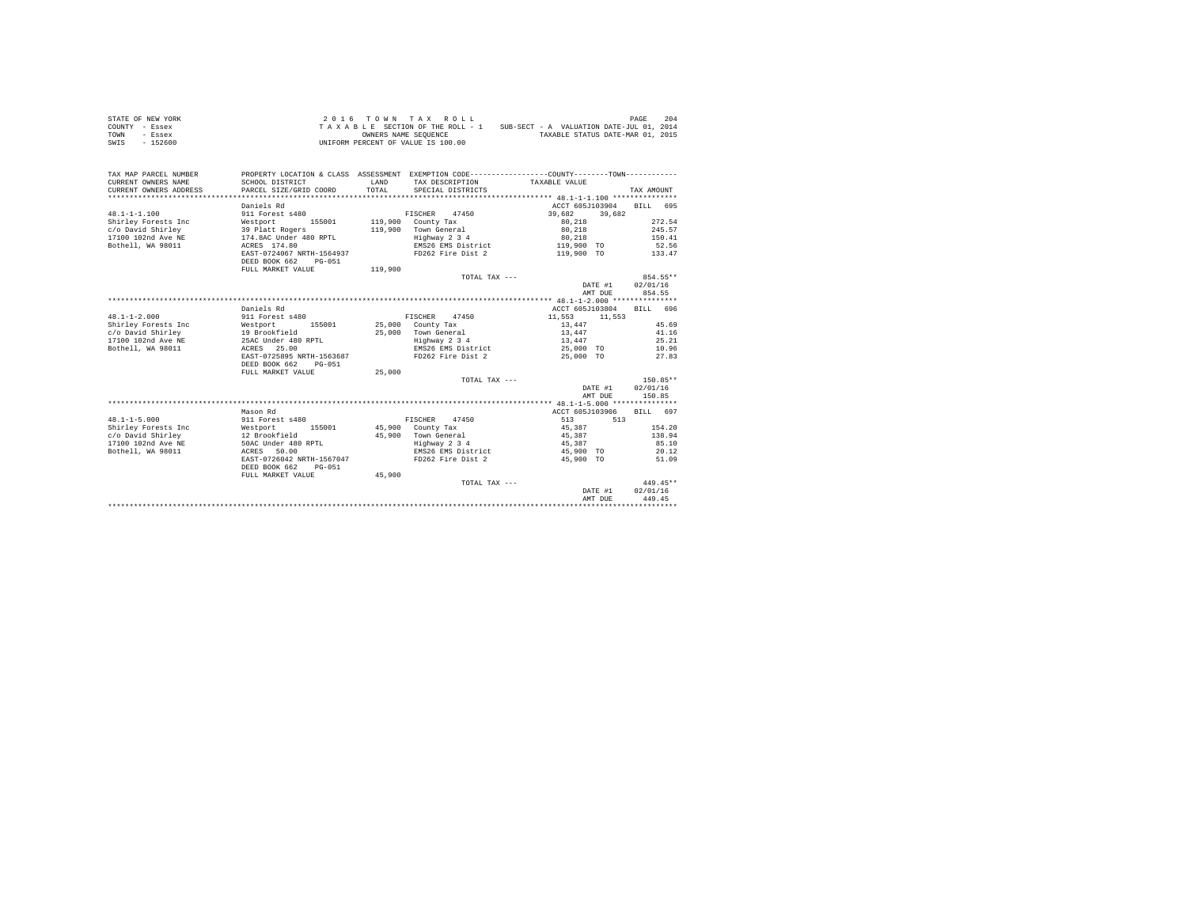| STATE OF NEW YORK | 2016 TOWN TAX ROLL                 | 204<br>PAGE                              |
|-------------------|------------------------------------|------------------------------------------|
| COUNTY - Essex    | TAXABLE SECTION OF THE ROLL - 1    | SUB-SECT - A VALUATION DATE-JUL 01, 2014 |
| TOWN<br>- Essex   | OWNERS NAME SEOUENCE               | TAXABLE STATUS DATE-MAR 01, 2015         |
| $-152600$<br>SWIS | UNIFORM PERCENT OF VALUE IS 100.00 |                                          |

| TAX MAP PARCEL NUMBER<br>CURRENT OWNERS NAME<br>CURRENT OWNERS ADDRESS | PROPERTY LOCATION & CLASS ASSESSMENT EXEMPTION CODE----------------COUNTY-------TOWN----------<br>SCHOOL DISTRICT<br>PARCEL SIZE/GRID COORD | LAND<br>TOTAL | TAX DESCRIPTION TAXABLE VALUE<br>SPECIAL DISTRICTS |                            | TAX AMOUNT |
|------------------------------------------------------------------------|---------------------------------------------------------------------------------------------------------------------------------------------|---------------|----------------------------------------------------|----------------------------|------------|
|                                                                        | Daniels Rd                                                                                                                                  |               |                                                    | ACCT 605J103904            | RTLL 695   |
| $48.1 - 1 - 1.100$                                                     | 911 Forest s480                                                                                                                             |               | FISCHER<br>47450                                   |                            |            |
|                                                                        | 155001                                                                                                                                      |               | 119,900 County Tax                                 | 39,682<br>39,682<br>80.218 | 272.54     |
| Shirley Forests Inc<br>c/o David Shirley                               | Westport<br>39 Platt Rogers                                                                                                                 |               | 119,900 Town General                               | 80,218                     | 245.57     |
| 17100 102nd Ave NE                                                     | 174.8AC Under 480 RPTL                                                                                                                      |               | Highway 2 3 4                                      | 80,218                     | 150.41     |
| Bothell, WA 98011                                                      | ACRES 174.80                                                                                                                                |               | EMS26 EMS District                                 | 119,900 TO                 | 52.56      |
|                                                                        | EAST-0724067 NRTH-1564937                                                                                                                   |               | FD262 Fire Dist 2                                  | 119,900 TO                 | 133.47     |
|                                                                        | $PG-0.51$                                                                                                                                   |               |                                                    |                            |            |
|                                                                        | DEED BOOK 662<br>FULL MARKET VALUE                                                                                                          | 119,900       |                                                    |                            |            |
|                                                                        |                                                                                                                                             |               |                                                    |                            | 854.55**   |
|                                                                        |                                                                                                                                             |               | TOTAL TAX ---                                      |                            |            |
|                                                                        |                                                                                                                                             |               |                                                    | DATE #1                    | 02/01/16   |
|                                                                        |                                                                                                                                             |               |                                                    | AMT DUE                    | 854.55     |
|                                                                        |                                                                                                                                             |               |                                                    |                            |            |
|                                                                        | Daniels Rd                                                                                                                                  |               |                                                    | ACCT 605J103804            | BILL 696   |
| $48.1 - 1 - 2.000$                                                     | 911 Forest s480                                                                                                                             |               | FISCHER 47450                                      | 11,553<br>11,553           |            |
| Shirley Forests Inc                                                    | Westport 155001 25,000 County Tax                                                                                                           |               |                                                    | 13,447                     | 45.69      |
| c/o David Shirley                                                      | 19 Brookfield<br>25AC Under 480 RPTL                                                                                                        |               | 25,000 Town General                                | 13,447                     | 41.16      |
| 17100 102nd Ave NE                                                     |                                                                                                                                             |               | Highway 2 3 4                                      | 13,447                     | 25.21      |
| Bothell, WA 98011                                                      | ACRES 25.00                                                                                                                                 |               | EMS26 EMS District                                 | 25,000 TO                  | 10.96      |
|                                                                        | EAST-0725895 NRTH-1563687                                                                                                                   |               | FD262 Fire Dist 2                                  | 25,000 TO                  | 27.83      |
|                                                                        | DEED BOOK 662<br>$PG - 0.51$                                                                                                                |               |                                                    |                            |            |
|                                                                        | FULL MARKET VALUE                                                                                                                           | 25,000        |                                                    |                            |            |
|                                                                        |                                                                                                                                             |               | TOTAL TAX ---                                      |                            | $150.85**$ |
|                                                                        |                                                                                                                                             |               |                                                    | DATE #1                    | 02/01/16   |
|                                                                        |                                                                                                                                             |               |                                                    | AMT DUE                    | 150.85     |
|                                                                        |                                                                                                                                             |               |                                                    |                            |            |
|                                                                        | Mason Rd                                                                                                                                    |               |                                                    | ACCT 605J103906            | BILL 697   |
| $48.1 - 1 - 5.000$                                                     | 911 Forest s480                                                                                                                             |               | FISCHER<br>47450                                   | 513<br>513                 |            |
| Shirley Forests Inc                                                    | Westport<br>155001                                                                                                                          |               | 45,900 County Tax                                  | 45,387                     | 154.20     |
| c/o David Shirley                                                      | 12 Brookfield                                                                                                                               |               | 45.900 Town General                                | 45,387                     | 138.94     |
| 17100 102nd Ave NE                                                     | 50AC Under 480 RPTL                                                                                                                         |               | Highway 2 3 4                                      | 45.387                     | 85.10      |
| Bothell, WA 98011                                                      | ACRES 50.00                                                                                                                                 |               | EMS26 EMS District                                 | 45,900 TO                  | 20.12      |
|                                                                        | EAST-0726042 NRTH-1567047                                                                                                                   |               | FD262 Fire Dist 2                                  | 45,900 TO                  | 51.09      |
|                                                                        | DEED BOOK 662<br>PG-051                                                                                                                     |               |                                                    |                            |            |
|                                                                        | FULL MARKET VALUE                                                                                                                           | 45,900        |                                                    |                            |            |
|                                                                        |                                                                                                                                             |               | TOTAL TAX ---                                      |                            | 449.45**   |
|                                                                        |                                                                                                                                             |               |                                                    | DATE #1                    | 02/01/16   |
|                                                                        |                                                                                                                                             |               |                                                    | AMT DUE                    | 449.45     |
|                                                                        |                                                                                                                                             |               |                                                    |                            |            |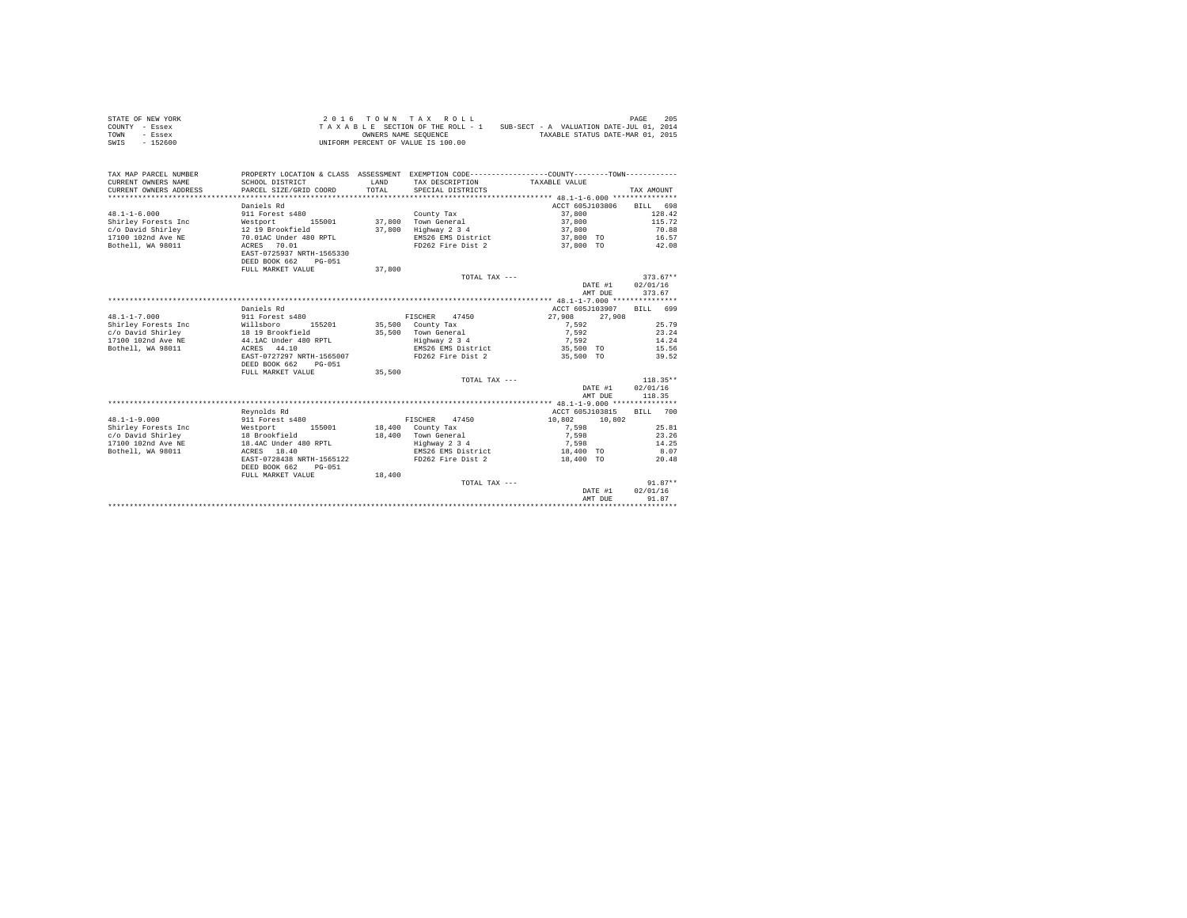| STATE OF NEW YORK | 2016 TOWN TAX ROLL                 | 205<br>PAGE                              |
|-------------------|------------------------------------|------------------------------------------|
| COUNTY - Essex    | TAXABLE SECTION OF THE ROLL - 1    | SUB-SECT - A VALUATION DATE-JUL 01, 2014 |
| TOWN<br>- Essex   | OWNERS NAME SEOUENCE               | TAXABLE STATUS DATE-MAR 01, 2015         |
| $-152600$<br>SWIS | UNIFORM PERCENT OF VALUE IS 100.00 |                                          |

| TAX MAP PARCEL NUMBER<br>CURRENT OWNERS NAME<br>CURRENT OWNERS ADDRESS | SCHOOL DISTRICT<br>PARCEL SIZE/GRID COORD                                 | LAND<br>TOTAL | PROPERTY LOCATION & CLASS ASSESSMENT EXEMPTION CODE---------------COUNTY-------TOWN---------<br>TAX DESCRIPTION<br>SPECIAL DISTRICTS | TAXABLE VALUE      | TAX AMOUNT         |
|------------------------------------------------------------------------|---------------------------------------------------------------------------|---------------|--------------------------------------------------------------------------------------------------------------------------------------|--------------------|--------------------|
|                                                                        | Daniels Rd                                                                |               |                                                                                                                                      | ACCT 605J103806    | BILL 698           |
| $48.1 - 1 - 6.000$                                                     | 911 Forest s480                                                           |               | County Tax                                                                                                                           | 37,800             | 128.42             |
| Shirley Forests Inc                                                    | 155001                                                                    | 37,800        | Town General                                                                                                                         | 37,800             | 115.72             |
|                                                                        | Westport<br>12 19 Brookfield                                              | 37,800        |                                                                                                                                      |                    | 70.88              |
| c/o David Shirley                                                      |                                                                           |               | Highway 2 3 4                                                                                                                        | 37,800             |                    |
| 17100 102nd Ave NE                                                     | 70.01AC Under 480 RPTL                                                    |               | EMS26 EMS District                                                                                                                   | 37,800 TO          | 16.57              |
| Bothell, WA 98011                                                      | 70.01<br>ACRES<br>EAST-0725937 NRTH-1565330<br>DEED BOOK 662<br>$PG-0.51$ |               | FD262 Fire Dist 2                                                                                                                    | 37.800 TO          | 42.08              |
|                                                                        | FULL MARKET VALUE                                                         | 37,800        |                                                                                                                                      |                    |                    |
|                                                                        |                                                                           |               | TOTAL TAX ---                                                                                                                        |                    | $373.67**$         |
|                                                                        |                                                                           |               |                                                                                                                                      | DATE #1<br>AMT DUE | 02/01/16<br>373.67 |
|                                                                        |                                                                           |               |                                                                                                                                      |                    |                    |
|                                                                        | Daniels Rd                                                                |               |                                                                                                                                      | ACCT 605J103907    | BTT.T. 699         |
| $48.1 - 1 - 7.000$                                                     | 911 Forest s480                                                           |               | FISCHER 47450                                                                                                                        | 27,908<br>27,908   |                    |
| Shirley Forests Inc                                                    | Willsboro<br>155201                                                       |               | 35,500 County Tax                                                                                                                    | 7.592              | 25.79              |
| c/o David Shirley                                                      | 18 19 Brookfield                                                          |               | 35,500 Town General                                                                                                                  | 7.592              | 23.24              |
| 17100 102nd Ave NE                                                     | 44.1AC Under 480 RPTL                                                     |               | Highway 2 3 4                                                                                                                        | 7,592              | 14.24              |
| Bothell, WA 98011                                                      | ACRES 44.10                                                               |               | EMS26 EMS District                                                                                                                   | 35,500 TO          | 15.56              |
|                                                                        | EAST-0727297 NRTH-1565007                                                 |               | FD262 Fire Dist 2                                                                                                                    | 35,500 TO          | 39.52              |
|                                                                        | DEED BOOK 662<br>$PG-051$                                                 |               |                                                                                                                                      |                    |                    |
|                                                                        | FULL MARKET VALUE                                                         | 35,500        |                                                                                                                                      |                    |                    |
|                                                                        |                                                                           |               | TOTAL TAX ---                                                                                                                        |                    | $118.35**$         |
|                                                                        |                                                                           |               |                                                                                                                                      | DATE #1            | 02/01/16           |
|                                                                        |                                                                           |               |                                                                                                                                      | AMT DUE            | 118.35             |
|                                                                        |                                                                           |               |                                                                                                                                      |                    |                    |
|                                                                        | Revnolds Rd                                                               |               |                                                                                                                                      | ACCT 605J103815    | BILL 700           |
| $48.1 - 1 - 9.000$                                                     | 911 Forest s480                                                           |               | FISCHER<br>47450                                                                                                                     | 10,802<br>10,802   |                    |
| Shirley Forests Inc                                                    | 155001<br>Westport                                                        |               | 18,400 County Tax                                                                                                                    | 7.598              | 25.81              |
| c/o David Shirley                                                      | 18 Brookfield                                                             | 18,400        | Town General                                                                                                                         | 7,598              | 23.26              |
| 17100 102nd Ave NE                                                     | 18.4AC Under 480 RPTL                                                     |               | Highway 2 3 4                                                                                                                        | 7,598              | 14.25              |
| Bothell, WA 98011                                                      | ACRES 18.40                                                               |               | EMS26 EMS District                                                                                                                   | 18,400 TO          | 8.07               |
|                                                                        | EAST-0728438 NRTH-1565122                                                 |               | FD262 Fire Dist 2                                                                                                                    | 18,400 TO          | 20.48              |
|                                                                        | DEED BOOK 662<br>$PG-051$                                                 |               |                                                                                                                                      |                    |                    |
|                                                                        |                                                                           |               |                                                                                                                                      |                    |                    |
|                                                                        | FULL MARKET VALUE                                                         | 18,400        |                                                                                                                                      |                    | $91.87**$          |
|                                                                        |                                                                           |               | TOTAL TAX ---                                                                                                                        |                    | 02/01/16           |
|                                                                        |                                                                           |               |                                                                                                                                      | DATE #1            |                    |
|                                                                        |                                                                           |               |                                                                                                                                      | AMT DUE            | 91.87              |
|                                                                        |                                                                           |               |                                                                                                                                      |                    |                    |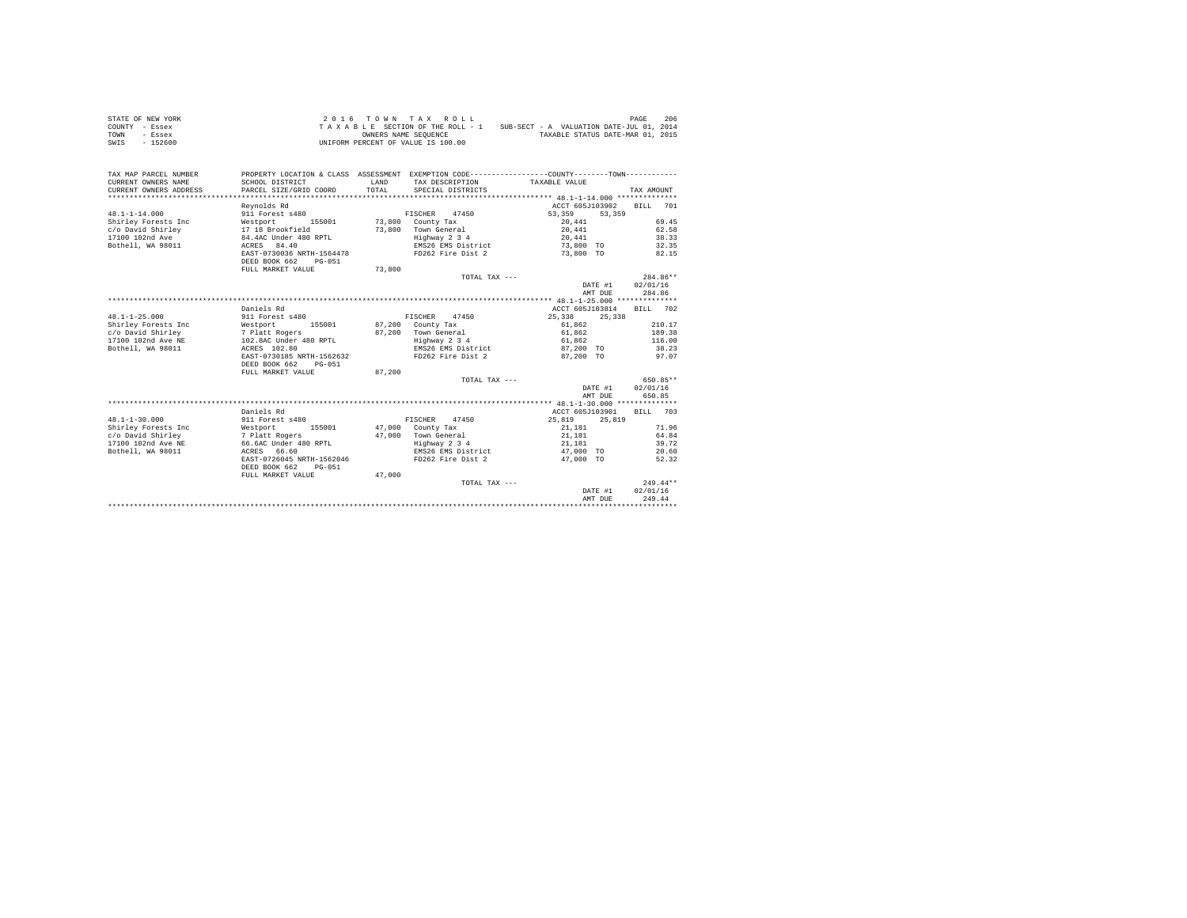| STATE OF NEW YORK |  |  |  | 2016 TOWN TAX ROLL                 |  |  |  |  |                                          | PAGE | 206 |
|-------------------|--|--|--|------------------------------------|--|--|--|--|------------------------------------------|------|-----|
| COUNTY - Essex    |  |  |  | TAXABLE SECTION OF THE ROLL - 1    |  |  |  |  | SUB-SECT - A VALUATION DATE-JUL 01, 2014 |      |     |
| TOWN<br>- Essex   |  |  |  | OWNERS NAME SEOUENCE               |  |  |  |  | TAXABLE STATUS DATE-MAR 01, 2015         |      |     |
| $-152600$<br>SWIS |  |  |  | UNIFORM PERCENT OF VALUE IS 100.00 |  |  |  |  |                                          |      |     |

| TAX MAP PARCEL NUMBER<br>CURRENT OWNERS NAME<br>CURRENT OWNERS ADDRESS | PROPERTY LOCATION & CLASS ASSESSMENT EXEMPTION CODE----------------COUNTY-------TOWN----------<br>SCHOOL DISTRICT<br>PARCEL SIZE/GRID COORD | LAND<br>TOTAL. | TAX DESCRIPTION TAXABLE VALUE<br>SPECIAL DISTRICTS |                  | TAX AMOUNT  |
|------------------------------------------------------------------------|---------------------------------------------------------------------------------------------------------------------------------------------|----------------|----------------------------------------------------|------------------|-------------|
|                                                                        | Revnolds Rd                                                                                                                                 |                |                                                    | ACCT 605J103902  | BTLL<br>701 |
| $48.1 - 1 - 14.000$                                                    | 911 Forest s480                                                                                                                             |                | FISCHER<br>47450                                   | 53,359<br>53,359 |             |
| Shirley Forests Inc                                                    | Westport<br>155001                                                                                                                          |                | 73.800 County Tax                                  | 20,441           | 69.45       |
| c/o David Shirley                                                      | 17 18 Brookfield                                                                                                                            | 73,800         | Town General                                       | 20,441           | 62.58       |
| 17100 102nd Ave                                                        | 84.4AC Under 480 RPTL                                                                                                                       |                | Highway 2 3 4                                      | 20.441           | 38.33       |
| Bothell, WA 98011                                                      | ACRES 84.40                                                                                                                                 |                | EMS26 EMS District                                 | 73,800 TO        | 32.35       |
|                                                                        | EAST-0730036 NRTH-1564478                                                                                                                   |                | FD262 Fire Dist 2                                  | 73,800 TO        | 82.15       |
|                                                                        | DEED BOOK 662<br>$PG-051$                                                                                                                   |                |                                                    |                  |             |
|                                                                        | FULL MARKET VALUE                                                                                                                           | 73,800         |                                                    |                  |             |
|                                                                        |                                                                                                                                             |                | TOTAL TAX ---                                      |                  | 284.86**    |
|                                                                        |                                                                                                                                             |                |                                                    | DATE #1          | 02/01/16    |
|                                                                        |                                                                                                                                             |                |                                                    | AMT DUE          | 284.86      |
|                                                                        |                                                                                                                                             |                |                                                    |                  |             |
|                                                                        | Daniels Rd                                                                                                                                  |                |                                                    | ACCT 605J103814  | BILL 702    |
| $48.1 - 1 - 25.000$                                                    | 911 Forest s480                                                                                                                             |                | FISCHER 47450                                      | 25,338<br>25,338 |             |
| Shirley Forests Inc                                                    | Westport<br>155001                                                                                                                          |                | 87,200 County Tax                                  | 61.862           | 210.17      |
| c/o David Shirley                                                      |                                                                                                                                             |                | 87.200 Town General                                | 61,862           | 189.38      |
| 17100 102nd Ave NE                                                     | 7 Platt Rogers<br>102.8AC Under 480 RPTL                                                                                                    |                | Highway 2 3 4                                      | 61,862           | 116.00      |
| Bothell, WA 98011                                                      | ACRES 102.80                                                                                                                                |                | EMS26 EMS District                                 | 87.200 TO        | 38.23       |
|                                                                        | EAST-0730185 NRTH-1562632                                                                                                                   |                | FD262 Fire Dist 2                                  | 87.200 TO        | 97.07       |
|                                                                        | DEED BOOK 662<br>$PG-0.51$                                                                                                                  |                |                                                    |                  |             |
|                                                                        | FULL MARKET VALUE                                                                                                                           | 87.200         |                                                    |                  |             |
|                                                                        |                                                                                                                                             |                | TOTAL TAX ---                                      |                  | 650.85**    |
|                                                                        |                                                                                                                                             |                |                                                    | DATE #1          | 02/01/16    |
|                                                                        |                                                                                                                                             |                |                                                    | AMT DUE          | 650.85      |
|                                                                        |                                                                                                                                             |                |                                                    |                  |             |
|                                                                        | Daniels Rd                                                                                                                                  |                |                                                    | ACCT 605J103901  | BTLL 703    |
| $48.1 - 1 - 30.000$                                                    | 911 Forest s480                                                                                                                             |                | FISCHER 47450                                      | 25,819<br>25,819 |             |
| Shirley Forests Inc                                                    | Westport<br>155001                                                                                                                          |                | 47,000 County Tax                                  | 21,181           | 71.96       |
| c/o David Shirley                                                      | 7 Platt Rogers                                                                                                                              |                | 47.000 Town General                                | 21,181           | 64.84       |
| 17100 102nd Ave NE                                                     | 66.6AC Under 480 RPTL                                                                                                                       |                | Highway 2 3 4                                      | 21.181           | 39.72       |
| Bothell, WA 98011                                                      | ACRES 66.60                                                                                                                                 |                | EMS26 EMS District                                 | 47,000 TO        | 20.60       |
|                                                                        | EAST-0726045 NRTH-1562046                                                                                                                   |                | FD262 Fire Dist 2                                  | 47,000 TO        | 52.32       |
|                                                                        | DEED BOOK 662<br>$PG-051$                                                                                                                   |                |                                                    |                  |             |
|                                                                        | FULL MARKET VALUE                                                                                                                           | 47,000         |                                                    |                  |             |
|                                                                        |                                                                                                                                             |                | TOTAL TAX ---                                      |                  | $249.44**$  |
|                                                                        |                                                                                                                                             |                |                                                    | DATE #1          | 02/01/16    |
|                                                                        |                                                                                                                                             |                |                                                    | AMT DUE          | 249.44      |
|                                                                        |                                                                                                                                             |                |                                                    |                  |             |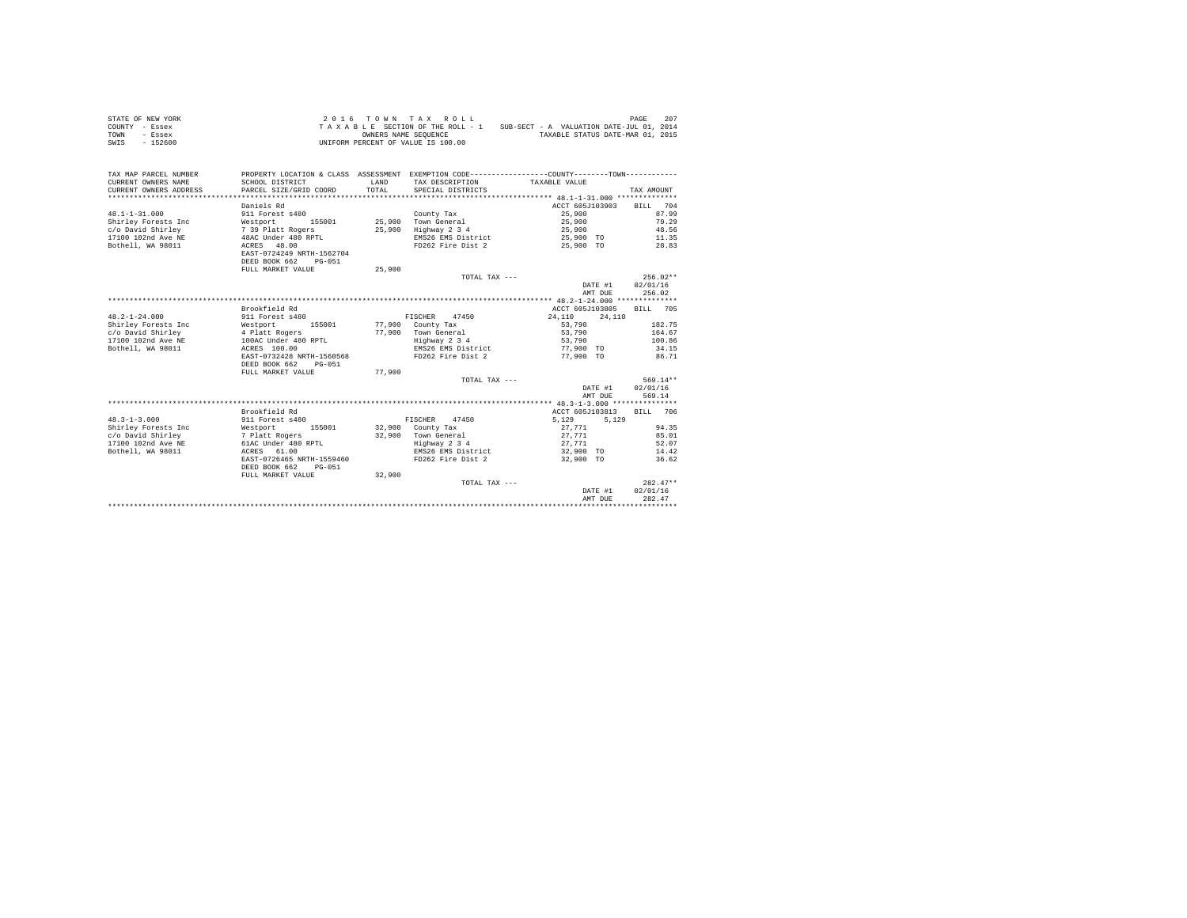| STATE OF NEW YORK | $2.0.16$ TOWN TAX ROLL             | 207<br>PAGE                              |
|-------------------|------------------------------------|------------------------------------------|
| COUNTY - Essex    | TAXABLE SECTION OF THE ROLL - 1    | SUB-SECT - A VALUATION DATE-JUL 01, 2014 |
| TOWN<br>- Essex   | OWNERS NAME SEOUENCE               | TAXABLE STATUS DATE-MAR 01, 2015         |
| $-152600$<br>SWIS | UNIFORM PERCENT OF VALUE IS 100.00 |                                          |

| TAX MAP PARCEL NUMBER<br>CURRENT OWNERS NAME<br>CURRENT OWNERS ADDRESS<br>******************** | PROPERTY LOCATION & CLASS ASSESSMENT EXEMPTION CODE----------------COUNTY-------TOWN----------<br>SCHOOL DISTRICT<br>PARCEL SIZE/GRID COORD | LAND<br>TOTAL. | TAX DESCRIPTION TAXABLE VALUE<br>SPECIAL DISTRICTS |                                    | TAX AMOUNT       |
|------------------------------------------------------------------------------------------------|---------------------------------------------------------------------------------------------------------------------------------------------|----------------|----------------------------------------------------|------------------------------------|------------------|
|                                                                                                | Daniels Rd                                                                                                                                  |                |                                                    | ACCT 605J103903                    | BILL 704         |
|                                                                                                |                                                                                                                                             |                |                                                    |                                    | 87.99            |
| $48.1 - 1 - 31.000$                                                                            | 911 Forest s480                                                                                                                             |                | County Tax                                         | 25,900                             |                  |
| Shirley Forests Inc                                                                            | Westport 155001<br>7 39 Platt Rogers                                                                                                        |                | 25.900 Town General                                | 25,900                             | 79.29            |
| c/o David Shirley                                                                              |                                                                                                                                             | 25,900         | Highway 2 3 4                                      | 25,900                             | 48.56            |
| 17100 102nd Ave NE 48AC Under 480 RPTL                                                         |                                                                                                                                             |                |                                                    | EMS26 EMS District 25,900 TO 11.35 |                  |
| Bothell, WA 98011                                                                              | ACRES 48.00<br>EAST-0724249 NRTH-1562704<br>DEED BOOK 662<br>$PG-051$                                                                       |                |                                                    | FD262 Fire Dist 2 25,900 TO        | 28.83            |
|                                                                                                | FULL MARKET VALUE                                                                                                                           | 25,900         |                                                    |                                    |                  |
|                                                                                                |                                                                                                                                             |                | TOTAL TAX ---                                      |                                    | $256.02**$       |
|                                                                                                |                                                                                                                                             |                |                                                    |                                    | DATE #1 02/01/16 |
|                                                                                                |                                                                                                                                             |                |                                                    | AMT DUE                            | 256.02           |
|                                                                                                |                                                                                                                                             |                |                                                    |                                    |                  |
|                                                                                                | Brookfield Rd                                                                                                                               |                |                                                    | ACCT 605J103805                    | BILL 705         |
| $48.2 - 1 - 24.000$                                                                            | 911 Forest s480                                                                                                                             |                | FISCHER 47450                                      | 24,110<br>24,110                   |                  |
| Shirley Forests Inc                                                                            | Westport 155001 77,900 County Tax                                                                                                           |                |                                                    | 53,790                             | 182.75           |
| c/o David Shirley                                                                              |                                                                                                                                             |                | 77,900 Town General                                | 53,790                             | 164.67           |
| 17100 102nd Ave NE                                                                             | 4 Platt Rogers<br>100AC Under 480 RPTL                                                                                                      |                | Highway 2 3 4                                      | 53,790                             | 100.86           |
| Bothell, WA 98011                                                                              | ACRES 100.00                                                                                                                                |                | EMS26 EMS District 77,900 TO                       |                                    | 34.15            |
|                                                                                                | EAST-0732428 NRTH-1560568                                                                                                                   |                | FD262 Fire Dist 2 77.900 TO 86.71                  |                                    |                  |
|                                                                                                | DEED BOOK 662<br>PG-051                                                                                                                     |                |                                                    |                                    |                  |
|                                                                                                | FULL MARKET VALUE                                                                                                                           | 77,900         |                                                    |                                    |                  |
|                                                                                                |                                                                                                                                             |                | TOTAL TAX ---                                      |                                    | 569.14**         |
|                                                                                                |                                                                                                                                             |                |                                                    | DATE #1                            | 02/01/16         |
|                                                                                                |                                                                                                                                             |                |                                                    | AMT DUE                            | 569.14           |
|                                                                                                |                                                                                                                                             |                |                                                    |                                    |                  |
|                                                                                                | Brookfield Rd                                                                                                                               |                |                                                    | ACCT 605J103813                    | RTLL 706         |
| $48.3 - 1 - 3.000$                                                                             | 911 Forest s480                                                                                                                             |                | FISCHER 47450                                      | 5,129<br>5.129                     |                  |
| Shirley Forests Inc                                                                            |                                                                                                                                             |                | 32,900 County Tax                                  | 27.771                             | 94.35            |
| c/o David Shirley                                                                              | Westport 155001<br>7 Platt Rogers                                                                                                           |                | 32.900 Town General                                | 27,771                             | 85.01            |
| 17100 102nd Ave NE 61AC Under 480 RPTL                                                         |                                                                                                                                             |                | Highway 2 3 4                                      | 27.771                             | 52.07            |
| Bothell, WA 98011                                                                              | ACRES 61.00                                                                                                                                 |                | EMS26 EMS District                                 | 32,900 TO                          | 14.42            |
|                                                                                                | EAST-0726465 NRTH-1559460                                                                                                                   |                | FD262 Fire Dist 2                                  | 32,900 TO                          | 36.62            |
|                                                                                                | DEED BOOK 662<br>PG-051                                                                                                                     |                |                                                    |                                    |                  |
|                                                                                                | FULL MARKET VALUE                                                                                                                           | 32,900         |                                                    |                                    |                  |
|                                                                                                |                                                                                                                                             |                | TOTAL TAX ---                                      |                                    | $282.47**$       |
|                                                                                                |                                                                                                                                             |                |                                                    | DATE #1                            | 02/01/16         |
|                                                                                                |                                                                                                                                             |                |                                                    | AMT DUE                            | 282.47           |
|                                                                                                |                                                                                                                                             |                |                                                    |                                    |                  |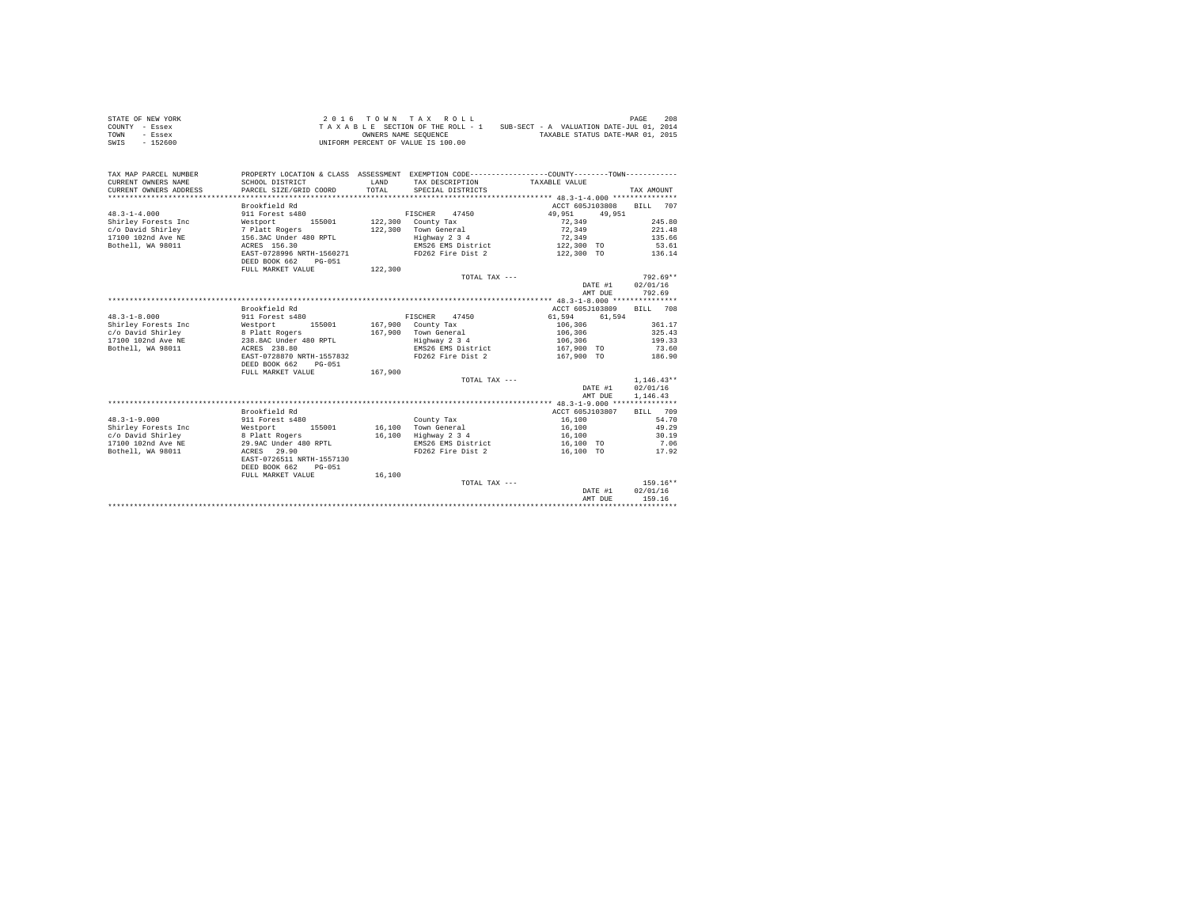| STATE OF NEW YORK | 2016 TOWN TAX ROLL                 | 208<br>PAGE                              |
|-------------------|------------------------------------|------------------------------------------|
| COUNTY - Essex    | TAXABLE SECTION OF THE ROLL - 1    | SUB-SECT - A VALUATION DATE-JUL 01, 2014 |
| TOWN<br>- Essex   | OWNERS NAME SEOUENCE               | TAXABLE STATUS DATE-MAR 01, 2015         |
| $-152600$<br>SWIS | UNIFORM PERCENT OF VALUE IS 100.00 |                                          |

| Brookfield Rd<br>ACCT 605J103808<br>707<br>BILL<br>$48.3 - 1 - 4.000$<br>911 Forest s480<br>FISCHER<br>47450<br>49,951<br>49,951<br>$122,300$ County Tax<br>72.349<br>245.80<br>Shirley Forests Inc<br>Westport<br>155001<br>7 Platt Rogers<br>c/o David Shirley<br>122,300 Town General<br>72.349<br>221.48<br>156.3AC Under 480 RPTL<br>17100 102nd Ave NE<br>Highway 2 3 4<br>72.349<br>135.66<br>Bothell, WA 98011<br>ACRES 156.30<br>EMS26 EMS District<br>122,300 TO<br>53.61<br>EAST-0728996 NRTH-1560271<br>FD262 Fire Dist 2<br>122,300 TO<br>136.14<br>DEED BOOK 662<br>$PG-0.51$<br>122,300<br>FULL MARKET VALUE<br>$792.69**$<br>TOTAL TAX ---<br>02/01/16<br>DATE #1<br>792.69<br>AMT DUE<br>Brookfield Rd<br>ACCT 605J103809<br>BILL 708<br>$48.3 - 1 - 8.000$<br>911 Forest s480<br>FISCHER 47450<br>61,594<br>61.594<br>Shirley Forests Inc<br>155001<br>167,900 County Tax<br>361.17<br>Westport<br>106,306<br>167,900 Town General<br>c/o David Shirley<br>8 Platt Rogers<br>238.8AC Under 480 RPTL<br>106,306<br>325.43<br>17100 102nd Ave NE<br>Highway 2 3 4<br>106,306<br>199.33<br>Bothell, WA 98011<br>EMS26 EMS District<br>ACRES 238.80<br>167,900 TO<br>73.60<br>EAST-0728870 NRTH-1557832<br>FD262 Fire Dist 2<br>167.900 TO<br>186.90<br>DEED BOOK 662<br>$PG-0.51$<br>FULL MARKET VALUE<br>167,900<br>$1,146.43**$<br>TOTAL TAX ---<br>DATE #1<br>02/01/16<br>AMT DUE<br>1,146.43<br>Brookfield Rd<br>ACCT 605J103807<br>709<br><b>BILL</b><br>$48.3 - 1 - 9.000$<br>54.70<br>911 Forest s480<br>16,100<br>County Tax<br>Shirley Forests Inc<br>16.100 Town General<br>49.29<br>Westport 155001<br>16,100<br>8 Platt Rogers<br>Highway 2 3 4<br>30.19<br>c/o David Shirley<br>16,100<br>16,100<br>17100 102nd Ave NE<br>29.9AC Under 480 RPTL<br>EMS26 EMS District<br>7.06<br>16,100 TO<br>Bothell, WA 98011<br>FD262 Fire Dist 2<br>16,100 TO<br>ACRES 29.90<br>17.92<br>EAST-0726511 NRTH-1557130<br>DEED BOOK 662<br>$PG-051$<br>FULL MARKET VALUE<br>16,100<br>$159.16**$<br>TOTAL TAX ---<br>02/01/16<br>DATE #1<br>159.16<br>AMT DUE | TAX MAP PARCEL NUMBER<br>CURRENT OWNERS NAME<br>CURRENT OWNERS ADDRESS | PROPERTY LOCATION & CLASS ASSESSMENT EXEMPTION CODE----------------COUNTY-------TOWN----------<br>SCHOOL DISTRICT<br>PARCEL SIZE/GRID COORD | LAND<br>TOTAL | TAX DESCRIPTION TAXABLE VALUE<br>SPECIAL DISTRICTS | TAX AMOUNT |
|---------------------------------------------------------------------------------------------------------------------------------------------------------------------------------------------------------------------------------------------------------------------------------------------------------------------------------------------------------------------------------------------------------------------------------------------------------------------------------------------------------------------------------------------------------------------------------------------------------------------------------------------------------------------------------------------------------------------------------------------------------------------------------------------------------------------------------------------------------------------------------------------------------------------------------------------------------------------------------------------------------------------------------------------------------------------------------------------------------------------------------------------------------------------------------------------------------------------------------------------------------------------------------------------------------------------------------------------------------------------------------------------------------------------------------------------------------------------------------------------------------------------------------------------------------------------------------------------------------------------------------------------------------------------------------------------------------------------------------------------------------------------------------------------------------------------------------------------------------------------------------------------------------------------------------------------------------------------------------------------------------------------------------------------------------------------------|------------------------------------------------------------------------|---------------------------------------------------------------------------------------------------------------------------------------------|---------------|----------------------------------------------------|------------|
|                                                                                                                                                                                                                                                                                                                                                                                                                                                                                                                                                                                                                                                                                                                                                                                                                                                                                                                                                                                                                                                                                                                                                                                                                                                                                                                                                                                                                                                                                                                                                                                                                                                                                                                                                                                                                                                                                                                                                                                                                                                                           |                                                                        |                                                                                                                                             |               |                                                    |            |
|                                                                                                                                                                                                                                                                                                                                                                                                                                                                                                                                                                                                                                                                                                                                                                                                                                                                                                                                                                                                                                                                                                                                                                                                                                                                                                                                                                                                                                                                                                                                                                                                                                                                                                                                                                                                                                                                                                                                                                                                                                                                           |                                                                        |                                                                                                                                             |               |                                                    |            |
|                                                                                                                                                                                                                                                                                                                                                                                                                                                                                                                                                                                                                                                                                                                                                                                                                                                                                                                                                                                                                                                                                                                                                                                                                                                                                                                                                                                                                                                                                                                                                                                                                                                                                                                                                                                                                                                                                                                                                                                                                                                                           |                                                                        |                                                                                                                                             |               |                                                    |            |
|                                                                                                                                                                                                                                                                                                                                                                                                                                                                                                                                                                                                                                                                                                                                                                                                                                                                                                                                                                                                                                                                                                                                                                                                                                                                                                                                                                                                                                                                                                                                                                                                                                                                                                                                                                                                                                                                                                                                                                                                                                                                           |                                                                        |                                                                                                                                             |               |                                                    |            |
|                                                                                                                                                                                                                                                                                                                                                                                                                                                                                                                                                                                                                                                                                                                                                                                                                                                                                                                                                                                                                                                                                                                                                                                                                                                                                                                                                                                                                                                                                                                                                                                                                                                                                                                                                                                                                                                                                                                                                                                                                                                                           |                                                                        |                                                                                                                                             |               |                                                    |            |
|                                                                                                                                                                                                                                                                                                                                                                                                                                                                                                                                                                                                                                                                                                                                                                                                                                                                                                                                                                                                                                                                                                                                                                                                                                                                                                                                                                                                                                                                                                                                                                                                                                                                                                                                                                                                                                                                                                                                                                                                                                                                           |                                                                        |                                                                                                                                             |               |                                                    |            |
|                                                                                                                                                                                                                                                                                                                                                                                                                                                                                                                                                                                                                                                                                                                                                                                                                                                                                                                                                                                                                                                                                                                                                                                                                                                                                                                                                                                                                                                                                                                                                                                                                                                                                                                                                                                                                                                                                                                                                                                                                                                                           |                                                                        |                                                                                                                                             |               |                                                    |            |
|                                                                                                                                                                                                                                                                                                                                                                                                                                                                                                                                                                                                                                                                                                                                                                                                                                                                                                                                                                                                                                                                                                                                                                                                                                                                                                                                                                                                                                                                                                                                                                                                                                                                                                                                                                                                                                                                                                                                                                                                                                                                           |                                                                        |                                                                                                                                             |               |                                                    |            |
|                                                                                                                                                                                                                                                                                                                                                                                                                                                                                                                                                                                                                                                                                                                                                                                                                                                                                                                                                                                                                                                                                                                                                                                                                                                                                                                                                                                                                                                                                                                                                                                                                                                                                                                                                                                                                                                                                                                                                                                                                                                                           |                                                                        |                                                                                                                                             |               |                                                    |            |
|                                                                                                                                                                                                                                                                                                                                                                                                                                                                                                                                                                                                                                                                                                                                                                                                                                                                                                                                                                                                                                                                                                                                                                                                                                                                                                                                                                                                                                                                                                                                                                                                                                                                                                                                                                                                                                                                                                                                                                                                                                                                           |                                                                        |                                                                                                                                             |               |                                                    |            |
|                                                                                                                                                                                                                                                                                                                                                                                                                                                                                                                                                                                                                                                                                                                                                                                                                                                                                                                                                                                                                                                                                                                                                                                                                                                                                                                                                                                                                                                                                                                                                                                                                                                                                                                                                                                                                                                                                                                                                                                                                                                                           |                                                                        |                                                                                                                                             |               |                                                    |            |
|                                                                                                                                                                                                                                                                                                                                                                                                                                                                                                                                                                                                                                                                                                                                                                                                                                                                                                                                                                                                                                                                                                                                                                                                                                                                                                                                                                                                                                                                                                                                                                                                                                                                                                                                                                                                                                                                                                                                                                                                                                                                           |                                                                        |                                                                                                                                             |               |                                                    |            |
|                                                                                                                                                                                                                                                                                                                                                                                                                                                                                                                                                                                                                                                                                                                                                                                                                                                                                                                                                                                                                                                                                                                                                                                                                                                                                                                                                                                                                                                                                                                                                                                                                                                                                                                                                                                                                                                                                                                                                                                                                                                                           |                                                                        |                                                                                                                                             |               |                                                    |            |
|                                                                                                                                                                                                                                                                                                                                                                                                                                                                                                                                                                                                                                                                                                                                                                                                                                                                                                                                                                                                                                                                                                                                                                                                                                                                                                                                                                                                                                                                                                                                                                                                                                                                                                                                                                                                                                                                                                                                                                                                                                                                           |                                                                        |                                                                                                                                             |               |                                                    |            |
|                                                                                                                                                                                                                                                                                                                                                                                                                                                                                                                                                                                                                                                                                                                                                                                                                                                                                                                                                                                                                                                                                                                                                                                                                                                                                                                                                                                                                                                                                                                                                                                                                                                                                                                                                                                                                                                                                                                                                                                                                                                                           |                                                                        |                                                                                                                                             |               |                                                    |            |
|                                                                                                                                                                                                                                                                                                                                                                                                                                                                                                                                                                                                                                                                                                                                                                                                                                                                                                                                                                                                                                                                                                                                                                                                                                                                                                                                                                                                                                                                                                                                                                                                                                                                                                                                                                                                                                                                                                                                                                                                                                                                           |                                                                        |                                                                                                                                             |               |                                                    |            |
|                                                                                                                                                                                                                                                                                                                                                                                                                                                                                                                                                                                                                                                                                                                                                                                                                                                                                                                                                                                                                                                                                                                                                                                                                                                                                                                                                                                                                                                                                                                                                                                                                                                                                                                                                                                                                                                                                                                                                                                                                                                                           |                                                                        |                                                                                                                                             |               |                                                    |            |
|                                                                                                                                                                                                                                                                                                                                                                                                                                                                                                                                                                                                                                                                                                                                                                                                                                                                                                                                                                                                                                                                                                                                                                                                                                                                                                                                                                                                                                                                                                                                                                                                                                                                                                                                                                                                                                                                                                                                                                                                                                                                           |                                                                        |                                                                                                                                             |               |                                                    |            |
|                                                                                                                                                                                                                                                                                                                                                                                                                                                                                                                                                                                                                                                                                                                                                                                                                                                                                                                                                                                                                                                                                                                                                                                                                                                                                                                                                                                                                                                                                                                                                                                                                                                                                                                                                                                                                                                                                                                                                                                                                                                                           |                                                                        |                                                                                                                                             |               |                                                    |            |
|                                                                                                                                                                                                                                                                                                                                                                                                                                                                                                                                                                                                                                                                                                                                                                                                                                                                                                                                                                                                                                                                                                                                                                                                                                                                                                                                                                                                                                                                                                                                                                                                                                                                                                                                                                                                                                                                                                                                                                                                                                                                           |                                                                        |                                                                                                                                             |               |                                                    |            |
|                                                                                                                                                                                                                                                                                                                                                                                                                                                                                                                                                                                                                                                                                                                                                                                                                                                                                                                                                                                                                                                                                                                                                                                                                                                                                                                                                                                                                                                                                                                                                                                                                                                                                                                                                                                                                                                                                                                                                                                                                                                                           |                                                                        |                                                                                                                                             |               |                                                    |            |
|                                                                                                                                                                                                                                                                                                                                                                                                                                                                                                                                                                                                                                                                                                                                                                                                                                                                                                                                                                                                                                                                                                                                                                                                                                                                                                                                                                                                                                                                                                                                                                                                                                                                                                                                                                                                                                                                                                                                                                                                                                                                           |                                                                        |                                                                                                                                             |               |                                                    |            |
|                                                                                                                                                                                                                                                                                                                                                                                                                                                                                                                                                                                                                                                                                                                                                                                                                                                                                                                                                                                                                                                                                                                                                                                                                                                                                                                                                                                                                                                                                                                                                                                                                                                                                                                                                                                                                                                                                                                                                                                                                                                                           |                                                                        |                                                                                                                                             |               |                                                    |            |
|                                                                                                                                                                                                                                                                                                                                                                                                                                                                                                                                                                                                                                                                                                                                                                                                                                                                                                                                                                                                                                                                                                                                                                                                                                                                                                                                                                                                                                                                                                                                                                                                                                                                                                                                                                                                                                                                                                                                                                                                                                                                           |                                                                        |                                                                                                                                             |               |                                                    |            |
|                                                                                                                                                                                                                                                                                                                                                                                                                                                                                                                                                                                                                                                                                                                                                                                                                                                                                                                                                                                                                                                                                                                                                                                                                                                                                                                                                                                                                                                                                                                                                                                                                                                                                                                                                                                                                                                                                                                                                                                                                                                                           |                                                                        |                                                                                                                                             |               |                                                    |            |
|                                                                                                                                                                                                                                                                                                                                                                                                                                                                                                                                                                                                                                                                                                                                                                                                                                                                                                                                                                                                                                                                                                                                                                                                                                                                                                                                                                                                                                                                                                                                                                                                                                                                                                                                                                                                                                                                                                                                                                                                                                                                           |                                                                        |                                                                                                                                             |               |                                                    |            |
|                                                                                                                                                                                                                                                                                                                                                                                                                                                                                                                                                                                                                                                                                                                                                                                                                                                                                                                                                                                                                                                                                                                                                                                                                                                                                                                                                                                                                                                                                                                                                                                                                                                                                                                                                                                                                                                                                                                                                                                                                                                                           |                                                                        |                                                                                                                                             |               |                                                    |            |
|                                                                                                                                                                                                                                                                                                                                                                                                                                                                                                                                                                                                                                                                                                                                                                                                                                                                                                                                                                                                                                                                                                                                                                                                                                                                                                                                                                                                                                                                                                                                                                                                                                                                                                                                                                                                                                                                                                                                                                                                                                                                           |                                                                        |                                                                                                                                             |               |                                                    |            |
|                                                                                                                                                                                                                                                                                                                                                                                                                                                                                                                                                                                                                                                                                                                                                                                                                                                                                                                                                                                                                                                                                                                                                                                                                                                                                                                                                                                                                                                                                                                                                                                                                                                                                                                                                                                                                                                                                                                                                                                                                                                                           |                                                                        |                                                                                                                                             |               |                                                    |            |
|                                                                                                                                                                                                                                                                                                                                                                                                                                                                                                                                                                                                                                                                                                                                                                                                                                                                                                                                                                                                                                                                                                                                                                                                                                                                                                                                                                                                                                                                                                                                                                                                                                                                                                                                                                                                                                                                                                                                                                                                                                                                           |                                                                        |                                                                                                                                             |               |                                                    |            |
|                                                                                                                                                                                                                                                                                                                                                                                                                                                                                                                                                                                                                                                                                                                                                                                                                                                                                                                                                                                                                                                                                                                                                                                                                                                                                                                                                                                                                                                                                                                                                                                                                                                                                                                                                                                                                                                                                                                                                                                                                                                                           |                                                                        |                                                                                                                                             |               |                                                    |            |
|                                                                                                                                                                                                                                                                                                                                                                                                                                                                                                                                                                                                                                                                                                                                                                                                                                                                                                                                                                                                                                                                                                                                                                                                                                                                                                                                                                                                                                                                                                                                                                                                                                                                                                                                                                                                                                                                                                                                                                                                                                                                           |                                                                        |                                                                                                                                             |               |                                                    |            |
|                                                                                                                                                                                                                                                                                                                                                                                                                                                                                                                                                                                                                                                                                                                                                                                                                                                                                                                                                                                                                                                                                                                                                                                                                                                                                                                                                                                                                                                                                                                                                                                                                                                                                                                                                                                                                                                                                                                                                                                                                                                                           |                                                                        |                                                                                                                                             |               |                                                    |            |
|                                                                                                                                                                                                                                                                                                                                                                                                                                                                                                                                                                                                                                                                                                                                                                                                                                                                                                                                                                                                                                                                                                                                                                                                                                                                                                                                                                                                                                                                                                                                                                                                                                                                                                                                                                                                                                                                                                                                                                                                                                                                           |                                                                        |                                                                                                                                             |               |                                                    |            |
|                                                                                                                                                                                                                                                                                                                                                                                                                                                                                                                                                                                                                                                                                                                                                                                                                                                                                                                                                                                                                                                                                                                                                                                                                                                                                                                                                                                                                                                                                                                                                                                                                                                                                                                                                                                                                                                                                                                                                                                                                                                                           |                                                                        |                                                                                                                                             |               |                                                    |            |
|                                                                                                                                                                                                                                                                                                                                                                                                                                                                                                                                                                                                                                                                                                                                                                                                                                                                                                                                                                                                                                                                                                                                                                                                                                                                                                                                                                                                                                                                                                                                                                                                                                                                                                                                                                                                                                                                                                                                                                                                                                                                           |                                                                        |                                                                                                                                             |               |                                                    |            |
|                                                                                                                                                                                                                                                                                                                                                                                                                                                                                                                                                                                                                                                                                                                                                                                                                                                                                                                                                                                                                                                                                                                                                                                                                                                                                                                                                                                                                                                                                                                                                                                                                                                                                                                                                                                                                                                                                                                                                                                                                                                                           |                                                                        |                                                                                                                                             |               |                                                    |            |
|                                                                                                                                                                                                                                                                                                                                                                                                                                                                                                                                                                                                                                                                                                                                                                                                                                                                                                                                                                                                                                                                                                                                                                                                                                                                                                                                                                                                                                                                                                                                                                                                                                                                                                                                                                                                                                                                                                                                                                                                                                                                           |                                                                        |                                                                                                                                             |               |                                                    |            |
|                                                                                                                                                                                                                                                                                                                                                                                                                                                                                                                                                                                                                                                                                                                                                                                                                                                                                                                                                                                                                                                                                                                                                                                                                                                                                                                                                                                                                                                                                                                                                                                                                                                                                                                                                                                                                                                                                                                                                                                                                                                                           |                                                                        |                                                                                                                                             |               |                                                    |            |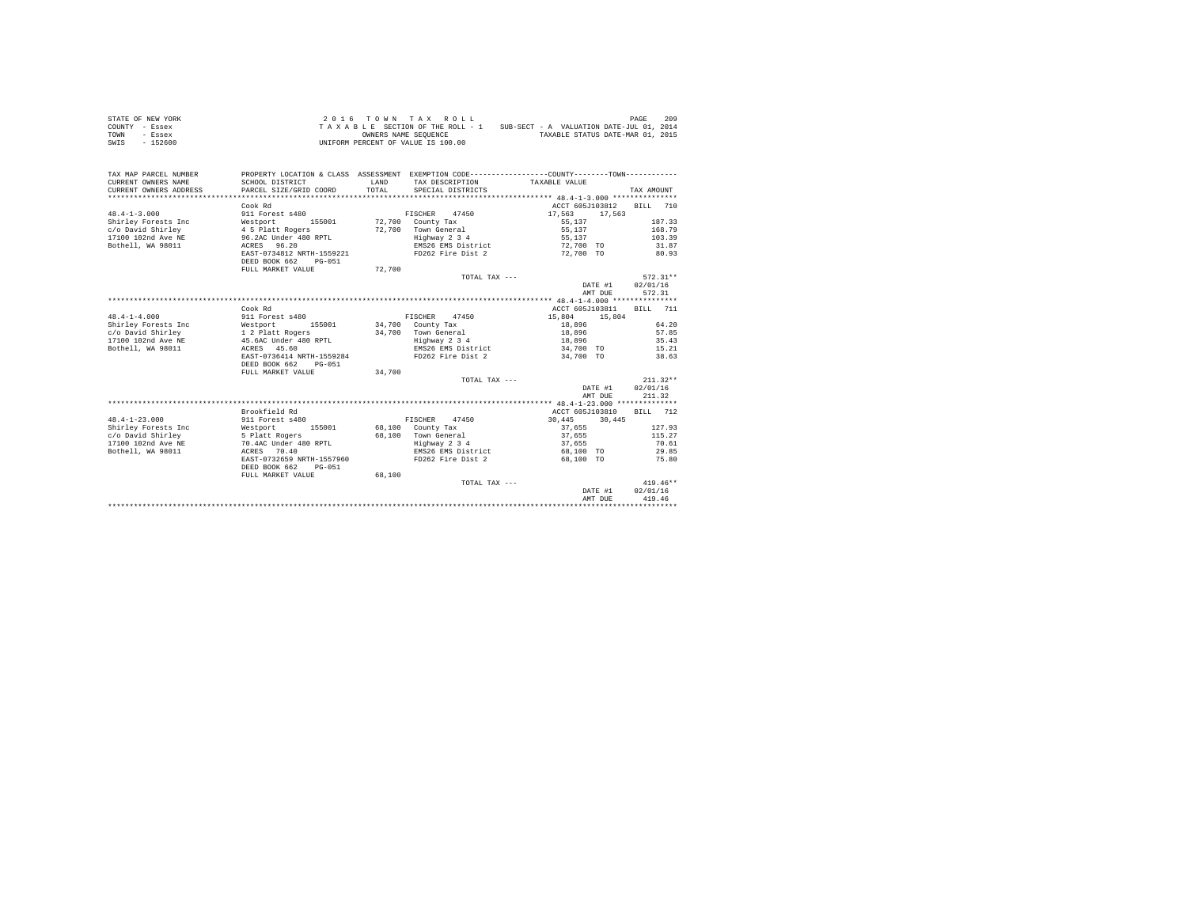| STATE OF NEW YORK | 2016 TOWN TAX ROLL                 | 209<br>PAGE                              |
|-------------------|------------------------------------|------------------------------------------|
| COUNTY - Essex    | TAXABLE SECTION OF THE ROLL - 1    | SUB-SECT - A VALUATION DATE-JUL 01, 2014 |
| TOWN<br>- Essex   | OWNERS NAME SEOUENCE               | TAXABLE STATUS DATE-MAR 01, 2015         |
| $-152600$<br>SWIS | UNIFORM PERCENT OF VALUE IS 100.00 |                                          |

| TAX MAP PARCEL NUMBER<br>CURRENT OWNERS NAME<br>CURRENT OWNERS ADDRESS         | SCHOOL DISTRICT<br>PARCEL SIZE/GRID COORD | LAND<br>TOTAL. | TAX DESCRIPTION TAXABLE VALUE<br>SPECIAL DISTRICTS | PROPERTY LOCATION & CLASS ASSESSMENT EXEMPTION CODE----------------COUNTY-------TOWN---------- | TAX AMOUNT |
|--------------------------------------------------------------------------------|-------------------------------------------|----------------|----------------------------------------------------|------------------------------------------------------------------------------------------------|------------|
|                                                                                | Cook Rd                                   |                |                                                    | ACCT 605J103812                                                                                | BTLL 710   |
| $48.4 - 1 - 3.000$                                                             | 911 Forest s480                           |                | FISCHER 47450                                      | 17.563<br>17,563                                                                               |            |
| Shirley Forests Inc                                                            | Westport<br>155001                        |                | 72,700 County Tax                                  | 55.137                                                                                         | 187.33     |
| c/o David Shirley                                                              | 4 5 Platt Rogers                          |                | 72.700 Town General                                | 55,137                                                                                         | 168.79     |
| 17100 102nd Ave NE 96.2AC Under 480 RPTL                                       |                                           |                | Highway 2 3 4                                      | 55.137                                                                                         | 103.39     |
| Bothell, WA 98011                                                              | ACRES 96.20                               |                | EMS26 EMS District                                 | 72,700 TO                                                                                      | 31.87      |
|                                                                                | EAST-0734812 NRTH-1559221                 |                | FD262 Fire Dist 2                                  | 72,700 TO                                                                                      | 80.93      |
|                                                                                | DEED BOOK 662<br>$PG-051$                 |                |                                                    |                                                                                                |            |
|                                                                                | FULL MARKET VALUE                         | 72,700         |                                                    |                                                                                                |            |
|                                                                                |                                           |                | TOTAL TAX ---                                      |                                                                                                | $572.31**$ |
|                                                                                |                                           |                |                                                    | DATE #1                                                                                        | 02/01/16   |
|                                                                                |                                           |                |                                                    | AMT DUE                                                                                        | 572.31     |
|                                                                                |                                           |                |                                                    |                                                                                                |            |
|                                                                                | Cook Rd                                   |                |                                                    | ACCT 605J103811                                                                                | BILL 711   |
| $48.4 - 1 - 4.000$                                                             | 911 Forest s480                           |                | FISCHER 47450                                      | 15,804<br>15,804                                                                               |            |
| Shirley Forests Inc                                                            | Westport 155001                           |                | 34,700 County Tax                                  | 18,896                                                                                         | 64.20      |
|                                                                                |                                           |                | 34,700 Town General                                | 18,896                                                                                         | 57.85      |
| c/o David Shirley 1 2 Platt Rogers<br>17100 102nd Ave NE 45.6AC Under 480 RPTL |                                           |                | Highway 2 3 4                                      | 18,896                                                                                         | 35.43      |
| Bothell, WA 98011                                                              | ACRES 45.60                               |                | EMS26 EMS District                                 | 34,700 TO 15.21                                                                                |            |
|                                                                                | EAST-0736414 NRTH-1559284                 |                | FD262 Fire Dist 2                                  | 34,700 TO                                                                                      | 38.63      |
|                                                                                | DEED BOOK 662<br>$PG - 051$               |                |                                                    |                                                                                                |            |
|                                                                                | FULL MARKET VALUE                         | 34,700         |                                                    |                                                                                                |            |
|                                                                                |                                           |                | TOTAL TAX ---                                      |                                                                                                | $211.32**$ |
|                                                                                |                                           |                |                                                    | DATE #1                                                                                        | 02/01/16   |
|                                                                                |                                           |                |                                                    | AMT DUE                                                                                        | 211.32     |
|                                                                                |                                           |                |                                                    |                                                                                                |            |
|                                                                                | Brookfield Rd                             |                |                                                    | ACCT 605J103810                                                                                | RTLL 712   |
| $48.4 - 1 - 23.000$                                                            | 911 Forest s480                           |                | FISCHER 47450                                      | 30,445<br>30,445                                                                               |            |
| Shirley Forests Inc                                                            | Westport 155001                           |                | 68.100 County Tax                                  | 37,655                                                                                         | 127.93     |
| c/o David Shirley                                                              | 5 Platt Rogers                            |                | 68.100 Town General                                | 37,655                                                                                         | 115.27     |
| 17100 102nd Ave NE                                                             | 70.4AC Under 480 RPTL                     |                | Highway 2 3 4                                      | 37,655                                                                                         | 70.61      |
| Bothell, WA 98011                                                              | ACRES 70.40                               |                | EMS26 EMS District                                 | 68,100 TO                                                                                      | 29.85      |
|                                                                                | EAST-0732659 NRTH-1557960                 |                | FD262 Fire Dist 2                                  | 68,100 TO                                                                                      | 75.80      |
|                                                                                | DEED BOOK 662<br>PG-051                   |                |                                                    |                                                                                                |            |
|                                                                                | FULL MARKET VALUE                         | 68,100         |                                                    |                                                                                                |            |
|                                                                                |                                           |                | TOTAL TAX ---                                      |                                                                                                | $419.46**$ |
|                                                                                |                                           |                |                                                    | DATE #1                                                                                        | 02/01/16   |
|                                                                                |                                           |                |                                                    | AMT DUE                                                                                        | 419.46     |
|                                                                                |                                           |                |                                                    |                                                                                                |            |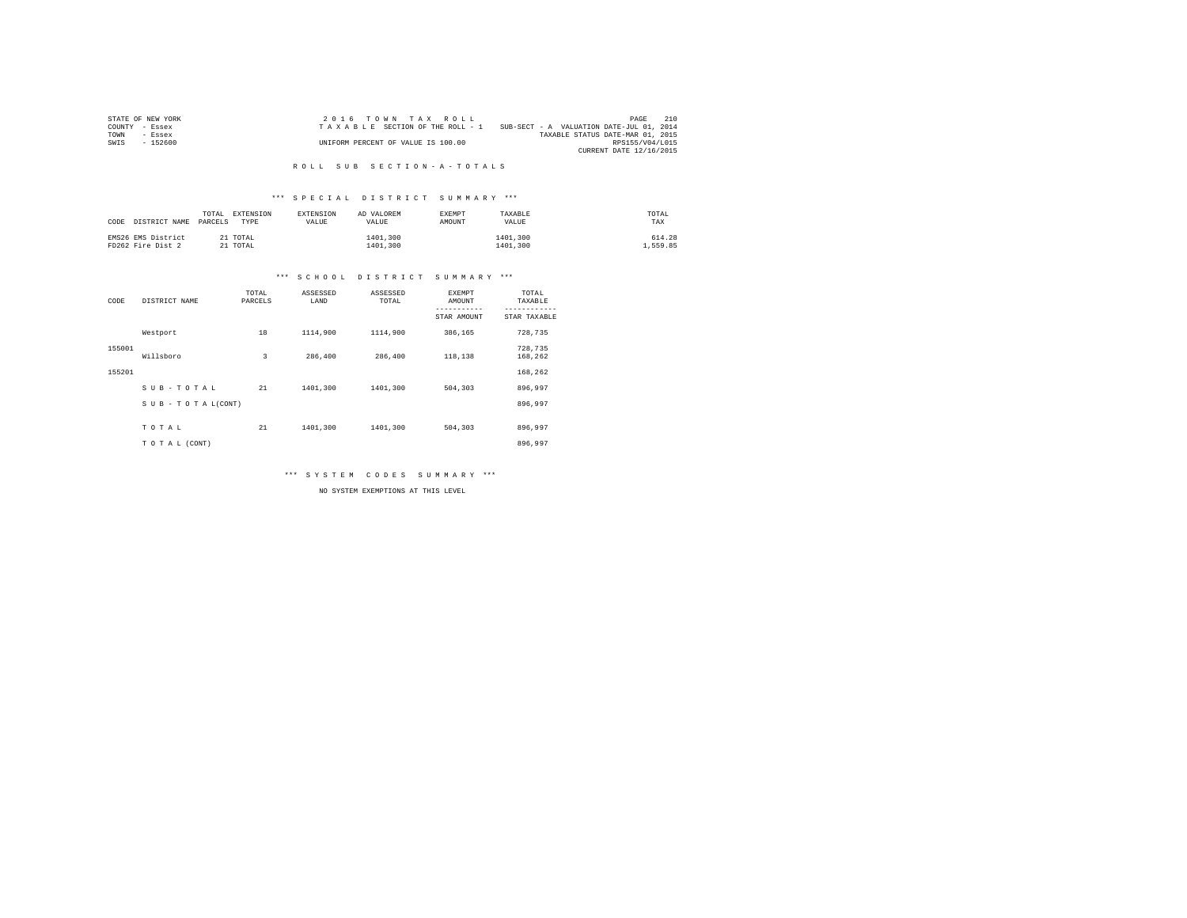| STATE OF NEW YORK | 2016 TOWN TAX ROLL                 | 210<br>PAGE                              |
|-------------------|------------------------------------|------------------------------------------|
| COUNTY - Essex    | TAXABLE SECTION OF THE ROLL - 1    | SUB-SECT - A VALUATION DATE-JUL 01, 2014 |
| TOWN<br>- Essex   |                                    | TAXABLE STATUS DATE-MAR 01, 2015         |
| $-152600$<br>SWIS | UNIFORM PERCENT OF VALUE IS 100.00 | RPS155/V04/L015                          |
|                   |                                    | CURRENT DATE 12/16/2015                  |

#### R O L L S U B S E C T I O N - A - T O T A L S

## \*\*\* S P E C I A L D I S T R I C T S U M M A R Y \*\*\*

| CODE DISTRICT NAME PARCELS              | EXTENSION<br>TOTAL<br>TYPE | EXTENSION<br>VALUE | AD VALOREM<br>VALUE  | <b>EXEMPT</b><br>AMOUNT | TAXABLE<br>VALUE     | TOTAL<br>TAX      |
|-----------------------------------------|----------------------------|--------------------|----------------------|-------------------------|----------------------|-------------------|
| EMS26 EMS District<br>FD262 Fire Dist 2 | 21 TOTAL<br>21 TOTAL       |                    | 1401,300<br>1401,300 |                         | 1401,300<br>1401,300 | 614.28<br>.559.85 |

## \*\*\* S C H O O L D I S T R I C T S U M M A R Y \*\*\*

| CODE   | DISTRICT NAME             | TOTAL<br>PARCELS | ASSESSED<br>LAND | ASSESSED<br>TOTAL | <b>EXEMPT</b><br>AMOUNT | TOTAL<br>TAXABLE   |
|--------|---------------------------|------------------|------------------|-------------------|-------------------------|--------------------|
|        |                           |                  |                  |                   | STAR AMOUNT             | STAR TAXABLE       |
|        | Westport                  | 18               | 1114,900         | 1114,900          | 386.165                 | 728,735            |
| 155001 | Willsboro                 | 3                | 286,400          | 286,400           | 118,138                 | 728,735<br>168,262 |
| 155201 |                           |                  |                  |                   |                         | 168.262            |
|        | SUB-TOTAL                 | 21               | 1401,300         | 1401,300          | 504,303                 | 896.997            |
|        | $S$ U B - T O T A L(CONT) |                  |                  |                   |                         | 896.997            |
|        | TOTAL                     | 21               | 1401,300         | 1401,300          | 504,303                 | 896.997            |
|        | TO TAL (CONT)             |                  |                  |                   |                         | 896,997            |

\*\*\* S Y S T E M C O D E S S U M M A R Y \*\*\*

NO SYSTEM EXEMPTIONS AT THIS LEVEL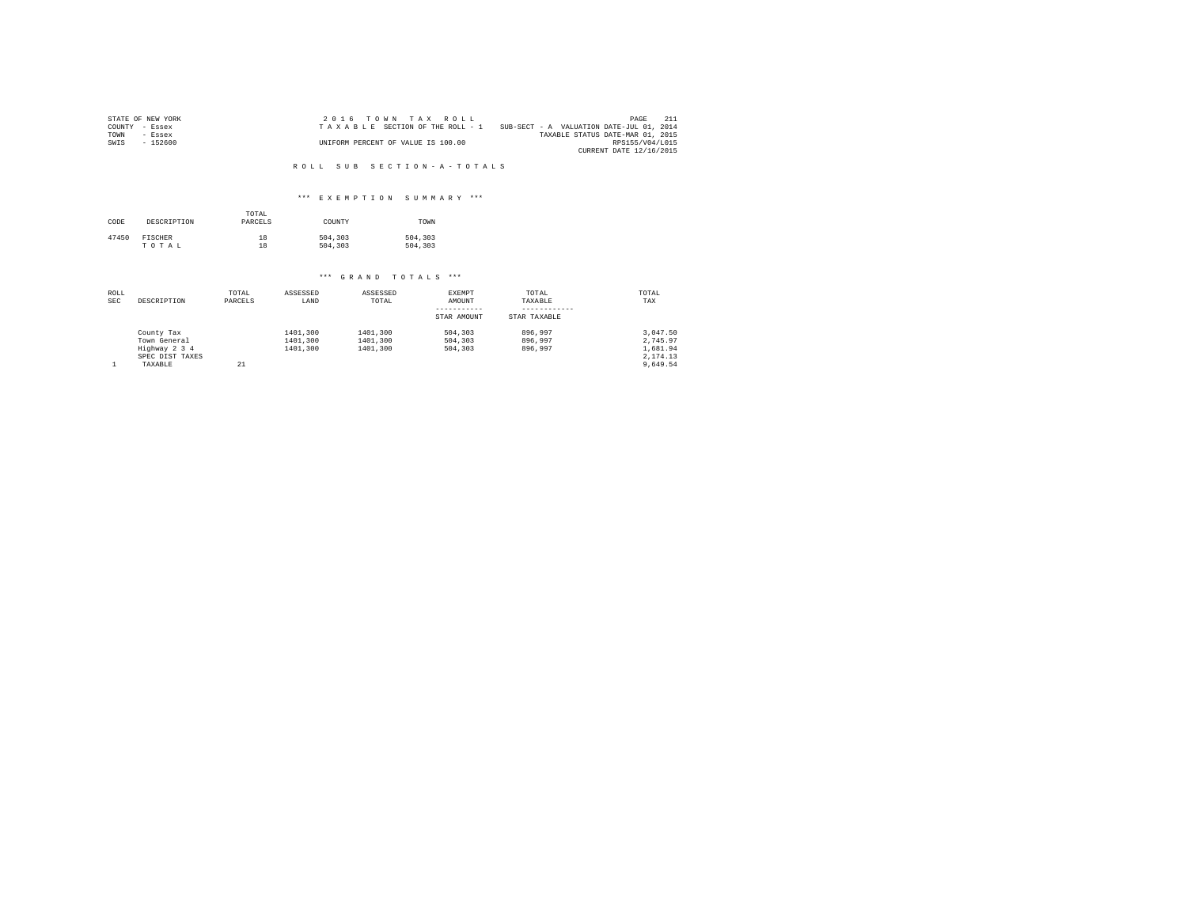|      | STATE OF NEW YORK | $2.0.16$ TOWN TAX ROLL             |                                          | PAGE            | - 211 |
|------|-------------------|------------------------------------|------------------------------------------|-----------------|-------|
|      | COUNTY - Essex    | TAXABLE SECTION OF THE ROLL - 1    | SUB-SECT - A VALUATION DATE-JUL 01, 2014 |                 |       |
| TOWN | $-$ Essex         |                                    | TAXABLE STATUS DATE-MAR 01, 2015         |                 |       |
| SWIS | $-152600$         | UNIFORM PERCENT OF VALUE IS 100.00 |                                          | RPS155/V04/L015 |       |
|      |                   |                                    | CURRENT DATE 12/16/2015                  |                 |       |

#### R O L L S U B S E C T I O N - A - T O T A L S

## \*\*\* E X E M P T I O N S U M M A R Y \*\*\*

| CODE  | DESCRIPTION    | TOTAL<br>PARCELS | COUNTY  | TOWN    |
|-------|----------------|------------------|---------|---------|
| 47450 | <b>FISCHER</b> | 18               | 504,303 | 504,303 |
|       | TOTAL          | 18               | 504,303 | 504,303 |

# \*\*\* G R A N D T O T A L S \*\*\*

| ROLL<br><b>SEC</b> | DESCRIPTION     | TOTAL<br>PARCELS | ASSESSED<br>LAND | ASSESSED<br>TOTAL | EXEMPT<br>AMOUNT | TOTAL<br>TAXABLE | TOTAL<br>TAX |
|--------------------|-----------------|------------------|------------------|-------------------|------------------|------------------|--------------|
|                    |                 |                  |                  |                   | -----------      |                  |              |
|                    |                 |                  |                  |                   | STAR AMOUNT      | STAR TAXABLE     |              |
|                    | County Tax      |                  | 1401,300         | 1401,300          | 504,303          | 896,997          | 3.047.50     |
|                    | Town General    |                  | 1401,300         | 1401,300          | 504,303          | 896,997          | 2.745.97     |
|                    | Highway 2 3 4   |                  | 1401,300         | 1401,300          | 504,303          | 896,997          | 1,681.94     |
|                    | SPEC DIST TAXES |                  |                  |                   |                  |                  | 2.174.13     |
|                    | TAXABLE         | 21               |                  |                   |                  |                  | 9.649.54     |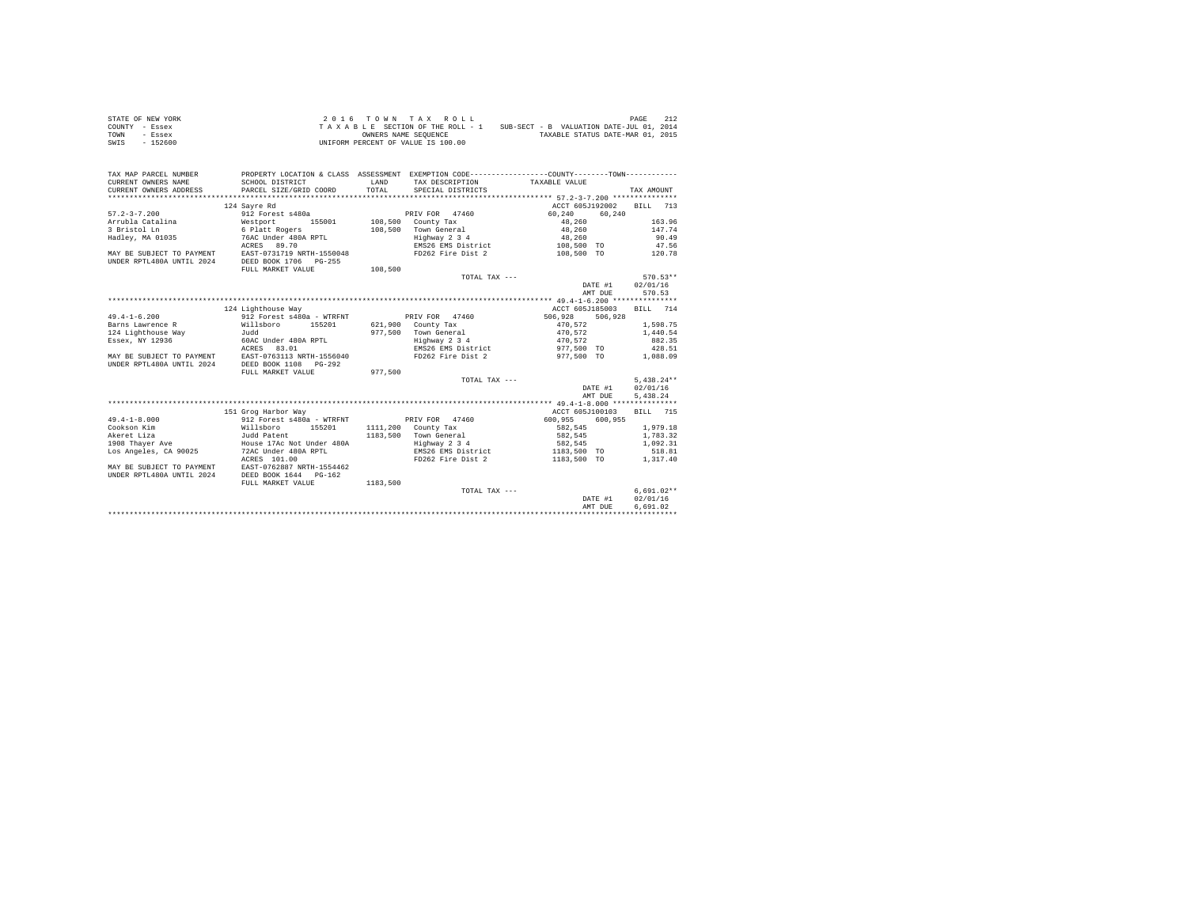| STATE OF NEW YORK | $2.0.16$ TOWN TAX ROLL                                                      | 212<br>PAGE                      |
|-------------------|-----------------------------------------------------------------------------|----------------------------------|
| COUNTY - Essex    | SUB-SECT - B VALUATION DATE-JUL 01, 2014<br>TAXABLE SECTION OF THE ROLL - 1 |                                  |
| TOWN<br>- Essex   | OWNERS NAME SEOUENCE                                                        | TAXABLE STATUS DATE-MAR 01, 2015 |
| SWIS<br>- 152600  | UNIFORM PERCENT OF VALUE IS 100.00                                          |                                  |

| TAX MAP PARCEL NUMBER     |                                                     |              |                               | PROPERTY LOCATION & CLASS ASSESSMENT EXEMPTION CODE----------------COUNTY--------TOWN---------- |                    |
|---------------------------|-----------------------------------------------------|--------------|-------------------------------|-------------------------------------------------------------------------------------------------|--------------------|
| CURRENT OWNERS NAME       | SCHOOL DISTRICT                                     | <b>T.AND</b> | TAX DESCRIPTION TAXABLE VALUE |                                                                                                 |                    |
| CURRENT OWNERS ADDRESS    | PARCEL SIZE/GRID COORD                              | TOTAL        | SPECIAL DISTRICTS             |                                                                                                 | TAX AMOUNT         |
|                           |                                                     |              |                               |                                                                                                 |                    |
|                           | 124 Savre Rd                                        |              |                               | ACCT 605J192002                                                                                 | <b>BILL</b><br>713 |
| $57.2 - 3 - 7.200$        | 912 Forest s480a                                    |              | PRIV FOR 47460                | 60,240<br>60,240                                                                                |                    |
| Arrubla Catalina          | Westport<br>155001                                  |              | 108,500 County Tax            | 48,260                                                                                          | 163.96             |
| 3 Bristol Ln              | 6 Platt Rogers                                      | 108,500      | Town General                  | 48,260                                                                                          | 147.74             |
| Hadley, MA 01035          | 76AC Under 480A RPTL                                |              | Highway 2 3 4                 | 48,260                                                                                          | 90.49              |
|                           | ACRES 89.70                                         |              | EMS26 EMS District            | 108,500 TO                                                                                      | 47.56              |
| MAY BE SUBJECT TO PAYMENT | EAST-0731719 NRTH-1550048                           |              | FD262 Fire Dist 2             | 108,500 TO                                                                                      | 120.78             |
| UNDER RPTL480A UNTIL 2024 | DEED BOOK 1706<br>$PG-255$                          |              |                               |                                                                                                 |                    |
|                           | FULL MARKET VALUE                                   | 108,500      |                               |                                                                                                 |                    |
|                           |                                                     |              | TOTAL TAX $---$               |                                                                                                 | $570.53**$         |
|                           |                                                     |              |                               | DATE #1                                                                                         | 02/01/16           |
|                           |                                                     |              |                               | AMT DUE                                                                                         | 570.53             |
|                           |                                                     |              |                               |                                                                                                 |                    |
|                           | 124 Lighthouse Way                                  |              |                               | ACCT 605J185003                                                                                 | BILL 714           |
| $49.4 - 1 - 6.200$        | 912 Forest s480a - WTRFNT                           |              | PRIV FOR 47460                | 506,928<br>506,928                                                                              |                    |
| Barns Lawrence R          | Willsboro<br>155201                                 |              | 621,900 County Tax            | 470.572                                                                                         | 1,598.75           |
| 124 Lighthouse Way        | hhuT.                                               | 977.500      | Town General                  | 470.572                                                                                         | 1,440.54           |
| Essex, NY 12936           | 60AC Under 480A RPTL                                |              | Highway 2 3 4                 | 470,572                                                                                         | 882.35             |
|                           | 83.01<br>ACRES                                      |              | EMS26 EMS District            | 977,500 TO                                                                                      | 428.51             |
|                           | MAY BE SUBJECT TO PAYMENT EAST-0763113 NRTH-1556040 |              | FD262 Fire Dist 2             | 977.500 TO                                                                                      | 1,088.09           |
| UNDER RPTL480A UNTIL 2024 | DEED BOOK 1108    PG-292                            |              |                               |                                                                                                 |                    |
|                           | FULL MARKET VALUE                                   | 977.500      |                               |                                                                                                 |                    |
|                           |                                                     |              | TOTAL TAX ---                 |                                                                                                 | $5.438.24**$       |
|                           |                                                     |              |                               | DATE #1                                                                                         | 02/01/16           |
|                           |                                                     |              |                               | AMT DUE                                                                                         | 5.438.24           |
|                           |                                                     |              |                               |                                                                                                 |                    |
|                           | 151 Grog Harbor Way                                 |              |                               | ACCT 605J100103                                                                                 | BILL 715           |
| $49.4 - 1 - 8.000$        | 912 Forest s480a - WTRFNT                           |              | PRIV FOR 47460                | 600,955<br>600.955                                                                              |                    |
| Cookson Kim               | Willsboro<br>155201                                 |              | 1111,200 County Tax           | 582.545                                                                                         | 1,979.18           |
| Akeret Liza               | Judd Patent                                         |              | 1183,500 Town General         | 582,545                                                                                         | 1,783.32           |
| 1908 Thaver Ave           | House 17Ac Not Under 480A                           |              | Highway 2 3 4                 | 582,545                                                                                         | 1,092.31           |
| Los Angeles, CA 90025     | 72AC Under 480A RPTL                                |              | EMS26 EMS District            | 1183,500 TO                                                                                     | 518.81             |
|                           | ACRES 101.00                                        |              | FD262 Fire Dist 2             | 1183,500 TO                                                                                     | 1,317.40           |
| MAY BE SUBJECT TO PAYMENT | EAST-0762887 NRTH-1554462                           |              |                               |                                                                                                 |                    |
| UNDER RPTL480A UNTIL 2024 | DEED BOOK 1644 PG-162                               |              |                               |                                                                                                 |                    |
|                           | FULL MARKET VALUE                                   | 1183,500     |                               |                                                                                                 |                    |
|                           |                                                     |              | TOTAL TAX ---                 |                                                                                                 | $6.691.02**$       |
|                           |                                                     |              |                               | DATE #1                                                                                         | 02/01/16           |
|                           |                                                     |              |                               | AMT DUE                                                                                         | 6.691.02           |
|                           |                                                     |              |                               |                                                                                                 |                    |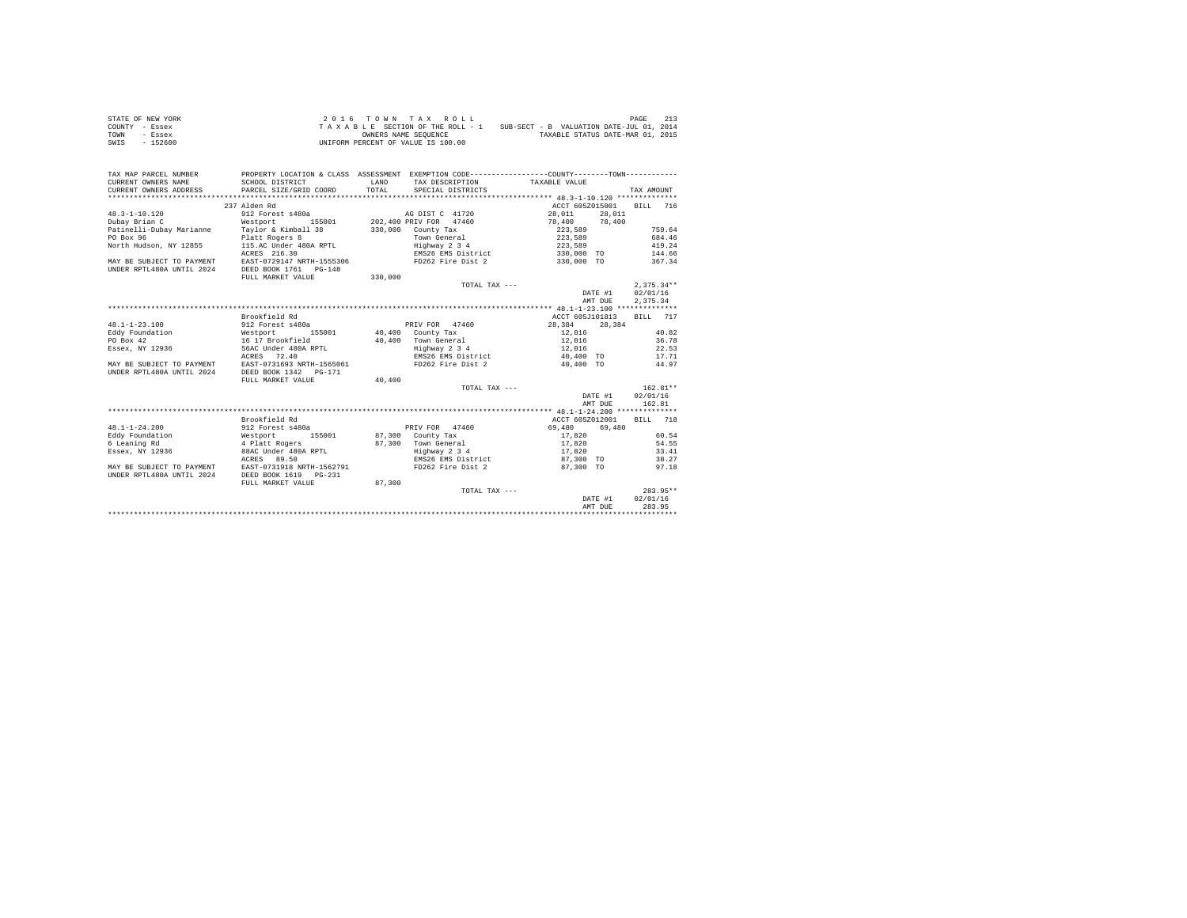| STATE OF NEW YORK | $2.0.16$ TOWN TAX ROLL             | 213<br>PAGE                              |
|-------------------|------------------------------------|------------------------------------------|
| COUNTY - Essex    | TAXABLE SECTION OF THE ROLL - 1    | SUB-SECT - B VALUATION DATE-JUL 01, 2014 |
| TOWN<br>- Essex   | OWNERS NAME SEOUENCE               | TAXABLE STATUS DATE-MAR 01, 2015         |
| $-152600$<br>SWIS | UNIFORM PERCENT OF VALUE IS 100.00 |                                          |

| TAX MAP PARCEL NUMBER<br>CURRENT OWNERS NAME<br>CURRENT OWNERS ADDRESS | SCHOOL DISTRICT<br>PARCEL SIZE/GRID COORD | LAND<br>TOTAL. | TAX DESCRIPTION TAXABLE VALUE<br>SPECIAL DISTRICTS | PROPERTY LOCATION & CLASS ASSESSMENT EXEMPTION CODE----------------COUNTY--------TOWN---------- | TAX AMOUNT   |
|------------------------------------------------------------------------|-------------------------------------------|----------------|----------------------------------------------------|-------------------------------------------------------------------------------------------------|--------------|
|                                                                        |                                           |                |                                                    |                                                                                                 |              |
|                                                                        | 237 Alden Rd                              |                |                                                    | ACCT 605Z015001 BILL 716                                                                        |              |
| $48.3 - 1 - 10.120$                                                    | 912 Forest s480a                          |                | AG DIST C 41720                                    | 28.011 28.011                                                                                   |              |
| Dubay Brian C                                                          | Westport                                  |                |                                                    | 155001 202,400 PRIV FOR 47460 78,400 78,400                                                     |              |
| Patinelli-Dubay Marianne Taylor & Kimball 38 330,000 County Tax        |                                           |                |                                                    | 223,589                                                                                         | 759.64       |
| PO Box 96                                                              | Platt Rogers 8                            |                | Town General                                       | 223,589                                                                                         | 684.46       |
| North Hudson, NY 12855 115.AC Under 480A RPTL                          |                                           |                | Highway 2 3 4                                      | 223,589                                                                                         | 419.24       |
|                                                                        | ACRES 216.30                              |                |                                                    | EMS26 EMS District 330,000 TO 144.66                                                            |              |
| MAY BE SUBJECT TO PAYMENT EAST-0729147 NRTH-1555306                    |                                           |                | FD262 Fire Dist 2                                  | 330,000 TO                                                                                      | 367.34       |
| UNDER RPTL480A UNTIL 2024 DEED BOOK 1761 PG-148                        |                                           |                |                                                    |                                                                                                 |              |
|                                                                        | FULL MARKET VALUE                         | 330,000        |                                                    |                                                                                                 |              |
|                                                                        |                                           |                | TOTAL TAX ---                                      |                                                                                                 | $2,375.34**$ |
|                                                                        |                                           |                |                                                    | DATE #1                                                                                         | 02/01/16     |
|                                                                        |                                           |                |                                                    | AMT DUE                                                                                         | 2.375.34     |
|                                                                        |                                           |                |                                                    |                                                                                                 |              |
|                                                                        | Brookfield Rd                             |                |                                                    | ACCT 605J101813 BILL 717                                                                        |              |
| $48.1 - 1 - 23.100$                                                    | 912 Forest s480a                          |                | PRIV FOR 47460 28.384                              | 28,384                                                                                          |              |
| Eddy Foundation Mestport 1<br>PO Box 42 16 17 Brookfield               | 155001                                    |                | 40,400 County Tax                                  | 12,016                                                                                          | 40.82        |
|                                                                        |                                           |                | 40,400 Town General                                | 12,016                                                                                          | 36.78        |
| Essex, NY 12936 56AC Under 480A RPTL                                   |                                           |                | Highway 2 3 4                                      | 12.016                                                                                          | 22.53        |
|                                                                        | ACRES 72.40                               |                |                                                    | EMS26 EMS District 40,400 TO                                                                    | 17.71        |
| MAY BE SUBJECT TO PAYMENT EAST-0731693 NRTH-1565061                    |                                           |                | FD262 Fire Dist 2                                  | 40.400 TO                                                                                       | 44.97        |
| UNDER RPTL480A UNTIL 2024 DEED BOOK 1342 PG-171                        |                                           |                |                                                    |                                                                                                 |              |
|                                                                        | FULL MARKET VALUE                         | 40.400         |                                                    |                                                                                                 |              |
|                                                                        |                                           |                | TOTAL TAX ---                                      |                                                                                                 | $162.81**$   |
|                                                                        |                                           |                |                                                    | DATE #1                                                                                         | 02/01/16     |
|                                                                        |                                           |                |                                                    | AMT DUE                                                                                         | 162.81       |
|                                                                        |                                           |                |                                                    |                                                                                                 |              |
|                                                                        | Brookfield Rd                             |                |                                                    | ACCT 605Z012001 BILL 718                                                                        |              |
| $48.1 - 1 - 24.200$                                                    | 912 Forest s480a                          |                |                                                    | PRIV FOR 47460 69,480 69,480                                                                    |              |
| Eddy Foundation Mestport 155001<br>6 Leaning Rd 1994 4 Platt Rogers    |                                           |                | 87,300 County Tax                                  | 17,820                                                                                          | 60.54        |
|                                                                        |                                           |                | 87.300 Town General                                | 17,820                                                                                          | 54.55        |
| Essex, NY 12936 88AC Under 480A RPTL                                   |                                           |                | Highway 2 3 4                                      | 17,820                                                                                          | 33.41        |
|                                                                        | ACRES 89.50                               |                | EMS26 EMS District                                 | 87,300 TO                                                                                       | 38.27        |
| MAY BE SUBJECT TO PAYMENT EAST-0731918 NRTH-1562791                    |                                           |                | FD262 Fire Dist 2                                  | 87,300 TO                                                                                       | 97.18        |
| UNDER RPTL480A UNTIL 2024                                              | DEED BOOK 1619 PG-231                     |                |                                                    |                                                                                                 |              |
|                                                                        | FULL MARKET VALUE                         | 87,300         |                                                    |                                                                                                 |              |
|                                                                        |                                           |                | TOTAL TAX ---                                      |                                                                                                 | 283.95**     |
|                                                                        |                                           |                |                                                    | DATE #1                                                                                         | 02/01/16     |
|                                                                        |                                           |                |                                                    | AMT DUE                                                                                         | 283.95       |
|                                                                        |                                           |                |                                                    |                                                                                                 |              |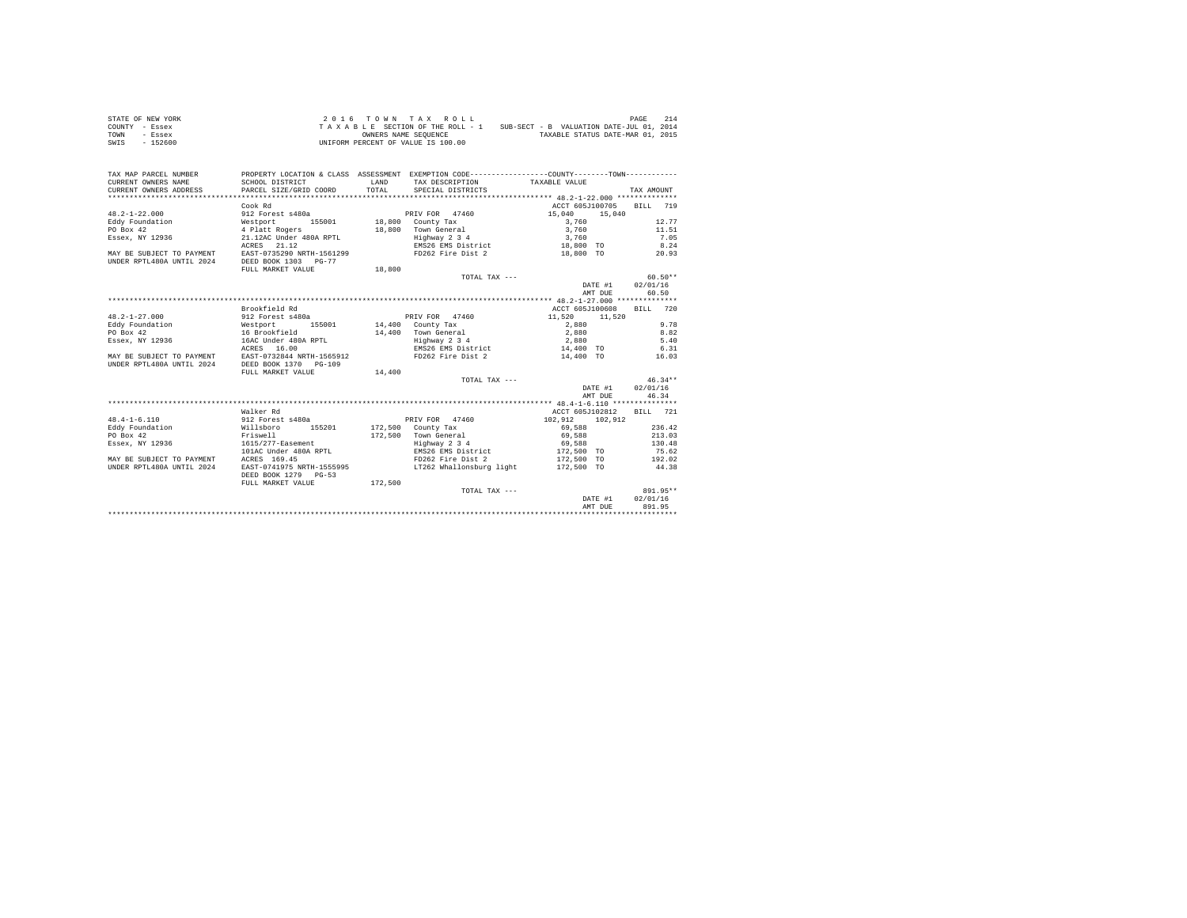| STATE OF NEW YORK | $2.0.16$ TOWN TAX ROLL                                                      | 214<br>PAGE                      |
|-------------------|-----------------------------------------------------------------------------|----------------------------------|
| COUNTY - Essex    | SUB-SECT - B VALUATION DATE-JUL 01, 2014<br>TAXABLE SECTION OF THE ROLL - 1 |                                  |
| TOWN<br>- Essex   | OWNERS NAME SEOUENCE                                                        | TAXABLE STATUS DATE-MAR 01, 2015 |
| SWIS<br>- 152600  | UNIFORM PERCENT OF VALUE IS 100.00                                          |                                  |

| TAX MAP PARCEL NUMBER     |                                                     |              | PROPERTY LOCATION & CLASS ASSESSMENT EXEMPTION CODE----------------COUNTY--------TOWN---------- |                          |            |
|---------------------------|-----------------------------------------------------|--------------|-------------------------------------------------------------------------------------------------|--------------------------|------------|
| CURRENT OWNERS NAME       | SCHOOL DISTRICT                                     | <b>T.AND</b> | TAX DESCRIPTION TAXABLE VALUE                                                                   |                          |            |
| CURRENT OWNERS ADDRESS    | PARCEL SIZE/GRID COORD                              | TOTAL.       | SPECIAL DISTRICTS                                                                               |                          | TAX AMOUNT |
|                           |                                                     |              |                                                                                                 |                          |            |
|                           | Cook Rd                                             |              |                                                                                                 | ACCT 605J100705 BILL 719 |            |
| $48.2 - 1 - 22.000$       | 912 Forest s480a                                    |              | PRIV FOR 47460                                                                                  | 15,040<br>15,040         |            |
| Eddy Foundation           | Westport<br>155001                                  |              | 18,800 County Tax                                                                               | 3,760                    | 12.77      |
| PO Box 42                 | 4 Platt Rogers                                      |              | 18,800 Town General                                                                             | 3,760                    | 11.51      |
| Essex, NY 12936           | 21.12AC Under 480A RPTL                             |              | Highway 2 3 4                                                                                   | 3,760                    | 7.05       |
|                           | ACRES 21.12                                         |              | EMS26 EMS District                                                                              | 18,800 TO                | 8.24       |
|                           | MAY BE SUBJECT TO PAYMENT EAST-0735290 NRTH-1561299 |              | FD262 Fire Dist 2                                                                               | 18,800 TO                | 20.93      |
| UNDER RPTL480A UNTIL 2024 | DEED BOOK 1303 PG-77                                |              |                                                                                                 |                          |            |
|                           | FULL MARKET VALUE                                   | 18,800       |                                                                                                 |                          |            |
|                           |                                                     |              | TOTAL TAX $---$                                                                                 |                          | $60.50**$  |
|                           |                                                     |              |                                                                                                 | DATE #1                  | 02/01/16   |
|                           |                                                     |              |                                                                                                 | AMT DUE                  | 60.50      |
|                           |                                                     |              |                                                                                                 |                          |            |
|                           | Brookfield Rd                                       |              |                                                                                                 | ACCT 605J100608 BILL 720 |            |
| $48.2 - 1 - 27.000$       | 912 Forest s480a                                    |              | PRIV FOR 47460                                                                                  | 11,520 11,520            |            |
| Eddy Foundation           | Westport                                            |              | 155001 14,400 County Tax                                                                        | 2,880                    | 9.78       |
| PO Box 42                 | 16 Brookfield                                       |              | 14,400 Town General                                                                             | 2,880                    | 8.82       |
| Essex, NY 12936           | 16AC Under 480A RPTL                                |              | Highway 2 3 4                                                                                   | 2,880                    | 5.40       |
|                           | ACRES 16.00                                         |              | EMS26 EMS District                                                                              | 14,400 TO                | 6.31       |
|                           | MAY BE SUBJECT TO PAYMENT EAST-0732844 NRTH-1565912 |              | FD262 Fire Dist 2                                                                               | 14,400 TO                | 16.03      |
| UNDER RPTL480A UNTIL 2024 | DEED BOOK 1370 PG-109                               |              |                                                                                                 |                          |            |
|                           | FULL MARKET VALUE                                   | 14,400       |                                                                                                 |                          |            |
|                           |                                                     |              | TOTAL TAX ---                                                                                   |                          | $46.34**$  |
|                           |                                                     |              |                                                                                                 | DATE #1 02/01/16         |            |
|                           |                                                     |              |                                                                                                 | AMT DUE                  | 46.34      |
|                           |                                                     |              |                                                                                                 |                          |            |
|                           | Walker Rd                                           |              |                                                                                                 | ACCT 605J102812          | BILL 721   |
| $48.4 - 1 - 6.110$        | 912 Forest s480a                                    |              | PRIV FOR 47460                                                                                  | 102.912 102.912          |            |
| Eddy Foundation           | 155201<br>Willsboro                                 |              | 172,500 County Tax                                                                              | 69,588                   | 236.42     |
| PO Box 42                 | Friswell                                            |              | 172,500 Town General                                                                            | 69,588                   | 213.03     |
| Essex, NY 12936           | 1615/277-Easement                                   |              | Highway 2 3 4                                                                                   | 69,588                   | 130.48     |
|                           | 101AC Under 480A RPTL                               |              | EMS26 EMS District                                                                              | 172,500 TO               | 75.62      |
| MAY BE SUBJECT TO PAYMENT | ACRES 169.45                                        |              | FD262 Fire Dist 2                                                                               | 172,500 TO               | 192.02     |
| UNDER RPTL480A UNTIL 2024 | EAST-0741975 NRTH-1555995                           |              | LT262 Whallonsburg light                                                                        | 172,500 TO               | 44.38      |
|                           | DEED BOOK 1279 PG-53                                |              |                                                                                                 |                          |            |
|                           | FULL MARKET VALUE                                   | 172,500      |                                                                                                 |                          |            |
|                           |                                                     |              | TOTAL TAX ---                                                                                   |                          | 891.95**   |
|                           |                                                     |              |                                                                                                 | DATE #1                  | 02/01/16   |
|                           |                                                     |              |                                                                                                 | AMT DUE                  | 891.95     |
|                           |                                                     |              |                                                                                                 |                          |            |
|                           |                                                     |              |                                                                                                 |                          |            |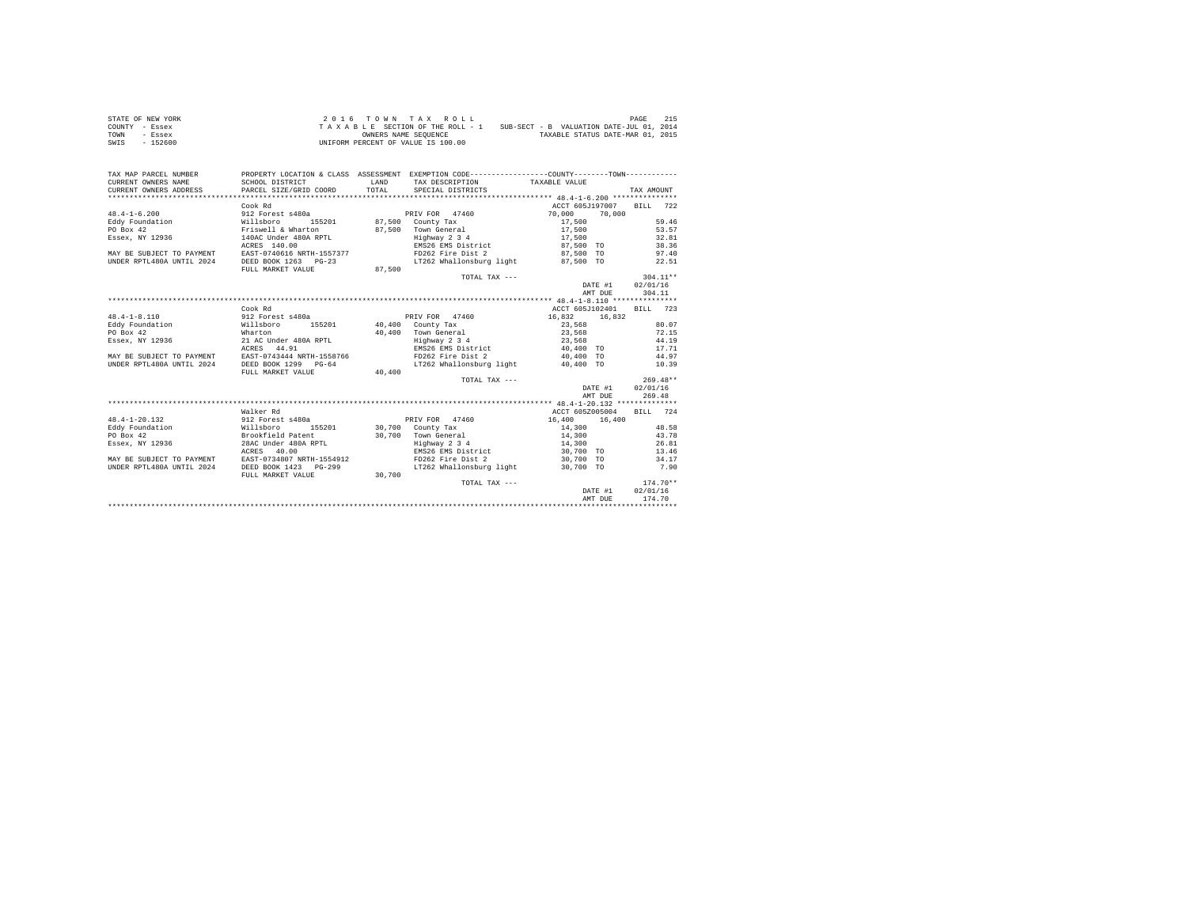| STATE OF NEW YORK | $2.0.16$ TOWN TAX ROLL                                                      | 215<br>PAGE                      |
|-------------------|-----------------------------------------------------------------------------|----------------------------------|
| COUNTY - Essex    | SUB-SECT - B VALUATION DATE-JUL 01, 2014<br>TAXABLE SECTION OF THE ROLL - 1 |                                  |
| TOWN<br>- Essex   | OWNERS NAME SEOUENCE                                                        | TAXABLE STATUS DATE-MAR 01, 2015 |
| SWIS<br>$-152600$ | UNIFORM PERCENT OF VALUE IS 100.00                                          |                                  |

| TAX MAP PARCEL NUMBER<br>CURRENT OWNERS NAME | PROPERTY LOCATION & CLASS ASSESSMENT EXEMPTION CODE----------------COUNTY-------TOWN----------<br>SCHOOL DISTRICT | LAND   |                                                    |                          |                  |                 |            |
|----------------------------------------------|-------------------------------------------------------------------------------------------------------------------|--------|----------------------------------------------------|--------------------------|------------------|-----------------|------------|
| CURRENT OWNERS ADDRESS                       | PARCEL SIZE/GRID COORD                                                                                            | TOTAL. | TAX DESCRIPTION TAXABLE VALUE<br>SPECIAL DISTRICTS |                          |                  | TAX AMOUNT      |            |
|                                              |                                                                                                                   |        |                                                    |                          |                  |                 |            |
|                                              |                                                                                                                   |        |                                                    | ACCT 605J197007          |                  | BTLL 722        |            |
| $48.4 - 1 - 6.200$                           | Cook Rd                                                                                                           |        | PRIV FOR 47460                                     |                          |                  |                 |            |
|                                              | 912 Forest s480a<br>Willsboro       155<br>Friswell & Wharton                                                     |        |                                                    | 70,000                   | 70,000           |                 |            |
| Eddy Foundation                              | 155201                                                                                                            |        | $87,500$ County Tax<br>87,500 Town General 17,500  | 17,500                   |                  |                 | 59.46      |
| PO Box 42                                    |                                                                                                                   |        |                                                    |                          |                  |                 | 53.57      |
| Essex, NY 12936                              | 140AC Under 480A RPTL                                                                                             |        | Highway 2 3 4                                      | 17,500                   |                  |                 | 32.81      |
|                                              | ACRES 140.00                                                                                                      |        | EMS26 EMS District                                 | 87,500 TO                |                  |                 | 38.36      |
|                                              | MAY BE SUBJECT TO PAYMENT EAST-0740616 NRTH-1557377                                                               |        | FD262 Fire Dist 2                                  | 87,500 TO                |                  |                 | 97.40      |
| UNDER RPTL480A UNTIL 2024                    | DEED BOOK 1263 PG-23                                                                                              |        | LT262 Whallonsburg light 87,500 TO                 |                          |                  |                 | 22.51      |
|                                              | FULL MARKET VALUE                                                                                                 | 87,500 |                                                    |                          |                  |                 |            |
|                                              |                                                                                                                   |        | TOTAL TAX ---                                      |                          |                  | $304.11**$      |            |
|                                              |                                                                                                                   |        |                                                    |                          | DATE #1 02/01/16 |                 |            |
|                                              |                                                                                                                   |        |                                                    |                          | AMT DUE          |                 | 304.11     |
|                                              |                                                                                                                   |        |                                                    |                          |                  |                 |            |
|                                              | Cook Rd                                                                                                           |        |                                                    | ACCT 605J102401 BILL 723 |                  |                 |            |
| $48.4 - 1 - 8.110$                           | 912 Forest s480a                                                                                                  |        | PRIV FOR 47460                                     | 16,832 16,832            |                  |                 |            |
| Eddy Foundation                              | Willsboro<br>155201                                                                                               |        | 40,400 County Tax                                  | 23,568                   |                  |                 | 80.07      |
| PO Box 42                                    | Wharton<br>21 AC Under 480A RPTL                                                                                  |        | 40,400 Town General<br>Highway 2 3 4               | 23.568                   |                  |                 | 72.15      |
| Essex, NY 12936                              |                                                                                                                   |        |                                                    | 23,568                   |                  |                 | 44.19      |
|                                              | ACRES 44.91                                                                                                       |        | EMS26 EMS District 40.400 TO 17.71                 |                          |                  |                 |            |
|                                              | MAY BE SUBJECT TO PAYMENT EAST-0743444 NRTH-1558766                                                               |        | FD262 Fire Dist 2                                  | 40,400 TO                |                  |                 | 44.97      |
| UNDER RPTL480A UNTIL 2024                    | DEED BOOK 1299 PG-64                                                                                              |        | LT262 Whallonsburg light                           | 40,400 TO                |                  |                 | 10.39      |
|                                              | FULL MARKET VALUE                                                                                                 | 40,400 |                                                    |                          |                  |                 |            |
|                                              |                                                                                                                   |        | TOTAL TAX ---                                      |                          |                  | $269.48**$      |            |
|                                              |                                                                                                                   |        |                                                    |                          | DATE #1 02/01/16 |                 |            |
|                                              |                                                                                                                   |        |                                                    |                          | AMT DUE          |                 | 269.48     |
|                                              |                                                                                                                   |        |                                                    |                          |                  |                 |            |
|                                              | Walker Rd                                                                                                         |        |                                                    | ACCT 605Z005004          |                  | <b>BTLL</b> 724 |            |
| $48.4 - 1 - 20.132$                          |                                                                                                                   |        | PRIV FOR 47460                                     | 16,400                   | 16,400           |                 |            |
| Eddy Foundation                              | 912 Forest s480a<br>Willsboro 1<br>155201                                                                         |        | 30.700 County Tax                                  | 14,300                   |                  |                 | 48.58      |
| PO Box 42                                    | Brookfield Patent                                                                                                 |        | 30.700 Town General                                | 14,300                   |                  |                 | 43.78      |
| Essex, NY 12936                              | 28AC Under 480A RPTL                                                                                              |        | Highway 2 3 4                                      | 14,300                   |                  |                 | 26.81      |
|                                              | ACRES 40.00                                                                                                       |        | EMS26 EMS District                                 | 30,700 TO                |                  |                 | 13.46      |
|                                              | MAY BE SUBJECT TO PAYMENT EAST-0734807 NRTH-1554912                                                               |        | FD262 Fire Dist 2                                  | 30,700 TO                |                  |                 | 34.17      |
| UNDER RPTL480A UNTIL 2024                    | DEED BOOK 1423 PG-299                                                                                             |        | LT262 Whallonsburg light 30.700 TO                 |                          |                  |                 | 7.90       |
|                                              | FULL MARKET VALUE                                                                                                 | 30.700 |                                                    |                          |                  |                 |            |
|                                              |                                                                                                                   |        | TOTAL TAX ---                                      |                          |                  |                 | $174.70**$ |
|                                              |                                                                                                                   |        |                                                    |                          | DATE #1          | 02/01/16        |            |
|                                              |                                                                                                                   |        |                                                    |                          | AMT DUE          |                 | 174.70     |
|                                              |                                                                                                                   |        |                                                    |                          |                  |                 |            |
|                                              |                                                                                                                   |        |                                                    |                          |                  |                 |            |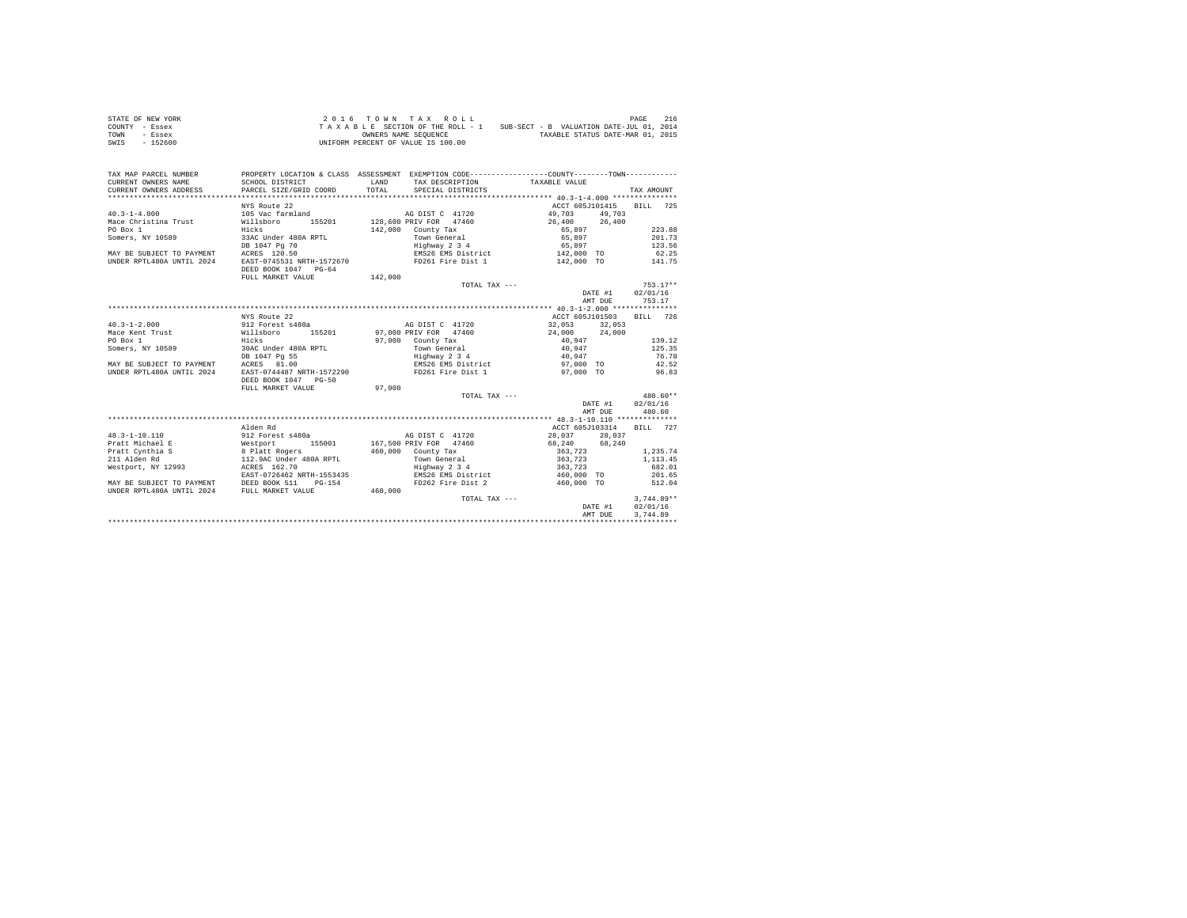| STATE OF NEW YORK | $2.0.16$ TOWN TAX ROLL                                                      | 216<br>PAGE                      |  |  |  |
|-------------------|-----------------------------------------------------------------------------|----------------------------------|--|--|--|
| COUNTY - Essex    | SUB-SECT - B VALUATION DATE-JUL 01, 2014<br>TAXABLE SECTION OF THE ROLL - 1 |                                  |  |  |  |
| TOWN<br>- Essex   | OWNERS NAME SEOUENCE                                                        | TAXABLE STATUS DATE-MAR 01, 2015 |  |  |  |
| SWIS<br>- 152600  | UNIFORM PERCENT OF VALUE IS 100.00                                          |                                  |  |  |  |

| TAX MAP PARCEL NUMBER<br>CURRENT OWNERS NAME<br>CURRENT OWNERS ADDRESS PARCEL SIZE/GRID COORD | PROPERTY LOCATION & CLASS ASSESSMENT EXEMPTION CODE---------------COUNTY-------TOWN----------<br>SCHOOL DISTRICT | <b>T.AND</b><br>TOTAL | TAX DESCRIPTION TAXABLE VALUE<br>SPECIAL DISTRICTS             |                                           |         | TAX AMOUNT   |          |
|-----------------------------------------------------------------------------------------------|------------------------------------------------------------------------------------------------------------------|-----------------------|----------------------------------------------------------------|-------------------------------------------|---------|--------------|----------|
| $40.3 - 1 - 4.000$<br>Mace Christina Trust Willsboro                                          | NYS Route 22<br>105 Vac farmland                                                                                 |                       | AG DIST C 41720<br>155201 128,600 PRIV FOR 47460 26,400 26,400 | ACCT 605J101415 BILL 725<br>49.703 49.703 |         |              |          |
| PO Box 1                                                                                      | Hicks                                                                                                            |                       | $142.000$ County Tax                                           | 65,897                                    |         |              | 223.88   |
| Somers, NY 10589 33AC Under 480A RPTL                                                         |                                                                                                                  |                       | Town General                                                   | 65,897                                    |         |              | 201.73   |
|                                                                                               | DB 1047 Pg 70                                                                                                    |                       |                                                                | 65,897                                    |         | 123.56       |          |
| MAY BE SUBJECT TO PAYMENT ACRES 120.50                                                        |                                                                                                                  |                       | Highway 2 3 4<br>EMS26 EMS District                            | $142,000$ TO                              |         |              | 62.25    |
| UNDER RPTL480A UNTIL 2024                                                                     | EAST-0745531 NRTH-1572670 FD261 Fire Dist 1 142,000 TO 141.75                                                    |                       |                                                                |                                           |         |              |          |
|                                                                                               | DEED BOOK 1047 PG-64                                                                                             |                       |                                                                |                                           |         |              |          |
|                                                                                               | FULL MARKET VALUE                                                                                                | 142,000               |                                                                |                                           |         |              |          |
|                                                                                               |                                                                                                                  |                       |                                                                | TOTAL TAX ---                             |         | $753.17**$   |          |
|                                                                                               |                                                                                                                  |                       |                                                                |                                           | DATE #1 | 02/01/16     |          |
|                                                                                               |                                                                                                                  |                       |                                                                |                                           | AMT DUE | 753.17       |          |
|                                                                                               |                                                                                                                  |                       |                                                                |                                           |         |              |          |
|                                                                                               | NYS Route 22                                                                                                     |                       |                                                                | ACCT 605J101503                           |         | BILL 726     |          |
| $40.3 - 1 - 2.000$                                                                            | 912 Forest s480a and AG DIST C 41720                                                                             |                       |                                                                | 32.053 32.053                             |         |              |          |
| Mace Kent Trust 60 millsboro 155201 97,000 PRIV FOR 47460                                     |                                                                                                                  |                       |                                                                | 24,000 24,000                             |         |              |          |
| PO Box 1                                                                                      | Hicks                                                                                                            |                       | 97,000 County Tax                                              | 40,947                                    |         |              | 139.12   |
| Somers, NY 10589                                                                              | 30AC Under 480A RPTL                                                                                             |                       | Town General                                                   | 40,947                                    |         | 125.35       |          |
|                                                                                               | DB 1047 Pg 55                                                                                                    |                       | Highway 2 3 4                                                  | 40,947                                    |         | 76.78        |          |
| MAY BE SUBJECT TO PAYMENT                                                                     | ACRES 81.00                                                                                                      |                       |                                                                | 97,000 TO                                 |         |              | 42.52    |
| IINDER RPTL480A IINTIL 2024                                                                   | EAST-0744487 NRTH-1572290                                                                                        |                       | EMS26 EMS District<br>FD261 Fire Dist 1                        | 97,000 TO                                 |         | 96.83        |          |
|                                                                                               | DEED BOOK 1047 PG-50                                                                                             |                       |                                                                |                                           |         |              |          |
|                                                                                               | FULL MARKET VALUE                                                                                                | 97,000                |                                                                |                                           |         |              |          |
|                                                                                               |                                                                                                                  |                       |                                                                | TOTAL TAX ---                             |         | 480.60**     |          |
|                                                                                               |                                                                                                                  |                       |                                                                |                                           | DATE #1 |              | 02/01/16 |
|                                                                                               |                                                                                                                  |                       |                                                                |                                           | AMT DUE | 480.60       |          |
|                                                                                               |                                                                                                                  |                       |                                                                |                                           |         |              |          |
|                                                                                               | Alden Rd                                                                                                         |                       |                                                                | ACCT 605J103314                           |         | BILL 727     |          |
| 48.3-1-10.110                                                                                 |                                                                                                                  |                       |                                                                | 28,037 28,037                             |         |              |          |
| Pratt Michael E                                                                               |                                                                                                                  |                       |                                                                |                                           |         |              |          |
| Pratt Cynthia S                                                                               | 8 Platt Rogers<br>112.9AC Under 480A RPTL                                                                        |                       | 460,000 County Tax                                             | 363,723<br>363,723                        |         | 1,235.74     |          |
| 211 Alden Rd                                                                                  |                                                                                                                  |                       | Town General                                                   |                                           |         | 1,113.45     |          |
| Westport, NY 12993 ACRES 162.70                                                               |                                                                                                                  |                       | Highway 2 3 4                                                  | 363.723                                   |         | 682.01       |          |
|                                                                                               | EAST-0726462 NRTH-1553435                                                                                        |                       | EMS26 EMS District                                             | 460,000 TO                                |         | 201.65       |          |
| MAY BE SUBJECT TO PAYMENT DEED BOOK 511 PG-154                                                |                                                                                                                  |                       | FD262 Fire Dist 2                                              | 460,000 TO                                |         | 512.04       |          |
| UNDER RPTL480A UNTIL 2024 FULL MARKET VALUE                                                   |                                                                                                                  | 460,000               |                                                                |                                           |         |              |          |
|                                                                                               |                                                                                                                  |                       | TOTAL TAX ---                                                  |                                           |         | $3.744.89**$ |          |
|                                                                                               |                                                                                                                  |                       |                                                                |                                           | DATE #1 | 02/01/16     |          |
|                                                                                               |                                                                                                                  |                       |                                                                |                                           | AMT DUE | 3,744.89     |          |
|                                                                                               |                                                                                                                  |                       |                                                                |                                           |         |              |          |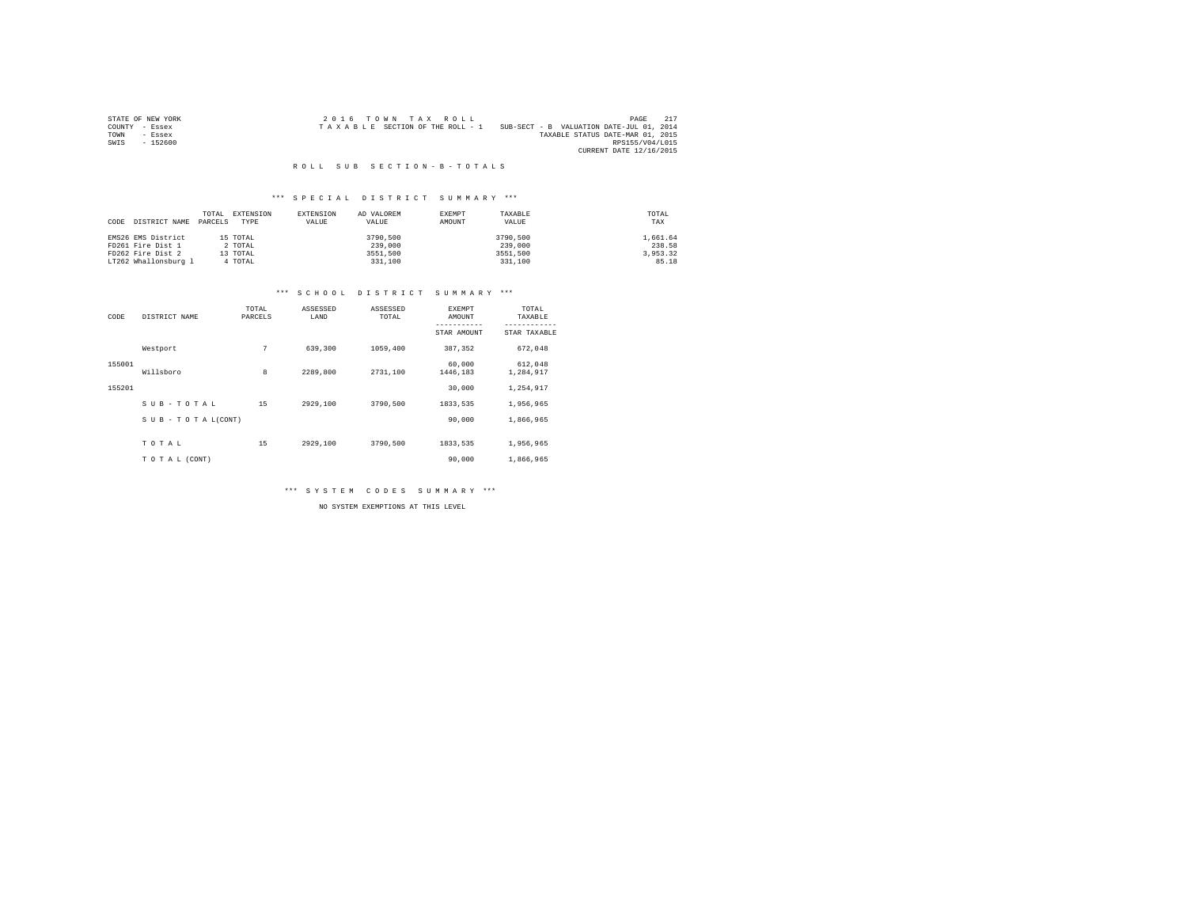|                | STATE OF NEW YORK | $2.0.16$ TOWN TAX ROLL          |  |  |  |                                          |                         | PAGE            |  |
|----------------|-------------------|---------------------------------|--|--|--|------------------------------------------|-------------------------|-----------------|--|
| COUNTY - Essex |                   | TAXABLE SECTION OF THE ROLL - 1 |  |  |  | SUB-SECT - B VALUATION DATE-JUL 01, 2014 |                         |                 |  |
| TOWN           | - Essex           |                                 |  |  |  | TAXABLE STATUS DATE-MAR 01, 2015         |                         |                 |  |
| SWIS           | $-152600$         |                                 |  |  |  |                                          |                         | RPS155/V04/L015 |  |
|                |                   |                                 |  |  |  |                                          | CURRENT DATE 12/16/2015 |                 |  |

## \*\*\* S P E C I A L D I S T R I C T S U M M A R Y \*\*\*

| CODE | DISTRICT NAME        | TOTAL<br>PARCELS | EXTENSION<br>TYPE | EXTENSION<br>VALUE | AD VALOREM<br>VALUE | EXEMPT<br>AMOUNT | TAXABLE<br>VALUE | TOTAL<br>TAX |
|------|----------------------|------------------|-------------------|--------------------|---------------------|------------------|------------------|--------------|
|      | EMS26 EMS District   |                  | 15 TOTAL          |                    | 3790,500            |                  | 3790,500         | 1,661.64     |
|      | FD261 Fire Dist 1    |                  | 2 TOTAL           |                    | 239,000             |                  | 239,000          | 238.58       |
|      | FD262 Fire Dist 2    |                  | 13 TOTAL          |                    | 3551,500            |                  | 3551,500         | 3.953.32     |
|      | LT262 Whallonsburg 1 |                  | 4 TOTAL           |                    | 331,100             |                  | 331,100          | 85.18        |

## \*\*\* S C H O O L D I S T R I C T S U M M A R Y \*\*\*

| CODE   | DISTRICT NAME      | TOTAL<br>PARCELS | ASSESSED<br>LAND | ASSESSED<br>TOTAL | <b>EXEMPT</b><br>AMOUNT | TOTAL<br>TAXABLE     |
|--------|--------------------|------------------|------------------|-------------------|-------------------------|----------------------|
|        |                    |                  |                  |                   | STAR AMOUNT             | STAR TAXABLE         |
|        | Westport           | 7                | 639,300          | 1059,400          | 387.352                 | 672.048              |
| 155001 | Willsboro          | 8                | 2289.800         | 2731,100          | 60,000<br>1446,183      | 612,048<br>1,284,917 |
| 155201 |                    |                  |                  |                   | 30,000                  | 1.254.917            |
|        | SUB-TOTAL          | 15               | 2929,100         | 3790,500          | 1833.535                | 1,956,965            |
|        | SUB - TO TAL(CONT) |                  |                  |                   | 90,000                  | 1,866,965            |
|        | TOTAL              | 15               | 2929,100         | 3790,500          | 1833,535                | 1,956,965            |
|        | TO TAL (CONT)      |                  |                  |                   | 90,000                  | 1,866,965            |

\*\*\* S Y S T E M C O D E S S U M M A R Y \*\*\*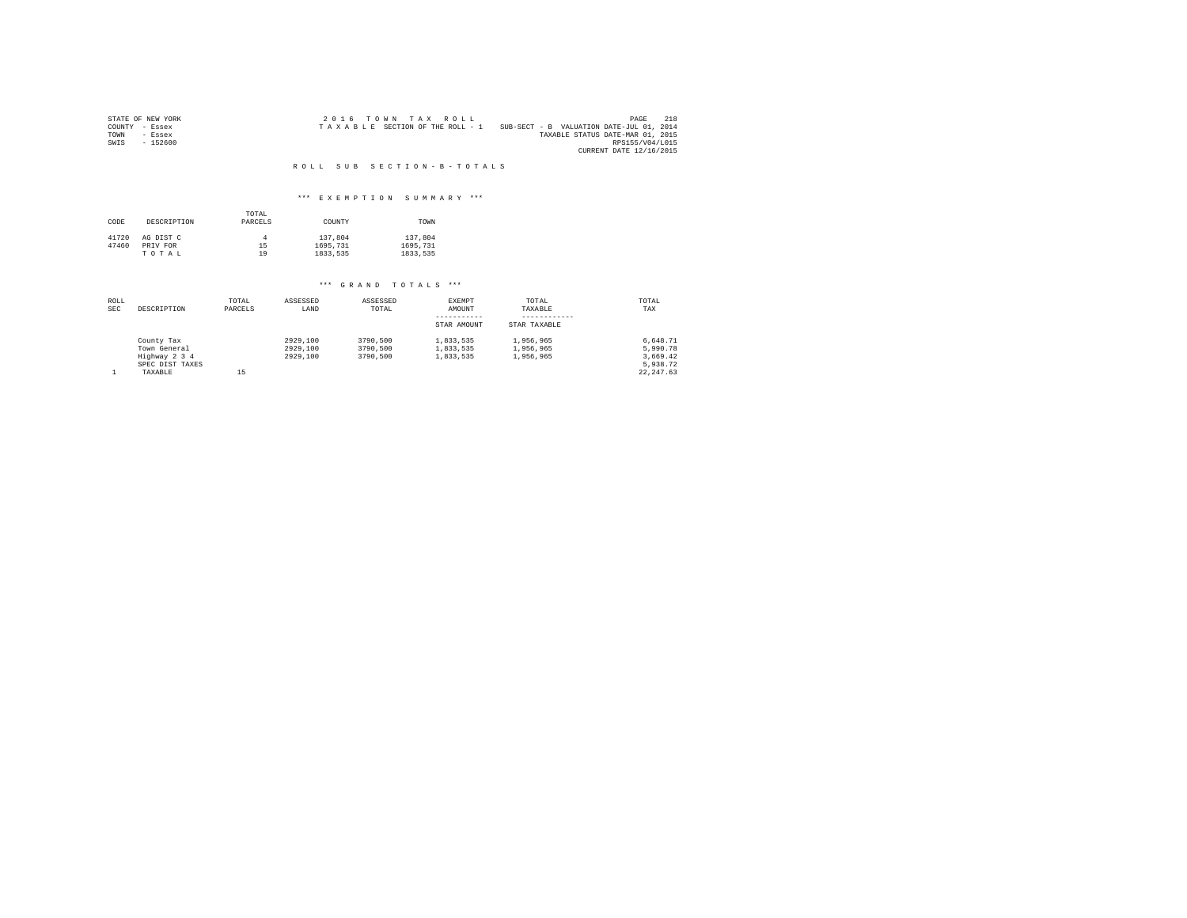|                | STATE OF NEW YORK |  |  | 2016 TOWN TAX ROLL              |  |                                          | PAGE                    | 218 |
|----------------|-------------------|--|--|---------------------------------|--|------------------------------------------|-------------------------|-----|
| COUNTY - Essex |                   |  |  | TAXABLE SECTION OF THE ROLL - 1 |  | SUB-SECT - B VALUATION DATE-JUL 01, 2014 |                         |     |
| TOWN           | - Essex           |  |  |                                 |  | TAXABLE STATUS DATE-MAR 01, 2015         |                         |     |
| SWIS           | - 152600          |  |  |                                 |  |                                          | RPS155/V04/L015         |     |
|                |                   |  |  |                                 |  |                                          | CURRENT DATE 12/16/2015 |     |

## \*\*\* E X E M P T I O N S U M M A R Y \*\*\*

| CODE  | DESCRIPTION | TOTAL<br>PARCELS | COUNTY   | TOWN     |
|-------|-------------|------------------|----------|----------|
| 41720 | AG DIST C   |                  | 137,804  | 137,804  |
| 47460 | PRIV FOR    | 15               | 1695.731 | 1695.731 |
|       | TOTAL       | 19               | 1833.535 | 1833.535 |

| ROLL<br><b>SEC</b> | DESCRIPTION                                 | TOTAL<br>PARCELS | ASSESSED<br>LAND                 | ASSESSED<br>TOTAL                | EXEMPT<br>AMOUNT<br>-----------     | TOTAL<br>TAXABLE                    | TOTAL<br>TAX                     |
|--------------------|---------------------------------------------|------------------|----------------------------------|----------------------------------|-------------------------------------|-------------------------------------|----------------------------------|
|                    |                                             |                  |                                  |                                  | STAR AMOUNT                         | STAR TAXABLE                        |                                  |
|                    | County Tax<br>Town General<br>Highway 2 3 4 |                  | 2929.100<br>2929,100<br>2929,100 | 3790,500<br>3790,500<br>3790,500 | 1.833.535<br>1.833.535<br>1.833.535 | 1.956.965<br>1.956.965<br>1,956,965 | 6.648.71<br>5.990.78<br>3.669.42 |
|                    | SPEC DIST TAXES<br>TAXABLE                  | 15               |                                  |                                  |                                     |                                     | 5.938.72<br>22.247.63            |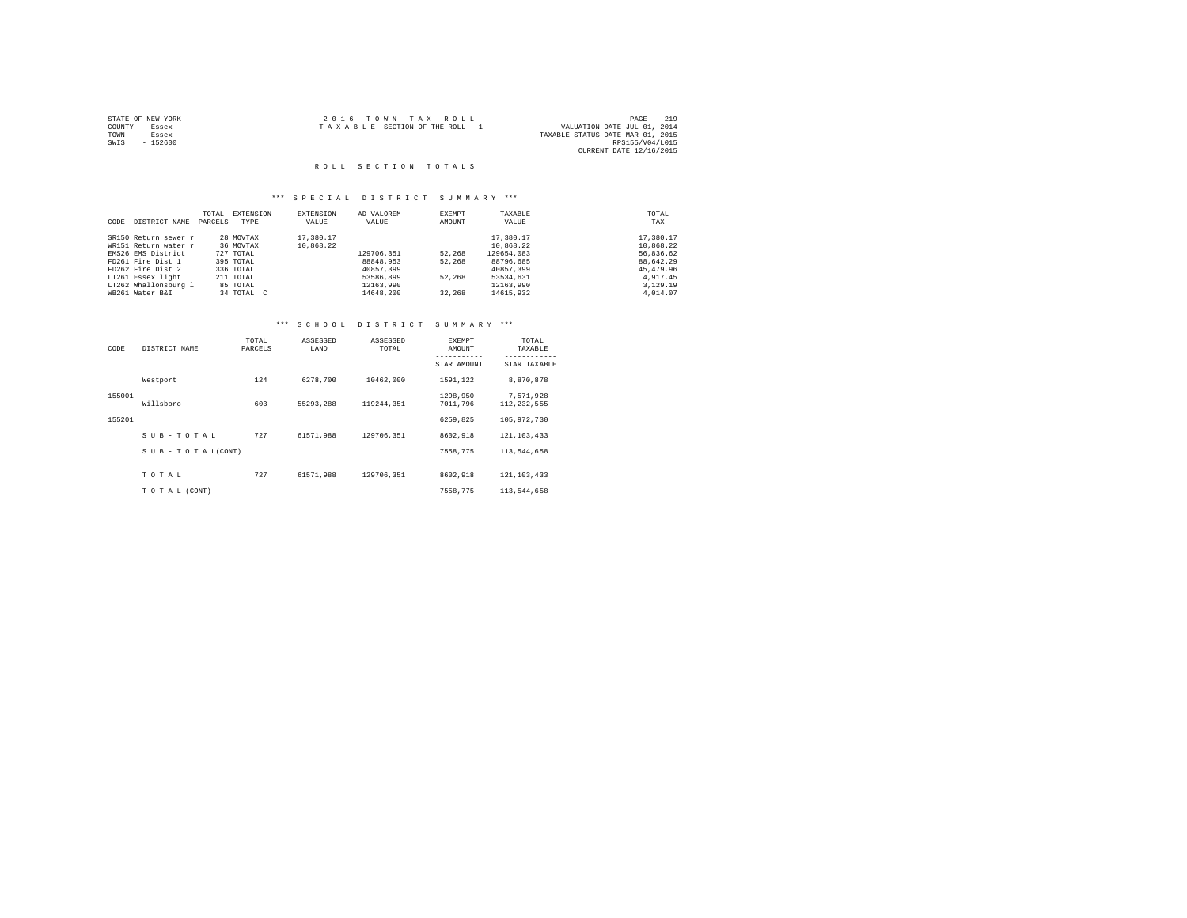|                | STATE OF NEW YORK | 2016 TOWN TAX ROLL                                             | PAGE            | 219 |
|----------------|-------------------|----------------------------------------------------------------|-----------------|-----|
| COUNTY - Essex |                   | VALUATION DATE-JUL 01, 2014<br>TAXABLE SECTION OF THE ROLL - 1 |                 |     |
| TOWN           | - Essex           | TAXABLE STATUS DATE-MAR 01, 2015                               |                 |     |
| SWIS           | $-152600$         |                                                                | RPS155/V04/L015 |     |
|                |                   | CURRENT DATE 12/16/2015                                        |                 |     |

## \*\*\* S P E C I A L D I S T R I C T S U M M A R Y \*\*\*

|      |                      | TOTAL   | EXTENSION  | EXTENSION | AD VALOREM | EXEMPT | TAXABLE    | TOTAL     |
|------|----------------------|---------|------------|-----------|------------|--------|------------|-----------|
| CODE | DISTRICT NAME        | PARCELS | TYPE       | VALUE     | VALUE      | AMOUNT | VALUE      | TAX       |
|      | SR150 Return sewer r |         | 28 MOVTAX  | 17,380.17 |            |        | 17,380.17  | 17,380.17 |
|      | WR151 Return water r |         | 36 MOVTAX  | 10.868.22 |            |        | 10,868.22  | 10,868.22 |
|      | EMS26 EMS District   |         | 727 TOTAL  |           | 129706,351 | 52,268 | 129654.083 | 56.836.62 |
|      | FD261 Fire Dist 1    |         | 395 TOTAL  |           | 88848.953  | 52,268 | 88796.685  | 88.642.29 |
|      | FD262 Fire Dist 2    |         | 336 TOTAL  |           | 40857,399  |        | 40857,399  | 45,479.96 |
|      | LT261 Essex light    |         | 211 TOTAL  |           | 53586,899  | 52,268 | 53534,631  | 4.917.45  |
|      | LT262 Whallonsburg 1 |         | 85 TOTAL   |           | 12163.990  |        | 12163.990  | 3,129,19  |
|      | WB261 Water B&I      |         | 34 TOTAL C |           | 14648,200  | 32,268 | 14615,932  | 4,014.07  |

# \*\*\* S C H O O L D I S T R I C T S U M M A R Y \*\*\*

| CODE   | DISTRICT NAME             | TOTAL<br>PARCELS | ASSESSED<br>LAND | ASSESSED<br>TOTAL | <b>EXEMPT</b><br>AMOUNT<br>-----------<br>STAR AMOUNT | TOTAL<br>TAXABLE<br>------------<br>STAR TAXABLE |
|--------|---------------------------|------------------|------------------|-------------------|-------------------------------------------------------|--------------------------------------------------|
|        | Westport                  | 124              | 6278,700         | 10462.000         | 1591.122                                              | 8,870,878                                        |
| 155001 | Willsboro                 | 603              | 55293.288        | 119244.351        | 1298,950<br>7011,796                                  | 7,571,928<br>112.232.555                         |
| 155201 |                           |                  |                  |                   | 6259.825                                              | 105,972,730                                      |
|        | SUB-TOTAL                 | 727              | 61571.988        | 129706.351        | 8602.918                                              | 121, 103, 433                                    |
|        | $S$ U B - T O T A L(CONT) |                  |                  |                   | 7558.775                                              | 113,544,658                                      |
|        | TOTAL                     | 727              | 61571.988        | 129706.351        | 8602.918                                              | 121, 103, 433                                    |
|        | TO TAL (CONT)             |                  |                  |                   | 7558.775                                              | 113,544,658                                      |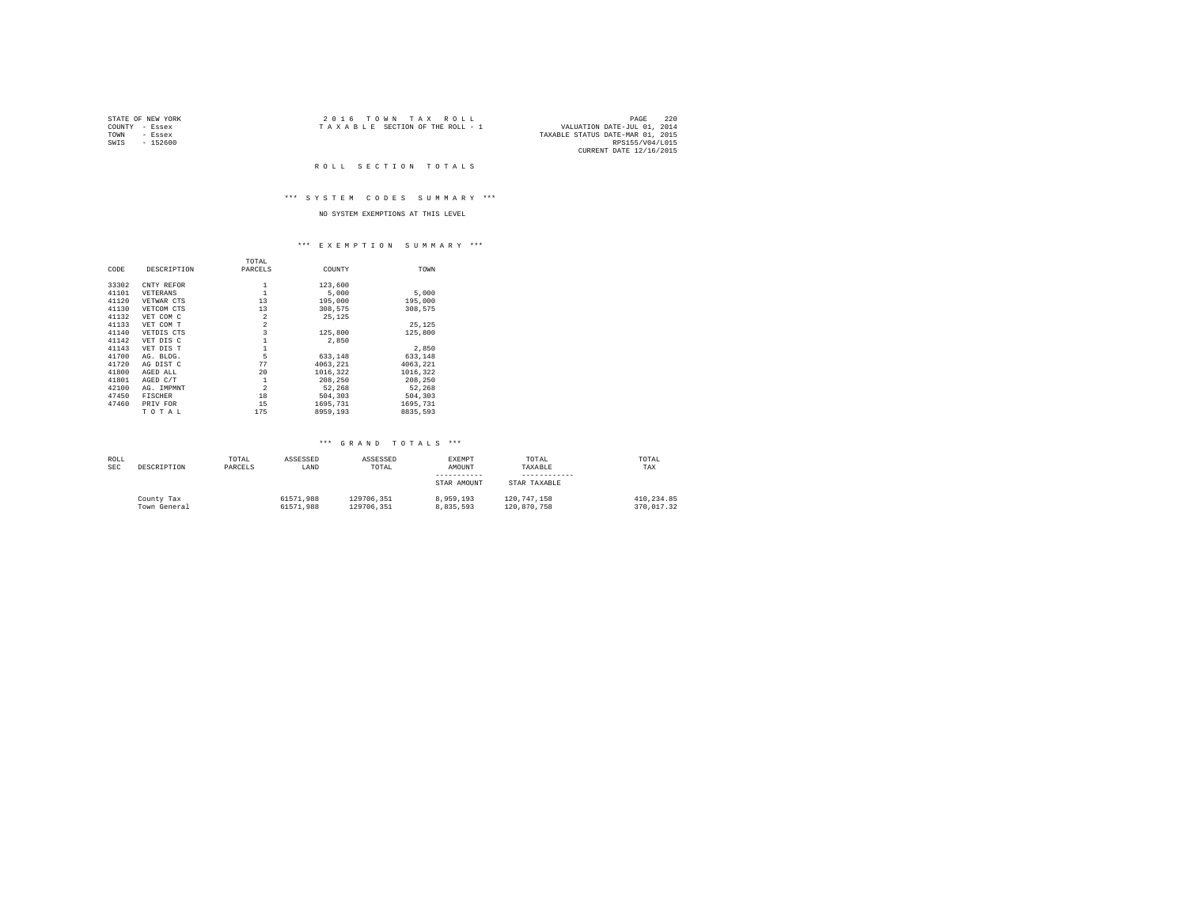| STATE OF NEW YORK | 2016 TOWN TAX ROLL              | 220<br>PAGE                      |
|-------------------|---------------------------------|----------------------------------|
| COUNTY<br>- Essex | TAXABLE SECTION OF THE ROLL - 1 | VALUATION DATE-JUL 01, 2014      |
| TOWN<br>- Essex   |                                 | TAXABLE STATUS DATE-MAR 01, 2015 |
| $-152600$<br>SWIS |                                 | RPS155/V04/L015                  |
|                   |                                 | CURRENT DATE 12/16/2015          |

#### ROLL SECTION TOTALS

## \*\*\* S Y S T E M C O D E S S U M M A R Y \*\*\*

# NO SYSTEM EXEMPTIONS AT THIS LEVEL

## \*\*\* E X E M P T I O N S U M M A R Y \*\*\*

|       |                | TOTAL                   |          |          |  |
|-------|----------------|-------------------------|----------|----------|--|
| CODE  | DESCRIPTION    | PARCELS                 | COUNTY   | TOWN     |  |
| 33302 | CNTY REFOR     | 1                       | 123,600  |          |  |
| 41101 | VETERANS       | $\mathbf{1}$            | 5,000    | 5,000    |  |
| 41120 | VETWAR CTS     | 13                      | 195,000  | 195,000  |  |
| 41130 | VETCOM CTS     | 13                      | 308.575  | 308.575  |  |
| 41132 | VET COM C      | $\overline{2}$          | 25,125   |          |  |
| 41133 | VET COM T      | $\overline{2}$          |          | 25.125   |  |
| 41140 | VETDIS CTS     | $\overline{\mathbf{3}}$ | 125,800  | 125,800  |  |
| 41142 | VET DIS C      |                         | 2,850    |          |  |
| 41143 | VET DIS T      | $\mathbf{1}$            |          | 2.850    |  |
| 41700 | AG. BLDG.      | 5                       | 633,148  | 633.148  |  |
| 41720 | AG DIST C      | 77                      | 4063.221 | 4063.221 |  |
| 41800 | AGED ALL       | 20                      | 1016,322 | 1016,322 |  |
| 41801 | AGED C/T       | 1                       | 208,250  | 208,250  |  |
| 42100 | AG. IMPMNT     | $\overline{2}$          | 52.268   | 52.268   |  |
| 47450 | <b>FISCHER</b> | 18                      | 504,303  | 504,303  |  |
| 47460 | PRIV FOR       | 15                      | 1695.731 | 1695.731 |  |
|       | TOTAL          | 175                     | 8959,193 | 8835,593 |  |

| ROLL       |              | TOTAL   | ASSESSED  | ASSESSED   | EXEMPT      | TOTAL        | TOTAL      |
|------------|--------------|---------|-----------|------------|-------------|--------------|------------|
| <b>SEC</b> | DESCRIPTION  | PARCELS | LAND      | TOTAL      | AMOUNT      | TAXABLE      | TAX        |
|            |              |         |           |            |             |              |            |
|            |              |         |           |            | STAR AMOUNT | STAR TAXABLE |            |
|            | County Tax   |         | 61571.988 | 129706.351 | 8,959,193   | 120.747.158  | 410.234.85 |
|            | Town General |         | 61571.988 | 129706.351 | 8.835.593   | 120.870.758  | 370.017.32 |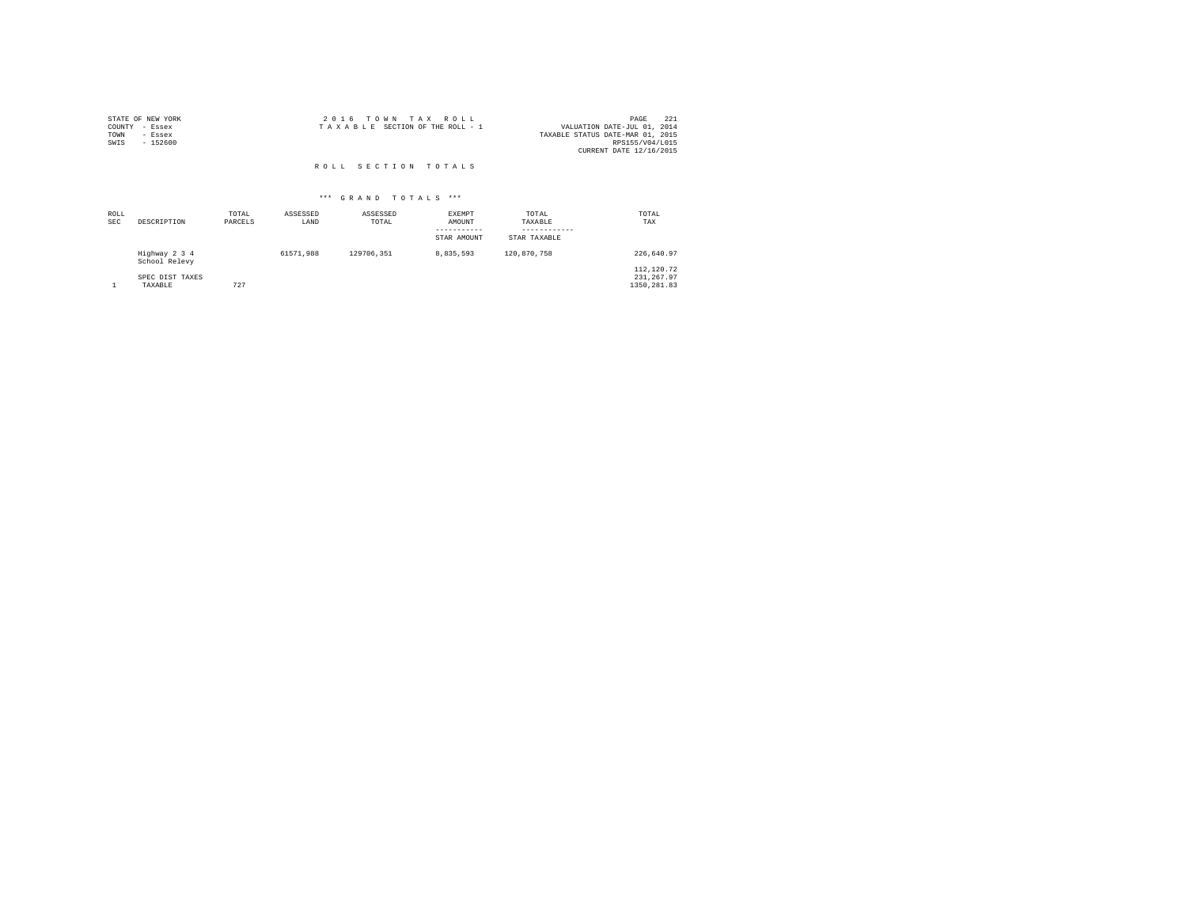| STATE OF NEW YORK | 2016 TOWN TAX ROLL              | -221<br>PAGE                     |
|-------------------|---------------------------------|----------------------------------|
| COUNTY - Essex    | TAXABLE SECTION OF THE ROLL - 1 | VALUATION DATE-JUL 01, 2014      |
| TOWN<br>- Essex   |                                 | TAXABLE STATUS DATE-MAR 01, 2015 |
| $-152600$<br>SWIS |                                 | RPS155/V04/L015                  |
|                   |                                 | CURRENT DATE 12/16/2015          |
|                   |                                 |                                  |

| ROLL<br>SEC | DESCRIPTION                    | TOTAL<br>PARCELS | ASSESSED<br>LAND | ASSESSED<br>TOTAL | <b>EXEMPT</b><br>AMOUNT<br>STAR AMOUNT | TOTAL<br>TAXABLE<br>STAR TAXABLE | TOTAL<br>TAX             |
|-------------|--------------------------------|------------------|------------------|-------------------|----------------------------------------|----------------------------------|--------------------------|
|             | Highway 2 3 4<br>School Relevy |                  | 61571.988        | 129706.351        | 8.835.593                              | 120,870,758                      | 226.640.97               |
|             | SPEC DIST TAXES                |                  |                  |                   |                                        |                                  | 112,120.72<br>231.267.97 |
|             | TAXABLE                        | 727              |                  |                   |                                        |                                  | 1350.281.83              |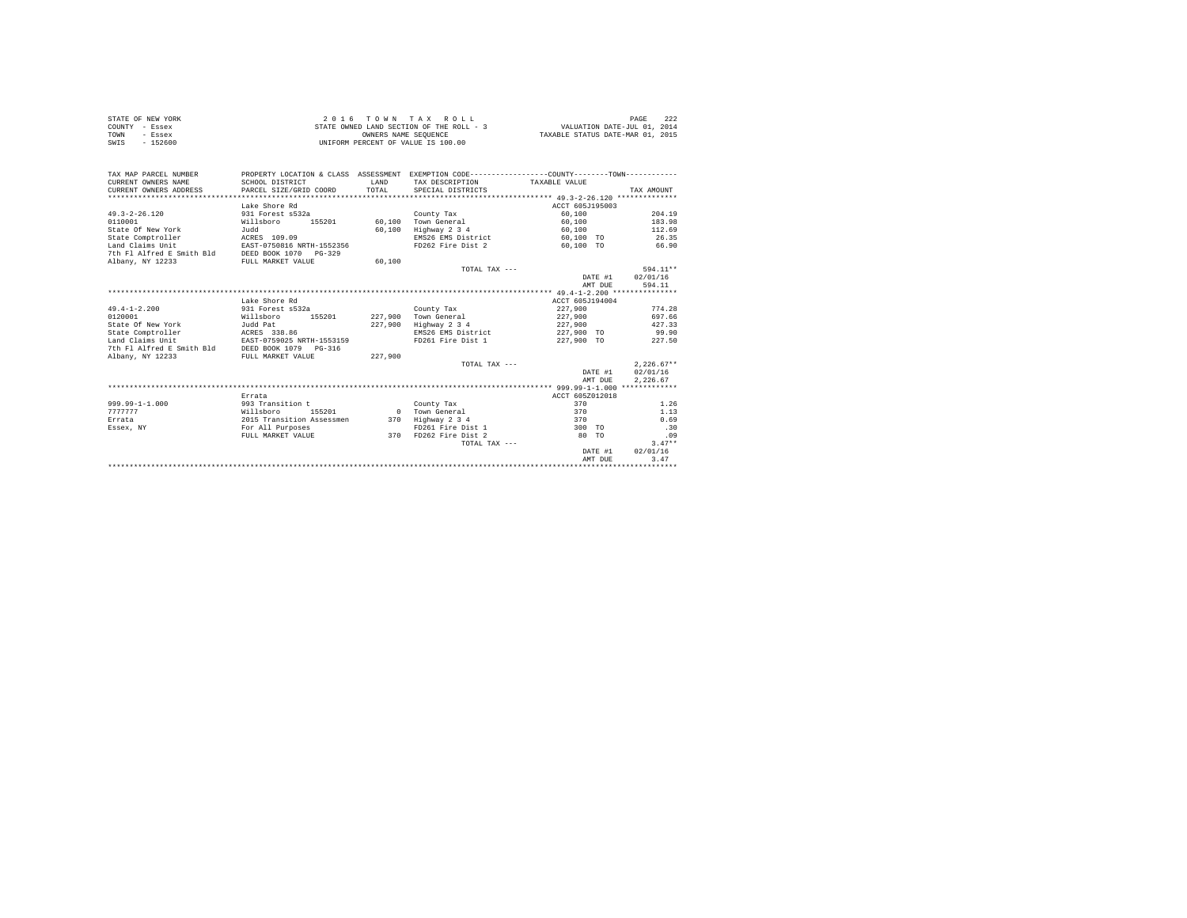| STATE OF NEW YORK | 2016 TOWN TAX ROLL                       | - 222<br>PAGE                    |
|-------------------|------------------------------------------|----------------------------------|
| COUNTY - Essex    | STATE OWNED LAND SECTION OF THE ROLL - 3 | VALUATION DATE-JUL 01, 2014      |
| TOWN<br>- Essex   | OWNERS NAME SEOUENCE                     | TAXABLE STATUS DATE-MAR 01, 2015 |
| $-152600$<br>SWIS | UNIFORM PERCENT OF VALUE IS 100.00       |                                  |

| TAX MAP PARCEL NUMBER<br>CURRENT OWNERS NAME<br>CURRENT OWNERS ADDRESS | PROPERTY LOCATION & CLASS ASSESSMENT EXEMPTION CODE---------------COUNTY-------TOWN----------<br>SCHOOL DISTRICT<br>PARCEL SIZE/GRID COORD | LAND<br>TOTAL | TAX DESCRIPTION<br>SPECIAL DISTRICTS | TAXABLE VALUE   | TAX AMOUNT   |
|------------------------------------------------------------------------|--------------------------------------------------------------------------------------------------------------------------------------------|---------------|--------------------------------------|-----------------|--------------|
| ********************                                                   |                                                                                                                                            |               |                                      |                 |              |
|                                                                        | Lake Shore Rd                                                                                                                              |               |                                      | ACCT 605J195003 |              |
| $49.3 - 2 - 26.120$                                                    | 931 Forest s532a                                                                                                                           |               | County Tax                           | 60,100          | 204.19       |
| 0110001                                                                | Willsboro<br>155201                                                                                                                        | 60,100        | Town General                         | 60,100          | 183.98       |
| State Of New York                                                      | Judd                                                                                                                                       | 60,100        | Highway 2 3 4                        | 60,100          | 112.69       |
| State Comptroller                                                      | ACRES 109.09                                                                                                                               |               | EMS26 EMS District                   | 60,100 TO       | 26.35        |
| Land Claims Unit                                                       | EAST-0750816 NRTH-1552356                                                                                                                  |               | FD262 Fire Dist 2                    | 60.100 TO       | 66.90        |
| 7th Fl Alfred E Smith Bld                                              | DEED BOOK 1070 PG-329                                                                                                                      |               |                                      |                 |              |
| Albany, NY 12233                                                       | FULL MARKET VALUE                                                                                                                          | 60,100        |                                      |                 |              |
|                                                                        |                                                                                                                                            |               | TOTAL TAX ---                        |                 | 594.11**     |
|                                                                        |                                                                                                                                            |               |                                      | DATE #1         | 02/01/16     |
|                                                                        |                                                                                                                                            |               |                                      | AMT DUE         | 594.11       |
|                                                                        |                                                                                                                                            |               |                                      |                 |              |
|                                                                        | Lake Shore Rd                                                                                                                              |               |                                      | ACCT 605J194004 |              |
| $49.4 - 1 - 2.200$                                                     | 931 Forest s532a                                                                                                                           |               | County Tax                           | 227,900         | 774.28       |
| 0120001                                                                | Willsboro<br>155201                                                                                                                        | 227,900       | Town General                         | 227,900         | 697.66       |
| State Of New York                                                      | Judd Pat                                                                                                                                   | 227,900       | Highway 2 3 4                        | 227,900         | 427.33       |
| State Comptroller                                                      | ACRES 338.86                                                                                                                               |               | EMS26 EMS District                   | 227,900 TO      | 99.90        |
| Land Claims Unit                                                       | EAST-0759025 NRTH-1553159                                                                                                                  |               | FD261 Fire Dist 1                    | 227,900 TO      | 227.50       |
| 7th Fl Alfred E Smith Bld                                              | DEED BOOK 1079 PG-316                                                                                                                      |               |                                      |                 |              |
| Albany, NY 12233                                                       | FULL MARKET VALUE                                                                                                                          | 227,900       |                                      |                 |              |
|                                                                        |                                                                                                                                            |               | TOTAL TAX ---                        |                 | $2.226.67**$ |
|                                                                        |                                                                                                                                            |               |                                      | DATE #1         | 02/01/16     |
|                                                                        |                                                                                                                                            |               |                                      | AMT DUE         | 2.226.67     |
|                                                                        |                                                                                                                                            |               |                                      |                 |              |
|                                                                        | Errata                                                                                                                                     |               |                                      | ACCT 605Z012018 |              |
| $999.99 - 1 - 1.000$                                                   | 993 Transition t                                                                                                                           |               | County Tax                           | 370             | 1.26         |
| 7777777                                                                | Willsboro<br>155201                                                                                                                        | $\sim$ 0      | Town General                         | 370             | 1.13         |
| Errata                                                                 | 2015 Transition Assessmen                                                                                                                  | 370           | Highway 2 3 4                        | 370             | 0.69         |
| Essex, NY                                                              | For All Purposes                                                                                                                           |               | FD261 Fire Dist 1                    | 300 TO          | .30          |
|                                                                        | FULL MARKET VALUE                                                                                                                          | 370           | FD262 Fire Dist 2                    | 80 TO           | .09          |
|                                                                        |                                                                                                                                            |               | TOTAL TAX ---                        |                 | $3.47**$     |
|                                                                        |                                                                                                                                            |               |                                      | DATE #1         | 02/01/16     |
|                                                                        |                                                                                                                                            |               |                                      | AMT DUE         | 3.47         |
|                                                                        |                                                                                                                                            |               |                                      |                 |              |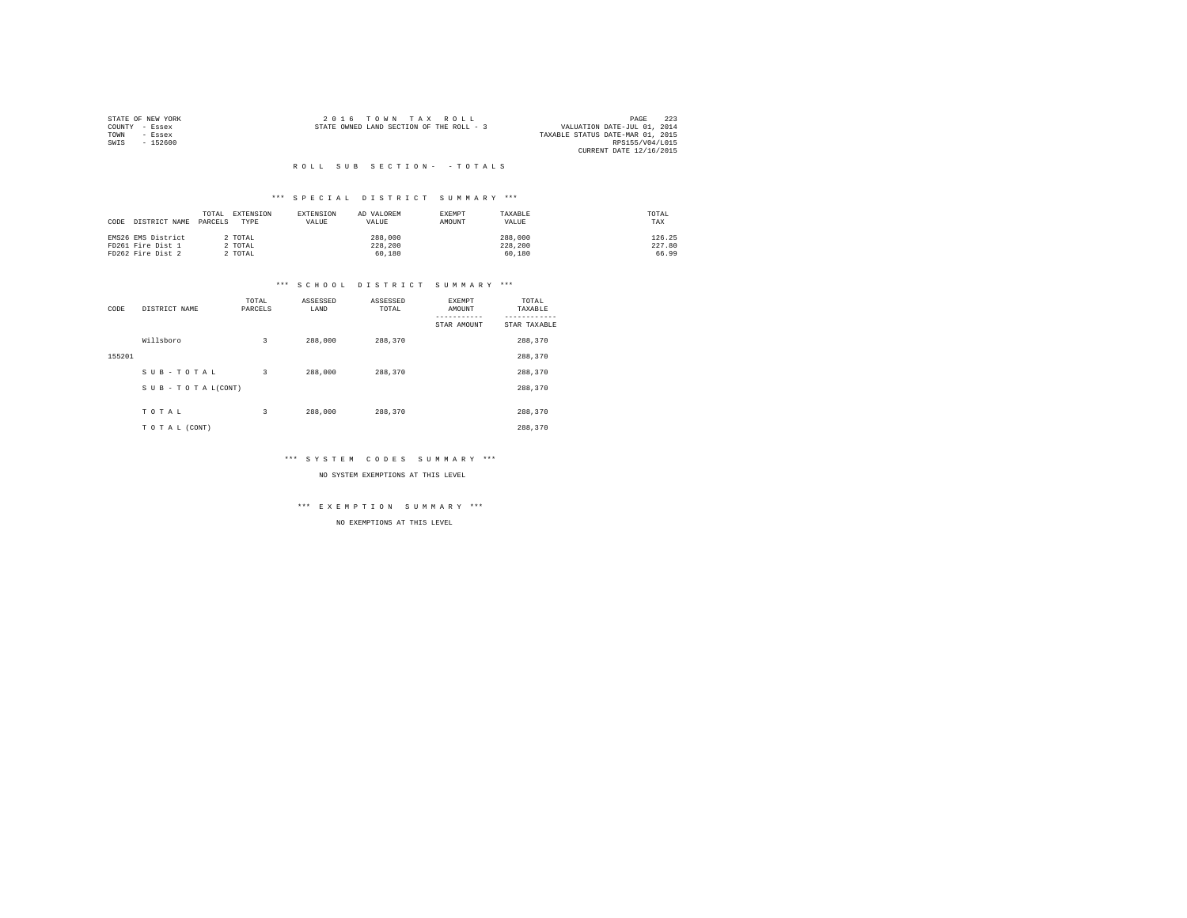|                | STATE OF NEW YORK |                                          |  | 2016 TOWN TAX ROLL | 223<br>PAGE                      |
|----------------|-------------------|------------------------------------------|--|--------------------|----------------------------------|
| COUNTY - Essex |                   | STATE OWNED LAND SECTION OF THE ROLL - 3 |  |                    | VALUATION DATE-JUL 01, 2014      |
| TOWN           | - Essex           |                                          |  |                    | TAXABLE STATUS DATE-MAR 01, 2015 |
| SWIS           | - 152600          |                                          |  |                    | RPS155/V04/L015                  |
|                |                   |                                          |  |                    | CURRENT DATE 12/16/2015          |

## \*\*\* S P E C I A L D I S T R I C T S U M M A R Y \*\*\*

| CODE DISTRICT NAME | TOTAL<br>PARCELS | EXTENSION<br>TYPE | EXTENSION<br>VALUE | AD VALOREM<br>VALUE | EXEMPT<br>AMOUNT | TAXABLE<br>VALUE | TOTAL<br>TAX |  |
|--------------------|------------------|-------------------|--------------------|---------------------|------------------|------------------|--------------|--|
| EMS26 EMS District |                  | 2 TOTAL           |                    | 288,000             |                  | 288,000          | 126.25       |  |
| FD261 Fire Dist 1  |                  | 2 TOTAL           |                    | 228,200             |                  | 228,200          | 227.80       |  |
| FD262 Fire Dist 2  |                  | 2 TOTAL           |                    | 60,180              |                  | 60,180           | 66.99        |  |

#### \*\*\* S C H O O L D I S T R I C T S U M M A R Y \*\*\*

| CODE   | DISTRICT NAME      | TOTAL<br>PARCELS | ASSESSED<br>LAND | ASSESSED<br>TOTAL | <b>EXEMPT</b><br>AMOUNT<br>STAR AMOUNT | TOTAL<br>TAXABLE<br>---------<br>STAR TAXABLE |
|--------|--------------------|------------------|------------------|-------------------|----------------------------------------|-----------------------------------------------|
|        | Willsboro          | 3                | 288,000          | 288,370           |                                        | 288,370                                       |
| 155201 |                    |                  |                  |                   |                                        | 288,370                                       |
|        | SUB-TOTAL          | 3                | 288,000          | 288,370           |                                        | 288.370                                       |
|        | SUB - TO TAL(CONT) |                  |                  |                   |                                        | 288.370                                       |
|        | TOTAL              | 3                | 288,000          | 288,370           |                                        | 288.370                                       |
|        |                    |                  |                  |                   |                                        |                                               |
|        | TO TAL (CONT)      |                  |                  |                   |                                        | 288.370                                       |

\*\*\* S Y S T E M C O D E S S U M M A R Y \*\*\*

NO SYSTEM EXEMPTIONS AT THIS LEVEL

\*\*\* E X E M P T I O N S U M M A R Y \*\*\*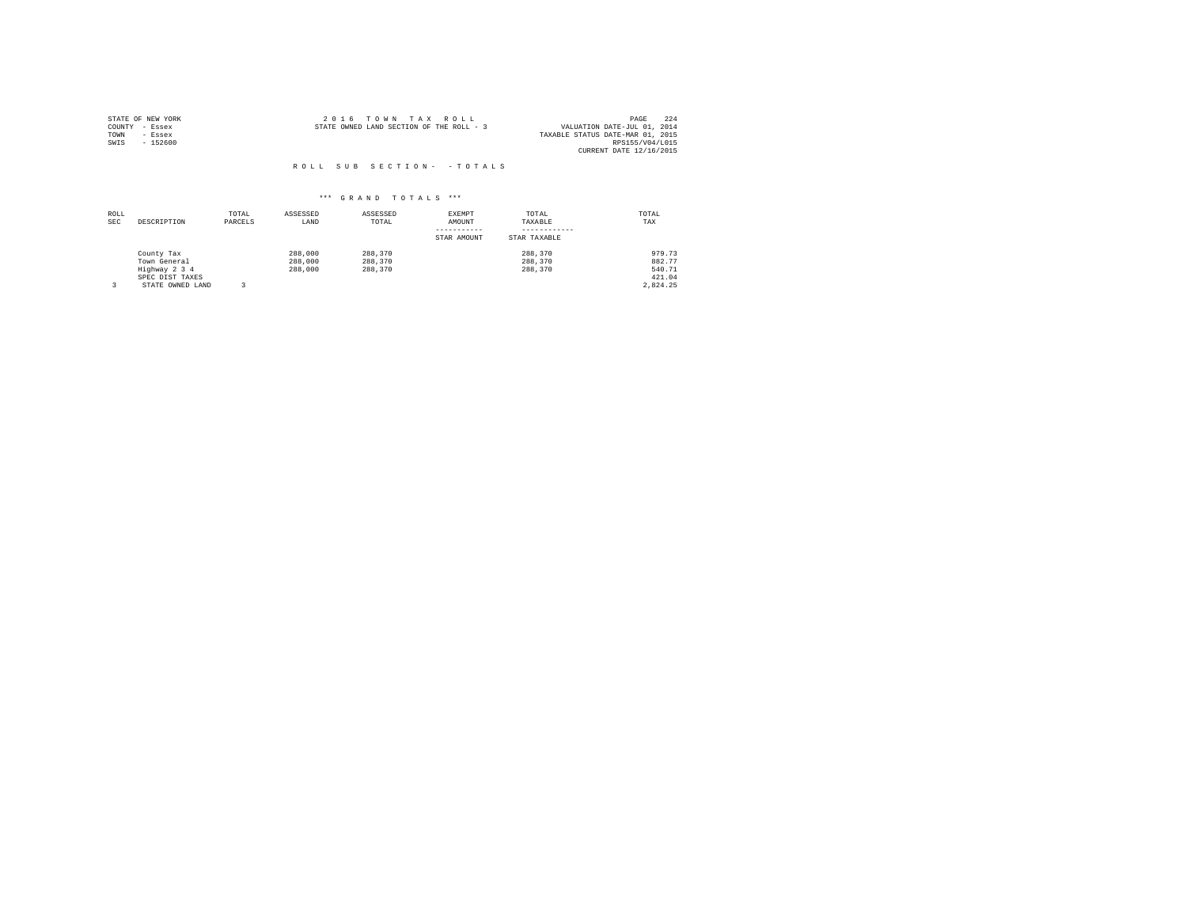| STATE OF NEW YORK | 2016 TOWN TAX ROLL                       | 224<br>PAGE                      |
|-------------------|------------------------------------------|----------------------------------|
| COUNTY - Essex    | STATE OWNED LAND SECTION OF THE ROLL - 3 | VALUATION DATE-JUL 01, 2014      |
| TOWN<br>- Essex   |                                          | TAXABLE STATUS DATE-MAR 01, 2015 |
| $-152600$<br>SWIS |                                          | RPS155/V04/L015                  |
|                   |                                          | CURRENT DATE 12/16/2015          |

| ROLL<br><b>SEC</b> | DESCRIPTION      | TOTAL<br>PARCELS | ASSESSED<br>LAND | ASSESSED<br>TOTAL | EXEMPT<br>AMOUNT | TOTAL<br>TAXABLE | TOTAL<br>TAX |
|--------------------|------------------|------------------|------------------|-------------------|------------------|------------------|--------------|
|                    |                  |                  |                  |                   | STAR AMOUNT      | STAR TAXABLE     |              |
|                    | County Tax       |                  | 288,000          | 288,370           |                  | 288,370          | 979.73       |
|                    | Town General     |                  | 288,000          | 288,370           |                  | 288,370          | 882.77       |
|                    | Highway 2 3 4    |                  | 288,000          | 288,370           |                  | 288,370          | 540.71       |
|                    | SPEC DIST TAXES  |                  |                  |                   |                  |                  | 421.04       |
|                    | STATE OWNED LAND |                  |                  |                   |                  |                  | 2.824.25     |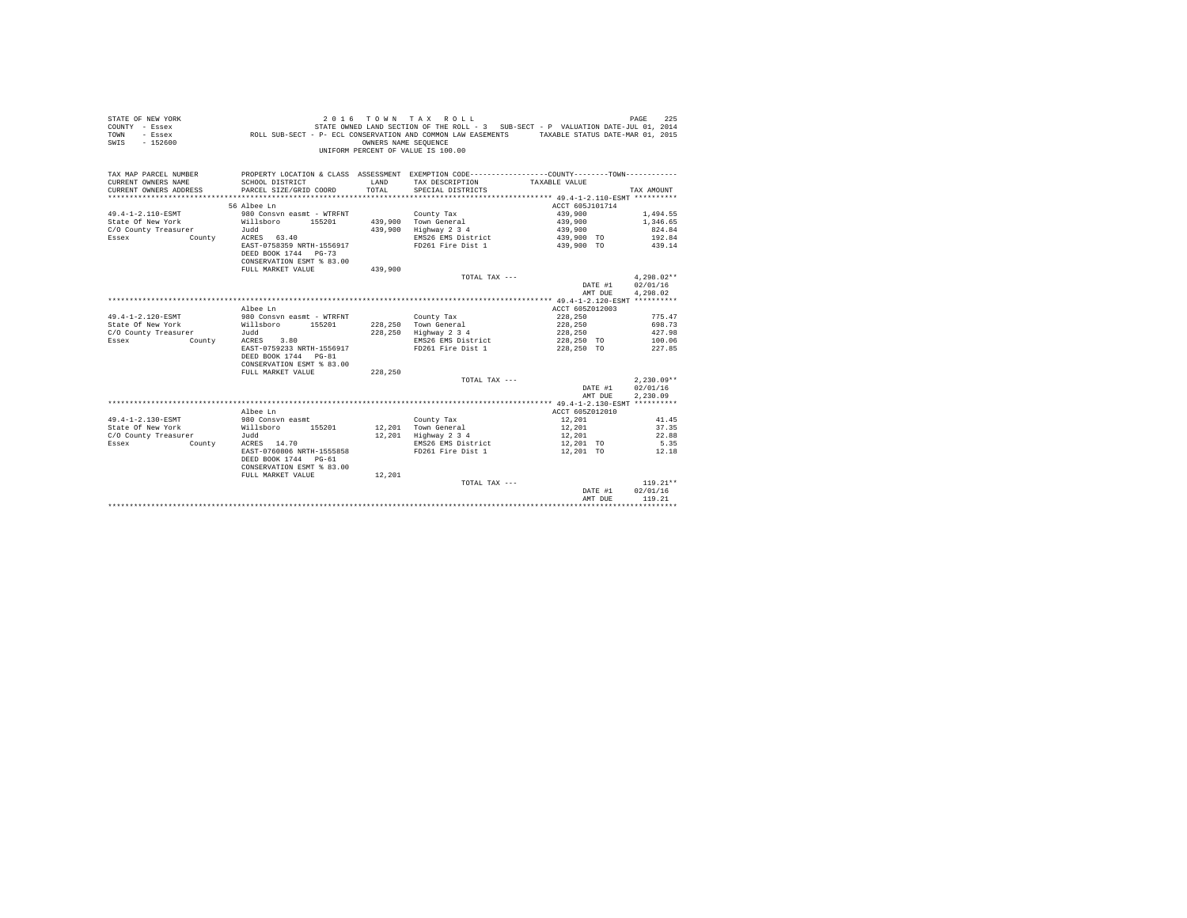| STATE OF NEW YORK<br>COUNTY - Essex<br>TOWN<br>- Essex<br>$-152600$<br>SWIS |                                                   | OWNERS NAME SEQUENCE | TOWN TAX ROLL<br>UNIFORM PERCENT OF VALUE IS 100.00 | 225 PAGE 2016 TO WINT A X ROLL<br>STATE ROLL PRE ROLL - 3 SUB-SECT - P VALUATION DATE-JUL 01, 2014<br>ROLL SUB-SECT - P- ECL CONSERVATION AND COMMON LAW EASEMENTS TAXABLE STATUS DATE-MAR 01, 2015 |              |
|-----------------------------------------------------------------------------|---------------------------------------------------|----------------------|-----------------------------------------------------|-----------------------------------------------------------------------------------------------------------------------------------------------------------------------------------------------------|--------------|
| TAX MAP PARCEL NUMBER                                                       |                                                   |                      |                                                     | PROPERTY LOCATION & CLASS ASSESSMENT EXEMPTION CODE----------------COUNTY-------TOWN---------                                                                                                       |              |
| CURRENT OWNERS NAME                                                         | SCHOOL DISTRICT                                   | LAND                 | TAX DESCRIPTION                                     | TAXABLE VALUE                                                                                                                                                                                       |              |
| CURRENT OWNERS ADDRESS                                                      | PARCEL SIZE/GRID COORD                            | TOTAL                | SPECIAL DISTRICTS                                   |                                                                                                                                                                                                     | TAX AMOUNT   |
|                                                                             |                                                   |                      |                                                     |                                                                                                                                                                                                     |              |
| 56 Albee Ln                                                                 |                                                   |                      |                                                     | ACCT 605J101714                                                                                                                                                                                     |              |
| 49.4-1-2.110-ESMT                                                           | 980 Consvn easmt - WTRFNT                         |                      | County Tax                                          | 439,900                                                                                                                                                                                             | 1,494.55     |
| State Of New York                                                           | Willsboro 155201                                  |                      | 439,900 Town General                                | 439,900                                                                                                                                                                                             | 1,346.65     |
| C/O County Treasurer<br>Judd                                                |                                                   |                      | 439,900 Highway 2 3 4                               | 439,900                                                                                                                                                                                             | 824.84       |
| Essex<br>County                                                             | ACRES 63.40                                       |                      | EMS26 EMS District                                  | 439,900 TO                                                                                                                                                                                          | 192.84       |
|                                                                             | EAST-0758359 NRTH-1556917                         |                      | FD261 Fire Dist 1                                   | 439,900 TO                                                                                                                                                                                          | 439.14       |
|                                                                             | DEED BOOK 1744 PG-73                              |                      |                                                     |                                                                                                                                                                                                     |              |
|                                                                             | CONSERVATION ESMT % 83.00                         |                      |                                                     |                                                                                                                                                                                                     |              |
|                                                                             | FULL MARKET VALUE                                 | 439,900              | TOTAL TAX ---                                       |                                                                                                                                                                                                     | $4.298.02**$ |
|                                                                             |                                                   |                      |                                                     | DATE #1                                                                                                                                                                                             | 02/01/16     |
|                                                                             |                                                   |                      |                                                     | AMT DUE                                                                                                                                                                                             | 4,298.02     |
|                                                                             |                                                   |                      |                                                     |                                                                                                                                                                                                     |              |
| Albee Ln                                                                    |                                                   |                      |                                                     | ACCT 605Z012003                                                                                                                                                                                     |              |
| 49.4-1-2.120-ESMT                                                           | 980 Consyn easmt - WTRFNT                         |                      | County Tax                                          | 228,250                                                                                                                                                                                             | 775.47       |
| State Of New York                                                           | Willsboro 155201                                  |                      | 228,250 Town General                                | 228,250                                                                                                                                                                                             | 698.73       |
| C/O County Treasurer<br>Judd                                                |                                                   |                      | 228,250 Highway 2 3 4                               | 228,250                                                                                                                                                                                             | 427.98       |
| Essex<br>County                                                             | ACRES 3.80                                        |                      | EMS26 EMS District                                  | 228,250 TO                                                                                                                                                                                          | 100.06       |
|                                                                             | EAST-0759233 NRTH-1556917                         |                      | FD261 Fire Dist 1                                   | 228,250 TO                                                                                                                                                                                          | 227.85       |
|                                                                             | DEED BOOK 1744 PG-81                              |                      |                                                     |                                                                                                                                                                                                     |              |
|                                                                             | CONSERVATION ESMT % 83.00                         |                      |                                                     |                                                                                                                                                                                                     |              |
|                                                                             | FULL MARKET VALUE                                 | 228,250              |                                                     |                                                                                                                                                                                                     |              |
|                                                                             |                                                   |                      | TOTAL TAX ---                                       |                                                                                                                                                                                                     | $2,230.09**$ |
|                                                                             |                                                   |                      |                                                     | DATE #1                                                                                                                                                                                             | 02/01/16     |
|                                                                             |                                                   |                      |                                                     | AMT DUE                                                                                                                                                                                             | 2,230.09     |
|                                                                             |                                                   |                      |                                                     |                                                                                                                                                                                                     |              |
| Albee Ln                                                                    |                                                   |                      |                                                     | ACCT 605Z012010                                                                                                                                                                                     |              |
| 49.4-1-2.130-ESMT<br>980 Consyn easmt                                       |                                                   |                      | County Tax                                          | 12,201                                                                                                                                                                                              | 41.45        |
| State Of New York<br>Willsboro                                              | 155201                                            |                      | 12,201 Town General<br>12,201 Highway 2 3 4         | 12,201                                                                                                                                                                                              | 37.35        |
| Judd<br>C/O County Treasurer                                                |                                                   |                      |                                                     | 12,201                                                                                                                                                                                              | 22.88        |
| ACRES 14.70<br>Essex<br>County                                              |                                                   |                      | EMS26 EMS District                                  | 12,201 TO                                                                                                                                                                                           | 5.35         |
|                                                                             | EAST-0760806 NRTH-1555858<br>DEED BOOK 1744 PG-61 |                      | FD261 Fire Dist 1                                   | 12,201 TO                                                                                                                                                                                           | 12.18        |
|                                                                             | CONSERVATION ESMT % 83.00                         |                      |                                                     |                                                                                                                                                                                                     |              |
|                                                                             | FULL MARKET VALUE                                 | 12,201               |                                                     |                                                                                                                                                                                                     |              |
|                                                                             |                                                   |                      | TOTAL TAX ---                                       |                                                                                                                                                                                                     | $119.21**$   |
|                                                                             |                                                   |                      |                                                     | DATE #1                                                                                                                                                                                             | 02/01/16     |
|                                                                             |                                                   |                      |                                                     | AMT DUE                                                                                                                                                                                             | 119.21       |
|                                                                             |                                                   |                      |                                                     |                                                                                                                                                                                                     |              |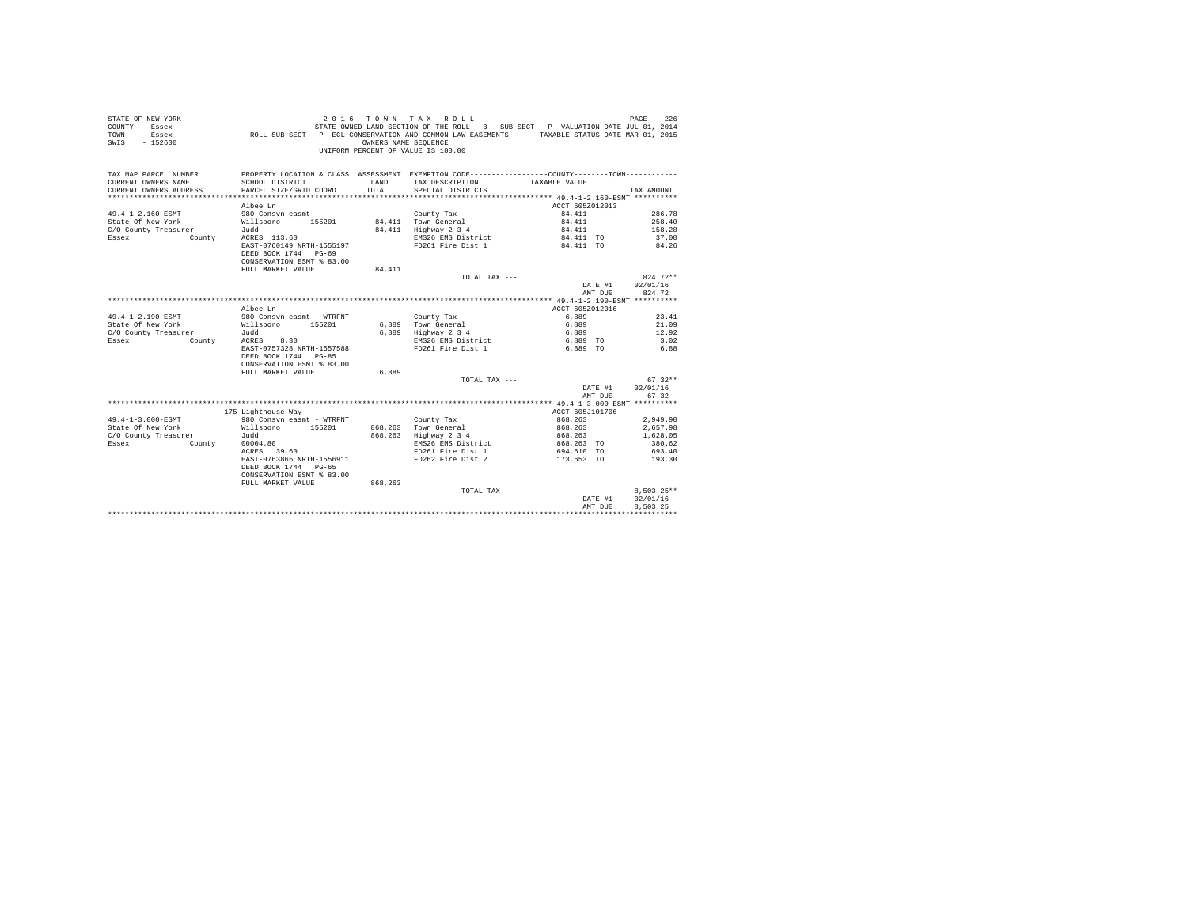| - Essex<br>TOWN<br>SWIS<br>$-152600$ | ROLL SUB-SECT - P- ECL CONSERVATION AND COMMON LAW EASEMENTS                                 | OWNERS NAME SEOUENCE | UNIFORM PERCENT OF VALUE IS 100.00 | TAXABLE STATUS DATE-MAR 01, 2015 |                          |
|--------------------------------------|----------------------------------------------------------------------------------------------|----------------------|------------------------------------|----------------------------------|--------------------------|
| TAX MAP PARCEL NUMBER                | PROPERTY LOCATION & CLASS ASSESSMENT EXEMPTION CODE---------------COUNTY-------TOWN--------- |                      |                                    |                                  |                          |
| CURRENT OWNERS NAME                  | SCHOOL DISTRICT                                                                              | LAND                 | TAX DESCRIPTION                    | TAXABLE VALUE                    |                          |
| CURRENT OWNERS ADDRESS               | PARCEL SIZE/GRID COORD                                                                       | TOTAL                | SPECIAL DISTRICTS                  |                                  | TAX AMOUNT               |
|                                      |                                                                                              |                      |                                    |                                  |                          |
|                                      | Albee Ln                                                                                     |                      |                                    | ACCT 605Z012013                  |                          |
| 49.4-1-2.160-ESMT                    | 980 Consyn easmt                                                                             |                      | County Tax                         | 84,411                           | 286.78                   |
| State Of New York                    | Willsboro 155201                                                                             |                      | 84,411 Town General                | 84,411                           | 258.40                   |
| C/O County Treasurer                 | Judd                                                                                         |                      | 84,411 Highway 2 3 4               | 84,411                           | 158.28                   |
| Essex<br>County                      | ACRES 113.60                                                                                 |                      | EMS26 EMS District                 | 84,411 TO                        | 37.00                    |
|                                      | EAST-0760149 NRTH-1555197                                                                    |                      | FD261 Fire Dist 1                  | 84,411 TO                        | 84.26                    |
|                                      | DEED BOOK 1744 PG-69                                                                         |                      |                                    |                                  |                          |
|                                      | CONSERVATION ESMT % 83.00                                                                    |                      |                                    |                                  |                          |
|                                      | FULL MARKET VALUE                                                                            | 84,411               | $TOTAI. TAX ---$                   |                                  | $824.72**$               |
|                                      |                                                                                              |                      |                                    | DATE #1                          | 02/01/16                 |
|                                      |                                                                                              |                      |                                    | AMT DUE                          | 824.72                   |
|                                      |                                                                                              |                      |                                    |                                  |                          |
|                                      | Albee Ln                                                                                     |                      |                                    | ACCT 605Z012016                  |                          |
| 49.4-1-2.190-ESMT                    | 980 Consyn easmt - WTRFNT                                                                    |                      | County Tax                         | 6,889                            | 23.41                    |
| State Of New York                    | Willsboro 155201                                                                             |                      | 6,889 Town General                 | 6,889                            | 21.09                    |
| C/O County Treasurer                 | Judd                                                                                         |                      | 6,889 Highway 2 3 4                | 6,889                            | 12.92                    |
| <b>County</b><br>Essex               | ACRES 8.30                                                                                   |                      | EMS26 EMS District                 | 6,889 TO                         | 3.02                     |
|                                      | EAST-0757328 NRTH-1557588                                                                    |                      | FD261 Fire Dist 1                  | 6.889 TO                         | 6.88                     |
|                                      | DEED BOOK 1744 PG-85                                                                         |                      |                                    |                                  |                          |
|                                      | CONSERVATION ESMT % 83.00                                                                    |                      |                                    |                                  |                          |
|                                      | FULL MARKET VALUE                                                                            | 6,889                |                                    |                                  |                          |
|                                      |                                                                                              |                      | TOTAL TAX ---                      |                                  | $67.32**$                |
|                                      |                                                                                              |                      |                                    | DATE #1                          | 02/01/16                 |
|                                      |                                                                                              |                      |                                    | AMT DUE                          | 67.32                    |
|                                      |                                                                                              |                      |                                    |                                  |                          |
|                                      | 175 Lighthouse Way                                                                           |                      |                                    | ACCT 605J101706                  |                          |
| 49.4-1-3.000-ESMT                    | 980 Consyn easmt - WTRFNT                                                                    |                      | County Tax                         | 868,263                          | 2,949.90                 |
| State Of New York Willsboro 155201   |                                                                                              |                      | 868,263 Town General               | 868,263                          | 2,657.98                 |
| C/O County Treasurer                 | Judd                                                                                         |                      | 868,263 Highway 2 3 4              | 868,263                          | 1,628.05                 |
| Essex                                | County 00004.80                                                                              |                      | EMS26 EMS District                 | 868,263 TO                       | 380.62                   |
|                                      | ACRES 39.60                                                                                  |                      | FD261 Fire Dist 1                  | 694,610 TO                       | 693.40                   |
|                                      | EAST-0763865 NRTH-1556911                                                                    |                      | FD262 Fire Dist 2                  | 173,653 TO 193.30                |                          |
|                                      | DEED BOOK 1744 PG-65                                                                         |                      |                                    |                                  |                          |
|                                      | CONSERVATION ESMT % 83.00                                                                    |                      |                                    |                                  |                          |
|                                      | FULL MARKET VALUE                                                                            | 868,263              | TOTAL TAX ---                      |                                  |                          |
|                                      |                                                                                              |                      |                                    | DATE #1                          | $8,503.25**$<br>02/01/16 |
|                                      |                                                                                              |                      |                                    | AMT DUE                          | 8.503.25                 |
|                                      |                                                                                              |                      |                                    |                                  |                          |
|                                      |                                                                                              |                      |                                    |                                  |                          |

STATE OF NEW YORK 2 0 1 6 T O W N T A X R O L L PAGE 226 COUNTY - Essex STATE OWNED LAND SECTION OF THE ROLL - 3 SUB-SECT - P VALUATION DATE-JUL 01, 2014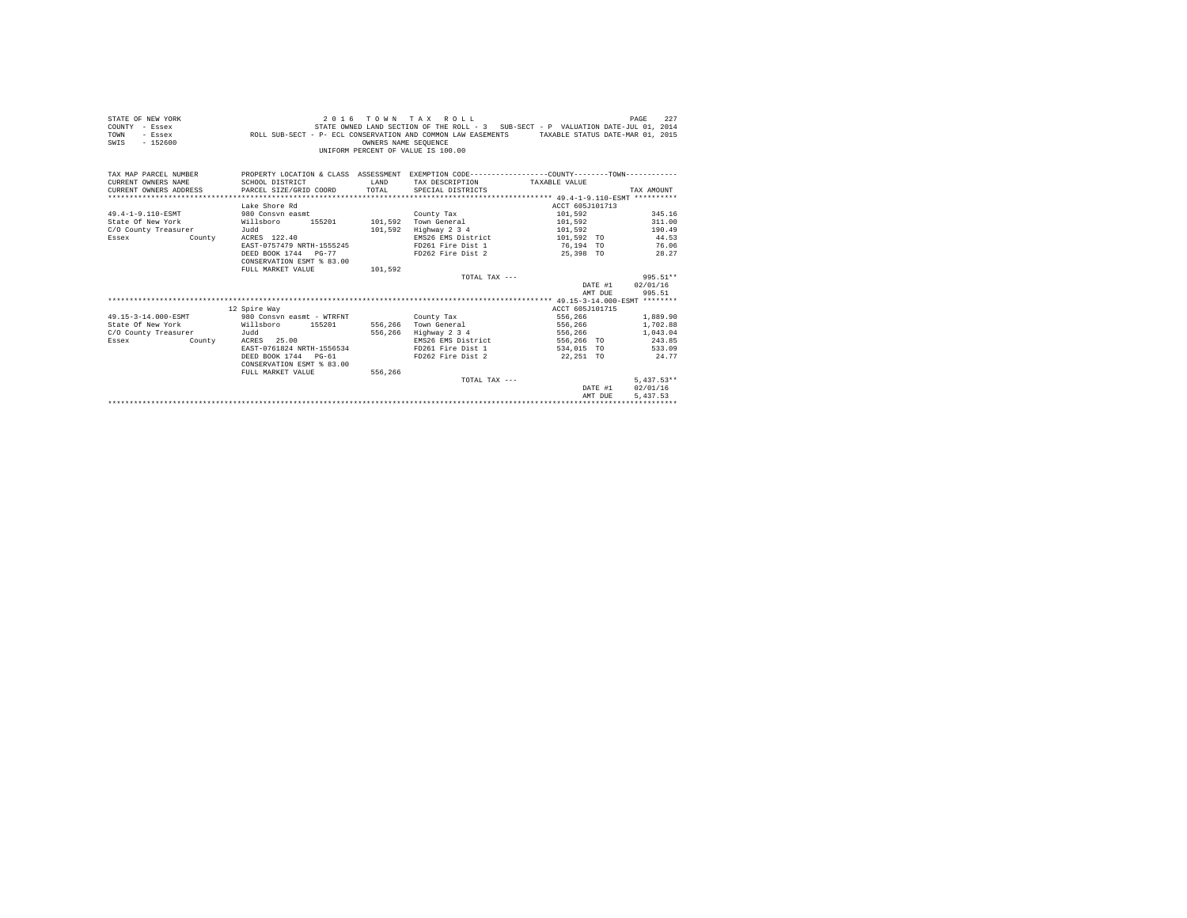| STATE OF NEW YORK<br>COUNTY - Essex<br>TOWN<br>- Essex<br>$-152600$<br>SWIS | ROLL SUB-SECT - P- ECL CONSERVATION AND COMMON LAW EASEMENTS TAXABLE STATUS DATE-MAR 01, 2015  | OWNERS NAME SEQUENCE | 2016 TOWN TAX ROLL<br>STATE OWNED LAND SECTION OF THE ROLL - 3 SUB-SECT - P VALUATION DATE-JUL 01, 2014<br>INIFORM PERCENT OF VALUE IS 100.00 |                              | 227<br>PAGE  |
|-----------------------------------------------------------------------------|------------------------------------------------------------------------------------------------|----------------------|-----------------------------------------------------------------------------------------------------------------------------------------------|------------------------------|--------------|
| TAX MAP PARCEL NUMBER                                                       | PROPERTY LOCATION & CLASS ASSESSMENT EXEMPTION CODE---------------COUNTY--------TOWN---------- |                      |                                                                                                                                               |                              |              |
| CURRENT OWNERS NAME                                                         | SCHOOL DISTRICT                                                                                | <b>T.AND</b>         | TAX DESCRIPTION                                                                                                                               | TAXABLE VALUE                |              |
| CURRENT OWNERS ADDRESS                                                      | PARCEL SIZE/GRID COORD                                                                         | TOTAL                | SPECIAL DISTRICTS                                                                                                                             |                              | TAX AMOUNT   |
|                                                                             |                                                                                                |                      |                                                                                                                                               |                              |              |
|                                                                             | Lake Shore Rd                                                                                  |                      |                                                                                                                                               | ACCT 605J101713              |              |
| 49.4-1-9.110-ESMT                                                           | 980 Consyn easmt                                                                               |                      | County Tax                                                                                                                                    | 101,592                      | 345.16       |
| State Of New York                                                           | Willsboro<br>155201                                                                            |                      | 101.592 Town General                                                                                                                          | 101,592                      | 311.00       |
| C/O County Treasurer                                                        | Judd                                                                                           |                      | 101,592 Highway 2 3 4                                                                                                                         | 101,592                      | 190.49       |
| Essex<br>County                                                             | ACRES 122.40                                                                                   |                      | EMS26 EMS District                                                                                                                            | 101,592 TO                   | 44.53        |
|                                                                             | EAST-0757479 NRTH-1555245                                                                      |                      | FD261 Fire Dist 1                                                                                                                             | 76.194 TO                    | 76.06        |
|                                                                             | DEED BOOK 1744 PG-77                                                                           |                      | FD262 Fire Dist 2                                                                                                                             | 25,398 TO                    | 28.27        |
|                                                                             | CONSERVATION ESMT % 83.00                                                                      |                      |                                                                                                                                               |                              |              |
|                                                                             | FULL MARKET VALUE                                                                              | 101,592              |                                                                                                                                               |                              |              |
|                                                                             |                                                                                                |                      | TOTAL TAX ---                                                                                                                                 |                              | 995.51**     |
|                                                                             |                                                                                                |                      |                                                                                                                                               | DATE #1                      | 02/01/16     |
|                                                                             |                                                                                                |                      |                                                                                                                                               | AMT DUE                      | 995.51       |
|                                                                             |                                                                                                |                      |                                                                                                                                               |                              |              |
|                                                                             | 12 Spire Way                                                                                   |                      |                                                                                                                                               | ACCT 605J101715              |              |
| 49.15-3-14.000-ESMT                                                         | 980 Consyn easmt - WTRFNT                                                                      |                      | County Tax                                                                                                                                    | 556,266                      | 1,889.90     |
| State Of New York                                                           | Willsboro<br>155201                                                                            |                      | 556,266 Town General                                                                                                                          | 556,266                      | 1,702.88     |
| C/O County Treasurer                                                        | Judd                                                                                           |                      | 556,266 Highway 2 3 4                                                                                                                         | 556,266                      | 1,043.04     |
| Essex<br>County                                                             | ACRES 25.00                                                                                    |                      | EMS26 EMS District                                                                                                                            | 556,266 TO                   | 243.85       |
|                                                                             | EAST-0761824 NRTH-1556534                                                                      |                      | FD261 Fire Dist 1                                                                                                                             | 534,015 TO                   | 533.09       |
|                                                                             | DEED BOOK 1744 PG-61                                                                           |                      | FD262 Fire Dist 2                                                                                                                             | 22,251 TO                    | 24.77        |
|                                                                             | CONSERVATION ESMT % 83.00                                                                      |                      |                                                                                                                                               |                              |              |
|                                                                             | FULL MARKET VALUE                                                                              | 556,266              |                                                                                                                                               |                              |              |
|                                                                             |                                                                                                |                      | TOTAL TAX ---                                                                                                                                 |                              | $5.437.53**$ |
|                                                                             |                                                                                                |                      |                                                                                                                                               | DATE #1                      | 02/01/16     |
|                                                                             |                                                                                                |                      |                                                                                                                                               | AMT DUE                      | 5.437.53     |
|                                                                             |                                                                                                |                      |                                                                                                                                               | **************************** |              |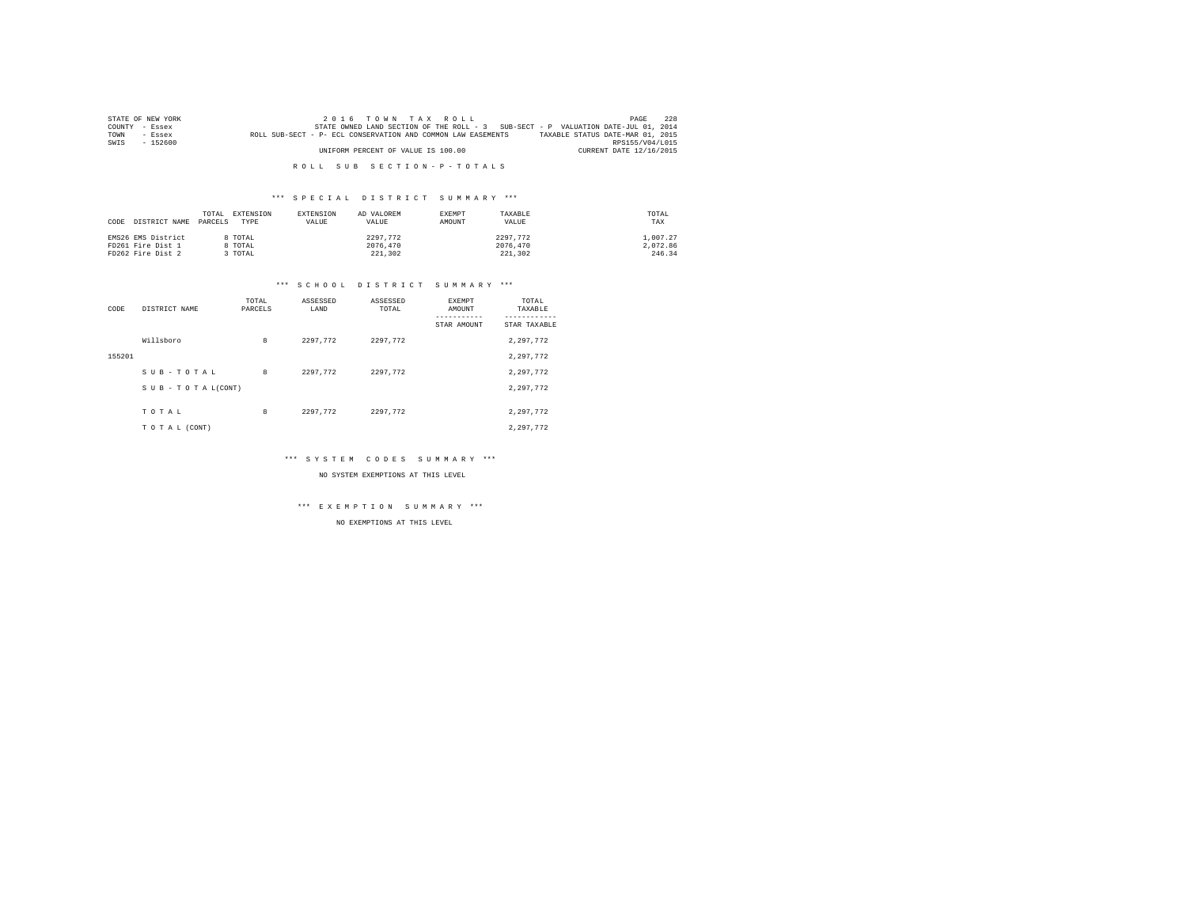|        | STATE OF NEW YORK | 2016 TOWN TAX ROLL                                                                               | PAGE            | 2.2.8 |
|--------|-------------------|--------------------------------------------------------------------------------------------------|-----------------|-------|
| COUNTY | - Essex           | STATE OWNED LAND SECTION OF THE ROLL - 3 SUB-SECT - P VALUATION DATE-JUL 01, 2014                |                 |       |
| TOWN   | $-$ Essex         | TAXABLE STATUS DATE-MAR 01, 2015<br>ROLL SUB-SECT - P- ECL CONSERVATION AND COMMON LAW EASEMENTS |                 |       |
| SWIS   | $-152600$         |                                                                                                  | RPS155/V04/L015 |       |
|        |                   | CURRENT DATE 12/16/2015<br>UNIFORM PERCENT OF VALUE IS 100.00                                    |                 |       |
|        |                   |                                                                                                  |                 |       |

## \*\*\* S P E C I A L D I S T R I C T S U M M A R Y \*\*\*

| DISTRICT NAME<br>CODE | EXTENSION<br>TOTAL<br>PARCELS<br><b>TYPE</b> | EXTENSION<br>VALUE | AD VALOREM<br>VALUE | EXEMPT<br>AMOUNT | TAXABLE<br>VALUE | TOTAL<br>TAX |
|-----------------------|----------------------------------------------|--------------------|---------------------|------------------|------------------|--------------|
| EMS26 EMS District    | TOTAL                                        |                    | 2297.772            |                  | 2297.772         | 1,007.27     |
| FD261 Fire Dist 1     | TOTAL                                        |                    | 2076,470            |                  | 2076,470         | 2.072.86     |
| FD262 Fire Dist 2     | TOTAL                                        |                    | 221,302             |                  | 221,302          | 246.34       |

#### \*\*\* S C H O O L D I S T R I C T S U M M A R Y \*\*\*

| CODE   | DISTRICT NAME      | TOTAL<br>PARCELS | ASSESSED<br>LAND | ASSESSED<br>TOTAL | EXEMPT<br>AMOUNT | TOTAL<br>TAXABLE |
|--------|--------------------|------------------|------------------|-------------------|------------------|------------------|
|        |                    |                  |                  |                   | STAR AMOUNT      | STAR TAXABLE     |
|        | Willsboro          | 8                | 2297.772         | 2297.772          |                  | 2,297,772        |
| 155201 |                    |                  |                  |                   |                  | 2,297,772        |
|        | SUB-TOTAL          | 8                | 2297.772         | 2297.772          |                  | 2.297.772        |
|        | SUB - TO TAL(CONT) |                  |                  |                   |                  | 2,297,772        |
|        |                    |                  |                  |                   |                  |                  |
|        | TOTAL              | 8                | 2297.772         | 2297.772          |                  | 2,297,772        |
|        | TO TAL (CONT)      |                  |                  |                   |                  | 2.297.772        |

\*\*\* S Y S T E M C O D E S S U M M A R Y \*\*\*

NO SYSTEM EXEMPTIONS AT THIS LEVEL

\*\*\* E X E M P T I O N S U M M A R Y \*\*\*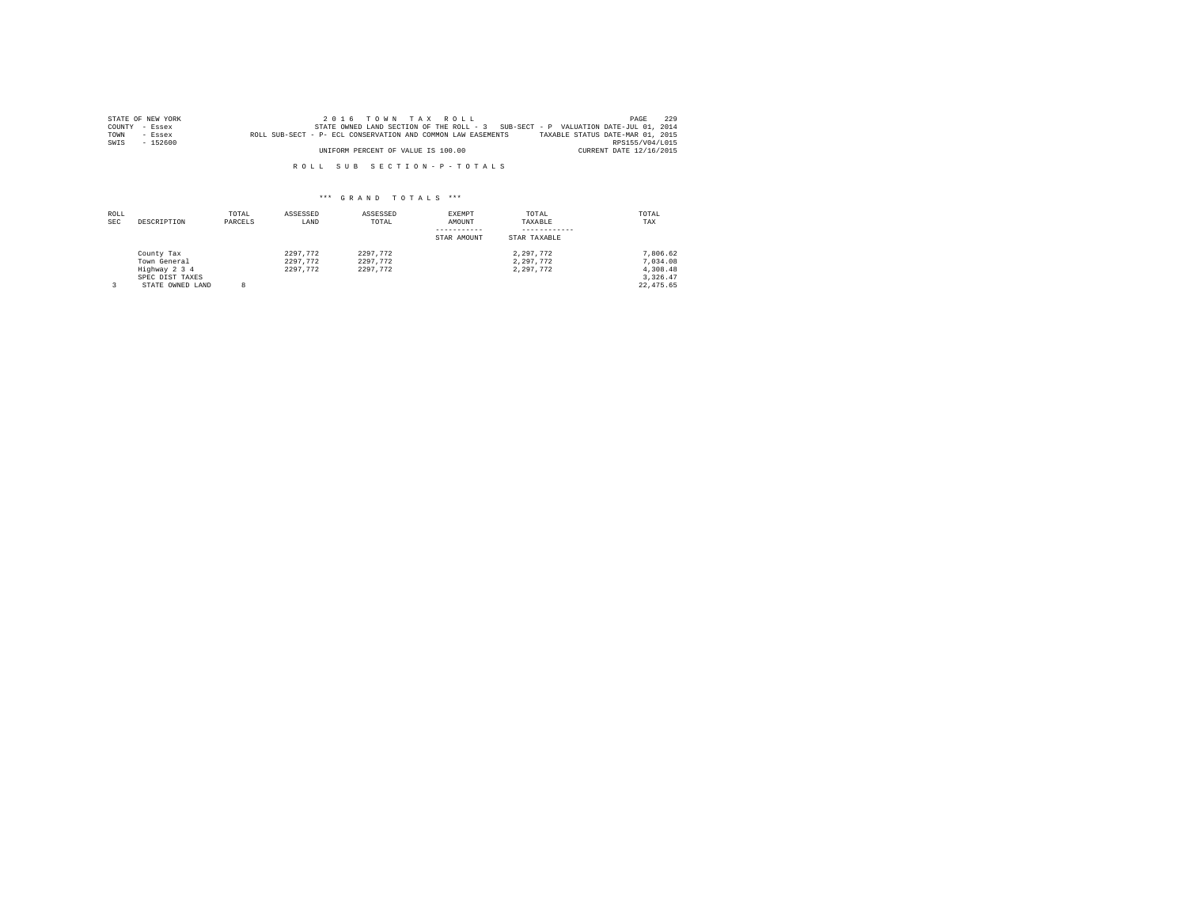|      | STATE OF NEW YORK | 2016 TOWN TAX ROLL                                                                               | PAGE                    | 229 |
|------|-------------------|--------------------------------------------------------------------------------------------------|-------------------------|-----|
|      | COUNTY - Essex    | STATE OWNED LAND SECTION OF THE ROLL - 3 SUB-SECT - P VALUATION DATE-JUL 01, 2014                |                         |     |
| TOWN | $-$ Essex         | TAXABLE STATUS DATE-MAR 01, 2015<br>ROLL SUB-SECT - P- ECL CONSERVATION AND COMMON LAW EASEMENTS |                         |     |
| SWIS | $-152600$         |                                                                                                  | RPS155/V04/L015         |     |
|      |                   | UNIFORM PERCENT OF VALUE IS 100.00                                                               | CURRENT DATE 12/16/2015 |     |

| ROLL<br><b>SEC</b> | DESCRIPTION                                                                        | TOTAL<br>PARCELS | ASSESSED<br>LAND                 | ASSESSED<br>TOTAL                | EXEMPT<br>AMOUNT<br>STAR AMOUNT | TOTAL<br>TAXABLE<br>STAR TAXABLE    | TOTAL<br>TAX                                               |
|--------------------|------------------------------------------------------------------------------------|------------------|----------------------------------|----------------------------------|---------------------------------|-------------------------------------|------------------------------------------------------------|
|                    | County Tax<br>Town General<br>Highway 2 3 4<br>SPEC DIST TAXES<br>STATE OWNED LAND | 8                | 2297.772<br>2297.772<br>2297.772 | 2297.772<br>2297.772<br>2297.772 |                                 | 2.297.772<br>2.297.772<br>2.297.772 | 7.806.62<br>7.034.08<br>4,308.48<br>3.326.47<br>22, 475.65 |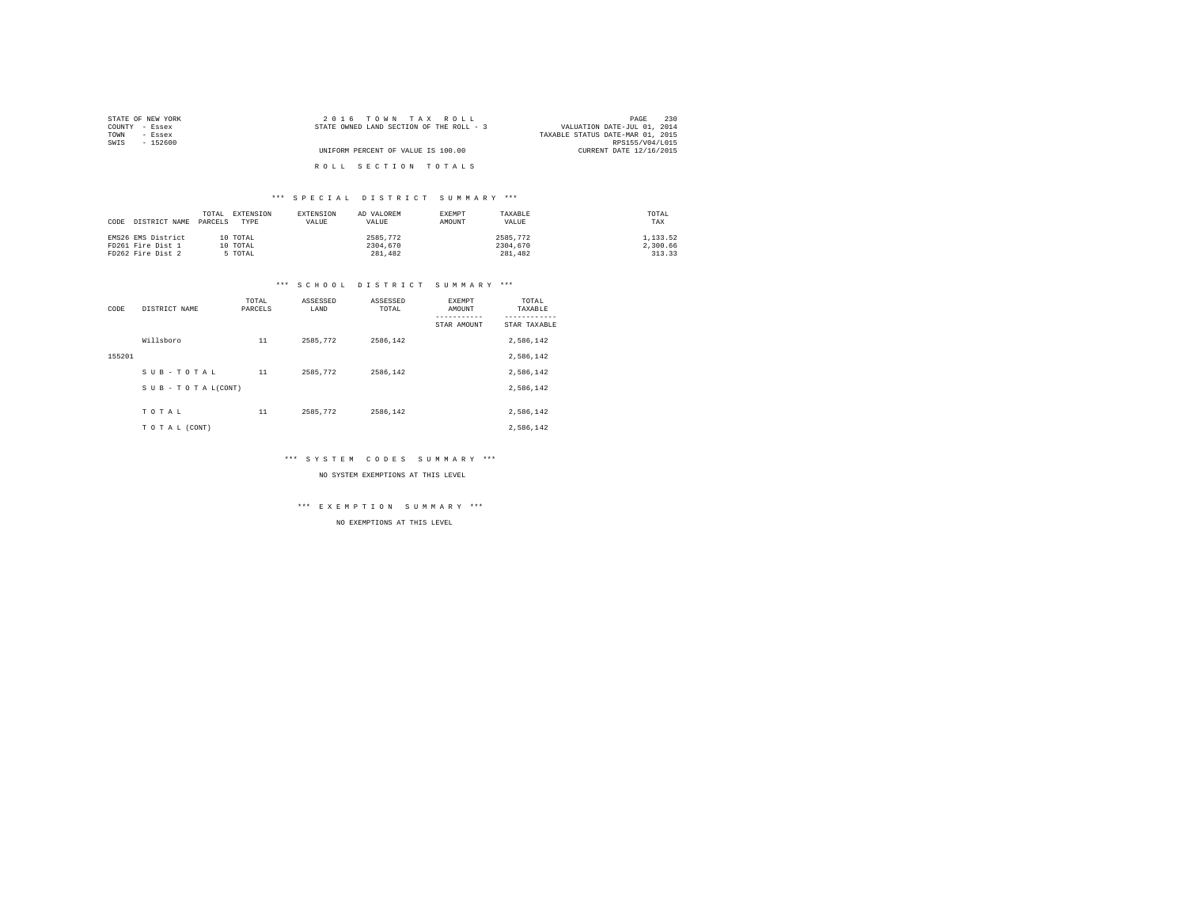| STATE OF NEW YORK | 2016 TOWN TAX ROLL                       | 230<br>PAGE                      |
|-------------------|------------------------------------------|----------------------------------|
| COUNTY - Essex    | STATE OWNED LAND SECTION OF THE ROLL - 3 | VALUATION DATE-JUL 01, 2014      |
| TOWN<br>- Essex   |                                          | TAXABLE STATUS DATE-MAR 01, 2015 |
| SWIS<br>$-152600$ |                                          | RPS155/V04/L015                  |
|                   | UNIFORM PERCENT OF VALUE IS 100.00       | CURRENT DATE 12/16/2015          |
|                   |                                          |                                  |
|                   | ROLL SECTION TOTALS                      |                                  |

## \*\*\* S P E C I A L D I S T R I C T S U M M A R Y \*\*\*

| CODE | DISTRICT NAME PARCELS | TOTAL | EXTENSION<br>TYPE | EXTENSION<br>VALUE | AD VALOREM<br>VALUE | EXEMPT<br>AMOUNT | TAXABLE<br>VALUE | TOTAL<br>TAX |
|------|-----------------------|-------|-------------------|--------------------|---------------------|------------------|------------------|--------------|
|      | EMS26 EMS District    |       | 10 TOTAL          |                    | 2585.772            |                  | 2585.772         | 1,133.52     |
|      | FD261 Fire Dist 1     |       | 10 TOTAL          |                    | 2304,670            |                  | 2304,670         | 2.300.66     |
|      | FD262 Fire Dist 2     |       | 5 TOTAL           |                    | 281,482             |                  | 281,482          | 313.33       |

#### \*\*\* S C H O O L D I S T R I C T S U M M A R Y \*\*\*

| CODE   | DISTRICT NAME      | TOTAL<br>PARCELS | ASSESSED<br>LAND | ASSESSED<br>TOTAL | <b>EXEMPT</b><br>AMOUNT<br>STAR AMOUNT | TOTAL<br>TAXABLE<br>---------<br>STAR TAXABLE |
|--------|--------------------|------------------|------------------|-------------------|----------------------------------------|-----------------------------------------------|
|        | Willsboro          | 11               | 2585.772         | 2586.142          |                                        | 2,586,142                                     |
| 155201 |                    |                  |                  |                   |                                        | 2,586,142                                     |
|        | SUB-TOTAL          | 11               | 2585.772         | 2586.142          |                                        | 2,586,142                                     |
|        | SUB - TO TAL(CONT) |                  |                  |                   |                                        | 2,586,142                                     |
|        |                    |                  |                  |                   |                                        |                                               |
|        | TOTAL              | 11               | 2585.772         | 2586.142          |                                        | 2.586.142                                     |
|        | TO TAL (CONT)      |                  |                  |                   |                                        | 2,586,142                                     |

\*\*\* S Y S T E M C O D E S S U M M A R Y \*\*\*

NO SYSTEM EXEMPTIONS AT THIS LEVEL

\*\*\* E X E M P T I O N S U M M A R Y \*\*\*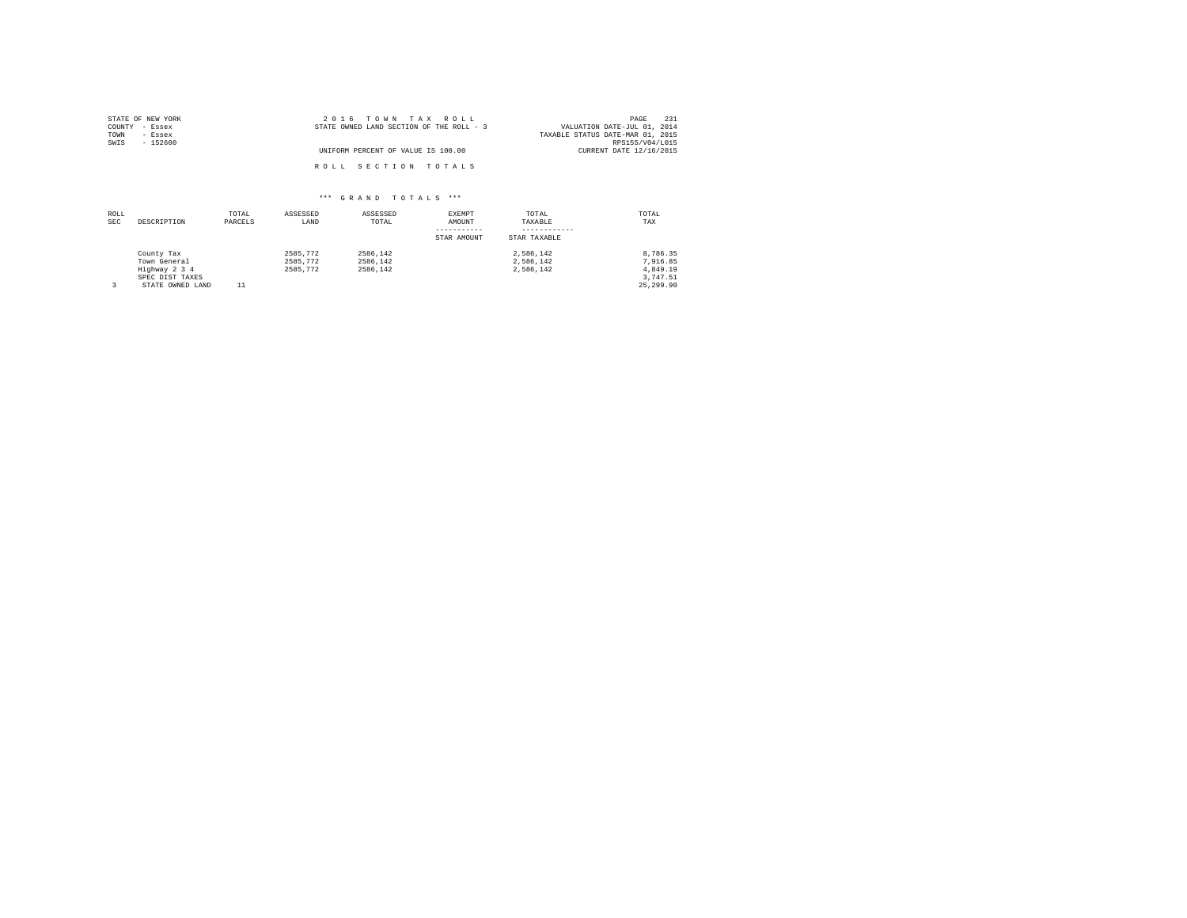| STATE OF NEW YORK | 2016 TOWN TAX ROLL                       | 231<br>PAGE                      |
|-------------------|------------------------------------------|----------------------------------|
| COUNTY - Essex    | STATE OWNED LAND SECTION OF THE ROLL - 3 | VALUATION DATE-JUL 01, 2014      |
| TOWN<br>- Essex   |                                          | TAXABLE STATUS DATE-MAR 01, 2015 |
| SWIS<br>$-152600$ |                                          | RPS155/V04/L015                  |
|                   | UNIFORM PERCENT OF VALUE IS 100.00       | CURRENT DATE 12/16/2015          |
|                   | ROLL SECTION TOTALS                      |                                  |

| ROLL<br><b>SEC</b> | DESCRIPTION      | TOTAL<br>PARCELS | ASSESSED<br>LAND | ASSESSED<br>TOTAL | EXEMPT<br>AMOUNT | TOTAL<br>TAXABLE | TOTAL<br>TAX |
|--------------------|------------------|------------------|------------------|-------------------|------------------|------------------|--------------|
|                    |                  |                  |                  |                   | STAR AMOUNT      | STAR TAXABLE     |              |
|                    | County Tax       |                  | 2585.772         | 2586.142          |                  | 2.586.142        | 8.786.35     |
|                    | Town General     |                  | 2585.772         | 2586.142          |                  | 2.586.142        | 7.916.85     |
|                    | Highway 2 3 4    |                  | 2585.772         | 2586.142          |                  | 2.586.142        | 4.849.19     |
|                    | SPEC DIST TAXES  |                  |                  |                   |                  |                  | 3.747.51     |
|                    | STATE OWNED LAND |                  |                  |                   |                  |                  | 25,299.90    |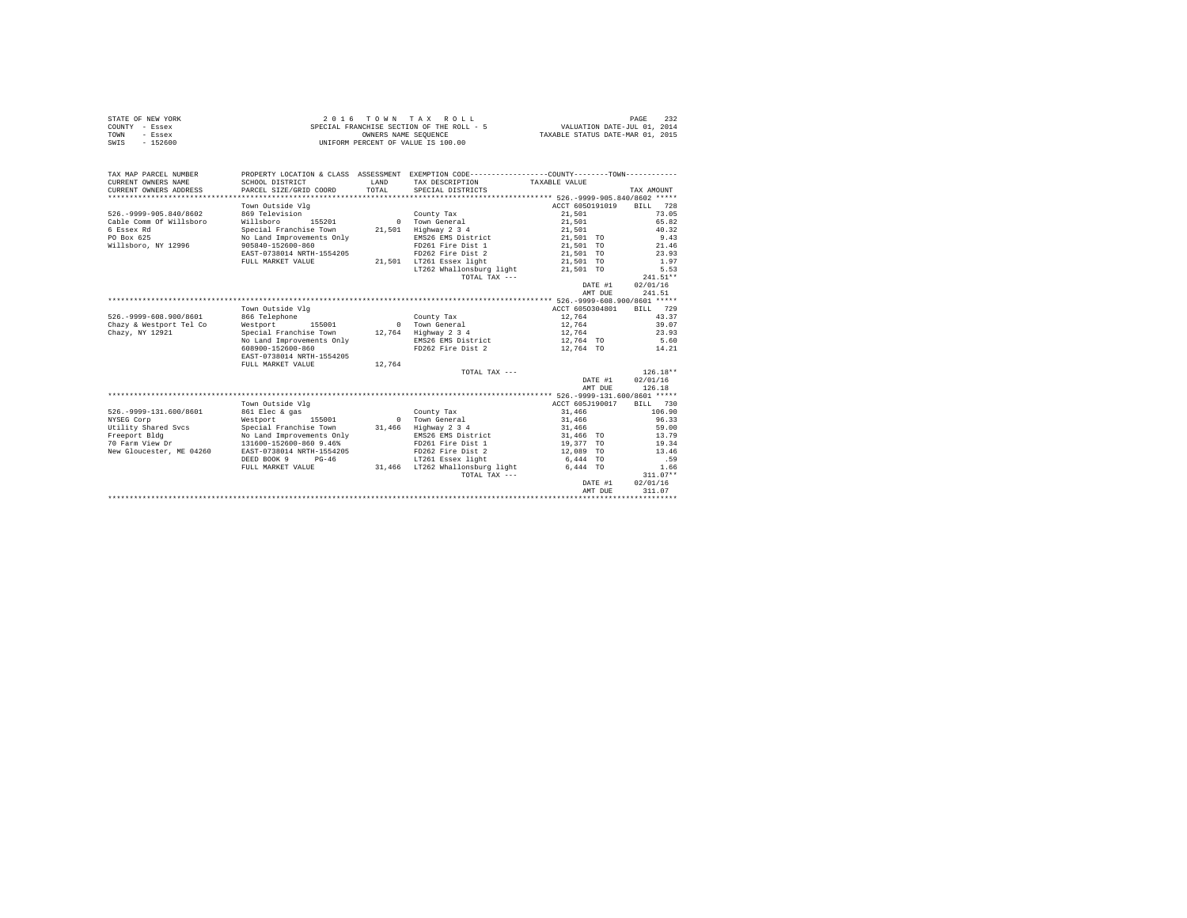|      | STATE OF NEW YORK | $2.0.16$ TOWN TAX ROLL                    | 232<br>PAGE                      |
|------|-------------------|-------------------------------------------|----------------------------------|
|      | COUNTY - Essex    | SPECIAL FRANCHISE SECTION OF THE ROLL - 5 | VALUATION DATE-JUL 01, 2014      |
| TOWN | - Essex           | OWNERS NAME SEOUENCE                      | TAXABLE STATUS DATE-MAR 01, 2015 |
| SWIS | $-152600$         | UNIFORM PERCENT OF VALUE IS 100.00        |                                  |

| TAX MAP PARCEL NUMBER<br>CURRENT OWNERS NAME<br>CURRENT OWNERS ADDRESS | PROPERTY LOCATION & CLASS ASSESSMENT EXEMPTION CODE---------------COUNTY-------TOWN----------<br>SCHOOL DISTRICT<br>PARCEL SIZE/GRID COORD | <b>T.AND</b><br>TOTAL | TAX DESCRIPTION TAXABLE VALUE<br>SPECIAL DISTRICTS |                        | TAX AMOUNT     |
|------------------------------------------------------------------------|--------------------------------------------------------------------------------------------------------------------------------------------|-----------------------|----------------------------------------------------|------------------------|----------------|
|                                                                        |                                                                                                                                            |                       |                                                    |                        |                |
|                                                                        | Town Outside Vlg                                                                                                                           |                       |                                                    | ACCT 6050191019        | BILL 728       |
| 526. - 9999 - 905.840/8602                                             | 869 Television                                                                                                                             |                       | County Tax                                         | 21,501                 | 73.05          |
| Cable Comm Of Willsboro                                                | Willsboro<br>155201                                                                                                                        |                       | 0 Town General                                     | 21,501                 | 65.82          |
| 6 Essex Rd                                                             | Special Franchise Town                                                                                                                     | 21,501                | Highway 2 3 4                                      | 21,501                 | 40.32          |
| PO Box 625                                                             | No Land Improvements Only                                                                                                                  |                       | EMS26 EMS District                                 | 21,501 TO              | 9.43           |
| Willsboro, NY 12996                                                    | 905840-152600-860                                                                                                                          |                       | FD261 Fire Dist 1                                  | 21,501 TO              | 21.46          |
|                                                                        | EAST-0738014 NRTH-1554205                                                                                                                  |                       | FD262 Fire Dist 2                                  | 21,501 TO              | 23.93          |
|                                                                        | FULL MARKET VALUE                                                                                                                          |                       | 21,501 LT261 Essex light                           | 21,501 TO              | 1.97           |
|                                                                        |                                                                                                                                            |                       | LT262 Whallonsburg light                           | 21,501 TO              | 5.53           |
|                                                                        |                                                                                                                                            |                       | TOTAL TAX $---$                                    |                        | $241.51**$     |
|                                                                        |                                                                                                                                            |                       |                                                    | DATE #1                | 02/01/16       |
|                                                                        |                                                                                                                                            |                       |                                                    | AMT DUE                | 241.51         |
|                                                                        |                                                                                                                                            |                       |                                                    |                        |                |
|                                                                        | Town Outside Vlg                                                                                                                           |                       |                                                    | ACCT 6050304801        | BILL 729       |
| 526. - 9999-608. 900/8601                                              | 866 Telephone                                                                                                                              |                       | County Tax                                         | 12,764                 | 43.37          |
| Chazy & Westport Tel Co                                                | Westport<br>155001                                                                                                                         |                       | 0 Town General                                     | 12,764                 | 39.07          |
| Chazy, NY 12921                                                        | Special Franchise Town                                                                                                                     |                       | 12.764 Highway 2 3 4                               | 12,764                 | 23.93          |
|                                                                        | No Land Improvements Only                                                                                                                  |                       | EMS26 EMS District                                 | 12,764 TO              | 5.60           |
|                                                                        | 608900-152600-860                                                                                                                          |                       | FD262 Fire Dist 2 12.764 TO                        |                        | 14.21          |
|                                                                        | EAST-0738014 NRTH-1554205                                                                                                                  |                       |                                                    |                        |                |
|                                                                        | FULL MARKET VALUE                                                                                                                          | 12,764                |                                                    |                        |                |
|                                                                        |                                                                                                                                            |                       | TOTAL TAX ---                                      |                        | $126.18**$     |
|                                                                        |                                                                                                                                            |                       |                                                    | DATE #1                | 02/01/16       |
|                                                                        |                                                                                                                                            |                       |                                                    | AMT DUE                | 126.18         |
|                                                                        |                                                                                                                                            |                       |                                                    |                        |                |
|                                                                        | Town Outside Vlg                                                                                                                           |                       |                                                    | ACCT 605J190017        | BILL 730       |
| 526. - 9999-131.600/8601                                               | 861 Elec & gas                                                                                                                             |                       | County Tax                                         | 31,466                 | 106.90         |
| NYSEG Corp                                                             | Westport 155001                                                                                                                            |                       | 0 Town General                                     | 31,466                 | 96.33          |
| Utility Shared Svcs                                                    | Special Franchise Town                                                                                                                     | 31,466                | Highway 2 3 4                                      | 31,466                 | 59.00          |
| Freeport Bldg<br>70 Farm View Dr                                       | No Land Improvements Only<br>131600-152600-860 9.46%                                                                                       |                       | EMS26 EMS District                                 | 31,466 TO              | 13.79<br>19.34 |
| New Gloucester, ME 04260                                               | EAST-0738014 NRTH-1554205                                                                                                                  |                       | FD261 Fire Dist 1<br>FD262 Fire Dist 2             | 19,377 TO<br>12,089 TO | 13.46          |
|                                                                        | DEED BOOK 9 PG-46                                                                                                                          |                       | LT261 Essex light                                  | 6,444 TO               | .59            |
|                                                                        | FULL MARKET VALUE                                                                                                                          |                       | 31.466 LT262 Whallonsburg light                    | 6,444 TO               | 1.66           |
|                                                                        |                                                                                                                                            |                       | TOTAL TAX $---$                                    |                        | $311.07**$     |
|                                                                        |                                                                                                                                            |                       |                                                    | DATE #1                | 02/01/16       |
|                                                                        |                                                                                                                                            |                       |                                                    | AMT DUE                | 311.07         |
|                                                                        |                                                                                                                                            |                       |                                                    |                        |                |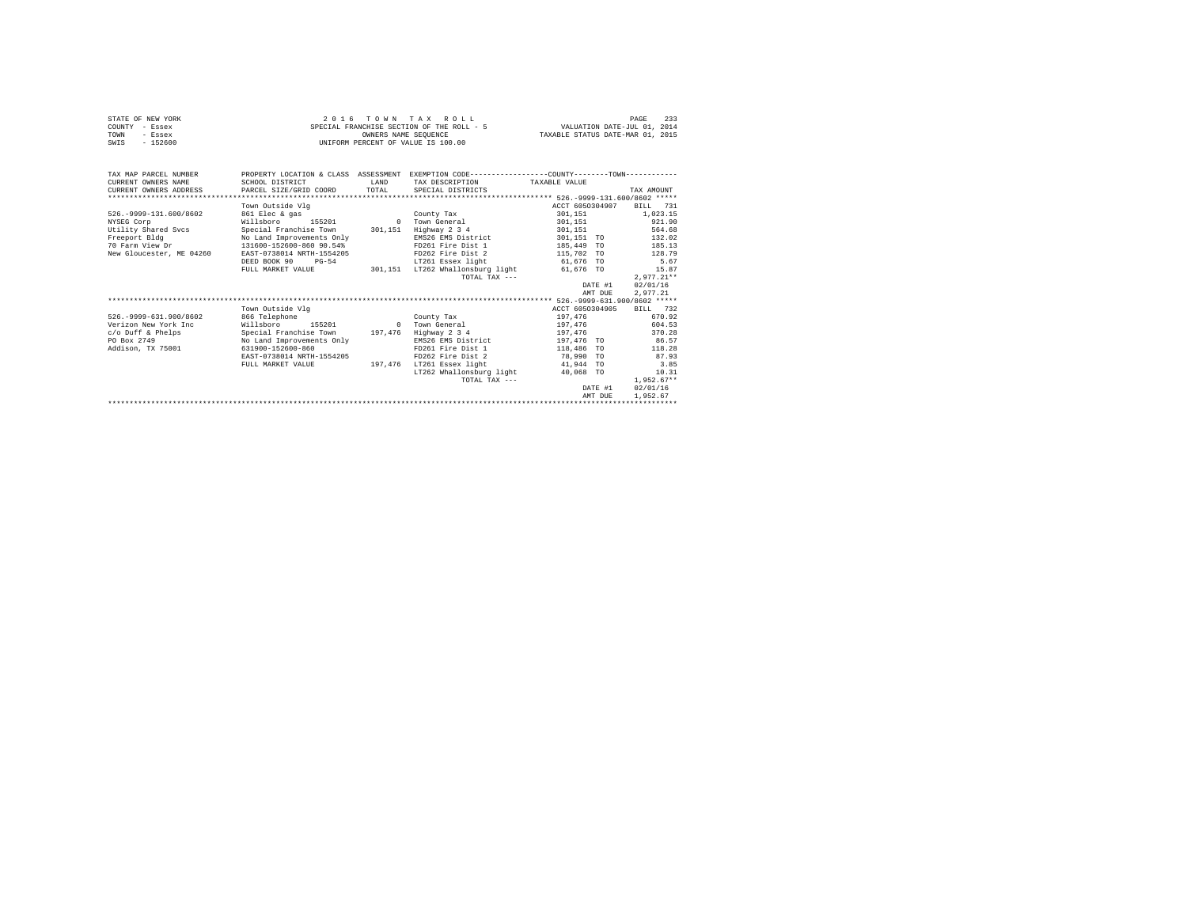| STATE OF NEW YORK | 2016 TOWN TAX ROLL                        | 233<br>PAGE                      |
|-------------------|-------------------------------------------|----------------------------------|
| COUNTY - Essex    | SPECIAL FRANCHISE SECTION OF THE ROLL - 5 | VALUATION DATE-JUL 01, 2014      |
| TOWN<br>- Essex   | OWNERS NAME SEOUENCE                      | TAXABLE STATUS DATE-MAR 01, 2015 |
| $-152600$<br>SWIS | UNIFORM PERCENT OF VALUE IS 100.00        |                                  |
|                   |                                           |                                  |

| TAX MAP PARCEL NUMBER                         | PROPERTY LOCATION & CLASS ASSESSMENT                         |         | EXEMPTION CODE-----------------COUNTY-------TOWN------------ |               |                 |              |
|-----------------------------------------------|--------------------------------------------------------------|---------|--------------------------------------------------------------|---------------|-----------------|--------------|
| CURRENT OWNERS NAME                           | SCHOOL DISTRICT                                              | LAND    | TAX DESCRIPTION                                              | TAXABLE VALUE |                 |              |
| CURRENT OWNERS ADDRESS PARCEL SIZE/GRID COORD |                                                              | TOTAL   | SPECIAL DISTRICTS                                            |               |                 | TAX AMOUNT   |
|                                               |                                                              |         |                                                              |               |                 |              |
|                                               | Town Outside Vlg                                             |         |                                                              |               | ACCT 6050304907 | BILL 731     |
| 526. - 9999-131.600/8602                      | 861 Elec & gas                                               |         | County Tax                                                   | 301,151       |                 | 1.023.15     |
| NYSEG Corp                                    | Willsboro 155201                                             |         | 0 Town General                                               | 301,151       |                 | 921.90       |
| Utility Shared Sycs                           | Special Franchise Town 301.151                               |         | Highway 2 3 4                                                | 301,151       |                 | 564.68       |
| Freeport Bldg                                 | No Land Improvements Only                                    |         | EMS26 EMS District                                           |               | 301,151 TO      | 132.02       |
| 70 Farm View Dr                               | 131600-152600-860 90.54%                                     |         | FD261 Fire Dist 1 185.449 TO                                 |               |                 | 185.13       |
| New Gloucester, ME 04260                      | EAST-0738014 NRTH-1554205                                    |         | FD262 Fire Dist 2                                            |               | 115,702 TO      | 128.79       |
|                                               | DEED BOOK 90 PG-54                                           |         | LT261 Essex light                                            |               | 61,676 TO       | 5.67         |
|                                               | FULL MARKET VALUE 301,151 LT262 Whallonsburg light 61,676 TO |         |                                                              |               |                 | 15.87        |
|                                               |                                                              |         | TOTAL TAX $---$                                              |               |                 | $2.977.21**$ |
|                                               |                                                              |         |                                                              |               | DATE #1         | 02/01/16     |
|                                               |                                                              |         |                                                              |               | AMT DUE         | 2.977.21     |
|                                               |                                                              |         |                                                              |               |                 |              |
|                                               | Town Outside Vlg                                             |         |                                                              |               | ACCT 6050304905 | BILL 732     |
| 526. - 9999-631.900/8602                      | 866 Telephone                                                |         | County Tax                                                   |               | 197,476         | 670.92       |
| Verizon New York Inc                          | Willsboro 155201                                             |         | 0 Town General                                               |               | 197,476         | 604.53       |
| c/o Duff & Phelps                             | Special Franchise Town 197.476 Highway 2 3 4                 |         |                                                              |               | 197.476         | 370.28       |
| PO Box 2749                                   | No Land Improvements Only                                    |         | EMS26 EMS District                                           | 197.476 TO    |                 | 86.57        |
| Addison, TX 75001                             | 631900-152600-860                                            |         | FD261 Fire Dist 1                                            |               | 118,486 TO      | 118.28       |
|                                               | EAST-0738014 NRTH-1554205                                    |         | FD262 Fire Dist 2                                            |               | 78,990 TO       | 87.93        |
|                                               | FULL MARKET VALUE                                            | 197.476 | LT261 Essex light                                            | 41,944 TO     |                 | 3.85         |
|                                               |                                                              |         | LT262 Whallonsburg light 40.068 TO                           |               |                 | 10.31        |
|                                               |                                                              |         | TOTAL TAX ---                                                |               |                 | $1.952.67**$ |
|                                               |                                                              |         |                                                              |               | DATE #1         | 02/01/16     |
|                                               |                                                              |         |                                                              |               | AMT DUE         | 1,952.67     |
|                                               |                                                              |         |                                                              |               |                 |              |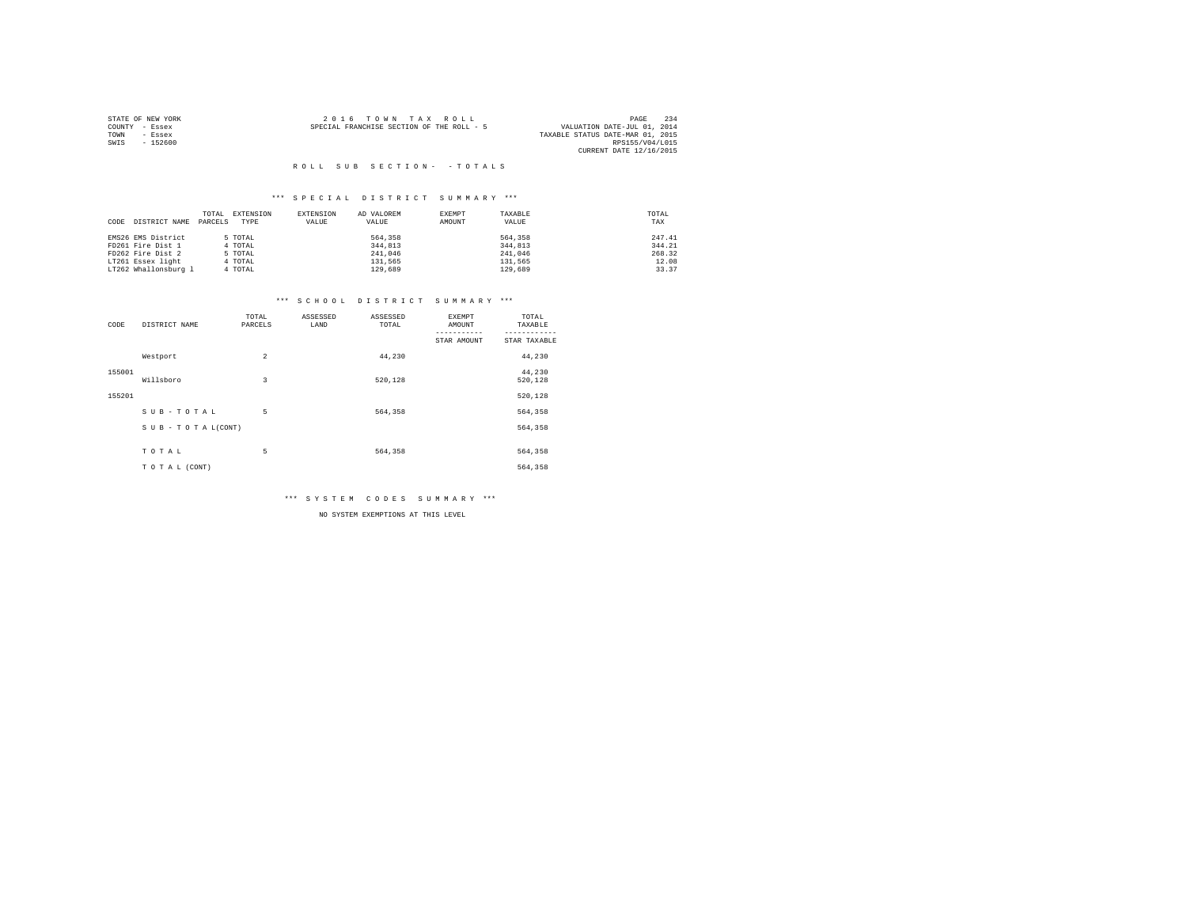|                | STATE OF NEW YORK | $2.0.16$ TOWN TAX ROLL                                                   | PAGE                    | 234 |
|----------------|-------------------|--------------------------------------------------------------------------|-------------------------|-----|
| COUNTY - Essex |                   | VALUATION DATE-JUL 01, 2014<br>SPECIAL FRANCHISE SECTION OF THE ROLL - 5 |                         |     |
| TOWN           | - Essex           | TAXABLE STATUS DATE-MAR 01, 2015                                         |                         |     |
| SWIS           | $-152600$         |                                                                          | RPS155/V04/L015         |     |
|                |                   |                                                                          | CURRENT DATE 12/16/2015 |     |

## \*\*\* S P E C I A L D I S T R I C T S U M M A R Y \*\*\*

|                       | TOTAL   | EXTENSION | <b>EXTENSION</b> | AD VALOREM | EXEMPT | TAXABLE | TOTAL  |
|-----------------------|---------|-----------|------------------|------------|--------|---------|--------|
| DISTRICT NAME<br>CODE | PARCELS | TYPE      | VALUE            | VALUE      | AMOUNT | VALUE   | TAX    |
|                       |         |           |                  |            |        |         |        |
| EMS26 EMS District    |         | 5 TOTAL   |                  | 564,358    |        | 564,358 | 247.41 |
| FD261 Fire Dist 1     |         | 4 TOTAL   |                  | 344.813    |        | 344,813 | 344.21 |
| FD262 Fire Dist 2     |         | 5 TOTAL   |                  | 241,046    |        | 241,046 | 268.32 |
| LT261 Essex light     |         | 4 TOTAL   |                  | 131,565    |        | 131.565 | 12.08  |
| LT262 Whallonsburg 1  |         | 4 TOTAL   |                  | 129,689    |        | 129,689 | 33.37  |

## \*\*\* S C H O O L D I S T R I C T S U M M A R Y \*\*\*

| CODE   | DISTRICT NAME   | TOTAL<br>PARCELS | ASSESSED<br>LAND | ASSESSED<br>TOTAL | <b>EXEMPT</b><br>AMOUNT | TOTAL<br>TAXABLE  |
|--------|-----------------|------------------|------------------|-------------------|-------------------------|-------------------|
|        |                 |                  |                  |                   | STAR AMOUNT             | STAR TAXABLE      |
|        | Westport        | $\overline{2}$   |                  | 44.230            |                         | 44,230            |
| 155001 | Willsboro       | 3                |                  | 520,128           |                         | 44,230<br>520,128 |
| 155201 |                 |                  |                  |                   |                         | 520,128           |
|        | SUB-TOTAL       | 5                |                  | 564,358           |                         | 564,358           |
|        | SUB-TOTAL(CONT) |                  |                  |                   |                         | 564,358           |
|        |                 |                  |                  |                   |                         |                   |
|        | TOTAL           | 5                |                  | 564,358           |                         | 564,358           |
|        | TO TAL (CONT)   |                  |                  |                   |                         | 564,358           |

\*\*\* S Y S T E M C O D E S S U M M A R Y \*\*\*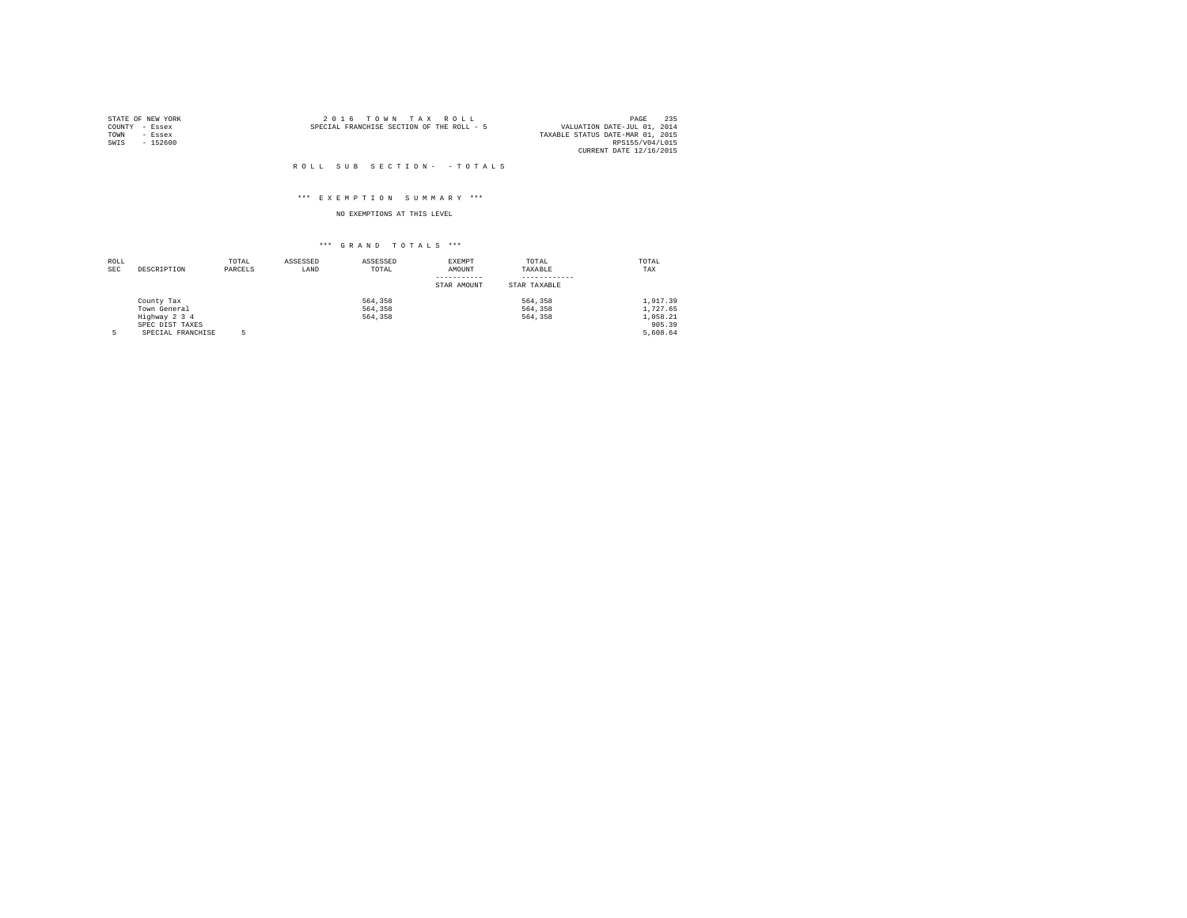| STATE OF NEW YORK |          |                                           | 2016 TOWN TAX ROLL |  |  | 235<br>PAGE                      |
|-------------------|----------|-------------------------------------------|--------------------|--|--|----------------------------------|
| COUNTY - Essex    |          | SPECIAL FRANCHISE SECTION OF THE ROLL - 5 |                    |  |  | VALUATION DATE-JUL 01, 2014      |
| TOWN              | - Essex  |                                           |                    |  |  | TAXABLE STATUS DATE-MAR 01, 2015 |
| SWIS              | - 152600 |                                           |                    |  |  | RPS155/V04/L015                  |
|                   |          |                                           |                    |  |  | CURRENT DATE 12/16/2015          |

## \*\*\* E X E M P T I O N S U M M A R Y \*\*\*

## NO EXEMPTIONS AT THIS LEVEL

| ROLL       |                   | TOTAL   | ASSESSED | ASSESSED | EXEMPT      | TOTAL        | TOTAL    |
|------------|-------------------|---------|----------|----------|-------------|--------------|----------|
| <b>SEC</b> | DESCRIPTION       | PARCELS | LAND     | TOTAL    | AMOUNT      | TAXABLE      | TAX      |
|            |                   |         |          |          |             |              |          |
|            |                   |         |          |          | STAR AMOUNT | STAR TAXABLE |          |
|            | County Tax        |         |          | 564,358  |             | 564,358      | 1,917.39 |
|            | Town General      |         |          | 564,358  |             | 564,358      | 1.727.65 |
|            | Highway 2 3 4     |         |          | 564,358  |             | 564,358      | 1,058.21 |
|            | SPEC DIST TAXES   |         |          |          |             |              | 905.39   |
| 5          | SPECIAL FRANCHISE |         |          |          |             |              | 5,608.64 |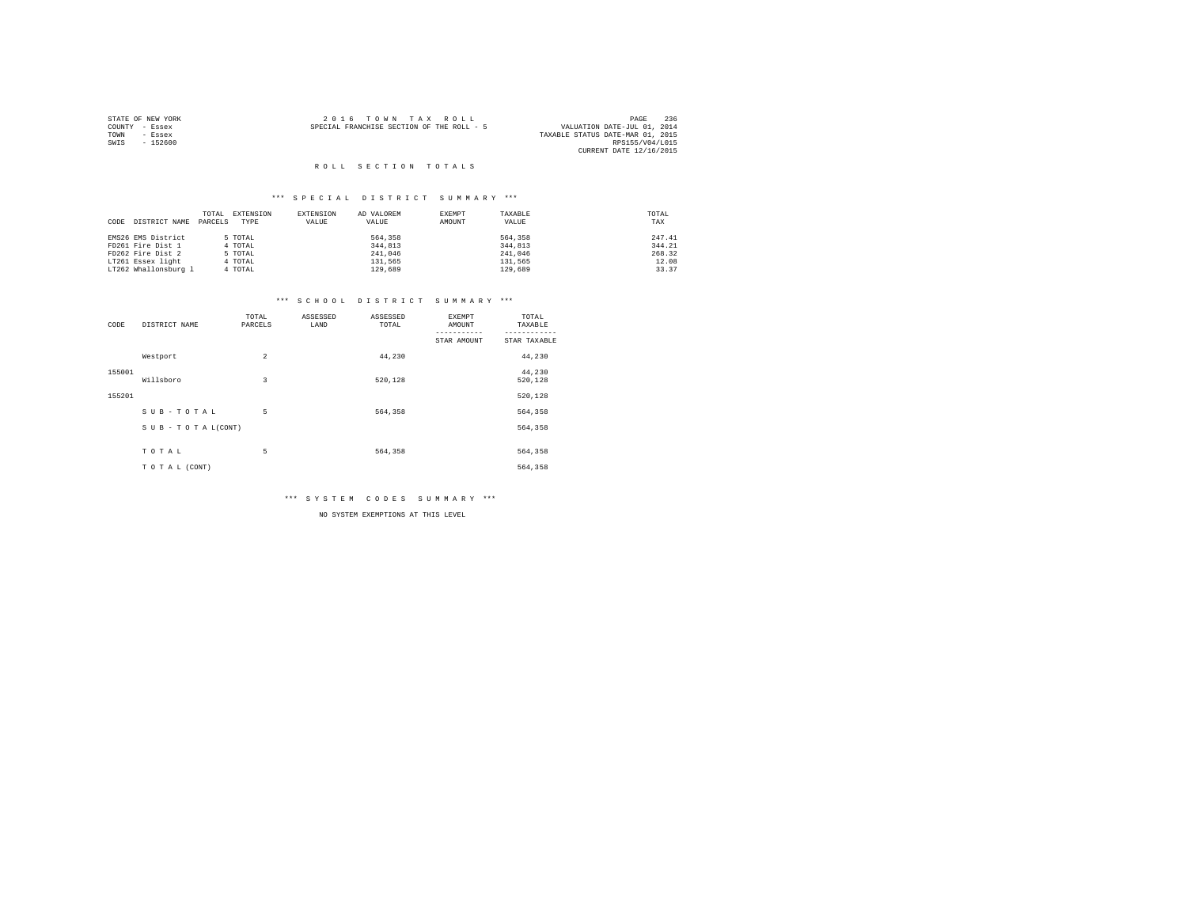| STATE OF NEW YORK |           | 2016 TOWN TAX ROLL                        |  | PAGE                             | 236 |
|-------------------|-----------|-------------------------------------------|--|----------------------------------|-----|
| COUNTY - Essex    |           | SPECIAL FRANCHISE SECTION OF THE ROLL - 5 |  | VALUATION DATE-JUL 01, 2014      |     |
| TOWN              | - Essex   |                                           |  | TAXABLE STATUS DATE-MAR 01, 2015 |     |
| SWIS              | $-152600$ |                                           |  | RPS155/V04/L015                  |     |
|                   |           |                                           |  | CURRENT DATE 12/16/2015          |     |

## \*\*\* S P E C I A L D I S T R I C T S U M M A R Y \*\*\*

|                       | TOTAL   | EXTENSION<br>EXTENSION | AD VALOREM | EXEMPT | TAXABLE | TOTAL  |
|-----------------------|---------|------------------------|------------|--------|---------|--------|
| DISTRICT NAME<br>CODE | PARCELS | TYPE<br>VALUE          | VALUE      | AMOUNT | VALUE   | TAX    |
|                       |         |                        |            |        |         |        |
| EMS26 EMS District    | 5 TOTAL |                        | 564,358    |        | 564,358 | 247.41 |
| FD261 Fire Dist 1     | 4 TOTAL |                        | 344,813    |        | 344,813 | 344.21 |
| FD262 Fire Dist 2     | 5 TOTAL |                        | 241,046    |        | 241,046 | 268.32 |
| LT261 Essex light     | 4 TOTAL |                        | 131,565    |        | 131,565 | 12.08  |
| LT262 Whallonsburg 1  | 4 TOTAL |                        | 129,689    |        | 129,689 | 33.37  |

## \*\*\* S C H O O L D I S T R I C T S U M M A R Y \*\*\*

| CODE   | DISTRICT NAME   | TOTAL<br>PARCELS | ASSESSED<br>LAND | ASSESSED<br>TOTAL | <b>EXEMPT</b><br>AMOUNT | TOTAL<br>TAXABLE  |
|--------|-----------------|------------------|------------------|-------------------|-------------------------|-------------------|
|        |                 |                  |                  |                   | STAR AMOUNT             | STAR TAXABLE      |
|        | Westport        | $\overline{a}$   |                  | 44,230            |                         | 44,230            |
| 155001 | Willsboro       | 3                |                  | 520,128           |                         | 44,230<br>520,128 |
| 155201 |                 |                  |                  |                   |                         | 520,128           |
|        | SUB-TOTAL       | 5                |                  | 564,358           |                         | 564,358           |
|        | SUB-TOTAL(CONT) |                  |                  |                   |                         | 564,358           |
|        |                 |                  |                  |                   |                         |                   |
|        | TOTAL           | 5                |                  | 564,358           |                         | 564,358           |
|        | TOTAL (CONT)    |                  |                  |                   |                         | 564,358           |

\*\*\* S Y S T E M C O D E S S U M M A R Y \*\*\*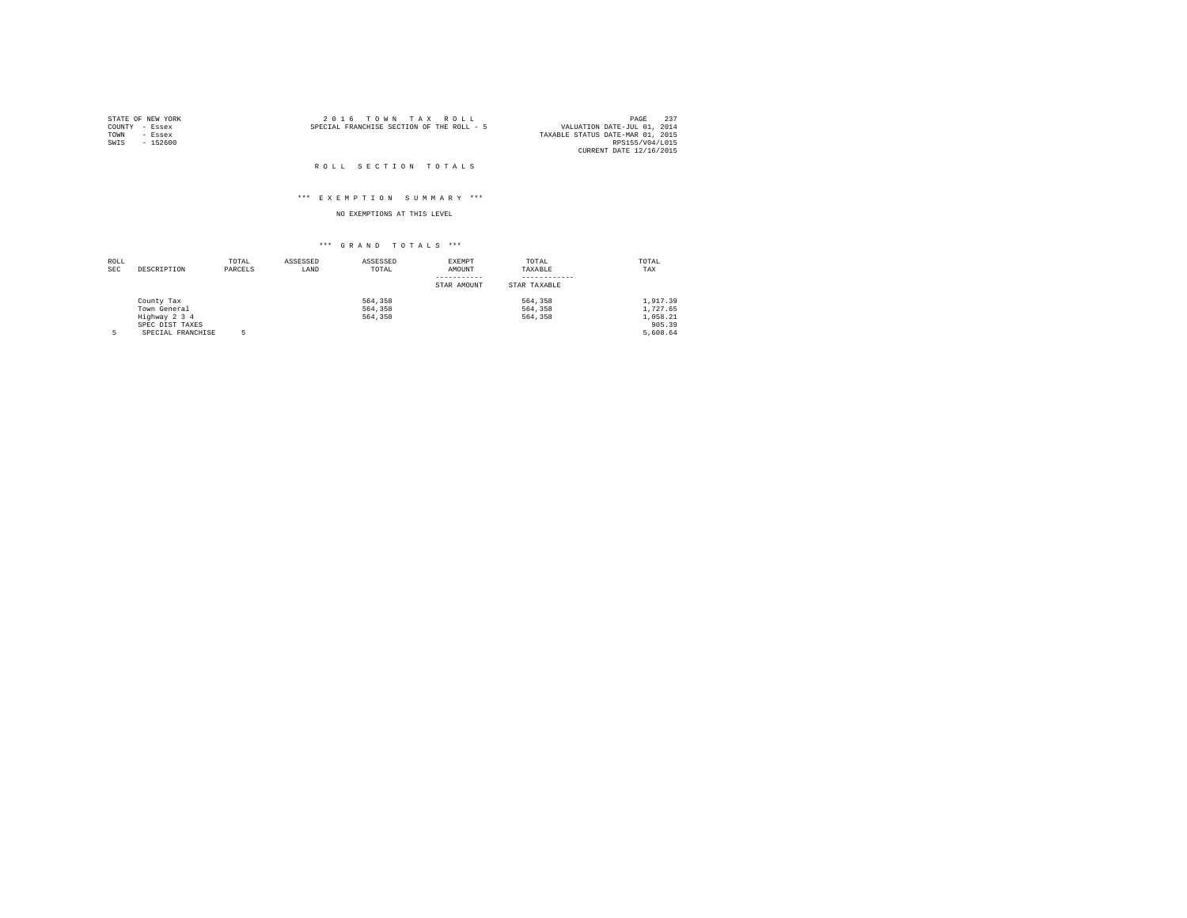|                | STATE OF NEW YORK | $2.0.16$ TOWN TAX ROLL                                                   | PAGE            | 237 |
|----------------|-------------------|--------------------------------------------------------------------------|-----------------|-----|
| COUNTY - Essex |                   | VALUATION DATE-JUL 01, 2014<br>SPECIAL FRANCHISE SECTION OF THE ROLL - 5 |                 |     |
| TOWN           | - Essex           | TAXABLE STATUS DATE-MAR 01, 2015                                         |                 |     |
| SWIS           | $-152600$         |                                                                          | RPS155/V04/L015 |     |
|                |                   | CURRENT DATE 12/16/2015                                                  |                 |     |

### ROLL SECTION TOTALS

## \*\*\* E X E M P T I O N S U M M A R Y \*\*\*

## NO EXEMPTIONS AT THIS LEVEL

| ROLL       |                   | TOTAL   | ASSESSED | ASSESSED | EXEMPT      | TOTAL        | TOTAL    |
|------------|-------------------|---------|----------|----------|-------------|--------------|----------|
| <b>SEC</b> | DESCRIPTION       | PARCELS | LAND     | TOTAL    | AMOUNT      | TAXABLE      | TAX      |
|            |                   |         |          |          |             |              |          |
|            |                   |         |          |          | STAR AMOUNT | STAR TAXABLE |          |
|            | County Tax        |         |          | 564,358  |             | 564,358      | 1,917.39 |
|            | Town General      |         |          | 564,358  |             | 564,358      | 1,727.65 |
|            | Highway 2 3 4     |         |          | 564,358  |             | 564,358      | 1,058.21 |
|            | SPEC DIST TAXES   |         |          |          |             |              | 905.39   |
| 5          | SPECIAL FRANCHISE |         |          |          |             |              | 5,608.64 |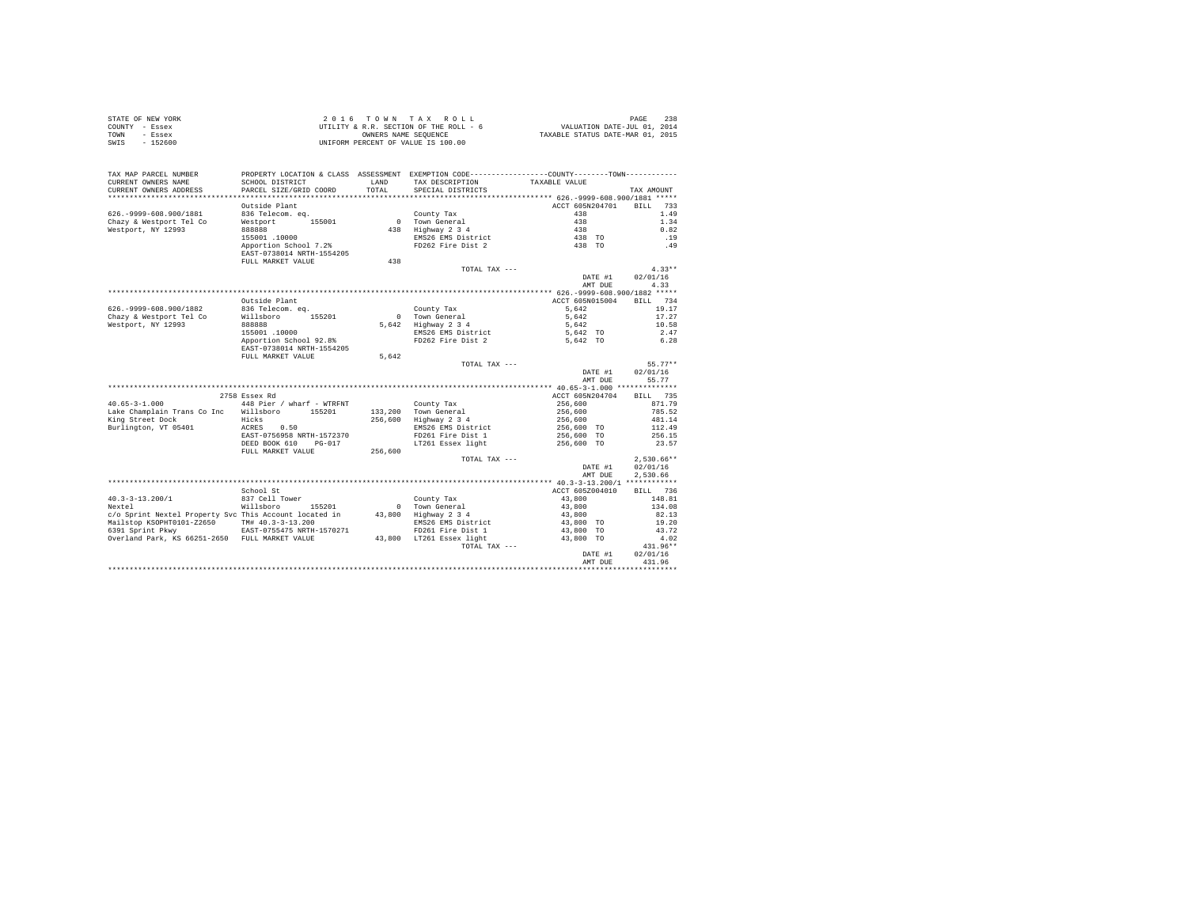| STATE OF NEW YORK | 2016 TOWN TAX ROLL                     | 238<br>PAGE                      |
|-------------------|----------------------------------------|----------------------------------|
| COUNTY - Essex    | UTILITY & R.R. SECTION OF THE ROLL - 6 | VALUATION DATE-JUL 01, 2014      |
| TOWN<br>- Essex   | OWNERS NAME SEOUENCE                   | TAXABLE STATUS DATE-MAR 01, 2015 |
| $-152600$<br>SWIS | UNIFORM PERCENT OF VALUE IS 100.00     |                                  |

| TAX MAP PARCEL NUMBER<br>CURRENT OWNERS NAME<br>CURRENT OWNERS ADDRESS | SCHOOL DISTRICT<br>PARCEL SIZE/GRID COORD           | LAND<br>TOTAL | PROPERTY LOCATION & CLASS ASSESSMENT EXEMPTION CODE----------------COUNTY-------TOWN----------<br>TAX DESCRIPTION<br>SPECIAL DISTRICTS | TAXABLE VALUE                              |                    | TAX AMOUNT         |
|------------------------------------------------------------------------|-----------------------------------------------------|---------------|----------------------------------------------------------------------------------------------------------------------------------------|--------------------------------------------|--------------------|--------------------|
|                                                                        | **********************                              |               |                                                                                                                                        |                                            |                    |                    |
|                                                                        | Outside Plant                                       |               |                                                                                                                                        | ACCT 605N204701                            |                    | <b>BILL</b><br>733 |
| 626. - 9999 - 608. 900/1881                                            | 836 Telecom. eq.                                    |               | County Tax                                                                                                                             | 438                                        |                    | 1.49               |
| Chazy & Westport Tel Co                                                | 155001<br>Westport                                  | $\Omega$      | Town General                                                                                                                           | 438                                        |                    | 1.34               |
| Westport, NY 12993                                                     | 888888                                              | 438           | Highway 2 3 4                                                                                                                          | 438                                        |                    | 0.82               |
|                                                                        | 155001.10000                                        |               | EMS26 EMS District                                                                                                                     | 438 TO                                     |                    | .19                |
|                                                                        | Apportion School 7.2%<br>EAST-0738014 NRTH-1554205  |               | FD262 Fire Dist 2                                                                                                                      | 438 TO                                     |                    | .49                |
|                                                                        | FULL MARKET VALUE                                   | 438           |                                                                                                                                        |                                            |                    |                    |
|                                                                        |                                                     |               | TOTAL TAX ---                                                                                                                          |                                            |                    | $4.33**$           |
|                                                                        |                                                     |               |                                                                                                                                        |                                            | DATE #1<br>AMT DUE | 02/01/16<br>4.33   |
|                                                                        |                                                     |               |                                                                                                                                        | ************* 626.-9999-608.900/1882 ***** |                    |                    |
|                                                                        | Outside Plant                                       |               |                                                                                                                                        | ACCT 605N015004                            |                    | 734<br><b>BILL</b> |
| 626. - 9999 - 608. 900/1882                                            | 836 Telecom. eq.                                    |               | County Tax                                                                                                                             | 5.642                                      |                    | 19.17              |
| Chazy & Westport Tel Co                                                | Willsboro<br>155201                                 | $\mathbf{r}$  | Town General                                                                                                                           | 5,642                                      |                    | 17.27              |
| Westport, NY 12993                                                     | 888888                                              |               | 5.642 Highway 2 3 4                                                                                                                    | 5.642                                      |                    | 10.58              |
|                                                                        | 155001.10000                                        |               | EMS26 EMS District                                                                                                                     | 5,642 TO                                   |                    | 2.47               |
|                                                                        | Apportion School 92.8%<br>EAST-0738014 NRTH-1554205 |               | FD262 Fire Dist 2                                                                                                                      | 5,642 TO                                   |                    | 6.28               |
|                                                                        | FULL MARKET VALUE                                   | 5,642         |                                                                                                                                        |                                            |                    |                    |
|                                                                        |                                                     |               | TOTAL TAX ---                                                                                                                          |                                            |                    | $55.77**$          |
|                                                                        |                                                     |               |                                                                                                                                        |                                            | DATE #1            | 02/01/16           |
|                                                                        |                                                     |               |                                                                                                                                        |                                            | AMT DUE            | 55.77              |
|                                                                        | 2758 Essex Rd                                       |               |                                                                                                                                        | ACCT 605N204704                            |                    | <b>BILL</b><br>735 |
| $40.65 - 3 - 1.000$                                                    | 448 Pier / wharf - WTRFNT                           |               | County Tax                                                                                                                             | 256,600                                    |                    | 871.79             |
| Lake Champlain Trans Co Inc                                            | Willsboro<br>155201                                 | 133,200       | Town General                                                                                                                           | 256,600                                    |                    | 785.52             |
| King Street Dock                                                       | Hicks                                               | 256,600       | Highway 2 3 4                                                                                                                          | 256,600                                    |                    | 481.14             |
| Burlington, VT 05401                                                   | ACRES<br>0.50                                       |               | EMS26 EMS District                                                                                                                     | 256,600 TO                                 |                    | 112.49             |
|                                                                        | EAST-0756958 NRTH-1572370                           |               | FD261 Fire Dist 1                                                                                                                      | 256,600 TO                                 |                    | 256.15             |
|                                                                        | DEED BOOK 610<br>$PG-017$                           |               | LT261 Essex light                                                                                                                      | 256,600 TO                                 |                    | 23.57              |
|                                                                        | FULL MARKET VALUE                                   | 256,600       |                                                                                                                                        |                                            |                    |                    |
|                                                                        |                                                     |               | TOTAL TAX ---                                                                                                                          |                                            |                    | $2,530.66**$       |
|                                                                        |                                                     |               |                                                                                                                                        |                                            | DATE #1            | 02/01/16           |
|                                                                        |                                                     |               |                                                                                                                                        |                                            | AMT DUE            | 2.530.66           |
|                                                                        |                                                     |               |                                                                                                                                        |                                            |                    |                    |
|                                                                        | School St                                           |               |                                                                                                                                        | ACCT 605Z004010                            |                    | 736<br>BILL        |
| $40.3 - 3 - 13.200/1$                                                  | 837 Cell Tower                                      |               | County Tax                                                                                                                             | 43,800                                     |                    | 148.81             |
| Nextel                                                                 | Willsboro<br>155201                                 | $\Omega$      | Town General                                                                                                                           | 43,800                                     |                    | 134.08             |
| c/o Sprint Nextel Property Svc This Account located in                 |                                                     | 43,800        | Highway 2 3 4                                                                                                                          | 43,800                                     |                    | 82.13              |
| Mailstop KSOPHT0101-Z2650                                              | TM# 40.3-3-13.200                                   |               | EMS26 EMS District                                                                                                                     | 43,800 TO                                  |                    | 19.20              |
| 6391 Sprint Pkwy                                                       | EAST-0755475 NRTH-1570271                           |               | FD261 Fire Dist 1                                                                                                                      | 43,800 TO                                  |                    | 43.72              |
| Overland Park, KS 66251-2650 FULL MARKET VALUE                         |                                                     | 43,800        | LT261 Essex light<br>TOTAL TAX ---                                                                                                     | 43,800 TO                                  |                    | 4.02<br>431.96**   |
|                                                                        |                                                     |               |                                                                                                                                        |                                            | DATE #1            | 02/01/16           |
|                                                                        |                                                     |               |                                                                                                                                        |                                            | AMT DUE            | 431.96             |
|                                                                        |                                                     |               |                                                                                                                                        |                                            |                    |                    |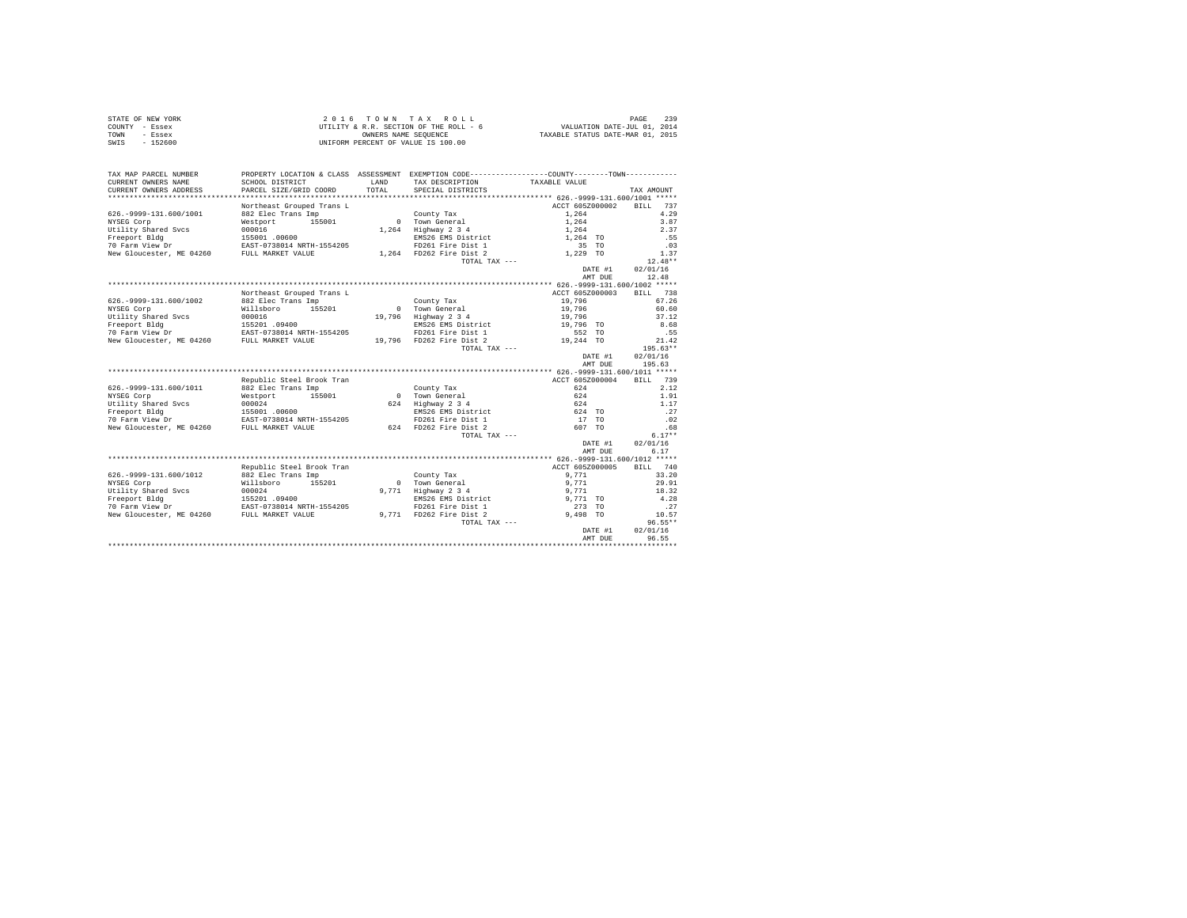|                | STATE OF NEW YORK | $2.0.16$ TOWN TAX ROLL                 |                                  | PAGE | 239 |
|----------------|-------------------|----------------------------------------|----------------------------------|------|-----|
| COUNTY - Essex |                   | UTILITY & R.R. SECTION OF THE ROLL - 6 | VALUATION DATE-JUL 01, 2014      |      |     |
| TOWN           | - Essex           | OWNERS NAME SEOUENCE                   | TAXABLE STATUS DATE-MAR 01, 2015 |      |     |
| SWIS           | $-152600$         | UNIFORM PERCENT OF VALUE IS 100.00     |                                  |      |     |

| TAX MAP PARCEL NUMBER<br>CURRENT OWNERS NAME | SCHOOL DISTRICT           | <b>T.AND</b> | PROPERTY LOCATION & CLASS ASSESSMENT EXEMPTION CODE---------------COUNTY-------TOWN---------<br>TAX DESCRIPTION | TAXABLE VALUE                                |         |                    |
|----------------------------------------------|---------------------------|--------------|-----------------------------------------------------------------------------------------------------------------|----------------------------------------------|---------|--------------------|
| CURRENT OWNERS ADDRESS                       | PARCEL SIZE/GRID COORD    | TOTAL.       | SPECIAL DISTRICTS                                                                                               |                                              |         | TAX AMOUNT         |
|                                              |                           |              |                                                                                                                 |                                              |         |                    |
|                                              | Northeast Grouped Trans L |              |                                                                                                                 | ACCT 605Z000002                              |         | 737<br>RTT.T.      |
| 626. - 9999-131.600/1001                     | 882 Elec Trans Imp        |              | County Tax                                                                                                      | 1.264                                        |         | 4.29               |
| NYSEG Corp                                   | 155001<br>Westport        | $\Omega$     | Town General                                                                                                    | 1.264                                        |         | 3.87               |
| Utility Shared Svcs                          | 000016                    | 1,264        | Highway 2 3 4                                                                                                   | 1,264                                        |         | 2.37               |
| Freeport Bldg                                | 155001.00600              |              | EMS26 EMS District                                                                                              | 1,264 TO                                     |         | .55                |
| 70 Farm View Dr                              | EAST-0738014 NRTH-1554205 |              | FD261 Fire Dist 1                                                                                               | 35 TO                                        |         | .03                |
| New Gloucester, ME 04260                     | FULL MARKET VALUE         |              | 1,264 FD262 Fire Dist 2                                                                                         | 1,229 TO                                     |         | 1.37               |
|                                              |                           |              | TOTAL TAX ---                                                                                                   |                                              |         | $12.48**$          |
|                                              |                           |              |                                                                                                                 |                                              | DATE #1 | 02/01/16           |
|                                              |                           |              |                                                                                                                 |                                              | AMT DUE | 12.48              |
|                                              |                           |              |                                                                                                                 | *************** 626.-9999-131.600/1002 ***** |         |                    |
|                                              | Northeast Grouped Trans L |              |                                                                                                                 | ACCT 605Z000003                              |         | BTLL.<br>738       |
| 626. - 9999-131.600/1002                     | 882 Elec Trans Imp        |              | County Tax                                                                                                      | 19,796                                       |         | 67.26              |
| NYSEG Corp                                   | Willsboro<br>155201       |              | 0 Town General                                                                                                  | 19,796                                       |         | 60.60              |
| Utility Shared Svcs                          | 000016                    | 19,796       | Highway 2 3 4                                                                                                   | 19,796                                       |         | 37.12              |
| Freeport Bldg                                | 155201 .09400             |              | EMS26 EMS District                                                                                              | 19,796 TO                                    |         | 8.68               |
| 70 Farm View Dr                              | EAST-0738014 NRTH-1554205 |              | FD261 Fire Dist 1                                                                                               | 552 TO                                       |         | .55                |
| New Gloucester, ME 04260                     | FULL MARKET VALUE         |              | 19,796 FD262 Fire Dist 2                                                                                        | 19,244 TO                                    |         | 21.42              |
|                                              |                           |              | TOTAL TAX ---                                                                                                   |                                              |         | $195.63**$         |
|                                              |                           |              |                                                                                                                 |                                              | DATE #1 | 02/01/16           |
|                                              |                           |              |                                                                                                                 |                                              | AMT DUE | 195.63             |
|                                              |                           |              |                                                                                                                 |                                              |         |                    |
|                                              | Republic Steel Brook Tran |              |                                                                                                                 | ACCT 605Z000004                              |         | 739<br><b>BILL</b> |
| 626. - 9999-131.600/1011                     | 882 Elec Trans Imp        |              | County Tax                                                                                                      | 624                                          |         | 2.12               |
| NYSEG Corp                                   | 155001<br>Westport        | $\Omega$     | Town General                                                                                                    | 624                                          |         | 1.91               |
| Utility Shared Sycs                          | 000024                    | 624          | Highway 2 3 4                                                                                                   | 624                                          |         | 1.17               |
| Freeport Bldg                                | 155001 .00600             |              | EMS26 EMS District                                                                                              | 624 TO                                       |         | .27                |
| 70 Farm View Dr                              | EAST-0738014 NRTH-1554205 |              | FD261 Fire Dist 1                                                                                               | 17 TO                                        |         | .02                |
| New Gloucester, ME 04260                     | FULL MARKET VALUE         |              | 624 FD262 Fire Dist 2                                                                                           | 607 TO                                       |         | .68                |
|                                              |                           |              | TOTAL TAX ---                                                                                                   |                                              |         | $6.17**$           |
|                                              |                           |              |                                                                                                                 |                                              | DATE #1 | 02/01/16           |
|                                              |                           |              |                                                                                                                 |                                              | AMT DUE | 6.17               |
|                                              |                           |              |                                                                                                                 |                                              |         |                    |
|                                              | Republic Steel Brook Tran |              |                                                                                                                 | ACCT 605Z000005                              |         | 740<br>RTLL.       |
| 626. - 9999-131.600/1012                     | 882 Elec Trans Imp        |              | County Tax                                                                                                      | 9.771                                        |         | 33.20              |
| NYSEG Corp                                   | 155201<br>Willsboro       |              | 0 Town General                                                                                                  | 9,771                                        |         | 29.91              |
| Utility Shared Svcs                          | 000024                    | 9,771        | Highway 2 3 4                                                                                                   | 9,771                                        |         | 18.32              |
| Freeport Bldg                                | 155201.09400              |              | EMS26 EMS District                                                                                              | 9,771 TO                                     |         | 4.28               |
| 70 Farm View Dr                              | EAST-0738014 NRTH-1554205 |              | FD261 Fire Dist 1                                                                                               | 273 TO                                       |         | .27                |
| New Gloucester, ME 04260                     | FULL MARKET VALUE         |              | 9,771 FD262 Fire Dist 2                                                                                         | 9.498 TO                                     |         | 10.57              |
|                                              |                           |              | TOTAL TAX ---                                                                                                   |                                              |         | $96.55**$          |
|                                              |                           |              |                                                                                                                 |                                              | DATE #1 | 02/01/16           |
|                                              |                           |              |                                                                                                                 |                                              | AMT DUE | 96.55              |
|                                              |                           |              |                                                                                                                 |                                              |         |                    |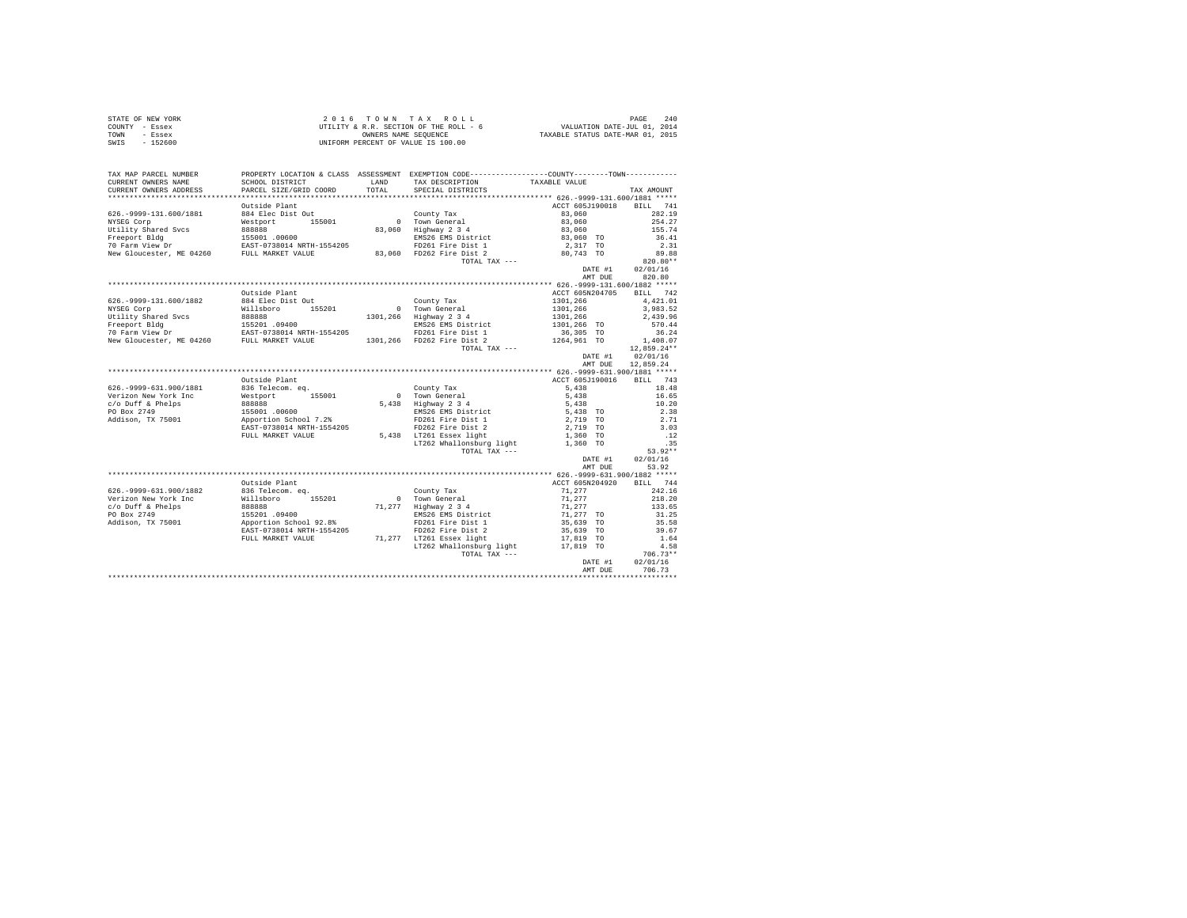|      | STATE OF NEW YORK | 2016 TOWN TAX ROLL                     | PAGE                             | 2.40 |
|------|-------------------|----------------------------------------|----------------------------------|------|
|      | COUNTY - Essex    | UTILITY & R.R. SECTION OF THE ROLL - 6 | VALUATION DATE-JUL 01, 2014      |      |
| TOWN | - Essex           | OWNERS NAME SEOUENCE                   | TAXABLE STATUS DATE-MAR 01, 2015 |      |
| SWIS | - 152600          | UNIFORM PERCENT OF VALUE IS 100.00     |                                  |      |

| TAX MAP PARCEL NUMBER<br>CURRENT OWNERS NAME<br>CURRENT OWNERS ADDRESS                                                                                                                                                                 | SCHOOL DISTRICT<br>PARCEL SIZE/GRID COORD         | LAND<br>TOTAL | PROPERTY LOCATION & CLASS ASSESSMENT EXEMPTION CODE----------------COUNTY-------TOWN----------<br>TAX DESCRIPTION<br>SPECIAL DISTRICTS | TAXABLE VALUE                                         | TAX AMOUNT       |
|----------------------------------------------------------------------------------------------------------------------------------------------------------------------------------------------------------------------------------------|---------------------------------------------------|---------------|----------------------------------------------------------------------------------------------------------------------------------------|-------------------------------------------------------|------------------|
|                                                                                                                                                                                                                                        |                                                   |               |                                                                                                                                        |                                                       |                  |
|                                                                                                                                                                                                                                        | Outside Plant                                     |               |                                                                                                                                        | ACCT 605J190018                                       | BILL 741         |
| 626. - 9999-131. 600/1881                                                                                                                                                                                                              | 884 Elec Dist Out                                 |               | County Tax                                                                                                                             | 83,060                                                | 282.19           |
| NYSEG Corp                                                                                                                                                                                                                             | Westport 155001                                   |               | County Tax<br>0 Town General                                                                                                           | 83,060                                                | 254.27           |
|                                                                                                                                                                                                                                        |                                                   |               | 83,060 Highway 2 3 4                                                                                                                   |                                                       | 155.74           |
|                                                                                                                                                                                                                                        |                                                   |               |                                                                                                                                        | 83,060<br>83,060 TO                                   | 36.41            |
|                                                                                                                                                                                                                                        |                                                   |               |                                                                                                                                        | 2,317 TO                                              | 2.31             |
|                                                                                                                                                                                                                                        |                                                   |               |                                                                                                                                        | $80,743$ TO                                           | 89.88            |
|                                                                                                                                                                                                                                        |                                                   |               | TOTAL TAX ---                                                                                                                          |                                                       | 820.80**         |
|                                                                                                                                                                                                                                        |                                                   |               |                                                                                                                                        | DATE #1                                               | 02/01/16         |
|                                                                                                                                                                                                                                        |                                                   |               |                                                                                                                                        | AMT DUE                                               | 820.80           |
|                                                                                                                                                                                                                                        |                                                   |               |                                                                                                                                        |                                                       |                  |
|                                                                                                                                                                                                                                        | Outside Plant                                     |               |                                                                                                                                        | ACCT 605N204705                                       | BILL 742         |
| 626. - 9999-131.600/1882                                                                                                                                                                                                               | 884 Elec Dist Out                                 |               | County Tax                                                                                                                             | 1301,266                                              | 4.421.01         |
| NYSEG Corp                                                                                                                                                                                                                             | Willsboro 155201                                  |               | 0 Town General                                                                                                                         | 1301,266                                              | 3,983.52         |
|                                                                                                                                                                                                                                        |                                                   |               |                                                                                                                                        |                                                       | 2.439.96         |
|                                                                                                                                                                                                                                        |                                                   |               |                                                                                                                                        |                                                       | 570.44           |
|                                                                                                                                                                                                                                        |                                                   |               |                                                                                                                                        |                                                       | 36.24            |
| 01111ty Shared Svcs (1998)<br>1301,266 Highway 2 3 4 1301,266<br>Freeport Bidg 155201 1554205 180226 EMS26 EMS 1101,266 TO<br>26 Farm View Dr EAST-0738014 NRTH-1554205 1301,266 FD261 Fire Dist 1 136,305 TO<br>1264,961 TO FULL MARK |                                                   |               |                                                                                                                                        |                                                       | 1,408.07         |
|                                                                                                                                                                                                                                        |                                                   |               | TOTAL TAX ---                                                                                                                          |                                                       | 12,859.24**      |
|                                                                                                                                                                                                                                        |                                                   |               |                                                                                                                                        | DATE #1                                               | 02/01/16         |
|                                                                                                                                                                                                                                        |                                                   |               |                                                                                                                                        | AMT DUE                                               | 12,859.24        |
|                                                                                                                                                                                                                                        |                                                   |               |                                                                                                                                        |                                                       |                  |
|                                                                                                                                                                                                                                        | Outside Plant                                     |               |                                                                                                                                        | ACCT 605J190016                                       | BILL 743         |
| 626. - 9999-631. 900/1881                                                                                                                                                                                                              | 836 Telecom, ea.                                  |               | County Tax                                                                                                                             | 5,438                                                 | 18.48            |
| Verizon New York Inc                                                                                                                                                                                                                   | Westport 155001                                   |               | 0 Town General<br>5,438 Highway 2 3 4                                                                                                  | 5,438                                                 | 16.65            |
| c/o Duff & Phelps                                                                                                                                                                                                                      |                                                   |               |                                                                                                                                        | 5,438                                                 | 10.20            |
| PO Box 2749                                                                                                                                                                                                                            | 888888<br>155001 .00600<br>Apportion School 7.2%  |               | EMS26 EMS District                                                                                                                     | 5,438 TO                                              | 2.38             |
| Addison, TX 75001                                                                                                                                                                                                                      |                                                   |               | FD261 Fire Dist 1                                                                                                                      | 2,719 TO                                              | 2.71             |
|                                                                                                                                                                                                                                        | EAST-0738014 NRTH-1554205                         |               | FD262 Fire Dist 2<br>5,438 LT261 Essex light                                                                                           | 2,719 TO                                              | 3.03             |
|                                                                                                                                                                                                                                        | FULL MARKET VALUE                                 |               |                                                                                                                                        | 1,360 TO                                              | .12              |
|                                                                                                                                                                                                                                        |                                                   |               | LT262 Whallonsburg light<br>TOTAL TAX ---                                                                                              | 1,360 TO                                              | .35<br>$53.92**$ |
|                                                                                                                                                                                                                                        |                                                   |               |                                                                                                                                        | DATE #1                                               | 02/01/16         |
|                                                                                                                                                                                                                                        |                                                   |               |                                                                                                                                        | AMT DUE                                               | 53.92            |
|                                                                                                                                                                                                                                        |                                                   |               |                                                                                                                                        |                                                       |                  |
|                                                                                                                                                                                                                                        | Outside Plant                                     |               |                                                                                                                                        | ACCT 605N204920                                       | BILL 744         |
| 626. - 9999-631.900/1882                                                                                                                                                                                                               | 836 Telecom. eq.                                  |               | County Tax                                                                                                                             | 71,277                                                | 242.16           |
| Verizon New York Inc                                                                                                                                                                                                                   | Willsboro 155201                                  |               | 0 Town General                                                                                                                         | 71,277                                                | 218.20           |
| c/o Duff & Phelps                                                                                                                                                                                                                      |                                                   |               | 71,277 Highway 2 3 4                                                                                                                   |                                                       | 133.65           |
| PO Box 2749                                                                                                                                                                                                                            |                                                   |               | EMS26 EMS District                                                                                                                     |                                                       | 31.25            |
| Addison, TX 75001                                                                                                                                                                                                                      | 888888<br>155201 .09400<br>Apportion School 92.8% |               | FD261 Fire Dist 1                                                                                                                      | $71,277$<br>$71,277$ TO<br>$35,639$ TO<br>$35,639$ TO | 35.58            |
|                                                                                                                                                                                                                                        | EAST-0738014 NRTH-1554205                         |               | FD262 Fire Dist 2                                                                                                                      |                                                       | 39.67            |
|                                                                                                                                                                                                                                        | FULL MARKET VALUE                                 |               | 71,277 LT261 Essex light                                                                                                               | 17,819 TO                                             | 1.64             |
|                                                                                                                                                                                                                                        |                                                   |               | LT262 Whallonsburg light                                                                                                               | 17.819 TO                                             | 4.58             |
|                                                                                                                                                                                                                                        |                                                   |               | TOTAL TAX ---                                                                                                                          |                                                       | $706.73**$       |
|                                                                                                                                                                                                                                        |                                                   |               |                                                                                                                                        | DATE #1                                               | 02/01/16         |
|                                                                                                                                                                                                                                        |                                                   |               |                                                                                                                                        | AMT DUE                                               | 706.73           |
|                                                                                                                                                                                                                                        |                                                   |               |                                                                                                                                        |                                                       |                  |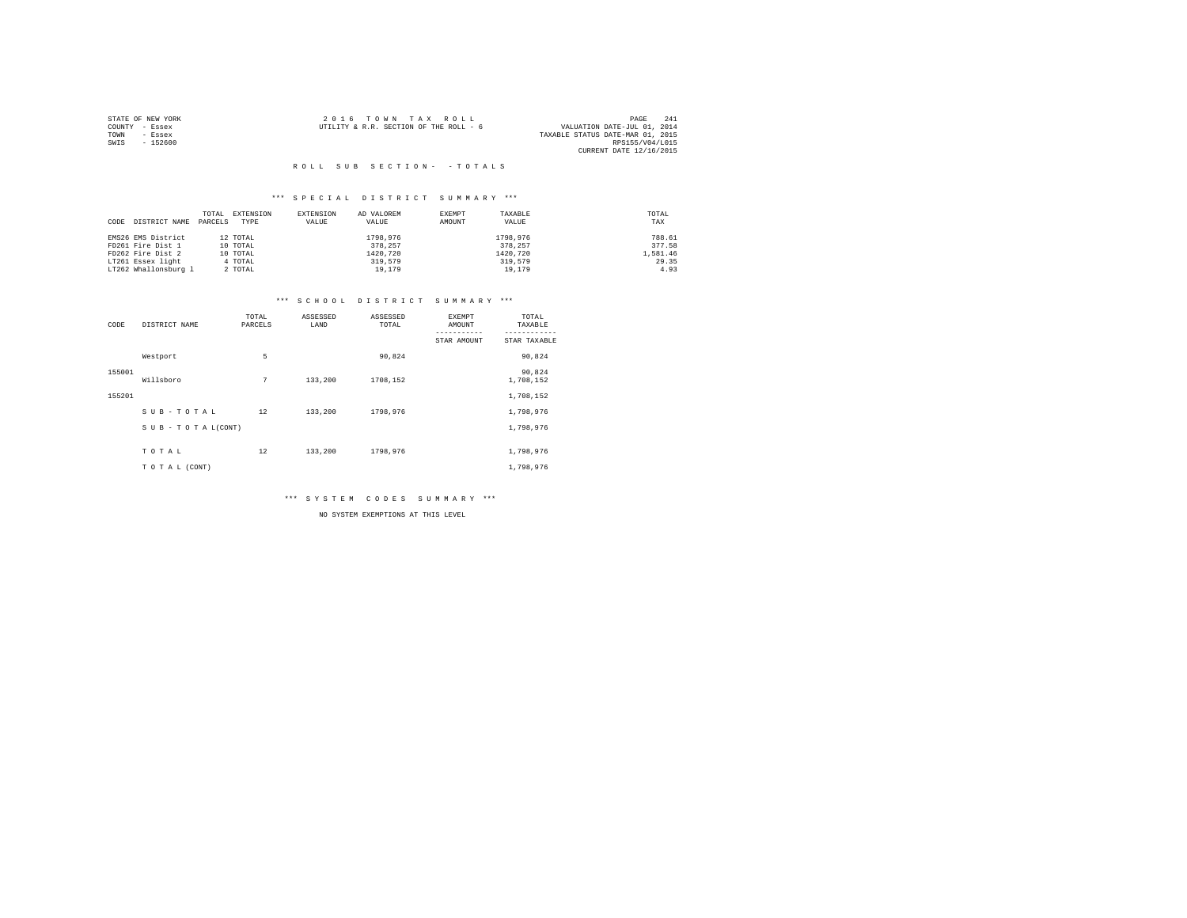|                | STATE OF NEW YORK | 2016 TOWN TAX ROLL                     |  |                                  | PAGE            | 241 |
|----------------|-------------------|----------------------------------------|--|----------------------------------|-----------------|-----|
| COUNTY - Essex |                   | UTILITY & R.R. SECTION OF THE ROLL - 6 |  | VALUATION DATE-JUL 01, 2014      |                 |     |
| TOWN           | - Essex           |                                        |  | TAXABLE STATUS DATE-MAR 01, 2015 |                 |     |
| SWIS           | $-152600$         |                                        |  |                                  | RPS155/V04/L015 |     |
|                |                   |                                        |  | CURRENT DATE 12/16/2015          |                 |     |

## \*\*\* S P E C I A L D I S T R I C T S U M M A R Y \*\*\*

|                       | TOTAL   | EXTENSION | EXTENSION | AD VALOREM | EXEMPT | TAXABLE  | TOTAL    |
|-----------------------|---------|-----------|-----------|------------|--------|----------|----------|
| DISTRICT NAME<br>CODE | PARCELS | TYPE      | VALUE     | VALUE      | AMOUNT | VALUE    | TAX      |
|                       |         |           |           |            |        |          |          |
| EMS26 EMS District    |         | 12 TOTAL  |           | 1798.976   |        | 1798.976 | 788.61   |
| FD261 Fire Dist 1     |         | 10 TOTAL  |           | 378,257    |        | 378.257  | 377.58   |
| FD262 Fire Dist 2     |         | 10 TOTAL  |           | 1420.720   |        | 1420.720 | 1,581.46 |
| LT261 Essex light     |         | 4 TOTAL   |           | 319,579    |        | 319,579  | 29.35    |
| LT262 Whallonsburg 1  |         | 2 TOTAL   |           | 19,179     |        | 19,179   | 4.93     |

## \*\*\* S C H O O L D I S T R I C T S U M M A R Y \*\*\*

| CODE   | DISTRICT NAME      | TOTAL<br>PARCELS | ASSESSED<br>LAND | ASSESSED<br>TOTAL | <b>EXEMPT</b><br>AMOUNT | TOTAL<br>TAXABLE    |
|--------|--------------------|------------------|------------------|-------------------|-------------------------|---------------------|
|        |                    |                  |                  |                   | STAR AMOUNT             | STAR TAXABLE        |
|        | Westport           | 5                |                  | 90,824            |                         | 90,824              |
| 155001 | Willsboro          | 7                | 133,200          | 1708,152          |                         | 90,824<br>1,708,152 |
| 155201 |                    |                  |                  |                   |                         | 1,708,152           |
|        | SUB-TOTAL          | 12               | 133,200          | 1798,976          |                         | 1,798,976           |
|        | SUB - TO TAL(CONT) |                  |                  |                   |                         | 1,798,976           |
|        | TOTAL              | 12               | 133,200          | 1798,976          |                         | 1,798,976           |
|        | TO TAL (CONT)      |                  |                  |                   |                         | 1,798,976           |

\*\*\* S Y S T E M C O D E S S U M M A R Y \*\*\*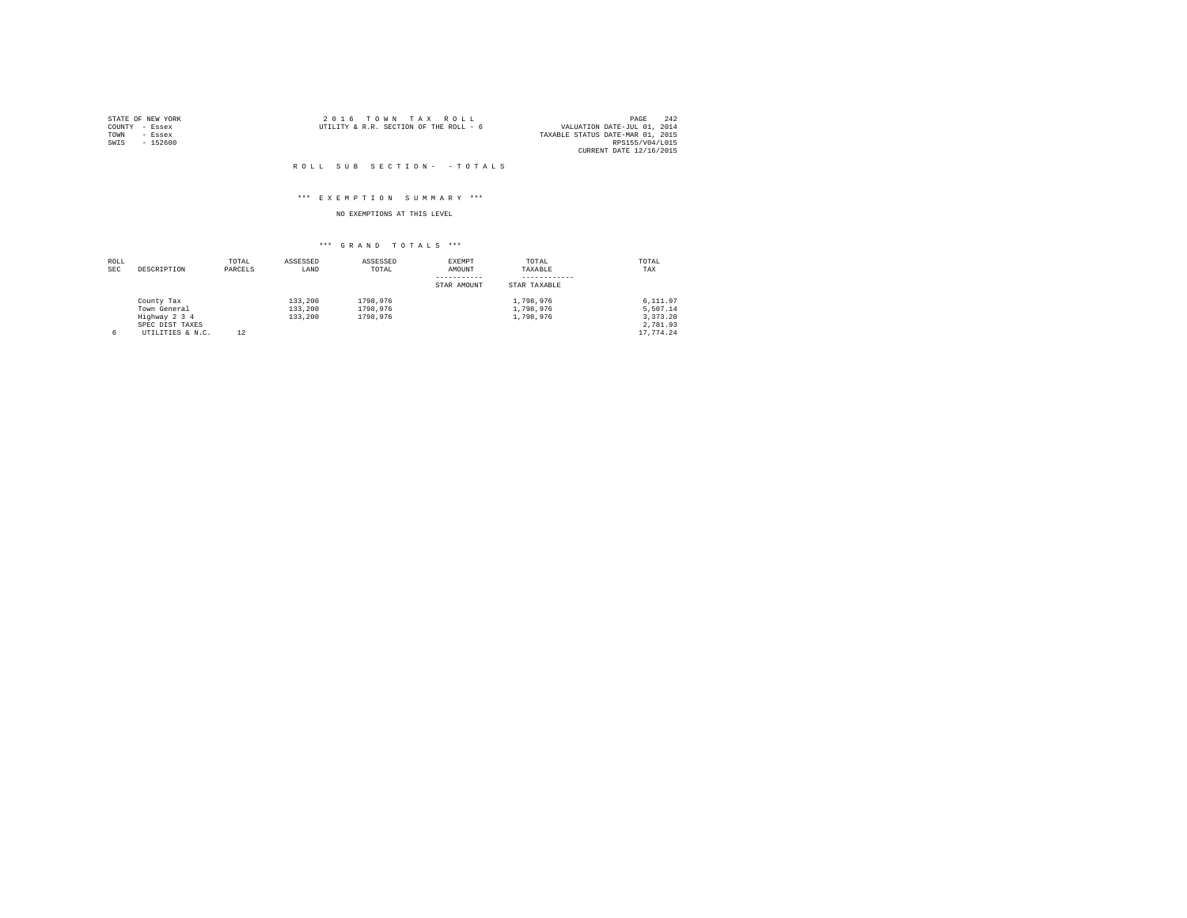|                | STATE OF NEW YORK | 2016 TOWN TAX ROLL                     |  |                                  | PAGE                    | 2.42 |
|----------------|-------------------|----------------------------------------|--|----------------------------------|-------------------------|------|
| COUNTY - Essex |                   | UTILITY & R.R. SECTION OF THE ROLL - 6 |  | VALUATION DATE-JUL 01, 2014      |                         |      |
| TOWN           | - Essex           |                                        |  | TAXABLE STATUS DATE-MAR 01, 2015 |                         |      |
| SWIS           | - 152600          |                                        |  |                                  | RPS155/V04/L015         |      |
|                |                   |                                        |  |                                  | CURRENT DATE 12/16/2015 |      |

## \*\*\* E X E M P T I O N S U M M A R Y \*\*\*

## NO EXEMPTIONS AT THIS LEVEL

| ROLL |                  | TOTAL   | ASSESSED | ASSESSED | EXEMPT      | TOTAL        | TOTAL     |
|------|------------------|---------|----------|----------|-------------|--------------|-----------|
| SEC  | DESCRIPTION      | PARCELS | LAND     | TOTAL    | AMOUNT      | TAXABLE      | TAX       |
|      |                  |         |          |          |             |              |           |
|      |                  |         |          |          | STAR AMOUNT | STAR TAXABLE |           |
|      | County Tax       |         | 133,200  | 1798.976 |             | 1,798,976    | 6,111.97  |
|      | Town General     |         | 133,200  | 1798.976 |             | 1,798,976    | 5.507.14  |
|      | Highway 2 3 4    |         | 133,200  | 1798.976 |             | 1,798,976    | 3.373.20  |
|      | SPEC DIST TAXES  |         |          |          |             |              | 2.781.93  |
| 6    | UTILITIES & N.C. | 12      |          |          |             |              | 17.774.24 |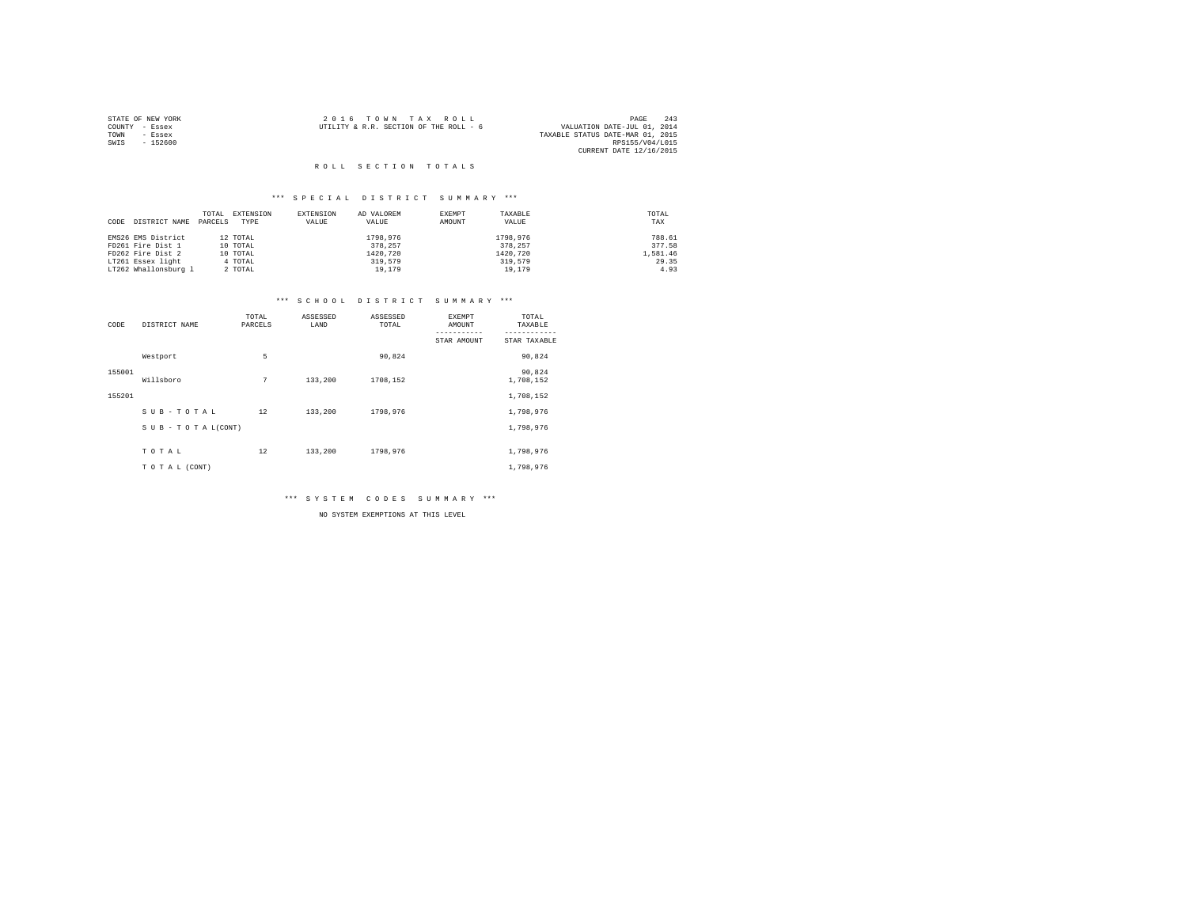|      | STATE OF NEW YORK | 2016 TOWN TAX ROLL                                                    | PAGE                    | 243 |
|------|-------------------|-----------------------------------------------------------------------|-------------------------|-----|
|      | COUNTY - Essex    | VALUATION DATE-JUL 01, 2014<br>UTILITY & R.R. SECTION OF THE ROLL - 6 |                         |     |
| TOWN | - Essex           | TAXABLE STATUS DATE-MAR 01, 2015                                      |                         |     |
| SWIS | $-152600$         |                                                                       | RPS155/V04/L015         |     |
|      |                   |                                                                       | CURRENT DATE 12/16/2015 |     |

## \*\*\* S P E C I A L D I S T R I C T S U M M A R Y \*\*\*

|                       | TOTAL   | EXTENSION | EXTENSION | AD VALOREM | EXEMPT | TAXABLE  | TOTAL    |
|-----------------------|---------|-----------|-----------|------------|--------|----------|----------|
| DISTRICT NAME<br>CODE | PARCELS | TYPE      | VALUE     | VALUE      | AMOUNT | VALUE    | TAX      |
|                       |         |           |           |            |        |          |          |
| EMS26 EMS District    |         | 12 TOTAL  |           | 1798.976   |        | 1798.976 | 788.61   |
| FD261 Fire Dist 1     |         | 10 TOTAL  |           | 378,257    |        | 378.257  | 377.58   |
| FD262 Fire Dist 2     |         | 10 TOTAL  |           | 1420.720   |        | 1420.720 | 1,581.46 |
| LT261 Essex light     |         | 4 TOTAL   |           | 319,579    |        | 319,579  | 29.35    |
| LT262 Whallonsburg 1  |         | 2 TOTAL   |           | 19,179     |        | 19,179   | 4.93     |

## \*\*\* S C H O O L D I S T R I C T S U M M A R Y \*\*\*

| CODE   | DISTRICT NAME      | TOTAL<br>PARCELS | ASSESSED<br>LAND | ASSESSED<br>TOTAL | EXEMPT<br>AMOUNT | TOTAL<br>TAXABLE    |
|--------|--------------------|------------------|------------------|-------------------|------------------|---------------------|
|        |                    |                  |                  |                   | STAR AMOUNT      | STAR TAXABLE        |
|        | Westport           | 5                |                  | 90,824            |                  | 90,824              |
| 155001 | Willsboro          | 7                | 133,200          | 1708.152          |                  | 90,824<br>1,708,152 |
| 155201 |                    |                  |                  |                   |                  | 1,708,152           |
|        | SUB-TOTAL          | 12               | 133,200          | 1798,976          |                  | 1,798,976           |
|        | SUB - TO TAL(CONT) |                  |                  |                   |                  | 1,798,976           |
|        | TOTAL              | 12               | 133,200          | 1798,976          |                  | 1,798,976           |
|        | TOTAL (CONT)       |                  |                  |                   |                  | 1,798,976           |

\*\*\* S Y S T E M C O D E S S U M M A R Y \*\*\*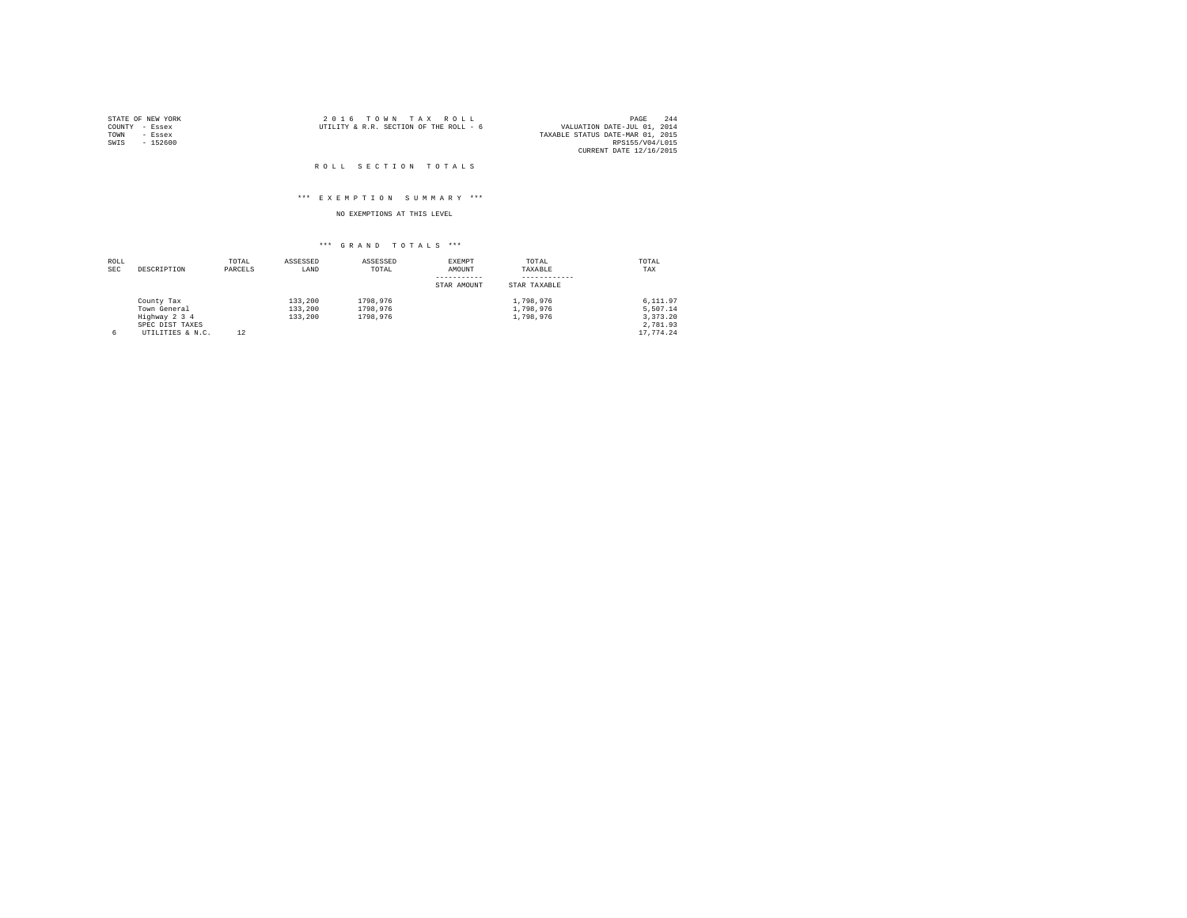|                | STATE OF NEW YORK | 2016 TOWN TAX ROLL                                                    | PAGE            | 244 |
|----------------|-------------------|-----------------------------------------------------------------------|-----------------|-----|
| COUNTY - Essex |                   | VALUATION DATE-JUL 01, 2014<br>UTILITY & R.R. SECTION OF THE ROLL - 6 |                 |     |
| TOWN           | - Essex           | TAXABLE STATUS DATE-MAR 01, 2015                                      |                 |     |
| SWIS           | $-152600$         |                                                                       | RPS155/V04/L015 |     |
|                |                   | CURRENT DATE 12/16/2015                                               |                 |     |

#### ROLL SECTION TOTALS

## \*\*\* E X E M P T I O N S U M M A R Y \*\*\*

## NO EXEMPTIONS AT THIS LEVEL

| ROLL |                  | TOTAL   | ASSESSED | ASSESSED | EXEMPT      | TOTAL        | TOTAL     |
|------|------------------|---------|----------|----------|-------------|--------------|-----------|
| SEC  | DESCRIPTION      | PARCELS | LAND     | TOTAL    | AMOUNT      | TAXABLE      | TAX       |
|      |                  |         |          |          |             |              |           |
|      |                  |         |          |          | STAR AMOUNT | STAR TAXABLE |           |
|      | County Tax       |         | 133,200  | 1798.976 |             | 1,798,976    | 6.111.97  |
|      | Town General     |         | 133,200  | 1798.976 |             | 1,798,976    | 5.507.14  |
|      | Highway 2 3 4    |         | 133,200  | 1798.976 |             | 1,798,976    | 3.373.20  |
|      | SPEC DIST TAXES  |         |          |          |             |              | 2.781.93  |
| 6    | UTILITIES & N.C. | 12      |          |          |             |              | 17.774.24 |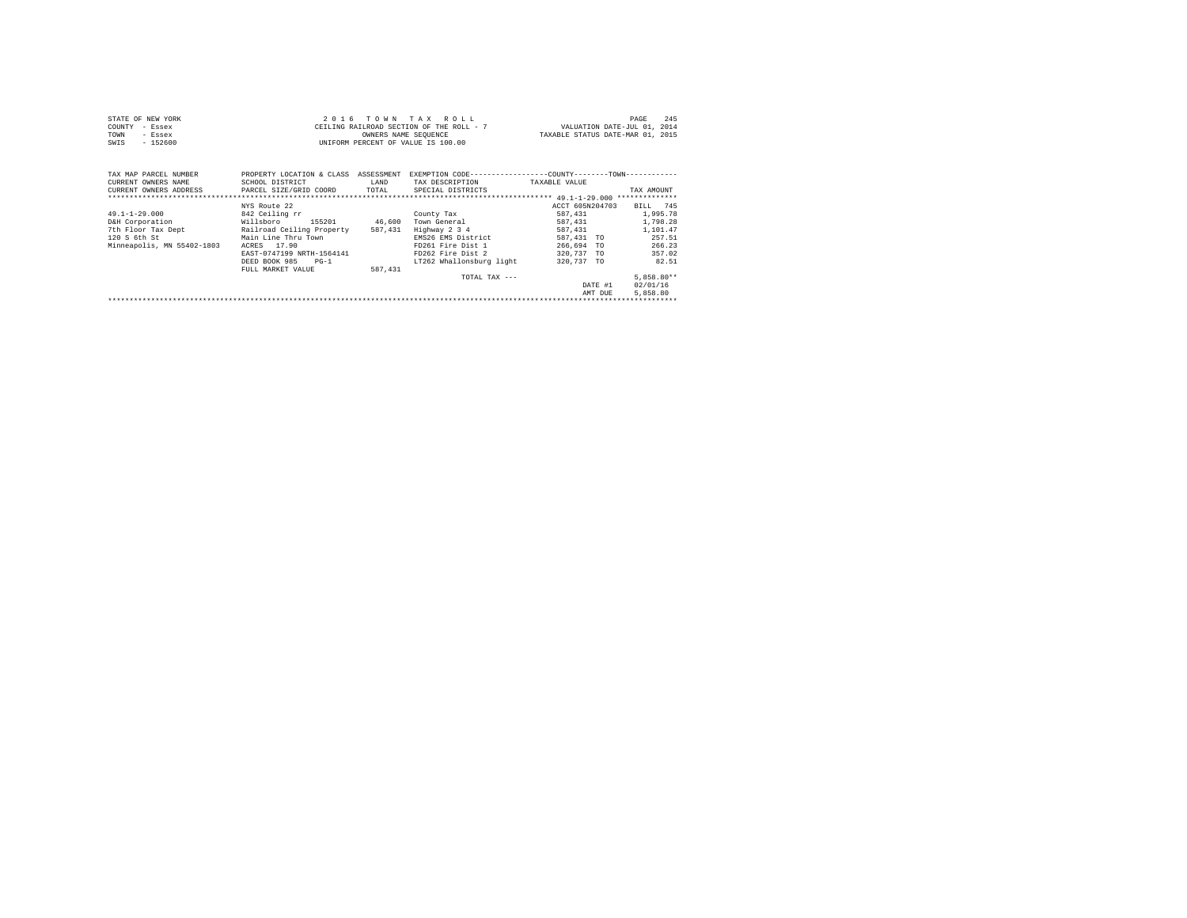| STATE OF NEW YORK | 2016 TOWN TAX ROLL                       | 2.4F<br>PAGE                     |
|-------------------|------------------------------------------|----------------------------------|
| COUNTY - Essex    | CEILING RAILROAD SECTION OF THE ROLL - 7 | VALUATION DATE-JUL 01, 2014      |
| TOWN<br>- Essex   | OWNERS NAME SEOUENCE                     | TAXABLE STATUS DATE-MAR 01, 2015 |
| $-152600$<br>SWIS | UNIFORM PERCENT OF VALUE IS 100.00       |                                  |

| TAX MAP PARCEL NUMBER<br>CURRENT OWNERS NAME<br>CURRENT OWNERS ADDRESS                                     | PROPERTY LOCATION & CLASS<br>SCHOOL DISTRICT<br>PARCEL SIZE/GRID COORD                                                                                                                                   | ASSESSMENT<br>LAND<br>TOTAL  | EXEMPTION CODE-<br>TAX DESCRIPTION<br>SPECIAL DISTRICTS                                                                                                       | $-TOWN-$<br>---------COUNTY--<br>TAXABLE VALUE                                                                                                     | TAX AMOUNT<br>**************                                                                                                |
|------------------------------------------------------------------------------------------------------------|----------------------------------------------------------------------------------------------------------------------------------------------------------------------------------------------------------|------------------------------|---------------------------------------------------------------------------------------------------------------------------------------------------------------|----------------------------------------------------------------------------------------------------------------------------------------------------|-----------------------------------------------------------------------------------------------------------------------------|
| $49.1 - 1 - 29.000$<br>D&H Corporation<br>7th Floor Tax Dept<br>120 S 6th St<br>Minneapolis, MN 55402-1803 | NYS Route 22<br>842 Ceiling rr<br>Willsboro<br>155201<br>Railroad Ceiling Property<br>Main Line Thru Town<br>17.90<br>ACRES<br>EAST-0747199 NRTH-1564141<br>DEED BOOK 985<br>$PG-1$<br>FULL MARKET VALUE | 46,600<br>587,431<br>587.431 | County Tax<br>Town General<br>Highway 2 3 4<br>EMS26 EMS District<br>FD261 Fire Dist 1<br>FD262 Fire Dist 2<br>LT262 Whallonsburg light<br>$TOTAI. TAX - - -$ | ACCT 605N204703<br>587.431<br>587,431<br>587.431<br>587.431 TO<br>266.694<br><b>TO</b><br>320.737<br><b>TO</b><br>320,737 TO<br>DATE #1<br>AMT DUE | BILL 745<br>1,995.78<br>1,798.28<br>1,101.47<br>257.51<br>266.23<br>357.02<br>82.51<br>$5.858.80**$<br>02/01/16<br>5,858.80 |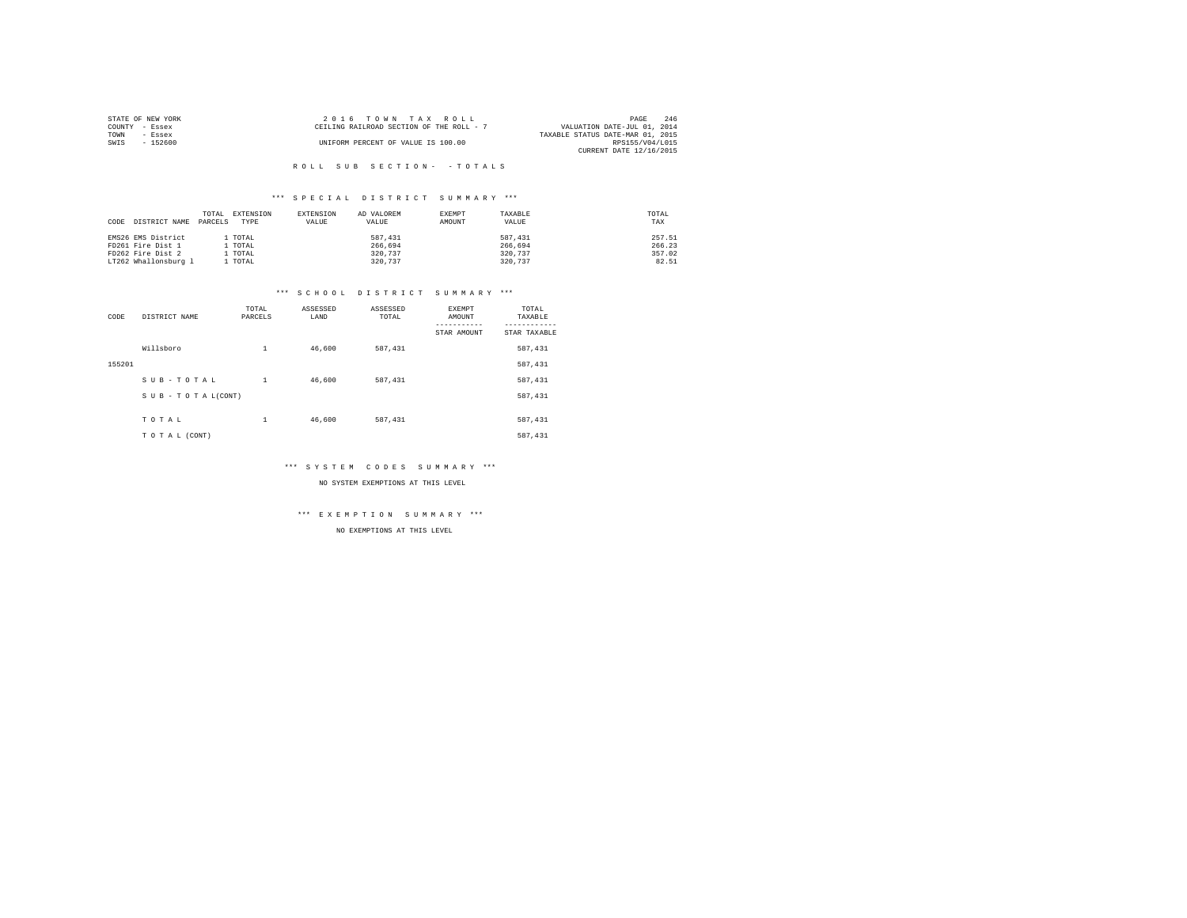| STATE OF NEW YORK | 2016 TOWN TAX ROLL                       | 246<br>PAGE                      |
|-------------------|------------------------------------------|----------------------------------|
| COUNTY - Essex    | CEILING RAILROAD SECTION OF THE ROLL - 7 | VALUATION DATE-JUL 01, 2014      |
| TOWN<br>- Essex   |                                          | TAXABLE STATUS DATE-MAR 01, 2015 |
| $-152600$<br>SWIS | UNIFORM PERCENT OF VALUE IS 100.00       | RPS155/V04/L015                  |
|                   |                                          | CURRENT DATE 12/16/2015          |

## \*\*\* S P E C I A L D I S T R I C T S U M M A R Y \*\*\*

|      |                      | TOTAL   | EXTENSION | EXTENSION | AD VALOREM | EXEMPT | TAXABLE | TOTAL  |
|------|----------------------|---------|-----------|-----------|------------|--------|---------|--------|
| CODE | DISTRICT NAME        | PARCELS | TYPE      | VALUE     | VALUE      | AMOUNT | VALUE   | TAX    |
|      |                      |         |           |           |            |        |         |        |
|      | EMS26 EMS District   |         | l TOTAL   |           | 587.431    |        | 587.431 | 257.51 |
|      | FD261 Fire Dist 1    |         | l TOTAL   |           | 266.694    |        | 266.694 | 266.23 |
|      | FD262 Fire Dist 2    |         | l TOTAL   |           | 320.737    |        | 320,737 | 357.02 |
|      | LT262 Whallonsburg 1 |         | . TOTAL   |           | 320.737    |        | 320,737 | 82.51  |

## \*\*\* S C H O O L D I S T R I C T S U M M A R Y \*\*\*

| CODE   | DISTRICT NAME      | TOTAL<br>PARCELS | ASSESSED<br>LAND | ASSESSED<br>TOTAL | <b>EXEMPT</b><br>AMOUNT | TOTAL<br>TAXABLE |
|--------|--------------------|------------------|------------------|-------------------|-------------------------|------------------|
|        |                    |                  |                  |                   | STAR AMOUNT             | STAR TAXABLE     |
|        | Willsboro          | 1                | 46,600           | 587.431           |                         | 587,431          |
| 155201 |                    |                  |                  |                   |                         | 587,431          |
|        | SUB-TOTAL          | $\mathbf{1}$     | 46,600           | 587,431           |                         | 587,431          |
|        | SUB - TO TAL(CONT) |                  |                  |                   |                         | 587,431          |
|        |                    |                  |                  |                   |                         |                  |
|        | TOTAL              | 1                | 46,600           | 587,431           |                         | 587,431          |
|        | TO TAL (CONT)      |                  |                  |                   |                         | 587,431          |

## \*\*\* S Y S T E M C O D E S S U M M A R Y \*\*\*

NO SYSTEM EXEMPTIONS AT THIS LEVEL

#### \*\*\* E X E M P T I O N S U M M A R Y \*\*\*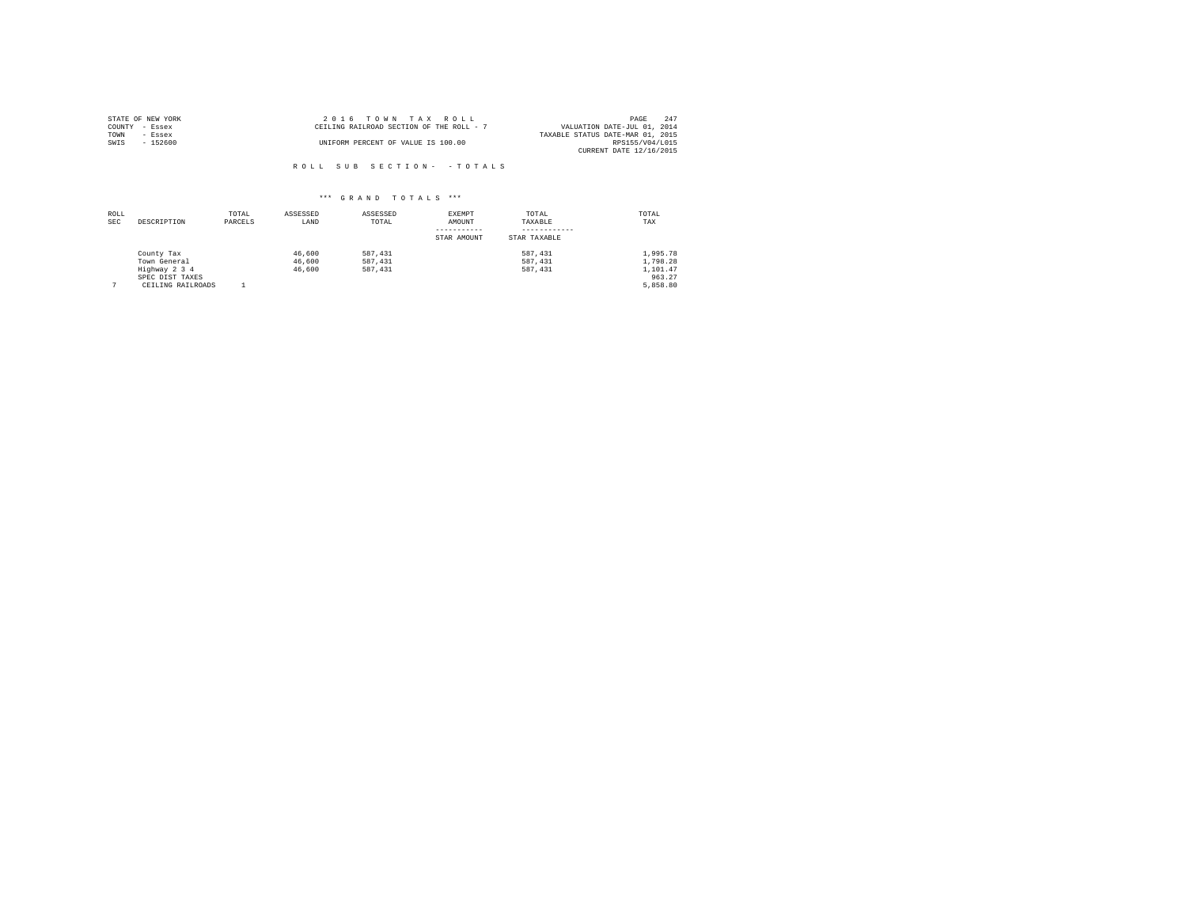| STATE OF NEW YORK | 2016 TOWN TAX ROLL                       | 2.47<br>PAGE                     |
|-------------------|------------------------------------------|----------------------------------|
| COUNTY - Essex    | CEILING RAILROAD SECTION OF THE ROLL - 7 | VALUATION DATE-JUL 01, 2014      |
| TOWN<br>- Essex   |                                          | TAXABLE STATUS DATE-MAR 01, 2015 |
| SWIS<br>$-152600$ | UNIFORM PERCENT OF VALUE IS 100.00       | RPS155/V04/L015                  |
|                   |                                          | CURRENT DATE 12/16/2015          |

ROLL SUB SECTION - - TOTALS

| ROLL<br><b>SEC</b> | DESCRIPTION       | TOTAL<br>PARCELS | ASSESSED<br>LAND | ASSESSED<br>TOTAL | EXEMPT<br>AMOUNT | TOTAL<br>TAXABLE | TOTAL<br>TAX |
|--------------------|-------------------|------------------|------------------|-------------------|------------------|------------------|--------------|
|                    |                   |                  |                  |                   | STAR AMOUNT      | STAR TAXABLE     |              |
|                    | County Tax        |                  | 46,600           | 587.431           |                  | 587.431          | 1,995.78     |
|                    | Town General      |                  | 46,600           | 587.431           |                  | 587.431          | 1,798.28     |
|                    | Highway 2 3 4     |                  | 46,600           | 587.431           |                  | 587, 431         | 1,101.47     |
|                    | SPEC DIST TAXES   |                  |                  |                   |                  |                  | 963.27       |
|                    | CEILING RAILROADS |                  |                  |                   |                  |                  | 5,858.80     |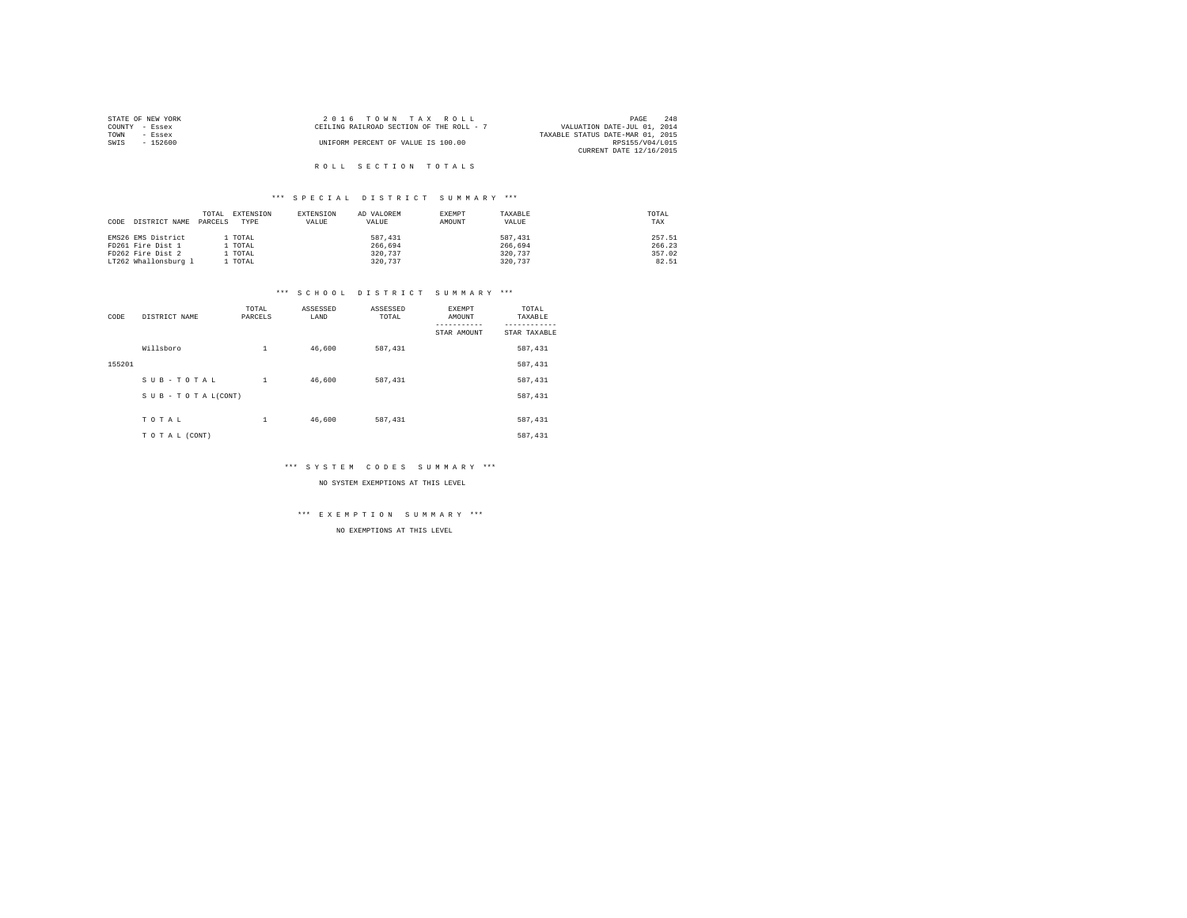| STATE OF NEW YORK |          | $2.0.16$ TOWN TAX ROLL                   |  |                                  | PAGE                        | 248 |
|-------------------|----------|------------------------------------------|--|----------------------------------|-----------------------------|-----|
| COUNTY - Essex    |          | CEILING RAILROAD SECTION OF THE ROLL - 7 |  |                                  | VALUATION DATE-JUL 01, 2014 |     |
| TOWN              | - Essex  |                                          |  | TAXABLE STATUS DATE-MAR 01, 2015 |                             |     |
| SWIS              | - 152600 | UNIFORM PERCENT OF VALUE IS 100.00       |  |                                  | RPS155/V04/L015             |     |
|                   |          |                                          |  |                                  | CURRENT DATE 12/16/2015     |     |
|                   |          |                                          |  |                                  |                             |     |

## \*\*\* S P E C I A L D I S T R I C T S U M M A R Y \*\*\*

|      |                      | TOTAL   | EXTENSION | EXTENSION | AD VALOREM | EXEMPT | TAXABLE | TOTAL  |
|------|----------------------|---------|-----------|-----------|------------|--------|---------|--------|
| CODE | DISTRICT NAME        | PARCELS | TYPE      | VALUE     | VALUE      | AMOUNT | VALUE   | TAX    |
|      |                      |         |           |           |            |        |         |        |
|      | EMS26 EMS District   |         | l TOTAL   |           | 587.431    |        | 587.431 | 257.51 |
|      | FD261 Fire Dist 1    |         | l TOTAL   |           | 266.694    |        | 266.694 | 266.23 |
|      | FD262 Fire Dist 2    |         | l TOTAL   |           | 320.737    |        | 320,737 | 357.02 |
|      | LT262 Whallonsburg 1 |         | . TOTAL   |           | 320.737    |        | 320,737 | 82.51  |

## \*\*\* S C H O O L D I S T R I C T S U M M A R Y \*\*\*

| CODE   | DISTRICT NAME      | TOTAL<br>PARCELS | ASSESSED<br>LAND | ASSESSED<br>TOTAL | <b>EXEMPT</b><br>AMOUNT | TOTAL<br>TAXABLE |
|--------|--------------------|------------------|------------------|-------------------|-------------------------|------------------|
|        |                    |                  |                  |                   | STAR AMOUNT             | STAR TAXABLE     |
|        | Willsboro          | 1                | 46,600           | 587.431           |                         | 587,431          |
| 155201 |                    |                  |                  |                   |                         | 587,431          |
|        | SUB-TOTAL          | $\mathbf{1}$     | 46,600           | 587,431           |                         | 587,431          |
|        | SUB - TO TAL(CONT) |                  |                  |                   |                         | 587,431          |
|        |                    |                  |                  |                   |                         |                  |
|        | TOTAL              | 1                | 46,600           | 587,431           |                         | 587,431          |
|        | TO TAL (CONT)      |                  |                  |                   |                         | 587,431          |

## \*\*\* S Y S T E M C O D E S S U M M A R Y \*\*\*

NO SYSTEM EXEMPTIONS AT THIS LEVEL

#### \*\*\* E X E M P T I O N S U M M A R Y \*\*\*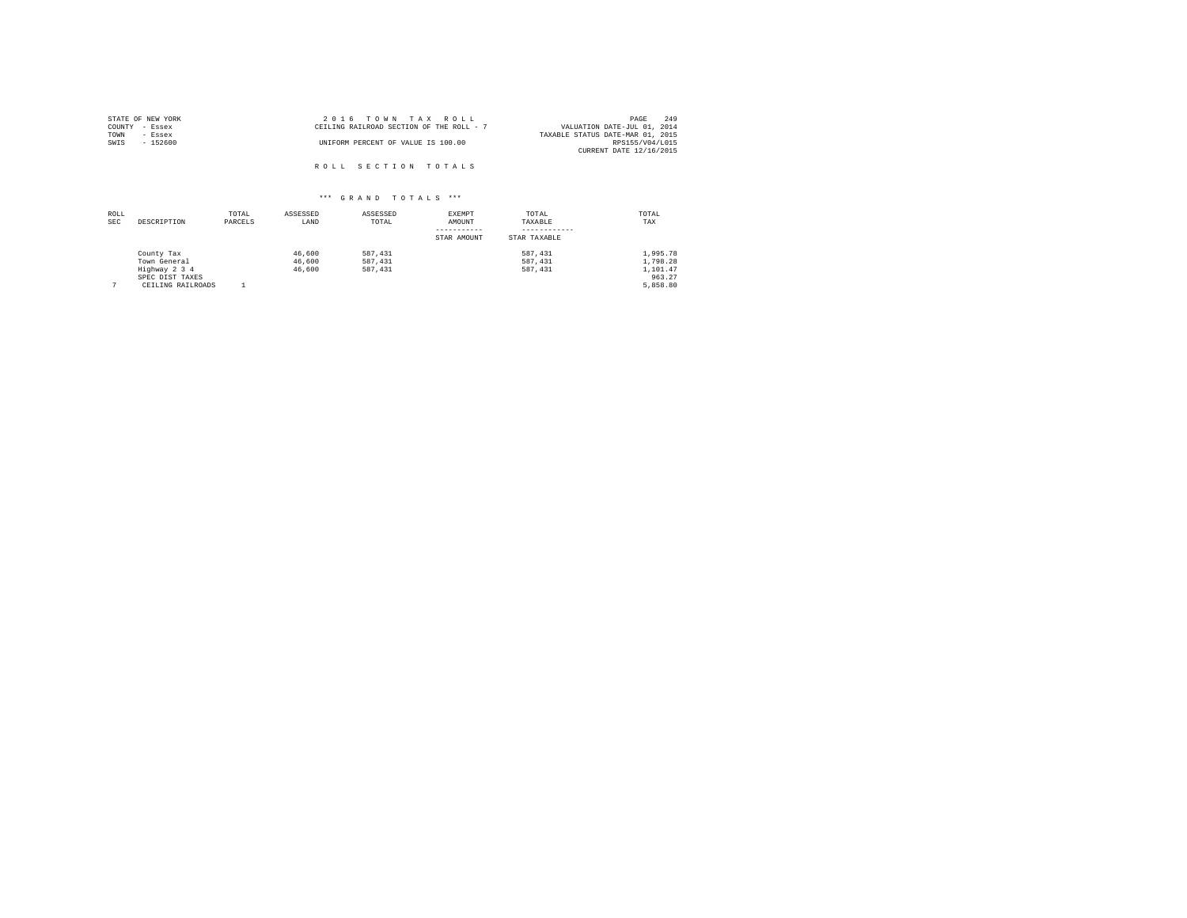| STATE OF NEW YORK | 2016 TOWN TAX ROLL                       | 249<br>PAGE                      |
|-------------------|------------------------------------------|----------------------------------|
| COUNTY - Essex    | CEILING RAILROAD SECTION OF THE ROLL - 7 | VALUATION DATE-JUL 01, 2014      |
| TOWN<br>- Essex   |                                          | TAXABLE STATUS DATE-MAR 01, 2015 |
| SWIS<br>$-152600$ | UNIFORM PERCENT OF VALUE IS 100.00       | RPS155/V04/L015                  |
|                   |                                          | CURRENT DATE 12/16/2015          |
|                   | ROLL SECTION TOTALS                      |                                  |

| ROLL<br><b>SEC</b> | DESCRIPTION                                                                         | TOTAL<br>PARCELS | ASSESSED<br>LAND           | ASSESSED<br>TOTAL             | EXEMPT<br>AMOUNT<br>STAR AMOUNT | TOTAL<br>TAXABLE<br>STAR TAXABLE | TOTAL<br>TAX                                           |
|--------------------|-------------------------------------------------------------------------------------|------------------|----------------------------|-------------------------------|---------------------------------|----------------------------------|--------------------------------------------------------|
|                    | County Tax<br>Town General<br>Highway 2 3 4<br>SPEC DIST TAXES<br>CEILING RAILROADS |                  | 46,600<br>46,600<br>46,600 | 587.431<br>587.431<br>587.431 |                                 | 587.431<br>587.431<br>587, 431   | 1.995.78<br>1.798.28<br>1,101.47<br>963.27<br>5,858.80 |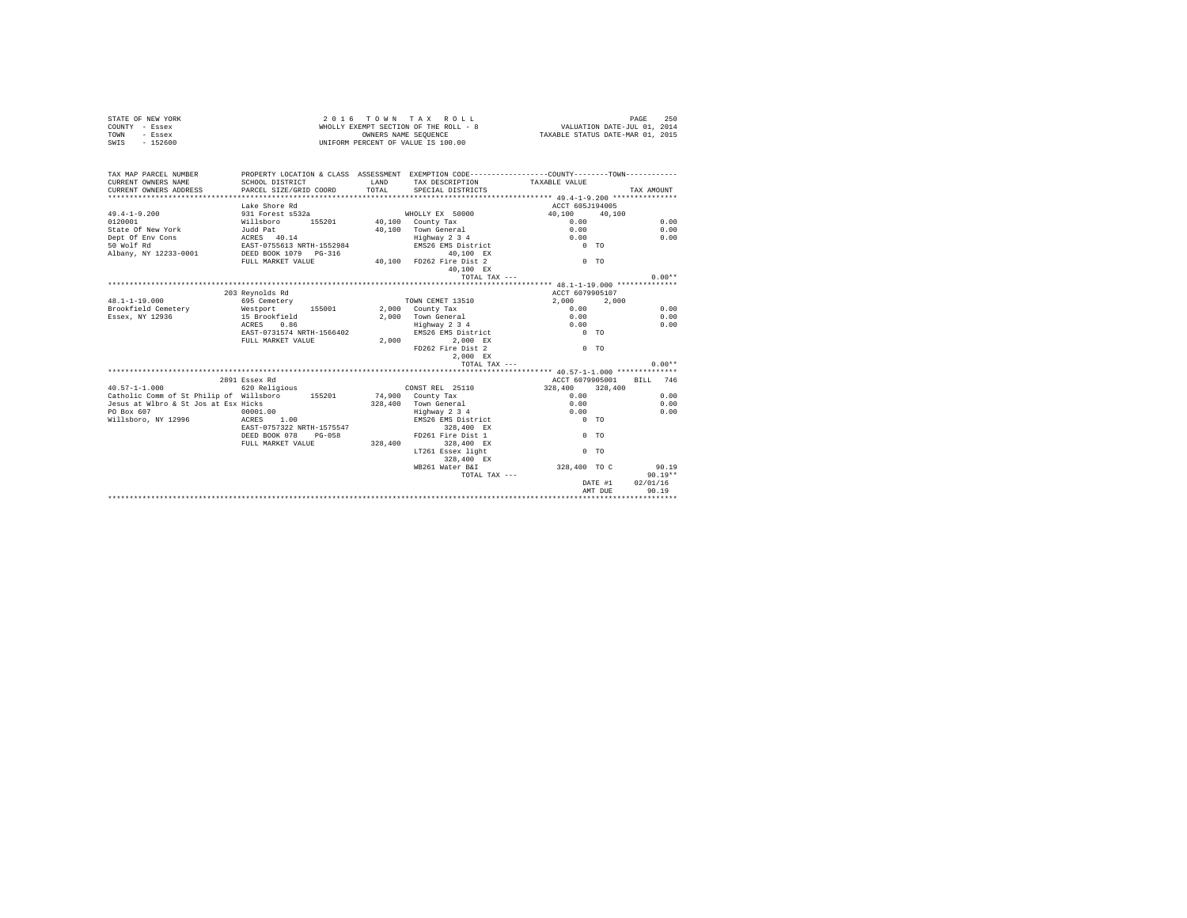|                | STATE OF NEW YORK | 2016 TOWN TAX ROLL                    | 250<br>PAGE                      |
|----------------|-------------------|---------------------------------------|----------------------------------|
| COUNTY - Essex |                   | WHOLLY EXEMPT SECTION OF THE ROLL - 8 | VALUATION DATE-JUL 01, 2014      |
| TOWN           | - Essex           | OWNERS NAME SEOUENCE                  | TAXABLE STATUS DATE-MAR 01, 2015 |
| SWIS           | $-152600$         | UNIFORM PERCENT OF VALUE IS 100.00    |                                  |

| TAX MAP PARCEL NUMBER                                           | PROPERTY LOCATION & CLASS ASSESSMENT EXEMPTION CODE----------------COUNTY--------TOWN----------                |      |                                                          |                 |                |            |
|-----------------------------------------------------------------|----------------------------------------------------------------------------------------------------------------|------|----------------------------------------------------------|-----------------|----------------|------------|
|                                                                 |                                                                                                                | LAND | TAX DESCRIPTION TAXABLE VALUE<br>TOTAL SPECIAL DISTRICTS |                 |                |            |
|                                                                 |                                                                                                                |      |                                                          |                 |                | TAX AMOUNT |
|                                                                 |                                                                                                                |      |                                                          |                 |                |            |
|                                                                 | Lake Shore Rd                                                                                                  |      |                                                          | ACCT 605J194005 |                |            |
| $49.4 - 1 - 9.200$                                              | 931 Forest s532a                                                                                               |      | WHOLLY EX 50000                                          | 40,100 40,100   |                |            |
| 0120001                                                         | Willsboro 155201 40,100 County Tax<br>Judd Pat 155201 40,100 Town General                                      |      |                                                          | 0.00            |                | 0.00       |
| State Of New York                                               |                                                                                                                |      | 40,100 Town General                                      | 0.00            |                | 0.00       |
| Dept Of Env Cons ACRES 40.14                                    | 19 ACRES 40.14 Fighway 2 3 4 CRES 40.14 Fighway 2 3 4 CRES 40.14 Fighway 2 3 4 CRES 6 CONTEX 2 2 3 4 CRES 6 CO |      |                                                          |                 |                | 0.00       |
| 50 Wolf Rd                                                      |                                                                                                                |      |                                                          |                 |                |            |
| Albany, NY 12233-0001 DEED BOOK 1079 PG-316                     |                                                                                                                |      | $40,100$ EX                                              |                 |                |            |
|                                                                 | FULL MARKET VALUE 40,100 FD262 Fire Dist 2                                                                     |      |                                                          | $0$ TO          |                |            |
|                                                                 |                                                                                                                |      | 40.100 EX                                                |                 |                |            |
|                                                                 |                                                                                                                |      | TOTAL TAX ---                                            |                 |                | $0.00**$   |
|                                                                 |                                                                                                                |      |                                                          |                 |                |            |
|                                                                 | 203 Reynolds Rd                                                                                                |      |                                                          | ACCT 6079905107 |                |            |
| $48.1 - 1 - 19.000$                                             | 695 Cemetery                                                                                                   |      | TOWN CEMET 13510                                         | 2,000 2,000     |                |            |
| Brookfield Cemetery 6 Mestport 155001 2,000 County Tax          |                                                                                                                |      |                                                          | 0.00            |                | 0.00       |
| Essex, NY 12936                                                 | 15 Brookfield                                                                                                  |      | 2,000 Town General                                       | 0.00            |                | 0.00       |
|                                                                 | ACRES 0.86                                                                                                     |      |                                                          | 0.00            |                | 0.00       |
|                                                                 | EAST-0731574 NRTH-1566402                                                                                      |      | Highway 2 3 4<br>EMS26 EMS District                      | $0$ TO          |                |            |
|                                                                 | FULL MARKET VALUE                                                                                              |      | 2.000 2.000 EX                                           |                 |                |            |
|                                                                 |                                                                                                                |      | FD262 Fire Dist 2                                        | $0$ TO          |                |            |
|                                                                 |                                                                                                                |      | 2,000 EX                                                 |                 |                |            |
|                                                                 |                                                                                                                |      | TOTAL TAX ---                                            |                 |                | $0.00**$   |
|                                                                 |                                                                                                                |      |                                                          |                 |                |            |
|                                                                 | 2891 Essex Rd                                                                                                  |      |                                                          | ACCT 6079905001 |                | BILL 746   |
| $40.57 - 1 - 1.000$                                             | 620 Religious                                                                                                  |      | CONST REL 25110                                          | 328,400 328,400 |                |            |
| Catholic Comm of St Philip of Willsboro 155201 15900 County Tax |                                                                                                                |      |                                                          | 0.00            |                | 0.00       |
| Jesus at Wlbro & St Jos at Esx Hicks                            |                                                                                                                |      | 328,400 Town General                                     | 0.00            |                | 0.00       |
| PO Box 607                                                      | 00001.00                                                                                                       |      | Highway 2 3 4                                            | 0.00            |                | 0.00       |
| Willsboro, NY 12996 ACRES 1.00                                  |                                                                                                                |      | EMS26 EMS District 0 TO                                  |                 |                |            |
|                                                                 | EAST-0757322 NRTH-1575547                                                                                      |      | 328,400 EX                                               |                 |                |            |
|                                                                 | DEED BOOK 078 PG-058                                                                                           |      | FD261 Fire Dist 1                                        | $0$ TO          |                |            |
|                                                                 | FULL MARKET VALUE 328,400                                                                                      |      | 328,400 EX                                               |                 |                |            |
|                                                                 |                                                                                                                |      | LT261 Essex light                                        |                 | 0 <sub>0</sub> |            |
|                                                                 |                                                                                                                |      |                                                          |                 |                |            |
|                                                                 |                                                                                                                |      | 328,400 EX                                               |                 |                |            |
|                                                                 |                                                                                                                |      | WB261 Water B&I                                          | 328,400 TO C    |                | 90.19      |
|                                                                 |                                                                                                                |      | TOTAL TAX ---                                            |                 |                | $90.19**$  |
|                                                                 |                                                                                                                |      |                                                          |                 | DATE #1        | 02/01/16   |
|                                                                 |                                                                                                                |      |                                                          |                 | AMT DUE        | 90.19      |
|                                                                 |                                                                                                                |      |                                                          |                 |                |            |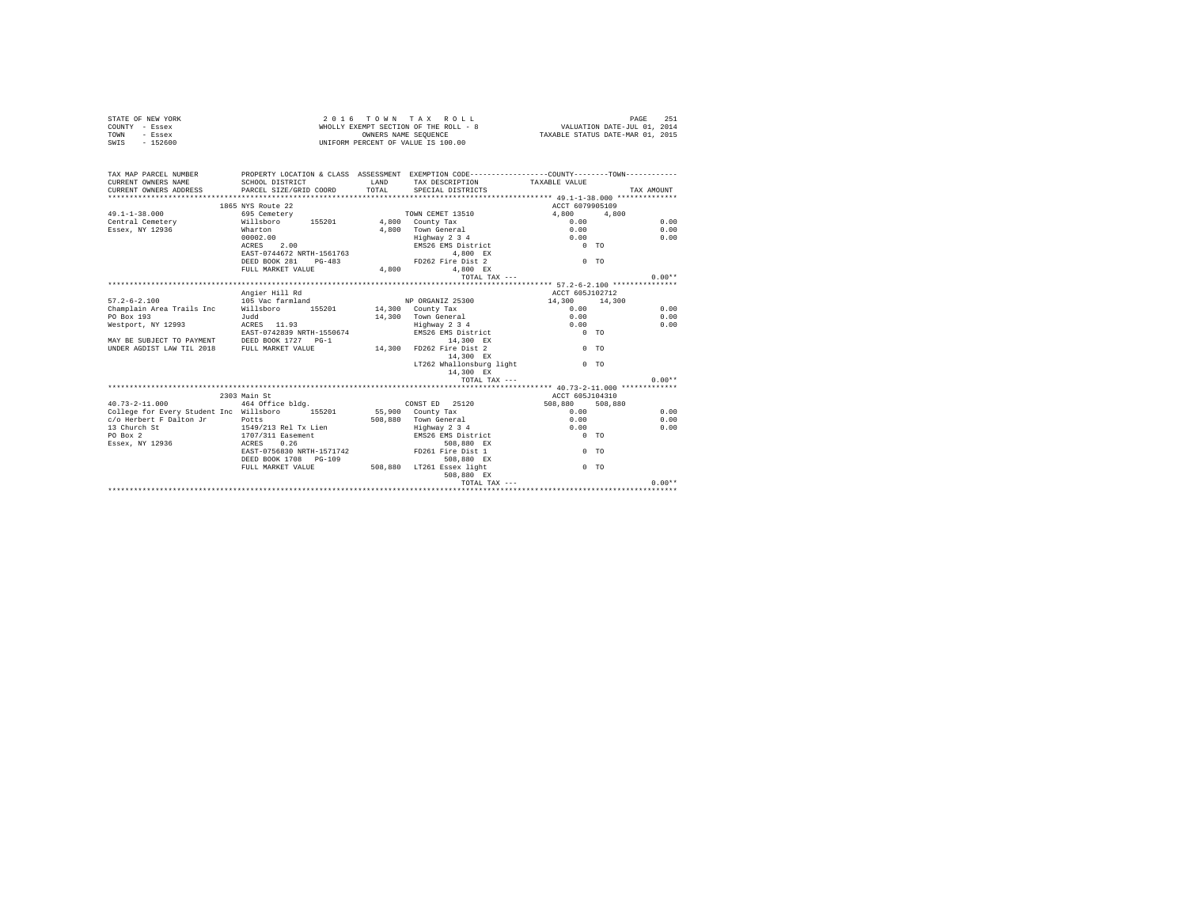|                | STATE OF NEW YORK | 2016 TOWN TAX ROLL                    |  |  |                      |  |  |  |                                  | PAGE                        | 251 |  |
|----------------|-------------------|---------------------------------------|--|--|----------------------|--|--|--|----------------------------------|-----------------------------|-----|--|
| COUNTY - Essex |                   | WHOLLY EXEMPT SECTION OF THE ROLL - 8 |  |  |                      |  |  |  |                                  | VALUATION DATE-JUL 01, 2014 |     |  |
| TOWN           | - Essex           |                                       |  |  | OWNERS NAME SEOUENCE |  |  |  | TAXABLE STATUS DATE-MAR 01, 2015 |                             |     |  |
| SWIS           | $-152600$         | UNIFORM PERCENT OF VALUE IS 100.00    |  |  |                      |  |  |  |                                  |                             |     |  |

| TAX MAP PARCEL NUMBER<br>CURRENT OWNERS NAME<br>CURRENT OWNERS ADDRESS PARCEL SIZE/GRID COORD | PROPERTY LOCATION & CLASS ASSESSMENT EXEMPTION CODE----------------COUNTY--------TOWN----------<br>SCHOOL DISTRICT | LAND<br>TOTAL. | SPECIAL DISTRICTS                   | TAX DESCRIPTION TAXABLE VALUE | TAX AMOUNT     |
|-----------------------------------------------------------------------------------------------|--------------------------------------------------------------------------------------------------------------------|----------------|-------------------------------------|-------------------------------|----------------|
|                                                                                               | 1865 NYS Route 22                                                                                                  |                |                                     | ACCT 6079905109               |                |
| $49.1 - 1 - 38.000$                                                                           | 695 Cemetery                                                                                                       |                | TOWN CEMET 13510                    | 4.800                         | 4,800          |
| Central Cemetery Millsboro                                                                    | 155201 4,800 County Tax                                                                                            |                |                                     | 0.00                          | 0.00           |
| Essex, NY 12936                                                                               | Wharton                                                                                                            |                | 4.800 Town General                  | 0.00                          | 0.00           |
|                                                                                               | 00002.00                                                                                                           |                |                                     | 0.00                          | 0.00           |
|                                                                                               | ACRES 2.00                                                                                                         |                | Highway 2 3 4<br>EMS26 EMS District | $0$ TO                        |                |
|                                                                                               | EAST-0744672 NRTH-1561763                                                                                          |                | 4.800 EX                            |                               |                |
|                                                                                               | DEED BOOK 281 PG-483                                                                                               |                | FD262 Fire Dist 2                   | $0$ TO                        |                |
|                                                                                               |                                                                                                                    |                |                                     |                               |                |
|                                                                                               | FULL MARKET VALUE                                                                                                  | 4,800          | 4.800 EX                            |                               |                |
|                                                                                               |                                                                                                                    |                |                                     | TOTAL TAX ---                 | $0.00**$       |
|                                                                                               |                                                                                                                    |                |                                     |                               |                |
|                                                                                               | Angier Hill Rd                                                                                                     |                |                                     | ACCT 605J102712               |                |
| $57.2 - 6 - 2.100$                                                                            | 105 Vac farmland                                                                                                   |                | NP ORGANIZ 25300                    | 14,300 14,300                 |                |
| Champlain Area Trails Inc Willsboro                                                           | 155201 14,300 County Tax                                                                                           |                |                                     | 0.00                          | 0.00           |
| PO Box 193                                                                                    | Judd                                                                                                               |                | 14.300 Town General                 | 0.00                          | 0.00           |
| Westport, NY 12993                                                                            | ACRES 11.93                                                                                                        |                | Highway 2 3 4<br>EMS26 EMS District | 0.00                          | 0.00           |
|                                                                                               | EAST-0742839 NRTH-1550674                                                                                          |                |                                     | $0$ TO                        |                |
| MAY BE SUBJECT TO PAYMENT DEED BOOK 1727 PG-1                                                 |                                                                                                                    |                | 14,300 EX                           |                               |                |
| UNDER AGDIST LAW TIL 2018 FULL MARKET VALUE                                                   |                                                                                                                    | 14.300         | FD262 Fire Dist 2                   |                               | 0 <sub>0</sub> |
|                                                                                               |                                                                                                                    |                | 14,300 EX                           |                               |                |
|                                                                                               |                                                                                                                    |                | LT262 Whallonsburg light            | $\sim$ 0 $\sim$ $\sim$ $\sim$ |                |
|                                                                                               |                                                                                                                    |                | 14,300 EX                           |                               |                |
|                                                                                               |                                                                                                                    |                | TOTAL TAX ---                       |                               | $0.00**$       |
|                                                                                               |                                                                                                                    |                |                                     |                               |                |
|                                                                                               | 2303 Main St                                                                                                       |                |                                     | ACCT 605J104310               |                |
| $40.73 - 2 - 11.000$                                                                          | 464 Office bldg.                                                                                                   |                | CONST ED 25120                      | 508,880 508,880               |                |
| College for Every Student Inc Willsboro 155201                                                |                                                                                                                    |                | 55,900 County Tax                   | 0.00                          | 0.00           |
| c/o Herbert F Dalton Jr                                                                       | Potts                                                                                                              |                | 508.880 Town General                | 0.00                          | 0.00           |
| 13 Church St                                                                                  | 1549/213 Rel Tx Lien                                                                                               |                | Highway 2 3 4                       | 0.00                          | 0.00           |
| PO Box 2                                                                                      | 1707/311 Easement                                                                                                  |                | EMS26 EMS District                  | $0$ TO                        |                |
| Essex, NY 12936 ACRES                                                                         | 0.26                                                                                                               |                | 508,880 EX                          |                               |                |
|                                                                                               | EAST-0756830 NRTH-1571742                                                                                          |                | FD261 Fire Dist 1                   |                               | 0 <sub>0</sub> |
|                                                                                               | DEED BOOK 1708 PG-109                                                                                              |                | 508,880 EX                          |                               |                |
|                                                                                               | FULL MARKET VALUE                                                                                                  | 508,880        | LT261 Essex light                   |                               | 0 <sub>0</sub> |
|                                                                                               |                                                                                                                    |                | 508,880 EX                          |                               |                |
|                                                                                               |                                                                                                                    |                |                                     | TOTAL TAX ---                 | $0.00**$       |
|                                                                                               |                                                                                                                    |                |                                     |                               |                |
|                                                                                               |                                                                                                                    |                |                                     |                               |                |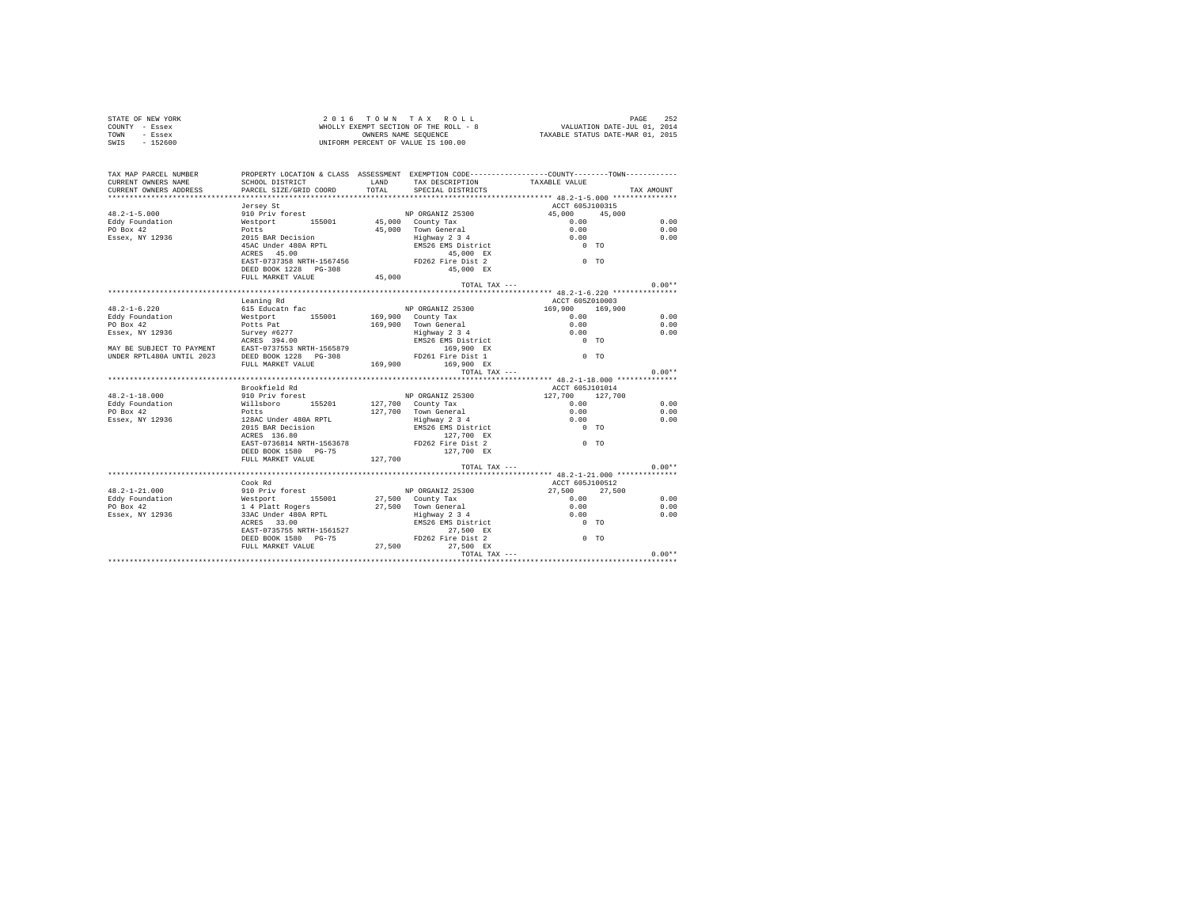| STATE OF NEW YORK<br>COUNTY - Essex<br>TOWN - Essex<br>SWIS - 152600                                                                                                                                                                                                                                                                                                                                                                           |                                                                                               |       | 2016 TOWN TAX ROLL<br>UNIFORM PERCENT OF VALUE IS 100.00                                                                                |                                                   | PAGE<br>252<br>$\begin{array}{cccccccccc} \textit{Z} & \textit{U} & \textit{I} & \textit{U} & \textit{W} & \textit{N} & \textit{X} & \textit{X} & \textit{X} & \textit{U} & \textit{L} \\ \textit{W}\textit{HOLLY} & \textit{EXEMENT} & \textit{SISTENT} & \textit{SISTENT} & \textit{SISTENT} & \textit{SISTENT} & \textit{SISTENT} & \textit{SISTENT} & \textit{SISTENT} & \textit{SISTENT} & \textit{SISTENT} & \textit{SISTENT} & \textit{SISTENT} & \textit{SISTENT} & \textit{$ |  |  |  |
|------------------------------------------------------------------------------------------------------------------------------------------------------------------------------------------------------------------------------------------------------------------------------------------------------------------------------------------------------------------------------------------------------------------------------------------------|-----------------------------------------------------------------------------------------------|-------|-----------------------------------------------------------------------------------------------------------------------------------------|---------------------------------------------------|---------------------------------------------------------------------------------------------------------------------------------------------------------------------------------------------------------------------------------------------------------------------------------------------------------------------------------------------------------------------------------------------------------------------------------------------------------------------------------------|--|--|--|
| TAX MAP PARCEL NUMBER PROPERTY LOCATION & CLASS ASSESSMENT EXEMPTION CODE--------------COUNTY--------TOWN----------<br>CURRENT OWNERS NAME                                                                                                                                                                                                                                                                                                     | SCHOOL DISTRICT TAND TAX DESCRIPTION                                                          |       |                                                                                                                                         | TAXABLE VALUE                                     |                                                                                                                                                                                                                                                                                                                                                                                                                                                                                       |  |  |  |
| CURRENT OWNERS ADDRESS                                                                                                                                                                                                                                                                                                                                                                                                                         | PARCEL SIZE/GRID COORD                                                                        | TOTAL | SPECIAL DISTRICTS                                                                                                                       |                                                   | TAX AMOUNT                                                                                                                                                                                                                                                                                                                                                                                                                                                                            |  |  |  |
|                                                                                                                                                                                                                                                                                                                                                                                                                                                |                                                                                               |       |                                                                                                                                         |                                                   |                                                                                                                                                                                                                                                                                                                                                                                                                                                                                       |  |  |  |
|                                                                                                                                                                                                                                                                                                                                                                                                                                                | Jersey St                                                                                     |       |                                                                                                                                         | ACCT 605J100315                                   |                                                                                                                                                                                                                                                                                                                                                                                                                                                                                       |  |  |  |
|                                                                                                                                                                                                                                                                                                                                                                                                                                                |                                                                                               |       |                                                                                                                                         | 45,000 45,000                                     | 0.00                                                                                                                                                                                                                                                                                                                                                                                                                                                                                  |  |  |  |
|                                                                                                                                                                                                                                                                                                                                                                                                                                                |                                                                                               |       |                                                                                                                                         | 0.00                                              | 0.00                                                                                                                                                                                                                                                                                                                                                                                                                                                                                  |  |  |  |
|                                                                                                                                                                                                                                                                                                                                                                                                                                                |                                                                                               |       |                                                                                                                                         |                                                   | 0.00                                                                                                                                                                                                                                                                                                                                                                                                                                                                                  |  |  |  |
|                                                                                                                                                                                                                                                                                                                                                                                                                                                |                                                                                               |       |                                                                                                                                         | $0.00$<br>0.00<br>0 TO                            |                                                                                                                                                                                                                                                                                                                                                                                                                                                                                       |  |  |  |
|                                                                                                                                                                                                                                                                                                                                                                                                                                                |                                                                                               |       |                                                                                                                                         |                                                   |                                                                                                                                                                                                                                                                                                                                                                                                                                                                                       |  |  |  |
|                                                                                                                                                                                                                                                                                                                                                                                                                                                | EAST-0737358 NRTH-1567456<br>DEED BOOK 1228 PG-308 PD262 F126 DEED BOOK 1228 PG-308 45.000 RX |       |                                                                                                                                         | $0$ TO                                            |                                                                                                                                                                                                                                                                                                                                                                                                                                                                                       |  |  |  |
|                                                                                                                                                                                                                                                                                                                                                                                                                                                |                                                                                               |       |                                                                                                                                         |                                                   |                                                                                                                                                                                                                                                                                                                                                                                                                                                                                       |  |  |  |
|                                                                                                                                                                                                                                                                                                                                                                                                                                                | FULL MARKET VALUE 45,000                                                                      |       |                                                                                                                                         |                                                   |                                                                                                                                                                                                                                                                                                                                                                                                                                                                                       |  |  |  |
|                                                                                                                                                                                                                                                                                                                                                                                                                                                |                                                                                               |       |                                                                                                                                         | TOTAL TAX ---                                     | $0.00**$                                                                                                                                                                                                                                                                                                                                                                                                                                                                              |  |  |  |
|                                                                                                                                                                                                                                                                                                                                                                                                                                                |                                                                                               |       |                                                                                                                                         |                                                   |                                                                                                                                                                                                                                                                                                                                                                                                                                                                                       |  |  |  |
|                                                                                                                                                                                                                                                                                                                                                                                                                                                | Leaning Rd                                                                                    |       |                                                                                                                                         | ACCT 605Z010003                                   |                                                                                                                                                                                                                                                                                                                                                                                                                                                                                       |  |  |  |
|                                                                                                                                                                                                                                                                                                                                                                                                                                                |                                                                                               |       |                                                                                                                                         | 169,900 169,900                                   |                                                                                                                                                                                                                                                                                                                                                                                                                                                                                       |  |  |  |
|                                                                                                                                                                                                                                                                                                                                                                                                                                                |                                                                                               |       |                                                                                                                                         | $0.00$<br>0.00<br>0.00                            | 0.00                                                                                                                                                                                                                                                                                                                                                                                                                                                                                  |  |  |  |
|                                                                                                                                                                                                                                                                                                                                                                                                                                                |                                                                                               |       |                                                                                                                                         |                                                   | 0.00                                                                                                                                                                                                                                                                                                                                                                                                                                                                                  |  |  |  |
|                                                                                                                                                                                                                                                                                                                                                                                                                                                |                                                                                               |       |                                                                                                                                         | $0$ TO                                            | 0.00                                                                                                                                                                                                                                                                                                                                                                                                                                                                                  |  |  |  |
|                                                                                                                                                                                                                                                                                                                                                                                                                                                |                                                                                               |       |                                                                                                                                         |                                                   |                                                                                                                                                                                                                                                                                                                                                                                                                                                                                       |  |  |  |
|                                                                                                                                                                                                                                                                                                                                                                                                                                                |                                                                                               |       |                                                                                                                                         |                                                   |                                                                                                                                                                                                                                                                                                                                                                                                                                                                                       |  |  |  |
|                                                                                                                                                                                                                                                                                                                                                                                                                                                |                                                                                               |       |                                                                                                                                         |                                                   |                                                                                                                                                                                                                                                                                                                                                                                                                                                                                       |  |  |  |
|                                                                                                                                                                                                                                                                                                                                                                                                                                                |                                                                                               |       |                                                                                                                                         | TOTAL TAX ---                                     | $0.00**$                                                                                                                                                                                                                                                                                                                                                                                                                                                                              |  |  |  |
|                                                                                                                                                                                                                                                                                                                                                                                                                                                |                                                                                               |       |                                                                                                                                         |                                                   |                                                                                                                                                                                                                                                                                                                                                                                                                                                                                       |  |  |  |
|                                                                                                                                                                                                                                                                                                                                                                                                                                                | Brookfield Rd                                                                                 |       |                                                                                                                                         | ACCT 605J101014                                   |                                                                                                                                                                                                                                                                                                                                                                                                                                                                                       |  |  |  |
|                                                                                                                                                                                                                                                                                                                                                                                                                                                |                                                                                               |       | NP ORGANIZ 25300                                                                                                                        |                                                   |                                                                                                                                                                                                                                                                                                                                                                                                                                                                                       |  |  |  |
|                                                                                                                                                                                                                                                                                                                                                                                                                                                |                                                                                               |       | 127,700 County Tax                                                                                                                      |                                                   | 0.00                                                                                                                                                                                                                                                                                                                                                                                                                                                                                  |  |  |  |
|                                                                                                                                                                                                                                                                                                                                                                                                                                                |                                                                                               |       |                                                                                                                                         |                                                   | 0.00                                                                                                                                                                                                                                                                                                                                                                                                                                                                                  |  |  |  |
|                                                                                                                                                                                                                                                                                                                                                                                                                                                |                                                                                               |       |                                                                                                                                         |                                                   | 0.00                                                                                                                                                                                                                                                                                                                                                                                                                                                                                  |  |  |  |
| $\begin{tabular}{lllllllllllll} \textbf{48.2--1-18.000} & \textbf{510 DPIV forest} & \textbf{48.2--1-18.000} \\ \textbf{Eddy Foundation} & \textbf{W111s}box \\ \textbf{PO Box 42} & \textbf{N12936} & \textbf{2006} \\ \textbf{F30 Box 42} & \textbf{2128.0} & \textbf{1288.0} & \textbf{128.0} \\ \textbf{1288.0} & \textbf{1288.0} & \textbf{128.0} & \textbf{128.0} \\ \text$                                                              |                                                                                               |       | NP UNIMBRIAL ACTS<br>127,700 County Tax<br>127,700 Town General<br>Highway 2 3 4<br>EMS26 EMS District<br>127,700 EX<br>202 Time This 2 | $127,700$ 127,700<br>0.00<br>0.00<br>0.00<br>0 TO |                                                                                                                                                                                                                                                                                                                                                                                                                                                                                       |  |  |  |
|                                                                                                                                                                                                                                                                                                                                                                                                                                                | ACRES 136.80                                                                                  |       |                                                                                                                                         |                                                   |                                                                                                                                                                                                                                                                                                                                                                                                                                                                                       |  |  |  |
|                                                                                                                                                                                                                                                                                                                                                                                                                                                |                                                                                               |       |                                                                                                                                         | $0$ TO                                            |                                                                                                                                                                                                                                                                                                                                                                                                                                                                                       |  |  |  |
|                                                                                                                                                                                                                                                                                                                                                                                                                                                |                                                                                               |       |                                                                                                                                         |                                                   |                                                                                                                                                                                                                                                                                                                                                                                                                                                                                       |  |  |  |
|                                                                                                                                                                                                                                                                                                                                                                                                                                                |                                                                                               |       |                                                                                                                                         | TOTAL TAX ---                                     | $0.00**$                                                                                                                                                                                                                                                                                                                                                                                                                                                                              |  |  |  |
|                                                                                                                                                                                                                                                                                                                                                                                                                                                |                                                                                               |       |                                                                                                                                         |                                                   |                                                                                                                                                                                                                                                                                                                                                                                                                                                                                       |  |  |  |
|                                                                                                                                                                                                                                                                                                                                                                                                                                                | Cook Rd                                                                                       |       |                                                                                                                                         | ACCT 605J100512                                   |                                                                                                                                                                                                                                                                                                                                                                                                                                                                                       |  |  |  |
|                                                                                                                                                                                                                                                                                                                                                                                                                                                |                                                                                               |       |                                                                                                                                         | 27,500 27,500                                     |                                                                                                                                                                                                                                                                                                                                                                                                                                                                                       |  |  |  |
|                                                                                                                                                                                                                                                                                                                                                                                                                                                |                                                                                               |       |                                                                                                                                         | $0.00$<br>0.00<br>0.00<br>0.00<br>0 TO            | 0.00                                                                                                                                                                                                                                                                                                                                                                                                                                                                                  |  |  |  |
|                                                                                                                                                                                                                                                                                                                                                                                                                                                |                                                                                               |       |                                                                                                                                         |                                                   | 0.00                                                                                                                                                                                                                                                                                                                                                                                                                                                                                  |  |  |  |
|                                                                                                                                                                                                                                                                                                                                                                                                                                                |                                                                                               |       |                                                                                                                                         |                                                   | 0.00                                                                                                                                                                                                                                                                                                                                                                                                                                                                                  |  |  |  |
|                                                                                                                                                                                                                                                                                                                                                                                                                                                |                                                                                               |       |                                                                                                                                         |                                                   |                                                                                                                                                                                                                                                                                                                                                                                                                                                                                       |  |  |  |
|                                                                                                                                                                                                                                                                                                                                                                                                                                                |                                                                                               |       |                                                                                                                                         |                                                   |                                                                                                                                                                                                                                                                                                                                                                                                                                                                                       |  |  |  |
|                                                                                                                                                                                                                                                                                                                                                                                                                                                |                                                                                               |       |                                                                                                                                         |                                                   |                                                                                                                                                                                                                                                                                                                                                                                                                                                                                       |  |  |  |
| $\begin{tabular}{l c c c c c} \multicolumn{3}{c}{\textbf{48.2--1-21.000}} & \multicolumn{3}{c}{\textbf{Cook Rd}} & \multicolumn{3}{c}{\textbf{ACCT: }\textbf{b} \cup \textbf{b} \cup \textbf{b}} & \multicolumn{3}{c}{\textbf{ACT: }\textbf{b} \cup \textbf{b} \cup \textbf{b}} & \multicolumn{3}{c}{\textbf{ACT: }\textbf{b} \cup \textbf{b} \cup \textbf{b}} & \multicolumn{3}{c}{\textbf{ACT: }\textbf{b} \cup \textbf{b} \cup \textbf{b}}$ |                                                                                               |       |                                                                                                                                         |                                                   |                                                                                                                                                                                                                                                                                                                                                                                                                                                                                       |  |  |  |
|                                                                                                                                                                                                                                                                                                                                                                                                                                                |                                                                                               |       |                                                                                                                                         |                                                   | $0.00**$                                                                                                                                                                                                                                                                                                                                                                                                                                                                              |  |  |  |
|                                                                                                                                                                                                                                                                                                                                                                                                                                                |                                                                                               |       |                                                                                                                                         |                                                   |                                                                                                                                                                                                                                                                                                                                                                                                                                                                                       |  |  |  |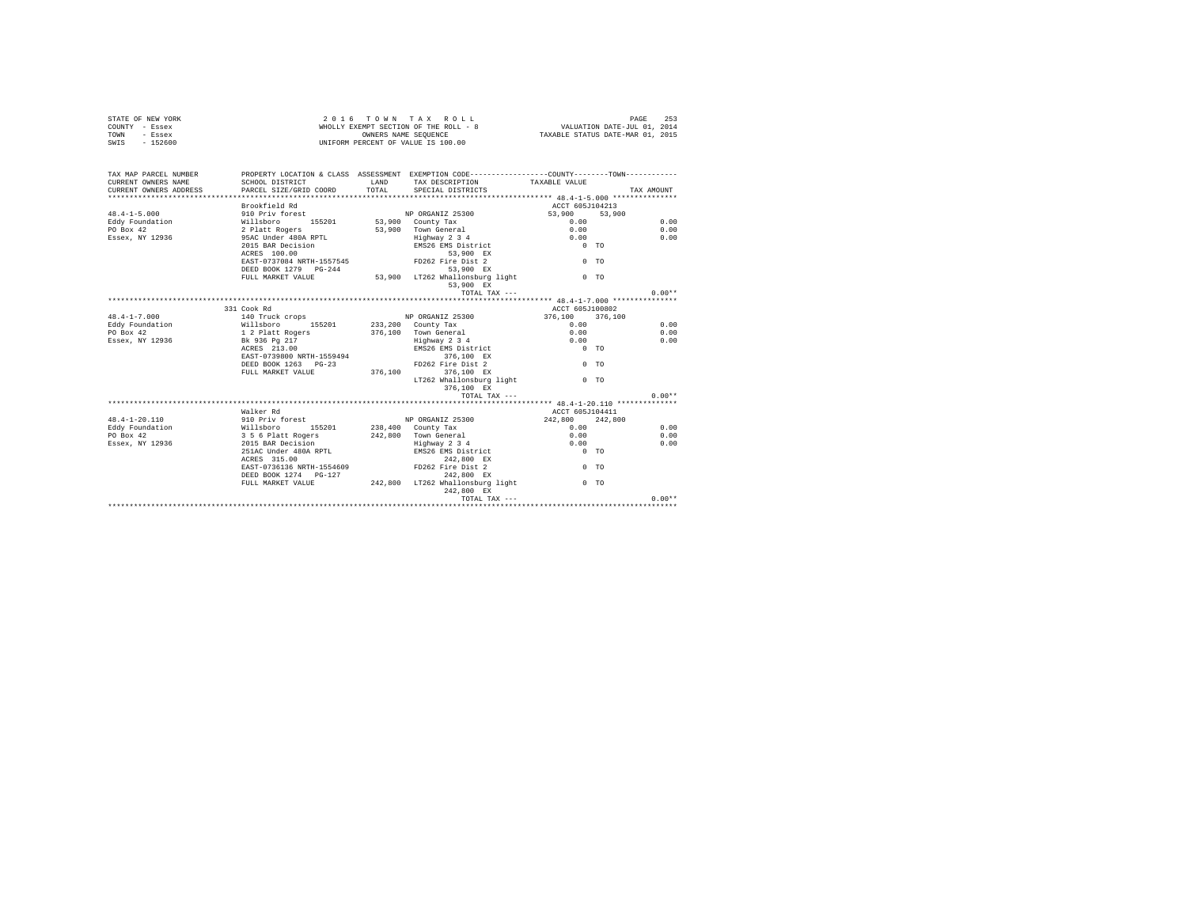|                | STATE OF NEW YORK | 2016 TOWN TAX ROLL                    |  |                      |  |  | 253<br>PAGE                      |
|----------------|-------------------|---------------------------------------|--|----------------------|--|--|----------------------------------|
| COUNTY - Essex |                   | WHOLLY EXEMPT SECTION OF THE ROLL - 8 |  |                      |  |  | VALUATION DATE-JUL 01, 2014      |
| TOWN           | - Essex           |                                       |  | OWNERS NAME SEOUENCE |  |  | TAXABLE STATUS DATE-MAR 01, 2015 |
| SWIS           | $-152600$         | UNIFORM PERCENT OF VALUE IS 100.00    |  |                      |  |  |                                  |

| TAX MAP PARCEL NUMBER<br>CURRENT OWNERS NAME<br>VERTRICH STATES AND THE COMPANY OF THE COMPANY OF THE COMPANY OR THE COMPANY OR THE COMPANY THE COMPANY TRANSFORMATION TRANSFORMATION TRANSFORMATION TRANSFORMATION TRANSFORMATION TRANSFORMATION TRANSFORMATION TRANSFORMATIO | PROPERTY LOCATION & CLASS ASSESSMENT EXEMPTION CODE----------------COUNTY--------TOWN-----------<br>SCHOOL DISTRICT | LAND TAX DESCRIPTION TAXABLE VALUE                             |                                                     |          |
|--------------------------------------------------------------------------------------------------------------------------------------------------------------------------------------------------------------------------------------------------------------------------------|---------------------------------------------------------------------------------------------------------------------|----------------------------------------------------------------|-----------------------------------------------------|----------|
|                                                                                                                                                                                                                                                                                |                                                                                                                     |                                                                |                                                     |          |
|                                                                                                                                                                                                                                                                                | Brookfield Rd                                                                                                       |                                                                | ACCT 605J104213                                     |          |
| $48.4 - 1 - 5.000$                                                                                                                                                                                                                                                             | 910 Priv forest                                                                                                     | NP ORGANIZ 25300                                               | $53,900$ $53,900$<br>0.00                           |          |
| 48.4-1--->.000 Millaboro 152.01 53,900 County Tax<br>Eddy Foundation Millaboro 1552.01 53,900 County Tax<br>FOBox 42 2016 2 Platt Rogers 53,900 Town General<br>Essex, NY 12936 95AC Under 480A RPTL Highway 2 3 4                                                             |                                                                                                                     |                                                                |                                                     | 0.00     |
|                                                                                                                                                                                                                                                                                |                                                                                                                     | 53,900 Town General 0.00                                       |                                                     | 0.00     |
|                                                                                                                                                                                                                                                                                |                                                                                                                     | Highway 2 3 4<br>EMS26 EMS District                            |                                                     | 0.00     |
|                                                                                                                                                                                                                                                                                | 2015 BAR Decision<br>ACRES 100.00                                                                                   |                                                                | $\begin{matrix} 0.00 \\ 0 & \text{TO} \end{matrix}$ |          |
|                                                                                                                                                                                                                                                                                |                                                                                                                     | 53,900 EX                                                      |                                                     |          |
|                                                                                                                                                                                                                                                                                | EAST-0737084 NRTH-1557545 FD262 Fire Dist 2                                                                         |                                                                | $0$ TO                                              |          |
|                                                                                                                                                                                                                                                                                | DEED BOOK 1279 PG-244                                                                                               | 53,900 EX<br>53,900 EX<br>53,900 LT262 Whallonsburg light 0 TO |                                                     |          |
|                                                                                                                                                                                                                                                                                | FULL MARKET VALUE                                                                                                   |                                                                |                                                     |          |
|                                                                                                                                                                                                                                                                                |                                                                                                                     | 53,900 EX                                                      |                                                     |          |
|                                                                                                                                                                                                                                                                                |                                                                                                                     | TOTAL TAX ---                                                  |                                                     | $0.00**$ |
|                                                                                                                                                                                                                                                                                |                                                                                                                     |                                                                |                                                     |          |
|                                                                                                                                                                                                                                                                                | 331 Cook Rd                                                                                                         |                                                                | ACCT 605J100802                                     |          |
|                                                                                                                                                                                                                                                                                |                                                                                                                     |                                                                | 376,100 376,100                                     |          |
|                                                                                                                                                                                                                                                                                |                                                                                                                     |                                                                | 0.00                                                | 0.00     |
|                                                                                                                                                                                                                                                                                |                                                                                                                     |                                                                | 0.00                                                | 0.00     |
|                                                                                                                                                                                                                                                                                |                                                                                                                     | Fighway 2 3 4<br>EMS26 EMS District 0 TO                       |                                                     | 0.00     |
|                                                                                                                                                                                                                                                                                | ACRES 213.00                                                                                                        | 376,100 EX                                                     |                                                     |          |
|                                                                                                                                                                                                                                                                                | EAST-0739800 NRTH-1559494<br>DEED BOOK 1263 PG-23                                                                   | 376,100 EX<br>FD262 Fire Dist 2                                | $0$ TO                                              |          |
|                                                                                                                                                                                                                                                                                | FULL MARKET VALUE 376,100 376,100 EX                                                                                |                                                                |                                                     |          |
|                                                                                                                                                                                                                                                                                |                                                                                                                     | LT262 Whallonsburg light 0 TO                                  |                                                     |          |
|                                                                                                                                                                                                                                                                                |                                                                                                                     | 376,100 EX                                                     |                                                     |          |
|                                                                                                                                                                                                                                                                                |                                                                                                                     | TOTAL TAX ---                                                  |                                                     | $0.00**$ |
|                                                                                                                                                                                                                                                                                |                                                                                                                     |                                                                |                                                     |          |
|                                                                                                                                                                                                                                                                                | Walker Rd                                                                                                           |                                                                | ACCT 605J104411                                     |          |
| 48.4-1-20.110                                                                                                                                                                                                                                                                  |                                                                                                                     |                                                                |                                                     |          |
| Eddy Foundation                                                                                                                                                                                                                                                                |                                                                                                                     |                                                                | $242,800$ $242,800$<br>0.00                         | 0.00     |
| PO Box 42                                                                                                                                                                                                                                                                      |                                                                                                                     |                                                                |                                                     | 0.00     |
| Essex, NY 12936 2015 BAR Decision                                                                                                                                                                                                                                              |                                                                                                                     |                                                                |                                                     | 0.00     |
|                                                                                                                                                                                                                                                                                | 251AC Under 480A RPTL BMS26 EMS District<br>ACRES 315.00 EX<br>EAST-0736136 NRTH-1554609 PD262 Pire Dist 2          | Highway 2 3 4 0.00<br>EMS26 EMS District 0 0 TO                |                                                     |          |
|                                                                                                                                                                                                                                                                                |                                                                                                                     |                                                                |                                                     |          |
|                                                                                                                                                                                                                                                                                |                                                                                                                     |                                                                | $0$ TO                                              |          |
|                                                                                                                                                                                                                                                                                | DEED BOOK 1274   PG-127                                                                                             | 242.800 EX                                                     |                                                     |          |
|                                                                                                                                                                                                                                                                                |                                                                                                                     | FULL MARKET VALUE 7 242,800 LT262 Whallonsburg light 0 TO      |                                                     |          |
|                                                                                                                                                                                                                                                                                |                                                                                                                     | 242,800 EX                                                     |                                                     |          |
|                                                                                                                                                                                                                                                                                |                                                                                                                     |                                                                |                                                     | $0.00**$ |
|                                                                                                                                                                                                                                                                                |                                                                                                                     |                                                                |                                                     |          |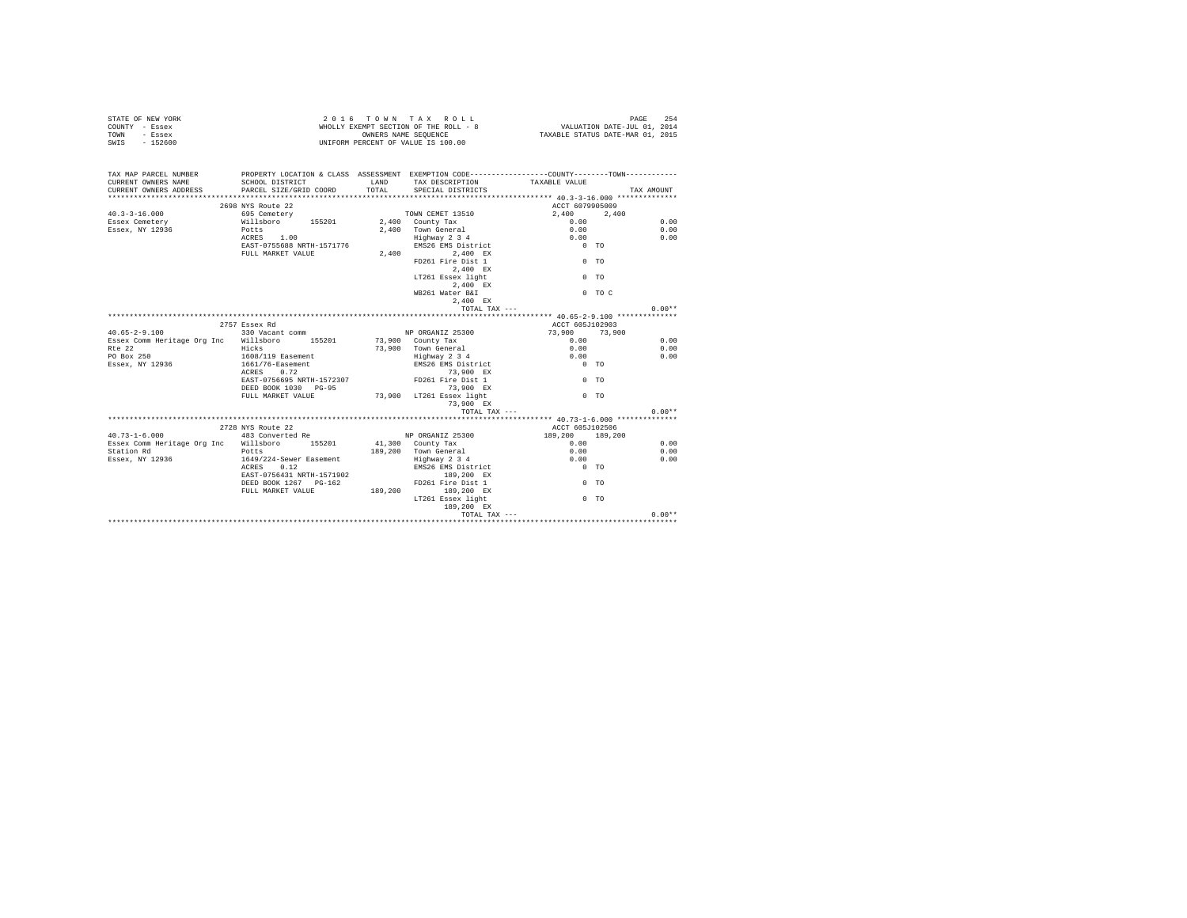| STATE OF NEW YORK<br>COUNTY - Essex<br>TOWN - Essex<br>SWIS - 152600                                                                                                | WHOLLY EXEMPT SECTION ON THE SEQUENCE<br>OWNERS NAME SEQUENCE<br>UNIFORM PERCENT OF VALUE IS 100.00                                                                                                                                                                                                |               |                                                                                                                                                                                                                  |                                                                                                  |                      |  |  |
|---------------------------------------------------------------------------------------------------------------------------------------------------------------------|----------------------------------------------------------------------------------------------------------------------------------------------------------------------------------------------------------------------------------------------------------------------------------------------------|---------------|------------------------------------------------------------------------------------------------------------------------------------------------------------------------------------------------------------------|--------------------------------------------------------------------------------------------------|----------------------|--|--|
| TAX MAP PARCEL NUMBER PROPERTY LOCATION & CLASS ASSESSMENT EXEMPTION CODE---------------COUNTY-------TOWN---------<br>CURRENT OWNERS NAME<br>CURRENT OWNERS ADDRESS | SCHOOL DISTRICT<br>PARCEL SIZE/GRID COORD                                                                                                                                                                                                                                                          | LAND<br>TOTAL | TAX DESCRIPTION TAXABLE VALUE<br>SPECIAL DISTRICTS                                                                                                                                                               |                                                                                                  | TAX AMOUNT           |  |  |
| $40.3 - 3 - 16.000$<br>Essex Cemetery<br>Essex, NY 12936                                                                                                            | 2698 NYS Route 22<br>$\frac{1}{50}$ and $\frac{1}{50}$ cemetery<br>695 Cemetery<br>سادد المسلم العربي المسلم العربي المسلم العربي العربي العربي العربي العربي العربي العربي العربي العربي العربي<br>2.400 [otts   2.400 ]<br>Potts<br>ACRES 1.00<br>EAST-0755688 NRTH-1571776<br>FULL MARKET VALUE |               | $2,400$ Town General<br>Highway 2 3 4<br>EMS26 EMS 2 J<br>EMS26 EMS District<br>2,400 PD261 Fire Dist 1<br>2,400 EX<br>LT261 Essex light<br>$2,400$ EX<br>WB261 Water B&I<br>2,400 EX                            | ACCT 6079905009<br>2,400 2,400<br>0.00<br>0.00<br>0.00<br>$0$ TO<br>$0$ TO<br>$0$ TO<br>$0$ TO C | 0.00<br>0.00<br>0.00 |  |  |
| $0.00**$<br>TOTAL TAX ---                                                                                                                                           |                                                                                                                                                                                                                                                                                                    |               |                                                                                                                                                                                                                  |                                                                                                  |                      |  |  |
| $40.65 - 2 - 9.100$                                                                                                                                                 | 2757 Essex Rd<br>330 Vacant comm                                                                                                                                                                                                                                                                   |               | NP ORGANIZ 25300                                                                                                                                                                                                 | ACCT 605J102903                                                                                  |                      |  |  |
| Essex Comm Heritage Org Inc Willsboro 155201 73,900 County Tax<br>$R \uparrow \rho$ 22<br>PO Box 250<br>Essex, NY 12936                                             | Hicks<br><br>1608/119 Easement<br>1661/76-Easement<br>ACRES 0.72                                                                                                                                                                                                                                   |               | 73,900 Town General                                                                                                                                                                                              | $73,900$ $73,900$<br>0.00<br>0.00<br>0.00<br>$0$ TO                                              | 0.00<br>0.00<br>0.00 |  |  |
|                                                                                                                                                                     | DEED BOOK 1030 PG-95<br>FULL MARKET VALUE 73,900 LT261 Essex light                                                                                                                                                                                                                                 |               | 73,900 EX                                                                                                                                                                                                        | $0$ TO<br>$0$ TO                                                                                 |                      |  |  |
|                                                                                                                                                                     |                                                                                                                                                                                                                                                                                                    |               | TOTAL TAX ---                                                                                                                                                                                                    |                                                                                                  | $0.00**$             |  |  |
|                                                                                                                                                                     | 2728 NYS Route 22                                                                                                                                                                                                                                                                                  |               |                                                                                                                                                                                                                  | ACCT 605J102506                                                                                  |                      |  |  |
| $40.73 - 1 - 6.000$<br>Essex Comm Heritage Org Inc Willsboro 155201<br>Station Rd<br>Essex, NY 12936                                                                | 483 Converted Re<br>Potts<br>1649/224-Sewer Easement<br>ACRES 0.12<br>EAST-0756431 NRTH-1571902<br>DEED BOOK 1267 PG-162<br>FULL MARKET VALUE 189,200 189,200 EX                                                                                                                                   |               | 41,300 County Tax<br>------ county Tax<br>189,200 Town General<br>Highway 2 3 4<br>EMS26 EMS District<br>EMS26 EMS District<br>189,200 EX<br>FD261 Fire Dist 1<br>LT261 Essex light<br>Essex light<br>189,200 EX | NP ORGANIZ 25300 189,200 189,200<br>0.00<br>0.00<br>0.00<br>$0$ TO<br>$0$ TO<br>$0$ TO           | 0.00<br>0.00<br>0.00 |  |  |
|                                                                                                                                                                     |                                                                                                                                                                                                                                                                                                    |               |                                                                                                                                                                                                                  | TOTAL TAX ---                                                                                    | $0.00**$             |  |  |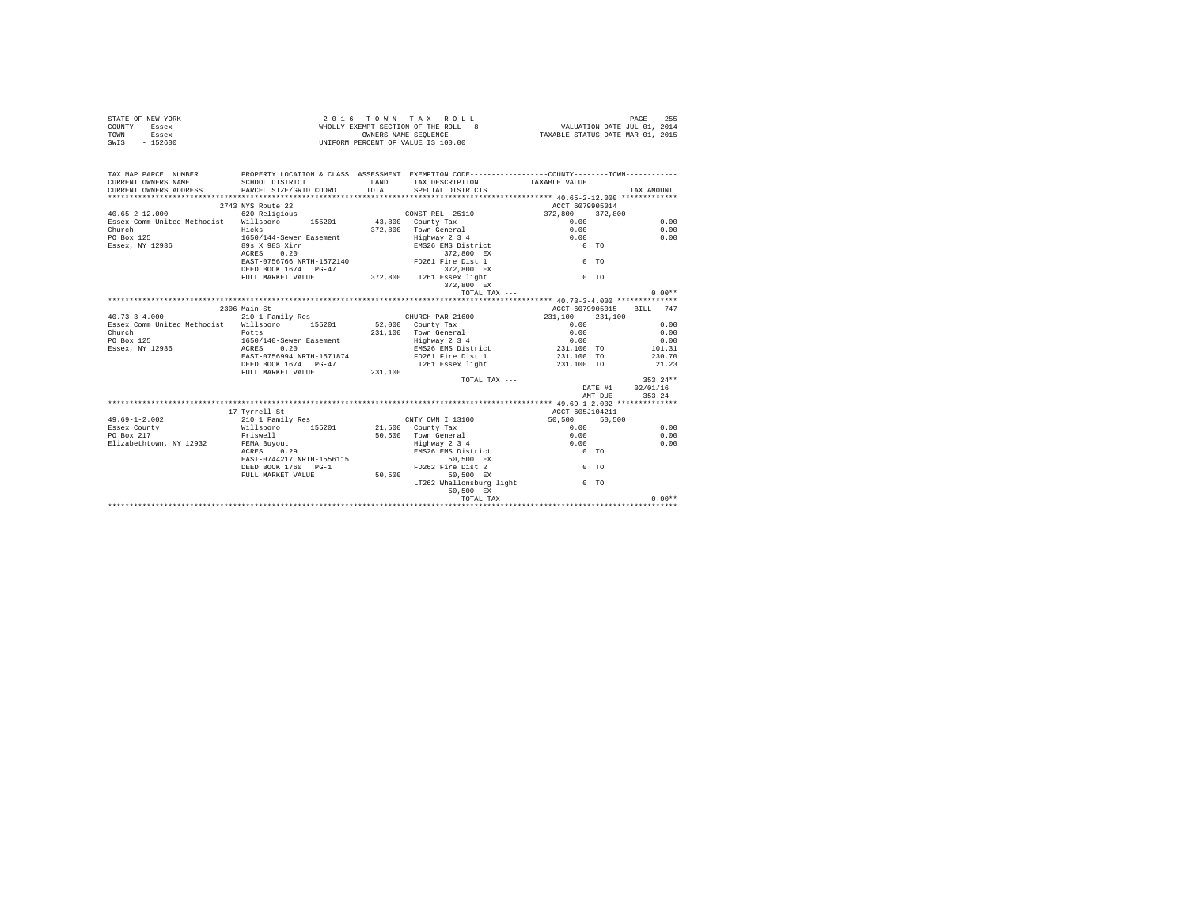|                | STATE OF NEW YORK | 2016 TOWN TAX ROLL                    |  |                      |  |  |  | 255<br>PAGE                      |  |
|----------------|-------------------|---------------------------------------|--|----------------------|--|--|--|----------------------------------|--|
| COUNTY - Essex |                   | WHOLLY EXEMPT SECTION OF THE ROLL - 8 |  |                      |  |  |  | VALUATION DATE-JUL 01, 2014      |  |
| TOWN           | - Essex           |                                       |  | OWNERS NAME SEOUENCE |  |  |  | TAXABLE STATUS DATE-MAR 01, 2015 |  |
| SWIS           | - 152600          | UNIFORM PERCENT OF VALUE IS 100.00    |  |                      |  |  |  |                                  |  |

| TAX MAP PARCEL NUMBER<br>CURRENT OWNERS NAME<br>CURRENT OWNERS ADDRESS PARCEL SIZE/GRID COORD TOTAL SPECIAL DISTRICTS | PROPERTY LOCATION & CLASS ASSESSMENT EXEMPTION CODE----------------COUNTY--------TOWN----------<br>SCHOOL DISTRICT | LAND TAX DESCRIPTION TAXABLE VALUE            |                                                              |         |                          |
|-----------------------------------------------------------------------------------------------------------------------|--------------------------------------------------------------------------------------------------------------------|-----------------------------------------------|--------------------------------------------------------------|---------|--------------------------|
|                                                                                                                       |                                                                                                                    |                                               |                                                              |         | TAX AMOUNT               |
|                                                                                                                       | 2743 NYS Route 22                                                                                                  |                                               | ACCT 6079905014                                              |         |                          |
|                                                                                                                       |                                                                                                                    |                                               | 372,800 372,800                                              |         |                          |
| 40.65-2-12.000 620 Religious CONSTREL 25110<br>Essex Comm United Methodist Willsboro 155201 43,800 County Tax         |                                                                                                                    |                                               | 0.00                                                         |         | 0.00                     |
|                                                                                                                       | Hicks                                                                                                              |                                               |                                                              |         | 0.00                     |
| Church                                                                                                                |                                                                                                                    | 372,800 Town General 0.00                     |                                                              |         |                          |
| PO Box 125                                                                                                            |                                                                                                                    | Highway 2 3 4<br>EMS26 EMS District           | $\begin{matrix} 0\, .\, 0\, 0 \\ 0\, \text{TO} \end{matrix}$ |         | 0.00                     |
| Essex, NY 12936                                                                                                       | 1650/144-Sewer Easement<br>89s X 98S Xirr<br>ACRES 0.20                                                            | 372,800 EX                                    |                                                              |         |                          |
|                                                                                                                       | EAST-0756766 NRTH-1572140 FD261 Fire Dist 1                                                                        |                                               | $0$ TO                                                       |         |                          |
|                                                                                                                       |                                                                                                                    |                                               |                                                              |         |                          |
|                                                                                                                       | DEED BOOK 1674 PG-47 372,800 LT261 ESSex light<br>FULL MARKET VALUE 372,800 LT261 ESSex light                      |                                               | $0$ TO                                                       |         |                          |
|                                                                                                                       |                                                                                                                    | $372,800$ EX                                  |                                                              |         |                          |
|                                                                                                                       |                                                                                                                    |                                               |                                                              |         |                          |
|                                                                                                                       |                                                                                                                    | TOTAL TAX ---                                 |                                                              |         | $0.00**$                 |
|                                                                                                                       |                                                                                                                    |                                               |                                                              |         |                          |
|                                                                                                                       | 2306 Main St                                                                                                       |                                               |                                                              |         | ACCT 6079905015 BILL 747 |
| 40.73-3-4.000 210 1 Family Res CHURCH PAR 21600                                                                       |                                                                                                                    |                                               | 231,100 231,100                                              |         |                          |
| Essex Comm United Methodist Willsboro 155201                                                                          |                                                                                                                    | 52,000 County Tax                             |                                                              |         |                          |
| Church<br>Church<br>PO Box 125                                                                                        | Potts                                                                                                              |                                               |                                                              |         |                          |
|                                                                                                                       | 1650/140-Sewer Easement                                                                                            |                                               |                                                              |         |                          |
| Essex, NY 12936 ACRES                                                                                                 | 0.20                                                                                                               |                                               |                                                              |         |                          |
|                                                                                                                       | RAST-0756994 NRTH-1571874                                                                                          | FD261 Fire Dist 1<br>LT261 Essex light        | 231,100 TO                                                   |         | 230.70                   |
|                                                                                                                       | DEED BOOK 1674 PG-47                                                                                               |                                               | 231,100 TO                                                   |         | 21.23                    |
|                                                                                                                       | FULL MARKET VALUE 231,100                                                                                          |                                               |                                                              |         |                          |
|                                                                                                                       |                                                                                                                    |                                               | TOTAL TAX ---                                                |         | $353.24**$               |
|                                                                                                                       |                                                                                                                    |                                               |                                                              |         | DATE #1 02/01/16         |
|                                                                                                                       |                                                                                                                    |                                               |                                                              | AMT DUE | 353.24                   |
|                                                                                                                       |                                                                                                                    |                                               |                                                              |         |                          |
|                                                                                                                       | 17 Tvrrell St                                                                                                      |                                               | ACCT 605J104211                                              |         |                          |
| $49.69 - 1 - 2.002$                                                                                                   |                                                                                                                    |                                               | $50,500$ $50,500$<br>0.00                                    |         |                          |
| Essex County                                                                                                          |                                                                                                                    |                                               |                                                              |         | 0.00                     |
| PO Box 217                                                                                                            | Friswell                                                                                                           | 50,500 Town General 0.00                      |                                                              |         | 0.00                     |
| PO Box 21/<br>Elizabethtown, NY 12932 FEMA Buyout<br>ACPES 0.29                                                       |                                                                                                                    | Highway 2 3 4 0.00<br>EMS26 EMS District 0 TO |                                                              |         | 0.00                     |
|                                                                                                                       |                                                                                                                    |                                               |                                                              |         |                          |
|                                                                                                                       | EAST-0744217 NRTH-1556115                                                                                          | 50,500 EX                                     |                                                              |         |                          |
|                                                                                                                       | DEED BOOK 1760 PG-1                                                                                                | FD262 Fire Dist 2                             | $0$ TO                                                       |         |                          |
|                                                                                                                       | ${\tt FULL \  \  \, MARKET \  \  \, VALUE} \qquad \qquad {\tt 50,500}$                                             | 50.500 EX                                     |                                                              |         |                          |
|                                                                                                                       |                                                                                                                    | LT262 Whallonsburg light 0 TO                 |                                                              |         |                          |
|                                                                                                                       |                                                                                                                    | 50,500 EX                                     |                                                              |         |                          |
|                                                                                                                       |                                                                                                                    |                                               |                                                              |         | $0.00**$                 |
|                                                                                                                       |                                                                                                                    |                                               |                                                              |         |                          |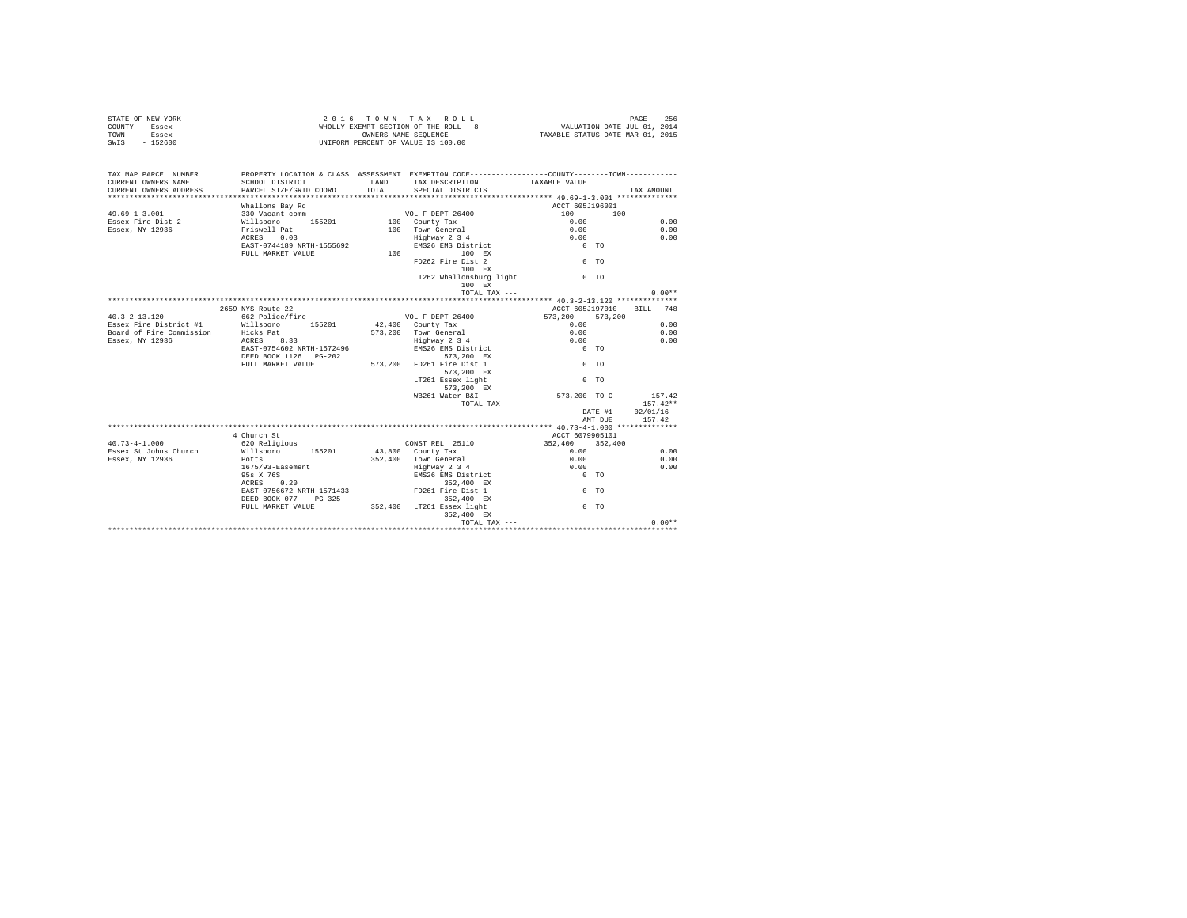| STATE OF NEW YORK<br>COUNTY - Essex<br>TOWN<br>- Essex<br>SWIS - 152600 |                                           |                | 2016 TOWN TAX ROLL<br>$\begin{array}{lcl} \textit{Z} & \textit{U} & \textit{I} & \textit{U} & \textit{W} & \textit{W} & \textit{X} & \textit{X} & \textit{W} & \textit{U} & \textit{L} \\ \textit{W}\textit{HOLLY} & \textit{EXEMENT} & \textit{SISTENT} & \textit{SISTENT} & \textit{SISTENT} & \textit{SISTENT} & \textit{SISTENT} & \textit{SISTENT} & \textit{SISTENT} & \textit{SISTENT} & \textit{SISTENT} & \textit{SISTENT} & \textit{SISTENT} & \textit{SISTENT} & \textit{S$<br>UNIFORM PERCENT OF VALUE IS 100.00 |                            | PAGE<br>256 |
|-------------------------------------------------------------------------|-------------------------------------------|----------------|------------------------------------------------------------------------------------------------------------------------------------------------------------------------------------------------------------------------------------------------------------------------------------------------------------------------------------------------------------------------------------------------------------------------------------------------------------------------------------------------------------------------------|----------------------------|-------------|
| TAX MAP PARCEL NUMBER<br>CURRENT OWNERS NAME<br>CURRENT OWNERS ADDRESS  | SCHOOL DISTRICT<br>PARCEL SIZE/GRID COORD | LAND<br>TOTAL. | PROPERTY LOCATION & CLASS ASSESSMENT EXEMPTION CODE----------------COUNTY--------TOWN----------<br>TAX DESCRIPTION<br>SPECIAL DISTRICTS                                                                                                                                                                                                                                                                                                                                                                                      | TAXABLE VALUE              | TAX AMOUNT  |
|                                                                         | Whallons Bay Rd                           |                |                                                                                                                                                                                                                                                                                                                                                                                                                                                                                                                              | ACCT 605J196001            |             |
| $49.69 - 1 - 3.001$                                                     | 330 Vacant comm                           |                |                                                                                                                                                                                                                                                                                                                                                                                                                                                                                                                              | 100<br>100                 |             |
| Essex Fire Dist 2                                                       | Willsboro 155201                          |                | VOL F DEPT 26400<br>100 County Tax                                                                                                                                                                                                                                                                                                                                                                                                                                                                                           | 0.00                       | 0.00        |
| Essex, NY 12936                                                         | Friswell Pat                              |                | 100 Town General                                                                                                                                                                                                                                                                                                                                                                                                                                                                                                             | 0.00                       | 0.00        |
|                                                                         | ACRES 0.03                                |                | $Highway$ 2 3 4                                                                                                                                                                                                                                                                                                                                                                                                                                                                                                              | 0.00                       | 0.00        |
|                                                                         | EAST-0744189 NRTH-1555692                 |                | EMS26 EMS District                                                                                                                                                                                                                                                                                                                                                                                                                                                                                                           | $0$ TO                     |             |
|                                                                         | FULL MARKET VALUE                         |                | 100 100 EX                                                                                                                                                                                                                                                                                                                                                                                                                                                                                                                   |                            |             |
|                                                                         |                                           |                | FD262 Fire Dist 2                                                                                                                                                                                                                                                                                                                                                                                                                                                                                                            | $0$ TO                     |             |
|                                                                         |                                           |                | 100 EX<br>LT262 Whallonsburg light                                                                                                                                                                                                                                                                                                                                                                                                                                                                                           | 0 <sub>0</sub>             |             |
|                                                                         |                                           |                | 100 EX                                                                                                                                                                                                                                                                                                                                                                                                                                                                                                                       |                            |             |
|                                                                         |                                           |                | TOTAL TAX ---                                                                                                                                                                                                                                                                                                                                                                                                                                                                                                                |                            | $0.00**$    |
|                                                                         |                                           |                |                                                                                                                                                                                                                                                                                                                                                                                                                                                                                                                              |                            |             |
|                                                                         | 2659 NYS Route 22<br>662 Police/fire      |                |                                                                                                                                                                                                                                                                                                                                                                                                                                                                                                                              | ACCT 605J197010            | 748<br>BTLL |
| $40.3 - 2 - 13.120$<br>Essex Fire District #1                           | Willsboro 155201                          |                | VOL F DEPT 26400<br>42.400 County Tax                                                                                                                                                                                                                                                                                                                                                                                                                                                                                        | 573,200<br>573,200<br>0.00 | 0.00        |
| Board of Fire Commission                                                | Hicks Pat                                 |                |                                                                                                                                                                                                                                                                                                                                                                                                                                                                                                                              | 0.00                       | 0.00        |
| Essex, NY 12936                                                         | ACRES 8.33                                |                | 573,200 Town General<br>Highway 2 3 4                                                                                                                                                                                                                                                                                                                                                                                                                                                                                        | 0.00                       | 0.00        |
|                                                                         | EAST-0754602 NRTH-1572496                 |                | EMS26 EMS District                                                                                                                                                                                                                                                                                                                                                                                                                                                                                                           | $0$ TO                     |             |
|                                                                         | DEED BOOK 1126   PG-202                   |                |                                                                                                                                                                                                                                                                                                                                                                                                                                                                                                                              |                            |             |
|                                                                         | FULL MARKET VALUE                         |                | 573,200 FD261 Fire Dist 1<br>573,200 FD261 Fire Dist 1<br>573,200 EX                                                                                                                                                                                                                                                                                                                                                                                                                                                         | $0$ TO                     |             |
|                                                                         |                                           |                | LT261 Essex light<br>573,200 EX                                                                                                                                                                                                                                                                                                                                                                                                                                                                                              | $\sim$ 0 TO                |             |
|                                                                         |                                           |                | WB261 Water B&I                                                                                                                                                                                                                                                                                                                                                                                                                                                                                                              | 573,200 TO C               | 157.42      |
|                                                                         |                                           |                | TOTAL TAX ---                                                                                                                                                                                                                                                                                                                                                                                                                                                                                                                |                            | $157.42**$  |
|                                                                         |                                           |                |                                                                                                                                                                                                                                                                                                                                                                                                                                                                                                                              | DATE #1                    | 02/01/16    |
|                                                                         |                                           |                |                                                                                                                                                                                                                                                                                                                                                                                                                                                                                                                              | AMT DUE                    | 157.42      |
|                                                                         |                                           |                |                                                                                                                                                                                                                                                                                                                                                                                                                                                                                                                              |                            |             |
|                                                                         | 4 Church St                               |                |                                                                                                                                                                                                                                                                                                                                                                                                                                                                                                                              | ACCT 6079905101            |             |
| $40.73 - 4 - 1.000$                                                     | 620 Religious                             |                | CONST REL 25110                                                                                                                                                                                                                                                                                                                                                                                                                                                                                                              | 352,400<br>352,400         |             |
| Essex St Johns Church                                                   | Willsboro<br>155201                       |                | 43,800 County Tax                                                                                                                                                                                                                                                                                                                                                                                                                                                                                                            | 0.00                       | 0.00        |
| Essex, NY 12936                                                         | Potts                                     |                | 352.400 Town General                                                                                                                                                                                                                                                                                                                                                                                                                                                                                                         | 0.00                       | 0.00        |
|                                                                         | 1675/93-Easement                          |                | Highway 2 3 4                                                                                                                                                                                                                                                                                                                                                                                                                                                                                                                | 0.00                       | 0.00        |
|                                                                         | 95s X 76S                                 |                | EMS26 EMS District                                                                                                                                                                                                                                                                                                                                                                                                                                                                                                           | $0$ TO                     |             |
|                                                                         | ACRES 0.20                                |                | $352,400$ EX<br>$-352,400$ EX                                                                                                                                                                                                                                                                                                                                                                                                                                                                                                |                            |             |
|                                                                         | EAST-0756672 NRTH-1571433                 |                | FD261 Fire Dist 1                                                                                                                                                                                                                                                                                                                                                                                                                                                                                                            | $0$ TO                     |             |
|                                                                         | DEED BOOK 077 PG-325                      |                | 352,400 EX                                                                                                                                                                                                                                                                                                                                                                                                                                                                                                                   | $0$ TO                     |             |
|                                                                         | FULL MARKET VALUE                         |                | 352,400 LT261 Essex light                                                                                                                                                                                                                                                                                                                                                                                                                                                                                                    |                            |             |
|                                                                         |                                           |                | 352.400 EX<br>TOTAL TAX ---                                                                                                                                                                                                                                                                                                                                                                                                                                                                                                  |                            | $0.00**$    |
|                                                                         |                                           |                |                                                                                                                                                                                                                                                                                                                                                                                                                                                                                                                              |                            |             |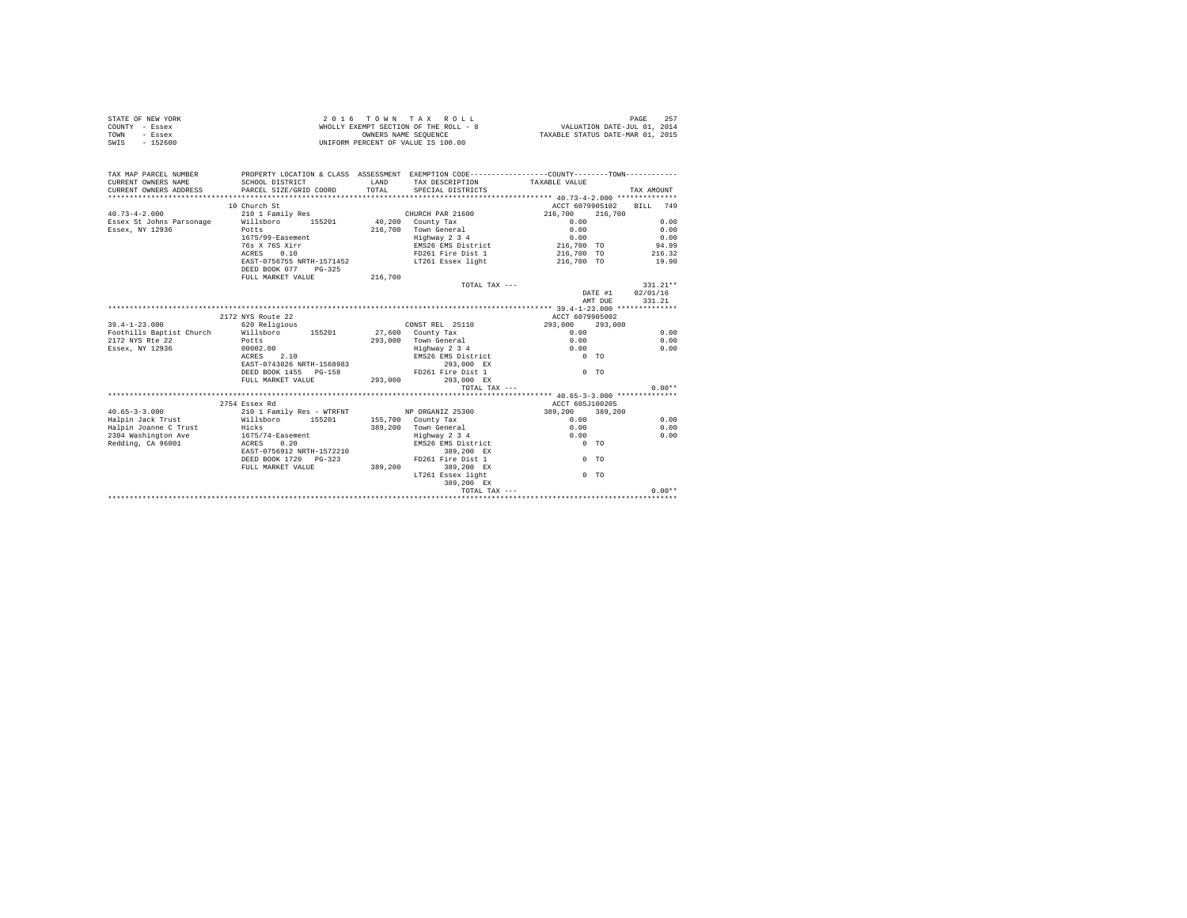|                | STATE OF NEW YORK | 2016 TOWN TAX ROLL                    | - 257<br>PAGE                    |
|----------------|-------------------|---------------------------------------|----------------------------------|
| COUNTY - Essex |                   | WHOLLY EXEMPT SECTION OF THE ROLL - 8 | VALUATION DATE-JUL 01, 2014      |
| TOWN           | - Essex           | OWNERS NAME SEOUENCE                  | TAXABLE STATUS DATE-MAR 01, 2015 |
| SWIS           | $-152600$         | UNIFORM PERCENT OF VALUE IS 100.00    |                                  |

| TAX MAP PARCEL NUMBER                                       |                                            |             | PROPERTY LOCATION & CLASS ASSESSMENT EXEMPTION CODE----------------COUNTY--------TOWN---------- |                 |                  |            |          |
|-------------------------------------------------------------|--------------------------------------------|-------------|-------------------------------------------------------------------------------------------------|-----------------|------------------|------------|----------|
| CURRENT OWNERS NAME                                         | SCHOOL DISTRICT                            | <b>LAND</b> | TAX DESCRIPTION                                                                                 | TAXABLE VALUE   |                  |            |          |
| CURRENT OWNERS ADDRESS                                      | PARCEL SIZE/GRID COORD                     | TOTAL       | SPECIAL DISTRICTS                                                                               |                 |                  | TAX AMOUNT |          |
|                                                             |                                            |             |                                                                                                 |                 |                  |            |          |
|                                                             | 10 Church St                               |             |                                                                                                 | ACCT 6079905102 |                  | BILL 749   |          |
| $40.73 - 4 - 2.000$                                         | 210 1 Family Res                           |             | CHURCH PAR 21600                                                                                | 216,700         | 216,700          |            |          |
| Essex St Johns Parsonage Millsboro 155201                   |                                            |             | 40.200 County Tax                                                                               | 0.00            |                  |            | 0.00     |
| Essex, NY 12936                                             | Potts                                      |             | 216.700 Town General                                                                            | 0.00            |                  |            | 0.00     |
|                                                             | 1675/99-Easement                           |             | Highway 2 3 4                                                                                   | 0.00            |                  |            | 0.00     |
|                                                             | 76s X 76S Xirr                             |             | EMS26 EMS District                                                                              | 216,700 TO      |                  |            | 94.99    |
|                                                             | ACRES 0.10                                 |             | FD261 Fire Dist 1                                                                               | 216,700 TO      |                  |            | 216.32   |
|                                                             | EAST-0756755 NRTH-1571452                  |             | LT261 Essex light                                                                               | 216,700 TO      |                  |            | 19.90    |
|                                                             | DEED BOOK 077 PG-325                       |             |                                                                                                 |                 |                  |            |          |
|                                                             | FULL MARKET VALUE                          | 216,700     |                                                                                                 |                 |                  |            |          |
|                                                             |                                            |             | TOTAL TAX ---                                                                                   |                 |                  | $331.21**$ |          |
|                                                             |                                            |             |                                                                                                 |                 | DATE #1 02/01/16 |            |          |
|                                                             |                                            |             |                                                                                                 |                 | AMT DUE          |            | 331.21   |
|                                                             |                                            |             |                                                                                                 |                 |                  |            |          |
|                                                             | 2172 NYS Route 22                          |             |                                                                                                 | ACCT 6079905002 |                  |            |          |
| $39.4 - 1 - 23.000$                                         | 620 Religious                              |             | CONST REL 25110                                                                                 | 293,000         | 293,000          |            |          |
| Foothills Baptist Church Willsboro 155201                   |                                            |             | 27,600 County Tax                                                                               | 0.00            |                  |            | 0.00     |
| 2172 NYS Rte 22<br><b>Potts</b>                             |                                            |             | 293.000 Town General                                                                            | 0.00            |                  |            | 0.00     |
| Essex, NY 12936                                             | 00002.00                                   |             | Highway 2 3 4                                                                                   | 0.00            |                  |            | 0.00     |
|                                                             | ACRES 2.10                                 |             | EMS26 EMS District                                                                              | $0$ TO          |                  |            |          |
|                                                             | EAST-0743826 NRTH-1568983                  |             | 293,000 EX                                                                                      |                 |                  |            |          |
|                                                             | DEED BOOK 1455 PG-158                      |             | FD261 Fire Dist 1                                                                               | $0$ TO          |                  |            |          |
|                                                             | FULL MARKET VALUE                          | 293,000     | 293,000 EX                                                                                      |                 |                  |            |          |
|                                                             |                                            |             | TOTAL TAX ---                                                                                   |                 |                  |            | $0.00**$ |
|                                                             |                                            |             |                                                                                                 |                 |                  |            |          |
|                                                             | 2754 Essex Rd                              |             |                                                                                                 | ACCT 605J100205 |                  |            |          |
| $40.65 - 3 - 3.000$                                         | 210 1 Family Res - WTRFNT NP ORGANIZ 25300 |             |                                                                                                 | 389,200 389,200 |                  |            |          |
| Halpin Jack Trust 	 Willsboro 	 155201 	 155,700 County Tax |                                            |             |                                                                                                 | 0.00            |                  |            | 0.00     |
|                                                             | Hicks                                      |             | 389,200 Town General                                                                            | 0.00            |                  |            | 0.00     |
| Halpin Joanne C Trust<br>2304 Washington Ave                |                                            |             | Highway 2 3 4                                                                                   | 0.00            |                  |            | 0.00     |
|                                                             | $1675/74$ -Easement<br>ACRES 0.20          |             | EMS26 EMS District                                                                              | $0$ TO          |                  |            |          |
| Redding, CA 96001                                           |                                            |             |                                                                                                 |                 |                  |            |          |
|                                                             | EAST-0756912 NRTH-1572210                  |             | 389,200 EX                                                                                      |                 |                  |            |          |
|                                                             | DEED BOOK 1720 PG-323                      |             | FD261 Fire Dist 1                                                                               | 0 <sub>0</sub>  |                  |            |          |
|                                                             | FULL MARKET VALUE                          | 389,200     | 389.200 EX                                                                                      |                 |                  |            |          |
|                                                             |                                            |             | LT261 Essex light                                                                               | $0$ TO          |                  |            |          |
|                                                             |                                            |             | 389,200 EX                                                                                      |                 |                  |            |          |
|                                                             |                                            |             | TOTAL TAX ---                                                                                   |                 |                  |            | $0.00**$ |
|                                                             |                                            |             |                                                                                                 |                 |                  |            |          |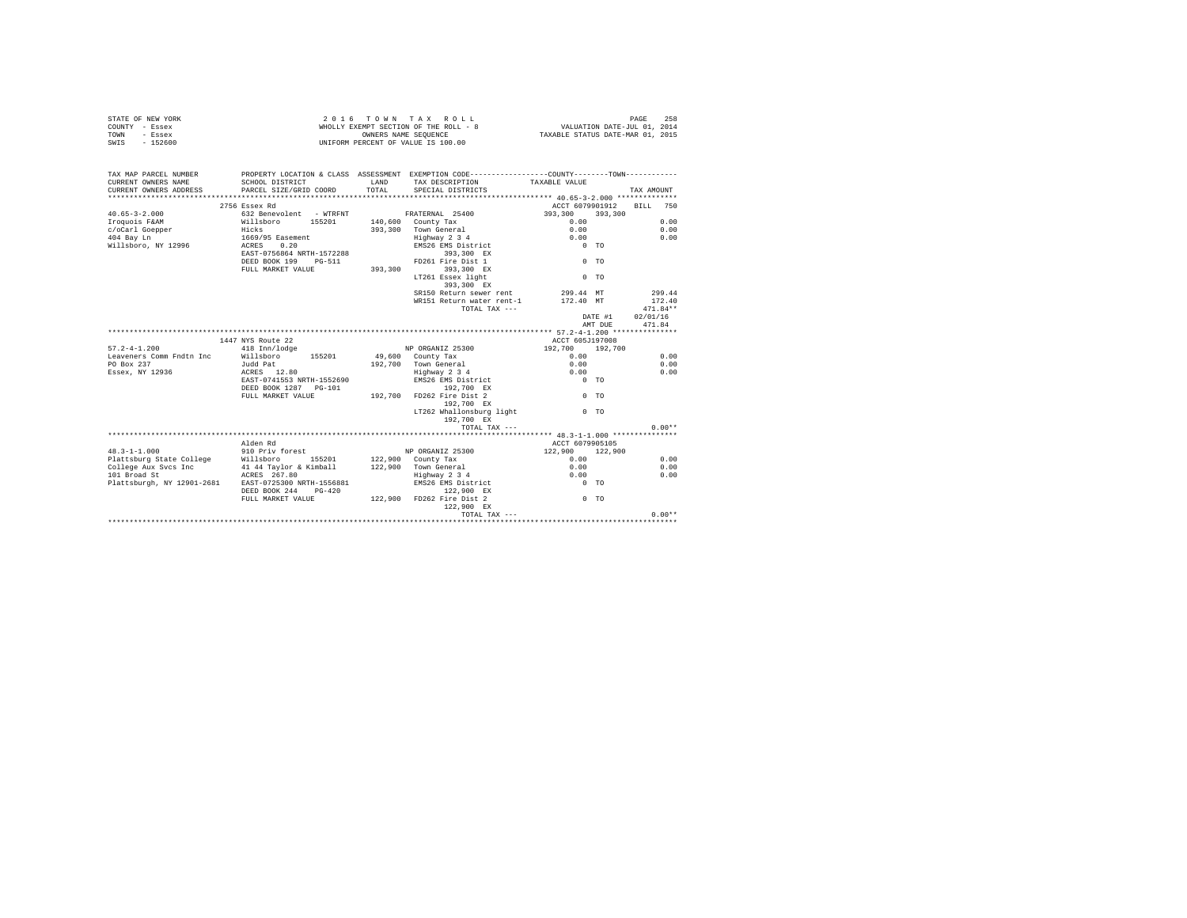| STATE OF NEW YORK | 2016 TOWN TAX ROLL                    | 258<br>PAGE                      |
|-------------------|---------------------------------------|----------------------------------|
| COUNTY - Essex    | WHOLLY EXEMPT SECTION OF THE ROLL - 8 | VALUATION DATE-JUL 01, 2014      |
| TOWN<br>- Essex   | OWNERS NAME SEOUENCE                  | TAXABLE STATUS DATE-MAR 01, 2015 |
| $-152600$<br>SWIS | UNIFORM PERCENT OF VALUE IS 100.00    |                                  |

| TAX MAP PARCEL NUMBER<br>CURRENT OWNERS NAME<br>CURRENT OWNERS ADDRESS | PROPERTY LOCATION & CLASS ASSESSMENT EXEMPTION CODE----------------COUNTY--------TOWN----------<br>SCHOOL DISTRICT<br>PARCEL SIZE/GRID COORD | LAND<br>TOTAL. | TAX DESCRIPTION TAXABLE VALUE<br>SPECIAL DISTRICTS          |                                                         |         | TAX AMOUNT               |
|------------------------------------------------------------------------|----------------------------------------------------------------------------------------------------------------------------------------------|----------------|-------------------------------------------------------------|---------------------------------------------------------|---------|--------------------------|
|                                                                        |                                                                                                                                              |                |                                                             |                                                         |         |                          |
|                                                                        | 2756 Essex Rd                                                                                                                                |                |                                                             |                                                         |         | ACCT 6079901912 BILL 750 |
| $40.65 - 3 - 2.000$                                                    | 632 Benevolent - WTRFNT · FRATERNAL 25400                                                                                                    |                |                                                             | 393,300 393,300                                         |         |                          |
| Iroquois F&AM <b>Willsboro</b> 155201 140,600 County Tax               |                                                                                                                                              |                |                                                             | 0.00                                                    |         | 0.00                     |
|                                                                        |                                                                                                                                              |                | 393,300 Town General                                        | 0.00                                                    |         | 0.00                     |
| c/oCarl Goepper<br>404 Bay Ln                                          | Hicks<br>1669/95 Easement                                                                                                                    |                |                                                             | 0.00                                                    |         | 0.00                     |
| Willsboro, NY 12996 ACRES 0.20                                         |                                                                                                                                              |                | Town General<br>Highway 2 3 4<br>EMS26 EMS District         | $0$ TO                                                  |         |                          |
|                                                                        | EAST-0756864 NRTH-1572288                                                                                                                    |                | 393,300 EX                                                  |                                                         |         |                          |
|                                                                        | DEED BOOK 199 PG-511                                                                                                                         |                | FD261 Fire Dist 1                                           | $0$ TO                                                  |         |                          |
|                                                                        | FULL MARKET VALUE 393,300                                                                                                                    |                | 393,300 EX                                                  |                                                         |         |                          |
|                                                                        |                                                                                                                                              |                | LT261 Essex light                                           | $0$ TO                                                  |         |                          |
|                                                                        |                                                                                                                                              |                | 393,300 EX                                                  |                                                         |         |                          |
|                                                                        |                                                                                                                                              |                | SR150 Return sewer rent                                     | 299.44 MT                                               |         | 299.44                   |
|                                                                        |                                                                                                                                              |                | WR151 Return water rent-1                                   | 172.40 MT                                               |         | 172.40                   |
|                                                                        |                                                                                                                                              |                | TOTAL TAX ---                                               |                                                         |         | $471.84**$               |
|                                                                        |                                                                                                                                              |                |                                                             |                                                         | DATE #1 | 02/01/16                 |
|                                                                        |                                                                                                                                              |                |                                                             |                                                         | AMT DUE | 471.84                   |
|                                                                        |                                                                                                                                              |                |                                                             |                                                         |         |                          |
|                                                                        | 1447 NYS Route 22                                                                                                                            |                |                                                             | ACCT 605J197008                                         |         |                          |
| $57.2 - 4 - 1.200$                                                     | 418 Inn/lodge                                                                                                                                |                | NP ORGANIZ 25300                                            | 192,700 192,700                                         |         |                          |
| Leaveners Comm Fndtn Inc Willsboro 155201 49,600 County Tax            |                                                                                                                                              |                |                                                             | 0.00                                                    |         | 0.00                     |
| PO Box 237                                                             | Judd Pat                                                                                                                                     |                | 192,700 Town General<br>Highway 2 3 4<br>EMS26 EMS District |                                                         |         | 0.00                     |
| Essex, NY 12936                                                        | $ACRES$ 12.80                                                                                                                                |                |                                                             | $\begin{array}{c} 0 \cdot 00 \\ 0 \cdot 00 \end{array}$ |         | 0.00                     |
|                                                                        | EAST-0741553 NRTH-1552690                                                                                                                    |                |                                                             | $0$ TO                                                  |         |                          |
|                                                                        | DEED BOOK 1287 PG-101                                                                                                                        |                |                                                             |                                                         |         |                          |
|                                                                        | FULL MARKET VALUE                                                                                                                            |                | $192,700$ EX<br>u 192,700<br>192,700 FD262 Fire Dist 2      | $0$ TO                                                  |         |                          |
|                                                                        |                                                                                                                                              |                | 192.700 EX                                                  |                                                         |         |                          |
|                                                                        |                                                                                                                                              |                | LT262 Whallonsburg light 0 TO                               |                                                         |         |                          |
|                                                                        |                                                                                                                                              |                | 192.700 EX                                                  |                                                         |         |                          |
|                                                                        |                                                                                                                                              |                | TOTAL TAX ---                                               |                                                         |         | $0.00**$                 |
|                                                                        |                                                                                                                                              |                |                                                             |                                                         |         |                          |
|                                                                        |                                                                                                                                              |                |                                                             | ACCT 6079905105                                         |         |                          |
|                                                                        |                                                                                                                                              |                |                                                             | 122,900 122,900                                         |         |                          |
|                                                                        |                                                                                                                                              |                |                                                             | 0.00                                                    |         | 0.00                     |
|                                                                        |                                                                                                                                              |                |                                                             | 0.00                                                    |         | 0.00                     |
|                                                                        |                                                                                                                                              |                | Highway 2 3 4<br>EMS26 EMS District                         | 0.00                                                    |         | 0.00                     |
|                                                                        |                                                                                                                                              |                |                                                             | $0$ TO                                                  |         |                          |
|                                                                        |                                                                                                                                              |                | 122,900 EX                                                  |                                                         |         |                          |
|                                                                        | FULL MARKET VALUE 422,900 FD262 Fire Dist 2                                                                                                  |                |                                                             | $0$ TO                                                  |         |                          |
|                                                                        |                                                                                                                                              |                | 122,900 EX                                                  |                                                         |         |                          |
|                                                                        |                                                                                                                                              |                |                                                             |                                                         |         |                          |
|                                                                        |                                                                                                                                              |                |                                                             |                                                         |         |                          |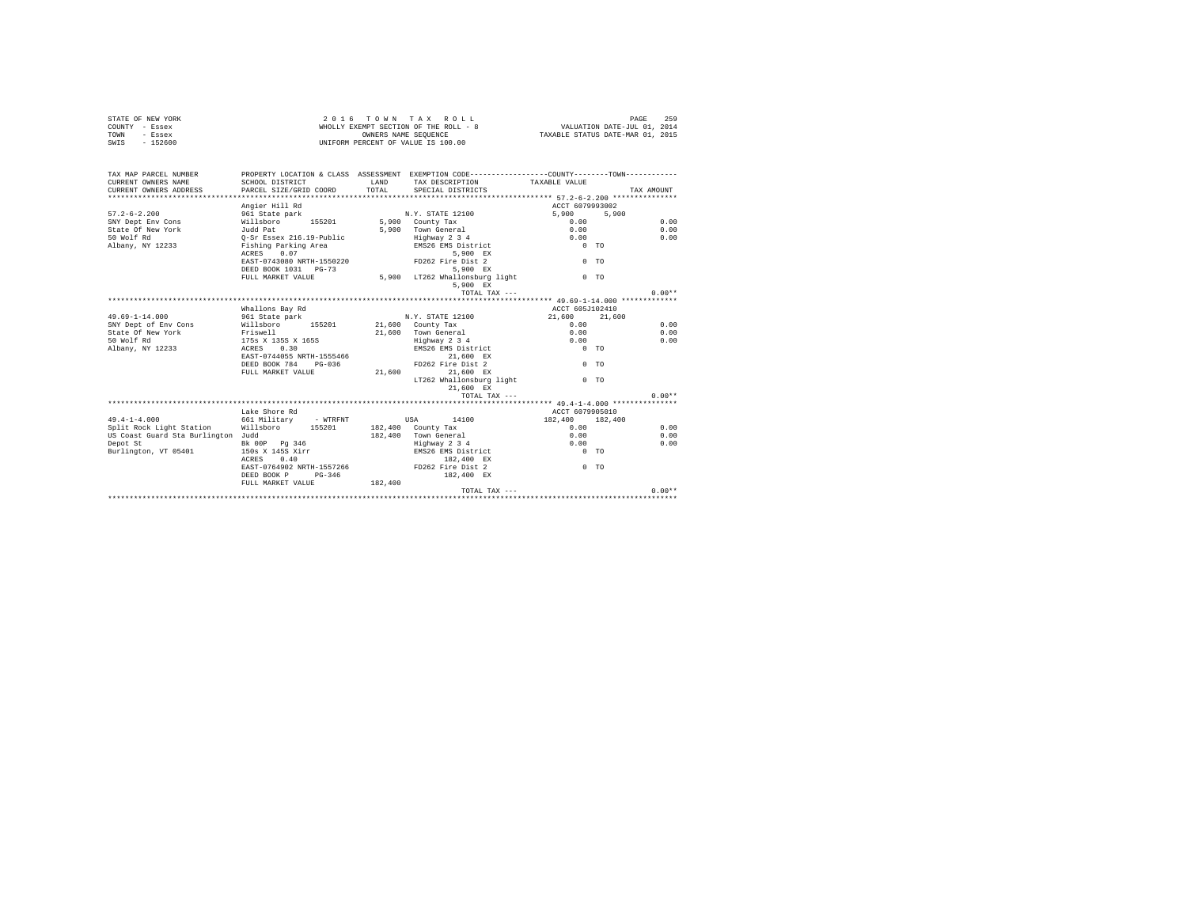| COUNTY - Essex<br>- Essex<br>TOWN  |                           |         | WHOLLY EXEMPT SECTION OF THE ROLL - 8<br>OWNERS NAME SEOUENCE                                | VALUATION DATE-JUL 01, 2014<br>TAXABLE STATUS DATE-MAR 01, 2015 |            |
|------------------------------------|---------------------------|---------|----------------------------------------------------------------------------------------------|-----------------------------------------------------------------|------------|
| SWIS<br>$-152600$                  |                           |         | UNIFORM PERCENT OF VALUE IS 100.00                                                           |                                                                 |            |
|                                    |                           |         |                                                                                              |                                                                 |            |
| TAX MAP PARCEL NUMBER              |                           |         | PROPERTY LOCATION & CLASS ASSESSMENT EXEMPTION CODE---------------COUNTY-------TOWN--------- |                                                                 |            |
| CURRENT OWNERS NAME                | SCHOOL DISTRICT           | LAND    | TAX DESCRIPTION TAXABLE VALUE                                                                |                                                                 |            |
| CURRENT OWNERS ADDRESS             | PARCEL SIZE/GRID COORD    | TOTAL   | SPECIAL DISTRICTS                                                                            |                                                                 | TAX AMOUNT |
|                                    |                           |         |                                                                                              |                                                                 |            |
|                                    | Angier Hill Rd            |         |                                                                                              | ACCT 6079993002                                                 |            |
| $57.2 - 6 - 2.200$                 | 961 State park            |         | N.Y. STATE 12100                                                                             | 5,900<br>5,900                                                  |            |
| SNY Dept Env Cons                  | Willsboro 155201          |         | 5,900 County Tax                                                                             | 0.00                                                            | 0.00       |
| State Of New York                  | Judd Pat                  |         | 5.900 Town General                                                                           | 0.00                                                            | 0.00       |
| 50 Wolf Rd                         | O-Sr Essex 216.19-Public  |         | Highway 2 3 4                                                                                | 0.00                                                            | 0.00       |
| Albany, NY 12233                   | Fishing Parking Area      |         | EMS26 EMS District                                                                           | $0$ TO                                                          |            |
|                                    | ACRES 0.07                |         | 5.900 EX                                                                                     |                                                                 |            |
|                                    | EAST-0743080 NRTH-1550220 |         | FD262 Fire Dist 2                                                                            | 0 <sub>0</sub>                                                  |            |
|                                    | DEED BOOK 1031 PG-73      |         | 5.900 EX                                                                                     |                                                                 |            |
|                                    | FULL MARKET VALUE         |         | 5,900 LT262 Whallonsburg light                                                               | 0 <sub>0</sub>                                                  |            |
|                                    |                           |         | 5,900 EX                                                                                     |                                                                 |            |
|                                    |                           |         | TOTAL TAX ---                                                                                |                                                                 | $0.00**$   |
|                                    |                           |         |                                                                                              |                                                                 |            |
|                                    | Whallons Bay Rd           |         |                                                                                              | ACCT 605J102410                                                 |            |
| $49.69 - 1 - 14.000$               | 961 State park            |         | N.Y. STATE 12100                                                                             | 21,600<br>21,600                                                |            |
| SNY Dept of Env Cons               | Willsboro<br>155201       |         | $21.600$ County Tax                                                                          | 0.00                                                            | 0.00       |
| State Of New York                  | Friswell                  |         | 21,600 Town General                                                                          | 0.00                                                            | 0.00       |
| 50 Wolf Rd                         | 175s x 135S x 165S        |         | Highway 2 3 4                                                                                | 0.00                                                            | 0.00       |
| Albany, NY 12233                   | ACRES<br>0.30             |         | EMS26 EMS District                                                                           | $0$ TO                                                          |            |
|                                    | EAST-0744055 NRTH-1555466 |         | 21,600 EX                                                                                    |                                                                 |            |
|                                    | DEED BOOK 784 PG-036      |         | FD262 Fire Dist 2                                                                            | 0 <sub>0</sub>                                                  |            |
|                                    | FULL MARKET VALUE         | 21,600  | 21.600 EX                                                                                    |                                                                 |            |
|                                    |                           |         | LT262 Whallonsburg light<br>21,600 EX                                                        | $0$ TO                                                          |            |
|                                    |                           |         | TOTAL TAX ---                                                                                |                                                                 | $0.00**$   |
|                                    |                           |         |                                                                                              |                                                                 |            |
|                                    | Lake Shore Rd             |         |                                                                                              | ACCT 6079905010                                                 |            |
| $49.4 - 1 - 4.000$                 | 661 Militarv<br>- WTRFNT  |         | USA<br>14100                                                                                 | 182,400<br>182,400                                              |            |
| Split Rock Light Station Willsboro | 155201                    |         | 182.400 County Tax                                                                           | 0.00                                                            | 0.00       |
| US Coast Guard Sta Burlington Judd |                           | 182,400 | Town General                                                                                 | 0.00                                                            | 0.00       |
| Depot St                           | Bk 00P Pg 346             |         | Highway 2 3 4                                                                                | 0.00                                                            | 0.00       |
| Burlington, VT 05401               | 150s X 145S Xirr          |         | EMS26 EMS District                                                                           | $0$ TO                                                          |            |
|                                    | 0.40<br>ACRES             |         | 182,400 EX                                                                                   |                                                                 |            |
|                                    | EAST-0764902 NRTH-1557266 |         | FD262 Fire Dist 2                                                                            | $0$ TO                                                          |            |
|                                    | DEED BOOK P<br>$PG-346$   |         | 182,400 EX                                                                                   |                                                                 |            |
|                                    | FULL MARKET VALUE         | 182,400 |                                                                                              |                                                                 |            |
|                                    |                           |         | TOTAL TAX ---                                                                                |                                                                 | $0.00**$   |
|                                    |                           |         |                                                                                              |                                                                 |            |

STATE OF NEW YORK 259 2016 TOWN TAX ROLL CHARGE 259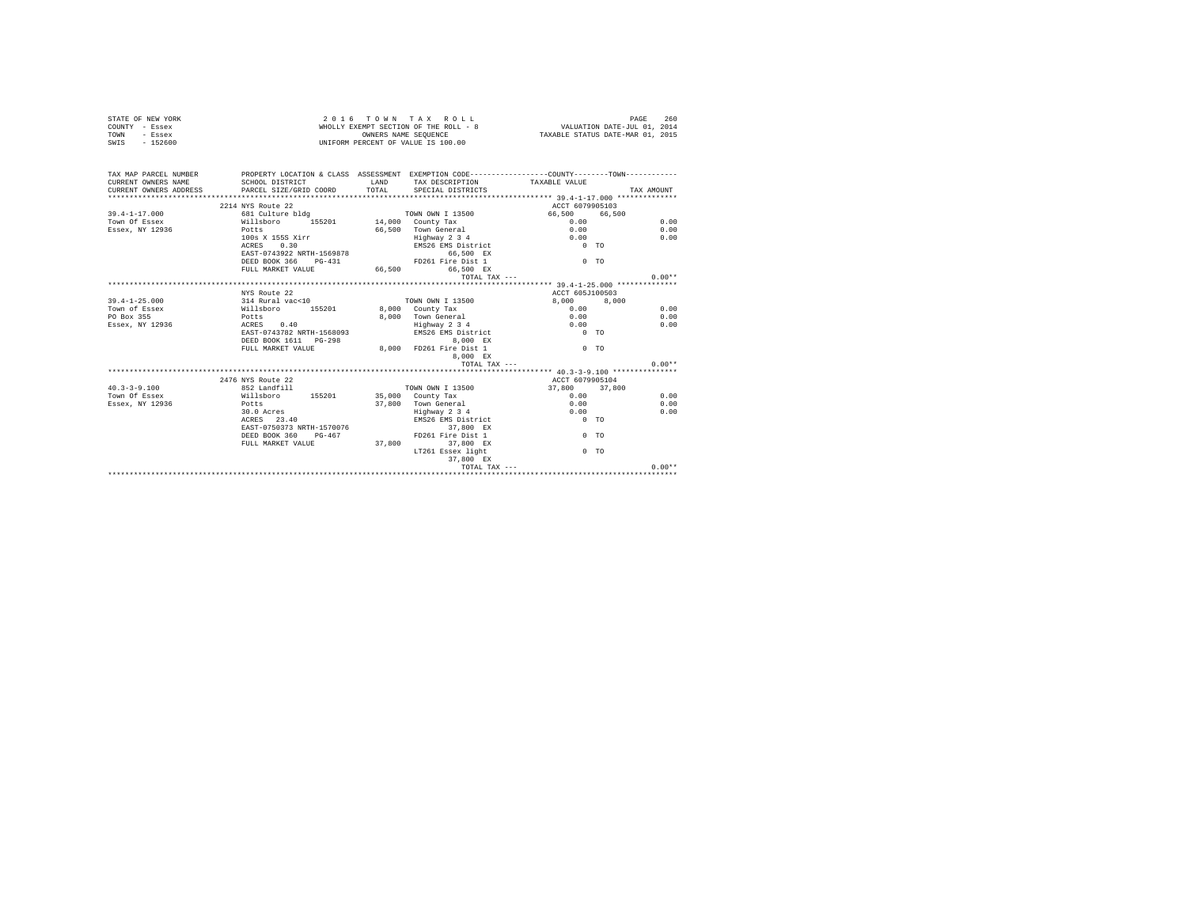|      | STATE OF NEW YORK | 2016 TOWN TAX ROLL                    | 260<br>PAGE                      |
|------|-------------------|---------------------------------------|----------------------------------|
|      | COUNTY - Essex    | WHOLLY EXEMPT SECTION OF THE ROLL - 8 | VALUATION DATE-JUL 01, 2014      |
| TOWN | - Essex           | OWNERS NAME SEOUENCE                  | TAXABLE STATUS DATE-MAR 01, 2015 |
| SWIS | - 152600          | UNIFORM PERCENT OF VALUE IS 100.00    |                                  |

| TAX MAP PARCEL NUMBER<br>CURRENT OWNERS NAME                          | PROPERTY LOCATION & CLASS ASSESSMENT EXEMPTION CODE---------------COUNTY--------TOWN---------<br>SCHOOL DISTRICT |                                               |                  |            |
|-----------------------------------------------------------------------|------------------------------------------------------------------------------------------------------------------|-----------------------------------------------|------------------|------------|
|                                                                       |                                                                                                                  | LAND TAX DESCRIPTION TAXABLE VALUE            |                  | TAX AMOUNT |
| CURRENT OWNERS ADDRESS PARCEL SIZE/GRID COORD TOTAL SPECIAL DISTRICTS |                                                                                                                  |                                               |                  |            |
|                                                                       | 2214 NYS Route 22                                                                                                |                                               | ACCT 6079905103  |            |
|                                                                       |                                                                                                                  |                                               |                  |            |
| $39.4 - 1 - 17.000$                                                   |                                                                                                                  |                                               | 66,500 66,500    |            |
| Town Of Essex                                                         |                                                                                                                  |                                               | $0.00$<br>$0.00$ | 0.00       |
| Essex, NY 12936                                                       | Potts                                                                                                            | 66,500 Town General                           |                  | 0.00       |
|                                                                       | 100s X 155S Xirr                                                                                                 | Highway 2 3 4                                 | 0.00             | 0.00       |
|                                                                       | ACRES 0.30                                                                                                       | EMS26 EMS District 0 TO                       |                  |            |
|                                                                       | EAST-0743922 NRTH-1569878                                                                                        | 66,500 EX                                     |                  |            |
|                                                                       | DEED BOOK 366 PG-431 PD261 Fire Dist 1                                                                           |                                               | $0$ TO           |            |
|                                                                       | FULL MARKET VALUE 66.500 66.500 EX                                                                               |                                               |                  |            |
|                                                                       |                                                                                                                  | ТОТА), ТАХ ---                                |                  | $0.00**$   |
|                                                                       |                                                                                                                  |                                               |                  |            |
|                                                                       | NYS Route 22                                                                                                     |                                               | ACCT 605J100503  |            |
| $39.4 - 1 - 25.000$                                                   | 314 Rural vac<10 70WN OWN I 13500<br>Willsboro 155201 8,000 County Tax<br>Potts 8,000 Town General               | TOWN OWN I 13500                              | 8,000 8,000      |            |
| Town of Essex                                                         |                                                                                                                  |                                               | $0.00$<br>$0.00$ | 0.00       |
| PO Box 355                                                            |                                                                                                                  | 8.000 Town General                            |                  | 0.00       |
| Essex, NY 12936                                                       | ACRES 0.40                                                                                                       |                                               |                  | 0.00       |
|                                                                       | EAST-0743782 NRTH-1568093                                                                                        | Edghway 2 3 4 0.00<br>EMS26 EMS District 0 TO |                  |            |
|                                                                       | DEED BOOK 1611 PG-298                                                                                            | 8,000 EX                                      |                  |            |
|                                                                       | FULL MARKET VALUE 6.000 FD261 Fire Dist 1                                                                        |                                               | $0$ TO           |            |
|                                                                       |                                                                                                                  | 8,000 EX                                      |                  |            |
|                                                                       |                                                                                                                  | TOTAL TAX ---                                 |                  | $0.00**$   |
|                                                                       |                                                                                                                  |                                               |                  |            |
|                                                                       | 2476 NYS Route 22                                                                                                |                                               | ACCT 6079905104  |            |
| $40.3 - 3 - 9.100$                                                    | 852 Landfill                                                                                                     | TOWN OWN I 13500                              | 37,800 37,800    |            |
| Town Of Essex                                                         | Willsboro 155201 35,000 County Tax                                                                               |                                               | 0.00             | 0.00       |
| Essex, NY 12936                                                       | Potts                                                                                                            | 37.800 Town General                           | 0.00             | 0.00       |
|                                                                       | 30.0 Acres                                                                                                       | Highway 2 3 4                                 | 0.00             | 0.00       |
|                                                                       | ACRES 23.40                                                                                                      | EMS26 EMS District                            | $0$ TO           |            |
|                                                                       | EAST-0750373 NRTH-1570076                                                                                        | 37,800 EX                                     |                  |            |
|                                                                       | DEED BOOK 360 PG-467 67 FD261 Fire Dist 1                                                                        |                                               | $0$ TO           |            |
|                                                                       | FULL MARKET VALUE 37.800 37.800 EX                                                                               |                                               |                  |            |
|                                                                       |                                                                                                                  | LT261 Essex light                             | 0 <sub>0</sub>   |            |
|                                                                       |                                                                                                                  |                                               |                  |            |
|                                                                       |                                                                                                                  | 37,800 EX                                     |                  | $0.00**$   |
|                                                                       |                                                                                                                  |                                               |                  |            |
|                                                                       |                                                                                                                  |                                               |                  |            |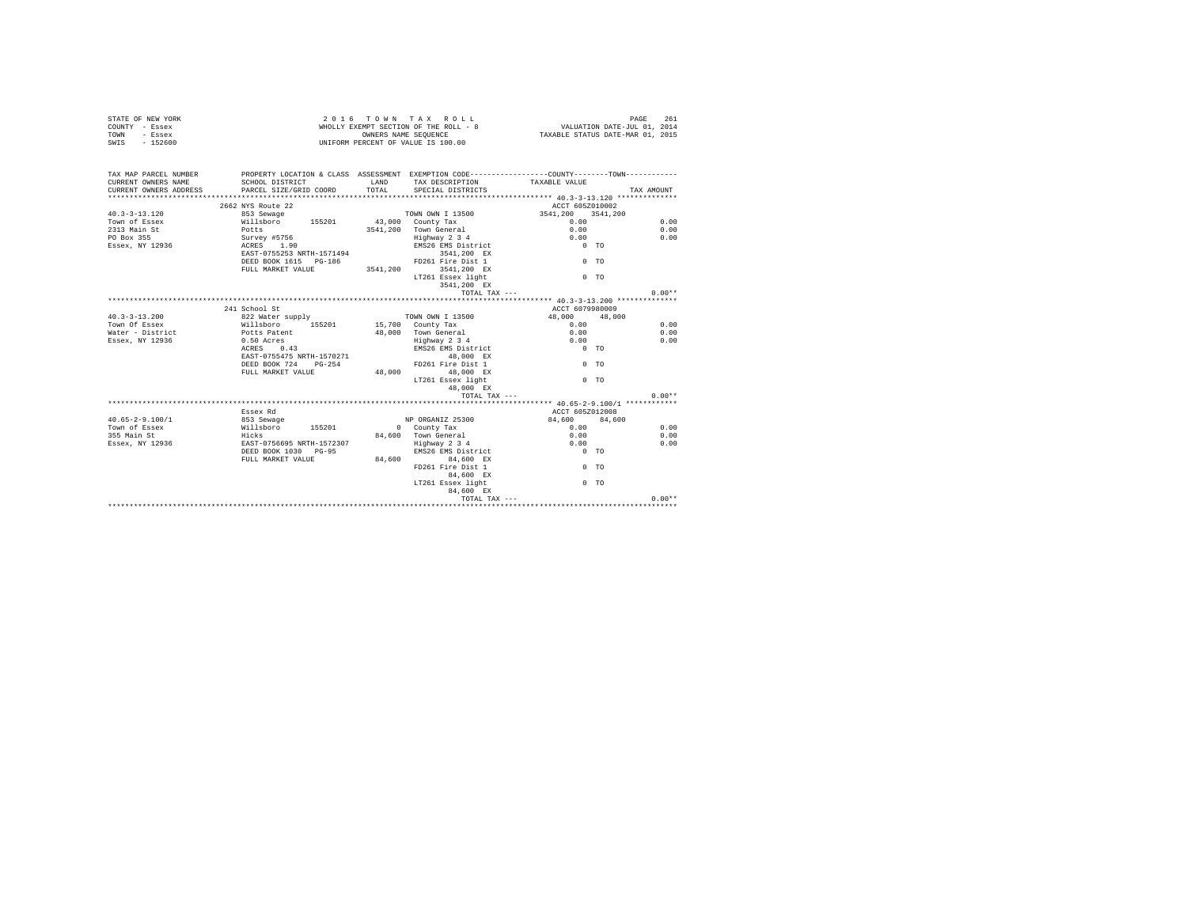| COUNTY - Essex<br>TOWN<br>- Essex<br>$-152600$<br>SWTS |                                                        |          | WHOLLY EXEMPT SECTION OF THE ROLL - 8<br>OWNERS NAME SEOUENCE<br>UNIFORM PERCENT OF VALUE IS 100.00 | VALUATION DATE-JUL 01, 2014<br>TAXABLE STATUS DATE-MAR 01, 2015                               |            |
|--------------------------------------------------------|--------------------------------------------------------|----------|-----------------------------------------------------------------------------------------------------|-----------------------------------------------------------------------------------------------|------------|
|                                                        |                                                        |          |                                                                                                     |                                                                                               |            |
| TAX MAP PARCEL NUMBER                                  |                                                        |          |                                                                                                     | PROPERTY LOCATION & CLASS ASSESSMENT EXEMPTION CODE----------------COUNTY-------TOWN--------- |            |
| CURRENT OWNERS NAME                                    | SCHOOL DISTRICT                                        | LAND     | TAX DESCRIPTION                                                                                     | TAXABLE VALUE                                                                                 |            |
| CURRENT OWNERS ADDRESS                                 | PARCEL SIZE/GRID COORD<br>**************************** | TOTAL    | SPECIAL DISTRICTS                                                                                   |                                                                                               | TAX AMOUNT |
|                                                        |                                                        |          |                                                                                                     | ****************** 40.3-3-13.120 **************                                               |            |
|                                                        | 2662 NYS Route 22                                      |          |                                                                                                     | ACCT 605Z010002                                                                               |            |
| $40.3 - 3 - 13.120$                                    | 853 Sewage                                             |          | TOWN OWN I 13500                                                                                    | 3541,200 3541,200                                                                             | 0.00       |
| Town of Essex<br>2313 Main St                          |                                                        |          | 3541,200 Town General                                                                               | 0.00<br>0.00                                                                                  | 0.00       |
| PO Box 355                                             |                                                        |          |                                                                                                     | 0.00                                                                                          | 0.00       |
| Essex, NY 12936                                        |                                                        |          | Highway 2 3 4<br>EMS26 EMS District                                                                 | $0$ TO                                                                                        |            |
|                                                        |                                                        |          | 3541.200 EX                                                                                         |                                                                                               |            |
|                                                        | DEED BOOK 1615 PG-186                                  |          | FD261 Fire Dist 1                                                                                   | $0$ TO                                                                                        |            |
|                                                        | FULL MARKET VALUE                                      | 3541,200 | 3541,200 EX                                                                                         |                                                                                               |            |
|                                                        |                                                        |          | LT261 Essex light                                                                                   | 0 <sub>0</sub>                                                                                |            |
|                                                        |                                                        |          | 3541.200 EX                                                                                         |                                                                                               |            |
|                                                        |                                                        |          | TOTAL TAX ---                                                                                       |                                                                                               | $0.00**$   |
|                                                        |                                                        |          |                                                                                                     |                                                                                               |            |
|                                                        | 241 School St                                          |          |                                                                                                     | ACCT 6079980009                                                                               |            |
| $40.3 - 3 - 13.200$                                    |                                                        |          | TOWN OWN I 13500                                                                                    | 48,000 48,000                                                                                 |            |
| Town Of Essex                                          | 822 Water supply<br>Willsboro 155201                   |          | 15,700 County Tax                                                                                   | 0.00                                                                                          | 0.00       |
| Water - District                                       | Potts Patent                                           |          | 48,000 Town General                                                                                 | 0.00                                                                                          | 0.00       |
| Essex, NY 12936                                        | 0.50 Acres                                             |          | Highway 2 3 4                                                                                       | 0.00                                                                                          | 0.00       |
|                                                        | 0.43<br>ACRES                                          |          | EMS26 EMS District                                                                                  | $0$ TO                                                                                        |            |
|                                                        | EAST-0755475 NRTH-1570271                              |          | 48,000 EX                                                                                           |                                                                                               |            |
|                                                        | DEED BOOK 724 PG-254                                   |          | FD261 Fire Dist 1                                                                                   | 0 <sub>0</sub>                                                                                |            |
|                                                        | FULL MARKET VALUE                                      |          | 48,000 48,000 EX                                                                                    |                                                                                               |            |
|                                                        |                                                        |          | LT261 Essex light                                                                                   | $0$ TO                                                                                        |            |
|                                                        |                                                        |          | 48,000 EX                                                                                           |                                                                                               |            |
|                                                        |                                                        |          | TOTAL TAX ---                                                                                       |                                                                                               | $0.00**$   |
|                                                        |                                                        |          |                                                                                                     | ********************* 40.65-2-9.100/1 ************                                            |            |
|                                                        | Essex Rd                                               |          |                                                                                                     | ACCT 605Z012008                                                                               |            |
| $40.65 - 2 - 9.100/1$                                  |                                                        |          | NP ORGANIZ 25300                                                                                    | 84,600 84,600                                                                                 |            |
| Town of Essex                                          |                                                        |          | 0 County Tax                                                                                        | 0.00                                                                                          | 0.00       |
| 355 Main St                                            |                                                        |          | 84,600 Town General                                                                                 | 0.00                                                                                          | 0.00       |
| Essex, NY 12936                                        |                                                        |          | Highway 2 3 4                                                                                       | 0.00                                                                                          | 0.00       |
|                                                        | DEED BOOK 1030 PG-95                                   |          | EMS26 EMS District 0 TO                                                                             |                                                                                               |            |
|                                                        | FULL MARKET VALUE                                      |          | 84,600 84,600 EX                                                                                    |                                                                                               |            |
|                                                        |                                                        |          | FD261 Fire Dist 1<br>84,600 EX                                                                      | $0$ TO                                                                                        |            |
|                                                        |                                                        |          | LT261 Essex light<br>84.600 EX                                                                      | 0 <sub>0</sub>                                                                                |            |
|                                                        |                                                        |          | TOTAL TAX ---                                                                                       |                                                                                               | $0.00**$   |
|                                                        |                                                        |          |                                                                                                     |                                                                                               |            |

STATE OF NEW YORK 261 CONDUCTED A 2016 TOWN TAX ROLL CONDUCTED PAGE 261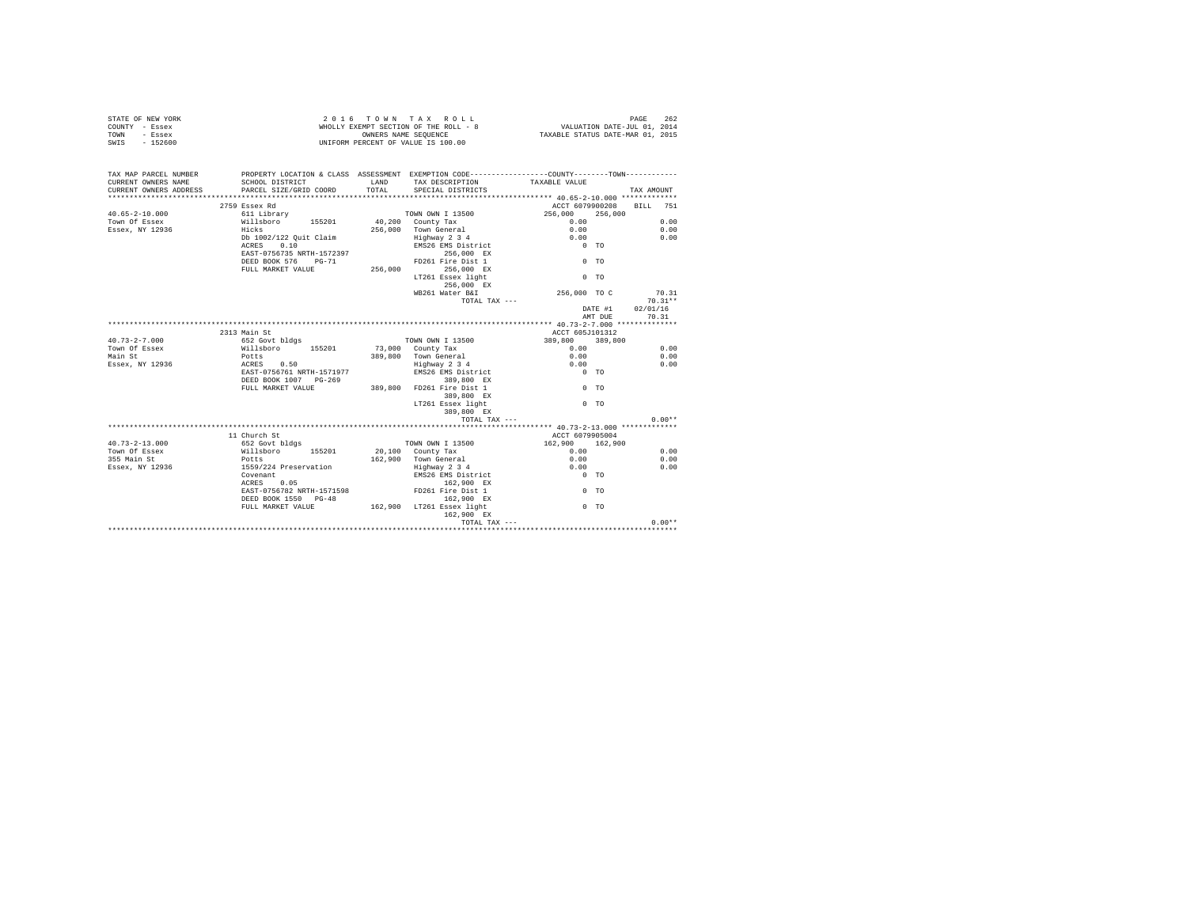|                | STATE OF NEW YORK | 2016 TOWN TAX ROLL                    |  |                      |  |  |  |                                  | PAGE                        | 262 |  |
|----------------|-------------------|---------------------------------------|--|----------------------|--|--|--|----------------------------------|-----------------------------|-----|--|
| COUNTY - Essex |                   | WHOLLY EXEMPT SECTION OF THE ROLL - 8 |  |                      |  |  |  |                                  | VALUATION DATE-JUL 01, 2014 |     |  |
| TOWN           | - Essex           |                                       |  | OWNERS NAME SEOUENCE |  |  |  | TAXABLE STATUS DATE-MAR 01, 2015 |                             |     |  |
| SWIS           | $-152600$         | UNIFORM PERCENT OF VALUE IS 100.00    |  |                      |  |  |  |                                  |                             |     |  |

| TAX MAP PARCEL NUMBER<br>CURRENT OWNERS NAME | PROPERTY LOCATION & CLASS ASSESSMENT EXEMPTION CODE---------------COUNTY-------TOWN---------<br>SCHOOL DISTRICT                                      | LAND   | TAX DESCRIPTION TAXABLE VALUE           |                          |         |            |
|----------------------------------------------|------------------------------------------------------------------------------------------------------------------------------------------------------|--------|-----------------------------------------|--------------------------|---------|------------|
| CURRENT OWNERS ADDRESS                       | PARCEL SIZE/GRID COORD                                                                                                                               | TOTAL. | SPECIAL DISTRICTS                       |                          |         | TAX AMOUNT |
|                                              |                                                                                                                                                      |        |                                         |                          |         |            |
|                                              | 2759 Essex Rd                                                                                                                                        |        |                                         | ACCT 6079900208 BILL 751 |         |            |
| $40.65 - 2 - 10.000$                         | 611 Library                                                                                                                                          |        | TOWN OWN I 13500                        | 256,000                  | 256,000 |            |
| Town Of Essex                                | 155201 155201 16,200 20mm UNIX Tax<br>Hicks 256 000 2011 17 13 14 14 14 14 15 16 16 16 17 16 17 16 17 16 17 16 17 16 17 16 17 16 17 16 17 16 17 16 1 |        |                                         | 0.00                     |         | 0.00       |
| Essex, NY 12936                              |                                                                                                                                                      |        | 256,000 Town General                    | 0.00                     |         | 0.00       |
|                                              | Db 1002/122 Quit Claim                                                                                                                               |        | Highway 2 3 4<br>EMS26 EMS District     | 0.00                     |         | 0.00       |
|                                              | ACRES 0.10                                                                                                                                           |        |                                         | $0$ TO                   |         |            |
|                                              | EAST-0756735 NRTH-1572397                                                                                                                            |        | 256,000 EX                              |                          |         |            |
|                                              | DEED BOOK 576 PG-71                                                                                                                                  |        | FD261 Fire Dist 1                       | $0$ TO                   |         |            |
|                                              | FULL MARKET VALUE                                                                                                                                    |        | 256,000 256,000 EX                      |                          |         |            |
|                                              |                                                                                                                                                      |        | LT261 Essex light                       | $0$ TO                   |         |            |
|                                              |                                                                                                                                                      |        | 256.000 EX                              |                          |         |            |
|                                              |                                                                                                                                                      |        | WB261 Water B&I                         | 256,000 TO C             |         | 70.31      |
|                                              |                                                                                                                                                      |        | TOTAL TAX ---                           |                          |         | $70.31**$  |
|                                              |                                                                                                                                                      |        |                                         | DATE #1                  |         | 02/01/16   |
|                                              |                                                                                                                                                      |        |                                         |                          | AMT DUE | 70.31      |
|                                              |                                                                                                                                                      |        |                                         |                          |         |            |
|                                              | 2313 Main St                                                                                                                                         |        |                                         | ACCT 605J101312          |         |            |
| $40.73 - 2 - 7.000$                          | 652 Govt bldgs                                                                                                                                       |        | TOWN OWN I 13500                        | 389,800                  | 389,800 |            |
| Town Of Essex                                | Willsboro 155201<br>Potts                                                                                                                            |        | 73,000 County Tax                       | 0.00                     |         | 0.00       |
| Main St                                      |                                                                                                                                                      |        | 389.800 Town General                    | 0.00                     |         | 0.00       |
| Essex, NY 12936 ACRES 0.50                   |                                                                                                                                                      |        | Highway 2 3 4<br>EMS26 EMS District     | 0.00                     |         | 0.00       |
|                                              | EAST-0756761 NRTH-1571977                                                                                                                            |        |                                         | $0$ TO                   |         |            |
|                                              | DEED BOOK 1007 PG-269                                                                                                                                |        | 389,800 EX                              |                          |         |            |
|                                              | FULL MARKET VALUE                                                                                                                                    |        | 389,800 EX<br>389,800 FD261 Fire Dist 1 | $0$ TO                   |         |            |
|                                              |                                                                                                                                                      |        | 389,800 EX                              |                          |         |            |
|                                              |                                                                                                                                                      |        | LT261 Essex light                       | $0$ TO                   |         |            |
|                                              |                                                                                                                                                      |        | 389,800 EX                              |                          |         |            |
|                                              |                                                                                                                                                      |        | TOTAL TAX ---                           |                          |         | $0.00**$   |
|                                              |                                                                                                                                                      |        |                                         |                          |         |            |
|                                              | 11 Church St                                                                                                                                         |        |                                         | ACCT 6079905004          |         |            |
| $40.73 - 2 - 13.000$                         | 652 Govt bldgs                                                                                                                                       |        | TOWN OWN I 13500                        | 162,900 162,900          |         |            |
| Town Of Essex                                | Willsboro 155201<br>Potts                                                                                                                            |        | 20,100 County Tax                       | 0.00                     |         | 0.00       |
| 355 Main St                                  |                                                                                                                                                      |        | 162.900 Town General                    | 0.00                     |         | 0.00       |
| Essex, NY 12936                              | 1559/224 Preservation                                                                                                                                |        | Highway 2 3 4                           | 0.00                     |         | 0.00       |
|                                              | Covenant                                                                                                                                             |        | EMS26 EMS District                      | $0$ TO                   |         |            |
|                                              | 0.05<br>ACRES                                                                                                                                        |        | 162.900 EX                              |                          |         |            |
|                                              | EAST-0756782 NRTH-1571598                                                                                                                            |        | FD261 Fire Dist 1                       | $0$ TO                   |         |            |
|                                              | DEED BOOK 1550 PG-48                                                                                                                                 |        | 162,900 EX                              |                          |         |            |
|                                              | FULL MARKET VALUE                                                                                                                                    |        | 162,900 LT261 Essex light               | 0 <sub>0</sub>           |         |            |
|                                              |                                                                                                                                                      |        | 162,900 EX                              |                          |         |            |
|                                              |                                                                                                                                                      |        |                                         | TOTAL TAX ---            |         | $0.00**$   |
|                                              |                                                                                                                                                      |        |                                         |                          |         |            |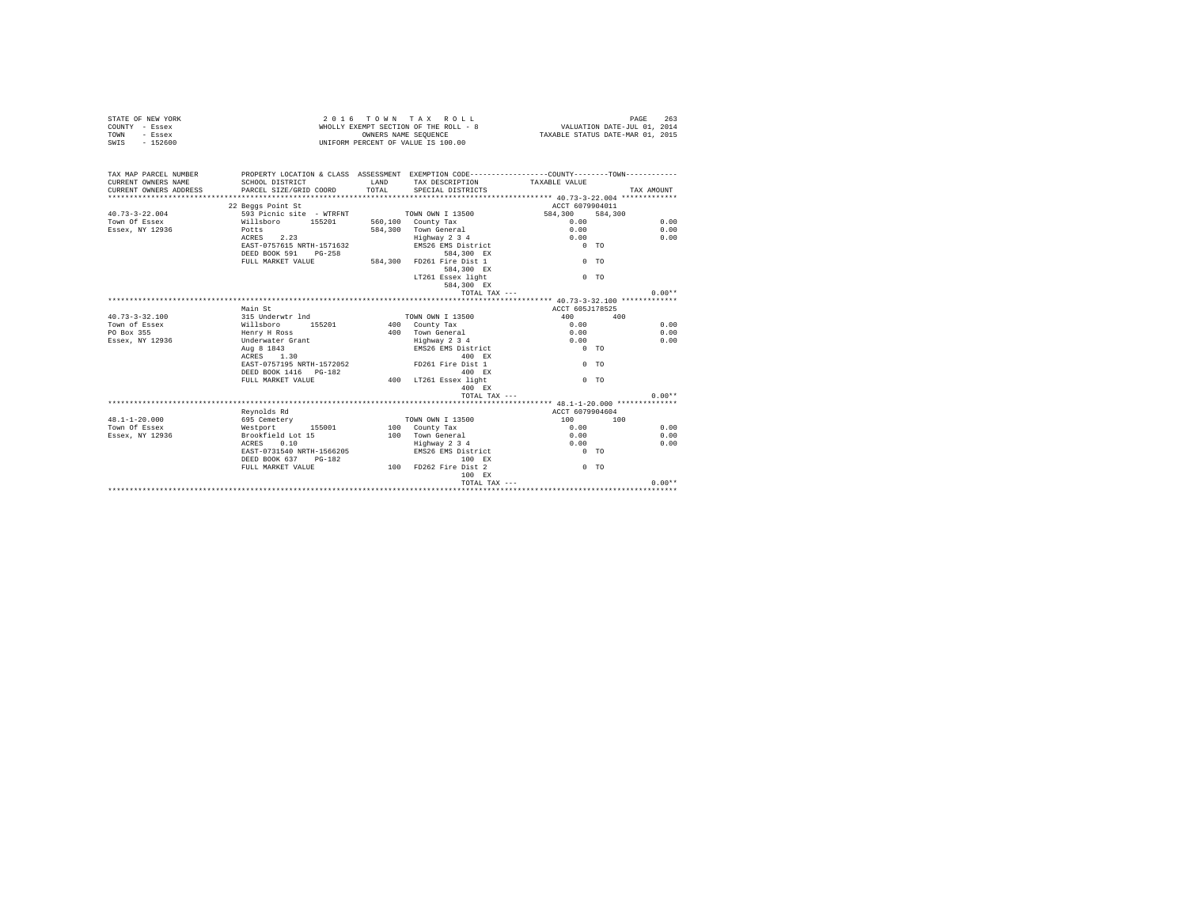| STATE OF NEW YORK<br>COUNTY - Essex<br>- Essex<br>TOWN<br>$-152600$<br>SWIS |                                                                                                                                           | 2016 TOWN TAX ROLL<br>WHOLLY EXEMPT SECTION OF THE ROLL - 8<br>OWNERS NAME SEQUENCE<br>UNIFORM PERCENT OF VALUE IS 100.00 | PAGE<br>263<br>VALUATION DATE-JUL 01, 2014<br>TAXABLE STATUS DATE-MAR 01, 2015 |                    |            |  |
|-----------------------------------------------------------------------------|-------------------------------------------------------------------------------------------------------------------------------------------|---------------------------------------------------------------------------------------------------------------------------|--------------------------------------------------------------------------------|--------------------|------------|--|
| TAX MAP PARCEL NUMBER<br>CURRENT OWNERS NAME<br>CURRENT OWNERS ADDRESS      | PROPERTY LOCATION & CLASS ASSESSMENT EXEMPTION CODE---------------COUNTY-------TOWN---------<br>SCHOOL DISTRICT<br>PARCEL SIZE/GRID COORD | T.AND<br>TOTAL.                                                                                                           | TAX DESCRIPTION<br>SPECIAL DISTRICTS                                           | TAXABLE VALUE      | TAX AMOUNT |  |
|                                                                             |                                                                                                                                           |                                                                                                                           |                                                                                |                    |            |  |
|                                                                             | 22 Beggs Point St                                                                                                                         |                                                                                                                           |                                                                                | ACCT 6079904011    |            |  |
| $40.73 - 3 - 22.004$                                                        | 593 Picnic site - WTRFNT                                                                                                                  |                                                                                                                           | TOWN OWN I 13500                                                               | 584,300<br>584,300 |            |  |
| Town Of Essex                                                               | Willshoro 155201                                                                                                                          |                                                                                                                           | 560,100 County Tax                                                             | 0.00               | 0.00       |  |
| Essex, NY 12936                                                             | Potts                                                                                                                                     |                                                                                                                           | 584.300 Town General                                                           | 0.00               | 0.00       |  |
|                                                                             | ACRES 2.23                                                                                                                                |                                                                                                                           | Highway 2 3 4                                                                  | 0.00               | 0.00       |  |
|                                                                             | EAST-0757615 NRTH-1571632                                                                                                                 |                                                                                                                           | EMS26 EMS District                                                             | $0$ TO             |            |  |
|                                                                             | DEED BOOK 591 PG-258                                                                                                                      |                                                                                                                           | 584,300 EX                                                                     |                    |            |  |
|                                                                             | FULL MARKET VALUE                                                                                                                         |                                                                                                                           | 584,300 FD261 Fire Dist 1                                                      | 0 <sub>0</sub>     |            |  |
|                                                                             |                                                                                                                                           |                                                                                                                           | 584,300 EX                                                                     |                    |            |  |
|                                                                             |                                                                                                                                           |                                                                                                                           | LT261 Essex light                                                              | $0$ TO             |            |  |
|                                                                             |                                                                                                                                           |                                                                                                                           | 584,300 EX                                                                     |                    |            |  |
|                                                                             |                                                                                                                                           |                                                                                                                           | TOTAL TAX ---                                                                  |                    | $0.00**$   |  |
|                                                                             |                                                                                                                                           |                                                                                                                           |                                                                                |                    |            |  |
|                                                                             | Main St                                                                                                                                   |                                                                                                                           |                                                                                | ACCT 605J178525    |            |  |
| $40.73 - 3 - 32.100$                                                        | 315 Underwtr 1nd                                                                                                                          |                                                                                                                           | TOWN OWN I 13500                                                               | 400                | 400        |  |
| Town of Essex                                                               | Willsboro 155201                                                                                                                          |                                                                                                                           | 400 County Tax                                                                 | 0.00               | 0.00       |  |
| PO Box 355                                                                  | Henry H Ross                                                                                                                              |                                                                                                                           | 400 Town General                                                               | 0.00               | 0.00       |  |
| Essex, NY 12936                                                             | Underwater Grant                                                                                                                          |                                                                                                                           | Highway 2 3 4                                                                  | 0.00               | 0.00       |  |
|                                                                             | Aug 8 1843                                                                                                                                |                                                                                                                           | EMS26 EMS District                                                             | $0$ TO             |            |  |
|                                                                             | ACRES 1.30                                                                                                                                |                                                                                                                           | 400 RX                                                                         |                    |            |  |
|                                                                             | EAST-0757195 NRTH-1572052                                                                                                                 |                                                                                                                           | FD261 Fire Dist 1                                                              | 0 <sub>T</sub>     |            |  |
|                                                                             | DEED BOOK 1416   PG-182                                                                                                                   |                                                                                                                           | 400 RX                                                                         |                    |            |  |
|                                                                             | FULL MARKET VALUE                                                                                                                         |                                                                                                                           | 400 LT261 Essex light                                                          | $0$ TO             |            |  |
|                                                                             |                                                                                                                                           |                                                                                                                           | 400 EX                                                                         |                    |            |  |
|                                                                             |                                                                                                                                           |                                                                                                                           | TOTAL TAX ---                                                                  |                    | $0.00**$   |  |
|                                                                             |                                                                                                                                           |                                                                                                                           |                                                                                |                    |            |  |
|                                                                             | Revnolds Rd                                                                                                                               |                                                                                                                           |                                                                                | ACCT 6079904604    |            |  |
| $48.1 - 1 - 20.000$                                                         | 695 Cemetery                                                                                                                              |                                                                                                                           | TOWN OWN I 13500                                                               | 100                | 100        |  |
| Town Of Essex                                                               | Westport 155001                                                                                                                           |                                                                                                                           | 100 County Tax                                                                 | 0.00               | 0.00       |  |
| Essex, NY 12936                                                             | Brookfield Lot 15                                                                                                                         |                                                                                                                           | 100 Town General                                                               | 0.00               | 0.00       |  |
|                                                                             | ACRES 0.10                                                                                                                                |                                                                                                                           | Highway 2 3 4                                                                  | 0.00               | 0.00       |  |
|                                                                             | EAST-0731540 NRTH-1566205                                                                                                                 |                                                                                                                           | EMS26 EMS District                                                             | $0$ TO             |            |  |
|                                                                             | DEED BOOK 637 PG-182                                                                                                                      |                                                                                                                           | 100 RX                                                                         |                    |            |  |
|                                                                             | FULL MARKET VALUE                                                                                                                         |                                                                                                                           | 100 FD262 Fire Dist 2                                                          | 0 <sub>0</sub>     |            |  |
|                                                                             |                                                                                                                                           |                                                                                                                           | 100 EX                                                                         |                    |            |  |
|                                                                             |                                                                                                                                           |                                                                                                                           | TOTAL TAX $---$                                                                |                    | $0.00**$   |  |
|                                                                             |                                                                                                                                           |                                                                                                                           |                                                                                |                    |            |  |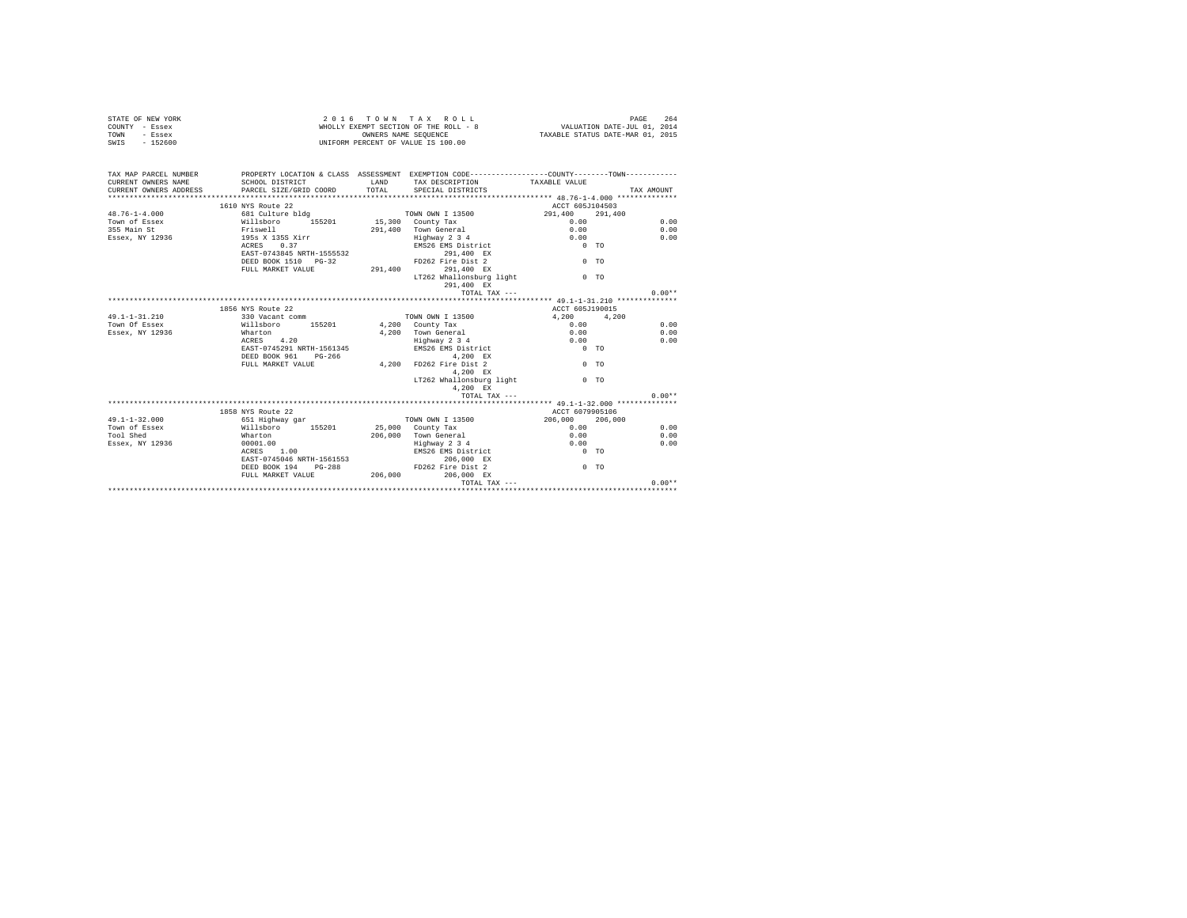| STATE OF NEW YORK<br>COUNTY - Essex<br>- Essex<br>TOWN<br>SWIS - 152600                                                                                                                          |                                                 |               | 2016 TOWN TAX ROLL<br>UNIFORM PERCENT OF VALUE IS 100.00 |                                |                | 264<br>PAGE |
|--------------------------------------------------------------------------------------------------------------------------------------------------------------------------------------------------|-------------------------------------------------|---------------|----------------------------------------------------------|--------------------------------|----------------|-------------|
| TAX MAP PARCEL NUMBER PROPERTY LOCATION & CLASS ASSESSMENT EXEMPTION CODE--------------COUNTY--------TOWN----------<br>CURRENT OWNERS NAME<br>CURRENT OWNERS ADDRESS<br>************************ | SCHOOL DISTRICT<br>PARCEL SIZE/GRID COORD       | LAND<br>TOTAL | TAX DESCRIPTION<br>SPECIAL DISTRICTS                     | TAXABLE VALUE                  |                | TAX AMOUNT  |
|                                                                                                                                                                                                  | 1610 NYS Route 22                               |               |                                                          | ACCT 605J104503                |                |             |
|                                                                                                                                                                                                  |                                                 |               |                                                          |                                |                |             |
| $48.76 - 1 - 4.000$                                                                                                                                                                              |                                                 |               |                                                          | 291,400 291,400<br>0.00        |                | 0.00        |
| Town of Essex<br>355 Main St                                                                                                                                                                     |                                                 |               |                                                          |                                |                |             |
|                                                                                                                                                                                                  | ---------<br>Friswell<br>195s X 135S Xirr       |               | 291,400 Town General<br>Highway 2 3 4                    | 0.00                           |                | 0.00        |
| Essex, NY 12936                                                                                                                                                                                  | ACRES 0.37                                      |               | EMS26 EMS District                                       | 0.00<br>$0$ TO                 |                | 0.00        |
|                                                                                                                                                                                                  | EAST-0743845 NRTH-1555532                       |               |                                                          |                                |                |             |
|                                                                                                                                                                                                  |                                                 |               | 291,400 EX<br>FD262 Fire Dist 2                          |                                | $0$ TO         |             |
|                                                                                                                                                                                                  | DEED BOOK 1510 PG-32<br>FULL MARKET VALUE       |               | 291.400 291.400 EX                                       |                                |                |             |
|                                                                                                                                                                                                  |                                                 |               | 291,400 EX<br>LT262 Whallonsburg light                   |                                |                |             |
|                                                                                                                                                                                                  |                                                 |               | 291,400 EX                                               |                                | $0$ TO         |             |
|                                                                                                                                                                                                  |                                                 |               | TOTAL TAX ---                                            |                                |                | $0.00**$    |
|                                                                                                                                                                                                  |                                                 |               |                                                          |                                |                |             |
|                                                                                                                                                                                                  | 1856 NYS Route 22                               |               |                                                          |                                |                |             |
| $49.1 - 1 - 31.210$                                                                                                                                                                              |                                                 |               |                                                          | ACCT 605J190015<br>4,200 4,200 |                |             |
| Town Of Essex                                                                                                                                                                                    | 330 Vacant comm<br>Willsboro 155201             |               | TOWN OWN I 13500<br>4,200 County Tax                     | 0.00                           |                | 0.00        |
| Essex, NY 12936                                                                                                                                                                                  |                                                 |               |                                                          | 0.00                           |                | 0.00        |
|                                                                                                                                                                                                  | Wharton<br>ACRES 4.20                           |               | 4,200 Town General<br>Highway 2 3 4<br>Highway 2 3 4     | 0.00                           |                | 0.00        |
|                                                                                                                                                                                                  | ACRES 4.20<br>EAST-0745291 NRTH-1561345         |               | EMS26 EMS District                                       | $0$ TO                         |                |             |
|                                                                                                                                                                                                  |                                                 |               |                                                          |                                |                |             |
|                                                                                                                                                                                                  | DEED BOOK 961 PG-266<br>FULL MARKET VALUE 4,200 |               | EMS26 EMS District<br>4,200 EX<br>1991 2                 |                                | 0 <sub>0</sub> |             |
|                                                                                                                                                                                                  |                                                 |               | 4.200 EX                                                 |                                |                |             |
|                                                                                                                                                                                                  |                                                 |               | LT262 Whallonsburg light                                 |                                | 0 <sub>0</sub> |             |
|                                                                                                                                                                                                  |                                                 |               | 4.200 EX                                                 |                                |                |             |
|                                                                                                                                                                                                  |                                                 |               | TOTAL TAX ---                                            |                                |                | $0.00**$    |
|                                                                                                                                                                                                  |                                                 |               |                                                          |                                |                |             |
|                                                                                                                                                                                                  | 1858 NYS Route 22                               |               |                                                          | ACCT 6079905106                |                |             |
| $49.1 - 1 - 32.000$                                                                                                                                                                              | 651 Highway gar                                 |               | TOWN OWN I 13500                                         | 206,000 206,000                |                |             |
| Town of Essex                                                                                                                                                                                    |                                                 |               | 25,000 County Tax                                        | 0.00                           |                | 0.00        |
| Tool Shed                                                                                                                                                                                        | Willsboro 155201<br>Wharton                     |               | 25,000 County Tax<br>206,000 Town General                | 0.00                           |                | 0.00        |
| Essex, NY 12936                                                                                                                                                                                  | 00001.00                                        |               | Highway 2 3 4                                            | 0.00                           |                | 0.00        |
|                                                                                                                                                                                                  | ACRES 1.00                                      |               | EMS26 EMS District 0 TO                                  |                                |                |             |
|                                                                                                                                                                                                  | EAST-0745046 NRTH-1561553                       |               | 206.000 EX                                               |                                |                |             |
|                                                                                                                                                                                                  | DEED BOOK 194 PG-288                            |               | FD262 Fire Dist 2                                        |                                | $0$ TO         |             |
|                                                                                                                                                                                                  | FULL MARKET VALUE 206,000                       |               | 206,000 EX                                               |                                |                |             |
|                                                                                                                                                                                                  |                                                 |               | $1000$ EX<br>TOTAL TAX ---                               |                                |                | $0.00**$    |
|                                                                                                                                                                                                  |                                                 |               |                                                          |                                |                |             |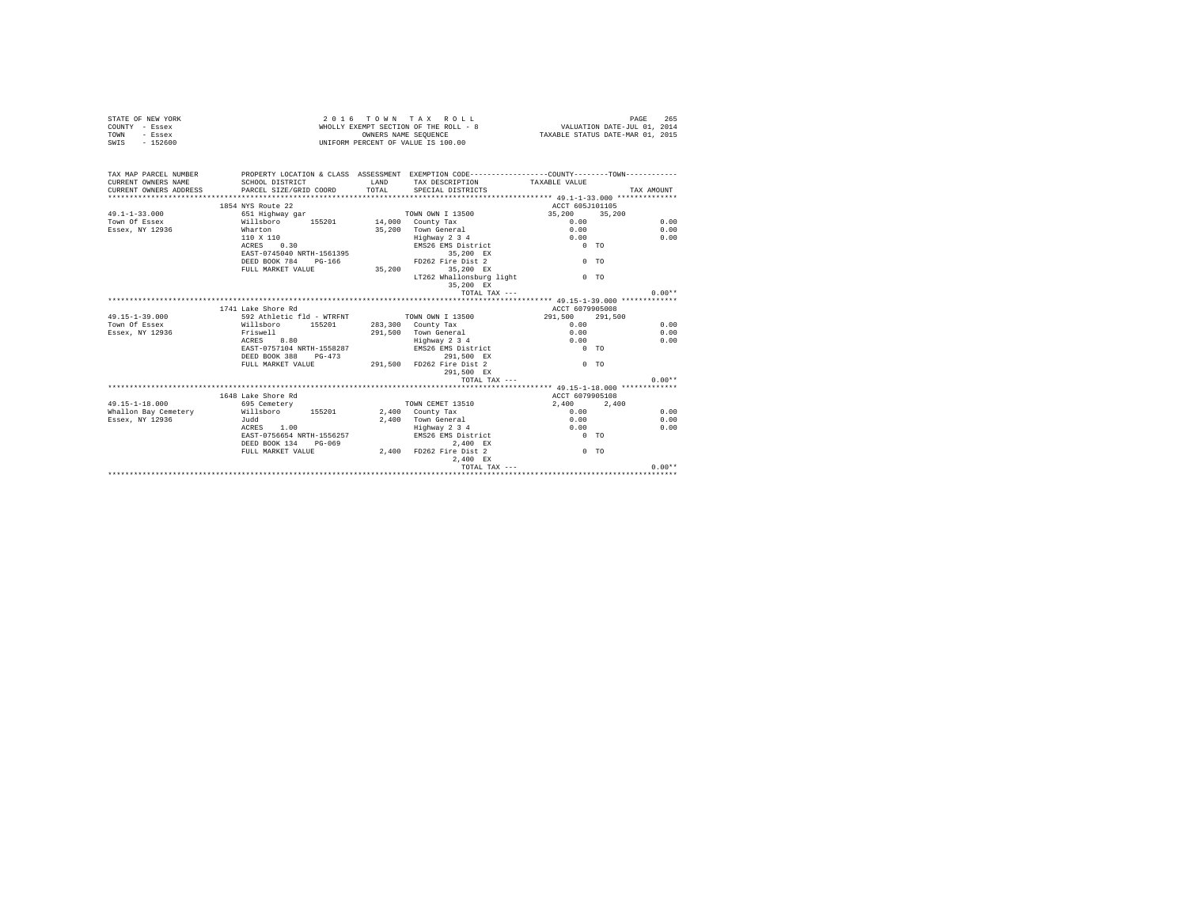| STATE OF NEW YORK<br>COUNTY - Essex<br>- Essex<br>TOWN<br>SWIS - 152600                                                                                             |                                            |                       | 2016 TOWN TAX ROLL<br>WHOLLY EXEMPT SECTION OF THE ROLL - 8 VALUATION DATE-JUL 01, 2014<br>OWNERS NAME SEQUENCE<br>UNIFORM PERCENT OF VALUE IS 100.00 | TAXABLE STATUS DATE-MAR 01, 2015 | PAGE<br>265 |
|---------------------------------------------------------------------------------------------------------------------------------------------------------------------|--------------------------------------------|-----------------------|-------------------------------------------------------------------------------------------------------------------------------------------------------|----------------------------------|-------------|
| TAX MAP PARCEL NUMBER PROPERTY LOCATION & CLASS ASSESSMENT EXEMPTION CODE---------------COUNTY-------TOWN---------<br>CURRENT OWNERS NAME<br>CURRENT OWNERS ADDRESS | SCHOOL DISTRICT<br>PARCEL SIZE/GRID COORD  | <b>T.AND</b><br>TOTAL | TAX DESCRIPTION<br>SPECIAL DISTRICTS                                                                                                                  | TAXABLE VALUE                    | TAX AMOUNT  |
|                                                                                                                                                                     |                                            |                       |                                                                                                                                                       |                                  |             |
|                                                                                                                                                                     | 1854 NYS Route 22                          |                       |                                                                                                                                                       | ACCT 605J101105                  |             |
| $49.1 - 1 - 33.000$                                                                                                                                                 |                                            |                       |                                                                                                                                                       | 35, 200 35, 200                  | 0.00        |
| Town Of Essex                                                                                                                                                       |                                            |                       |                                                                                                                                                       | 0.00                             |             |
| Essex, NY 12936                                                                                                                                                     | Wharton                                    |                       | 35,200 Town General                                                                                                                                   | 0.00                             | 0.00        |
|                                                                                                                                                                     | 110 X 110<br>$ACRRS = 0.30$                |                       | Enghway 2 3 4 0.00<br>EMS26 EMS District 0 TO                                                                                                         |                                  | 0.00        |
|                                                                                                                                                                     | EAST-0745040 NRTH-1561395                  |                       | 35,200 EX                                                                                                                                             |                                  |             |
|                                                                                                                                                                     | DEED BOOK 784 PG-166                       |                       | FD262 Fire Dist 2                                                                                                                                     | $0$ TO                           |             |
|                                                                                                                                                                     | FULL MARKET VALUE 35, 200 35, 200 EX       |                       |                                                                                                                                                       |                                  |             |
|                                                                                                                                                                     |                                            |                       | LT262 Whallonsburg light                                                                                                                              | 0 <sub>0</sub>                   |             |
|                                                                                                                                                                     |                                            |                       | 35.200 EX                                                                                                                                             |                                  |             |
|                                                                                                                                                                     |                                            |                       | TOTAL TAX ---                                                                                                                                         |                                  | $0.00**$    |
|                                                                                                                                                                     |                                            |                       |                                                                                                                                                       |                                  |             |
|                                                                                                                                                                     | 1741 Lake Shore Rd                         |                       |                                                                                                                                                       | ACCT 6079905008                  |             |
| $49.15 - 1 - 39.000$                                                                                                                                                | 592 Athletic fld - WTRFNT TOWN OWN I 13500 |                       |                                                                                                                                                       | 291,500 291,500                  |             |
| Town Of Essex                                                                                                                                                       | Willsboro 155201 283,300 County Tax        |                       |                                                                                                                                                       | $0.00 -$                         | 0.00        |
| Essex, NY 12936                                                                                                                                                     |                                            |                       |                                                                                                                                                       | 0.00                             | 0.00        |
|                                                                                                                                                                     | Friswell<br>ACRES 8.80                     |                       | 291,500 Town General<br>Highway 2 3 4                                                                                                                 | 0.00                             | 0.00        |
|                                                                                                                                                                     | EAST-0757104 NRTH-1558287                  |                       | EMS26 EMS District                                                                                                                                    | $0$ TO                           |             |
|                                                                                                                                                                     | DEED BOOK 388 PG-473                       |                       | 291.500 EX                                                                                                                                            |                                  |             |
|                                                                                                                                                                     |                                            |                       | DEED BOOK 388 PG-473 291,500 PD262 Fire Dist 2<br>PULL MARKET VALUE 291,500 PD262 Fire Dist 2                                                         | $0$ TO                           |             |
|                                                                                                                                                                     |                                            |                       | 291,500 EX                                                                                                                                            |                                  |             |
|                                                                                                                                                                     |                                            |                       | TOTAL TAX $---$                                                                                                                                       |                                  | $0.00**$    |
|                                                                                                                                                                     |                                            |                       |                                                                                                                                                       |                                  |             |
|                                                                                                                                                                     | 1648 Lake Shore Rd                         |                       |                                                                                                                                                       | ACCT 6079905108                  |             |
| 49.15-1-18.000                                                                                                                                                      | 695 Cemetery                               |                       | TOWN CEMET 13510                                                                                                                                      | 2.400 2.400                      |             |
| Whallon Bay Cemetery Millsboro 155201 2,400 County Tax                                                                                                              |                                            |                       |                                                                                                                                                       | 0.00                             | 0.00        |
| Essex, NY 12936                                                                                                                                                     | Judd                                       |                       | 2,400 Town General<br>Highway 2 3 4                                                                                                                   | 0.00                             | 0.00        |
|                                                                                                                                                                     | ACRES 1.00                                 |                       |                                                                                                                                                       | 0.00                             | 0.00        |
|                                                                                                                                                                     | EAST-0756654 NRTH-1556257                  |                       | EMS26 EMS District                                                                                                                                    | $0$ TO                           |             |
|                                                                                                                                                                     |                                            |                       | 2,400 EX                                                                                                                                              |                                  |             |
|                                                                                                                                                                     |                                            |                       | DEED BOOK 134 PG-069 2,400 2,400 EX<br>FULL MARKET VALUE 2,400 FD262 Fire Dist 2                                                                      | $0$ TO                           |             |
|                                                                                                                                                                     |                                            |                       | 2.400 EX                                                                                                                                              |                                  |             |
|                                                                                                                                                                     |                                            |                       | TOTAL TAX ---                                                                                                                                         |                                  | $0.00**$    |
|                                                                                                                                                                     |                                            |                       |                                                                                                                                                       |                                  |             |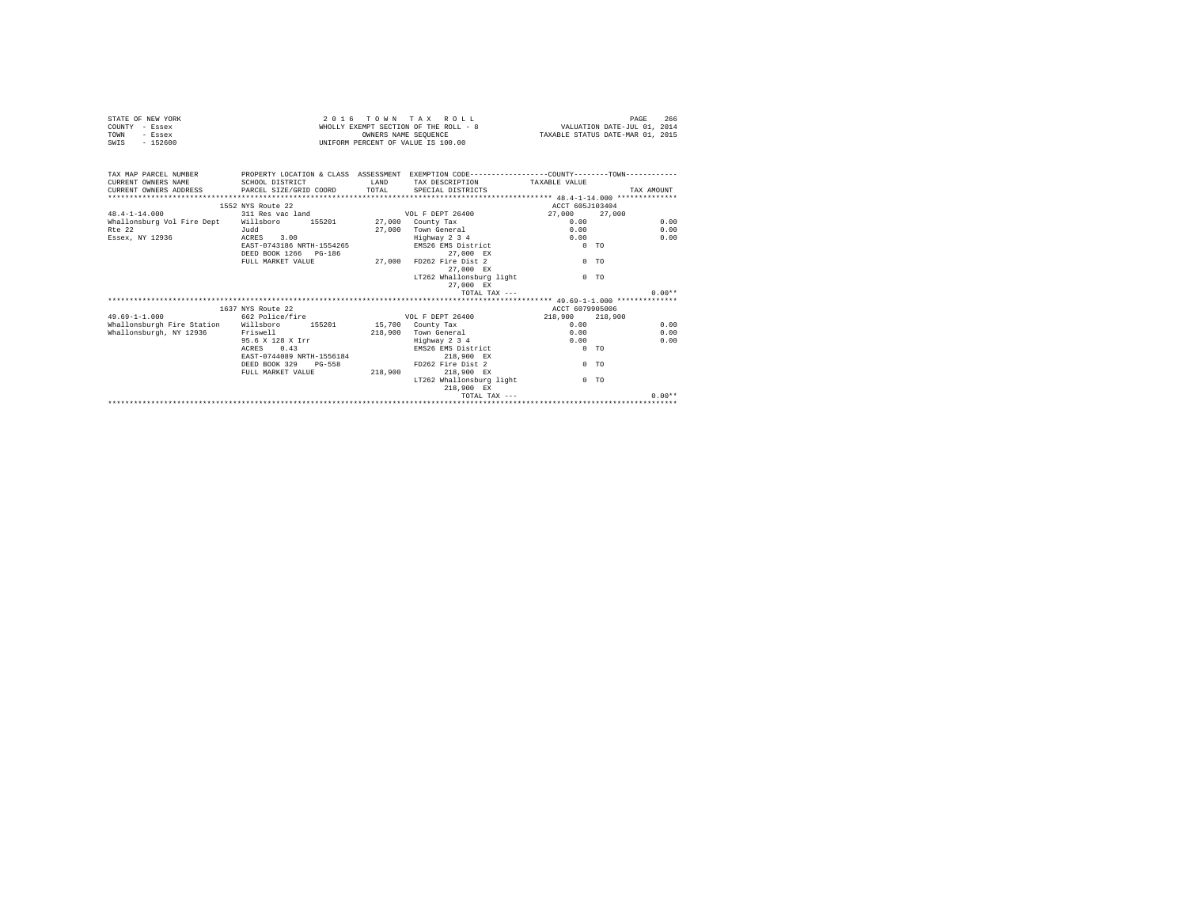| STATE OF NEW YORK<br>COUNTY - Essex<br>- Essex<br>TOWN<br>$-152600$<br>SWIS | 2 0 1 6                                   | TOWN TAX ROLL<br>WHOLLY EXEMPT SECTION OF THE ROLL - 8 WALUATION DATE-JUL 01, 2014<br>OWNERS NAME SEOUENCE<br>UNIFORM PERCENT OF VALUE IS 100.00 | TAXABLE STATUS DATE-MAR 01, 2015                                                             | 266<br>PAGE        |            |
|-----------------------------------------------------------------------------|-------------------------------------------|--------------------------------------------------------------------------------------------------------------------------------------------------|----------------------------------------------------------------------------------------------|--------------------|------------|
| TAX MAP PARCEL NUMBER                                                       |                                           |                                                                                                                                                  | PROPERTY LOCATION & CLASS ASSESSMENT EXEMPTION CODE---------------COUNTY-------TOWN--------- |                    |            |
| CURRENT OWNERS NAME                                                         | SCHOOL DISTRICT                           | T.AND                                                                                                                                            | TAX DESCRIPTION                                                                              | TAXABLE VALUE      |            |
| CURRENT OWNERS ADDRESS                                                      | PARCEL SIZE/GRID COORD                    | TOTAL                                                                                                                                            | SPECIAL DISTRICTS                                                                            |                    | TAX AMOUNT |
|                                                                             | 1552 NYS Route 22                         |                                                                                                                                                  |                                                                                              | ACCT 605J103404    |            |
| $48.4 - 1 - 14.000$                                                         | 311 Res vac land                          |                                                                                                                                                  | VOL F DEPT 26400                                                                             | 27,000<br>27,000   |            |
| Whallonsburg Vol Fire Dept                                                  | Willsboro<br>155201                       |                                                                                                                                                  | 27,000 County Tax                                                                            | 0.00               | 0.00       |
| $Rf \approx 22$                                                             | Judd                                      |                                                                                                                                                  | 27.000 Town General                                                                          | 0.00               | 0.00       |
| Essex, NY 12936                                                             | ACRES 3.00                                |                                                                                                                                                  | Highway 2 3 4                                                                                | 0.00               | 0.00       |
|                                                                             | EAST-0743186 NRTH-1554265                 |                                                                                                                                                  | EMS26 EMS District                                                                           | 0 <sub>0</sub>     |            |
|                                                                             | DEED BOOK 1266 PG-186                     |                                                                                                                                                  | 27.000 EX                                                                                    |                    |            |
|                                                                             | FULL MARKET VALUE                         | 27,000                                                                                                                                           | FD262 Fire Dist 2                                                                            | 0 <sub>0</sub>     |            |
|                                                                             |                                           |                                                                                                                                                  | 27.000 EX<br>LT262 Whallonsburg light                                                        | $0$ TO             |            |
|                                                                             |                                           |                                                                                                                                                  | 27,000 EX                                                                                    |                    |            |
|                                                                             |                                           |                                                                                                                                                  | TOTAL TAX $---$                                                                              |                    | $0.00**$   |
|                                                                             |                                           |                                                                                                                                                  |                                                                                              |                    |            |
|                                                                             | 1637 NYS Route 22                         |                                                                                                                                                  |                                                                                              | ACCT 6079905006    |            |
| $49.69 - 1 - 1.000$                                                         | 662 Police/fire                           |                                                                                                                                                  | VOL F DEPT 26400                                                                             | 218,900<br>218,900 |            |
| Whallonsburgh Fire Station                                                  | Willsboro<br>155201                       |                                                                                                                                                  | 15,700 County Tax                                                                            | 0.00               | 0.00       |
| Whallonsburgh, NY 12936                                                     | Friswell                                  |                                                                                                                                                  | 218,900 Town General                                                                         | 0.00               | 0.00       |
|                                                                             | 95.6 X 128 X Irr                          |                                                                                                                                                  | Highway 2 3 4                                                                                | 0.00               | 0.00       |
|                                                                             | 0.43<br>ACRES                             |                                                                                                                                                  | EMS26 EMS District                                                                           | 0 <sub>0</sub>     |            |
|                                                                             | EAST-0744089 NRTH-1556184                 |                                                                                                                                                  | 218,900 EX                                                                                   |                    |            |
|                                                                             | DEED BOOK 329 PG-558<br>FULL MARKET VALUE | 218,900                                                                                                                                          | FD262 Fire Dist 2<br>218,900 EX                                                              | 0 <sub>0</sub>     |            |
|                                                                             |                                           |                                                                                                                                                  | LT262 Whallonsburg light                                                                     | $0$ TO             |            |
|                                                                             |                                           |                                                                                                                                                  | 218,900 EX                                                                                   |                    |            |
|                                                                             |                                           |                                                                                                                                                  | TOTAL TAX $---$                                                                              |                    | $0.00**$   |
|                                                                             |                                           |                                                                                                                                                  |                                                                                              |                    |            |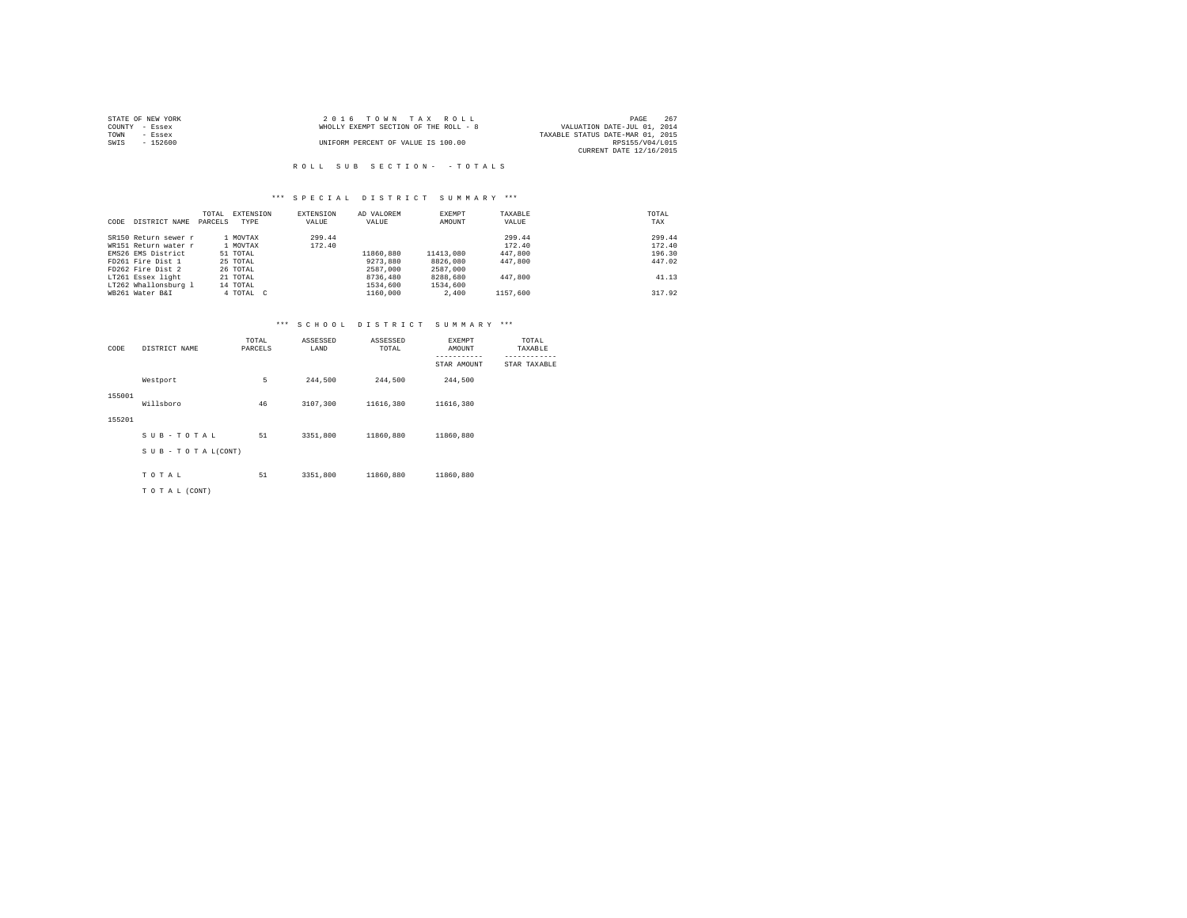| STATE OF NEW YORK | 2016 TOWN TAX ROLL                    | 267<br>PAGE                      |
|-------------------|---------------------------------------|----------------------------------|
| COUNTY - Essex    | WHOLLY EXEMPT SECTION OF THE ROLL - 8 | VALUATION DATE-JUL 01, 2014      |
| TOWN<br>$-$ Essex |                                       | TAXABLE STATUS DATE-MAR 01, 2015 |
| SWIS<br>$-152600$ | UNIFORM PERCENT OF VALUE IS 100.00    | RPS155/V04/L015                  |
|                   |                                       | CURRENT DATE 12/16/2015          |

#### R O L L S U B S E C T I O N - - T O T A L S

#### \*\*\* S P E C I A L D I S T R I C T S U M M A R Y \*\*\*

| CODE | DISTRICT NAME        | TOTAL<br>PARCELS | EXTENSION<br>TYPE | <b>EXTENSION</b><br>VALUE | AD VALOREM<br>VALUE | EXEMPT<br>AMOUNT | TAXABLE<br>VALUE | TOTAL<br>TAX |
|------|----------------------|------------------|-------------------|---------------------------|---------------------|------------------|------------------|--------------|
|      | SR150 Return sewer r |                  | 1 MOVTAX          | 299.44                    |                     |                  | 299.44           | 299.44       |
|      | WR151 Return water r |                  | 1 MOVTAX          | 172.40                    |                     |                  | 172.40           | 172.40       |
|      | EMS26 EMS District   |                  | 51 TOTAL          |                           | 11860,880           | 11413,080        | 447,800          | 196.30       |
|      | FD261 Fire Dist 1    |                  | 25 TOTAL          |                           | 9273.880            | 8826,080         | 447,800          | 447.02       |
|      | FD262 Fire Dist 2    |                  | 26 TOTAL          |                           | 2587,000            | 2587,000         |                  |              |
|      | LT261 Essex light    |                  | 21 TOTAL          |                           | 8736,480            | 8288,680         | 447,800          | 41.13        |
|      | LT262 Whallonsburg 1 |                  | 14 TOTAL          |                           | 1534,600            | 1534,600         |                  |              |
|      | WB261 Water B&I      |                  | 4 TOTAL C         |                           | 1160,000            | 2,400            | 1157.600         | 317.92       |

| CODE   | DISTRICT NAME   | TOTAL<br>PARCELS | ASSESSED<br>LAND | ASSESSED<br>TOTAL | EXEMPT<br>AMOUNT<br>-----------<br>STAR AMOUNT | TOTAL<br>TAXABLE<br>------------<br>STAR TAXABLE |
|--------|-----------------|------------------|------------------|-------------------|------------------------------------------------|--------------------------------------------------|
|        | Westport        | 5                | 244,500          | 244,500           | 244.500                                        |                                                  |
| 155001 | Willsboro       | 46               | 3107,300         | 11616,380         | 11616,380                                      |                                                  |
| 155201 |                 |                  |                  |                   |                                                |                                                  |
|        | SUB-TOTAL       | 51               | 3351,800         | 11860.880         | 11860,880                                      |                                                  |
|        | SUB-TOTAL(CONT) |                  |                  |                   |                                                |                                                  |
|        | TOTAL           | 51               | 3351,800         | 11860,880         | 11860,880                                      |                                                  |
|        | TO TAL (CONT)   |                  |                  |                   |                                                |                                                  |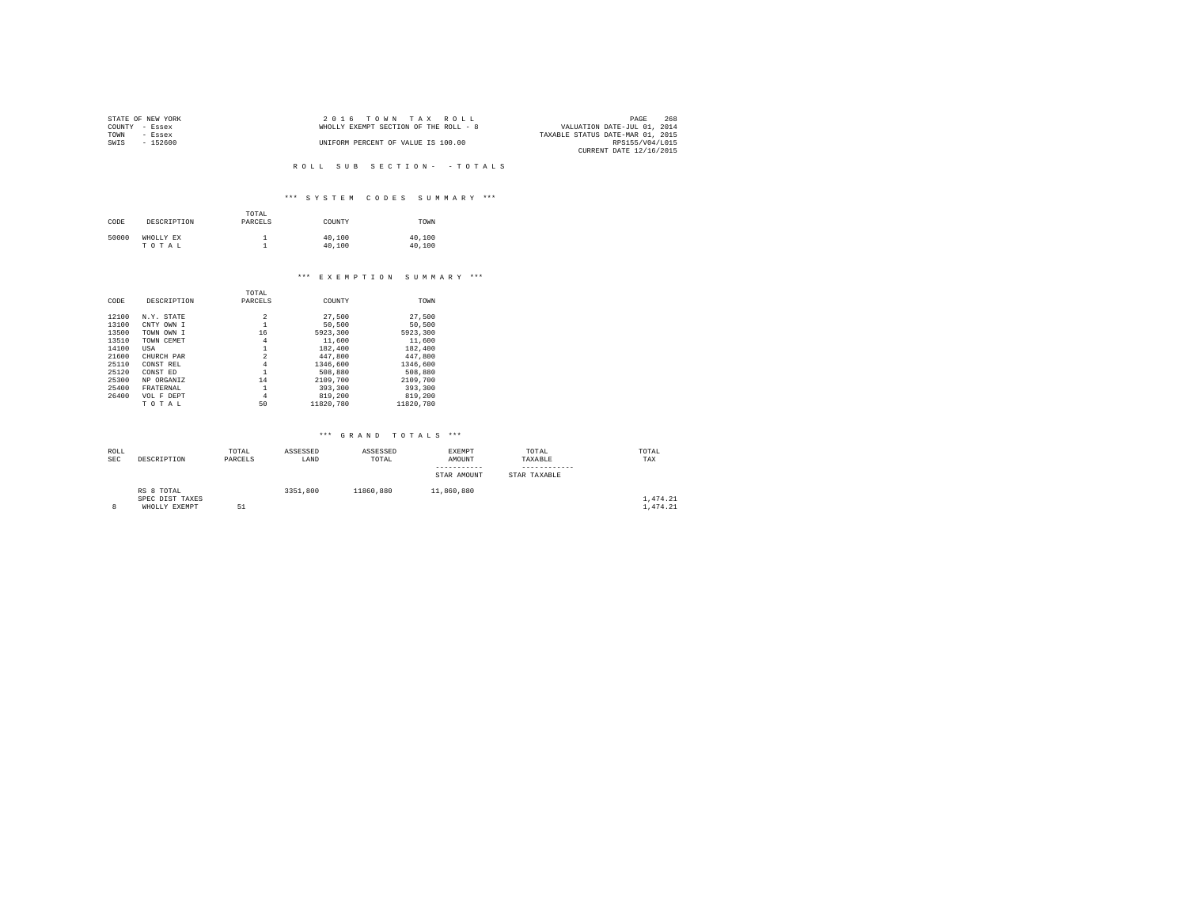| STATE OF NEW YORK |           | 2016 TOWN TAX ROLL                    | 268<br>PAGE                      |
|-------------------|-----------|---------------------------------------|----------------------------------|
| COUNTY - Essex    |           | WHOLLY EXEMPT SECTION OF THE ROLL - 8 | VALUATION DATE-JUL 01, 2014      |
| TOWN              | - Essex   |                                       | TAXABLE STATUS DATE-MAR 01, 2015 |
| SWIS              | $-152600$ | UNIFORM PERCENT OF VALUE IS 100.00    | RPS155/V04/L015                  |
|                   |           |                                       | CURRENT DATE 12/16/2015          |

R O L L S U B S E C T I O N - - T O T A L S

#### \*\*\* S Y S T E M C O D E S S U M M A R Y \*\*\*

| CODE  | DESCRIPTION        | TOTAL<br>PARCELS | COUNTY           | TOWN             |
|-------|--------------------|------------------|------------------|------------------|
| 50000 | WHOLLY EX<br>TOTAL |                  | 40,100<br>40,100 | 40,100<br>40,100 |

### \*\*\* E X E M P T I O N S U M M A R Y \*\*\*

|       |             | TOTAL                   |           |           |
|-------|-------------|-------------------------|-----------|-----------|
| CODE  | DESCRIPTION | PARCELS                 | COUNTY    | TOWN      |
|       |             |                         |           |           |
| 12100 | N.Y. STATE  | 2                       | 27,500    | 27.500    |
| 13100 | CNTY OWN I  |                         | 50,500    | 50.500    |
| 13500 | TOWN OWN I  | 16                      | 5923,300  | 5923,300  |
| 13510 | TOWN CEMET  | 4                       | 11,600    | 11,600    |
| 14100 | USA         |                         | 182,400   | 182,400   |
| 21600 | CHURCH PAR  | $\overline{\mathbf{c}}$ | 447,800   | 447.800   |
| 25110 | CONST REL   | 4                       | 1346,600  | 1346,600  |
| 25120 | CONST ED    |                         | 508,880   | 508,880   |
| 25300 | NP ORGANIZ  | 14                      | 2109,700  | 2109,700  |
| 25400 | FRATERNAL   | 1                       | 393,300   | 393,300   |
| 26400 | VOL F DEPT  | 4                       | 819,200   | 819,200   |
|       | TOTAL       | 50                      | 11820.780 | 11820.780 |

| ROLL       |                 | TOTAL   | ASSESSED | ASSESSED  | EXEMPT      | TOTAL        | TOTAL    |
|------------|-----------------|---------|----------|-----------|-------------|--------------|----------|
| <b>SEC</b> | DESCRIPTION     | PARCELS | LAND     | TOTAL     | AMOUNT      | TAXABLE      | TAX      |
|            |                 |         |          |           | ----------- |              |          |
|            |                 |         |          |           | STAR AMOUNT | STAR TAXABLE |          |
|            | RS 8 TOTAL      |         | 3351,800 | 11860.880 | 11,860,880  |              |          |
|            | SPEC DIST TAXES |         |          |           |             |              | 1,474.21 |
|            | WHOLLY EXEMPT   | 5.1     |          |           |             |              | 1,474.21 |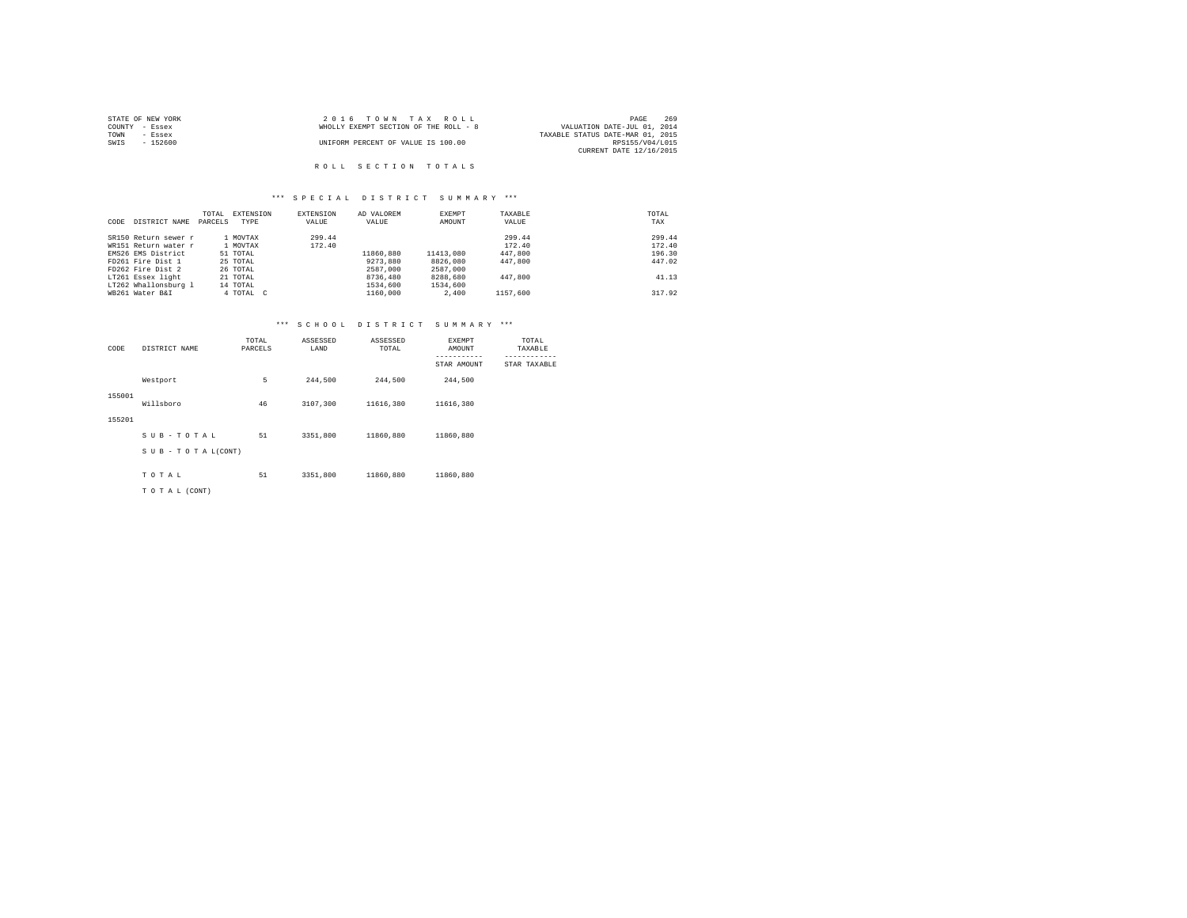| STATE OF NEW YORK | 2016 TOWN TAX ROLL                    | 269<br>PAGE                      |
|-------------------|---------------------------------------|----------------------------------|
| COUNTY - Essex    | WHOLLY EXEMPT SECTION OF THE ROLL - 8 | VALUATION DATE-JUL 01, 2014      |
| TOWN<br>- Essex   |                                       | TAXABLE STATUS DATE-MAR 01, 2015 |
| SWIS<br>$-152600$ | UNIFORM PERCENT OF VALUE IS 100.00    | RPS155/V04/L015                  |
|                   |                                       | CURRENT DATE 12/16/2015          |
|                   |                                       |                                  |
|                   | ROLL SECTION TOTALS                   |                                  |

#### \*\*\* S P E C I A L D I S T R I C T S U M M A R Y \*\*\*

| CODE | DISTRICT NAME        | TOTAL<br>PARCELS | EXTENSION<br>TYPE | EXTENSION<br>VALUE | AD VALOREM<br>VALUE | EXEMPT<br>AMOUNT | TAXABLE<br>VALUE | TOTAL<br>TAX |
|------|----------------------|------------------|-------------------|--------------------|---------------------|------------------|------------------|--------------|
|      |                      |                  |                   |                    |                     |                  |                  |              |
|      | SR150 Return sewer r |                  | 1 MOVTAX          | 299.44             |                     |                  | 299.44           | 299.44       |
|      | WR151 Return water r |                  | 1 MOVTAX          | 172.40             |                     |                  | 172.40           | 172.40       |
|      | EMS26 EMS District   |                  | 51 TOTAL          |                    | 11860,880           | 11413,080        | 447,800          | 196.30       |
|      | FD261 Fire Dist 1    |                  | 25 TOTAL          |                    | 9273.880            | 8826,080         | 447,800          | 447.02       |
|      | FD262 Fire Dist 2    |                  | 26 TOTAL          |                    | 2587.000            | 2587,000         |                  |              |
|      | LT261 Essex light    |                  | 21 TOTAL          |                    | 8736,480            | 8288,680         | 447,800          | 41.13        |
|      | LT262 Whallonsburg 1 |                  | 14 TOTAL          |                    | 1534,600            | 1534,600         |                  |              |
|      | WB261 Water B&I      |                  | 4 TOTAL C         |                    | 1160,000            | 2,400            | 1157.600         | 317.92       |

| CODE   | DISTRICT NAME   | TOTAL<br>PARCELS | ASSESSED<br>LAND | ASSESSED<br>TOTAL | EXEMPT<br>AMOUNT<br>-----------<br>STAR AMOUNT | TOTAL<br>TAXABLE<br>------------<br>STAR TAXABLE |
|--------|-----------------|------------------|------------------|-------------------|------------------------------------------------|--------------------------------------------------|
|        | Westport        | 5                | 244,500          | 244.500           | 244.500                                        |                                                  |
| 155001 | Willsboro       | 46               | 3107,300         | 11616,380         | 11616,380                                      |                                                  |
| 155201 |                 |                  |                  |                   |                                                |                                                  |
|        | SUB-TOTAL       | 51               | 3351,800         | 11860.880         | 11860,880                                      |                                                  |
|        | SUB-TOTAL(CONT) |                  |                  |                   |                                                |                                                  |
|        | TOTAL           | 51               | 3351,800         | 11860,880         | 11860,880                                      |                                                  |
|        | TO TAL (CONT)   |                  |                  |                   |                                                |                                                  |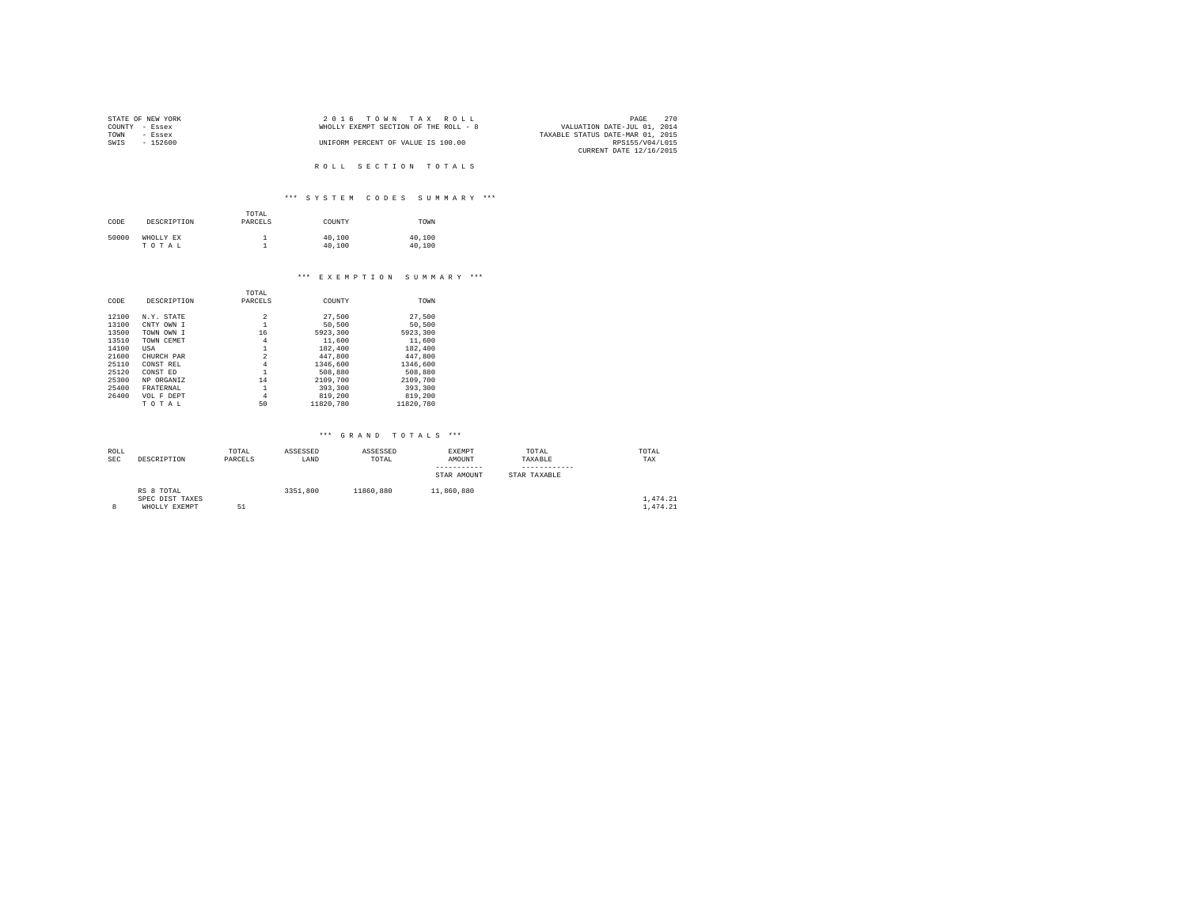|      | STATE OF NEW YORK | 2016 TOWN TAX ROLL                                                   | PAGE            | 270 |
|------|-------------------|----------------------------------------------------------------------|-----------------|-----|
|      | COUNTY - Essex    | VALUATION DATE-JUL 01, 2014<br>WHOLLY EXEMPT SECTION OF THE ROLL - 8 |                 |     |
| TOWN | - Essex           | TAXABLE STATUS DATE-MAR 01, 2015                                     |                 |     |
| SWIS | - 152600          | UNIFORM PERCENT OF VALUE IS 100.00                                   | RPS155/V04/L015 |     |
|      |                   | CURRENT DATE 12/16/2015                                              |                 |     |

# ROLL SECTION TOTALS

# \*\*\* S Y S T E M C O D E S S U M M A R Y \*\*\*

| CODE  | DESCRIPTION        | TOTAL<br>PARCELS | COUNTY           | TOWN             |
|-------|--------------------|------------------|------------------|------------------|
| 50000 | WHOLLY EX<br>TOTAL |                  | 40,100<br>40,100 | 40,100<br>40,100 |

#### \*\*\* E X E M P T I O N S U M M A R Y \*\*\*

|       |             | TOTAL          |           |           |
|-------|-------------|----------------|-----------|-----------|
| CODE  | DESCRIPTION | PARCELS        | COUNTY    | TOWN      |
|       |             |                |           |           |
| 12100 | N.Y. STATE  | 2              | 27,500    | 27.500    |
| 13100 | CNTY OWN I  |                | 50,500    | 50,500    |
| 13500 | TOWN OWN I  | 16             | 5923,300  | 5923,300  |
| 13510 | TOWN CEMET  | 4              | 11,600    | 11,600    |
| 14100 | USA         | 1              | 182,400   | 182,400   |
| 21600 | CHURCH PAR  | $\overline{a}$ | 447.800   | 447.800   |
| 25110 | CONST REL   | 4              | 1346,600  | 1346,600  |
| 25120 | CONST ED    | 1              | 508,880   | 508,880   |
| 25300 | NP ORGANIZ  | 14             | 2109,700  | 2109,700  |
| 25400 | FRATERNAL   | 1              | 393,300   | 393,300   |
| 26400 | VOL F DEPT  | 4              | 819,200   | 819,200   |
|       | TOTAL       | 50             | 11820.780 | 11820.780 |

| ROLL       |                 | TOTAL   | ASSESSED | ASSESSED  | EXEMPT      | TOTAL        | TOTAL    |
|------------|-----------------|---------|----------|-----------|-------------|--------------|----------|
| <b>SEC</b> | DESCRIPTION     | PARCELS | LAND     | TOTAL     | AMOUNT      | TAXABLE      | TAX      |
|            |                 |         |          |           |             |              |          |
|            |                 |         |          |           | STAR AMOUNT | STAR TAXABLE |          |
|            | RS 8 TOTAL      |         | 3351,800 | 11860.880 | 11,860,880  |              |          |
|            | SPEC DIST TAXES |         |          |           |             |              | 1,474.21 |
| 8          | WHOLLY EXEMPT   | 5.1     |          |           |             |              | 1,474.21 |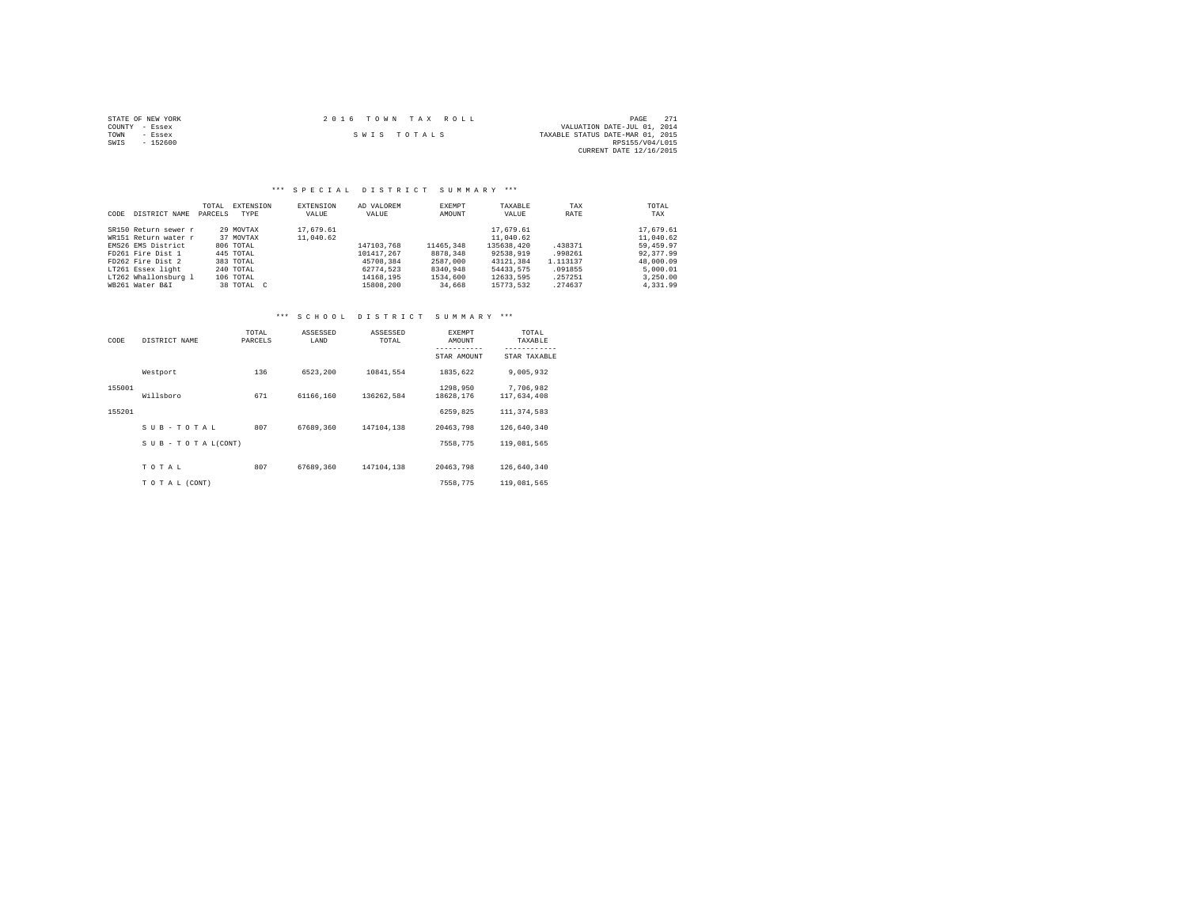| STATE OF NEW YORK | $2.0.16$ TOWN TAX ROLL | 2.71<br>PAGE                     |
|-------------------|------------------------|----------------------------------|
| COUNTY - Essex    |                        | VALUATION DATE-JUL 01, 2014      |
| TOWN<br>- Essex   | SWIS TOTALS            | TAXABLE STATUS DATE-MAR 01, 2015 |
| $-152600$<br>SWIS |                        | RPS155/V04/L015                  |
|                   |                        | CURRENT DATE 12/16/2015          |

#### \*\*\* S P E C I A L D I S T R I C T S U M M A R Y \*\*\*

| CODE | DISTRICT NAME        | TOTAL<br>PARCELS | EXTENSION<br>TYPE | EXTENSION<br>VALUE | AD VALOREM<br>VALUE | EXEMPT<br>AMOUNT | TAXABLE<br>VALUE | TAX<br>RATE | TOTAL<br>TAX |
|------|----------------------|------------------|-------------------|--------------------|---------------------|------------------|------------------|-------------|--------------|
|      | SR150 Return sewer r |                  | 29 MOVTAX         | 17.679.61          |                     |                  | 17.679.61        |             | 17.679.61    |
|      | WR151 Return water r |                  | 37 MOVTAX         | 11,040.62          |                     |                  | 11,040.62        |             | 11,040.62    |
|      | EMS26 EMS District   |                  | 806 TOTAL         |                    | 147103.768          | 11465.348        | 135638,420       | .438371     | 59,459.97    |
|      | FD261 Fire Dist 1    |                  | 445 TOTAL         |                    | 101417.267          | 8878,348         | 92538.919        | .998261     | 92.377.99    |
|      | FD262 Fire Dist 2    |                  | 383 TOTAL         |                    | 45708.384           | 2587,000         | 43121.384        | 1.113137    | 48,000.09    |
|      | LT261 Essex light    |                  | 240 TOTAL         |                    | 62774.523           | 8340.948         | 54433.575        | .091855     | 5.000.01     |
|      | LT262 Whallonsburg 1 |                  | 106 TOTAL         |                    | 14168.195           | 1534,600         | 12633.595        | .257251     | 3,250,00     |
|      | WB261 Water B&I      |                  | 38 TOTAL C        |                    | 15808,200           | 34,668           | 15773.532        | .274637     | 4.331.99     |

| CODE   | DISTRICT NAME      | TOTAL<br>PARCELS | ASSESSED<br>LAND | ASSESSED<br>TOTAL | <b>EXEMPT</b><br>AMOUNT | TOTAL<br>TAXABLE             |
|--------|--------------------|------------------|------------------|-------------------|-------------------------|------------------------------|
|        |                    |                  |                  |                   | STAR AMOUNT             | ------------<br>STAR TAXABLE |
|        | Westport           | 136              | 6523.200         | 10841.554         | 1835.622                | 9.005.932                    |
| 155001 | Willsboro          | 671              | 61166.160        | 136262.584        | 1298.950<br>18628.176   | 7.706.982<br>117,634,408     |
| 155201 |                    |                  |                  |                   | 6259.825                | 111, 374, 583                |
|        | SUB-TOTAL          | 807              | 67689.360        | 147104.138        | 20463.798               | 126,640,340                  |
|        | SUB - TO TAL(CONT) |                  |                  |                   | 7558.775                | 119,081,565                  |
|        | TOTAL              | 807              | 67689.360        | 147104.138        | 20463.798               | 126,640,340                  |
|        | TO TAL (CONT)      |                  |                  |                   | 7558.775                | 119,081,565                  |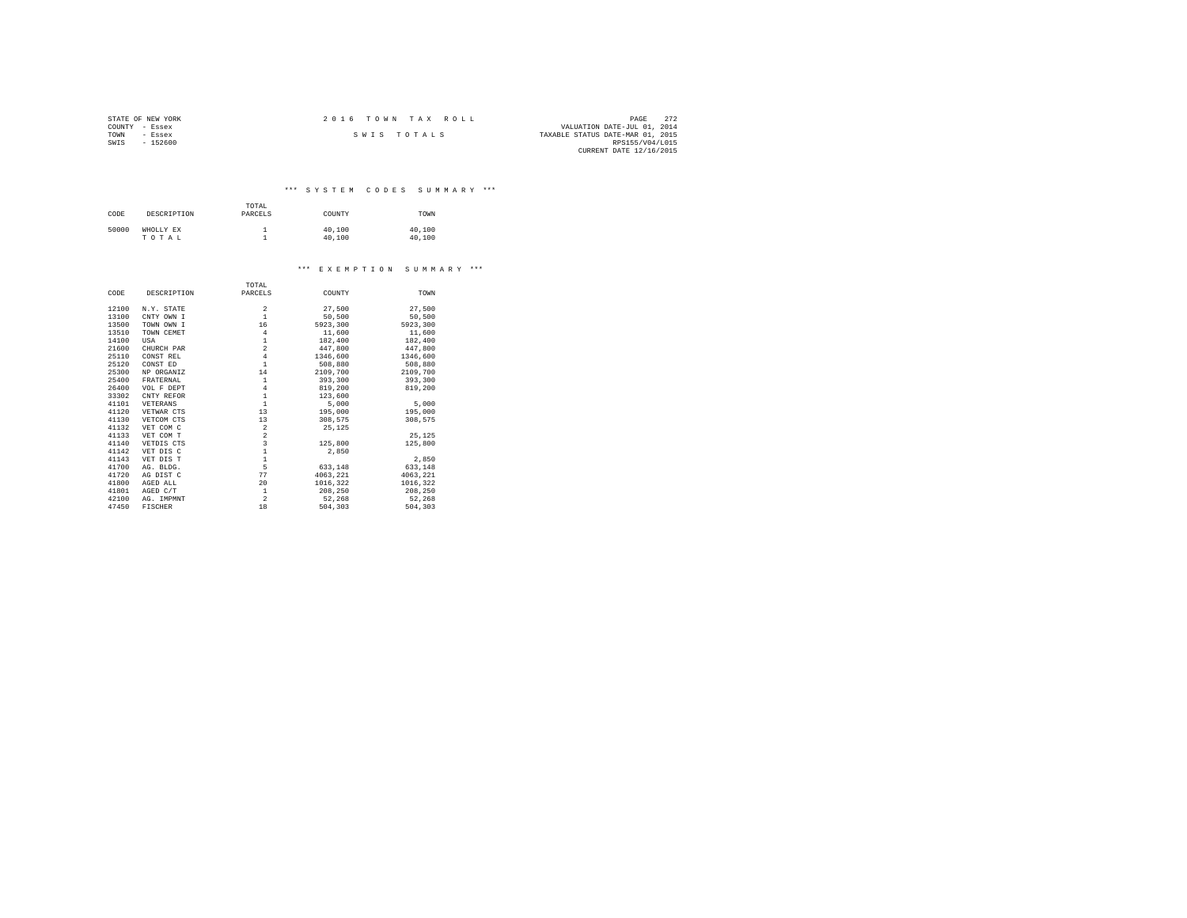| STATE OF NEW YORK | 2016 TOWN TAX ROLL | 272<br>PAGE                      |
|-------------------|--------------------|----------------------------------|
| COUNTY - Essex    |                    | VALUATION DATE-JUL 01, 2014      |
| TOWN<br>- Essex   | SWIS TOTALS        | TAXABLE STATUS DATE-MAR 01, 2015 |
| $-152600$<br>SWIS |                    | RPS155/V04/L015                  |
|                   |                    | CURRENT DATE 12/16/2015          |

\*\*\* S Y S T E M C O D E S S U M M A R Y \*\*\*

| CODE  | DESCRIPTION        | TOTAL<br>PARCELS | COUNTY           | TOWN             |
|-------|--------------------|------------------|------------------|------------------|
| 50000 | WHOLLY EX<br>TOTAL |                  | 40,100<br>40,100 | 40,100<br>40,100 |

#### \*\*\* E X E M P T I O N S U M M A R Y \*\*\*

|       |             | TOTAL                                      |          |          |
|-------|-------------|--------------------------------------------|----------|----------|
| CODE  | DESCRIPTION | PARCELS                                    | COUNTY   | TOWN     |
| 12100 | N.Y. STATE  | 2                                          | 27,500   | 27,500   |
| 13100 | CNTY OWN I  | $\mathbf{1}$                               | 50,500   | 50,500   |
| 13500 | TOWN OWN I  | 16                                         | 5923,300 | 5923.300 |
| 13510 | TOWN CEMET  | $\overline{4}$                             | 11,600   | 11,600   |
| 14100 | USA         | $\,1\,$                                    | 182,400  | 182,400  |
| 21600 | CHURCH PAR  | $\overline{\mathbf{c}}$                    | 447.800  | 447.800  |
| 25110 | CONST REL   | $\overline{4}$                             | 1346,600 | 1346,600 |
| 25120 | CONST ED    | $\mathbf{1}$                               | 508,880  | 508,880  |
| 25300 | NP ORGANIZ  | 14                                         | 2109,700 | 2109,700 |
| 25400 | FRATERNAL   | $\,1\,$                                    | 393,300  | 393,300  |
| 26400 | VOL F DEPT  | $\overline{4}$                             | 819,200  | 819,200  |
| 33302 | CNTY REFOR  | $\mathbf 1$                                | 123,600  |          |
| 41101 | VETERANS    | $\mathbf 1$                                | 5,000    | 5,000    |
| 41120 | VETWAR CTS  | 13                                         | 195,000  | 195,000  |
| 41130 | VETCOM CTS  | 13                                         | 308,575  | 308.575  |
| 41132 | VET COM C   | $\overline{\mathbf{2}}$                    | 25.125   |          |
| 41133 | VET COM T   | $\overline{\mathbf{c}}$                    |          | 25.125   |
| 41140 | VETDIS CTS  | 3                                          | 125,800  | 125,800  |
| 41142 | VET DIS C   | $\begin{array}{c} 1 \\ 1 \\ 5 \end{array}$ | 2.850    |          |
| 41143 | VET DIS T   |                                            |          | 2,850    |
| 41700 | AG. BLDG.   |                                            | 633,148  | 633,148  |
| 41720 | AG DIST C   | 77                                         | 4063.221 | 4063.221 |
| 41800 | AGED ALL    | 20                                         | 1016.322 | 1016,322 |
| 41801 | AGED C/T    | 1                                          | 208,250  | 208,250  |
| 42100 | AG. IMPMNT  | $\,2\,$                                    | 52,268   | 52,268   |
| 47450 | FISCHER     | 18                                         | 504,303  | 504,303  |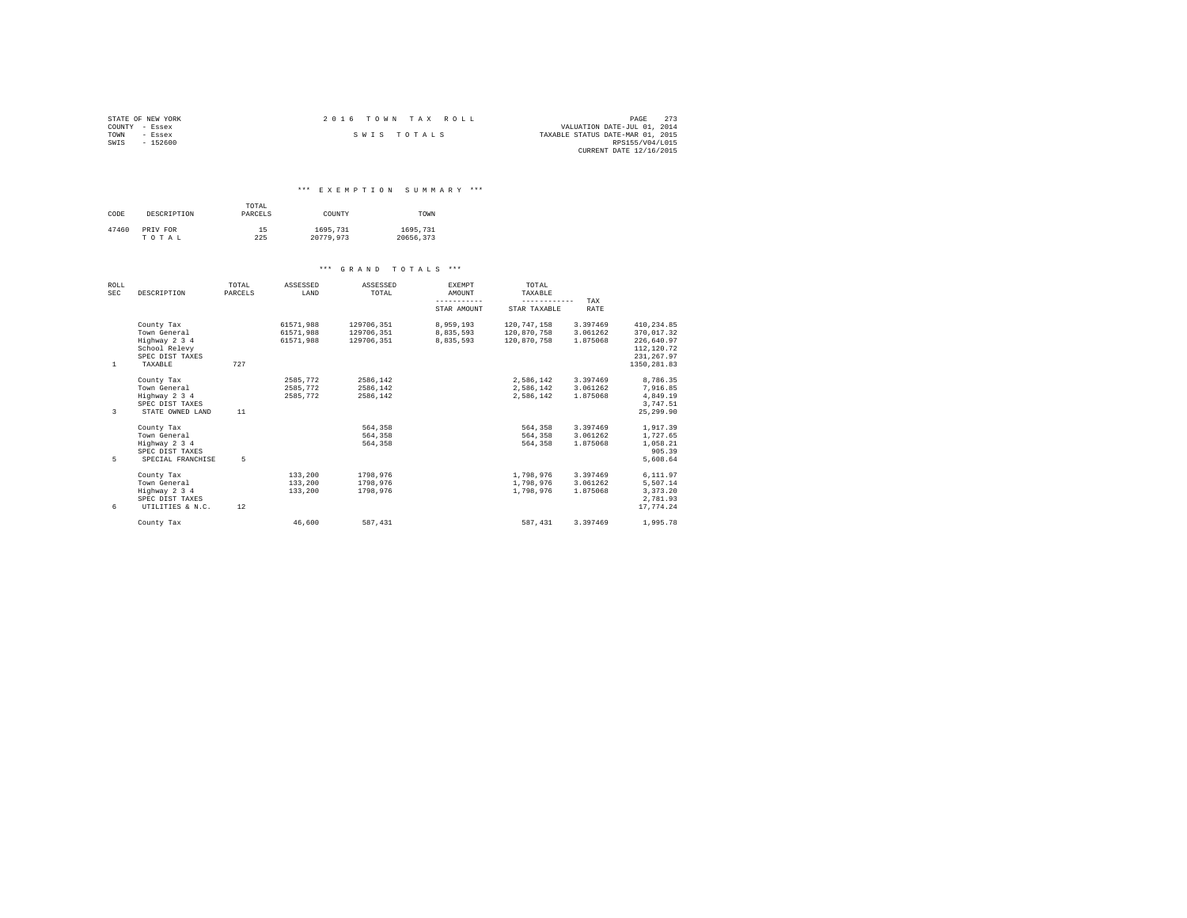| STATE OF NEW YORK | 2016 TOWN TAX ROLL | - 273<br>PAGE                    |
|-------------------|--------------------|----------------------------------|
| COUNTY - Essex    |                    | VALUATION DATE-JUL 01, 2014      |
| TOWN<br>- Essex   | SWIS TOTALS        | TAXABLE STATUS DATE-MAR 01, 2015 |
| SWIS<br>$-152600$ |                    | RPS155/V04/L015                  |
|                   |                    | CURRENT DATE 12/16/2015          |

#### \*\*\* E X E M P T I O N S U M M A R Y \*\*\*

| CODE  | DESCRIPTION | TOTAL<br>PARCELS | COUNTY    | TOWN      |
|-------|-------------|------------------|-----------|-----------|
| 47460 | PRIV FOR    | 15               | 1695.731  | 1695.731  |
|       | TOTAL       | 225              | 20779.973 | 20656.373 |

| ROLL<br><b>SEC</b> | DESCRIPTION       | TOTAL<br>PARCELS | ASSESSED<br>LAND | ASSESSED<br>TOTAL | <b>EXEMPT</b><br>AMOUNT | TOTAL<br>TAXABLE |             |              |
|--------------------|-------------------|------------------|------------------|-------------------|-------------------------|------------------|-------------|--------------|
|                    |                   |                  |                  |                   | -----------             | ------------     | TAX         |              |
|                    |                   |                  |                  |                   | STAR AMOUNT             | STAR TAXABLE     | <b>RATE</b> |              |
|                    | County Tax        |                  | 61571.988        | 129706.351        | 8,959,193               | 120.747.158      | 3.397469    | 410,234.85   |
|                    | Town General      |                  | 61571.988        | 129706.351        | 8.835.593               | 120,870,758      | 3.061262    | 370.017.32   |
|                    | Highway 2 3 4     |                  | 61571.988        | 129706.351        | 8.835.593               | 120,870,758      | 1.875068    | 226,640.97   |
|                    | School Relevy     |                  |                  |                   |                         |                  |             | 112,120.72   |
|                    | SPEC DIST TAXES   |                  |                  |                   |                         |                  |             | 231, 267.97  |
| <sup>1</sup>       | TAXABLE           | 727              |                  |                   |                         |                  |             | 1350, 281.83 |
|                    | County Tax        |                  | 2585.772         | 2586.142          |                         | 2,586,142        | 3.397469    | 8,786.35     |
|                    | Town General      |                  | 2585.772         | 2586.142          |                         | 2.586.142        | 3.061262    | 7,916.85     |
|                    | Highway 2 3 4     |                  | 2585,772         | 2586.142          |                         | 2.586.142        | 1.875068    | 4,849.19     |
|                    | SPEC DIST TAXES   |                  |                  |                   |                         |                  |             | 3.747.51     |
| $\mathcal{L}$      | STATE OWNED LAND  | 11               |                  |                   |                         |                  |             | 25, 299, 90  |
|                    | County Tax        |                  |                  | 564,358           |                         | 564,358          | 3.397469    | 1,917.39     |
|                    | Town General      |                  |                  | 564,358           |                         | 564,358          | 3.061262    | 1,727.65     |
|                    | Highway 2 3 4     |                  |                  | 564,358           |                         | 564,358          | 1.875068    | 1,058.21     |
|                    | SPEC DIST TAXES   |                  |                  |                   |                         |                  |             | 905.39       |
| 5                  | SPECIAL FRANCHISE | 5                |                  |                   |                         |                  |             | 5.608.64     |
|                    | County Tax        |                  | 133,200          | 1798.976          |                         | 1,798,976        | 3.397469    | 6,111.97     |
|                    | Town General      |                  | 133,200          | 1798.976          |                         | 1,798,976        | 3.061262    | 5,507.14     |
|                    | Highway 2 3 4     |                  | 133,200          | 1798.976          |                         | 1,798,976        | 1.875068    | 3,373.20     |
|                    | SPEC DIST TAXES   |                  |                  |                   |                         |                  |             | 2.781.93     |
| 6                  | UTILITIES & N.C.  | 12               |                  |                   |                         |                  |             | 17.774.24    |
|                    | County Tax        |                  | 46.600           | 587.431           |                         | 587, 431         | 3.397469    | 1,995.78     |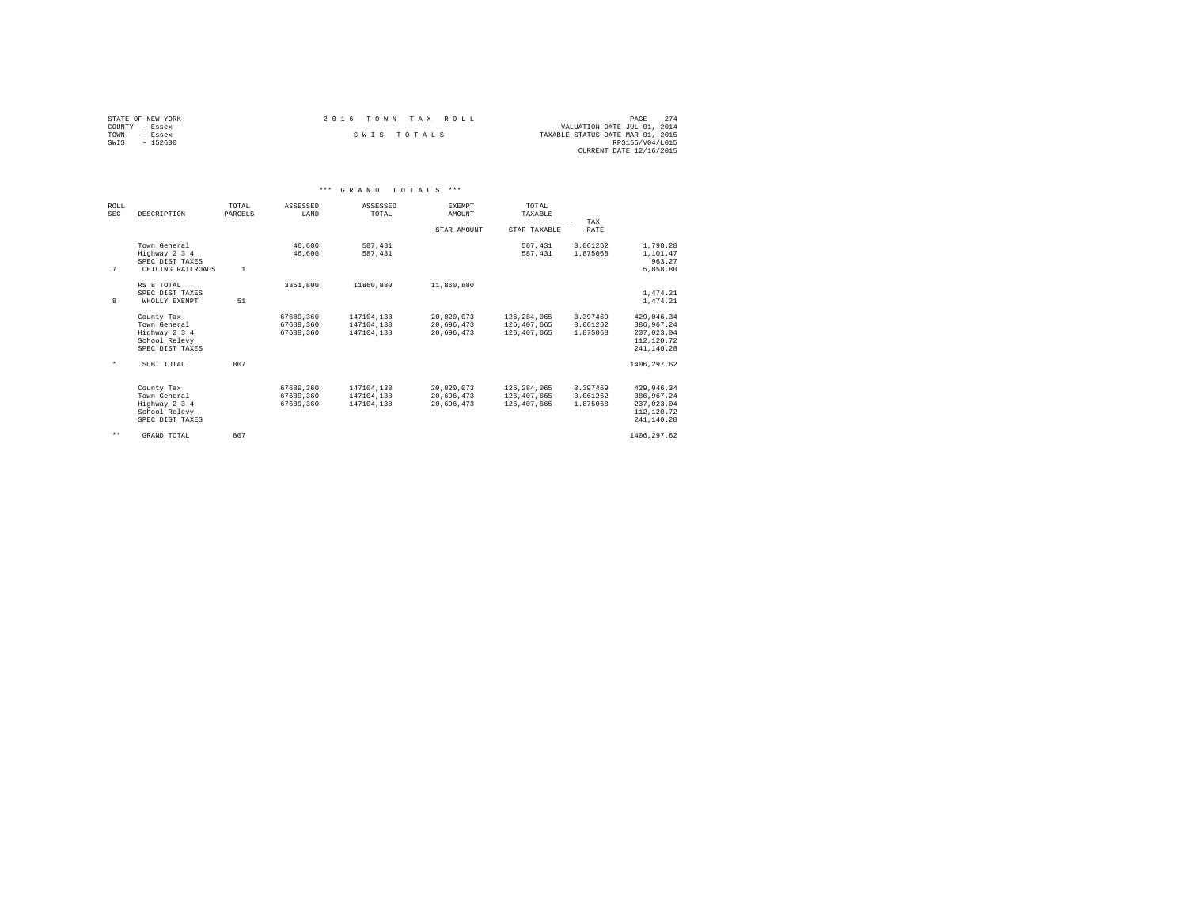| STATE OF NEW YORK | $2.0.16$ TOWN TAX ROLL | 2.74<br>PAGE                     |
|-------------------|------------------------|----------------------------------|
| COUNTY - Essex    |                        | VALUATION DATE-JUL 01, 2014      |
| TOWN<br>- Essex   | SWIS TOTALS            | TAXABLE STATUS DATE-MAR 01, 2015 |
| SWIS<br>$-152600$ |                        | RPS155/V04/L015                  |
|                   |                        | CURRENT DATE 12/16/2015          |

|              |                                                                                 |                  |                                     | *** GRAND TOTALS                       | ***                                            |                                                                 |                                  |                                                                    |  |
|--------------|---------------------------------------------------------------------------------|------------------|-------------------------------------|----------------------------------------|------------------------------------------------|-----------------------------------------------------------------|----------------------------------|--------------------------------------------------------------------|--|
| ROLL<br>SEC  | DESCRIPTION                                                                     | TOTAL<br>PARCELS | ASSESSED<br>LAND                    | ASSESSED<br>TOTAL                      | EXEMPT<br>AMOUNT<br>-----------<br>STAR AMOUNT | TOTAL<br>TAXABLE<br>------------<br>STAR TAXABLE                | TAX<br>RATE                      |                                                                    |  |
| 7            | Town General<br>Highway 2 3 4<br>SPEC DIST TAXES<br>CEILING RAILROADS           | $\overline{1}$   | 46,600<br>46,600                    | 587.431<br>587.431                     |                                                | 587, 431<br>587, 431                                            | 3.061262<br>1.875068             | 1,798.28<br>1,101.47<br>963.27<br>5,858.80                         |  |
| 8            | RS 8 TOTAL<br>SPEC DIST TAXES<br>WHOLLY EXEMPT                                  | 51               | 3351,800                            | 11860,880                              | 11,860,880                                     |                                                                 |                                  | 1,474.21<br>1,474.21                                               |  |
|              | County Tax<br>Town General<br>Highway 2 3 4<br>School Relevy<br>SPEC DIST TAXES |                  | 67689.360<br>67689.360<br>67689,360 | 147104.138<br>147104.138<br>147104.138 | 20,696,473                                     | 20.820.073 126.284.065<br>20,696,473 126,407,665<br>126,407,665 | 3.397469<br>3.061262<br>1.875068 | 429.046.34<br>386.967.24<br>237.023.04<br>112,120.72<br>241.140.28 |  |
| $\star$      | SUB TOTAL                                                                       | 807              |                                     |                                        |                                                |                                                                 |                                  | 1406.297.62                                                        |  |
|              | County Tax<br>Town General<br>Highway 2 3 4<br>School Relevy<br>SPEC DIST TAXES |                  | 67689,360<br>67689,360<br>67689,360 | 147104.138<br>147104,138<br>147104.138 | 20,696,473<br>20.696.473                       | 20,820,073 126,284,065<br>126,407,665<br>126,407,665            | 3.397469<br>3.061262<br>1.875068 | 429.046.34<br>386,967.24<br>237.023.04<br>112,120.72<br>241.140.28 |  |
| $\star\star$ | GRAND TOTAL                                                                     | 807              |                                     |                                        |                                                |                                                                 |                                  | 1406.297.62                                                        |  |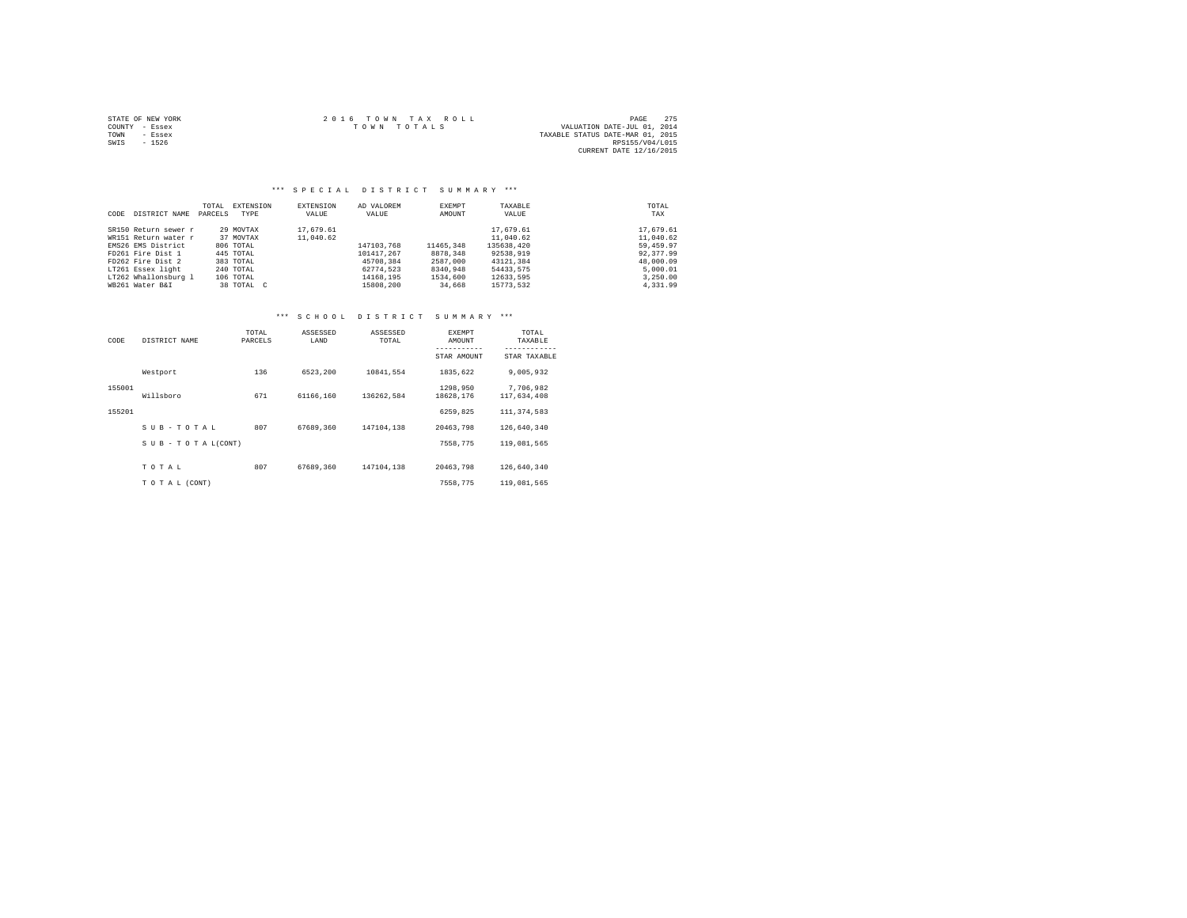|                | STATE OF NEW YORK | 2016 TOWN TAX ROLL | PAGE                             | 275 |
|----------------|-------------------|--------------------|----------------------------------|-----|
| COUNTY - Essex |                   | TOWN TOTALS        | VALUATION DATE-JUL 01, 2014      |     |
| TOWN           | - Essex           |                    | TAXABLE STATUS DATE-MAR 01, 2015 |     |
| SWIS           | $-1526$           |                    | RPS155/V04/L015                  |     |
|                |                   |                    | CURRENT DATE 12/16/2015          |     |

#### \*\*\* S P E C I A L D I S T R I C T S U M M A R Y \*\*\*

|      |                      | TOTAL   | EXTENSION  | EXTENSION | AD VALOREM | EXEMPT    | TAXABLE    | TOTAL     |
|------|----------------------|---------|------------|-----------|------------|-----------|------------|-----------|
| CODE | DISTRICT NAME        | PARCELS | TYPE       | VALUE     | VALUE      | AMOUNT    | VALUE      | TAX       |
|      | SR150 Return sewer r |         | 29 MOVTAX  | 17.679.61 |            |           | 17.679.61  | 17,679.61 |
|      | WR151 Return water r |         | 37 MOVTAX  | 11,040.62 |            |           | 11,040.62  | 11,040.62 |
|      | EMS26 EMS District   |         | 806 TOTAL  |           | 147103.768 | 11465,348 | 135638.420 | 59,459.97 |
|      | FD261 Fire Dist 1    |         | 445 TOTAL  |           | 101417.267 | 8878.348  | 92538,919  | 92.377.99 |
|      | FD262 Fire Dist 2    |         | 383 TOTAL  |           | 45708.384  | 2587,000  | 43121.384  | 48,000.09 |
|      | LT261 Essex light    |         | 240 TOTAL  |           | 62774.523  | 8340,948  | 54433.575  | 5,000.01  |
|      | LT262 Whallonsburg 1 |         | 106 TOTAL  |           | 14168.195  | 1534,600  | 12633.595  | 3,250.00  |
|      | WB261 Water B&I      |         | 38 TOTAL C |           | 15808,200  | 34,668    | 15773.532  | 4.331.99  |

| CODE   | DISTRICT NAME      | TOTAL<br>PARCELS | ASSESSED<br>LAND | ASSESSED<br>TOTAL | <b>EXEMPT</b><br>AMOUNT | TOTAL<br>TAXABLE         |
|--------|--------------------|------------------|------------------|-------------------|-------------------------|--------------------------|
|        |                    |                  |                  |                   | STAR AMOUNT             | STAR TAXABLE             |
|        | Westport           | 136              | 6523.200         | 10841.554         | 1835.622                | 9.005.932                |
| 155001 | Willsboro          | 671              | 61166.160        | 136262.584        | 1298.950<br>18628,176   | 7.706.982<br>117,634,408 |
| 155201 |                    |                  |                  |                   | 6259.825                | 111, 374, 583            |
|        | SUB-TOTAL          | 807              | 67689.360        | 147104.138        | 20463.798               | 126,640,340              |
|        | SUB - TO TAL(CONT) |                  |                  |                   | 7558.775                | 119,081,565              |
|        |                    | 807              | 67689.360        | 147104.138        |                         | 126,640,340              |
|        | TOTAL              |                  |                  |                   | 20463.798               |                          |
|        | TO TAL (CONT)      |                  |                  |                   | 7558.775                | 119,081,565              |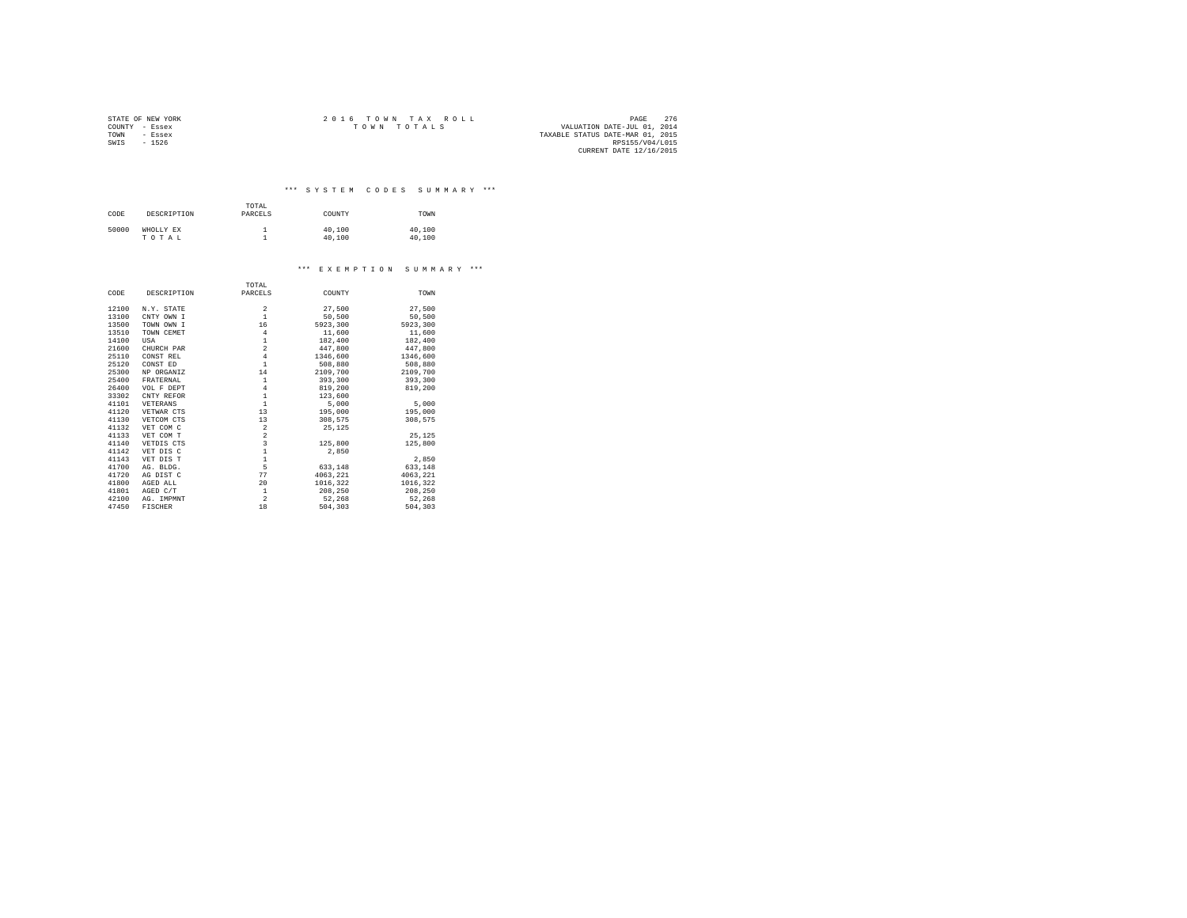|                | STATE OF NEW YORK | $2.0.16$ TOWN TAX ROLL                     | PAGE            | 276 |
|----------------|-------------------|--------------------------------------------|-----------------|-----|
| COUNTY - Essex |                   | VALUATION DATE-JUL 01, 2014<br>TOWN TOTALS |                 |     |
| TOWN           | - Essex           | TAXABLE STATUS DATE-MAR 01, 2015           |                 |     |
| SWIS           | $-1526$           |                                            | RPS155/V04/L015 |     |
|                |                   | CURRENT DATE 12/16/2015                    |                 |     |

\*\*\* S Y S T E M C O D E S S U M M A R Y \*\*\*

| CODE  | DESCRIPTION | TOTAL<br>PARCELS | COUNTY | TOWN   |
|-------|-------------|------------------|--------|--------|
| 50000 | WHOLLY EX   |                  | 40,100 | 40,100 |
|       | TOTAL       |                  | 40,100 | 40,100 |

#### \*\*\* E X E M P T I O N S U M M A R Y \*\*\*

|       |                | TOTAL                                      |          |          |
|-------|----------------|--------------------------------------------|----------|----------|
| CODE  | DESCRIPTION    | PARCELS                                    | COUNTY   | TOWN     |
| 12100 | N.Y. STATE     | $\overline{\mathbf{c}}$                    | 27,500   | 27,500   |
| 13100 | CNTY OWN I     | $\mathbf{1}$                               | 50,500   | 50,500   |
| 13500 | TOWN OWN I     | 16                                         | 5923.300 | 5923,300 |
| 13510 | TOWN CEMET     | $\overline{4}$                             | 11,600   | 11,600   |
| 14100 | USA            | $\,1\,$                                    | 182,400  | 182,400  |
| 21600 | CHURCH PAR     | $\overline{a}$                             | 447.800  | 447.800  |
| 25110 | CONST REL      | $\overline{4}$                             | 1346,600 | 1346,600 |
| 25120 | CONST ED       | $\mathbf{1}$                               | 508,880  | 508,880  |
| 25300 | NP ORGANIZ     | 14                                         | 2109,700 | 2109,700 |
| 25400 | FRATERNAL      | $\,1\,$                                    | 393,300  | 393,300  |
| 26400 | VOL F DEPT     | $\overline{4}$                             | 819,200  | 819,200  |
| 33302 | CNTY REFOR     | $\,1\,$                                    | 123,600  |          |
| 41101 | VETERANS       | $\,1\,$                                    | 5,000    | 5,000    |
| 41120 | VETWAR CTS     | 13                                         | 195,000  | 195,000  |
| 41130 | VETCOM CTS     | 13                                         | 308,575  | 308.575  |
| 41132 | VET COM C      | $\overline{\mathbf{2}}$                    | 25.125   |          |
| 41133 | VET COM T      | $\frac{2}{3}$                              |          | 25.125   |
| 41140 | VETDIS CTS     |                                            | 125,800  | 125,800  |
| 41142 | VET DIS C      | $\begin{array}{c} 1 \\ 1 \\ 5 \end{array}$ | 2.850    |          |
| 41143 | VET DIS T      |                                            |          | 2,850    |
| 41700 | AG. BLDG.      |                                            | 633,148  | 633,148  |
| 41720 | AG DIST C      | 77                                         | 4063.221 | 4063.221 |
| 41800 | AGED ALL       | 20                                         | 1016.322 | 1016,322 |
| 41801 | AGED C/T       | $\,1\,$                                    | 208,250  | 208,250  |
| 42100 | AG. IMPMNT     | $\overline{2}$                             | 52.268   | 52,268   |
| 47450 | <b>FISCHER</b> | 18                                         | 504,303  | 504,303  |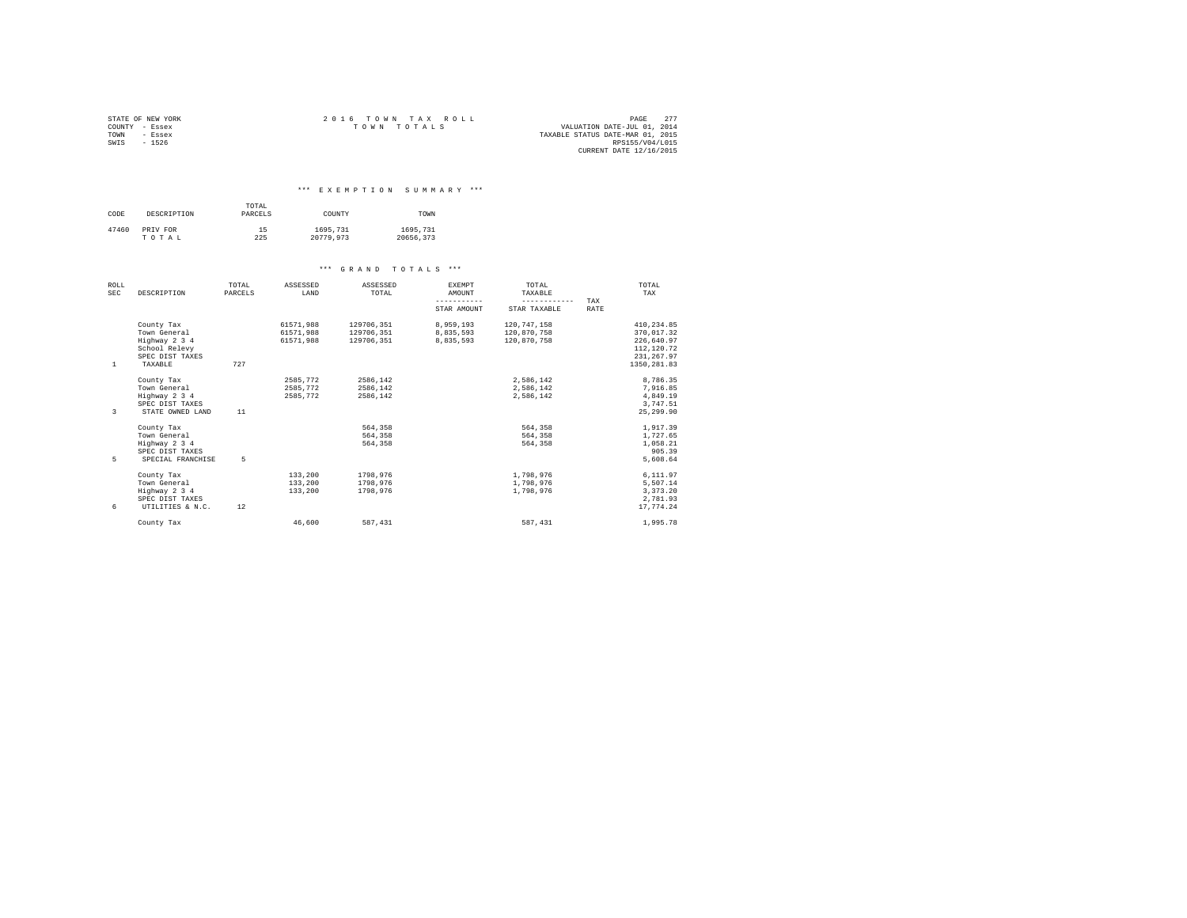|                | STATE OF NEW YORK | $2.0.16$ TOWN TAX ROLL                     | PAGE            | 277 |
|----------------|-------------------|--------------------------------------------|-----------------|-----|
| COUNTY - Essex |                   | VALUATION DATE-JUL 01, 2014<br>TOWN TOTALS |                 |     |
| TOWN           | - Essex           | TAXABLE STATUS DATE-MAR 01, 2015           |                 |     |
| SWIS           | $-1526$           |                                            | RPS155/V04/L015 |     |
|                |                   | CURRENT DATE 12/16/2015                    |                 |     |

#### \*\*\* E X E M P T I O N S U M M A R Y \*\*\*

| CODE  | DESCRIPTION | TOTAL<br>PARCELS | COUNTY    | TOWN      |
|-------|-------------|------------------|-----------|-----------|
| 47460 | PRIV FOR    | 15               | 1695.731  | 1695,731  |
|       | TOTAL       | 225              | 20779.973 | 20656.373 |

| <b>ROLL</b><br><b>SEC</b> | DESCRIPTION       | TOTAL<br>PARCELS | ASSESSED<br>LAND | ASSESSED<br>TOTAL | <b>EXEMPT</b><br>AMOUNT | TOTAL<br>TAXABLE |             | TOTAL<br>TAX |
|---------------------------|-------------------|------------------|------------------|-------------------|-------------------------|------------------|-------------|--------------|
|                           |                   |                  |                  |                   | -----------             | ------------     | TAX         |              |
|                           |                   |                  |                  |                   | STAR AMOUNT             | STAR TAXABLE     | <b>RATE</b> |              |
|                           | County Tax        |                  | 61571.988        | 129706,351        | 8,959,193               | 120.747.158      |             | 410.234.85   |
|                           | Town General      |                  | 61571.988        | 129706,351        | 8.835.593               | 120,870,758      |             | 370.017.32   |
|                           | Highway 2 3 4     |                  | 61571.988        | 129706.351        | 8.835.593               | 120.870.758      |             | 226,640.97   |
|                           | School Relevy     |                  |                  |                   |                         |                  |             | 112,120.72   |
|                           | SPEC DIST TAXES   |                  |                  |                   |                         |                  |             | 231, 267.97  |
| 1                         | TAXABLE           | 727              |                  |                   |                         |                  |             | 1350, 281.83 |
|                           | County Tax        |                  | 2585.772         | 2586.142          |                         | 2.586.142        |             | 8.786.35     |
|                           | Town General      |                  | 2585,772         | 2586.142          |                         | 2,586,142        |             | 7,916.85     |
|                           | Highway 2 3 4     |                  | 2585,772         | 2586,142          |                         | 2.586.142        |             | 4,849.19     |
|                           | SPEC DIST TAXES   |                  |                  |                   |                         |                  |             | 3.747.51     |
| 3                         | STATE OWNED LAND  | 11               |                  |                   |                         |                  |             | 25, 299, 90  |
|                           | County Tax        |                  |                  | 564,358           |                         | 564,358          |             | 1,917.39     |
|                           | Town General      |                  |                  | 564,358           |                         | 564,358          |             | 1,727.65     |
|                           | Highway 2 3 4     |                  |                  | 564,358           |                         | 564,358          |             | 1.058.21     |
|                           | SPEC DIST TAXES   |                  |                  |                   |                         |                  |             | 905.39       |
| 5                         | SPECIAL FRANCHISE | 5                |                  |                   |                         |                  |             | 5,608.64     |
|                           | County Tax        |                  | 133,200          | 1798.976          |                         | 1,798,976        |             | 6.111.97     |
|                           | Town General      |                  | 133,200          | 1798.976          |                         | 1,798,976        |             | 5.507.14     |
|                           | Highway 2 3 4     |                  | 133,200          | 1798.976          |                         | 1,798,976        |             | 3.373.20     |
|                           | SPEC DIST TAXES   |                  |                  |                   |                         |                  |             | 2.781.93     |
| 6                         | UTILITIES & N.C.  | 12               |                  |                   |                         |                  |             | 17.774.24    |
|                           | County Tax        |                  | 46,600           | 587.431           |                         | 587, 431         |             | 1,995.78     |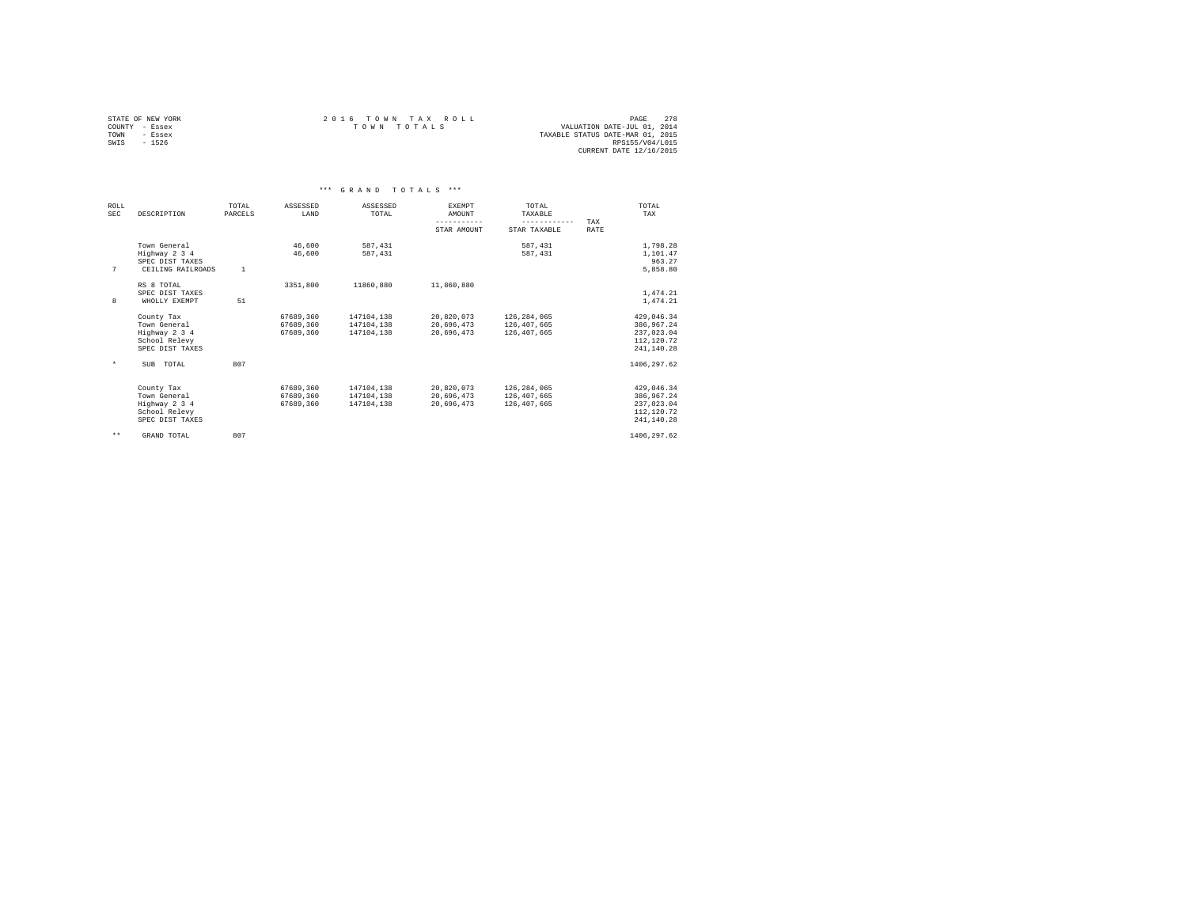| STATE OF NEW YORK |         | 2016 TOWN TAX ROLL |             |  | PAGE                             | 2.78 |  |
|-------------------|---------|--------------------|-------------|--|----------------------------------|------|--|
| COUNTY - Essex    |         |                    | TOWN TOTALS |  | VALUATION DATE-JUL 01, 2014      |      |  |
| TOWN              | - Essex |                    |             |  | TAXABLE STATUS DATE-MAR 01, 2015 |      |  |
| SWTS              | $-1526$ |                    |             |  | RPS155/V04/L015                  |      |  |
|                   |         |                    |             |  | CURRENT DATE 12/16/2015          |      |  |

|                    |                                                                                 |                  | $* * *$                             | GRAND                                  | TOTALS ***                             |                                           |             |                                                                     |
|--------------------|---------------------------------------------------------------------------------|------------------|-------------------------------------|----------------------------------------|----------------------------------------|-------------------------------------------|-------------|---------------------------------------------------------------------|
| ROLL<br><b>SEC</b> | DESCRIPTION                                                                     | TOTAL<br>PARCELS | ASSESSED<br>LAND                    | ASSESSED<br>TOTAL                      | <b>EXEMPT</b><br>AMOUNT<br>----------- | TOTAL<br>TAXABLE<br>------------          | TAX         | TOTAL.<br>TAX                                                       |
|                    |                                                                                 |                  |                                     |                                        | STAR AMOUNT                            | STAR TAXABLE                              | <b>RATE</b> |                                                                     |
| 7                  | Town General<br>Highway 2 3 4<br>SPEC DIST TAXES<br>CEILING RAILROADS           | $\mathbf{1}$     | 46,600<br>46,600                    | 587.431<br>587.431                     |                                        | 587, 431<br>587.431                       |             | 1,798.28<br>1,101.47<br>963.27<br>5,858.80                          |
| 8                  | RS 8 TOTAL<br>SPEC DIST TAXES<br>WHOLLY EXEMPT                                  | 51               | 3351,800                            | 11860.880                              | 11,860,880                             |                                           |             | 1,474.21<br>1,474.21                                                |
|                    | County Tax<br>Town General<br>Highway 2 3 4<br>School Relevy<br>SPEC DIST TAXES |                  | 67689,360<br>67689.360<br>67689.360 | 147104,138<br>147104.138<br>147104,138 | 20,820,073<br>20.696.473<br>20.696.473 | 126,284,065<br>126,407,665<br>126,407,665 |             | 429.046.34<br>386.967.24<br>237.023.04<br>112, 120.72<br>241.140.28 |
| $\star$            | SUB TOTAL                                                                       | 807              |                                     |                                        |                                        |                                           |             | 1406.297.62                                                         |
|                    | County Tax<br>Town General<br>Highway 2 3 4<br>School Relevy<br>SPEC DIST TAXES |                  | 67689.360<br>67689,360<br>67689.360 | 147104.138<br>147104,138<br>147104.138 | 20.820.073<br>20,696,473<br>20.696.473 | 126,284,065<br>126,407,665<br>126,407,665 |             | 429.046.34<br>386,967.24<br>237.023.04<br>112, 120.72<br>241,140.28 |
| $***$              | GRAND TOTAL                                                                     | 807              |                                     |                                        |                                        |                                           |             | 1406, 297.62                                                        |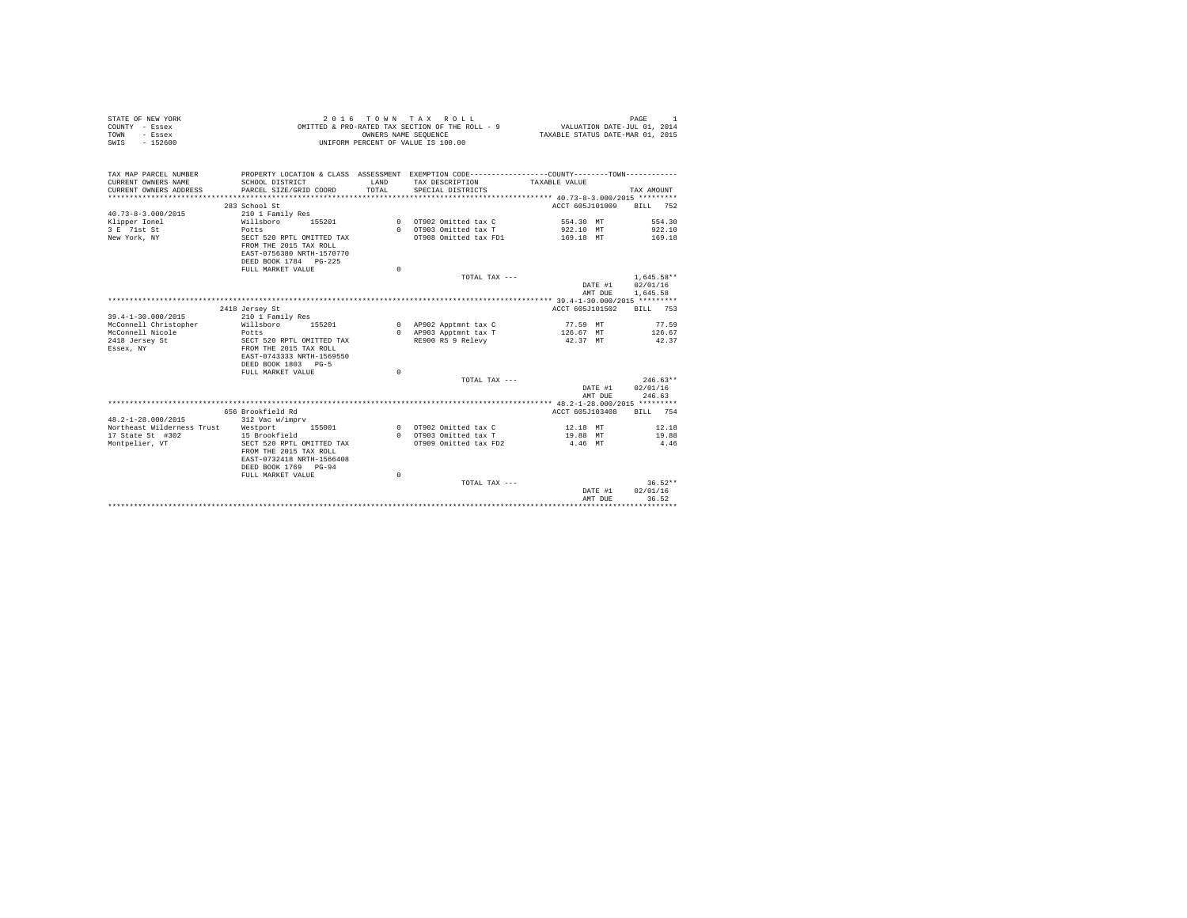| STATE OF NEW YORK<br>COUNTY - Essex<br>- Essex<br>TOWN<br>$-152600$<br>SWIS                          | 2016                                                                                                                                      | TOWN TAX<br>OWNERS NAME SEOUENCE | ROLL<br>OMITTED & PRO-RATED TAX SECTION OF THE ROLL - 9<br>UNIFORM PERCENT OF VALUE IS 100.00 | VALUATION DATE-JUL 01, 2014<br>TAXABLE STATUS DATE-MAR 01, 2015 | PAGE<br>$\mathbf{1}$ |
|------------------------------------------------------------------------------------------------------|-------------------------------------------------------------------------------------------------------------------------------------------|----------------------------------|-----------------------------------------------------------------------------------------------|-----------------------------------------------------------------|----------------------|
|                                                                                                      |                                                                                                                                           |                                  |                                                                                               |                                                                 |                      |
| TAX MAP PARCEL NUMBER<br>CURRENT OWNERS NAME<br>CURRENT OWNERS ADDRESS<br>************************** | PROPERTY LOCATION & CLASS ASSESSMENT EXEMPTION CODE---------------COUNTY-------TOWN---------<br>SCHOOL DISTRICT<br>PARCEL SIZE/GRID COORD | LAND<br>TOTAL                    | TAX DESCRIPTION<br>SPECIAL DISTRICTS                                                          | TAXABLE VALUE                                                   | TAX AMOUNT           |
|                                                                                                      | 283 School St                                                                                                                             |                                  |                                                                                               | ACCT 605J101009                                                 | 752<br>BILL          |
| $40.73 - 8 - 3.000 / 2015$                                                                           | 210 1 Family Res                                                                                                                          |                                  |                                                                                               |                                                                 |                      |
| Klipper Ionel                                                                                        | Willsboro<br>155201                                                                                                                       |                                  | 0 OT902 Omitted tax C                                                                         | 554.30 MT                                                       | 554.30               |
| 3 E 71st St                                                                                          | Potts                                                                                                                                     |                                  | 0 OT903 Omitted tax T                                                                         | 922.10 MT                                                       | 922.10               |
| New York, NY                                                                                         | SECT 520 RPTL OMITTED TAX<br>FROM THE 2015 TAX ROLL                                                                                       |                                  | OT908 Omitted tax FD1                                                                         | 169.18 MT                                                       | 169.18               |
|                                                                                                      | EAST-0756380 NRTH-1570770                                                                                                                 |                                  |                                                                                               |                                                                 |                      |
|                                                                                                      | DEED BOOK 1784 PG-225<br>FULL MARKET VALUE                                                                                                | $\Omega$                         |                                                                                               |                                                                 |                      |
|                                                                                                      |                                                                                                                                           |                                  | TOTAL TAX ---                                                                                 |                                                                 | $1.645.58**$         |
|                                                                                                      |                                                                                                                                           |                                  |                                                                                               | DATE #1                                                         | 02/01/16             |
|                                                                                                      |                                                                                                                                           |                                  |                                                                                               | AMT DUE                                                         | 1,645.58             |
|                                                                                                      |                                                                                                                                           |                                  |                                                                                               |                                                                 |                      |
|                                                                                                      | 2418 Jersey St                                                                                                                            |                                  |                                                                                               | ACCT 605J101502                                                 | BTLL 753             |
| 39.4-1-30.000/2015                                                                                   | 210 1 Family Res                                                                                                                          |                                  |                                                                                               |                                                                 |                      |
| McConnell Christopher                                                                                | Willsboro<br>155201                                                                                                                       |                                  | 0 AP902 Apptmnt tax C                                                                         | 77.59 MT                                                        | 77.59                |
| McConnell Nicole                                                                                     | Potts                                                                                                                                     |                                  | 0 AP903 Apptmnt tax T                                                                         | 126.67 MT                                                       | 126.67               |
| 2418 Jersey St                                                                                       | SECT 520 RPTL OMITTED TAX                                                                                                                 |                                  | RE900 RS 9 Relevy                                                                             | 42.37 MT                                                        | 42.37                |
| Essex, NY                                                                                            | FROM THE 2015 TAX ROLL<br>EAST-0743333 NRTH-1569550                                                                                       |                                  |                                                                                               |                                                                 |                      |
|                                                                                                      | DEED BOOK 1803 PG-5                                                                                                                       |                                  |                                                                                               |                                                                 |                      |
|                                                                                                      | FULL MARKET VALUE                                                                                                                         | $\Omega$                         |                                                                                               |                                                                 |                      |
|                                                                                                      |                                                                                                                                           |                                  | TOTAL TAX ---                                                                                 |                                                                 | $246.63**$           |
|                                                                                                      |                                                                                                                                           |                                  |                                                                                               | DATE #1                                                         | 02/01/16             |
|                                                                                                      |                                                                                                                                           |                                  |                                                                                               | AMT DUE                                                         | 246.63               |
|                                                                                                      | 656 Brookfield Rd                                                                                                                         |                                  |                                                                                               | ACCT 605J103408                                                 | BILL 754             |
| 48.2-1-28.000/2015                                                                                   | 312 Vac w/imprv                                                                                                                           |                                  |                                                                                               |                                                                 |                      |
| Northeast Wilderness Trust                                                                           | 155001<br>Westport                                                                                                                        |                                  | 0 0T902 Omitted tax C                                                                         | 12.18 MT                                                        | 12.18                |
| 17 State St #302                                                                                     | 15 Brookfield                                                                                                                             |                                  | 0 OT903 Omitted tax T                                                                         | 19.88 MT                                                        | 19.88                |
| Montpelier, VT                                                                                       | SECT 520 RPTL OMITTED TAX                                                                                                                 |                                  | OT909 Omitted tax FD2                                                                         | 4.46 MT                                                         | 4.46                 |
|                                                                                                      | FROM THE 2015 TAX ROLL                                                                                                                    |                                  |                                                                                               |                                                                 |                      |
|                                                                                                      | EAST-0732418 NRTH-1566408                                                                                                                 |                                  |                                                                                               |                                                                 |                      |
|                                                                                                      | DEED BOOK 1769 PG-94                                                                                                                      |                                  |                                                                                               |                                                                 |                      |
|                                                                                                      | FULL MARKET VALUE                                                                                                                         | $\Omega$                         |                                                                                               |                                                                 |                      |
|                                                                                                      |                                                                                                                                           |                                  | TOTAL TAX ---                                                                                 |                                                                 | $36.52**$            |
|                                                                                                      |                                                                                                                                           |                                  |                                                                                               | DATE #1                                                         | 02/01/16             |
|                                                                                                      |                                                                                                                                           |                                  |                                                                                               | AMT DUE                                                         | 36.52                |
|                                                                                                      |                                                                                                                                           |                                  |                                                                                               |                                                                 |                      |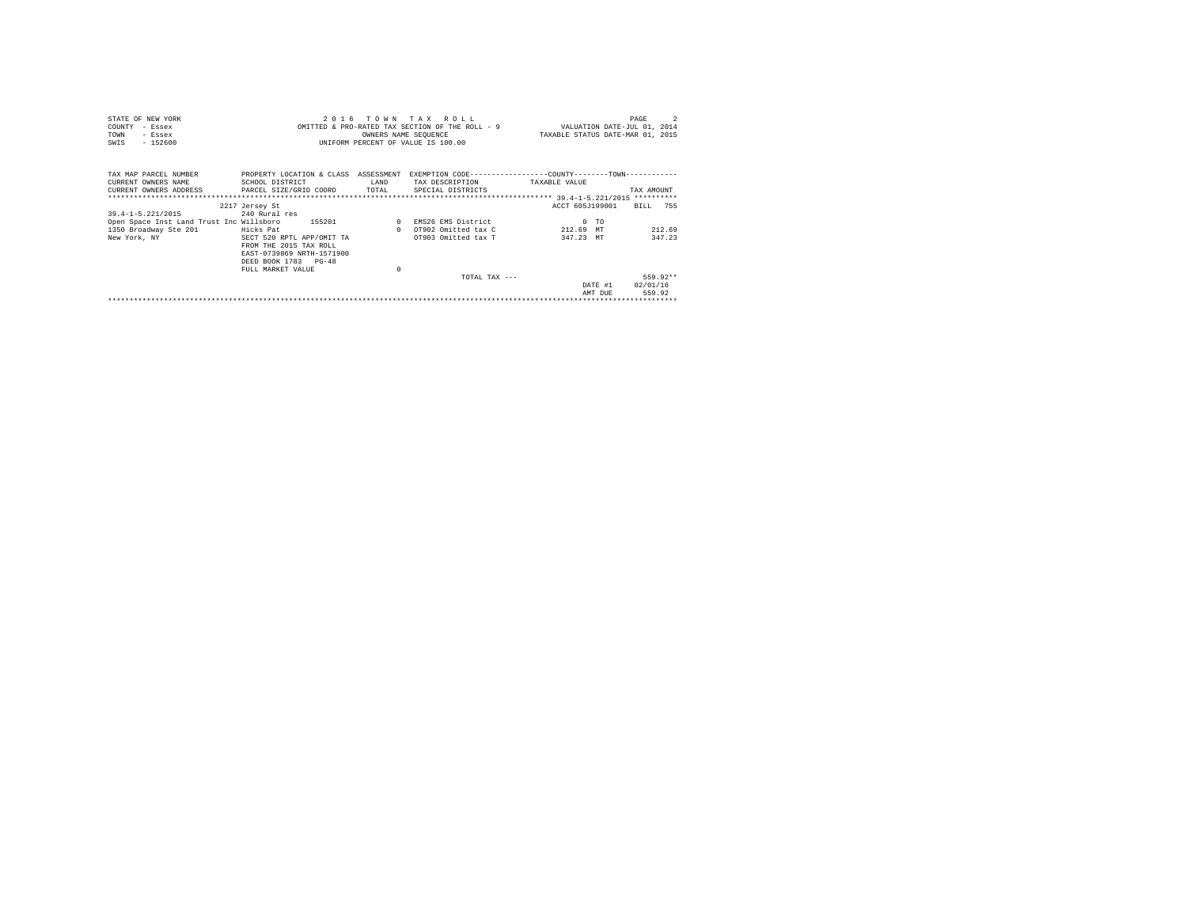| STATE OF NEW YORK                                                       |                                                                                                |          | 2016 TOWN TAX ROLL                 |                                                                             | PAGE             |
|-------------------------------------------------------------------------|------------------------------------------------------------------------------------------------|----------|------------------------------------|-----------------------------------------------------------------------------|------------------|
| COUNTY<br>- Essex                                                       |                                                                                                |          |                                    | OMITTED & PRO-RATED TAX SECTION OF THE ROLL - 9 WALUATION DATE-JUL 01, 2014 |                  |
| TOWN<br>- Essex                                                         |                                                                                                |          | OWNERS NAME SEQUENCE               | TAXABLE STATUS DATE-MAR 01, 2015                                            |                  |
| $-152600$<br>SWIS                                                       |                                                                                                |          | UNIFORM PERCENT OF VALUE IS 100.00 |                                                                             |                  |
|                                                                         |                                                                                                |          |                                    |                                                                             |                  |
|                                                                         |                                                                                                |          |                                    |                                                                             |                  |
| TAX MAP PARCEL NUMBER                                                   | PROPERTY LOCATION & CLASS ASSESSMENT EXEMPTION CODE----------------COUNTY-------TOWN---------- |          |                                    |                                                                             |                  |
| CURRENT OWNERS NAME                                                     | SCHOOL DISTRICT                                                                                | LAND     | TAX DESCRIPTION                    | TAXABLE VALUE                                                               |                  |
| CURRENT OWNERS ADDRESS . PARCEL SIZE/GRID COORD TOTAL SPECIAL DISTRICTS |                                                                                                |          |                                    |                                                                             | TAX AMOUNT       |
|                                                                         |                                                                                                |          |                                    |                                                                             |                  |
|                                                                         | 2217 Jersey St                                                                                 |          |                                    | ACCT 605J199001                                                             | BILL 755         |
| 39.4-1-5.221/2015                                                       | 240 Rural res                                                                                  |          |                                    |                                                                             |                  |
| Open Space Inst Land Trust Inc Willsboro 155201                         |                                                                                                |          | 0 EMS26 EMS District               | $0$ TO                                                                      |                  |
| 1350 Broadway Ste 201                                                   | Hicks Pat                                                                                      |          | 0 OT902 Omitted tax C              | 212.69 MT                                                                   | 212.69           |
| New York, NY                                                            | SECT 520 RPTL APP/OMIT TA                                                                      |          | OT903 Omitted tax T                | 347.23 MT                                                                   | 347.23           |
|                                                                         | FROM THE 2015 TAX ROLL                                                                         |          |                                    |                                                                             |                  |
|                                                                         | EAST-0739869 NRTH-1571900                                                                      |          |                                    |                                                                             |                  |
|                                                                         | DEED BOOK 1783 PG-48                                                                           |          |                                    |                                                                             |                  |
|                                                                         | FULL MARKET VALUE                                                                              | $\Omega$ |                                    |                                                                             |                  |
|                                                                         |                                                                                                |          | TOTAL TAX $---$                    |                                                                             | 559.92**         |
|                                                                         |                                                                                                |          |                                    |                                                                             | DATE #1 02/01/16 |
|                                                                         |                                                                                                |          |                                    | AMT DUE                                                                     | 559.92           |
|                                                                         |                                                                                                |          |                                    |                                                                             |                  |
|                                                                         |                                                                                                |          |                                    |                                                                             |                  |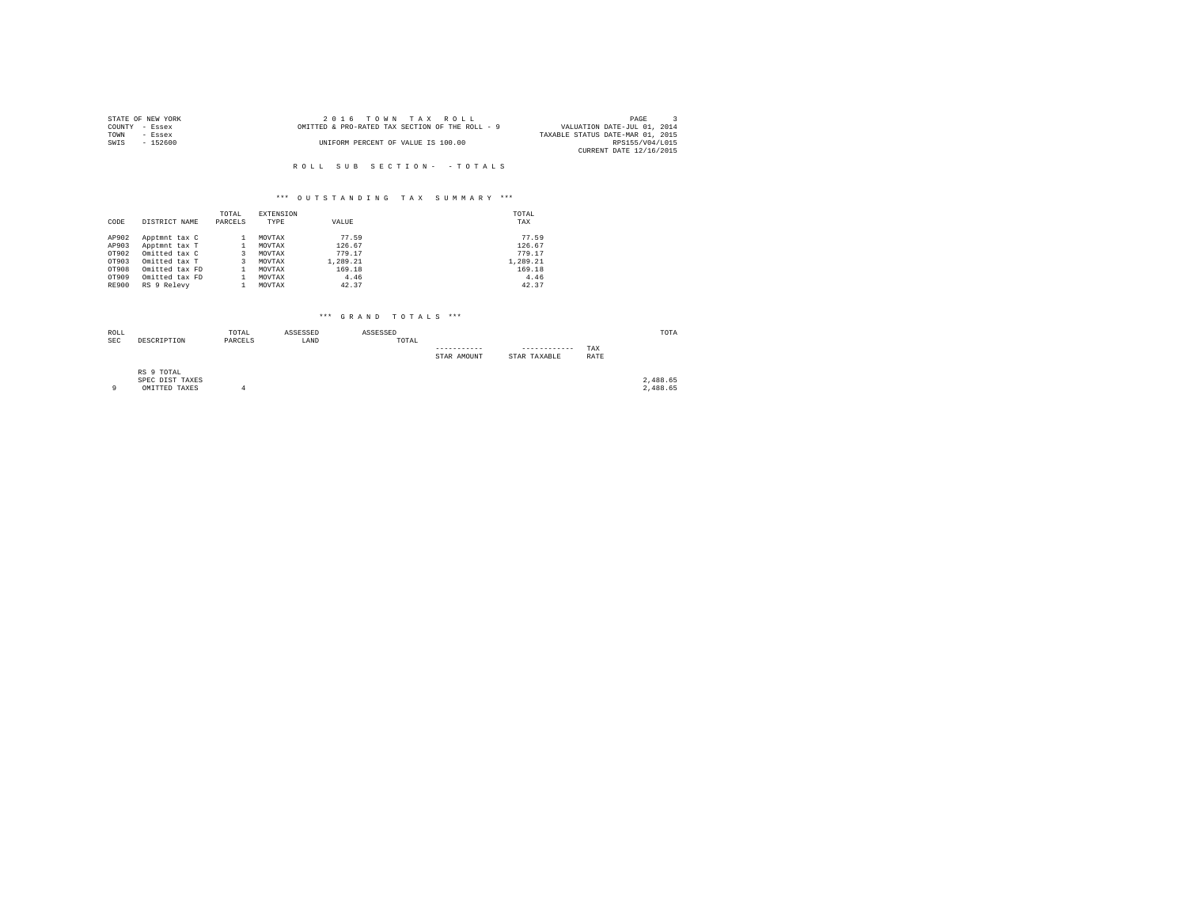|                | STATE OF NEW YORK | 2016 TOWN TAX ROLL                              | PAGE                             |
|----------------|-------------------|-------------------------------------------------|----------------------------------|
| COUNTY - Essex |                   | OMITTED & PRO-RATED TAX SECTION OF THE ROLL - 9 | VALUATION DATE-JUL 01, 2014      |
| TOWN           | $-$ Essex         |                                                 | TAXABLE STATUS DATE-MAR 01, 2015 |
| SWIS           | - 152600          | UNIFORM PERCENT OF VALUE IS 100.00              | RPS155/V04/L015                  |
|                |                   |                                                 | CURRENT DATE 12/16/2015          |
|                |                   |                                                 |                                  |

# R O L L S U B S E C T I O N - - T O T A L S

#### \*\*\* O U T S T A N D I N G T A X S U M M A R Y \*\*\*

| CODE         | DISTRICT NAME  | TOTAL<br>PARCELS | <b>EXTENSION</b><br>TYPE | VALUE    | TOTAL<br>TAX |
|--------------|----------------|------------------|--------------------------|----------|--------------|
| AP902        | Apptmnt tax C  |                  | MOVTAX                   | 77.59    | 77.59        |
| AP903        | Apptmnt tax T  |                  | MOVTAX                   | 126.67   | 126.67       |
| OT902        | Omitted tax C  | 3.               | MOVTAX                   | 779.17   | 779.17       |
| OT903        | Omitted tax T  | 3.               | MOVTAX                   | 1,289.21 | 1,289.21     |
| OT908        | Omitted tax FD |                  | MOVTAX                   | 169.18   | 169.18       |
| OT909        | Omitted tax FD |                  | MOVTAX                   | 4.46     | 4.46         |
| <b>RE900</b> | RS 9 Relevy    |                  | MOVTAX                   | 42.37    | 42.37        |

| ROLL<br><b>SEC</b> | DESCRIPTION                                    | TOTAL<br>PARCELS | ASSESSED<br>LAND | ASSESSED | TOTAL |             |                              |             | TOTA                 |
|--------------------|------------------------------------------------|------------------|------------------|----------|-------|-------------|------------------------------|-------------|----------------------|
|                    |                                                |                  |                  |          |       | STAR AMOUNT | ------------<br>STAR TAXABLE | TAX<br>RATE |                      |
| $\circ$            | RS 9 TOTAL<br>SPEC DIST TAXES<br>OMITTED TAXES |                  |                  |          |       |             |                              |             | 2,488.65<br>2,488.65 |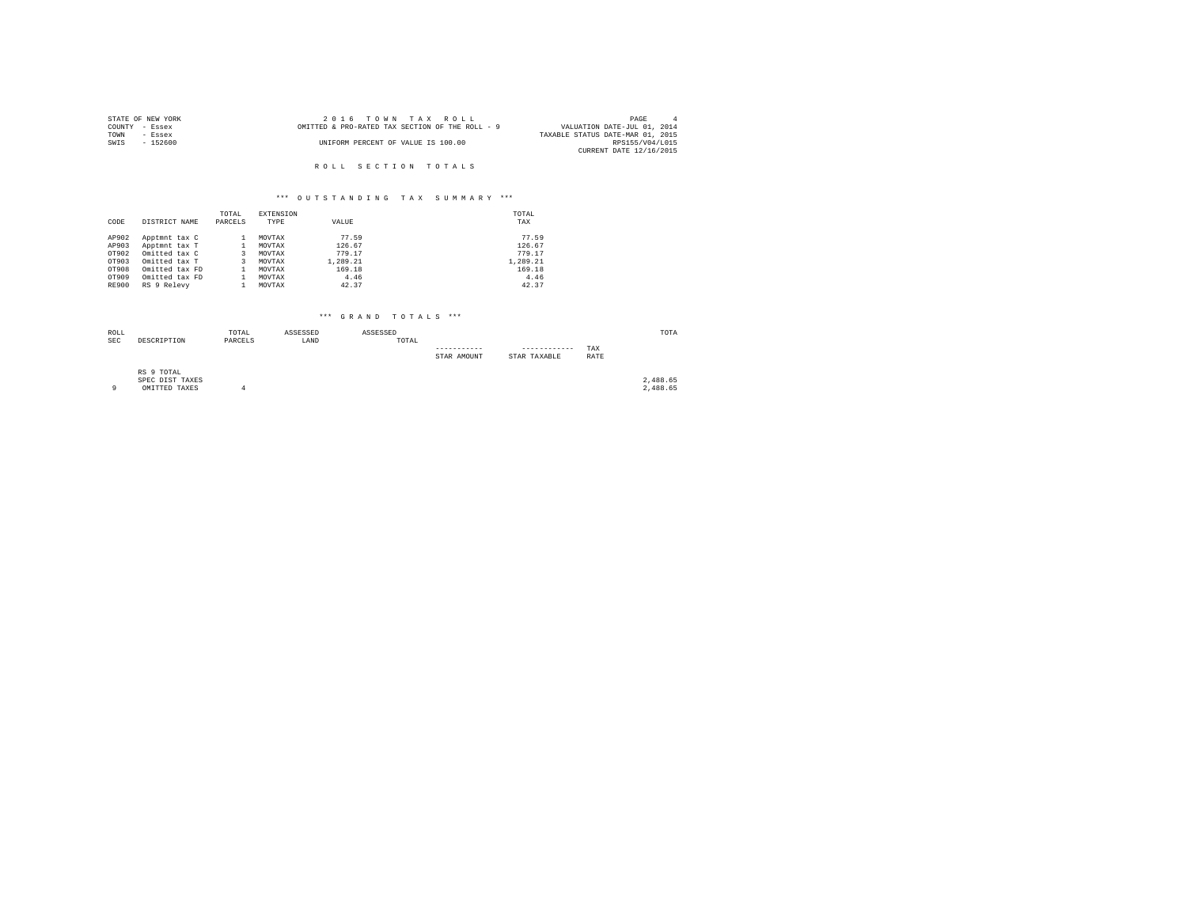| STATE OF NEW YORK | 2016 TOWN TAX ROLL                              | PAGE                             |
|-------------------|-------------------------------------------------|----------------------------------|
| COUNTY - Essex    | OMITTED & PRO-RATED TAX SECTION OF THE ROLL - 9 | VALUATION DATE-JUL 01, 2014      |
| TOWN<br>- Essex   |                                                 | TAXABLE STATUS DATE-MAR 01, 2015 |
| SWIS<br>$-152600$ | UNIFORM PERCENT OF VALUE IS 100.00              | RPS155/V04/L015                  |
|                   |                                                 | CURRENT DATE 12/16/2015          |
|                   |                                                 |                                  |
|                   | ROLL SECTION TOTALS                             |                                  |

#### \*\*\* O U T S T A N D I N G T A X S U M M A R Y \*\*\*

| CODE         | DISTRICT NAME  | TOTAL<br>PARCELS | <b>EXTENSION</b><br>TYPE | VALUE    | TOTAL<br>TAX |
|--------------|----------------|------------------|--------------------------|----------|--------------|
| AP902        | Apptmnt tax C  |                  | MOVTAX                   | 77.59    | 77.59        |
| AP903        | Apptmnt tax T  |                  | MOVTAX                   | 126.67   | 126.67       |
| OT902        | Omitted tax C  |                  | MOVTAX                   | 779.17   | 779.17       |
| OT903        | Omitted tax T  | 3                | MOVTAX                   | 1,289.21 | 1,289.21     |
| OT908        | Omitted tax FD |                  | MOVTAX                   | 169.18   | 169.18       |
| OT909        | Omitted tax FD |                  | MOVTAX                   | 4.46     | 4.46         |
| <b>RE900</b> | RS 9 Relevy    |                  | MOVTAX                   | 42.37    | 42.37        |

| ROLL<br><b>SEC</b> | DESCRIPTION                                    | TOTAL<br>PARCELS | ASSESSED<br>LAND | ASSESSED | TOTAL |             |                              |             | TOTA                 |
|--------------------|------------------------------------------------|------------------|------------------|----------|-------|-------------|------------------------------|-------------|----------------------|
|                    |                                                |                  |                  |          |       | STAR AMOUNT | ------------<br>STAR TAXABLE | TAX<br>RATE |                      |
| $\circ$            | RS 9 TOTAL<br>SPEC DIST TAXES<br>OMITTED TAXES |                  |                  |          |       |             |                              |             | 2,488.65<br>2,488.65 |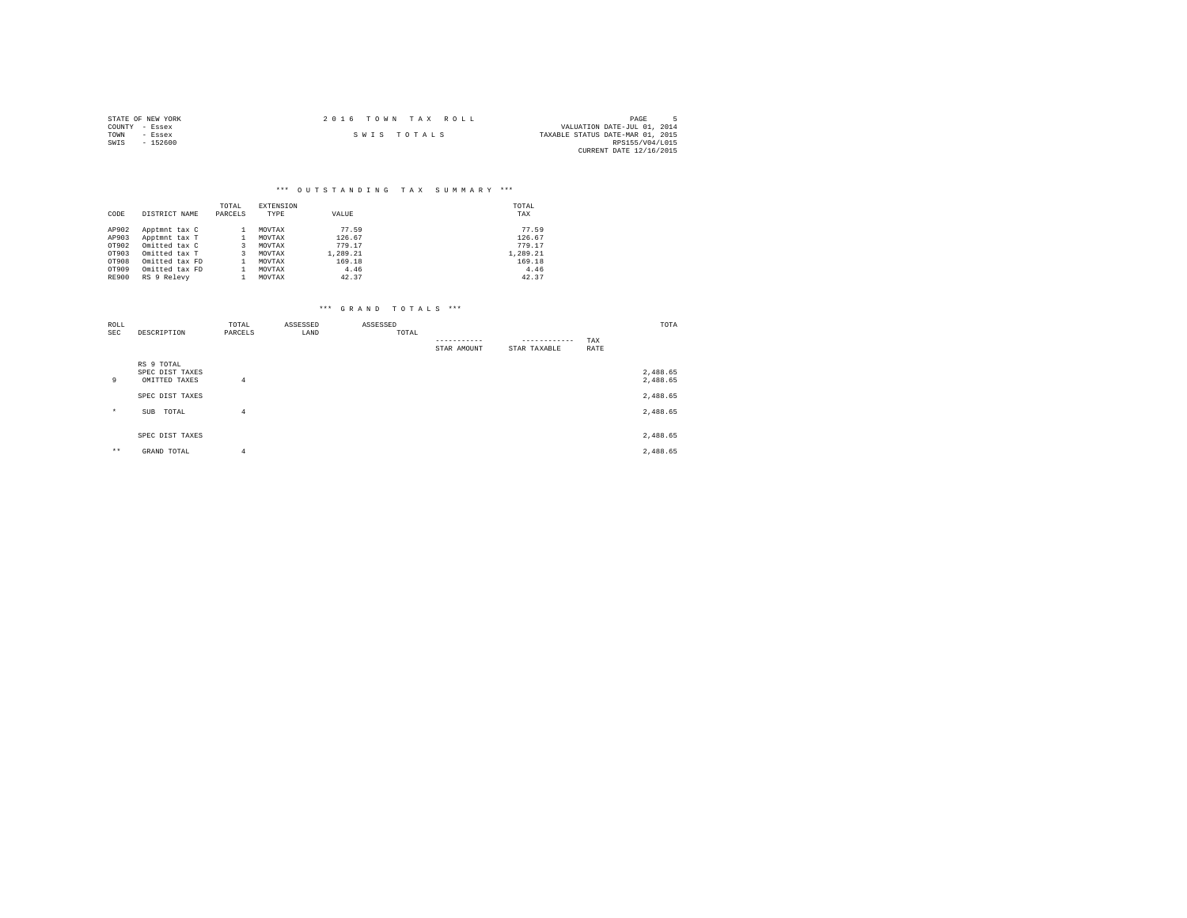| STATE OF NEW YORK | 2016 TOWN TAX ROLL | PAGE                             |
|-------------------|--------------------|----------------------------------|
| COUNTY - Essex    |                    | VALUATION DATE-JUL 01, 2014      |
| TOWN<br>- Essex   | SWIS TOTALS        | TAXABLE STATUS DATE-MAR 01, 2015 |
| $-152600$<br>SWIS |                    | RPS155/V04/L015                  |
|                   |                    | CURRENT DATE 12/16/2015          |

#### \*\*\* O U T S T A N D I N G T A X S U M M A R Y \*\*\*

| CODE         | DISTRICT NAME  | TOTAL<br>PARCELS | <b>EXTENSION</b><br>TYPE | VALUE    | TOTAL<br>TAX |
|--------------|----------------|------------------|--------------------------|----------|--------------|
| AP902        | Apptmnt tax C  |                  | MOVTAX                   | 77.59    | 77.59        |
| AP903        | Apptmnt tax T  |                  | MOVTAX                   | 126.67   | 126.67       |
| OT902        | Omitted tax C  | 3.               | MOVTAX                   | 779.17   | 779.17       |
| OT903        | Omitted tax T  | 3                | MOVTAX                   | 1,289.21 | 1.289.21     |
| OT908        | Omitted tax FD |                  | MOVTAX                   | 169.18   | 169.18       |
| OT909        | Omitted tax FD |                  | MOVTAX                   | 4.46     | 4.46         |
| <b>RE900</b> | RS 9 Relevy    |                  | MOVTAX                   | 42.37    | 42.37        |

| ROLL       |                                                | TOTAL   | ASSESSED | ASSESSED |             |              |             | TOTA                 |
|------------|------------------------------------------------|---------|----------|----------|-------------|--------------|-------------|----------------------|
| <b>SEC</b> | DESCRIPTION                                    | PARCELS | LAND     | TOTAL    |             | ------------ | TAX         |                      |
|            |                                                |         |          |          | STAR AMOUNT | STAR TAXABLE | <b>RATE</b> |                      |
| 9          | RS 9 TOTAL<br>SPEC DIST TAXES<br>OMITTED TAXES | 4       |          |          |             |              |             | 2,488.65<br>2,488.65 |
|            | SPEC DIST TAXES                                |         |          |          |             |              |             | 2,488.65             |
| $\star$    | TOTAL<br><b>SUB</b>                            | 4       |          |          |             |              |             | 2,488.65             |
|            | SPEC DIST TAXES                                |         |          |          |             |              |             | 2,488.65             |
| $***$      | GRAND TOTAL                                    | 4       |          |          |             |              |             | 2,488.65             |